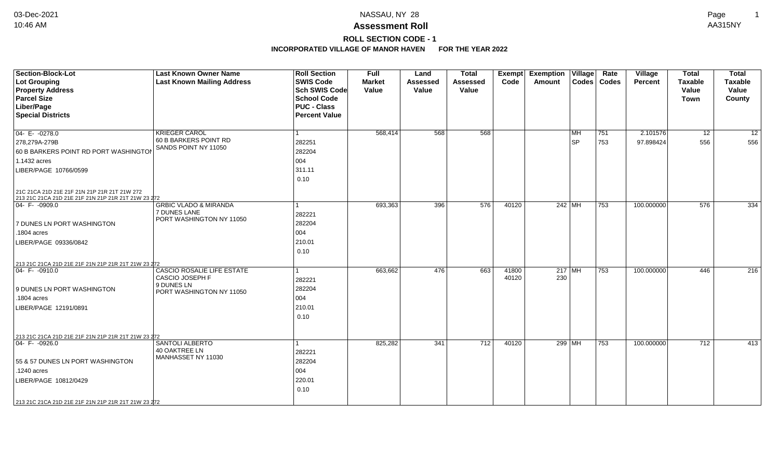## **ROLL SECTION CODE - 1**

| <b>Section-Block-Lot</b><br><b>Lot Grouping</b><br><b>Property Address</b><br><b>Parcel Size</b><br>Liber/Page<br><b>Special Districts</b> | <b>Last Known Owner Name</b><br><b>Last Known Mailing Address</b>            | <b>Roll Section</b><br><b>SWIS Code</b><br>Sch SWIS Code<br><b>School Code</b><br><b>PUC - Class</b><br><b>Percent Value</b> | <b>Full</b><br><b>Market</b><br>Value | Land<br>Assessed<br>Value | <b>Total</b><br><b>Assessed</b><br>Value | Code           | Exempt Exemption Village<br><b>Amount</b> |          | Rate<br>Codes   Codes | Village<br><b>Percent</b> | <b>Total</b><br><b>Taxable</b><br>Value<br><b>Town</b> | <b>Total</b><br><b>Taxable</b><br>Value<br>County |
|--------------------------------------------------------------------------------------------------------------------------------------------|------------------------------------------------------------------------------|------------------------------------------------------------------------------------------------------------------------------|---------------------------------------|---------------------------|------------------------------------------|----------------|-------------------------------------------|----------|-----------------------|---------------------------|--------------------------------------------------------|---------------------------------------------------|
| $04 - E - 0278.0$                                                                                                                          | <b>KRIEGER CAROL</b>                                                         |                                                                                                                              | 568,414                               | 568                       | 568                                      |                |                                           | MH       | 751                   | 2.101576                  | 12                                                     | $\overline{12}$                                   |
| 278,279A-279B<br>60 B BARKERS POINT RD PORT WASHINGTON                                                                                     | 60 B BARKERS POINT RD<br>SANDS POINT NY 11050                                | 282251<br>282204                                                                                                             |                                       |                           |                                          |                |                                           | SP       | 753                   | 97.898424                 | 556                                                    | 556                                               |
| 1.1432 acres                                                                                                                               |                                                                              | 004                                                                                                                          |                                       |                           |                                          |                |                                           |          |                       |                           |                                                        |                                                   |
| LIBER/PAGE 10766/0599                                                                                                                      |                                                                              | 311.11<br>0.10                                                                                                               |                                       |                           |                                          |                |                                           |          |                       |                           |                                                        |                                                   |
| 21C 21CA 21D 21E 21F 21N 21P 21R 21T 21W 272<br>213 21C 21CA 21D 21E 21F 21N 21P 21R 21T 21W 23 272                                        |                                                                              |                                                                                                                              |                                       |                           |                                          |                |                                           |          |                       |                           |                                                        |                                                   |
| $ 04 - F - 0909.0$                                                                                                                         | <b>GRBIC VLADO &amp; MIRANDA</b><br>7 DUNES LANE<br>PORT WASHINGTON NY 11050 | 282221                                                                                                                       | 693,363                               | 396                       | 576                                      | 40120          |                                           | 242   MH | 753                   | 100.000000                | 576                                                    | 334                                               |
| 7 DUNES LN PORT WASHINGTON                                                                                                                 |                                                                              | 282204                                                                                                                       |                                       |                           |                                          |                |                                           |          |                       |                           |                                                        |                                                   |
| .1804 acres<br>LIBER/PAGE 09336/0842                                                                                                       |                                                                              | 004<br>210.01<br>0.10                                                                                                        |                                       |                           |                                          |                |                                           |          |                       |                           |                                                        |                                                   |
| 213 21C 21CA 21D 21E 21F 21N 21P 21R 21T 21W 23 272                                                                                        |                                                                              |                                                                                                                              |                                       |                           |                                          |                |                                           |          |                       |                           |                                                        |                                                   |
| $ 04 - F - 0910.0$                                                                                                                         | <b>CASCIO ROSALIE LIFE ESTATE</b><br><b>CASCIO JOSEPH F</b><br>9 DUNES LN    | 282221                                                                                                                       | 663,662                               | 476                       | 663                                      | 41800<br>40120 | 230                                       | $217$ MH | $ 753\rangle$         | 100.000000                | 446                                                    | 216                                               |
| 9 DUNES LN PORT WASHINGTON                                                                                                                 | PORT WASHINGTON NY 11050                                                     | 282204                                                                                                                       |                                       |                           |                                          |                |                                           |          |                       |                           |                                                        |                                                   |
| .1804 acres<br>LIBER/PAGE 12191/0891                                                                                                       |                                                                              | 004<br>210.01<br>0.10                                                                                                        |                                       |                           |                                          |                |                                           |          |                       |                           |                                                        |                                                   |
| 213 21C 21CA 21D 21E 21F 21N 21P 21R 21T 21W 23 272                                                                                        |                                                                              |                                                                                                                              |                                       |                           |                                          |                |                                           |          |                       |                           |                                                        |                                                   |
| $ 04 - F - 0926.0$                                                                                                                         | <b>SANTOLI ALBERTO</b><br>40 OAKTREE LN<br>MANHASSET NY 11030                | 282221                                                                                                                       | 825,282                               | 341                       | 712                                      | 40120          |                                           | 299 MH   | 753                   | 100.000000                | 712                                                    | 413                                               |
| 55 & 57 DUNES LN PORT WASHINGTON                                                                                                           |                                                                              | 282204                                                                                                                       |                                       |                           |                                          |                |                                           |          |                       |                           |                                                        |                                                   |
| .1240 acres                                                                                                                                |                                                                              | 004                                                                                                                          |                                       |                           |                                          |                |                                           |          |                       |                           |                                                        |                                                   |
| LIBER/PAGE 10812/0429                                                                                                                      |                                                                              | 220.01<br>0.10                                                                                                               |                                       |                           |                                          |                |                                           |          |                       |                           |                                                        |                                                   |
| 213 21C 21CA 21D 21E 21F 21N 21P 21R 21T 21W 23 272                                                                                        |                                                                              |                                                                                                                              |                                       |                           |                                          |                |                                           |          |                       |                           |                                                        |                                                   |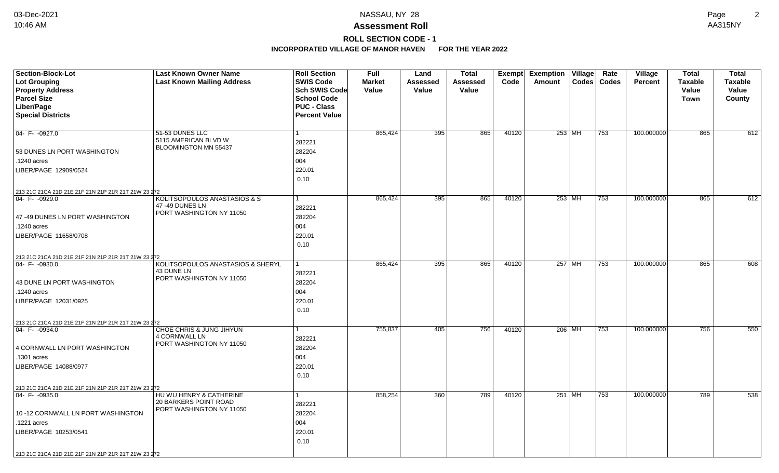**ROLL SECTION CODE - 1**

| <b>Section-Block-Lot</b>                                                  | <b>Last Known Owner Name</b>                | <b>Roll Section</b>  | <b>Full</b>   | Land            | Total    |       | Exempt Exemption Village | Rate          | <b>Village</b> | <b>Total</b>   | <b>Total</b>   |
|---------------------------------------------------------------------------|---------------------------------------------|----------------------|---------------|-----------------|----------|-------|--------------------------|---------------|----------------|----------------|----------------|
| Lot Grouping                                                              | <b>Last Known Mailing Address</b>           | <b>SWIS Code</b>     | <b>Market</b> | <b>Assessed</b> | Assessed | Code  | Amount                   | Codes   Codes | Percent        | <b>Taxable</b> | <b>Taxable</b> |
| <b>Property Address</b>                                                   |                                             | <b>Sch SWIS Code</b> | Value         | Value           | Value    |       |                          |               |                | Value          | Value          |
| <b>Parcel Size</b>                                                        |                                             | <b>School Code</b>   |               |                 |          |       |                          |               |                | <b>Town</b>    | County         |
| Liber/Page                                                                |                                             | <b>PUC - Class</b>   |               |                 |          |       |                          |               |                |                |                |
| <b>Special Districts</b>                                                  |                                             | <b>Percent Value</b> |               |                 |          |       |                          |               |                |                |                |
|                                                                           |                                             |                      |               |                 |          |       |                          |               |                |                |                |
| 04- F- - 0927.0                                                           | 51-53 DUNES LLC<br>5115 AMERICAN BLVD W     | $\mathbf{1}$         | 865,424       | 395             | 865      | 40120 | 253 MH                   | 753           | 100.000000     | 865            | 612            |
|                                                                           | BLOOMINGTON MN 55437                        | 282221               |               |                 |          |       |                          |               |                |                |                |
| 53 DUNES LN PORT WASHINGTON                                               |                                             | 282204               |               |                 |          |       |                          |               |                |                |                |
| .1240 acres                                                               |                                             | 004                  |               |                 |          |       |                          |               |                |                |                |
| LIBER/PAGE 12909/0524                                                     |                                             | 220.01               |               |                 |          |       |                          |               |                |                |                |
|                                                                           |                                             | 0.10                 |               |                 |          |       |                          |               |                |                |                |
| 213 21C 21CA 21D 21E 21F 21N 21P 21R 21T 21W 23 272                       |                                             |                      |               |                 |          |       |                          |               |                |                |                |
| 04- F- -0929.0                                                            | KOLITSOPOULOS ANASTASIOS & S                | $\mathbf{1}$         | 865,424       | 395             | 865      | 40120 | $253$ MH                 | $ 753\rangle$ | 100.000000     | 865            | 612            |
|                                                                           | 47 -49 DUNES LN<br>PORT WASHINGTON NY 11050 | 282221               |               |                 |          |       |                          |               |                |                |                |
| 47-49 DUNES LN PORT WASHINGTON                                            |                                             | 282204               |               |                 |          |       |                          |               |                |                |                |
| .1240 acres                                                               |                                             | 004                  |               |                 |          |       |                          |               |                |                |                |
| LIBER/PAGE 11658/0708                                                     |                                             | 220.01               |               |                 |          |       |                          |               |                |                |                |
|                                                                           |                                             | 0.10                 |               |                 |          |       |                          |               |                |                |                |
| 213 21C 21CA 21D 21E 21F 21N 21P 21R 21T 21W 23 272                       |                                             |                      |               |                 |          |       |                          |               |                |                |                |
| $04 - F - 0930.0$                                                         | KOLITSOPOULOS ANASTASIOS & SHERYL           | 1                    | 865,424       | 395             | 865      | 40120 | 257 MH                   | 753           | 100.000000     | 865            | 608            |
|                                                                           | 43 DUNE LN                                  | 282221               |               |                 |          |       |                          |               |                |                |                |
| 43 DUNE LN PORT WASHINGTON                                                | PORT WASHINGTON NY 11050                    | 282204               |               |                 |          |       |                          |               |                |                |                |
| 1240 acres                                                                |                                             | 004                  |               |                 |          |       |                          |               |                |                |                |
| LIBER/PAGE 12031/0925                                                     |                                             | 220.01               |               |                 |          |       |                          |               |                |                |                |
|                                                                           |                                             | 0.10                 |               |                 |          |       |                          |               |                |                |                |
|                                                                           |                                             |                      |               |                 |          |       |                          |               |                |                |                |
| 213 21C 21CA 21D 21E 21F 21N 21P 21R 21T 21W 23 272<br>$ 04 - F - 0934.0$ | CHOE CHRIS & JUNG JIHYUN                    | 1                    | 755,837       | 405             | 756      | 40120 | 206 MH                   | 753           | 100.000000     | 756            | 550            |
|                                                                           | 4 CORNWALL LN                               | 282221               |               |                 |          |       |                          |               |                |                |                |
| 4 CORNWALL LN PORT WASHINGTON                                             | PORT WASHINGTON NY 11050                    | 282204               |               |                 |          |       |                          |               |                |                |                |
| .1301 acres                                                               |                                             | 004                  |               |                 |          |       |                          |               |                |                |                |
| LIBER/PAGE 14088/0977                                                     |                                             | 220.01               |               |                 |          |       |                          |               |                |                |                |
|                                                                           |                                             | 0.10                 |               |                 |          |       |                          |               |                |                |                |
|                                                                           |                                             |                      |               |                 |          |       |                          |               |                |                |                |
| 213 21C 21CA 21D 21E 21F 21N 21P 21R 21T 21W 23 272                       | HU WU HENRY & CATHERINE                     | $\mathbf{1}$         | 858,254       | 360             | 789      | 40120 | 251 MH                   | 753           | 100.000000     | 789            | 538            |
| 04- F- -0935.0                                                            | 20 BARKERS POINT ROAD                       |                      |               |                 |          |       |                          |               |                |                |                |
|                                                                           | PORT WASHINGTON NY 11050                    | 282221               |               |                 |          |       |                          |               |                |                |                |
| 10 -12 CORNWALL LN PORT WASHINGTON                                        |                                             | 282204               |               |                 |          |       |                          |               |                |                |                |
| .1221 acres                                                               |                                             | 004                  |               |                 |          |       |                          |               |                |                |                |
| LIBER/PAGE 10253/0541                                                     |                                             | 220.01               |               |                 |          |       |                          |               |                |                |                |
|                                                                           |                                             | 0.10                 |               |                 |          |       |                          |               |                |                |                |
| 213 21C 21CA 21D 21E 21F 21N 21P 21R 21T 21W 23 272                       |                                             |                      |               |                 |          |       |                          |               |                |                |                |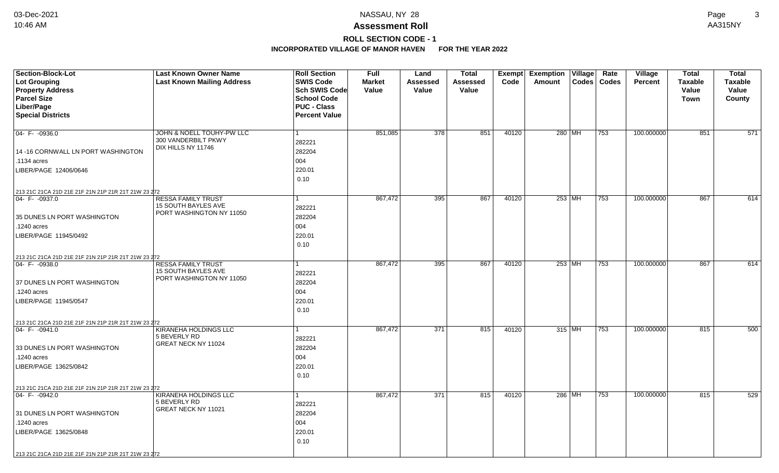## **ROLL SECTION CODE - 1**

| Section-Block-Lot                                   | <b>Last Known Owner Name</b>          | <b>Roll Section</b>  | <b>Full</b>   | Land     | <b>Total</b> | Exempt | <b>Exemption Village</b> | Rate          | Village        | <b>Total</b>   | <b>Total</b>   |
|-----------------------------------------------------|---------------------------------------|----------------------|---------------|----------|--------------|--------|--------------------------|---------------|----------------|----------------|----------------|
| <b>Lot Grouping</b>                                 | <b>Last Known Mailing Address</b>     | <b>SWIS Code</b>     | <b>Market</b> | Assessed | Assessed     | Code   | Amount                   | Codes   Codes | <b>Percent</b> | <b>Taxable</b> | <b>Taxable</b> |
| <b>Property Address</b>                             |                                       | Sch SWIS Code        | Value         | Value    | Value        |        |                          |               |                | Value          | Value          |
| <b>Parcel Size</b>                                  |                                       | <b>School Code</b>   |               |          |              |        |                          |               |                | Town           | County         |
| Liber/Page                                          |                                       | <b>PUC - Class</b>   |               |          |              |        |                          |               |                |                |                |
| <b>Special Districts</b>                            |                                       | <b>Percent Value</b> |               |          |              |        |                          |               |                |                |                |
|                                                     |                                       |                      |               |          |              |        |                          |               |                |                |                |
| $04 - F - 0936.0$                                   | JOHN & NOELL TOUHY-PW LLC             |                      | 851,085       | 378      | 851          | 40120  | 280 MH                   | 753           | 100.000000     | 851            | 571            |
|                                                     | 300 VANDERBILT PKWY                   | 282221               |               |          |              |        |                          |               |                |                |                |
| 14 -16 CORNWALL LN PORT WASHINGTON                  | DIX HILLS NY 11746                    | 282204               |               |          |              |        |                          |               |                |                |                |
| .1134 acres                                         |                                       | 004                  |               |          |              |        |                          |               |                |                |                |
| LIBER/PAGE 12406/0646                               |                                       | 220.01               |               |          |              |        |                          |               |                |                |                |
|                                                     |                                       | 0.10                 |               |          |              |        |                          |               |                |                |                |
| 213 21C 21CA 21D 21E 21F 21N 21P 21R 21T 21W 23 272 |                                       |                      |               |          |              |        |                          |               |                |                |                |
| $ 04 - F - 0937.0$                                  | <b>RESSA FAMILY TRUST</b>             |                      | 867,472       | 395      | 867          | 40120  | $253$ MH                 | 753           | 100.000000     | 867            | 614            |
|                                                     | 15 SOUTH BAYLES AVE                   | 282221               |               |          |              |        |                          |               |                |                |                |
| 35 DUNES LN PORT WASHINGTON                         | PORT WASHINGTON NY 11050              | 282204               |               |          |              |        |                          |               |                |                |                |
| .1240 acres                                         |                                       | 004                  |               |          |              |        |                          |               |                |                |                |
| LIBER/PAGE 11945/0492                               |                                       | 220.01               |               |          |              |        |                          |               |                |                |                |
|                                                     |                                       | 0.10                 |               |          |              |        |                          |               |                |                |                |
|                                                     |                                       |                      |               |          |              |        |                          |               |                |                |                |
| 213 21C 21CA 21D 21E 21F 21N 21P 21R 21T 21W 23 272 | <b>RESSA FAMILY TRUST</b>             |                      | 867,472       | 395      | 867          | 40120  | $253$ MH                 | 753           | 100.000000     | 867            | 614            |
| $ 04 - F - 0938.0$                                  | <b>15 SOUTH BAYLES AVE</b>            | 282221               |               |          |              |        |                          |               |                |                |                |
|                                                     | PORT WASHINGTON NY 11050              | 282204               |               |          |              |        |                          |               |                |                |                |
| 37 DUNES LN PORT WASHINGTON                         |                                       |                      |               |          |              |        |                          |               |                |                |                |
| .1240 acres                                         |                                       | 004                  |               |          |              |        |                          |               |                |                |                |
| LIBER/PAGE 11945/0547                               |                                       | 220.01               |               |          |              |        |                          |               |                |                |                |
|                                                     |                                       | 0.10                 |               |          |              |        |                          |               |                |                |                |
| 213 21C 21CA 21D 21E 21F 21N 21P 21R 21T 21W 23 272 |                                       |                      |               |          |              |        |                          |               |                |                |                |
| $ 04 - F - 0941.0$                                  | KIRANEHA HOLDINGS LLC<br>5 BEVERLY RD |                      | 867,472       | 371      | 815          | 40120  | 315 MH                   | 753           | 100.000000     | 815            | 500            |
|                                                     | GREAT NECK NY 11024                   | 282221               |               |          |              |        |                          |               |                |                |                |
| 33 DUNES LN PORT WASHINGTON                         |                                       | 282204               |               |          |              |        |                          |               |                |                |                |
| .1240 acres                                         |                                       | 004                  |               |          |              |        |                          |               |                |                |                |
| LIBER/PAGE 13625/0842                               |                                       | 220.01               |               |          |              |        |                          |               |                |                |                |
|                                                     |                                       | 0.10                 |               |          |              |        |                          |               |                |                |                |
| 213 21C 21CA 21D 21E 21F 21N 21P 21R 21T 21W 23 272 |                                       |                      |               |          |              |        |                          |               |                |                |                |
| $04 - F - 0942.0$                                   | KIRANEHA HOLDINGS LLC                 |                      | 867,472       | 371      | 815          | 40120  | 286 MH                   | 753           | 100.000000     | 815            | 529            |
|                                                     | 5 BEVERLY RD                          | 282221               |               |          |              |        |                          |               |                |                |                |
| 31 DUNES LN PORT WASHINGTON                         | GREAT NECK NY 11021                   | 282204               |               |          |              |        |                          |               |                |                |                |
| .1240 acres                                         |                                       | 004                  |               |          |              |        |                          |               |                |                |                |
| LIBER/PAGE 13625/0848                               |                                       | 220.01               |               |          |              |        |                          |               |                |                |                |
|                                                     |                                       | 0.10                 |               |          |              |        |                          |               |                |                |                |
| 213 21C 21CA 21D 21E 21F 21N 21P 21R 21T 21W 23 272 |                                       |                      |               |          |              |        |                          |               |                |                |                |
|                                                     |                                       |                      |               |          |              |        |                          |               |                |                |                |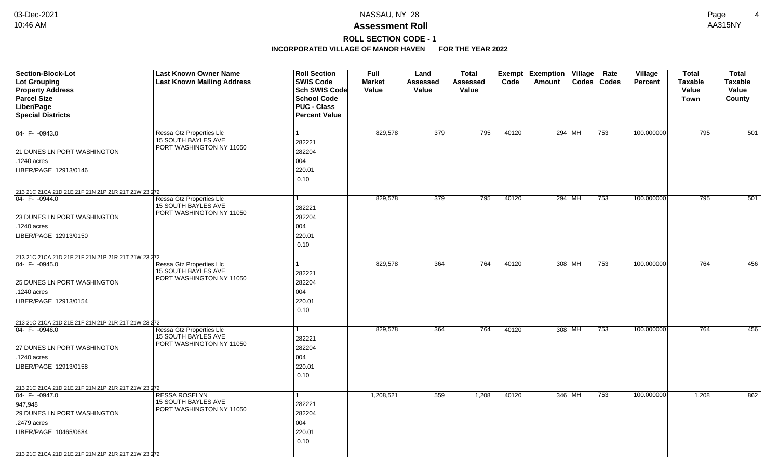## **ROLL SECTION CODE - 1**

| Section-Block-Lot<br>Lot Grouping<br><b>Property Address</b> | <b>Last Known Owner Name</b><br><b>Last Known Mailing Address</b> | <b>Roll Section</b><br><b>SWIS Code</b><br>Sch SWIS Code         | Full<br><b>Market</b><br>Value | Land<br>Assessed<br>Value | <b>Total</b><br>Assessed<br>Value | Code  | Exempt Exemption Village<br>Amount | Rate<br>Codes   Codes | Village<br><b>Percent</b> | <b>Total</b><br><b>Taxable</b><br>Value | <b>Total</b><br><b>Taxable</b><br>Value |
|--------------------------------------------------------------|-------------------------------------------------------------------|------------------------------------------------------------------|--------------------------------|---------------------------|-----------------------------------|-------|------------------------------------|-----------------------|---------------------------|-----------------------------------------|-----------------------------------------|
| <b>Parcel Size</b><br>Liber/Page<br><b>Special Districts</b> |                                                                   | <b>School Code</b><br><b>PUC - Class</b><br><b>Percent Value</b> |                                |                           |                                   |       |                                    |                       |                           | <b>Town</b>                             | County                                  |
| $04 - F - 0943.0$                                            | Ressa Gtz Properties Llc<br>15 SOUTH BAYLES AVE                   | 282221                                                           | 829,578                        | $\overline{379}$          | 795                               | 40120 | 294 MH                             | 753                   | 100.000000                | 795                                     | 501                                     |
| 21 DUNES LN PORT WASHINGTON                                  | PORT WASHINGTON NY 11050                                          | 282204                                                           |                                |                           |                                   |       |                                    |                       |                           |                                         |                                         |
| .1240 acres                                                  |                                                                   | 004                                                              |                                |                           |                                   |       |                                    |                       |                           |                                         |                                         |
| LIBER/PAGE 12913/0146                                        |                                                                   | 220.01<br>0.10                                                   |                                |                           |                                   |       |                                    |                       |                           |                                         |                                         |
| 213 21C 21CA 21D 21E 21F 21N 21P 21R 21T 21W 23 272          |                                                                   |                                                                  |                                |                           |                                   |       |                                    |                       |                           |                                         |                                         |
| $ 04 - F - 0944.0$                                           | Ressa Gtz Properties Llc<br>15 SOUTH BAYLES AVE                   | 282221                                                           | 829,578                        | $\overline{379}$          | 795                               | 40120 | 294 MH                             | 753                   | 100.000000                | 795                                     | 501                                     |
| 23 DUNES LN PORT WASHINGTON                                  | PORT WASHINGTON NY 11050                                          | 282204                                                           |                                |                           |                                   |       |                                    |                       |                           |                                         |                                         |
| .1240 acres                                                  |                                                                   | 004                                                              |                                |                           |                                   |       |                                    |                       |                           |                                         |                                         |
| LIBER/PAGE 12913/0150                                        |                                                                   | 220.01                                                           |                                |                           |                                   |       |                                    |                       |                           |                                         |                                         |
|                                                              |                                                                   | 0.10                                                             |                                |                           |                                   |       |                                    |                       |                           |                                         |                                         |
| 213 21C 21CA 21D 21E 21F 21N 21P 21R 21T 21W 23 272          |                                                                   |                                                                  |                                |                           |                                   |       |                                    |                       |                           |                                         |                                         |
| $ 04 - F - 0945.0$                                           | Ressa Gtz Properties Llc                                          |                                                                  | 829,578                        | 364                       | 764                               | 40120 | 308 MH                             | 753                   | 100.000000                | 764                                     | 456                                     |
|                                                              | <b>15 SOUTH BAYLES AVE</b><br>PORT WASHINGTON NY 11050            | 282221                                                           |                                |                           |                                   |       |                                    |                       |                           |                                         |                                         |
| 25 DUNES LN PORT WASHINGTON                                  |                                                                   | 282204                                                           |                                |                           |                                   |       |                                    |                       |                           |                                         |                                         |
| .1240 acres                                                  |                                                                   | 004                                                              |                                |                           |                                   |       |                                    |                       |                           |                                         |                                         |
| LIBER/PAGE 12913/0154                                        |                                                                   | 220.01                                                           |                                |                           |                                   |       |                                    |                       |                           |                                         |                                         |
|                                                              |                                                                   | 0.10                                                             |                                |                           |                                   |       |                                    |                       |                           |                                         |                                         |
| 213 21C 21CA 21D 21E 21F 21N 21P 21R 21T 21W 23 272          |                                                                   |                                                                  |                                |                           |                                   |       |                                    |                       |                           |                                         |                                         |
| $ 04 - F - 0946.0$                                           | Ressa Gtz Properties Llc                                          |                                                                  | 829,578                        | 364                       | 764                               | 40120 | 308 MH                             | 753                   | 100.000000                | 764                                     | 456                                     |
|                                                              | 15 SOUTH BAYLES AVE<br>PORT WASHINGTON NY 11050                   | 282221                                                           |                                |                           |                                   |       |                                    |                       |                           |                                         |                                         |
| 27 DUNES LN PORT WASHINGTON                                  |                                                                   | 282204                                                           |                                |                           |                                   |       |                                    |                       |                           |                                         |                                         |
| .1240 acres                                                  |                                                                   | 004                                                              |                                |                           |                                   |       |                                    |                       |                           |                                         |                                         |
| LIBER/PAGE 12913/0158                                        |                                                                   | 220.01                                                           |                                |                           |                                   |       |                                    |                       |                           |                                         |                                         |
|                                                              |                                                                   | 0.10                                                             |                                |                           |                                   |       |                                    |                       |                           |                                         |                                         |
| 213 21C 21CA 21D 21E 21F 21N 21P 21R 21T 21W 23 272          |                                                                   |                                                                  |                                |                           |                                   |       |                                    |                       |                           |                                         |                                         |
| $ 04 - F - 0947.0$                                           | <b>RESSA ROSELYN</b>                                              | 1                                                                | 1,208,521                      | 559                       | 1,208                             | 40120 | 346 MH                             | 753                   | 100.000000                | 1,208                                   | 862                                     |
| 947,948                                                      | <b>15 SOUTH BAYLES AVE</b><br>PORT WASHINGTON NY 11050            | 282221                                                           |                                |                           |                                   |       |                                    |                       |                           |                                         |                                         |
| 29 DUNES LN PORT WASHINGTON                                  |                                                                   | 282204                                                           |                                |                           |                                   |       |                                    |                       |                           |                                         |                                         |
| .2479 acres                                                  |                                                                   | 004                                                              |                                |                           |                                   |       |                                    |                       |                           |                                         |                                         |
| LIBER/PAGE 10465/0684                                        |                                                                   | 220.01                                                           |                                |                           |                                   |       |                                    |                       |                           |                                         |                                         |
|                                                              |                                                                   | 0.10                                                             |                                |                           |                                   |       |                                    |                       |                           |                                         |                                         |
| 213 21C 21CA 21D 21E 21F 21N 21P 21R 21T 21W 23 272          |                                                                   |                                                                  |                                |                           |                                   |       |                                    |                       |                           |                                         |                                         |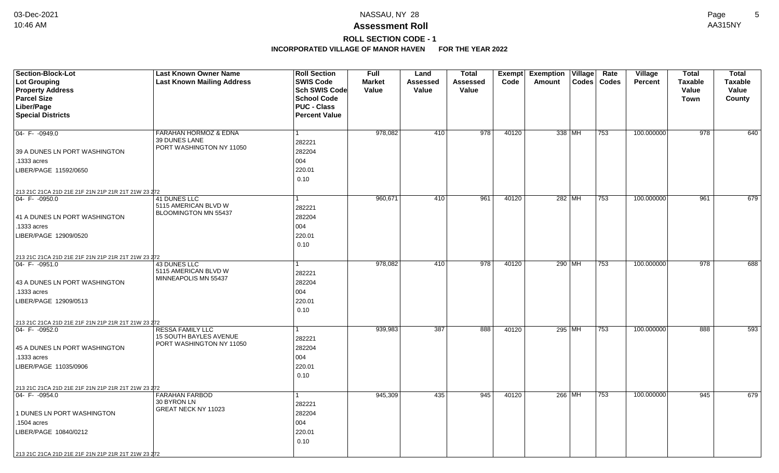### **Assessment Roll** 10:46 AM AA315NY

## **ROLL SECTION CODE - 1**

| <b>Section-Block-Lot</b><br>Lot Grouping<br><b>Property Address</b>      | <b>Last Known Owner Name</b><br><b>Last Known Mailing Address</b> | <b>Roll Section</b><br><b>SWIS Code</b><br>Sch SWIS Code | <b>Full</b><br><b>Market</b><br>Value | Land<br>Assessed<br>Value | <b>Total</b><br>Assessed<br>Value | Code  | Exempt Exemption Village<br>Amount | Rate<br>Codes   Codes | <b>Village</b><br><b>Percent</b> | <b>Total</b><br><b>Taxable</b><br>Value | <b>Total</b><br><b>Taxable</b><br>Value |
|--------------------------------------------------------------------------|-------------------------------------------------------------------|----------------------------------------------------------|---------------------------------------|---------------------------|-----------------------------------|-------|------------------------------------|-----------------------|----------------------------------|-----------------------------------------|-----------------------------------------|
| <b>Parcel Size</b>                                                       |                                                                   | <b>School Code</b>                                       |                                       |                           |                                   |       |                                    |                       |                                  | <b>Town</b>                             | County                                  |
| Liber/Page                                                               |                                                                   | <b>PUC - Class</b>                                       |                                       |                           |                                   |       |                                    |                       |                                  |                                         |                                         |
| <b>Special Districts</b>                                                 |                                                                   | <b>Percent Value</b>                                     |                                       |                           |                                   |       |                                    |                       |                                  |                                         |                                         |
|                                                                          |                                                                   |                                                          |                                       |                           |                                   |       |                                    |                       |                                  |                                         |                                         |
| $04 - F - 0949.0$                                                        | <b>FARAHAN HORMOZ &amp; EDNA</b><br>39 DUNES LANE                 | $\mathbf{1}$                                             | 978,082                               | 410                       | 978                               | 40120 | 338 MH                             | 753                   | 100.000000                       | 978                                     | 640                                     |
|                                                                          | PORT WASHINGTON NY 11050                                          | 282221                                                   |                                       |                           |                                   |       |                                    |                       |                                  |                                         |                                         |
| 39 A DUNES LN PORT WASHINGTON                                            |                                                                   | 282204                                                   |                                       |                           |                                   |       |                                    |                       |                                  |                                         |                                         |
| .1333 acres                                                              |                                                                   | 004                                                      |                                       |                           |                                   |       |                                    |                       |                                  |                                         |                                         |
| LIBER/PAGE 11592/0650                                                    |                                                                   | 220.01                                                   |                                       |                           |                                   |       |                                    |                       |                                  |                                         |                                         |
|                                                                          |                                                                   | 0.10                                                     |                                       |                           |                                   |       |                                    |                       |                                  |                                         |                                         |
| 213 21C 21CA 21D 21E 21F 21N 21P 21R 21T 21W 23 272                      |                                                                   |                                                          |                                       |                           | 961                               |       |                                    |                       |                                  | 961                                     | 679                                     |
| 04- F- -0950.0                                                           | 41 DUNES LLC<br>5115 AMERICAN BLVD W                              | $\mathbf{1}$<br>282221                                   | 960,671                               | 410                       |                                   | 40120 | 282 MH                             | 753                   | 100.000000                       |                                         |                                         |
| 41 A DUNES LN PORT WASHINGTON                                            | BLOOMINGTON MN 55437                                              | 282204                                                   |                                       |                           |                                   |       |                                    |                       |                                  |                                         |                                         |
| .1333 acres                                                              |                                                                   | 004                                                      |                                       |                           |                                   |       |                                    |                       |                                  |                                         |                                         |
| LIBER/PAGE 12909/0520                                                    |                                                                   | 220.01                                                   |                                       |                           |                                   |       |                                    |                       |                                  |                                         |                                         |
|                                                                          |                                                                   | 0.10                                                     |                                       |                           |                                   |       |                                    |                       |                                  |                                         |                                         |
|                                                                          |                                                                   |                                                          |                                       |                           |                                   |       |                                    |                       |                                  |                                         |                                         |
| 213 21C 21CA 21D 21E 21F 21N 21P 21R 21T 21W 23 272<br>$04 - F - 0951.0$ | 43 DUNES LLC                                                      | 1                                                        | 978,082                               | 410                       | 978                               | 40120 | 290 MH                             | 753                   | 100.000000                       | 978                                     | 688                                     |
|                                                                          | 5115 AMERICAN BLVD W                                              | 282221                                                   |                                       |                           |                                   |       |                                    |                       |                                  |                                         |                                         |
| 43 A DUNES LN PORT WASHINGTON                                            | MINNEAPOLIS MN 55437                                              | 282204                                                   |                                       |                           |                                   |       |                                    |                       |                                  |                                         |                                         |
| .1333 acres                                                              |                                                                   | 004                                                      |                                       |                           |                                   |       |                                    |                       |                                  |                                         |                                         |
| LIBER/PAGE 12909/0513                                                    |                                                                   | 220.01                                                   |                                       |                           |                                   |       |                                    |                       |                                  |                                         |                                         |
|                                                                          |                                                                   | 0.10                                                     |                                       |                           |                                   |       |                                    |                       |                                  |                                         |                                         |
| 213 21C 21CA 21D 21E 21F 21N 21P 21R 21T 21W 23 272                      |                                                                   |                                                          |                                       |                           |                                   |       |                                    |                       |                                  |                                         |                                         |
| $ 04 - F - 0952.0$                                                       | <b>RESSA FAMILY LLC</b>                                           | $\mathbf{1}$                                             | 939,983                               | 387                       | 888                               | 40120 | 295 MH                             | 753                   | 100.000000                       | 888                                     | 593                                     |
|                                                                          | <b>15 SOUTH BAYLES AVENUE</b>                                     | 282221                                                   |                                       |                           |                                   |       |                                    |                       |                                  |                                         |                                         |
| 45 A DUNES LN PORT WASHINGTON                                            | PORT WASHINGTON NY 11050                                          | 282204                                                   |                                       |                           |                                   |       |                                    |                       |                                  |                                         |                                         |
| .1333 acres                                                              |                                                                   | 004                                                      |                                       |                           |                                   |       |                                    |                       |                                  |                                         |                                         |
| LIBER/PAGE 11035/0906                                                    |                                                                   | 220.01                                                   |                                       |                           |                                   |       |                                    |                       |                                  |                                         |                                         |
|                                                                          |                                                                   | 0.10                                                     |                                       |                           |                                   |       |                                    |                       |                                  |                                         |                                         |
| 213 21C 21CA 21D 21E 21F 21N 21P 21R 21T 21W 23 272                      |                                                                   |                                                          |                                       |                           |                                   |       |                                    |                       |                                  |                                         |                                         |
| $04 - F - 0954.0$                                                        | <b>FARAHAN FARBOD</b>                                             | $\mathbf{1}$                                             | 945,309                               | 435                       | 945                               | 40120 | 266 MH                             | 753                   | 100.000000                       | 945                                     | 679                                     |
|                                                                          | 30 BYRON LN<br>GREAT NECK NY 11023                                | 282221                                                   |                                       |                           |                                   |       |                                    |                       |                                  |                                         |                                         |
| 1 DUNES LN PORT WASHINGTON                                               |                                                                   | 282204                                                   |                                       |                           |                                   |       |                                    |                       |                                  |                                         |                                         |
| .1504 acres                                                              |                                                                   | 004                                                      |                                       |                           |                                   |       |                                    |                       |                                  |                                         |                                         |
| LIBER/PAGE 10840/0212                                                    |                                                                   | 220.01                                                   |                                       |                           |                                   |       |                                    |                       |                                  |                                         |                                         |
|                                                                          |                                                                   | 0.10                                                     |                                       |                           |                                   |       |                                    |                       |                                  |                                         |                                         |
| 213 21C 21CA 21D 21E 21F 21N 21P 21R 21T 21W 23 272                      |                                                                   |                                                          |                                       |                           |                                   |       |                                    |                       |                                  |                                         |                                         |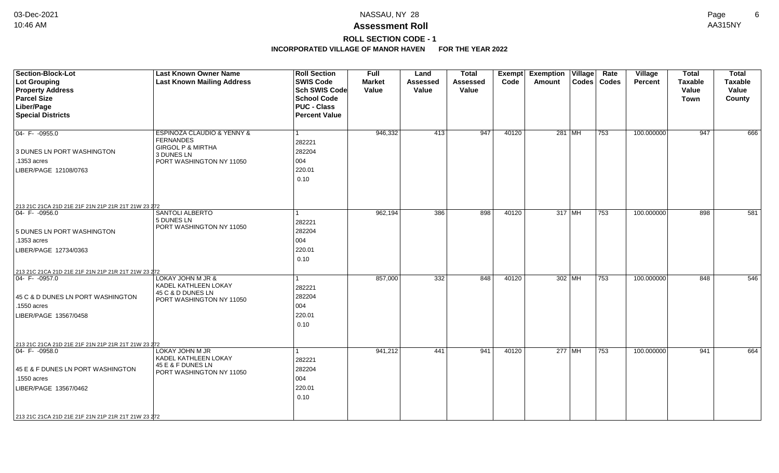## **ROLL SECTION CODE - 1**

| <b>Section-Block-Lot</b><br><b>Lot Grouping</b><br><b>Property Address</b><br><b>Parcel Size</b><br>Liber/Page<br><b>Special Districts</b>                                                                    | <b>Last Known Owner Name</b><br><b>Last Known Mailing Address</b>                                                                       | <b>Roll Section</b><br><b>SWIS Code</b><br><b>Sch SWIS Code</b><br><b>School Code</b><br><b>PUC - Class</b><br><b>Percent Value</b> | <b>Full</b><br><b>Market</b><br>Value | Land<br><b>Assessed</b><br>Value | <b>Total</b><br><b>Assessed</b><br>Value | Exempt<br>Code | <b>Exemption Village</b><br><b>Amount</b> | Rate<br>Codes   Codes | Village<br><b>Percent</b> | <b>Total</b><br><b>Taxable</b><br>Value<br><b>Town</b> | <b>Total</b><br><b>Taxable</b><br>Value<br>County |
|---------------------------------------------------------------------------------------------------------------------------------------------------------------------------------------------------------------|-----------------------------------------------------------------------------------------------------------------------------------------|-------------------------------------------------------------------------------------------------------------------------------------|---------------------------------------|----------------------------------|------------------------------------------|----------------|-------------------------------------------|-----------------------|---------------------------|--------------------------------------------------------|---------------------------------------------------|
| $04 - F - 0955.0$<br>3 DUNES LN PORT WASHINGTON<br>.1353 acres<br>LIBER/PAGE 12108/0763                                                                                                                       | <b>ESPINOZA CLAUDIO &amp; YENNY &amp;</b><br><b>FERNANDES</b><br><b>GIRGOL P &amp; MIRTHA</b><br>3 DUNES LN<br>PORT WASHINGTON NY 11050 | 282221<br>282204<br>004<br>220.01<br>0.10                                                                                           | 946,332                               | 413                              | 947                                      | 40120          | 281 MH                                    | 753                   | 100.000000                | 947                                                    | 666                                               |
| 213 21C 21CA 21D 21E 21F 21N 21P 21R 21T 21W 23 272<br>$04 - F - 0956.0$<br>5 DUNES LN PORT WASHINGTON<br>.1353 acres<br>LIBER/PAGE 12734/0363                                                                | <b>SANTOLI ALBERTO</b><br>5 DUNES LN<br>PORT WASHINGTON NY 11050                                                                        | 282221<br>282204<br>004<br>220.01<br>0.10                                                                                           | 962,194                               | 386                              | 898                                      | 40120          | 317 MH                                    | 753                   | 100.000000                | 898                                                    | 581                                               |
| 213 21C 21CA 21D 21E 21F 21N 21P 21R 21T 21W 23 272<br>$04 - F - 0957.0$<br>45 C & D DUNES LN PORT WASHINGTON<br>.1550 acres<br>LIBER/PAGE 13567/0458                                                         | LOKAY JOHN M JR &<br>KADEL KATHLEEN LOKAY<br>45 C & D DUNES LN<br>PORT WASHINGTON NY 11050                                              | 282221<br>282204<br>004<br>220.01<br>0.10                                                                                           | 857,000                               | 332                              | 848                                      | 40120          | $302$ MH                                  | 753                   | 100.000000                | 848                                                    | 546                                               |
| 213 21C 21CA 21D 21E 21F 21N 21P 21R 21T 21W 23 272<br>$ 04 - F - 0958.0$<br>45 E & F DUNES LN PORT WASHINGTON<br>.1550 acres<br>LIBER/PAGE 13567/0462<br>213 21C 21CA 21D 21E 21F 21N 21P 21R 21T 21W 23 272 | LOKAY JOHN M JR<br>KADEL KATHLEEN LOKAY<br>45 E & F DUNES LN<br>PORT WASHINGTON NY 11050                                                | 282221<br>282204<br>004<br>220.01<br>0.10                                                                                           | 941,212                               | 441                              | 941                                      | 40120          | 277 MH                                    | 753                   | 100.000000                | 941                                                    | 664                                               |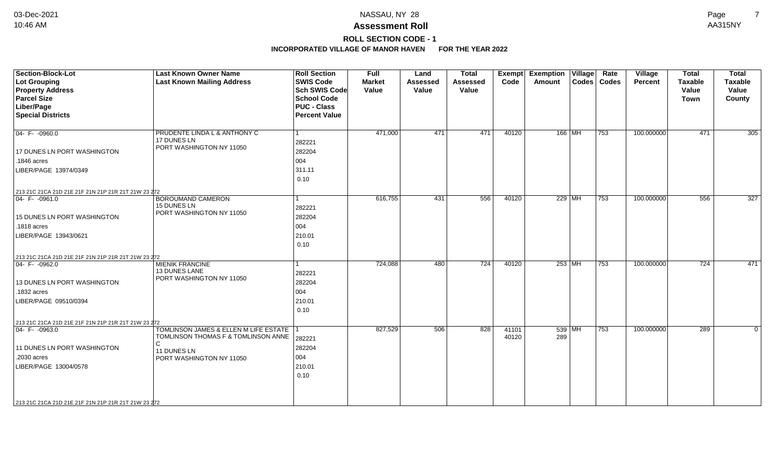**ROLL SECTION CODE - 1**

| Section-Block-Lot<br><b>Lot Grouping</b><br><b>Property Address</b><br><b>Parcel Size</b><br>Liber/Page<br><b>Special Districts</b> | <b>Last Known Owner Name</b><br><b>Last Known Mailing Address</b>              | <b>Roll Section</b><br><b>SWIS Code</b><br><b>Sch SWIS Code</b><br><b>School Code</b><br><b>PUC - Class</b><br><b>Percent Value</b> | Full<br><b>Market</b><br>Value | Land<br><b>Assessed</b><br>Value | <b>Total</b><br><b>Assessed</b><br>Value | <b>Exempt</b><br>Code | <b>Exemption Village</b><br><b>Amount</b> |          | Rate<br>Codes   Codes | <b>Village</b><br><b>Percent</b> | <b>Total</b><br><b>Taxable</b><br>Value<br><b>Town</b> | <b>Total</b><br><b>Taxable</b><br>Value<br>County |
|-------------------------------------------------------------------------------------------------------------------------------------|--------------------------------------------------------------------------------|-------------------------------------------------------------------------------------------------------------------------------------|--------------------------------|----------------------------------|------------------------------------------|-----------------------|-------------------------------------------|----------|-----------------------|----------------------------------|--------------------------------------------------------|---------------------------------------------------|
|                                                                                                                                     |                                                                                |                                                                                                                                     |                                |                                  |                                          |                       |                                           |          |                       |                                  |                                                        |                                                   |
| $04 - F - 0960.0$                                                                                                                   | PRUDENTE LINDA L & ANTHONY C<br>17 DUNES LN                                    | l 1                                                                                                                                 | 471,000                        | 471                              | 471                                      | 40120                 |                                           | 166 MH   | 753                   | 100.000000                       | 471                                                    | 305                                               |
| 17 DUNES LN PORT WASHINGTON                                                                                                         | PORT WASHINGTON NY 11050                                                       | 282221<br>282204                                                                                                                    |                                |                                  |                                          |                       |                                           |          |                       |                                  |                                                        |                                                   |
| .1846 acres                                                                                                                         |                                                                                | 004                                                                                                                                 |                                |                                  |                                          |                       |                                           |          |                       |                                  |                                                        |                                                   |
| LIBER/PAGE 13974/0349                                                                                                               |                                                                                | 311.11                                                                                                                              |                                |                                  |                                          |                       |                                           |          |                       |                                  |                                                        |                                                   |
|                                                                                                                                     |                                                                                | 0.10                                                                                                                                |                                |                                  |                                          |                       |                                           |          |                       |                                  |                                                        |                                                   |
| 213 21C 21CA 21D 21E 21F 21N 21P 21R 21T 21W 23 272                                                                                 |                                                                                |                                                                                                                                     |                                |                                  |                                          |                       |                                           |          |                       |                                  |                                                        |                                                   |
| $ 04 - F - 0961.0$                                                                                                                  | <b>BOROUMAND CAMERON</b>                                                       | -1                                                                                                                                  | 616,755                        | 431                              | 556                                      | 40120                 |                                           | $229$ MH | $ 753\rangle$         | 100.000000                       | 556                                                    | 327                                               |
|                                                                                                                                     | 15 DUNES LN<br>PORT WASHINGTON NY 11050                                        | 282221                                                                                                                              |                                |                                  |                                          |                       |                                           |          |                       |                                  |                                                        |                                                   |
| 15 DUNES LN PORT WASHINGTON                                                                                                         |                                                                                | 282204                                                                                                                              |                                |                                  |                                          |                       |                                           |          |                       |                                  |                                                        |                                                   |
| .1818 acres                                                                                                                         |                                                                                | 004                                                                                                                                 |                                |                                  |                                          |                       |                                           |          |                       |                                  |                                                        |                                                   |
| LIBER/PAGE 13943/0621                                                                                                               |                                                                                | 210.01                                                                                                                              |                                |                                  |                                          |                       |                                           |          |                       |                                  |                                                        |                                                   |
|                                                                                                                                     |                                                                                | 0.10                                                                                                                                |                                |                                  |                                          |                       |                                           |          |                       |                                  |                                                        |                                                   |
| 213 21C 21CA 21D 21E 21F 21N 21P 21R 21T 21W 23 272                                                                                 |                                                                                |                                                                                                                                     |                                |                                  |                                          |                       |                                           |          |                       |                                  |                                                        |                                                   |
| 04- F-0962.0                                                                                                                        | <b>MIENIK FRANCINE</b><br><b>13 DUNES LANE</b>                                 | $\overline{1}$                                                                                                                      | 724,088                        | 480                              | 724                                      | 40120                 |                                           | $253$ MH | 753                   | 100.000000                       | 724                                                    | 471                                               |
|                                                                                                                                     | PORT WASHINGTON NY 11050                                                       | 282221                                                                                                                              |                                |                                  |                                          |                       |                                           |          |                       |                                  |                                                        |                                                   |
| 13 DUNES LN PORT WASHINGTON                                                                                                         |                                                                                | 282204                                                                                                                              |                                |                                  |                                          |                       |                                           |          |                       |                                  |                                                        |                                                   |
| .1832 acres                                                                                                                         |                                                                                | 004                                                                                                                                 |                                |                                  |                                          |                       |                                           |          |                       |                                  |                                                        |                                                   |
| LIBER/PAGE 09510/0394                                                                                                               |                                                                                | 210.01                                                                                                                              |                                |                                  |                                          |                       |                                           |          |                       |                                  |                                                        |                                                   |
|                                                                                                                                     |                                                                                | 0.10                                                                                                                                |                                |                                  |                                          |                       |                                           |          |                       |                                  |                                                        |                                                   |
| 213 21C 21CA 21D 21E 21F 21N 21P 21R 21T 21W 23 272                                                                                 |                                                                                |                                                                                                                                     |                                |                                  |                                          |                       |                                           |          |                       |                                  |                                                        |                                                   |
| 04- F- -0963.0                                                                                                                      | TOMLINSON JAMES & ELLEN M LIFE ESTATE 1<br>TOMLINSON THOMAS F & TOMLINSON ANNE |                                                                                                                                     | 827,529                        | 506                              | 828                                      | 41101<br>40120        | 289                                       | 539 MH   | 753                   | 100.000000                       | 289                                                    | $\mathbf{0}$                                      |
|                                                                                                                                     | C                                                                              | 282221                                                                                                                              |                                |                                  |                                          |                       |                                           |          |                       |                                  |                                                        |                                                   |
| 11 DUNES LN PORT WASHINGTON                                                                                                         | 11 DUNES LN                                                                    | 282204                                                                                                                              |                                |                                  |                                          |                       |                                           |          |                       |                                  |                                                        |                                                   |
| .2030 acres                                                                                                                         | PORT WASHINGTON NY 11050                                                       | 004                                                                                                                                 |                                |                                  |                                          |                       |                                           |          |                       |                                  |                                                        |                                                   |
| LIBER/PAGE 13004/0578                                                                                                               |                                                                                | 210.01                                                                                                                              |                                |                                  |                                          |                       |                                           |          |                       |                                  |                                                        |                                                   |
|                                                                                                                                     |                                                                                | 0.10                                                                                                                                |                                |                                  |                                          |                       |                                           |          |                       |                                  |                                                        |                                                   |
| 213 21C 21CA 21D 21E 21F 21N 21P 21R 21T 21W 23 272                                                                                 |                                                                                |                                                                                                                                     |                                |                                  |                                          |                       |                                           |          |                       |                                  |                                                        |                                                   |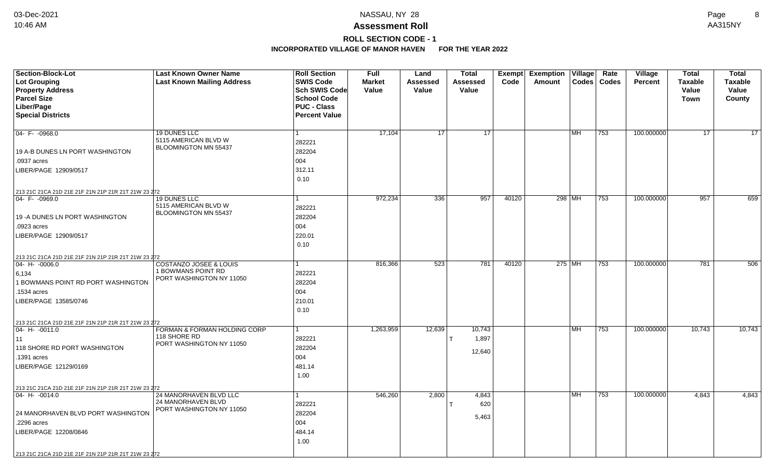# **ROLL SECTION CODE - 1**

| Section-Block-Lot<br><b>Lot Grouping</b><br><b>Property Address</b>                                                                                                                                             | <b>Last Known Owner Name</b><br><b>Last Known Mailing Address</b>                   | <b>Roll Section</b><br><b>SWIS Code</b><br>Sch SWIS Code         | <b>Full</b><br><b>Market</b><br>Value | Land<br><b>Assessed</b><br>Value | <b>Total</b><br>Assessed<br>Value | <b>Exempt</b><br>Code | <b>Exemption Village</b><br>Amount |           | Rate<br>Codes   Codes | Village<br>Percent | <b>Total</b><br><b>Taxable</b><br>Value | <b>Total</b><br><b>Taxable</b><br>Value |
|-----------------------------------------------------------------------------------------------------------------------------------------------------------------------------------------------------------------|-------------------------------------------------------------------------------------|------------------------------------------------------------------|---------------------------------------|----------------------------------|-----------------------------------|-----------------------|------------------------------------|-----------|-----------------------|--------------------|-----------------------------------------|-----------------------------------------|
| <b>Parcel Size</b><br>Liber/Page<br><b>Special Districts</b>                                                                                                                                                    |                                                                                     | <b>School Code</b><br><b>PUC - Class</b><br><b>Percent Value</b> |                                       |                                  |                                   |                       |                                    |           |                       |                    | <b>Town</b>                             | County                                  |
| 04-F-0968.0<br>19 A-B DUNES LN PORT WASHINGTON<br>.0937 acres<br>LIBER/PAGE 12909/0517                                                                                                                          | 19 DUNES LLC<br>5115 AMERICAN BLVD W<br>BLOOMINGTON MN 55437                        | 1<br>282221<br>282204<br>004<br>312.11                           | 17,104                                | 17                               | 17                                |                       |                                    | MH        | 753                   | 100.000000         | 17                                      | $\overline{17}$                         |
| 213 21C 21CA 21D 21E 21F 21N 21P 21R 21T 21W 23 272                                                                                                                                                             |                                                                                     | 0.10                                                             |                                       |                                  |                                   |                       |                                    |           |                       |                    |                                         |                                         |
| $ 04 - F - 0969.0$<br>19 - A DUNES LN PORT WASHINGTON<br>.0923 acres<br>LIBER/PAGE 12909/0517                                                                                                                   | 19 DUNES LLC<br>5115 AMERICAN BLVD W<br>BLOOMINGTON MN 55437                        | 1<br>282221<br>282204<br>004<br>220.01<br>0.10                   | 972,234                               | 336                              | 957                               | 40120                 | 298 MH                             |           | 753                   | 100.000000         | 957                                     | 659                                     |
| 213 21C 21CA 21D 21E 21F 21N 21P 21R 21T 21W 23 272<br>$ 04 - H - 0006.0$<br>6,134<br>1 BOWMANS POINT RD PORT WASHINGTON<br>1534 acres<br>LIBER/PAGE 13585/0746                                                 | <b>COSTANZO JOSEE &amp; LOUIS</b><br>1 BOWMANS POINT RD<br>PORT WASHINGTON NY 11050 | 282221<br>282204<br>004<br>210.01<br>0.10                        | 816,366                               | 523                              | 781                               | 40120                 | 275 MH                             |           | 753                   | 100.000000         | 781                                     | 506                                     |
| 213 21C 21CA 21D 21E 21F 21N 21P 21R 21T 21W 23 272<br>$ 04 - H - 0011.0$<br> 11<br>118 SHORE RD PORT WASHINGTON<br>.1391 acres<br>LIBER/PAGE 12129/0169<br>213 21C 21CA 21D 21E 21F 21N 21P 21R 21T 21W 23 272 | FORMAN & FORMAN HOLDING CORP<br>118 SHORE RD<br>PORT WASHINGTON NY 11050            | 1<br>282221<br>282204<br>004<br>481.14<br>1.00                   | 1,263,959                             | 12,639                           | 10,743<br>1,897<br>12,640         |                       |                                    | MH        | 753                   | 100.000000         | 10,743                                  | 10,743                                  |
| 04- H- -0014.0<br>24 MANORHAVEN BLVD PORT WASHINGTON<br>.2296 acres<br>LIBER/PAGE 12208/0846<br>213 21C 21CA 21D 21E 21F 21N 21P 21R 21T 21W 23 272                                                             | 24 MANORHAVEN BLVD LLC<br>24 MANORHAVEN BLVD<br>PORT WASHINGTON NY 11050            | 1<br>282221<br>282204<br>004<br>484.14<br>1.00                   | 546,260                               | 2,800                            | 4,843<br>620<br>5,463             |                       |                                    | <b>MH</b> | 753                   | 100.000000         | 4,843                                   | 4,843                                   |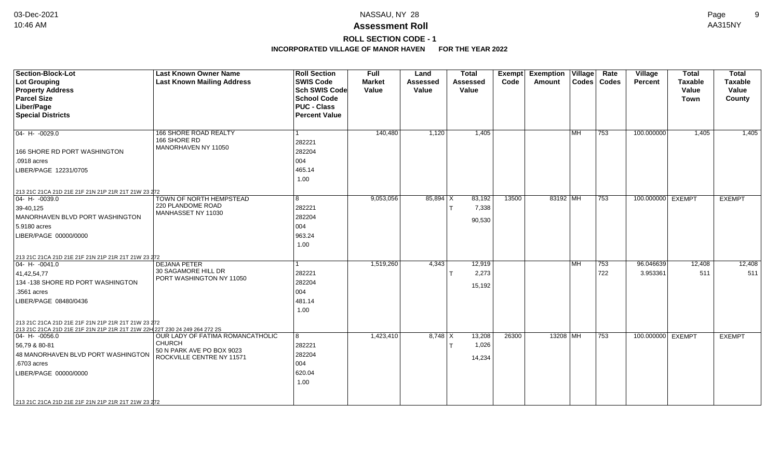**ROLL SECTION CODE - 1**

| <b>Section-Block-Lot</b><br><b>Lot Grouping</b><br><b>Property Address</b><br><b>Parcel Size</b><br>Liber/Page<br><b>Special Districts</b>                                                                                                            | <b>Last Known Owner Name</b><br><b>Last Known Mailing Address</b>                                           | <b>Roll Section</b><br><b>SWIS Code</b><br><b>Sch SWIS Code</b><br><b>School Code</b><br><b>PUC - Class</b><br><b>Percent Value</b> | <b>Full</b><br><b>Market</b><br>Value | Land<br><b>Assessed</b><br>Value | <b>Total</b><br><b>Assessed</b><br>Value | Exempt<br>Code | <b>Exemption Village</b><br>Amount |           | Rate<br>Codes   Codes | Village<br><b>Percent</b> | <b>Total</b><br><b>Taxable</b><br>Value<br><b>Town</b> | <b>Total</b><br><b>Taxable</b><br>Value<br>County |
|-------------------------------------------------------------------------------------------------------------------------------------------------------------------------------------------------------------------------------------------------------|-------------------------------------------------------------------------------------------------------------|-------------------------------------------------------------------------------------------------------------------------------------|---------------------------------------|----------------------------------|------------------------------------------|----------------|------------------------------------|-----------|-----------------------|---------------------------|--------------------------------------------------------|---------------------------------------------------|
| $04 - H - 0029.0$<br>166 SHORE RD PORT WASHINGTON<br>.0918 acres<br>LIBER/PAGE 12231/0705                                                                                                                                                             | 166 SHORE ROAD REALTY<br>166 SHORE RD<br>MANORHAVEN NY 11050                                                | 282221<br>282204<br>004<br>465.14<br>1.00                                                                                           | 140,480                               | 1,120                            | 1,405                                    |                |                                    | MH        | 753                   | 100.000000                | 1,405                                                  | 1,405                                             |
| 213 21C 21CA 21D 21E 21F 21N 21P 21R 21T 21W 23 272<br>$04 - H - 0039.0$<br>39-40,125<br>MANORHAVEN BLVD PORT WASHINGTON<br>5.9180 acres<br>LIBER/PAGE 00000/0000                                                                                     | TOWN OF NORTH HEMPSTEAD<br>220 PLANDOME ROAD<br>MANHASSET NY 11030                                          | 8<br>282221<br>282204<br>004<br>963.24<br>1.00                                                                                      | 9,053,056                             | $85,894$ X                       | 83,192<br>7,338<br>90,530                | 13500          | 83192 MH                           |           | $ 753\rangle$         | 100.000000 EXEMPT         |                                                        | <b>EXEMPT</b>                                     |
| 213 21C 21CA 21D 21E 21F 21N 21P 21R 21T 21W 23 272<br>$04 - H - 0041.0$<br>41,42,54,77<br>134 -138 SHORE RD PORT WASHINGTON<br>.3561 acres<br>LIBER/PAGE 08480/0436<br>213 21C 21CA 21D 21E 21F 21N 21P 21R 21T 21W 23 272                           | <b>DEJANA PETER</b><br>30 SAGAMORE HILL DR<br>PORT WASHINGTON NY 11050                                      | 282221<br>282204<br>004<br>481.14<br>1.00                                                                                           | 1,519,260                             | 4,343                            | 12,919<br>2,273<br>15,192                |                |                                    | <b>MH</b> | 753<br>722            | 96.046639<br>3.953361     | 12,408<br>511                                          | 12,408<br>511                                     |
| 213 21C 21CA 21D 21E 21F 21N 21P 21R 21T 21W 22H 22T 230 24 249 264 272 2S<br>$04 - H - 0056.0$<br>56,79 & 80-81<br>48 MANORHAVEN BLVD PORT WASHINGTON<br>.6703 acres<br>LIBER/PAGE 00000/0000<br>213 21C 21CA 21D 21E 21F 21N 21P 21R 21T 21W 23 272 | OUR LADY OF FATIMA ROMANCATHOLIC<br><b>CHURCH</b><br>50 N PARK AVE PO BOX 9023<br>ROCKVILLE CENTRE NY 11571 | $\overline{8}$<br>282221<br>282204<br>004<br>620.04<br>1.00                                                                         | 1,423,410                             | $8,748$ X                        | 13,208<br>1,026<br>14,234                | 26300          | 13208 MH                           |           | $\overline{753}$      | 100.000000 EXEMPT         |                                                        | <b>EXEMPT</b>                                     |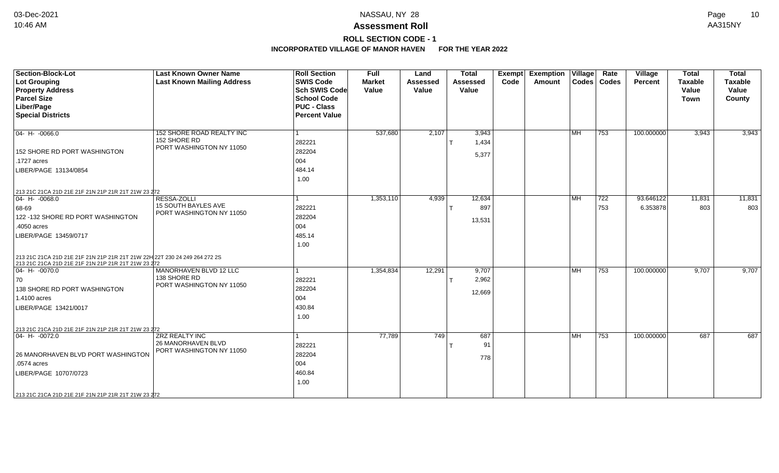### **Assessment Roll** 10:46 AM AA315NY

## **ROLL SECTION CODE - 1**

| <b>Section-Block-Lot</b><br>Lot Grouping<br><b>Property Address</b><br><b>Parcel Size</b><br>Liber/Page<br><b>Special Districts</b>                                                                                                    | <b>Last Known Owner Name</b><br><b>Last Known Mailing Address</b>       | <b>Roll Section</b><br><b>SWIS Code</b><br><b>Sch SWIS Code</b><br><b>School Code</b><br><b>PUC - Class</b><br><b>Percent Value</b> | Full<br><b>Market</b><br>Value | Land<br><b>Assessed</b><br>Value | <b>Total</b><br><b>Assessed</b><br>Value | <b>Exempt</b><br>Code | <b>Exemption Village</b><br>Amount |                           | Rate<br>  Codes   Codes | Village<br><b>Percent</b> | <b>Total</b><br><b>Taxable</b><br>Value<br><b>Town</b> | <b>Total</b><br><b>Taxable</b><br>Value<br>County |
|----------------------------------------------------------------------------------------------------------------------------------------------------------------------------------------------------------------------------------------|-------------------------------------------------------------------------|-------------------------------------------------------------------------------------------------------------------------------------|--------------------------------|----------------------------------|------------------------------------------|-----------------------|------------------------------------|---------------------------|-------------------------|---------------------------|--------------------------------------------------------|---------------------------------------------------|
| $04 - H - 0066.0$<br>152 SHORE RD PORT WASHINGTON<br>.1727 acres<br>LIBER/PAGE 13134/0854<br>213 21C 21CA 21D 21E 21F 21N 21P 21R 21T 21W 23 272                                                                                       | 152 SHORE ROAD REALTY INC<br>152 SHORE RD<br>PORT WASHINGTON NY 11050   | 282221<br>282204<br>004<br>484.14<br>1.00                                                                                           | 537,680                        | 2,107                            | 3,943<br>1,434<br>5,377                  |                       |                                    | $\overline{\mathsf{IMH}}$ | 753                     | 100.000000                | 3,943                                                  | 3,943                                             |
| $04 - H - 0068.0$<br>68-69<br>122 - 132 SHORE RD PORT WASHINGTON<br>.4050 acres<br>LIBER/PAGE 13459/0717                                                                                                                               | RESSA-ZOLLI<br>15 SOUTH BAYLES AVE<br>PORT WASHINGTON NY 11050          | 282221<br>282204<br>004<br>485.14<br>1.00                                                                                           | 1,353,110                      | 4,939                            | 12,634<br>897<br>13,531                  |                       |                                    | <b>MH</b>                 | 722<br>753              | 93.646122<br>6.353878     | 11,831<br>803                                          | 11,831<br>803                                     |
| 213 21C 21CA 21D 21E 21F 21N 21P 21R 21T 21W 22H 22T 230 24 249 264 272 2S<br>213 21C 21CA 21D 21E 21F 21N 21P 21R 21T 21W 23 272<br>$ 04 - H - 0070.0$<br>70<br>138 SHORE RD PORT WASHINGTON<br>1.4100 acres<br>LIBER/PAGE 13421/0017 | MANORHAVEN BLVD 12 LLC<br>138 SHORE RD<br>PORT WASHINGTON NY 11050      | 282221<br>282204<br>004<br>430.84<br>1.00                                                                                           | 1,354,834                      | 12,291                           | 9,707<br>2,962<br>12,669                 |                       |                                    | l MH                      | 753                     | 100.000000                | 9,707                                                  | 9,707                                             |
| 213 21C 21CA 21D 21E 21F 21N 21P 21R 21T 21W 23 272<br>$04 - H - 0072.0$<br>26 MANORHAVEN BLVD PORT WASHINGTON<br>.0574 acres<br>LIBER/PAGE 10707/0723<br>213 21C 21CA 21D 21E 21F 21N 21P 21R 21T 21W 23 272                          | <b>ZRZ REALTY INC</b><br>26 MANORHAVEN BLVD<br>PORT WASHINGTON NY 11050 | 282221<br>282204<br>004<br>460.84<br>1.00                                                                                           | 77.789                         | $\overline{749}$                 | 687<br>91<br>778                         |                       |                                    | <b>MH</b>                 | 753                     | 100.000000                | 687                                                    | 687                                               |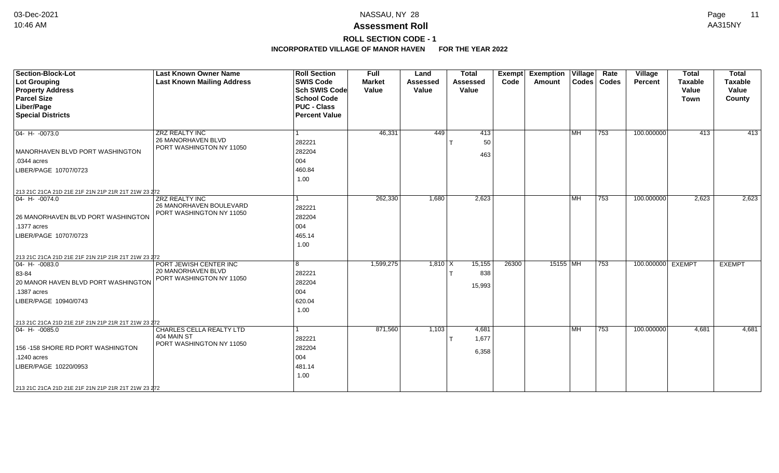### **Assessment Roll** 10:46 AM AA315NY

## **ROLL SECTION CODE - 1**

| <b>Section-Block-Lot</b><br><b>Lot Grouping</b><br><b>Property Address</b><br><b>Parcel Size</b><br>Liber/Page<br><b>Special Districts</b>                                                                    | <b>Last Known Owner Name</b><br><b>Last Known Mailing Address</b>              | <b>Roll Section</b><br><b>SWIS Code</b><br><b>Sch SWIS Code</b><br><b>School Code</b><br><b>PUC - Class</b><br><b>Percent Value</b> | <b>Full</b><br><b>Market</b><br>Value | Land<br><b>Assessed</b><br>Value | <b>Total</b><br><b>Assessed</b><br>Value | Exempt<br>Code | <b>Exemption Village</b><br>Amount |           | Rate<br>Codes   Codes | Village<br>Percent | <b>Total</b><br><b>Taxable</b><br>Value<br><b>Town</b> | <b>Total</b><br>Taxable<br>Value<br>County |
|---------------------------------------------------------------------------------------------------------------------------------------------------------------------------------------------------------------|--------------------------------------------------------------------------------|-------------------------------------------------------------------------------------------------------------------------------------|---------------------------------------|----------------------------------|------------------------------------------|----------------|------------------------------------|-----------|-----------------------|--------------------|--------------------------------------------------------|--------------------------------------------|
| $ 04 - H - 0073.0$<br>MANORHAVEN BLVD PORT WASHINGTON<br>.0344 acres<br>LIBER/PAGE 10707/0723<br>213 21C 21CA 21D 21E 21F 21N 21P 21R 21T 21W 23 272                                                          | <b>ZRZ REALTY INC</b><br><b>26 MANORHAVEN BLVD</b><br>PORT WASHINGTON NY 11050 | 282221<br>282204<br>004<br>460.84<br>1.00                                                                                           | 46,331                                | 449                              | 413<br>50<br>463                         |                |                                    | MH        | 753                   | 100.000000         | 413                                                    | $-413$                                     |
| $ 04 - H - 0074.0$<br>26 MANORHAVEN BLVD PORT WASHINGTON<br>.1377 acres<br>LIBER/PAGE 10707/0723                                                                                                              | <b>ZRZ REALTY INC</b><br>26 MANORHAVEN BOULEVARD<br>PORT WASHINGTON NY 11050   | 282221<br>282204<br>004<br>465.14<br>1.00                                                                                           | 262,330                               | 1,680                            | 2,623                                    |                |                                    | l MH      | $\overline{753}$      | 100.000000         | 2,623                                                  | 2,623                                      |
| 213 21C 21CA 21D 21E 21F 21N 21P 21R 21T 21W 23 272<br>$04 - H - 0083.0$<br>83-84<br>20 MANOR HAVEN BLVD PORT WASHINGTON<br>.1387 acres<br>LIBER/PAGE 10940/0743                                              | PORT JEWISH CENTER INC<br>20 MANORHAVEN BLVD<br>PORT WASHINGTON NY 11050       | 8<br>282221<br>282204<br>004<br>620.04<br>1.00                                                                                      | 1,599,275                             | $1,810$ X                        | 15,155<br>838<br>15,993                  | 26300          | 15155 MH                           |           | 753                   | 100.000000 EXEMPT  |                                                        | <b>EXEMPT</b>                              |
| 213 21C 21CA 21D 21E 21F 21N 21P 21R 21T 21W 23 272<br>$04 - H - 0085.0$<br>156 - 158 SHORE RD PORT WASHINGTON<br>.1240 acres<br>LIBER/PAGE 10220/0953<br>213 21C 21CA 21D 21E 21F 21N 21P 21R 21T 21W 23 272 | <b>CHARLES CELLA REALTY LTD</b><br>404 MAIN ST<br>PORT WASHINGTON NY 11050     | 282221<br>282204<br>004<br>481.14<br>1.00                                                                                           | 871,560                               | 1,103                            | 4,681<br>1,677<br>6,358                  |                |                                    | <b>MH</b> | 753                   | 100.000000         | 4,681                                                  | 4,681                                      |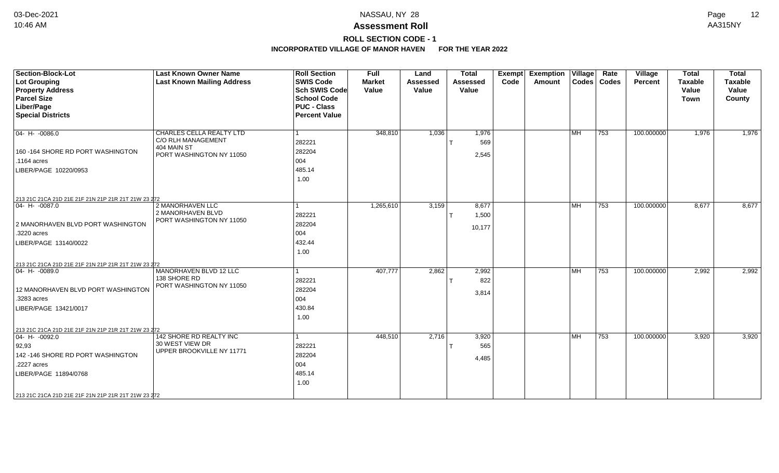### **Assessment Roll** 10:46 AM AA315NY

## **ROLL SECTION CODE - 1**

| <b>Section-Block-Lot</b><br><b>Lot Grouping</b><br><b>Property Address</b><br><b>Parcel Size</b><br>Liber/Page<br><b>Special Districts</b>                      | <b>Last Known Owner Name</b><br><b>Last Known Mailing Address</b>                         | <b>Roll Section</b><br><b>SWIS Code</b><br><b>Sch SWIS Code</b><br><b>School Code</b><br><b>PUC - Class</b><br><b>Percent Value</b> | <b>Full</b><br><b>Market</b><br>Value | Land<br><b>Assessed</b><br>Value | <b>Total</b><br><b>Assessed</b><br>Value | Exempt<br>Code | <b>Exemption Village</b><br>Amount |           | Rate<br>Codes   Codes | Village<br>Percent | <b>Total</b><br><b>Taxable</b><br>Value<br><b>Town</b> | <b>Total</b><br><b>Taxable</b><br>Value<br>County |
|-----------------------------------------------------------------------------------------------------------------------------------------------------------------|-------------------------------------------------------------------------------------------|-------------------------------------------------------------------------------------------------------------------------------------|---------------------------------------|----------------------------------|------------------------------------------|----------------|------------------------------------|-----------|-----------------------|--------------------|--------------------------------------------------------|---------------------------------------------------|
| $ 04 - H - 0086.0$<br>160 - 164 SHORE RD PORT WASHINGTON<br>.1164 acres<br>LIBER/PAGE 10220/0953<br>213 21C 21CA 21D 21E 21F 21N 21P 21R 21T 21W 23 272         | CHARLES CELLA REALTY LTD<br>C/O RLH MANAGEMENT<br>404 MAIN ST<br>PORT WASHINGTON NY 11050 | 282221<br>282204<br>004<br>485.14<br>1.00                                                                                           | 348,810                               | 1,036                            | 1,976<br>569<br>2,545                    |                |                                    | <b>MH</b> | 753                   | 100.000000         | 1,976                                                  | 1,976                                             |
| 04- H- -0087.0<br>2 MANORHAVEN BLVD PORT WASHINGTON<br>.3220 acres<br>LIBER/PAGE 13140/0022<br>213 21C 21CA 21D 21E 21F 21N 21P 21R 21T 21W 23 272              | 2 MANORHAVEN LLC<br>2 MANORHAVEN BLVD<br>PORT WASHINGTON NY 11050                         | 282221<br>282204<br>004<br>432.44<br>1.00                                                                                           | 1,265,610                             | 3,159                            | 8,677<br>1,500<br>10,177                 |                |                                    | <b>MH</b> | 753                   | 100.000000         | 8,677                                                  | 8,677                                             |
| $04 - H - 0089.0$<br>12 MANORHAVEN BLVD PORT WASHINGTON<br>.3283 acres<br>LIBER/PAGE 13421/0017<br>213 21C 21CA 21D 21E 21F 21N 21P 21R 21T 21W 23 272          | MANORHAVEN BLVD 12 LLC<br>138 SHORE RD<br>PORT WASHINGTON NY 11050                        | 282221<br>282204<br>004<br>430.84<br>1.00                                                                                           | 407,777                               | 2,862                            | 2,992<br>822<br>3,814                    |                |                                    | <b>MH</b> | 753                   | 100.000000         | 2,992                                                  | 2,992                                             |
| $ 04 - H - 0092.0$<br> 92,93<br>142-146 SHORE RD PORT WASHINGTON<br>.2227 acres<br>LIBER/PAGE 11894/0768<br>213 21C 21CA 21D 21E 21F 21N 21P 21R 21T 21W 23 272 | 142 SHORE RD REALTY INC<br>30 WEST VIEW DR<br>UPPER BROOKVILLE NY 11771                   | 282221<br>282204<br>004<br>485.14<br>1.00                                                                                           | 448,510                               | 2,716                            | 3,920<br>565<br>4,485                    |                |                                    | MH        | 753                   | 100.000000         | 3,920                                                  | 3,920                                             |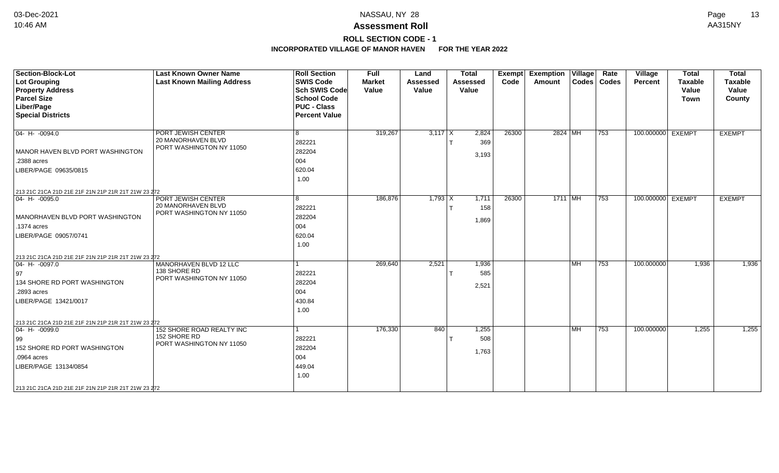### **Assessment Roll** 10:46 AM AA315NY

**ROLL SECTION CODE - 1**

| Section-Block-Lot<br>Lot Grouping<br><b>Property Address</b><br><b>Parcel Size</b><br>Liber/Page<br><b>Special Districts</b>                                                                                  | <b>Last Known Owner Name</b><br><b>Last Known Mailing Address</b>           | <b>Roll Section</b><br><b>SWIS Code</b><br><b>Sch SWIS Code</b><br><b>School Code</b><br><b>PUC - Class</b><br><b>Percent Value</b> | <b>Full</b><br><b>Market</b><br>Value | Land<br><b>Assessed</b><br>Value | <b>Total</b><br><b>Assessed</b><br>Value | <b>Exempt</b><br>Code | <b>Exemption Village</b><br>Amount |           | Rate<br>Codes   Codes | Village<br><b>Percent</b> | <b>Total</b><br><b>Taxable</b><br>Value<br><b>Town</b> | <b>Total</b><br><b>Taxable</b><br>Value<br>County |
|---------------------------------------------------------------------------------------------------------------------------------------------------------------------------------------------------------------|-----------------------------------------------------------------------------|-------------------------------------------------------------------------------------------------------------------------------------|---------------------------------------|----------------------------------|------------------------------------------|-----------------------|------------------------------------|-----------|-----------------------|---------------------------|--------------------------------------------------------|---------------------------------------------------|
| $ 04 - H - 0094.0$<br>MANOR HAVEN BLVD PORT WASHINGTON<br>.2388 acres<br>LIBER/PAGE 09635/0815<br>213 21C 21CA 21D 21E 21F 21N 21P 21R 21T 21W 23 272                                                         | PORT JEWISH CENTER<br><b>20 MANORHAVEN BLVD</b><br>PORT WASHINGTON NY 11050 | 8<br>282221<br>282204<br>004<br>620.04<br>1.00                                                                                      | 319,267                               | $3,117$ X                        | 2,824<br>369<br>3,193                    | 26300                 | 2824 MH                            |           | 753                   | 100.000000 EXEMPT         |                                                        | <b>EXEMPT</b>                                     |
| $ 04 - H - 0095.0$<br>MANORHAVEN BLVD PORT WASHINGTON<br>.1374 acres<br>LIBER/PAGE 09057/0741                                                                                                                 | PORT JEWISH CENTER<br>20 MANORHAVEN BLVD<br>PORT WASHINGTON NY 11050        | 8<br>282221<br>282204<br>004<br>620.04<br>1.00                                                                                      | 186,876                               | $1,793$ X                        | 1,711<br>158<br>1,869                    | 26300                 | $1711$ MH                          |           | 753                   | 100.000000 EXEMPT         |                                                        | <b>EXEMPT</b>                                     |
| 213 21C 21CA 21D 21E 21F 21N 21P 21R 21T 21W 23 272<br>$ 04 - H - 0097.0$<br>  97<br>134 SHORE RD PORT WASHINGTON<br>.2893 acres<br>LIBER/PAGE 13421/0017                                                     | MANORHAVEN BLVD 12 LLC<br>138 SHORE RD<br>PORT WASHINGTON NY 11050          | 282221<br>282204<br>004<br>430.84<br>1.00                                                                                           | 269,640                               | 2,521                            | 1,936<br>585<br>2,521                    |                       |                                    | <b>MH</b> | 753                   | 100.000000                | 1,936                                                  | 1,936                                             |
| 213 21C 21CA 21D 21E 21F 21N 21P 21R 21T 21W 23 272<br>$04 - H - 0099.0$<br>99<br>152 SHORE RD PORT WASHINGTON<br>.0964 acres<br>LIBER/PAGE 13134/0854<br>213 21C 21CA 21D 21E 21F 21N 21P 21R 21T 21W 23 272 | 152 SHORE ROAD REALTY INC<br>152 SHORE RD<br>PORT WASHINGTON NY 11050       | 282221<br>282204<br>004<br>449.04<br>1.00                                                                                           | 176,330                               | 840                              | 1,255<br>508<br>1,763                    |                       |                                    | <b>MH</b> | 753                   | 100.000000                | 1,255                                                  | 1,255                                             |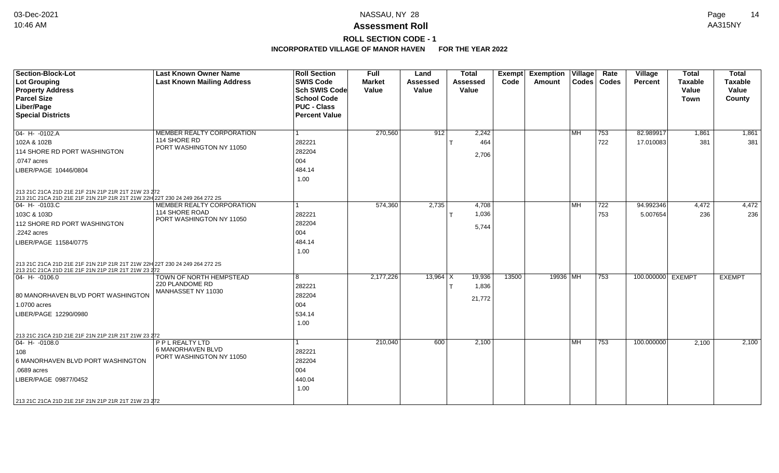### **Assessment Roll** 10:46 AM AA315NY

**ROLL SECTION CODE - 1**

| <b>Section-Block-Lot</b><br>Lot Grouping<br><b>Property Address</b><br><b>Parcel Size</b><br>Liber/Page<br><b>Special Districts</b> | <b>Last Known Owner Name</b><br><b>Last Known Mailing Address</b> | <b>Roll Section</b><br><b>SWIS Code</b><br><b>Sch SWIS Code</b><br><b>School Code</b><br><b>PUC - Class</b><br><b>Percent Value</b> | Full<br><b>Market</b><br>Value | Land<br><b>Assessed</b><br>Value | <b>Total</b><br><b>Assessed</b><br>Value | Exempt<br>Code | <b>Exemption Village</b><br><b>Amount</b> |           | Rate<br>Codes   Codes | Village<br>Percent | <b>Total</b><br><b>Taxable</b><br>Value<br><b>Town</b> | <b>Total</b><br><b>Taxable</b><br>Value<br>County |
|-------------------------------------------------------------------------------------------------------------------------------------|-------------------------------------------------------------------|-------------------------------------------------------------------------------------------------------------------------------------|--------------------------------|----------------------------------|------------------------------------------|----------------|-------------------------------------------|-----------|-----------------------|--------------------|--------------------------------------------------------|---------------------------------------------------|
| $04 - H - 0102.A$                                                                                                                   | MEMBER REALTY CORPORATION                                         |                                                                                                                                     | 270,560                        | 912                              | 2,242                                    |                |                                           | l MH      | 753                   | 82.989917          | 1,861                                                  | 1,861                                             |
| 102A & 102B                                                                                                                         | 114 SHORE RD                                                      | 282221                                                                                                                              |                                |                                  | 464                                      |                |                                           |           | 722                   | 17.010083          | 381                                                    | 381                                               |
| 114 SHORE RD PORT WASHINGTON                                                                                                        | PORT WASHINGTON NY 11050                                          | 282204                                                                                                                              |                                |                                  | 2,706                                    |                |                                           |           |                       |                    |                                                        |                                                   |
| .0747 acres                                                                                                                         |                                                                   | 004                                                                                                                                 |                                |                                  |                                          |                |                                           |           |                       |                    |                                                        |                                                   |
| LIBER/PAGE 10446/0804                                                                                                               |                                                                   | 484.14                                                                                                                              |                                |                                  |                                          |                |                                           |           |                       |                    |                                                        |                                                   |
|                                                                                                                                     |                                                                   | 1.00                                                                                                                                |                                |                                  |                                          |                |                                           |           |                       |                    |                                                        |                                                   |
| 213 21C 21CA 21D 21E 21F 21N 21P 21R 21T 21W 23 272<br>213 21C 21CA 21D 21E 21F 21N 21P 21R 21T 21W 22H 22T 230 24 249 264 272 2S   |                                                                   |                                                                                                                                     |                                |                                  |                                          |                |                                           |           |                       |                    |                                                        |                                                   |
| $04 - H - 0103.C$                                                                                                                   | MEMBER REALTY CORPORATION                                         |                                                                                                                                     | 574,360                        | 2,735                            | 4,708                                    |                |                                           | <b>MH</b> | 722                   | 94.992346          | 4,472                                                  | 4,472                                             |
| 103C & 103D                                                                                                                         | 114 SHORE ROAD<br>PORT WASHINGTON NY 11050                        | 282221                                                                                                                              |                                |                                  | 1,036                                    |                |                                           |           | 753                   | 5.007654           | 236                                                    | 236                                               |
| 112 SHORE RD PORT WASHINGTON                                                                                                        |                                                                   | 282204                                                                                                                              |                                |                                  | 5,744                                    |                |                                           |           |                       |                    |                                                        |                                                   |
| .2242 acres                                                                                                                         |                                                                   | 004                                                                                                                                 |                                |                                  |                                          |                |                                           |           |                       |                    |                                                        |                                                   |
| LIBER/PAGE 11584/0775                                                                                                               |                                                                   | 484.14                                                                                                                              |                                |                                  |                                          |                |                                           |           |                       |                    |                                                        |                                                   |
|                                                                                                                                     |                                                                   | 1.00                                                                                                                                |                                |                                  |                                          |                |                                           |           |                       |                    |                                                        |                                                   |
| 213 21C 21CA 21D 21E 21F 21N 21P 21R 21T 21W 22H 22T 230 24 249 264 272 2S<br>213 21C 21CA 21D 21E 21F 21N 21P 21R 21T 21W 23 272   |                                                                   |                                                                                                                                     |                                |                                  |                                          |                |                                           |           |                       |                    |                                                        |                                                   |
| $04 - H - 0106.0$                                                                                                                   | TOWN OF NORTH HEMPSTEAD                                           | 8                                                                                                                                   | 2,177,226                      | $13,964$ X                       | 19,936                                   | 13500          | 19936 MH                                  |           | 753                   | 100.000000 EXEMPT  |                                                        | <b>EXEMPT</b>                                     |
|                                                                                                                                     | 220 PLANDOME RD<br>MANHASSET NY 11030                             | 282221                                                                                                                              |                                |                                  | 1,836                                    |                |                                           |           |                       |                    |                                                        |                                                   |
| 80 MANORHAVEN BLVD PORT WASHINGTON                                                                                                  |                                                                   | 282204                                                                                                                              |                                |                                  | 21,772                                   |                |                                           |           |                       |                    |                                                        |                                                   |
| 1.0700 acres                                                                                                                        |                                                                   | 004                                                                                                                                 |                                |                                  |                                          |                |                                           |           |                       |                    |                                                        |                                                   |
| LIBER/PAGE 12290/0980                                                                                                               |                                                                   | 534.14                                                                                                                              |                                |                                  |                                          |                |                                           |           |                       |                    |                                                        |                                                   |
|                                                                                                                                     |                                                                   | 1.00                                                                                                                                |                                |                                  |                                          |                |                                           |           |                       |                    |                                                        |                                                   |
| 213 21C 21CA 21D 21E 21F 21N 21P 21R 21T 21W 23 272                                                                                 |                                                                   |                                                                                                                                     |                                |                                  |                                          |                |                                           |           |                       |                    |                                                        |                                                   |
| $ 04 - H - 0108.0$                                                                                                                  | P P L REALTY LTD                                                  |                                                                                                                                     | 210,040                        | 600                              | 2,100                                    |                |                                           | MH        | 753                   | 100.000000         | 2,100                                                  | 2,100                                             |
| 108                                                                                                                                 | 6 MANORHAVEN BLVD                                                 | 282221                                                                                                                              |                                |                                  |                                          |                |                                           |           |                       |                    |                                                        |                                                   |
| 6 MANORHAVEN BLVD PORT WASHINGTON                                                                                                   | PORT WASHINGTON NY 11050                                          | 282204                                                                                                                              |                                |                                  |                                          |                |                                           |           |                       |                    |                                                        |                                                   |
| .0689 acres                                                                                                                         |                                                                   | 004                                                                                                                                 |                                |                                  |                                          |                |                                           |           |                       |                    |                                                        |                                                   |
| LIBER/PAGE 09877/0452                                                                                                               |                                                                   | 440.04                                                                                                                              |                                |                                  |                                          |                |                                           |           |                       |                    |                                                        |                                                   |
|                                                                                                                                     |                                                                   | 1.00                                                                                                                                |                                |                                  |                                          |                |                                           |           |                       |                    |                                                        |                                                   |
| 213 21C 21CA 21D 21E 21F 21N 21P 21R 21T 21W 23 272                                                                                 |                                                                   |                                                                                                                                     |                                |                                  |                                          |                |                                           |           |                       |                    |                                                        |                                                   |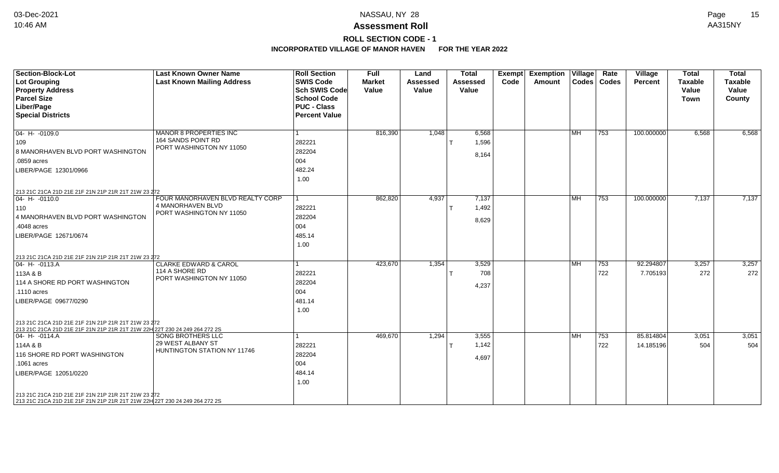### **Assessment Roll** 10:46 AM AA315NY

## **ROLL SECTION CODE - 1**

| <b>Section-Block-Lot</b><br>Lot Grouping<br><b>Property Address</b><br><b>Parcel Size</b><br>Liber/Page<br><b>Special Districts</b>                                                                                                                                                                                                                                             | <b>Last Known Owner Name</b><br><b>Last Known Mailing Address</b>                 | <b>Roll Section</b><br><b>SWIS Code</b><br><b>Sch SWIS Code</b><br><b>School Code</b><br><b>PUC - Class</b><br><b>Percent Value</b> | Full<br><b>Market</b><br>Value | Land<br><b>Assessed</b><br>Value | <b>Total</b><br><b>Assessed</b><br>Value | Exempt<br>Code | Exemption   Village  <br><b>Amount</b> | $\text{Codes}$ | Rate<br><b>Codes</b> | Village<br><b>Percent</b> | <b>Total</b><br><b>Taxable</b><br>Value<br>Town | <b>Total</b><br><b>Taxable</b><br>Value<br>County |
|---------------------------------------------------------------------------------------------------------------------------------------------------------------------------------------------------------------------------------------------------------------------------------------------------------------------------------------------------------------------------------|-----------------------------------------------------------------------------------|-------------------------------------------------------------------------------------------------------------------------------------|--------------------------------|----------------------------------|------------------------------------------|----------------|----------------------------------------|----------------|----------------------|---------------------------|-------------------------------------------------|---------------------------------------------------|
| $04 - H - 0109.0$<br>109<br>8 MANORHAVEN BLVD PORT WASHINGTON<br>.0859 acres<br>LIBER/PAGE 12301/0966                                                                                                                                                                                                                                                                           | <b>MANOR 8 PROPERTIES INC</b><br>164 SANDS POINT RD<br>PORT WASHINGTON NY 11050   | 282221<br>282204<br>004<br>482.24<br>1.00                                                                                           | 816,390                        | 1,048                            | 6,568<br>1,596<br>8,164                  |                |                                        | MH             | 753                  | 100.000000                | 6,568                                           | 6,568                                             |
| 213 21C 21CA 21D 21E 21F 21N 21P 21R 21T 21W 23 272<br>$ 04 - H - 0110.0 $<br>110<br>4 MANORHAVEN BLVD PORT WASHINGTON<br>.4048 acres<br>LIBER/PAGE 12671/0674                                                                                                                                                                                                                  | FOUR MANORHAVEN BLVD REALTY CORP<br>4 MANORHAVEN BLVD<br>PORT WASHINGTON NY 11050 | 282221<br>282204<br>004<br>485.14<br>1.00                                                                                           | 862,820                        | 4,937                            | 7,137<br>1,492<br>8,629                  |                |                                        | <b>MH</b>      | 753                  | 100.000000                | 7,137                                           | 7,137                                             |
| 213 21C 21CA 21D 21E 21F 21N 21P 21R 21T 21W 23 272<br>$04 - H - 0113.A$<br>113A & B<br>114 A SHORE RD PORT WASHINGTON<br>.1110 acres<br>LIBER/PAGE 09677/0290                                                                                                                                                                                                                  | <b>CLARKE EDWARD &amp; CAROL</b><br>114 A SHORE RD<br>PORT WASHINGTON NY 11050    | 282221<br>282204<br>004<br>481.14<br>1.00                                                                                           | 423,670                        | 1,354                            | 3,529<br>708<br>4,237                    |                |                                        | <b>MH</b>      | 753<br>722           | 92.294807<br>7.705193     | 3,257<br>272                                    | 3,257<br>272                                      |
| 213 21C 21CA 21D 21E 21F 21N 21P 21R 21T 21W 23 272<br>213 21C 21CA 21D 21E 21F 21N 21P 21R 21T 21W 22H 22T 230 24 249 264 272 2S<br>$04 - H - 0114.A$<br>114A & B<br>116 SHORE RD PORT WASHINGTON<br>.1061 acres<br>LIBER/PAGE 12051/0220<br>213 21C 21CA 21D 21E 21F 21N 21P 21R 21T 21W 23 272<br>213 21C 21CA 21D 21E 21F 21N 21P 21R 21T 21W 22H 22T 230 24 249 264 272 2S | <b>SONG BROTHERS LLC</b><br>29 WEST ALBANY ST<br>HUNTINGTON STATION NY 11746      | 282221<br>282204<br>004<br>484.14<br>1.00                                                                                           | 469,670                        | 1,294                            | 3,555<br>1,142<br>4,697                  |                |                                        | <b>MH</b>      | 753<br>722           | 85.814804<br>14.185196    | 3,051<br>504                                    | 3,051<br>504                                      |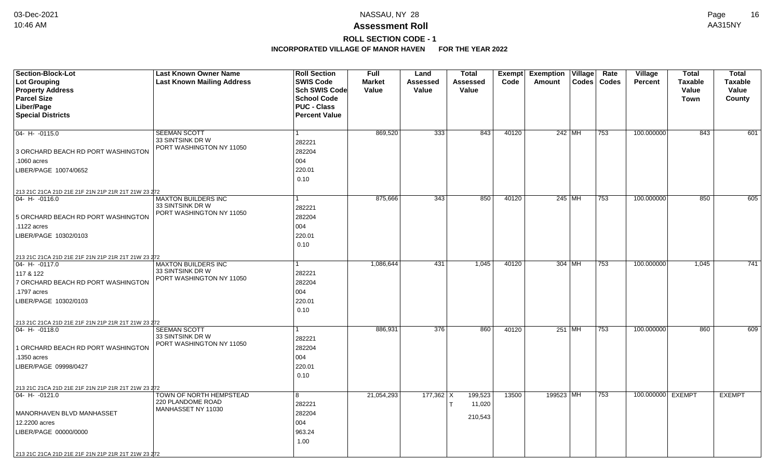# **ROLL SECTION CODE - 1**

| Section-Block-Lot                                                     | <b>Last Known Owner Name</b>                 | <b>Roll Section</b>  | <b>Full</b>   | Land            | <b>Total</b>      | Exempt | <b>Exemption Village</b> |        | Rate          | Village           | <b>Total</b>   | <b>Total</b>   |
|-----------------------------------------------------------------------|----------------------------------------------|----------------------|---------------|-----------------|-------------------|--------|--------------------------|--------|---------------|-------------------|----------------|----------------|
| <b>Lot Grouping</b>                                                   | <b>Last Known Mailing Address</b>            | <b>SWIS Code</b>     | <b>Market</b> | <b>Assessed</b> | Assessed          | Code   | Amount                   |        | Codes   Codes | <b>Percent</b>    | <b>Taxable</b> | <b>Taxable</b> |
| <b>Property Address</b>                                               |                                              | Sch SWIS Code        | Value         | Value           | Value             |        |                          |        |               |                   | Value          | Value          |
| <b>Parcel Size</b>                                                    |                                              | <b>School Code</b>   |               |                 |                   |        |                          |        |               |                   | Town           | County         |
| Liber/Page                                                            |                                              | <b>PUC - Class</b>   |               |                 |                   |        |                          |        |               |                   |                |                |
| <b>Special Districts</b>                                              |                                              | <b>Percent Value</b> |               |                 |                   |        |                          |        |               |                   |                |                |
| $04 - H - 0115.0$                                                     | <b>SEEMAN SCOTT</b>                          | 1                    | 869,520       | 333             | 843               | 40120  |                          | 242 MH | 753           | 100.000000        | 843            | 601            |
|                                                                       | 33 SINTSINK DR W                             | 282221               |               |                 |                   |        |                          |        |               |                   |                |                |
| 3 ORCHARD BEACH RD PORT WASHINGTON                                    | PORT WASHINGTON NY 11050                     | 282204               |               |                 |                   |        |                          |        |               |                   |                |                |
| 1060 acres                                                            |                                              | 004                  |               |                 |                   |        |                          |        |               |                   |                |                |
| LIBER/PAGE 10074/0652                                                 |                                              | 220.01               |               |                 |                   |        |                          |        |               |                   |                |                |
|                                                                       |                                              | 0.10                 |               |                 |                   |        |                          |        |               |                   |                |                |
| 213 21C 21CA 21D 21E 21F 21N 21P 21R 21T 21W 23 272                   |                                              |                      |               |                 |                   |        |                          |        |               |                   |                |                |
| 04- H- -0116.0                                                        | <b>MAXTON BUILDERS INC</b>                   | 1                    | 875,666       | 343             | 850               | 40120  |                          | 245 MH | 753           | 100.000000        | 850            | 605            |
|                                                                       | 33 SINTSINK DR W<br>PORT WASHINGTON NY 11050 | 282221               |               |                 |                   |        |                          |        |               |                   |                |                |
| 5 ORCHARD BEACH RD PORT WASHINGTON                                    |                                              | 282204               |               |                 |                   |        |                          |        |               |                   |                |                |
| .1122 acres                                                           |                                              | 004                  |               |                 |                   |        |                          |        |               |                   |                |                |
| LIBER/PAGE 10302/0103                                                 |                                              | 220.01               |               |                 |                   |        |                          |        |               |                   |                |                |
|                                                                       |                                              | 0.10                 |               |                 |                   |        |                          |        |               |                   |                |                |
| 213 21C 21CA 21D 21E 21F 21N 21P 21R 21T 21W 23 272<br>04- H- -0117.0 | <b>MAXTON BUILDERS INC</b>                   |                      | 1,086,644     | 431             | 1,045             | 40120  |                          | 304 MH | 753           | 100.000000        | 1,045          | 741            |
| 117 & 122                                                             | 33 SINTSINK DR W                             | 282221               |               |                 |                   |        |                          |        |               |                   |                |                |
| 7 ORCHARD BEACH RD PORT WASHINGTON                                    | PORT WASHINGTON NY 11050                     | 282204               |               |                 |                   |        |                          |        |               |                   |                |                |
| .1797 acres                                                           |                                              | 004                  |               |                 |                   |        |                          |        |               |                   |                |                |
| LIBER/PAGE 10302/0103                                                 |                                              | 220.01               |               |                 |                   |        |                          |        |               |                   |                |                |
|                                                                       |                                              | 0.10                 |               |                 |                   |        |                          |        |               |                   |                |                |
| 213 21C 21CA 21D 21E 21F 21N 21P 21R 21T 21W 23 272                   |                                              |                      |               |                 |                   |        |                          |        |               |                   |                |                |
| 04- H- -0118.0                                                        | <b>SEEMAN SCOTT</b>                          | 1                    | 886,931       | 376             | 860               | 40120  |                          | 251 MH | 753           | 100.000000        | 860            | 609            |
|                                                                       | 33 SINTSINK DR W<br>PORT WASHINGTON NY 11050 | 282221               |               |                 |                   |        |                          |        |               |                   |                |                |
| 1 ORCHARD BEACH RD PORT WASHINGTON                                    |                                              | 282204               |               |                 |                   |        |                          |        |               |                   |                |                |
| 1350 acres                                                            |                                              | 004                  |               |                 |                   |        |                          |        |               |                   |                |                |
| LIBER/PAGE 09998/0427                                                 |                                              | 220.01               |               |                 |                   |        |                          |        |               |                   |                |                |
|                                                                       |                                              | 0.10                 |               |                 |                   |        |                          |        |               |                   |                |                |
| 213 21C 21CA 21D 21E 21F 21N 21P 21R 21T 21W 23 272                   |                                              |                      |               |                 |                   |        |                          |        |               |                   |                |                |
| 04- H- -0121.0                                                        | TOWN OF NORTH HEMPSTEAD<br>220 PLANDOME ROAD | 8                    | 21,054,293    | $177,362$ X     | 199,523<br>11,020 | 13500  | 199523 MH                |        | 753           | 100.000000 EXEMPT |                | <b>EXEMPT</b>  |
| MANORHAVEN BLVD MANHASSET                                             | MANHASSET NY 11030                           | 282221<br>282204     |               |                 |                   |        |                          |        |               |                   |                |                |
| 12.2200 acres                                                         |                                              | 004                  |               |                 | 210,543           |        |                          |        |               |                   |                |                |
| LIBER/PAGE 00000/0000                                                 |                                              | 963.24               |               |                 |                   |        |                          |        |               |                   |                |                |
|                                                                       |                                              | 1.00                 |               |                 |                   |        |                          |        |               |                   |                |                |
| 213 21C 21CA 21D 21E 21F 21N 21P 21R 21T 21W 23 272                   |                                              |                      |               |                 |                   |        |                          |        |               |                   |                |                |
|                                                                       |                                              |                      |               |                 |                   |        |                          |        |               |                   |                |                |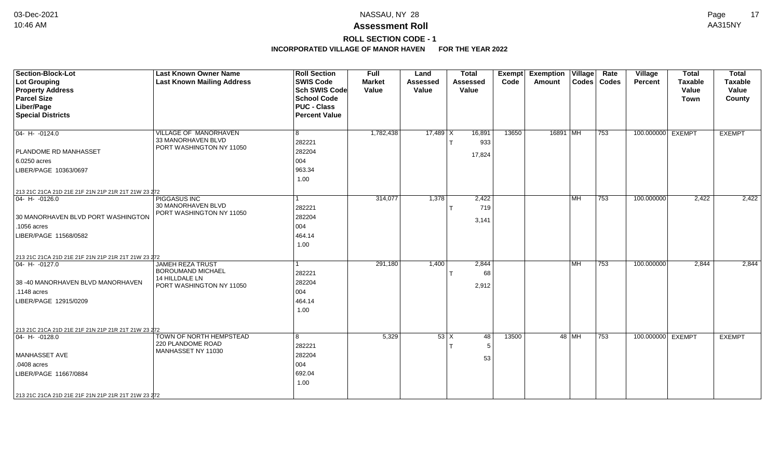### **Assessment Roll** 10:46 AM AA315NY

## **ROLL SECTION CODE - 1**

| <b>Section-Block-Lot</b><br><b>Lot Grouping</b>     | <b>Last Known Owner Name</b><br><b>Last Known Mailing Address</b>     | <b>Roll Section</b><br><b>SWIS Code</b>    | <b>Full</b><br><b>Market</b> | Land<br><b>Assessed</b> | <b>Total</b><br><b>Assessed</b> | <b>Exempt</b><br>Code | <b>Exemption Village</b><br>Amount | Rate<br>Codes   Codes | Village<br><b>Percent</b> | <b>Total</b><br><b>Taxable</b> | <b>Total</b><br><b>Taxable</b> |
|-----------------------------------------------------|-----------------------------------------------------------------------|--------------------------------------------|------------------------------|-------------------------|---------------------------------|-----------------------|------------------------------------|-----------------------|---------------------------|--------------------------------|--------------------------------|
| <b>Property Address</b><br><b>Parcel Size</b>       |                                                                       | <b>Sch SWIS Code</b><br><b>School Code</b> | Value                        | Value                   | Value                           |                       |                                    |                       |                           | Value<br><b>Town</b>           | Value<br>County                |
| Liber/Page<br><b>Special Districts</b>              |                                                                       | <b>PUC - Class</b><br><b>Percent Value</b> |                              |                         |                                 |                       |                                    |                       |                           |                                |                                |
| $04 - H - 0124.0$                                   | <b>VILLAGE OF MANORHAVEN</b><br>33 MANORHAVEN BLVD                    | 8<br>282221                                | 1,782,438                    | $17,489$ X              | 16,891<br>933                   | 13650                 | 16891 MH                           | 753                   | 100.000000 EXEMPT         |                                | <b>EXEMPT</b>                  |
| PLANDOME RD MANHASSET                               | PORT WASHINGTON NY 11050                                              | 282204                                     |                              |                         |                                 |                       |                                    |                       |                           |                                |                                |
| 6.0250 acres                                        |                                                                       | 004                                        |                              |                         | 17,824                          |                       |                                    |                       |                           |                                |                                |
| LIBER/PAGE 10363/0697                               |                                                                       | 963.34<br>1.00                             |                              |                         |                                 |                       |                                    |                       |                           |                                |                                |
| 213 21C 21CA 21D 21E 21F 21N 21P 21R 21T 21W 23 272 |                                                                       |                                            |                              |                         |                                 |                       |                                    |                       |                           |                                |                                |
| $ 04 - H - 0126.0$                                  | <b>PIGGASUS INC</b><br>30 MANORHAVEN BLVD<br>PORT WASHINGTON NY 11050 | 282221                                     | 314,077                      | 1,378                   | 2,422<br>719                    |                       | <b>MH</b>                          | 753                   | 100.000000                | 2,422                          | 2,422                          |
| 30 MANORHAVEN BLVD PORT WASHINGTON                  |                                                                       | 282204                                     |                              |                         | 3,141                           |                       |                                    |                       |                           |                                |                                |
| .1056 acres                                         |                                                                       | 004                                        |                              |                         |                                 |                       |                                    |                       |                           |                                |                                |
| LIBER/PAGE 11568/0582                               |                                                                       | 464.14<br>1.00                             |                              |                         |                                 |                       |                                    |                       |                           |                                |                                |
| 213 21C 21CA 21D 21E 21F 21N 21P 21R 21T 21W 23 272 |                                                                       |                                            |                              |                         |                                 |                       |                                    |                       |                           |                                |                                |
| $ 04 - H - 0127.0$                                  | <b>JAMEH REZA TRUST</b><br><b>BOROUMAND MICHAEL</b><br>14 HILLDALE LN | 282221                                     | 291,180                      | 1,400                   | 2,844<br>68                     |                       | <b>MH</b>                          | 753                   | 100.000000                | 2,844                          | 2,844                          |
| 38 -40 MANORHAVEN BLVD MANORHAVEN<br>.1148 acres    | PORT WASHINGTON NY 11050                                              | 282204<br>004                              |                              |                         | 2,912                           |                       |                                    |                       |                           |                                |                                |
| LIBER/PAGE 12915/0209                               |                                                                       | 464.14<br>1.00                             |                              |                         |                                 |                       |                                    |                       |                           |                                |                                |
| 213 21C 21CA 21D 21E 21F 21N 21P 21R 21T 21W 23 272 |                                                                       |                                            |                              |                         |                                 |                       |                                    |                       |                           |                                |                                |
| $ 04 - H - 0128.0$                                  | TOWN OF NORTH HEMPSTEAD<br>220 PLANDOME ROAD<br>MANHASSET NY 11030    | 8<br>282221                                | 5,329                        |                         | $53 \mid X$<br>48<br>-5         | 13500                 | 48 MH                              | 753                   | 100.000000 EXEMPT         |                                | <b>EXEMPT</b>                  |
| MANHASSET AVE                                       |                                                                       | 282204                                     |                              |                         | 53                              |                       |                                    |                       |                           |                                |                                |
| .0408 acres                                         |                                                                       | 004                                        |                              |                         |                                 |                       |                                    |                       |                           |                                |                                |
| LIBER/PAGE 11667/0884                               |                                                                       | 692.04<br>1.00                             |                              |                         |                                 |                       |                                    |                       |                           |                                |                                |
| 213 21C 21CA 21D 21E 21F 21N 21P 21R 21T 21W 23 272 |                                                                       |                                            |                              |                         |                                 |                       |                                    |                       |                           |                                |                                |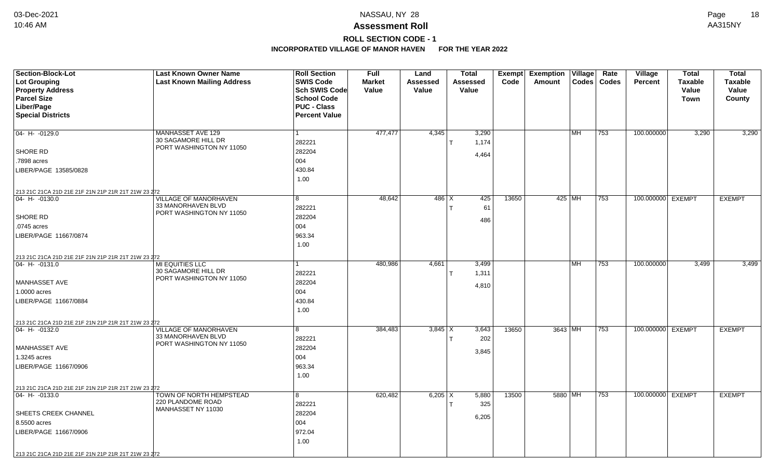### **ROLL SECTION CODE - 1**

| Section-Block-Lot                                                     | <b>Last Known Owner Name</b>                       | <b>Roll Section</b>  | <b>Full</b>   | Land            | <b>Total</b>    | Exempt | <b>Exemption Village</b> |           | Rate          | Village           | <b>Total</b>   | <b>Total</b>   |
|-----------------------------------------------------------------------|----------------------------------------------------|----------------------|---------------|-----------------|-----------------|--------|--------------------------|-----------|---------------|-------------------|----------------|----------------|
| Lot Grouping                                                          | <b>Last Known Mailing Address</b>                  | <b>SWIS Code</b>     | <b>Market</b> | <b>Assessed</b> | <b>Assessed</b> | Code   | Amount                   |           | Codes   Codes | <b>Percent</b>    | <b>Taxable</b> | <b>Taxable</b> |
| <b>Property Address</b>                                               |                                                    | Sch SWIS Code        | Value         | Value           | Value           |        |                          |           |               |                   | Value          | Value          |
| <b>Parcel Size</b>                                                    |                                                    | <b>School Code</b>   |               |                 |                 |        |                          |           |               |                   | Town           | County         |
| Liber/Page                                                            |                                                    | <b>PUC - Class</b>   |               |                 |                 |        |                          |           |               |                   |                |                |
| <b>Special Districts</b>                                              |                                                    | <b>Percent Value</b> |               |                 |                 |        |                          |           |               |                   |                |                |
|                                                                       |                                                    |                      |               |                 |                 |        |                          |           |               |                   |                |                |
| $04 - H - 0129.0$                                                     | MANHASSET AVE 129                                  |                      | 477,477       | 4,345           | 3,290           |        |                          | <b>MH</b> | 753           | 100.000000        | 3,290          | 3,290          |
|                                                                       | 30 SAGAMORE HILL DR<br>PORT WASHINGTON NY 11050    | 282221               |               |                 | 1,174           |        |                          |           |               |                   |                |                |
| <b>SHORE RD</b>                                                       |                                                    | 282204               |               |                 | 4,464           |        |                          |           |               |                   |                |                |
| .7898 acres                                                           |                                                    | 004                  |               |                 |                 |        |                          |           |               |                   |                |                |
| LIBER/PAGE 13585/0828                                                 |                                                    | 430.84               |               |                 |                 |        |                          |           |               |                   |                |                |
|                                                                       |                                                    | 1.00                 |               |                 |                 |        |                          |           |               |                   |                |                |
| 213 21C 21CA 21D 21E 21F 21N 21P 21R 21T 21W 23 272                   |                                                    |                      |               |                 |                 |        |                          |           |               |                   |                |                |
| 04- H- -0130.0                                                        | VILLAGE OF MANORHAVEN                              | 8                    | 48,642        | $486 \mid X$    | 425             | 13650  |                          | 425 MH    | 753           | 100.000000 EXEMPT |                | <b>EXEMPT</b>  |
|                                                                       | 33 MANORHAVEN BLVD                                 | 282221               |               |                 | 61              |        |                          |           |               |                   |                |                |
| SHORE RD                                                              | PORT WASHINGTON NY 11050                           | 282204               |               |                 |                 |        |                          |           |               |                   |                |                |
| .0745 acres                                                           |                                                    | 004                  |               |                 | 486             |        |                          |           |               |                   |                |                |
| LIBER/PAGE 11667/0874                                                 |                                                    | 963.34               |               |                 |                 |        |                          |           |               |                   |                |                |
|                                                                       |                                                    | 1.00                 |               |                 |                 |        |                          |           |               |                   |                |                |
|                                                                       |                                                    |                      |               |                 |                 |        |                          |           |               |                   |                |                |
| 213 21C 21CA 21D 21E 21F 21N 21P 21R 21T 21W 23 272<br>04- H- -0131.0 | <b>MI EQUITIES LLC</b>                             |                      | 480,986       | 4,661           | 3,499           |        |                          | <b>MH</b> | 753           | 100.000000        | 3,499          | 3,499          |
|                                                                       | 30 SAGAMORE HILL DR                                | 282221               |               |                 | 1,311           |        |                          |           |               |                   |                |                |
| MANHASSET AVE                                                         | PORT WASHINGTON NY 11050                           | 282204               |               |                 |                 |        |                          |           |               |                   |                |                |
|                                                                       |                                                    | 004                  |               |                 | 4,810           |        |                          |           |               |                   |                |                |
| 1.0000 acres                                                          |                                                    |                      |               |                 |                 |        |                          |           |               |                   |                |                |
| LIBER/PAGE 11667/0884                                                 |                                                    | 430.84               |               |                 |                 |        |                          |           |               |                   |                |                |
|                                                                       |                                                    | 1.00                 |               |                 |                 |        |                          |           |               |                   |                |                |
| 213 21C 21CA 21D 21E 21F 21N 21P 21R 21T 21W 23 272                   |                                                    |                      |               |                 |                 |        |                          |           |               |                   |                |                |
| 04- H- -0132.0                                                        | <b>VILLAGE OF MANORHAVEN</b><br>33 MANORHAVEN BLVD | 8                    | 384,483       | $3,845$ X       | 3,643           | 13650  | 3643 MH                  |           | 753           | 100.000000 EXEMPT |                | <b>EXEMPT</b>  |
|                                                                       | PORT WASHINGTON NY 11050                           | 282221               |               |                 | 202             |        |                          |           |               |                   |                |                |
| MANHASSET AVE                                                         |                                                    | 282204               |               |                 | 3,845           |        |                          |           |               |                   |                |                |
| 1.3245 acres                                                          |                                                    | 004                  |               |                 |                 |        |                          |           |               |                   |                |                |
| LIBER/PAGE 11667/0906                                                 |                                                    | 963.34               |               |                 |                 |        |                          |           |               |                   |                |                |
|                                                                       |                                                    | 1.00                 |               |                 |                 |        |                          |           |               |                   |                |                |
| 213 21C 21CA 21D 21E 21F 21N 21P 21R 21T 21W 23 272                   |                                                    |                      |               |                 |                 |        |                          |           |               |                   |                |                |
| 04- H- -0133.0                                                        | TOWN OF NORTH HEMPSTEAD                            | 8                    | 620,482       | $6,205 \mid X$  | 5,880           | 13500  | 5880 MH                  |           | 753           | 100.000000 EXEMPT |                | <b>EXEMPT</b>  |
|                                                                       | 220 PLANDOME ROAD<br>MANHASSET NY 11030            | 282221               |               |                 | 325             |        |                          |           |               |                   |                |                |
| SHEETS CREEK CHANNEL                                                  |                                                    | 282204               |               |                 | 6,205           |        |                          |           |               |                   |                |                |
| 8.5500 acres                                                          |                                                    | 004                  |               |                 |                 |        |                          |           |               |                   |                |                |
| LIBER/PAGE 11667/0906                                                 |                                                    | 972.04               |               |                 |                 |        |                          |           |               |                   |                |                |
|                                                                       |                                                    | 1.00                 |               |                 |                 |        |                          |           |               |                   |                |                |
| 213 21C 21CA 21D 21E 21F 21N 21P 21R 21T 21W 23 272                   |                                                    |                      |               |                 |                 |        |                          |           |               |                   |                |                |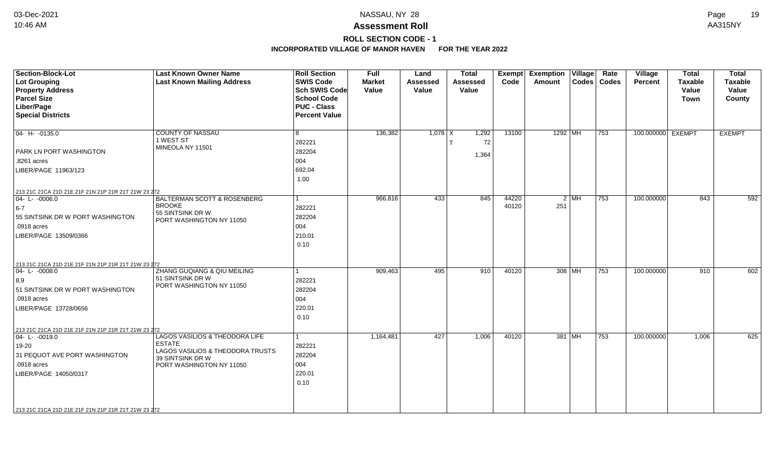**ROLL SECTION CODE - 1**

| Section-Block-Lot<br><b>Lot Grouping</b><br><b>Property Address</b><br><b>Parcel Size</b><br>Liber/Page<br><b>Special Districts</b>                                                                                  | <b>Last Known Owner Name</b><br><b>Last Known Mailing Address</b>                                                                   | <b>Roll Section</b><br><b>SWIS Code</b><br><b>Sch SWIS Code</b><br><b>School Code</b><br><b>PUC - Class</b><br><b>Percent Value</b> | Full<br><b>Market</b><br>Value | Land<br><b>Assessed</b><br>Value | <b>Total</b><br>Assessed<br>Value | Exempt<br>Code | <b>Exemption Village</b><br>Amount | Rate<br>Codes   Codes | Village<br><b>Percent</b> | <b>Total</b><br><b>Taxable</b><br>Value<br><b>Town</b> | <b>Total</b><br><b>Taxable</b><br>Value<br>County |
|----------------------------------------------------------------------------------------------------------------------------------------------------------------------------------------------------------------------|-------------------------------------------------------------------------------------------------------------------------------------|-------------------------------------------------------------------------------------------------------------------------------------|--------------------------------|----------------------------------|-----------------------------------|----------------|------------------------------------|-----------------------|---------------------------|--------------------------------------------------------|---------------------------------------------------|
| $ 04 - H - 0135.0$<br><b>PARK LN PORT WASHINGTON</b><br>.8261 acres<br>LIBER/PAGE 11963/123                                                                                                                          | <b>COUNTY OF NASSAU</b><br>1 WEST ST<br>MINEOLA NY 11501                                                                            | 8<br>282221<br>282204<br>004<br>692.04<br>1.00                                                                                      | 136,382                        | $1,078$ X                        | 1,292<br>72<br>1,364              | 13100          | 1292 MH                            | $\overline{753}$      | 100.000000 EXEMPT         |                                                        | <b>EXEMPT</b>                                     |
| 213 21C 21CA 21D 21E 21F 21N 21P 21R 21T 21W 23 272<br>$04 - L - 0006.0$<br>$6-7$<br>55 SINTSINK DR W PORT WASHINGTON<br>.0918 acres<br>LIBER/PAGE 13509/0366<br>213 21C 21CA 21D 21E 21F 21N 21P 21R 21T 21W 23 272 | BALTERMAN SCOTT & ROSENBERG<br><b>BROOKE</b><br>55 SINTSINK DR W<br>PORT WASHINGTON NY 11050                                        | l 1<br>282221<br>282204<br>004<br>210.01<br>0.10                                                                                    | 966,816                        | 433                              | 845                               | 44220<br>40120 | $2$ MH<br>251                      | $\overline{753}$      | 100.000000                | 843                                                    | 592                                               |
| $ 04 - L - 0008.0$<br>$ 8,9\rangle$<br>51 SINTSINK DR W PORT WASHINGTON<br>.0918 acres<br>LIBER/PAGE 13728/0656<br>213 21C 21CA 21D 21E 21F 21N 21P 21R 21T 21W 23 272                                               | ZHANG GUQIANG & QIU MEILING<br>51 SINTSINK DR W<br>PORT WASHINGTON NY 11050                                                         | $\vert$ 1<br>282221<br>282204<br>004<br>220.01<br>0.10                                                                              | 909,463                        | 495                              | 910                               | 40120          | 308 MH                             | 753                   | 100.000000                | 910                                                    | 602                                               |
| 04-L-0019.0<br>19-20<br>31 PEQUOT AVE PORT WASHINGTON<br>.0918 acres<br>LIBER/PAGE 14050/0317<br>213 21C 21CA 21D 21E 21F 21N 21P 21R 21T 21W 23 272                                                                 | LAGOS VASILIOS & THEODORA LIFE<br><b>ESTATE</b><br>LAGOS VASILIOS & THEODORA TRUSTS<br>39 SINTSINK DR W<br>PORT WASHINGTON NY 11050 | $\vert$ 1<br>282221<br>282204<br>004<br>220.01<br>0.10                                                                              | 1,164,481                      | 427                              | 1,006                             | 40120          | 381 MH                             | 753                   | 100.000000                | 1,006                                                  | 625                                               |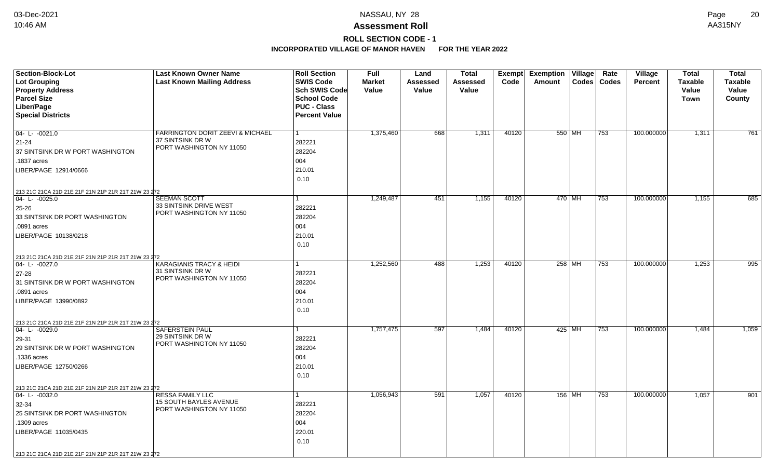## **ROLL SECTION CODE - 1**

| Section-Block-Lot                                   | <b>Last Known Owner Name</b>                                    | <b>Roll Section</b>  | Full          | Land     | <b>Total</b> |       | <b>Exempt Exemption Village</b> |               | Rate | <b>Village</b> | <b>Total</b>   | <b>Total</b>   |
|-----------------------------------------------------|-----------------------------------------------------------------|----------------------|---------------|----------|--------------|-------|---------------------------------|---------------|------|----------------|----------------|----------------|
| <b>Lot Grouping</b>                                 | <b>Last Known Mailing Address</b>                               | <b>SWIS Code</b>     | <b>Market</b> | Assessed | Assessed     | Code  | Amount                          | Codes   Codes |      | <b>Percent</b> | <b>Taxable</b> | <b>Taxable</b> |
| <b>Property Address</b>                             |                                                                 | Sch SWIS Code        | Value         | Value    | Value        |       |                                 |               |      |                | Value          | Value          |
| <b>Parcel Size</b>                                  |                                                                 | <b>School Code</b>   |               |          |              |       |                                 |               |      |                | <b>Town</b>    | <b>County</b>  |
| Liber/Page                                          |                                                                 | <b>PUC - Class</b>   |               |          |              |       |                                 |               |      |                |                |                |
| <b>Special Districts</b>                            |                                                                 | <b>Percent Value</b> |               |          |              |       |                                 |               |      |                |                |                |
|                                                     |                                                                 |                      |               |          |              |       |                                 |               |      |                |                |                |
| $04 - L - 0021.0$                                   | <b>FARRINGTON DORIT ZEEVI &amp; MICHAEL</b><br>37 SINTSINK DR W | $\mathbf{1}$         | 1,375,460     | 668      | 1,311        | 40120 | 550 MH                          |               | 753  | 100.000000     | 1,311          | 761            |
| $21 - 24$                                           | PORT WASHINGTON NY 11050                                        | 282221               |               |          |              |       |                                 |               |      |                |                |                |
| 37 SINTSINK DR W PORT WASHINGTON                    |                                                                 | 282204               |               |          |              |       |                                 |               |      |                |                |                |
| .1837 acres                                         |                                                                 | 004                  |               |          |              |       |                                 |               |      |                |                |                |
| LIBER/PAGE 12914/0666                               |                                                                 | 210.01               |               |          |              |       |                                 |               |      |                |                |                |
|                                                     |                                                                 | 0.10                 |               |          |              |       |                                 |               |      |                |                |                |
| 213 21C 21CA 21D 21E 21F 21N 21P 21R 21T 21W 23 272 |                                                                 |                      |               |          |              |       |                                 |               |      |                |                |                |
| $ 04 - L - 0025.0$                                  | <b>SEEMAN SCOTT</b>                                             |                      | 1,249,487     | 451      | 1,155        | 40120 | $470$ MH                        |               | 753  | 100.000000     | 1,155          | 685            |
| 25-26                                               | 33 SINTSINK DRIVE WEST<br>PORT WASHINGTON NY 11050              | 282221               |               |          |              |       |                                 |               |      |                |                |                |
| 33 SINTSINK DR PORT WASHINGTON                      |                                                                 | 282204               |               |          |              |       |                                 |               |      |                |                |                |
| .0891 acres                                         |                                                                 | 004                  |               |          |              |       |                                 |               |      |                |                |                |
| LIBER/PAGE 10138/0218                               |                                                                 | 210.01               |               |          |              |       |                                 |               |      |                |                |                |
|                                                     |                                                                 | 0.10                 |               |          |              |       |                                 |               |      |                |                |                |
| 213 21C 21CA 21D 21E 21F 21N 21P 21R 21T 21W 23 272 |                                                                 |                      |               |          |              |       |                                 |               |      |                |                |                |
| 04-L-0027.0                                         | <b>KARAGIANIS TRACY &amp; HEIDI</b>                             |                      | 1,252,560     | 488      | 1,253        | 40120 | 258 MH                          |               | 753  | 100.000000     | 1,253          | 995            |
| 27-28                                               | 31 SINTSINK DR W<br>PORT WASHINGTON NY 11050                    | 282221               |               |          |              |       |                                 |               |      |                |                |                |
| 31 SINTSINK DR W PORT WASHINGTON                    |                                                                 | 282204               |               |          |              |       |                                 |               |      |                |                |                |
| .0891 acres                                         |                                                                 | 004                  |               |          |              |       |                                 |               |      |                |                |                |
| LIBER/PAGE 13990/0892                               |                                                                 | 210.01               |               |          |              |       |                                 |               |      |                |                |                |
|                                                     |                                                                 | 0.10                 |               |          |              |       |                                 |               |      |                |                |                |
| 213 21C 21CA 21D 21E 21F 21N 21P 21R 21T 21W 23 272 |                                                                 |                      |               |          |              |       |                                 |               |      |                |                |                |
| $ 04 - L - 0029.0$                                  | SAFERSTEIN PAUL                                                 | 1                    | 1,757,475     | 597      | 1,484        | 40120 | 425 MH                          |               | 753  | 100.000000     | 1,484          | 1,059          |
| 29-31                                               | 29 SINTSINK DR W<br>PORT WASHINGTON NY 11050                    | 282221               |               |          |              |       |                                 |               |      |                |                |                |
| 29 SINTSINK DR W PORT WASHINGTON                    |                                                                 | 282204               |               |          |              |       |                                 |               |      |                |                |                |
| .1336 acres                                         |                                                                 | 004                  |               |          |              |       |                                 |               |      |                |                |                |
| LIBER/PAGE 12750/0266                               |                                                                 | 210.01               |               |          |              |       |                                 |               |      |                |                |                |
|                                                     |                                                                 | 0.10                 |               |          |              |       |                                 |               |      |                |                |                |
| 213 21C 21CA 21D 21E 21F 21N 21P 21R 21T 21W 23 272 |                                                                 |                      |               |          |              |       |                                 |               |      |                |                |                |
| $ 04 - L - 0032.0$                                  | RESSA FAMILY LLC                                                | 1                    | 1,056,943     | 591      | 1,057        | 40120 | 156 MH                          |               | 753  | 100.000000     | 1,057          | 901            |
| 32-34                                               | <b>15 SOUTH BAYLES AVENUE</b><br>PORT WASHINGTON NY 11050       | 282221               |               |          |              |       |                                 |               |      |                |                |                |
| 25 SINTSINK DR PORT WASHINGTON                      |                                                                 | 282204               |               |          |              |       |                                 |               |      |                |                |                |
| .1309 acres                                         |                                                                 | 004                  |               |          |              |       |                                 |               |      |                |                |                |
| LIBER/PAGE 11035/0435                               |                                                                 | 220.01               |               |          |              |       |                                 |               |      |                |                |                |
|                                                     |                                                                 | 0.10                 |               |          |              |       |                                 |               |      |                |                |                |
| 213 21C 21CA 21D 21E 21F 21N 21P 21R 21T 21W 23 272 |                                                                 |                      |               |          |              |       |                                 |               |      |                |                |                |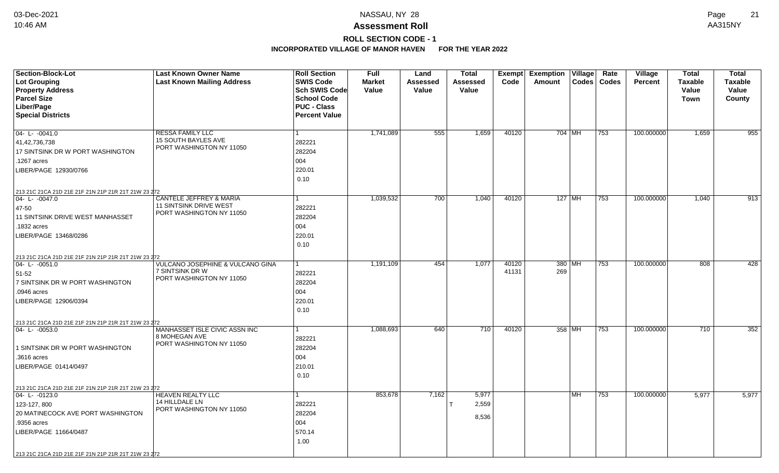# **ROLL SECTION CODE - 1**

| Section-Block-Lot                                   | <b>Last Known Owner Name</b>                   | <b>Roll Section</b>  | <b>Full</b>   | Land            | <b>Total</b>    | <b>Exempt</b> | <b>Exemption Village</b> |           | Rate          | Village        | <b>Total</b>   | <b>Total</b>     |
|-----------------------------------------------------|------------------------------------------------|----------------------|---------------|-----------------|-----------------|---------------|--------------------------|-----------|---------------|----------------|----------------|------------------|
| <b>Lot Grouping</b>                                 | <b>Last Known Mailing Address</b>              | <b>SWIS Code</b>     | <b>Market</b> | <b>Assessed</b> | <b>Assessed</b> | Code          | Amount                   |           | Codes   Codes | <b>Percent</b> | <b>Taxable</b> | <b>Taxable</b>   |
| <b>Property Address</b>                             |                                                | Sch SWIS Code        | Value         | Value           | Value           |               |                          |           |               |                | Value          | Value            |
| <b>Parcel Size</b>                                  |                                                | <b>School Code</b>   |               |                 |                 |               |                          |           |               |                | Town           | County           |
| Liber/Page                                          |                                                | <b>PUC - Class</b>   |               |                 |                 |               |                          |           |               |                |                |                  |
| <b>Special Districts</b>                            |                                                | <b>Percent Value</b> |               |                 |                 |               |                          |           |               |                |                |                  |
| $04 - L - 0041.0$                                   | RESSA FAMILY LLC                               | 1                    | 1,741,089     | 555             | 1,659           | 40120         |                          | 704 MH    | 753           | 100.000000     | 1,659          | 955              |
| 41,42,736,738                                       | <b>15 SOUTH BAYLES AVE</b>                     | 282221               |               |                 |                 |               |                          |           |               |                |                |                  |
| 17 SINTSINK DR W PORT WASHINGTON                    | PORT WASHINGTON NY 11050                       | 282204               |               |                 |                 |               |                          |           |               |                |                |                  |
| 1267 acres                                          |                                                | 004                  |               |                 |                 |               |                          |           |               |                |                |                  |
| LIBER/PAGE 12930/0766                               |                                                | 220.01               |               |                 |                 |               |                          |           |               |                |                |                  |
|                                                     |                                                | 0.10                 |               |                 |                 |               |                          |           |               |                |                |                  |
| 213 21C 21CA 21D 21E 21F 21N 21P 21R 21T 21W 23 272 |                                                |                      |               |                 |                 |               |                          |           |               |                |                |                  |
| $ 04 - 1 - 0047.0$                                  | <b>CANTELE JEFFREY &amp; MARIA</b>             | 1                    | 1,039,532     | 700             | 1,040           | 40120         |                          | $127$ MH  | 753           | 100.000000     | 1,040          | $\overline{913}$ |
| 47-50                                               | <b>11 SINTSINK DRIVE WEST</b>                  | 282221               |               |                 |                 |               |                          |           |               |                |                |                  |
| <b>11 SINTSINK DRIVE WEST MANHASSET</b>             | PORT WASHINGTON NY 11050                       | 282204               |               |                 |                 |               |                          |           |               |                |                |                  |
| 1832 acres                                          |                                                | 004                  |               |                 |                 |               |                          |           |               |                |                |                  |
| LIBER/PAGE 13468/0286                               |                                                | 220.01               |               |                 |                 |               |                          |           |               |                |                |                  |
|                                                     |                                                | 0.10                 |               |                 |                 |               |                          |           |               |                |                |                  |
| 213 21C 21CA 21D 21E 21F 21N 21P 21R 21T 21W 23 272 |                                                |                      |               |                 |                 |               |                          |           |               |                |                |                  |
| 04-L-0051.0                                         | <b>VULCANO JOSEPHINE &amp; VULCANO GINA</b>    | 1                    | 1,191,109     | 454             | 1,077           | 40120         |                          | 380 MH    | 753           | 100.000000     | 808            | 428              |
| 51-52                                               | 7 SINTSINK DR W                                | 282221               |               |                 |                 | 41131         | 269                      |           |               |                |                |                  |
| 7 SINTSINK DR W PORT WASHINGTON                     | PORT WASHINGTON NY 11050                       | 282204               |               |                 |                 |               |                          |           |               |                |                |                  |
| .0946 acres                                         |                                                | 004                  |               |                 |                 |               |                          |           |               |                |                |                  |
| LIBER/PAGE 12906/0394                               |                                                | 220.01               |               |                 |                 |               |                          |           |               |                |                |                  |
|                                                     |                                                | 0.10                 |               |                 |                 |               |                          |           |               |                |                |                  |
| 213 21C 21CA 21D 21E 21F 21N 21P 21R 21T 21W 23 272 |                                                |                      |               |                 |                 |               |                          |           |               |                |                |                  |
| $04 - L - 0053.0$                                   | MANHASSET ISLE CIVIC ASSN INC<br>8 MOHEGAN AVE | 1                    | 1,088,693     | 640             | 710             | 40120         |                          | 358 MH    | 753           | 100.000000     | 710            | 352              |
|                                                     | PORT WASHINGTON NY 11050                       | 282221               |               |                 |                 |               |                          |           |               |                |                |                  |
| 1 SINTSINK DR W PORT WASHINGTON                     |                                                | 282204               |               |                 |                 |               |                          |           |               |                |                |                  |
| .3616 acres                                         |                                                | 004                  |               |                 |                 |               |                          |           |               |                |                |                  |
| LIBER/PAGE 01414/0497                               |                                                | 210.01               |               |                 |                 |               |                          |           |               |                |                |                  |
|                                                     |                                                | 0.10                 |               |                 |                 |               |                          |           |               |                |                |                  |
| 213 21C 21CA 21D 21E 21F 21N 21P 21R 21T 21W 23 272 |                                                |                      |               |                 |                 |               |                          |           |               |                |                |                  |
| 04-L-0123.0                                         | <b>HEAVEN REALTY LLC</b><br>14 HILLDALE LN     | 1                    | 853,678       | 7,162           | 5,977           |               |                          | <b>MH</b> | 753           | 100.000000     | 5,977          | 5,977            |
| 123-127, 800                                        | PORT WASHINGTON NY 11050                       | 282221               |               |                 | 2,559           |               |                          |           |               |                |                |                  |
| <b>20 MATINECOCK AVE PORT WASHINGTON</b>            |                                                | 282204               |               |                 | 8,536           |               |                          |           |               |                |                |                  |
| .9356 acres                                         |                                                | 004                  |               |                 |                 |               |                          |           |               |                |                |                  |
| LIBER/PAGE 11664/0487                               |                                                | 570.14               |               |                 |                 |               |                          |           |               |                |                |                  |
|                                                     |                                                | 1.00                 |               |                 |                 |               |                          |           |               |                |                |                  |
| 213 21C 21CA 21D 21E 21F 21N 21P 21R 21T 21W 23 272 |                                                |                      |               |                 |                 |               |                          |           |               |                |                |                  |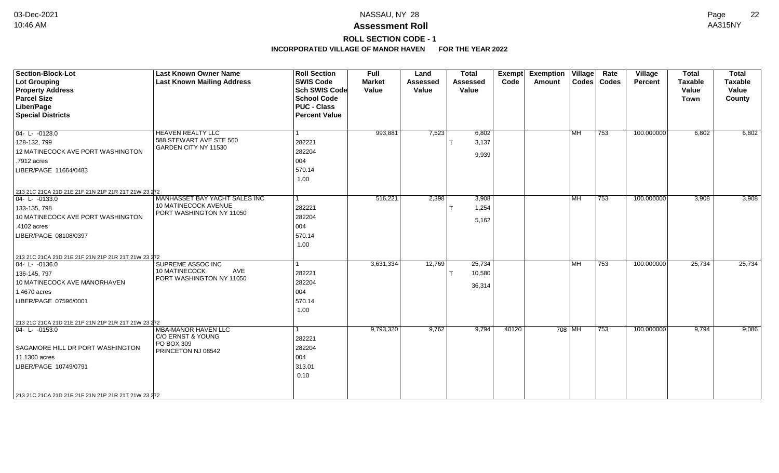### **Assessment Roll** 10:46 AM AA315NY

**ROLL SECTION CODE - 1**

| <b>Section-Block-Lot</b><br><b>Lot Grouping</b><br><b>Property Address</b><br><b>Parcel Size</b><br>Liber/Page<br><b>Special Districts</b>                                                                    | <b>Last Known Owner Name</b><br><b>Last Known Mailing Address</b>                   | <b>Roll Section</b><br><b>SWIS Code</b><br><b>Sch SWIS Code</b><br><b>School Code</b><br><b>PUC - Class</b><br><b>Percent Value</b> | <b>Full</b><br><b>Market</b><br>Value | Land<br><b>Assessed</b><br>Value | <b>Total</b><br>Assessed<br>Value | Exempt<br>Code | <b>Exemption Village</b><br>Amount |           | Rate<br>Codes   Codes | <b>Village</b><br>Percent | <b>Total</b><br><b>Taxable</b><br>Value<br><b>Town</b> | <b>Total</b><br>Taxable<br>Value<br>County |
|---------------------------------------------------------------------------------------------------------------------------------------------------------------------------------------------------------------|-------------------------------------------------------------------------------------|-------------------------------------------------------------------------------------------------------------------------------------|---------------------------------------|----------------------------------|-----------------------------------|----------------|------------------------------------|-----------|-----------------------|---------------------------|--------------------------------------------------------|--------------------------------------------|
| $04 - L - 0128.0$<br>128-132, 799<br>12 MATINECOCK AVE PORT WASHINGTON<br>.7912 acres<br>LIBER/PAGE 11664/0483                                                                                                | HEAVEN REALTY LLC<br>588 STEWART AVE STE 560<br>GARDEN CITY NY 11530                | 282221<br>282204<br>004<br>570.14<br>1.00                                                                                           | 993,881                               | 7,523                            | 6,802<br>3,137<br>9,939           |                |                                    | MH        | 753                   | 100.000000                | 6,802                                                  | 6,802                                      |
| 213 21C 21CA 21D 21E 21F 21N 21P 21R 21T 21W 23 272<br>$04 - L - 0133.0$<br>133-135, 798<br>10 MATINECOCK AVE PORT WASHINGTON<br>.4102 acres<br>LIBER/PAGE 08108/0397                                         | MANHASSET BAY YACHT SALES INC<br>10 MATINECOCK AVENUE<br>PORT WASHINGTON NY 11050   | l 1<br>282221<br>282204<br>004<br>570.14<br>1.00                                                                                    | 516,221                               | 2,398                            | 3,908<br>1,254<br>5,162           |                |                                    | <b>MH</b> | $\overline{753}$      | 100.000000                | 3,908                                                  | 3,908                                      |
| 213 21C 21CA 21D 21E 21F 21N 21P 21R 21T 21W 23 272<br>$ 04 - L - 0136.0$<br>136-145, 797<br>10 MATINECOCK AVE MANORHAVEN<br>1.4670 acres<br>LIBER/PAGE 07596/0001                                            | <b>SUPREME ASSOC INC</b><br>AVE<br>10 MATINECOCK<br>PORT WASHINGTON NY 11050        | 282221<br>282204<br>004<br>570.14<br>1.00                                                                                           | 3,631,334                             | 12,769                           | 25,734<br>10,580<br>36,314        |                |                                    | MH        | 753                   | 100.000000                | 25,734                                                 | 25,734                                     |
| 213 21C 21CA 21D 21E 21F 21N 21P 21R 21T 21W 23 272<br>$04 - L - 0153.0$<br>SAGAMORE HILL DR PORT WASHINGTON<br>11.1300 acres<br>LIBER/PAGE 10749/0791<br>213 21C 21CA 21D 21E 21F 21N 21P 21R 21T 21W 23 272 | <b>MBA-MANOR HAVEN LLC</b><br>C/O ERNST & YOUNG<br>PO BOX 309<br>PRINCETON NJ 08542 | 282221<br>282204<br>004<br>313.01<br>0.10                                                                                           | 9,793,320                             | 9,762                            | 9,794                             | 40120          |                                    | $708$ MH  | 753                   | 100.000000                | 9,794                                                  | 9,086                                      |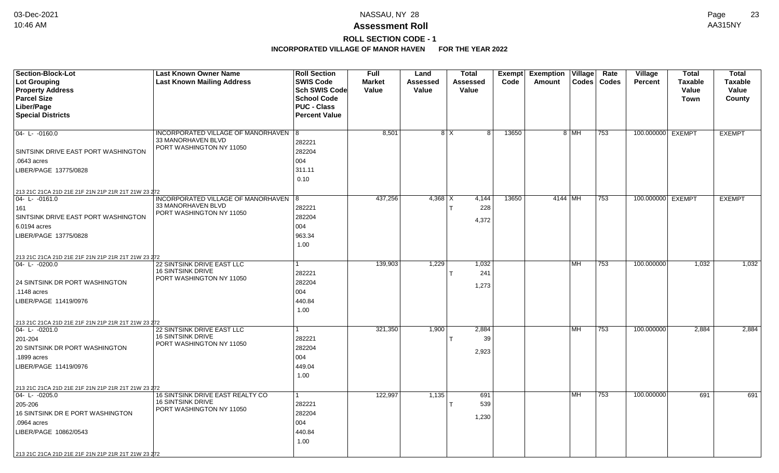# **ROLL SECTION CODE - 1**

| Section-Block-Lot                                                  | <b>Last Known Owner Name</b>                           | <b>Roll Section</b>  | <b>Full</b>   | Land        | <b>Total</b>      | Exempt | <b>Exemption</b><br>Village | Rate  | <b>Village</b>    | <b>Total</b>   | <b>Total</b>   |
|--------------------------------------------------------------------|--------------------------------------------------------|----------------------|---------------|-------------|-------------------|--------|-----------------------------|-------|-------------------|----------------|----------------|
| <b>Lot Grouping</b>                                                | <b>Last Known Mailing Address</b>                      | <b>SWIS Code</b>     | <b>Market</b> | Assessed    | <b>Assessed</b>   | Code   | Codes<br>Amount             | Codes | <b>Percent</b>    | <b>Taxable</b> | <b>Taxable</b> |
| <b>Property Address</b>                                            |                                                        | <b>Sch SWIS Code</b> | Value         | Value       | Value             |        |                             |       |                   | Value          | Value          |
| <b>Parcel Size</b>                                                 |                                                        | <b>School Code</b>   |               |             |                   |        |                             |       |                   | <b>Town</b>    | County         |
| Liber/Page                                                         |                                                        | <b>PUC - Class</b>   |               |             |                   |        |                             |       |                   |                |                |
| <b>Special Districts</b>                                           |                                                        | <b>Percent Value</b> |               |             |                   |        |                             |       |                   |                |                |
|                                                                    |                                                        |                      |               |             |                   |        |                             |       |                   |                |                |
| $04 - L - 0160.0$                                                  | INCORPORATED VILLAGE OF MANORHAVEN 8                   |                      | 8,501         |             | $8$ $\times$<br>8 | 13650  | 8 MH                        | 753   | 100.000000 EXEMPT |                | <b>EXEMPT</b>  |
|                                                                    | 33 MANORHAVEN BLVD<br>PORT WASHINGTON NY 11050         | 282221               |               |             |                   |        |                             |       |                   |                |                |
| SINTSINK DRIVE EAST PORT WASHINGTON                                |                                                        | 282204               |               |             |                   |        |                             |       |                   |                |                |
| .0643 acres                                                        |                                                        | 004                  |               |             |                   |        |                             |       |                   |                |                |
| LIBER/PAGE 13775/0828                                              |                                                        | 311.11               |               |             |                   |        |                             |       |                   |                |                |
|                                                                    |                                                        | 0.10                 |               |             |                   |        |                             |       |                   |                |                |
| 213 21C 21CA 21D 21E 21F 21N 21P 21R 21T 21W 23 272                |                                                        |                      |               |             |                   |        |                             |       |                   |                |                |
| 04-L-0161.0                                                        | INCORPORATED VILLAGE OF MANORHAVEN   8                 |                      | 437,256       | 4,368 $ X $ | 4,144             | 13650  | 4144   MH                   | 753   | 100.000000 EXEMPT |                | <b>EXEMPT</b>  |
| 161                                                                | 33 MANORHAVEN BLVD                                     | 282221               |               |             | 228               |        |                             |       |                   |                |                |
| SINTSINK DRIVE EAST PORT WASHINGTON                                | PORT WASHINGTON NY 11050                               | 282204               |               |             |                   |        |                             |       |                   |                |                |
| 6.0194 acres                                                       |                                                        | 004                  |               |             | 4,372             |        |                             |       |                   |                |                |
| LIBER/PAGE 13775/0828                                              |                                                        | 963.34               |               |             |                   |        |                             |       |                   |                |                |
|                                                                    |                                                        | 1.00                 |               |             |                   |        |                             |       |                   |                |                |
|                                                                    |                                                        |                      |               |             |                   |        |                             |       |                   |                |                |
| 213 21C 21CA 21D 21E 21F 21N 21P 21R 21T 21W 23 272<br>04-L-0200.0 | <b>22 SINTSINK DRIVE EAST LLC</b>                      |                      | 139,903       | 1,229       | 1,032             |        | <b>MH</b>                   | 753   | 100.000000        | 1,032          | 1,032          |
|                                                                    | <b>16 SINTSINK DRIVE</b>                               | 282221               |               |             | 241               |        |                             |       |                   |                |                |
| 24 SINTSINK DR PORT WASHINGTON                                     | PORT WASHINGTON NY 11050                               | 282204               |               |             |                   |        |                             |       |                   |                |                |
| .1148 acres                                                        |                                                        | 004                  |               |             | 1,273             |        |                             |       |                   |                |                |
| LIBER/PAGE 11419/0976                                              |                                                        | 440.84               |               |             |                   |        |                             |       |                   |                |                |
|                                                                    |                                                        | 1.00                 |               |             |                   |        |                             |       |                   |                |                |
|                                                                    |                                                        |                      |               |             |                   |        |                             |       |                   |                |                |
| 213 21C 21CA 21D 21E 21F 21N 21P 21R 21T 21W 23 272                |                                                        | 1                    |               |             |                   |        |                             |       |                   |                |                |
| 04- L- -0201.0                                                     | 22 SINTSINK DRIVE EAST LLC<br><b>16 SINTSINK DRIVE</b> |                      | 321,350       | 1,900       | 2,884             |        | l MH                        | 753   | 100.000000        | 2,884          | 2,884          |
| 201-204                                                            | PORT WASHINGTON NY 11050                               | 282221               |               |             | 39                |        |                             |       |                   |                |                |
| 20 SINTSINK DR PORT WASHINGTON                                     |                                                        | 282204               |               |             | 2,923             |        |                             |       |                   |                |                |
| .1899 acres                                                        |                                                        | 004                  |               |             |                   |        |                             |       |                   |                |                |
| LIBER/PAGE 11419/0976                                              |                                                        | 449.04               |               |             |                   |        |                             |       |                   |                |                |
|                                                                    |                                                        | 1.00                 |               |             |                   |        |                             |       |                   |                |                |
| 213 21C 21CA 21D 21E 21F 21N 21P 21R 21T 21W 23 272                |                                                        |                      |               |             |                   |        |                             |       |                   |                |                |
| $04 - L - 0205.0$                                                  | 16 SINTSINK DRIVE EAST REALTY CO                       | 1                    | 122,997       | 1,135       | 691               |        | l MH                        | 753   | 100.000000        | 691            | 691            |
| 205-206                                                            | <b>16 SINTSINK DRIVE</b><br>PORT WASHINGTON NY 11050   | 282221               |               |             | 539               |        |                             |       |                   |                |                |
| 16 SINTSINK DR E PORT WASHINGTON                                   |                                                        | 282204               |               |             | 1,230             |        |                             |       |                   |                |                |
| .0964 acres                                                        |                                                        | 004                  |               |             |                   |        |                             |       |                   |                |                |
| LIBER/PAGE 10862/0543                                              |                                                        | 440.84               |               |             |                   |        |                             |       |                   |                |                |
|                                                                    |                                                        | 1.00                 |               |             |                   |        |                             |       |                   |                |                |
| 213 21C 21CA 21D 21E 21F 21N 21P 21R 21T 21W 23 272                |                                                        |                      |               |             |                   |        |                             |       |                   |                |                |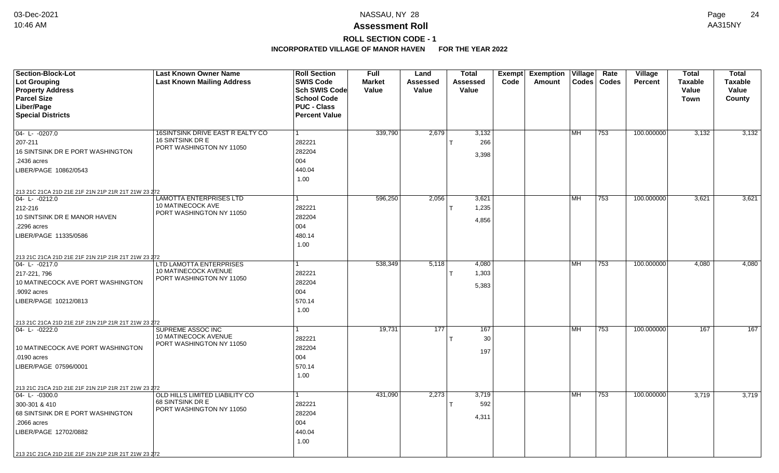### **ROLL SECTION CODE - 1**

| Section-Block-Lot                                   | <b>Last Known Owner Name</b>                     | <b>Roll Section</b>                      | <b>Full</b>   | Land     | <b>Total</b>    | Exempt | <b>Exemption Village</b> |           | Rate          | <b>Village</b> | <b>Total</b>   | <b>Total</b>   |
|-----------------------------------------------------|--------------------------------------------------|------------------------------------------|---------------|----------|-----------------|--------|--------------------------|-----------|---------------|----------------|----------------|----------------|
| <b>Lot Grouping</b>                                 | <b>Last Known Mailing Address</b>                | <b>SWIS Code</b>                         | <b>Market</b> | Assessed | <b>Assessed</b> | Code   | Amount                   |           | Codes   Codes | <b>Percent</b> | <b>Taxable</b> | <b>Taxable</b> |
| <b>Property Address</b><br><b>Parcel Size</b>       |                                                  | <b>Sch SWIS Code</b>                     | Value         | Value    | Value           |        |                          |           |               |                | Value          | Value          |
| Liber/Page                                          |                                                  | <b>School Code</b><br><b>PUC - Class</b> |               |          |                 |        |                          |           |               |                | <b>Town</b>    | County         |
| <b>Special Districts</b>                            |                                                  | <b>Percent Value</b>                     |               |          |                 |        |                          |           |               |                |                |                |
|                                                     |                                                  |                                          |               |          |                 |        |                          |           |               |                |                |                |
| $04 - L - 0207.0$                                   | 16SINTSINK DRIVE EAST R EALTY CO                 | 1                                        | 339,790       | 2,679    | 3,132           |        |                          | MH        | 753           | 100.000000     | 3,132          | 3,132          |
| 207-211                                             | 16 SINTSINK DR E                                 | 282221                                   |               |          | 266             |        |                          |           |               |                |                |                |
| 16 SINTSINK DR E PORT WASHINGTON                    | PORT WASHINGTON NY 11050                         | 282204                                   |               |          | 3,398           |        |                          |           |               |                |                |                |
| .2436 acres                                         |                                                  | 004                                      |               |          |                 |        |                          |           |               |                |                |                |
| LIBER/PAGE 10862/0543                               |                                                  | 440.04                                   |               |          |                 |        |                          |           |               |                |                |                |
|                                                     |                                                  | 1.00                                     |               |          |                 |        |                          |           |               |                |                |                |
| 213 21C 21CA 21D 21E 21F 21N 21P 21R 21T 21W 23 272 |                                                  |                                          |               |          |                 |        |                          |           |               |                |                |                |
| 04-L-0212.0                                         | <b>LAMOTTA ENTERPRISES LTD</b>                   |                                          | 596,250       | 2,056    | 3,621           |        |                          | l MH      | 753           | 100.000000     | 3,621          | 3,621          |
| 212-216                                             | 10 MATINECOCK AVE                                | 282221                                   |               |          | 1,235           |        |                          |           |               |                |                |                |
| 10 SINTSINK DR E MANOR HAVEN                        | PORT WASHINGTON NY 11050                         | 282204                                   |               |          | 4,856           |        |                          |           |               |                |                |                |
| .2296 acres                                         |                                                  | 004                                      |               |          |                 |        |                          |           |               |                |                |                |
| LIBER/PAGE 11335/0586                               |                                                  | 480.14                                   |               |          |                 |        |                          |           |               |                |                |                |
|                                                     |                                                  | 1.00                                     |               |          |                 |        |                          |           |               |                |                |                |
| 213 21C 21CA 21D 21E 21F 21N 21P 21R 21T 21W 23 272 |                                                  |                                          |               |          |                 |        |                          |           |               |                |                |                |
| 04-L-0217.0                                         | <b>LTD LAMOTTA ENTERPRISES</b>                   |                                          | 538,349       | 5,118    | 4,080           |        |                          | MH        | 753           | 100.000000     | 4,080          | 4,080          |
| 217-221, 796                                        | <b>10 MATINECOCK AVENUE</b>                      | 282221                                   |               |          | 1,303           |        |                          |           |               |                |                |                |
| 10 MATINECOCK AVE PORT WASHINGTON                   | PORT WASHINGTON NY 11050                         | 282204                                   |               |          | 5,383           |        |                          |           |               |                |                |                |
| .9092 acres                                         |                                                  | 004                                      |               |          |                 |        |                          |           |               |                |                |                |
| LIBER/PAGE 10212/0813                               |                                                  | 570.14                                   |               |          |                 |        |                          |           |               |                |                |                |
|                                                     |                                                  | 1.00                                     |               |          |                 |        |                          |           |               |                |                |                |
| 213 21C 21CA 21D 21E 21F 21N 21P 21R 21T 21W 23 272 |                                                  |                                          |               |          |                 |        |                          |           |               |                |                |                |
| 04-L-0222.0                                         | SUPREME ASSOC INC                                | 1                                        | 19,731        | 177      | 167             |        |                          | l MH      | 753           | 100.000000     | 167            | 167            |
|                                                     | 10 MATINECOCK AVENUE<br>PORT WASHINGTON NY 11050 | 282221                                   |               |          | 30              |        |                          |           |               |                |                |                |
| 10 MATINECOCK AVE PORT WASHINGTON                   |                                                  | 282204                                   |               |          | 197             |        |                          |           |               |                |                |                |
| .0190 acres                                         |                                                  | 004                                      |               |          |                 |        |                          |           |               |                |                |                |
| LIBER/PAGE 07596/0001                               |                                                  | 570.14                                   |               |          |                 |        |                          |           |               |                |                |                |
|                                                     |                                                  | 1.00                                     |               |          |                 |        |                          |           |               |                |                |                |
| 213 21C 21CA 21D 21E 21F 21N 21P 21R 21T 21W 23 272 |                                                  |                                          |               |          |                 |        |                          |           |               |                |                |                |
| 04-L-0300.0                                         | OLD HILLS LIMITED LIABILITY CO                   | 1                                        | 431,090       | 2,273    | 3,719           |        |                          | <b>MH</b> | 753           | 100.000000     | 3,719          | 3,719          |
| 300-301 & 410                                       | 68 SINTSINK DR E<br>PORT WASHINGTON NY 11050     | 282221                                   |               |          | 592             |        |                          |           |               |                |                |                |
| 68 SINTSINK DR E PORT WASHINGTON                    |                                                  | 282204                                   |               |          | 4,311           |        |                          |           |               |                |                |                |
| .2066 acres                                         |                                                  | 004                                      |               |          |                 |        |                          |           |               |                |                |                |
| LIBER/PAGE 12702/0882                               |                                                  | 440.04                                   |               |          |                 |        |                          |           |               |                |                |                |
|                                                     |                                                  | 1.00                                     |               |          |                 |        |                          |           |               |                |                |                |
| 213 21C 21CA 21D 21E 21F 21N 21P 21R 21T 21W 23 272 |                                                  |                                          |               |          |                 |        |                          |           |               |                |                |                |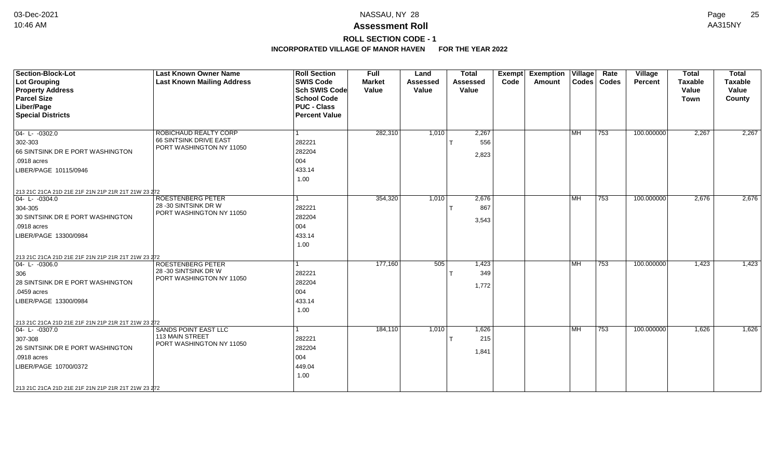### **Assessment Roll** 10:46 AM AA315NY

**ROLL SECTION CODE - 1 INCORPORATED VILLAGE OF MANOR HAVEN FOR THE YEAR 2022**

| <b>Section-Block-Lot</b><br><b>Lot Grouping</b><br><b>Property Address</b><br><b>Parcel Size</b><br>Liber/Page<br><b>Special Districts</b>                                                                                     | <b>Last Known Owner Name</b><br><b>Last Known Mailing Address</b>             | <b>Roll Section</b><br><b>SWIS Code</b><br><b>Sch SWIS Code</b><br><b>School Code</b><br><b>PUC - Class</b><br><b>Percent Value</b> | <b>Full</b><br><b>Market</b><br>Value | Land<br>Assessed<br>Value | <b>Total</b><br><b>Assessed</b><br>Value | Code | Exempt Exemption Village<br>Amount | Codes   Codes | Rate          | Village<br><b>Percent</b> | <b>Total</b><br><b>Taxable</b><br>Value<br><b>Town</b> | <b>Total</b><br><b>Taxable</b><br>Value<br>County |
|--------------------------------------------------------------------------------------------------------------------------------------------------------------------------------------------------------------------------------|-------------------------------------------------------------------------------|-------------------------------------------------------------------------------------------------------------------------------------|---------------------------------------|---------------------------|------------------------------------------|------|------------------------------------|---------------|---------------|---------------------------|--------------------------------------------------------|---------------------------------------------------|
| $04 - L - 0302.0$<br>302-303<br>66 SINTSINK DR E PORT WASHINGTON<br>.0918 acres<br>LIBER/PAGE 10115/0946                                                                                                                       | ROBICHAUD REALTY CORP<br>66 SINTSINK DRIVE EAST<br>PORT WASHINGTON NY 11050   | 282221<br>282204<br>004<br>433.14<br>1.00                                                                                           | 282,310                               | 1,010                     | 2,267<br>556<br>2,823                    |      |                                    | <b>IMH</b>    | $ 753\rangle$ | 100.000000                | 2,267                                                  | 2,267                                             |
| 213 21C 21CA 21D 21E 21F 21N 21P 21R 21T 21W 23 272<br>$04 - L - 0304.0$<br>304-305<br>30 SINTSINK DR E PORT WASHINGTON<br>.0918 acres<br>LIBER/PAGE 13300/0984                                                                | <b>ROESTENBERG PETER</b><br>28 -30 SINTSINK DR W<br>PORT WASHINGTON NY 11050  | 282221<br>282204<br>004<br>433.14<br>1.00                                                                                           | 354,320                               | 1,010                     | 2,676<br>867<br>3,543                    |      |                                    | <b>IMH</b>    | $ 753\rangle$ | 100.000000                | 2,676                                                  | 2,676                                             |
| 213 21C 21CA 21D 21E 21F 21N 21P 21R 21T 21W 23 272<br>$ 04 - L - 0306.0$<br>306<br>28 SINTSINK DR E PORT WASHINGTON<br>.0459 acres<br>LIBER/PAGE 13300/0984                                                                   | <b>ROESTENBERG PETER</b><br>28 - 30 SINTSINK DR W<br>PORT WASHINGTON NY 11050 | 282221<br>282204<br>004<br>433.14<br>1.00                                                                                           | 177,160                               | 505                       | 1,423<br>349<br>1,772                    |      |                                    | <b>IMH</b>    | 753           | 100.000000                | 1,423                                                  | 1,423                                             |
| 213 21C 21CA 21D 21E 21F 21N 21P 21R 21T 21W 23 272<br>$\boxed{04 - L - 0307.0}$<br>307-308<br>26 SINTSINK DR E PORT WASHINGTON<br>.0918 acres<br>LIBER/PAGE 10700/0372<br>213 21C 21CA 21D 21E 21F 21N 21P 21R 21T 21W 23 272 | <b>SANDS POINT EAST LLC</b><br>113 MAIN STREET<br>PORT WASHINGTON NY 11050    | 282221<br>282204<br>004<br>449.04<br>1.00                                                                                           | 184,110                               | 1,010                     | 1,626<br>215<br>1,841                    |      |                                    | <b>MH</b>     | $ 753\rangle$ | 100.000000                | 1,626                                                  | 1,626                                             |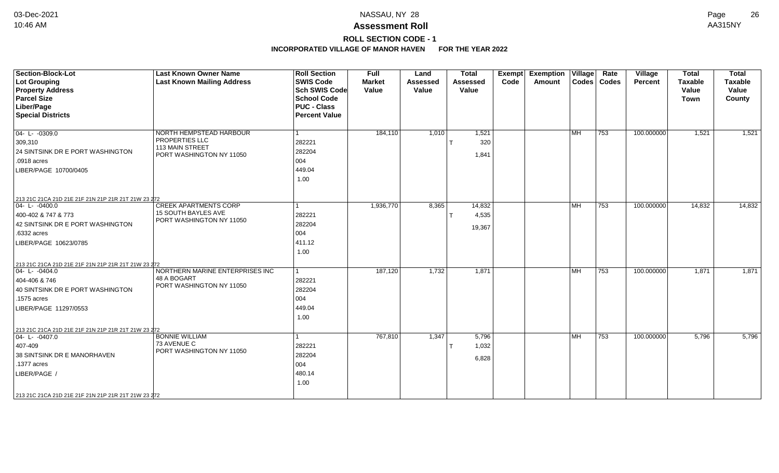### **Assessment Roll** 10:46 AM AA315NY

# **ROLL SECTION CODE - 1**

| Section-Block-Lot                                   | <b>Last Known Owner Name</b>                   | <b>Roll Section</b>  | Full          | Land            | <b>Total</b>    | Exempt | <b>Exemption Village</b> |                           | Rate          | Village    | <b>Total</b>   | <b>Total</b>   |
|-----------------------------------------------------|------------------------------------------------|----------------------|---------------|-----------------|-----------------|--------|--------------------------|---------------------------|---------------|------------|----------------|----------------|
| <b>Lot Grouping</b>                                 | <b>Last Known Mailing Address</b>              | <b>SWIS Code</b>     | <b>Market</b> | <b>Assessed</b> | <b>Assessed</b> | Code   | Amount                   |                           | Codes   Codes | Percent    | <b>Taxable</b> | <b>Taxable</b> |
| <b>Property Address</b>                             |                                                | <b>Sch SWIS Code</b> | Value         | Value           | Value           |        |                          |                           |               |            | Value          | Value          |
| <b>Parcel Size</b>                                  |                                                | <b>School Code</b>   |               |                 |                 |        |                          |                           |               |            | <b>Town</b>    | County         |
| Liber/Page                                          |                                                | <b>PUC - Class</b>   |               |                 |                 |        |                          |                           |               |            |                |                |
| <b>Special Districts</b>                            |                                                | <b>Percent Value</b> |               |                 |                 |        |                          |                           |               |            |                |                |
|                                                     |                                                |                      |               |                 |                 |        |                          |                           |               |            |                |                |
| $\overline{04 - L - 0309.0}$                        | NORTH HEMPSTEAD HARBOUR                        |                      | 184,110       | 1,010           | 1,521           |        |                          | <b>MH</b>                 | 753           | 100.000000 | 1,521          | 1,521          |
| 309,310                                             | PROPERTIES LLC                                 | 282221               |               |                 | 320             |        |                          |                           |               |            |                |                |
| 24 SINTSINK DR E PORT WASHINGTON                    | 113 MAIN STREET<br>PORT WASHINGTON NY 11050    | 282204               |               |                 |                 |        |                          |                           |               |            |                |                |
| .0918 acres                                         |                                                | 004                  |               |                 | 1,841           |        |                          |                           |               |            |                |                |
| LIBER/PAGE 10700/0405                               |                                                | 449.04               |               |                 |                 |        |                          |                           |               |            |                |                |
|                                                     |                                                | 1.00                 |               |                 |                 |        |                          |                           |               |            |                |                |
|                                                     |                                                |                      |               |                 |                 |        |                          |                           |               |            |                |                |
| 213 21C 21CA 21D 21E 21F 21N 21P 21R 21T 21W 23 272 |                                                |                      |               |                 |                 |        |                          |                           |               |            |                |                |
| $04 - L - 0400.0$                                   | <b>CREEK APARTMENTS CORP</b>                   |                      | 1,936,770     | 8,365           | 14,832          |        |                          | $\overline{\mathsf{M}}$ H | 753           | 100.000000 | 14,832         | 14,832         |
| 400-402 & 747 & 773                                 | 15 SOUTH BAYLES AVE                            | 282221               |               |                 | 4,535           |        |                          |                           |               |            |                |                |
| 42 SINTSINK DR E PORT WASHINGTON                    | PORT WASHINGTON NY 11050                       | 282204               |               |                 |                 |        |                          |                           |               |            |                |                |
| .6332 acres                                         |                                                | 004                  |               |                 | 19,367          |        |                          |                           |               |            |                |                |
| LIBER/PAGE 10623/0785                               |                                                | 411.12               |               |                 |                 |        |                          |                           |               |            |                |                |
|                                                     |                                                | 1.00                 |               |                 |                 |        |                          |                           |               |            |                |                |
|                                                     |                                                |                      |               |                 |                 |        |                          |                           |               |            |                |                |
| 213 21C 21CA 21D 21E 21F 21N 21P 21R 21T 21W 23 272 |                                                |                      |               |                 |                 |        |                          |                           |               |            |                |                |
| $ 04 - L - 0404.0 $                                 | NORTHERN MARINE ENTERPRISES INC<br>48 A BOGART |                      | 187,120       | 1,732           | 1,871           |        |                          | MH                        | 753           | 100.000000 | 1,871          | 1,871          |
| 404-406 & 746                                       | PORT WASHINGTON NY 11050                       | 282221               |               |                 |                 |        |                          |                           |               |            |                |                |
| 40 SINTSINK DR E PORT WASHINGTON                    |                                                | 282204               |               |                 |                 |        |                          |                           |               |            |                |                |
| .1575 acres                                         |                                                | 004                  |               |                 |                 |        |                          |                           |               |            |                |                |
| LIBER/PAGE 11297/0553                               |                                                | 449.04               |               |                 |                 |        |                          |                           |               |            |                |                |
|                                                     |                                                | 1.00                 |               |                 |                 |        |                          |                           |               |            |                |                |
| 213 21C 21CA 21D 21E 21F 21N 21P 21R 21T 21W 23 272 |                                                |                      |               |                 |                 |        |                          |                           |               |            |                |                |
| $ 04 - L - 0407.0$                                  | <b>BONNIE WILLIAM</b>                          |                      | 767,810       | 1,347           | 5,796           |        |                          | l MH                      | 753           | 100.000000 | 5,796          | 5,796          |
| 407-409                                             | 73 AVENUE C                                    | 282221               |               |                 | 1,032           |        |                          |                           |               |            |                |                |
| 38 SINTSINK DR E MANORHAVEN                         | PORT WASHINGTON NY 11050                       | 282204               |               |                 |                 |        |                          |                           |               |            |                |                |
| .1377 acres                                         |                                                | 004                  |               |                 | 6,828           |        |                          |                           |               |            |                |                |
| LIBER/PAGE /                                        |                                                | 480.14               |               |                 |                 |        |                          |                           |               |            |                |                |
|                                                     |                                                | 1.00                 |               |                 |                 |        |                          |                           |               |            |                |                |
|                                                     |                                                |                      |               |                 |                 |        |                          |                           |               |            |                |                |
| 213 21C 21CA 21D 21E 21F 21N 21P 21R 21T 21W 23 272 |                                                |                      |               |                 |                 |        |                          |                           |               |            |                |                |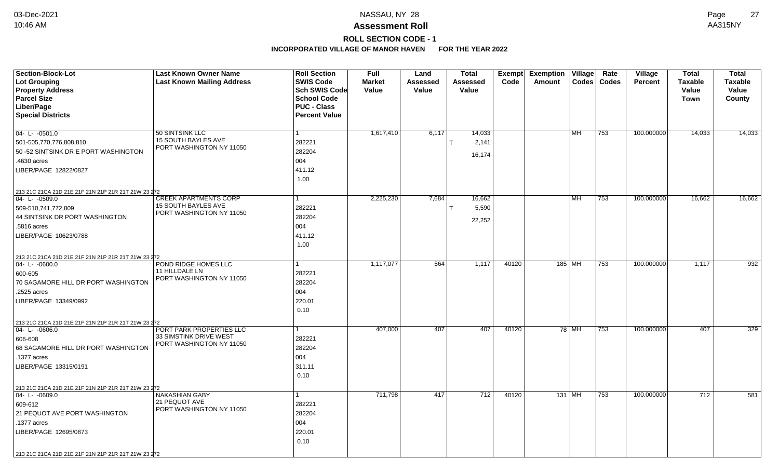# **ROLL SECTION CODE - 1**

| Section-Block-Lot                                   | <b>Last Known Owner Name</b>                       | <b>Roll Section</b><br><b>SWIS Code</b> | <b>Full</b>            | Land                     | <b>Total</b>             | Exempt | <b>Exemption Village</b> |        | Rate          | Village        | <b>Total</b>            | <b>Total</b>            |
|-----------------------------------------------------|----------------------------------------------------|-----------------------------------------|------------------------|--------------------------|--------------------------|--------|--------------------------|--------|---------------|----------------|-------------------------|-------------------------|
| Lot Grouping<br><b>Property Address</b>             | <b>Last Known Mailing Address</b>                  | <b>Sch SWIS Code</b>                    | <b>Market</b><br>Value | <b>Assessed</b><br>Value | <b>Assessed</b><br>Value | Code   | Amount                   |        | Codes   Codes | <b>Percent</b> | <b>Taxable</b><br>Value | <b>Taxable</b><br>Value |
| <b>Parcel Size</b>                                  |                                                    | <b>School Code</b>                      |                        |                          |                          |        |                          |        |               |                | <b>Town</b>             | County                  |
| Liber/Page                                          |                                                    | <b>PUC - Class</b>                      |                        |                          |                          |        |                          |        |               |                |                         |                         |
| <b>Special Districts</b>                            |                                                    | <b>Percent Value</b>                    |                        |                          |                          |        |                          |        |               |                |                         |                         |
|                                                     |                                                    |                                         |                        |                          |                          |        |                          |        |               |                |                         |                         |
| $04 - L - 0501.0$                                   | 50 SINTSINK LLC                                    | $\vert$ 1                               | 1,617,410              | 6,117                    | 14,033                   |        |                          | l MH   | 753           | 100.000000     | 14,033                  | 14,033                  |
| 501-505,770,776,808,810                             | 15 SOUTH BAYLES AVE<br>PORT WASHINGTON NY 11050    | 282221                                  |                        |                          | 2,141                    |        |                          |        |               |                |                         |                         |
| 50 - 52 SINTSINK DR E PORT WASHINGTON               |                                                    | 282204                                  |                        |                          | 16,174                   |        |                          |        |               |                |                         |                         |
| .4630 acres                                         |                                                    | 004                                     |                        |                          |                          |        |                          |        |               |                |                         |                         |
| LIBER/PAGE 12822/0827                               |                                                    | 411.12                                  |                        |                          |                          |        |                          |        |               |                |                         |                         |
|                                                     |                                                    | 1.00                                    |                        |                          |                          |        |                          |        |               |                |                         |                         |
| 213 21C 21CA 21D 21E 21F 21N 21P 21R 21T 21W 23 272 |                                                    |                                         |                        |                          |                          |        |                          |        |               |                |                         |                         |
| 04-L-0509.0                                         | <b>CREEK APARTMENTS CORP</b>                       | l 1                                     | 2,225,230              | 7,684                    | 16,662                   |        |                          | l MH   | 753           | 100.000000     | 16,662                  | 16,662                  |
| 509-510,741,772,809                                 | 15 SOUTH BAYLES AVE<br>PORT WASHINGTON NY 11050    | 282221                                  |                        |                          | 5,590                    |        |                          |        |               |                |                         |                         |
| 44 SINTSINK DR PORT WASHINGTON                      |                                                    | 282204                                  |                        |                          | 22,252                   |        |                          |        |               |                |                         |                         |
| .5816 acres                                         |                                                    | 004                                     |                        |                          |                          |        |                          |        |               |                |                         |                         |
| LIBER/PAGE 10623/0788                               |                                                    | 411.12                                  |                        |                          |                          |        |                          |        |               |                |                         |                         |
|                                                     |                                                    | 1.00                                    |                        |                          |                          |        |                          |        |               |                |                         |                         |
| 213 21C 21CA 21D 21E 21F 21N 21P 21R 21T 21W 23 272 |                                                    |                                         |                        |                          |                          |        |                          |        |               |                |                         |                         |
| $04 - L - 0600.0$                                   | POND RIDGE HOMES LLC                               | 1                                       | 1,117,077              | 564                      | 1,117                    | 40120  |                          | 185 MH | 753           | 100.000000     | 1,117                   | 932                     |
| 600-605                                             | 11 HILLDALE LN<br>PORT WASHINGTON NY 11050         | 282221                                  |                        |                          |                          |        |                          |        |               |                |                         |                         |
| 70 SAGAMORE HILL DR PORT WASHINGTON                 |                                                    | 282204                                  |                        |                          |                          |        |                          |        |               |                |                         |                         |
| .2525 acres                                         |                                                    | 004                                     |                        |                          |                          |        |                          |        |               |                |                         |                         |
| LIBER/PAGE 13349/0992                               |                                                    | 220.01                                  |                        |                          |                          |        |                          |        |               |                |                         |                         |
|                                                     |                                                    | 0.10                                    |                        |                          |                          |        |                          |        |               |                |                         |                         |
| 213 21C 21CA 21D 21E 21F 21N 21P 21R 21T 21W 23 272 |                                                    |                                         |                        |                          |                          |        |                          |        |               |                |                         |                         |
| $ 04 - L - 0606.0$                                  | PORT PARK PROPERTIES LLC                           | l 1                                     | 407,000                | 407                      | 407                      | 40120  |                          | 78 MH  | 753           | 100.000000     | 407                     | 329                     |
| 606-608                                             | 33 SIMSTINK DRIVE WEST<br>PORT WASHINGTON NY 11050 | 282221                                  |                        |                          |                          |        |                          |        |               |                |                         |                         |
| 68 SAGAMORE HILL DR PORT WASHINGTON                 |                                                    | 282204                                  |                        |                          |                          |        |                          |        |               |                |                         |                         |
| .1377 acres                                         |                                                    | 004                                     |                        |                          |                          |        |                          |        |               |                |                         |                         |
| LIBER/PAGE 13315/0191                               |                                                    | 311.11                                  |                        |                          |                          |        |                          |        |               |                |                         |                         |
|                                                     |                                                    | 0.10                                    |                        |                          |                          |        |                          |        |               |                |                         |                         |
| 213 21C 21CA 21D 21E 21F 21N 21P 21R 21T 21W 23 272 |                                                    |                                         |                        |                          |                          |        |                          |        |               |                |                         |                         |
| $ 04 - L - 0609.0$                                  | <b>NAKASHIAN GABY</b>                              | $\mathbf{1}$                            | 711,798                | 417                      | 712                      | 40120  |                          | 131 MH | 753           | 100.000000     | 712                     | 581                     |
| 609-612                                             | 21 PEQUOT AVE<br>PORT WASHINGTON NY 11050          | 282221                                  |                        |                          |                          |        |                          |        |               |                |                         |                         |
| 21 PEQUOT AVE PORT WASHINGTON                       |                                                    | 282204                                  |                        |                          |                          |        |                          |        |               |                |                         |                         |
| .1377 acres                                         |                                                    | 004                                     |                        |                          |                          |        |                          |        |               |                |                         |                         |
| LIBER/PAGE 12695/0873                               |                                                    | 220.01                                  |                        |                          |                          |        |                          |        |               |                |                         |                         |
|                                                     |                                                    | 0.10                                    |                        |                          |                          |        |                          |        |               |                |                         |                         |
| 213 21C 21CA 21D 21E 21F 21N 21P 21R 21T 21W 23 272 |                                                    |                                         |                        |                          |                          |        |                          |        |               |                |                         |                         |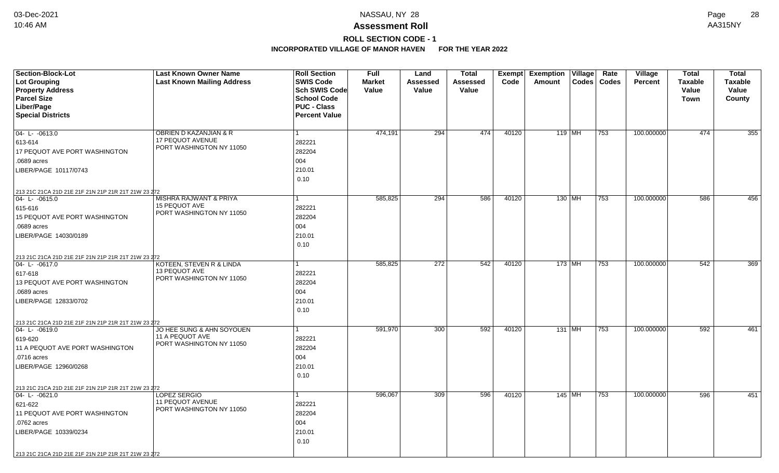## **ROLL SECTION CODE - 1**

| <b>Section-Block-Lot</b>                            | <b>Last Known Owner Name</b>                 | <b>Roll Section</b>  | <b>Full</b>   | Land            | <b>Total</b>    | Exempt | Exemption   Village |          | Rate          | <b>Village</b> | <b>Total</b>   | <b>Total</b>   |
|-----------------------------------------------------|----------------------------------------------|----------------------|---------------|-----------------|-----------------|--------|---------------------|----------|---------------|----------------|----------------|----------------|
| <b>Lot Grouping</b>                                 | <b>Last Known Mailing Address</b>            | <b>SWIS Code</b>     | <b>Market</b> | <b>Assessed</b> | <b>Assessed</b> | Code   | Amount              |          | Codes   Codes | <b>Percent</b> | <b>Taxable</b> | <b>Taxable</b> |
| <b>Property Address</b>                             |                                              | <b>Sch SWIS Code</b> | Value         | Value           | Value           |        |                     |          |               |                | Value          | Value          |
| <b>Parcel Size</b>                                  |                                              | <b>School Code</b>   |               |                 |                 |        |                     |          |               |                | Town           | County         |
| Liber/Page                                          |                                              | <b>PUC - Class</b>   |               |                 |                 |        |                     |          |               |                |                |                |
| <b>Special Districts</b>                            |                                              | <b>Percent Value</b> |               |                 |                 |        |                     |          |               |                |                |                |
|                                                     |                                              |                      |               |                 |                 |        |                     |          |               |                |                |                |
| $04 - L - 0613.0$                                   | <b>OBRIEN D KAZANJIAN &amp; R</b>            | 1                    | 474,191       | 294             | 474             | 40120  | 119 MH              |          | 753           | 100.000000     | 474            | 355            |
| 613-614                                             | 17 PEQUOT AVENUE<br>PORT WASHINGTON NY 11050 | 282221               |               |                 |                 |        |                     |          |               |                |                |                |
| 17 PEQUOT AVE PORT WASHINGTON                       |                                              | 282204               |               |                 |                 |        |                     |          |               |                |                |                |
| .0689 acres                                         |                                              | 004                  |               |                 |                 |        |                     |          |               |                |                |                |
| LIBER/PAGE 10117/0743                               |                                              | 210.01               |               |                 |                 |        |                     |          |               |                |                |                |
|                                                     |                                              | 0.10                 |               |                 |                 |        |                     |          |               |                |                |                |
| 213 21C 21CA 21D 21E 21F 21N 21P 21R 21T 21W 23 272 |                                              |                      |               |                 |                 |        |                     |          |               |                |                |                |
| $ 04 - L - 0615.0$                                  | MISHRA RAJWANT & PRIYA                       |                      | 585,825       | 294             | 586             | 40120  | 130 MH              |          | 753           | 100.000000     | 586            | 456            |
| 615-616                                             | 15 PEQUOT AVE                                | 282221               |               |                 |                 |        |                     |          |               |                |                |                |
| <b>15 PEQUOT AVE PORT WASHINGTON</b>                | PORT WASHINGTON NY 11050                     | 282204               |               |                 |                 |        |                     |          |               |                |                |                |
| .0689 acres                                         |                                              | 004                  |               |                 |                 |        |                     |          |               |                |                |                |
| LIBER/PAGE 14030/0189                               |                                              | 210.01               |               |                 |                 |        |                     |          |               |                |                |                |
|                                                     |                                              | 0.10                 |               |                 |                 |        |                     |          |               |                |                |                |
| 213 21C 21CA 21D 21E 21F 21N 21P 21R 21T 21W 23 272 |                                              |                      |               |                 |                 |        |                     |          |               |                |                |                |
| 04-L-0617.0                                         | KOTEEN, STEVEN R & LINDA                     |                      | 585,825       | 272             | 542             | 40120  |                     | 173   MH | 753           | 100.000000     | 542            | 369            |
| 617-618                                             | 13 PEQUOT AVE                                | 282221               |               |                 |                 |        |                     |          |               |                |                |                |
| 13 PEQUOT AVE PORT WASHINGTON                       | PORT WASHINGTON NY 11050                     | 282204               |               |                 |                 |        |                     |          |               |                |                |                |
| .0689 acres                                         |                                              | 004                  |               |                 |                 |        |                     |          |               |                |                |                |
| LIBER/PAGE 12833/0702                               |                                              | 210.01               |               |                 |                 |        |                     |          |               |                |                |                |
|                                                     |                                              | 0.10                 |               |                 |                 |        |                     |          |               |                |                |                |
| 213 21C 21CA 21D 21E 21F 21N 21P 21R 21T 21W 23 272 |                                              |                      |               |                 |                 |        |                     |          |               |                |                |                |
| 04-L-0619.0                                         | JO HEE SUNG & AHN SOYOUEN                    | 1                    | 591,970       | 300             | 592             | 40120  | 131 MH              |          | 753           | 100.000000     | 592            | 461            |
| 619-620                                             | 11 A PEQUOT AVE                              | 282221               |               |                 |                 |        |                     |          |               |                |                |                |
| 11 A PEQUOT AVE PORT WASHINGTON                     | PORT WASHINGTON NY 11050                     | 282204               |               |                 |                 |        |                     |          |               |                |                |                |
| .0716 acres                                         |                                              | 004                  |               |                 |                 |        |                     |          |               |                |                |                |
| LIBER/PAGE 12960/0268                               |                                              | 210.01               |               |                 |                 |        |                     |          |               |                |                |                |
|                                                     |                                              | 0.10                 |               |                 |                 |        |                     |          |               |                |                |                |
| 213 21C 21CA 21D 21E 21F 21N 21P 21R 21T 21W 23 272 |                                              |                      |               |                 |                 |        |                     |          |               |                |                |                |
| 04-L-0621.0                                         | <b>LOPEZ SERGIO</b>                          |                      | 596,067       | 309             | 596             | 40120  |                     | $145$ MH | 753           | 100.000000     | 596            | 451            |
| 621-622                                             | 11 PEQUOT AVENUE                             | 282221               |               |                 |                 |        |                     |          |               |                |                |                |
| 11 PEQUOT AVE PORT WASHINGTON                       | PORT WASHINGTON NY 11050                     | 282204               |               |                 |                 |        |                     |          |               |                |                |                |
| .0762 acres                                         |                                              | 004                  |               |                 |                 |        |                     |          |               |                |                |                |
| LIBER/PAGE 10339/0234                               |                                              | 210.01               |               |                 |                 |        |                     |          |               |                |                |                |
|                                                     |                                              | 0.10                 |               |                 |                 |        |                     |          |               |                |                |                |
| 213 21C 21CA 21D 21E 21F 21N 21P 21R 21T 21W 23 272 |                                              |                      |               |                 |                 |        |                     |          |               |                |                |                |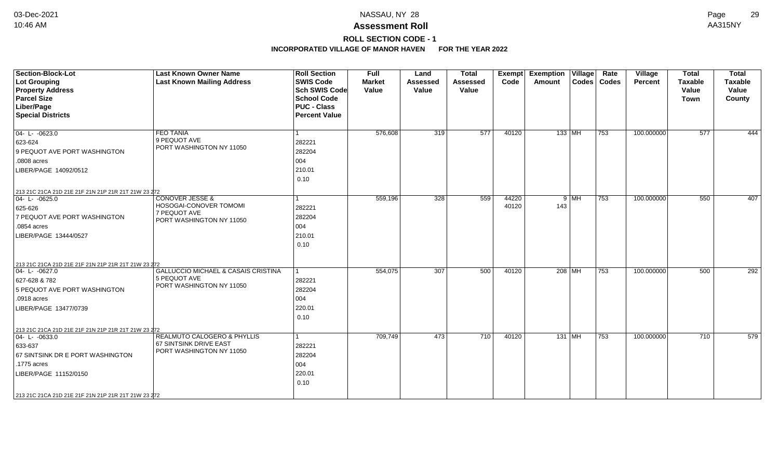**ROLL SECTION CODE - 1**

| Section-Block-Lot                                   | <b>Last Known Owner Name</b>             | <b>Roll Section</b>  | <b>Full</b>   | Land            | <b>Total</b> | <b>Exempt</b> | <b>Exemption</b> | $ $ Village $ $ | Rate          | Village        | <b>Total</b>   | <b>Total</b>   |
|-----------------------------------------------------|------------------------------------------|----------------------|---------------|-----------------|--------------|---------------|------------------|-----------------|---------------|----------------|----------------|----------------|
| Lot Grouping                                        | <b>Last Known Mailing Address</b>        | <b>SWIS Code</b>     | <b>Market</b> | <b>Assessed</b> | Assessed     | Code          | Amount           |                 | Codes   Codes | <b>Percent</b> | <b>Taxable</b> | <b>Taxable</b> |
| <b>Property Address</b>                             |                                          | <b>Sch SWIS Code</b> | Value         | Value           | Value        |               |                  |                 |               |                | Value          | Value          |
| <b>Parcel Size</b>                                  |                                          | <b>School Code</b>   |               |                 |              |               |                  |                 |               |                | <b>Town</b>    | County         |
| Liber/Page                                          |                                          | <b>PUC - Class</b>   |               |                 |              |               |                  |                 |               |                |                |                |
| <b>Special Districts</b>                            |                                          | <b>Percent Value</b> |               |                 |              |               |                  |                 |               |                |                |                |
| $04 - L - 0623.0$                                   | <b>FEO TANIA</b>                         |                      | 576,608       | 319             | 577          | 40120         | $133$ MH         |                 | 753           | 100.000000     | 577            | 444            |
| 623-624                                             | 9 PEQUOT AVE                             | 282221               |               |                 |              |               |                  |                 |               |                |                |                |
| 9 PEQUOT AVE PORT WASHINGTON                        | PORT WASHINGTON NY 11050                 | 282204               |               |                 |              |               |                  |                 |               |                |                |                |
| .0808 acres                                         |                                          | 004                  |               |                 |              |               |                  |                 |               |                |                |                |
| LIBER/PAGE 14092/0512                               |                                          | 210.01               |               |                 |              |               |                  |                 |               |                |                |                |
|                                                     |                                          | 0.10                 |               |                 |              |               |                  |                 |               |                |                |                |
| 213 21C 21CA 21D 21E 21F 21N 21P 21R 21T 21W 23 272 |                                          |                      |               |                 |              |               |                  |                 |               |                |                |                |
| $ 04 - L - 0625.0$                                  | <b>CONOVER JESSE &amp;</b>               |                      | 559,196       | 328             | 559          | 44220         |                  | $9$ MH          | 753           | 100.000000     | 550            | 407            |
| 625-626                                             | HOSOGAI-CONOVER TOMOMI<br>7 PEQUOT AVE   | 282221               |               |                 |              | 40120         | 143              |                 |               |                |                |                |
| 7 PEQUOT AVE PORT WASHINGTON                        | PORT WASHINGTON NY 11050                 | 282204               |               |                 |              |               |                  |                 |               |                |                |                |
| .0854 acres                                         |                                          | 004                  |               |                 |              |               |                  |                 |               |                |                |                |
| LIBER/PAGE 13444/0527                               |                                          | 210.01               |               |                 |              |               |                  |                 |               |                |                |                |
|                                                     |                                          | 0.10                 |               |                 |              |               |                  |                 |               |                |                |                |
|                                                     |                                          |                      |               |                 |              |               |                  |                 |               |                |                |                |
| 213 21C 21CA 21D 21E 21F 21N 21P 21R 21T 21W 23 272 |                                          |                      |               |                 |              |               |                  |                 |               |                |                |                |
| $ 04 - L - 0627.0$                                  | GALLUCCIO MICHAEL & CASAIS CRISTINA      |                      | 554,075       | 307             | 500          | 40120         | 208   MH         |                 | 753           | 100.000000     | 500            | 292            |
| 627-628 & 782                                       | 5 PEQUOT AVE<br>PORT WASHINGTON NY 11050 | 282221               |               |                 |              |               |                  |                 |               |                |                |                |
| 5 PEQUOT AVE PORT WASHINGTON                        |                                          | 282204               |               |                 |              |               |                  |                 |               |                |                |                |
| .0918 acres                                         |                                          | 004                  |               |                 |              |               |                  |                 |               |                |                |                |
| LIBER/PAGE 13477/0739                               |                                          | 220.01               |               |                 |              |               |                  |                 |               |                |                |                |
|                                                     |                                          | 0.10                 |               |                 |              |               |                  |                 |               |                |                |                |
| 213 21C 21CA 21D 21E 21F 21N 21P 21R 21T 21W 23 272 |                                          |                      |               |                 |              |               |                  |                 |               |                |                |                |
| $04 - L - 0633.0$                                   | REALMUTO CALOGERO & PHYLLIS              |                      | 709,749       | 473             | 710          | 40120         | 131 MH           |                 | 753           | 100.000000     | 710            | 579            |
| 633-637                                             | 67 SINTSINK DRIVE EAST                   | 282221               |               |                 |              |               |                  |                 |               |                |                |                |
| 67 SINTSINK DR E PORT WASHINGTON                    | PORT WASHINGTON NY 11050                 | 282204               |               |                 |              |               |                  |                 |               |                |                |                |
| .1775 acres                                         |                                          | 004                  |               |                 |              |               |                  |                 |               |                |                |                |
| LIBER/PAGE 11152/0150                               |                                          | 220.01               |               |                 |              |               |                  |                 |               |                |                |                |
|                                                     |                                          | 0.10                 |               |                 |              |               |                  |                 |               |                |                |                |
| 213 21C 21CA 21D 21E 21F 21N 21P 21R 21T 21W 23 272 |                                          |                      |               |                 |              |               |                  |                 |               |                |                |                |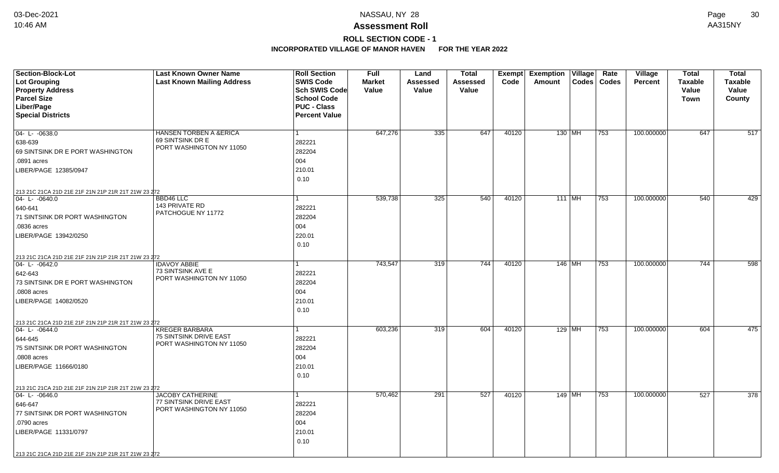### **Assessment Roll** 10:46 AM AA315NY

**ROLL SECTION CODE - 1**

| Section-Block-Lot                                                  | <b>Last Known Owner Name</b>                          | <b>Roll Section</b>  | <b>Full</b>   | Land            | <b>Total</b>    | Exempt | <b>Exemption Village</b> | Rate          | Village        | <b>Total</b>   | <b>Total</b>     |
|--------------------------------------------------------------------|-------------------------------------------------------|----------------------|---------------|-----------------|-----------------|--------|--------------------------|---------------|----------------|----------------|------------------|
| <b>Lot Grouping</b>                                                | <b>Last Known Mailing Address</b>                     | <b>SWIS Code</b>     | <b>Market</b> | <b>Assessed</b> | <b>Assessed</b> | Code   | Amount                   | Codes   Codes | <b>Percent</b> | <b>Taxable</b> | <b>Taxable</b>   |
| <b>Property Address</b>                                            |                                                       | <b>Sch SWIS Code</b> | Value         | Value           | Value           |        |                          |               |                | Value          | Value            |
| <b>Parcel Size</b>                                                 |                                                       | <b>School Code</b>   |               |                 |                 |        |                          |               |                | Town           | County           |
| Liber/Page                                                         |                                                       | <b>PUC - Class</b>   |               |                 |                 |        |                          |               |                |                |                  |
| <b>Special Districts</b>                                           |                                                       | <b>Percent Value</b> |               |                 |                 |        |                          |               |                |                |                  |
|                                                                    |                                                       | $\mathbf 1$          | 647,276       |                 | 647             |        |                          |               |                | 647            | $\overline{517}$ |
| $04 - L - 0638.0$                                                  | <b>HANSEN TORBEN A &amp;ERICA</b><br>69 SINTSINK DR E |                      |               | 335             |                 | 40120  | 130 MH                   | 753           | 100.000000     |                |                  |
| 638-639                                                            | PORT WASHINGTON NY 11050                              | 282221<br>282204     |               |                 |                 |        |                          |               |                |                |                  |
| 69 SINTSINK DR E PORT WASHINGTON                                   |                                                       |                      |               |                 |                 |        |                          |               |                |                |                  |
| .0891 acres                                                        |                                                       | 004                  |               |                 |                 |        |                          |               |                |                |                  |
| LIBER/PAGE 12385/0947                                              |                                                       | 210.01<br>0.10       |               |                 |                 |        |                          |               |                |                |                  |
|                                                                    |                                                       |                      |               |                 |                 |        |                          |               |                |                |                  |
| 213 21C 21CA 21D 21E 21F 21N 21P 21R 21T 21W 23 272<br>04-L-0640.0 | BBD46 LLC                                             | 1                    | 539,738       | 325             | 540             | 40120  | $111$ MH                 | 753           | 100.000000     | 540            | 429              |
| 640-641                                                            | 143 PRIVATE RD                                        | 282221               |               |                 |                 |        |                          |               |                |                |                  |
| 71 SINTSINK DR PORT WASHINGTON                                     | PATCHOGUE NY 11772                                    | 282204               |               |                 |                 |        |                          |               |                |                |                  |
| .0836 acres                                                        |                                                       | 004                  |               |                 |                 |        |                          |               |                |                |                  |
| LIBER/PAGE 13942/0250                                              |                                                       | 220.01               |               |                 |                 |        |                          |               |                |                |                  |
|                                                                    |                                                       | 0.10                 |               |                 |                 |        |                          |               |                |                |                  |
|                                                                    |                                                       |                      |               |                 |                 |        |                          |               |                |                |                  |
| 213 21C 21CA 21D 21E 21F 21N 21P 21R 21T 21W 23 272<br>04-L-0642.0 | <b>IDAVOY ABBIE</b>                                   |                      | 743,547       | 319             | 744             | 40120  | 146   MH                 | 753           | 100.000000     | 744            | 598              |
| 642-643                                                            | 73 SINTSINK AVE E                                     | 282221               |               |                 |                 |        |                          |               |                |                |                  |
| 73 SINTSINK DR E PORT WASHINGTON                                   | PORT WASHINGTON NY 11050                              | 282204               |               |                 |                 |        |                          |               |                |                |                  |
| .0808 acres                                                        |                                                       | 004                  |               |                 |                 |        |                          |               |                |                |                  |
| LIBER/PAGE 14082/0520                                              |                                                       | 210.01               |               |                 |                 |        |                          |               |                |                |                  |
|                                                                    |                                                       | 0.10                 |               |                 |                 |        |                          |               |                |                |                  |
| 213 21C 21CA 21D 21E 21F 21N 21P 21R 21T 21W 23 272                |                                                       |                      |               |                 |                 |        |                          |               |                |                |                  |
| 04-L-0644.0                                                        | <b>KREGER BARBARA</b>                                 | 1                    | 603,236       | 319             | 604             | 40120  | $129$ MH                 | 753           | 100.000000     | 604            | 475              |
| 644-645                                                            | 75 SINTSINK DRIVE EAST                                | 282221               |               |                 |                 |        |                          |               |                |                |                  |
| 75 SINTSINK DR PORT WASHINGTON                                     | PORT WASHINGTON NY 11050                              | 282204               |               |                 |                 |        |                          |               |                |                |                  |
| .0808 acres                                                        |                                                       | 004                  |               |                 |                 |        |                          |               |                |                |                  |
| LIBER/PAGE 11666/0180                                              |                                                       | 210.01               |               |                 |                 |        |                          |               |                |                |                  |
|                                                                    |                                                       | 0.10                 |               |                 |                 |        |                          |               |                |                |                  |
| 213 21C 21CA 21D 21E 21F 21N 21P 21R 21T 21W 23 272                |                                                       |                      |               |                 |                 |        |                          |               |                |                |                  |
| 04-L-0646.0                                                        | <b>JACOBY CATHERINE</b>                               |                      | 570,462       | 291             | 527             | 40120  | 149 MH                   | 753           | 100.000000     | 527            | 378              |
| 646-647                                                            | 77 SINTSINK DRIVE EAST<br>PORT WASHINGTON NY 11050    | 282221               |               |                 |                 |        |                          |               |                |                |                  |
| 77 SINTSINK DR PORT WASHINGTON                                     |                                                       | 282204               |               |                 |                 |        |                          |               |                |                |                  |
| .0790 acres                                                        |                                                       | 004                  |               |                 |                 |        |                          |               |                |                |                  |
| LIBER/PAGE 11331/0797                                              |                                                       | 210.01               |               |                 |                 |        |                          |               |                |                |                  |
|                                                                    |                                                       | 0.10                 |               |                 |                 |        |                          |               |                |                |                  |
| 213 21C 21CA 21D 21E 21F 21N 21P 21R 21T 21W 23 272                |                                                       |                      |               |                 |                 |        |                          |               |                |                |                  |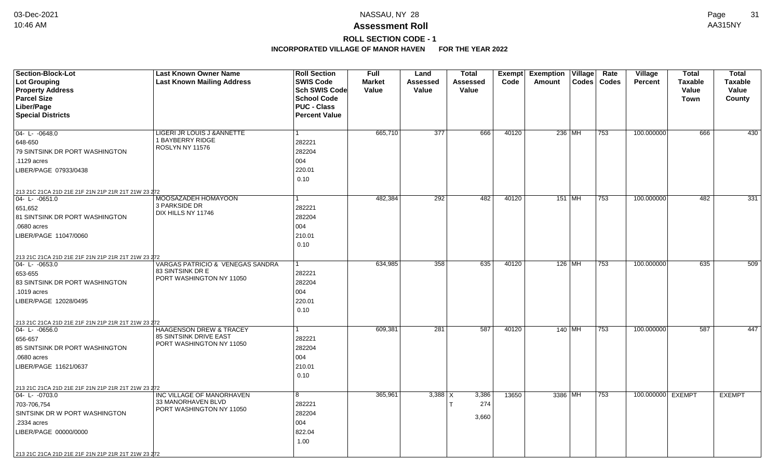### **Assessment Roll** 10:46 AM AA315NY

## **ROLL SECTION CODE - 1**

| <b>Section-Block-Lot</b>                                                  | <b>Last Known Owner Name</b>        | <b>Roll Section</b>  | <b>Full</b>   | Land             | <b>Total</b>    | Exempt | <b>Exemption Village</b> | Rate          | <b>Village</b>    | <b>Total</b>   | <b>Total</b>   |
|---------------------------------------------------------------------------|-------------------------------------|----------------------|---------------|------------------|-----------------|--------|--------------------------|---------------|-------------------|----------------|----------------|
| Lot Grouping                                                              | <b>Last Known Mailing Address</b>   | <b>SWIS Code</b>     | <b>Market</b> | Assessed         | <b>Assessed</b> | Code   | Amount                   | Codes   Codes | <b>Percent</b>    | <b>Taxable</b> | <b>Taxable</b> |
| <b>Property Address</b>                                                   |                                     | <b>Sch SWIS Code</b> | Value         | Value            | Value           |        |                          |               |                   | Value          | Value          |
| <b>Parcel Size</b>                                                        |                                     | <b>School Code</b>   |               |                  |                 |        |                          |               |                   | Town           | County         |
| Liber/Page                                                                |                                     | <b>PUC - Class</b>   |               |                  |                 |        |                          |               |                   |                |                |
| <b>Special Districts</b>                                                  |                                     | <b>Percent Value</b> |               |                  |                 |        |                          |               |                   |                |                |
|                                                                           |                                     |                      |               |                  |                 |        |                          |               |                   |                |                |
| 04- L- -0648.0                                                            | LIGERI JR LOUIS J & ANNETTE         | $\mathbf{1}$         | 665,710       | $\overline{377}$ | 666             | 40120  | 236 MH                   | 753           | 100.000000        | 666            | 430            |
| 648-650                                                                   | 1 BAYBERRY RIDGE<br>ROSLYN NY 11576 | 282221               |               |                  |                 |        |                          |               |                   |                |                |
| 79 SINTSINK DR PORT WASHINGTON                                            |                                     | 282204               |               |                  |                 |        |                          |               |                   |                |                |
| .1129 acres                                                               |                                     | 004                  |               |                  |                 |        |                          |               |                   |                |                |
| LIBER/PAGE 07933/0438                                                     |                                     | 220.01               |               |                  |                 |        |                          |               |                   |                |                |
|                                                                           |                                     | 0.10                 |               |                  |                 |        |                          |               |                   |                |                |
| 213 21C 21CA 21D 21E 21F 21N 21P 21R 21T 21W 23 272                       |                                     |                      |               |                  |                 |        |                          |               |                   |                |                |
| $ 04 - 1 - 0651.0$                                                        | MOOSAZADEH HOMAYOON                 | 1                    | 482,384       | 292              | 482             | 40120  | $151$ MH                 | 753           | 100.000000        | 482            | 331            |
| 651,652                                                                   | 3 PARKSIDE DR                       | 282221               |               |                  |                 |        |                          |               |                   |                |                |
| 81 SINTSINK DR PORT WASHINGTON                                            | DIX HILLS NY 11746                  | 282204               |               |                  |                 |        |                          |               |                   |                |                |
| .0680 acres                                                               |                                     | 004                  |               |                  |                 |        |                          |               |                   |                |                |
| LIBER/PAGE 11047/0060                                                     |                                     | 210.01               |               |                  |                 |        |                          |               |                   |                |                |
|                                                                           |                                     | 0.10                 |               |                  |                 |        |                          |               |                   |                |                |
|                                                                           |                                     |                      |               |                  |                 |        |                          |               |                   |                |                |
| 213 21C 21CA 21D 21E 21F 21N 21P 21R 21T 21W 23 272<br>$ 04 - L - 0653.0$ | VARGAS PATRICIO & VENEGAS SANDRA    | $\mathbf{1}$         | 634,985       | 358              | 635             | 40120  | 126 MH                   | 753           | 100.000000        | 635            | 509            |
| 653-655                                                                   | 83 SINTSINK DR E                    | 282221               |               |                  |                 |        |                          |               |                   |                |                |
| 83 SINTSINK DR PORT WASHINGTON                                            | PORT WASHINGTON NY 11050            | 282204               |               |                  |                 |        |                          |               |                   |                |                |
| .1019 acres                                                               |                                     | 004                  |               |                  |                 |        |                          |               |                   |                |                |
| LIBER/PAGE 12028/0495                                                     |                                     | 220.01               |               |                  |                 |        |                          |               |                   |                |                |
|                                                                           |                                     | 0.10                 |               |                  |                 |        |                          |               |                   |                |                |
|                                                                           |                                     |                      |               |                  |                 |        |                          |               |                   |                |                |
| 213 21C 21CA 21D 21E 21F 21N 21P 21R 21T 21W 23 272<br>$04 - L - 0656.0$  | <b>HAAGENSON DREW &amp; TRACEY</b>  | 1                    | 609,381       | 281              | 587             | 40120  | 140 MH                   | 753           | 100.000000        | 587            | 447            |
| 656-657                                                                   | 85 SINTSINK DRIVE EAST              | 282221               |               |                  |                 |        |                          |               |                   |                |                |
| 85 SINTSINK DR PORT WASHINGTON                                            | PORT WASHINGTON NY 11050            | 282204               |               |                  |                 |        |                          |               |                   |                |                |
| .0680 acres                                                               |                                     | 004                  |               |                  |                 |        |                          |               |                   |                |                |
| LIBER/PAGE 11621/0637                                                     |                                     | 210.01               |               |                  |                 |        |                          |               |                   |                |                |
|                                                                           |                                     | 0.10                 |               |                  |                 |        |                          |               |                   |                |                |
|                                                                           |                                     |                      |               |                  |                 |        |                          |               |                   |                |                |
| 213 21C 21CA 21D 21E 21F 21N 21P 21R 21T 21W 23 272                       | INC VILLAGE OF MANORHAVEN           |                      |               |                  |                 | 13650  |                          |               | 100.000000 EXEMPT |                |                |
| $ 04 - L - 0703.0$                                                        | 33 MANORHAVEN BLVD                  | 8                    | 365,961       | $3,388$ $\times$ | 3,386           |        | 3386 MH                  | 753           |                   |                | <b>EXEMPT</b>  |
| 703-706,754                                                               | PORT WASHINGTON NY 11050            | 282221               |               |                  | 274             |        |                          |               |                   |                |                |
| SINTSINK DR W PORT WASHINGTON                                             |                                     | 282204               |               |                  | 3,660           |        |                          |               |                   |                |                |
| .2334 acres                                                               |                                     | 004                  |               |                  |                 |        |                          |               |                   |                |                |
| LIBER/PAGE 00000/0000                                                     |                                     | 822.04               |               |                  |                 |        |                          |               |                   |                |                |
|                                                                           |                                     | 1.00                 |               |                  |                 |        |                          |               |                   |                |                |
| 213 21C 21CA 21D 21E 21F 21N 21P 21R 21T 21W 23 272                       |                                     |                      |               |                  |                 |        |                          |               |                   |                |                |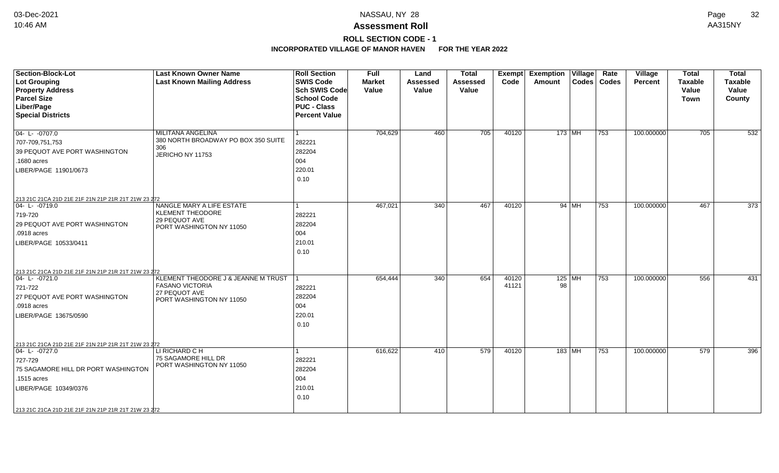### **Assessment Roll** 10:46 AM AA315NY

**ROLL SECTION CODE - 1**

| Section-Block-Lot<br>Lot Grouping                                     | <b>Last Known Owner Name</b><br><b>Last Known Mailing Address</b> | <b>Roll Section</b><br><b>SWIS Code</b> | <b>Full</b><br><b>Market</b> | Land<br><b>Assessed</b> | <b>Total</b><br>Assessed | <b>Exempt</b><br>Code | <b>Exemption Village</b><br>Amount |         | Rate<br>Codes   Codes | Village<br><b>Percent</b> | <b>Total</b><br><b>Taxable</b> | <b>Total</b><br><b>Taxable</b> |
|-----------------------------------------------------------------------|-------------------------------------------------------------------|-----------------------------------------|------------------------------|-------------------------|--------------------------|-----------------------|------------------------------------|---------|-----------------------|---------------------------|--------------------------------|--------------------------------|
| <b>Property Address</b>                                               |                                                                   | Sch SWIS Code                           | Value                        | Value                   | Value                    |                       |                                    |         |                       |                           | Value                          | Value                          |
| <b>Parcel Size</b>                                                    |                                                                   | School Code                             |                              |                         |                          |                       |                                    |         |                       |                           | Town                           | County                         |
| Liber/Page                                                            |                                                                   | <b>PUC - Class</b>                      |                              |                         |                          |                       |                                    |         |                       |                           |                                |                                |
| <b>Special Districts</b>                                              |                                                                   | <b>Percent Value</b>                    |                              |                         |                          |                       |                                    |         |                       |                           |                                |                                |
|                                                                       |                                                                   |                                         |                              |                         |                          |                       |                                    |         |                       |                           |                                |                                |
| $04 - L - 0707.0$                                                     | <b>MILITANA ANGELINA</b>                                          | 1                                       | 704,629                      | 460                     | 705                      | 40120                 | $173$ MH                           |         | $ 753\rangle$         | 100.000000                | 705                            | 532                            |
| 707-709,751,753                                                       | 380 NORTH BROADWAY PO BOX 350 SUITE                               | 282221                                  |                              |                         |                          |                       |                                    |         |                       |                           |                                |                                |
| 39 PEQUOT AVE PORT WASHINGTON                                         | 306<br>JERICHO NY 11753                                           | 282204                                  |                              |                         |                          |                       |                                    |         |                       |                           |                                |                                |
| .1680 acres                                                           |                                                                   | 004                                     |                              |                         |                          |                       |                                    |         |                       |                           |                                |                                |
| LIBER/PAGE 11901/0673                                                 |                                                                   | 220.01                                  |                              |                         |                          |                       |                                    |         |                       |                           |                                |                                |
|                                                                       |                                                                   | 0.10                                    |                              |                         |                          |                       |                                    |         |                       |                           |                                |                                |
|                                                                       |                                                                   |                                         |                              |                         |                          |                       |                                    |         |                       |                           |                                |                                |
| 213 21C 21CA 21D 21E 21F 21N 21P 21R 21T 21W 23 272                   |                                                                   |                                         |                              |                         |                          |                       |                                    |         |                       |                           |                                |                                |
| 04-L-0719.0                                                           | NANGLE MARY A LIFE ESTATE                                         | l 1                                     | 467,021                      | 340                     | 467                      | 40120                 |                                    | 94   MH | 753                   | 100.000000                | 467                            | 373                            |
| 719-720                                                               | <b>KLEMENT THEODORE</b>                                           | 282221                                  |                              |                         |                          |                       |                                    |         |                       |                           |                                |                                |
| 29 PEQUOT AVE PORT WASHINGTON                                         | 29 PEQUOT AVE<br>PORT WASHINGTON NY 11050                         | 282204                                  |                              |                         |                          |                       |                                    |         |                       |                           |                                |                                |
| .0918 acres                                                           |                                                                   | 004                                     |                              |                         |                          |                       |                                    |         |                       |                           |                                |                                |
| LIBER/PAGE 10533/0411                                                 |                                                                   | 210.01                                  |                              |                         |                          |                       |                                    |         |                       |                           |                                |                                |
|                                                                       |                                                                   | 0.10                                    |                              |                         |                          |                       |                                    |         |                       |                           |                                |                                |
|                                                                       |                                                                   |                                         |                              |                         |                          |                       |                                    |         |                       |                           |                                |                                |
| 213 21C 21CA 21D 21E 21F 21N 21P 21R 21T 21W 23 272                   |                                                                   |                                         |                              |                         |                          |                       |                                    |         |                       |                           |                                |                                |
| $04 - L - 0721.0$                                                     | KLEMENT THEODORE J & JEANNE M TRUST                               |                                         | 654,444                      | 340                     | 654                      | 40120                 | $125$ MH                           |         | 753                   | 100.000000                | 556                            | 431                            |
| 721-722                                                               | <b>FASANO VICTORIA</b>                                            | 282221                                  |                              |                         |                          | 41121                 | 98                                 |         |                       |                           |                                |                                |
| 27 PEQUOT AVE PORT WASHINGTON                                         | 27 PEQUOT AVE                                                     | 282204                                  |                              |                         |                          |                       |                                    |         |                       |                           |                                |                                |
| .0918 acres                                                           | PORT WASHINGTON NY 11050                                          | 004                                     |                              |                         |                          |                       |                                    |         |                       |                           |                                |                                |
| LIBER/PAGE 13675/0590                                                 |                                                                   | 220.01                                  |                              |                         |                          |                       |                                    |         |                       |                           |                                |                                |
|                                                                       |                                                                   | 0.10                                    |                              |                         |                          |                       |                                    |         |                       |                           |                                |                                |
|                                                                       |                                                                   |                                         |                              |                         |                          |                       |                                    |         |                       |                           |                                |                                |
|                                                                       |                                                                   |                                         |                              |                         |                          |                       |                                    |         |                       |                           |                                |                                |
| 213 21C 21CA 21D 21E 21F 21N 21P 21R 21T 21W 23 272<br>04- L- -0727.0 | LI RICHARD C H                                                    | $\mathbf{1}$                            | 616,622                      | 410                     | 579                      | 40120                 | 183 MH                             |         | 753                   | 100.000000                | 579                            | 396                            |
| 727-729                                                               | 75 SAGAMORE HILL DR                                               | 282221                                  |                              |                         |                          |                       |                                    |         |                       |                           |                                |                                |
| 75 SAGAMORE HILL DR PORT WASHINGTON                                   | PORT WASHINGTON NY 11050                                          | 282204                                  |                              |                         |                          |                       |                                    |         |                       |                           |                                |                                |
| .1515 acres                                                           |                                                                   | 004                                     |                              |                         |                          |                       |                                    |         |                       |                           |                                |                                |
| LIBER/PAGE 10349/0376                                                 |                                                                   | 210.01                                  |                              |                         |                          |                       |                                    |         |                       |                           |                                |                                |
|                                                                       |                                                                   | 0.10                                    |                              |                         |                          |                       |                                    |         |                       |                           |                                |                                |
|                                                                       |                                                                   |                                         |                              |                         |                          |                       |                                    |         |                       |                           |                                |                                |
| 213 21C 21CA 21D 21E 21F 21N 21P 21R 21T 21W 23 272                   |                                                                   |                                         |                              |                         |                          |                       |                                    |         |                       |                           |                                |                                |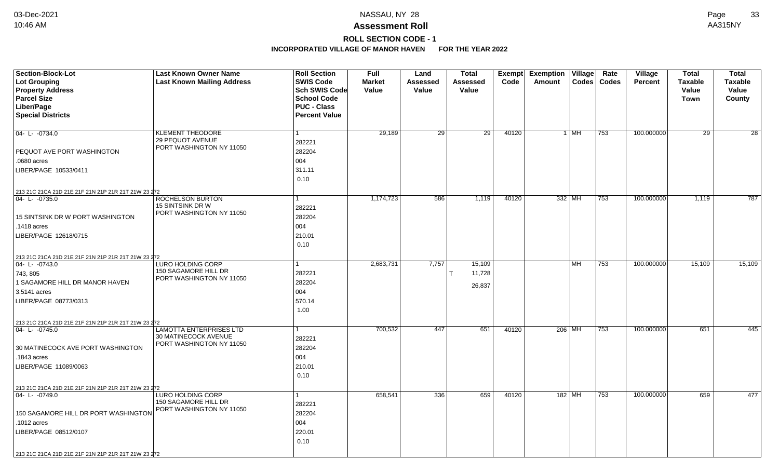## **ROLL SECTION CODE - 1**

| Section-Block-Lot                                                  | <b>Last Known Owner Name</b>                 | <b>Roll Section</b>  | Full          | Land            | <b>Total</b>    |       | Exempt Exemption Village |        | Rate          | <b>Village</b> | <b>Total</b>    | <b>Total</b>    |
|--------------------------------------------------------------------|----------------------------------------------|----------------------|---------------|-----------------|-----------------|-------|--------------------------|--------|---------------|----------------|-----------------|-----------------|
| <b>Lot Grouping</b>                                                | <b>Last Known Mailing Address</b>            | <b>SWIS Code</b>     | <b>Market</b> | Assessed        | Assessed        | Code  | Amount                   |        | Codes   Codes | <b>Percent</b> | <b>Taxable</b>  | <b>Taxable</b>  |
| <b>Property Address</b>                                            |                                              | Sch SWIS Code        | Value         | <b>Value</b>    | Value           |       |                          |        |               |                | Value           | Value           |
| <b>Parcel Size</b>                                                 |                                              | <b>School Code</b>   |               |                 |                 |       |                          |        |               |                | <b>Town</b>     | County          |
| Liber/Page                                                         |                                              | <b>PUC - Class</b>   |               |                 |                 |       |                          |        |               |                |                 |                 |
| <b>Special Districts</b>                                           |                                              | <b>Percent Value</b> |               |                 |                 |       |                          |        |               |                |                 |                 |
|                                                                    |                                              |                      |               |                 |                 |       |                          |        |               |                |                 |                 |
| 04- L- -0734.0                                                     | <b>KLEMENT THEODORE</b>                      | 1                    | 29,189        | $\overline{29}$ | $\overline{29}$ | 40120 |                          | $1$ MH | 753           | 100.000000     | $\overline{29}$ | $\overline{28}$ |
|                                                                    | 29 PEQUOT AVENUE<br>PORT WASHINGTON NY 11050 | 282221               |               |                 |                 |       |                          |        |               |                |                 |                 |
| PEQUOT AVE PORT WASHINGTON                                         |                                              | 282204               |               |                 |                 |       |                          |        |               |                |                 |                 |
| .0680 acres                                                        |                                              | 004                  |               |                 |                 |       |                          |        |               |                |                 |                 |
| LIBER/PAGE 10533/0411                                              |                                              | 311.11               |               |                 |                 |       |                          |        |               |                |                 |                 |
|                                                                    |                                              | 0.10                 |               |                 |                 |       |                          |        |               |                |                 |                 |
| 213 21C 21CA 21D 21E 21F 21N 21P 21R 21T 21W 23 272                |                                              |                      |               |                 |                 |       |                          |        |               |                |                 |                 |
| 04-L-0735.0                                                        | ROCHELSON BURTON                             |                      | 1,174,723     | 586             | 1,119           | 40120 | 332 MH                   |        | 753           | 100.000000     | 1,119           | 787             |
|                                                                    | 15 SINTSINK DR W                             | 282221               |               |                 |                 |       |                          |        |               |                |                 |                 |
| 15 SINTSINK DR W PORT WASHINGTON                                   | PORT WASHINGTON NY 11050                     | 282204               |               |                 |                 |       |                          |        |               |                |                 |                 |
| .1418 acres                                                        |                                              | 004                  |               |                 |                 |       |                          |        |               |                |                 |                 |
| LIBER/PAGE 12618/0715                                              |                                              | 210.01               |               |                 |                 |       |                          |        |               |                |                 |                 |
|                                                                    |                                              | 0.10                 |               |                 |                 |       |                          |        |               |                |                 |                 |
|                                                                    |                                              |                      |               |                 |                 |       |                          |        |               |                |                 |                 |
| 213 21C 21CA 21D 21E 21F 21N 21P 21R 21T 21W 23 272<br>04-L-0743.0 | <b>LURO HOLDING CORP</b>                     |                      | 2,683,731     | 7,757           | 15,109          |       |                          | MH     | 753           | 100.000000     | 15,109          | 15,109          |
| 743, 805                                                           | 150 SAGAMORE HILL DR                         | 282221               |               |                 | 11,728          |       |                          |        |               |                |                 |                 |
| 1 SAGAMORE HILL DR MANOR HAVEN                                     | PORT WASHINGTON NY 11050                     | 282204               |               |                 |                 |       |                          |        |               |                |                 |                 |
| 3.5141 acres                                                       |                                              | 004                  |               |                 | 26,837          |       |                          |        |               |                |                 |                 |
| LIBER/PAGE 08773/0313                                              |                                              | 570.14               |               |                 |                 |       |                          |        |               |                |                 |                 |
|                                                                    |                                              | 1.00                 |               |                 |                 |       |                          |        |               |                |                 |                 |
|                                                                    |                                              |                      |               |                 |                 |       |                          |        |               |                |                 |                 |
| 213 21C 21CA 21D 21E 21F 21N 21P 21R 21T 21W 23 272<br>04-L-0745.0 | <b>LAMOTTA ENTERPRISES LTD</b>               | 1                    | 700,532       | 447             | 651             | 40120 | 206 MH                   |        | 753           | 100.000000     | 651             | 445             |
|                                                                    | 30 MATINECOCK AVENUE                         | 282221               |               |                 |                 |       |                          |        |               |                |                 |                 |
| 30 MATINECOCK AVE PORT WASHINGTON                                  | PORT WASHINGTON NY 11050                     | 282204               |               |                 |                 |       |                          |        |               |                |                 |                 |
| .1843 acres                                                        |                                              | 004                  |               |                 |                 |       |                          |        |               |                |                 |                 |
| LIBER/PAGE 11089/0063                                              |                                              | 210.01               |               |                 |                 |       |                          |        |               |                |                 |                 |
|                                                                    |                                              | 0.10                 |               |                 |                 |       |                          |        |               |                |                 |                 |
|                                                                    |                                              |                      |               |                 |                 |       |                          |        |               |                |                 |                 |
| 213 21C 21CA 21D 21E 21F 21N 21P 21R 21T 21W 23 272<br>04-L-0749.0 | LURO HOLDING CORP                            | 1                    | 658,541       | 336             | 659             | 40120 | 182 MH                   |        | 753           | 100.000000     | 659             | 477             |
|                                                                    | 150 SAGAMORE HILL DR                         | 282221               |               |                 |                 |       |                          |        |               |                |                 |                 |
|                                                                    | PORT WASHINGTON NY 11050                     | 282204               |               |                 |                 |       |                          |        |               |                |                 |                 |
| 150 SAGAMORE HILL DR PORT WASHINGTON                               |                                              |                      |               |                 |                 |       |                          |        |               |                |                 |                 |
| .1012 acres                                                        |                                              | 004                  |               |                 |                 |       |                          |        |               |                |                 |                 |
| LIBER/PAGE 08512/0107                                              |                                              | 220.01               |               |                 |                 |       |                          |        |               |                |                 |                 |
|                                                                    |                                              | 0.10                 |               |                 |                 |       |                          |        |               |                |                 |                 |
| 213 21C 21CA 21D 21E 21F 21N 21P 21R 21T 21W 23 272                |                                              |                      |               |                 |                 |       |                          |        |               |                |                 |                 |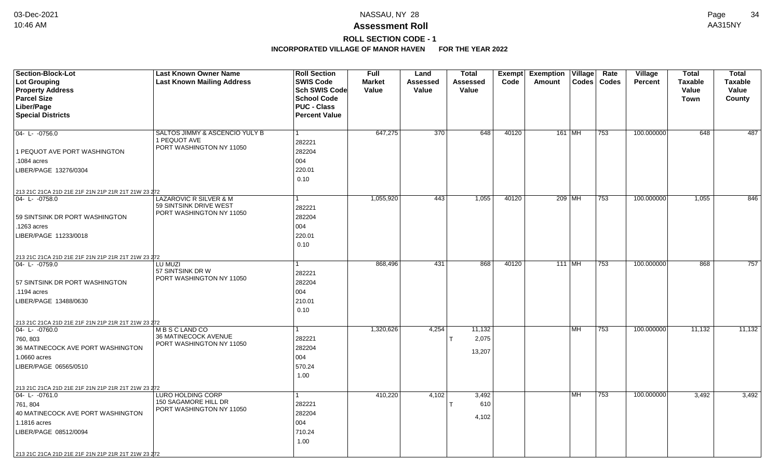### **Assessment Roll** 10:46 AM AA315NY

## **ROLL SECTION CODE - 1**

| <b>Section-Block-Lot</b>                            | <b>Last Known Owner Name</b>                     | <b>Roll Section</b>               | <b>Full</b>            | Land              | <b>Total</b>      |       | Exempt Exemption Village |    | Rate          | Village        | <b>Total</b>         | <b>Total</b>            |
|-----------------------------------------------------|--------------------------------------------------|-----------------------------------|------------------------|-------------------|-------------------|-------|--------------------------|----|---------------|----------------|----------------------|-------------------------|
| <b>Lot Grouping</b>                                 | <b>Last Known Mailing Address</b>                | <b>SWIS Code</b><br>Sch SWIS Code | <b>Market</b><br>Value | Assessed<br>Value | Assessed<br>Value | Code  | Amount                   |    | Codes   Codes | <b>Percent</b> | <b>Taxable</b>       | <b>Taxable</b><br>Value |
| <b>Property Address</b><br><b>Parcel Size</b>       |                                                  | <b>School Code</b>                |                        |                   |                   |       |                          |    |               |                | Value<br><b>Town</b> | County                  |
| Liber/Page                                          |                                                  | <b>PUC - Class</b>                |                        |                   |                   |       |                          |    |               |                |                      |                         |
| <b>Special Districts</b>                            |                                                  | <b>Percent Value</b>              |                        |                   |                   |       |                          |    |               |                |                      |                         |
|                                                     |                                                  |                                   |                        |                   |                   |       |                          |    |               |                |                      |                         |
| $04 - L - 0756.0$                                   | SALTOS JIMMY & ASCENCIO YULY B                   |                                   | 647,275                | 370               | 648               | 40120 | 161 MH                   |    | 753           | 100.000000     | 648                  | 487                     |
|                                                     | 1 PEQUOT AVE                                     | 282221                            |                        |                   |                   |       |                          |    |               |                |                      |                         |
| 1 PEQUOT AVE PORT WASHINGTON                        | PORT WASHINGTON NY 11050                         | 282204                            |                        |                   |                   |       |                          |    |               |                |                      |                         |
| .1084 acres                                         |                                                  | 004                               |                        |                   |                   |       |                          |    |               |                |                      |                         |
| LIBER/PAGE 13276/0304                               |                                                  | 220.01                            |                        |                   |                   |       |                          |    |               |                |                      |                         |
|                                                     |                                                  | 0.10                              |                        |                   |                   |       |                          |    |               |                |                      |                         |
| 213 21C 21CA 21D 21E 21F 21N 21P 21R 21T 21W 23 272 |                                                  |                                   |                        |                   |                   |       |                          |    |               |                |                      |                         |
| 04-L-0758.0                                         | LAZAROVIC R SILVER & M                           |                                   | 1,055,920              | 443               | 1,055             | 40120 | 209 MH                   |    | 753           | 100.000000     | 1,055                | 846                     |
|                                                     | 59 SINTSINK DRIVE WEST                           | 282221                            |                        |                   |                   |       |                          |    |               |                |                      |                         |
| 59 SINTSINK DR PORT WASHINGTON                      | PORT WASHINGTON NY 11050                         | 282204                            |                        |                   |                   |       |                          |    |               |                |                      |                         |
| .1263 acres                                         |                                                  | 004                               |                        |                   |                   |       |                          |    |               |                |                      |                         |
| LIBER/PAGE 11233/0018                               |                                                  | 220.01                            |                        |                   |                   |       |                          |    |               |                |                      |                         |
|                                                     |                                                  | 0.10                              |                        |                   |                   |       |                          |    |               |                |                      |                         |
| 213 21C 21CA 21D 21E 21F 21N 21P 21R 21T 21W 23 272 |                                                  |                                   |                        |                   |                   |       |                          |    |               |                |                      |                         |
| $ 04 - L - 0759.0$                                  | LU MUZI                                          |                                   | 868,496                | 431               | 868               | 40120 | 111 MH                   |    | 753           | 100.000000     | 868                  | 757                     |
|                                                     | 57 SINTSINK DR W<br>PORT WASHINGTON NY 11050     | 282221                            |                        |                   |                   |       |                          |    |               |                |                      |                         |
| 57 SINTSINK DR PORT WASHINGTON                      |                                                  | 282204                            |                        |                   |                   |       |                          |    |               |                |                      |                         |
| .1194 acres                                         |                                                  | 004                               |                        |                   |                   |       |                          |    |               |                |                      |                         |
| LIBER/PAGE 13488/0630                               |                                                  | 210.01                            |                        |                   |                   |       |                          |    |               |                |                      |                         |
|                                                     |                                                  | 0.10                              |                        |                   |                   |       |                          |    |               |                |                      |                         |
| 213 21C 21CA 21D 21E 21F 21N 21P 21R 21T 21W 23 272 |                                                  |                                   |                        |                   |                   |       |                          |    |               |                |                      |                         |
| 04-L-0760.0                                         | M B S C LAND CO                                  |                                   | 1,320,626              | 4,254             | 11,132            |       |                          | MH | 753           | 100.000000     | 11,132               | 11,132                  |
| 760, 803                                            | 36 MATINECOCK AVENUE<br>PORT WASHINGTON NY 11050 | 282221                            |                        |                   | 2,075             |       |                          |    |               |                |                      |                         |
| 36 MATINECOCK AVE PORT WASHINGTON                   |                                                  | 282204                            |                        |                   | 13,207            |       |                          |    |               |                |                      |                         |
| 1.0660 acres                                        |                                                  | 004                               |                        |                   |                   |       |                          |    |               |                |                      |                         |
| LIBER/PAGE 06565/0510                               |                                                  | 570.24                            |                        |                   |                   |       |                          |    |               |                |                      |                         |
|                                                     |                                                  | 1.00                              |                        |                   |                   |       |                          |    |               |                |                      |                         |
| 213 21C 21CA 21D 21E 21F 21N 21P 21R 21T 21W 23 272 |                                                  |                                   |                        |                   |                   |       |                          |    |               |                |                      |                         |
| $ 04 - L - 0761.0$                                  | LURO HOLDING CORP                                |                                   | 410,220                | 4,102             | 3,492             |       |                          | MH | 753           | 100.000000     | 3,492                | 3,492                   |
| 761, 804                                            | 150 SAGAMORE HILL DR<br>PORT WASHINGTON NY 11050 | 282221                            |                        |                   | 610               |       |                          |    |               |                |                      |                         |
| 40 MATINECOCK AVE PORT WASHINGTON                   |                                                  | 282204                            |                        |                   | 4,102             |       |                          |    |               |                |                      |                         |
| 1.1816 acres                                        |                                                  | 004                               |                        |                   |                   |       |                          |    |               |                |                      |                         |
| LIBER/PAGE 08512/0094                               |                                                  | 710.24                            |                        |                   |                   |       |                          |    |               |                |                      |                         |
|                                                     |                                                  | 1.00                              |                        |                   |                   |       |                          |    |               |                |                      |                         |
| 213 21C 21CA 21D 21E 21F 21N 21P 21R 21T 21W 23 272 |                                                  |                                   |                        |                   |                   |       |                          |    |               |                |                      |                         |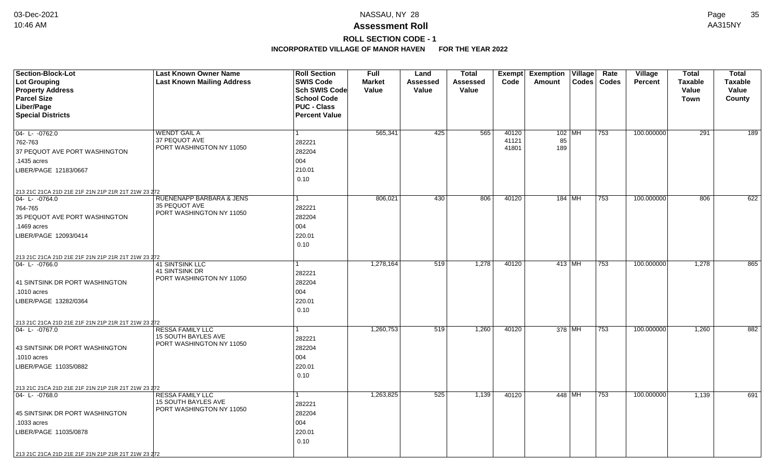# **ROLL SECTION CODE - 1**

| <b>Section-Block-Lot</b><br>Lot Grouping<br><b>Property Address</b><br><b>Parcel Size</b><br>Liber/Page<br><b>Special Districts</b>                                                                    | <b>Last Known Owner Name</b><br><b>Last Known Mailing Address</b>                 | <b>Roll Section</b><br><b>SWIS Code</b><br>Sch SWIS Code<br><b>School Code</b><br><b>PUC - Class</b><br><b>Percent Value</b> | <b>Full</b><br><b>Market</b><br>Value | Land<br>Assessed<br>Value | <b>Total</b><br>Assessed<br>Value | Code                    | Exempt Exemption Village<br>Amount | Rate<br>Codes   Codes | <b>Village</b><br>Percent | <b>Total</b><br><b>Taxable</b><br>Value<br><b>Town</b> | Total<br><b>Taxable</b><br>Value<br>County |
|--------------------------------------------------------------------------------------------------------------------------------------------------------------------------------------------------------|-----------------------------------------------------------------------------------|------------------------------------------------------------------------------------------------------------------------------|---------------------------------------|---------------------------|-----------------------------------|-------------------------|------------------------------------|-----------------------|---------------------------|--------------------------------------------------------|--------------------------------------------|
| $04 - L - 0762.0$<br>762-763<br>37 PEQUOT AVE PORT WASHINGTON<br>.1435 acres<br>LIBER/PAGE 12183/0667                                                                                                  | WENDT GAIL A<br>37 PEQUOT AVE<br>PORT WASHINGTON NY 11050                         | 282221<br>282204<br>004<br>210.01<br>0.10                                                                                    | 565,341                               | 425                       | 565                               | 40120<br>41121<br>41801 | $102$ MH<br>85<br>189              | 753                   | 100.000000                | 291                                                    | 189                                        |
| 213 21C 21CA 21D 21E 21F 21N 21P 21R 21T 21W 23 272<br>04-L-0764.0<br>764-765<br>35 PEQUOT AVE PORT WASHINGTON<br>.1469 acres<br>LIBER/PAGE 12093/0414                                                 | <b>RUENENAPP BARBARA &amp; JENS</b><br>35 PEQUOT AVE<br>PORT WASHINGTON NY 11050  | 1<br>282221<br>282204<br>004<br>220.01<br>0.10                                                                               | 806,021                               | 430                       | 806                               | 40120                   | 184   MH                           | 753                   | 100.000000                | 806                                                    | 622                                        |
| 213 21C 21CA 21D 21E 21F 21N 21P 21R 21T 21W 23 272<br>04-L-0766.0<br>41 SINTSINK DR PORT WASHINGTON<br>.1010 acres<br>LIBER/PAGE 13282/0364                                                           | <b>41 SINTSINK LLC</b><br>41 SINTSINK DR<br>PORT WASHINGTON NY 11050              | 1<br>282221<br>282204<br>004<br>220.01<br>0.10                                                                               | 1,278,164                             | 519                       | 1,278                             | 40120                   | 413 MH                             | 753                   | 100.000000                | 1,278                                                  | 865                                        |
| 213 21C 21CA 21D 21E 21F 21N 21P 21R 21T 21W 23 272<br>04- L- -0767.0<br>43 SINTSINK DR PORT WASHINGTON<br>.1010 acres<br>LIBER/PAGE 11035/0882<br>213 21C 21CA 21D 21E 21F 21N 21P 21R 21T 21W 23 272 | <b>RESSA FAMILY LLC</b><br><b>15 SOUTH BAYLES AVE</b><br>PORT WASHINGTON NY 11050 | 1<br>282221<br>282204<br>004<br>220.01<br>0.10                                                                               | 1,260,753                             | 519                       | 1,260                             | 40120                   | 378 MH                             | 753                   | 100.000000                | 1,260                                                  | 882                                        |
| 04-L-0768.0<br>45 SINTSINK DR PORT WASHINGTON<br>.1033 acres<br>LIBER/PAGE 11035/0878<br>213 21C 21CA 21D 21E 21F 21N 21P 21R 21T 21W 23 272                                                           | <b>RESSA FAMILY LLC</b><br><b>15 SOUTH BAYLES AVE</b><br>PORT WASHINGTON NY 11050 | 1<br>282221<br>282204<br>004<br>220.01<br>0.10                                                                               | 1,263,825                             | 525                       | 1,139                             | 40120                   | 448 MH                             | $ 753\rangle$         | 100.000000                | 1,139                                                  | 691                                        |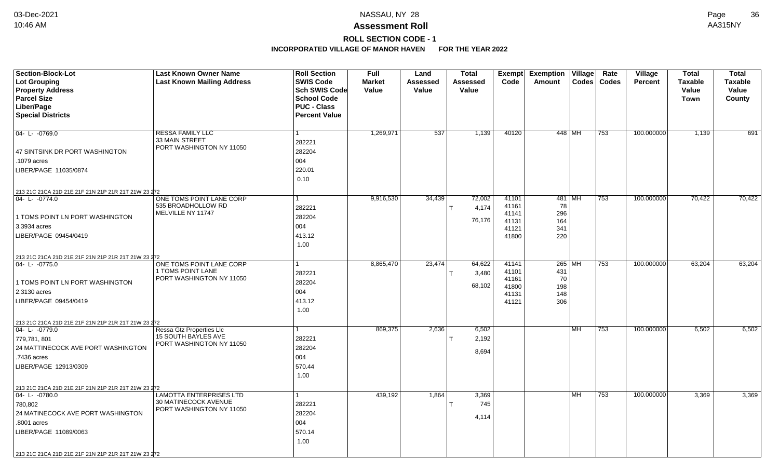**ROLL SECTION CODE - 1**

| <b>Section-Block-Lot</b>                            | <b>Last Known Owner Name</b>                  | <b>Roll Section</b>  | <b>Full</b>   | Land     | <b>Total</b> |                | Exempt Exemption | $\overline{\mathsf{V}}$ illage | Rate             | Village        | <b>Total</b>   | <b>Total</b>   |
|-----------------------------------------------------|-----------------------------------------------|----------------------|---------------|----------|--------------|----------------|------------------|--------------------------------|------------------|----------------|----------------|----------------|
| Lot Grouping                                        | <b>Last Known Mailing Address</b>             | <b>SWIS Code</b>     | <b>Market</b> | Assessed | Assessed     | Code           | Amount           |                                | Codes   Codes    | <b>Percent</b> | <b>Taxable</b> | <b>Taxable</b> |
| <b>Property Address</b>                             |                                               | Sch SWIS Code        | Value         | Value    | Value        |                |                  |                                |                  |                | Value          | Value          |
| <b>Parcel Size</b>                                  |                                               | <b>School Code</b>   |               |          |              |                |                  |                                |                  |                | <b>Town</b>    | County         |
| Liber/Page                                          |                                               | <b>PUC - Class</b>   |               |          |              |                |                  |                                |                  |                |                |                |
| <b>Special Districts</b>                            |                                               | <b>Percent Value</b> |               |          |              |                |                  |                                |                  |                |                |                |
|                                                     |                                               |                      |               |          |              |                |                  |                                |                  |                |                |                |
| 04-L-0769.0                                         | <b>RESSA FAMILY LLC</b><br>33 MAIN STREET     | 1                    | 1,269,971     | 537      | 1,139        | 40120          | 448 MH           |                                | 753              | 100.000000     | 1,139          | 691            |
|                                                     | PORT WASHINGTON NY 11050                      | 282221               |               |          |              |                |                  |                                |                  |                |                |                |
| 47 SINTSINK DR PORT WASHINGTON                      |                                               | 282204               |               |          |              |                |                  |                                |                  |                |                |                |
| .1079 acres                                         |                                               | 004                  |               |          |              |                |                  |                                |                  |                |                |                |
| LIBER/PAGE 11035/0874                               |                                               | 220.01               |               |          |              |                |                  |                                |                  |                |                |                |
|                                                     |                                               | 0.10                 |               |          |              |                |                  |                                |                  |                |                |                |
| 213 21C 21CA 21D 21E 21F 21N 21P 21R 21T 21W 23 272 |                                               |                      |               |          |              |                |                  |                                |                  |                |                |                |
| 04- L- -0774.0                                      | ONE TOMS POINT LANE CORP                      | $\mathbf{1}$         | 9,916,530     | 34,439   | 72,002       | 41101          | $481$ MH         |                                | $\overline{753}$ | 100.000000     | 70,422         | 70,422         |
|                                                     | 535 BROADHOLLOW RD<br>MELVILLE NY 11747       | 282221               |               |          | 4,174        | 41161<br>41141 | 78<br>296        |                                |                  |                |                |                |
| 1 TOMS POINT LN PORT WASHINGTON                     |                                               | 282204               |               |          | 76,176       | 41131          | 164              |                                |                  |                |                |                |
| 3.3934 acres                                        |                                               | 004                  |               |          |              | 41121          | 341              |                                |                  |                |                |                |
| LIBER/PAGE 09454/0419                               |                                               | 413.12               |               |          |              | 41800          | 220              |                                |                  |                |                |                |
|                                                     |                                               | 1.00                 |               |          |              |                |                  |                                |                  |                |                |                |
| 213 21C 21CA 21D 21E 21F 21N 21P 21R 21T 21W 23 272 |                                               |                      |               |          |              |                |                  |                                |                  |                |                |                |
| 04-L-0775.0                                         | ONE TOMS POINT LANE CORP                      |                      | 8,865,470     | 23,474   | 64,622       | 41141          | $265$ MH         |                                | 753              | 100.000000     | 63,204         | 63,204         |
|                                                     | 1 TOMS POINT LANE<br>PORT WASHINGTON NY 11050 | 282221               |               |          | 3,480        | 41101          | 431              |                                |                  |                |                |                |
| 1 TOMS POINT LN PORT WASHINGTON                     |                                               | 282204               |               |          | 68,102       | 41161<br>41800 | 70<br>198        |                                |                  |                |                |                |
| 2.3130 acres                                        |                                               | 004                  |               |          |              | 41131          | 148              |                                |                  |                |                |                |
| LIBER/PAGE 09454/0419                               |                                               | 413.12               |               |          |              | 41121          | 306              |                                |                  |                |                |                |
|                                                     |                                               | 1.00                 |               |          |              |                |                  |                                |                  |                |                |                |
| 213 21C 21CA 21D 21E 21F 21N 21P 21R 21T 21W 23 272 |                                               |                      |               |          |              |                |                  |                                |                  |                |                |                |
| 04-L-0779.0                                         | Ressa Gtz Properties Llc                      | 1                    | 869,375       | 2,636    | 6,502        |                |                  | MH                             | 753              | 100.000000     | 6,502          | 6,502          |
| 779,781, 801                                        | 15 SOUTH BAYLES AVE                           | 282221               |               |          | 2,192        |                |                  |                                |                  |                |                |                |
| 24 MATTINECOCK AVE PORT WASHINGTON                  | PORT WASHINGTON NY 11050                      | 282204               |               |          | 8,694        |                |                  |                                |                  |                |                |                |
| .7436 acres                                         |                                               | 004                  |               |          |              |                |                  |                                |                  |                |                |                |
| LIBER/PAGE 12913/0309                               |                                               | 570.44               |               |          |              |                |                  |                                |                  |                |                |                |
|                                                     |                                               | 1.00                 |               |          |              |                |                  |                                |                  |                |                |                |
| 213 21C 21CA 21D 21E 21F 21N 21P 21R 21T 21W 23 272 |                                               |                      |               |          |              |                |                  |                                |                  |                |                |                |
| 04-L-0780.0                                         | <b>LAMOTTA ENTERPRISES LTD</b>                |                      | 439,192       | 1,864    | 3,369        |                |                  | MH                             | 753              | 100.000000     | 3,369          | 3,369          |
| 780,802                                             | 30 MATINECOCK AVENUE                          | 282221               |               |          | 745          |                |                  |                                |                  |                |                |                |
| 24 MATINECOCK AVE PORT WASHINGTON                   | PORT WASHINGTON NY 11050                      | 282204               |               |          | 4,114        |                |                  |                                |                  |                |                |                |
| .8001 acres                                         |                                               | 004                  |               |          |              |                |                  |                                |                  |                |                |                |
| LIBER/PAGE 11089/0063                               |                                               | 570.14               |               |          |              |                |                  |                                |                  |                |                |                |
|                                                     |                                               | 1.00                 |               |          |              |                |                  |                                |                  |                |                |                |
| 213 21C 21CA 21D 21E 21F 21N 21P 21R 21T 21W 23 272 |                                               |                      |               |          |              |                |                  |                                |                  |                |                |                |
|                                                     |                                               |                      |               |          |              |                |                  |                                |                  |                |                |                |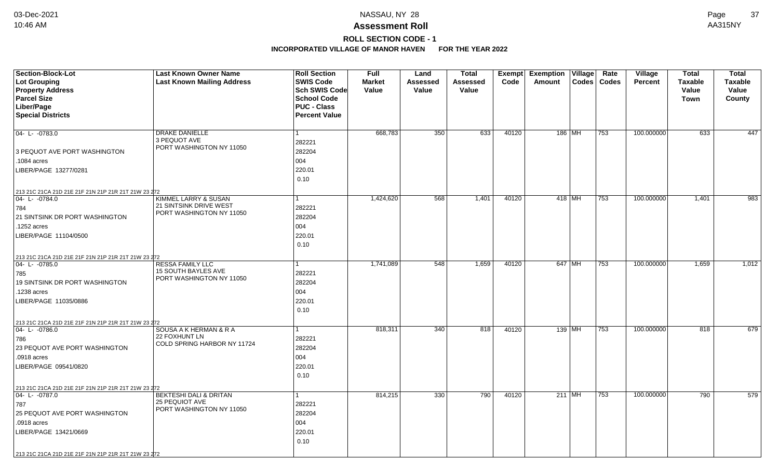## **ROLL SECTION CODE - 1**

| Section-Block-Lot<br><b>Lot Grouping</b><br><b>Property Address</b> | <b>Last Known Owner Name</b><br><b>Last Known Mailing Address</b>          | <b>Roll Section</b><br><b>SWIS Code</b><br><b>Sch SWIS Code</b>  | <b>Full</b><br><b>Market</b><br>Value | Land<br>Assessed<br>Value | <b>Total</b><br><b>Assessed</b><br>Value | <b>Exempt</b><br>Code | <b>Exemption Village</b><br>Codes   Codes<br>Amount | Rate | Village<br><b>Percent</b> | <b>Total</b><br><b>Taxable</b><br>Value | <b>Total</b><br><b>Taxable</b><br>Value |
|---------------------------------------------------------------------|----------------------------------------------------------------------------|------------------------------------------------------------------|---------------------------------------|---------------------------|------------------------------------------|-----------------------|-----------------------------------------------------|------|---------------------------|-----------------------------------------|-----------------------------------------|
| <b>Parcel Size</b><br>Liber/Page<br><b>Special Districts</b>        |                                                                            | <b>School Code</b><br><b>PUC - Class</b><br><b>Percent Value</b> |                                       |                           |                                          |                       |                                                     |      |                           | <b>Town</b>                             | County                                  |
| $04 - L - 0783.0$                                                   | <b>DRAKE DANIELLE</b><br>3 PEQUOT AVE<br>PORT WASHINGTON NY 11050          | 1<br>282221                                                      | 668,783                               | 350                       | 633                                      | 40120                 | 186   MH                                            | 753  | 100.000000                | 633                                     | 447                                     |
| 3 PEQUOT AVE PORT WASHINGTON                                        |                                                                            | 282204                                                           |                                       |                           |                                          |                       |                                                     |      |                           |                                         |                                         |
| .1084 acres                                                         |                                                                            | 004                                                              |                                       |                           |                                          |                       |                                                     |      |                           |                                         |                                         |
| LIBER/PAGE 13277/0281                                               |                                                                            | 220.01<br>0.10                                                   |                                       |                           |                                          |                       |                                                     |      |                           |                                         |                                         |
| 213 21C 21CA 21D 21E 21F 21N 21P 21R 21T 21W 23 272                 |                                                                            |                                                                  |                                       |                           |                                          |                       |                                                     |      |                           |                                         |                                         |
| 04-L-0784.0<br>784                                                  | KIMMEL LARRY & SUSAN<br>21 SINTSINK DRIVE WEST<br>PORT WASHINGTON NY 11050 | 282221                                                           | 1,424,620                             | 568                       | 1,401                                    | 40120                 | 418 MH                                              | 753  | 100.000000                | 1,401                                   | 983                                     |
| 21 SINTSINK DR PORT WASHINGTON                                      |                                                                            | 282204                                                           |                                       |                           |                                          |                       |                                                     |      |                           |                                         |                                         |
| .1252 acres                                                         |                                                                            | 004                                                              |                                       |                           |                                          |                       |                                                     |      |                           |                                         |                                         |
| LIBER/PAGE 11104/0500                                               |                                                                            | 220.01<br>0.10                                                   |                                       |                           |                                          |                       |                                                     |      |                           |                                         |                                         |
| 213 21C 21CA 21D 21E 21F 21N 21P 21R 21T 21W 23 272                 |                                                                            |                                                                  |                                       |                           |                                          |                       |                                                     |      |                           |                                         |                                         |
| $ 04 - L - 0785.0$                                                  | <b>RESSA FAMILY LLC</b><br>15 SOUTH BAYLES AVE                             |                                                                  | 1,741,089                             | 548                       | 1,659                                    | 40120                 | 647 MH                                              | 753  | 100.000000                | 1,659                                   | 1,012                                   |
| 785                                                                 | PORT WASHINGTON NY 11050                                                   | 282221                                                           |                                       |                           |                                          |                       |                                                     |      |                           |                                         |                                         |
| 19 SINTSINK DR PORT WASHINGTON                                      |                                                                            | 282204                                                           |                                       |                           |                                          |                       |                                                     |      |                           |                                         |                                         |
| 1238 acres                                                          |                                                                            | 004                                                              |                                       |                           |                                          |                       |                                                     |      |                           |                                         |                                         |
| LIBER/PAGE 11035/0886                                               |                                                                            | 220.01<br>0.10                                                   |                                       |                           |                                          |                       |                                                     |      |                           |                                         |                                         |
| 213 21C 21CA 21D 21E 21F 21N 21P 21R 21T 21W 23 272                 |                                                                            |                                                                  |                                       |                           |                                          |                       |                                                     |      |                           |                                         |                                         |
| 04-L-0786.0                                                         | SOUSA A K HERMAN & R A<br>22 FOXHUNT LN                                    | 1                                                                | 818,311                               | 340                       | 818                                      | 40120                 | 139   MH                                            | 753  | 100.000000                | 818                                     | 679                                     |
| 786                                                                 | COLD SPRING HARBOR NY 11724                                                | 282221                                                           |                                       |                           |                                          |                       |                                                     |      |                           |                                         |                                         |
| 23 PEQUOT AVE PORT WASHINGTON                                       |                                                                            | 282204                                                           |                                       |                           |                                          |                       |                                                     |      |                           |                                         |                                         |
| .0918 acres                                                         |                                                                            | 004                                                              |                                       |                           |                                          |                       |                                                     |      |                           |                                         |                                         |
| LIBER/PAGE 09541/0820                                               |                                                                            | 220.01<br>0.10                                                   |                                       |                           |                                          |                       |                                                     |      |                           |                                         |                                         |
| 213 21C 21CA 21D 21E 21F 21N 21P 21R 21T 21W 23 272                 |                                                                            |                                                                  |                                       |                           |                                          |                       |                                                     |      |                           |                                         |                                         |
| 04-L-0787.0                                                         | <b>BEKTESHI DALI &amp; DRITAN</b><br><b>25 PEQUIOT AVE</b>                 | 1                                                                | 814,215                               | 330                       | 790                                      | 40120                 | $211$ MH                                            | 753  | 100.000000                | 790                                     | 579                                     |
| 787                                                                 | PORT WASHINGTON NY 11050                                                   | 282221                                                           |                                       |                           |                                          |                       |                                                     |      |                           |                                         |                                         |
| 25 PEQUOT AVE PORT WASHINGTON                                       |                                                                            | 282204                                                           |                                       |                           |                                          |                       |                                                     |      |                           |                                         |                                         |
| .0918 acres                                                         |                                                                            | 004                                                              |                                       |                           |                                          |                       |                                                     |      |                           |                                         |                                         |
| LIBER/PAGE 13421/0669                                               |                                                                            | 220.01<br>0.10                                                   |                                       |                           |                                          |                       |                                                     |      |                           |                                         |                                         |
| 213 21C 21CA 21D 21E 21F 21N 21P 21R 21T 21W 23 272                 |                                                                            |                                                                  |                                       |                           |                                          |                       |                                                     |      |                           |                                         |                                         |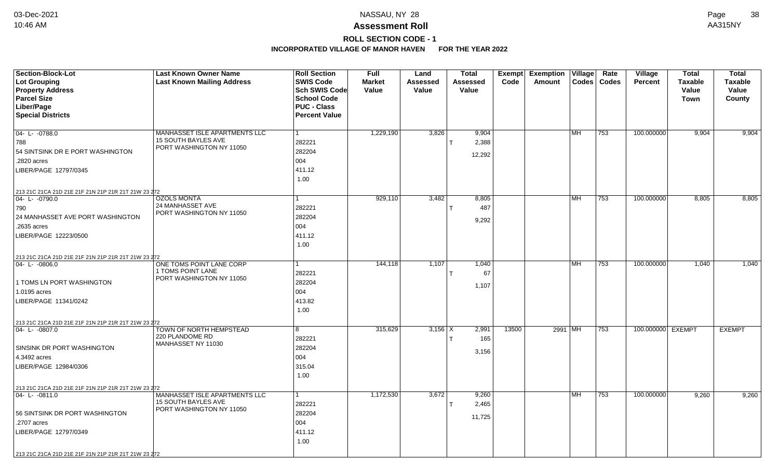## **Assessment Roll** 10:46 AM AA315NY

**ROLL SECTION CODE - 1**

| <b>Section-Block-Lot</b>                                              | <b>Last Known Owner Name</b>                         | <b>Roll Section</b>  | <b>Full</b>   | Land            | <b>Total</b>    | Exempt | <b>Exemption</b> | Village        | Rate         | Village           | <b>Total</b>   | <b>Total</b>   |
|-----------------------------------------------------------------------|------------------------------------------------------|----------------------|---------------|-----------------|-----------------|--------|------------------|----------------|--------------|-------------------|----------------|----------------|
| Lot Grouping                                                          | <b>Last Known Mailing Address</b>                    | <b>SWIS Code</b>     | <b>Market</b> | <b>Assessed</b> | <b>Assessed</b> | Code   | Amount           | $\text{Codes}$ | <b>Codes</b> | <b>Percent</b>    | <b>Taxable</b> | <b>Taxable</b> |
| <b>Property Address</b>                                               |                                                      | Sch SWIS Code        | Value         | Value           | Value           |        |                  |                |              |                   | Value          | Value          |
| <b>Parcel Size</b>                                                    |                                                      | <b>School Code</b>   |               |                 |                 |        |                  |                |              |                   | <b>Town</b>    | County         |
| Liber/Page                                                            |                                                      | <b>PUC - Class</b>   |               |                 |                 |        |                  |                |              |                   |                |                |
| <b>Special Districts</b>                                              |                                                      | <b>Percent Value</b> |               |                 |                 |        |                  |                |              |                   |                |                |
|                                                                       |                                                      |                      |               |                 |                 |        |                  |                |              |                   |                |                |
| $04 - L - 0788.0$                                                     | MANHASSET ISLE APARTMENTS LLC                        | $\overline{1}$       | 1,229,190     | 3,826           | 9,904           |        |                  | MH             | 753          | 100.000000        | 9,904          | 9,904          |
| 788                                                                   | <b>15 SOUTH BAYLES AVE</b>                           | 282221               |               |                 | 2,388           |        |                  |                |              |                   |                |                |
| 54 SINTSINK DR E PORT WASHINGTON                                      | PORT WASHINGTON NY 11050                             | 282204               |               |                 | 12,292          |        |                  |                |              |                   |                |                |
| .2820 acres                                                           |                                                      | 004                  |               |                 |                 |        |                  |                |              |                   |                |                |
| LIBER/PAGE 12797/0345                                                 |                                                      | 411.12               |               |                 |                 |        |                  |                |              |                   |                |                |
|                                                                       |                                                      | 1.00                 |               |                 |                 |        |                  |                |              |                   |                |                |
| 213 21C 21CA 21D 21E 21F 21N 21P 21R 21T 21W 23 272                   |                                                      |                      |               |                 |                 |        |                  |                |              |                   |                |                |
| $04 - L - 0790.0$                                                     | <b>OZOLS MONTA</b>                                   | 1                    | 929,110       | 3,482           | 8,805           |        |                  | MH             | 753          | 100.000000        | 8,805          | 8,805          |
| 790                                                                   | 24 MANHASSET AVE                                     | 282221               |               |                 | 487             |        |                  |                |              |                   |                |                |
| 24 MANHASSET AVE PORT WASHINGTON                                      | PORT WASHINGTON NY 11050                             | 282204               |               |                 |                 |        |                  |                |              |                   |                |                |
| .2635 acres                                                           |                                                      | 004                  |               |                 | 9,292           |        |                  |                |              |                   |                |                |
| LIBER/PAGE 12223/0500                                                 |                                                      | 411.12               |               |                 |                 |        |                  |                |              |                   |                |                |
|                                                                       |                                                      | 1.00                 |               |                 |                 |        |                  |                |              |                   |                |                |
|                                                                       |                                                      |                      |               |                 |                 |        |                  |                |              |                   |                |                |
| 213 21C 21CA 21D 21E 21F 21N 21P 21R 21T 21W 23 272<br>04-L-0806.0    | ONE TOMS POINT LANE CORP                             |                      | 144,118       | 1,107           | 1,040           |        |                  | <b>MH</b>      | 753          | 100.000000        | 1,040          | 1,040          |
|                                                                       | 1 TOMS POINT LANE                                    | 282221               |               |                 | 67              |        |                  |                |              |                   |                |                |
| 1 TOMS LN PORT WASHINGTON                                             | PORT WASHINGTON NY 11050                             | 282204               |               |                 |                 |        |                  |                |              |                   |                |                |
| 1.0195 acres                                                          |                                                      | 004                  |               |                 | 1,107           |        |                  |                |              |                   |                |                |
| LIBER/PAGE 11341/0242                                                 |                                                      | 413.82               |               |                 |                 |        |                  |                |              |                   |                |                |
|                                                                       |                                                      | 1.00                 |               |                 |                 |        |                  |                |              |                   |                |                |
|                                                                       |                                                      |                      |               |                 |                 |        |                  |                |              |                   |                |                |
| 213 21C 21CA 21D 21E 21F 21N 21P 21R 21T 21W 23 272<br>04- L- -0807.0 | TOWN OF NORTH HEMPSTEAD                              | 8                    | 315,629       | $3,156$ $X$     | 2,991           | 13500  | 2991   MH        |                | 753          | 100.000000 EXEMPT |                | <b>EXEMPT</b>  |
|                                                                       | 220 PLANDOME RD                                      | 282221               |               |                 | 165             |        |                  |                |              |                   |                |                |
| <b>SINSINK DR PORT WASHINGTON</b>                                     | MANHASSET NY 11030                                   | 282204               |               |                 |                 |        |                  |                |              |                   |                |                |
|                                                                       |                                                      |                      |               |                 | 3,156           |        |                  |                |              |                   |                |                |
| 4.3492 acres                                                          |                                                      | 004                  |               |                 |                 |        |                  |                |              |                   |                |                |
| LIBER/PAGE 12984/0306                                                 |                                                      | 315.04               |               |                 |                 |        |                  |                |              |                   |                |                |
|                                                                       |                                                      | 1.00                 |               |                 |                 |        |                  |                |              |                   |                |                |
| 213 21C 21CA 21D 21E 21F 21N 21P 21R 21T 21W 23 272                   |                                                      |                      |               |                 |                 |        |                  |                |              |                   |                |                |
| 04-L-0811.0                                                           | MANHASSET ISLE APARTMENTS LLC<br>15 SOUTH BAYLES AVE | $\mathbf{1}$         | 1,172,530     | 3,672           | 9,260           |        |                  | <b>MH</b>      | 753          | 100.000000        | 9,260          | 9,260          |
|                                                                       | PORT WASHINGTON NY 11050                             | 282221               |               |                 | 2,465           |        |                  |                |              |                   |                |                |
| 56 SINTSINK DR PORT WASHINGTON                                        |                                                      | 282204               |               |                 | 11,725          |        |                  |                |              |                   |                |                |
| .2707 acres                                                           |                                                      | 004                  |               |                 |                 |        |                  |                |              |                   |                |                |
| LIBER/PAGE 12797/0349                                                 |                                                      | 411.12               |               |                 |                 |        |                  |                |              |                   |                |                |
|                                                                       |                                                      | 1.00                 |               |                 |                 |        |                  |                |              |                   |                |                |
| 213 21C 21CA 21D 21E 21F 21N 21P 21R 21T 21W 23 272                   |                                                      |                      |               |                 |                 |        |                  |                |              |                   |                |                |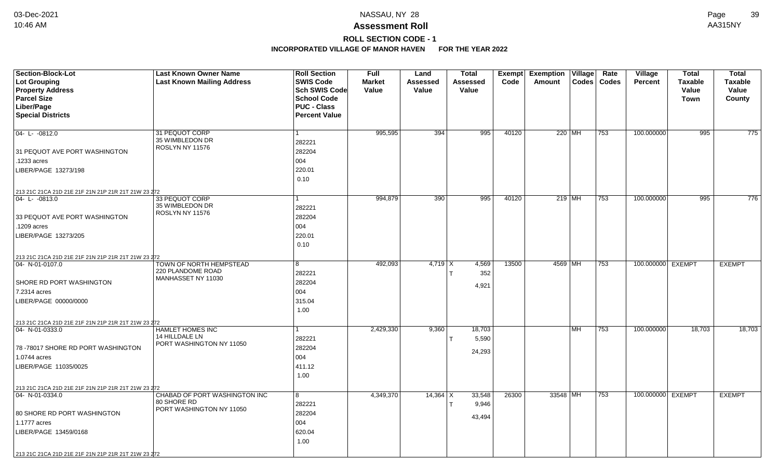**ROLL SECTION CODE - 1**

| Section-Block-Lot<br><b>Lot Grouping</b>                               | <b>Last Known Owner Name</b><br><b>Last Known Mailing Address</b> | <b>Roll Section</b><br><b>SWIS Code</b> | <b>Full</b><br><b>Market</b> | Land<br>Assessed | <b>Total</b><br>Assessed | Exempt<br>Code | <b>Exemption Village</b><br>Amount | Rate<br>Codes   Codes | Village<br><b>Percent</b> | <b>Total</b><br><b>Taxable</b> | <b>Total</b><br><b>Taxable</b> |
|------------------------------------------------------------------------|-------------------------------------------------------------------|-----------------------------------------|------------------------------|------------------|--------------------------|----------------|------------------------------------|-----------------------|---------------------------|--------------------------------|--------------------------------|
| <b>Property Address</b>                                                |                                                                   | Sch SWIS Code                           | Value                        | Value            | Value                    |                |                                    |                       |                           | Value                          | Value                          |
| <b>Parcel Size</b>                                                     |                                                                   | <b>School Code</b>                      |                              |                  |                          |                |                                    |                       |                           | Town                           | County                         |
| Liber/Page                                                             |                                                                   | <b>PUC - Class</b>                      |                              |                  |                          |                |                                    |                       |                           |                                |                                |
| <b>Special Districts</b>                                               |                                                                   | <b>Percent Value</b>                    |                              |                  |                          |                |                                    |                       |                           |                                |                                |
|                                                                        |                                                                   |                                         |                              |                  |                          |                |                                    |                       |                           |                                |                                |
| $04 - L - 0812.0$                                                      | 31 PEQUOT CORP                                                    | $\mathbf{1}$                            | 995,595                      | 394              | 995                      | 40120          | 220 MH                             | 753                   | 100.000000                | 995                            | 775                            |
|                                                                        | 35 WIMBLEDON DR                                                   | 282221                                  |                              |                  |                          |                |                                    |                       |                           |                                |                                |
| 31 PEQUOT AVE PORT WASHINGTON                                          | ROSLYN NY 11576                                                   | 282204                                  |                              |                  |                          |                |                                    |                       |                           |                                |                                |
| .1233 acres                                                            |                                                                   | 004                                     |                              |                  |                          |                |                                    |                       |                           |                                |                                |
| LIBER/PAGE 13273/198                                                   |                                                                   | 220.01                                  |                              |                  |                          |                |                                    |                       |                           |                                |                                |
|                                                                        |                                                                   | 0.10                                    |                              |                  |                          |                |                                    |                       |                           |                                |                                |
| 213 21C 21CA 21D 21E 21F 21N 21P 21R 21T 21W 23 272                    |                                                                   |                                         |                              |                  |                          |                |                                    |                       |                           |                                |                                |
| 04-L-0813.0                                                            | 33 PEQUOT CORP                                                    | 1                                       | 994,879                      | 390              | 995                      | 40120          | $219$ MH                           | 753                   | 100.000000                | 995                            | 776                            |
|                                                                        | 35 WIMBLEDON DR                                                   | 282221                                  |                              |                  |                          |                |                                    |                       |                           |                                |                                |
| 33 PEQUOT AVE PORT WASHINGTON                                          | ROSLYN NY 11576                                                   | 282204                                  |                              |                  |                          |                |                                    |                       |                           |                                |                                |
| .1209 acres                                                            |                                                                   | 004                                     |                              |                  |                          |                |                                    |                       |                           |                                |                                |
| LIBER/PAGE 13273/205                                                   |                                                                   | 220.01                                  |                              |                  |                          |                |                                    |                       |                           |                                |                                |
|                                                                        |                                                                   | 0.10                                    |                              |                  |                          |                |                                    |                       |                           |                                |                                |
|                                                                        |                                                                   |                                         |                              |                  |                          |                |                                    |                       |                           |                                |                                |
| 213 21C 21CA 21D 21E 21F 21N 21P 21R 21T 21W 23 272<br>04- N-01-0107.0 | <b>TOWN OF NORTH HEMPSTEAD</b>                                    | 8                                       | 492,093                      | $4,719$ X        | 4,569                    | 13500          | 4569 MH                            | 753                   | 100.000000 EXEMPT         |                                | <b>EXEMPT</b>                  |
|                                                                        | 220 PLANDOME ROAD                                                 | 282221                                  |                              |                  | 352                      |                |                                    |                       |                           |                                |                                |
| SHORE RD PORT WASHINGTON                                               | MANHASSET NY 11030                                                | 282204                                  |                              |                  |                          |                |                                    |                       |                           |                                |                                |
| 7.2314 acres                                                           |                                                                   | 004                                     |                              |                  | 4,921                    |                |                                    |                       |                           |                                |                                |
| LIBER/PAGE 00000/0000                                                  |                                                                   | 315.04                                  |                              |                  |                          |                |                                    |                       |                           |                                |                                |
|                                                                        |                                                                   | 1.00                                    |                              |                  |                          |                |                                    |                       |                           |                                |                                |
|                                                                        |                                                                   |                                         |                              |                  |                          |                |                                    |                       |                           |                                |                                |
| 213 21C 21CA 21D 21E 21F 21N 21P 21R 21T 21W 23 272<br>04- N-01-0333.0 | HAMLET HOMES INC                                                  | 1                                       | 2,429,330                    | 9,360            | 18,703                   |                | MH                                 | 753                   | 100.000000                | 18,703                         | 18,703                         |
|                                                                        | 14 HILLDALE LN                                                    | 282221                                  |                              |                  | 5,590                    |                |                                    |                       |                           |                                |                                |
| 78-78017 SHORE RD PORT WASHINGTON                                      | PORT WASHINGTON NY 11050                                          | 282204                                  |                              |                  |                          |                |                                    |                       |                           |                                |                                |
| 1.0744 acres                                                           |                                                                   | 004                                     |                              |                  | 24,293                   |                |                                    |                       |                           |                                |                                |
| LIBER/PAGE 11035/0025                                                  |                                                                   | 411.12                                  |                              |                  |                          |                |                                    |                       |                           |                                |                                |
|                                                                        |                                                                   | 1.00                                    |                              |                  |                          |                |                                    |                       |                           |                                |                                |
| 213 21C 21CA 21D 21E 21F 21N 21P 21R 21T 21W 23 272                    |                                                                   |                                         |                              |                  |                          |                |                                    |                       |                           |                                |                                |
| 04- N-01-0334.0                                                        | CHABAD OF PORT WASHINGTON INC                                     | 8                                       | 4,349,370                    | $14,364$ X       | 33,548                   | 26300          | 33548 MH                           | 753                   | 100.000000 EXEMPT         |                                | <b>EXEMPT</b>                  |
|                                                                        | 80 SHORE RD                                                       | 282221                                  |                              |                  | 9,946                    |                |                                    |                       |                           |                                |                                |
| 80 SHORE RD PORT WASHINGTON                                            | PORT WASHINGTON NY 11050                                          | 282204                                  |                              |                  | 43,494                   |                |                                    |                       |                           |                                |                                |
| 1.1777 acres                                                           |                                                                   | 004                                     |                              |                  |                          |                |                                    |                       |                           |                                |                                |
| LIBER/PAGE 13459/0168                                                  |                                                                   | 620.04                                  |                              |                  |                          |                |                                    |                       |                           |                                |                                |
|                                                                        |                                                                   | 1.00                                    |                              |                  |                          |                |                                    |                       |                           |                                |                                |
|                                                                        |                                                                   |                                         |                              |                  |                          |                |                                    |                       |                           |                                |                                |
| 213 21C 21CA 21D 21E 21F 21N 21P 21R 21T 21W 23 272                    |                                                                   |                                         |                              |                  |                          |                |                                    |                       |                           |                                |                                |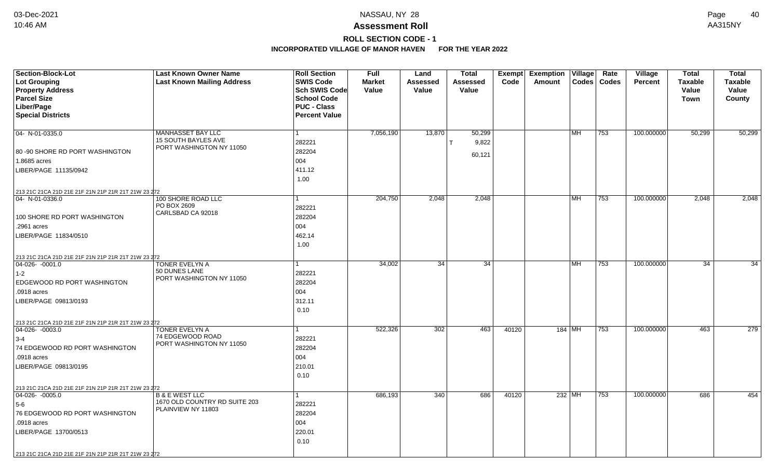# **ROLL SECTION CODE - 1**

| <b>Section-Block-Lot</b><br><b>Lot Grouping</b>     | <b>Last Known Owner Name</b><br><b>Last Known Mailing Address</b> | <b>Roll Section</b><br><b>SWIS Code</b> | <b>Full</b><br><b>Market</b> | Land<br>Assessed | <b>Total</b><br>Assessed | Code  | Exempt Exemption Village<br>Amount |           | Rate<br>Codes   Codes | Village<br><b>Percent</b> | <b>Total</b><br><b>Taxable</b> | <b>Total</b><br><b>Taxable</b> |
|-----------------------------------------------------|-------------------------------------------------------------------|-----------------------------------------|------------------------------|------------------|--------------------------|-------|------------------------------------|-----------|-----------------------|---------------------------|--------------------------------|--------------------------------|
| <b>Property Address</b>                             |                                                                   | Sch SWIS Code                           | Value                        | Value            | Value                    |       |                                    |           |                       |                           | Value                          | Value                          |
| <b>Parcel Size</b>                                  |                                                                   | <b>School Code</b>                      |                              |                  |                          |       |                                    |           |                       |                           | <b>Town</b>                    | County                         |
| Liber/Page                                          |                                                                   | <b>PUC - Class</b>                      |                              |                  |                          |       |                                    |           |                       |                           |                                |                                |
| <b>Special Districts</b>                            |                                                                   | <b>Percent Value</b>                    |                              |                  |                          |       |                                    |           |                       |                           |                                |                                |
| $04 - N - 01 - 0335.0$                              | MANHASSET BAY LLC                                                 |                                         | 7,056,190                    | 13,870           | 50,299                   |       |                                    | <b>MH</b> | 753                   | 100.000000                | 50,299                         | 50,299                         |
|                                                     | 15 SOUTH BAYLES AVE                                               | 282221                                  |                              |                  | 9,822                    |       |                                    |           |                       |                           |                                |                                |
| 80 -90 SHORE RD PORT WASHINGTON                     | PORT WASHINGTON NY 11050                                          | 282204                                  |                              |                  |                          |       |                                    |           |                       |                           |                                |                                |
| 1.8685 acres                                        |                                                                   | 004                                     |                              |                  | 60,121                   |       |                                    |           |                       |                           |                                |                                |
| LIBER/PAGE 11135/0942                               |                                                                   | 411.12                                  |                              |                  |                          |       |                                    |           |                       |                           |                                |                                |
|                                                     |                                                                   | 1.00                                    |                              |                  |                          |       |                                    |           |                       |                           |                                |                                |
| 213 21C 21CA 21D 21E 21F 21N 21P 21R 21T 21W 23 272 |                                                                   |                                         |                              |                  |                          |       |                                    |           |                       |                           |                                |                                |
| 04- N-01-0336.0                                     | 100 SHORE ROAD LLC                                                |                                         | 204,750                      | 2,048            | 2,048                    |       |                                    | MH        | 753                   | 100.000000                | 2,048                          | 2,048                          |
|                                                     | PO BOX 2609                                                       | 282221                                  |                              |                  |                          |       |                                    |           |                       |                           |                                |                                |
| 100 SHORE RD PORT WASHINGTON                        | CARLSBAD CA 92018                                                 | 282204                                  |                              |                  |                          |       |                                    |           |                       |                           |                                |                                |
| .2961 acres                                         |                                                                   | 004                                     |                              |                  |                          |       |                                    |           |                       |                           |                                |                                |
| LIBER/PAGE 11834/0510                               |                                                                   | 462.14                                  |                              |                  |                          |       |                                    |           |                       |                           |                                |                                |
|                                                     |                                                                   | 1.00                                    |                              |                  |                          |       |                                    |           |                       |                           |                                |                                |
| 213 21C 21CA 21D 21E 21F 21N 21P 21R 21T 21W 23 272 |                                                                   |                                         |                              |                  |                          |       |                                    |           |                       |                           |                                |                                |
| $\boxed{04-026 - 0001.0}$                           | <b>TONER EVELYN A</b><br>50 DUNES LANE                            |                                         | 34,002                       | 34               | $\overline{34}$          |       |                                    | MH        | 753                   | 100.000000                | 34                             | 34                             |
| $1 - 2$                                             | PORT WASHINGTON NY 11050                                          | 282221                                  |                              |                  |                          |       |                                    |           |                       |                           |                                |                                |
| EDGEWOOD RD PORT WASHINGTON                         |                                                                   | 282204                                  |                              |                  |                          |       |                                    |           |                       |                           |                                |                                |
| .0918 acres                                         |                                                                   | 004                                     |                              |                  |                          |       |                                    |           |                       |                           |                                |                                |
| LIBER/PAGE 09813/0193                               |                                                                   | 312.11                                  |                              |                  |                          |       |                                    |           |                       |                           |                                |                                |
|                                                     |                                                                   | 0.10                                    |                              |                  |                          |       |                                    |           |                       |                           |                                |                                |
| 213 21C 21CA 21D 21E 21F 21N 21P 21R 21T 21W 23 272 |                                                                   |                                         |                              |                  |                          |       |                                    |           |                       |                           |                                |                                |
| $\boxed{04-026 - 0003.0}$                           | TONER EVELYN A<br>74 EDGEWOOD ROAD                                |                                         | 522,326                      | 302              | 463                      | 40120 |                                    | 184 MH    | 753                   | 100.000000                | 463                            | 279                            |
| $3-4$                                               | PORT WASHINGTON NY 11050                                          | 282221                                  |                              |                  |                          |       |                                    |           |                       |                           |                                |                                |
| 74 EDGEWOOD RD PORT WASHINGTON                      |                                                                   | 282204                                  |                              |                  |                          |       |                                    |           |                       |                           |                                |                                |
| .0918 acres                                         |                                                                   | 004                                     |                              |                  |                          |       |                                    |           |                       |                           |                                |                                |
| LIBER/PAGE 09813/0195                               |                                                                   | 210.01                                  |                              |                  |                          |       |                                    |           |                       |                           |                                |                                |
|                                                     |                                                                   | 0.10                                    |                              |                  |                          |       |                                    |           |                       |                           |                                |                                |
| 213 21C 21CA 21D 21E 21F 21N 21P 21R 21T 21W 23 272 |                                                                   |                                         |                              |                  |                          |       |                                    |           |                       |                           |                                |                                |
| $ 04-026-0005.0$                                    | <b>B &amp; E WEST LLC</b><br>1670 OLD COUNTRY RD SUITE 203        | 282221                                  | 686,193                      | 340              | 686                      | 40120 |                                    | 232 MH    | 753                   | 100.000000                | 686                            | 454                            |
| $5-6$<br>76 EDGEWOOD RD PORT WASHINGTON             | PLAINVIEW NY 11803                                                | 282204                                  |                              |                  |                          |       |                                    |           |                       |                           |                                |                                |
|                                                     |                                                                   |                                         |                              |                  |                          |       |                                    |           |                       |                           |                                |                                |
| .0918 acres                                         |                                                                   | 004                                     |                              |                  |                          |       |                                    |           |                       |                           |                                |                                |
| LIBER/PAGE 13700/0513                               |                                                                   | 220.01<br>0.10                          |                              |                  |                          |       |                                    |           |                       |                           |                                |                                |
|                                                     |                                                                   |                                         |                              |                  |                          |       |                                    |           |                       |                           |                                |                                |
| 213 21C 21CA 21D 21E 21F 21N 21P 21R 21T 21W 23 272 |                                                                   |                                         |                              |                  |                          |       |                                    |           |                       |                           |                                |                                |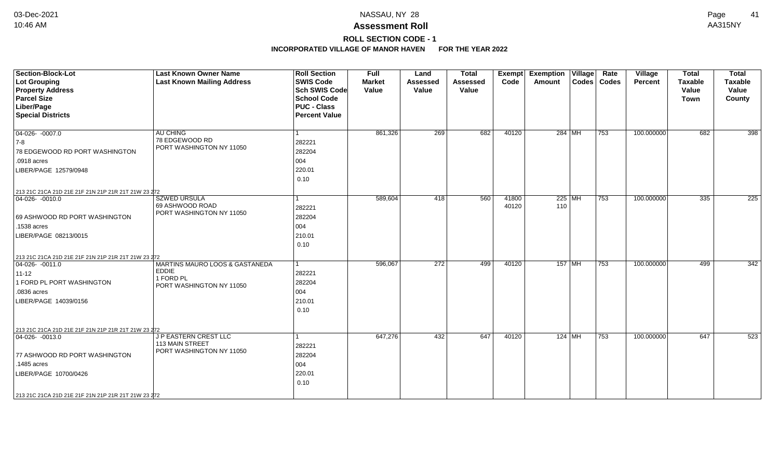**ROLL SECTION CODE - 1**

| <b>Section-Block-Lot</b>                            | <b>Last Known Owner Name</b>                | <b>Roll Section</b>  | <b>Full</b>   | Land            | <b>Total</b>    | <b>Exempt</b> | <b>Exemption Village</b> | Rate             | Village    | <b>Total</b> | <b>Total</b>     |
|-----------------------------------------------------|---------------------------------------------|----------------------|---------------|-----------------|-----------------|---------------|--------------------------|------------------|------------|--------------|------------------|
| <b>Lot Grouping</b>                                 | <b>Last Known Mailing Address</b>           | <b>SWIS Code</b>     | <b>Market</b> | <b>Assessed</b> | <b>Assessed</b> | Code          | Amount                   | Codes   Codes    | Percent    | Taxable      | <b>Taxable</b>   |
| <b>Property Address</b>                             |                                             | <b>Sch SWIS Code</b> | Value         | Value           | Value           |               |                          |                  |            | Value        | Value            |
| <b>Parcel Size</b>                                  |                                             | <b>School Code</b>   |               |                 |                 |               |                          |                  |            | <b>Town</b>  | County           |
| Liber/Page                                          |                                             | <b>PUC - Class</b>   |               |                 |                 |               |                          |                  |            |              |                  |
| <b>Special Districts</b>                            |                                             | <b>Percent Value</b> |               |                 |                 |               |                          |                  |            |              |                  |
| $04-026 - 0007.0$                                   | <b>AU CHING</b>                             |                      | 861,326       | 269             | 682             | 40120         | 284 MH                   | $ 753\rangle$    | 100.000000 | 682          | 398              |
| 7-8                                                 | 78 EDGEWOOD RD                              | 282221               |               |                 |                 |               |                          |                  |            |              |                  |
| 78 EDGEWOOD RD PORT WASHINGTON                      | PORT WASHINGTON NY 11050                    | 282204               |               |                 |                 |               |                          |                  |            |              |                  |
| .0918 acres                                         |                                             | 004                  |               |                 |                 |               |                          |                  |            |              |                  |
| LIBER/PAGE 12579/0948                               |                                             | 220.01               |               |                 |                 |               |                          |                  |            |              |                  |
|                                                     |                                             | 0.10                 |               |                 |                 |               |                          |                  |            |              |                  |
| 213 21C 21CA 21D 21E 21F 21N 21P 21R 21T 21W 23 272 |                                             |                      |               |                 |                 |               |                          |                  |            |              |                  |
| 04-026- -0010.0                                     | <b>SZWED URSULA</b>                         |                      | 589,604       | 418             | 560             | 41800         | $225$ MH                 | 753              | 100.000000 | 335          | $\overline{225}$ |
|                                                     | 69 ASHWOOD ROAD<br>PORT WASHINGTON NY 11050 | 282221               |               |                 |                 | 40120         | 110                      |                  |            |              |                  |
| 69 ASHWOOD RD PORT WASHINGTON                       |                                             | 282204               |               |                 |                 |               |                          |                  |            |              |                  |
| .1538 acres                                         |                                             | 004                  |               |                 |                 |               |                          |                  |            |              |                  |
| LIBER/PAGE 08213/0015                               |                                             | 210.01               |               |                 |                 |               |                          |                  |            |              |                  |
|                                                     |                                             | 0.10                 |               |                 |                 |               |                          |                  |            |              |                  |
| 213 21C 21CA 21D 21E 21F 21N 21P 21R 21T 21W 23 272 |                                             |                      |               |                 |                 |               |                          |                  |            |              |                  |
| 04-026- -0011.0                                     | <b>MARTINS MAURO LOOS &amp; GASTANEDA</b>   | 1                    | 596,067       | 272             | 499             | 40120         | 157 MH                   | 753              | 100.000000 | 499          | 342              |
| $11 - 12$                                           | <b>EDDIE</b><br>1 FORD PL                   | 282221               |               |                 |                 |               |                          |                  |            |              |                  |
| 1 FORD PL PORT WASHINGTON                           | PORT WASHINGTON NY 11050                    | 282204               |               |                 |                 |               |                          |                  |            |              |                  |
| .0836 acres                                         |                                             | 004                  |               |                 |                 |               |                          |                  |            |              |                  |
| LIBER/PAGE 14039/0156                               |                                             | 210.01               |               |                 |                 |               |                          |                  |            |              |                  |
|                                                     |                                             | 0.10                 |               |                 |                 |               |                          |                  |            |              |                  |
|                                                     |                                             |                      |               |                 |                 |               |                          |                  |            |              |                  |
| 213 21C 21CA 21D 21E 21F 21N 21P 21R 21T 21W 23 272 |                                             |                      |               |                 |                 |               |                          |                  |            |              |                  |
| 04-026- -0013.0                                     | J P EASTERN CREST LLC                       |                      | 647,276       | 432             | 647             | 40120         | 124   MH                 | $\overline{753}$ | 100.000000 | 647          | 523              |
|                                                     | 113 MAIN STREET<br>PORT WASHINGTON NY 11050 | 282221               |               |                 |                 |               |                          |                  |            |              |                  |
| 77 ASHWOOD RD PORT WASHINGTON                       |                                             | 282204               |               |                 |                 |               |                          |                  |            |              |                  |
| .1485 acres                                         |                                             | 004                  |               |                 |                 |               |                          |                  |            |              |                  |
| LIBER/PAGE 10700/0426                               |                                             | 220.01               |               |                 |                 |               |                          |                  |            |              |                  |
|                                                     |                                             | 0.10                 |               |                 |                 |               |                          |                  |            |              |                  |
| 213 21C 21CA 21D 21E 21F 21N 21P 21R 21T 21W 23 272 |                                             |                      |               |                 |                 |               |                          |                  |            |              |                  |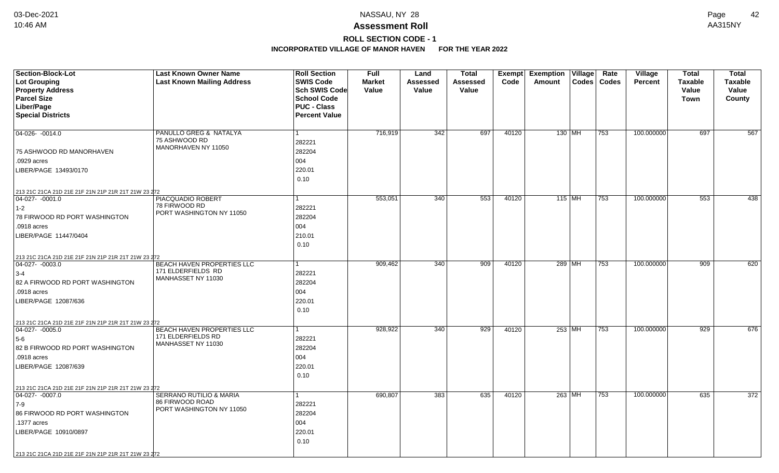## **Assessment Roll** 10:46 AM AA315NY

## **ROLL SECTION CODE - 1**

| <b>Section-Block-Lot</b><br><b>Lot Grouping</b><br><b>Property Address</b> | <b>Last Known Owner Name</b><br><b>Last Known Mailing Address</b> | <b>Roll Section</b><br><b>SWIS Code</b><br>Sch SWIS Code         | <b>Full</b><br><b>Market</b><br>Value | Land<br>Assessed<br>Value | <b>Total</b><br>Assessed<br>Value | Code  | Exempt Exemption Village<br>Amount | Rate<br>Codes   Codes | Village<br><b>Percent</b> | <b>Total</b><br><b>Taxable</b><br>Value | <b>Total</b><br><b>Taxable</b><br>Value |
|----------------------------------------------------------------------------|-------------------------------------------------------------------|------------------------------------------------------------------|---------------------------------------|---------------------------|-----------------------------------|-------|------------------------------------|-----------------------|---------------------------|-----------------------------------------|-----------------------------------------|
| <b>Parcel Size</b><br>Liber/Page<br><b>Special Districts</b>               |                                                                   | <b>School Code</b><br><b>PUC - Class</b><br><b>Percent Value</b> |                                       |                           |                                   |       |                                    |                       |                           | <b>Town</b>                             | County                                  |
| 04-026-0014.0                                                              | PANULLO GREG & NATALYA<br>75 ASHWOOD RD                           | 282221                                                           | 716,919                               | 342                       | 697                               | 40120 | 130 MH                             | 753                   | 100.000000                | 697                                     | 567                                     |
| 75 ASHWOOD RD MANORHAVEN                                                   | MANORHAVEN NY 11050                                               | 282204                                                           |                                       |                           |                                   |       |                                    |                       |                           |                                         |                                         |
| .0929 acres                                                                |                                                                   | 004                                                              |                                       |                           |                                   |       |                                    |                       |                           |                                         |                                         |
| LIBER/PAGE 13493/0170                                                      |                                                                   | 220.01<br>0.10                                                   |                                       |                           |                                   |       |                                    |                       |                           |                                         |                                         |
| 213 21C 21CA 21D 21E 21F 21N 21P 21R 21T 21W 23 272                        |                                                                   |                                                                  |                                       |                           |                                   |       |                                    |                       |                           |                                         |                                         |
| 04-027- -0001.0                                                            | PIACQUADIO ROBERT                                                 |                                                                  | 553,051                               | 340                       | 553                               | 40120 | 115 MH                             | 753                   | 100.000000                | 553                                     | 438                                     |
| $1-2$                                                                      | 78 FIRWOOD RD<br>PORT WASHINGTON NY 11050                         | 282221                                                           |                                       |                           |                                   |       |                                    |                       |                           |                                         |                                         |
| 78 FIRWOOD RD PORT WASHINGTON                                              |                                                                   | 282204                                                           |                                       |                           |                                   |       |                                    |                       |                           |                                         |                                         |
| .0918 acres                                                                |                                                                   | 004                                                              |                                       |                           |                                   |       |                                    |                       |                           |                                         |                                         |
| LIBER/PAGE 11447/0404                                                      |                                                                   | 210.01                                                           |                                       |                           |                                   |       |                                    |                       |                           |                                         |                                         |
|                                                                            |                                                                   | 0.10                                                             |                                       |                           |                                   |       |                                    |                       |                           |                                         |                                         |
| 213 21C 21CA 21D 21E 21F 21N 21P 21R 21T 21W 23 272                        |                                                                   |                                                                  |                                       |                           |                                   |       |                                    |                       |                           |                                         |                                         |
| $ 04-027-0003.0$                                                           | BEACH HAVEN PROPERTIES LLC                                        |                                                                  | 909,462                               | 340                       | 909                               | 40120 | 289 MH                             | 753                   | 100.000000                | 909                                     | 620                                     |
| $3-4$                                                                      | 171 ELDERFIELDS RD<br>MANHASSET NY 11030                          | 282221                                                           |                                       |                           |                                   |       |                                    |                       |                           |                                         |                                         |
| 82 A FIRWOOD RD PORT WASHINGTON                                            |                                                                   | 282204                                                           |                                       |                           |                                   |       |                                    |                       |                           |                                         |                                         |
| .0918 acres                                                                |                                                                   | 004                                                              |                                       |                           |                                   |       |                                    |                       |                           |                                         |                                         |
| LIBER/PAGE 12087/636                                                       |                                                                   | 220.01                                                           |                                       |                           |                                   |       |                                    |                       |                           |                                         |                                         |
|                                                                            |                                                                   | 0.10                                                             |                                       |                           |                                   |       |                                    |                       |                           |                                         |                                         |
| 213 21C 21CA 21D 21E 21F 21N 21P 21R 21T 21W 23 272                        |                                                                   |                                                                  |                                       |                           |                                   |       |                                    |                       |                           |                                         |                                         |
| $ 04-027-0005.0$                                                           | BEACH HAVEN PROPERTIES LLC                                        |                                                                  | 928,922                               | 340                       | 929                               | 40120 | 253 MH                             | 753                   | 100.000000                | 929                                     | 676                                     |
| 5-6                                                                        | 171 ELDERFIELDS RD<br>MANHASSET NY 11030                          | 282221                                                           |                                       |                           |                                   |       |                                    |                       |                           |                                         |                                         |
| 82 B FIRWOOD RD PORT WASHINGTON                                            |                                                                   | 282204                                                           |                                       |                           |                                   |       |                                    |                       |                           |                                         |                                         |
| .0918 acres                                                                |                                                                   | 004                                                              |                                       |                           |                                   |       |                                    |                       |                           |                                         |                                         |
| LIBER/PAGE 12087/639                                                       |                                                                   | 220.01                                                           |                                       |                           |                                   |       |                                    |                       |                           |                                         |                                         |
|                                                                            |                                                                   | 0.10                                                             |                                       |                           |                                   |       |                                    |                       |                           |                                         |                                         |
| 213 21C 21CA 21D 21E 21F 21N 21P 21R 21T 21W 23 272                        |                                                                   |                                                                  |                                       |                           |                                   |       |                                    |                       |                           |                                         |                                         |
| $ 04-027-0007.0$                                                           | SERRANO RUTILIO & MARIA                                           |                                                                  | 690,807                               | 383                       | 635                               | 40120 | 263 MH                             | 753                   | 100.000000                | 635                                     | 372                                     |
| $ 7-9 $                                                                    | 86 FIRWOOD ROAD<br>PORT WASHINGTON NY 11050                       | 282221                                                           |                                       |                           |                                   |       |                                    |                       |                           |                                         |                                         |
| 86 FIRWOOD RD PORT WASHINGTON                                              |                                                                   | 282204                                                           |                                       |                           |                                   |       |                                    |                       |                           |                                         |                                         |
| .1377 acres                                                                |                                                                   | 004                                                              |                                       |                           |                                   |       |                                    |                       |                           |                                         |                                         |
| LIBER/PAGE 10910/0897                                                      |                                                                   | 220.01                                                           |                                       |                           |                                   |       |                                    |                       |                           |                                         |                                         |
|                                                                            |                                                                   | 0.10                                                             |                                       |                           |                                   |       |                                    |                       |                           |                                         |                                         |
| 213 21C 21CA 21D 21E 21F 21N 21P 21R 21T 21W 23 272                        |                                                                   |                                                                  |                                       |                           |                                   |       |                                    |                       |                           |                                         |                                         |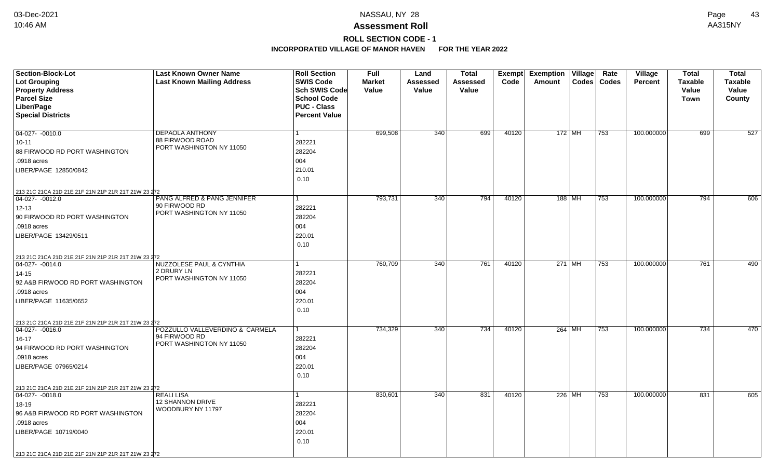## **Assessment Roll** 10:46 AM AA315NY

# **ROLL SECTION CODE - 1**

| <b>Section-Block-Lot</b><br><b>Lot Grouping</b><br><b>Property Address</b><br><b>Parcel Size</b>                                                                                                                     | <b>Last Known Owner Name</b><br><b>Last Known Mailing Address</b>            | <b>Roll Section</b><br><b>SWIS Code</b><br>Sch SWIS Code<br><b>School Code</b> | Full<br><b>Market</b><br>Value | Land<br>Assessed<br>Value | <b>Total</b><br>Assessed<br>Value | Exempt<br>Code | <b>Exemption Village</b><br>Amount<br><b>Codes</b> | Rate<br>Codes | Village<br><b>Percent</b> | <b>Total</b><br><b>Taxable</b><br>Value<br><b>Town</b> | <b>Total</b><br><b>Taxable</b><br>Value<br>County |
|----------------------------------------------------------------------------------------------------------------------------------------------------------------------------------------------------------------------|------------------------------------------------------------------------------|--------------------------------------------------------------------------------|--------------------------------|---------------------------|-----------------------------------|----------------|----------------------------------------------------|---------------|---------------------------|--------------------------------------------------------|---------------------------------------------------|
| Liber/Page<br><b>Special Districts</b>                                                                                                                                                                               |                                                                              | <b>PUC - Class</b><br><b>Percent Value</b>                                     |                                |                           |                                   |                |                                                    |               |                           |                                                        |                                                   |
| 04-027- -0010.0<br>$10 - 11$<br>88 FIRWOOD RD PORT WASHINGTON<br>.0918 acres<br>LIBER/PAGE 12850/0842                                                                                                                | DEPAOLA ANTHONY<br>88 FIRWOOD ROAD<br>PORT WASHINGTON NY 11050               | $\mathbf{1}$<br>282221<br>282204<br>004<br>210.01<br>0.10                      | 699,508                        | 340                       | 699                               | 40120          | $172$ MH                                           | 753           | 100.000000                | 699                                                    | 527                                               |
| 213 21C 21CA 21D 21E 21F 21N 21P 21R 21T 21W 23 272<br>$ 04-027-0012.0$<br>$12 - 13$<br>90 FIRWOOD RD PORT WASHINGTON<br>.0918 acres<br>LIBER/PAGE 13429/0511                                                        | PANG ALFRED & PANG JENNIFER<br>90 FIRWOOD RD<br>PORT WASHINGTON NY 11050     | 1<br>282221<br>282204<br>004<br>220.01<br>0.10                                 | 793,731                        | 340                       | 794                               | 40120          | 188 MH                                             | 753           | 100.000000                | 794                                                    | 606                                               |
| 213 21C 21CA 21D 21E 21F 21N 21P 21R 21T 21W 23 272<br>$ 04-027-0014.0$<br>$14 - 15$<br>92 A&B FIRWOOD RD PORT WASHINGTON<br>.0918 acres<br>LIBER/PAGE 11635/0652                                                    | NUZZOLESE PAUL & CYNTHIA<br>2 DRURY LN<br>PORT WASHINGTON NY 11050           | 1<br>282221<br>282204<br>004<br>220.01<br>0.10                                 | 760,709                        | 340                       | 761                               | 40120          | 271 MH                                             | 753           | 100.000000                | 761                                                    | 490                                               |
| 213 21C 21CA 21D 21E 21F 21N 21P 21R 21T 21W 23 272<br>$ 04-027-0016.0$<br>16-17<br>94 FIRWOOD RD PORT WASHINGTON<br>.0918 acres<br>LIBER/PAGE 07965/0214                                                            | POZZULLO VALLEVERDINO & CARMELA<br>94 FIRWOOD RD<br>PORT WASHINGTON NY 11050 | $\mathbf{1}$<br>282221<br>282204<br>004<br>220.01<br>0.10                      | 734,329                        | 340                       | 734                               | 40120          | 264 MH                                             | 753           | 100.000000                | 734                                                    | 470                                               |
| 213 21C 21CA 21D 21E 21F 21N 21P 21R 21T 21W 23 272<br>$ 04-027-0018.0$<br>18-19<br>96 A&B FIRWOOD RD PORT WASHINGTON<br>.0918 acres<br>LIBER/PAGE 10719/0040<br>213 21C 21CA 21D 21E 21F 21N 21P 21R 21T 21W 23 272 | <b>REALILISA</b><br>12 SHANNON DRIVE<br>WOODBURY NY 11797                    | $\mathbf{1}$<br>282221<br>282204<br>004<br>220.01<br>0.10                      | 830,601                        | 340                       | 831                               | 40120          | 226 MH                                             | 753           | 100.000000                | 831                                                    | 605                                               |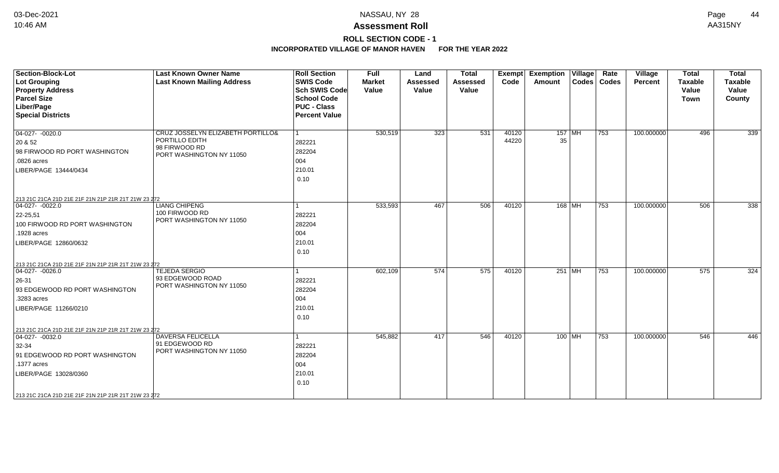## **ROLL SECTION CODE - 1**

| <b>Section-Block-Lot</b>                            | <b>Last Known Owner Name</b>               | <b>Roll Section</b>                      | <b>Full</b>            | Land                     | <b>Total</b>             | <b>Exempt</b> | <b>Exemption</b> | $\overline{\mathsf{V}}$ illage | Rate          | Village        | <b>Total</b>            | <b>Total</b>            |
|-----------------------------------------------------|--------------------------------------------|------------------------------------------|------------------------|--------------------------|--------------------------|---------------|------------------|--------------------------------|---------------|----------------|-------------------------|-------------------------|
| <b>Lot Grouping</b><br><b>Property Address</b>      | <b>Last Known Mailing Address</b>          | <b>SWIS Code</b><br><b>Sch SWIS Code</b> | <b>Market</b><br>Value | <b>Assessed</b><br>Value | <b>Assessed</b><br>Value | Code          | Amount           |                                | Codes   Codes | <b>Percent</b> | <b>Taxable</b><br>Value | <b>Taxable</b><br>Value |
| <b>Parcel Size</b>                                  |                                            | <b>School Code</b>                       |                        |                          |                          |               |                  |                                |               |                | <b>Town</b>             | County                  |
| Liber/Page                                          |                                            | <b>PUC - Class</b>                       |                        |                          |                          |               |                  |                                |               |                |                         |                         |
| <b>Special Districts</b>                            |                                            | <b>Percent Value</b>                     |                        |                          |                          |               |                  |                                |               |                |                         |                         |
|                                                     |                                            |                                          |                        |                          |                          |               |                  |                                |               |                |                         |                         |
| $04-027 - 0020.0$                                   | CRUZ JOSSELYN ELIZABETH PORTILLO&          | 1                                        | 530,519                | 323                      | 531                      | 40120         | $157$ MH         |                                | 753           | 100.000000     | 496                     | 339                     |
| 20 & 52                                             | PORTILLO EDITH                             | 282221                                   |                        |                          |                          | 44220         | 35               |                                |               |                |                         |                         |
| 98 FIRWOOD RD PORT WASHINGTON                       | 98 FIRWOOD RD<br>PORT WASHINGTON NY 11050  | 282204                                   |                        |                          |                          |               |                  |                                |               |                |                         |                         |
| .0826 acres                                         |                                            | 004                                      |                        |                          |                          |               |                  |                                |               |                |                         |                         |
| LIBER/PAGE 13444/0434                               |                                            | 210.01                                   |                        |                          |                          |               |                  |                                |               |                |                         |                         |
|                                                     |                                            | 0.10                                     |                        |                          |                          |               |                  |                                |               |                |                         |                         |
|                                                     |                                            |                                          |                        |                          |                          |               |                  |                                |               |                |                         |                         |
| 213 21C 21CA 21D 21E 21F 21N 21P 21R 21T 21W 23 272 |                                            |                                          |                        |                          |                          |               |                  |                                |               |                |                         |                         |
| $04-027 - -0022.0$                                  | <b>LIANG CHIPENG</b>                       |                                          | 533,593                | 467                      | 506                      | 40120         | 168 MH           |                                | 753           | 100.000000     | 506                     | 338                     |
| 22-25,51                                            | 100 FIRWOOD RD<br>PORT WASHINGTON NY 11050 | 282221                                   |                        |                          |                          |               |                  |                                |               |                |                         |                         |
| 100 FIRWOOD RD PORT WASHINGTON                      |                                            | 282204                                   |                        |                          |                          |               |                  |                                |               |                |                         |                         |
| 1928 acres                                          |                                            | 004                                      |                        |                          |                          |               |                  |                                |               |                |                         |                         |
| LIBER/PAGE 12860/0632                               |                                            | 210.01                                   |                        |                          |                          |               |                  |                                |               |                |                         |                         |
|                                                     |                                            | 0.10                                     |                        |                          |                          |               |                  |                                |               |                |                         |                         |
| 213 21C 21CA 21D 21E 21F 21N 21P 21R 21T 21W 23 272 |                                            |                                          |                        |                          |                          |               |                  |                                |               |                |                         |                         |
| $ 04-027-0026.0$                                    | TEJEDA SERGIO                              |                                          | 602,109                | 574                      | 575                      | 40120         | 251 MH           |                                | 753           | 100.000000     | 575                     | 324                     |
| 26-31                                               | 93 EDGEWOOD ROAD                           | 282221                                   |                        |                          |                          |               |                  |                                |               |                |                         |                         |
| 93 EDGEWOOD RD PORT WASHINGTON                      | PORT WASHINGTON NY 11050                   | 282204                                   |                        |                          |                          |               |                  |                                |               |                |                         |                         |
| .3283 acres                                         |                                            | 004                                      |                        |                          |                          |               |                  |                                |               |                |                         |                         |
| LIBER/PAGE 11266/0210                               |                                            | 210.01                                   |                        |                          |                          |               |                  |                                |               |                |                         |                         |
|                                                     |                                            | 0.10                                     |                        |                          |                          |               |                  |                                |               |                |                         |                         |
| 213 21C 21CA 21D 21E 21F 21N 21P 21R 21T 21W 23 272 |                                            |                                          |                        |                          |                          |               |                  |                                |               |                |                         |                         |
| $ 04-027-0032.0$                                    | <b>DAVERSA FELICELLA</b>                   |                                          | 545,882                | 417                      | 546                      | 40120         | 100   MH         |                                | 753           | 100.000000     | 546                     | 446                     |
| 32-34                                               | 91 EDGEWOOD RD                             | 282221                                   |                        |                          |                          |               |                  |                                |               |                |                         |                         |
| 91 EDGEWOOD RD PORT WASHINGTON                      | PORT WASHINGTON NY 11050                   | 282204                                   |                        |                          |                          |               |                  |                                |               |                |                         |                         |
| .1377 acres                                         |                                            | 004                                      |                        |                          |                          |               |                  |                                |               |                |                         |                         |
| LIBER/PAGE 13028/0360                               |                                            | 210.01                                   |                        |                          |                          |               |                  |                                |               |                |                         |                         |
|                                                     |                                            | 0.10                                     |                        |                          |                          |               |                  |                                |               |                |                         |                         |
| 213 21C 21CA 21D 21E 21F 21N 21P 21R 21T 21W 23 272 |                                            |                                          |                        |                          |                          |               |                  |                                |               |                |                         |                         |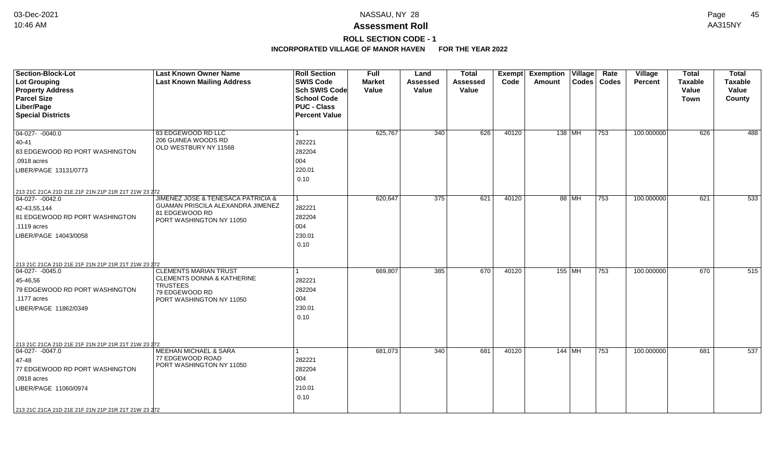**ROLL SECTION CODE - 1**

| <b>Section-Block-Lot</b><br>Lot Grouping<br><b>Property Address</b><br><b>Parcel Size</b><br>Liber/Page<br><b>Special Districts</b>                                                                              | <b>Last Known Owner Name</b><br><b>Last Known Mailing Address</b>                                                                      | <b>Roll Section</b><br><b>SWIS Code</b><br><b>Sch SWIS Code</b><br><b>School Code</b><br><b>PUC - Class</b><br><b>Percent Value</b> | <b>Full</b><br><b>Market</b><br>Value | Land<br><b>Assessed</b><br>Value | <b>Total</b><br><b>Assessed</b><br>Value | Code  | Exempt Exemption Village<br><b>Amount</b> |       | Rate<br>Codes   Codes | Village<br><b>Percent</b> | <b>Total</b><br><b>Taxable</b><br>Value<br><b>Town</b> | <b>Total</b><br><b>Taxable</b><br>Value<br>County |
|------------------------------------------------------------------------------------------------------------------------------------------------------------------------------------------------------------------|----------------------------------------------------------------------------------------------------------------------------------------|-------------------------------------------------------------------------------------------------------------------------------------|---------------------------------------|----------------------------------|------------------------------------------|-------|-------------------------------------------|-------|-----------------------|---------------------------|--------------------------------------------------------|---------------------------------------------------|
| 04-027- -0040.0<br>40-41<br>83 EDGEWOOD RD PORT WASHINGTON<br>.0918 acres<br>LIBER/PAGE 13131/0773                                                                                                               | 83 EDGEWOOD RD LLC<br>206 GUINEA WOODS RD<br>OLD WESTBURY NY 11568                                                                     | 282221<br>282204<br>004<br>220.01<br>0.10                                                                                           | 625,767                               | 340                              | 626                                      | 40120 | $138$ MH                                  |       | $ 753\rangle$         | 100.000000                | 626                                                    | 488                                               |
| 213 21C 21CA 21D 21E 21F 21N 21P 21R 21T 21W 23 272<br>$ 04-027 - 0042.0$<br>42-43,55,144<br>81 EDGEWOOD RD PORT WASHINGTON<br>$.1119$ acres<br>LIBER/PAGE 14043/0058                                            | <b>JIMENEZ JOSE &amp; TENESACA PATRICIA &amp;</b><br>GUAMAN PRISCILA ALEXANDRA JIMENEZ<br>81 EDGEWOOD RD<br>PORT WASHINGTON NY 11050   | 282221<br>282204<br>004<br>230.01<br>0.10                                                                                           | 620,647                               | 375                              | 621                                      | 40120 |                                           | 88 MH | $\overline{753}$      | 100.000000                | 621                                                    | 533                                               |
| 213 21C 21CA 21D 21E 21F 21N 21P 21R 21T 21W 23 272<br>$ 04-027 - 0045.0$<br>45-46,56<br>79 EDGEWOOD RD PORT WASHINGTON<br>$.1177$ acres<br>LIBER/PAGE 11862/0349                                                | <b>CLEMENTS MARIAN TRUST</b><br><b>CLEMENTS DONNA &amp; KATHERINE</b><br><b>TRUSTEES</b><br>79 EDGEWOOD RD<br>PORT WASHINGTON NY 11050 | 282221<br>282204<br>004<br>230.01<br>0.10                                                                                           | 669,807                               | 385                              | 670                                      | 40120 | 155   MH                                  |       | 753                   | 100.000000                | 670                                                    | 515                                               |
| 213 21C 21CA 21D 21E 21F 21N 21P 21R 21T 21W 23 272<br>04-027- -0047.0<br>47-48<br>77 EDGEWOOD RD PORT WASHINGTON<br>.0918 acres<br>LIBER/PAGE 11060/0974<br>213 21C 21CA 21D 21E 21F 21N 21P 21R 21T 21W 23 272 | <b>MEEHAN MICHAEL &amp; SARA</b><br>77 EDGEWOOD ROAD<br>PORT WASHINGTON NY 11050                                                       | 282221<br>282204<br>004<br>210.01<br>0.10                                                                                           | 681,073                               | 340                              | 681                                      | 40120 | $144$ MH                                  |       | $ 753\rangle$         | 100.000000                | 681                                                    | 537                                               |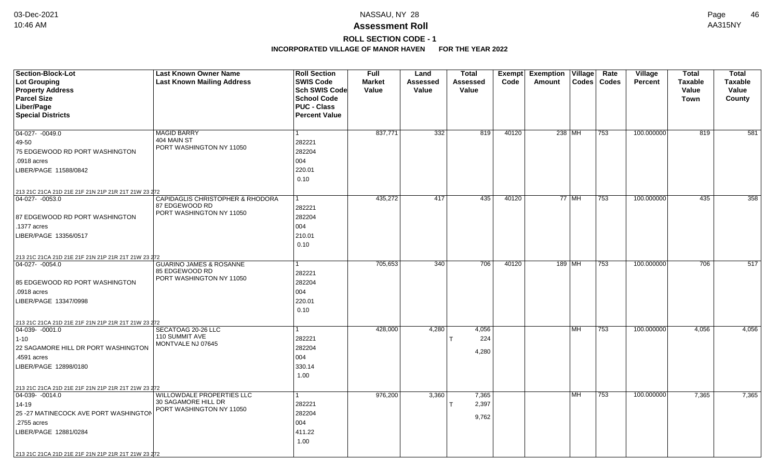# **ROLL SECTION CODE - 1**

| Section-Block-Lot                                   | <b>Last Known Owner Name</b>                    | <b>Roll Section</b>               | <b>Full</b>            | Land                     | <b>Total</b>             | Exempt | <b>Exemption Village</b> |           | Rate          | <b>Village</b> | <b>Total</b>            | <b>Total</b>            |
|-----------------------------------------------------|-------------------------------------------------|-----------------------------------|------------------------|--------------------------|--------------------------|--------|--------------------------|-----------|---------------|----------------|-------------------------|-------------------------|
| <b>Lot Grouping</b><br><b>Property Address</b>      | <b>Last Known Mailing Address</b>               | <b>SWIS Code</b><br>Sch SWIS Code | <b>Market</b><br>Value | <b>Assessed</b><br>Value | <b>Assessed</b><br>Value | Code   | <b>Amount</b>            |           | Codes   Codes | <b>Percent</b> | <b>Taxable</b><br>Value | <b>Taxable</b><br>Value |
| <b>Parcel Size</b>                                  |                                                 | <b>School Code</b>                |                        |                          |                          |        |                          |           |               |                | Town                    | County                  |
| Liber/Page                                          |                                                 | <b>PUC - Class</b>                |                        |                          |                          |        |                          |           |               |                |                         |                         |
| <b>Special Districts</b>                            |                                                 | <b>Percent Value</b>              |                        |                          |                          |        |                          |           |               |                |                         |                         |
|                                                     |                                                 |                                   |                        |                          |                          |        |                          |           |               |                |                         |                         |
| 04-027- -0049.0                                     | <b>MAGID BARRY</b>                              | $\mathbf{1}$                      | 837,771                | 332                      | 819                      | 40120  | 238 MH                   |           | 753           | 100.000000     | 819                     | 581                     |
| $ 49-50$                                            | 404 MAIN ST                                     | 282221                            |                        |                          |                          |        |                          |           |               |                |                         |                         |
| 75 EDGEWOOD RD PORT WASHINGTON                      | PORT WASHINGTON NY 11050                        | 282204                            |                        |                          |                          |        |                          |           |               |                |                         |                         |
| .0918 acres                                         |                                                 | 004                               |                        |                          |                          |        |                          |           |               |                |                         |                         |
| LIBER/PAGE 11588/0842                               |                                                 | 220.01                            |                        |                          |                          |        |                          |           |               |                |                         |                         |
|                                                     |                                                 | 0.10                              |                        |                          |                          |        |                          |           |               |                |                         |                         |
| 213 21C 21CA 21D 21E 21F 21N 21P 21R 21T 21W 23 272 |                                                 |                                   |                        |                          |                          |        |                          |           |               |                |                         |                         |
| 04-027- -0053.0                                     | CAPIDAGLIS CHRISTOPHER & RHODORA                | l 1                               | 435,272                | 417                      | 435                      | 40120  |                          | 77   MH   | 753           | 100.000000     | 435                     | 358                     |
|                                                     | 87 EDGEWOOD RD<br>PORT WASHINGTON NY 11050      | 282221                            |                        |                          |                          |        |                          |           |               |                |                         |                         |
| 87 EDGEWOOD RD PORT WASHINGTON                      |                                                 | 282204                            |                        |                          |                          |        |                          |           |               |                |                         |                         |
| .1377 acres                                         |                                                 | 004                               |                        |                          |                          |        |                          |           |               |                |                         |                         |
| LIBER/PAGE 13356/0517                               |                                                 | 210.01                            |                        |                          |                          |        |                          |           |               |                |                         |                         |
|                                                     |                                                 | 0.10                              |                        |                          |                          |        |                          |           |               |                |                         |                         |
| 213 21C 21CA 21D 21E 21F 21N 21P 21R 21T 21W 23 272 |                                                 |                                   |                        |                          |                          |        |                          |           |               |                |                         |                         |
| 04-027-0054.0                                       | <b>GUARINO JAMES &amp; ROSANNE</b>              |                                   | 705,653                | 340                      | 706                      | 40120  |                          | 189 MH    | 753           | 100.000000     | 706                     | 517                     |
|                                                     | 85 EDGEWOOD RD<br>PORT WASHINGTON NY 11050      | 282221                            |                        |                          |                          |        |                          |           |               |                |                         |                         |
| 85 EDGEWOOD RD PORT WASHINGTON                      |                                                 | 282204                            |                        |                          |                          |        |                          |           |               |                |                         |                         |
| .0918 acres                                         |                                                 | 004                               |                        |                          |                          |        |                          |           |               |                |                         |                         |
| LIBER/PAGE 13347/0998                               |                                                 | 220.01                            |                        |                          |                          |        |                          |           |               |                |                         |                         |
|                                                     |                                                 | 0.10                              |                        |                          |                          |        |                          |           |               |                |                         |                         |
| 213 21C 21CA 21D 21E 21F 21N 21P 21R 21T 21W 23 272 |                                                 |                                   |                        |                          |                          |        |                          |           |               |                |                         |                         |
| $04-039 - 0001.0$                                   | SECATOAG 20-26 LLC                              | 1                                 | 428,000                | 4,280                    | 4,056                    |        |                          | l MH      | 753           | 100.000000     | 4,056                   | 4,056                   |
| 1-10                                                | 110 SUMMIT AVE<br>MONTVALE NJ 07645             | 282221                            |                        |                          | 224                      |        |                          |           |               |                |                         |                         |
| 22 SAGAMORE HILL DR PORT WASHINGTON                 |                                                 | 282204                            |                        |                          | 4,280                    |        |                          |           |               |                |                         |                         |
| .4591 acres                                         |                                                 | 004                               |                        |                          |                          |        |                          |           |               |                |                         |                         |
| LIBER/PAGE 12898/0180                               |                                                 | 330.14                            |                        |                          |                          |        |                          |           |               |                |                         |                         |
|                                                     |                                                 | 1.00                              |                        |                          |                          |        |                          |           |               |                |                         |                         |
| 213 21C 21CA 21D 21E 21F 21N 21P 21R 21T 21W 23 272 |                                                 |                                   |                        |                          |                          |        |                          |           |               |                |                         |                         |
| 04-039- -0014.0                                     | <b>WILLOWDALE PROPERTIES LLC</b>                | 1                                 | 976,200                | 3,360                    | 7,365                    |        |                          | <b>MH</b> | 753           | 100.000000     | 7,365                   | 7,365                   |
| 14-19                                               | 30 SAGAMORE HILL DR<br>PORT WASHINGTON NY 11050 | 282221                            |                        |                          | 2,397                    |        |                          |           |               |                |                         |                         |
| 25 - 27 MATINECOCK AVE PORT WASHINGTON              |                                                 | 282204                            |                        |                          | 9,762                    |        |                          |           |               |                |                         |                         |
| .2755 acres                                         |                                                 | 004                               |                        |                          |                          |        |                          |           |               |                |                         |                         |
| LIBER/PAGE 12881/0284                               |                                                 | 411.22                            |                        |                          |                          |        |                          |           |               |                |                         |                         |
|                                                     |                                                 | 1.00                              |                        |                          |                          |        |                          |           |               |                |                         |                         |
| 213 21C 21CA 21D 21E 21F 21N 21P 21R 21T 21W 23 272 |                                                 |                                   |                        |                          |                          |        |                          |           |               |                |                         |                         |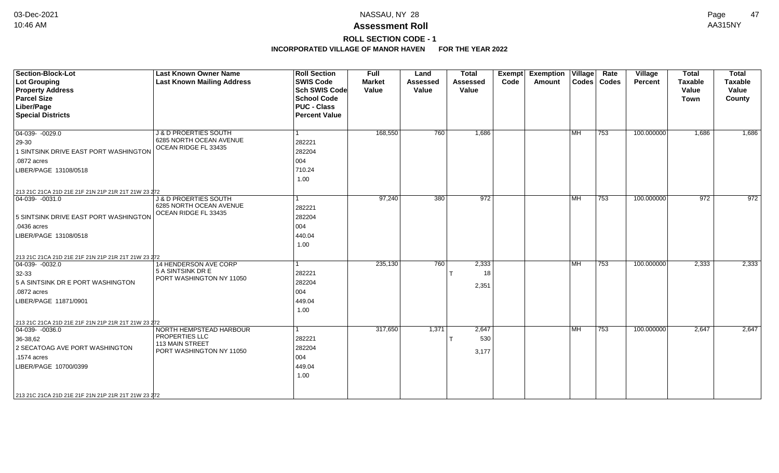**ROLL SECTION CODE - 1**

| Section-Block-Lot<br>Lot Grouping<br><b>Property Address</b><br><b>Parcel Size</b><br>Liber/Page<br><b>Special Districts</b>                                                   | <b>Last Known Owner Name</b><br><b>Last Known Mailing Address</b>                               | <b>Roll Section</b><br><b>SWIS Code</b><br><b>Sch SWIS Code</b><br><b>School Code</b><br><b>PUC - Class</b><br><b>Percent Value</b> | <b>Full</b><br><b>Market</b><br>Value | Land<br><b>Assessed</b><br>Value | <b>Total</b><br>Assessed<br>Value | Exempt<br>Code | <b>Exemption Village</b><br>Amount |           | Rate<br>Codes   Codes | Village<br>Percent | <b>Total</b><br><b>Taxable</b><br>Value<br><b>Town</b> | <b>Total</b><br><b>Taxable</b><br>Value<br>County |
|--------------------------------------------------------------------------------------------------------------------------------------------------------------------------------|-------------------------------------------------------------------------------------------------|-------------------------------------------------------------------------------------------------------------------------------------|---------------------------------------|----------------------------------|-----------------------------------|----------------|------------------------------------|-----------|-----------------------|--------------------|--------------------------------------------------------|---------------------------------------------------|
| $\boxed{04-039 - 0029.0}$<br>$ 29-30 $<br>1 SINTSINK DRIVE EAST PORT WASHINGTON<br>.0872 acres<br>LIBER/PAGE 13108/0518<br>213 21C 21CA 21D 21E 21F 21N 21P 21R 21T 21W 23 272 | <b>J &amp; D PROERTIES SOUTH</b><br>6285 NORTH OCEAN AVENUE<br>OCEAN RIDGE FL 33435             | $\vert$ 1<br>282221<br>282204<br>004<br>710.24<br>1.00                                                                              | 168,550                               | 760                              | 1,686                             |                |                                    | <b>MH</b> | $ 753\rangle$         | 100.000000         | 1,686                                                  | 1,686                                             |
| $\boxed{04-039 - 0031.0}$<br>5 SINTSINK DRIVE EAST PORT WASHINGTON<br>$.0436$ acres<br>LIBER/PAGE 13108/0518<br>213 21C 21CA 21D 21E 21F 21N 21P 21R 21T 21W 23 272            | <b>J &amp; D PROERTIES SOUTH</b><br>6285 NORTH OCEAN AVENUE<br>OCEAN RIDGE FL 33435             | $\vert$ 1<br>282221<br>282204<br>004<br>440.04<br>1.00                                                                              | 97,240                                | 380                              | 972                               |                |                                    | <b>MH</b> | 753                   | 100.000000         | 972                                                    | 972                                               |
| $ 04-039-0032.0$<br>$32 - 33$<br>5 A SINTSINK DR E PORT WASHINGTON<br>$.0872$ acres<br>LIBER/PAGE 11871/0901<br>213 21C 21CA 21D 21E 21F 21N 21P 21R 21T 21W 23 272            | 14 HENDERSON AVE CORP<br>5 A SINTSINK DR E<br>PORT WASHINGTON NY 11050                          | 1<br>282221<br>282204<br>004<br>449.04<br>1.00                                                                                      | 235,130                               | 760                              | 2,333<br>18<br>2,351              |                |                                    | MH        | 753                   | 100.000000         | 2,333                                                  | 2,333                                             |
| $ 04-039-0036.0$<br>36-38.62<br>2 SECATOAG AVE PORT WASHINGTON<br>.1574 acres<br>LIBER/PAGE 10700/0399<br>213 21C 21CA 21D 21E 21F 21N 21P 21R 21T 21W 23 272                  | NORTH HEMPSTEAD HARBOUR<br>PROPERTIES LLC<br><b>113 MAIN STREET</b><br>PORT WASHINGTON NY 11050 | l 1<br>282221<br>282204<br>004<br>449.04<br>1.00                                                                                    | 317,650                               | 1,371                            | 2,647<br>530<br>3,177             |                |                                    | <b>MH</b> | 753                   | 100.000000         | 2,647                                                  | 2,647                                             |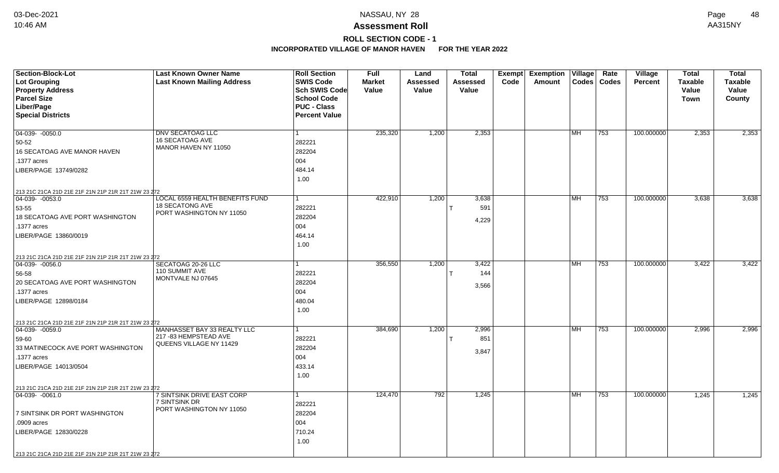# **ROLL SECTION CODE - 1**

| Section-Block-Lot                                   | <b>Last Known Owner Name</b>                          | <b>Roll Section</b>  | <b>Full</b>   | Land            | <b>Total</b>    | Exempt | <b>Exemption Village</b> |           | Rate          | <b>Village</b> | <b>Total</b>   | <b>Total</b>   |
|-----------------------------------------------------|-------------------------------------------------------|----------------------|---------------|-----------------|-----------------|--------|--------------------------|-----------|---------------|----------------|----------------|----------------|
| <b>Lot Grouping</b>                                 | <b>Last Known Mailing Address</b>                     | <b>SWIS Code</b>     | <b>Market</b> | <b>Assessed</b> | <b>Assessed</b> | Code   | Amount                   |           | Codes   Codes | Percent        | <b>Taxable</b> | <b>Taxable</b> |
| <b>Property Address</b>                             |                                                       | <b>Sch SWIS Code</b> | Value         | Value           | Value           |        |                          |           |               |                | Value          | Value          |
| <b>Parcel Size</b>                                  |                                                       | <b>School Code</b>   |               |                 |                 |        |                          |           |               |                | <b>Town</b>    | County         |
| Liber/Page                                          |                                                       | <b>PUC - Class</b>   |               |                 |                 |        |                          |           |               |                |                |                |
| <b>Special Districts</b>                            |                                                       | <b>Percent Value</b> |               |                 |                 |        |                          |           |               |                |                |                |
| $04-039 - 0050.0$                                   | <b>DNV SECATOAG LLC</b>                               | 1                    | 235,320       | 1,200           | 2,353           |        |                          | l MH.     | 753           | 100.000000     | 2,353          | 2,353          |
| 50-52                                               | 16 SECATOAG AVE                                       | 282221               |               |                 |                 |        |                          |           |               |                |                |                |
| 16 SECATOAG AVE MANOR HAVEN                         | MANOR HAVEN NY 11050                                  | 282204               |               |                 |                 |        |                          |           |               |                |                |                |
| .1377 acres                                         |                                                       | 004                  |               |                 |                 |        |                          |           |               |                |                |                |
| LIBER/PAGE 13749/0282                               |                                                       | 484.14               |               |                 |                 |        |                          |           |               |                |                |                |
|                                                     |                                                       | 1.00                 |               |                 |                 |        |                          |           |               |                |                |                |
| 213 21C 21CA 21D 21E 21F 21N 21P 21R 21T 21W 23 272 |                                                       |                      |               |                 |                 |        |                          |           |               |                |                |                |
| $\boxed{04-039 - 0053.0}$                           | LOCAL 6559 HEALTH BENEFITS FUND                       | 1                    | 422,910       | 1,200           | 3,638           |        |                          | MH.       | 753           | 100.000000     | 3,638          | 3,638          |
| 53-55                                               | 18 SECATONG AVE<br>PORT WASHINGTON NY 11050           | 282221               |               |                 | 591             |        |                          |           |               |                |                |                |
| 18 SECATOAG AVE PORT WASHINGTON                     |                                                       | 282204               |               |                 | 4,229           |        |                          |           |               |                |                |                |
| 1377 acres                                          |                                                       | 004                  |               |                 |                 |        |                          |           |               |                |                |                |
| LIBER/PAGE 13860/0019                               |                                                       | 464.14               |               |                 |                 |        |                          |           |               |                |                |                |
|                                                     |                                                       | 1.00                 |               |                 |                 |        |                          |           |               |                |                |                |
| 213 21C 21CA 21D 21E 21F 21N 21P 21R 21T 21W 23 272 |                                                       |                      |               |                 |                 |        |                          |           |               |                |                |                |
| 04-039- -0056.0                                     | SECATOAG 20-26 LLC<br>110 SUMMIT AVE                  |                      | 356,550       | 1,200           | 3,422           |        |                          | <b>MH</b> | 753           | 100.000000     | 3,422          | 3,422          |
| 56-58                                               | MONTVALE NJ 07645                                     | 282221               |               |                 | 144             |        |                          |           |               |                |                |                |
| 20 SECATOAG AVE PORT WASHINGTON                     |                                                       | 282204               |               |                 | 3,566           |        |                          |           |               |                |                |                |
| 1377 acres                                          |                                                       | 004                  |               |                 |                 |        |                          |           |               |                |                |                |
| LIBER/PAGE 12898/0184                               |                                                       | 480.04               |               |                 |                 |        |                          |           |               |                |                |                |
|                                                     |                                                       | 1.00                 |               |                 |                 |        |                          |           |               |                |                |                |
| 213 21C 21CA 21D 21E 21F 21N 21P 21R 21T 21W 23 272 |                                                       |                      |               |                 |                 |        |                          |           |               |                |                |                |
| $ 04-039-0059.0$                                    | MANHASSET BAY 33 REALTY LLC<br>217 - 83 HEMPSTEAD AVE | 1                    | 384,690       | 1,200           | 2,996           |        |                          | l MH      | 753           | 100.000000     | 2,996          | 2,996          |
| 59-60                                               | QUEENS VILLAGE NY 11429                               | 282221               |               |                 | 851             |        |                          |           |               |                |                |                |
| 33 MATINECOCK AVE PORT WASHINGTON                   |                                                       | 282204               |               |                 | 3,847           |        |                          |           |               |                |                |                |
| .1377 acres                                         |                                                       | 004                  |               |                 |                 |        |                          |           |               |                |                |                |
| LIBER/PAGE 14013/0504                               |                                                       | 433.14               |               |                 |                 |        |                          |           |               |                |                |                |
|                                                     |                                                       | 1.00                 |               |                 |                 |        |                          |           |               |                |                |                |
| 213 21C 21CA 21D 21E 21F 21N 21P 21R 21T 21W 23 272 |                                                       |                      |               |                 |                 |        |                          |           |               |                |                |                |
| 04-039- -0061.0                                     | 7 SINTSINK DRIVE EAST CORP<br>7 SINTSINK DR           | 1                    | 124,470       | 792             | 1,245           |        |                          | l MH      | 753           | 100.000000     | 1,245          | 1,245          |
|                                                     | PORT WASHINGTON NY 11050                              | 282221               |               |                 |                 |        |                          |           |               |                |                |                |
| 7 SINTSINK DR PORT WASHINGTON                       |                                                       | 282204               |               |                 |                 |        |                          |           |               |                |                |                |
| .0909 acres                                         |                                                       | 004                  |               |                 |                 |        |                          |           |               |                |                |                |
| LIBER/PAGE 12830/0228                               |                                                       | 710.24               |               |                 |                 |        |                          |           |               |                |                |                |
|                                                     |                                                       | 1.00                 |               |                 |                 |        |                          |           |               |                |                |                |
| 213 21C 21CA 21D 21E 21F 21N 21P 21R 21T 21W 23 272 |                                                       |                      |               |                 |                 |        |                          |           |               |                |                |                |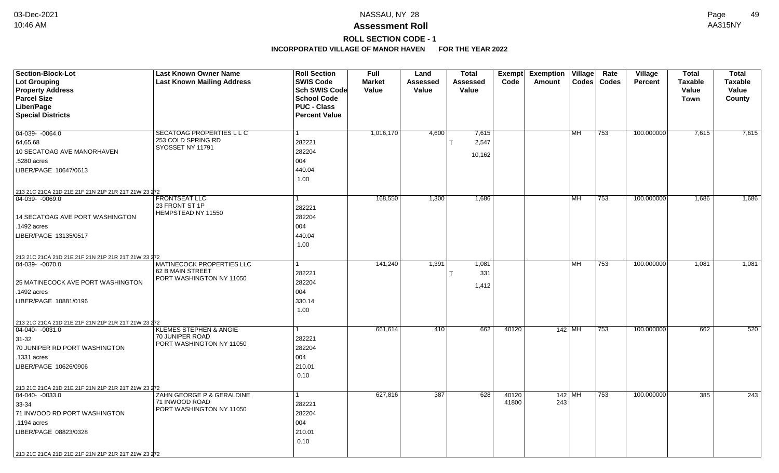**ROLL SECTION CODE - 1**

| <b>Section-Block-Lot</b><br><b>Lot Grouping</b><br><b>Property Address</b><br><b>Parcel Size</b><br>Liber/Page<br><b>Special Districts</b> | <b>Last Known Owner Name</b><br><b>Last Known Mailing Address</b> | <b>Roll Section</b><br><b>SWIS Code</b><br>Sch SWIS Code<br><b>School Code</b><br><b>PUC - Class</b><br><b>Percent Value</b> | <b>Full</b><br><b>Market</b><br>Value | Land<br>Assessed<br>Value | <b>Total</b><br>Assessed<br>Value | <b>Exempt</b><br>Code | <b>Exemption</b><br><b>Amount</b> | $\overline{\overline{\mathsf{V}}\mathsf{illage}}$<br><b>Codes</b> | Rate<br><b>Codes</b> | Village<br><b>Percent</b> | <b>Total</b><br><b>Taxable</b><br>Value<br><b>Town</b> | Total<br><b>Taxable</b><br>Value<br>County |
|--------------------------------------------------------------------------------------------------------------------------------------------|-------------------------------------------------------------------|------------------------------------------------------------------------------------------------------------------------------|---------------------------------------|---------------------------|-----------------------------------|-----------------------|-----------------------------------|-------------------------------------------------------------------|----------------------|---------------------------|--------------------------------------------------------|--------------------------------------------|
| $\boxed{04-039 - 0064.0}$                                                                                                                  | <b>SECATOAG PROPERTIES L L C</b>                                  | 1                                                                                                                            | 1,016,170                             | 4,600                     | 7,615                             |                       |                                   | l MH.                                                             | 753                  | 100.000000                | 7,615                                                  | 7,615                                      |
| 64,65,68                                                                                                                                   | 253 COLD SPRING RD                                                | 282221                                                                                                                       |                                       |                           | 2,547                             |                       |                                   |                                                                   |                      |                           |                                                        |                                            |
| 10 SECATOAG AVE MANORHAVEN                                                                                                                 | SYOSSET NY 11791                                                  | 282204                                                                                                                       |                                       |                           |                                   |                       |                                   |                                                                   |                      |                           |                                                        |                                            |
| .5280 acres                                                                                                                                |                                                                   | 004                                                                                                                          |                                       |                           | 10,162                            |                       |                                   |                                                                   |                      |                           |                                                        |                                            |
| LIBER/PAGE 10647/0613                                                                                                                      |                                                                   | 440.04                                                                                                                       |                                       |                           |                                   |                       |                                   |                                                                   |                      |                           |                                                        |                                            |
|                                                                                                                                            |                                                                   | 1.00                                                                                                                         |                                       |                           |                                   |                       |                                   |                                                                   |                      |                           |                                                        |                                            |
| 213 21C 21CA 21D 21E 21F 21N 21P 21R 21T 21W 23 272                                                                                        |                                                                   |                                                                                                                              |                                       |                           |                                   |                       |                                   |                                                                   |                      |                           |                                                        |                                            |
| $\boxed{04-039 - 0069.0}$                                                                                                                  | <b>FRONTSEAT LLC</b>                                              | 1                                                                                                                            | 168,550                               | 1,300                     | 1,686                             |                       |                                   | <b>MH</b>                                                         | 753                  | 100.000000                | 1,686                                                  | 1,686                                      |
|                                                                                                                                            | 23 FRONT ST 1P<br>HEMPSTEAD NY 11550                              | 282221                                                                                                                       |                                       |                           |                                   |                       |                                   |                                                                   |                      |                           |                                                        |                                            |
| 14 SECATOAG AVE PORT WASHINGTON                                                                                                            |                                                                   | 282204                                                                                                                       |                                       |                           |                                   |                       |                                   |                                                                   |                      |                           |                                                        |                                            |
| .1492 acres                                                                                                                                |                                                                   | 004                                                                                                                          |                                       |                           |                                   |                       |                                   |                                                                   |                      |                           |                                                        |                                            |
| LIBER/PAGE 13135/0517                                                                                                                      |                                                                   | 440.04                                                                                                                       |                                       |                           |                                   |                       |                                   |                                                                   |                      |                           |                                                        |                                            |
|                                                                                                                                            |                                                                   | 1.00                                                                                                                         |                                       |                           |                                   |                       |                                   |                                                                   |                      |                           |                                                        |                                            |
| 213 21C 21CA 21D 21E 21F 21N 21P 21R 21T 21W 23 272                                                                                        |                                                                   |                                                                                                                              |                                       |                           |                                   |                       |                                   |                                                                   |                      |                           |                                                        |                                            |
| 04-039-0070.0                                                                                                                              | <b>MATINECOCK PROPERTIES LLC</b><br>62 B MAIN STREET              |                                                                                                                              | 141,240                               | 1,391                     | 1,081                             |                       |                                   | MH.                                                               | 753                  | 100.000000                | 1,081                                                  | 1,081                                      |
|                                                                                                                                            | PORT WASHINGTON NY 11050                                          | 282221                                                                                                                       |                                       |                           | 331                               |                       |                                   |                                                                   |                      |                           |                                                        |                                            |
| 25 MATINECOCK AVE PORT WASHINGTON                                                                                                          |                                                                   | 282204                                                                                                                       |                                       |                           | 1,412                             |                       |                                   |                                                                   |                      |                           |                                                        |                                            |
| 1492 acres                                                                                                                                 |                                                                   | 004                                                                                                                          |                                       |                           |                                   |                       |                                   |                                                                   |                      |                           |                                                        |                                            |
| LIBER/PAGE 10881/0196                                                                                                                      |                                                                   | 330.14                                                                                                                       |                                       |                           |                                   |                       |                                   |                                                                   |                      |                           |                                                        |                                            |
|                                                                                                                                            |                                                                   | 1.00                                                                                                                         |                                       |                           |                                   |                       |                                   |                                                                   |                      |                           |                                                        |                                            |
| 213 21C 21CA 21D 21E 21F 21N 21P 21R 21T 21W 23 272                                                                                        |                                                                   |                                                                                                                              |                                       |                           |                                   |                       |                                   |                                                                   |                      |                           |                                                        |                                            |
| $ 04-040-0031.0$                                                                                                                           | <b>KLEMES STEPHEN &amp; ANGIE</b><br>70 JUNIPER ROAD              | 1                                                                                                                            | 661,614                               | 410                       | 662                               | 40120                 |                                   | $142$ MH                                                          | 753                  | 100.000000                | 662                                                    | 520                                        |
| $31-32$                                                                                                                                    | PORT WASHINGTON NY 11050                                          | 282221                                                                                                                       |                                       |                           |                                   |                       |                                   |                                                                   |                      |                           |                                                        |                                            |
| 70 JUNIPER RD PORT WASHINGTON                                                                                                              |                                                                   | 282204                                                                                                                       |                                       |                           |                                   |                       |                                   |                                                                   |                      |                           |                                                        |                                            |
| 1331 acres                                                                                                                                 |                                                                   | 004                                                                                                                          |                                       |                           |                                   |                       |                                   |                                                                   |                      |                           |                                                        |                                            |
| LIBER/PAGE 10626/0906                                                                                                                      |                                                                   | 210.01                                                                                                                       |                                       |                           |                                   |                       |                                   |                                                                   |                      |                           |                                                        |                                            |
|                                                                                                                                            |                                                                   | 0.10                                                                                                                         |                                       |                           |                                   |                       |                                   |                                                                   |                      |                           |                                                        |                                            |
| 213 21C 21CA 21D 21E 21F 21N 21P 21R 21T 21W 23 272                                                                                        |                                                                   |                                                                                                                              |                                       |                           |                                   |                       |                                   |                                                                   |                      |                           |                                                        |                                            |
| $\boxed{04-040 - 0033.0}$                                                                                                                  | ZAHN GEORGE P & GERALDINE                                         | 1                                                                                                                            | 627,816                               | 387                       | 628                               | 40120                 |                                   | $142$ MH                                                          | 753                  | 100.000000                | 385                                                    | 243                                        |
| 33-34                                                                                                                                      | 71 INWOOD ROAD<br>PORT WASHINGTON NY 11050                        | 282221                                                                                                                       |                                       |                           |                                   | 41800                 | 243                               |                                                                   |                      |                           |                                                        |                                            |
| 71 INWOOD RD PORT WASHINGTON                                                                                                               |                                                                   | 282204                                                                                                                       |                                       |                           |                                   |                       |                                   |                                                                   |                      |                           |                                                        |                                            |
| .1194 acres                                                                                                                                |                                                                   | 004                                                                                                                          |                                       |                           |                                   |                       |                                   |                                                                   |                      |                           |                                                        |                                            |
| LIBER/PAGE 08823/0328                                                                                                                      |                                                                   | 210.01                                                                                                                       |                                       |                           |                                   |                       |                                   |                                                                   |                      |                           |                                                        |                                            |
|                                                                                                                                            |                                                                   | 0.10                                                                                                                         |                                       |                           |                                   |                       |                                   |                                                                   |                      |                           |                                                        |                                            |
| 213 21C 21CA 21D 21E 21F 21N 21P 21R 21T 21W 23 272                                                                                        |                                                                   |                                                                                                                              |                                       |                           |                                   |                       |                                   |                                                                   |                      |                           |                                                        |                                            |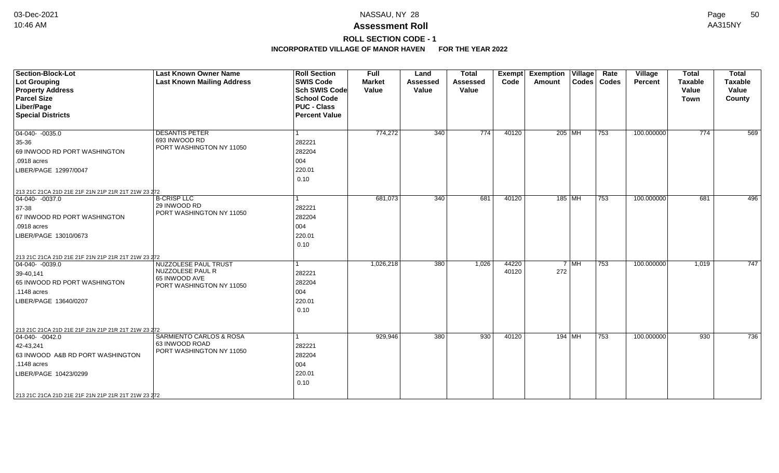**ROLL SECTION CODE - 1**

| <b>Section-Block-Lot</b>                                                 | <b>Last Known Owner Name</b>      | <b>Roll Section</b>  | <b>Full</b>   | Land            | <b>Total</b>    | <b>Exempt</b> | <b>Exemption Village</b> |        | Rate          | Village    | <b>Total</b> | <b>Total</b>   |
|--------------------------------------------------------------------------|-----------------------------------|----------------------|---------------|-----------------|-----------------|---------------|--------------------------|--------|---------------|------------|--------------|----------------|
| <b>Lot Grouping</b>                                                      | <b>Last Known Mailing Address</b> | <b>SWIS Code</b>     | <b>Market</b> | <b>Assessed</b> | <b>Assessed</b> | Code          | Amount                   |        | Codes   Codes | Percent    | Taxable      | <b>Taxable</b> |
| <b>Property Address</b>                                                  |                                   | <b>Sch SWIS Code</b> | Value         | Value           | Value           |               |                          |        |               |            | Value        | Value          |
| <b>Parcel Size</b>                                                       |                                   | <b>School Code</b>   |               |                 |                 |               |                          |        |               |            | <b>Town</b>  | County         |
| Liber/Page                                                               |                                   | <b>PUC - Class</b>   |               |                 |                 |               |                          |        |               |            |              |                |
| <b>Special Districts</b>                                                 |                                   | <b>Percent Value</b> |               |                 |                 |               |                          |        |               |            |              |                |
| $\boxed{04-040 - 0035.0}$                                                | <b>DESANTIS PETER</b>             |                      | 774,272       | 340             | 774             | 40120         | 205 MH                   |        | $ 753\rangle$ | 100.000000 | 774          | 569            |
| 35-36                                                                    | 693 INWOOD RD                     | 282221               |               |                 |                 |               |                          |        |               |            |              |                |
| 69 INWOOD RD PORT WASHINGTON                                             | PORT WASHINGTON NY 11050          | 282204               |               |                 |                 |               |                          |        |               |            |              |                |
| .0918 acres                                                              |                                   | 004                  |               |                 |                 |               |                          |        |               |            |              |                |
| LIBER/PAGE 12997/0047                                                    |                                   | 220.01               |               |                 |                 |               |                          |        |               |            |              |                |
|                                                                          |                                   | 0.10                 |               |                 |                 |               |                          |        |               |            |              |                |
| 213 21C 21CA 21D 21E 21F 21N 21P 21R 21T 21W 23 272                      |                                   |                      |               |                 |                 |               |                          |        |               |            |              |                |
| $04-040 - 0037.0$                                                        | <b>B-CRISP LLC</b>                |                      | 681,073       | 340             | 681             | 40120         | 185 MH                   |        | $ 753\rangle$ | 100.000000 | 681          | 496            |
| 37-38                                                                    | 29 INWOOD RD                      | 282221               |               |                 |                 |               |                          |        |               |            |              |                |
| 67 INWOOD RD PORT WASHINGTON                                             | PORT WASHINGTON NY 11050          | 282204               |               |                 |                 |               |                          |        |               |            |              |                |
| .0918 acres                                                              |                                   | 004                  |               |                 |                 |               |                          |        |               |            |              |                |
| LIBER/PAGE 13010/0673                                                    |                                   | 220.01               |               |                 |                 |               |                          |        |               |            |              |                |
|                                                                          |                                   | 0.10                 |               |                 |                 |               |                          |        |               |            |              |                |
| 213 21C 21CA 21D 21E 21F 21N 21P 21R 21T 21W 23 272                      |                                   |                      |               |                 |                 |               |                          |        |               |            |              |                |
| 04-040- -0039.0                                                          | <b>NUZZOLESE PAUL TRUST</b>       |                      | 1,026,218     | 380             | 1,026           | 44220         |                          | $7$ MH | 753           | 100.000000 | 1,019        | 747            |
| 39-40,141                                                                | NUZZOLESE PAUL R<br>65 INWOOD AVE | 282221               |               |                 |                 | 40120         | 272                      |        |               |            |              |                |
| 65 INWOOD RD PORT WASHINGTON                                             | PORT WASHINGTON NY 11050          | 282204               |               |                 |                 |               |                          |        |               |            |              |                |
| .1148 acres                                                              |                                   | 004                  |               |                 |                 |               |                          |        |               |            |              |                |
| LIBER/PAGE 13640/0207                                                    |                                   | 220.01               |               |                 |                 |               |                          |        |               |            |              |                |
|                                                                          |                                   | 0.10                 |               |                 |                 |               |                          |        |               |            |              |                |
|                                                                          |                                   |                      |               |                 |                 |               |                          |        |               |            |              |                |
| 213 21C 21CA 21D 21E 21F 21N 21P 21R 21T 21W 23 272<br>$04-040 - 0042.0$ | SARMIENTO CARLOS & ROSA           |                      | 929,946       | 380             | 930             | 40120         | 194 MH                   |        | 753           | 100.000000 | 930          | 736            |
|                                                                          | 63 INWOOD ROAD                    |                      |               |                 |                 |               |                          |        |               |            |              |                |
| 42-43,241                                                                | PORT WASHINGTON NY 11050          | 282221               |               |                 |                 |               |                          |        |               |            |              |                |
| 63 INWOOD A&B RD PORT WASHINGTON                                         |                                   | 282204               |               |                 |                 |               |                          |        |               |            |              |                |
| .1148 acres                                                              |                                   | 004                  |               |                 |                 |               |                          |        |               |            |              |                |
| LIBER/PAGE 10423/0299                                                    |                                   | 220.01               |               |                 |                 |               |                          |        |               |            |              |                |
|                                                                          |                                   | 0.10                 |               |                 |                 |               |                          |        |               |            |              |                |
| 213 21C 21CA 21D 21E 21F 21N 21P 21R 21T 21W 23 272                      |                                   |                      |               |                 |                 |               |                          |        |               |            |              |                |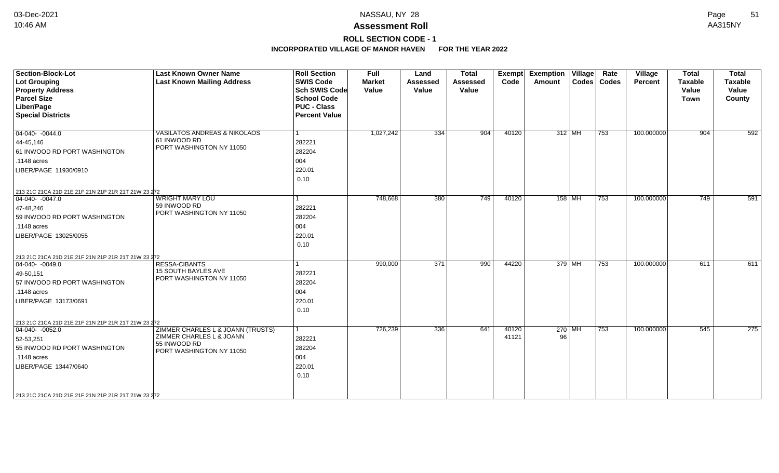## **Assessment Roll** 10:46 AM AA315NY

# **ROLL SECTION CODE - 1**

| <b>Section-Block-Lot</b><br>Lot Grouping<br><b>Property Address</b><br><b>Parcel Size</b><br>Liber/Page<br><b>Special Districts</b>                                                                                     | <b>Last Known Owner Name</b><br><b>Last Known Mailing Address</b>                                         | <b>Roll Section</b><br><b>SWIS Code</b><br><b>Sch SWIS Code</b><br><b>School Code</b><br><b>PUC - Class</b><br><b>Percent Value</b> | Full<br><b>Market</b><br>Value | Land<br><b>Assessed</b><br>Value | <b>Total</b><br><b>Assessed</b><br>Value | Exempt<br>Code | <b>Exemption Village</b><br>Amount |          | Rate<br>Codes   Codes | Village<br>Percent | <b>Total</b><br><b>Taxable</b><br>Value<br><b>Town</b> | <b>Total</b><br><b>Taxable</b><br>Value<br>County |
|-------------------------------------------------------------------------------------------------------------------------------------------------------------------------------------------------------------------------|-----------------------------------------------------------------------------------------------------------|-------------------------------------------------------------------------------------------------------------------------------------|--------------------------------|----------------------------------|------------------------------------------|----------------|------------------------------------|----------|-----------------------|--------------------|--------------------------------------------------------|---------------------------------------------------|
| $\boxed{04-040 - 0044.0}$<br>$ 44 - 45, 146$<br>61 INWOOD RD PORT WASHINGTON<br>.1148 acres<br>LIBER/PAGE 11930/0910                                                                                                    | VASILATOS ANDREAS & NIKOLAOS<br>61 INWOOD RD<br>PORT WASHINGTON NY 11050                                  | 282221<br>282204<br>004<br>220.01<br>0.10                                                                                           | 1,027,242                      | 334                              | 904                                      | 40120          |                                    | 312 MH   | 753                   | 100.000000         | 904                                                    | 592                                               |
| 213 21C 21CA 21D 21E 21F 21N 21P 21R 21T 21W 23 272<br>$\boxed{04-040 - 0047.0}$<br>47-48,246<br>59 INWOOD RD PORT WASHINGTON<br>.1148 acres<br>LIBER/PAGE 13025/0055                                                   | <b>WRIGHT MARY LOU</b><br>59 INWOOD RD<br>PORT WASHINGTON NY 11050                                        | 282221<br>282204<br>004<br>220.01<br>0.10                                                                                           | 748,668                        | 380                              | 749                                      | 40120          |                                    | $158$ MH | 753                   | 100.000000         | 749                                                    | 591                                               |
| 213 21C 21CA 21D 21E 21F 21N 21P 21R 21T 21W 23 272<br>$ 04-040-0049.0$<br>$ 49-50,151 $<br>57 INWOOD RD PORT WASHINGTON<br>.1148 acres<br>LIBER/PAGE 13173/0691<br>213 21C 21CA 21D 21E 21F 21N 21P 21R 21T 21W 23 272 | <b>RESSA-CIBANTS</b><br>15 SOUTH BAYLES AVE<br>PORT WASHINGTON NY 11050                                   | 282221<br>282204<br>004<br>220.01<br>0.10                                                                                           | 990,000                        | 371                              | 990                                      | 44220          | 379 MH                             |          | 753                   | 100.000000         | 611                                                    | 611                                               |
| $ 04-040-0052.0$<br>52-53,251<br>55 INWOOD RD PORT WASHINGTON<br>.1148 acres<br>LIBER/PAGE 13447/0640<br>213 21C 21CA 21D 21E 21F 21N 21P 21R 21T 21W 23 272                                                            | ZIMMER CHARLES L & JOANN (TRUSTS)<br>ZIMMER CHARLES L & JOANN<br>55 INWOOD RD<br>PORT WASHINGTON NY 11050 | 282221<br>282204<br>004<br>220.01<br>0.10                                                                                           | 726,239                        | 336                              | 641                                      | 40120<br>41121 | 96                                 | $270$ MH | 753                   | 100.000000         | 545                                                    | 275                                               |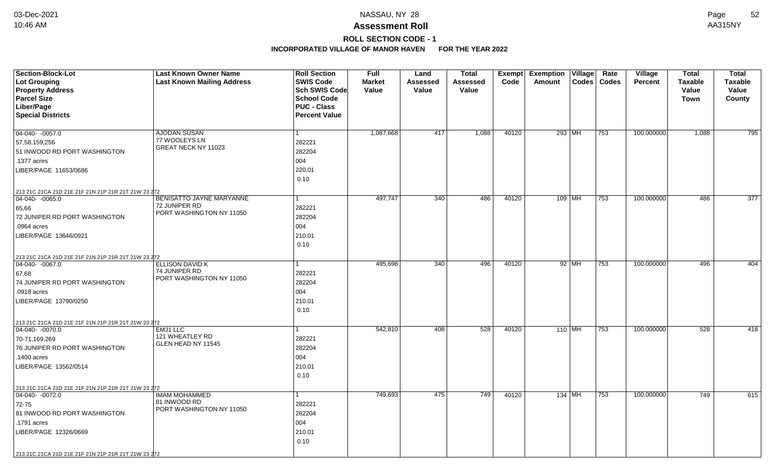# **ROLL SECTION CODE - 1**

| <b>Section-Block-Lot</b>                            | <b>Last Known Owner Name</b>             | <b>Roll Section</b>  | <b>Full</b>   | Land            | Total           | Exempt | <b>Exemption</b> | $\overline{\overline{\mathsf{V}}\mathsf{illage}}$ | Rate         | Village        | <b>Total</b>   | <b>Total</b>     |
|-----------------------------------------------------|------------------------------------------|----------------------|---------------|-----------------|-----------------|--------|------------------|---------------------------------------------------|--------------|----------------|----------------|------------------|
| Lot Grouping                                        | <b>Last Known Mailing Address</b>        | <b>SWIS Code</b>     | <b>Market</b> | <b>Assessed</b> | <b>Assessed</b> | Code   | Amount           | <b>Codes</b>                                      | <b>Codes</b> | <b>Percent</b> | <b>Taxable</b> | <b>Taxable</b>   |
| <b>Property Address</b>                             |                                          | Sch SWIS Code        | Value         | Value           | Value           |        |                  |                                                   |              |                | Value          | Value            |
| <b>Parcel Size</b>                                  |                                          | School Code          |               |                 |                 |        |                  |                                                   |              |                | Town           | County           |
| Liber/Page                                          |                                          | <b>PUC - Class</b>   |               |                 |                 |        |                  |                                                   |              |                |                |                  |
| <b>Special Districts</b>                            |                                          | <b>Percent Value</b> |               |                 |                 |        |                  |                                                   |              |                |                |                  |
| 04-040- -0057.0                                     | AJODAN SUSAN                             | $\overline{1}$       | 1,087,668     | 417             | 1,088           | 40120  |                  | 293 MH                                            | 753          | 100.000000     | 1,088          | 795              |
| 57,58,159,256                                       | 77 WOOLEYS LN                            | 282221               |               |                 |                 |        |                  |                                                   |              |                |                |                  |
| 51 INWOOD RD PORT WASHINGTON                        | GREAT NECK NY 11023                      | 282204               |               |                 |                 |        |                  |                                                   |              |                |                |                  |
| .1377 acres                                         |                                          | 004                  |               |                 |                 |        |                  |                                                   |              |                |                |                  |
| LIBER/PAGE 11653/0686                               |                                          | 220.01               |               |                 |                 |        |                  |                                                   |              |                |                |                  |
|                                                     |                                          | 0.10                 |               |                 |                 |        |                  |                                                   |              |                |                |                  |
| 213 21C 21CA 21D 21E 21F 21N 21P 21R 21T 21W 23 272 |                                          |                      |               |                 |                 |        |                  |                                                   |              |                |                |                  |
| $\boxed{04-040 - 0065.0}$                           | <b>BENISATTO JAYNE MARYANNE</b>          | $\overline{1}$       | 497,747       | 340             | 486             | 40120  |                  | $109$ MH                                          | 753          | 100.000000     | 486            | $\overline{377}$ |
| 65,66                                               | 72 JUNIPER RD                            | 282221               |               |                 |                 |        |                  |                                                   |              |                |                |                  |
| 72 JUNIPER RD PORT WASHINGTON                       | PORT WASHINGTON NY 11050                 | 282204               |               |                 |                 |        |                  |                                                   |              |                |                |                  |
| .0964 acres                                         |                                          | 004                  |               |                 |                 |        |                  |                                                   |              |                |                |                  |
| LIBER/PAGE 13646/0921                               |                                          | 210.01               |               |                 |                 |        |                  |                                                   |              |                |                |                  |
|                                                     |                                          | 0.10                 |               |                 |                 |        |                  |                                                   |              |                |                |                  |
| 213 21C 21CA 21D 21E 21F 21N 21P 21R 21T 21W 23 272 |                                          |                      |               |                 |                 |        |                  |                                                   |              |                |                |                  |
| $\boxed{04-040 - 0067.0}$                           | <b>ELLISON DAVID K</b><br>74 JUNIPER RD  |                      | 495,698       | 340             | 496             | 40120  |                  | 92 MH                                             | 753          | 100.000000     | 496            | 404              |
| 67,68                                               | PORT WASHINGTON NY 11050                 | 282221               |               |                 |                 |        |                  |                                                   |              |                |                |                  |
| 74 JUNIPER RD PORT WASHINGTON                       |                                          | 282204               |               |                 |                 |        |                  |                                                   |              |                |                |                  |
| .0918 acres                                         |                                          | 004                  |               |                 |                 |        |                  |                                                   |              |                |                |                  |
| LIBER/PAGE 13790/0250                               |                                          | 210.01               |               |                 |                 |        |                  |                                                   |              |                |                |                  |
|                                                     |                                          | 0.10                 |               |                 |                 |        |                  |                                                   |              |                |                |                  |
| 213 21C 21CA 21D 21E 21F 21N 21P 21R 21T 21W 23 272 |                                          |                      |               |                 |                 |        |                  |                                                   |              |                |                |                  |
| 04-040- -0070.0                                     | EMJ1 LLC                                 | $\mathbf{1}$         | 542,810       | 408             | 528             | 40120  | 110 MH           |                                                   | 753          | 100.000000     | 528            | 418              |
| 70-71,169,269                                       | 121 WHEATLEY RD<br>GLEN HEAD NY 11545    | 282221               |               |                 |                 |        |                  |                                                   |              |                |                |                  |
| 76 JUNIPER RD PORT WASHINGTON                       |                                          | 282204               |               |                 |                 |        |                  |                                                   |              |                |                |                  |
| .1400 acres                                         |                                          | 004                  |               |                 |                 |        |                  |                                                   |              |                |                |                  |
| LIBER/PAGE 13562/0514                               |                                          | 210.01               |               |                 |                 |        |                  |                                                   |              |                |                |                  |
|                                                     |                                          | 0.10                 |               |                 |                 |        |                  |                                                   |              |                |                |                  |
| 213 21C 21CA 21D 21E 21F 21N 21P 21R 21T 21W 23 272 |                                          |                      |               |                 |                 |        |                  |                                                   |              |                |                |                  |
| 04-040- -0072.0                                     | <b>IMAM MOHAMMED</b>                     | $\mathbf{1}$         | 749,693       | 475             | 749             | 40120  |                  | 134 MH                                            | 753          | 100.000000     | 749            | 615              |
| 72-75                                               | 81 INWOOD RD<br>PORT WASHINGTON NY 11050 | 282221               |               |                 |                 |        |                  |                                                   |              |                |                |                  |
| 81 INWOOD RD PORT WASHINGTON                        |                                          | 282204               |               |                 |                 |        |                  |                                                   |              |                |                |                  |
| .1791 acres                                         |                                          | 004                  |               |                 |                 |        |                  |                                                   |              |                |                |                  |
| LIBER/PAGE 12326/0669                               |                                          | 210.01               |               |                 |                 |        |                  |                                                   |              |                |                |                  |
|                                                     |                                          | 0.10                 |               |                 |                 |        |                  |                                                   |              |                |                |                  |
| 213 21C 21CA 21D 21E 21F 21N 21P 21R 21T 21W 23 272 |                                          |                      |               |                 |                 |        |                  |                                                   |              |                |                |                  |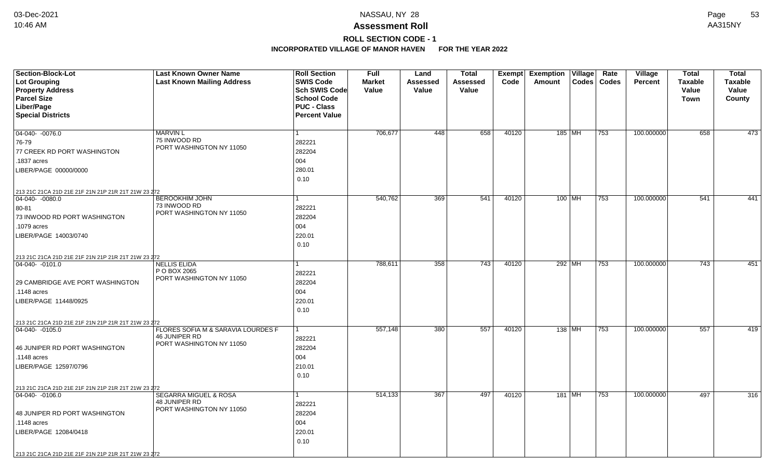# **ROLL SECTION CODE - 1**

| Section-Block-Lot                                   | <b>Last Known Owner Name</b>                               | <b>Roll Section</b>                        | <b>Full</b>   | Land            | <b>Total</b>    | Exempt | <b>Exemption Village</b> |        | Rate          | <b>Village</b> | <b>Total</b>   | <b>Total</b>   |
|-----------------------------------------------------|------------------------------------------------------------|--------------------------------------------|---------------|-----------------|-----------------|--------|--------------------------|--------|---------------|----------------|----------------|----------------|
| Lot Grouping                                        | <b>Last Known Mailing Address</b>                          | <b>SWIS Code</b>                           | <b>Market</b> | <b>Assessed</b> | <b>Assessed</b> | Code   | Amount                   |        | Codes   Codes | Percent        | <b>Taxable</b> | <b>Taxable</b> |
| <b>Property Address</b>                             |                                                            | Sch SWIS Code                              | Value         | Value           | Value           |        |                          |        |               |                | Value          | Value          |
| <b>Parcel Size</b>                                  |                                                            | <b>School Code</b>                         |               |                 |                 |        |                          |        |               |                | Town           | County         |
| Liber/Page<br><b>Special Districts</b>              |                                                            | <b>PUC - Class</b><br><b>Percent Value</b> |               |                 |                 |        |                          |        |               |                |                |                |
|                                                     |                                                            |                                            |               |                 |                 |        |                          |        |               |                |                |                |
| 04-040- -0076.0                                     | <b>MARVIN L</b>                                            | 1                                          | 706,677       | 448             | 658             | 40120  | 185 MH                   |        | 753           | 100.000000     | 658            | 473            |
| 76-79                                               | 75 INWOOD RD                                               | 282221                                     |               |                 |                 |        |                          |        |               |                |                |                |
| 77 CREEK RD PORT WASHINGTON                         | PORT WASHINGTON NY 11050                                   | 282204                                     |               |                 |                 |        |                          |        |               |                |                |                |
| .1837 acres                                         |                                                            | 004                                        |               |                 |                 |        |                          |        |               |                |                |                |
| LIBER/PAGE 00000/0000                               |                                                            | 280.01                                     |               |                 |                 |        |                          |        |               |                |                |                |
|                                                     |                                                            | 0.10                                       |               |                 |                 |        |                          |        |               |                |                |                |
| 213 21C 21CA 21D 21E 21F 21N 21P 21R 21T 21W 23 272 |                                                            |                                            |               |                 |                 |        |                          |        |               |                |                |                |
| $ 04-040-0080.0$                                    | <b>BEROOKHIM JOHN</b>                                      | $\overline{1}$                             | 540,762       | 369             | 541             | 40120  | $100$ MH                 |        | 753           | 100.000000     | 541            | 441            |
| 80-81                                               | 73 INWOOD RD                                               | 282221                                     |               |                 |                 |        |                          |        |               |                |                |                |
| 73 INWOOD RD PORT WASHINGTON                        | PORT WASHINGTON NY 11050                                   | 282204                                     |               |                 |                 |        |                          |        |               |                |                |                |
| .1079 acres                                         |                                                            | 004                                        |               |                 |                 |        |                          |        |               |                |                |                |
| LIBER/PAGE 14003/0740                               |                                                            | 220.01                                     |               |                 |                 |        |                          |        |               |                |                |                |
|                                                     |                                                            | 0.10                                       |               |                 |                 |        |                          |        |               |                |                |                |
| 213 21C 21CA 21D 21E 21F 21N 21P 21R 21T 21W 23 272 |                                                            |                                            |               |                 |                 |        |                          |        |               |                |                |                |
| $ 04-040-0101.0$                                    | <b>NELLIS ELIDA</b>                                        | 1                                          | 788,611       | 358             | 743             | 40120  |                          | 292 MH | 753           | 100.000000     | 743            | 451            |
|                                                     | P O BOX 2065<br>PORT WASHINGTON NY 11050                   | 282221                                     |               |                 |                 |        |                          |        |               |                |                |                |
| 29 CAMBRIDGE AVE PORT WASHINGTON                    |                                                            | 282204                                     |               |                 |                 |        |                          |        |               |                |                |                |
| .1148 acres                                         |                                                            | 004                                        |               |                 |                 |        |                          |        |               |                |                |                |
| LIBER/PAGE 11448/0925                               |                                                            | 220.01                                     |               |                 |                 |        |                          |        |               |                |                |                |
|                                                     |                                                            | 0.10                                       |               |                 |                 |        |                          |        |               |                |                |                |
| 213 21C 21CA 21D 21E 21F 21N 21P 21R 21T 21W 23 272 |                                                            |                                            |               |                 |                 |        |                          |        |               |                |                |                |
| $ 04-040-0105.0$                                    | FLORES SOFIA M & SARAVIA LOURDES F<br><b>46 JUNIPER RD</b> | 1                                          | 557,148       | 380             | 557             | 40120  |                          | 138 MH | 753           | 100.000000     | 557            | 419            |
|                                                     | PORT WASHINGTON NY 11050                                   | 282221                                     |               |                 |                 |        |                          |        |               |                |                |                |
| 46 JUNIPER RD PORT WASHINGTON                       |                                                            | 282204                                     |               |                 |                 |        |                          |        |               |                |                |                |
| .1148 acres                                         |                                                            | 004                                        |               |                 |                 |        |                          |        |               |                |                |                |
| LIBER/PAGE 12597/0796                               |                                                            | 210.01                                     |               |                 |                 |        |                          |        |               |                |                |                |
|                                                     |                                                            | 0.10                                       |               |                 |                 |        |                          |        |               |                |                |                |
| 213 21C 21CA 21D 21E 21F 21N 21P 21R 21T 21W 23 272 |                                                            |                                            |               |                 |                 |        |                          |        |               |                |                |                |
| 04-040- -0106.0                                     | SEGARRA MIGUEL & ROSA<br>48 JUNIPER RD                     | $\vert$ 1                                  | 514,133       | 367             | 497             | 40120  | 181 MH                   |        | 753           | 100.000000     | 497            | 316            |
|                                                     | PORT WASHINGTON NY 11050                                   | 282221                                     |               |                 |                 |        |                          |        |               |                |                |                |
| 48 JUNIPER RD PORT WASHINGTON                       |                                                            | 282204                                     |               |                 |                 |        |                          |        |               |                |                |                |
| .1148 acres                                         |                                                            | 004                                        |               |                 |                 |        |                          |        |               |                |                |                |
| LIBER/PAGE 12084/0418                               |                                                            | 220.01                                     |               |                 |                 |        |                          |        |               |                |                |                |
|                                                     |                                                            | 0.10                                       |               |                 |                 |        |                          |        |               |                |                |                |
| 213 21C 21CA 21D 21E 21F 21N 21P 21R 21T 21W 23 272 |                                                            |                                            |               |                 |                 |        |                          |        |               |                |                |                |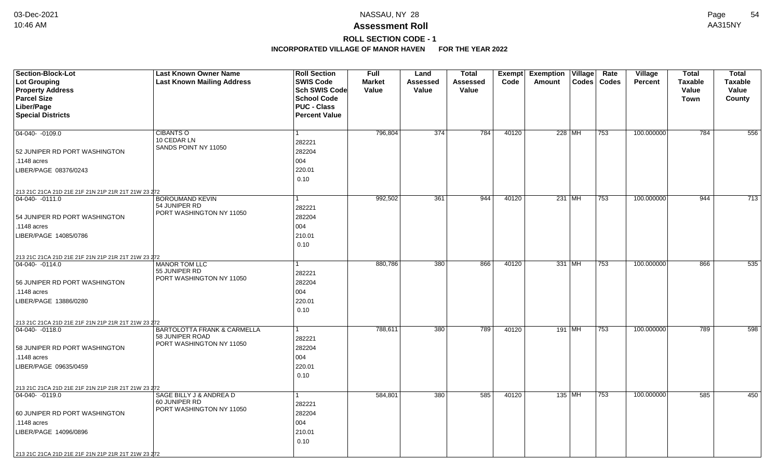**ROLL SECTION CODE - 1**

| <b>Section-Block-Lot</b>                                               | <b>Last Known Owner Name</b>                | <b>Roll Section</b>  | <b>Full</b>   | Land            | <b>Total</b> | Exempt | <b>Exemption Village</b>   | Rate<br>Village                | <b>Total</b>   | <b>Total</b>     |
|------------------------------------------------------------------------|---------------------------------------------|----------------------|---------------|-----------------|--------------|--------|----------------------------|--------------------------------|----------------|------------------|
| <b>Lot Grouping</b>                                                    | <b>Last Known Mailing Address</b>           | <b>SWIS Code</b>     | <b>Market</b> | <b>Assessed</b> | Assessed     | Code   | Amount<br>$\textsf{Codes}$ | <b>Codes</b><br><b>Percent</b> | <b>Taxable</b> | <b>Taxable</b>   |
| <b>Property Address</b>                                                |                                             | <b>Sch SWIS Code</b> | Value         | Value           | Value        |        |                            |                                | Value          | Value            |
| <b>Parcel Size</b>                                                     |                                             | <b>School Code</b>   |               |                 |              |        |                            |                                | <b>Town</b>    | County           |
| Liber/Page                                                             |                                             | <b>PUC - Class</b>   |               |                 |              |        |                            |                                |                |                  |
| <b>Special Districts</b>                                               |                                             | <b>Percent Value</b> |               |                 |              |        |                            |                                |                |                  |
|                                                                        |                                             |                      |               |                 |              |        |                            |                                |                |                  |
| 04-040- -0109.0                                                        | <b>CIBANTS O</b>                            | 1                    | 796,804       | 374             | 784          | 40120  | 228 MH                     | 100.000000<br>753              | 784            | 556              |
|                                                                        | 10 CEDAR LN                                 | 282221               |               |                 |              |        |                            |                                |                |                  |
| 52 JUNIPER RD PORT WASHINGTON                                          | SANDS POINT NY 11050                        | 282204               |               |                 |              |        |                            |                                |                |                  |
| .1148 acres                                                            |                                             | 004                  |               |                 |              |        |                            |                                |                |                  |
| LIBER/PAGE 08376/0243                                                  |                                             | 220.01               |               |                 |              |        |                            |                                |                |                  |
|                                                                        |                                             | 0.10                 |               |                 |              |        |                            |                                |                |                  |
| 213 21C 21CA 21D 21E 21F 21N 21P 21R 21T 21W 23 272                    |                                             |                      |               |                 |              |        |                            |                                |                |                  |
| 04-040- -0111.0                                                        | <b>BOROUMAND KEVIN</b>                      |                      | 992,502       | 361             | 944          | 40120  | 231 MH                     | 753<br>100.000000              | 944            | $\overline{713}$ |
|                                                                        | 54 JUNIPER RD                               | 282221               |               |                 |              |        |                            |                                |                |                  |
| 54 JUNIPER RD PORT WASHINGTON                                          | PORT WASHINGTON NY 11050                    | 282204               |               |                 |              |        |                            |                                |                |                  |
| .1148 acres                                                            |                                             | 004                  |               |                 |              |        |                            |                                |                |                  |
| LIBER/PAGE 14085/0786                                                  |                                             | 210.01               |               |                 |              |        |                            |                                |                |                  |
|                                                                        |                                             | 0.10                 |               |                 |              |        |                            |                                |                |                  |
|                                                                        |                                             |                      |               |                 |              |        |                            |                                |                |                  |
| 213 21C 21CA 21D 21E 21F 21N 21P 21R 21T 21W 23 272<br>04-040- -0114.0 | <b>MANOR TOM LLC</b>                        |                      | 880,786       | 380             | 866          | 40120  | 331 MH                     | 753<br>100.000000              | 866            | 535              |
|                                                                        | 55 JUNIPER RD                               | 282221               |               |                 |              |        |                            |                                |                |                  |
|                                                                        | PORT WASHINGTON NY 11050                    |                      |               |                 |              |        |                            |                                |                |                  |
| 56 JUNIPER RD PORT WASHINGTON                                          |                                             | 282204               |               |                 |              |        |                            |                                |                |                  |
| .1148 acres                                                            |                                             | 004                  |               |                 |              |        |                            |                                |                |                  |
| LIBER/PAGE 13886/0280                                                  |                                             | 220.01               |               |                 |              |        |                            |                                |                |                  |
|                                                                        |                                             | 0.10                 |               |                 |              |        |                            |                                |                |                  |
| 213 21C 21CA 21D 21E 21F 21N 21P 21R 21T 21W 23 272                    |                                             |                      |               |                 |              |        |                            |                                |                |                  |
| $ 04-040-0118.0$                                                       | <b>BARTOLOTTA FRANK &amp; CARMELLA</b>      | 1                    | 788,611       | 380             | 789          | 40120  | $191$ MH                   | 100.000000<br>753              | 789            | 598              |
|                                                                        | 58 JUNIPER ROAD<br>PORT WASHINGTON NY 11050 | 282221               |               |                 |              |        |                            |                                |                |                  |
| 58 JUNIPER RD PORT WASHINGTON                                          |                                             | 282204               |               |                 |              |        |                            |                                |                |                  |
| .1148 acres                                                            |                                             | 004                  |               |                 |              |        |                            |                                |                |                  |
| LIBER/PAGE 09635/0459                                                  |                                             | 220.01               |               |                 |              |        |                            |                                |                |                  |
|                                                                        |                                             | 0.10                 |               |                 |              |        |                            |                                |                |                  |
| 213 21C 21CA 21D 21E 21F 21N 21P 21R 21T 21W 23 272                    |                                             |                      |               |                 |              |        |                            |                                |                |                  |
| 04-040-0119.0                                                          | SAGE BILLY J & ANDREA D                     | 1                    | 584,801       | 380             | 585          | 40120  | 135 MH                     | 753<br>100.000000              | 585            | 450              |
|                                                                        | 60 JUNIPER RD                               | 282221               |               |                 |              |        |                            |                                |                |                  |
| 60 JUNIPER RD PORT WASHINGTON                                          | PORT WASHINGTON NY 11050                    | 282204               |               |                 |              |        |                            |                                |                |                  |
| .1148 acres                                                            |                                             | 004                  |               |                 |              |        |                            |                                |                |                  |
| LIBER/PAGE 14096/0896                                                  |                                             | 210.01               |               |                 |              |        |                            |                                |                |                  |
|                                                                        |                                             | 0.10                 |               |                 |              |        |                            |                                |                |                  |
| 213 21C 21CA 21D 21E 21F 21N 21P 21R 21T 21W 23 272                    |                                             |                      |               |                 |              |        |                            |                                |                |                  |
|                                                                        |                                             |                      |               |                 |              |        |                            |                                |                |                  |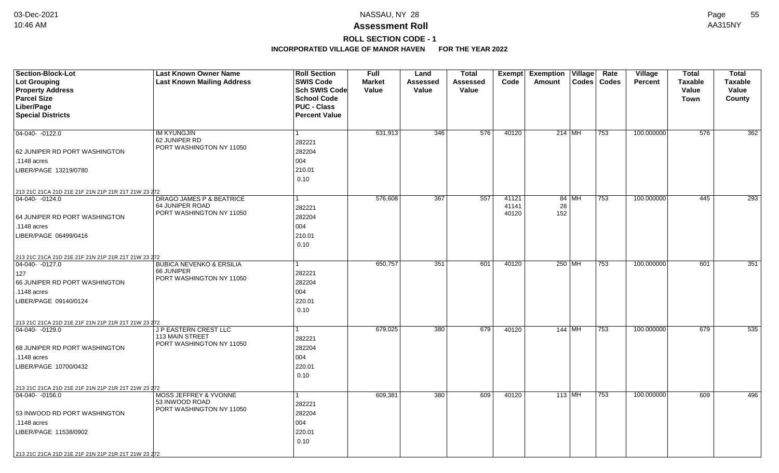# **ROLL SECTION CODE - 1**

| <b>Section-Block-Lot</b>                                                | <b>Last Known Owner Name</b>                   | <b>Roll Section</b>  | <b>Full</b>   | Land             | <b>Total</b> |       | Exempt Exemption Village |       | Rate          | Village        | <b>Total</b>   | <b>Total</b>   |
|-------------------------------------------------------------------------|------------------------------------------------|----------------------|---------------|------------------|--------------|-------|--------------------------|-------|---------------|----------------|----------------|----------------|
| <b>Lot Grouping</b>                                                     | <b>Last Known Mailing Address</b>              | <b>SWIS Code</b>     | <b>Market</b> | <b>Assessed</b>  | Assessed     | Code  | Amount                   |       | Codes   Codes | <b>Percent</b> | <b>Taxable</b> | <b>Taxable</b> |
| <b>Property Address</b>                                                 |                                                | Sch SWIS Code        | Value         | Value            | Value        |       |                          |       |               |                | Value          | Value          |
| <b>Parcel Size</b>                                                      |                                                | <b>School Code</b>   |               |                  |              |       |                          |       |               |                | <b>Town</b>    | County         |
| Liber/Page                                                              |                                                | <b>PUC - Class</b>   |               |                  |              |       |                          |       |               |                |                |                |
| <b>Special Districts</b>                                                |                                                | <b>Percent Value</b> |               |                  |              |       |                          |       |               |                |                |                |
|                                                                         |                                                |                      |               |                  |              |       |                          |       |               |                |                |                |
| 04-040- -0122.0                                                         | <b>IM KYUNGJIN</b>                             | 1                    | 631,913       | 346              | 576          | 40120 | 214   MH                 |       | 753           | 100.000000     | 576            | 362            |
|                                                                         | 62 JUNIPER RD                                  | 282221               |               |                  |              |       |                          |       |               |                |                |                |
| 62 JUNIPER RD PORT WASHINGTON                                           | PORT WASHINGTON NY 11050                       | 282204               |               |                  |              |       |                          |       |               |                |                |                |
| .1148 acres                                                             |                                                | 004                  |               |                  |              |       |                          |       |               |                |                |                |
| LIBER/PAGE 13219/0780                                                   |                                                | 210.01               |               |                  |              |       |                          |       |               |                |                |                |
|                                                                         |                                                | 0.10                 |               |                  |              |       |                          |       |               |                |                |                |
| 213 21C 21CA 21D 21E 21F 21N 21P 21R 21T 21W 23 272                     |                                                |                      |               |                  |              |       |                          |       |               |                |                |                |
| 04-040-0124.0                                                           | <b>DRAGO JAMES P &amp; BEATRICE</b>            |                      | 576,608       | $\overline{367}$ | 557          | 41121 |                          | 84 MH | 753           | 100.000000     | 445            | 293            |
|                                                                         | 64 JUNIPER ROAD                                | 282221               |               |                  |              | 41141 | 28                       |       |               |                |                |                |
| 64 JUNIPER RD PORT WASHINGTON                                           | PORT WASHINGTON NY 11050                       | 282204               |               |                  |              | 40120 | 152                      |       |               |                |                |                |
| .1148 acres                                                             |                                                | 004                  |               |                  |              |       |                          |       |               |                |                |                |
| LIBER/PAGE 06499/0416                                                   |                                                | 210.01               |               |                  |              |       |                          |       |               |                |                |                |
|                                                                         |                                                | 0.10                 |               |                  |              |       |                          |       |               |                |                |                |
|                                                                         |                                                |                      |               |                  |              |       |                          |       |               |                |                |                |
| 213 21C 21CA 21D 21E 21F 21N 21P 21R 21T 21W 23 272<br>$ 04-040-0127.0$ | <b>BUBICA NEVENKO &amp; ERSILIA</b>            |                      | 650,757       | 351              | 601          | 40120 | 250 MH                   |       | 753           | 100.000000     | 601            | 351            |
| 127                                                                     | 66 JUNIPER                                     | 282221               |               |                  |              |       |                          |       |               |                |                |                |
| 66 JUNIPER RD PORT WASHINGTON                                           | PORT WASHINGTON NY 11050                       | 282204               |               |                  |              |       |                          |       |               |                |                |                |
| .1148 acres                                                             |                                                | 004                  |               |                  |              |       |                          |       |               |                |                |                |
|                                                                         |                                                | 220.01               |               |                  |              |       |                          |       |               |                |                |                |
| LIBER/PAGE 09140/0124                                                   |                                                |                      |               |                  |              |       |                          |       |               |                |                |                |
|                                                                         |                                                | 0.10                 |               |                  |              |       |                          |       |               |                |                |                |
| 213 21C 21CA 21D 21E 21F 21N 21P 21R 21T 21W 23 272                     |                                                |                      |               |                  |              |       |                          |       |               |                |                |                |
| 04-040- -0129.0                                                         | <b>JP EASTERN CREST LLC</b><br>113 MAIN STREET | 1                    | 679,025       | 380              | 679          | 40120 | $144$ MH                 |       | 753           | 100.000000     | 679            | 535            |
|                                                                         | PORT WASHINGTON NY 11050                       | 282221               |               |                  |              |       |                          |       |               |                |                |                |
| 68 JUNIPER RD PORT WASHINGTON                                           |                                                | 282204               |               |                  |              |       |                          |       |               |                |                |                |
| .1148 acres                                                             |                                                | 004                  |               |                  |              |       |                          |       |               |                |                |                |
| LIBER/PAGE 10700/0432                                                   |                                                | 220.01               |               |                  |              |       |                          |       |               |                |                |                |
|                                                                         |                                                | 0.10                 |               |                  |              |       |                          |       |               |                |                |                |
| 213 21C 21CA 21D 21E 21F 21N 21P 21R 21T 21W 23 272                     |                                                |                      |               |                  |              |       |                          |       |               |                |                |                |
| 04-040- -0156.0                                                         | <b>MOSS JEFFREY &amp; YVONNE</b>               | 1                    | 609,381       | 380              | 609          | 40120 | 113 MH                   |       | 753           | 100.000000     | 609            | 496            |
|                                                                         | 53 INWOOD ROAD<br>PORT WASHINGTON NY 11050     | 282221               |               |                  |              |       |                          |       |               |                |                |                |
| 53 INWOOD RD PORT WASHINGTON                                            |                                                | 282204               |               |                  |              |       |                          |       |               |                |                |                |
| .1148 acres                                                             |                                                | 004                  |               |                  |              |       |                          |       |               |                |                |                |
| LIBER/PAGE 11538/0902                                                   |                                                | 220.01               |               |                  |              |       |                          |       |               |                |                |                |
|                                                                         |                                                | 0.10                 |               |                  |              |       |                          |       |               |                |                |                |
| 213 21C 21CA 21D 21E 21F 21N 21P 21R 21T 21W 23 272                     |                                                |                      |               |                  |              |       |                          |       |               |                |                |                |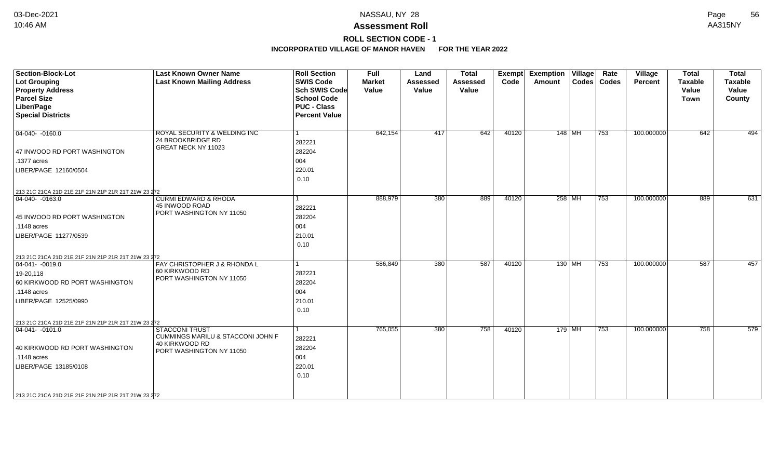## **Assessment Roll** 10:46 AM AA315NY

**ROLL SECTION CODE - 1**

| <b>Section-Block-Lot</b><br><b>Lot Grouping</b><br><b>Property Address</b><br><b>Parcel Size</b><br>Liber/Page<br><b>Special Districts</b>                                                                  | <b>Last Known Owner Name</b><br><b>Last Known Mailing Address</b>                                        | <b>Roll Section</b><br><b>SWIS Code</b><br><b>Sch SWIS Code</b><br><b>School Code</b><br><b>PUC - Class</b><br><b>Percent Value</b> | <b>Full</b><br><b>Market</b><br>Value | Land<br><b>Assessed</b><br>Value | <b>Total</b><br><b>Assessed</b><br>Value | Exempt<br>Code | <b>Exemption Village</b><br>Amount | Rate<br>Codes   Codes | Village<br>Percent | <b>Total</b><br><b>Taxable</b><br>Value<br><b>Town</b> | <b>Total</b><br><b>Taxable</b><br>Value<br>County |
|-------------------------------------------------------------------------------------------------------------------------------------------------------------------------------------------------------------|----------------------------------------------------------------------------------------------------------|-------------------------------------------------------------------------------------------------------------------------------------|---------------------------------------|----------------------------------|------------------------------------------|----------------|------------------------------------|-----------------------|--------------------|--------------------------------------------------------|---------------------------------------------------|
| $04-040-0160.0$<br>47 INWOOD RD PORT WASHINGTON<br>.1377 acres<br>LIBER/PAGE 12160/0504                                                                                                                     | ROYAL SECURITY & WELDING INC<br>24 BROOKBRIDGE RD<br>GREAT NECK NY 11023                                 | $\overline{1}$<br>282221<br>282204<br>004<br>220.01                                                                                 | 642,154                               | $\overline{417}$                 | 642                                      | 40120          | 148 MH                             | $ 753\rangle$         | 100.000000         | 642                                                    | 494                                               |
| 213 21C 21CA 21D 21E 21F 21N 21P 21R 21T 21W 23 272                                                                                                                                                         |                                                                                                          | 0.10                                                                                                                                |                                       |                                  |                                          |                |                                    |                       |                    |                                                        |                                                   |
| $ 04-040-0163.0$<br>45 INWOOD RD PORT WASHINGTON<br>$.1148$ acres<br>LIBER/PAGE 11277/0539                                                                                                                  | <b>CURMI EDWARD &amp; RHODA</b><br>45 INWOOD ROAD<br>PORT WASHINGTON NY 11050                            | 282221<br>282204<br>004<br>210.01<br>0.10                                                                                           | 888,979                               | 380                              | 889                                      | 40120          | 258 MH                             | $ 753\rangle$         | 100.000000         | 889                                                    | 631                                               |
| 213 21C 21CA 21D 21E 21F 21N 21P 21R 21T 21W 23 272<br>$\boxed{04-041 - 0019.0}$<br>19-20,118<br>60 KIRKWOOD RD PORT WASHINGTON<br>$\vert$ .1148 acres<br>LIBER/PAGE 12525/0990                             | FAY CHRISTOPHER J & RHONDA L<br>60 KIRKWOOD RD<br>PORT WASHINGTON NY 11050                               | $\overline{1}$<br>282221<br>282204<br>004<br>210.01<br>0.10                                                                         | 586,849                               | 380                              | 587                                      | 40120          | $130$ MH                           | $\overline{753}$      | 100.000000         | 587                                                    | 457                                               |
| 213 21C 21CA 21D 21E 21F 21N 21P 21R 21T 21W 23 272<br>$ 04-041- -0101.0 $<br>40 KIRKWOOD RD PORT WASHINGTON<br>.1148 acres<br>LIBER/PAGE 13185/0108<br>213 21C 21CA 21D 21E 21F 21N 21P 21R 21T 21W 23 272 | <b>STACCONI TRUST</b><br>CUMMINGS MARILU & STACCONI JOHN F<br>40 KIRKWOOD RD<br>PORT WASHINGTON NY 11050 | 282221<br>282204<br>004<br>220.01<br>0.10                                                                                           | 765,055                               | 380                              | 758                                      | 40120          | $179$ MH                           | 753                   | 100.000000         | 758                                                    | 579                                               |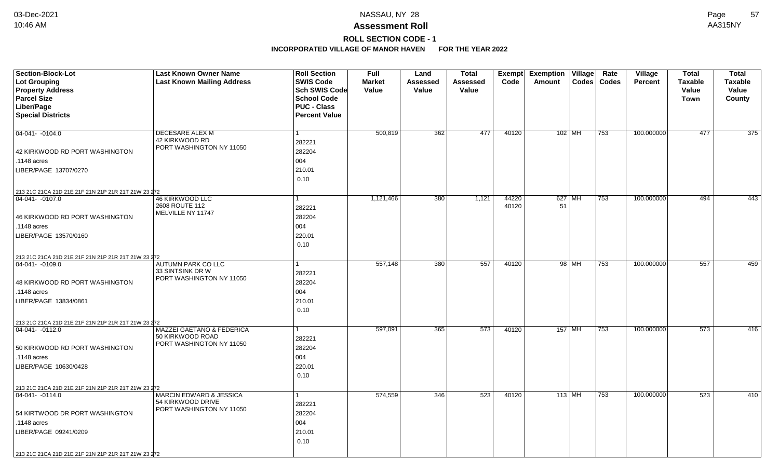# **ROLL SECTION CODE - 1**

| Section-Block-Lot                                   | <b>Last Known Owner Name</b>                  | <b>Roll Section</b>  | Full          | Land     | <b>Total</b> | <b>Exempt</b> | <b>Exemption Village</b> | Rate | Village        | <b>Total</b>   | <b>Total</b>     |
|-----------------------------------------------------|-----------------------------------------------|----------------------|---------------|----------|--------------|---------------|--------------------------|------|----------------|----------------|------------------|
| Lot Grouping                                        | <b>Last Known Mailing Address</b>             | <b>SWIS Code</b>     | <b>Market</b> | Assessed | Assessed     | Code          | Codes   Codes<br>Amount  |      | <b>Percent</b> | <b>Taxable</b> | <b>Taxable</b>   |
| <b>Property Address</b>                             |                                               | <b>Sch SWIS Code</b> | Value         | Value    | Value        |               |                          |      |                | Value          | Value            |
| <b>Parcel Size</b>                                  |                                               | <b>School Code</b>   |               |          |              |               |                          |      |                | Town           | County           |
| Liber/Page                                          |                                               | <b>PUC - Class</b>   |               |          |              |               |                          |      |                |                |                  |
| <b>Special Districts</b>                            |                                               | <b>Percent Value</b> |               |          |              |               |                          |      |                |                |                  |
|                                                     |                                               |                      | 500,819       | 362      | 477          | 40120         | $102$ MH                 | 753  | 100.000000     | 477            | $\overline{375}$ |
| 04-041- -0104.0                                     | DECESARE ALEX M<br>42 KIRKWOOD RD             |                      |               |          |              |               |                          |      |                |                |                  |
|                                                     | PORT WASHINGTON NY 11050                      | 282221               |               |          |              |               |                          |      |                |                |                  |
| 42 KIRKWOOD RD PORT WASHINGTON                      |                                               | 282204               |               |          |              |               |                          |      |                |                |                  |
| .1148 acres                                         |                                               | 004                  |               |          |              |               |                          |      |                |                |                  |
| LIBER/PAGE 13707/0270                               |                                               | 210.01               |               |          |              |               |                          |      |                |                |                  |
|                                                     |                                               | 0.10                 |               |          |              |               |                          |      |                |                |                  |
| 213 21C 21CA 21D 21E 21F 21N 21P 21R 21T 21W 23 272 |                                               |                      |               |          |              |               |                          |      |                |                |                  |
| 04-041- -0107.0                                     | <b>46 KIRKWOOD LLC</b><br>2608 ROUTE 112      |                      | 1,121,466     | 380      | 1,121        | 44220         | $627$ MH                 | 753  | 100.000000     | 494            | 443              |
|                                                     | MELVILLE NY 11747                             | 282221               |               |          |              | 40120         | 51                       |      |                |                |                  |
| 46 KIRKWOOD RD PORT WASHINGTON                      |                                               | 282204               |               |          |              |               |                          |      |                |                |                  |
| .1148 acres                                         |                                               | 004                  |               |          |              |               |                          |      |                |                |                  |
| LIBER/PAGE 13570/0160                               |                                               | 220.01               |               |          |              |               |                          |      |                |                |                  |
|                                                     |                                               | 0.10                 |               |          |              |               |                          |      |                |                |                  |
| 213 21C 21CA 21D 21E 21F 21N 21P 21R 21T 21W 23 272 |                                               |                      |               |          |              |               |                          |      |                |                |                  |
| 04-041- -0109.0                                     | <b>AUTUMN PARK CO LLC</b>                     |                      | 557,148       | 380      | 557          | 40120         | 98 MH                    | 753  | 100.000000     | 557            | 459              |
|                                                     | 33 SINTSINK DR W<br>PORT WASHINGTON NY 11050  | 282221               |               |          |              |               |                          |      |                |                |                  |
| 48 KIRKWOOD RD PORT WASHINGTON                      |                                               | 282204               |               |          |              |               |                          |      |                |                |                  |
| .1148 acres                                         |                                               | 004                  |               |          |              |               |                          |      |                |                |                  |
| LIBER/PAGE 13834/0861                               |                                               | 210.01               |               |          |              |               |                          |      |                |                |                  |
|                                                     |                                               | 0.10                 |               |          |              |               |                          |      |                |                |                  |
| 213 21C 21CA 21D 21E 21F 21N 21P 21R 21T 21W 23 272 |                                               |                      |               |          |              |               |                          |      |                |                |                  |
| $ 04-041- -0112.0$                                  | <b>MAZZEI GAETANO &amp; FEDERICA</b>          | 1                    | 597,091       | 365      | 573          | 40120         | 157 MH                   | 753  | 100.000000     | 573            | 416              |
|                                                     | 50 KIRKWOOD ROAD                              | 282221               |               |          |              |               |                          |      |                |                |                  |
| 50 KIRKWOOD RD PORT WASHINGTON                      | PORT WASHINGTON NY 11050                      | 282204               |               |          |              |               |                          |      |                |                |                  |
| .1148 acres                                         |                                               | 004                  |               |          |              |               |                          |      |                |                |                  |
| LIBER/PAGE 10630/0428                               |                                               | 220.01               |               |          |              |               |                          |      |                |                |                  |
|                                                     |                                               | 0.10                 |               |          |              |               |                          |      |                |                |                  |
| 213 21C 21CA 21D 21E 21F 21N 21P 21R 21T 21W 23 272 |                                               |                      |               |          |              |               |                          |      |                |                |                  |
| $ 04 - 041 - -0114.0$                               | <b>MARCIN EDWARD &amp; JESSICA</b>            | 1                    | 574,559       | 346      | 523          | 40120         | 113 MH                   | 753  | 100.000000     | 523            | 410              |
|                                                     | 54 KIRKWOOD DRIVE<br>PORT WASHINGTON NY 11050 | 282221               |               |          |              |               |                          |      |                |                |                  |
| 54 KIRTWOOD DR PORT WASHINGTON                      |                                               | 282204               |               |          |              |               |                          |      |                |                |                  |
| .1148 acres                                         |                                               | 004                  |               |          |              |               |                          |      |                |                |                  |
| LIBER/PAGE 09241/0209                               |                                               | 210.01               |               |          |              |               |                          |      |                |                |                  |
|                                                     |                                               | 0.10                 |               |          |              |               |                          |      |                |                |                  |
| 213 21C 21CA 21D 21E 21F 21N 21P 21R 21T 21W 23 272 |                                               |                      |               |          |              |               |                          |      |                |                |                  |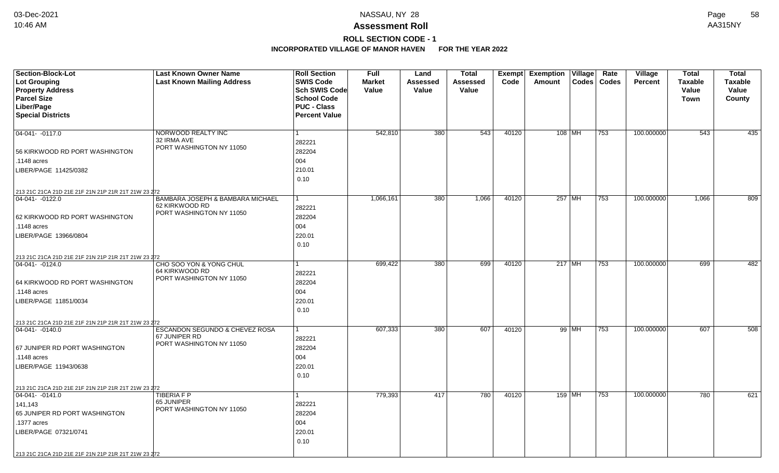## **Assessment Roll** 10:46 AM AA315NY

## **ROLL SECTION CODE - 1**

| Section-Block-Lot                                   | <b>Last Known Owner Name</b>                       | <b>Roll Section</b>  | <b>Full</b>   | Land     | <b>Total</b>     | Exempt | <b>Exemption Village</b> | Rate | Village        | <b>Total</b>   | <b>Total</b>   |
|-----------------------------------------------------|----------------------------------------------------|----------------------|---------------|----------|------------------|--------|--------------------------|------|----------------|----------------|----------------|
| <b>Lot Grouping</b>                                 | <b>Last Known Mailing Address</b>                  | <b>SWIS Code</b>     | <b>Market</b> | Assessed | Assessed         | Code   | Codes   Codes<br>Amount  |      | <b>Percent</b> | <b>Taxable</b> | <b>Taxable</b> |
| <b>Property Address</b>                             |                                                    | Sch SWIS Code        | Value         | Value    | Value            |        |                          |      |                | Value          | Value          |
| <b>Parcel Size</b>                                  |                                                    | <b>School Code</b>   |               |          |                  |        |                          |      |                | Town           | County         |
| Liber/Page                                          |                                                    | <b>PUC - Class</b>   |               |          |                  |        |                          |      |                |                |                |
| <b>Special Districts</b>                            |                                                    | <b>Percent Value</b> |               |          |                  |        |                          |      |                |                |                |
| 04-041- -0117.0                                     |                                                    | $\mathbf{1}$         | 542,810       | 380      | $\overline{543}$ | 40120  | 108 MH                   | 753  | 100.000000     | 543            | 435            |
|                                                     | NORWOOD REALTY INC<br>32 IRMA AVE                  |                      |               |          |                  |        |                          |      |                |                |                |
|                                                     | PORT WASHINGTON NY 11050                           | 282221               |               |          |                  |        |                          |      |                |                |                |
| 56 KIRKWOOD RD PORT WASHINGTON                      |                                                    | 282204               |               |          |                  |        |                          |      |                |                |                |
| .1148 acres                                         |                                                    | 004                  |               |          |                  |        |                          |      |                |                |                |
| LIBER/PAGE 11425/0382                               |                                                    | 210.01               |               |          |                  |        |                          |      |                |                |                |
|                                                     |                                                    | 0.10                 |               |          |                  |        |                          |      |                |                |                |
| 213 21C 21CA 21D 21E 21F 21N 21P 21R 21T 21W 23 272 |                                                    |                      |               |          |                  |        |                          |      |                |                |                |
| 04-041- -0122.0                                     | BAMBARA JOSEPH & BAMBARA MICHAEL<br>62 KIRKWOOD RD | 1                    | 1,066,161     | 380      | 1,066            | 40120  | 257 MH                   | 753  | 100.000000     | 1,066          | 809            |
|                                                     | PORT WASHINGTON NY 11050                           | 282221               |               |          |                  |        |                          |      |                |                |                |
| 62 KIRKWOOD RD PORT WASHINGTON                      |                                                    | 282204               |               |          |                  |        |                          |      |                |                |                |
| .1148 acres                                         |                                                    | 004                  |               |          |                  |        |                          |      |                |                |                |
| LIBER/PAGE 13966/0804                               |                                                    | 220.01               |               |          |                  |        |                          |      |                |                |                |
|                                                     |                                                    | 0.10                 |               |          |                  |        |                          |      |                |                |                |
| 213 21C 21CA 21D 21E 21F 21N 21P 21R 21T 21W 23 272 |                                                    |                      |               |          |                  |        |                          |      |                |                |                |
| $ 04-041- -0124.0$                                  | CHO SOO YON & YONG CHUL                            | 1                    | 699,422       | 380      | 699              | 40120  | $217$ MH                 | 753  | 100.000000     | 699            | 482            |
|                                                     | 64 KIRKWOOD RD<br>PORT WASHINGTON NY 11050         | 282221               |               |          |                  |        |                          |      |                |                |                |
| 64 KIRKWOOD RD PORT WASHINGTON                      |                                                    | 282204               |               |          |                  |        |                          |      |                |                |                |
| .1148 acres                                         |                                                    | 004                  |               |          |                  |        |                          |      |                |                |                |
| LIBER/PAGE 11851/0034                               |                                                    | 220.01               |               |          |                  |        |                          |      |                |                |                |
|                                                     |                                                    | 0.10                 |               |          |                  |        |                          |      |                |                |                |
| 213 21C 21CA 21D 21E 21F 21N 21P 21R 21T 21W 23 272 |                                                    |                      |               |          |                  |        |                          |      |                |                |                |
| $ 04-041- -0140.0$                                  | ESCANDON SEGUNDO & CHEVEZ ROSA                     | $\mathbf{1}$         | 607,333       | 380      | 607              | 40120  | 99 MH                    | 753  | 100.000000     | 607            | 508            |
|                                                     | 67 JUNIPER RD<br>PORT WASHINGTON NY 11050          | 282221               |               |          |                  |        |                          |      |                |                |                |
| 67 JUNIPER RD PORT WASHINGTON                       |                                                    | 282204               |               |          |                  |        |                          |      |                |                |                |
| .1148 acres                                         |                                                    | 004                  |               |          |                  |        |                          |      |                |                |                |
| LIBER/PAGE 11943/0638                               |                                                    | 220.01               |               |          |                  |        |                          |      |                |                |                |
|                                                     |                                                    | 0.10                 |               |          |                  |        |                          |      |                |                |                |
| 213 21C 21CA 21D 21E 21F 21N 21P 21R 21T 21W 23 272 |                                                    |                      |               |          |                  |        |                          |      |                |                |                |
| $ 04-041- -0141.0$                                  | TIBERIA F P                                        | $\mathbf{1}$         | 779,393       | 417      | 780              | 40120  | 159 MH                   | 753  | 100.000000     | 780            | 621            |
| 141,143                                             | 65 JUNIPER<br>PORT WASHINGTON NY 11050             | 282221               |               |          |                  |        |                          |      |                |                |                |
| 65 JUNIPER RD PORT WASHINGTON                       |                                                    | 282204               |               |          |                  |        |                          |      |                |                |                |
| .1377 acres                                         |                                                    | 004                  |               |          |                  |        |                          |      |                |                |                |
| LIBER/PAGE 07321/0741                               |                                                    | 220.01               |               |          |                  |        |                          |      |                |                |                |
|                                                     |                                                    | 0.10                 |               |          |                  |        |                          |      |                |                |                |
| 213 21C 21CA 21D 21E 21F 21N 21P 21R 21T 21W 23 272 |                                                    |                      |               |          |                  |        |                          |      |                |                |                |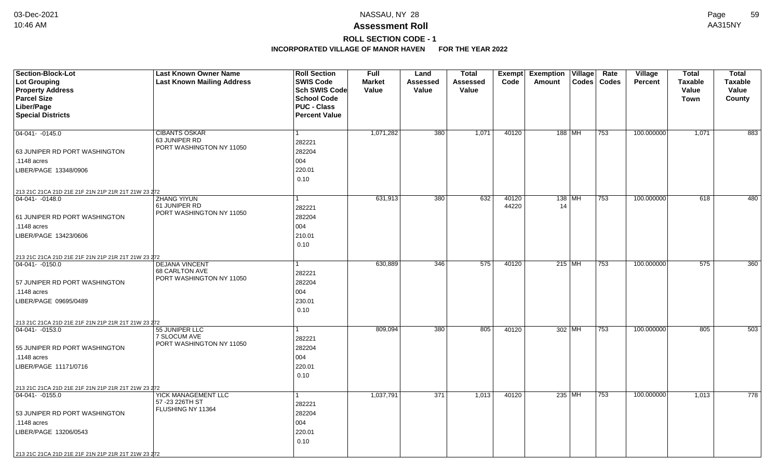# **ROLL SECTION CODE - 1**

| Section-Block-Lot<br>Lot Grouping                   | <b>Last Known Owner Name</b><br><b>Last Known Mailing Address</b> | <b>Roll Section</b><br><b>SWIS Code</b>  | <b>Full</b><br><b>Market</b> | Land<br><b>Assessed</b> | <b>Total</b><br><b>Assessed</b> | Exempt<br>Code | <b>Exemption Village</b><br><b>Amount</b> |          | Rate<br>Codes   Codes | <b>Village</b><br><b>Percent</b> | <b>Total</b><br><b>Taxable</b> | <b>Total</b><br><b>Taxable</b> |
|-----------------------------------------------------|-------------------------------------------------------------------|------------------------------------------|------------------------------|-------------------------|---------------------------------|----------------|-------------------------------------------|----------|-----------------------|----------------------------------|--------------------------------|--------------------------------|
| <b>Property Address</b>                             |                                                                   | Sch SWIS Code                            | Value                        | Value                   | Value                           |                |                                           |          |                       |                                  | Value                          | Value                          |
| <b>Parcel Size</b><br>Liber/Page                    |                                                                   | <b>School Code</b><br><b>PUC - Class</b> |                              |                         |                                 |                |                                           |          |                       |                                  | Town                           | County                         |
| <b>Special Districts</b>                            |                                                                   | <b>Percent Value</b>                     |                              |                         |                                 |                |                                           |          |                       |                                  |                                |                                |
|                                                     |                                                                   |                                          |                              |                         |                                 |                |                                           |          |                       |                                  |                                |                                |
| 04-041- -0145.0                                     | <b>CIBANTS OSKAR</b><br>63 JUNIPER RD                             | $\mathbf{1}$                             | 1,071,282                    | 380                     | 1,071                           | 40120          | 188 MH                                    |          | 753                   | 100.000000                       | 1,071                          | 883                            |
| 63 JUNIPER RD PORT WASHINGTON                       | PORT WASHINGTON NY 11050                                          | 282221<br>282204                         |                              |                         |                                 |                |                                           |          |                       |                                  |                                |                                |
| .1148 acres                                         |                                                                   | 004                                      |                              |                         |                                 |                |                                           |          |                       |                                  |                                |                                |
| LIBER/PAGE 13348/0906                               |                                                                   | 220.01                                   |                              |                         |                                 |                |                                           |          |                       |                                  |                                |                                |
|                                                     |                                                                   | 0.10                                     |                              |                         |                                 |                |                                           |          |                       |                                  |                                |                                |
| 213 21C 21CA 21D 21E 21F 21N 21P 21R 21T 21W 23 272 |                                                                   |                                          |                              |                         |                                 |                |                                           |          |                       |                                  |                                |                                |
| 04-041- -0148.0                                     | ZHANG YIYUN                                                       | $\mathbf 1$                              | 631,913                      | 380                     | 632                             | 40120          |                                           | 138   MH | 753                   | 100.000000                       | 618                            | 480                            |
|                                                     | 61 JUNIPER RD<br>PORT WASHINGTON NY 11050                         | 282221                                   |                              |                         |                                 | 44220          | 14                                        |          |                       |                                  |                                |                                |
| 61 JUNIPER RD PORT WASHINGTON                       |                                                                   | 282204                                   |                              |                         |                                 |                |                                           |          |                       |                                  |                                |                                |
| .1148 acres                                         |                                                                   | 004                                      |                              |                         |                                 |                |                                           |          |                       |                                  |                                |                                |
| LIBER/PAGE 13423/0606                               |                                                                   | 210.01                                   |                              |                         |                                 |                |                                           |          |                       |                                  |                                |                                |
|                                                     |                                                                   | 0.10                                     |                              |                         |                                 |                |                                           |          |                       |                                  |                                |                                |
| 213 21C 21CA 21D 21E 21F 21N 21P 21R 21T 21W 23 272 |                                                                   |                                          |                              |                         |                                 |                |                                           |          |                       |                                  |                                |                                |
| 04-041-0150.0                                       | <b>DEJANA VINCENT</b>                                             |                                          | 630,889                      | 346                     | 575                             | 40120          | $215$ MH                                  |          | 753                   | 100.000000                       | 575                            | 360                            |
|                                                     | 68 CARLTON AVE<br>PORT WASHINGTON NY 11050                        | 282221                                   |                              |                         |                                 |                |                                           |          |                       |                                  |                                |                                |
| 57 JUNIPER RD PORT WASHINGTON                       |                                                                   | 282204                                   |                              |                         |                                 |                |                                           |          |                       |                                  |                                |                                |
| .1148 acres                                         |                                                                   | 004                                      |                              |                         |                                 |                |                                           |          |                       |                                  |                                |                                |
| LIBER/PAGE 09695/0489                               |                                                                   | 230.01                                   |                              |                         |                                 |                |                                           |          |                       |                                  |                                |                                |
|                                                     |                                                                   | 0.10                                     |                              |                         |                                 |                |                                           |          |                       |                                  |                                |                                |
| 213 21C 21CA 21D 21E 21F 21N 21P 21R 21T 21W 23 272 |                                                                   |                                          |                              |                         |                                 |                |                                           |          |                       |                                  |                                |                                |
| 04-041- -0153.0                                     | 55 JUNIPER LLC                                                    | 1                                        | 809,094                      | 380                     | 805                             | 40120          | 302 MH                                    |          | 753                   | 100.000000                       | 805                            | 503                            |
|                                                     | 7 SLOCUM AVE<br>PORT WASHINGTON NY 11050                          | 282221                                   |                              |                         |                                 |                |                                           |          |                       |                                  |                                |                                |
| 55 JUNIPER RD PORT WASHINGTON                       |                                                                   | 282204                                   |                              |                         |                                 |                |                                           |          |                       |                                  |                                |                                |
| .1148 acres                                         |                                                                   | 004                                      |                              |                         |                                 |                |                                           |          |                       |                                  |                                |                                |
| LIBER/PAGE 11171/0716                               |                                                                   | 220.01                                   |                              |                         |                                 |                |                                           |          |                       |                                  |                                |                                |
|                                                     |                                                                   | 0.10                                     |                              |                         |                                 |                |                                           |          |                       |                                  |                                |                                |
| 213 21C 21CA 21D 21E 21F 21N 21P 21R 21T 21W 23 272 |                                                                   |                                          |                              |                         |                                 |                |                                           |          |                       |                                  |                                |                                |
| 04-041- -0155.0                                     | YICK MANAGEMENT LLC<br>57 - 23 226TH ST                           | 1                                        | 1,037,791                    | 371                     | 1,013                           | 40120          |                                           | 235 MH   | 753                   | 100.000000                       | 1,013                          | 778                            |
|                                                     | FLUSHING NY 11364                                                 | 282221                                   |                              |                         |                                 |                |                                           |          |                       |                                  |                                |                                |
| 53 JUNIPER RD PORT WASHINGTON                       |                                                                   | 282204                                   |                              |                         |                                 |                |                                           |          |                       |                                  |                                |                                |
| .1148 acres                                         |                                                                   | 004                                      |                              |                         |                                 |                |                                           |          |                       |                                  |                                |                                |
| LIBER/PAGE 13206/0543                               |                                                                   | 220.01                                   |                              |                         |                                 |                |                                           |          |                       |                                  |                                |                                |
|                                                     |                                                                   | 0.10                                     |                              |                         |                                 |                |                                           |          |                       |                                  |                                |                                |
| 213 21C 21CA 21D 21E 21F 21N 21P 21R 21T 21W 23 272 |                                                                   |                                          |                              |                         |                                 |                |                                           |          |                       |                                  |                                |                                |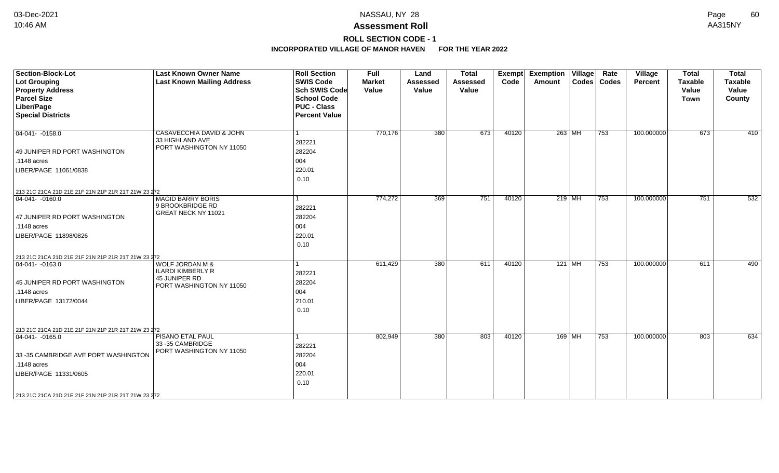## **ROLL SECTION CODE - 1**

| Section-Block-Lot<br>Lot Grouping<br><b>Property Address</b><br><b>Parcel Size</b><br>Liber/Page<br><b>Special Districts</b>                                                                               | <b>Last Known Owner Name</b><br><b>Last Known Mailing Address</b>                                   | <b>Roll Section</b><br><b>SWIS Code</b><br><b>Sch SWIS Code</b><br><b>School Code</b><br><b>PUC - Class</b><br><b>Percent Value</b> | Full<br><b>Market</b><br>Value | Land<br><b>Assessed</b><br>Value | <b>Total</b><br><b>Assessed</b><br>Value | <b>Exempt</b><br>Code | <b>Exemption</b><br>Amount | Village  | Rate<br>Codes   Codes | <b>Village</b><br>Percent | <b>Total</b><br><b>Taxable</b><br>Value<br><b>Town</b> | <b>Total</b><br><b>Taxable</b><br>Value<br>County |
|------------------------------------------------------------------------------------------------------------------------------------------------------------------------------------------------------------|-----------------------------------------------------------------------------------------------------|-------------------------------------------------------------------------------------------------------------------------------------|--------------------------------|----------------------------------|------------------------------------------|-----------------------|----------------------------|----------|-----------------------|---------------------------|--------------------------------------------------------|---------------------------------------------------|
| $\boxed{04-041 - -0158.0}$<br>49 JUNIPER RD PORT WASHINGTON<br>.1148 acres<br>LIBER/PAGE 11061/0838                                                                                                        | CASAVECCHIA DAVID & JOHN<br>33 HIGHLAND AVE<br>PORT WASHINGTON NY 11050                             | 282221<br>282204<br>004<br>220.01<br>0.10                                                                                           | 770,176                        | $\overline{380}$                 | 673                                      | 40120                 |                            | 263 MH   | 753                   | 100.000000                | 673                                                    | 410                                               |
| 213 21C 21CA 21D 21E 21F 21N 21P 21R 21T 21W 23 272<br>$ 04-041- -0160.0 $<br>47 JUNIPER RD PORT WASHINGTON<br>.1148 acres<br>LIBER/PAGE 11898/0826<br>213 21C 21CA 21D 21E 21F 21N 21P 21R 21T 21W 23 272 | <b>MAGID BARRY BORIS</b><br>9 BROOKBRIDGE RD<br>GREAT NECK NY 11021                                 | 282221<br>282204<br>004<br>220.01<br>0.10                                                                                           | 774,272                        | 369                              | 751                                      | 40120                 |                            | $219$ MH | 753                   | 100.000000                | 751                                                    | 532                                               |
| $ 04-041- -0163.0$<br>45 JUNIPER RD PORT WASHINGTON<br>$.1148$ acres<br>LIBER/PAGE 13172/0044<br>213 21C 21CA 21D 21E 21F 21N 21P 21R 21T 21W 23 272                                                       | <b>WOLF JORDAN M &amp;</b><br><b>ILARDI KIMBERLY R</b><br>45 JUNIPER RD<br>PORT WASHINGTON NY 11050 | 282221<br>282204<br>004<br>210.01<br>0.10                                                                                           | 611,429                        | 380                              | 611                                      | 40120                 |                            | $121$ MH | 753                   | 100.000000                | 611                                                    | 490                                               |
| $ 04-041- -0165.0$<br>33-35 CAMBRIDGE AVE PORT WASHINGTON<br>.1148 acres<br>LIBER/PAGE 11331/0605<br>213 21C 21CA 21D 21E 21F 21N 21P 21R 21T 21W 23 272                                                   | PISANO ETAL PAUL<br>33 - 35 CAMBRIDGE<br>PORT WASHINGTON NY 11050                                   | 282221<br>282204<br>004<br>220.01<br>0.10                                                                                           | 802,949                        | 380                              | 803                                      | 40120                 |                            | 169 MH   | 753                   | 100.000000                | 803                                                    | 634                                               |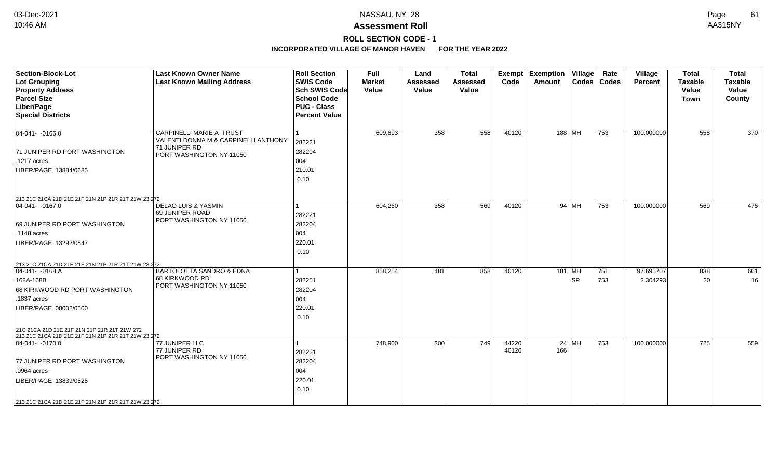## **Assessment Roll** 10:46 AM AA315NY

**ROLL SECTION CODE - 1**

| <b>Section-Block-Lot</b><br><b>Lot Grouping</b><br><b>Property Address</b><br><b>Parcel Size</b><br>Liber/Page<br><b>Special Districts</b>                                                                    | <b>Last Known Owner Name</b><br><b>Last Known Mailing Address</b>                                                    | <b>Roll Section</b><br><b>SWIS Code</b><br>Sch SWIS Code<br><b>School Code</b><br><b>PUC - Class</b><br><b>Percent Value</b> | <b>Full</b><br><b>Market</b><br>Value | Land<br><b>Assessed</b><br>Value | <b>Total</b><br><b>Assessed</b><br>Value | <b>Exempt</b><br>Code | <b>Exemption Village</b><br>Codes   Codes<br>Amount | Rate       | Village<br><b>Percent</b> | <b>Total</b><br><b>Taxable</b><br>Value<br><b>Town</b> | <b>Total</b><br><b>Taxable</b><br>Value<br>County |
|---------------------------------------------------------------------------------------------------------------------------------------------------------------------------------------------------------------|----------------------------------------------------------------------------------------------------------------------|------------------------------------------------------------------------------------------------------------------------------|---------------------------------------|----------------------------------|------------------------------------------|-----------------------|-----------------------------------------------------|------------|---------------------------|--------------------------------------------------------|---------------------------------------------------|
| $\boxed{04-041 - 0166.0}$<br>71 JUNIPER RD PORT WASHINGTON<br>.1217 acres<br>LIBER/PAGE 13884/0685                                                                                                            | <b>CARPINELLI MARIE A TRUST</b><br>VALENTI DONNA M & CARPINELLI ANTHONY<br>71 JUNIPER RD<br>PORT WASHINGTON NY 11050 | 282221<br>282204<br>004<br>210.01<br>0.10                                                                                    | 609,893                               | 358                              | 558                                      | 40120                 | 188 MH                                              | 753        | 100.000000                | 558                                                    | 370                                               |
| 213 21C 21CA 21D 21E 21F 21N 21P 21R 21T 21W 23 272<br>$ 04-041- -0167.0$<br>69 JUNIPER RD PORT WASHINGTON<br>.1148 acres<br>LIBER/PAGE 13292/0547                                                            | DELAO LUIS & YASMIN<br>69 JUNIPER ROAD<br>PORT WASHINGTON NY 11050                                                   | 282221<br>282204<br>004<br>220.01<br>0.10                                                                                    | 604,260                               | 358                              | 569                                      | 40120                 | 94 MH                                               | 753        | 100.000000                | 569                                                    | 475                                               |
| 213 21C 21CA 21D 21E 21F 21N 21P 21R 21T 21W 23 272<br>04-041- -0168.A<br>168A-168B<br>68 KIRKWOOD RD PORT WASHINGTON<br>.1837 acres<br>LIBER/PAGE 08002/0500<br>21C 21CA 21D 21E 21F 21N 21P 21R 21T 21W 272 | BARTOLOTTA SANDRO & EDNA<br>68 KIRKWOOD RD<br>PORT WASHINGTON NY 11050                                               | 282251<br>282204<br>004<br>220.01<br>0.10                                                                                    | 858,254                               | 481                              | 858                                      | 40120                 | 181   MH<br>∣SP                                     | 751<br>753 | 97.695707<br>2.304293     | 838<br>20                                              | 661<br>16                                         |
| 213 21C 21CA 21D 21E 21F 21N 21P 21R 21T 21W 23 272<br>$ 04 - 041 - 0170.0$<br>77 JUNIPER RD PORT WASHINGTON<br>.0964 acres<br>LIBER/PAGE 13839/0525<br>213 21C 21CA 21D 21E 21F 21N 21P 21R 21T 21W 23 272   | 77 JUNIPER LLC<br>77 JUNIPER RD<br>PORT WASHINGTON NY 11050                                                          | 282221<br>282204<br>004<br>220.01<br>0.10                                                                                    | 748,900                               | 300                              | 749                                      | 44220<br>40120        | $24$ MH<br>166                                      | 753        | 100.000000                | 725                                                    | 559                                               |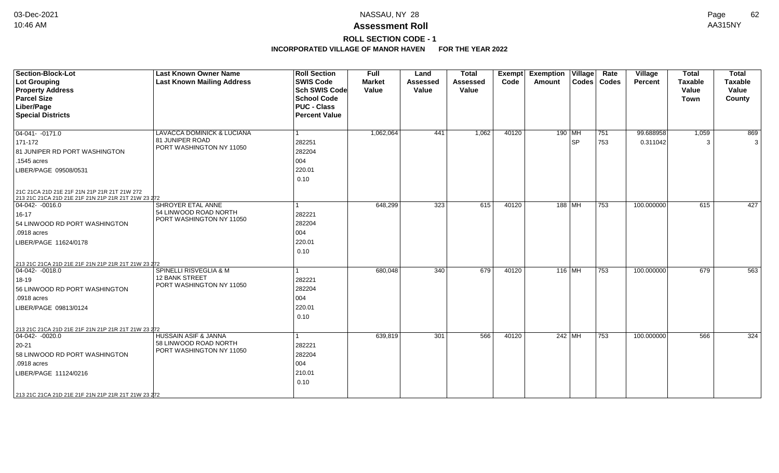## **Assessment Roll** 10:46 AM AA315NY

**ROLL SECTION CODE - 1**

| Section-Block-Lot                                                                                   | <b>Last Known Owner Name</b>                             | <b>Roll Section</b>  | <b>Full</b>   | Land            | <b>Total</b> | <b>Exempt</b> | <b>Exemption Village</b> |                            | Rate          | <b>Village</b> | <b>Total</b>   | <b>Total</b>   |
|-----------------------------------------------------------------------------------------------------|----------------------------------------------------------|----------------------|---------------|-----------------|--------------|---------------|--------------------------|----------------------------|---------------|----------------|----------------|----------------|
| Lot Grouping                                                                                        | <b>Last Known Mailing Address</b>                        | <b>SWIS Code</b>     | <b>Market</b> | <b>Assessed</b> | Assessed     | Code          | Amount                   |                            | Codes   Codes | Percent        | <b>Taxable</b> | <b>Taxable</b> |
| <b>Property Address</b>                                                                             |                                                          | <b>Sch SWIS Code</b> | Value         | Value           | Value        |               |                          |                            |               |                | Value          | Value          |
| <b>Parcel Size</b>                                                                                  |                                                          | <b>School Code</b>   |               |                 |              |               |                          |                            |               |                | <b>Town</b>    | County         |
| Liber/Page                                                                                          |                                                          | <b>PUC - Class</b>   |               |                 |              |               |                          |                            |               |                |                |                |
| <b>Special Districts</b>                                                                            |                                                          | <b>Percent Value</b> |               |                 |              |               |                          |                            |               |                |                |                |
|                                                                                                     |                                                          |                      |               |                 |              |               |                          |                            |               |                |                |                |
| $\boxed{04-041 - -0171.0}$                                                                          | <b>LAVACCA DOMINICK &amp; LUCIANA</b><br>81 JUNIPER ROAD |                      | 1,062,064     | 441             | 1,062        | 40120         | $190$ MH                 |                            | 751           | 99.688958      | 1,059          | 869            |
| 171-172                                                                                             | PORT WASHINGTON NY 11050                                 | 282251               |               |                 |              |               |                          | <b>SP</b>                  | 753           | 0.311042       | 3              | 3              |
| 81 JUNIPER RD PORT WASHINGTON                                                                       |                                                          | 282204               |               |                 |              |               |                          |                            |               |                |                |                |
| $.1545$ acres                                                                                       |                                                          | 004                  |               |                 |              |               |                          |                            |               |                |                |                |
| LIBER/PAGE 09508/0531                                                                               |                                                          | 220.01               |               |                 |              |               |                          |                            |               |                |                |                |
|                                                                                                     |                                                          | 0.10                 |               |                 |              |               |                          |                            |               |                |                |                |
| 21C 21CA 21D 21E 21F 21N 21P 21R 21T 21W 272<br>213 21C 21CA 21D 21E 21F 21N 21P 21R 21T 21W 23 272 |                                                          |                      |               |                 |              |               |                          |                            |               |                |                |                |
| $ 04-042-0016.0$                                                                                    | <b>SHROYER ETAL ANNE</b>                                 |                      | 648,299       | 323             | 615          | 40120         |                          | 188   MH                   | 753           | 100.000000     | 615            | 427            |
| $16 - 17$                                                                                           | 54 LINWOOD ROAD NORTH                                    | 282221               |               |                 |              |               |                          |                            |               |                |                |                |
| 54 LINWOOD RD PORT WASHINGTON                                                                       | PORT WASHINGTON NY 11050                                 | 282204               |               |                 |              |               |                          |                            |               |                |                |                |
| .0918 acres                                                                                         |                                                          | 004                  |               |                 |              |               |                          |                            |               |                |                |                |
| LIBER/PAGE 11624/0178                                                                               |                                                          | 220.01               |               |                 |              |               |                          |                            |               |                |                |                |
|                                                                                                     |                                                          | 0.10                 |               |                 |              |               |                          |                            |               |                |                |                |
|                                                                                                     |                                                          |                      |               |                 |              |               |                          |                            |               |                |                |                |
| 213 21C 21CA 21D 21E 21F 21N 21P 21R 21T 21W 23 272<br>$\overline{04-042}$ -0018.0                  | SPINELLI RISVEGLIA & M                                   |                      | 680,048       | 340             | 679          | 40120         |                          | 116 $\overline{\text{MH}}$ | 753           | 100.000000     | 679            | 563            |
|                                                                                                     | <b>12 BANK STREET</b>                                    | 282221               |               |                 |              |               |                          |                            |               |                |                |                |
| 18-19                                                                                               | PORT WASHINGTON NY 11050                                 |                      |               |                 |              |               |                          |                            |               |                |                |                |
| 56 LINWOOD RD PORT WASHINGTON                                                                       |                                                          | 282204               |               |                 |              |               |                          |                            |               |                |                |                |
| .0918 acres                                                                                         |                                                          | 004                  |               |                 |              |               |                          |                            |               |                |                |                |
| LIBER/PAGE 09813/0124                                                                               |                                                          | 220.01               |               |                 |              |               |                          |                            |               |                |                |                |
|                                                                                                     |                                                          | 0.10                 |               |                 |              |               |                          |                            |               |                |                |                |
| 213 21C 21CA 21D 21E 21F 21N 21P 21R 21T 21W 23 272                                                 |                                                          |                      |               |                 |              |               |                          |                            |               |                |                |                |
| $\boxed{04-042 - 0020.0}$                                                                           | <b>HUSSAIN ASIF &amp; JANNA</b>                          |                      | 639,819       | 301             | 566          | 40120         |                          | $242$ MH                   | 753           | 100.000000     | 566            | 324            |
| $ 20-21 $                                                                                           | 58 LINWOOD ROAD NORTH                                    | 282221               |               |                 |              |               |                          |                            |               |                |                |                |
| 58 LINWOOD RD PORT WASHINGTON                                                                       | PORT WASHINGTON NY 11050                                 | 282204               |               |                 |              |               |                          |                            |               |                |                |                |
| .0918 acres                                                                                         |                                                          | 004                  |               |                 |              |               |                          |                            |               |                |                |                |
| LIBER/PAGE 11124/0216                                                                               |                                                          | 210.01               |               |                 |              |               |                          |                            |               |                |                |                |
|                                                                                                     |                                                          | 0.10                 |               |                 |              |               |                          |                            |               |                |                |                |
|                                                                                                     |                                                          |                      |               |                 |              |               |                          |                            |               |                |                |                |
| 213 21C 21CA 21D 21E 21F 21N 21P 21R 21T 21W 23 272                                                 |                                                          |                      |               |                 |              |               |                          |                            |               |                |                |                |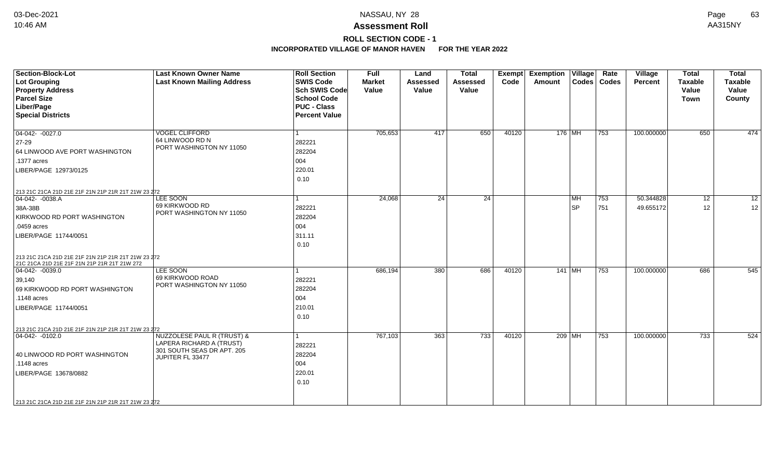**ROLL SECTION CODE - 1**

| Section-Block-Lot<br>Lot Grouping<br><b>Property Address</b><br><b>Parcel Size</b><br>Liber/Page<br><b>Special Districts</b>                                                                                         | <b>Last Known Owner Name</b><br><b>Last Known Mailing Address</b>                                        | <b>Roll Section</b><br><b>SWIS Code</b><br><b>Sch SWIS Code</b><br><b>School Code</b><br><b>PUC - Class</b><br><b>Percent Value</b> | <b>Full</b><br><b>Market</b><br>Value | Land<br><b>Assessed</b><br>Value | <b>Total</b><br><b>Assessed</b><br>Value | <b>Exempt</b><br>Code | <b>Exemption Village</b><br><b>Amount</b> |                 | Rate<br>Codes   Codes | Village<br><b>Percent</b> | <b>Total</b><br><b>Taxable</b><br>Value<br><b>Town</b> | <b>Total</b><br><b>Taxable</b><br>Value<br>County |
|----------------------------------------------------------------------------------------------------------------------------------------------------------------------------------------------------------------------|----------------------------------------------------------------------------------------------------------|-------------------------------------------------------------------------------------------------------------------------------------|---------------------------------------|----------------------------------|------------------------------------------|-----------------------|-------------------------------------------|-----------------|-----------------------|---------------------------|--------------------------------------------------------|---------------------------------------------------|
| $04-042 - 0027.0$<br>27-29<br>64 LINWOOD AVE PORT WASHINGTON<br>.1377 acres<br>LIBER/PAGE 12973/0125                                                                                                                 | <b>VOGEL CLIFFORD</b><br>64 LINWOOD RD N<br>PORT WASHINGTON NY 11050                                     | l 1<br>282221<br>282204<br>004<br>220.01<br>0.10                                                                                    | 705,653                               | 417                              | 650                                      | 40120                 |                                           | $176$ MH        | 753                   | 100.000000                | 650                                                    | 474                                               |
| 213 21C 21CA 21D 21E 21F 21N 21P 21R 21T 21W 23 272<br>$04-042 - 0038.A$<br>38A-38B<br>KIRKWOOD RD PORT WASHINGTON<br>.0459 acres<br>LIBER/PAGE 11744/0051                                                           | <b>LEE SOON</b><br>69 KIRKWOOD RD<br>PORT WASHINGTON NY 11050                                            | 282221<br>282204<br>004<br>311.11<br>0.10                                                                                           | 24,068                                | $\overline{24}$                  | 24                                       |                       |                                           | MH<br><b>SP</b> | 753<br>751            | 50.344828<br>49.655172    | 12<br>12                                               | $\overline{12}$<br>12                             |
| 213 21C 21CA 21D 21E 21F 21N 21P 21R 21T 21W 23 272<br>21C 21CA 21D 21E 21F 21N 21P 21R 21T 21W 272<br>$\boxed{04-042 - 0039.0}$<br>39,140<br>69 KIRKWOOD RD PORT WASHINGTON<br>.1148 acres<br>LIBER/PAGE 11744/0051 | LEE SOON<br>69 KIRKWOOD ROAD<br>PORT WASHINGTON NY 11050                                                 | 282221<br>282204<br>004<br>210.01<br>0.10                                                                                           | 686,194                               | 380                              | 686                                      | 40120                 |                                           | 141 MH          | 753                   | 100.000000                | 686                                                    | 545                                               |
| 213 21C 21CA 21D 21E 21F 21N 21P 21R 21T 21W 23 272<br>$\overline{04-042}$ -0102.0<br>40 LINWOOD RD PORT WASHINGTON<br>$.1148$ acres<br>LIBER/PAGE 13678/0882<br>213 21C 21CA 21D 21E 21F 21N 21P 21R 21T 21W 23 272 | NUZZOLESE PAUL R (TRUST) &<br>LAPERA RICHARD A (TRUST)<br>301 SOUTH SEAS DR APT. 205<br>JUPITER FL 33477 | 282221<br>282204<br>004<br>220.01<br>0.10                                                                                           | 767,103                               | 363                              | $\overline{733}$                         | 40120                 |                                           | 209 MH          | 753                   | 100.000000                | 733                                                    | 524                                               |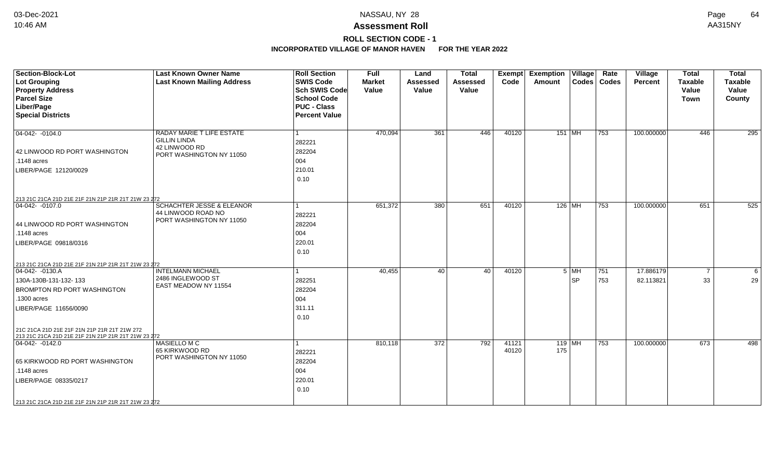# **ROLL SECTION CODE - 1**

| Section-Block-Lot<br><b>Lot Grouping</b><br><b>Property Address</b><br><b>Parcel Size</b><br>Liber/Page<br><b>Special Districts</b>                                                                                                                                                  | <b>Last Known Owner Name</b><br><b>Last Known Mailing Address</b>                             | <b>Roll Section</b><br><b>SWIS Code</b><br>Sch SWIS Code<br><b>School Code</b><br><b>PUC - Class</b><br><b>Percent Value</b> | Full<br><b>Market</b><br>Value | Land<br><b>Assessed</b><br>Value | <b>Total</b><br><b>Assessed</b><br>Value | Exempt<br>Code | <b>Exemption Village</b><br>Amount |                     | Rate<br>Codes   Codes | Village<br><b>Percent</b> | <b>Total</b><br><b>Taxable</b><br>Value<br>Town | <b>Total</b><br><b>Taxable</b><br>Value<br>County |
|--------------------------------------------------------------------------------------------------------------------------------------------------------------------------------------------------------------------------------------------------------------------------------------|-----------------------------------------------------------------------------------------------|------------------------------------------------------------------------------------------------------------------------------|--------------------------------|----------------------------------|------------------------------------------|----------------|------------------------------------|---------------------|-----------------------|---------------------------|-------------------------------------------------|---------------------------------------------------|
| $ 04-042-0104.0$<br>42 LINWOOD RD PORT WASHINGTON<br>.1148 acres<br>LIBER/PAGE 12120/0029                                                                                                                                                                                            | RADAY MARIE T LIFE ESTATE<br><b>GILLIN LINDA</b><br>42 LINWOOD RD<br>PORT WASHINGTON NY 11050 | 282221<br>282204<br>004<br>210.01<br>0.10                                                                                    | 470,094                        | 361                              | 446                                      | 40120          | 151 MH                             |                     | 753                   | 100.000000                | 446                                             | 295                                               |
| 213 21C 21CA 21D 21E 21F 21N 21P 21R 21T 21W 23 272<br>$\boxed{04-042 - 0107.0}$<br>44 LINWOOD RD PORT WASHINGTON<br>.1148 acres<br>LIBER/PAGE 09818/0316                                                                                                                            | <b>SCHACHTER JESSE &amp; ELEANOR</b><br>44 LINWOOD ROAD NO<br>PORT WASHINGTON NY 11050        | 282221<br>282204<br>004<br>220.01<br>0.10                                                                                    | 651,372                        | 380                              | 651                                      | 40120          | $126$ MH                           |                     | 753                   | 100.000000                | 651                                             | 525                                               |
| 213 21C 21CA 21D 21E 21F 21N 21P 21R 21T 21W 23 272<br>04-042- -0130.A<br>130A-130B-131-132-133<br><b>BROMPTON RD PORT WASHINGTON</b><br>.1300 acres<br>LIBER/PAGE 11656/0090<br>21C 21CA 21D 21E 21F 21N 21P 21R 21T 21W 272<br>213 21C 21CA 21D 21E 21F 21N 21P 21R 21T 21W 23 272 | <b>INTELMANN MICHAEL</b><br>2486 INGLEWOOD ST<br>EAST MEADOW NY 11554                         | 282251<br>282204<br>004<br>311.11<br>0.10                                                                                    | 40,455                         | 40                               | 40                                       | 40120          |                                    | $5$ MH<br><b>SP</b> | 751<br>753            | 17.886179<br>82.113821    | $\overline{7}$<br>33                            | 6<br>29                                           |
| $ 04-042-0142.0$<br>65 KIRKWOOD RD PORT WASHINGTON<br>.1148 acres<br>LIBER/PAGE 08335/0217<br>213 21C 21CA 21D 21E 21F 21N 21P 21R 21T 21W 23 272                                                                                                                                    | MASIELLO M C<br>65 KIRKWOOD RD<br>PORT WASHINGTON NY 11050                                    | 282221<br>282204<br>004<br>220.01<br>0.10                                                                                    | 810,118                        | 372                              | 792                                      | 41121<br>40120 | $119$ MH<br>175                    |                     | 753                   | 100.000000                | 673                                             | 498                                               |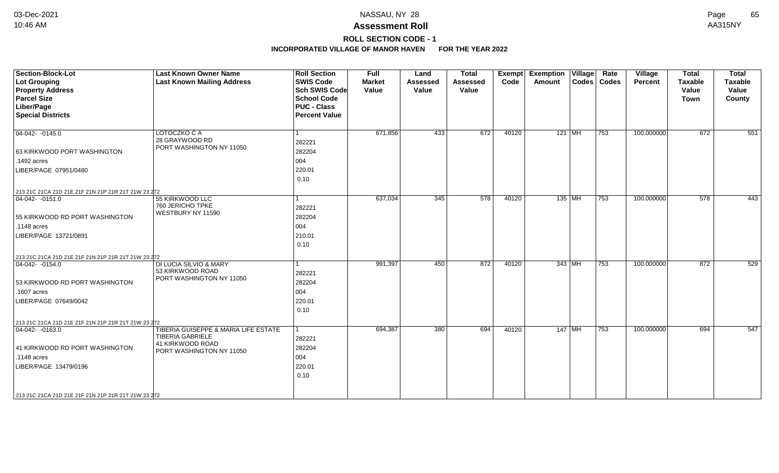# **ROLL SECTION CODE - 1**

| Section-Block-Lot<br><b>Lot Grouping</b><br><b>Property Address</b><br><b>Parcel Size</b><br>Liber/Page<br><b>Special Districts</b>                                                                      | <b>Last Known Owner Name</b><br><b>Last Known Mailing Address</b>                                               | <b>Roll Section</b><br><b>SWIS Code</b><br><b>Sch SWIS Code</b><br><b>School Code</b><br><b>PUC - Class</b><br><b>Percent Value</b> | <b>Full</b><br><b>Market</b><br>Value | Land<br><b>Assessed</b><br>Value | <b>Total</b><br><b>Assessed</b><br>Value | Exempt<br>Code | <b>Exemption Village</b><br>Amount | Rate<br>Codes   Codes | Village<br><b>Percent</b> | <b>Total</b><br><b>Taxable</b><br>Value<br><b>Town</b> | <b>Total</b><br><b>Taxable</b><br>Value<br>County |
|----------------------------------------------------------------------------------------------------------------------------------------------------------------------------------------------------------|-----------------------------------------------------------------------------------------------------------------|-------------------------------------------------------------------------------------------------------------------------------------|---------------------------------------|----------------------------------|------------------------------------------|----------------|------------------------------------|-----------------------|---------------------------|--------------------------------------------------------|---------------------------------------------------|
| $\boxed{04-042 - -0145.0}$<br>63 KIRKWOOD PORT WASHINGTON<br>.1492 acres<br>LIBER/PAGE 07951/0480                                                                                                        | LOTOCZKO C A<br>28 GRAYWOOD RD<br>PORT WASHINGTON NY 11050                                                      | -1<br>282221<br>282204<br>004<br>220.01<br>0.10                                                                                     | 671,856                               | 433                              | 672                                      | 40120          | $121$ MH                           | 753                   | 100.000000                | 672                                                    | 551                                               |
| 213 21C 21CA 21D 21E 21F 21N 21P 21R 21T 21W 23 272<br>$\overline{04-042 - -0151.0}$<br>55 KIRKWOOD RD PORT WASHINGTON<br>$.1148$ acres<br>LIBER/PAGE 13721/0891                                         | 55 KIRKWOOD LLC<br>760 JERICHO TPKE<br>WESTBURY NY 11590                                                        | $\mathbf{1}$<br>282221<br>282204<br>004<br>210.01<br>0.10                                                                           | 637,034                               | 345                              | 578                                      | 40120          | $135$ MH                           | 753                   | 100.000000                | 578                                                    | 443                                               |
| 213 21C 21CA 21D 21E 21F 21N 21P 21R 21T 21W 23 272<br>$ 04-042-0154.0$<br>53 KIRKWOOD RD PORT WASHINGTON<br>.1607 acres<br>LIBER/PAGE 07649/0042<br>213 21C 21CA 21D 21E 21F 21N 21P 21R 21T 21W 23 272 | <b>DI LUCIA SILVIO &amp; MARY</b><br>53 KIRKWOOD ROAD<br>PORT WASHINGTON NY 11050                               | 1<br>282221<br>282204<br>004<br>220.01<br>0.10                                                                                      | 991,397                               | 450                              | 872                                      | 40120          | 343 MH                             | 753                   | 100.000000                | 872                                                    | 529                                               |
| 04-042- -0163.0<br>41 KIRKWOOD RD PORT WASHINGTON<br>.1148 acres<br>LIBER/PAGE 13479/0196<br>213 21C 21CA 21D 21E 21F 21N 21P 21R 21T 21W 23 272                                                         | TIBERIA GUISEPPE & MARIA LIFE ESTATE<br><b>TIBERIA GABRIELE</b><br>41 KIRKWOOD ROAD<br>PORT WASHINGTON NY 11050 | $\mathbf{1}$<br>282221<br>282204<br>004<br>220.01<br>0.10                                                                           | 694,387                               | 380                              | 694                                      | 40120          | 147 MH                             | 753                   | 100.000000                | 694                                                    | 547                                               |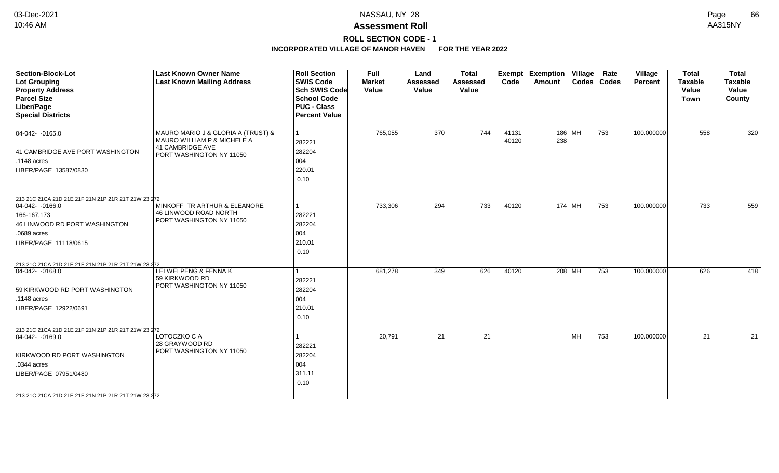## **Assessment Roll** 10:46 AM AA315NY

**ROLL SECTION CODE - 1**

| <b>Section-Block-Lot</b><br><b>Lot Grouping</b>     | <b>Last Known Owner Name</b><br><b>Last Known Mailing Address</b> | <b>Roll Section</b><br><b>SWIS Code</b> | <b>Full</b><br><b>Market</b> | Land<br><b>Assessed</b> | <b>Total</b><br><b>Assessed</b> | <b>Exempt</b><br>Code | <b>Exemption Village</b><br>Amount |      | Rate<br>Codes   Codes | Village<br><b>Percent</b> | <b>Total</b><br><b>Taxable</b> | <b>Total</b><br><b>Taxable</b> |
|-----------------------------------------------------|-------------------------------------------------------------------|-----------------------------------------|------------------------------|-------------------------|---------------------------------|-----------------------|------------------------------------|------|-----------------------|---------------------------|--------------------------------|--------------------------------|
| <b>Property Address</b>                             |                                                                   | <b>Sch SWIS Code</b>                    | Value                        | Value                   | Value                           |                       |                                    |      |                       |                           | Value                          | Value                          |
| <b>Parcel Size</b>                                  |                                                                   | <b>School Code</b>                      |                              |                         |                                 |                       |                                    |      |                       |                           | Town                           | County                         |
| Liber/Page                                          |                                                                   | <b>PUC - Class</b>                      |                              |                         |                                 |                       |                                    |      |                       |                           |                                |                                |
| <b>Special Districts</b>                            |                                                                   | <b>Percent Value</b>                    |                              |                         |                                 |                       |                                    |      |                       |                           |                                |                                |
| $04-042 - 0165.0$                                   | MAURO MARIO J & GLORIA A (TRUST) &                                | l 1                                     | 765,055                      | $\overline{370}$        | $\overline{744}$                | 41131                 | $186$ MH                           |      | 753                   | 100.000000                | 558                            | 320                            |
|                                                     | MAURO WILLIAM P & MICHELE A                                       | 282221                                  |                              |                         |                                 | 40120                 | 238                                |      |                       |                           |                                |                                |
| 41 CAMBRIDGE AVE PORT WASHINGTON                    | 41 CAMBRIDGE AVE                                                  | 282204                                  |                              |                         |                                 |                       |                                    |      |                       |                           |                                |                                |
| $.1148$ acres                                       | PORT WASHINGTON NY 11050                                          | 004                                     |                              |                         |                                 |                       |                                    |      |                       |                           |                                |                                |
| LIBER/PAGE 13587/0830                               |                                                                   | 220.01                                  |                              |                         |                                 |                       |                                    |      |                       |                           |                                |                                |
|                                                     |                                                                   | 0.10                                    |                              |                         |                                 |                       |                                    |      |                       |                           |                                |                                |
|                                                     |                                                                   |                                         |                              |                         |                                 |                       |                                    |      |                       |                           |                                |                                |
| 213 21C 21CA 21D 21E 21F 21N 21P 21R 21T 21W 23 272 |                                                                   |                                         |                              |                         |                                 |                       |                                    |      |                       |                           |                                |                                |
| $\boxed{04-042 - 0166.0}$                           | MINKOFF TR ARTHUR & ELEANORE<br>46 LINWOOD ROAD NORTH             | l 1                                     | 733,306                      | 294                     | $\overline{733}$                | 40120                 | $174$ MH                           |      | 753                   | 100.000000                | $\overline{733}$               | 559                            |
| 166-167,173                                         | PORT WASHINGTON NY 11050                                          | 282221                                  |                              |                         |                                 |                       |                                    |      |                       |                           |                                |                                |
| 46 LINWOOD RD PORT WASHINGTON                       |                                                                   | 282204                                  |                              |                         |                                 |                       |                                    |      |                       |                           |                                |                                |
| .0689 acres                                         |                                                                   | 004                                     |                              |                         |                                 |                       |                                    |      |                       |                           |                                |                                |
| LIBER/PAGE 11118/0615                               |                                                                   | 210.01                                  |                              |                         |                                 |                       |                                    |      |                       |                           |                                |                                |
|                                                     |                                                                   | 0.10                                    |                              |                         |                                 |                       |                                    |      |                       |                           |                                |                                |
| 213 21C 21CA 21D 21E 21F 21N 21P 21R 21T 21W 23 272 |                                                                   |                                         |                              |                         |                                 |                       |                                    |      |                       |                           |                                |                                |
| $ 04-042-0168.0$                                    | LEI WEI PENG & FENNA K                                            | $\mathbf{1}$                            | 681,278                      | 349                     | 626                             | 40120                 | 208   MH                           |      | 753                   | 100.000000                | 626                            | 418                            |
|                                                     | 59 KIRKWOOD RD                                                    | 282221                                  |                              |                         |                                 |                       |                                    |      |                       |                           |                                |                                |
| 59 KIRKWOOD RD PORT WASHINGTON                      | PORT WASHINGTON NY 11050                                          | 282204                                  |                              |                         |                                 |                       |                                    |      |                       |                           |                                |                                |
| .1148 acres                                         |                                                                   | 004                                     |                              |                         |                                 |                       |                                    |      |                       |                           |                                |                                |
| LIBER/PAGE 12922/0691                               |                                                                   | 210.01                                  |                              |                         |                                 |                       |                                    |      |                       |                           |                                |                                |
|                                                     |                                                                   | 0.10                                    |                              |                         |                                 |                       |                                    |      |                       |                           |                                |                                |
| 213 21C 21CA 21D 21E 21F 21N 21P 21R 21T 21W 23 272 |                                                                   |                                         |                              |                         |                                 |                       |                                    |      |                       |                           |                                |                                |
| $ 04-042-0169.0$                                    | LOTOCZKO C A                                                      | 1                                       | 20,791                       | 21                      | 21                              |                       |                                    | l MH | 753                   | 100.000000                | 21                             | 21                             |
|                                                     | 28 GRAYWOOD RD                                                    | 282221                                  |                              |                         |                                 |                       |                                    |      |                       |                           |                                |                                |
| KIRKWOOD RD PORT WASHINGTON                         | PORT WASHINGTON NY 11050                                          | 282204                                  |                              |                         |                                 |                       |                                    |      |                       |                           |                                |                                |
| .0344 acres                                         |                                                                   | 004                                     |                              |                         |                                 |                       |                                    |      |                       |                           |                                |                                |
| LIBER/PAGE 07951/0480                               |                                                                   | 311.11                                  |                              |                         |                                 |                       |                                    |      |                       |                           |                                |                                |
|                                                     |                                                                   | 0.10                                    |                              |                         |                                 |                       |                                    |      |                       |                           |                                |                                |
| 213 21C 21CA 21D 21E 21F 21N 21P 21R 21T 21W 23 272 |                                                                   |                                         |                              |                         |                                 |                       |                                    |      |                       |                           |                                |                                |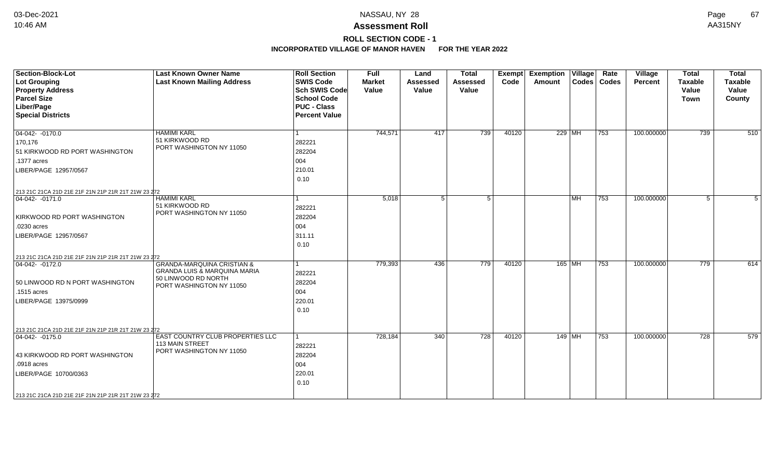## **ROLL SECTION CODE - 1**

| <b>Section-Block-Lot</b>                                                | <b>Last Known Owner Name</b>                                                     | <b>Roll Section</b>  | Full          | Land            | <b>Total</b>    | <b>Exempt</b> | <b>Exemption Village</b> |           | Rate          | Village    | <b>Total</b>   | <b>Total</b>   |
|-------------------------------------------------------------------------|----------------------------------------------------------------------------------|----------------------|---------------|-----------------|-----------------|---------------|--------------------------|-----------|---------------|------------|----------------|----------------|
| Lot Grouping                                                            | <b>Last Known Mailing Address</b>                                                | <b>SWIS Code</b>     | <b>Market</b> | <b>Assessed</b> | <b>Assessed</b> | Code          | Amount                   |           | Codes   Codes | Percent    | <b>Taxable</b> | <b>Taxable</b> |
| <b>Property Address</b>                                                 |                                                                                  | Sch SWIS Code        | Value         | Value           | Value           |               |                          |           |               |            | Value          | Value          |
| <b>Parcel Size</b>                                                      |                                                                                  | <b>School Code</b>   |               |                 |                 |               |                          |           |               |            | <b>Town</b>    | County         |
| Liber/Page                                                              |                                                                                  | <b>PUC - Class</b>   |               |                 |                 |               |                          |           |               |            |                |                |
| <b>Special Districts</b>                                                |                                                                                  | <b>Percent Value</b> |               |                 |                 |               |                          |           |               |            |                |                |
|                                                                         |                                                                                  |                      |               |                 |                 |               |                          |           |               |            |                |                |
| $04-042 - 0170.0$                                                       | <b>HAMIMI KARL</b>                                                               |                      | 744,571       | 417             | 739             | 40120         |                          | 229 MH    | 753           | 100.000000 | 739            | 510            |
| 170,176                                                                 | 51 KIRKWOOD RD                                                                   | 282221               |               |                 |                 |               |                          |           |               |            |                |                |
| 51 KIRKWOOD RD PORT WASHINGTON                                          | PORT WASHINGTON NY 11050                                                         | 282204               |               |                 |                 |               |                          |           |               |            |                |                |
| .1377 acres                                                             |                                                                                  | 004                  |               |                 |                 |               |                          |           |               |            |                |                |
| LIBER/PAGE 12957/0567                                                   |                                                                                  | 210.01               |               |                 |                 |               |                          |           |               |            |                |                |
|                                                                         |                                                                                  | 0.10                 |               |                 |                 |               |                          |           |               |            |                |                |
|                                                                         |                                                                                  |                      |               |                 |                 |               |                          |           |               |            |                |                |
| 213 21C 21CA 21D 21E 21F 21N 21P 21R 21T 21W 23 272<br>$ 04-042-0171.0$ | <b>HAMIMI KARL</b>                                                               |                      | 5,018         | 5               | 5 <sup>1</sup>  |               |                          | <b>MH</b> | 753           | 100.000000 | 5              | 5              |
|                                                                         | 51 KIRKWOOD RD                                                                   | 282221               |               |                 |                 |               |                          |           |               |            |                |                |
| KIRKWOOD RD PORT WASHINGTON                                             | PORT WASHINGTON NY 11050                                                         | 282204               |               |                 |                 |               |                          |           |               |            |                |                |
|                                                                         |                                                                                  | 004                  |               |                 |                 |               |                          |           |               |            |                |                |
| .0230 acres                                                             |                                                                                  | 311.11               |               |                 |                 |               |                          |           |               |            |                |                |
| LIBER/PAGE 12957/0567                                                   |                                                                                  |                      |               |                 |                 |               |                          |           |               |            |                |                |
|                                                                         |                                                                                  | 0.10                 |               |                 |                 |               |                          |           |               |            |                |                |
| 213 21C 21CA 21D 21E 21F 21N 21P 21R 21T 21W 23 272                     |                                                                                  |                      |               |                 |                 |               |                          |           |               |            |                |                |
| $ 04-042-0172.0$                                                        | <b>GRANDA-MARQUINA CRISTIAN &amp;</b><br><b>GRANDA LUIS &amp; MARQUINA MARIA</b> |                      | 779,393       | 436             | 779             | 40120         |                          | 165 MH    | 753           | 100.000000 | 779            | 614            |
|                                                                         | 50 LINWOOD RD NORTH                                                              | 282221               |               |                 |                 |               |                          |           |               |            |                |                |
| 50 LINWOOD RD N PORT WASHINGTON                                         | PORT WASHINGTON NY 11050                                                         | 282204               |               |                 |                 |               |                          |           |               |            |                |                |
| .1515 acres                                                             |                                                                                  | 004                  |               |                 |                 |               |                          |           |               |            |                |                |
| LIBER/PAGE 13975/0999                                                   |                                                                                  | 220.01               |               |                 |                 |               |                          |           |               |            |                |                |
|                                                                         |                                                                                  | 0.10                 |               |                 |                 |               |                          |           |               |            |                |                |
|                                                                         |                                                                                  |                      |               |                 |                 |               |                          |           |               |            |                |                |
| 213 21C 21CA 21D 21E 21F 21N 21P 21R 21T 21W 23 272                     |                                                                                  |                      |               |                 |                 |               |                          |           |               |            |                |                |
| $ 04-042-0175.0$                                                        | EAST COUNTRY CLUB PROPERTIES LLC                                                 |                      | 728,184       | 340             | 728             | 40120         |                          | 149   MH  | 753           | 100.000000 | 728            | 579            |
|                                                                         | 113 MAIN STREET<br>PORT WASHINGTON NY 11050                                      | 282221               |               |                 |                 |               |                          |           |               |            |                |                |
| 43 KIRKWOOD RD PORT WASHINGTON                                          |                                                                                  | 282204               |               |                 |                 |               |                          |           |               |            |                |                |
| .0918 acres                                                             |                                                                                  | 004                  |               |                 |                 |               |                          |           |               |            |                |                |
| LIBER/PAGE 10700/0363                                                   |                                                                                  | 220.01               |               |                 |                 |               |                          |           |               |            |                |                |
|                                                                         |                                                                                  | 0.10                 |               |                 |                 |               |                          |           |               |            |                |                |
| 213 21C 21CA 21D 21E 21F 21N 21P 21R 21T 21W 23 272                     |                                                                                  |                      |               |                 |                 |               |                          |           |               |            |                |                |
|                                                                         |                                                                                  |                      |               |                 |                 |               |                          |           |               |            |                |                |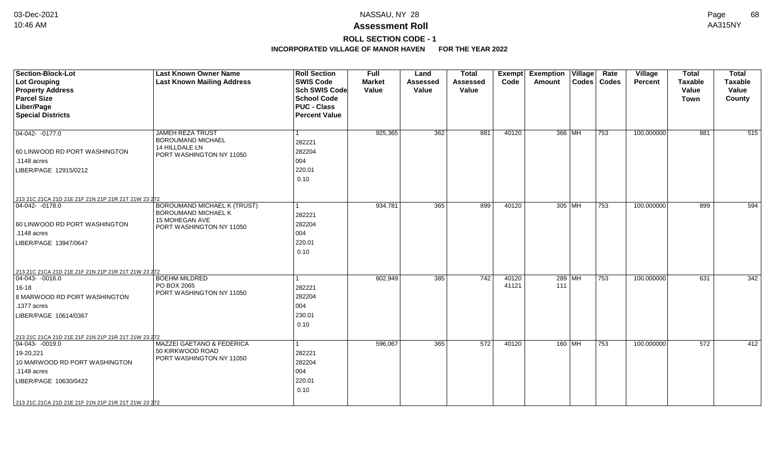# **ROLL SECTION CODE - 1**

| <b>Section-Block-Lot</b><br><b>Lot Grouping</b><br><b>Property Address</b><br><b>Parcel Size</b><br>Liber/Page<br><b>Special Districts</b>                                                                           | <b>Last Known Owner Name</b><br><b>Last Known Mailing Address</b>                                       | <b>Roll Section</b><br><b>SWIS Code</b><br>Sch SWIS Code<br><b>School Code</b><br><b>PUC - Class</b><br><b>Percent Value</b> | <b>Full</b><br><b>Market</b><br>Value | Land<br>Assessed<br>Value | <b>Total</b><br><b>Assessed</b><br>Value | Code           | Exempt Exemption Village<br>Amount |          | Rate<br>Codes   Codes | Village<br><b>Percent</b> | <b>Total</b><br><b>Taxable</b><br>Value<br>Town | <b>Total</b><br><b>Taxable</b><br>Value<br>County |
|----------------------------------------------------------------------------------------------------------------------------------------------------------------------------------------------------------------------|---------------------------------------------------------------------------------------------------------|------------------------------------------------------------------------------------------------------------------------------|---------------------------------------|---------------------------|------------------------------------------|----------------|------------------------------------|----------|-----------------------|---------------------------|-------------------------------------------------|---------------------------------------------------|
| $04-042 - 0177.0$<br>60 LINWOOD RD PORT WASHINGTON<br>.1148 acres<br>LIBER/PAGE 12915/0212                                                                                                                           | JAMEH REZA TRUST<br><b>BOROUMAND MICHAEL</b><br>14 HILLDALE LN<br>PORT WASHINGTON NY 11050              | 282221<br>282204<br>004<br>220.01<br>0.10                                                                                    | 925,365                               | 362                       | 881                                      | 40120          | 366 MH                             |          | 753                   | 100.000000                | 881                                             | 515                                               |
| 213 21C 21CA 21D 21E 21F 21N 21P 21R 21T 21W 23 272<br>04-042- -0178.0<br>60 LINWOOD RD PORT WASHINGTON<br>$.1148$ acres<br>LIBER/PAGE 13947/0647                                                                    | <b>BOROUMAND MICHAEL K (TRUST)</b><br>BOROUMAND MICHAEL K<br>15 MOHEGAN AVE<br>PORT WASHINGTON NY 11050 | 282221<br>282204<br>004<br>220.01<br>0.10                                                                                    | 934,781                               | 365                       | 899                                      | 40120          | 305 MH                             |          | 753                   | 100.000000                | 899                                             | 594                                               |
| 213 21C 21CA 21D 21E 21F 21N 21P 21R 21T 21W 23 272<br>$ 04-043-0016.0$<br>$16 - 18$<br>8 MARWOOD RD PORT WASHINGTON<br>.1377 acres<br>LIBER/PAGE 10614/0367                                                         | <b>BOEHM MILDRED</b><br>PO BOX 2065<br>PORT WASHINGTON NY 11050                                         | 282221<br>282204<br>004<br>230.01<br>0.10                                                                                    | 802,949                               | 385                       | $\overline{742}$                         | 40120<br>41121 | $289$ MH<br>111                    |          | 753                   | 100.000000                | 631                                             | 342                                               |
| 213 21C 21CA 21D 21E 21F 21N 21P 21R 21T 21W 23 272<br>$ 04-043-0019.0$<br>19-20,221<br>10 MARWOOD RD PORT WASHINGTON<br>.1148 acres<br>LIBER/PAGE 10630/0422<br>213 21C 21CA 21D 21E 21F 21N 21P 21R 21T 21W 23 272 | MAZZEI GAETANO & FEDERICA<br>50 KIRKWOOD ROAD<br>PORT WASHINGTON NY 11050                               | 282221<br>282204<br>004<br>220.01<br>0.10                                                                                    | 596,067                               | 365                       | 572                                      | 40120          |                                    | $160$ MH | 753                   | 100.000000                | 572                                             | 412                                               |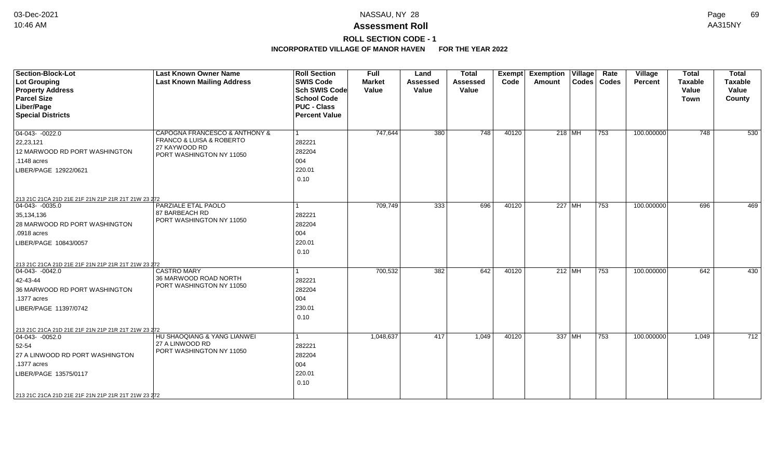## **Assessment Roll** 10:46 AM AA315NY

## **ROLL SECTION CODE - 1**

| <b>Section-Block-Lot</b><br><b>Lot Grouping</b><br><b>Property Address</b><br><b>Parcel Size</b><br>Liber/Page | <b>Last Known Owner Name</b><br><b>Last Known Mailing Address</b>                                      | <b>Roll Section</b><br><b>SWIS Code</b><br><b>Sch SWIS Code</b><br><b>School Code</b><br><b>PUC - Class</b> | Full<br><b>Market</b><br>Value | Land<br><b>Assessed</b><br>Value | <b>Total</b><br><b>Assessed</b><br>Value | <b>Exempt</b><br>Code | <b>Exemption Village</b><br>Amount | Rate<br>Codes   Codes | Village<br>Percent | <b>Total</b><br><b>Taxable</b><br>Value<br>Town | <b>Total</b><br><b>Taxable</b><br>Value<br>County |
|----------------------------------------------------------------------------------------------------------------|--------------------------------------------------------------------------------------------------------|-------------------------------------------------------------------------------------------------------------|--------------------------------|----------------------------------|------------------------------------------|-----------------------|------------------------------------|-----------------------|--------------------|-------------------------------------------------|---------------------------------------------------|
| <b>Special Districts</b>                                                                                       |                                                                                                        | <b>Percent Value</b>                                                                                        |                                |                                  |                                          |                       |                                    |                       |                    |                                                 |                                                   |
| $04-043-0022.0$<br>22,23,121<br>12 MARWOOD RD PORT WASHINGTON<br>.1148 acres<br>LIBER/PAGE 12922/0621          | CAPOGNA FRANCESCO & ANTHONY &<br>FRANCO & LUISA & ROBERTO<br>27 KAYWOOD RD<br>PORT WASHINGTON NY 11050 | 282221<br>282204<br>004<br>220.01<br>0.10                                                                   | 747,644                        | 380                              | $\overline{748}$                         | 40120                 | 218 MH                             | 753                   | 100.000000         | 748                                             | 530                                               |
| 213 21C 21CA 21D 21E 21F 21N 21P 21R 21T 21W 23 272                                                            |                                                                                                        |                                                                                                             |                                |                                  |                                          |                       |                                    |                       |                    |                                                 |                                                   |
| $ 04-043-0035.0$<br>35,134,136<br>28 MARWOOD RD PORT WASHINGTON<br>.0918 acres<br>LIBER/PAGE 10843/0057        | PARZIALE ETAL PAOLO<br>87 BARBEACH RD<br>PORT WASHINGTON NY 11050                                      | 282221<br>282204<br>004<br>220.01<br>0.10                                                                   | 709,749                        | 333                              | 696                                      | 40120                 | 227 MH                             | 753                   | 100.000000         | 696                                             | 469                                               |
| 213 21C 21CA 21D 21E 21F 21N 21P 21R 21T 21W 23 272<br>$ 04-043-0042.0$                                        | <b>CASTRO MARY</b>                                                                                     |                                                                                                             | 700,532                        | 382                              | 642                                      | 40120                 | 212 MH                             | 753                   | 100.000000         | 642                                             | 430                                               |
| 42-43-44<br>36 MARWOOD RD PORT WASHINGTON<br>.1377 acres<br>LIBER/PAGE 11397/0742                              | 36 MARWOOD ROAD NORTH<br>PORT WASHINGTON NY 11050                                                      | 282221<br>282204<br>004<br>230.01<br>0.10                                                                   |                                |                                  |                                          |                       |                                    |                       |                    |                                                 |                                                   |
| 213 21C 21CA 21D 21E 21F 21N 21P 21R 21T 21W 23 272<br>$ 04-043-0052.0$                                        | HU SHAOQIANG & YANG LIANWEI                                                                            |                                                                                                             | 1,048,637                      | 417                              | 1,049                                    | 40120                 | 337 $ \overline{MH} $              | 753                   | 100.000000         | 1,049                                           | 712                                               |
| 52-54<br>27 A LINWOOD RD PORT WASHINGTON<br>.1377 acres<br>LIBER/PAGE 13575/0117                               | 27 A LINWOOD RD<br>PORT WASHINGTON NY 11050                                                            | 282221<br>282204<br>004<br>220.01<br>0.10                                                                   |                                |                                  |                                          |                       |                                    |                       |                    |                                                 |                                                   |
| 213 21C 21CA 21D 21E 21F 21N 21P 21R 21T 21W 23 272                                                            |                                                                                                        |                                                                                                             |                                |                                  |                                          |                       |                                    |                       |                    |                                                 |                                                   |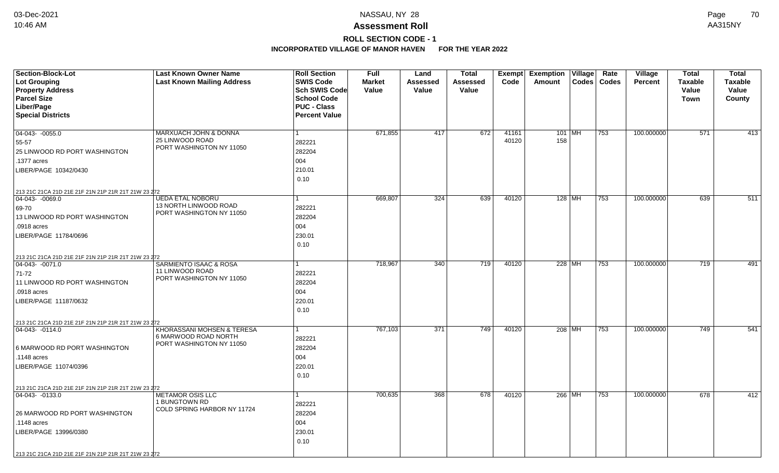**ROLL SECTION CODE - 1**

| Section-Block-Lot<br>Lot Grouping                                                       | <b>Last Known Owner Name</b><br><b>Last Known Mailing Address</b> | <b>Roll Section</b><br><b>SWIS Code</b>                                           | Full<br><b>Market</b> | Land<br><b>Assessed</b> | <b>Total</b><br>Assessed | Exempt<br>Code | <b>Exemption Village</b><br>Amount | Codes    | Rate<br><b>Codes</b> | Village<br><b>Percent</b> | <b>Total</b><br><b>Taxable</b> | <b>Total</b><br><b>Taxable</b> |
|-----------------------------------------------------------------------------------------|-------------------------------------------------------------------|-----------------------------------------------------------------------------------|-----------------------|-------------------------|--------------------------|----------------|------------------------------------|----------|----------------------|---------------------------|--------------------------------|--------------------------------|
| <b>Property Address</b><br><b>Parcel Size</b><br>Liber/Page<br><b>Special Districts</b> |                                                                   | Sch SWIS Code<br><b>School Code</b><br><b>PUC - Class</b><br><b>Percent Value</b> | Value                 | Value                   | Value                    |                |                                    |          |                      |                           | Value<br><b>Town</b>           | Value<br>County                |
| $04-043-0055.0$                                                                         | MARXUACH JOHN & DONNA                                             | 1                                                                                 | 671,855               | 417                     | 672                      | 41161          |                                    | $101$ MH | 753                  | 100.000000                | $\overline{571}$               | $\overline{413}$               |
| 55-57                                                                                   | 25 LINWOOD ROAD                                                   | 282221                                                                            |                       |                         |                          | 40120          | 158                                |          |                      |                           |                                |                                |
| 25 LINWOOD RD PORT WASHINGTON                                                           | PORT WASHINGTON NY 11050                                          | 282204                                                                            |                       |                         |                          |                |                                    |          |                      |                           |                                |                                |
| .1377 acres                                                                             |                                                                   | 004                                                                               |                       |                         |                          |                |                                    |          |                      |                           |                                |                                |
| LIBER/PAGE 10342/0430                                                                   |                                                                   | 210.01<br>0.10                                                                    |                       |                         |                          |                |                                    |          |                      |                           |                                |                                |
| 213 21C 21CA 21D 21E 21F 21N 21P 21R 21T 21W 23 272                                     |                                                                   |                                                                                   |                       |                         |                          |                |                                    |          |                      |                           |                                |                                |
| 04-043- -0069.0                                                                         | <b>UEDA ETAL NOBORU</b>                                           | 1                                                                                 | 669.807               | 324                     | 639                      | 40120          |                                    | $128$ MH | 753                  | 100.000000                | 639                            | 511                            |
| 69-70                                                                                   | 13 NORTH LINWOOD ROAD<br>PORT WASHINGTON NY 11050                 | 282221                                                                            |                       |                         |                          |                |                                    |          |                      |                           |                                |                                |
| 13 LINWOOD RD PORT WASHINGTON                                                           |                                                                   | 282204                                                                            |                       |                         |                          |                |                                    |          |                      |                           |                                |                                |
| .0918 acres                                                                             |                                                                   | 004                                                                               |                       |                         |                          |                |                                    |          |                      |                           |                                |                                |
| LIBER/PAGE 11784/0696                                                                   |                                                                   | 230.01                                                                            |                       |                         |                          |                |                                    |          |                      |                           |                                |                                |
|                                                                                         |                                                                   | 0.10                                                                              |                       |                         |                          |                |                                    |          |                      |                           |                                |                                |
| 213 21C 21CA 21D 21E 21F 21N 21P 21R 21T 21W 23 272                                     |                                                                   |                                                                                   |                       |                         |                          |                |                                    |          |                      |                           |                                |                                |
| $ 04-043-0071.0$                                                                        | <b>SARMIENTO ISAAC &amp; ROSA</b>                                 |                                                                                   | 718,967               | 340                     | 719                      | 40120          |                                    | 228 MH   | 753                  | 100.000000                | 719                            | 491                            |
| 71-72                                                                                   | 11 LINWOOD ROAD<br>PORT WASHINGTON NY 11050                       | 282221                                                                            |                       |                         |                          |                |                                    |          |                      |                           |                                |                                |
| 11 LINWOOD RD PORT WASHINGTON                                                           |                                                                   | 282204                                                                            |                       |                         |                          |                |                                    |          |                      |                           |                                |                                |
| .0918 acres                                                                             |                                                                   | 004                                                                               |                       |                         |                          |                |                                    |          |                      |                           |                                |                                |
| LIBER/PAGE 11187/0632                                                                   |                                                                   | 220.01                                                                            |                       |                         |                          |                |                                    |          |                      |                           |                                |                                |
|                                                                                         |                                                                   | 0.10                                                                              |                       |                         |                          |                |                                    |          |                      |                           |                                |                                |
| 213 21C 21CA 21D 21E 21F 21N 21P 21R 21T 21W 23 272                                     |                                                                   |                                                                                   |                       |                         |                          |                |                                    |          |                      |                           |                                |                                |
| 04-043-0114.0                                                                           | KHORASSANI MOHSEN & TERESA<br>6 MARWOOD ROAD NORTH                | 1                                                                                 | 767,103               | 371                     | 749                      | 40120          | 208 MH                             |          | 753                  | 100.000000                | 749                            | 541                            |
|                                                                                         | PORT WASHINGTON NY 11050                                          | 282221                                                                            |                       |                         |                          |                |                                    |          |                      |                           |                                |                                |
| 6 MARWOOD RD PORT WASHINGTON                                                            |                                                                   | 282204                                                                            |                       |                         |                          |                |                                    |          |                      |                           |                                |                                |
| .1148 acres                                                                             |                                                                   | 004                                                                               |                       |                         |                          |                |                                    |          |                      |                           |                                |                                |
| LIBER/PAGE 11074/0396                                                                   |                                                                   | 220.01                                                                            |                       |                         |                          |                |                                    |          |                      |                           |                                |                                |
|                                                                                         |                                                                   | 0.10                                                                              |                       |                         |                          |                |                                    |          |                      |                           |                                |                                |
| 213 21C 21CA 21D 21E 21F 21N 21P 21R 21T 21W 23 272                                     |                                                                   |                                                                                   |                       |                         |                          |                |                                    |          |                      |                           |                                |                                |
| 04-043- -0133.0                                                                         | <b>METAMOR OSIS LLC</b><br>1 BUNGTOWN RD                          | 1                                                                                 | 700,635               | 368                     | 678                      | 40120          | 266 MH                             |          | 753                  | 100.000000                | 678                            | 412                            |
|                                                                                         | COLD SPRING HARBOR NY 11724                                       | 282221                                                                            |                       |                         |                          |                |                                    |          |                      |                           |                                |                                |
| 26 MARWOOD RD PORT WASHINGTON                                                           |                                                                   | 282204                                                                            |                       |                         |                          |                |                                    |          |                      |                           |                                |                                |
| .1148 acres                                                                             |                                                                   | 004                                                                               |                       |                         |                          |                |                                    |          |                      |                           |                                |                                |
| LIBER/PAGE 13996/0380                                                                   |                                                                   | 230.01                                                                            |                       |                         |                          |                |                                    |          |                      |                           |                                |                                |
|                                                                                         |                                                                   | 0.10                                                                              |                       |                         |                          |                |                                    |          |                      |                           |                                |                                |
| 213 21C 21CA 21D 21E 21F 21N 21P 21R 21T 21W 23 272                                     |                                                                   |                                                                                   |                       |                         |                          |                |                                    |          |                      |                           |                                |                                |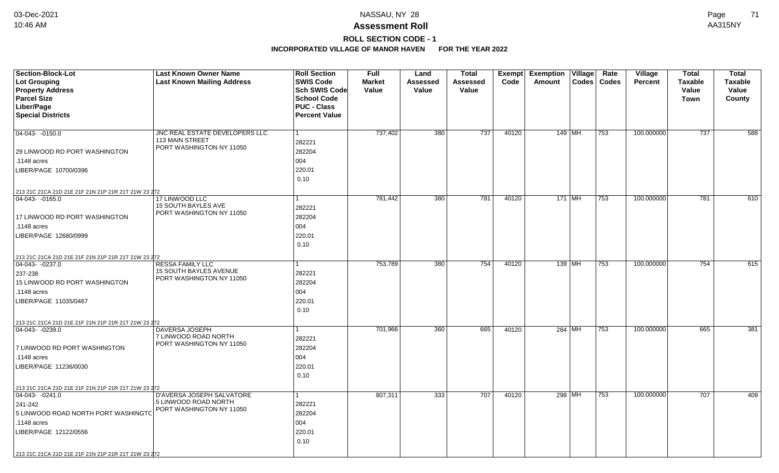## **Assessment Roll** 10:46 AM AA315NY

# **ROLL SECTION CODE - 1**

| <b>Section-Block-Lot</b><br><b>Lot Grouping</b><br><b>Property Address</b><br><b>Parcel Size</b><br>Liber/Page<br><b>Special Districts</b>                        | <b>Last Known Owner Name</b><br><b>Last Known Mailing Address</b>                    | <b>Roll Section</b><br><b>SWIS Code</b><br>Sch SWIS Code<br><b>School Code</b><br><b>PUC - Class</b><br><b>Percent Value</b> | Full<br><b>Market</b><br>Value | Land<br>Assessed<br>Value | <b>Total</b><br>Assessed<br>Value | Exempt<br>Code | <b>Exemption Village</b><br>Amount<br><b>Codes</b> | Rate<br>Codes | Village<br><b>Percent</b> | <b>Total</b><br><b>Taxable</b><br>Value<br><b>Town</b> | <b>Total</b><br><b>Taxable</b><br>Value<br>County |
|-------------------------------------------------------------------------------------------------------------------------------------------------------------------|--------------------------------------------------------------------------------------|------------------------------------------------------------------------------------------------------------------------------|--------------------------------|---------------------------|-----------------------------------|----------------|----------------------------------------------------|---------------|---------------------------|--------------------------------------------------------|---------------------------------------------------|
| 04-043- -0150.0<br>29 LINWOOD RD PORT WASHINGTON<br>.1148 acres<br>LIBER/PAGE 10700/0396                                                                          | JNC REAL ESTATE DEVELOPERS LLC<br>113 MAIN STREET<br>PORT WASHINGTON NY 11050        | $\mathbf{1}$<br>282221<br>282204<br>004<br>220.01<br>0.10                                                                    | 737,402                        | 380                       | 737                               | 40120          | 149   MH                                           | 753           | 100.000000                | 737                                                    | 588                                               |
| 213 21C 21CA 21D 21E 21F 21N 21P 21R 21T 21W 23 272                                                                                                               |                                                                                      |                                                                                                                              |                                |                           |                                   |                |                                                    |               |                           |                                                        |                                                   |
| $ 04-043-0165.0$<br>17 LINWOOD RD PORT WASHINGTON<br>.1148 acres<br>LIBER/PAGE 12680/0999                                                                         | 17 LINWOOD LLC<br>15 SOUTH BAYLES AVE<br>PORT WASHINGTON NY 11050                    | 1<br>282221<br>282204<br>004<br>220.01<br>0.10                                                                               | 781,442                        | 380                       | 781                               | 40120          | $171$ MH                                           | 753           | 100.000000                | 781                                                    | 610                                               |
| 213 21C 21CA 21D 21E 21F 21N 21P 21R 21T 21W 23 272                                                                                                               |                                                                                      |                                                                                                                              |                                |                           |                                   |                |                                                    |               |                           |                                                        |                                                   |
| 04-043-0237.0<br>237-238<br>15 LINWOOD RD PORT WASHINGTON<br>.1148 acres<br>LIBER/PAGE 11035/0467                                                                 | <b>RESSA FAMILY LLC</b><br><b>15 SOUTH BAYLES AVENUE</b><br>PORT WASHINGTON NY 11050 | 1<br>282221<br>282204<br>004<br>220.01<br>0.10                                                                               | 753,789                        | 380                       | 754                               | 40120          | $139$ MH                                           | 753           | 100.000000                | 754                                                    | 615                                               |
| 213 21C 21CA 21D 21E 21F 21N 21P 21R 21T 21W 23 272                                                                                                               |                                                                                      |                                                                                                                              |                                |                           |                                   |                |                                                    |               |                           |                                                        |                                                   |
| $ 04-043-0239.0$<br>7 LINWOOD RD PORT WASHINGTON<br>.1148 acres<br>LIBER/PAGE 11236/0030                                                                          | <b>DAVERSA JOSEPH</b><br>7 LINWOOD ROAD NORTH<br>PORT WASHINGTON NY 11050            | $\mathbf{1}$<br>282221<br>282204<br>004<br>220.01<br>0.10                                                                    | 701,966                        | 360                       | 665                               | 40120          | 284 MH                                             | 753           | 100.000000                | 665                                                    | 381                                               |
| 213 21C 21CA 21D 21E 21F 21N 21P 21R 21T 21W 23 272                                                                                                               |                                                                                      |                                                                                                                              |                                |                           |                                   |                |                                                    |               |                           |                                                        |                                                   |
| $ 04-043-0241.0$<br>241-242<br>5 LINWOOD ROAD NORTH PORT WASHINGTO<br>.1148 acres<br>LIBER/PAGE 12122/0556<br>213 21C 21CA 21D 21E 21F 21N 21P 21R 21T 21W 23 272 | <b>D'AVERSA JOSEPH SALVATORE</b><br>5 LINWOOD ROAD NORTH<br>PORT WASHINGTON NY 11050 | $\mathbf{1}$<br>282221<br>282204<br>004<br>220.01<br>0.10                                                                    | 807,311                        | $\overline{333}$          | 707                               | 40120          | 298 MH                                             | 753           | 100.000000                | 707                                                    | 409                                               |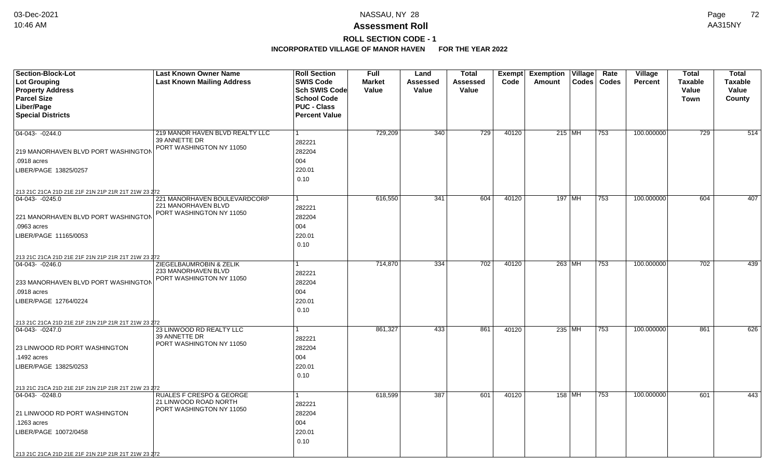# **ROLL SECTION CODE - 1**

| <b>Section-Block-Lot</b><br><b>Lot Grouping</b><br><b>Property Address</b><br><b>Parcel Size</b><br>Liber/Page<br><b>Special Districts</b>                                                           | <b>Last Known Owner Name</b><br><b>Last Known Mailing Address</b>                        | <b>Roll Section</b><br><b>SWIS Code</b><br><b>Sch SWIS Code</b><br><b>School Code</b><br><b>PUC - Class</b><br><b>Percent Value</b> | Full<br><b>Market</b><br>Value | Land<br>Assessed<br>Value | Total<br>Assessed<br>Value | Code  | <b>Exempt Exemption Village</b><br>Amount<br>Codes | Rate<br><b>Codes</b> | Village<br><b>Percent</b> | <b>Total</b><br><b>Taxable</b><br>Value<br>Town | <b>Total</b><br><b>Taxable</b><br>Value<br>County |
|------------------------------------------------------------------------------------------------------------------------------------------------------------------------------------------------------|------------------------------------------------------------------------------------------|-------------------------------------------------------------------------------------------------------------------------------------|--------------------------------|---------------------------|----------------------------|-------|----------------------------------------------------|----------------------|---------------------------|-------------------------------------------------|---------------------------------------------------|
| 04-043-0244.0<br>219 MANORHAVEN BLVD PORT WASHINGTON<br>.0918 acres<br>LIBER/PAGE 13825/0257                                                                                                         | 219 MANOR HAVEN BLVD REALTY LLC<br>39 ANNETTE DR<br>PORT WASHINGTON NY 11050             | 282221<br>282204<br>004<br>220.01<br>0.10                                                                                           | 729,209                        | $\overline{340}$          | $\overline{729}$           | 40120 | $215$ MH                                           | 753                  | 100.000000                | 729                                             | 514                                               |
| 213 21C 21CA 21D 21E 21F 21N 21P 21R 21T 21W 23 272<br>$ 04-043-0245.0$<br>221 MANORHAVEN BLVD PORT WASHINGTON<br>.0963 acres<br>LIBER/PAGE 11165/0053                                               | 221 MANORHAVEN BOULEVARDCORP<br>221 MANORHAVEN BLVD<br>PORT WASHINGTON NY 11050          | 1<br>282221<br>282204<br>004<br>220.01<br>0.10                                                                                      | 616,550                        | 341                       | 604                        | 40120 | 197   MH                                           | 753                  | 100.000000                | 604                                             | 407                                               |
| 213 21C 21CA 21D 21E 21F 21N 21P 21R 21T 21W 23 272<br>$ 04-043-0246.0$<br>233 MANORHAVEN BLVD PORT WASHINGTON<br>.0918 acres<br>LIBER/PAGE 12764/0224                                               | ZIEGELBAUMROBIN & ZELIK<br>233 MANORHAVEN BLVD<br>PORT WASHINGTON NY 11050               | 282221<br>282204<br>004<br>220.01<br>0.10                                                                                           | 714,870                        | $\frac{1}{334}$           | 702                        | 40120 | 263 MH                                             | 753                  | 100.000000                | 702                                             | 439                                               |
| 213 21C 21CA 21D 21E 21F 21N 21P 21R 21T 21W 23 272<br>$ 04-043-0247.0$<br>23 LINWOOD RD PORT WASHINGTON<br>.1492 acres<br>LIBER/PAGE 13825/0253                                                     | 23 LINWOOD RD REALTY LLC<br>39 ANNETTE DR<br>PORT WASHINGTON NY 11050                    | 1<br>282221<br>282204<br>004<br>220.01<br>0.10                                                                                      | 861,327                        | 433                       | 861                        | 40120 | 235 MH                                             | 753                  | 100.000000                | 861                                             | 626                                               |
| 213 21C 21CA 21D 21E 21F 21N 21P 21R 21T 21W 23 272<br>04-043-0248.0<br>21 LINWOOD RD PORT WASHINGTON<br>.1263 acres<br>LIBER/PAGE 10072/0458<br>213 21C 21CA 21D 21E 21F 21N 21P 21R 21T 21W 23 272 | <b>RUALES F CRESPO &amp; GEORGE</b><br>21 LINWOOD ROAD NORTH<br>PORT WASHINGTON NY 11050 | 282221<br>282204<br>004<br>220.01<br>0.10                                                                                           | 618,599                        | 387                       | 601                        | 40120 | 158 MH                                             | 753                  | 100.000000                | 601                                             | 443                                               |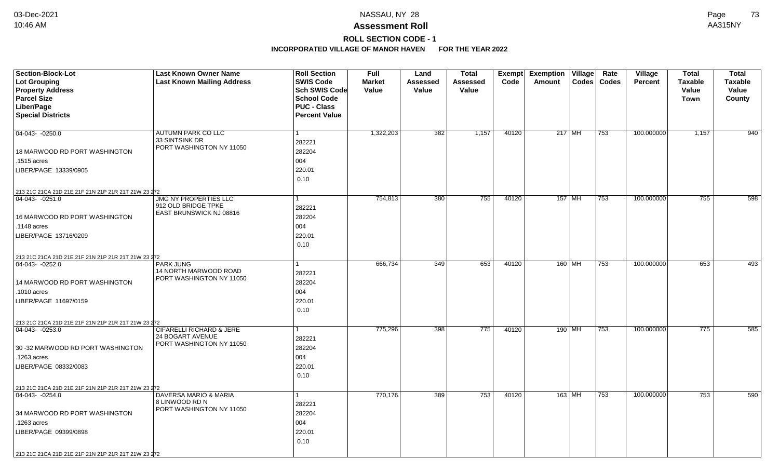### **Assessment Roll** 10:46 AM AA315NY

## **ROLL SECTION CODE - 1**

| <b>Section-Block-Lot</b>                            | <b>Last Known Owner Name</b>                 | <b>Roll Section</b>                      | <b>Full</b>            | Land              | <b>Total</b>             | Exempt | Exemption   Village |          | Rate          | <b>Village</b> | <b>Total</b>            | <b>Total</b>            |
|-----------------------------------------------------|----------------------------------------------|------------------------------------------|------------------------|-------------------|--------------------------|--------|---------------------|----------|---------------|----------------|-------------------------|-------------------------|
| Lot Grouping<br><b>Property Address</b>             | <b>Last Known Mailing Address</b>            | <b>SWIS Code</b><br><b>Sch SWIS Code</b> | <b>Market</b><br>Value | Assessed<br>Value | <b>Assessed</b><br>Value | Code   | Amount              |          | Codes   Codes | Percent        | <b>Taxable</b><br>Value | <b>Taxable</b><br>Value |
| <b>Parcel Size</b>                                  |                                              | <b>School Code</b>                       |                        |                   |                          |        |                     |          |               |                | Town                    | County                  |
| Liber/Page                                          |                                              | <b>PUC - Class</b>                       |                        |                   |                          |        |                     |          |               |                |                         |                         |
| <b>Special Districts</b>                            |                                              | <b>Percent Value</b>                     |                        |                   |                          |        |                     |          |               |                |                         |                         |
|                                                     |                                              |                                          |                        |                   |                          |        |                     |          |               |                |                         |                         |
| $04-043 - 0250.0$                                   | AUTUMN PARK CO LLC                           | $\mathbf{1}$                             | 1,322,203              | 382               | 1,157                    | 40120  | 217 MH              |          | 753           | 100.000000     | 1,157                   | 940                     |
|                                                     | 33 SINTSINK DR                               | 282221                                   |                        |                   |                          |        |                     |          |               |                |                         |                         |
| 18 MARWOOD RD PORT WASHINGTON                       | PORT WASHINGTON NY 11050                     | 282204                                   |                        |                   |                          |        |                     |          |               |                |                         |                         |
| .1515 acres                                         |                                              | 004                                      |                        |                   |                          |        |                     |          |               |                |                         |                         |
| LIBER/PAGE 13339/0905                               |                                              | 220.01                                   |                        |                   |                          |        |                     |          |               |                |                         |                         |
|                                                     |                                              | 0.10                                     |                        |                   |                          |        |                     |          |               |                |                         |                         |
| 213 21C 21CA 21D 21E 21F 21N 21P 21R 21T 21W 23 272 |                                              |                                          |                        |                   |                          |        |                     |          |               |                |                         |                         |
| $ 04-043-0251.0$                                    | <b>JMG NY PROPERTIES LLC</b>                 | 1                                        | 754,813                | 380               | 755                      | 40120  |                     | $157$ MH | 753           | 100.000000     | 755                     | 598                     |
|                                                     | 912 OLD BRIDGE TPKE                          | 282221                                   |                        |                   |                          |        |                     |          |               |                |                         |                         |
| 16 MARWOOD RD PORT WASHINGTON                       | EAST BRUNSWICK NJ 08816                      | 282204                                   |                        |                   |                          |        |                     |          |               |                |                         |                         |
| .1148 acres                                         |                                              | 004                                      |                        |                   |                          |        |                     |          |               |                |                         |                         |
| LIBER/PAGE 13716/0209                               |                                              | 220.01                                   |                        |                   |                          |        |                     |          |               |                |                         |                         |
|                                                     |                                              | 0.10                                     |                        |                   |                          |        |                     |          |               |                |                         |                         |
| 213 21C 21CA 21D 21E 21F 21N 21P 21R 21T 21W 23 272 |                                              |                                          |                        |                   |                          |        |                     |          |               |                |                         |                         |
| $04-043 - 0252.0$                                   | <b>PARK JUNG</b>                             | 1                                        | 666,734                | 349               | 653                      | 40120  |                     | 160 MH   | 753           | 100.000000     | 653                     | 493                     |
|                                                     | 14 NORTH MARWOOD ROAD                        | 282221                                   |                        |                   |                          |        |                     |          |               |                |                         |                         |
| 14 MARWOOD RD PORT WASHINGTON                       | PORT WASHINGTON NY 11050                     | 282204                                   |                        |                   |                          |        |                     |          |               |                |                         |                         |
| .1010 acres                                         |                                              | 004                                      |                        |                   |                          |        |                     |          |               |                |                         |                         |
| LIBER/PAGE 11697/0159                               |                                              | 220.01                                   |                        |                   |                          |        |                     |          |               |                |                         |                         |
|                                                     |                                              | 0.10                                     |                        |                   |                          |        |                     |          |               |                |                         |                         |
| 213 21C 21CA 21D 21E 21F 21N 21P 21R 21T 21W 23 272 |                                              |                                          |                        |                   |                          |        |                     |          |               |                |                         |                         |
| $ 04-043-0253.0$                                    | <b>CIFARELLI RICHARD &amp; JERE</b>          | 1                                        | 775,296                | 398               | 775                      | 40120  |                     | 190 MH   | 753           | 100.000000     | 775                     | 585                     |
|                                                     | 24 BOGART AVENUE<br>PORT WASHINGTON NY 11050 | 282221                                   |                        |                   |                          |        |                     |          |               |                |                         |                         |
| 30 -32 MARWOOD RD PORT WASHINGTON                   |                                              | 282204                                   |                        |                   |                          |        |                     |          |               |                |                         |                         |
| .1263 acres                                         |                                              | 004                                      |                        |                   |                          |        |                     |          |               |                |                         |                         |
| LIBER/PAGE 08332/0083                               |                                              | 220.01                                   |                        |                   |                          |        |                     |          |               |                |                         |                         |
|                                                     |                                              | 0.10                                     |                        |                   |                          |        |                     |          |               |                |                         |                         |
| 213 21C 21CA 21D 21E 21F 21N 21P 21R 21T 21W 23 272 |                                              |                                          |                        |                   |                          |        |                     |          |               |                |                         |                         |
| 04-043- -0254.0                                     | DAVERSA MARIO & MARIA                        | $\mathbf{1}$                             | 770,176                | 389               | 753                      | 40120  | 163 MH              |          | 753           | 100.000000     | 753                     | 590                     |
|                                                     | 8 LINWOOD RD N<br>PORT WASHINGTON NY 11050   | 282221                                   |                        |                   |                          |        |                     |          |               |                |                         |                         |
| 34 MARWOOD RD PORT WASHINGTON                       |                                              | 282204                                   |                        |                   |                          |        |                     |          |               |                |                         |                         |
| .1263 acres                                         |                                              | 004                                      |                        |                   |                          |        |                     |          |               |                |                         |                         |
| LIBER/PAGE 09399/0898                               |                                              | 220.01                                   |                        |                   |                          |        |                     |          |               |                |                         |                         |
|                                                     |                                              | 0.10                                     |                        |                   |                          |        |                     |          |               |                |                         |                         |
| 213 21C 21CA 21D 21E 21F 21N 21P 21R 21T 21W 23 272 |                                              |                                          |                        |                   |                          |        |                     |          |               |                |                         |                         |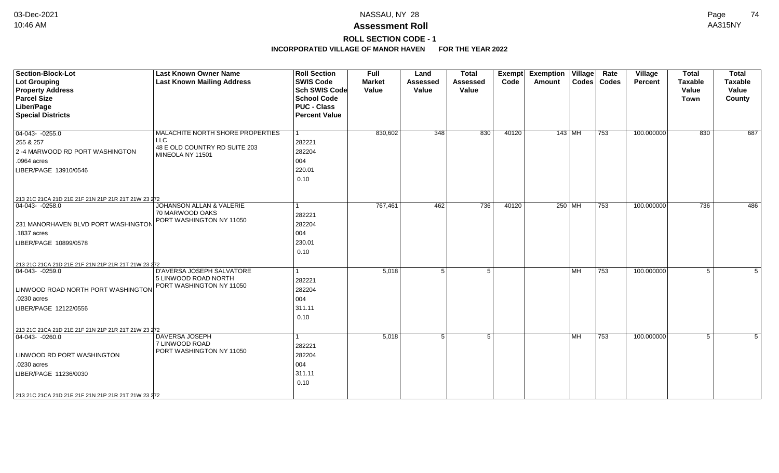## **ROLL SECTION CODE - 1**

| <b>Section-Block-Lot</b><br><b>Lot Grouping</b><br><b>Property Address</b><br><b>Parcel Size</b><br>Liber/Page<br><b>Special Districts</b>                                                           | <b>Last Known Owner Name</b><br><b>Last Known Mailing Address</b>                                   | <b>Roll Section</b><br><b>SWIS Code</b><br><b>Sch SWIS Code</b><br><b>School Code</b><br><b>PUC - Class</b><br><b>Percent Value</b> | <b>Full</b><br><b>Market</b><br>Value | Land<br><b>Assessed</b><br>Value | <b>Total</b><br><b>Assessed</b><br>Value | <b>Exempt</b><br>Code | <b>Exemption Village</b><br>Amount | Rate<br>Codes   Codes | Village<br><b>Percent</b> | <b>Total</b><br><b>Taxable</b><br>Value<br><b>Town</b> | <b>Total</b><br><b>Taxable</b><br>Value<br>County |
|------------------------------------------------------------------------------------------------------------------------------------------------------------------------------------------------------|-----------------------------------------------------------------------------------------------------|-------------------------------------------------------------------------------------------------------------------------------------|---------------------------------------|----------------------------------|------------------------------------------|-----------------------|------------------------------------|-----------------------|---------------------------|--------------------------------------------------------|---------------------------------------------------|
| $\boxed{04-043 - 0255.0}$<br>255 & 257<br>2 -4 MARWOOD RD PORT WASHINGTON<br>.0964 acres<br>LIBER/PAGE 13910/0546<br>213 21C 21CA 21D 21E 21F 21N 21P 21R 21T 21W 23 272                             | MALACHITE NORTH SHORE PROPERTIES<br><b>LLC</b><br>48 E OLD COUNTRY RD SUITE 203<br>MINEOLA NY 11501 | 282221<br>282204<br>004<br>220.01<br>0.10                                                                                           | 830,602                               | 348                              | 830                                      | 40120                 | $143$ MH                           | 753                   | 100.000000                | 830                                                    | 687                                               |
| $\boxed{04-043 - 0258.0}$<br>231 MANORHAVEN BLVD PORT WASHINGTON<br>.1837 acres<br>LIBER/PAGE 10899/0578<br>213 21C 21CA 21D 21E 21F 21N 21P 21R 21T 21W 23 272                                      | <b>JOHANSON ALLAN &amp; VALERIE</b><br>70 MARWOOD OAKS<br>PORT WASHINGTON NY 11050                  | 282221<br>282204<br>004<br>230.01<br>0.10                                                                                           | 767,461                               | 462                              | 736                                      | 40120                 | 250 MH                             | 753                   | 100.000000                | 736                                                    | 486                                               |
| $ 04-043-0259.0$<br>LINWOOD ROAD NORTH PORT WASHINGTON<br>.0230 acres<br>LIBER/PAGE 12122/0556                                                                                                       | D'AVERSA JOSEPH SALVATORE<br>5 LINWOOD ROAD NORTH<br>PORT WASHINGTON NY 11050                       | 282221<br>282204<br>004<br>311.11<br>0.10                                                                                           | 5,018                                 | 5                                | $5\overline{)}$                          |                       | l MH                               | 753                   | 100.000000                | 5                                                      | 5                                                 |
| 213 21C 21CA 21D 21E 21F 21N 21P 21R 21T 21W 23 272<br>$ 04-043-0260.0$<br>LINWOOD RD PORT WASHINGTON<br>.0230 acres<br>LIBER/PAGE 11236/0030<br>213 21C 21CA 21D 21E 21F 21N 21P 21R 21T 21W 23 272 | DAVERSA JOSEPH<br>7 LINWOOD ROAD<br>PORT WASHINGTON NY 11050                                        | 282221<br>282204<br>004<br>311.11<br>0.10                                                                                           | 5,018                                 | 5 <sup>1</sup>                   | 5 <sup>1</sup>                           |                       | l MH                               | 753                   | 100.000000                | 5                                                      | 5                                                 |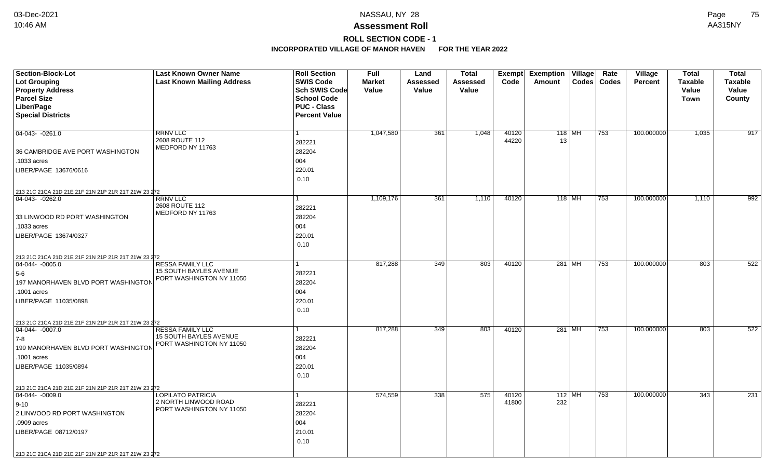## **ROLL SECTION CODE - 1**

| <b>Section-Block-Lot</b><br><b>Lot Grouping</b><br><b>Property Address</b> | <b>Last Known Owner Name</b><br><b>Last Known Mailing Address</b> | <b>Roll Section</b><br><b>SWIS Code</b><br><b>Sch SWIS Code</b>  | <b>Full</b><br><b>Market</b><br>Value | Land<br><b>Assessed</b><br>Value | <b>Total</b><br><b>Assessed</b><br>Value | <b>Exempt</b><br>Code | Exemption<br>Amount | Village  | Rate<br>Codes   Codes | Village<br>Percent | <b>Total</b><br><b>Taxable</b><br>Value | <b>Total</b><br><b>Taxable</b><br>Value |
|----------------------------------------------------------------------------|-------------------------------------------------------------------|------------------------------------------------------------------|---------------------------------------|----------------------------------|------------------------------------------|-----------------------|---------------------|----------|-----------------------|--------------------|-----------------------------------------|-----------------------------------------|
| <b>Parcel Size</b><br>Liber/Page<br><b>Special Districts</b>               |                                                                   | <b>School Code</b><br><b>PUC - Class</b><br><b>Percent Value</b> |                                       |                                  |                                          |                       |                     |          |                       |                    | <b>Town</b>                             | County                                  |
| $04-043 - 0261.0$                                                          | <b>RRNV LLC</b><br>2608 ROUTE 112<br>MEDFORD NY 11763             | 282221                                                           | 1,047,580                             | 361                              | 1,048                                    | 40120<br>44220        | 13                  | $118$ MH | 753                   | 100.000000         | 1,035                                   | 917                                     |
| 36 CAMBRIDGE AVE PORT WASHINGTON                                           |                                                                   | 282204                                                           |                                       |                                  |                                          |                       |                     |          |                       |                    |                                         |                                         |
| .1033 acres                                                                |                                                                   | 004                                                              |                                       |                                  |                                          |                       |                     |          |                       |                    |                                         |                                         |
| LIBER/PAGE 13676/0616                                                      |                                                                   | 220.01<br>0.10                                                   |                                       |                                  |                                          |                       |                     |          |                       |                    |                                         |                                         |
| 213 21C 21CA 21D 21E 21F 21N 21P 21R 21T 21W 23 272                        |                                                                   |                                                                  |                                       |                                  |                                          |                       |                     |          |                       |                    |                                         |                                         |
| 04-043-0262.0<br>33 LINWOOD RD PORT WASHINGTON                             | <b>RRNV LLC</b><br>2608 ROUTE 112<br>MEDFORD NY 11763             | 282221<br>282204                                                 | 1,109,176                             | 361                              | 1,110                                    | 40120                 | $118$ MH            |          | 753                   | 100.000000         | 1,110                                   | 992                                     |
| .1033 acres                                                                |                                                                   | 004                                                              |                                       |                                  |                                          |                       |                     |          |                       |                    |                                         |                                         |
| LIBER/PAGE 13674/0327                                                      |                                                                   | 220.01<br>0.10                                                   |                                       |                                  |                                          |                       |                     |          |                       |                    |                                         |                                         |
| 213 21C 21CA 21D 21E 21F 21N 21P 21R 21T 21W 23 272                        |                                                                   |                                                                  |                                       |                                  |                                          |                       |                     |          |                       |                    |                                         |                                         |
| $ 04-044-0005.0$                                                           | <b>RESSA FAMILY LLC</b>                                           |                                                                  | 817,288                               | 349                              | 803                                      | 40120                 |                     | 281 MH   | 753                   | 100.000000         | 803                                     | 522                                     |
| $5-6$                                                                      | <b>15 SOUTH BAYLES AVENUE</b>                                     | 282221                                                           |                                       |                                  |                                          |                       |                     |          |                       |                    |                                         |                                         |
| 197 MANORHAVEN BLVD PORT WASHINGTON                                        | PORT WASHINGTON NY 11050                                          | 282204                                                           |                                       |                                  |                                          |                       |                     |          |                       |                    |                                         |                                         |
| .1001 acres                                                                |                                                                   | 004                                                              |                                       |                                  |                                          |                       |                     |          |                       |                    |                                         |                                         |
| LIBER/PAGE 11035/0898                                                      |                                                                   | 220.01                                                           |                                       |                                  |                                          |                       |                     |          |                       |                    |                                         |                                         |
|                                                                            |                                                                   | 0.10                                                             |                                       |                                  |                                          |                       |                     |          |                       |                    |                                         |                                         |
| 213 21C 21CA 21D 21E 21F 21N 21P 21R 21T 21W 23 272                        |                                                                   |                                                                  |                                       |                                  |                                          |                       |                     |          |                       |                    |                                         |                                         |
| $ 04-044-0007.0$                                                           | <b>RESSA FAMILY LLC</b>                                           |                                                                  | 817,288                               | 349                              | 803                                      | 40120                 |                     | 281 MH   | 753                   | 100.000000         | 803                                     | 522                                     |
| $ 7-8 $                                                                    | <b>15 SOUTH BAYLES AVENUE</b>                                     | 282221                                                           |                                       |                                  |                                          |                       |                     |          |                       |                    |                                         |                                         |
| 199 MANORHAVEN BLVD PORT WASHINGTON                                        | PORT WASHINGTON NY 11050                                          | 282204                                                           |                                       |                                  |                                          |                       |                     |          |                       |                    |                                         |                                         |
| .1001 acres                                                                |                                                                   | 004                                                              |                                       |                                  |                                          |                       |                     |          |                       |                    |                                         |                                         |
| LIBER/PAGE 11035/0894                                                      |                                                                   | 220.01                                                           |                                       |                                  |                                          |                       |                     |          |                       |                    |                                         |                                         |
|                                                                            |                                                                   | 0.10                                                             |                                       |                                  |                                          |                       |                     |          |                       |                    |                                         |                                         |
| 213 21C 21CA 21D 21E 21F 21N 21P 21R 21T 21W 23 272                        |                                                                   |                                                                  |                                       |                                  |                                          |                       |                     |          |                       |                    |                                         |                                         |
| $\boxed{04-044 - 0009.0}$                                                  | <b>LOPILATO PATRICIA</b>                                          |                                                                  | 574,559                               | 338                              | 575                                      | 40120                 | 112 MH              |          | 753                   | 100.000000         | 343                                     | 231                                     |
| $9-10$                                                                     | 2 NORTH LINWOOD ROAD<br>PORT WASHINGTON NY 11050                  | 282221                                                           |                                       |                                  |                                          | 41800                 | 232                 |          |                       |                    |                                         |                                         |
| 2 LINWOOD RD PORT WASHINGTON                                               |                                                                   | 282204                                                           |                                       |                                  |                                          |                       |                     |          |                       |                    |                                         |                                         |
| .0909 acres                                                                |                                                                   | 004                                                              |                                       |                                  |                                          |                       |                     |          |                       |                    |                                         |                                         |
| LIBER/PAGE 08712/0197                                                      |                                                                   | 210.01                                                           |                                       |                                  |                                          |                       |                     |          |                       |                    |                                         |                                         |
|                                                                            |                                                                   | 0.10                                                             |                                       |                                  |                                          |                       |                     |          |                       |                    |                                         |                                         |
| 213 21C 21CA 21D 21E 21F 21N 21P 21R 21T 21W 23 272                        |                                                                   |                                                                  |                                       |                                  |                                          |                       |                     |          |                       |                    |                                         |                                         |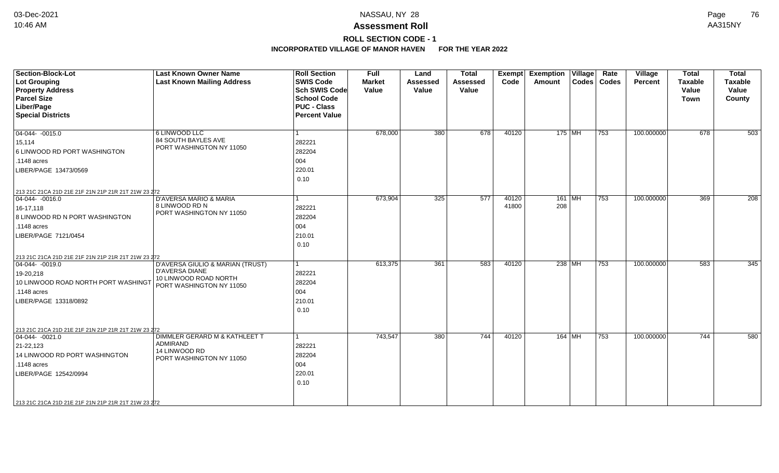**ROLL SECTION CODE - 1**

| Section-Block-Lot<br>Lot Grouping<br><b>Property Address</b><br><b>Parcel Size</b><br>Liber/Page<br><b>Special Districts</b>                                                                                            | <b>Last Known Owner Name</b><br><b>Last Known Mailing Address</b>                                              | <b>Roll Section</b><br><b>SWIS Code</b><br><b>Sch SWIS Code</b><br><b>School Code</b><br><b>PUC - Class</b><br><b>Percent Value</b> | <b>Full</b><br><b>Market</b><br>Value | Land<br><b>Assessed</b><br>Value | <b>Total</b><br><b>Assessed</b><br>Value | Exempt<br>Code | <b>Exemption Village</b><br><b>Amount</b> | Rate<br>Codes   Codes | Village<br><b>Percent</b> | <b>Total</b><br><b>Taxable</b><br>Value<br><b>Town</b> | <b>Total</b><br><b>Taxable</b><br>Value<br>County |
|-------------------------------------------------------------------------------------------------------------------------------------------------------------------------------------------------------------------------|----------------------------------------------------------------------------------------------------------------|-------------------------------------------------------------------------------------------------------------------------------------|---------------------------------------|----------------------------------|------------------------------------------|----------------|-------------------------------------------|-----------------------|---------------------------|--------------------------------------------------------|---------------------------------------------------|
| $\boxed{04-044 - 0015.0}$<br>15,114<br>6 LINWOOD RD PORT WASHINGTON<br>.1148 acres<br>LIBER/PAGE 13473/0569                                                                                                             | 6 LINWOOD LLC<br>84 SOUTH BAYLES AVE<br>PORT WASHINGTON NY 11050                                               | $\mathbf{1}$<br>282221<br>282204<br>004<br>220.01<br>0.10                                                                           | 678,000                               | 380                              | 678                                      | 40120          | $175$ MH                                  | $\overline{753}$      | 100.000000                | 678                                                    | 503                                               |
| 213 21C 21CA 21D 21E 21F 21N 21P 21R 21T 21W 23 272<br>$ 04-044-0016.0$<br>16-17,118<br>8 LINWOOD RD N PORT WASHINGTON<br>$.1148$ acres<br>LIBER/PAGE 7121/0454                                                         | <b>D'AVERSA MARIO &amp; MARIA</b><br>8 LINWOOD RD N<br>PORT WASHINGTON NY 11050                                | 282221<br>282204<br>004<br>210.01<br>0.10                                                                                           | 673,904                               | 325                              | 577                                      | 40120<br>41800 | $161$ MH<br>208                           | $\overline{753}$      | 100.000000                | 369                                                    | 208                                               |
| 213 21C 21CA 21D 21E 21F 21N 21P 21R 21T 21W 23 272<br>$ 04-044-0019.0$<br>19-20,218<br>10 LINWOOD ROAD NORTH PORT WASHINGT<br>.1148 acres<br>LIBER/PAGE 13318/0892                                                     | D'AVERSA GIULIO & MARIAN (TRUST)<br><b>D'AVERSA DIANE</b><br>10 LINWOOD ROAD NORTH<br>PORT WASHINGTON NY 11050 | l 1<br>282221<br>282204<br>004<br>210.01<br>0.10                                                                                    | 613,375                               | 361                              | 583                                      | 40120          | 238 MH                                    | $\overline{753}$      | 100.000000                | 583                                                    | 345                                               |
| 213 21C 21CA 21D 21E 21F 21N 21P 21R 21T 21W 23 272<br>$04-044 - 0021.0$<br>21-22,123<br>14 LINWOOD RD PORT WASHINGTON<br>$.1148$ acres<br>LIBER/PAGE 12542/0994<br>213 21C 21CA 21D 21E 21F 21N 21P 21R 21T 21W 23 272 | DIMMLER GERARD M & KATHLEET T<br><b>ADMIRAND</b><br>14 LINWOOD RD<br>PORT WASHINGTON NY 11050                  | 282221<br>282204<br>004<br>220.01<br>0.10                                                                                           | 743,547                               | 380                              | 744                                      | 40120          | $164$ MH                                  | 753                   | 100.000000                | 744                                                    | 580                                               |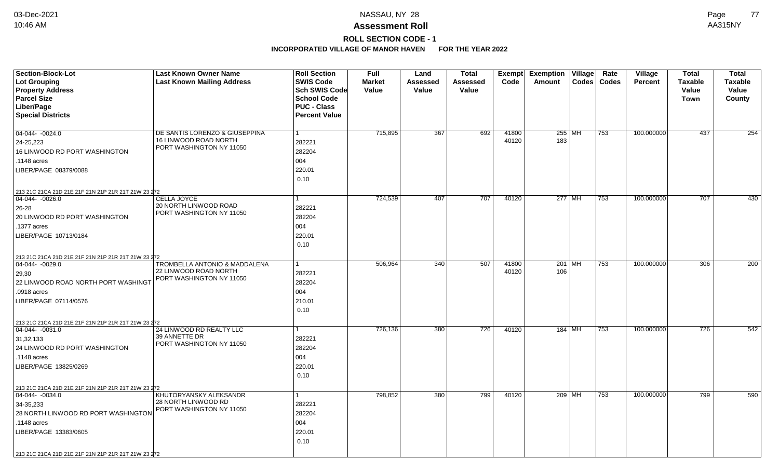### **ROLL SECTION CODE - 1**

| <b>Section-Block-Lot</b><br><b>Lot Grouping</b><br><b>Property Address</b><br><b>Parcel Size</b>                                                                                                                                    | <b>Last Known Owner Name</b><br><b>Last Known Mailing Address</b>                             | <b>Roll Section</b><br><b>SWIS Code</b><br>Sch SWIS Code<br><b>School Code</b> | Full<br><b>Market</b><br>Value | Land<br>Assessed<br>Value | <b>Total</b><br>Assessed<br>Value | <b>Exempt</b><br>Code | <b>Exemption</b><br>$\overline{\mathsf{V}}$ illage<br>Amount | Rate<br>Codes   Codes | Village<br><b>Percent</b> | <b>Total</b><br><b>Taxable</b><br>Value<br><b>Town</b> | <b>Total</b><br><b>Taxable</b><br>Value |
|-------------------------------------------------------------------------------------------------------------------------------------------------------------------------------------------------------------------------------------|-----------------------------------------------------------------------------------------------|--------------------------------------------------------------------------------|--------------------------------|---------------------------|-----------------------------------|-----------------------|--------------------------------------------------------------|-----------------------|---------------------------|--------------------------------------------------------|-----------------------------------------|
| Liber/Page<br><b>Special Districts</b>                                                                                                                                                                                              |                                                                                               | <b>PUC - Class</b><br><b>Percent Value</b>                                     |                                |                           |                                   |                       |                                                              |                       |                           |                                                        | County                                  |
| $04-044 - 0024.0$<br>24-25,223<br>16 LINWOOD RD PORT WASHINGTON<br>.1148 acres<br>LIBER/PAGE 08379/0088                                                                                                                             | DE SANTIS LORENZO & GIUSEPPINA<br>16 LINWOOD ROAD NORTH<br>PORT WASHINGTON NY 11050           | $\mathbf{1}$<br>282221<br>282204<br>004<br>220.01<br>0.10                      | 715,895                        | 367                       | 692                               | 41800<br>40120        | 255 MH<br>183                                                | 753                   | 100.000000                | 437                                                    | 254                                     |
| 213 21C 21CA 21D 21E 21F 21N 21P 21R 21T 21W 23 272<br>$ 04-044-0026.0$<br>26-28<br>20 LINWOOD RD PORT WASHINGTON<br>.1377 acres<br>LIBER/PAGE 10713/0184                                                                           | CELLA JOYCE<br>20 NORTH LINWOOD ROAD<br>PORT WASHINGTON NY 11050                              | 1<br>282221<br>282204<br>004<br>220.01<br>0.10                                 | 724,539                        | 407                       | 707                               | 40120                 | 277 MH                                                       | 753                   | 100.000000                | 707                                                    | 430                                     |
| 213 21C 21CA 21D 21E 21F 21N 21P 21R 21T 21W 23 272<br>$ 04-044-0029.0$<br>29,30<br>22 LINWOOD ROAD NORTH PORT WASHINGT<br>.0918 acres<br>LIBER/PAGE 07114/0576                                                                     | <b>TROMBELLA ANTONIO &amp; MADDALENA</b><br>22 LINWOOD ROAD NORTH<br>PORT WASHINGTON NY 11050 | 1<br>282221<br>282204<br>004<br>210.01<br>0.10                                 | 506,964                        | 340                       | 507                               | 41800<br>40120        | 201   $\overline{\text{MH}}$<br>106                          | 753                   | 100.000000                | 306                                                    | 200                                     |
| 213 21C 21CA 21D 21E 21F 21N 21P 21R 21T 21W 23 272<br>$ 04-044-0031.0$<br>31,32,133<br>24 LINWOOD RD PORT WASHINGTON<br>.1148 acres<br>LIBER/PAGE 13825/0269                                                                       | 24 LINWOOD RD REALTY LLC<br>39 ANNETTE DR<br>PORT WASHINGTON NY 11050                         | $\mathbf{1}$<br>282221<br>282204<br>004<br>220.01<br>0.10                      | 726,136                        | 380                       | 726                               | 40120                 | 184 MH                                                       | 753                   | 100.000000                | 726                                                    | 542                                     |
| 213 21C 21CA 21D 21E 21F 21N 21P 21R 21T 21W 23 272<br>$\boxed{04-044 - 0034.0}$<br>34-35,233<br>28 NORTH LINWOOD RD PORT WASHINGTON<br>.1148 acres<br>LIBER/PAGE 13383/0605<br>213 21C 21CA 21D 21E 21F 21N 21P 21R 21T 21W 23 272 | KHUTORYANSKY ALEKSANDR<br>28 NORTH LINWOOD RD<br>PORT WASHINGTON NY 11050                     | $\mathbf{1}$<br>282221<br>282204<br>004<br>220.01<br>0.10                      | 798,852                        | 380                       | 799                               | 40120                 | 209 MH                                                       | 753                   | 100.000000                | 799                                                    | 590                                     |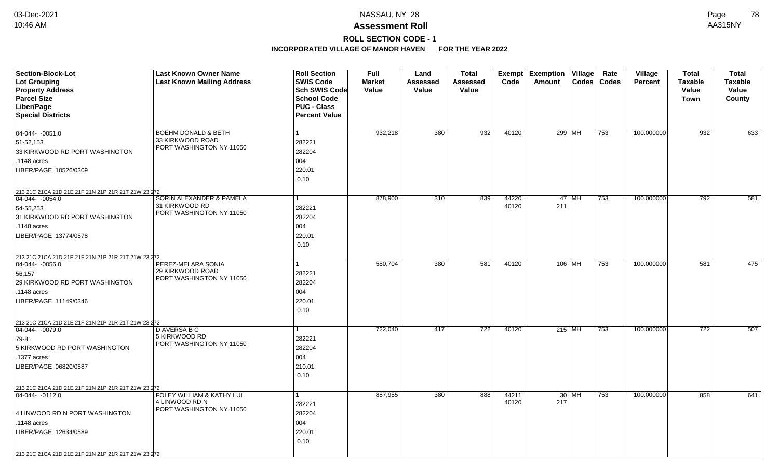### **Assessment Roll** 10:46 AM AA315NY

### **ROLL SECTION CODE - 1**

| <b>Section-Block-Lot</b>                                               | <b>Last Known Owner Name</b>                | <b>Roll Section</b>  | <b>Full</b>   | Land             | <b>Total</b>    | Exempt | <b>Exemption Village</b> |          | Rate          | <b>Village</b> | <b>Total</b>   | <b>Total</b>   |
|------------------------------------------------------------------------|---------------------------------------------|----------------------|---------------|------------------|-----------------|--------|--------------------------|----------|---------------|----------------|----------------|----------------|
| <b>Lot Grouping</b>                                                    | <b>Last Known Mailing Address</b>           | <b>SWIS Code</b>     | <b>Market</b> | Assessed         | <b>Assessed</b> | Code   | Amount                   |          | Codes   Codes | <b>Percent</b> | <b>Taxable</b> | <b>Taxable</b> |
| <b>Property Address</b>                                                |                                             | <b>Sch SWIS Code</b> | Value         | Value            | Value           |        |                          |          |               |                | Value          | Value          |
| <b>Parcel Size</b>                                                     |                                             | <b>School Code</b>   |               |                  |                 |        |                          |          |               |                | Town           | County         |
| Liber/Page                                                             |                                             | <b>PUC - Class</b>   |               |                  |                 |        |                          |          |               |                |                |                |
| <b>Special Districts</b>                                               |                                             | <b>Percent Value</b> |               |                  |                 |        |                          |          |               |                |                |                |
|                                                                        |                                             |                      |               |                  |                 |        |                          |          |               |                |                |                |
| $04-044 - 0051.0$                                                      | <b>BOEHM DONALD &amp; BETH</b>              | $\mathbf{1}$         | 932,218       | 380              | 932             | 40120  | 299 MH                   |          | 753           | 100.000000     | 932            | 633            |
| 51-52,153                                                              | 33 KIRKWOOD ROAD                            | 282221               |               |                  |                 |        |                          |          |               |                |                |                |
| 33 KIRKWOOD RD PORT WASHINGTON                                         | PORT WASHINGTON NY 11050                    | 282204               |               |                  |                 |        |                          |          |               |                |                |                |
| .1148 acres                                                            |                                             | 004                  |               |                  |                 |        |                          |          |               |                |                |                |
| LIBER/PAGE 10526/0309                                                  |                                             | 220.01               |               |                  |                 |        |                          |          |               |                |                |                |
|                                                                        |                                             | 0.10                 |               |                  |                 |        |                          |          |               |                |                |                |
| 213 21C 21CA 21D 21E 21F 21N 21P 21R 21T 21W 23 272                    |                                             |                      |               |                  |                 |        |                          |          |               |                |                |                |
| $ 04-044-0054.0$                                                       | SORIN ALEXANDER & PAMELA                    | 1                    | 878,900       | $\overline{310}$ | 839             | 44220  |                          | $47$ MH  | 753           | 100.000000     | 792            | 581            |
| 54-55,253                                                              | 31 KIRKWOOD RD                              | 282221               |               |                  |                 | 40120  | 211                      |          |               |                |                |                |
| 31 KIRKWOOD RD PORT WASHINGTON                                         | PORT WASHINGTON NY 11050                    | 282204               |               |                  |                 |        |                          |          |               |                |                |                |
| .1148 acres                                                            |                                             | 004                  |               |                  |                 |        |                          |          |               |                |                |                |
| LIBER/PAGE 13774/0578                                                  |                                             | 220.01               |               |                  |                 |        |                          |          |               |                |                |                |
|                                                                        |                                             | 0.10                 |               |                  |                 |        |                          |          |               |                |                |                |
|                                                                        |                                             |                      |               |                  |                 |        |                          |          |               |                |                |                |
| 213 21C 21CA 21D 21E 21F 21N 21P 21R 21T 21W 23 272<br>04-044- -0056.0 | PEREZ-MELARA SONIA                          | 1                    | 580,704       | 380              | 581             | 40120  |                          | $106$ MH | 753           | 100.000000     | 581            | 475            |
| 56,157                                                                 | 29 KIRKWOOD ROAD                            | 282221               |               |                  |                 |        |                          |          |               |                |                |                |
| 29 KIRKWOOD RD PORT WASHINGTON                                         | PORT WASHINGTON NY 11050                    | 282204               |               |                  |                 |        |                          |          |               |                |                |                |
| .1148 acres                                                            |                                             | 004                  |               |                  |                 |        |                          |          |               |                |                |                |
| LIBER/PAGE 11149/0346                                                  |                                             | 220.01               |               |                  |                 |        |                          |          |               |                |                |                |
|                                                                        |                                             | 0.10                 |               |                  |                 |        |                          |          |               |                |                |                |
|                                                                        |                                             |                      |               |                  |                 |        |                          |          |               |                |                |                |
| 213 21C 21CA 21D 21E 21F 21N 21P 21R 21T 21W 23 272                    |                                             | $\mathbf{1}$         | 722,040       | 417              | 722             | 40120  | $215$ MH                 |          |               | 100.000000     | 722            | 507            |
| $ 04-044-0079.0$                                                       | D AVERSA B C<br>5 KIRKWOOD RD               |                      |               |                  |                 |        |                          |          | 753           |                |                |                |
| 79-81                                                                  | PORT WASHINGTON NY 11050                    | 282221               |               |                  |                 |        |                          |          |               |                |                |                |
| 5 KIRKWOOD RD PORT WASHINGTON                                          |                                             | 282204               |               |                  |                 |        |                          |          |               |                |                |                |
| .1377 acres                                                            |                                             | 004                  |               |                  |                 |        |                          |          |               |                |                |                |
| LIBER/PAGE 06820/0587                                                  |                                             | 210.01               |               |                  |                 |        |                          |          |               |                |                |                |
|                                                                        |                                             | 0.10                 |               |                  |                 |        |                          |          |               |                |                |                |
| 213 21C 21CA 21D 21E 21F 21N 21P 21R 21T 21W 23 272                    |                                             |                      |               |                  |                 |        |                          |          |               |                |                |                |
| 04-044- -0112.0                                                        | FOLEY WILLIAM & KATHY LUI<br>4 LINWOOD RD N | $\mathbf{1}$         | 887,955       | 380              | 888             | 44211  |                          | $30$ MH  | 753           | 100.000000     | 858            | 641            |
|                                                                        | PORT WASHINGTON NY 11050                    | 282221               |               |                  |                 | 40120  | 217                      |          |               |                |                |                |
| 4 LINWOOD RD N PORT WASHINGTON                                         |                                             | 282204               |               |                  |                 |        |                          |          |               |                |                |                |
| .1148 acres                                                            |                                             | 004                  |               |                  |                 |        |                          |          |               |                |                |                |
| LIBER/PAGE 12634/0589                                                  |                                             | 220.01               |               |                  |                 |        |                          |          |               |                |                |                |
|                                                                        |                                             | 0.10                 |               |                  |                 |        |                          |          |               |                |                |                |
| 213 21C 21CA 21D 21E 21F 21N 21P 21R 21T 21W 23 272                    |                                             |                      |               |                  |                 |        |                          |          |               |                |                |                |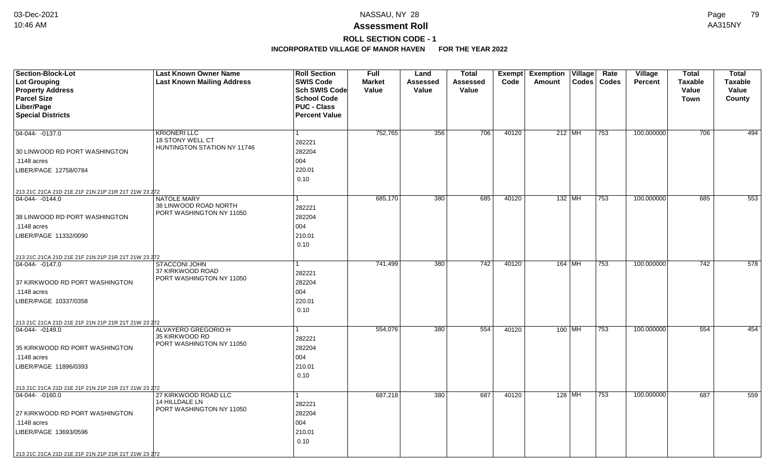**ROLL SECTION CODE - 1**

| <b>Section-Block-Lot</b><br><b>Lot Grouping</b><br><b>Property Address</b><br><b>Parcel Size</b> | <b>Last Known Owner Name</b><br><b>Last Known Mailing Address</b>       | <b>Roll Section</b><br><b>SWIS Code</b><br>Sch SWIS Code<br><b>School Code</b> | Full<br><b>Market</b><br>Value | Land<br>Assessed<br>Value | <b>Total</b><br>Assessed<br>Value | Exempt<br>Code | <b>Exemption Village</b><br><b>Codes</b><br>Amount | Rate<br>Codes | Village<br><b>Percent</b> | <b>Total</b><br><b>Taxable</b><br>Value<br><b>Town</b> | <b>Total</b><br><b>Taxable</b><br>Value<br>County |
|--------------------------------------------------------------------------------------------------|-------------------------------------------------------------------------|--------------------------------------------------------------------------------|--------------------------------|---------------------------|-----------------------------------|----------------|----------------------------------------------------|---------------|---------------------------|--------------------------------------------------------|---------------------------------------------------|
| Liber/Page<br><b>Special Districts</b>                                                           |                                                                         | <b>PUC - Class</b><br><b>Percent Value</b>                                     |                                |                           |                                   |                |                                                    |               |                           |                                                        |                                                   |
| 04-044- -0137.0                                                                                  | <b>KRIONERI LLC</b><br>18 STONY WELL CT                                 | $\mathbf{1}$<br>282221                                                         | 752,765                        | 356                       | 706                               | 40120          | $212$ MH                                           | 753           | 100.000000                | 706                                                    | 494                                               |
| 30 LINWOOD RD PORT WASHINGTON                                                                    | HUNTINGTON STATION NY 11746                                             | 282204                                                                         |                                |                           |                                   |                |                                                    |               |                           |                                                        |                                                   |
| .1148 acres                                                                                      |                                                                         | 004                                                                            |                                |                           |                                   |                |                                                    |               |                           |                                                        |                                                   |
| LIBER/PAGE 12758/0784                                                                            |                                                                         | 220.01<br>0.10                                                                 |                                |                           |                                   |                |                                                    |               |                           |                                                        |                                                   |
| 213 21C 21CA 21D 21E 21F 21N 21P 21R 21T 21W 23 272                                              |                                                                         |                                                                                |                                |                           |                                   |                |                                                    |               |                           |                                                        |                                                   |
| 04-044-0144.0                                                                                    | <b>NATOLE MARY</b><br>38 LINWOOD ROAD NORTH<br>PORT WASHINGTON NY 11050 | 1<br>282221                                                                    | 685,170                        | 380                       | 685                               | 40120          | 132 MH                                             | 753           | 100.000000                | 685                                                    | 553                                               |
| 38 LINWOOD RD PORT WASHINGTON                                                                    |                                                                         | 282204                                                                         |                                |                           |                                   |                |                                                    |               |                           |                                                        |                                                   |
| .1148 acres                                                                                      |                                                                         | 004                                                                            |                                |                           |                                   |                |                                                    |               |                           |                                                        |                                                   |
| LIBER/PAGE 11332/0090                                                                            |                                                                         | 210.01                                                                         |                                |                           |                                   |                |                                                    |               |                           |                                                        |                                                   |
|                                                                                                  |                                                                         | 0.10                                                                           |                                |                           |                                   |                |                                                    |               |                           |                                                        |                                                   |
| 213 21C 21CA 21D 21E 21F 21N 21P 21R 21T 21W 23 272                                              |                                                                         |                                                                                |                                |                           |                                   |                |                                                    |               |                           |                                                        |                                                   |
| $ 04-044-0147.0$                                                                                 | <b>STACCONI JOHN</b><br>37 KIRKWOOD ROAD                                | 1                                                                              | 741,499                        | 380                       | 742                               | 40120          | $164$ MH                                           | 753           | 100.000000                | 742                                                    | 578                                               |
|                                                                                                  | PORT WASHINGTON NY 11050                                                | 282221                                                                         |                                |                           |                                   |                |                                                    |               |                           |                                                        |                                                   |
| 37 KIRKWOOD RD PORT WASHINGTON<br>.1148 acres                                                    |                                                                         | 282204<br>004                                                                  |                                |                           |                                   |                |                                                    |               |                           |                                                        |                                                   |
| LIBER/PAGE 10337/0358                                                                            |                                                                         | 220.01                                                                         |                                |                           |                                   |                |                                                    |               |                           |                                                        |                                                   |
|                                                                                                  |                                                                         | 0.10                                                                           |                                |                           |                                   |                |                                                    |               |                           |                                                        |                                                   |
|                                                                                                  |                                                                         |                                                                                |                                |                           |                                   |                |                                                    |               |                           |                                                        |                                                   |
| 213 21C 21CA 21D 21E 21F 21N 21P 21R 21T 21W 23 272<br>$ 04 - 044 - 0149.0$                      | <b>ALVAYERO GREGORIO H</b>                                              | $\mathbf{1}$                                                                   | 554,076                        | 380                       | 554                               | 40120          | $100$ MH                                           | 753           | 100.000000                | 554                                                    | 454                                               |
|                                                                                                  | 35 KIRKWOOD RD                                                          | 282221                                                                         |                                |                           |                                   |                |                                                    |               |                           |                                                        |                                                   |
| 35 KIRKWOOD RD PORT WASHINGTON                                                                   | PORT WASHINGTON NY 11050                                                | 282204                                                                         |                                |                           |                                   |                |                                                    |               |                           |                                                        |                                                   |
| .1148 acres                                                                                      |                                                                         | 004                                                                            |                                |                           |                                   |                |                                                    |               |                           |                                                        |                                                   |
| LIBER/PAGE 11896/0393                                                                            |                                                                         | 210.01                                                                         |                                |                           |                                   |                |                                                    |               |                           |                                                        |                                                   |
|                                                                                                  |                                                                         | 0.10                                                                           |                                |                           |                                   |                |                                                    |               |                           |                                                        |                                                   |
| 213 21C 21CA 21D 21E 21F 21N 21P 21R 21T 21W 23 272                                              |                                                                         |                                                                                |                                |                           |                                   |                |                                                    |               |                           |                                                        |                                                   |
| 04-044- -0160.0                                                                                  | 27 KIRKWOOD ROAD LLC                                                    | $\mathbf{1}$                                                                   | 687,218                        | 380                       | 687                               | 40120          | $128$ MH                                           | 753           | 100.000000                | 687                                                    | 559                                               |
|                                                                                                  | 14 HILLDALE LN<br>PORT WASHINGTON NY 11050                              | 282221                                                                         |                                |                           |                                   |                |                                                    |               |                           |                                                        |                                                   |
| 27 KIRKWOOD RD PORT WASHINGTON                                                                   |                                                                         | 282204                                                                         |                                |                           |                                   |                |                                                    |               |                           |                                                        |                                                   |
| .1148 acres                                                                                      |                                                                         | 004                                                                            |                                |                           |                                   |                |                                                    |               |                           |                                                        |                                                   |
| LIBER/PAGE 13693/0596                                                                            |                                                                         | 210.01<br>0.10                                                                 |                                |                           |                                   |                |                                                    |               |                           |                                                        |                                                   |
|                                                                                                  |                                                                         |                                                                                |                                |                           |                                   |                |                                                    |               |                           |                                                        |                                                   |
| 213 21C 21CA 21D 21E 21F 21N 21P 21R 21T 21W 23 272                                              |                                                                         |                                                                                |                                |                           |                                   |                |                                                    |               |                           |                                                        |                                                   |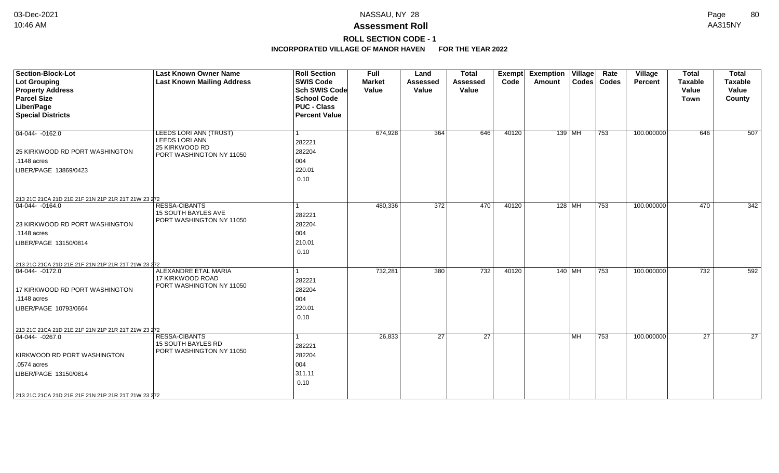## **ROLL SECTION CODE - 1**

| Section-Block-Lot<br>Lot Grouping<br><b>Property Address</b><br><b>Parcel Size</b><br>Liber/Page<br><b>Special Districts</b>                                                                             | <b>Last Known Owner Name</b><br><b>Last Known Mailing Address</b>                             | <b>Roll Section</b><br><b>SWIS Code</b><br><b>Sch SWIS Code</b><br><b>School Code</b><br><b>PUC - Class</b><br><b>Percent Value</b> | <b>Full</b><br><b>Market</b><br>Value | Land<br><b>Assessed</b><br>Value | <b>Total</b><br><b>Assessed</b><br>Value | <b>Exempt</b><br>Code | <b>Exemption</b><br>Amount | $\overline{\mathsf{V}}$ illage | Rate<br>Codes   Codes | Village<br><b>Percent</b> | <b>Total</b><br><b>Taxable</b><br>Value<br>Town | <b>Total</b><br><b>Taxable</b><br>Value<br>County |
|----------------------------------------------------------------------------------------------------------------------------------------------------------------------------------------------------------|-----------------------------------------------------------------------------------------------|-------------------------------------------------------------------------------------------------------------------------------------|---------------------------------------|----------------------------------|------------------------------------------|-----------------------|----------------------------|--------------------------------|-----------------------|---------------------------|-------------------------------------------------|---------------------------------------------------|
| $ 04-044-0162.0$<br>25 KIRKWOOD RD PORT WASHINGTON<br>.1148 acres<br>LIBER/PAGE 13869/0423                                                                                                               | LEEDS LORI ANN (TRUST)<br><b>LEEDS LORI ANN</b><br>25 KIRKWOOD RD<br>PORT WASHINGTON NY 11050 | 282221<br>282204<br>004<br>220.01<br>0.10                                                                                           | 674,928                               | 364                              | 646                                      | 40120                 |                            | $139$ MH                       | 753                   | 100.000000                | 646                                             | 507                                               |
| 213 21C 21CA 21D 21E 21F 21N 21P 21R 21T 21W 23 272<br>$ 04-044-0164.0$<br>23 KIRKWOOD RD PORT WASHINGTON<br>.1148 acres<br>LIBER/PAGE 13150/0814<br>213 21C 21CA 21D 21E 21F 21N 21P 21R 21T 21W 23 272 | <b>RESSA-CIBANTS</b><br>15 SOUTH BAYLES AVE<br>PORT WASHINGTON NY 11050                       | 282221<br>282204<br>004<br>210.01<br>0.10                                                                                           | 480,336                               | 372                              | 470                                      | 40120                 |                            | 128 MH                         | 753                   | 100.000000                | 470                                             | 342                                               |
| $ 04-044-0172.0$<br>17 KIRKWOOD RD PORT WASHINGTON<br>.1148 acres<br>LIBER/PAGE 10793/0664<br>213 21C 21CA 21D 21E 21F 21N 21P 21R 21T 21W 23 272                                                        | ALEXANDRE ETAL MARIA<br>17 KIRKWOOD ROAD<br>PORT WASHINGTON NY 11050                          | 282221<br>282204<br>004<br>220.01<br>0.10                                                                                           | 732,281                               | 380                              | 732                                      | 40120                 |                            | $140$ MH                       | 753                   | 100.000000                | 732                                             | 592                                               |
| $ 04-044-0267.0$<br>KIRKWOOD RD PORT WASHINGTON<br>.0574 acres<br>LIBER/PAGE 13150/0814<br>213 21C 21CA 21D 21E 21F 21N 21P 21R 21T 21W 23 272                                                           | <b>RESSA-CIBANTS</b><br><b>15 SOUTH BAYLES RD</b><br>PORT WASHINGTON NY 11050                 | 282221<br>282204<br>004<br>311.11<br>0.10                                                                                           | 26,833                                | 27                               | 27                                       |                       |                            | l MH                           | 753                   | 100.000000                | 27                                              | 27                                                |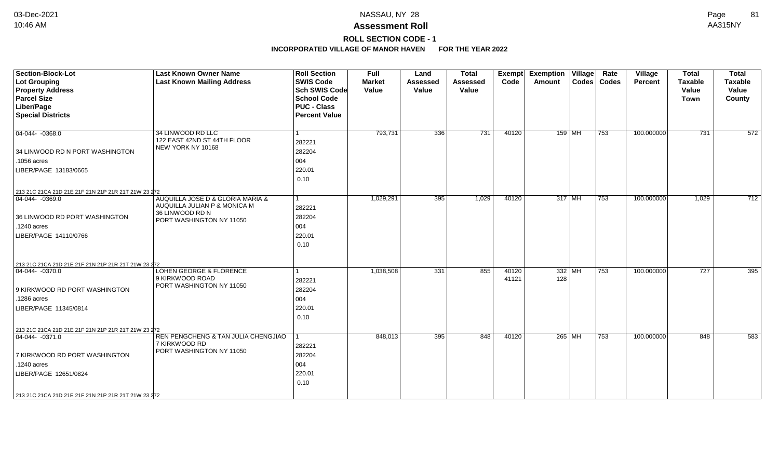**ROLL SECTION CODE - 1**

| <b>Section-Block-Lot</b><br><b>Lot Grouping</b><br><b>Property Address</b><br><b>Parcel Size</b><br>Liber/Page<br><b>Special Districts</b> | <b>Last Known Owner Name</b><br><b>Last Known Mailing Address</b>                                               | <b>Roll Section</b><br><b>SWIS Code</b><br><b>Sch SWIS Code</b><br><b>School Code</b><br><b>PUC - Class</b><br><b>Percent Value</b> | <b>Full</b><br><b>Market</b><br>Value | Land<br><b>Assessed</b><br>Value | <b>Total</b><br><b>Assessed</b><br>Value | Exempt<br>Code | <b>Exemption Village</b><br><b>Amount</b> |          | Rate<br>Codes   Codes | Village<br>Percent | <b>Total</b><br><b>Taxable</b><br>Value<br><b>Town</b> | <b>Total</b><br><b>Taxable</b><br>Value<br>County |
|--------------------------------------------------------------------------------------------------------------------------------------------|-----------------------------------------------------------------------------------------------------------------|-------------------------------------------------------------------------------------------------------------------------------------|---------------------------------------|----------------------------------|------------------------------------------|----------------|-------------------------------------------|----------|-----------------------|--------------------|--------------------------------------------------------|---------------------------------------------------|
| $ 04-044-0368.0$                                                                                                                           | 34 LINWOOD RD LLC<br>122 EAST 42ND ST 44TH FLOOR<br>NEW YORK NY 10168                                           | 1<br>282221                                                                                                                         | 793,731                               | 336                              | 731                                      | 40120          |                                           | $159$ MH | 753                   | 100.000000         | 731                                                    | 572                                               |
| 34 LINWOOD RD N PORT WASHINGTON<br>.1056 acres                                                                                             |                                                                                                                 | 282204<br>004                                                                                                                       |                                       |                                  |                                          |                |                                           |          |                       |                    |                                                        |                                                   |
| LIBER/PAGE 13183/0665                                                                                                                      |                                                                                                                 | 220.01<br>0.10                                                                                                                      |                                       |                                  |                                          |                |                                           |          |                       |                    |                                                        |                                                   |
| 213 21C 21CA 21D 21E 21F 21N 21P 21R 21T 21W 23 272                                                                                        |                                                                                                                 |                                                                                                                                     |                                       |                                  |                                          |                |                                           |          |                       |                    |                                                        |                                                   |
| $\boxed{04-044 - 0369.0}$<br>36 LINWOOD RD PORT WASHINGTON<br>.1240 acres<br>LIBER/PAGE 14110/0766                                         | AUQUILLA JOSE D & GLORIA MARIA &<br>AUQUILLA JULIAN P & MONICA M<br>36 LINWOOD RD N<br>PORT WASHINGTON NY 11050 | $\mathbf{1}$<br>282221<br>282204<br>004<br>220.01<br>0.10                                                                           | 1,029,291                             | 395                              | 1,029                                    | 40120          |                                           | $317$ MH | 753                   | 100.000000         | 1,029                                                  | 712                                               |
|                                                                                                                                            |                                                                                                                 |                                                                                                                                     |                                       |                                  |                                          |                |                                           |          |                       |                    |                                                        |                                                   |
| 213 21C 21CA 21D 21E 21F 21N 21P 21R 21T 21W 23 272<br>$ 04-044-0370.0$                                                                    | <b>LOHEN GEORGE &amp; FLORENCE</b><br>9 KIRKWOOD ROAD<br>PORT WASHINGTON NY 11050                               | 1<br>282221                                                                                                                         | 1,038,508                             | 331                              | 855                                      | 40120<br>41121 | 128                                       | $332$ MH | 753                   | 100.000000         | 727                                                    | 395                                               |
| 9 KIRKWOOD RD PORT WASHINGTON                                                                                                              |                                                                                                                 | 282204                                                                                                                              |                                       |                                  |                                          |                |                                           |          |                       |                    |                                                        |                                                   |
| .1286 acres<br>LIBER/PAGE 11345/0814                                                                                                       |                                                                                                                 | 004<br>220.01<br>0.10                                                                                                               |                                       |                                  |                                          |                |                                           |          |                       |                    |                                                        |                                                   |
| 213 21C 21CA 21D 21E 21F 21N 21P 21R 21T 21W 23 272                                                                                        |                                                                                                                 |                                                                                                                                     |                                       |                                  |                                          |                |                                           |          |                       |                    |                                                        |                                                   |
| $ 04-044-0371.0$<br>7 KIRKWOOD RD PORT WASHINGTON<br>.1240 acres<br>LIBER/PAGE 12651/0824                                                  | REN PENGCHENG & TAN JULIA CHENGJIAO<br>7 KIRKWOOD RD<br>PORT WASHINGTON NY 11050                                | 282221<br>282204<br>004<br>220.01<br>0.10                                                                                           | 848,013                               | 395                              | 848                                      | 40120          |                                           | 265 MH   | 753                   | 100.000000         | 848                                                    | 583                                               |
| 213 21C 21CA 21D 21E 21F 21N 21P 21R 21T 21W 23 272                                                                                        |                                                                                                                 |                                                                                                                                     |                                       |                                  |                                          |                |                                           |          |                       |                    |                                                        |                                                   |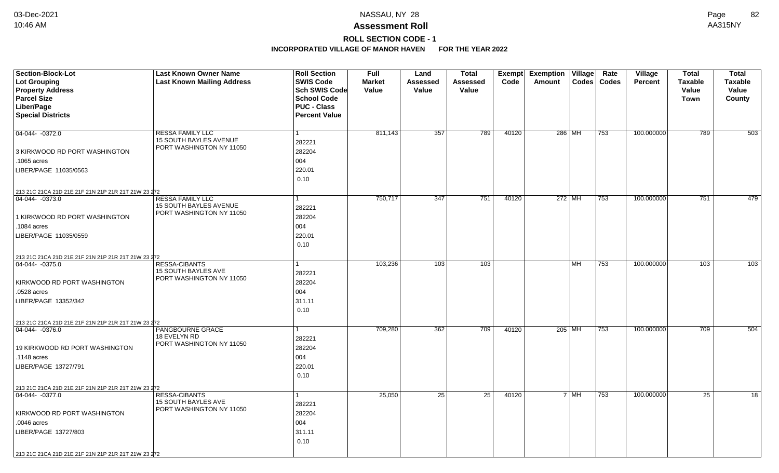### **Assessment Roll** 10:46 AM AA315NY

### **ROLL SECTION CODE - 1**

| <b>SWIS Code</b><br><b>Lot Grouping</b><br><b>Last Known Mailing Address</b><br>Code<br>Codes   Codes<br><b>Taxable</b><br><b>Taxable</b><br><b>Market</b><br>Assessed<br>Assessed<br>Amount<br><b>Percent</b><br><b>Property Address</b><br>Sch SWIS Code<br>Value<br><b>Value</b><br>Value<br>Value<br>Value<br><b>Parcel Size</b><br><b>School Code</b><br>Town<br>County<br>Liber/Page<br><b>PUC - Class</b><br><b>Special Districts</b><br><b>Percent Value</b><br>789<br>$04-044 - 0372.0$<br><b>RESSA FAMILY LLC</b><br>811,143<br>357<br>40120<br>286 MH<br>753<br>100.000000<br>789<br><b>15 SOUTH BAYLES AVENUE</b><br>282221<br>PORT WASHINGTON NY 11050<br>282204<br>3 KIRKWOOD RD PORT WASHINGTON<br>004<br>.1065 acres<br>220.01<br>LIBER/PAGE 11035/0563<br>0.10<br>213 21C 21CA 21D 21E 21F 21N 21P 21R 21T 21W 23 272<br>751<br>751<br>750,717<br>347<br>40120<br>$272$ MH<br>100.000000<br>04-044- -0373.0<br><b>RESSA FAMILY LLC</b><br>753<br>15 SOUTH BAYLES AVENUE<br>282221<br>PORT WASHINGTON NY 11050<br>1 KIRKWOOD RD PORT WASHINGTON<br>282204<br>004<br>.1084 acres<br>LIBER/PAGE 11035/0559<br>220.01<br>0.10<br>213 21C 21CA 21D 21E 21F 21N 21P 21R 21T 21W 23 272<br><b>RESSA-CIBANTS</b><br>103,236<br>103<br>103<br>100.000000<br>103<br>MH<br>753<br>04-044- -0375.0<br><b>15 SOUTH BAYLES AVE</b><br>282221<br>PORT WASHINGTON NY 11050<br>282204<br>KIRKWOOD RD PORT WASHINGTON<br>004<br>.0528 acres<br>311.11<br>LIBER/PAGE 13352/342<br>0.10<br>213 21C 21CA 21D 21E 21F 21N 21P 21R 21T 21W 23 272<br>709,280<br>362<br>709<br>40120<br>100.000000<br>709<br>$ 04-044-0376.0$<br>PANGBOURNE GRACE<br>205 MH<br>753<br>1<br>18 EVELYN RD<br>282221<br>PORT WASHINGTON NY 11050<br>282204<br>19 KIRKWOOD RD PORT WASHINGTON<br>004<br>.1148 acres<br>220.01<br>LIBER/PAGE 13727/791<br>0.10<br>213 21C 21CA 21D 21E 21F 21N 21P 21R 21T 21W 23 272<br>25<br>25<br>25<br>RESSA-CIBANTS<br>25,050<br>40120<br>$7 \mid \text{MH}$<br>753<br>100.000000<br>04-044- -0377.0<br>1<br><b>15 SOUTH BAYLES AVE</b><br>282221<br>PORT WASHINGTON NY 11050<br>KIRKWOOD RD PORT WASHINGTON<br>282204<br>.0046 acres<br>004 | Section-Block-Lot    | <b>Last Known Owner Name</b> | <b>Roll Section</b> | <b>Full</b> | Land | <b>Total</b> | Exempt | <b>Exemption Village</b> | Rate | Village | <b>Total</b> | <b>Total</b> |
|-------------------------------------------------------------------------------------------------------------------------------------------------------------------------------------------------------------------------------------------------------------------------------------------------------------------------------------------------------------------------------------------------------------------------------------------------------------------------------------------------------------------------------------------------------------------------------------------------------------------------------------------------------------------------------------------------------------------------------------------------------------------------------------------------------------------------------------------------------------------------------------------------------------------------------------------------------------------------------------------------------------------------------------------------------------------------------------------------------------------------------------------------------------------------------------------------------------------------------------------------------------------------------------------------------------------------------------------------------------------------------------------------------------------------------------------------------------------------------------------------------------------------------------------------------------------------------------------------------------------------------------------------------------------------------------------------------------------------------------------------------------------------------------------------------------------------------------------------------------------------------------------------------------------------------------------------------------------------------------------------------------------------------------------------------------------------------------------------------------------------------------------------------|----------------------|------------------------------|---------------------|-------------|------|--------------|--------|--------------------------|------|---------|--------------|--------------|
| 503<br>479<br>103<br>504<br>18                                                                                                                                                                                                                                                                                                                                                                                                                                                                                                                                                                                                                                                                                                                                                                                                                                                                                                                                                                                                                                                                                                                                                                                                                                                                                                                                                                                                                                                                                                                                                                                                                                                                                                                                                                                                                                                                                                                                                                                                                                                                                                                        |                      |                              |                     |             |      |              |        |                          |      |         |              |              |
|                                                                                                                                                                                                                                                                                                                                                                                                                                                                                                                                                                                                                                                                                                                                                                                                                                                                                                                                                                                                                                                                                                                                                                                                                                                                                                                                                                                                                                                                                                                                                                                                                                                                                                                                                                                                                                                                                                                                                                                                                                                                                                                                                       |                      |                              |                     |             |      |              |        |                          |      |         |              |              |
|                                                                                                                                                                                                                                                                                                                                                                                                                                                                                                                                                                                                                                                                                                                                                                                                                                                                                                                                                                                                                                                                                                                                                                                                                                                                                                                                                                                                                                                                                                                                                                                                                                                                                                                                                                                                                                                                                                                                                                                                                                                                                                                                                       |                      |                              |                     |             |      |              |        |                          |      |         |              |              |
|                                                                                                                                                                                                                                                                                                                                                                                                                                                                                                                                                                                                                                                                                                                                                                                                                                                                                                                                                                                                                                                                                                                                                                                                                                                                                                                                                                                                                                                                                                                                                                                                                                                                                                                                                                                                                                                                                                                                                                                                                                                                                                                                                       |                      |                              |                     |             |      |              |        |                          |      |         |              |              |
|                                                                                                                                                                                                                                                                                                                                                                                                                                                                                                                                                                                                                                                                                                                                                                                                                                                                                                                                                                                                                                                                                                                                                                                                                                                                                                                                                                                                                                                                                                                                                                                                                                                                                                                                                                                                                                                                                                                                                                                                                                                                                                                                                       |                      |                              |                     |             |      |              |        |                          |      |         |              |              |
|                                                                                                                                                                                                                                                                                                                                                                                                                                                                                                                                                                                                                                                                                                                                                                                                                                                                                                                                                                                                                                                                                                                                                                                                                                                                                                                                                                                                                                                                                                                                                                                                                                                                                                                                                                                                                                                                                                                                                                                                                                                                                                                                                       |                      |                              |                     |             |      |              |        |                          |      |         |              |              |
|                                                                                                                                                                                                                                                                                                                                                                                                                                                                                                                                                                                                                                                                                                                                                                                                                                                                                                                                                                                                                                                                                                                                                                                                                                                                                                                                                                                                                                                                                                                                                                                                                                                                                                                                                                                                                                                                                                                                                                                                                                                                                                                                                       |                      |                              |                     |             |      |              |        |                          |      |         |              |              |
|                                                                                                                                                                                                                                                                                                                                                                                                                                                                                                                                                                                                                                                                                                                                                                                                                                                                                                                                                                                                                                                                                                                                                                                                                                                                                                                                                                                                                                                                                                                                                                                                                                                                                                                                                                                                                                                                                                                                                                                                                                                                                                                                                       |                      |                              |                     |             |      |              |        |                          |      |         |              |              |
|                                                                                                                                                                                                                                                                                                                                                                                                                                                                                                                                                                                                                                                                                                                                                                                                                                                                                                                                                                                                                                                                                                                                                                                                                                                                                                                                                                                                                                                                                                                                                                                                                                                                                                                                                                                                                                                                                                                                                                                                                                                                                                                                                       |                      |                              |                     |             |      |              |        |                          |      |         |              |              |
|                                                                                                                                                                                                                                                                                                                                                                                                                                                                                                                                                                                                                                                                                                                                                                                                                                                                                                                                                                                                                                                                                                                                                                                                                                                                                                                                                                                                                                                                                                                                                                                                                                                                                                                                                                                                                                                                                                                                                                                                                                                                                                                                                       |                      |                              |                     |             |      |              |        |                          |      |         |              |              |
|                                                                                                                                                                                                                                                                                                                                                                                                                                                                                                                                                                                                                                                                                                                                                                                                                                                                                                                                                                                                                                                                                                                                                                                                                                                                                                                                                                                                                                                                                                                                                                                                                                                                                                                                                                                                                                                                                                                                                                                                                                                                                                                                                       |                      |                              |                     |             |      |              |        |                          |      |         |              |              |
|                                                                                                                                                                                                                                                                                                                                                                                                                                                                                                                                                                                                                                                                                                                                                                                                                                                                                                                                                                                                                                                                                                                                                                                                                                                                                                                                                                                                                                                                                                                                                                                                                                                                                                                                                                                                                                                                                                                                                                                                                                                                                                                                                       |                      |                              |                     |             |      |              |        |                          |      |         |              |              |
|                                                                                                                                                                                                                                                                                                                                                                                                                                                                                                                                                                                                                                                                                                                                                                                                                                                                                                                                                                                                                                                                                                                                                                                                                                                                                                                                                                                                                                                                                                                                                                                                                                                                                                                                                                                                                                                                                                                                                                                                                                                                                                                                                       |                      |                              |                     |             |      |              |        |                          |      |         |              |              |
|                                                                                                                                                                                                                                                                                                                                                                                                                                                                                                                                                                                                                                                                                                                                                                                                                                                                                                                                                                                                                                                                                                                                                                                                                                                                                                                                                                                                                                                                                                                                                                                                                                                                                                                                                                                                                                                                                                                                                                                                                                                                                                                                                       |                      |                              |                     |             |      |              |        |                          |      |         |              |              |
|                                                                                                                                                                                                                                                                                                                                                                                                                                                                                                                                                                                                                                                                                                                                                                                                                                                                                                                                                                                                                                                                                                                                                                                                                                                                                                                                                                                                                                                                                                                                                                                                                                                                                                                                                                                                                                                                                                                                                                                                                                                                                                                                                       |                      |                              |                     |             |      |              |        |                          |      |         |              |              |
|                                                                                                                                                                                                                                                                                                                                                                                                                                                                                                                                                                                                                                                                                                                                                                                                                                                                                                                                                                                                                                                                                                                                                                                                                                                                                                                                                                                                                                                                                                                                                                                                                                                                                                                                                                                                                                                                                                                                                                                                                                                                                                                                                       |                      |                              |                     |             |      |              |        |                          |      |         |              |              |
|                                                                                                                                                                                                                                                                                                                                                                                                                                                                                                                                                                                                                                                                                                                                                                                                                                                                                                                                                                                                                                                                                                                                                                                                                                                                                                                                                                                                                                                                                                                                                                                                                                                                                                                                                                                                                                                                                                                                                                                                                                                                                                                                                       |                      |                              |                     |             |      |              |        |                          |      |         |              |              |
|                                                                                                                                                                                                                                                                                                                                                                                                                                                                                                                                                                                                                                                                                                                                                                                                                                                                                                                                                                                                                                                                                                                                                                                                                                                                                                                                                                                                                                                                                                                                                                                                                                                                                                                                                                                                                                                                                                                                                                                                                                                                                                                                                       |                      |                              |                     |             |      |              |        |                          |      |         |              |              |
|                                                                                                                                                                                                                                                                                                                                                                                                                                                                                                                                                                                                                                                                                                                                                                                                                                                                                                                                                                                                                                                                                                                                                                                                                                                                                                                                                                                                                                                                                                                                                                                                                                                                                                                                                                                                                                                                                                                                                                                                                                                                                                                                                       |                      |                              |                     |             |      |              |        |                          |      |         |              |              |
|                                                                                                                                                                                                                                                                                                                                                                                                                                                                                                                                                                                                                                                                                                                                                                                                                                                                                                                                                                                                                                                                                                                                                                                                                                                                                                                                                                                                                                                                                                                                                                                                                                                                                                                                                                                                                                                                                                                                                                                                                                                                                                                                                       |                      |                              |                     |             |      |              |        |                          |      |         |              |              |
|                                                                                                                                                                                                                                                                                                                                                                                                                                                                                                                                                                                                                                                                                                                                                                                                                                                                                                                                                                                                                                                                                                                                                                                                                                                                                                                                                                                                                                                                                                                                                                                                                                                                                                                                                                                                                                                                                                                                                                                                                                                                                                                                                       |                      |                              |                     |             |      |              |        |                          |      |         |              |              |
|                                                                                                                                                                                                                                                                                                                                                                                                                                                                                                                                                                                                                                                                                                                                                                                                                                                                                                                                                                                                                                                                                                                                                                                                                                                                                                                                                                                                                                                                                                                                                                                                                                                                                                                                                                                                                                                                                                                                                                                                                                                                                                                                                       |                      |                              |                     |             |      |              |        |                          |      |         |              |              |
|                                                                                                                                                                                                                                                                                                                                                                                                                                                                                                                                                                                                                                                                                                                                                                                                                                                                                                                                                                                                                                                                                                                                                                                                                                                                                                                                                                                                                                                                                                                                                                                                                                                                                                                                                                                                                                                                                                                                                                                                                                                                                                                                                       |                      |                              |                     |             |      |              |        |                          |      |         |              |              |
|                                                                                                                                                                                                                                                                                                                                                                                                                                                                                                                                                                                                                                                                                                                                                                                                                                                                                                                                                                                                                                                                                                                                                                                                                                                                                                                                                                                                                                                                                                                                                                                                                                                                                                                                                                                                                                                                                                                                                                                                                                                                                                                                                       |                      |                              |                     |             |      |              |        |                          |      |         |              |              |
|                                                                                                                                                                                                                                                                                                                                                                                                                                                                                                                                                                                                                                                                                                                                                                                                                                                                                                                                                                                                                                                                                                                                                                                                                                                                                                                                                                                                                                                                                                                                                                                                                                                                                                                                                                                                                                                                                                                                                                                                                                                                                                                                                       |                      |                              |                     |             |      |              |        |                          |      |         |              |              |
|                                                                                                                                                                                                                                                                                                                                                                                                                                                                                                                                                                                                                                                                                                                                                                                                                                                                                                                                                                                                                                                                                                                                                                                                                                                                                                                                                                                                                                                                                                                                                                                                                                                                                                                                                                                                                                                                                                                                                                                                                                                                                                                                                       |                      |                              |                     |             |      |              |        |                          |      |         |              |              |
|                                                                                                                                                                                                                                                                                                                                                                                                                                                                                                                                                                                                                                                                                                                                                                                                                                                                                                                                                                                                                                                                                                                                                                                                                                                                                                                                                                                                                                                                                                                                                                                                                                                                                                                                                                                                                                                                                                                                                                                                                                                                                                                                                       |                      |                              |                     |             |      |              |        |                          |      |         |              |              |
|                                                                                                                                                                                                                                                                                                                                                                                                                                                                                                                                                                                                                                                                                                                                                                                                                                                                                                                                                                                                                                                                                                                                                                                                                                                                                                                                                                                                                                                                                                                                                                                                                                                                                                                                                                                                                                                                                                                                                                                                                                                                                                                                                       |                      |                              |                     |             |      |              |        |                          |      |         |              |              |
|                                                                                                                                                                                                                                                                                                                                                                                                                                                                                                                                                                                                                                                                                                                                                                                                                                                                                                                                                                                                                                                                                                                                                                                                                                                                                                                                                                                                                                                                                                                                                                                                                                                                                                                                                                                                                                                                                                                                                                                                                                                                                                                                                       |                      |                              |                     |             |      |              |        |                          |      |         |              |              |
|                                                                                                                                                                                                                                                                                                                                                                                                                                                                                                                                                                                                                                                                                                                                                                                                                                                                                                                                                                                                                                                                                                                                                                                                                                                                                                                                                                                                                                                                                                                                                                                                                                                                                                                                                                                                                                                                                                                                                                                                                                                                                                                                                       |                      |                              |                     |             |      |              |        |                          |      |         |              |              |
|                                                                                                                                                                                                                                                                                                                                                                                                                                                                                                                                                                                                                                                                                                                                                                                                                                                                                                                                                                                                                                                                                                                                                                                                                                                                                                                                                                                                                                                                                                                                                                                                                                                                                                                                                                                                                                                                                                                                                                                                                                                                                                                                                       |                      |                              |                     |             |      |              |        |                          |      |         |              |              |
|                                                                                                                                                                                                                                                                                                                                                                                                                                                                                                                                                                                                                                                                                                                                                                                                                                                                                                                                                                                                                                                                                                                                                                                                                                                                                                                                                                                                                                                                                                                                                                                                                                                                                                                                                                                                                                                                                                                                                                                                                                                                                                                                                       |                      |                              |                     |             |      |              |        |                          |      |         |              |              |
|                                                                                                                                                                                                                                                                                                                                                                                                                                                                                                                                                                                                                                                                                                                                                                                                                                                                                                                                                                                                                                                                                                                                                                                                                                                                                                                                                                                                                                                                                                                                                                                                                                                                                                                                                                                                                                                                                                                                                                                                                                                                                                                                                       |                      |                              |                     |             |      |              |        |                          |      |         |              |              |
|                                                                                                                                                                                                                                                                                                                                                                                                                                                                                                                                                                                                                                                                                                                                                                                                                                                                                                                                                                                                                                                                                                                                                                                                                                                                                                                                                                                                                                                                                                                                                                                                                                                                                                                                                                                                                                                                                                                                                                                                                                                                                                                                                       |                      |                              |                     |             |      |              |        |                          |      |         |              |              |
|                                                                                                                                                                                                                                                                                                                                                                                                                                                                                                                                                                                                                                                                                                                                                                                                                                                                                                                                                                                                                                                                                                                                                                                                                                                                                                                                                                                                                                                                                                                                                                                                                                                                                                                                                                                                                                                                                                                                                                                                                                                                                                                                                       |                      |                              |                     |             |      |              |        |                          |      |         |              |              |
|                                                                                                                                                                                                                                                                                                                                                                                                                                                                                                                                                                                                                                                                                                                                                                                                                                                                                                                                                                                                                                                                                                                                                                                                                                                                                                                                                                                                                                                                                                                                                                                                                                                                                                                                                                                                                                                                                                                                                                                                                                                                                                                                                       |                      |                              |                     |             |      |              |        |                          |      |         |              |              |
|                                                                                                                                                                                                                                                                                                                                                                                                                                                                                                                                                                                                                                                                                                                                                                                                                                                                                                                                                                                                                                                                                                                                                                                                                                                                                                                                                                                                                                                                                                                                                                                                                                                                                                                                                                                                                                                                                                                                                                                                                                                                                                                                                       |                      |                              |                     |             |      |              |        |                          |      |         |              |              |
|                                                                                                                                                                                                                                                                                                                                                                                                                                                                                                                                                                                                                                                                                                                                                                                                                                                                                                                                                                                                                                                                                                                                                                                                                                                                                                                                                                                                                                                                                                                                                                                                                                                                                                                                                                                                                                                                                                                                                                                                                                                                                                                                                       |                      |                              |                     |             |      |              |        |                          |      |         |              |              |
|                                                                                                                                                                                                                                                                                                                                                                                                                                                                                                                                                                                                                                                                                                                                                                                                                                                                                                                                                                                                                                                                                                                                                                                                                                                                                                                                                                                                                                                                                                                                                                                                                                                                                                                                                                                                                                                                                                                                                                                                                                                                                                                                                       |                      |                              |                     |             |      |              |        |                          |      |         |              |              |
|                                                                                                                                                                                                                                                                                                                                                                                                                                                                                                                                                                                                                                                                                                                                                                                                                                                                                                                                                                                                                                                                                                                                                                                                                                                                                                                                                                                                                                                                                                                                                                                                                                                                                                                                                                                                                                                                                                                                                                                                                                                                                                                                                       | LIBER/PAGE 13727/803 |                              | 311.11              |             |      |              |        |                          |      |         |              |              |
| 0.10                                                                                                                                                                                                                                                                                                                                                                                                                                                                                                                                                                                                                                                                                                                                                                                                                                                                                                                                                                                                                                                                                                                                                                                                                                                                                                                                                                                                                                                                                                                                                                                                                                                                                                                                                                                                                                                                                                                                                                                                                                                                                                                                                  |                      |                              |                     |             |      |              |        |                          |      |         |              |              |
| 213 21C 21CA 21D 21E 21F 21N 21P 21R 21T 21W 23 272                                                                                                                                                                                                                                                                                                                                                                                                                                                                                                                                                                                                                                                                                                                                                                                                                                                                                                                                                                                                                                                                                                                                                                                                                                                                                                                                                                                                                                                                                                                                                                                                                                                                                                                                                                                                                                                                                                                                                                                                                                                                                                   |                      |                              |                     |             |      |              |        |                          |      |         |              |              |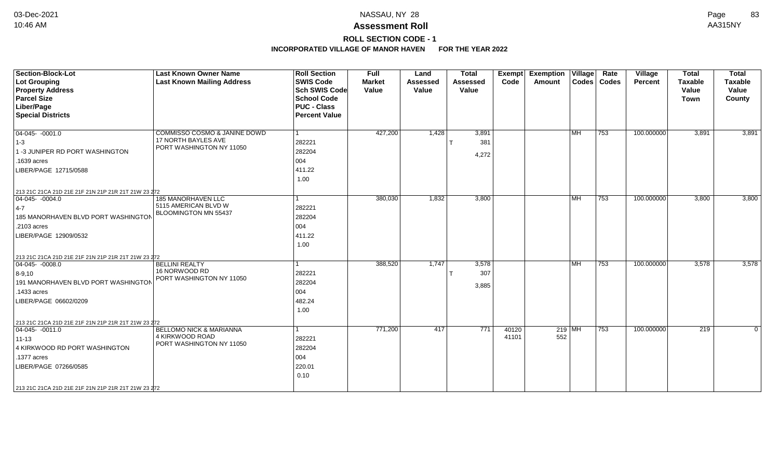### **Assessment Roll** 10:46 AM AA315NY

**ROLL SECTION CODE - 1**

| <b>Section-Block-Lot</b><br><b>Lot Grouping</b><br><b>Property Address</b><br><b>Parcel Size</b><br>Liber/Page<br><b>Special Districts</b>                                                                            | <b>Last Known Owner Name</b><br><b>Last Known Mailing Address</b>                 | <b>Roll Section</b><br><b>SWIS Code</b><br><b>Sch SWIS Code</b><br><b>School Code</b><br><b>PUC - Class</b><br><b>Percent Value</b> | <b>Full</b><br><b>Market</b><br>Value | Land<br><b>Assessed</b><br>Value | <b>Total</b><br><b>Assessed</b><br>Value | Exempt<br>Code | <b>Exemption Village</b><br>Amount |           | Rate<br>Codes   Codes | Village<br>Percent | <b>Total</b><br><b>Taxable</b><br>Value<br><b>Town</b> | <b>Total</b><br><b>Taxable</b><br>Value<br>County |
|-----------------------------------------------------------------------------------------------------------------------------------------------------------------------------------------------------------------------|-----------------------------------------------------------------------------------|-------------------------------------------------------------------------------------------------------------------------------------|---------------------------------------|----------------------------------|------------------------------------------|----------------|------------------------------------|-----------|-----------------------|--------------------|--------------------------------------------------------|---------------------------------------------------|
| $ 04-045-0001.0$<br>$ 1-3 $<br>1 -3 JUNIPER RD PORT WASHINGTON<br>.1639 acres<br>LIBER/PAGE 12715/0588                                                                                                                | COMMISSO COSMO & JANINE DOWD<br>17 NORTH BAYLES AVE<br>PORT WASHINGTON NY 11050   | $\mathbf 1$<br>282221<br>282204<br>004<br>411.22<br>1.00                                                                            | 427,200                               | 1,428                            | 3,891<br>381<br>4,272                    |                |                                    | <b>MH</b> | $ 753\rangle$         | 100.000000         | 3,891                                                  | 3,891                                             |
| 213 21C 21CA 21D 21E 21F 21N 21P 21R 21T 21W 23 272<br>$ 04-045-0004.0$<br>$ 4-7$<br>185 MANORHAVEN BLVD PORT WASHINGTON<br>.2103 acres<br>LIBER/PAGE 12909/0532                                                      | 185 MANORHAVEN LLC<br>5115 AMERICAN BLVD W<br><b>BLOOMINGTON MN 55437</b>         | 282221<br>282204<br>004<br>411.22<br>1.00                                                                                           | 380,030                               | 1,832                            | 3,800                                    |                |                                    | <b>MH</b> | 753                   | 100.000000         | 3,800                                                  | 3,800                                             |
| 213 21C 21CA 21D 21E 21F 21N 21P 21R 21T 21W 23 272<br>$ 04-045-0008.0$<br>$8 - 9,10$<br>191 MANORHAVEN BLVD PORT WASHINGTON<br>.1433 acres<br>LIBER/PAGE 06602/0209                                                  | <b>BELLINI REALTY</b><br>16 NORWOOD RD<br>PORT WASHINGTON NY 11050                | 282221<br>282204<br>004<br>482.24<br>1.00                                                                                           | 388,520                               | 1,747                            | 3,578<br>307<br>3,885                    |                |                                    | <b>MH</b> | 753                   | 100.000000         | 3,578                                                  | 3,578                                             |
| 213 21C 21CA 21D 21E 21F 21N 21P 21R 21T 21W 23 272<br>$04-045 - 0011.0$<br>$11 - 13$<br>4 KIRKWOOD RD PORT WASHINGTON<br>.1377 acres<br>LIBER/PAGE 07266/0585<br>213 21C 21CA 21D 21E 21F 21N 21P 21R 21T 21W 23 272 | <b>BELLOMO NICK &amp; MARIANNA</b><br>4 KIRKWOOD ROAD<br>PORT WASHINGTON NY 11050 | 1<br>282221<br>282204<br>004<br>220.01<br>0.10                                                                                      | 771,200                               | 417                              | 771                                      | 40120<br>41101 | 552                                | $219$ MH  | 753                   | 100.000000         | 219                                                    | $\mathbf 0$                                       |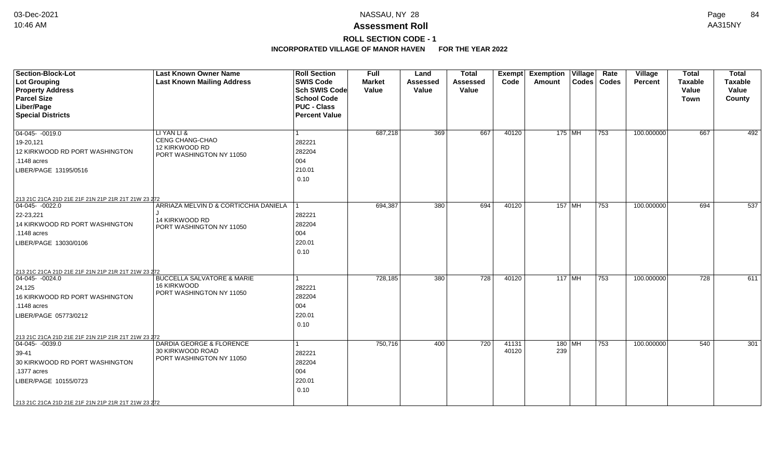## **ROLL SECTION CODE - 1**

| <b>Section-Block-Lot</b><br><b>Lot Grouping</b><br><b>Property Address</b><br><b>Parcel Size</b><br>Liber/Page<br><b>Special Districts</b>                                                                        | <b>Last Known Owner Name</b><br><b>Last Known Mailing Address</b>                   | <b>Roll Section</b><br><b>SWIS Code</b><br>Sch SWIS Code<br><b>School Code</b><br><b>PUC - Class</b><br><b>Percent Value</b> | <b>Full</b><br><b>Market</b><br>Value | Land<br><b>Assessed</b><br>Value | <b>Total</b><br><b>Assessed</b><br>Value | <b>Exempt</b><br>Code | <b>Exemption Village</b><br><b>Amount</b> | Rate<br>Codes   Codes | Village<br><b>Percent</b> | <b>Total</b><br><b>Taxable</b><br>Value<br>Town | <b>Total</b><br><b>Taxable</b><br>Value<br>County |
|-------------------------------------------------------------------------------------------------------------------------------------------------------------------------------------------------------------------|-------------------------------------------------------------------------------------|------------------------------------------------------------------------------------------------------------------------------|---------------------------------------|----------------------------------|------------------------------------------|-----------------------|-------------------------------------------|-----------------------|---------------------------|-------------------------------------------------|---------------------------------------------------|
| $04 - 045 - 0019.0$<br>19-20,121<br>12 KIRKWOOD RD PORT WASHINGTON<br>.1148 acres<br>LIBER/PAGE 13195/0516                                                                                                        | LI YAN LI &<br>CENG CHANG-CHAO<br>12 KIRKWOOD RD<br>PORT WASHINGTON NY 11050        | -1<br>282221<br>282204<br>004<br>210.01<br>0.10                                                                              | 687,218                               | 369                              | 667                                      | 40120                 | 175 MH                                    | 753                   | 100.000000                | 667                                             | 492                                               |
| 213 21C 21CA 21D 21E 21F 21N 21P 21R 21T 21W 23 272<br>$04-045 - 0022.0$<br>22-23,221<br>14 KIRKWOOD RD PORT WASHINGTON<br>.1148 acres<br>LIBER/PAGE 13030/0106                                                   | ARRIAZA MELVIN D & CORTICCHIA DANIELA<br>14 KIRKWOOD RD<br>PORT WASHINGTON NY 11050 | 11<br>282221<br>282204<br>004<br>220.01<br>0.10                                                                              | 694,387                               | 380                              | 694                                      | 40120                 | 157 MH                                    | 753                   | 100.000000                | 694                                             | 537                                               |
| 213 21C 21CA 21D 21E 21F 21N 21P 21R 21T 21W 23 272<br>$ 04-045-0024.0$<br>24,125<br>16 KIRKWOOD RD PORT WASHINGTON<br>.1148 acres<br>LIBER/PAGE 05773/0212                                                       | <b>BUCCELLA SALVATORE &amp; MARIE</b><br>16 KIRKWOOD<br>PORT WASHINGTON NY 11050    | 1<br>282221<br>282204<br>004<br>220.01<br>0.10                                                                               | 728,185                               | 380                              | $\overline{728}$                         | 40120                 | $117$ MH                                  | 753                   | 100.000000                | $\overline{728}$                                | 611                                               |
| 213 21C 21CA 21D 21E 21F 21N 21P 21R 21T 21W 23 272<br>$ 04-045-0039.0$<br>39-41<br>30 KIRKWOOD RD PORT WASHINGTON<br>.1377 acres<br>LIBER/PAGE 10155/0723<br>213 21C 21CA 21D 21E 21F 21N 21P 21R 21T 21W 23 272 | DARDIA GEORGE & FLORENCE<br>30 KIRKWOOD ROAD<br>PORT WASHINGTON NY 11050            | 282221<br>282204<br>004<br>220.01<br>0.10                                                                                    | 750,716                               | 400                              | 720                                      | 41131<br>40120        | $180$ MH<br>239                           | 753                   | 100.000000                | 540                                             | $\overline{301}$                                  |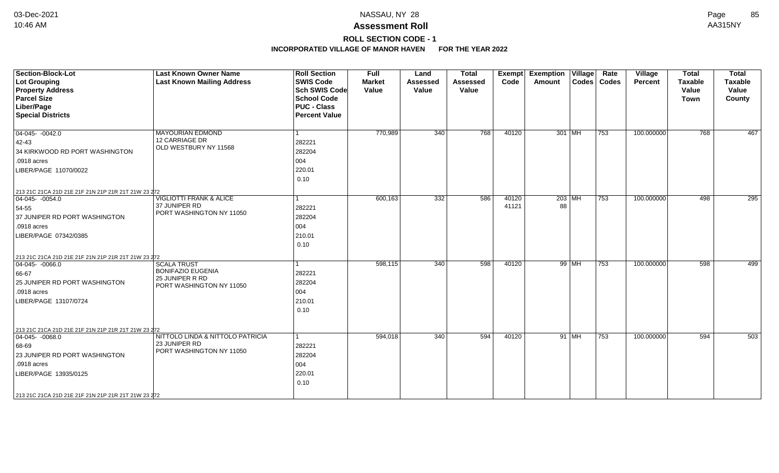**ROLL SECTION CODE - 1**

| <b>Section-Block-Lot</b><br><b>Lot Grouping</b><br><b>Property Address</b><br><b>Parcel Size</b><br>Liber/Page<br><b>Special Districts</b>                                                                         | <b>Last Known Owner Name</b><br><b>Last Known Mailing Address</b>                             | <b>Roll Section</b><br><b>SWIS Code</b><br><b>Sch SWIS Code</b><br><b>School Code</b><br><b>PUC - Class</b><br><b>Percent Value</b> | <b>Full</b><br><b>Market</b><br>Value | Land<br><b>Assessed</b><br>Value | <b>Total</b><br><b>Assessed</b><br>Value | Exempt<br>Code | <b>Exemption Village</b><br>Amount |         | Rate<br>Codes   Codes | <b>Village</b><br>Percent | <b>Total</b><br><b>Taxable</b><br>Value<br><b>Town</b> | <b>Total</b><br><b>Taxable</b><br>Value<br>County |
|--------------------------------------------------------------------------------------------------------------------------------------------------------------------------------------------------------------------|-----------------------------------------------------------------------------------------------|-------------------------------------------------------------------------------------------------------------------------------------|---------------------------------------|----------------------------------|------------------------------------------|----------------|------------------------------------|---------|-----------------------|---------------------------|--------------------------------------------------------|---------------------------------------------------|
| 04-045- -0042.0<br>42-43<br>34 KIRKWOOD RD PORT WASHINGTON<br>.0918 acres<br>LIBER/PAGE 11070/0022                                                                                                                 | <b>MAYOURIAN EDMOND</b><br><b>12 CARRIAGE DR</b><br>OLD WESTBURY NY 11568                     | 282221<br>282204<br>004<br>220.01<br>0.10                                                                                           | 770,989                               | 340                              | 768                                      | 40120          | $301$ MH                           |         | $ 753\rangle$         | 100.000000                | 768                                                    | 467                                               |
| 213 21C 21CA 21D 21E 21F 21N 21P 21R 21T 21W 23 272<br>$04-045 - 0054.0$<br>54-55<br>37 JUNIPER RD PORT WASHINGTON<br>.0918 acres<br>LIBER/PAGE 07342/0385                                                         | <b>VIGLIOTTI FRANK &amp; ALICE</b><br>37 JUNIPER RD<br>PORT WASHINGTON NY 11050               | 282221<br>282204<br>004<br>210.01<br>0.10                                                                                           | 600,163                               | 332                              | 586                                      | 40120<br>41121 | $203$ MH<br>88                     |         | $\overline{753}$      | 100.000000                | 498                                                    | 295                                               |
| 213 21C 21CA 21D 21E 21F 21N 21P 21R 21T 21W 23 272<br>$ 04-045-0066.0$<br>66-67<br>25 JUNIPER RD PORT WASHINGTON<br>.0918 acres<br>LIBER/PAGE 13107/0724                                                          | <b>SCALA TRUST</b><br><b>BONIFAZIO EUGENIA</b><br>25 JUNIPER R RD<br>PORT WASHINGTON NY 11050 | 282221<br>282204<br>004<br>210.01<br>0.10                                                                                           | 598,115                               | 340                              | 598                                      | 40120          |                                    | 99 MH   | 753                   | 100.000000                | 598                                                    | 499                                               |
| 213 21C 21CA 21D 21E 21F 21N 21P 21R 21T 21W 23 272<br>$ 04-045 - 0068.0$<br>68-69<br>23 JUNIPER RD PORT WASHINGTON<br>.0918 acres<br>LIBER/PAGE 13935/0125<br>213 21C 21CA 21D 21E 21F 21N 21P 21R 21T 21W 23 272 | NITTOLO LINDA & NITTOLO PATRICIA<br>23 JUNIPER RD<br>PORT WASHINGTON NY 11050                 | 282221<br>282204<br>004<br>220.01<br>0.10                                                                                           | 594,018                               | 340                              | 594                                      | 40120          |                                    | 91   MH | 753                   | 100.000000                | 594                                                    | 503                                               |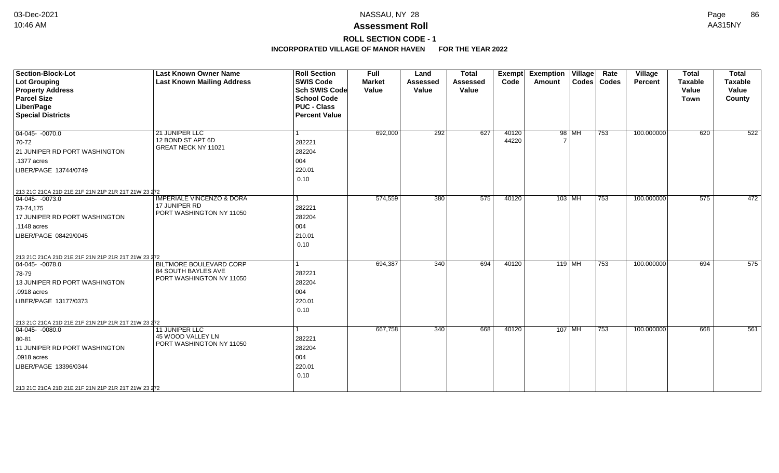# **ROLL SECTION CODE - 1**

| <b>Section-Block-Lot</b><br><b>Lot Grouping</b><br><b>Property Address</b><br><b>Parcel Size</b><br>Liber/Page<br><b>Special Districts</b>                                                                                   | <b>Last Known Owner Name</b><br><b>Last Known Mailing Address</b>                 | <b>Roll Section</b><br><b>SWIS Code</b><br><b>Sch SWIS Code</b><br><b>School Code</b><br><b>PUC - Class</b><br><b>Percent Value</b> | <b>Full</b><br><b>Market</b><br>Value | Land<br><b>Assessed</b><br>Value | <b>Total</b><br><b>Assessed</b><br>Value | Exempt<br>Code | <b>Exemption Village</b><br><b>Amount</b> |          | Rate<br>Codes   Codes | Village<br>Percent | <b>Total</b><br><b>Taxable</b><br>Value<br><b>Town</b> | <b>Total</b><br><b>Taxable</b><br>Value<br>County |
|------------------------------------------------------------------------------------------------------------------------------------------------------------------------------------------------------------------------------|-----------------------------------------------------------------------------------|-------------------------------------------------------------------------------------------------------------------------------------|---------------------------------------|----------------------------------|------------------------------------------|----------------|-------------------------------------------|----------|-----------------------|--------------------|--------------------------------------------------------|---------------------------------------------------|
| $\boxed{04-045 - 0070.0}$<br>70-72<br>21 JUNIPER RD PORT WASHINGTON<br>.1377 acres<br>LIBER/PAGE 13744/0749                                                                                                                  | 21 JUNIPER LLC<br>12 BOND ST APT 6D<br>GREAT NECK NY 11021                        | 282221<br>282204<br>004<br>220.01<br>0.10                                                                                           | 692,000                               | 292                              | 627                                      | 40120<br>44220 |                                           | 98 MH    | $\overline{753}$      | 100.000000         | 620                                                    | 522                                               |
| 213 21C 21CA 21D 21E 21F 21N 21P 21R 21T 21W 23 272<br>$ 04-045-0073.0$<br>73-74,175<br>17 JUNIPER RD PORT WASHINGTON<br>.1148 acres<br>LIBER/PAGE 08429/0045                                                                | <b>IMPERIALE VINCENZO &amp; DORA</b><br>17 JUNIPER RD<br>PORT WASHINGTON NY 11050 | 1<br>282221<br>282204<br>004<br>210.01<br>0.10                                                                                      | 574,559                               | 380                              | 575                                      | 40120          |                                           | $103$ MH | $\overline{753}$      | 100.000000         | 575                                                    | 472                                               |
| 213 21C 21CA 21D 21E 21F 21N 21P 21R 21T 21W 23 272<br>$ 04-045-0078.0$<br>78-79<br>13 JUNIPER RD PORT WASHINGTON<br>.0918 acres<br>LIBER/PAGE 13177/0373                                                                    | BILTMORE BOULEVARD CORP<br>84 SOUTH BAYLES AVE<br>PORT WASHINGTON NY 11050        | 1<br>282221<br>282204<br>004<br>220.01<br>0.10                                                                                      | 694,387                               | 340                              | 694                                      | 40120          | $119$ MH                                  |          | 753                   | 100.000000         | 694                                                    | 575                                               |
| 213 21C 21CA 21D 21E 21F 21N 21P 21R 21T 21W 23 272<br>$\overline{04-045}$ - 0080.0<br>80-81<br>11 JUNIPER RD PORT WASHINGTON<br>.0918 acres<br>LIBER/PAGE 13396/0344<br>213 21C 21CA 21D 21E 21F 21N 21P 21R 21T 21W 23 272 | 11 JUNIPER LLC<br>45 WOOD VALLEY LN<br>PORT WASHINGTON NY 11050                   | 1<br>282221<br>282204<br>004<br>220.01<br>0.10                                                                                      | 667,758                               | 340                              | 668                                      | 40120          | $107$ MH                                  |          | 753                   | 100.000000         | 668                                                    | 561                                               |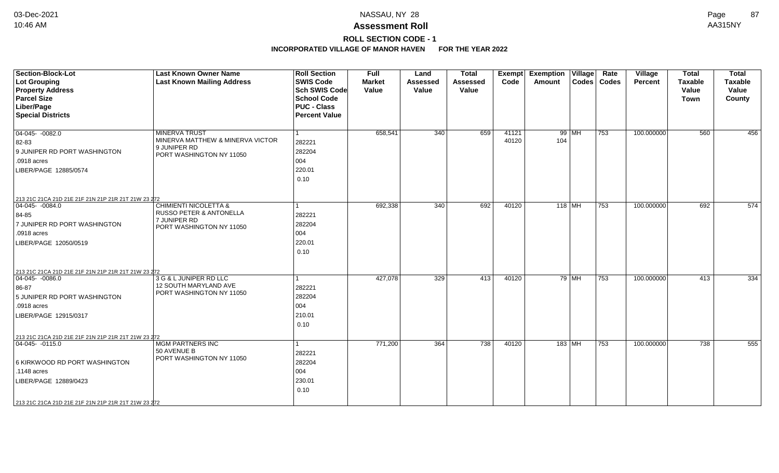## **ROLL SECTION CODE - 1**

| <b>Section-Block-Lot</b><br>Lot Grouping<br><b>Property Address</b><br><b>Parcel Size</b><br>Liber/Page<br><b>Special Districts</b>                                                                     | <b>Last Known Owner Name</b><br><b>Last Known Mailing Address</b>                                       | <b>Roll Section</b><br><b>SWIS Code</b><br><b>Sch SWIS Code</b><br><b>School Code</b><br><b>PUC - Class</b><br><b>Percent Value</b> | <b>Full</b><br><b>Market</b><br>Value | Land<br><b>Assessed</b><br>Value | <b>Total</b><br>Assessed<br>Value | <b>Exempt</b><br>Code | <b>Exemption</b><br>Amount | $\overline{\overline{\mathsf{V}}\mathsf{illage}}$ | Rate<br>Codes   Codes | <b>Village</b><br><b>Percent</b> | <b>Total</b><br><b>Taxable</b><br>Value<br><b>Town</b> | <b>Total</b><br><b>Taxable</b><br>Value<br>County |
|---------------------------------------------------------------------------------------------------------------------------------------------------------------------------------------------------------|---------------------------------------------------------------------------------------------------------|-------------------------------------------------------------------------------------------------------------------------------------|---------------------------------------|----------------------------------|-----------------------------------|-----------------------|----------------------------|---------------------------------------------------|-----------------------|----------------------------------|--------------------------------------------------------|---------------------------------------------------|
| $\boxed{04-045 - 0082.0}$<br>82-83<br>9 JUNIPER RD PORT WASHINGTON<br>.0918 acres<br>LIBER/PAGE 12885/0574                                                                                              | <b>MINERVA TRUST</b><br>MINERVA MATTHEW & MINERVA VICTOR<br>9 JUNIPER RD<br>PORT WASHINGTON NY 11050    | $\vert$ 1<br>282221<br>282204<br>004<br>220.01<br>0.10                                                                              | 658,541                               | 340                              | 659                               | 41121<br>40120        | 104                        | $99$ MH                                           | 753                   | 100.000000                       | 560                                                    | 456                                               |
| 213 21C 21CA 21D 21E 21F 21N 21P 21R 21T 21W 23 272<br>$\boxed{04-045 - 0084.0}$<br>84-85<br>7 JUNIPER RD PORT WASHINGTON<br>.0918 acres<br>LIBER/PAGE 12050/0519                                       | <b>CHIMIENTI NICOLETTA &amp;</b><br>RUSSO PETER & ANTONELLA<br>7 JUNIPER RD<br>PORT WASHINGTON NY 11050 | $\mathbf 1$<br>282221<br>282204<br>004<br>220.01<br>0.10                                                                            | 692,338                               | 340                              | 692                               | 40120                 | $118$ MH                   |                                                   | 753                   | 100.000000                       | 692                                                    | 574                                               |
| 213 21C 21CA 21D 21E 21F 21N 21P 21R 21T 21W 23 272<br>$ 04-045-0086.0$<br>86-87<br>5 JUNIPER RD PORT WASHINGTON<br>.0918 acres<br>LIBER/PAGE 12915/0317                                                | 3 G & L JUNIPER RD LLC<br>12 SOUTH MARYLAND AVE<br>PORT WASHINGTON NY 11050                             | -1<br>282221<br>282204<br>004<br>210.01<br>0.10                                                                                     | 427,078                               | 329                              | 413                               | 40120                 |                            | $79$ MH                                           | 753                   | 100.000000                       | 413                                                    | 334                                               |
| 213 21C 21CA 21D 21E 21F 21N 21P 21R 21T 21W 23 272<br>$ 04-045-0115.0$<br>6 KIRKWOOD RD PORT WASHINGTON<br>.1148 acres<br>LIBER/PAGE 12889/0423<br>213 21C 21CA 21D 21E 21F 21N 21P 21R 21T 21W 23 272 | <b>MGM PARTNERS INC</b><br>50 AVENUE B<br>PORT WASHINGTON NY 11050                                      | $\mathbf{1}$<br>282221<br>282204<br>004<br>230.01<br>0.10                                                                           | 771,200                               | 364                              | 738                               | 40120                 | $183$ MH                   |                                                   | 753                   | 100.000000                       | 738                                                    | 555                                               |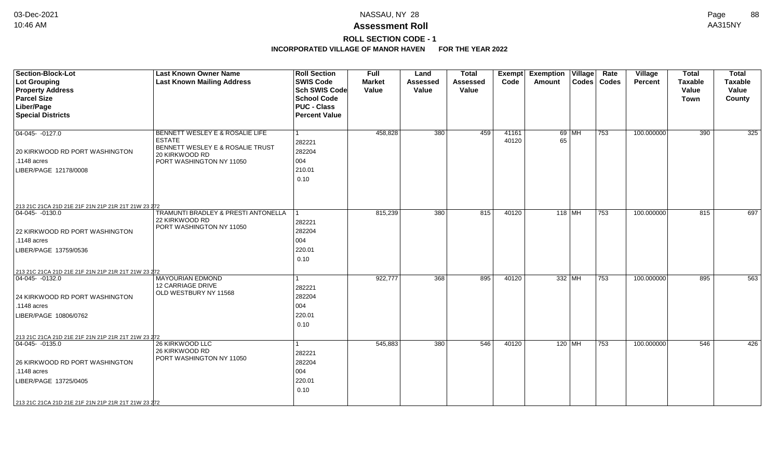**ROLL SECTION CODE - 1**

| <b>Section-Block-Lot</b><br>Lot Grouping<br><b>Property Address</b> | <b>Last Known Owner Name</b><br><b>Last Known Mailing Address</b> | <b>Roll Section</b><br><b>SWIS Code</b><br>Sch SWIS Code | Full<br><b>Market</b><br>Value | Land<br><b>Assessed</b><br>Value | <b>Total</b><br><b>Assessed</b><br>Value | Exempt<br>Code | <b>Exemption Village</b><br>Amount |          | Rate<br>Codes   Codes | Village<br><b>Percent</b> | <b>Total</b><br><b>Taxable</b><br>Value | <b>Total</b><br><b>Taxable</b><br>Value |
|---------------------------------------------------------------------|-------------------------------------------------------------------|----------------------------------------------------------|--------------------------------|----------------------------------|------------------------------------------|----------------|------------------------------------|----------|-----------------------|---------------------------|-----------------------------------------|-----------------------------------------|
| <b>Parcel Size</b>                                                  |                                                                   | <b>School Code</b>                                       |                                |                                  |                                          |                |                                    |          |                       |                           | <b>Town</b>                             | County                                  |
| Liber/Page                                                          |                                                                   | <b>PUC - Class</b>                                       |                                |                                  |                                          |                |                                    |          |                       |                           |                                         |                                         |
| <b>Special Districts</b>                                            |                                                                   | <b>Percent Value</b>                                     |                                |                                  |                                          |                |                                    |          |                       |                           |                                         |                                         |
|                                                                     |                                                                   |                                                          |                                |                                  |                                          |                |                                    |          |                       |                           |                                         |                                         |
| $ 04-045-0127.0$                                                    | BENNETT WESLEY E & ROSALIE LIFE                                   |                                                          | 458,828                        | 380                              | 459                                      | 41161          |                                    | 69 MH    | 753                   | 100.000000                | 390                                     | 325                                     |
|                                                                     | <b>ESTATE</b>                                                     | 282221                                                   |                                |                                  |                                          | 40120          | 65                                 |          |                       |                           |                                         |                                         |
| 20 KIRKWOOD RD PORT WASHINGTON                                      | BENNETT WESLEY E & ROSALIE TRUST<br>20 KIRKWOOD RD                | 282204                                                   |                                |                                  |                                          |                |                                    |          |                       |                           |                                         |                                         |
| .1148 acres                                                         | PORT WASHINGTON NY 11050                                          | 004                                                      |                                |                                  |                                          |                |                                    |          |                       |                           |                                         |                                         |
| LIBER/PAGE 12178/0008                                               |                                                                   | 210.01                                                   |                                |                                  |                                          |                |                                    |          |                       |                           |                                         |                                         |
|                                                                     |                                                                   | 0.10                                                     |                                |                                  |                                          |                |                                    |          |                       |                           |                                         |                                         |
|                                                                     |                                                                   |                                                          |                                |                                  |                                          |                |                                    |          |                       |                           |                                         |                                         |
|                                                                     |                                                                   |                                                          |                                |                                  |                                          |                |                                    |          |                       |                           |                                         |                                         |
| 213 21C 21CA 21D 21E 21F 21N 21P 21R 21T 21W 23 272                 |                                                                   |                                                          |                                |                                  |                                          |                |                                    |          |                       |                           |                                         |                                         |
| $ 04-045-0130.0$                                                    | TRAMUNTI BRADLEY & PRESTI ANTONELLA<br>22 KIRKWOOD RD             |                                                          | 815,239                        | 380                              | 815                                      | 40120          |                                    | $118$ MH | 753                   | 100.000000                | 815                                     | 697                                     |
|                                                                     | PORT WASHINGTON NY 11050                                          | 282221                                                   |                                |                                  |                                          |                |                                    |          |                       |                           |                                         |                                         |
| 22 KIRKWOOD RD PORT WASHINGTON                                      |                                                                   | 282204                                                   |                                |                                  |                                          |                |                                    |          |                       |                           |                                         |                                         |
| .1148 acres                                                         |                                                                   | 004                                                      |                                |                                  |                                          |                |                                    |          |                       |                           |                                         |                                         |
| LIBER/PAGE 13759/0536                                               |                                                                   | 220.01                                                   |                                |                                  |                                          |                |                                    |          |                       |                           |                                         |                                         |
|                                                                     |                                                                   | 0.10                                                     |                                |                                  |                                          |                |                                    |          |                       |                           |                                         |                                         |
| 213 21C 21CA 21D 21E 21F 21N 21P 21R 21T 21W 23 272                 |                                                                   |                                                          |                                |                                  |                                          |                |                                    |          |                       |                           |                                         |                                         |
| $\overline{04-045} - 0132.0$                                        | <b>MAYOURIAN EDMOND</b>                                           |                                                          | 922,777                        | 368                              | 895                                      | 40120          |                                    | 332 MH   | 753                   | 100.000000                | 895                                     | 563                                     |
|                                                                     | <b>12 CARRIAGE DRIVE</b><br>OLD WESTBURY NY 11568                 | 282221                                                   |                                |                                  |                                          |                |                                    |          |                       |                           |                                         |                                         |
| 24 KIRKWOOD RD PORT WASHINGTON                                      |                                                                   | 282204                                                   |                                |                                  |                                          |                |                                    |          |                       |                           |                                         |                                         |
| .1148 acres                                                         |                                                                   | 004                                                      |                                |                                  |                                          |                |                                    |          |                       |                           |                                         |                                         |
| LIBER/PAGE 10806/0762                                               |                                                                   | 220.01                                                   |                                |                                  |                                          |                |                                    |          |                       |                           |                                         |                                         |
|                                                                     |                                                                   | 0.10                                                     |                                |                                  |                                          |                |                                    |          |                       |                           |                                         |                                         |
| 213 21C 21CA 21D 21E 21F 21N 21P 21R 21T 21W 23 272                 |                                                                   |                                                          |                                |                                  |                                          |                |                                    |          |                       |                           |                                         |                                         |
| $ 04-045-0135.0$                                                    | 26 KIRKWOOD LLC                                                   |                                                          | 545,883                        | 380                              | 546                                      | 40120          |                                    | $120$ MH | 753                   | 100.000000                | 546                                     | 426                                     |
|                                                                     | 26 KIRKWOOD RD                                                    | 282221                                                   |                                |                                  |                                          |                |                                    |          |                       |                           |                                         |                                         |
| 26 KIRKWOOD RD PORT WASHINGTON                                      | PORT WASHINGTON NY 11050                                          | 282204                                                   |                                |                                  |                                          |                |                                    |          |                       |                           |                                         |                                         |
| .1148 acres                                                         |                                                                   | 004                                                      |                                |                                  |                                          |                |                                    |          |                       |                           |                                         |                                         |
| LIBER/PAGE 13725/0405                                               |                                                                   | 220.01                                                   |                                |                                  |                                          |                |                                    |          |                       |                           |                                         |                                         |
|                                                                     |                                                                   | 0.10                                                     |                                |                                  |                                          |                |                                    |          |                       |                           |                                         |                                         |
| 213 21C 21CA 21D 21E 21F 21N 21P 21R 21T 21W 23 272                 |                                                                   |                                                          |                                |                                  |                                          |                |                                    |          |                       |                           |                                         |                                         |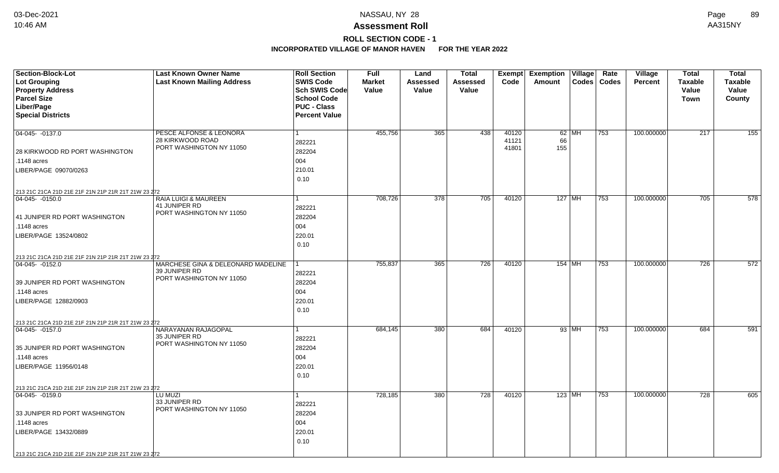# **ROLL SECTION CODE - 1**

| Section-Block-Lot<br><b>Lot Grouping</b><br><b>Property Address</b>    | <b>Last Known Owner Name</b><br><b>Last Known Mailing Address</b>               | <b>Roll Section</b><br><b>SWIS Code</b><br>Sch SWIS Code         | <b>Full</b><br><b>Market</b><br>Value | Land<br>Assessed<br>Value | <b>Total</b><br>Assessed<br>Value | Code                    | Exempt Exemption<br>Amount | Village | Rate<br>Codes   Codes | <b>Village</b><br><b>Percent</b> | <b>Total</b><br><b>Taxable</b><br>Value | <b>Total</b><br><b>Taxable</b><br>Value |
|------------------------------------------------------------------------|---------------------------------------------------------------------------------|------------------------------------------------------------------|---------------------------------------|---------------------------|-----------------------------------|-------------------------|----------------------------|---------|-----------------------|----------------------------------|-----------------------------------------|-----------------------------------------|
| <b>Parcel Size</b><br>Liber/Page<br><b>Special Districts</b>           |                                                                                 | <b>School Code</b><br><b>PUC - Class</b><br><b>Percent Value</b> |                                       |                           |                                   |                         |                            |         |                       |                                  | <b>Town</b>                             | County                                  |
| 04-045- -0137.0                                                        | PESCE ALFONSE & LEONORA<br>28 KIRKWOOD ROAD<br>PORT WASHINGTON NY 11050         | $\mathbf{1}$<br>282221                                           | 455,756                               | 365                       | 438                               | 40120<br>41121<br>41801 | 66<br>155                  | $62$ MH | 753                   | 100.000000                       | 217                                     | 155                                     |
| 28 KIRKWOOD RD PORT WASHINGTON                                         |                                                                                 | 282204                                                           |                                       |                           |                                   |                         |                            |         |                       |                                  |                                         |                                         |
| .1148 acres                                                            |                                                                                 | 004                                                              |                                       |                           |                                   |                         |                            |         |                       |                                  |                                         |                                         |
| LIBER/PAGE 09070/0263                                                  |                                                                                 | 210.01<br>0.10                                                   |                                       |                           |                                   |                         |                            |         |                       |                                  |                                         |                                         |
| 213 21C 21CA 21D 21E 21F 21N 21P 21R 21T 21W 23 272                    |                                                                                 |                                                                  |                                       |                           |                                   |                         |                            |         |                       |                                  |                                         |                                         |
| 04-045- -0150.0                                                        | RAIA LUIGI & MAUREEN<br>41 JUNIPER RD<br>PORT WASHINGTON NY 11050               | 1<br>282221                                                      | 708,726                               | 378                       | 705                               | 40120                   | 127   MH                   |         | 753                   | 100.000000                       | 705                                     | 578                                     |
| 41 JUNIPER RD PORT WASHINGTON                                          |                                                                                 | 282204                                                           |                                       |                           |                                   |                         |                            |         |                       |                                  |                                         |                                         |
| .1148 acres                                                            |                                                                                 | 004                                                              |                                       |                           |                                   |                         |                            |         |                       |                                  |                                         |                                         |
| LIBER/PAGE 13524/0802                                                  |                                                                                 | 220.01<br>0.10                                                   |                                       |                           |                                   |                         |                            |         |                       |                                  |                                         |                                         |
| 213 21C 21CA 21D 21E 21F 21N 21P 21R 21T 21W 23 272                    |                                                                                 |                                                                  |                                       |                           |                                   |                         |                            |         |                       |                                  |                                         |                                         |
| 04-045- -0152.0                                                        | MARCHESE GINA & DELEONARD MADELINE<br>39 JUNIPER RD<br>PORT WASHINGTON NY 11050 | 1<br>282221                                                      | 755,837                               | 365                       | 726                               | 40120                   | $154$ MH                   |         | 753                   | 100.000000                       | 726                                     | 572                                     |
| 39 JUNIPER RD PORT WASHINGTON                                          |                                                                                 | 282204                                                           |                                       |                           |                                   |                         |                            |         |                       |                                  |                                         |                                         |
| .1148 acres                                                            |                                                                                 | 004                                                              |                                       |                           |                                   |                         |                            |         |                       |                                  |                                         |                                         |
| LIBER/PAGE 12882/0903                                                  |                                                                                 | 220.01<br>0.10                                                   |                                       |                           |                                   |                         |                            |         |                       |                                  |                                         |                                         |
| 213 21C 21CA 21D 21E 21F 21N 21P 21R 21T 21W 23 272                    |                                                                                 |                                                                  |                                       |                           |                                   |                         |                            |         |                       |                                  |                                         |                                         |
| $ 04-045-0157.0$                                                       | NARAYANAN RAJAGOPAL<br>35 JUNIPER RD<br>PORT WASHINGTON NY 11050                | $\mathbf{1}$<br>282221                                           | 684,145                               | 380                       | 684                               | 40120                   |                            | 93 MH   | 753                   | 100.000000                       | 684                                     | 591                                     |
| 35 JUNIPER RD PORT WASHINGTON                                          |                                                                                 | 282204                                                           |                                       |                           |                                   |                         |                            |         |                       |                                  |                                         |                                         |
| .1148 acres                                                            |                                                                                 | 004                                                              |                                       |                           |                                   |                         |                            |         |                       |                                  |                                         |                                         |
| LIBER/PAGE 11956/0148                                                  |                                                                                 | 220.01<br>0.10                                                   |                                       |                           |                                   |                         |                            |         |                       |                                  |                                         |                                         |
|                                                                        |                                                                                 |                                                                  |                                       |                           |                                   |                         |                            |         |                       |                                  |                                         |                                         |
| 213 21C 21CA 21D 21E 21F 21N 21P 21R 21T 21W 23 272<br>04-045- -0159.0 | LU MUZI                                                                         | $\mathbf{1}$                                                     | 728,185                               | 380                       | 728                               | 40120                   | 123   MH                   |         | 753                   | 100.000000                       | 728                                     | 605                                     |
|                                                                        | 33 JUNIPER RD                                                                   | 282221                                                           |                                       |                           |                                   |                         |                            |         |                       |                                  |                                         |                                         |
| 33 JUNIPER RD PORT WASHINGTON                                          | PORT WASHINGTON NY 11050                                                        | 282204                                                           |                                       |                           |                                   |                         |                            |         |                       |                                  |                                         |                                         |
| .1148 acres                                                            |                                                                                 | 004                                                              |                                       |                           |                                   |                         |                            |         |                       |                                  |                                         |                                         |
| LIBER/PAGE 13432/0889                                                  |                                                                                 | 220.01<br>0.10                                                   |                                       |                           |                                   |                         |                            |         |                       |                                  |                                         |                                         |
| 213 21C 21CA 21D 21E 21F 21N 21P 21R 21T 21W 23 272                    |                                                                                 |                                                                  |                                       |                           |                                   |                         |                            |         |                       |                                  |                                         |                                         |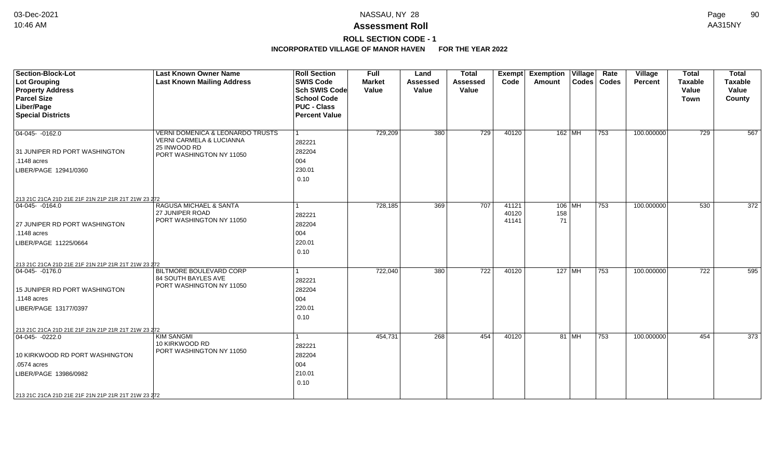### **ROLL SECTION CODE - 1**

| Section-Block-Lot<br><b>Lot Grouping</b><br><b>Property Address</b><br><b>Parcel Size</b><br>Liber/Page<br><b>Special Districts</b>                                                                      | <b>Last Known Owner Name</b><br><b>Last Known Mailing Address</b>                                        | <b>Roll Section</b><br><b>SWIS Code</b><br><b>Sch SWIS Code</b><br><b>School Code</b><br><b>PUC - Class</b><br><b>Percent Value</b> | <b>Full</b><br><b>Market</b><br>Value | Land<br><b>Assessed</b><br>Value | <b>Total</b><br><b>Assessed</b><br>Value | <b>Exempt</b><br>Code   | <b>Exemption</b><br>$\overline{ \mathsf{Village} }$<br>Amount | Rate<br>Codes   Codes | Village<br>Percent | <b>Total</b><br><b>Taxable</b><br>Value<br>Town | <b>Total</b><br><b>Taxable</b><br>Value<br>County |
|----------------------------------------------------------------------------------------------------------------------------------------------------------------------------------------------------------|----------------------------------------------------------------------------------------------------------|-------------------------------------------------------------------------------------------------------------------------------------|---------------------------------------|----------------------------------|------------------------------------------|-------------------------|---------------------------------------------------------------|-----------------------|--------------------|-------------------------------------------------|---------------------------------------------------|
| $04-045 - 0162.0$<br>31 JUNIPER RD PORT WASHINGTON<br>.1148 acres<br>LIBER/PAGE 12941/0360                                                                                                               | VERNI DOMENICA & LEONARDO TRUSTS<br>VERNI CARMELA & LUCIANNA<br>25 INWOOD RD<br>PORT WASHINGTON NY 11050 | 282221<br>282204<br>004<br>230.01<br>0.10                                                                                           | 729,209                               | 380                              | $\overline{729}$                         | 40120                   | $162$ MH                                                      | 753                   | 100.000000         | 729                                             | 567                                               |
| 213 21C 21CA 21D 21E 21F 21N 21P 21R 21T 21W 23 272                                                                                                                                                      |                                                                                                          |                                                                                                                                     |                                       |                                  | 707                                      |                         |                                                               |                       |                    |                                                 |                                                   |
| 04-045- -0164.0<br>27 JUNIPER RD PORT WASHINGTON<br>.1148 acres<br>LIBER/PAGE 11225/0664<br>213 21C 21CA 21D 21E 21F 21N 21P 21R 21T 21W 23 272                                                          | RAGUSA MICHAEL & SANTA<br>27 JUNIPER ROAD<br>PORT WASHINGTON NY 11050                                    | 282221<br>282204<br>004<br>220.01<br>0.10                                                                                           | 728,185                               | 369                              |                                          | 41121<br>40120<br>41141 | $106$ MH<br>158<br>71                                         | 753                   | 100.000000         | 530                                             | 372                                               |
| $ 04-045-0176.0$<br>15 JUNIPER RD PORT WASHINGTON<br>.1148 acres<br>LIBER/PAGE 13177/0397                                                                                                                | BILTMORE BOULEVARD CORP<br><b>84 SOUTH BAYLES AVE</b><br>PORT WASHINGTON NY 11050                        | 282221<br>282204<br>004<br>220.01<br>0.10                                                                                           | 722,040                               | 380                              | 722                                      | 40120                   | 127   MH                                                      | 753                   | 100.000000         | 722                                             | 595                                               |
| 213 21C 21CA 21D 21E 21F 21N 21P 21R 21T 21W 23 272<br>$ 04-045-0222.0$<br>10 KIRKWOOD RD PORT WASHINGTON<br>.0574 acres<br>LIBER/PAGE 13986/0982<br>213 21C 21CA 21D 21E 21F 21N 21P 21R 21T 21W 23 272 | <b>KIM SANGMI</b><br>10 KIRKWOOD RD<br>PORT WASHINGTON NY 11050                                          | 282221<br>282204<br>004<br>210.01<br>0.10                                                                                           | 454,731                               | 268                              | 454                                      | 40120                   | 81   MH                                                       | 753                   | 100.000000         | 454                                             | 373                                               |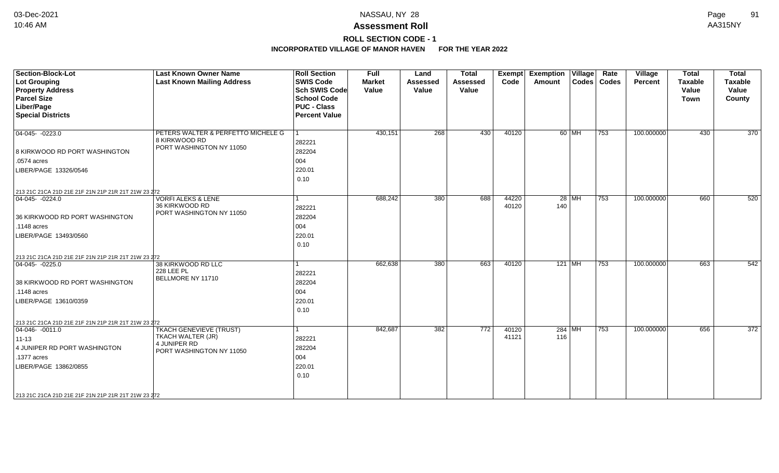### **Assessment Roll** 10:46 AM AA315NY

**ROLL SECTION CODE - 1**

| <b>Section-Block-Lot</b><br><b>Lot Grouping</b><br><b>Property Address</b><br><b>Parcel Size</b><br>Liber/Page<br><b>Special Districts</b>                                                                      | <b>Last Known Owner Name</b><br><b>Last Known Mailing Address</b>                               | <b>Roll Section</b><br><b>SWIS Code</b><br><b>Sch SWIS Code</b><br><b>School Code</b><br><b>PUC - Class</b><br><b>Percent Value</b> | <b>Full</b><br><b>Market</b><br>Value | Land<br><b>Assessed</b><br>Value | <b>Total</b><br><b>Assessed</b><br>Value | Exempt<br>Code | <b>Exemption Village</b><br>Amount |         | Rate<br>Codes   Codes | Village<br>Percent | <b>Total</b><br><b>Taxable</b><br>Value<br><b>Town</b> | <b>Total</b><br><b>Taxable</b><br>Value<br>County |
|-----------------------------------------------------------------------------------------------------------------------------------------------------------------------------------------------------------------|-------------------------------------------------------------------------------------------------|-------------------------------------------------------------------------------------------------------------------------------------|---------------------------------------|----------------------------------|------------------------------------------|----------------|------------------------------------|---------|-----------------------|--------------------|--------------------------------------------------------|---------------------------------------------------|
| $04-045 - 0223.0$<br>8 KIRKWOOD RD PORT WASHINGTON<br>.0574 acres                                                                                                                                               | PETERS WALTER & PERFETTO MICHELE G<br>8 KIRKWOOD RD<br>PORT WASHINGTON NY 11050                 | 282221<br>282204<br>004                                                                                                             | 430,151                               | 268                              | 430                                      | 40120          |                                    | 60 MH   | $ 753\rangle$         | 100.000000         | 430                                                    | 370                                               |
| LIBER/PAGE 13326/0546                                                                                                                                                                                           |                                                                                                 | 220.01<br>0.10                                                                                                                      |                                       |                                  |                                          |                |                                    |         |                       |                    |                                                        |                                                   |
| 213 21C 21CA 21D 21E 21F 21N 21P 21R 21T 21W 23 272<br>$04-045 - 0224.0$<br>36 KIRKWOOD RD PORT WASHINGTON<br>$.1148$ acres<br>LIBER/PAGE 13493/0560                                                            | <b>VORFI ALEKS &amp; LENE</b><br>36 KIRKWOOD RD<br>PORT WASHINGTON NY 11050                     | $\blacktriangleleft$<br>282221<br>282204<br>004<br>220.01<br>0.10                                                                   | 688,242                               | 380                              | 688                                      | 44220<br>40120 | 140                                | $28$ MH | $\overline{753}$      | 100.000000         | 660                                                    | 520                                               |
| 213 21C 21CA 21D 21E 21F 21N 21P 21R 21T 21W 23 272<br>$ 04-045-0225.0$<br>38 KIRKWOOD RD PORT WASHINGTON<br>$\vert$ .1148 acres<br>LIBER/PAGE 13610/0359                                                       | 38 KIRKWOOD RD LLC<br><b>228 LEE PL</b><br>BELLMORE NY 11710                                    | 282221<br>282204<br>004<br>220.01<br>0.10                                                                                           | 662,638                               | 380                              | 663                                      | 40120          | $121$ MH                           |         | 753                   | 100.000000         | 663                                                    | 542                                               |
| 213 21C 21CA 21D 21E 21F 21N 21P 21R 21T 21W 23 272<br>$ 04-046-0011.0$<br>11-13<br>4 JUNIPER RD PORT WASHINGTON<br>.1377 acres<br>LIBER/PAGE 13862/0855<br>213 21C 21CA 21D 21E 21F 21N 21P 21R 21T 21W 23 272 | <b>TKACH GENEVIEVE (TRUST)</b><br>TKACH WALTER (JR)<br>4 JUNIPER RD<br>PORT WASHINGTON NY 11050 | 282221<br>282204<br>004<br>220.01<br>0.10                                                                                           | 842,687                               | 382                              | 772                                      | 40120<br>41121 | $284$ MH<br>116                    |         | 753                   | 100.000000         | 656                                                    | 372                                               |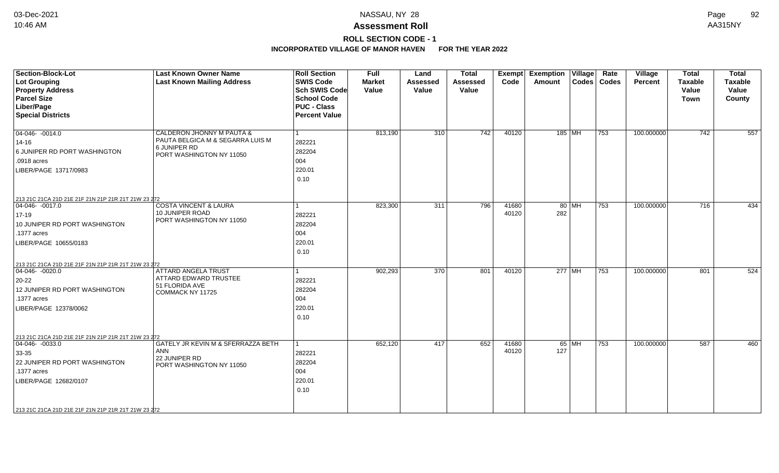### **Assessment Roll** 10:46 AM AA315NY

**ROLL SECTION CODE - 1**

| <b>Section-Block-Lot</b><br>Lot Grouping            | <b>Last Known Owner Name</b><br><b>Last Known Mailing Address</b> | <b>Roll Section</b><br><b>SWIS Code</b>    | <b>Full</b><br><b>Market</b> | Land<br><b>Assessed</b> | <b>Total</b><br><b>Assessed</b> | <b>Exempt</b><br>Code | <b>Exemption Village</b><br>Amount |         | Rate<br>Codes   Codes | Village<br><b>Percent</b> | <b>Total</b><br><b>Taxable</b> | <b>Total</b><br><b>Taxable</b> |
|-----------------------------------------------------|-------------------------------------------------------------------|--------------------------------------------|------------------------------|-------------------------|---------------------------------|-----------------------|------------------------------------|---------|-----------------------|---------------------------|--------------------------------|--------------------------------|
| <b>Property Address</b><br><b>Parcel Size</b>       |                                                                   | <b>Sch SWIS Code</b><br><b>School Code</b> | Value                        | Value                   | Value                           |                       |                                    |         |                       |                           | Value<br><b>Town</b>           | Value<br>County                |
| Liber/Page                                          |                                                                   | <b>PUC - Class</b>                         |                              |                         |                                 |                       |                                    |         |                       |                           |                                |                                |
| <b>Special Districts</b>                            |                                                                   | <b>Percent Value</b>                       |                              |                         |                                 |                       |                                    |         |                       |                           |                                |                                |
|                                                     |                                                                   |                                            |                              |                         |                                 |                       |                                    |         |                       |                           |                                |                                |
| $04-046 - 0014.0$                                   | CALDERON JHONNY M PAUTA &                                         |                                            | 813,190                      | 310                     | $\overline{742}$                | 40120                 | 185 MH                             |         | 753                   | 100.000000                | 742                            | 557                            |
| 14-16                                               | PAUTA BELGICA M & SEGARRA LUIS M                                  | 282221                                     |                              |                         |                                 |                       |                                    |         |                       |                           |                                |                                |
| 6 JUNIPER RD PORT WASHINGTON                        | 6 JUNIPER RD<br>PORT WASHINGTON NY 11050                          | 282204                                     |                              |                         |                                 |                       |                                    |         |                       |                           |                                |                                |
| .0918 acres                                         |                                                                   | 004                                        |                              |                         |                                 |                       |                                    |         |                       |                           |                                |                                |
| LIBER/PAGE 13717/0983                               |                                                                   | 220.01                                     |                              |                         |                                 |                       |                                    |         |                       |                           |                                |                                |
|                                                     |                                                                   | 0.10                                       |                              |                         |                                 |                       |                                    |         |                       |                           |                                |                                |
|                                                     |                                                                   |                                            |                              |                         |                                 |                       |                                    |         |                       |                           |                                |                                |
| 213 21C 21CA 21D 21E 21F 21N 21P 21R 21T 21W 23 272 |                                                                   |                                            |                              |                         |                                 |                       |                                    |         |                       |                           |                                |                                |
| 04-046-0017.0                                       | <b>COSTA VINCENT &amp; LAURA</b>                                  |                                            | 823,300                      | 311                     | 796                             | 41680                 |                                    | $80$ MH | 753                   | 100.000000                | $\overline{716}$               | 434                            |
| $17 - 19$                                           | 10 JUNIPER ROAD<br>PORT WASHINGTON NY 11050                       | 282221                                     |                              |                         |                                 | 40120                 | 282                                |         |                       |                           |                                |                                |
| 10 JUNIPER RD PORT WASHINGTON                       |                                                                   | 282204                                     |                              |                         |                                 |                       |                                    |         |                       |                           |                                |                                |
| .1377 acres                                         |                                                                   | 004                                        |                              |                         |                                 |                       |                                    |         |                       |                           |                                |                                |
| LIBER/PAGE 10655/0183                               |                                                                   | 220.01                                     |                              |                         |                                 |                       |                                    |         |                       |                           |                                |                                |
|                                                     |                                                                   | 0.10                                       |                              |                         |                                 |                       |                                    |         |                       |                           |                                |                                |
| 213 21C 21CA 21D 21E 21F 21N 21P 21R 21T 21W 23 272 |                                                                   |                                            |                              |                         |                                 |                       |                                    |         |                       |                           |                                |                                |
| $ 04-046-0020.0$                                    | <b>ATTARD ANGELA TRUST</b>                                        |                                            | 902,293                      | 370                     | 801                             | 40120                 | 277 MH                             |         | 753                   | 100.000000                | 801                            | 524                            |
| $20 - 22$                                           | ATTARD EDWARD TRUSTEE                                             | 282221                                     |                              |                         |                                 |                       |                                    |         |                       |                           |                                |                                |
| 12 JUNIPER RD PORT WASHINGTON                       | 51 FLORIDA AVE<br>COMMACK NY 11725                                | 282204                                     |                              |                         |                                 |                       |                                    |         |                       |                           |                                |                                |
| .1377 acres                                         |                                                                   | 004                                        |                              |                         |                                 |                       |                                    |         |                       |                           |                                |                                |
| LIBER/PAGE 12378/0062                               |                                                                   | 220.01                                     |                              |                         |                                 |                       |                                    |         |                       |                           |                                |                                |
|                                                     |                                                                   | 0.10                                       |                              |                         |                                 |                       |                                    |         |                       |                           |                                |                                |
|                                                     |                                                                   |                                            |                              |                         |                                 |                       |                                    |         |                       |                           |                                |                                |
| 213 21C 21CA 21D 21E 21F 21N 21P 21R 21T 21W 23 272 |                                                                   |                                            |                              |                         |                                 |                       |                                    |         |                       |                           |                                |                                |
| $ 04-046-0033.0$                                    | GATELY JR KEVIN M & SFERRAZZA BETH                                | 1                                          | 652,120                      | 417                     | 652                             | 41680                 |                                    | 65 MH   | 753                   | 100.000000                | 587                            | 460                            |
| 33-35                                               | ANN<br>22 JUNIPER RD                                              | 282221                                     |                              |                         |                                 | 40120                 | 127                                |         |                       |                           |                                |                                |
| 22 JUNIPER RD PORT WASHINGTON                       | PORT WASHINGTON NY 11050                                          | 282204                                     |                              |                         |                                 |                       |                                    |         |                       |                           |                                |                                |
| .1377 acres                                         |                                                                   | 004                                        |                              |                         |                                 |                       |                                    |         |                       |                           |                                |                                |
| LIBER/PAGE 12682/0107                               |                                                                   | 220.01                                     |                              |                         |                                 |                       |                                    |         |                       |                           |                                |                                |
|                                                     |                                                                   | 0.10                                       |                              |                         |                                 |                       |                                    |         |                       |                           |                                |                                |
|                                                     |                                                                   |                                            |                              |                         |                                 |                       |                                    |         |                       |                           |                                |                                |
| 213 21C 21CA 21D 21E 21F 21N 21P 21R 21T 21W 23 272 |                                                                   |                                            |                              |                         |                                 |                       |                                    |         |                       |                           |                                |                                |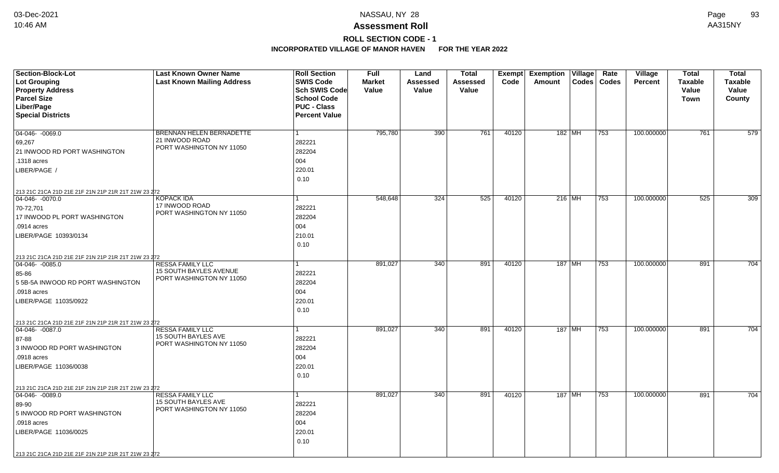### **Assessment Roll** 10:46 AM AA315NY

## **ROLL SECTION CODE - 1**

| <b>Section-Block-Lot</b>                                                         | <b>Last Known Owner Name</b>               | <b>Roll Section</b>  | <b>Full</b>   | Land     | <b>Total</b>    | Exempt | <b>Exemption Village</b> |        | Rate             | <b>Village</b> | <b>Total</b>   | <b>Total</b>   |
|----------------------------------------------------------------------------------|--------------------------------------------|----------------------|---------------|----------|-----------------|--------|--------------------------|--------|------------------|----------------|----------------|----------------|
| <b>Lot Grouping</b>                                                              | <b>Last Known Mailing Address</b>          | <b>SWIS Code</b>     | <b>Market</b> | Assessed | <b>Assessed</b> | Code   | Amount                   |        | Codes   Codes    | <b>Percent</b> | <b>Taxable</b> | <b>Taxable</b> |
| <b>Property Address</b>                                                          |                                            | <b>Sch SWIS Code</b> | Value         | Value    | Value           |        |                          |        |                  |                | Value          | Value          |
| <b>Parcel Size</b>                                                               |                                            | <b>School Code</b>   |               |          |                 |        |                          |        |                  |                | Town           | County         |
| Liber/Page                                                                       |                                            | <b>PUC - Class</b>   |               |          |                 |        |                          |        |                  |                |                |                |
| <b>Special Districts</b>                                                         |                                            | <b>Percent Value</b> |               |          |                 |        |                          |        |                  |                |                |                |
|                                                                                  |                                            |                      |               |          |                 |        |                          |        |                  |                |                |                |
| 04-046- -0069.0                                                                  | BRENNAN HELEN BERNADETTE                   | $\mathbf{1}$         | 795,780       | 390      | 761             | 40120  | 182 MH                   |        | 753              | 100.000000     | 761            | 579            |
| 69,267                                                                           | 21 INWOOD ROAD<br>PORT WASHINGTON NY 11050 | 282221               |               |          |                 |        |                          |        |                  |                |                |                |
| 21 INWOOD RD PORT WASHINGTON                                                     |                                            | 282204               |               |          |                 |        |                          |        |                  |                |                |                |
| .1318 acres                                                                      |                                            | 004                  |               |          |                 |        |                          |        |                  |                |                |                |
| LIBER/PAGE /                                                                     |                                            | 220.01               |               |          |                 |        |                          |        |                  |                |                |                |
|                                                                                  |                                            | 0.10                 |               |          |                 |        |                          |        |                  |                |                |                |
| 213 21C 21CA 21D 21E 21F 21N 21P 21R 21T 21W 23 272                              |                                            |                      |               |          |                 |        |                          |        |                  |                |                |                |
| $ 04-046-0070.0$                                                                 | <b>KOPACK IDA</b>                          | 1                    | 548,648       | 324      | 525             | 40120  | $216$ MH                 |        | $\overline{753}$ | 100.000000     | 525            | 309            |
| 70-72,701                                                                        | 17 INWOOD ROAD                             | 282221               |               |          |                 |        |                          |        |                  |                |                |                |
| 17 INWOOD PL PORT WASHINGTON                                                     | PORT WASHINGTON NY 11050                   | 282204               |               |          |                 |        |                          |        |                  |                |                |                |
| .0914 acres                                                                      |                                            | 004                  |               |          |                 |        |                          |        |                  |                |                |                |
| LIBER/PAGE 10393/0134                                                            |                                            | 210.01               |               |          |                 |        |                          |        |                  |                |                |                |
|                                                                                  |                                            | 0.10                 |               |          |                 |        |                          |        |                  |                |                |                |
| 213 21C 21CA 21D 21E 21F 21N 21P 21R 21T 21W 23 272                              |                                            |                      |               |          |                 |        |                          |        |                  |                |                |                |
| 04-046-0085.0                                                                    | <b>RESSA FAMILY LLC</b>                    | 1                    | 891,027       | 340      | 891             | 40120  |                          | 187 MH | 753              | 100.000000     | 891            | 704            |
| 85-86                                                                            | 15 SOUTH BAYLES AVENUE                     | 282221               |               |          |                 |        |                          |        |                  |                |                |                |
| 5 5B-5A INWOOD RD PORT WASHINGTON                                                | PORT WASHINGTON NY 11050                   | 282204               |               |          |                 |        |                          |        |                  |                |                |                |
| .0918 acres                                                                      |                                            | 004                  |               |          |                 |        |                          |        |                  |                |                |                |
| LIBER/PAGE 11035/0922                                                            |                                            | 220.01               |               |          |                 |        |                          |        |                  |                |                |                |
|                                                                                  |                                            | 0.10                 |               |          |                 |        |                          |        |                  |                |                |                |
|                                                                                  |                                            |                      |               |          |                 |        |                          |        |                  |                |                |                |
| 213 21C 21CA 21D 21E 21F 21N 21P 21R 21T 21W 23 272<br>$ 04-046-0087.0$          | <b>RESSA FAMILY LLC</b>                    | $\mathbf{1}$         | 891,027       | 340      | 891             | 40120  | 187 MH                   |        | 753              | 100.000000     | 891            | 704            |
| 87-88                                                                            | <b>15 SOUTH BAYLES AVE</b>                 | 282221               |               |          |                 |        |                          |        |                  |                |                |                |
| 3 INWOOD RD PORT WASHINGTON                                                      | PORT WASHINGTON NY 11050                   | 282204               |               |          |                 |        |                          |        |                  |                |                |                |
| .0918 acres                                                                      |                                            | 004                  |               |          |                 |        |                          |        |                  |                |                |                |
| LIBER/PAGE 11036/0038                                                            |                                            | 220.01               |               |          |                 |        |                          |        |                  |                |                |                |
|                                                                                  |                                            | 0.10                 |               |          |                 |        |                          |        |                  |                |                |                |
|                                                                                  |                                            |                      |               |          |                 |        |                          |        |                  |                |                |                |
| 213 21C 21CA 21D 21E 21F 21N 21P 21R 21T 21W 23 272<br>$\boxed{04-046 - 0089.0}$ | <b>RESSA FAMILY LLC</b>                    | $\mathbf{1}$         | 891,027       | 340      | 891             | 40120  | 187 MH                   |        | 753              | 100.000000     | 891            | 704            |
| 89-90                                                                            | 15 SOUTH BAYLES AVE                        | 282221               |               |          |                 |        |                          |        |                  |                |                |                |
| 5 INWOOD RD PORT WASHINGTON                                                      | PORT WASHINGTON NY 11050                   | 282204               |               |          |                 |        |                          |        |                  |                |                |                |
| .0918 acres                                                                      |                                            | 004                  |               |          |                 |        |                          |        |                  |                |                |                |
|                                                                                  |                                            |                      |               |          |                 |        |                          |        |                  |                |                |                |
| LIBER/PAGE 11036/0025                                                            |                                            | 220.01               |               |          |                 |        |                          |        |                  |                |                |                |
|                                                                                  |                                            | 0.10                 |               |          |                 |        |                          |        |                  |                |                |                |
| 213 21C 21CA 21D 21E 21F 21N 21P 21R 21T 21W 23 272                              |                                            |                      |               |          |                 |        |                          |        |                  |                |                |                |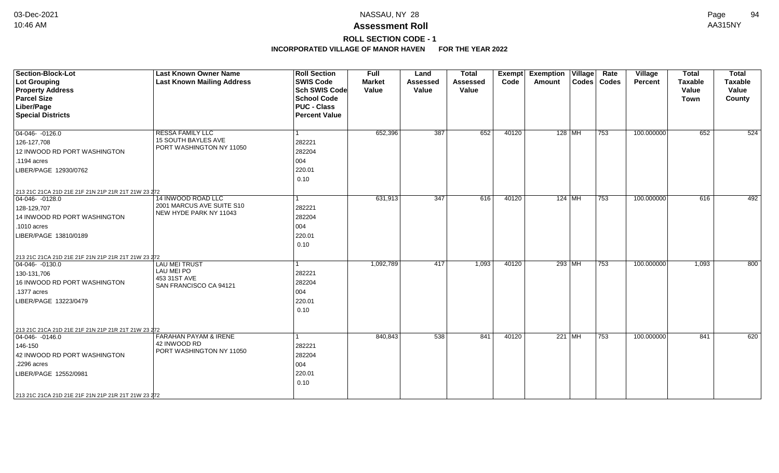**ROLL SECTION CODE - 1**

| <b>Section-Block-Lot</b><br><b>Lot Grouping</b><br><b>Property Address</b><br><b>Parcel Size</b><br>Liber/Page<br><b>Special Districts</b>                                                                       | <b>Last Known Owner Name</b><br><b>Last Known Mailing Address</b>                 | <b>Roll Section</b><br><b>SWIS Code</b><br><b>Sch SWIS Code</b><br><b>School Code</b><br><b>PUC - Class</b><br><b>Percent Value</b> | <b>Full</b><br><b>Market</b><br>Value | Land<br><b>Assessed</b><br>Value | <b>Total</b><br>Assessed<br>Value | Exempt<br>Code | <b>Exemption Village</b><br>Amount | Rate<br>Codes   Codes | <b>Village</b><br>Percent | <b>Total</b><br><b>Taxable</b><br>Value<br><b>Town</b> | <b>Total</b><br><b>Taxable</b><br>Value<br>County |
|------------------------------------------------------------------------------------------------------------------------------------------------------------------------------------------------------------------|-----------------------------------------------------------------------------------|-------------------------------------------------------------------------------------------------------------------------------------|---------------------------------------|----------------------------------|-----------------------------------|----------------|------------------------------------|-----------------------|---------------------------|--------------------------------------------------------|---------------------------------------------------|
| 04-046- -0126.0<br>126-127,708<br>12 INWOOD RD PORT WASHINGTON<br>.1194 acres<br>LIBER/PAGE 12930/0762                                                                                                           | <b>RESSA FAMILY LLC</b><br><b>15 SOUTH BAYLES AVE</b><br>PORT WASHINGTON NY 11050 | 282221<br>282204<br>004<br>220.01<br>0.10                                                                                           | 652,396                               | 387                              | 652                               | 40120          | $128$ MH                           | $ 753\rangle$         | 100.000000                | 652                                                    | 524                                               |
| 213 21C 21CA 21D 21E 21F 21N 21P 21R 21T 21W 23 272<br>$04-046 - 0128.0$<br>128-129,707<br>14 INWOOD RD PORT WASHINGTON<br>.1010 acres<br>LIBER/PAGE 13810/0189                                                  | 14 INWOOD ROAD LLC<br>2001 MARCUS AVE SUITE S10<br>NEW HYDE PARK NY 11043         | $\mathbf{1}$<br>282221<br>282204<br>004<br>220.01<br>0.10                                                                           | 631,913                               | 347                              | 616                               | 40120          | $124$ MH                           | $\overline{753}$      | 100.000000                | 616                                                    | 492                                               |
| 213 21C 21CA 21D 21E 21F 21N 21P 21R 21T 21W 23 272<br>04-046- -0130.0<br>130-131,706<br>16 INWOOD RD PORT WASHINGTON<br>.1377 acres<br>LIBER/PAGE 13223/0479                                                    | <b>LAU MEI TRUST</b><br>LAU MEI PO<br>453 31ST AVE<br>SAN FRANCISCO CA 94121      | 282221<br>282204<br>004<br>220.01<br>0.10                                                                                           | 1,092,789                             | 417                              | 1,093                             | 40120          | 293 MH                             | 753                   | 100.000000                | 1,093                                                  | 800                                               |
| 213 21C 21CA 21D 21E 21F 21N 21P 21R 21T 21W 23 272<br>04-046- -0146.0<br>146-150<br>42 INWOOD RD PORT WASHINGTON<br>.2296 acres<br>LIBER/PAGE 12552/0981<br>213 21C 21CA 21D 21E 21F 21N 21P 21R 21T 21W 23 272 | <b>FARAHAN PAYAM &amp; IRENE</b><br>42 INWOOD RD<br>PORT WASHINGTON NY 11050      | 282221<br>282204<br>004<br>220.01<br>0.10                                                                                           | 840,843                               | 538                              | 841                               | 40120          | 221 MH                             | 753                   | 100.000000                | 841                                                    | 620                                               |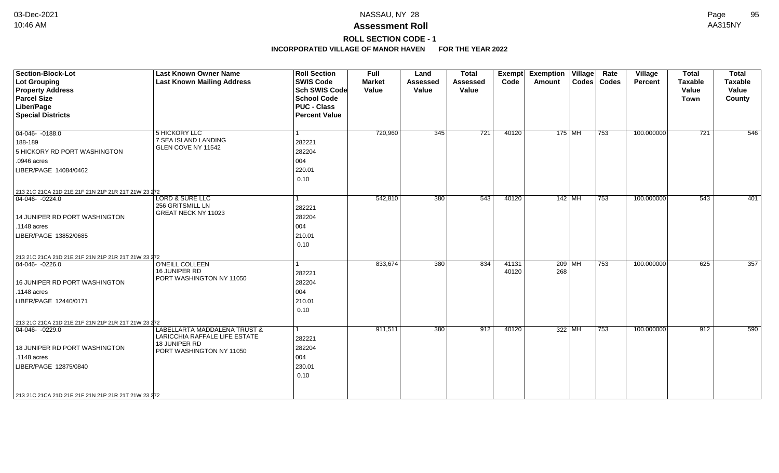**ROLL SECTION CODE - 1**

| Section-Block-Lot<br><b>Lot Grouping</b><br><b>Property Address</b><br><b>Parcel Size</b><br>Liber/Page<br><b>Special Districts</b> | <b>Last Known Owner Name</b><br><b>Last Known Mailing Address</b>                                          | <b>Roll Section</b><br><b>SWIS Code</b><br><b>Sch SWIS Code</b><br><b>School Code</b><br><b>PUC - Class</b><br><b>Percent Value</b> | <b>Full</b><br><b>Market</b><br>Value | Land<br><b>Assessed</b><br>Value | <b>Total</b><br><b>Assessed</b><br>Value | Exempt<br>Code | <b>Exemption Village</b><br>Amount |          | Rate<br>Codes   Codes | Village<br>Percent | <b>Total</b><br><b>Taxable</b><br>Value<br><b>Town</b> | <b>Total</b><br><b>Taxable</b><br>Value<br>County |
|-------------------------------------------------------------------------------------------------------------------------------------|------------------------------------------------------------------------------------------------------------|-------------------------------------------------------------------------------------------------------------------------------------|---------------------------------------|----------------------------------|------------------------------------------|----------------|------------------------------------|----------|-----------------------|--------------------|--------------------------------------------------------|---------------------------------------------------|
| $04-046 - 0188.0$<br>188-189                                                                                                        | 5 HICKORY LLC<br>7 SEA ISLAND LANDING<br>GLEN COVE NY 11542                                                | 1<br>282221                                                                                                                         | 720,960                               | 345                              | $\overline{721}$                         | 40120          |                                    | $175$ MH | 753                   | 100.000000         | $\overline{721}$                                       | 546                                               |
| 5 HICKORY RD PORT WASHINGTON<br>.0946 acres<br>LIBER/PAGE 14084/0462                                                                |                                                                                                            | 282204<br>004<br>220.01<br>0.10                                                                                                     |                                       |                                  |                                          |                |                                    |          |                       |                    |                                                        |                                                   |
| 213 21C 21CA 21D 21E 21F 21N 21P 21R 21T 21W 23 272                                                                                 |                                                                                                            |                                                                                                                                     |                                       |                                  |                                          |                |                                    |          |                       |                    |                                                        |                                                   |
| $04-046 - 0224.0$<br>14 JUNIPER RD PORT WASHINGTON<br>.1148 acres<br>LIBER/PAGE 13852/0685                                          | <b>LORD &amp; SURE LLC</b><br>256 GRITSMILL LN<br>GREAT NECK NY 11023                                      | 1<br>282221<br>282204<br>004<br>210.01                                                                                              | 542,810                               | 380                              | 543                                      | 40120          |                                    | $142$ MH | 753                   | 100.000000         | 543                                                    | 401                                               |
|                                                                                                                                     |                                                                                                            | 0.10                                                                                                                                |                                       |                                  |                                          |                |                                    |          |                       |                    |                                                        |                                                   |
| 213 21C 21CA 21D 21E 21F 21N 21P 21R 21T 21W 23 272<br>$ 04-046-0226.0$                                                             | <b>O'NEILL COLLEEN</b>                                                                                     | 1                                                                                                                                   | 833,674                               | 380                              | 834                                      | 41131          | $209$ MH                           |          | 753                   | 100.000000         | 625                                                    | 357                                               |
| 16 JUNIPER RD PORT WASHINGTON<br>$.1148$ acres<br>LIBER/PAGE 12440/0171                                                             | 16 JUNIPER RD<br>PORT WASHINGTON NY 11050                                                                  | 282221<br>282204<br>004<br>210.01<br>0.10                                                                                           |                                       |                                  |                                          | 40120          | 268                                |          |                       |                    |                                                        |                                                   |
| 213 21C 21CA 21D 21E 21F 21N 21P 21R 21T 21W 23 272                                                                                 |                                                                                                            |                                                                                                                                     |                                       |                                  |                                          |                |                                    |          |                       |                    |                                                        |                                                   |
| $ 04-046-0229.0$<br>18 JUNIPER RD PORT WASHINGTON<br>.1148 acres<br>LIBER/PAGE 12875/0840                                           | LABELLARTA MADDALENA TRUST &<br>LARICCHIA RAFFALE LIFE ESTATE<br>18 JUNIPER RD<br>PORT WASHINGTON NY 11050 | 1<br>282221<br>282204<br>004<br>230.01<br>0.10                                                                                      | 911,511                               | 380                              | 912                                      | 40120          |                                    | 322 MH   | 753                   | 100.000000         | 912                                                    | 590                                               |
| 213 21C 21CA 21D 21E 21F 21N 21P 21R 21T 21W 23 272                                                                                 |                                                                                                            |                                                                                                                                     |                                       |                                  |                                          |                |                                    |          |                       |                    |                                                        |                                                   |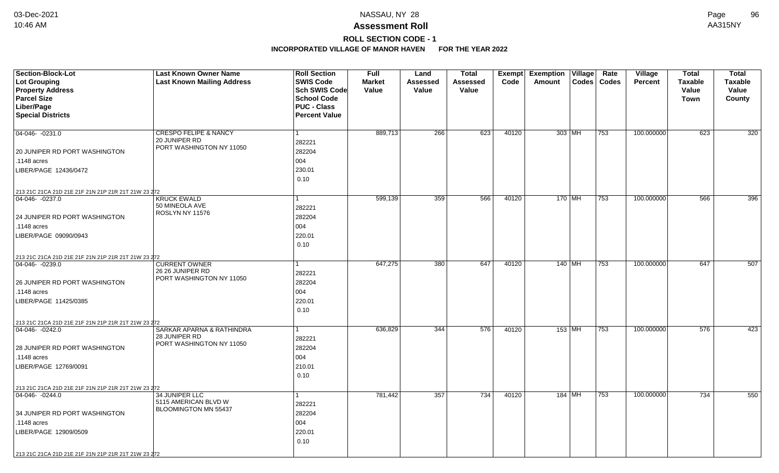**ROLL SECTION CODE - 1**

| <b>Section-Block-Lot</b>                            | <b>Last Known Owner Name</b>              | <b>Roll Section</b>  | <b>Full</b>   | Land            | <b>Total</b> | Exempt | <b>Exemption Village</b>   | Rate         | Village        | <b>Total</b>   | <b>Total</b>   |
|-----------------------------------------------------|-------------------------------------------|----------------------|---------------|-----------------|--------------|--------|----------------------------|--------------|----------------|----------------|----------------|
| <b>Lot Grouping</b>                                 | <b>Last Known Mailing Address</b>         | <b>SWIS Code</b>     | <b>Market</b> | <b>Assessed</b> | Assessed     | Code   | Amount<br>$\textsf{Codes}$ | <b>Codes</b> | <b>Percent</b> | <b>Taxable</b> | <b>Taxable</b> |
| <b>Property Address</b>                             |                                           | <b>Sch SWIS Code</b> | Value         | Value           | Value        |        |                            |              |                | Value          | Value          |
| <b>Parcel Size</b>                                  |                                           | <b>School Code</b>   |               |                 |              |        |                            |              |                | <b>Town</b>    | County         |
| Liber/Page                                          |                                           | <b>PUC - Class</b>   |               |                 |              |        |                            |              |                |                |                |
| <b>Special Districts</b>                            |                                           | <b>Percent Value</b> |               |                 |              |        |                            |              |                |                |                |
|                                                     |                                           |                      |               |                 |              |        |                            |              |                |                |                |
| 04-046- -0231.0                                     | <b>CRESPO FELIPE &amp; NANCY</b>          | 1                    | 889,713       | 266             | 623          | 40120  | 303 MH                     | 753          | 100.000000     | 623            | 320            |
|                                                     | 20 JUNIPER RD                             | 282221               |               |                 |              |        |                            |              |                |                |                |
| 20 JUNIPER RD PORT WASHINGTON                       | PORT WASHINGTON NY 11050                  | 282204               |               |                 |              |        |                            |              |                |                |                |
| .1148 acres                                         |                                           | 004                  |               |                 |              |        |                            |              |                |                |                |
| LIBER/PAGE 12436/0472                               |                                           | 230.01               |               |                 |              |        |                            |              |                |                |                |
|                                                     |                                           | 0.10                 |               |                 |              |        |                            |              |                |                |                |
| 213 21C 21CA 21D 21E 21F 21N 21P 21R 21T 21W 23 272 |                                           |                      |               |                 |              |        |                            |              |                |                |                |
| 04-046- -0237.0                                     | <b>KRUCK EWALD</b>                        |                      | 599,139       | 359             | 566          | 40120  | $170$ MH                   | 753          | 100.000000     | 566            | 396            |
|                                                     | 50 MINEOLA AVE                            | 282221               |               |                 |              |        |                            |              |                |                |                |
| 24 JUNIPER RD PORT WASHINGTON                       | ROSLYN NY 11576                           | 282204               |               |                 |              |        |                            |              |                |                |                |
| .1148 acres                                         |                                           | 004                  |               |                 |              |        |                            |              |                |                |                |
| LIBER/PAGE 09090/0943                               |                                           | 220.01               |               |                 |              |        |                            |              |                |                |                |
|                                                     |                                           | 0.10                 |               |                 |              |        |                            |              |                |                |                |
|                                                     |                                           |                      |               |                 |              |        |                            |              |                |                |                |
| 213 21C 21CA 21D 21E 21F 21N 21P 21R 21T 21W 23 272 | <b>CURRENT OWNER</b>                      |                      | 647,275       | 380             | 647          | 40120  | $140$ MH                   | 753          | 100.000000     | 647            | 507            |
| $04 - 046 - 0239.0$                                 | 26 26 JUNIPER RD                          |                      |               |                 |              |        |                            |              |                |                |                |
|                                                     | PORT WASHINGTON NY 11050                  | 282221               |               |                 |              |        |                            |              |                |                |                |
| 26 JUNIPER RD PORT WASHINGTON                       |                                           | 282204               |               |                 |              |        |                            |              |                |                |                |
| .1148 acres                                         |                                           | 004                  |               |                 |              |        |                            |              |                |                |                |
| LIBER/PAGE 11425/0385                               |                                           | 220.01               |               |                 |              |        |                            |              |                |                |                |
|                                                     |                                           | 0.10                 |               |                 |              |        |                            |              |                |                |                |
| 213 21C 21CA 21D 21E 21F 21N 21P 21R 21T 21W 23 272 |                                           |                      |               |                 |              |        |                            |              |                |                |                |
| $ 04-046-0242.0$                                    | <b>SARKAR APARNA &amp; RATHINDRA</b>      | 1                    | 636,829       | 344             | 576          | 40120  | $153$ MH                   | 753          | 100.000000     | 576            | 423            |
|                                                     | 28 JUNIPER RD<br>PORT WASHINGTON NY 11050 | 282221               |               |                 |              |        |                            |              |                |                |                |
| 28 JUNIPER RD PORT WASHINGTON                       |                                           | 282204               |               |                 |              |        |                            |              |                |                |                |
| .1148 acres                                         |                                           | 004                  |               |                 |              |        |                            |              |                |                |                |
| LIBER/PAGE 12769/0091                               |                                           | 210.01               |               |                 |              |        |                            |              |                |                |                |
|                                                     |                                           | 0.10                 |               |                 |              |        |                            |              |                |                |                |
| 213 21C 21CA 21D 21E 21F 21N 21P 21R 21T 21W 23 272 |                                           |                      |               |                 |              |        |                            |              |                |                |                |
| $ 04-046-0244.0$                                    | 34 JUNIPER LLC                            | 1                    | 781,442       | 357             | 734          | 40120  | 184   MH                   | 753          | 100.000000     | 734            | 550            |
|                                                     | 5115 AMERICAN BLVD W                      | 282221               |               |                 |              |        |                            |              |                |                |                |
| 34 JUNIPER RD PORT WASHINGTON                       | BLOOMINGTON MN 55437                      | 282204               |               |                 |              |        |                            |              |                |                |                |
| .1148 acres                                         |                                           | 004                  |               |                 |              |        |                            |              |                |                |                |
| LIBER/PAGE 12909/0509                               |                                           | 220.01               |               |                 |              |        |                            |              |                |                |                |
|                                                     |                                           | 0.10                 |               |                 |              |        |                            |              |                |                |                |
|                                                     |                                           |                      |               |                 |              |        |                            |              |                |                |                |
| 213 21C 21CA 21D 21E 21F 21N 21P 21R 21T 21W 23 272 |                                           |                      |               |                 |              |        |                            |              |                |                |                |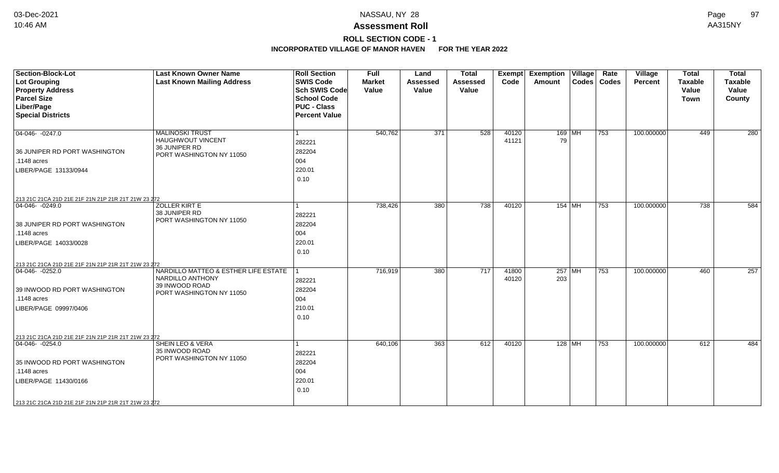### **ROLL SECTION CODE - 1**

| <b>Section-Block-Lot</b><br><b>Lot Grouping</b><br><b>Property Address</b><br><b>Parcel Size</b><br>Liber/Page<br><b>Special Districts</b>                                                             | <b>Last Known Owner Name</b><br><b>Last Known Mailing Address</b>                                      | <b>Roll Section</b><br><b>SWIS Code</b><br><b>Sch SWIS Code</b><br><b>School Code</b><br><b>PUC - Class</b><br><b>Percent Value</b> | Full<br><b>Market</b><br>Value | Land<br><b>Assessed</b><br>Value | <b>Total</b><br><b>Assessed</b><br>Value | <b>Exempt</b><br>Code | <b>Exemption</b><br><b>Amount</b> | $\overline{\mathsf{V}}$ illage | Rate<br>Codes   Codes | Village<br><b>Percent</b> | <b>Total</b><br><b>Taxable</b><br>Value<br><b>Town</b> | <b>Total</b><br><b>Taxable</b><br>Value<br>County |
|--------------------------------------------------------------------------------------------------------------------------------------------------------------------------------------------------------|--------------------------------------------------------------------------------------------------------|-------------------------------------------------------------------------------------------------------------------------------------|--------------------------------|----------------------------------|------------------------------------------|-----------------------|-----------------------------------|--------------------------------|-----------------------|---------------------------|--------------------------------------------------------|---------------------------------------------------|
| 04-046- -0247.0<br>36 JUNIPER RD PORT WASHINGTON<br>.1148 acres<br>LIBER/PAGE 13133/0944                                                                                                               | <b>MALINOSKI TRUST</b><br><b>HAUGHWOUT VINCENT</b><br>36 JUNIPER RD<br>PORT WASHINGTON NY 11050        | 282221<br>282204<br>004<br>220.01<br>0.10                                                                                           | 540,762                        | 371                              | 528                                      | 40120<br>41121        | 79                                | $169$ MH                       | 753                   | 100.000000                | 449                                                    | 280                                               |
| 213 21C 21CA 21D 21E 21F 21N 21P 21R 21T 21W 23 272<br>$04-046 - 0249.0$<br>38 JUNIPER RD PORT WASHINGTON<br>.1148 acres<br>LIBER/PAGE 14033/0028                                                      | <b>ZOLLER KIRT E</b><br>38 JUNIPER RD<br>PORT WASHINGTON NY 11050                                      | 282221<br>282204<br>004<br>220.01<br>0.10                                                                                           | 738,426                        | 380                              | 738                                      | 40120                 |                                   | $154$ MH                       | 753                   | 100.000000                | 738                                                    | 584                                               |
| 213 21C 21CA 21D 21E 21F 21N 21P 21R 21T 21W 23 272<br>$ 04 - 046 - 0252.0$<br>39 INWOOD RD PORT WASHINGTON<br>.1148 acres<br>LIBER/PAGE 09997/0406                                                    | NARDILLO MATTEO & ESTHER LIFE ESTATE<br>NARDILLO ANTHONY<br>39 INWOOD ROAD<br>PORT WASHINGTON NY 11050 | 282221<br>282204<br>004<br>210.01<br>0.10                                                                                           | 716,919                        | 380                              | 717                                      | 41800<br>40120        | 203                               | $257$ MH                       | 753                   | 100.000000                | 460                                                    | 257                                               |
| 213 21C 21CA 21D 21E 21F 21N 21P 21R 21T 21W 23 272<br>$ 04-046-0254.0$<br>35 INWOOD RD PORT WASHINGTON<br>.1148 acres<br>LIBER/PAGE 11430/0166<br>213 21C 21CA 21D 21E 21F 21N 21P 21R 21T 21W 23 272 | <b>SHEIN LEO &amp; VERA</b><br>35 INWOOD ROAD<br>PORT WASHINGTON NY 11050                              | 282221<br>282204<br>004<br>220.01<br>0.10                                                                                           | 640,106                        | 363                              | 612                                      | 40120                 |                                   | $128$ MH                       | 753                   | 100.000000                | 612                                                    | 484                                               |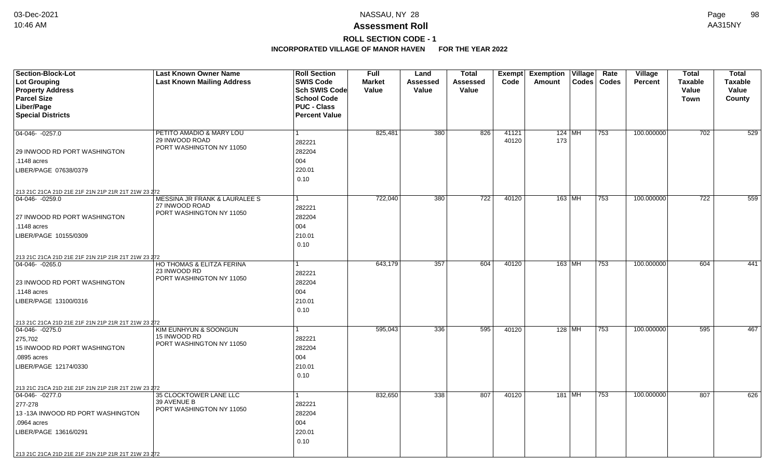# **ROLL SECTION CODE - 1**

| Section-Block-Lot<br>Lot Grouping<br><b>Property Address</b><br><b>Parcel Size</b> | <b>Last Known Owner Name</b><br><b>Last Known Mailing Address</b>      | <b>Roll Section</b><br><b>SWIS Code</b><br>Sch SWIS Code<br><b>School Code</b> | <b>Full</b><br><b>Market</b><br>Value | Land<br><b>Assessed</b><br>Value | <b>Total</b><br>Assessed<br><b>Value</b> | Exempt<br>Code | <b>Exemption Village</b><br>Amount<br><b>Codes</b> | Rate<br>Codes | Village<br><b>Percent</b> | <b>Total</b><br><b>Taxable</b><br>Value<br><b>Town</b> | <b>Total</b><br><b>Taxable</b><br>Value<br>County |
|------------------------------------------------------------------------------------|------------------------------------------------------------------------|--------------------------------------------------------------------------------|---------------------------------------|----------------------------------|------------------------------------------|----------------|----------------------------------------------------|---------------|---------------------------|--------------------------------------------------------|---------------------------------------------------|
| Liber/Page<br><b>Special Districts</b>                                             |                                                                        | <b>PUC - Class</b><br><b>Percent Value</b>                                     |                                       |                                  |                                          |                |                                                    |               |                           |                                                        |                                                   |
| $04-046 - 0257.0$                                                                  |                                                                        | 1                                                                              | 825,481                               | 380                              | 826                                      | 41121          | 124   MH                                           | 753           | 100.000000                | 702                                                    | 529                                               |
|                                                                                    | PETITO AMADIO & MARY LOU<br>29 INWOOD ROAD<br>PORT WASHINGTON NY 11050 | 282221                                                                         |                                       |                                  |                                          | 40120          | 173                                                |               |                           |                                                        |                                                   |
| 29 INWOOD RD PORT WASHINGTON                                                       |                                                                        | 282204                                                                         |                                       |                                  |                                          |                |                                                    |               |                           |                                                        |                                                   |
| .1148 acres                                                                        |                                                                        | 004                                                                            |                                       |                                  |                                          |                |                                                    |               |                           |                                                        |                                                   |
| LIBER/PAGE 07638/0379                                                              |                                                                        | 220.01                                                                         |                                       |                                  |                                          |                |                                                    |               |                           |                                                        |                                                   |
|                                                                                    |                                                                        | 0.10                                                                           |                                       |                                  |                                          |                |                                                    |               |                           |                                                        |                                                   |
| 213 21C 21CA 21D 21E 21F 21N 21P 21R 21T 21W 23 272                                |                                                                        |                                                                                |                                       |                                  |                                          |                |                                                    |               |                           |                                                        |                                                   |
| 04-046-0259.0                                                                      | MESSINA JR FRANK & LAURALEE S                                          | 1                                                                              | 722,040                               | 380                              | 722                                      | 40120          | 163 MH                                             | 753           | 100.000000                | 722                                                    | 559                                               |
|                                                                                    | 27 INWOOD ROAD<br>PORT WASHINGTON NY 11050                             | 282221                                                                         |                                       |                                  |                                          |                |                                                    |               |                           |                                                        |                                                   |
| 27 INWOOD RD PORT WASHINGTON                                                       |                                                                        | 282204                                                                         |                                       |                                  |                                          |                |                                                    |               |                           |                                                        |                                                   |
| .1148 acres                                                                        |                                                                        | 004                                                                            |                                       |                                  |                                          |                |                                                    |               |                           |                                                        |                                                   |
| LIBER/PAGE 10155/0309                                                              |                                                                        | 210.01                                                                         |                                       |                                  |                                          |                |                                                    |               |                           |                                                        |                                                   |
|                                                                                    |                                                                        | 0.10                                                                           |                                       |                                  |                                          |                |                                                    |               |                           |                                                        |                                                   |
| 213 21C 21CA 21D 21E 21F 21N 21P 21R 21T 21W 23 272                                |                                                                        |                                                                                |                                       |                                  |                                          |                |                                                    |               |                           |                                                        |                                                   |
| 04-046-0265.0                                                                      | HO THOMAS & ELITZA FERINA<br>23 INWOOD RD                              |                                                                                | 643,179                               | 357                              | 604                                      | 40120          | 163 MH                                             | 753           | 100.000000                | 604                                                    | 441                                               |
|                                                                                    | PORT WASHINGTON NY 11050                                               | 282221                                                                         |                                       |                                  |                                          |                |                                                    |               |                           |                                                        |                                                   |
| 23 INWOOD RD PORT WASHINGTON                                                       |                                                                        | 282204                                                                         |                                       |                                  |                                          |                |                                                    |               |                           |                                                        |                                                   |
| .1148 acres                                                                        |                                                                        | 004                                                                            |                                       |                                  |                                          |                |                                                    |               |                           |                                                        |                                                   |
| LIBER/PAGE 13100/0316                                                              |                                                                        | 210.01                                                                         |                                       |                                  |                                          |                |                                                    |               |                           |                                                        |                                                   |
|                                                                                    |                                                                        | 0.10                                                                           |                                       |                                  |                                          |                |                                                    |               |                           |                                                        |                                                   |
| 213 21C 21CA 21D 21E 21F 21N 21P 21R 21T 21W 23 272                                |                                                                        |                                                                                |                                       |                                  |                                          |                |                                                    |               |                           |                                                        |                                                   |
| 04-046-0275.0                                                                      | KIM EUNHYUN & SOONGUN<br>15 INWOOD RD                                  | 1                                                                              | 595,043                               | 336                              | 595                                      | 40120          | 128 MH                                             | 753           | 100.000000                | 595                                                    | 467                                               |
| 275,702                                                                            | PORT WASHINGTON NY 11050                                               | 282221                                                                         |                                       |                                  |                                          |                |                                                    |               |                           |                                                        |                                                   |
| 15 INWOOD RD PORT WASHINGTON                                                       |                                                                        | 282204<br>004                                                                  |                                       |                                  |                                          |                |                                                    |               |                           |                                                        |                                                   |
| .0895 acres                                                                        |                                                                        |                                                                                |                                       |                                  |                                          |                |                                                    |               |                           |                                                        |                                                   |
| LIBER/PAGE 12174/0330                                                              |                                                                        | 210.01<br>0.10                                                                 |                                       |                                  |                                          |                |                                                    |               |                           |                                                        |                                                   |
|                                                                                    |                                                                        |                                                                                |                                       |                                  |                                          |                |                                                    |               |                           |                                                        |                                                   |
| 213 21C 21CA 21D 21E 21F 21N 21P 21R 21T 21W 23 272<br>$04-046 - 0277.0$           | 35 CLOCKTOWER LANE LLC                                                 | 1                                                                              | 832,650                               | 338                              | 807                                      | 40120          | 181 MH                                             | 753           | 100.000000                | 807                                                    | 626                                               |
| 277-278                                                                            | 39 AVENUE B                                                            | 282221                                                                         |                                       |                                  |                                          |                |                                                    |               |                           |                                                        |                                                   |
| 13-13A INWOOD RD PORT WASHINGTON                                                   | PORT WASHINGTON NY 11050                                               | 282204                                                                         |                                       |                                  |                                          |                |                                                    |               |                           |                                                        |                                                   |
| .0964 acres                                                                        |                                                                        | 004                                                                            |                                       |                                  |                                          |                |                                                    |               |                           |                                                        |                                                   |
| LIBER/PAGE 13616/0291                                                              |                                                                        | 220.01                                                                         |                                       |                                  |                                          |                |                                                    |               |                           |                                                        |                                                   |
|                                                                                    |                                                                        | 0.10                                                                           |                                       |                                  |                                          |                |                                                    |               |                           |                                                        |                                                   |
|                                                                                    |                                                                        |                                                                                |                                       |                                  |                                          |                |                                                    |               |                           |                                                        |                                                   |
| 213 21C 21CA 21D 21E 21F 21N 21P 21R 21T 21W 23 272                                |                                                                        |                                                                                |                                       |                                  |                                          |                |                                                    |               |                           |                                                        |                                                   |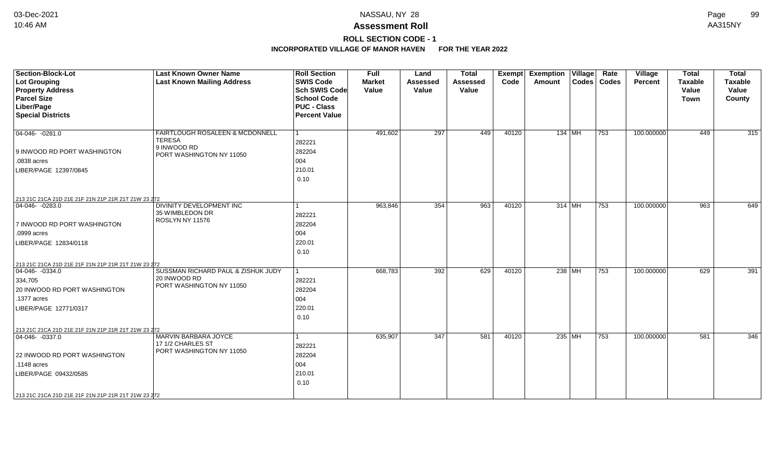**ROLL SECTION CODE - 1**

| <b>Section-Block-Lot</b><br><b>Lot Grouping</b><br><b>Property Address</b><br><b>Parcel Size</b><br>Liber/Page<br><b>Special Districts</b>                                                            | <b>Last Known Owner Name</b><br><b>Last Known Mailing Address</b>                           | <b>Roll Section</b><br><b>SWIS Code</b><br><b>Sch SWIS Code</b><br><b>School Code</b><br><b>PUC - Class</b><br><b>Percent Value</b> | <b>Full</b><br><b>Market</b><br>Value | Land<br><b>Assessed</b><br>Value | <b>Total</b><br><b>Assessed</b><br>Value | Exempt<br>Code | <b>Exemption Village</b><br>Amount | Rate<br>Codes   Codes | Village<br><b>Percent</b> | <b>Total</b><br>Taxable<br>Value<br><b>Town</b> | <b>Total</b><br><b>Taxable</b><br>Value<br>County |
|-------------------------------------------------------------------------------------------------------------------------------------------------------------------------------------------------------|---------------------------------------------------------------------------------------------|-------------------------------------------------------------------------------------------------------------------------------------|---------------------------------------|----------------------------------|------------------------------------------|----------------|------------------------------------|-----------------------|---------------------------|-------------------------------------------------|---------------------------------------------------|
| $04-046 - 0281.0$<br>9 INWOOD RD PORT WASHINGTON<br>.0838 acres<br>LIBER/PAGE 12397/0845                                                                                                              | FAIRTLOUGH ROSALEEN & MCDONNELL<br><b>TERESA</b><br>9 INWOOD RD<br>PORT WASHINGTON NY 11050 | $\overline{1}$<br>282221<br>282204<br>004<br>210.01<br>0.10                                                                         | 491,602                               | 297                              | 449                                      | 40120          | 134 MH                             | $ 753\rangle$         | 100.000000                | 449                                             | 315                                               |
| 213 21C 21CA 21D 21E 21F 21N 21P 21R 21T 21W 23 272<br>$04-046-0283.0$<br>7 INWOOD RD PORT WASHINGTON<br>.0999 acres<br>LIBER/PAGE 12834/0118<br>213 21C 21CA 21D 21E 21F 21N 21P 21R 21T 21W 23 272  | DIVINITY DEVELOPMENT INC<br>35 WIMBLEDON DR<br>ROSLYN NY 11576                              | 282221<br>282204<br>004<br>220.01<br>0.10                                                                                           | 963,846                               | 354                              | 963                                      | 40120          | 314 MH                             | $\overline{753}$      | 100.000000                | 963                                             | 649                                               |
| $ 04-046-0334.0$<br>334,705<br>20 INWOOD RD PORT WASHINGTON<br>.1377 acres<br>LIBER/PAGE 12771/0317                                                                                                   | SUSSMAN RICHARD PAUL & ZISHUK JUDY<br>20 INWOOD RD<br>PORT WASHINGTON NY 11050              | 282221<br>282204<br>004<br>220.01<br>0.10                                                                                           | 668,783                               | 392                              | 629                                      | 40120          | 238 MH                             | 753                   | 100.000000                | 629                                             | 391                                               |
| 213 21C 21CA 21D 21E 21F 21N 21P 21R 21T 21W 23 272<br>04-046- -0337.0<br>22 INWOOD RD PORT WASHINGTON<br>.1148 acres<br>LIBER/PAGE 09432/0585<br>213 21C 21CA 21D 21E 21F 21N 21P 21R 21T 21W 23 272 | MARVIN BARBARA JOYCE<br>17 1/2 CHARLES ST<br>PORT WASHINGTON NY 11050                       | 282221<br>282204<br>004<br>210.01<br>0.10                                                                                           | 635,907                               | 347                              | 581                                      | 40120          | 235 $ \overline{\text{MH}} $       | 753                   | 100.000000                | 581                                             | 346                                               |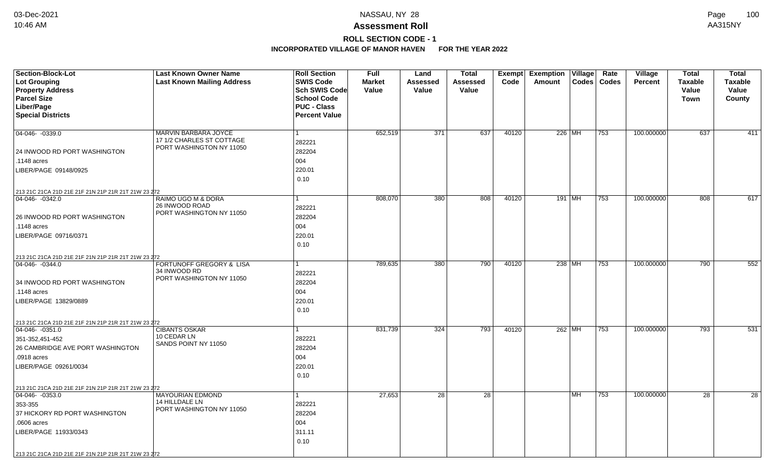## **ROLL SECTION CODE - 1**

| Section-Block-Lot<br><b>Lot Grouping</b>            | <b>Last Known Owner Name</b><br><b>Last Known Mailing Address</b> | <b>Roll Section</b><br><b>SWIS Code</b>    | <b>Full</b><br><b>Market</b> | Land<br>Assessed | <b>Total</b><br><b>Assessed</b> | <b>Exempt</b><br>Code | <b>Exemption Village</b><br>$\text{Codes}$<br>Amount | Rate<br>Codes | <b>Village</b><br><b>Percent</b> | <b>Total</b><br><b>Taxable</b> | <b>Total</b><br><b>Taxable</b> |
|-----------------------------------------------------|-------------------------------------------------------------------|--------------------------------------------|------------------------------|------------------|---------------------------------|-----------------------|------------------------------------------------------|---------------|----------------------------------|--------------------------------|--------------------------------|
| <b>Property Address</b>                             |                                                                   | <b>Sch SWIS Code</b><br><b>School Code</b> | Value                        | Value            | Value                           |                       |                                                      |               |                                  | Value                          | Value                          |
| <b>Parcel Size</b><br>Liber/Page                    |                                                                   | <b>PUC - Class</b>                         |                              |                  |                                 |                       |                                                      |               |                                  | <b>Town</b>                    | County                         |
| <b>Special Districts</b>                            |                                                                   | <b>Percent Value</b>                       |                              |                  |                                 |                       |                                                      |               |                                  |                                |                                |
|                                                     |                                                                   |                                            |                              |                  |                                 |                       |                                                      |               |                                  |                                |                                |
| 04-046- -0339.0                                     | <b>MARVIN BARBARA JOYCE</b><br>17 1/2 CHARLES ST COTTAGE          | 1                                          | 652,519                      | 371              | 637                             | 40120                 | 226 MH                                               | 753           | 100.000000                       | 637                            | 411                            |
|                                                     | PORT WASHINGTON NY 11050                                          | 282221                                     |                              |                  |                                 |                       |                                                      |               |                                  |                                |                                |
| 24 INWOOD RD PORT WASHINGTON                        |                                                                   | 282204                                     |                              |                  |                                 |                       |                                                      |               |                                  |                                |                                |
| .1148 acres                                         |                                                                   | 004                                        |                              |                  |                                 |                       |                                                      |               |                                  |                                |                                |
| LIBER/PAGE 09148/0925                               |                                                                   | 220.01                                     |                              |                  |                                 |                       |                                                      |               |                                  |                                |                                |
|                                                     |                                                                   | 0.10                                       |                              |                  |                                 |                       |                                                      |               |                                  |                                |                                |
| 213 21C 21CA 21D 21E 21F 21N 21P 21R 21T 21W 23 272 |                                                                   |                                            |                              |                  |                                 |                       |                                                      |               |                                  |                                |                                |
| 04-046-0342.0                                       | RAIMO UGO M & DORA<br>26 INWOOD ROAD                              |                                            | 808,070                      | 380              | 808                             | 40120                 | 191   $M\overline{H}$                                | 753           | 100.000000                       | 808                            | 617                            |
|                                                     | PORT WASHINGTON NY 11050                                          | 282221                                     |                              |                  |                                 |                       |                                                      |               |                                  |                                |                                |
| 26 INWOOD RD PORT WASHINGTON                        |                                                                   | 282204                                     |                              |                  |                                 |                       |                                                      |               |                                  |                                |                                |
| .1148 acres                                         |                                                                   | 004                                        |                              |                  |                                 |                       |                                                      |               |                                  |                                |                                |
| LIBER/PAGE 09716/0371                               |                                                                   | 220.01                                     |                              |                  |                                 |                       |                                                      |               |                                  |                                |                                |
|                                                     |                                                                   | 0.10                                       |                              |                  |                                 |                       |                                                      |               |                                  |                                |                                |
| 213 21C 21CA 21D 21E 21F 21N 21P 21R 21T 21W 23 272 |                                                                   |                                            |                              |                  |                                 |                       |                                                      |               |                                  |                                |                                |
| 04-046- -0344.0                                     | <b>FORTUNOFF GREGORY &amp; LISA</b>                               |                                            | 789,635                      | 380              | 790                             | 40120                 | 238 MH                                               | 753           | 100.000000                       | 790                            | 552                            |
|                                                     | 34 INWOOD RD<br>PORT WASHINGTON NY 11050                          | 282221                                     |                              |                  |                                 |                       |                                                      |               |                                  |                                |                                |
| 34 INWOOD RD PORT WASHINGTON                        |                                                                   | 282204                                     |                              |                  |                                 |                       |                                                      |               |                                  |                                |                                |
| .1148 acres                                         |                                                                   | 004                                        |                              |                  |                                 |                       |                                                      |               |                                  |                                |                                |
| LIBER/PAGE 13829/0889                               |                                                                   | 220.01                                     |                              |                  |                                 |                       |                                                      |               |                                  |                                |                                |
|                                                     |                                                                   | 0.10                                       |                              |                  |                                 |                       |                                                      |               |                                  |                                |                                |
| 213 21C 21CA 21D 21E 21F 21N 21P 21R 21T 21W 23 272 |                                                                   |                                            |                              |                  |                                 |                       |                                                      |               |                                  |                                |                                |
| $ 04 - 046 - 0351.0$                                | <b>CIBANTS OSKAR</b>                                              | 1                                          | 831,739                      | 324              | 793                             | 40120                 | 262 MH                                               | 753           | 100.000000                       | 793                            | 531                            |
| 351-352,451-452                                     | 10 CEDAR LN                                                       | 282221                                     |                              |                  |                                 |                       |                                                      |               |                                  |                                |                                |
| 26 CAMBRIDGE AVE PORT WASHINGTON                    | SANDS POINT NY 11050                                              | 282204                                     |                              |                  |                                 |                       |                                                      |               |                                  |                                |                                |
| .0918 acres                                         |                                                                   | 004                                        |                              |                  |                                 |                       |                                                      |               |                                  |                                |                                |
| LIBER/PAGE 09261/0034                               |                                                                   | 220.01                                     |                              |                  |                                 |                       |                                                      |               |                                  |                                |                                |
|                                                     |                                                                   | 0.10                                       |                              |                  |                                 |                       |                                                      |               |                                  |                                |                                |
| 213 21C 21CA 21D 21E 21F 21N 21P 21R 21T 21W 23 272 |                                                                   |                                            |                              |                  |                                 |                       |                                                      |               |                                  |                                |                                |
| $\boxed{04-046 - 0353.0}$                           | <b>MAYOURIAN EDMOND</b>                                           | 1                                          | 27,653                       | 28               | 28                              |                       | l MH.                                                | 753           | 100.000000                       | 28                             | 28                             |
| 353-355                                             | 14 HILLDALE LN                                                    | 282221                                     |                              |                  |                                 |                       |                                                      |               |                                  |                                |                                |
| 37 HICKORY RD PORT WASHINGTON                       | PORT WASHINGTON NY 11050                                          | 282204                                     |                              |                  |                                 |                       |                                                      |               |                                  |                                |                                |
| .0606 acres                                         |                                                                   | 004                                        |                              |                  |                                 |                       |                                                      |               |                                  |                                |                                |
| LIBER/PAGE 11933/0343                               |                                                                   | 311.11                                     |                              |                  |                                 |                       |                                                      |               |                                  |                                |                                |
|                                                     |                                                                   | 0.10                                       |                              |                  |                                 |                       |                                                      |               |                                  |                                |                                |
| 213 21C 21CA 21D 21E 21F 21N 21P 21R 21T 21W 23 272 |                                                                   |                                            |                              |                  |                                 |                       |                                                      |               |                                  |                                |                                |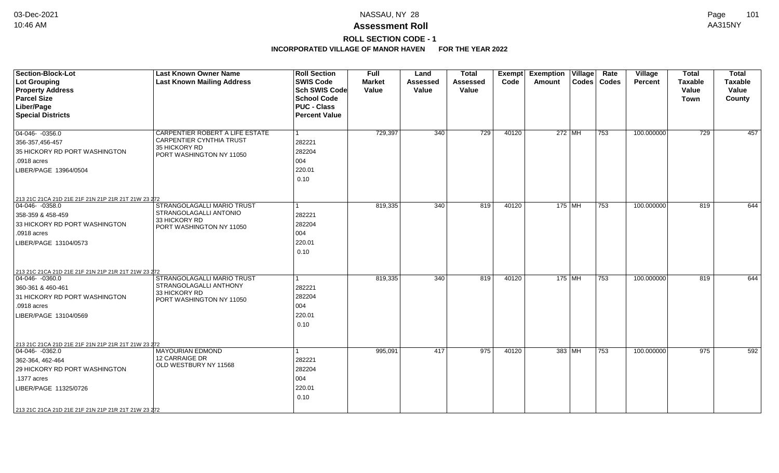### **ROLL SECTION CODE - 1**

| <b>Section-Block-Lot</b><br><b>Lot Grouping</b><br><b>Property Address</b><br><b>Parcel Size</b><br>Liber/Page<br><b>Special Districts</b>                                                                               | <b>Last Known Owner Name</b><br><b>Last Known Mailing Address</b>                                               | <b>Roll Section</b><br><b>SWIS Code</b><br><b>Sch SWIS Code</b><br><b>School Code</b><br><b>PUC - Class</b><br><b>Percent Value</b> | <b>Full</b><br><b>Market</b><br>Value | Land<br><b>Assessed</b><br>Value | <b>Total</b><br><b>Assessed</b><br>Value | Exempt<br>Code | <b>Exemption Village</b><br>Amount | Rate<br>Codes   Codes | Village<br><b>Percent</b> | <b>Total</b><br><b>Taxable</b><br>Value<br>Town | <b>Total</b><br>Taxable<br>Value<br>County |
|--------------------------------------------------------------------------------------------------------------------------------------------------------------------------------------------------------------------------|-----------------------------------------------------------------------------------------------------------------|-------------------------------------------------------------------------------------------------------------------------------------|---------------------------------------|----------------------------------|------------------------------------------|----------------|------------------------------------|-----------------------|---------------------------|-------------------------------------------------|--------------------------------------------|
| $04-046 - 0356.0$<br>356-357,456-457<br>35 HICKORY RD PORT WASHINGTON<br>.0918 acres<br>LIBER/PAGE 13964/0504                                                                                                            | CARPENTIER ROBERT A LIFE ESTATE<br><b>CARPENTIER CYNTHIA TRUST</b><br>35 HICKORY RD<br>PORT WASHINGTON NY 11050 | 282221<br>282204<br>004<br>220.01<br>0.10                                                                                           | 729,397                               | 340                              | 729                                      | 40120          | 272   $\overline{\text{MH}}$       | 753                   | 100.000000                | 729                                             | 457                                        |
| 213 21C 21CA 21D 21E 21F 21N 21P 21R 21T 21W 23 272<br>$ 04-046-0358.0$<br>358-359 & 458-459<br>33 HICKORY RD PORT WASHINGTON<br>.0918 acres<br>LIBER/PAGE 13104/0573                                                    | STRANGOLAGALLI MARIO TRUST<br>STRANGOLAGALLI ANTONIO<br>33 HICKORY RD<br>PORT WASHINGTON NY 11050               | 282221<br>282204<br>004<br>220.01<br>0.10                                                                                           | 819,335                               | 340                              | 819                                      | 40120          | $175$ MH                           | 753                   | 100.000000                | 819                                             | 644                                        |
| 213 21C 21CA 21D 21E 21F 21N 21P 21R 21T 21W 23 272<br>$ 04 - 046 - 0360.0$<br>360-361 & 460-461<br>31 HICKORY RD PORT WASHINGTON<br>.0918 acres<br>LIBER/PAGE 13104/0569                                                | STRANGOLAGALLI MARIO TRUST<br>STRANGOLAGALLI ANTHONY<br>33 HICKORY RD<br>PORT WASHINGTON NY 11050               | 282221<br>282204<br>004<br>220.01<br>0.10                                                                                           | 819,335                               | 340                              | 819                                      | 40120          | 175 MH                             | 753                   | 100.000000                | 819                                             | 644                                        |
| 213 21C 21CA 21D 21E 21F 21N 21P 21R 21T 21W 23 272<br>04-046-0362.0<br>362-364, 462-464<br>29 HICKORY RD PORT WASHINGTON<br>.1377 acres<br>LIBER/PAGE 11325/0726<br>213 21C 21CA 21D 21E 21F 21N 21P 21R 21T 21W 23 272 | <b>MAYOURIAN EDMOND</b><br>12 CARRAIGE DR<br>OLD WESTBURY NY 11568                                              | 282221<br>282204<br>004<br>220.01<br>0.10                                                                                           | 995,091                               | 417                              | 975                                      | 40120          | 383 MH                             | 753                   | 100.000000                | 975                                             | 592                                        |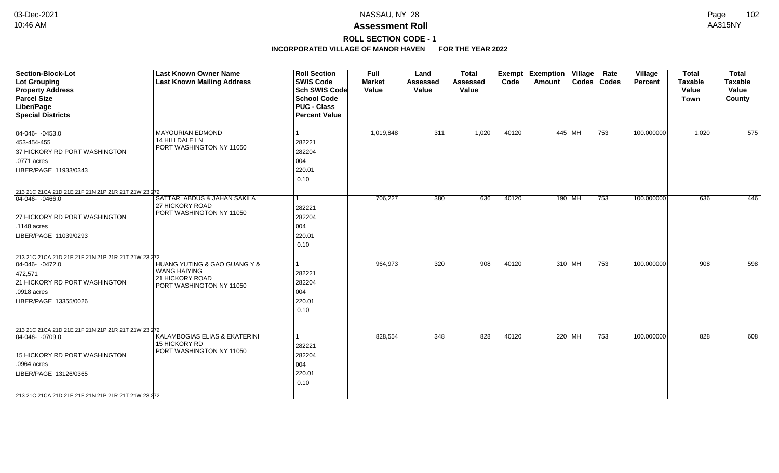## **ROLL SECTION CODE - 1**

| <b>Section-Block-Lot</b>                            | <b>Last Known Owner Name</b>                   | <b>Roll Section</b>  | <b>Full</b>   | Land            | <b>Total</b>    | Exempt | <b>Exemption Village</b> |        | Rate          | Village    | <b>Total</b>   | <b>Total</b>   |
|-----------------------------------------------------|------------------------------------------------|----------------------|---------------|-----------------|-----------------|--------|--------------------------|--------|---------------|------------|----------------|----------------|
| <b>Lot Grouping</b>                                 | <b>Last Known Mailing Address</b>              | <b>SWIS Code</b>     | <b>Market</b> | <b>Assessed</b> | <b>Assessed</b> | Code   | Amount                   |        | Codes   Codes | Percent    | <b>Taxable</b> | <b>Taxable</b> |
| <b>Property Address</b>                             |                                                | <b>Sch SWIS Code</b> | Value         | Value           | Value           |        |                          |        |               |            | Value          | Value          |
| <b>Parcel Size</b>                                  |                                                | <b>School Code</b>   |               |                 |                 |        |                          |        |               |            | <b>Town</b>    | County         |
| Liber/Page                                          |                                                | <b>PUC - Class</b>   |               |                 |                 |        |                          |        |               |            |                |                |
| <b>Special Districts</b>                            |                                                | <b>Percent Value</b> |               |                 |                 |        |                          |        |               |            |                |                |
| $\boxed{04-046 - 0453.0}$                           | <b>MAYOURIAN EDMOND</b>                        |                      | 1,019,848     | 311             | 1,020           | 40120  | 445 MH                   |        | 753           | 100.000000 | 1,020          | 575            |
| 453-454-455                                         | 14 HILLDALE LN                                 | 282221               |               |                 |                 |        |                          |        |               |            |                |                |
| 37 HICKORY RD PORT WASHINGTON                       | PORT WASHINGTON NY 11050                       | 282204               |               |                 |                 |        |                          |        |               |            |                |                |
| .0771 acres                                         |                                                | 004                  |               |                 |                 |        |                          |        |               |            |                |                |
| LIBER/PAGE 11933/0343                               |                                                | 220.01               |               |                 |                 |        |                          |        |               |            |                |                |
|                                                     |                                                | 0.10                 |               |                 |                 |        |                          |        |               |            |                |                |
| 213 21C 21CA 21D 21E 21F 21N 21P 21R 21T 21W 23 272 |                                                |                      |               |                 |                 |        |                          |        |               |            |                |                |
| $ 04-046-0466.0$                                    | SATTAR ABDUS & JAHAN SAKILA<br>27 HICKORY ROAD | 1                    | 706,227       | 380             | 636             | 40120  |                          | 190 MH | 753           | 100.000000 | 636            | 446            |
|                                                     | PORT WASHINGTON NY 11050                       | 282221               |               |                 |                 |        |                          |        |               |            |                |                |
| 27 HICKORY RD PORT WASHINGTON                       |                                                | 282204               |               |                 |                 |        |                          |        |               |            |                |                |
| .1148 acres                                         |                                                | 004                  |               |                 |                 |        |                          |        |               |            |                |                |
| LIBER/PAGE 11039/0293                               |                                                | 220.01               |               |                 |                 |        |                          |        |               |            |                |                |
|                                                     |                                                | 0.10                 |               |                 |                 |        |                          |        |               |            |                |                |
| 213 21C 21CA 21D 21E 21F 21N 21P 21R 21T 21W 23 272 |                                                |                      |               |                 |                 |        |                          |        |               |            |                |                |
| $04-046 - 0472.0$                                   | HUANG YUTING & GAO GUANG Y &                   | 1                    | 964,973       | 320             | 908             | 40120  | $310$ MH                 |        | 753           | 100.000000 | 908            | 598            |
| 472,571                                             | <b>WANG HAIYING</b><br>21 HICKORY ROAD         | 282221               |               |                 |                 |        |                          |        |               |            |                |                |
| 21 HICKORY RD PORT WASHINGTON                       | PORT WASHINGTON NY 11050                       | 282204               |               |                 |                 |        |                          |        |               |            |                |                |
| .0918 acres                                         |                                                | 004                  |               |                 |                 |        |                          |        |               |            |                |                |
| LIBER/PAGE 13355/0026                               |                                                | 220.01               |               |                 |                 |        |                          |        |               |            |                |                |
|                                                     |                                                | 0.10                 |               |                 |                 |        |                          |        |               |            |                |                |
|                                                     |                                                |                      |               |                 |                 |        |                          |        |               |            |                |                |
| 213 21C 21CA 21D 21E 21F 21N 21P 21R 21T 21W 23 272 |                                                |                      |               |                 |                 |        |                          |        |               |            |                |                |
| $ 04 - 046 - 0709.0$                                | KALAMBOGIAS ELIAS & EKATERINI<br>15 HICKORY RD | 1                    | 828,554       | 348             | 828             | 40120  | 220   MH                 |        | 753           | 100.000000 | 828            | 608            |
|                                                     | PORT WASHINGTON NY 11050                       | 282221               |               |                 |                 |        |                          |        |               |            |                |                |
| 15 HICKORY RD PORT WASHINGTON                       |                                                | 282204               |               |                 |                 |        |                          |        |               |            |                |                |
| .0964 acres                                         |                                                | 004                  |               |                 |                 |        |                          |        |               |            |                |                |
| LIBER/PAGE 13126/0365                               |                                                | 220.01               |               |                 |                 |        |                          |        |               |            |                |                |
|                                                     |                                                | 0.10                 |               |                 |                 |        |                          |        |               |            |                |                |
| 213 21C 21CA 21D 21E 21F 21N 21P 21R 21T 21W 23 272 |                                                |                      |               |                 |                 |        |                          |        |               |            |                |                |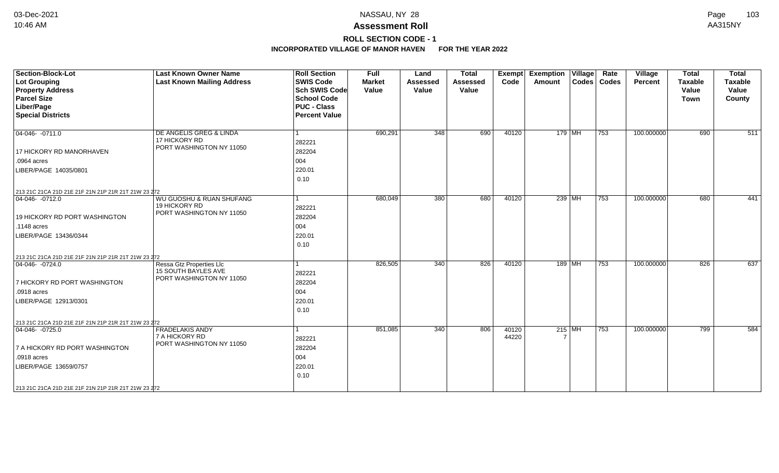### **ROLL SECTION CODE - 1**

| Section-Block-Lot<br><b>Lot Grouping</b><br><b>Property Address</b><br><b>Parcel Size</b><br>Liber/Page<br><b>Special Districts</b>                                                                                     | <b>Last Known Owner Name</b><br><b>Last Known Mailing Address</b>                  | <b>Roll Section</b><br><b>SWIS Code</b><br><b>Sch SWIS Code</b><br><b>School Code</b><br><b>PUC - Class</b><br><b>Percent Value</b> | <b>Full</b><br><b>Market</b><br>Value | Land<br><b>Assessed</b><br>Value | <b>Total</b><br>Assessed<br>Value | <b>Exempt</b><br>Code | <b>Exemption Village</b><br>Amount | Rate<br>Codes   Codes | Village<br>Percent | <b>Total</b><br><b>Taxable</b><br>Value<br><b>Town</b> | <b>Total</b><br><b>Taxable</b><br>Value<br>County |
|-------------------------------------------------------------------------------------------------------------------------------------------------------------------------------------------------------------------------|------------------------------------------------------------------------------------|-------------------------------------------------------------------------------------------------------------------------------------|---------------------------------------|----------------------------------|-----------------------------------|-----------------------|------------------------------------|-----------------------|--------------------|--------------------------------------------------------|---------------------------------------------------|
| 04-046-0711.0<br>17 HICKORY RD MANORHAVEN<br>.0964 acres<br>LIBER/PAGE 14035/0801<br>213 21C 21CA 21D 21E 21F 21N 21P 21R 21T 21W 23 272                                                                                | DE ANGELIS GREG & LINDA<br>17 HICKORY RD<br>PORT WASHINGTON NY 11050               | 282221<br>282204<br>004<br>220.01<br>0.10                                                                                           | 690,291                               | 348                              | 690                               | 40120                 | $179$ MH                           | $ 753\rangle$         | 100.000000         | 690                                                    | 511                                               |
| 04-046- -0712.0<br>19 HICKORY RD PORT WASHINGTON<br>.1148 acres<br>LIBER/PAGE 13436/0344                                                                                                                                | WU GUOSHU & RUAN SHUFANG<br><b>19 HICKORY RD</b><br>PORT WASHINGTON NY 11050       | 282221<br>282204<br>004<br>220.01<br>0.10                                                                                           | 680,049                               | 380                              | 680                               | 40120                 | 239 MH                             | 753                   | 100.000000         | 680                                                    | 441                                               |
| 213 21C 21CA 21D 21E 21F 21N 21P 21R 21T 21W 23 272<br>$ 04-046-0724.0$<br>7 HICKORY RD PORT WASHINGTON<br>.0918 acres<br>LIBER/PAGE 12913/0301                                                                         | Ressa Gtz Properties Llc<br><b>15 SOUTH BAYLES AVE</b><br>PORT WASHINGTON NY 11050 | 282221<br>282204<br>004<br>220.01<br>0.10                                                                                           | 826,505                               | 340                              | 826                               | 40120                 | $189$ MH                           | 753                   | 100.000000         | 826                                                    | 637                                               |
| 213 21C 21CA 21D 21E 21F 21N 21P 21R 21T 21W 23 272<br>$\boxed{04-046}$ -0725.0<br><b>7 A HICKORY RD PORT WASHINGTON</b><br>.0918 acres<br>LIBER/PAGE 13659/0757<br>213 21C 21CA 21D 21E 21F 21N 21P 21R 21T 21W 23 272 | <b>FRADELAKIS ANDY</b><br><b>7 A HICKORY RD</b><br>PORT WASHINGTON NY 11050        | 282221<br>282204<br>004<br>220.01<br>0.10                                                                                           | 851,085                               | 340                              | 806                               | 40120<br>44220        | 215 MH                             | 753                   | 100.000000         | 799                                                    | 584                                               |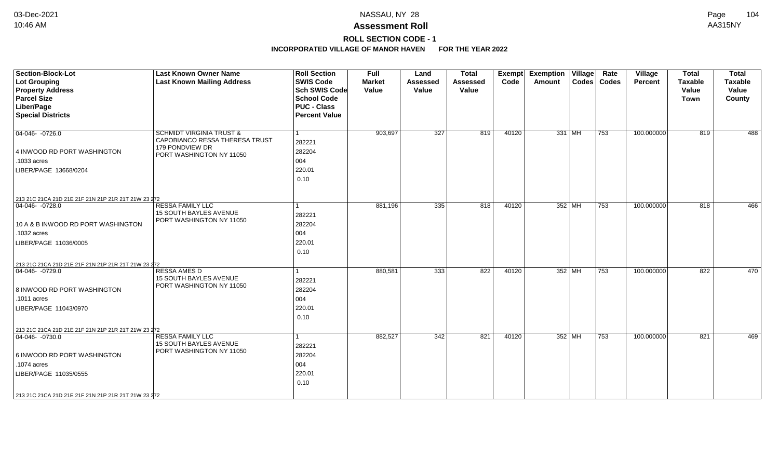## **ROLL SECTION CODE - 1**

| Section-Block-Lot                                                    | <b>Last Known Owner Name</b>                       | <b>Roll Section</b>  | <b>Full</b>   | Land            | <b>Total</b>    | Exempt | <b>Exemption Village</b> |          | Rate          | Village        | <b>Total</b>   | <b>Total</b>   |
|----------------------------------------------------------------------|----------------------------------------------------|----------------------|---------------|-----------------|-----------------|--------|--------------------------|----------|---------------|----------------|----------------|----------------|
| Lot Grouping                                                         | <b>Last Known Mailing Address</b>                  | <b>SWIS Code</b>     | <b>Market</b> | <b>Assessed</b> | <b>Assessed</b> | Code   | Amount                   |          | Codes   Codes | <b>Percent</b> | <b>Taxable</b> | <b>Taxable</b> |
| <b>Property Address</b>                                              |                                                    | <b>Sch SWIS Code</b> | Value         | Value           | Value           |        |                          |          |               |                | Value          | Value          |
| <b>Parcel Size</b>                                                   |                                                    | <b>School Code</b>   |               |                 |                 |        |                          |          |               |                | <b>Town</b>    | County         |
| Liber/Page                                                           |                                                    | <b>PUC - Class</b>   |               |                 |                 |        |                          |          |               |                |                |                |
| <b>Special Districts</b>                                             |                                                    | <b>Percent Value</b> |               |                 |                 |        |                          |          |               |                |                |                |
|                                                                      |                                                    |                      |               |                 |                 |        |                          |          |               |                |                |                |
| $\boxed{04-046 - 0726.0}$                                            | <b>SCHMIDT VIRGINIA TRUST &amp;</b>                |                      | 903,697       | 327             | 819             | 40120  |                          | $331$ MH | 753           | 100.000000     | 819            | 488            |
|                                                                      | CAPOBIANCO RESSA THERESA TRUST                     | 282221               |               |                 |                 |        |                          |          |               |                |                |                |
| 4 INWOOD RD PORT WASHINGTON                                          | 179 PONDVIEW DR<br>PORT WASHINGTON NY 11050        | 282204               |               |                 |                 |        |                          |          |               |                |                |                |
| .1033 acres                                                          |                                                    | 004                  |               |                 |                 |        |                          |          |               |                |                |                |
| LIBER/PAGE 13668/0204                                                |                                                    | 220.01               |               |                 |                 |        |                          |          |               |                |                |                |
|                                                                      |                                                    | 0.10                 |               |                 |                 |        |                          |          |               |                |                |                |
|                                                                      |                                                    |                      |               |                 |                 |        |                          |          |               |                |                |                |
|                                                                      |                                                    |                      |               |                 |                 |        |                          |          |               |                |                |                |
| 213 21C 21CA 21D 21E 21F 21N 21P 21R 21T 21W 23 272<br>04-046-0728.0 | <b>RESSA FAMILY LLC</b>                            |                      | 881,196       | 335             | 818             | 40120  |                          | 352 MH   | 753           | 100.000000     | 818            | 466            |
|                                                                      | 15 SOUTH BAYLES AVENUE                             | 282221               |               |                 |                 |        |                          |          |               |                |                |                |
| 10 A & B INWOOD RD PORT WASHINGTON                                   | PORT WASHINGTON NY 11050                           | 282204               |               |                 |                 |        |                          |          |               |                |                |                |
| .1032 acres                                                          |                                                    | 004                  |               |                 |                 |        |                          |          |               |                |                |                |
|                                                                      |                                                    | 220.01               |               |                 |                 |        |                          |          |               |                |                |                |
| LIBER/PAGE 11036/0005                                                |                                                    |                      |               |                 |                 |        |                          |          |               |                |                |                |
|                                                                      |                                                    | 0.10                 |               |                 |                 |        |                          |          |               |                |                |                |
| 213 21C 21CA 21D 21E 21F 21N 21P 21R 21T 21W 23 272                  |                                                    |                      |               |                 |                 |        |                          |          |               |                |                |                |
| $ 04-046-0729.0$                                                     | <b>RESSA AMES D</b>                                |                      | 880,581       | 333             | 822             | 40120  |                          | 352 MH   | 753           | 100.000000     | 822            | 470            |
|                                                                      | 15 SOUTH BAYLES AVENUE<br>PORT WASHINGTON NY 11050 | 282221               |               |                 |                 |        |                          |          |               |                |                |                |
| 8 INWOOD RD PORT WASHINGTON                                          |                                                    | 282204               |               |                 |                 |        |                          |          |               |                |                |                |
| .1011 acres                                                          |                                                    | 004                  |               |                 |                 |        |                          |          |               |                |                |                |
| LIBER/PAGE 11043/0970                                                |                                                    | 220.01               |               |                 |                 |        |                          |          |               |                |                |                |
|                                                                      |                                                    | 0.10                 |               |                 |                 |        |                          |          |               |                |                |                |
| 213 21C 21CA 21D 21E 21F 21N 21P 21R 21T 21W 23 272                  |                                                    |                      |               |                 |                 |        |                          |          |               |                |                |                |
| $ 04-046-0730.0$                                                     | <b>RESSA FAMILY LLC</b>                            |                      | 882,527       | 342             | 821             | 40120  |                          | 352 MH   | 753           | 100.000000     | 821            | 469            |
|                                                                      | <b>15 SOUTH BAYLES AVENUE</b>                      | 282221               |               |                 |                 |        |                          |          |               |                |                |                |
| 6 INWOOD RD PORT WASHINGTON                                          | PORT WASHINGTON NY 11050                           | 282204               |               |                 |                 |        |                          |          |               |                |                |                |
| .1074 acres                                                          |                                                    | 004                  |               |                 |                 |        |                          |          |               |                |                |                |
|                                                                      |                                                    | 220.01               |               |                 |                 |        |                          |          |               |                |                |                |
| LIBER/PAGE 11035/0555                                                |                                                    | 0.10                 |               |                 |                 |        |                          |          |               |                |                |                |
|                                                                      |                                                    |                      |               |                 |                 |        |                          |          |               |                |                |                |
| 213 21C 21CA 21D 21E 21F 21N 21P 21R 21T 21W 23 272                  |                                                    |                      |               |                 |                 |        |                          |          |               |                |                |                |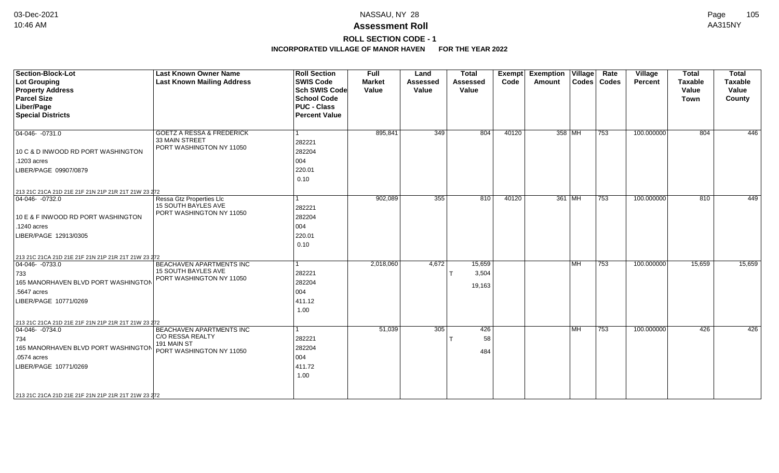### **ROLL SECTION CODE - 1**

| <b>Section-Block-Lot</b><br><b>Lot Grouping</b><br><b>Property Address</b><br><b>Parcel Size</b><br>Liber/Page<br><b>Special Districts</b>                                                                           | <b>Last Known Owner Name</b><br><b>Last Known Mailing Address</b>                       | <b>Roll Section</b><br><b>SWIS Code</b><br><b>Sch SWIS Code</b><br><b>School Code</b><br><b>PUC - Class</b><br><b>Percent Value</b> | Full<br><b>Market</b><br>Value | Land<br><b>Assessed</b><br>Value | <b>Total</b><br><b>Assessed</b><br>Value | Exempt<br>Code | <b>Exemption Village</b><br><b>Amount</b> |           | Rate<br>Codes   Codes | Village<br>Percent | <b>Total</b><br><b>Taxable</b><br>Value<br><b>Town</b> | <b>Total</b><br><b>Taxable</b><br>Value<br>County |
|----------------------------------------------------------------------------------------------------------------------------------------------------------------------------------------------------------------------|-----------------------------------------------------------------------------------------|-------------------------------------------------------------------------------------------------------------------------------------|--------------------------------|----------------------------------|------------------------------------------|----------------|-------------------------------------------|-----------|-----------------------|--------------------|--------------------------------------------------------|---------------------------------------------------|
| $04-046 - 0731.0$<br>10 C & D INWOOD RD PORT WASHINGTON<br>.1203 acres<br>LIBER/PAGE 09907/0879                                                                                                                      | <b>GOETZ A RESSA &amp; FREDERICK</b><br>33 MAIN STREET<br>PORT WASHINGTON NY 11050      | 1<br>282221<br>282204<br>004<br>220.01<br>0.10                                                                                      | 895,841                        | 349                              | 804                                      | 40120          |                                           | 358 MH    | 753                   | 100.000000         | 804                                                    | 446                                               |
| 213 21C 21CA 21D 21E 21F 21N 21P 21R 21T 21W 23 272<br>$ 04-046-0732.0$<br>10 E & F INWOOD RD PORT WASHINGTON<br>.1240 acres<br>LIBER/PAGE 12913/0305                                                                | Ressa Gtz Properties Llc<br>15 SOUTH BAYLES AVE<br>PORT WASHINGTON NY 11050             | 1<br>282221<br>282204<br>004<br>220.01<br>0.10                                                                                      | 902,089                        | 355                              | 810                                      | 40120          |                                           | 361 MH    | 753                   | 100.000000         | 810                                                    | 449                                               |
| 213 21C 21CA 21D 21E 21F 21N 21P 21R 21T 21W 23 272<br>$ 04-046-0733.0$<br>733<br>165 MANORHAVEN BLVD PORT WASHINGTON<br>.5647 acres<br>LIBER/PAGE 10771/0269<br>213 21C 21CA 21D 21E 21F 21N 21P 21R 21T 21W 23 272 | BEACHAVEN APARTMENTS INC<br>15 SOUTH BAYLES AVE<br>PORT WASHINGTON NY 11050             | 1<br>282221<br>282204<br>004<br>411.12<br>1.00                                                                                      | 2,018,060                      | 4,672                            | 15,659<br>3,504<br>19,163                |                |                                           | <b>MH</b> | 753                   | 100.000000         | 15,659                                                 | 15,659                                            |
| $ 04-046-0734.0$<br>734<br>165 MANORHAVEN BLVD PORT WASHINGTON<br>.0574 acres<br>LIBER/PAGE 10771/0269<br>213 21C 21CA 21D 21E 21F 21N 21P 21R 21T 21W 23 272                                                        | BEACHAVEN APARTMENTS INC<br>C/O RESSA REALTY<br>191 MAIN ST<br>PORT WASHINGTON NY 11050 | 282221<br>282204<br>004<br>411.72<br>1.00                                                                                           | 51,039                         | 305                              | 426<br>58<br>484                         |                |                                           | <b>MH</b> | 753                   | 100.000000         | 426                                                    | 426                                               |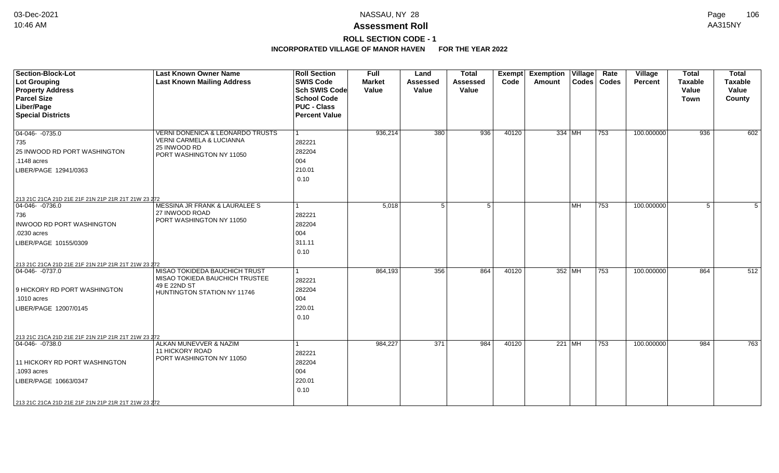## **ROLL SECTION CODE - 1**

| <b>Section-Block-Lot</b><br>Lot Grouping<br><b>Property Address</b><br><b>Parcel Size</b><br>Liber/Page<br><b>Special Districts</b>                                                                     | <b>Last Known Owner Name</b><br><b>Last Known Mailing Address</b>                                                   | <b>Roll Section</b><br><b>SWIS Code</b><br>Sch SWIS Code<br><b>School Code</b><br><b>PUC - Class</b><br><b>Percent Value</b> | <b>Full</b><br><b>Market</b><br>Value | Land<br><b>Assessed</b><br>Value | <b>Total</b><br><b>Assessed</b><br>Value | Exempt<br>Code | <b>Exemption Village</b><br><b>Amount</b> |           | Rate<br>Codes   Codes | Village<br><b>Percent</b> | <b>Total</b><br><b>Taxable</b><br>Value<br><b>Town</b> | <b>Total</b><br><b>Taxable</b><br>Value<br>County |
|---------------------------------------------------------------------------------------------------------------------------------------------------------------------------------------------------------|---------------------------------------------------------------------------------------------------------------------|------------------------------------------------------------------------------------------------------------------------------|---------------------------------------|----------------------------------|------------------------------------------|----------------|-------------------------------------------|-----------|-----------------------|---------------------------|--------------------------------------------------------|---------------------------------------------------|
| $04-046 - 0735.0$<br>735<br>25 INWOOD RD PORT WASHINGTON<br>.1148 acres<br>LIBER/PAGE 12941/0363                                                                                                        | <b>VERNI DONENICA &amp; LEONARDO TRUSTS</b><br>VERNI CARMELA & LUCIANNA<br>25 INWOOD RD<br>PORT WASHINGTON NY 11050 | -1<br>282221<br>282204<br>004<br>210.01<br>0.10                                                                              | 936,214                               | 380                              | 936                                      | 40120          |                                           | 334 MH    | 753                   | 100.000000                | 936                                                    | 602                                               |
| 213 21C 21CA 21D 21E 21F 21N 21P 21R 21T 21W 23 272<br>04-046- -0736.0<br>736<br>INWOOD RD PORT WASHINGTON<br>.0230 acres<br>LIBER/PAGE 10155/0309                                                      | MESSINA JR FRANK & LAURALEE S<br>27 INWOOD ROAD<br>PORT WASHINGTON NY 11050                                         | 1<br>282221<br>282204<br>004<br>311.11<br>0.10                                                                               | 5,018                                 | 5                                | $5^{\circ}$                              |                |                                           | <b>MH</b> | 753                   | 100.000000                | 5                                                      | 5                                                 |
| 213 21C 21CA 21D 21E 21F 21N 21P 21R 21T 21W 23 272<br>$ 04-046-0737.0$<br>9 HICKORY RD PORT WASHINGTON<br>.1010 acres<br>LIBER/PAGE 12007/0145                                                         | MISAO TOKIDEDA BAUCHICH TRUST<br>MISAO TOKIEDA BAUCHICH TRUSTEE<br>49 E 22ND ST<br>HUNTINGTON STATION NY 11746      | 1<br>282221<br>282204<br>004<br>220.01<br>0.10                                                                               | 864,193                               | 356                              | 864                                      | 40120          |                                           | 352 MH    | 753                   | 100.000000                | 864                                                    | 512                                               |
| 213 21C 21CA 21D 21E 21F 21N 21P 21R 21T 21W 23 272<br>$ 04-046-0738.0$<br>11 HICKORY RD PORT WASHINGTON<br>.1093 acres<br>LIBER/PAGE 10663/0347<br>213 21C 21CA 21D 21E 21F 21N 21P 21R 21T 21W 23 272 | ALKAN MUNEVVER & NAZIM<br>11 HICKORY ROAD<br>PORT WASHINGTON NY 11050                                               | 282221<br>282204<br>004<br>220.01<br>0.10                                                                                    | 984,227                               | 371                              | 984                                      | 40120          |                                           | 221 MH    | 753                   | 100.000000                | 984                                                    | 763                                               |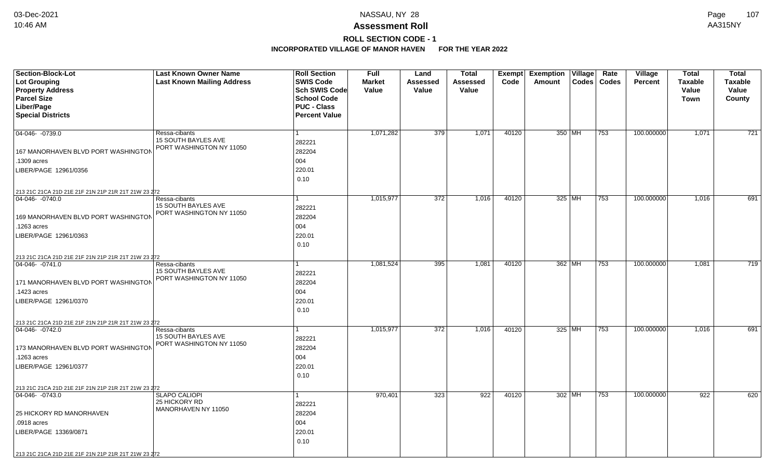## **ROLL SECTION CODE - 1**

| <b>Section-Block-Lot</b>                            | <b>Last Known Owner Name</b>                    | <b>Roll Section</b>                 | <b>Full</b>   | Land     | <b>Total</b>    |       | Exempt Exemption Village | Rate          | Village        | <b>Total</b>   | <b>Total</b>     |
|-----------------------------------------------------|-------------------------------------------------|-------------------------------------|---------------|----------|-----------------|-------|--------------------------|---------------|----------------|----------------|------------------|
| Lot Grouping                                        | <b>Last Known Mailing Address</b>               | <b>SWIS Code</b>                    | <b>Market</b> | Assessed | <b>Assessed</b> | Code  | Amount                   | Codes   Codes | <b>Percent</b> | <b>Taxable</b> | <b>Taxable</b>   |
| <b>Property Address</b><br><b>Parcel Size</b>       |                                                 | Sch SWIS Code<br><b>School Code</b> | Value         | Value    | Value           |       |                          |               |                | Value          | Value            |
| Liber/Page                                          |                                                 | <b>PUC - Class</b>                  |               |          |                 |       |                          |               |                | <b>Town</b>    | County           |
| <b>Special Districts</b>                            |                                                 | <b>Percent Value</b>                |               |          |                 |       |                          |               |                |                |                  |
|                                                     |                                                 |                                     |               |          |                 |       |                          |               |                |                |                  |
| 04-046- -0739.0                                     | Ressa-cibants                                   |                                     | 1,071,282     | 379      | 1,071           | 40120 | 350 MH                   | 753           | 100.000000     | 1,071          | $\overline{721}$ |
|                                                     | 15 SOUTH BAYLES AVE                             | 282221                              |               |          |                 |       |                          |               |                |                |                  |
| 167 MANORHAVEN BLVD PORT WASHINGTON                 | PORT WASHINGTON NY 11050                        | 282204                              |               |          |                 |       |                          |               |                |                |                  |
| .1309 acres                                         |                                                 | 004                                 |               |          |                 |       |                          |               |                |                |                  |
| LIBER/PAGE 12961/0356                               |                                                 | 220.01                              |               |          |                 |       |                          |               |                |                |                  |
|                                                     |                                                 | 0.10                                |               |          |                 |       |                          |               |                |                |                  |
| 213 21C 21CA 21D 21E 21F 21N 21P 21R 21T 21W 23 272 |                                                 |                                     |               |          |                 |       |                          |               |                |                |                  |
| 04-046-0740.0                                       | Ressa-cibants                                   |                                     | 1,015,977     | 372      | 1,016           | 40120 | $325$ MH                 | 753           | 100.000000     | 1,016          | 691              |
|                                                     | 15 SOUTH BAYLES AVE                             | 282221                              |               |          |                 |       |                          |               |                |                |                  |
| 169 MANORHAVEN BLVD PORT WASHINGTON                 | PORT WASHINGTON NY 11050                        | 282204                              |               |          |                 |       |                          |               |                |                |                  |
| .1263 acres                                         |                                                 | 004                                 |               |          |                 |       |                          |               |                |                |                  |
| LIBER/PAGE 12961/0363                               |                                                 | 220.01                              |               |          |                 |       |                          |               |                |                |                  |
|                                                     |                                                 | 0.10                                |               |          |                 |       |                          |               |                |                |                  |
| 213 21C 21CA 21D 21E 21F 21N 21P 21R 21T 21W 23 272 |                                                 |                                     |               |          |                 |       |                          |               |                |                |                  |
| $ 04-046-0741.0$                                    | Ressa-cibants                                   |                                     | 1,081,524     | 395      | 1,081           | 40120 | 362 MH                   | 753           | 100.000000     | 1,081          | 719              |
|                                                     | 15 SOUTH BAYLES AVE                             | 282221                              |               |          |                 |       |                          |               |                |                |                  |
| 171 MANORHAVEN BLVD PORT WASHINGTON                 | PORT WASHINGTON NY 11050                        | 282204                              |               |          |                 |       |                          |               |                |                |                  |
| .1423 acres                                         |                                                 | 004                                 |               |          |                 |       |                          |               |                |                |                  |
| LIBER/PAGE 12961/0370                               |                                                 | 220.01                              |               |          |                 |       |                          |               |                |                |                  |
|                                                     |                                                 | 0.10                                |               |          |                 |       |                          |               |                |                |                  |
| 213 21C 21CA 21D 21E 21F 21N 21P 21R 21T 21W 23 272 |                                                 |                                     |               |          |                 |       |                          |               |                |                |                  |
| $ 04-046-0742.0$                                    | Ressa-cibants                                   |                                     | 1,015,977     | 372      | 1,016           | 40120 | 325 MH                   | 753           | 100.000000     | 1,016          | 691              |
|                                                     | 15 SOUTH BAYLES AVE<br>PORT WASHINGTON NY 11050 | 282221                              |               |          |                 |       |                          |               |                |                |                  |
| 173 MANORHAVEN BLVD PORT WASHINGTON                 |                                                 | 282204                              |               |          |                 |       |                          |               |                |                |                  |
| 1263 acres                                          |                                                 | 004                                 |               |          |                 |       |                          |               |                |                |                  |
| LIBER/PAGE 12961/0377                               |                                                 | 220.01                              |               |          |                 |       |                          |               |                |                |                  |
|                                                     |                                                 | 0.10                                |               |          |                 |       |                          |               |                |                |                  |
| 213 21C 21CA 21D 21E 21F 21N 21P 21R 21T 21W 23 272 |                                                 |                                     |               |          |                 |       |                          |               |                |                |                  |
| $ 04-046-0743.0$                                    | <b>SLAPO CALIOPI</b><br>25 HICKORY RD           |                                     | 970,401       | 323      | 922             | 40120 | 302 MH                   | 753           | 100.000000     | 922            | 620              |
|                                                     | MANORHAVEN NY 11050                             | 282221                              |               |          |                 |       |                          |               |                |                |                  |
| 25 HICKORY RD MANORHAVEN                            |                                                 | 282204                              |               |          |                 |       |                          |               |                |                |                  |
| .0918 acres                                         |                                                 | 004                                 |               |          |                 |       |                          |               |                |                |                  |
| LIBER/PAGE 13369/0871                               |                                                 | 220.01                              |               |          |                 |       |                          |               |                |                |                  |
|                                                     |                                                 | 0.10                                |               |          |                 |       |                          |               |                |                |                  |
| 213 21C 21CA 21D 21E 21F 21N 21P 21R 21T 21W 23 272 |                                                 |                                     |               |          |                 |       |                          |               |                |                |                  |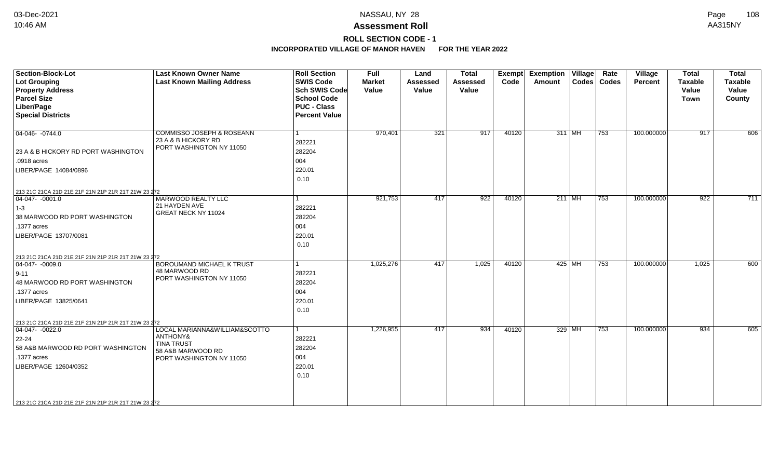### **ROLL SECTION CODE - 1**

| <b>Section-Block-Lot</b><br><b>Lot Grouping</b><br><b>Property Address</b><br><b>Parcel Size</b><br>Liber/Page<br><b>Special Districts</b>                                                                               | <b>Last Known Owner Name</b><br><b>Last Known Mailing Address</b>                                               | <b>Roll Section</b><br><b>SWIS Code</b><br><b>Sch SWIS Code</b><br><b>School Code</b><br><b>PUC - Class</b><br><b>Percent Value</b> | <b>Full</b><br><b>Market</b><br>Value | Land<br><b>Assessed</b><br>Value | <b>Total</b><br><b>Assessed</b><br>Value | Exempt<br>Code | <b>Exemption Village</b><br><b>Amount</b> |          | Rate<br>Codes   Codes | Village<br><b>Percent</b> | <b>Total</b><br><b>Taxable</b><br>Value<br><b>Town</b> | <b>Total</b><br><b>Taxable</b><br>Value<br>County |
|--------------------------------------------------------------------------------------------------------------------------------------------------------------------------------------------------------------------------|-----------------------------------------------------------------------------------------------------------------|-------------------------------------------------------------------------------------------------------------------------------------|---------------------------------------|----------------------------------|------------------------------------------|----------------|-------------------------------------------|----------|-----------------------|---------------------------|--------------------------------------------------------|---------------------------------------------------|
| $ 04-046-0744.0$<br>23 A & B HICKORY RD PORT WASHINGTON<br>.0918 acres<br>LIBER/PAGE 14084/0896                                                                                                                          | COMMISSO JOSEPH & ROSEANN<br>23 A & B HICKORY RD<br>PORT WASHINGTON NY 11050                                    | 1<br>282221<br>282204<br>004<br>220.01<br>0.10                                                                                      | 970,401                               | 321                              | 917                                      | 40120          |                                           | 311 MH   | 753                   | 100.000000                | 917                                                    | 606                                               |
| 213 21C 21CA 21D 21E 21F 21N 21P 21R 21T 21W 23 272<br>$ 04-047-0001.0$<br>$ 1-3 $<br>38 MARWOOD RD PORT WASHINGTON<br>.1377 acres<br>LIBER/PAGE 13707/0081                                                              | MARWOOD REALTY LLC<br>21 HAYDEN AVE<br>GREAT NECK NY 11024                                                      | 282221<br>282204<br>004<br>220.01<br>0.10                                                                                           | 921,753                               | 417                              | 922                                      | 40120          |                                           | $211$ MH | $\overline{753}$      | 100.000000                | 922                                                    | 711                                               |
| 213 21C 21CA 21D 21E 21F 21N 21P 21R 21T 21W 23 272<br>$\boxed{04-047 - 0009.0}$<br>$ 9 - 11 $<br>48 MARWOOD RD PORT WASHINGTON<br>.1377 acres<br>LIBER/PAGE 13825/0641                                                  | <b>BOROUMAND MICHAEL K TRUST</b><br>48 MARWOOD RD<br>PORT WASHINGTON NY 11050                                   | 1<br>282221<br>282204<br>004<br>220.01<br>0.10                                                                                      | 1,025,276                             | 417                              | 1,025                                    | 40120          |                                           | 425 MH   | 753                   | 100.000000                | 1,025                                                  | 600                                               |
| 213 21C 21CA 21D 21E 21F 21N 21P 21R 21T 21W 23 272<br>$ 04-047-0022.0$<br>$22 - 24$<br>58 A&B MARWOOD RD PORT WASHINGTON<br>.1377 acres<br>LIBER/PAGE 12604/0352<br>213 21C 21CA 21D 21E 21F 21N 21P 21R 21T 21W 23 272 | LOCAL MARIANNA&WILLIAM&SCOTTO<br>ANTHONY&<br><b>TINA TRUST</b><br>58 A&B MARWOOD RD<br>PORT WASHINGTON NY 11050 | $\mathbf{1}$<br>282221<br>282204<br>004<br>220.01<br>0.10                                                                           | 1,226,955                             | 417                              | 934                                      | 40120          |                                           | 329 MH   | 753                   | 100.000000                | 934                                                    | 605                                               |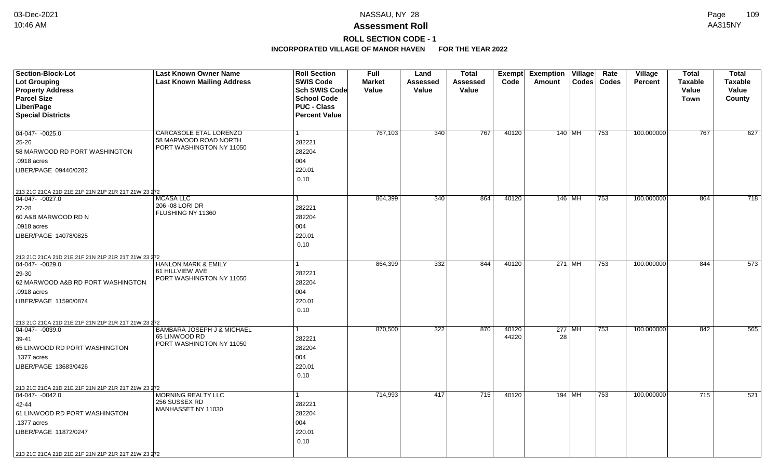# **ROLL SECTION CODE - 1**

| Section-Block-Lot                                   | <b>Last Known Owner Name</b>                      | <b>Roll Section</b>  | <b>Full</b>   | Land     | <b>Total</b>    | Exempt | <b>Exemption Village</b> | Rate          | Village        | <b>Total</b>   | <b>Total</b>     |
|-----------------------------------------------------|---------------------------------------------------|----------------------|---------------|----------|-----------------|--------|--------------------------|---------------|----------------|----------------|------------------|
| Lot Grouping                                        | <b>Last Known Mailing Address</b>                 | <b>SWIS Code</b>     | <b>Market</b> | Assessed | <b>Assessed</b> | Code   | Amount                   | Codes   Codes | <b>Percent</b> | <b>Taxable</b> | <b>Taxable</b>   |
| <b>Property Address</b>                             |                                                   | <b>Sch SWIS Code</b> | Value         | Value    | Value           |        |                          |               |                | Value          | Value            |
| <b>Parcel Size</b>                                  |                                                   | <b>School Code</b>   |               |          |                 |        |                          |               |                | Town           | County           |
| Liber/Page                                          |                                                   | <b>PUC - Class</b>   |               |          |                 |        |                          |               |                |                |                  |
| <b>Special Districts</b>                            |                                                   | <b>Percent Value</b> |               |          |                 |        |                          |               |                |                |                  |
|                                                     |                                                   |                      |               |          |                 |        |                          |               |                |                |                  |
| $\overline{04-047 - 0025.0}$                        | <b>CARCASOLE ETAL LORENZO</b>                     |                      | 767,103       | 340      | 767             | 40120  | 140 MH                   | 753           | 100.000000     | 767            | 627              |
| 25-26                                               | 58 MARWOOD ROAD NORTH<br>PORT WASHINGTON NY 11050 | 282221               |               |          |                 |        |                          |               |                |                |                  |
| 58 MARWOOD RD PORT WASHINGTON                       |                                                   | 282204               |               |          |                 |        |                          |               |                |                |                  |
| .0918 acres                                         |                                                   | 004                  |               |          |                 |        |                          |               |                |                |                  |
| LIBER/PAGE 09440/0282                               |                                                   | 220.01               |               |          |                 |        |                          |               |                |                |                  |
|                                                     |                                                   | 0.10                 |               |          |                 |        |                          |               |                |                |                  |
| 213 21C 21CA 21D 21E 21F 21N 21P 21R 21T 21W 23 272 |                                                   |                      |               |          |                 |        |                          |               |                |                |                  |
| $ 04-047-0027.0$                                    | <b>MCASA LLC</b>                                  |                      | 864,399       | 340      | 864             | 40120  | $146$ MH                 | 753           | 100.000000     | 864            | $\overline{718}$ |
| 27-28                                               | 206 - 08 LORI DR                                  | 282221               |               |          |                 |        |                          |               |                |                |                  |
| 60 A&B MARWOOD RD N                                 | FLUSHING NY 11360                                 | 282204               |               |          |                 |        |                          |               |                |                |                  |
| .0918 acres                                         |                                                   | 004                  |               |          |                 |        |                          |               |                |                |                  |
| LIBER/PAGE 14078/0825                               |                                                   | 220.01               |               |          |                 |        |                          |               |                |                |                  |
|                                                     |                                                   | 0.10                 |               |          |                 |        |                          |               |                |                |                  |
| 213 21C 21CA 21D 21E 21F 21N 21P 21R 21T 21W 23 272 |                                                   |                      |               |          |                 |        |                          |               |                |                |                  |
| 04-047- -0029.0                                     | <b>HANLON MARK &amp; EMILY</b>                    |                      | 864,399       | 332      | 844             | 40120  | $271$ MH                 | 753           | 100.000000     | 844            | 573              |
| 29-30                                               | 61 HILLVIEW AVE                                   | 282221               |               |          |                 |        |                          |               |                |                |                  |
| 62 MARWOOD A&B RD PORT WASHINGTON                   | PORT WASHINGTON NY 11050                          | 282204               |               |          |                 |        |                          |               |                |                |                  |
| .0918 acres                                         |                                                   | 004                  |               |          |                 |        |                          |               |                |                |                  |
| LIBER/PAGE 11590/0874                               |                                                   | 220.01               |               |          |                 |        |                          |               |                |                |                  |
|                                                     |                                                   | 0.10                 |               |          |                 |        |                          |               |                |                |                  |
| 213 21C 21CA 21D 21E 21F 21N 21P 21R 21T 21W 23 272 |                                                   |                      |               |          |                 |        |                          |               |                |                |                  |
| $ 04-047-0039.0$                                    | BAMBARA JOSEPH J & MICHAEL                        | 1                    | 870,500       | 322      | 870             | 40120  | 277 MH                   | 753           | 100.000000     | 842            | 565              |
| 39-41                                               | 65 LINWOOD RD                                     | 282221               |               |          |                 | 44220  | 28                       |               |                |                |                  |
| 65 LINWOOD RD PORT WASHINGTON                       | PORT WASHINGTON NY 11050                          | 282204               |               |          |                 |        |                          |               |                |                |                  |
| .1377 acres                                         |                                                   | 004                  |               |          |                 |        |                          |               |                |                |                  |
| LIBER/PAGE 13683/0426                               |                                                   | 220.01               |               |          |                 |        |                          |               |                |                |                  |
|                                                     |                                                   | 0.10                 |               |          |                 |        |                          |               |                |                |                  |
| 213 21C 21CA 21D 21E 21F 21N 21P 21R 21T 21W 23 272 |                                                   |                      |               |          |                 |        |                          |               |                |                |                  |
| 04-047- -0042.0                                     | MORNING REALTY LLC                                | 1                    | 714,993       | 417      | 715             | 40120  | 194 MH                   | 753           | 100.000000     | 715            | 521              |
| 42-44                                               | 256 SUSSEX RD                                     | 282221               |               |          |                 |        |                          |               |                |                |                  |
| 61 LINWOOD RD PORT WASHINGTON                       | MANHASSET NY 11030                                | 282204               |               |          |                 |        |                          |               |                |                |                  |
| .1377 acres                                         |                                                   | 004                  |               |          |                 |        |                          |               |                |                |                  |
| LIBER/PAGE 11872/0247                               |                                                   | 220.01               |               |          |                 |        |                          |               |                |                |                  |
|                                                     |                                                   | 0.10                 |               |          |                 |        |                          |               |                |                |                  |
| 213 21C 21CA 21D 21E 21F 21N 21P 21R 21T 21W 23 272 |                                                   |                      |               |          |                 |        |                          |               |                |                |                  |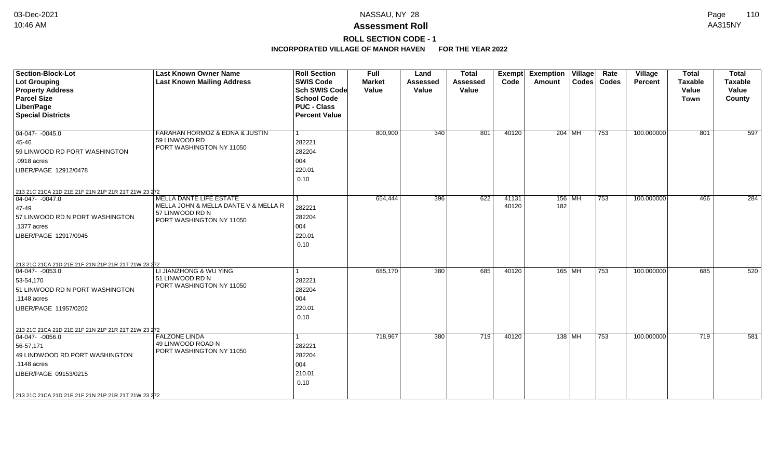# **ROLL SECTION CODE - 1**

| <b>Section-Block-Lot</b>                            | <b>Last Known Owner Name</b>                | <b>Roll Section</b>                        | <b>Full</b>   | Land            | <b>Total</b>    | Exempt | <b>Exemption Village</b> |                                | Rate          | Village    | <b>Total</b>   | <b>Total</b>   |
|-----------------------------------------------------|---------------------------------------------|--------------------------------------------|---------------|-----------------|-----------------|--------|--------------------------|--------------------------------|---------------|------------|----------------|----------------|
| <b>Lot Grouping</b>                                 | <b>Last Known Mailing Address</b>           | <b>SWIS Code</b>                           | <b>Market</b> | <b>Assessed</b> | <b>Assessed</b> | Code   | Amount                   |                                | Codes   Codes | Percent    | <b>Taxable</b> | <b>Taxable</b> |
| <b>Property Address</b><br><b>Parcel Size</b>       |                                             | <b>Sch SWIS Code</b><br><b>School Code</b> | Value         | Value           | Value           |        |                          |                                |               |            | Value          | Value          |
| Liber/Page                                          |                                             | <b>PUC - Class</b>                         |               |                 |                 |        |                          |                                |               |            | <b>Town</b>    | County         |
| <b>Special Districts</b>                            |                                             | <b>Percent Value</b>                       |               |                 |                 |        |                          |                                |               |            |                |                |
|                                                     |                                             |                                            |               |                 |                 |        |                          |                                |               |            |                |                |
| $\boxed{04-047 - 0045.0}$                           | FARAHAN HORMOZ & EDNA & JUSTIN              | $\overline{1}$                             | 800,900       | 340             | 801             | 40120  |                          | 204 MH                         | 753           | 100.000000 | 801            | 597            |
| 45-46                                               | 59 LINWOOD RD                               | 282221                                     |               |                 |                 |        |                          |                                |               |            |                |                |
| 59 LINWOOD RD PORT WASHINGTON                       | PORT WASHINGTON NY 11050                    | 282204                                     |               |                 |                 |        |                          |                                |               |            |                |                |
| .0918 acres                                         |                                             | 004                                        |               |                 |                 |        |                          |                                |               |            |                |                |
| LIBER/PAGE 12912/0478                               |                                             | 220.01                                     |               |                 |                 |        |                          |                                |               |            |                |                |
|                                                     |                                             | 0.10                                       |               |                 |                 |        |                          |                                |               |            |                |                |
| 213 21C 21CA 21D 21E 21F 21N 21P 21R 21T 21W 23 272 |                                             |                                            |               |                 |                 |        |                          |                                |               |            |                |                |
| $\boxed{04-047 - 0047.0}$                           | <b>MELLA DANTE LIFE ESTATE</b>              |                                            | 654,444       | 396             | 622             | 41131  |                          | $156$ MH                       | 753           | 100.000000 | 466            | 284            |
| 47-49                                               | MELLA JOHN & MELLA DANTE V & MELLA R        | 282221                                     |               |                 |                 | 40120  | 182                      |                                |               |            |                |                |
| 57 LINWOOD RD N PORT WASHINGTON                     | 57 LINWOOD RD N<br>PORT WASHINGTON NY 11050 | 282204                                     |               |                 |                 |        |                          |                                |               |            |                |                |
| .1377 acres                                         |                                             | 004                                        |               |                 |                 |        |                          |                                |               |            |                |                |
| LIBER/PAGE 12917/0945                               |                                             | 220.01                                     |               |                 |                 |        |                          |                                |               |            |                |                |
|                                                     |                                             | 0.10                                       |               |                 |                 |        |                          |                                |               |            |                |                |
|                                                     |                                             |                                            |               |                 |                 |        |                          |                                |               |            |                |                |
| 213 21C 21CA 21D 21E 21F 21N 21P 21R 21T 21W 23 272 |                                             |                                            |               |                 |                 |        |                          |                                |               |            |                |                |
| $ 04-047-0053.0$                                    | LI JIANZHONG & WU YING                      | 1                                          | 685,170       | 380             | 685             | 40120  |                          | 165 MH                         | 753           | 100.000000 | 685            | 520            |
| 53-54,170                                           | 51 LINWOOD RD N                             | 282221                                     |               |                 |                 |        |                          |                                |               |            |                |                |
| 51 LINWOOD RD N PORT WASHINGTON                     | PORT WASHINGTON NY 11050                    | 282204                                     |               |                 |                 |        |                          |                                |               |            |                |                |
| .1148 acres                                         |                                             | 004                                        |               |                 |                 |        |                          |                                |               |            |                |                |
| LIBER/PAGE 11957/0202                               |                                             | 220.01                                     |               |                 |                 |        |                          |                                |               |            |                |                |
|                                                     |                                             | 0.10                                       |               |                 |                 |        |                          |                                |               |            |                |                |
|                                                     |                                             |                                            |               |                 |                 |        |                          |                                |               |            |                |                |
| 213 21C 21CA 21D 21E 21F 21N 21P 21R 21T 21W 23 272 | <b>FALZONE LINDA</b>                        | 1                                          |               |                 | 719             | 40120  |                          |                                | 753           | 100.000000 | 719            |                |
| $04-047 - 0056.0$                                   | 49 LINWOOD ROAD N                           |                                            | 718,967       | 380             |                 |        |                          | 138 $ \overline{\mathsf{MH}} $ |               |            |                | 581            |
| 56-57,171                                           | PORT WASHINGTON NY 11050                    | 282221                                     |               |                 |                 |        |                          |                                |               |            |                |                |
| 49 LINDWOOD RD PORT WASHINGTON                      |                                             | 282204                                     |               |                 |                 |        |                          |                                |               |            |                |                |
| .1148 acres                                         |                                             | 004                                        |               |                 |                 |        |                          |                                |               |            |                |                |
| LIBER/PAGE 09153/0215                               |                                             | 210.01                                     |               |                 |                 |        |                          |                                |               |            |                |                |
|                                                     |                                             | 0.10                                       |               |                 |                 |        |                          |                                |               |            |                |                |
| 213 21C 21CA 21D 21E 21F 21N 21P 21R 21T 21W 23 272 |                                             |                                            |               |                 |                 |        |                          |                                |               |            |                |                |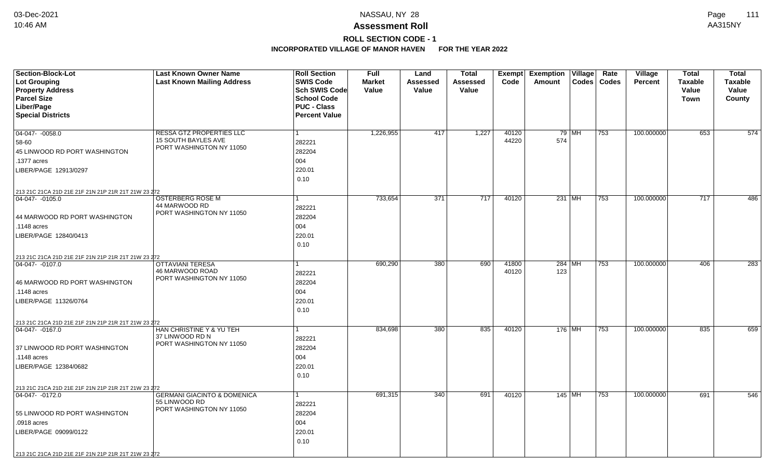# **ROLL SECTION CODE - 1**

| <b>Section-Block-Lot</b>                            | <b>Last Known Owner Name</b>                    | <b>Roll Section</b>  | <b>Full</b>   | Land             | <b>Total</b> |       | Exempt Exemption Village |        | Rate          | Village        | <b>Total</b>   | <b>Total</b>     |
|-----------------------------------------------------|-------------------------------------------------|----------------------|---------------|------------------|--------------|-------|--------------------------|--------|---------------|----------------|----------------|------------------|
| <b>Lot Grouping</b>                                 | <b>Last Known Mailing Address</b>               | <b>SWIS Code</b>     | <b>Market</b> | Assessed         | Assessed     | Code  | Amount                   |        | Codes   Codes | <b>Percent</b> | <b>Taxable</b> | <b>Taxable</b>   |
| <b>Property Address</b>                             |                                                 | Sch SWIS Code        | Value         | Value            | Value        |       |                          |        |               |                | Value          | Value            |
| <b>Parcel Size</b>                                  |                                                 | <b>School Code</b>   |               |                  |              |       |                          |        |               |                | <b>Town</b>    | County           |
| Liber/Page                                          |                                                 | <b>PUC - Class</b>   |               |                  |              |       |                          |        |               |                |                |                  |
| <b>Special Districts</b>                            |                                                 | <b>Percent Value</b> |               |                  |              |       |                          |        |               |                |                |                  |
|                                                     |                                                 |                      |               |                  |              |       |                          |        |               |                |                |                  |
| 04-047- -0058.0                                     | <b>RESSA GTZ PROPERTIES LLC</b>                 |                      | 1,226,955     | 417              | 1,227        | 40120 |                          | 79 MH  | 753           | 100.000000     | 653            | 574              |
| 58-60                                               | 15 SOUTH BAYLES AVE<br>PORT WASHINGTON NY 11050 | 282221               |               |                  |              | 44220 | 574                      |        |               |                |                |                  |
| 45 LINWOOD RD PORT WASHINGTON                       |                                                 | 282204               |               |                  |              |       |                          |        |               |                |                |                  |
| .1377 acres                                         |                                                 | 004                  |               |                  |              |       |                          |        |               |                |                |                  |
| LIBER/PAGE 12913/0297                               |                                                 | 220.01               |               |                  |              |       |                          |        |               |                |                |                  |
|                                                     |                                                 | 0.10                 |               |                  |              |       |                          |        |               |                |                |                  |
| 213 21C 21CA 21D 21E 21F 21N 21P 21R 21T 21W 23 272 |                                                 |                      |               |                  |              |       |                          |        |               |                |                |                  |
| 04-047-0105.0                                       | <b>OSTERBERG ROSE M</b>                         |                      | 733,654       | $\overline{371}$ | 717          | 40120 | 231 MH                   |        | 753           | 100.000000     | 717            | 486              |
|                                                     | 44 MARWOOD RD                                   | 282221               |               |                  |              |       |                          |        |               |                |                |                  |
| 44 MARWOOD RD PORT WASHINGTON                       | PORT WASHINGTON NY 11050                        | 282204               |               |                  |              |       |                          |        |               |                |                |                  |
| .1148 acres                                         |                                                 | 004                  |               |                  |              |       |                          |        |               |                |                |                  |
| LIBER/PAGE 12840/0413                               |                                                 | 220.01               |               |                  |              |       |                          |        |               |                |                |                  |
|                                                     |                                                 | 0.10                 |               |                  |              |       |                          |        |               |                |                |                  |
| 213 21C 21CA 21D 21E 21F 21N 21P 21R 21T 21W 23 272 |                                                 |                      |               |                  |              |       |                          |        |               |                |                |                  |
| 04-047-0107.0                                       | <b>OTTAVIANI TERESA</b>                         |                      | 690,290       | 380              | 690          | 41800 |                          | 284 MH | 753           | 100.000000     | 406            | $\overline{283}$ |
|                                                     | 46 MARWOOD ROAD                                 | 282221               |               |                  |              | 40120 | 123                      |        |               |                |                |                  |
| 46 MARWOOD RD PORT WASHINGTON                       | PORT WASHINGTON NY 11050                        | 282204               |               |                  |              |       |                          |        |               |                |                |                  |
| .1148 acres                                         |                                                 | 004                  |               |                  |              |       |                          |        |               |                |                |                  |
| LIBER/PAGE 11326/0764                               |                                                 | 220.01               |               |                  |              |       |                          |        |               |                |                |                  |
|                                                     |                                                 | 0.10                 |               |                  |              |       |                          |        |               |                |                |                  |
| 213 21C 21CA 21D 21E 21F 21N 21P 21R 21T 21W 23 272 |                                                 |                      |               |                  |              |       |                          |        |               |                |                |                  |
| $ 04-047-0167.0$                                    | HAN CHRISTINE Y & YU TEH                        |                      | 834,698       | 380              | 835          | 40120 | 176 MH                   |        | 753           | 100.000000     | 835            | 659              |
|                                                     | 37 LINWOOD RD N                                 | 282221               |               |                  |              |       |                          |        |               |                |                |                  |
| 37 LINWOOD RD PORT WASHINGTON                       | PORT WASHINGTON NY 11050                        | 282204               |               |                  |              |       |                          |        |               |                |                |                  |
| .1148 acres                                         |                                                 | 004                  |               |                  |              |       |                          |        |               |                |                |                  |
| LIBER/PAGE 12384/0682                               |                                                 | 220.01               |               |                  |              |       |                          |        |               |                |                |                  |
|                                                     |                                                 | 0.10                 |               |                  |              |       |                          |        |               |                |                |                  |
| 213 21C 21CA 21D 21E 21F 21N 21P 21R 21T 21W 23 272 |                                                 |                      |               |                  |              |       |                          |        |               |                |                |                  |
| 04-047- -0172.0                                     | <b>GERMANI GIACINTO &amp; DOMENICA</b>          |                      | 691,315       | 340              | 691          | 40120 | 145   MH                 |        | 753           | 100.000000     | 691            | 546              |
|                                                     | 55 LINWOOD RD                                   | 282221               |               |                  |              |       |                          |        |               |                |                |                  |
| 55 LINWOOD RD PORT WASHINGTON                       | PORT WASHINGTON NY 11050                        | 282204               |               |                  |              |       |                          |        |               |                |                |                  |
| .0918 acres                                         |                                                 | 004                  |               |                  |              |       |                          |        |               |                |                |                  |
| LIBER/PAGE 09099/0122                               |                                                 | 220.01               |               |                  |              |       |                          |        |               |                |                |                  |
|                                                     |                                                 | 0.10                 |               |                  |              |       |                          |        |               |                |                |                  |
| 213 21C 21CA 21D 21E 21F 21N 21P 21R 21T 21W 23 272 |                                                 |                      |               |                  |              |       |                          |        |               |                |                |                  |
|                                                     |                                                 |                      |               |                  |              |       |                          |        |               |                |                |                  |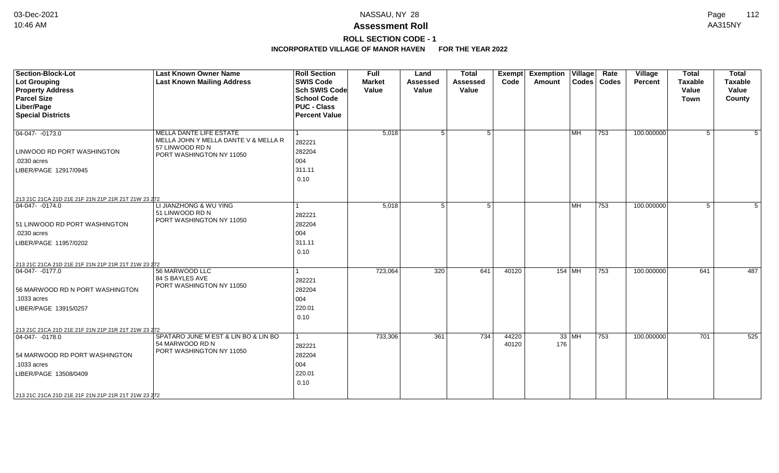# **ROLL SECTION CODE - 1**

| <b>Section-Block-Lot</b><br><b>Lot Grouping</b><br><b>Property Address</b><br><b>Parcel Size</b><br>Liber/Page<br><b>Special Districts</b>                                                             | <b>Last Known Owner Name</b><br><b>Last Known Mailing Address</b>                                                     | <b>Roll Section</b><br><b>SWIS Code</b><br><b>Sch SWIS Code</b><br><b>School Code</b><br><b>PUC - Class</b><br><b>Percent Value</b> | <b>Full</b><br><b>Market</b><br>Value | Land<br><b>Assessed</b><br>Value | <b>Total</b><br><b>Assessed</b><br>Value | <b>Exempt</b><br>Code | <b>Exemption Village</b><br>Amount |                           | Rate<br>Codes   Codes | Village<br><b>Percent</b> | <b>Total</b><br><b>Taxable</b><br>Value<br><b>Town</b> | <b>Total</b><br><b>Taxable</b><br>Value<br>County |
|--------------------------------------------------------------------------------------------------------------------------------------------------------------------------------------------------------|-----------------------------------------------------------------------------------------------------------------------|-------------------------------------------------------------------------------------------------------------------------------------|---------------------------------------|----------------------------------|------------------------------------------|-----------------------|------------------------------------|---------------------------|-----------------------|---------------------------|--------------------------------------------------------|---------------------------------------------------|
| $\boxed{04-047 - 0173.0}$<br>LINWOOD RD PORT WASHINGTON<br>.0230 acres<br>LIBER/PAGE 12917/0945                                                                                                        | <b>MELLA DANTE LIFE ESTATE</b><br>MELLA JOHN Y MELLA DANTE V & MELLA R<br>57 LINWOOD RD N<br>PORT WASHINGTON NY 11050 | 282221<br>282204<br>004<br>311.11<br>0.10                                                                                           | 5,018                                 | 5 <sup>1</sup>                   | 5                                        |                       |                                    | <b>MH</b>                 | 753                   | 100.000000                | 5                                                      | 5                                                 |
| 213 21C 21CA 21D 21E 21F 21N 21P 21R 21T 21W 23 272<br>04-047- -0174.0<br>51 LINWOOD RD PORT WASHINGTON<br>.0230 acres<br>LIBER/PAGE 11957/0202<br>213 21C 21CA 21D 21E 21F 21N 21P 21R 21T 21W 23 272 | LI JIANZHONG & WU YING<br>51 LINWOOD RD N<br>PORT WASHINGTON NY 11050                                                 | 282221<br>282204<br>004<br>311.11<br>0.10                                                                                           | 5,018                                 | 5 <sup>1</sup>                   | 5 <sup>1</sup>                           |                       |                                    | $\overline{\mathsf{M}}$ H | 753                   | 100.000000                | 5 <sup>5</sup>                                         | 5                                                 |
| 04-047- -0177.0<br>56 MARWOOD RD N PORT WASHINGTON<br>.1033 acres<br>LIBER/PAGE 13915/0257<br>213 21C 21CA 21D 21E 21F 21N 21P 21R 21T 21W 23 272                                                      | 56 MARWOOD LLC<br>84 S BAYLES AVE<br>PORT WASHINGTON NY 11050                                                         | 282221<br>282204<br>004<br>220.01<br>0.10                                                                                           | 723,064                               | 320                              | 641                                      | 40120                 | 154   MH                           |                           | 753                   | 100.000000                | 641                                                    | 487                                               |
| 04-047- -0178.0<br>54 MARWOOD RD PORT WASHINGTON<br>.1033 acres<br>LIBER/PAGE 13508/0409<br>213 21C 21CA 21D 21E 21F 21N 21P 21R 21T 21W 23 272                                                        | SPATARO JUNE M EST & LIN BO & LIN BO<br>54 MARWOOD RD N<br>PORT WASHINGTON NY 11050                                   | 1<br>282221<br>282204<br>004<br>220.01<br>0.10                                                                                      | 733,306                               | 361                              | 734                                      | 44220<br>40120        | $33$ MH<br>176                     |                           | 753                   | 100.000000                | 701                                                    | 525                                               |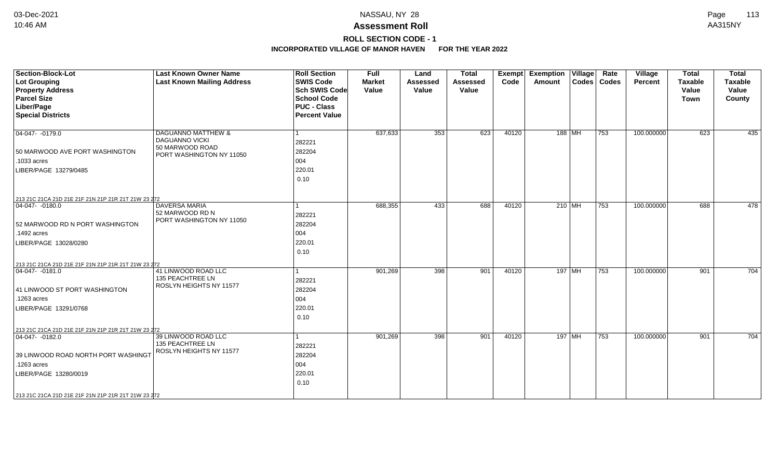# **ROLL SECTION CODE - 1**

| <b>Section-Block-Lot</b><br><b>Lot Grouping</b><br><b>Property Address</b><br><b>Parcel Size</b><br>Liber/Page<br><b>Special Districts</b>                                                               | <b>Last Known Owner Name</b><br><b>Last Known Mailing Address</b>                                     | <b>Roll Section</b><br><b>SWIS Code</b><br><b>Sch SWIS Code</b><br><b>School Code</b><br><b>PUC - Class</b><br><b>Percent Value</b> | Full<br><b>Market</b><br>Value | Land<br><b>Assessed</b><br>Value | <b>Total</b><br>Assessed<br>Value | Exempt<br>Code | <b>Exemption Village</b><br>Amount | Rate<br>Codes   Codes | Village<br>Percent | <b>Total</b><br><b>Taxable</b><br>Value<br><b>Town</b> | <b>Total</b><br><b>Taxable</b><br>Value<br>County |
|----------------------------------------------------------------------------------------------------------------------------------------------------------------------------------------------------------|-------------------------------------------------------------------------------------------------------|-------------------------------------------------------------------------------------------------------------------------------------|--------------------------------|----------------------------------|-----------------------------------|----------------|------------------------------------|-----------------------|--------------------|--------------------------------------------------------|---------------------------------------------------|
| $ 04-047-0179.0$<br>50 MARWOOD AVE PORT WASHINGTON<br>.1033 acres<br>LIBER/PAGE 13279/0485                                                                                                               | <b>DAGUANNO MATTHEW &amp;</b><br><b>DAGUANNO VICKI</b><br>50 MARWOOD ROAD<br>PORT WASHINGTON NY 11050 | 282221<br>282204<br>004<br>220.01<br>0.10                                                                                           | 637,633                        | 353                              | 623                               | 40120          | $188$ MH                           | 753                   | 100.000000         | 623                                                    | 435                                               |
| 213 21C 21CA 21D 21E 21F 21N 21P 21R 21T 21W 23 272<br>04-047- -0180.0<br>52 MARWOOD RD N PORT WASHINGTON<br>.1492 acres<br>LIBER/PAGE 13028/0280<br>213 21C 21CA 21D 21E 21F 21N 21P 21R 21T 21W 23 272 | <b>DAVERSA MARIA</b><br>52 MARWOOD RD N<br>PORT WASHINGTON NY 11050                                   | 282221<br>282204<br>004<br>220.01<br>0.10                                                                                           | 688,355                        | 433                              | 688                               | 40120          | 210 MH                             | $\overline{753}$      | 100.000000         | 688                                                    | 478                                               |
| $ 04-047-0181.0$<br>41 LINWOOD ST PORT WASHINGTON<br>.1263 acres<br>LIBER/PAGE 13291/0768<br>213 21C 21CA 21D 21E 21F 21N 21P 21R 21T 21W 23 272                                                         | 41 LINWOOD ROAD LLC<br>135 PEACHTREE LN<br>ROSLYN HEIGHTS NY 11577                                    | 282221<br>282204<br>004<br>220.01<br>0.10                                                                                           | 901,269                        | 398                              | 901                               | 40120          | 197 MH                             | $\overline{753}$      | 100.000000         | 901                                                    | 704                                               |
| $ 04-047-0182.0$<br>39 LINWOOD ROAD NORTH PORT WASHINGT<br>.1263 acres<br>LIBER/PAGE 13280/0019<br>213 21C 21CA 21D 21E 21F 21N 21P 21R 21T 21W 23 272                                                   | 39 LINWOOD ROAD LLC<br><b>135 PEACHTREE LN</b><br>ROSLYN HEIGHTS NY 11577                             | 282221<br>282204<br>004<br>220.01<br>0.10                                                                                           | 901,269                        | 398                              | 901                               | 40120          | 197 MH                             | 753                   | 100.000000         | 901                                                    | 704                                               |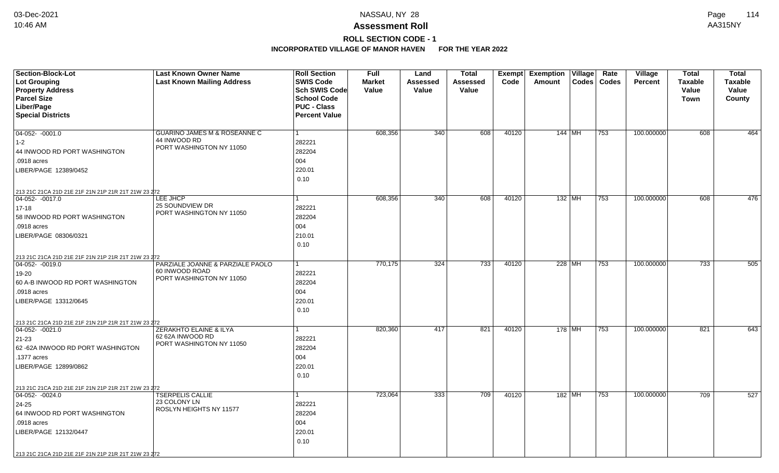# **ROLL SECTION CODE - 1**

| Section-Block-Lot<br><b>Lot Grouping</b>            | <b>Last Known Owner Name</b><br><b>Last Known Mailing Address</b> | <b>Roll Section</b><br><b>SWIS Code</b> | <b>Full</b><br><b>Market</b> | Land<br>Assessed | <b>Total</b><br>Assessed | Exempt<br>Code | <b>Exemption Village</b><br>Amount | Rate<br>Codes   Codes | Village<br><b>Percent</b> | <b>Total</b><br><b>Taxable</b> | <b>Total</b><br><b>Taxable</b> |
|-----------------------------------------------------|-------------------------------------------------------------------|-----------------------------------------|------------------------------|------------------|--------------------------|----------------|------------------------------------|-----------------------|---------------------------|--------------------------------|--------------------------------|
| <b>Property Address</b><br><b>Parcel Size</b>       |                                                                   | Sch SWIS Code<br><b>School Code</b>     | Value                        | Value            | Value                    |                |                                    |                       |                           | Value                          | Value                          |
| Liber/Page                                          |                                                                   | <b>PUC - Class</b>                      |                              |                  |                          |                |                                    |                       |                           | Town                           | County                         |
| <b>Special Districts</b>                            |                                                                   | <b>Percent Value</b>                    |                              |                  |                          |                |                                    |                       |                           |                                |                                |
|                                                     |                                                                   |                                         |                              |                  |                          |                |                                    |                       |                           |                                |                                |
| $04-052 - 0001.0$                                   | GUARINO JAMES M & ROSEANNE C                                      | $\mathbf{1}$                            | 608,356                      | 340              | 608                      | 40120          | 144   MH                           | 753                   | 100.000000                | 608                            | 464                            |
| $1 - 2$                                             | 44 INWOOD RD                                                      | 282221                                  |                              |                  |                          |                |                                    |                       |                           |                                |                                |
| 44 INWOOD RD PORT WASHINGTON                        | PORT WASHINGTON NY 11050                                          | 282204                                  |                              |                  |                          |                |                                    |                       |                           |                                |                                |
| .0918 acres                                         |                                                                   | 004                                     |                              |                  |                          |                |                                    |                       |                           |                                |                                |
| LIBER/PAGE 12389/0452                               |                                                                   | 220.01                                  |                              |                  |                          |                |                                    |                       |                           |                                |                                |
|                                                     |                                                                   | 0.10                                    |                              |                  |                          |                |                                    |                       |                           |                                |                                |
| 213 21C 21CA 21D 21E 21F 21N 21P 21R 21T 21W 23 272 |                                                                   |                                         |                              |                  |                          |                |                                    |                       |                           |                                |                                |
| $ 04-052-0017.0$                                    | LEE JHCP                                                          | 1                                       | 608,356                      | 340              | 608                      | 40120          | 132 MH                             | 753                   | 100.000000                | 608                            | 476                            |
| $17 - 18$                                           | 25 SOUNDVIEW DR                                                   | 282221                                  |                              |                  |                          |                |                                    |                       |                           |                                |                                |
| 58 INWOOD RD PORT WASHINGTON                        | PORT WASHINGTON NY 11050                                          | 282204                                  |                              |                  |                          |                |                                    |                       |                           |                                |                                |
| .0918 acres                                         |                                                                   | 004                                     |                              |                  |                          |                |                                    |                       |                           |                                |                                |
| LIBER/PAGE 08306/0321                               |                                                                   | 210.01                                  |                              |                  |                          |                |                                    |                       |                           |                                |                                |
|                                                     |                                                                   | 0.10                                    |                              |                  |                          |                |                                    |                       |                           |                                |                                |
| 213 21C 21CA 21D 21E 21F 21N 21P 21R 21T 21W 23 272 |                                                                   |                                         |                              |                  |                          |                |                                    |                       |                           |                                |                                |
| $04-052 - 0019.0$                                   | PARZIALE JOANNE & PARZIALE PAOLO                                  | 1                                       | 770,175                      | 324              | 733                      | 40120          | 228 MH                             | 753                   | 100.000000                | 733                            | 505                            |
| 19-20                                               | 60 INWOOD ROAD<br>PORT WASHINGTON NY 11050                        | 282221                                  |                              |                  |                          |                |                                    |                       |                           |                                |                                |
| 60 A-B INWOOD RD PORT WASHINGTON                    |                                                                   | 282204                                  |                              |                  |                          |                |                                    |                       |                           |                                |                                |
| .0918 acres                                         |                                                                   | 004                                     |                              |                  |                          |                |                                    |                       |                           |                                |                                |
| LIBER/PAGE 13312/0645                               |                                                                   | 220.01                                  |                              |                  |                          |                |                                    |                       |                           |                                |                                |
|                                                     |                                                                   | 0.10                                    |                              |                  |                          |                |                                    |                       |                           |                                |                                |
| 213 21C 21CA 21D 21E 21F 21N 21P 21R 21T 21W 23 272 |                                                                   |                                         |                              |                  |                          |                |                                    |                       |                           |                                |                                |
| $ 04-052-0021.0$                                    | ZERAKHTO ELAINE & ILYA                                            | 1                                       | 820,360                      | 417              | 821                      | 40120          | 178   MH                           | 753                   | 100.000000                | 821                            | 643                            |
| $21 - 23$                                           | 62 62A INWOOD RD<br>PORT WASHINGTON NY 11050                      | 282221                                  |                              |                  |                          |                |                                    |                       |                           |                                |                                |
| 62 - 62A INWOOD RD PORT WASHINGTON                  |                                                                   | 282204                                  |                              |                  |                          |                |                                    |                       |                           |                                |                                |
| .1377 acres                                         |                                                                   | 004                                     |                              |                  |                          |                |                                    |                       |                           |                                |                                |
| LIBER/PAGE 12899/0862                               |                                                                   | 220.01                                  |                              |                  |                          |                |                                    |                       |                           |                                |                                |
|                                                     |                                                                   | 0.10                                    |                              |                  |                          |                |                                    |                       |                           |                                |                                |
| 213 21C 21CA 21D 21E 21F 21N 21P 21R 21T 21W 23 272 |                                                                   |                                         |                              |                  |                          |                |                                    |                       |                           |                                |                                |
| $ 04-052-0024.0$                                    | <b>TSERPELIS CALLIE</b><br>23 COLONY LN                           | $\mathbf{1}$                            | 723,064                      | 333              | 709                      | 40120          | 182 MH                             | 753                   | 100.000000                | 709                            | 527                            |
| 24-25                                               | ROSLYN HEIGHTS NY 11577                                           | 282221                                  |                              |                  |                          |                |                                    |                       |                           |                                |                                |
| 64 INWOOD RD PORT WASHINGTON                        |                                                                   | 282204                                  |                              |                  |                          |                |                                    |                       |                           |                                |                                |
| .0918 acres                                         |                                                                   | 004                                     |                              |                  |                          |                |                                    |                       |                           |                                |                                |
| LIBER/PAGE 12132/0447                               |                                                                   | 220.01                                  |                              |                  |                          |                |                                    |                       |                           |                                |                                |
|                                                     |                                                                   | 0.10                                    |                              |                  |                          |                |                                    |                       |                           |                                |                                |
| 213 21C 21CA 21D 21E 21F 21N 21P 21R 21T 21W 23 272 |                                                                   |                                         |                              |                  |                          |                |                                    |                       |                           |                                |                                |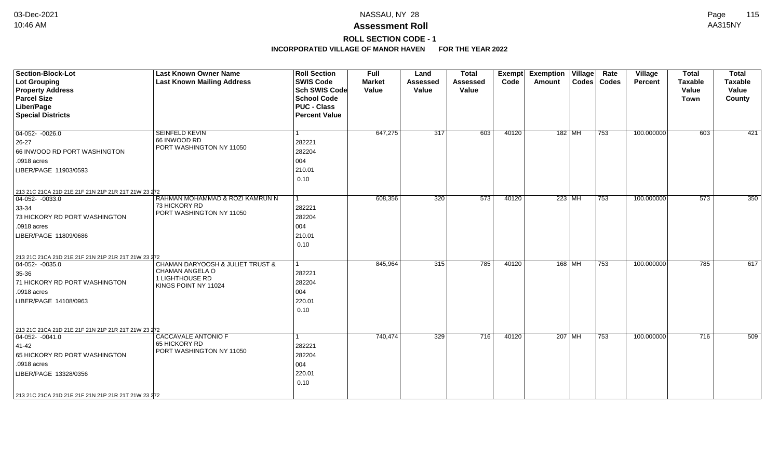# **ROLL SECTION CODE - 1**

| <b>Section-Block-Lot</b><br><b>Lot Grouping</b>                                  | <b>Last Known Owner Name</b><br><b>Last Known Mailing Address</b> | <b>Roll Section</b><br><b>SWIS Code</b> | <b>Full</b><br><b>Market</b> | Land<br><b>Assessed</b> | <b>Total</b><br><b>Assessed</b> | Exempt<br>Code | <b>Exemption Village</b><br>Amount |                                    | Rate<br>Codes   Codes | Village<br>Percent | <b>Total</b><br><b>Taxable</b> | <b>Total</b><br><b>Taxable</b> |
|----------------------------------------------------------------------------------|-------------------------------------------------------------------|-----------------------------------------|------------------------------|-------------------------|---------------------------------|----------------|------------------------------------|------------------------------------|-----------------------|--------------------|--------------------------------|--------------------------------|
| <b>Property Address</b>                                                          |                                                                   | <b>Sch SWIS Code</b>                    | Value                        | Value                   | Value                           |                |                                    |                                    |                       |                    | Value                          | Value                          |
| <b>Parcel Size</b>                                                               |                                                                   | <b>School Code</b>                      |                              |                         |                                 |                |                                    |                                    |                       |                    | <b>Town</b>                    | County                         |
| Liber/Page                                                                       |                                                                   | <b>PUC - Class</b>                      |                              |                         |                                 |                |                                    |                                    |                       |                    |                                |                                |
| <b>Special Districts</b>                                                         |                                                                   | <b>Percent Value</b>                    |                              |                         |                                 |                |                                    |                                    |                       |                    |                                |                                |
|                                                                                  |                                                                   |                                         |                              |                         |                                 |                |                                    |                                    |                       |                    |                                |                                |
| $04-052 - 0026.0$                                                                | <b>SEINFELD KEVIN</b>                                             | 1                                       | 647,275                      | $\overline{317}$        | 603                             | 40120          |                                    | $182$ MH                           | 753                   | 100.000000         | 603                            | 421                            |
| 26-27                                                                            | 66 INWOOD RD                                                      | 282221                                  |                              |                         |                                 |                |                                    |                                    |                       |                    |                                |                                |
| 66 INWOOD RD PORT WASHINGTON                                                     | PORT WASHINGTON NY 11050                                          | 282204                                  |                              |                         |                                 |                |                                    |                                    |                       |                    |                                |                                |
| .0918 acres                                                                      |                                                                   | 004                                     |                              |                         |                                 |                |                                    |                                    |                       |                    |                                |                                |
| LIBER/PAGE 11903/0593                                                            |                                                                   | 210.01                                  |                              |                         |                                 |                |                                    |                                    |                       |                    |                                |                                |
|                                                                                  |                                                                   | 0.10                                    |                              |                         |                                 |                |                                    |                                    |                       |                    |                                |                                |
|                                                                                  |                                                                   |                                         |                              |                         |                                 |                |                                    |                                    |                       |                    |                                |                                |
| 213 21C 21CA 21D 21E 21F 21N 21P 21R 21T 21W 23 272<br>$\boxed{04-052 - 0033.0}$ | RAHMAN MOHAMMAD & ROZI KAMRUN N                                   | $\vert$ 1                               | 608,356                      | 320                     | 573                             | 40120          |                                    | $223$ MH                           | 753                   | 100.000000         | 573                            | 350                            |
| 33-34                                                                            | 73 HICKORY RD                                                     | 282221                                  |                              |                         |                                 |                |                                    |                                    |                       |                    |                                |                                |
| 73 HICKORY RD PORT WASHINGTON                                                    | PORT WASHINGTON NY 11050                                          | 282204                                  |                              |                         |                                 |                |                                    |                                    |                       |                    |                                |                                |
| .0918 acres                                                                      |                                                                   | 004                                     |                              |                         |                                 |                |                                    |                                    |                       |                    |                                |                                |
| LIBER/PAGE 11809/0686                                                            |                                                                   | 210.01                                  |                              |                         |                                 |                |                                    |                                    |                       |                    |                                |                                |
|                                                                                  |                                                                   | 0.10                                    |                              |                         |                                 |                |                                    |                                    |                       |                    |                                |                                |
|                                                                                  |                                                                   |                                         |                              |                         |                                 |                |                                    |                                    |                       |                    |                                |                                |
| 213 21C 21CA 21D 21E 21F 21N 21P 21R 21T 21W 23 272<br>$ 04-052-0035.0$          | <b>CHAMAN DARYOOSH &amp; JULIET TRUST &amp;</b>                   | $\mathbf 1$                             | 845,964                      | 315                     | 785                             | 40120          |                                    | 168 MH                             | 753                   | 100.000000         | 785                            | 617                            |
| 35-36                                                                            | CHAMAN ANGELA O                                                   | 282221                                  |                              |                         |                                 |                |                                    |                                    |                       |                    |                                |                                |
| 71 HICKORY RD PORT WASHINGTON                                                    | <b>1 LIGHTHOUSE RD</b>                                            | 282204                                  |                              |                         |                                 |                |                                    |                                    |                       |                    |                                |                                |
| .0918 acres                                                                      | KINGS POINT NY 11024                                              | 004                                     |                              |                         |                                 |                |                                    |                                    |                       |                    |                                |                                |
|                                                                                  |                                                                   |                                         |                              |                         |                                 |                |                                    |                                    |                       |                    |                                |                                |
| LIBER/PAGE 14108/0963                                                            |                                                                   | 220.01                                  |                              |                         |                                 |                |                                    |                                    |                       |                    |                                |                                |
|                                                                                  |                                                                   | 0.10                                    |                              |                         |                                 |                |                                    |                                    |                       |                    |                                |                                |
|                                                                                  |                                                                   |                                         |                              |                         |                                 |                |                                    |                                    |                       |                    |                                |                                |
| 213 21C 21CA 21D 21E 21F 21N 21P 21R 21T 21W 23 272<br>$ 04-052-0041.0$          | <b>CACCAVALE ANTONIO F</b>                                        | 1                                       | 740,474                      | 329                     | 716                             | 40120          |                                    | $207 \vert \overline{\mathsf{MH}}$ | 753                   | 100.000000         | 716                            | 509                            |
| 41-42                                                                            | 65 HICKORY RD                                                     | 282221                                  |                              |                         |                                 |                |                                    |                                    |                       |                    |                                |                                |
|                                                                                  | PORT WASHINGTON NY 11050                                          |                                         |                              |                         |                                 |                |                                    |                                    |                       |                    |                                |                                |
| 65 HICKORY RD PORT WASHINGTON                                                    |                                                                   | 282204                                  |                              |                         |                                 |                |                                    |                                    |                       |                    |                                |                                |
| .0918 acres                                                                      |                                                                   | 004                                     |                              |                         |                                 |                |                                    |                                    |                       |                    |                                |                                |
| LIBER/PAGE 13328/0356                                                            |                                                                   | 220.01                                  |                              |                         |                                 |                |                                    |                                    |                       |                    |                                |                                |
|                                                                                  |                                                                   | 0.10                                    |                              |                         |                                 |                |                                    |                                    |                       |                    |                                |                                |
| 213 21C 21CA 21D 21E 21F 21N 21P 21R 21T 21W 23 272                              |                                                                   |                                         |                              |                         |                                 |                |                                    |                                    |                       |                    |                                |                                |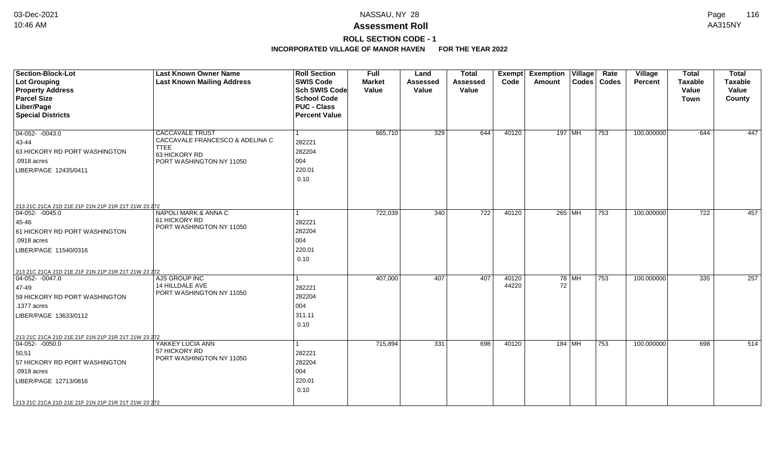# **ROLL SECTION CODE - 1**

| <b>Section-Block-Lot</b><br>Lot Grouping<br><b>Property Address</b><br><b>Parcel Size</b><br>Liber/Page<br><b>Special Districts</b>                                                                              | <b>Last Known Owner Name</b><br><b>Last Known Mailing Address</b>                                                     | <b>Roll Section</b><br><b>SWIS Code</b><br><b>Sch SWIS Code</b><br><b>School Code</b><br><b>PUC - Class</b><br><b>Percent Value</b> | <b>Full</b><br><b>Market</b><br>Value | Land<br><b>Assessed</b><br>Value | <b>Total</b><br><b>Assessed</b><br>Value | Exempt<br>Code | <b>Exemption Village</b><br>Amount |       | Rate<br>Codes   Codes | Village<br><b>Percent</b> | <b>Total</b><br><b>Taxable</b><br>Value<br>Town | <b>Total</b><br><b>Taxable</b><br>Value<br>County |
|------------------------------------------------------------------------------------------------------------------------------------------------------------------------------------------------------------------|-----------------------------------------------------------------------------------------------------------------------|-------------------------------------------------------------------------------------------------------------------------------------|---------------------------------------|----------------------------------|------------------------------------------|----------------|------------------------------------|-------|-----------------------|---------------------------|-------------------------------------------------|---------------------------------------------------|
| $\boxed{04-052 - 0043.0}$<br>43-44<br>63 HICKORY RD PORT WASHINGTON<br>.0918 acres<br>LIBER/PAGE 12435/0411                                                                                                      | <b>CACCAVALE TRUST</b><br>CACCAVALE FRANCESCO & ADELINA C<br><b>TTEE</b><br>63 HICKORY RD<br>PORT WASHINGTON NY 11050 | 282221<br>282204<br>004<br>220.01<br>0.10                                                                                           | 665,710                               | 329                              | 644                                      | 40120          | 197 MH                             |       | 753                   | 100.000000                | 644                                             | 447                                               |
| 213 21C 21CA 21D 21E 21F 21N 21P 21R 21T 21W 23 272<br>$ 04-052-0045.0$<br>45-46<br>61 HICKORY RD PORT WASHINGTON<br>.0918 acres<br>LIBER/PAGE 11540/0316                                                        | NAPOLI MARK & ANNA C<br>61 HICKORY RD<br>PORT WASHINGTON NY 11050                                                     | 282221<br>282204<br>004<br>220.01<br>0.10                                                                                           | 722,039                               | 340                              | $\overline{722}$                         | 40120          | 265 MH                             |       | 753                   | 100.000000                | 722                                             | 457                                               |
| 213 21C 21CA 21D 21E 21F 21N 21P 21R 21T 21W 23 272<br>$04-052 - 0047.0$<br>47-49<br>59 HICKORY RD PORT WASHINGTON<br>.1377 acres<br>LIBER/PAGE 13633/0112                                                       | AJS GROUP INC<br>14 HILLDALE AVE<br>PORT WASHINGTON NY 11050                                                          | 1<br>282221<br>282204<br>004<br>311.11<br>0.10                                                                                      | 407,000                               | 407                              | 407                                      | 40120<br>44220 | 72                                 | 78 MH | 753                   | 100.000000                | 335                                             | 257                                               |
| 213 21C 21CA 21D 21E 21F 21N 21P 21R 21T 21W 23 272<br>$ 04-052-0050.0$<br>50,51<br>57 HICKORY RD PORT WASHINGTON<br>.0918 acres<br>LIBER/PAGE 12713/0816<br>213 21C 21CA 21D 21E 21F 21N 21P 21R 21T 21W 23 272 | YAKKEY LUCIA ANN<br>57 HICKORY RD<br>PORT WASHINGTON NY 11050                                                         | 282221<br>282204<br>004<br>220.01<br>0.10                                                                                           | 715,894                               | 331                              | 698                                      | 40120          | $184$ MH                           |       | 753                   | 100.000000                | 698                                             | 514                                               |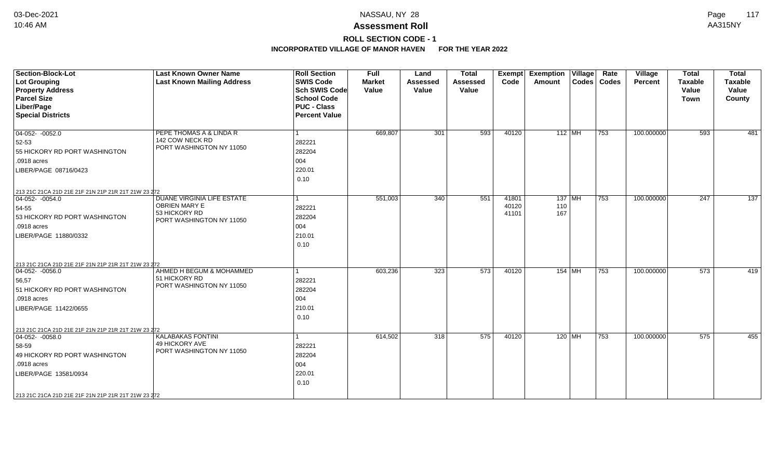# **ROLL SECTION CODE - 1**

| <b>Section-Block-Lot</b><br><b>Lot Grouping</b><br><b>Property Address</b><br><b>Parcel Size</b><br>Liber/Page<br><b>Special Districts</b>                                                                       | <b>Last Known Owner Name</b><br><b>Last Known Mailing Address</b>                                      | <b>Roll Section</b><br><b>SWIS Code</b><br><b>Sch SWIS Code</b><br><b>School Code</b><br><b>PUC - Class</b><br><b>Percent Value</b> | <b>Full</b><br><b>Market</b><br>Value | Land<br><b>Assessed</b><br>Value | <b>Total</b><br><b>Assessed</b><br>Value | <b>Exempt</b><br>Code   | <b>Exemption Village</b><br>Amount | Rate<br>Codes   Codes | Village<br>Percent | <b>Total</b><br><b>Taxable</b><br>Value<br><b>Town</b> | <b>Total</b><br>Taxable<br>Value<br>County |
|------------------------------------------------------------------------------------------------------------------------------------------------------------------------------------------------------------------|--------------------------------------------------------------------------------------------------------|-------------------------------------------------------------------------------------------------------------------------------------|---------------------------------------|----------------------------------|------------------------------------------|-------------------------|------------------------------------|-----------------------|--------------------|--------------------------------------------------------|--------------------------------------------|
| $04-052 - 0052.0$<br>52-53<br>55 HICKORY RD PORT WASHINGTON<br>.0918 acres<br>LIBER/PAGE 08716/0423                                                                                                              | PEPE THOMAS A & LINDA R<br>142 COW NECK RD<br>PORT WASHINGTON NY 11050                                 | 1<br>282221<br>282204<br>004<br>220.01<br>0.10                                                                                      | 669,807                               | 301                              | 593                                      | 40120                   | $112$ MH                           | 753                   | 100.000000         | 593                                                    | 481                                        |
| 213 21C 21CA 21D 21E 21F 21N 21P 21R 21T 21W 23 272<br>$04-052 - 0054.0$<br>54-55<br>53 HICKORY RD PORT WASHINGTON<br>.0918 acres<br>LIBER/PAGE 11880/0332                                                       | <b>DUANE VIRGINIA LIFE ESTATE</b><br><b>OBRIEN MARY E</b><br>53 HICKORY RD<br>PORT WASHINGTON NY 11050 | 1<br>282221<br>282204<br>004<br>210.01<br>0.10                                                                                      | 551,003                               | 340                              | 551                                      | 41801<br>40120<br>41101 | $137$ MH<br>110<br>167             | 753                   | 100.000000         | $\overline{247}$                                       | $\overline{137}$                           |
| 213 21C 21CA 21D 21E 21F 21N 21P 21R 21T 21W 23 272<br>$ 04-052-0056.0$<br>56,57<br>51 HICKORY RD PORT WASHINGTON<br>.0918 acres<br>LIBER/PAGE 11422/0655                                                        | AHMED H BEGUM & MOHAMMED<br>51 HICKORY RD<br>PORT WASHINGTON NY 11050                                  | 282221<br>282204<br>004<br>210.01<br>0.10                                                                                           | 603,236                               | 323                              | 573                                      | 40120                   | 154 MH                             | 753                   | 100.000000         | 573                                                    | 419                                        |
| 213 21C 21CA 21D 21E 21F 21N 21P 21R 21T 21W 23 272<br>$ 04-052-0058.0$<br>58-59<br>49 HICKORY RD PORT WASHINGTON<br>.0918 acres<br>LIBER/PAGE 13581/0934<br>213 21C 21CA 21D 21E 21F 21N 21P 21R 21T 21W 23 272 | <b>KALABAKAS FONTINI</b><br>49 HICKORY AVE<br>PORT WASHINGTON NY 11050                                 | 282221<br>282204<br>004<br>220.01<br>0.10                                                                                           | 614,502                               | 318                              | 575                                      | 40120                   | 120   MH                           | 753                   | 100.000000         | 575                                                    | 455                                        |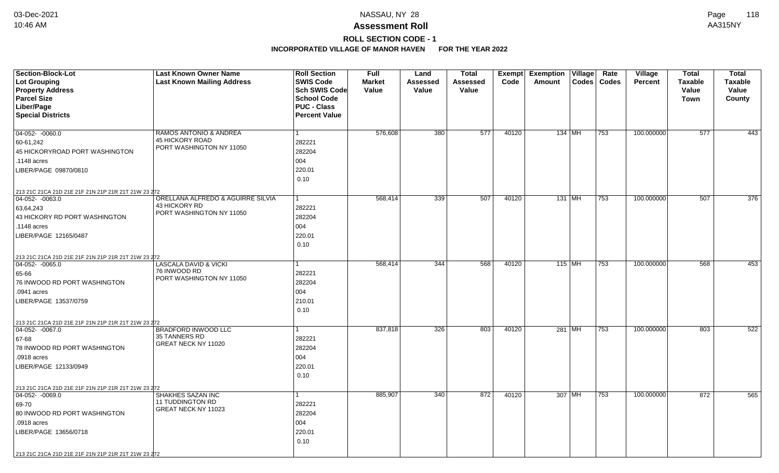# **ROLL SECTION CODE - 1**

| <b>Section-Block-Lot</b>                            | <b>Last Known Owner Name</b>             | <b>Roll Section</b>  | <b>Full</b>   | Land     | <b>Total</b> |       | Exempt Exemption Village | Rate          | Village        | <b>Total</b>   | <b>Total</b>     |
|-----------------------------------------------------|------------------------------------------|----------------------|---------------|----------|--------------|-------|--------------------------|---------------|----------------|----------------|------------------|
| <b>Lot Grouping</b>                                 | <b>Last Known Mailing Address</b>        | <b>SWIS Code</b>     | <b>Market</b> | Assessed | Assessed     | Code  | Amount                   | Codes   Codes | <b>Percent</b> | <b>Taxable</b> | <b>Taxable</b>   |
| <b>Property Address</b>                             |                                          | Sch SWIS Code        | Value         | Value    | Value        |       |                          |               |                | Value          | Value            |
| <b>Parcel Size</b>                                  |                                          | <b>School Code</b>   |               |          |              |       |                          |               |                | Town           | County           |
| Liber/Page                                          |                                          | <b>PUC - Class</b>   |               |          |              |       |                          |               |                |                |                  |
| <b>Special Districts</b>                            |                                          | <b>Percent Value</b> |               |          |              |       |                          |               |                |                |                  |
| $04-052 - 0060.0$                                   | <b>RAMOS ANTONIO &amp; ANDREA</b>        |                      | 576,608       | 380      | 577          | 40120 | 134   MH                 | 753           | 100.000000     | 577            | 443              |
| 60-61,242                                           | 45 HICKORY ROAD                          | 282221               |               |          |              |       |                          |               |                |                |                  |
| 45 HICKORYROAD PORT WASHINGTON                      | PORT WASHINGTON NY 11050                 | 282204               |               |          |              |       |                          |               |                |                |                  |
| .1148 acres                                         |                                          | 004                  |               |          |              |       |                          |               |                |                |                  |
| LIBER/PAGE 09870/0810                               |                                          | 220.01               |               |          |              |       |                          |               |                |                |                  |
|                                                     |                                          | 0.10                 |               |          |              |       |                          |               |                |                |                  |
|                                                     |                                          |                      |               |          |              |       |                          |               |                |                |                  |
| 213 21C 21CA 21D 21E 21F 21N 21P 21R 21T 21W 23 272 | ORELLANA ALFREDO & AGUIRRE SILVIA        |                      |               | 339      | 507          | 40120 |                          |               |                | 507            | $\overline{376}$ |
| 04-052-0063.0                                       | 43 HICKORY RD                            |                      | 568,414       |          |              |       | 131 MH                   | 753           | 100.000000     |                |                  |
| 63,64,243                                           | PORT WASHINGTON NY 11050                 | 282221               |               |          |              |       |                          |               |                |                |                  |
| 43 HICKORY RD PORT WASHINGTON                       |                                          | 282204               |               |          |              |       |                          |               |                |                |                  |
| .1148 acres                                         |                                          | 004                  |               |          |              |       |                          |               |                |                |                  |
| LIBER/PAGE 12165/0487                               |                                          | 220.01               |               |          |              |       |                          |               |                |                |                  |
|                                                     |                                          | 0.10                 |               |          |              |       |                          |               |                |                |                  |
| 213 21C 21CA 21D 21E 21F 21N 21P 21R 21T 21W 23 272 |                                          |                      |               |          |              |       |                          |               |                |                |                  |
| $\boxed{04-052 - 0065.0}$                           | <b>LASCALA DAVID &amp; VICKI</b>         |                      | 568,414       | 344      | 568          | 40120 | 115 MH                   | 753           | 100.000000     | 568            | 453              |
| 65-66                                               | 76 INWOOD RD<br>PORT WASHINGTON NY 11050 | 282221               |               |          |              |       |                          |               |                |                |                  |
| 76 INWOOD RD PORT WASHINGTON                        |                                          | 282204               |               |          |              |       |                          |               |                |                |                  |
| .0941 acres                                         |                                          | 004                  |               |          |              |       |                          |               |                |                |                  |
| LIBER/PAGE 13537/0759                               |                                          | 210.01               |               |          |              |       |                          |               |                |                |                  |
|                                                     |                                          | 0.10                 |               |          |              |       |                          |               |                |                |                  |
| 213 21C 21CA 21D 21E 21F 21N 21P 21R 21T 21W 23 272 |                                          |                      |               |          |              |       |                          |               |                |                |                  |
| $\boxed{04-052 - 0067.0}$                           | <b>BRADFORD INWOOD LLC</b>               |                      | 837,818       | 326      | 803          | 40120 | 281 MH                   | 753           | 100.000000     | 803            | 522              |
| 67-68                                               | <b>35 TANNERS RD</b>                     | 282221               |               |          |              |       |                          |               |                |                |                  |
| 78 INWOOD RD PORT WASHINGTON                        | GREAT NECK NY 11020                      | 282204               |               |          |              |       |                          |               |                |                |                  |
| .0918 acres                                         |                                          | 004                  |               |          |              |       |                          |               |                |                |                  |
| LIBER/PAGE 12133/0949                               |                                          | 220.01               |               |          |              |       |                          |               |                |                |                  |
|                                                     |                                          | 0.10                 |               |          |              |       |                          |               |                |                |                  |
| 213 21C 21CA 21D 21E 21F 21N 21P 21R 21T 21W 23 272 |                                          |                      |               |          |              |       |                          |               |                |                |                  |
| 04-052- -0069.0                                     | SHAKHES SAZAN INC                        |                      | 885,907       | 340      | 872          | 40120 | 307 MH                   | 753           | 100.000000     | 872            | 565              |
| 69-70                                               | 11 TUDDINGTON RD                         | 282221               |               |          |              |       |                          |               |                |                |                  |
| 80 INWOOD RD PORT WASHINGTON                        | GREAT NECK NY 11023                      | 282204               |               |          |              |       |                          |               |                |                |                  |
| .0918 acres                                         |                                          | 004                  |               |          |              |       |                          |               |                |                |                  |
| LIBER/PAGE 13656/0718                               |                                          | 220.01               |               |          |              |       |                          |               |                |                |                  |
|                                                     |                                          | 0.10                 |               |          |              |       |                          |               |                |                |                  |
|                                                     |                                          |                      |               |          |              |       |                          |               |                |                |                  |
| 213 21C 21CA 21D 21E 21F 21N 21P 21R 21T 21W 23 272 |                                          |                      |               |          |              |       |                          |               |                |                |                  |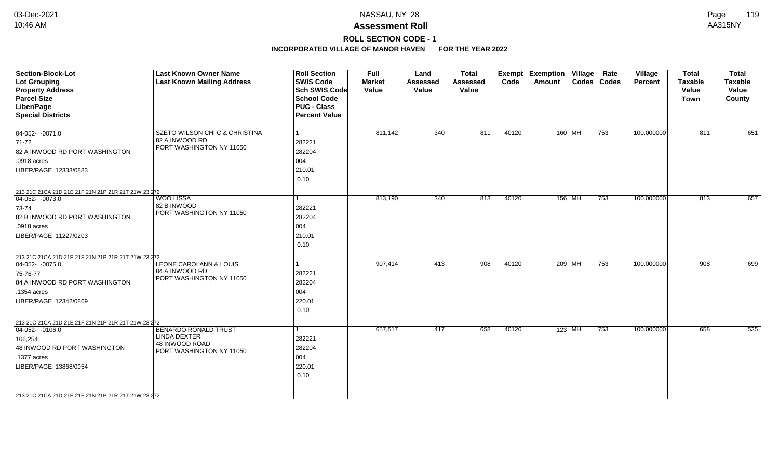# **ROLL SECTION CODE - 1**

| Section-Block-Lot<br><b>Lot Grouping</b><br><b>Property Address</b><br><b>Parcel Size</b><br>Liber/Page<br><b>Special Districts</b>                                                                              | <b>Last Known Owner Name</b><br><b>Last Known Mailing Address</b>                                | <b>Roll Section</b><br><b>SWIS Code</b><br><b>Sch SWIS Code</b><br><b>School Code</b><br><b>PUC - Class</b><br><b>Percent Value</b> | <b>Full</b><br><b>Market</b><br>Value | Land<br><b>Assessed</b><br>Value | <b>Total</b><br><b>Assessed</b><br>Value | Exempt<br>Code | <b>Exemption Village</b><br>Amount | Rate<br>Codes   Codes | Village<br>Percent | <b>Total</b><br>Taxable<br>Value<br><b>Town</b> | <b>Total</b><br><b>Taxable</b><br>Value<br>County |
|------------------------------------------------------------------------------------------------------------------------------------------------------------------------------------------------------------------|--------------------------------------------------------------------------------------------------|-------------------------------------------------------------------------------------------------------------------------------------|---------------------------------------|----------------------------------|------------------------------------------|----------------|------------------------------------|-----------------------|--------------------|-------------------------------------------------|---------------------------------------------------|
| $04-052 - 0071.0$<br>$ 71-72 $<br>82 A INWOOD RD PORT WASHINGTON<br>.0918 acres<br>LIBER/PAGE 12333/0883                                                                                                         | SZETO WILSON CHI C & CHRISTINA<br>82 A INWOOD RD<br>PORT WASHINGTON NY 11050                     | $\overline{1}$<br>282221<br>282204<br>004<br>210.01<br>0.10                                                                         | 811,142                               | 340                              | 811                                      | 40120          | 160 MH                             | $ 753\rangle$         | 100.000000         | 811                                             | 651                                               |
| 213 21C 21CA 21D 21E 21F 21N 21P 21R 21T 21W 23 272<br>$04-052 - 0073.0$<br>73-74<br>82 B INWOOD RD PORT WASHINGTON<br>.0918 acres<br>LIBER/PAGE 11227/0203                                                      | <b>WOO LISSA</b><br>82 B INWOOD<br>PORT WASHINGTON NY 11050                                      | 282221<br>282204<br>004<br>210.01<br>0.10                                                                                           | 813,190                               | 340                              | 813                                      | 40120          | 156 MH                             | $ 753\rangle$         | 100.000000         | 813                                             | 657                                               |
| 213 21C 21CA 21D 21E 21F 21N 21P 21R 21T 21W 23 272<br>$ 04-052-0075.0$<br>75-76-77<br>84 A INWOOD RD PORT WASHINGTON<br>.1354 acres<br>LIBER/PAGE 12342/0869                                                    | <b>LEONE CAROLANN &amp; LOUIS</b><br>84 A INWOOD RD<br>PORT WASHINGTON NY 11050                  | 282221<br>282204<br>004<br>220.01<br>0.10                                                                                           | 907,414                               | 413                              | 908                                      | 40120          | 209 MH                             | 753                   | 100.000000         | 908                                             | 699                                               |
| 213 21C 21CA 21D 21E 21F 21N 21P 21R 21T 21W 23 272<br>04-052- -0106.0<br>106,254<br>48 INWOOD RD PORT WASHINGTON<br>.1377 acres<br>LIBER/PAGE 13868/0954<br>213 21C 21CA 21D 21E 21F 21N 21P 21R 21T 21W 23 272 | <b>BENARDO RONALD TRUST</b><br><b>LINDA DEXTER</b><br>48 INWOOD ROAD<br>PORT WASHINGTON NY 11050 | 282221<br>282204<br>004<br>220.01<br>0.10                                                                                           | 657,517                               | 417                              | 658                                      | 40120          | $123$ MH                           | 753                   | 100.000000         | 658                                             | 535                                               |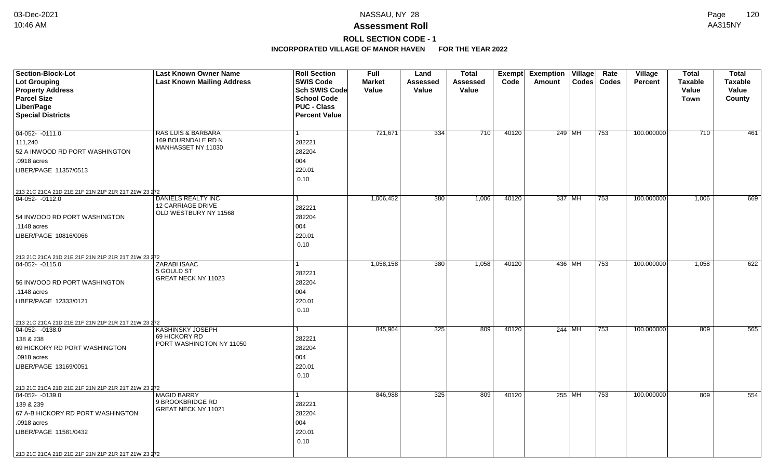## **ROLL SECTION CODE - 1**

| Section-Block-Lot                                   | <b>Last Known Owner Name</b>            | <b>Roll Section</b>               | <b>Full</b>            | Land              | <b>Total</b>      |       | Exempt Exemption Village | Rate          | <b>Village</b> | <b>Total</b>                | <b>Total</b>            |
|-----------------------------------------------------|-----------------------------------------|-----------------------------------|------------------------|-------------------|-------------------|-------|--------------------------|---------------|----------------|-----------------------------|-------------------------|
| <b>Lot Grouping</b>                                 | <b>Last Known Mailing Address</b>       | <b>SWIS Code</b><br>Sch SWIS Code | <b>Market</b><br>Value | Assessed<br>Value | Assessed<br>Value | Code  | Amount                   | Codes   Codes | <b>Percent</b> | <b>Taxable</b>              | <b>Taxable</b><br>Value |
| <b>Property Address</b><br><b>Parcel Size</b>       |                                         | <b>School Code</b>                |                        |                   |                   |       |                          |               |                | <b>Value</b><br><b>Town</b> | County                  |
| Liber/Page                                          |                                         | <b>PUC - Class</b>                |                        |                   |                   |       |                          |               |                |                             |                         |
| <b>Special Districts</b>                            |                                         | <b>Percent Value</b>              |                        |                   |                   |       |                          |               |                |                             |                         |
|                                                     |                                         |                                   |                        |                   |                   |       |                          |               |                |                             |                         |
| $04-052 - 0111.0$                                   | <b>RAS LUIS &amp; BARBARA</b>           | $\mathbf{1}$                      | 721,671                | 334               | 710               | 40120 | 249 MH                   | 753           | 100.000000     | 710                         | 461                     |
| 111,240                                             | 169 BOURNDALE RD N                      | 282221                            |                        |                   |                   |       |                          |               |                |                             |                         |
| 52 A INWOOD RD PORT WASHINGTON                      | MANHASSET NY 11030                      | 282204                            |                        |                   |                   |       |                          |               |                |                             |                         |
| .0918 acres                                         |                                         | 004                               |                        |                   |                   |       |                          |               |                |                             |                         |
| LIBER/PAGE 11357/0513                               |                                         | 220.01                            |                        |                   |                   |       |                          |               |                |                             |                         |
|                                                     |                                         | 0.10                              |                        |                   |                   |       |                          |               |                |                             |                         |
| 213 21C 21CA 21D 21E 21F 21N 21P 21R 21T 21W 23 272 |                                         |                                   |                        |                   |                   |       |                          |               |                |                             |                         |
| 04-052-0112.0                                       | DANIELS REALTY INC                      | 1                                 | 1,006,452              | 380               | 1,006             | 40120 | 337 MH                   | 753           | 100.000000     | 1,006                       | 669                     |
|                                                     | 12 CARRIAGE DRIVE                       | 282221                            |                        |                   |                   |       |                          |               |                |                             |                         |
| 54 INWOOD RD PORT WASHINGTON                        | OLD WESTBURY NY 11568                   | 282204                            |                        |                   |                   |       |                          |               |                |                             |                         |
| .1148 acres                                         |                                         | 004                               |                        |                   |                   |       |                          |               |                |                             |                         |
| LIBER/PAGE 10816/0066                               |                                         | 220.01                            |                        |                   |                   |       |                          |               |                |                             |                         |
|                                                     |                                         | 0.10                              |                        |                   |                   |       |                          |               |                |                             |                         |
| 213 21C 21CA 21D 21E 21F 21N 21P 21R 21T 21W 23 272 |                                         |                                   |                        |                   |                   |       |                          |               |                |                             |                         |
| 04-052- -0115.0                                     | <b>ZARABI ISAAC</b>                     | 1                                 | 1,058,158              | 380               | 1,058             | 40120 | 436 MH                   | 753           | 100.000000     | 1,058                       | 622                     |
|                                                     | 5 GOULD ST                              | 282221                            |                        |                   |                   |       |                          |               |                |                             |                         |
| 56 INWOOD RD PORT WASHINGTON                        | GREAT NECK NY 11023                     | 282204                            |                        |                   |                   |       |                          |               |                |                             |                         |
| .1148 acres                                         |                                         | 004                               |                        |                   |                   |       |                          |               |                |                             |                         |
| LIBER/PAGE 12333/0121                               |                                         | 220.01                            |                        |                   |                   |       |                          |               |                |                             |                         |
|                                                     |                                         | 0.10                              |                        |                   |                   |       |                          |               |                |                             |                         |
| 213 21C 21CA 21D 21E 21F 21N 21P 21R 21T 21W 23 272 |                                         |                                   |                        |                   |                   |       |                          |               |                |                             |                         |
| $\boxed{04-052 - 0138.0}$                           | KASHINSKY JOSEPH                        | $\mathbf{1}$                      | 845,964                | 325               | 809               | 40120 | 244 MH                   | 753           | 100.000000     | 809                         | 565                     |
| 138 & 238                                           | 69 HICKORY RD                           | 282221                            |                        |                   |                   |       |                          |               |                |                             |                         |
| 69 HICKORY RD PORT WASHINGTON                       | PORT WASHINGTON NY 11050                | 282204                            |                        |                   |                   |       |                          |               |                |                             |                         |
| .0918 acres                                         |                                         | 004                               |                        |                   |                   |       |                          |               |                |                             |                         |
| LIBER/PAGE 13169/0051                               |                                         | 220.01                            |                        |                   |                   |       |                          |               |                |                             |                         |
|                                                     |                                         | 0.10                              |                        |                   |                   |       |                          |               |                |                             |                         |
| 213 21C 21CA 21D 21E 21F 21N 21P 21R 21T 21W 23 272 |                                         |                                   |                        |                   |                   |       |                          |               |                |                             |                         |
| $\boxed{04-052 - 0139.0}$                           | <b>MAGID BARRY</b>                      | $\mathbf{1}$                      | 846,988                | 325               | 809               | 40120 | 255 MH                   | 753           | 100.000000     | 809                         | 554                     |
| 139 & 239                                           | 9 BROOKBRIDGE RD<br>GREAT NECK NY 11021 | 282221                            |                        |                   |                   |       |                          |               |                |                             |                         |
| 67 A-B HICKORY RD PORT WASHINGTON                   |                                         | 282204                            |                        |                   |                   |       |                          |               |                |                             |                         |
| .0918 acres                                         |                                         | 004                               |                        |                   |                   |       |                          |               |                |                             |                         |
| LIBER/PAGE 11581/0432                               |                                         | 220.01                            |                        |                   |                   |       |                          |               |                |                             |                         |
|                                                     |                                         | 0.10                              |                        |                   |                   |       |                          |               |                |                             |                         |
| 213 21C 21CA 21D 21E 21F 21N 21P 21R 21T 21W 23 272 |                                         |                                   |                        |                   |                   |       |                          |               |                |                             |                         |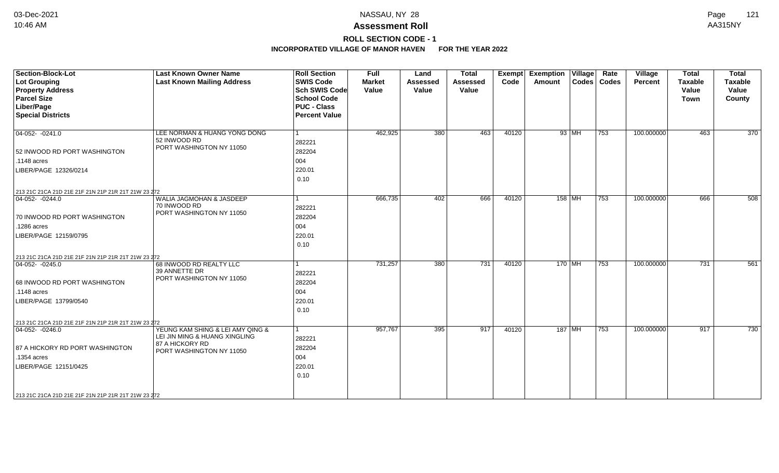# **ROLL SECTION CODE - 1**

| <b>Section-Block-Lot</b><br><b>Lot Grouping</b><br><b>Property Address</b><br><b>Parcel Size</b><br>Liber/Page<br><b>Special Districts</b>      | <b>Last Known Owner Name</b><br><b>Last Known Mailing Address</b>                                                | <b>Roll Section</b><br><b>SWIS Code</b><br><b>Sch SWIS Code</b><br><b>School Code</b><br><b>PUC - Class</b><br><b>Percent Value</b> | <b>Full</b><br><b>Market</b><br>Value | Land<br><b>Assessed</b><br>Value | <b>Total</b><br><b>Assessed</b><br>Value | Exempt<br>Code | <b>Exemption Village</b><br>Amount |          | Rate<br>Codes   Codes | Village<br>Percent | <b>Total</b><br><b>Taxable</b><br>Value<br><b>Town</b> | <b>Total</b><br><b>Taxable</b><br>Value<br>County |
|-------------------------------------------------------------------------------------------------------------------------------------------------|------------------------------------------------------------------------------------------------------------------|-------------------------------------------------------------------------------------------------------------------------------------|---------------------------------------|----------------------------------|------------------------------------------|----------------|------------------------------------|----------|-----------------------|--------------------|--------------------------------------------------------|---------------------------------------------------|
| $04-052 - 0241.0$<br>52 INWOOD RD PORT WASHINGTON                                                                                               | LEE NORMAN & HUANG YONG DONG<br>52 INWOOD RD<br>PORT WASHINGTON NY 11050                                         | $\vert$ 1<br>282221<br>282204                                                                                                       | 462,925                               | 380                              | 463                                      | 40120          |                                    | 93 MH    | 753                   | 100.000000         | 463                                                    | 370                                               |
| .1148 acres<br>LIBER/PAGE 12326/0214                                                                                                            |                                                                                                                  | 004<br>220.01<br>0.10                                                                                                               |                                       |                                  |                                          |                |                                    |          |                       |                    |                                                        |                                                   |
| 213 21C 21CA 21D 21E 21F 21N 21P 21R 21T 21W 23 272                                                                                             |                                                                                                                  |                                                                                                                                     |                                       |                                  |                                          |                |                                    |          |                       |                    |                                                        |                                                   |
| $04-052 - 0244.0$<br>70 INWOOD RD PORT WASHINGTON<br>.1286 acres<br>LIBER/PAGE 12159/0795                                                       | WALIA JAGMOHAN & JASDEEP<br>70 INWOOD RD<br>PORT WASHINGTON NY 11050                                             | 1<br>282221<br>282204<br>004<br>220.01<br>0.10                                                                                      | 666,735                               | 402                              | 666                                      | 40120          |                                    | $158$ MH | 753                   | 100.000000         | 666                                                    | 508                                               |
|                                                                                                                                                 |                                                                                                                  |                                                                                                                                     |                                       |                                  |                                          |                |                                    |          |                       |                    |                                                        |                                                   |
| 213 21C 21CA 21D 21E 21F 21N 21P 21R 21T 21W 23 272<br>$ 04-052-0245.0$<br>68 INWOOD RD PORT WASHINGTON<br>.1148 acres<br>LIBER/PAGE 13799/0540 | 68 INWOOD RD REALTY LLC<br>39 ANNETTE DR<br>PORT WASHINGTON NY 11050                                             | 282221<br>282204<br>004<br>220.01<br>0.10                                                                                           | 731,257                               | 380                              | 731                                      | 40120          |                                    | 170 MH   | 753                   | 100.000000         | 731                                                    | 561                                               |
| 213 21C 21CA 21D 21E 21F 21N 21P 21R 21T 21W 23 272                                                                                             |                                                                                                                  |                                                                                                                                     |                                       |                                  |                                          |                |                                    |          |                       |                    |                                                        |                                                   |
| $04-052 - 0246.0$<br>87 A HICKORY RD PORT WASHINGTON<br>.1354 acres<br>LIBER/PAGE 12151/0425                                                    | YEUNG KAM SHING & LEI AMY QING &<br>LEI JIN MING & HUANG XINGLING<br>87 A HICKORY RD<br>PORT WASHINGTON NY 11050 | 282221<br>282204<br>004<br>220.01<br>0.10                                                                                           | 957,767                               | 395                              | 917                                      | 40120          |                                    | $187$ MH | 753                   | 100.000000         | 917                                                    | 730                                               |
| 213 21C 21CA 21D 21E 21F 21N 21P 21R 21T 21W 23 272                                                                                             |                                                                                                                  |                                                                                                                                     |                                       |                                  |                                          |                |                                    |          |                       |                    |                                                        |                                                   |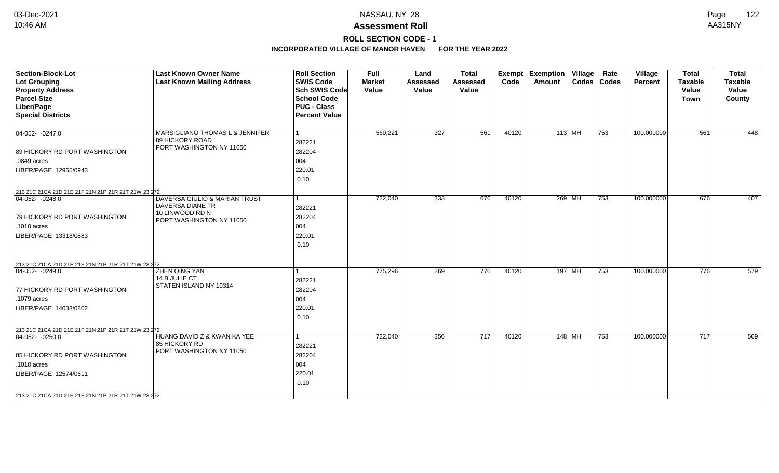## **ROLL SECTION CODE - 1**

| Section-Block-Lot<br>Lot Grouping<br><b>Property Address</b><br><b>Parcel Size</b><br>Liber/Page<br><b>Special Districts</b>                       | <b>Last Known Owner Name</b><br><b>Last Known Mailing Address</b>                                | <b>Roll Section</b><br><b>SWIS Code</b><br><b>Sch SWIS Code</b><br><b>School Code</b><br><b>PUC - Class</b><br><b>Percent Value</b> | <b>Full</b><br><b>Market</b><br>Value | Land<br><b>Assessed</b><br>Value | <b>Total</b><br><b>Assessed</b><br>Value | <b>Exempt</b><br>Code | <b>Exemption Village</b><br>Amount | Rate<br>Codes   Codes | Village<br>Percent | <b>Total</b><br><b>Taxable</b><br>Value<br><b>Town</b> | <b>Total</b><br><b>Taxable</b><br>Value<br>County |
|----------------------------------------------------------------------------------------------------------------------------------------------------|--------------------------------------------------------------------------------------------------|-------------------------------------------------------------------------------------------------------------------------------------|---------------------------------------|----------------------------------|------------------------------------------|-----------------------|------------------------------------|-----------------------|--------------------|--------------------------------------------------------|---------------------------------------------------|
| $ 04-052-0247.0$<br>89 HICKORY RD PORT WASHINGTON<br>$.0849$ acres<br>LIBER/PAGE 12965/0943<br>213 21C 21CA 21D 21E 21F 21N 21P 21R 21T 21W 23 272 | MARSIGLIANO THOMAS L & JENNIFER<br>89 HICKORY ROAD<br>PORT WASHINGTON NY 11050                   | l 1<br>282221<br>282204<br>004<br>220.01<br>0.10                                                                                    | 560,221                               | 327                              | 561                                      | 40120                 | 113 MH                             | 753                   | 100.000000         | 561                                                    | 448                                               |
| $04-052 - 0248.0$<br>79 HICKORY RD PORT WASHINGTON<br>.1010 acres<br>LIBER/PAGE 13318/0883<br>213 21C 21CA 21D 21E 21F 21N 21P 21R 21T 21W 23 272  | DAVERSA GIULIO & MARIAN TRUST<br>DAVERSA DIANE TR<br>10 LINWOOD RD N<br>PORT WASHINGTON NY 11050 | $\vert$ 1<br>282221<br>282204<br>004<br>220.01<br>0.10                                                                              | 722,040                               | 333                              | 676                                      | 40120                 | 269 MH                             | 753                   | 100.000000         | 676                                                    | 407                                               |
| $ 04-052-0249.0$<br>77 HICKORY RD PORT WASHINGTON<br>.1079 acres<br>LIBER/PAGE 14033/0802<br>213 21C 21CA 21D 21E 21F 21N 21P 21R 21T 21W 23 272   | ZHEN QING YAN<br>14 B JULIE CT<br>STATEN ISLAND NY 10314                                         | $\mathbf{1}$<br>282221<br>282204<br>004<br>220.01<br>0.10                                                                           | 775,296                               | 369                              | 776                                      | 40120                 | 197   MH                           | 753                   | 100.000000         | 776                                                    | 579                                               |
| $ 04-052-0250.0 $<br>85 HICKORY RD PORT WASHINGTON<br>.1010 acres<br>LIBER/PAGE 12574/0611<br>213 21C 21CA 21D 21E 21F 21N 21P 21R 21T 21W 23 272  | HUANG DAVID Z & KWAN KA YEE<br>85 HICKORY RD<br>PORT WASHINGTON NY 11050                         | $\mathbf{1}$<br>282221<br>282204<br>004<br>220.01<br>0.10                                                                           | 722,040                               | 356                              | 717                                      | 40120                 | 148   MH                           | 753                   | 100.000000         | 717                                                    | 569                                               |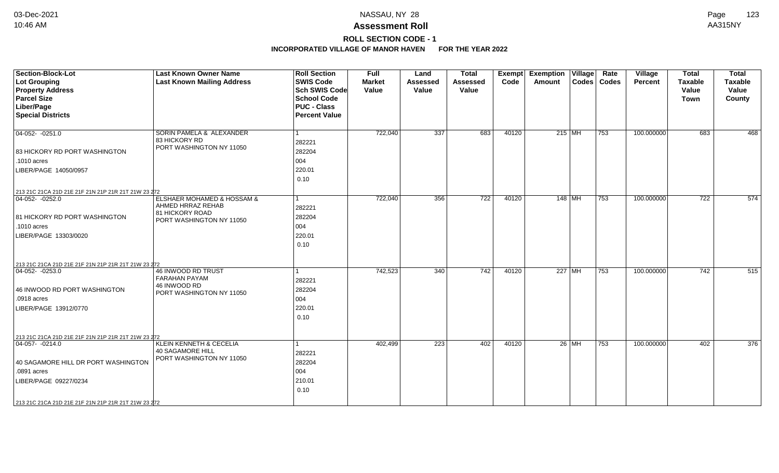## **ROLL SECTION CODE - 1**

| <b>Section-Block-Lot</b><br>Lot Grouping<br><b>Property Address</b><br><b>Parcel Size</b><br>Liber/Page<br><b>Special Districts</b>                                                                           | <b>Last Known Owner Name</b><br><b>Last Known Mailing Address</b>                              | <b>Roll Section</b><br><b>SWIS Code</b><br><b>Sch SWIS Code</b><br><b>School Code</b><br><b>PUC - Class</b><br><b>Percent Value</b> | <b>Full</b><br><b>Market</b><br>Value | Land<br><b>Assessed</b><br>Value | <b>Total</b><br><b>Assessed</b><br>Value | <b>Exempt</b><br>Code | <b>Exemption Village</b><br><b>Amount</b><br>Codes   Codes | Rate | Village<br><b>Percent</b> | <b>Total</b><br><b>Taxable</b><br>Value<br><b>Town</b> | <b>Total</b><br><b>Taxable</b><br>Value<br>County |
|---------------------------------------------------------------------------------------------------------------------------------------------------------------------------------------------------------------|------------------------------------------------------------------------------------------------|-------------------------------------------------------------------------------------------------------------------------------------|---------------------------------------|----------------------------------|------------------------------------------|-----------------------|------------------------------------------------------------|------|---------------------------|--------------------------------------------------------|---------------------------------------------------|
| $04-052 - 0251.0$<br>83 HICKORY RD PORT WASHINGTON<br>.1010 acres<br>LIBER/PAGE 14050/0957                                                                                                                    | SORIN PAMELA & ALEXANDER<br>83 HICKORY RD<br>PORT WASHINGTON NY 11050                          | 1<br>282221<br>282204<br>004<br>220.01<br>0.10                                                                                      | 722,040                               | 337                              | 683                                      | 40120                 | 215 MH                                                     | 753  | 100.000000                | 683                                                    | 468                                               |
| 213 21C 21CA 21D 21E 21F 21N 21P 21R 21T 21W 23 272<br>$ 04-052-0252.0$<br>81 HICKORY RD PORT WASHINGTON<br>.1010 acres<br>LIBER/PAGE 13303/0020                                                              | ELSHAER MOHAMED & HOSSAM &<br>AHMED HRRAZ REHAB<br>81 HICKORY ROAD<br>PORT WASHINGTON NY 11050 | 282221<br>282204<br>004<br>220.01<br>0.10                                                                                           | 722,040                               | 356                              | 722                                      | 40120                 | $148$ MH                                                   | 753  | 100.000000                | 722                                                    | 574                                               |
| 213 21C 21CA 21D 21E 21F 21N 21P 21R 21T 21W 23 272<br>$ 04-052-0253.0$<br>46 INWOOD RD PORT WASHINGTON<br>.0918 acres<br>LIBER/PAGE 13912/0770                                                               | 46 INWOOD RD TRUST<br><b>FARAHAN PAYAM</b><br>46 INWOOD RD<br>PORT WASHINGTON NY 11050         | 282221<br>282204<br>004<br>220.01<br>0.10                                                                                           | 742,523                               | 340                              | $\overline{742}$                         | 40120                 | 227 MH                                                     | 753  | 100.000000                | 742                                                    | 515                                               |
| 213 21C 21CA 21D 21E 21F 21N 21P 21R 21T 21W 23 272<br>$ 04-057-0214.0$<br>40 SAGAMORE HILL DR PORT WASHINGTON<br>.0891 acres<br>LIBER/PAGE 09227/0234<br>213 21C 21CA 21D 21E 21F 21N 21P 21R 21T 21W 23 272 | <b>KLEIN KENNETH &amp; CECELIA</b><br><b>40 SAGAMORE HILL</b><br>PORT WASHINGTON NY 11050      | 282221<br>282204<br>004<br>210.01<br>0.10                                                                                           | 402,499                               | $\overline{223}$                 | 402                                      | 40120                 | $26$ MH                                                    | 753  | 100.000000                | 402                                                    | $\overline{376}$                                  |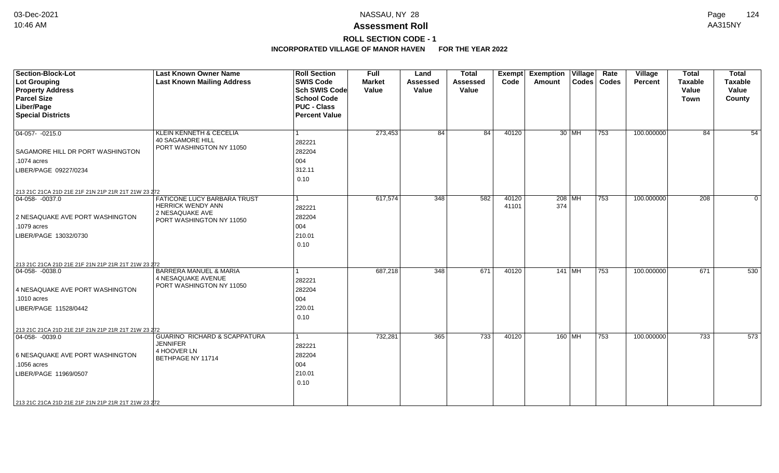# **ROLL SECTION CODE - 1**

| <b>Section-Block-Lot</b><br>Lot Grouping            | <b>Last Known Owner Name</b><br><b>Last Known Mailing Address</b> | <b>Roll Section</b><br><b>SWIS Code</b> | Full<br><b>Market</b> | Land<br><b>Assessed</b> | <b>Total</b><br><b>Assessed</b> | Exempt<br>Code | <b>Exemption Village</b><br><b>Amount</b> |          | Rate<br>Codes   Codes | Village<br><b>Percent</b> | <b>Total</b><br><b>Taxable</b> | <b>Total</b><br><b>Taxable</b> |
|-----------------------------------------------------|-------------------------------------------------------------------|-----------------------------------------|-----------------------|-------------------------|---------------------------------|----------------|-------------------------------------------|----------|-----------------------|---------------------------|--------------------------------|--------------------------------|
| <b>Property Address</b>                             |                                                                   | <b>Sch SWIS Code</b>                    | Value                 | Value                   | Value                           |                |                                           |          |                       |                           | Value                          | Value                          |
| <b>Parcel Size</b>                                  |                                                                   | <b>School Code</b>                      |                       |                         |                                 |                |                                           |          |                       |                           | <b>Town</b>                    | County                         |
| Liber/Page                                          |                                                                   | <b>PUC - Class</b>                      |                       |                         |                                 |                |                                           |          |                       |                           |                                |                                |
| <b>Special Districts</b>                            |                                                                   | <b>Percent Value</b>                    |                       |                         |                                 |                |                                           |          |                       |                           |                                |                                |
| $\boxed{04-057 - 0215.0}$                           | <b>KLEIN KENNETH &amp; CECELIA</b>                                |                                         | 273,453               | 84                      | 84                              | 40120          |                                           | 30 MH    | 753                   | 100.000000                | 84                             | 54                             |
|                                                     | <b>40 SAGAMORE HILL</b><br>PORT WASHINGTON NY 11050               | 282221                                  |                       |                         |                                 |                |                                           |          |                       |                           |                                |                                |
| <b>SAGAMORE HILL DR PORT WASHINGTON</b>             |                                                                   | 282204                                  |                       |                         |                                 |                |                                           |          |                       |                           |                                |                                |
| .1074 acres                                         |                                                                   | 004                                     |                       |                         |                                 |                |                                           |          |                       |                           |                                |                                |
| LIBER/PAGE 09227/0234                               |                                                                   | 312.11                                  |                       |                         |                                 |                |                                           |          |                       |                           |                                |                                |
|                                                     |                                                                   | 0.10                                    |                       |                         |                                 |                |                                           |          |                       |                           |                                |                                |
| 213 21C 21CA 21D 21E 21F 21N 21P 21R 21T 21W 23 272 |                                                                   |                                         |                       |                         |                                 |                |                                           |          |                       |                           |                                |                                |
| $04-058 - 0037.0$                                   | <b>FATICONE LUCY BARBARA TRUST</b>                                |                                         | 617,574               | $\overline{348}$        | 582                             | 40120          |                                           | $208$ MH | 753                   | 100.000000                | $\overline{208}$               | $\Omega$                       |
|                                                     | <b>HERRICK WENDY ANN</b>                                          | 282221                                  |                       |                         |                                 | 41101          | 374                                       |          |                       |                           |                                |                                |
| 2 NESAQUAKE AVE PORT WASHINGTON                     | 2 NESAQUAKE AVE<br>PORT WASHINGTON NY 11050                       | 282204                                  |                       |                         |                                 |                |                                           |          |                       |                           |                                |                                |
| .1079 acres                                         |                                                                   | 004                                     |                       |                         |                                 |                |                                           |          |                       |                           |                                |                                |
| LIBER/PAGE 13032/0730                               |                                                                   | 210.01                                  |                       |                         |                                 |                |                                           |          |                       |                           |                                |                                |
|                                                     |                                                                   | 0.10                                    |                       |                         |                                 |                |                                           |          |                       |                           |                                |                                |
| 213 21C 21CA 21D 21E 21F 21N 21P 21R 21T 21W 23 272 |                                                                   |                                         |                       |                         |                                 |                |                                           |          |                       |                           |                                |                                |
| $ 04-058-0038.0$                                    | <b>BARRERA MANUEL &amp; MARIA</b>                                 |                                         | 687,218               | 348                     | 671                             | 40120          |                                           | $141$ MH | 753                   | 100.000000                | 671                            | 530                            |
|                                                     | 4 NESAQUAKE AVENUE<br>PORT WASHINGTON NY 11050                    | 282221                                  |                       |                         |                                 |                |                                           |          |                       |                           |                                |                                |
| 4 NESAQUAKE AVE PORT WASHINGTON                     |                                                                   | 282204                                  |                       |                         |                                 |                |                                           |          |                       |                           |                                |                                |
| .1010 acres                                         |                                                                   | 004                                     |                       |                         |                                 |                |                                           |          |                       |                           |                                |                                |
| LIBER/PAGE 11528/0442                               |                                                                   | 220.01                                  |                       |                         |                                 |                |                                           |          |                       |                           |                                |                                |
|                                                     |                                                                   | 0.10                                    |                       |                         |                                 |                |                                           |          |                       |                           |                                |                                |
| 213 21C 21CA 21D 21E 21F 21N 21P 21R 21T 21W 23 272 |                                                                   |                                         |                       |                         |                                 |                |                                           |          |                       |                           |                                |                                |
| $\boxed{04-058 - 0039.0}$                           | <b>GUARINO RICHARD &amp; SCAPPATURA</b>                           |                                         | 732,281               | 365                     | 733                             | 40120          |                                           | 160 MH   | 753                   | 100.000000                | 733                            | 573                            |
|                                                     | <b>JENNIFER</b><br>4 HOOVER LN                                    | 282221                                  |                       |                         |                                 |                |                                           |          |                       |                           |                                |                                |
| 6 NESAQUAKE AVE PORT WASHINGTON                     | <b>BETHPAGE NY 11714</b>                                          | 282204                                  |                       |                         |                                 |                |                                           |          |                       |                           |                                |                                |
| .1056 acres                                         |                                                                   | 004                                     |                       |                         |                                 |                |                                           |          |                       |                           |                                |                                |
| LIBER/PAGE 11969/0507                               |                                                                   | 210.01                                  |                       |                         |                                 |                |                                           |          |                       |                           |                                |                                |
|                                                     |                                                                   | 0.10                                    |                       |                         |                                 |                |                                           |          |                       |                           |                                |                                |
|                                                     |                                                                   |                                         |                       |                         |                                 |                |                                           |          |                       |                           |                                |                                |
| 213 21C 21CA 21D 21E 21F 21N 21P 21R 21T 21W 23 272 |                                                                   |                                         |                       |                         |                                 |                |                                           |          |                       |                           |                                |                                |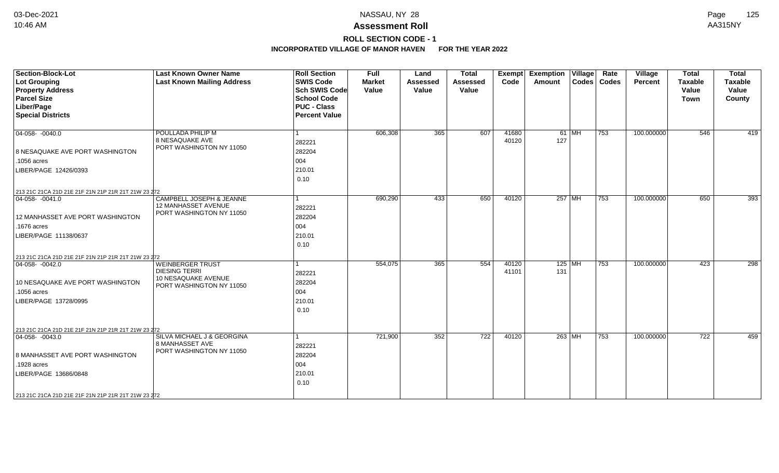## **ROLL SECTION CODE - 1**

| <b>Section-Block-Lot</b><br><b>Lot Grouping</b><br><b>Property Address</b><br><b>Parcel Size</b><br>Liber/Page<br><b>Special Districts</b>                                                                 | <b>Last Known Owner Name</b><br><b>Last Known Mailing Address</b>                                  | <b>Roll Section</b><br><b>SWIS Code</b><br><b>Sch SWIS Code</b><br><b>School Code</b><br><b>PUC - Class</b><br><b>Percent Value</b> | <b>Full</b><br><b>Market</b><br>Value | Land<br><b>Assessed</b><br>Value | <b>Total</b><br><b>Assessed</b><br>Value | Exempt<br>Code | <b>Exemption Village</b><br>Amount |        | Rate<br>Codes   Codes | Village<br>Percent | <b>Total</b><br><b>Taxable</b><br>Value<br><b>Town</b> | <b>Total</b><br><b>Taxable</b><br>Value<br>County |
|------------------------------------------------------------------------------------------------------------------------------------------------------------------------------------------------------------|----------------------------------------------------------------------------------------------------|-------------------------------------------------------------------------------------------------------------------------------------|---------------------------------------|----------------------------------|------------------------------------------|----------------|------------------------------------|--------|-----------------------|--------------------|--------------------------------------------------------|---------------------------------------------------|
| $ 04-058-0040.0$<br>8 NESAQUAKE AVE PORT WASHINGTON<br>.1056 acres<br>LIBER/PAGE 12426/0393                                                                                                                | POULLADA PHILIP M<br>8 NESAQUAKE AVE<br>PORT WASHINGTON NY 11050                                   | 1<br>282221<br>282204<br>004<br>210.01<br>0.10                                                                                      | 606,308                               | 365                              | 607                                      | 41680<br>40120 | 127                                | 61 MH  | 753                   | 100.000000         | 546                                                    | 419                                               |
| 213 21C 21CA 21D 21E 21F 21N 21P 21R 21T 21W 23 272<br>$ 04-058-0041.0$<br>12 MANHASSET AVE PORT WASHINGTON<br>.1676 acres<br>LIBER/PAGE 11138/0637<br>213 21C 21CA 21D 21E 21F 21N 21P 21R 21T 21W 23 272 | CAMPBELL JOSEPH & JEANNE<br>12 MANHASSET AVENUE<br>PORT WASHINGTON NY 11050                        | 1<br>282221<br>282204<br>004<br>210.01<br>0.10                                                                                      | 690,290                               | 433                              | 650                                      | 40120          |                                    | 257 MH | 753                   | 100.000000         | 650                                                    | 393                                               |
| $ 04-058-0042.0$<br>10 NESAQUAKE AVE PORT WASHINGTON<br>.1056 acres<br>LIBER/PAGE 13728/0995<br>213 21C 21CA 21D 21E 21F 21N 21P 21R 21T 21W 23 272                                                        | <b>WEINBERGER TRUST</b><br><b>DIESING TERRI</b><br>10 NESAQUAKE AVENUE<br>PORT WASHINGTON NY 11050 | 1<br>282221<br>282204<br>004<br>210.01<br>0.10                                                                                      | 554,075                               | 365                              | 554                                      | 40120<br>41101 | $125$ MH<br>131                    |        | 753                   | 100.000000         | 423                                                    | 298                                               |
| $ 04-058-0043.0$<br>8 MANHASSET AVE PORT WASHINGTON<br>.1928 acres<br>LIBER/PAGE 13686/0848<br>213 21C 21CA 21D 21E 21F 21N 21P 21R 21T 21W 23 272                                                         | SILVA MICHAEL J & GEORGINA<br>8 MANHASSET AVE<br>PORT WASHINGTON NY 11050                          | 1<br>282221<br>282204<br>004<br>210.01<br>0.10                                                                                      | 721,900                               | 352                              | 722                                      | 40120          |                                    | 263 MH | 753                   | 100.000000         | $\overline{722}$                                       | 459                                               |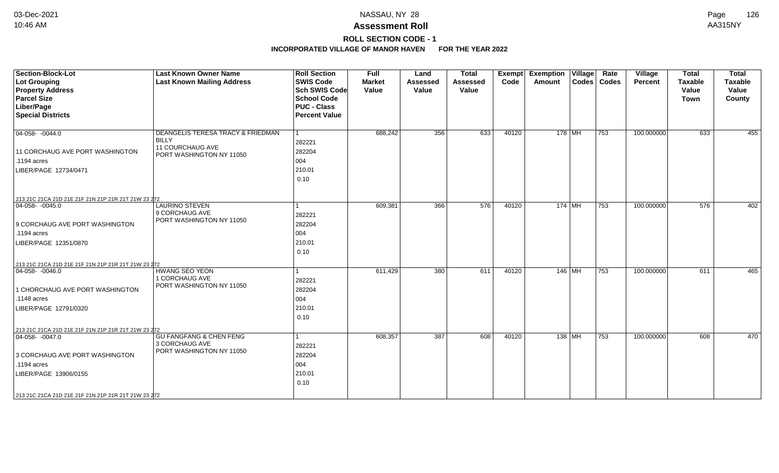## **ROLL SECTION CODE - 1**

| <b>Section-Block-Lot</b><br><b>Lot Grouping</b>     | <b>Last Known Owner Name</b><br><b>Last Known Mailing Address</b>                | <b>Roll Section</b><br><b>SWIS Code</b>    | <b>Full</b><br><b>Market</b> | Land<br><b>Assessed</b> | <b>Total</b><br><b>Assessed</b> | Exempt<br>Code | Exemption   Village  <br>Amount |          | Rate<br>Codes   Codes | Village<br><b>Percent</b> | <b>Total</b><br><b>Taxable</b> | <b>Total</b><br><b>Taxable</b> |
|-----------------------------------------------------|----------------------------------------------------------------------------------|--------------------------------------------|------------------------------|-------------------------|---------------------------------|----------------|---------------------------------|----------|-----------------------|---------------------------|--------------------------------|--------------------------------|
| <b>Property Address</b><br><b>Parcel Size</b>       |                                                                                  | <b>Sch SWIS Code</b><br><b>School Code</b> | Value                        | Value                   | Value                           |                |                                 |          |                       |                           | Value<br><b>Town</b>           | Value<br>County                |
| Liber/Page                                          |                                                                                  | <b>PUC - Class</b>                         |                              |                         |                                 |                |                                 |          |                       |                           |                                |                                |
| <b>Special Districts</b>                            |                                                                                  | <b>Percent Value</b>                       |                              |                         |                                 |                |                                 |          |                       |                           |                                |                                |
| $\boxed{04-058 - 0044.0}$                           | DEANGELIS TERESA TRACY & FRIEDMAN<br><b>BILLY</b>                                | 1<br>282221                                | 688,242                      | 356                     | 633                             | 40120          |                                 | $178$ MH | 753                   | 100.000000                | 633                            | 455                            |
| 11 CORCHAUG AVE PORT WASHINGTON                     | 11 COURCHAUG AVE<br>PORT WASHINGTON NY 11050                                     | 282204                                     |                              |                         |                                 |                |                                 |          |                       |                           |                                |                                |
| $.1194$ acres                                       |                                                                                  | 004                                        |                              |                         |                                 |                |                                 |          |                       |                           |                                |                                |
| LIBER/PAGE 12734/0471                               |                                                                                  | 210.01<br>0.10                             |                              |                         |                                 |                |                                 |          |                       |                           |                                |                                |
| 213 21C 21CA 21D 21E 21F 21N 21P 21R 21T 21W 23 272 |                                                                                  |                                            |                              |                         |                                 |                |                                 |          |                       |                           |                                |                                |
| $04-058 - 0045.0$                                   | <b>LAURINO STEVEN</b><br>9 CORCHAUG AVE                                          | 1<br>282221                                | 609,381                      | 366                     | 576                             | 40120          |                                 | $174$ MH | 753                   | 100.000000                | 576                            | 402                            |
| 9 CORCHAUG AVE PORT WASHINGTON                      | PORT WASHINGTON NY 11050                                                         | 282204                                     |                              |                         |                                 |                |                                 |          |                       |                           |                                |                                |
| .1194 acres                                         |                                                                                  | 004                                        |                              |                         |                                 |                |                                 |          |                       |                           |                                |                                |
| LIBER/PAGE 12351/0870                               |                                                                                  | 210.01<br>0.10                             |                              |                         |                                 |                |                                 |          |                       |                           |                                |                                |
| 213 21C 21CA 21D 21E 21F 21N 21P 21R 21T 21W 23 272 |                                                                                  |                                            |                              |                         |                                 |                |                                 |          |                       |                           |                                |                                |
| $ 04-058-0046.0$                                    | <b>HWANG SEO YEON</b>                                                            | 1                                          | 611,429                      | 380                     | 611                             | 40120          |                                 | 146   MH | 753                   | 100.000000                | 611                            | 465                            |
| 1 CHORCHAUG AVE PORT WASHINGTON                     | 1 CORCHAUG AVE<br>PORT WASHINGTON NY 11050                                       | 282221<br>282204                           |                              |                         |                                 |                |                                 |          |                       |                           |                                |                                |
| .1148 acres                                         |                                                                                  | 004                                        |                              |                         |                                 |                |                                 |          |                       |                           |                                |                                |
| LIBER/PAGE 12791/0320                               |                                                                                  | 210.01                                     |                              |                         |                                 |                |                                 |          |                       |                           |                                |                                |
|                                                     |                                                                                  | 0.10                                       |                              |                         |                                 |                |                                 |          |                       |                           |                                |                                |
| 213 21C 21CA 21D 21E 21F 21N 21P 21R 21T 21W 23 272 |                                                                                  |                                            |                              |                         |                                 |                |                                 |          |                       |                           |                                |                                |
| $ 04-058-0047.0$                                    | <b>GU FANGFANG &amp; CHEN FENG</b><br>3 CORCHAUG AVE<br>PORT WASHINGTON NY 11050 | 1<br>282221                                | 608,357                      | 387                     | 608                             | 40120          |                                 | 138   MH | 753                   | 100.000000                | 608                            | 470                            |
| 3 CORCHAUG AVE PORT WASHINGTON                      |                                                                                  | 282204                                     |                              |                         |                                 |                |                                 |          |                       |                           |                                |                                |
| .1194 acres                                         |                                                                                  | 004                                        |                              |                         |                                 |                |                                 |          |                       |                           |                                |                                |
| LIBER/PAGE 13906/0155                               |                                                                                  | 210.01<br>0.10                             |                              |                         |                                 |                |                                 |          |                       |                           |                                |                                |
| 213 21C 21CA 21D 21E 21F 21N 21P 21R 21T 21W 23 272 |                                                                                  |                                            |                              |                         |                                 |                |                                 |          |                       |                           |                                |                                |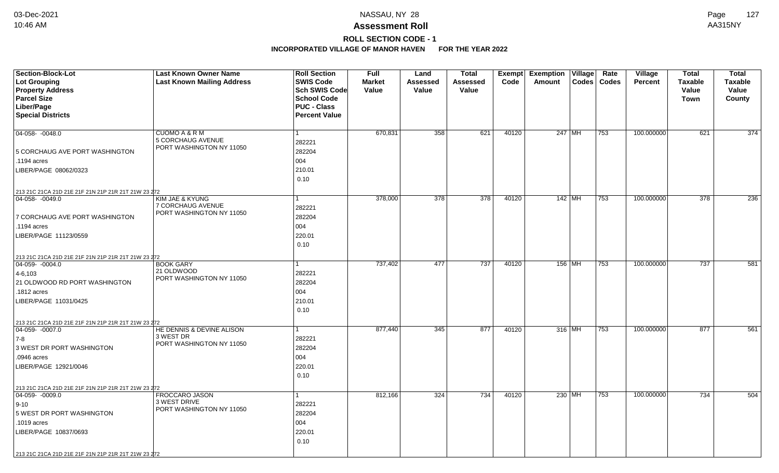# **ROLL SECTION CODE - 1**

| Section-Block-Lot<br><b>Lot Grouping</b><br><b>Property Address</b> | <b>Last Known Owner Name</b><br><b>Last Known Mailing Address</b> | <b>Roll Section</b><br><b>SWIS Code</b><br><b>Sch SWIS Code</b>  | Full<br><b>Market</b><br>Value | Land<br><b>Assessed</b><br>Value | <b>Total</b><br><b>Assessed</b><br>Value | Exempt<br>Code | <b>Exemption</b><br>Amount | $\overline{ \mathsf{Village} }$ | Rate<br>Codes   Codes | Village<br><b>Percent</b> | <b>Total</b><br><b>Taxable</b><br>Value | <b>Total</b><br><b>Taxable</b><br>Value |
|---------------------------------------------------------------------|-------------------------------------------------------------------|------------------------------------------------------------------|--------------------------------|----------------------------------|------------------------------------------|----------------|----------------------------|---------------------------------|-----------------------|---------------------------|-----------------------------------------|-----------------------------------------|
| <b>Parcel Size</b><br>Liber/Page<br><b>Special Districts</b>        |                                                                   | <b>School Code</b><br><b>PUC - Class</b><br><b>Percent Value</b> |                                |                                  |                                          |                |                            |                                 |                       |                           | Town                                    | County                                  |
| $04-058 - 0048.0$                                                   | CUOMO A & R M<br>5 CORCHAUG AVENUE                                | 282221                                                           | 670,831                        | 358                              | 621                                      | 40120          | 247 MH                     |                                 | 753                   | 100.000000                | 621                                     | $\overline{374}$                        |
| 5 CORCHAUG AVE PORT WASHINGTON                                      | PORT WASHINGTON NY 11050                                          | 282204                                                           |                                |                                  |                                          |                |                            |                                 |                       |                           |                                         |                                         |
| .1194 acres                                                         |                                                                   | 004                                                              |                                |                                  |                                          |                |                            |                                 |                       |                           |                                         |                                         |
| LIBER/PAGE 08062/0323                                               |                                                                   | 210.01<br>0.10                                                   |                                |                                  |                                          |                |                            |                                 |                       |                           |                                         |                                         |
| 213 21C 21CA 21D 21E 21F 21N 21P 21R 21T 21W 23 272                 |                                                                   |                                                                  |                                |                                  |                                          |                |                            |                                 |                       |                           |                                         |                                         |
| 04-058-0049.0<br>7 CORCHAUG AVE PORT WASHINGTON                     | KIM JAE & KYUNG<br>7 CORCHAUG AVENUE<br>PORT WASHINGTON NY 11050  | 282221<br>282204                                                 | 378,000                        | 378                              | 378                                      | 40120          | 142 MH                     |                                 | 753                   | 100.000000                | $\overline{378}$                        | 236                                     |
| .1194 acres                                                         |                                                                   | 004                                                              |                                |                                  |                                          |                |                            |                                 |                       |                           |                                         |                                         |
| LIBER/PAGE 11123/0559                                               |                                                                   | 220.01<br>0.10                                                   |                                |                                  |                                          |                |                            |                                 |                       |                           |                                         |                                         |
| 213 21C 21CA 21D 21E 21F 21N 21P 21R 21T 21W 23 272                 |                                                                   |                                                                  |                                |                                  |                                          |                |                            |                                 |                       |                           |                                         |                                         |
| $ 04-059-0004.0$                                                    | <b>BOOK GARY</b><br>21 OLDWOOD                                    |                                                                  | 737,402                        | 477                              | 737                                      | 40120          | 156 MH                     |                                 | 753                   | 100.000000                | 737                                     | 581                                     |
| $4 - 6, 103$                                                        | PORT WASHINGTON NY 11050                                          | 282221                                                           |                                |                                  |                                          |                |                            |                                 |                       |                           |                                         |                                         |
| 21 OLDWOOD RD PORT WASHINGTON                                       |                                                                   | 282204                                                           |                                |                                  |                                          |                |                            |                                 |                       |                           |                                         |                                         |
| .1812 acres                                                         |                                                                   | 004                                                              |                                |                                  |                                          |                |                            |                                 |                       |                           |                                         |                                         |
| LIBER/PAGE 11031/0425                                               |                                                                   | 210.01<br>0.10                                                   |                                |                                  |                                          |                |                            |                                 |                       |                           |                                         |                                         |
| 213 21C 21CA 21D 21E 21F 21N 21P 21R 21T 21W 23 272                 |                                                                   |                                                                  |                                |                                  |                                          |                |                            |                                 |                       |                           |                                         |                                         |
| $\boxed{04-059 - 0007.0}$                                           | HE DENNIS & DEVINE ALISON<br>3 WEST DR                            | 1                                                                | 877,440                        | 345                              | 877                                      | 40120          | 316 MH                     |                                 | 753                   | 100.000000                | 877                                     | 561                                     |
| $ 7-8 $                                                             | PORT WASHINGTON NY 11050                                          | 282221                                                           |                                |                                  |                                          |                |                            |                                 |                       |                           |                                         |                                         |
| 3 WEST DR PORT WASHINGTON                                           |                                                                   | 282204                                                           |                                |                                  |                                          |                |                            |                                 |                       |                           |                                         |                                         |
| .0946 acres                                                         |                                                                   | 004                                                              |                                |                                  |                                          |                |                            |                                 |                       |                           |                                         |                                         |
| LIBER/PAGE 12921/0046                                               |                                                                   | 220.01<br>0.10                                                   |                                |                                  |                                          |                |                            |                                 |                       |                           |                                         |                                         |
| 213 21C 21CA 21D 21E 21F 21N 21P 21R 21T 21W 23 272                 |                                                                   |                                                                  |                                |                                  |                                          |                |                            |                                 |                       |                           |                                         |                                         |
| $ 04-059-0009.0$                                                    | FROCCARO JASON                                                    |                                                                  | 812,166                        | 324                              | 734                                      | 40120          | 230 MH                     |                                 | 753                   | 100.000000                | 734                                     | 504                                     |
| $9 - 10$                                                            | 3 WEST DRIVE<br>PORT WASHINGTON NY 11050                          | 282221                                                           |                                |                                  |                                          |                |                            |                                 |                       |                           |                                         |                                         |
| 5 WEST DR PORT WASHINGTON                                           |                                                                   | 282204                                                           |                                |                                  |                                          |                |                            |                                 |                       |                           |                                         |                                         |
| .1019 acres                                                         |                                                                   | 004                                                              |                                |                                  |                                          |                |                            |                                 |                       |                           |                                         |                                         |
| LIBER/PAGE 10837/0693                                               |                                                                   | 220.01<br>0.10                                                   |                                |                                  |                                          |                |                            |                                 |                       |                           |                                         |                                         |
| 213 21C 21CA 21D 21E 21F 21N 21P 21R 21T 21W 23 272                 |                                                                   |                                                                  |                                |                                  |                                          |                |                            |                                 |                       |                           |                                         |                                         |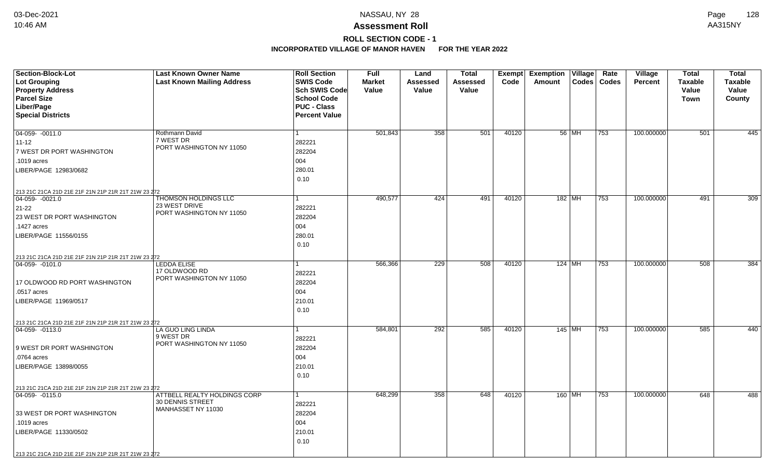## **ROLL SECTION CODE - 1**

| Section-Block-Lot<br><b>Lot Grouping</b><br><b>Property Address</b><br><b>Parcel Size</b> | <b>Last Known Owner Name</b><br><b>Last Known Mailing Address</b> | <b>Roll Section</b><br><b>SWIS Code</b><br><b>Sch SWIS Code</b><br><b>School Code</b> | <b>Full</b><br><b>Market</b><br>Value | Land<br>Assessed<br>Value | <b>Total</b><br><b>Assessed</b><br>Value | Exempt<br>Code | <b>Exemption Village</b><br>Amount | Rate<br>Codes   Codes | Village<br><b>Percent</b> | <b>Total</b><br><b>Taxable</b><br>Value<br><b>Town</b> | <b>Total</b><br><b>Taxable</b><br>Value<br>County |
|-------------------------------------------------------------------------------------------|-------------------------------------------------------------------|---------------------------------------------------------------------------------------|---------------------------------------|---------------------------|------------------------------------------|----------------|------------------------------------|-----------------------|---------------------------|--------------------------------------------------------|---------------------------------------------------|
| Liber/Page<br><b>Special Districts</b>                                                    |                                                                   | <b>PUC - Class</b><br><b>Percent Value</b>                                            |                                       |                           |                                          |                |                                    |                       |                           |                                                        |                                                   |
| $04-059 - 0011.0$                                                                         | Rothmann David                                                    | 1                                                                                     | 501,843                               | 358                       | 501                                      | 40120          | 56   MH                            | 753                   | 100.000000                | 501                                                    | 445                                               |
| $11 - 12$                                                                                 | 7 WEST DR                                                         | 282221                                                                                |                                       |                           |                                          |                |                                    |                       |                           |                                                        |                                                   |
| 7 WEST DR PORT WASHINGTON                                                                 | PORT WASHINGTON NY 11050                                          | 282204                                                                                |                                       |                           |                                          |                |                                    |                       |                           |                                                        |                                                   |
| .1019 acres                                                                               |                                                                   | 004                                                                                   |                                       |                           |                                          |                |                                    |                       |                           |                                                        |                                                   |
| LIBER/PAGE 12983/0682                                                                     |                                                                   | 280.01                                                                                |                                       |                           |                                          |                |                                    |                       |                           |                                                        |                                                   |
|                                                                                           |                                                                   | 0.10                                                                                  |                                       |                           |                                          |                |                                    |                       |                           |                                                        |                                                   |
| 213 21C 21CA 21D 21E 21F 21N 21P 21R 21T 21W 23 272                                       |                                                                   |                                                                                       |                                       |                           |                                          |                |                                    |                       |                           |                                                        |                                                   |
| $ 04-059-0021.0$                                                                          | <b>THOMSON HOLDINGS LLC</b><br>23 WEST DRIVE                      |                                                                                       | 490,577                               | 424                       | 491                                      | 40120          | $182$ MH                           | 753                   | 100.000000                | 491                                                    | 309                                               |
| 21-22<br>23 WEST DR PORT WASHINGTON                                                       | PORT WASHINGTON NY 11050                                          | 282221<br>282204                                                                      |                                       |                           |                                          |                |                                    |                       |                           |                                                        |                                                   |
| .1427 acres                                                                               |                                                                   | 004                                                                                   |                                       |                           |                                          |                |                                    |                       |                           |                                                        |                                                   |
| LIBER/PAGE 11556/0155                                                                     |                                                                   | 280.01                                                                                |                                       |                           |                                          |                |                                    |                       |                           |                                                        |                                                   |
|                                                                                           |                                                                   | 0.10                                                                                  |                                       |                           |                                          |                |                                    |                       |                           |                                                        |                                                   |
| 213 21C 21CA 21D 21E 21F 21N 21P 21R 21T 21W 23 272                                       |                                                                   |                                                                                       |                                       |                           |                                          |                |                                    |                       |                           |                                                        |                                                   |
| 04-059-0101.0                                                                             | <b>LEDDA ELISE</b>                                                |                                                                                       | 566,366                               | 229                       | 508                                      | 40120          | $124$ MH                           | 753                   | 100.000000                | 508                                                    | 384                                               |
|                                                                                           | 17 OLDWOOD RD<br>PORT WASHINGTON NY 11050                         | 282221                                                                                |                                       |                           |                                          |                |                                    |                       |                           |                                                        |                                                   |
| 17 OLDWOOD RD PORT WASHINGTON                                                             |                                                                   | 282204                                                                                |                                       |                           |                                          |                |                                    |                       |                           |                                                        |                                                   |
| .0517 acres                                                                               |                                                                   | 004                                                                                   |                                       |                           |                                          |                |                                    |                       |                           |                                                        |                                                   |
| LIBER/PAGE 11969/0517                                                                     |                                                                   | 210.01<br>0.10                                                                        |                                       |                           |                                          |                |                                    |                       |                           |                                                        |                                                   |
|                                                                                           |                                                                   |                                                                                       |                                       |                           |                                          |                |                                    |                       |                           |                                                        |                                                   |
| 213 21C 21CA 21D 21E 21F 21N 21P 21R 21T 21W 23 272<br>$ 04-059-0113.0$                   | LA GUO LING LINDA                                                 | 1                                                                                     | 584,801                               | 292                       | 585                                      | 40120          | 145 MH                             | 753                   | 100.000000                | 585                                                    | 440                                               |
|                                                                                           | 9 WEST DR                                                         | 282221                                                                                |                                       |                           |                                          |                |                                    |                       |                           |                                                        |                                                   |
| 9 WEST DR PORT WASHINGTON                                                                 | PORT WASHINGTON NY 11050                                          | 282204                                                                                |                                       |                           |                                          |                |                                    |                       |                           |                                                        |                                                   |
| .0764 acres                                                                               |                                                                   | 004                                                                                   |                                       |                           |                                          |                |                                    |                       |                           |                                                        |                                                   |
| LIBER/PAGE 13898/0055                                                                     |                                                                   | 210.01                                                                                |                                       |                           |                                          |                |                                    |                       |                           |                                                        |                                                   |
|                                                                                           |                                                                   | 0.10                                                                                  |                                       |                           |                                          |                |                                    |                       |                           |                                                        |                                                   |
| 213 21C 21CA 21D 21E 21F 21N 21P 21R 21T 21W 23 272                                       |                                                                   |                                                                                       |                                       |                           |                                          |                |                                    |                       |                           |                                                        |                                                   |
| 04-059-0115.0                                                                             | ATTBELL REALTY HOLDINGS CORP<br>30 DENNIS STREET                  | 1                                                                                     | 648,299                               | 358                       | 648                                      | 40120          | 160 MH                             | 753                   | 100.000000                | 648                                                    | 488                                               |
|                                                                                           | MANHASSET NY 11030                                                | 282221                                                                                |                                       |                           |                                          |                |                                    |                       |                           |                                                        |                                                   |
| 33 WEST DR PORT WASHINGTON<br>.1019 acres                                                 |                                                                   | 282204<br>004                                                                         |                                       |                           |                                          |                |                                    |                       |                           |                                                        |                                                   |
| LIBER/PAGE 11330/0502                                                                     |                                                                   | 210.01                                                                                |                                       |                           |                                          |                |                                    |                       |                           |                                                        |                                                   |
|                                                                                           |                                                                   | 0.10                                                                                  |                                       |                           |                                          |                |                                    |                       |                           |                                                        |                                                   |
| 213 21C 21CA 21D 21E 21F 21N 21P 21R 21T 21W 23 272                                       |                                                                   |                                                                                       |                                       |                           |                                          |                |                                    |                       |                           |                                                        |                                                   |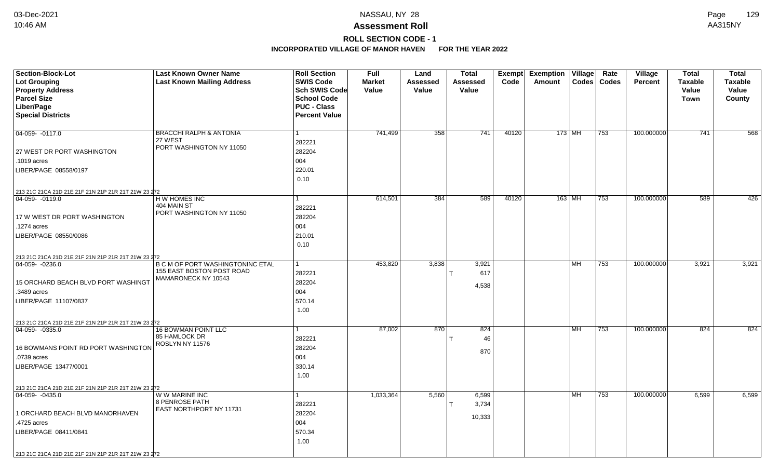# **ROLL SECTION CODE - 1**

| <b>Section-Block-Lot</b>                                                | <b>Last Known Owner Name</b>                  | <b>Roll Section</b>  | <b>Full</b>   | Land            | <b>Total</b> |       | Exempt Exemption Village |                  | Rate  | Village        | <b>Total</b>   | <b>Total</b>   |
|-------------------------------------------------------------------------|-----------------------------------------------|----------------------|---------------|-----------------|--------------|-------|--------------------------|------------------|-------|----------------|----------------|----------------|
| <b>Lot Grouping</b>                                                     | <b>Last Known Mailing Address</b>             | <b>SWIS Code</b>     | <b>Market</b> | <b>Assessed</b> | Assessed     | Code  | Amount                   | $\textsf{Codes}$ | Codes | <b>Percent</b> | <b>Taxable</b> | <b>Taxable</b> |
| <b>Property Address</b>                                                 |                                               | Sch SWIS Code        | Value         | Value           | Value        |       |                          |                  |       |                | Value          | Value          |
| <b>Parcel Size</b>                                                      |                                               | <b>School Code</b>   |               |                 |              |       |                          |                  |       |                | Town           | County         |
| Liber/Page                                                              |                                               | <b>PUC - Class</b>   |               |                 |              |       |                          |                  |       |                |                |                |
| <b>Special Districts</b>                                                |                                               | <b>Percent Value</b> |               |                 |              |       |                          |                  |       |                |                |                |
|                                                                         |                                               |                      |               |                 |              |       |                          |                  |       |                |                |                |
| 04-059- -0117.0                                                         | <b>BRACCHI RALPH &amp; ANTONIA</b><br>27 WEST |                      | 741,499       | 358             | 741          | 40120 | $173$ MH                 |                  | 753   | 100.000000     | 741            | 568            |
|                                                                         | PORT WASHINGTON NY 11050                      | 282221               |               |                 |              |       |                          |                  |       |                |                |                |
| 27 WEST DR PORT WASHINGTON                                              |                                               | 282204               |               |                 |              |       |                          |                  |       |                |                |                |
| .1019 acres                                                             |                                               | 004                  |               |                 |              |       |                          |                  |       |                |                |                |
| LIBER/PAGE 08558/0197                                                   |                                               | 220.01               |               |                 |              |       |                          |                  |       |                |                |                |
|                                                                         |                                               | 0.10                 |               |                 |              |       |                          |                  |       |                |                |                |
| 213 21C 21CA 21D 21E 21F 21N 21P 21R 21T 21W 23 272                     |                                               |                      |               |                 |              |       |                          |                  |       |                |                |                |
| 04-059-0119.0                                                           | H W HOMES INC                                 |                      | 614,501       | 384             | 589          | 40120 | $163$ MH                 |                  | 753   | 100.000000     | 589            | 426            |
|                                                                         | 404 MAIN ST<br>PORT WASHINGTON NY 11050       | 282221               |               |                 |              |       |                          |                  |       |                |                |                |
| 17 W WEST DR PORT WASHINGTON                                            |                                               | 282204               |               |                 |              |       |                          |                  |       |                |                |                |
| .1274 acres                                                             |                                               | 004                  |               |                 |              |       |                          |                  |       |                |                |                |
| LIBER/PAGE 08550/0086                                                   |                                               | 210.01               |               |                 |              |       |                          |                  |       |                |                |                |
|                                                                         |                                               | 0.10                 |               |                 |              |       |                          |                  |       |                |                |                |
| 213 21C 21CA 21D 21E 21F 21N 21P 21R 21T 21W 23 272                     |                                               |                      |               |                 |              |       |                          |                  |       |                |                |                |
| 04-059-0236.0                                                           | <b>B C M OF PORT WASHINGTONINC ETAL</b>       |                      | 453,820       | 3,838           | 3,921        |       |                          | MH               | 753   | 100.000000     | 3,921          | 3,921          |
|                                                                         | 155 EAST BOSTON POST ROAD                     | 282221               |               |                 | 617          |       |                          |                  |       |                |                |                |
| 15 ORCHARD BEACH BLVD PORT WASHINGT                                     | MAMARONECK NY 10543                           | 282204               |               |                 | 4,538        |       |                          |                  |       |                |                |                |
| .3489 acres                                                             |                                               | 004                  |               |                 |              |       |                          |                  |       |                |                |                |
| LIBER/PAGE 11107/0837                                                   |                                               | 570.14               |               |                 |              |       |                          |                  |       |                |                |                |
|                                                                         |                                               | 1.00                 |               |                 |              |       |                          |                  |       |                |                |                |
|                                                                         |                                               |                      |               |                 |              |       |                          |                  |       |                |                |                |
| 213 21C 21CA 21D 21E 21F 21N 21P 21R 21T 21W 23 272<br>$ 04-059-0335.0$ | <b>16 BOWMAN POINT LLC</b>                    |                      | 87,002        | 870             | 824          |       |                          | <b>MH</b>        | 753   | 100.000000     | 824            | 824            |
|                                                                         | 85 HAMLOCK DR                                 | 282221               |               |                 | 46           |       |                          |                  |       |                |                |                |
| 16 BOWMANS POINT RD PORT WASHINGTON                                     | ROSLYN NY 11576                               | 282204               |               |                 |              |       |                          |                  |       |                |                |                |
| .0739 acres                                                             |                                               | 004                  |               |                 | 870          |       |                          |                  |       |                |                |                |
| LIBER/PAGE 13477/0001                                                   |                                               | 330.14               |               |                 |              |       |                          |                  |       |                |                |                |
|                                                                         |                                               | 1.00                 |               |                 |              |       |                          |                  |       |                |                |                |
|                                                                         |                                               |                      |               |                 |              |       |                          |                  |       |                |                |                |
| 213 21C 21CA 21D 21E 21F 21N 21P 21R 21T 21W 23 272<br>$ 04-059-0435.0$ | W W MARINE INC                                |                      | 1,033,364     | 5,560           | 6,599        |       |                          | <b>MH</b>        | 753   | 100.000000     | 6,599          | 6,599          |
|                                                                         | <b>8 PENROSE PATH</b>                         | 282221               |               |                 | 3,734        |       |                          |                  |       |                |                |                |
| 1 ORCHARD BEACH BLVD MANORHAVEN                                         | EAST NORTHPORT NY 11731                       | 282204               |               |                 |              |       |                          |                  |       |                |                |                |
| .4725 acres                                                             |                                               | 004                  |               |                 | 10,333       |       |                          |                  |       |                |                |                |
| LIBER/PAGE 08411/0841                                                   |                                               | 570.34               |               |                 |              |       |                          |                  |       |                |                |                |
|                                                                         |                                               | 1.00                 |               |                 |              |       |                          |                  |       |                |                |                |
|                                                                         |                                               |                      |               |                 |              |       |                          |                  |       |                |                |                |
| 213 21C 21CA 21D 21E 21F 21N 21P 21R 21T 21W 23 272                     |                                               |                      |               |                 |              |       |                          |                  |       |                |                |                |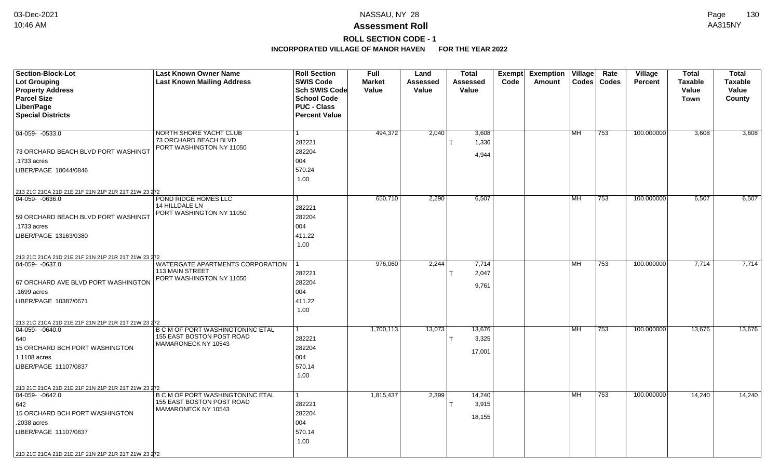# **ROLL SECTION CODE - 1**

| <b>Section-Block-Lot</b>                                                         | <b>Last Known Owner Name</b>                      | <b>Roll Section</b>  | <b>Full</b>   | Land     | <b>Total</b>    |      | Exempt Exemption | Village   | Rate          | Village        | <b>Total</b>   | <b>Total</b>   |
|----------------------------------------------------------------------------------|---------------------------------------------------|----------------------|---------------|----------|-----------------|------|------------------|-----------|---------------|----------------|----------------|----------------|
| Lot Grouping                                                                     | <b>Last Known Mailing Address</b>                 | <b>SWIS Code</b>     | <b>Market</b> | Assessed | <b>Assessed</b> | Code | Amount           |           | Codes   Codes | <b>Percent</b> | <b>Taxable</b> | <b>Taxable</b> |
| <b>Property Address</b>                                                          |                                                   | Sch SWIS Code        | Value         | Value    | Value           |      |                  |           |               |                | Value          | Value          |
| <b>Parcel Size</b>                                                               |                                                   | <b>School Code</b>   |               |          |                 |      |                  |           |               |                | <b>Town</b>    | County         |
| Liber/Page                                                                       |                                                   | <b>PUC - Class</b>   |               |          |                 |      |                  |           |               |                |                |                |
| <b>Special Districts</b>                                                         |                                                   | <b>Percent Value</b> |               |          |                 |      |                  |           |               |                |                |                |
|                                                                                  |                                                   |                      |               |          |                 |      |                  |           |               |                |                |                |
| $04-059 - 0533.0$                                                                | NORTH SHORE YACHT CLUB                            |                      | 494,372       | 2,040    | 3,608           |      |                  | <b>MH</b> | 753           | 100.000000     | 3,608          | 3,608          |
|                                                                                  | 73 ORCHARD BEACH BLVD<br>PORT WASHINGTON NY 11050 | 282221               |               |          | 1,336           |      |                  |           |               |                |                |                |
| 73 ORCHARD BEACH BLVD PORT WASHINGT                                              |                                                   | 282204               |               |          | 4,944           |      |                  |           |               |                |                |                |
| .1733 acres                                                                      |                                                   | 004                  |               |          |                 |      |                  |           |               |                |                |                |
| LIBER/PAGE 10044/0846                                                            |                                                   | 570.24               |               |          |                 |      |                  |           |               |                |                |                |
|                                                                                  |                                                   | 1.00                 |               |          |                 |      |                  |           |               |                |                |                |
| 213 21C 21CA 21D 21E 21F 21N 21P 21R 21T 21W 23 272                              |                                                   |                      |               |          |                 |      |                  |           |               |                |                |                |
| 04-059-0636.0                                                                    | POND RIDGE HOMES LLC                              |                      | 650,710       | 2,290    | 6,507           |      |                  | MH        | 753           | 100.000000     | 6,507          | 6,507          |
|                                                                                  | 14 HILLDALE LN                                    | 282221               |               |          |                 |      |                  |           |               |                |                |                |
| 59 ORCHARD BEACH BLVD PORT WASHINGT                                              | PORT WASHINGTON NY 11050                          | 282204               |               |          |                 |      |                  |           |               |                |                |                |
| .1733 acres                                                                      |                                                   | 004                  |               |          |                 |      |                  |           |               |                |                |                |
| LIBER/PAGE 13163/0380                                                            |                                                   | 411.22               |               |          |                 |      |                  |           |               |                |                |                |
|                                                                                  |                                                   | 1.00                 |               |          |                 |      |                  |           |               |                |                |                |
| 213 21C 21CA 21D 21E 21F 21N 21P 21R 21T 21W 23 272                              |                                                   |                      |               |          |                 |      |                  |           |               |                |                |                |
| 04-059-0637.0                                                                    | WATERGATE APARTMENTS CORPORATION                  |                      | 976,060       | 2,244    | 7,714           |      |                  | MH        | 753           | 100.000000     | 7,714          | 7,714          |
|                                                                                  | <b>113 MAIN STREET</b>                            | 282221               |               |          | 2,047           |      |                  |           |               |                |                |                |
| 67 ORCHARD AVE BLVD PORT WASHINGTON                                              | PORT WASHINGTON NY 11050                          | 282204               |               |          |                 |      |                  |           |               |                |                |                |
| .1699 acres                                                                      |                                                   | 004                  |               |          | 9,761           |      |                  |           |               |                |                |                |
| LIBER/PAGE 10387/0671                                                            |                                                   | 411.22               |               |          |                 |      |                  |           |               |                |                |                |
|                                                                                  |                                                   | 1.00                 |               |          |                 |      |                  |           |               |                |                |                |
|                                                                                  |                                                   |                      |               |          |                 |      |                  |           |               |                |                |                |
| 213 21C 21CA 21D 21E 21F 21N 21P 21R 21T 21W 23 272<br>$ 04-059-0640.0$          | <b>B C M OF PORT WASHINGTONINC ETAL</b>           |                      | 1,700,113     | 13,073   | 13,676          |      |                  | MH        | 753           | 100.000000     | 13,676         | 13,676         |
| 640                                                                              | 155 EAST BOSTON POST ROAD                         | 282221               |               |          | 3,325           |      |                  |           |               |                |                |                |
| <b>15 ORCHARD BCH PORT WASHINGTON</b>                                            | MAMARONECK NY 10543                               | 282204               |               |          |                 |      |                  |           |               |                |                |                |
| 1.1108 acres                                                                     |                                                   | 004                  |               |          | 17,001          |      |                  |           |               |                |                |                |
| LIBER/PAGE 11107/0837                                                            |                                                   | 570.14               |               |          |                 |      |                  |           |               |                |                |                |
|                                                                                  |                                                   | 1.00                 |               |          |                 |      |                  |           |               |                |                |                |
|                                                                                  |                                                   |                      |               |          |                 |      |                  |           |               |                |                |                |
| 213 21C 21CA 21D 21E 21F 21N 21P 21R 21T 21W 23 272<br>$\boxed{04-059 - 0642.0}$ | B C M OF PORT WASHINGTONINC ETAL                  |                      | 1,815,437     | 2,399    | 14,240          |      |                  | <b>MH</b> | 753           | 100.000000     | 14,240         | 14,240         |
| 642                                                                              | 155 EAST BOSTON POST ROAD                         | 282221               |               |          | 3,915           |      |                  |           |               |                |                |                |
| 15 ORCHARD BCH PORT WASHINGTON                                                   | MAMARONECK NY 10543                               | 282204               |               |          |                 |      |                  |           |               |                |                |                |
| .2038 acres                                                                      |                                                   | 004                  |               |          | 18,155          |      |                  |           |               |                |                |                |
|                                                                                  |                                                   |                      |               |          |                 |      |                  |           |               |                |                |                |
| LIBER/PAGE 11107/0837                                                            |                                                   | 570.14               |               |          |                 |      |                  |           |               |                |                |                |
|                                                                                  |                                                   | 1.00                 |               |          |                 |      |                  |           |               |                |                |                |
| 213 21C 21CA 21D 21E 21F 21N 21P 21R 21T 21W 23 272                              |                                                   |                      |               |          |                 |      |                  |           |               |                |                |                |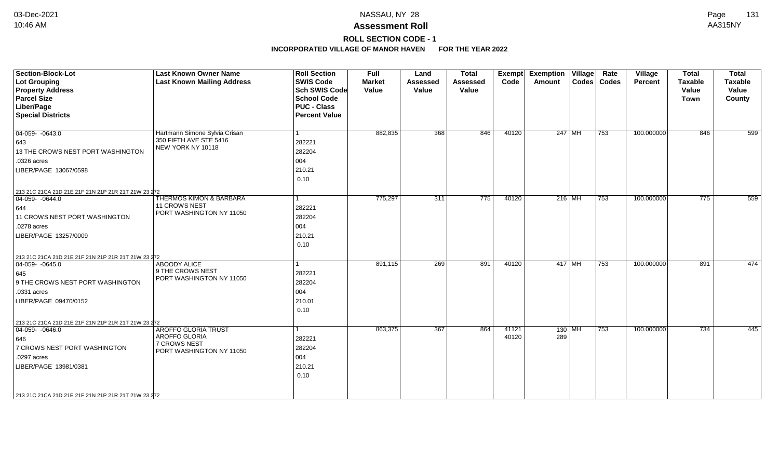# **ROLL SECTION CODE - 1**

| <b>Section-Block-Lot</b>                            | <b>Last Known Owner Name</b>         | <b>Roll Section</b>  | Full          | Land            | <b>Total</b>    | <b>Exempt</b> | <b>Exemption Village</b> |          | Rate          | Village    | <b>Total</b>   | <b>Total</b>   |
|-----------------------------------------------------|--------------------------------------|----------------------|---------------|-----------------|-----------------|---------------|--------------------------|----------|---------------|------------|----------------|----------------|
| Lot Grouping                                        | <b>Last Known Mailing Address</b>    | <b>SWIS Code</b>     | <b>Market</b> | <b>Assessed</b> | <b>Assessed</b> | Code          | Amount                   |          | Codes   Codes | Percent    | <b>Taxable</b> | <b>Taxable</b> |
| <b>Property Address</b>                             |                                      | Sch SWIS Code        | Value         | Value           | Value           |               |                          |          |               |            | Value          | Value          |
| <b>Parcel Size</b>                                  |                                      | <b>School Code</b>   |               |                 |                 |               |                          |          |               |            | <b>Town</b>    | County         |
| Liber/Page                                          |                                      | <b>PUC - Class</b>   |               |                 |                 |               |                          |          |               |            |                |                |
| <b>Special Districts</b>                            |                                      | <b>Percent Value</b> |               |                 |                 |               |                          |          |               |            |                |                |
| $\boxed{04-059 - 0643.0}$                           | Hartmann Simone Sylvia Crisan        |                      | 882,835       | 368             | 846             | 40120         |                          | 247 MH   | 753           | 100.000000 | 846            | 599            |
| 643                                                 | 350 FIFTH AVE STE 5416               | 282221               |               |                 |                 |               |                          |          |               |            |                |                |
| 13 THE CROWS NEST PORT WASHINGTON                   | NEW YORK NY 10118                    | 282204               |               |                 |                 |               |                          |          |               |            |                |                |
| .0326 acres                                         |                                      | 004                  |               |                 |                 |               |                          |          |               |            |                |                |
| LIBER/PAGE 13067/0598                               |                                      | 210.21               |               |                 |                 |               |                          |          |               |            |                |                |
|                                                     |                                      | 0.10                 |               |                 |                 |               |                          |          |               |            |                |                |
| 213 21C 21CA 21D 21E 21F 21N 21P 21R 21T 21W 23 272 |                                      |                      |               |                 |                 |               |                          |          |               |            |                |                |
| $\boxed{04-059 - 0644.0}$                           | <b>THERMOS KIMON &amp; BARBARA</b>   |                      | 775,297       | 311             | 775             | 40120         |                          | 216 MH   | 753           | 100.000000 | 775            | 559            |
| 644                                                 | <b>11 CROWS NEST</b>                 | 282221               |               |                 |                 |               |                          |          |               |            |                |                |
| 11 CROWS NEST PORT WASHINGTON                       | PORT WASHINGTON NY 11050             | 282204               |               |                 |                 |               |                          |          |               |            |                |                |
| .0278 acres                                         |                                      | 004                  |               |                 |                 |               |                          |          |               |            |                |                |
| LIBER/PAGE 13257/0009                               |                                      | 210.21               |               |                 |                 |               |                          |          |               |            |                |                |
|                                                     |                                      | 0.10                 |               |                 |                 |               |                          |          |               |            |                |                |
| 213 21C 21CA 21D 21E 21F 21N 21P 21R 21T 21W 23 272 |                                      |                      |               |                 |                 |               |                          |          |               |            |                |                |
| $ 04-059-0645.0$                                    | <b>ABOODY ALICE</b>                  |                      | 891,115       | 269             | 891             | 40120         | 417 MH                   |          | 753           | 100.000000 | 891            | 474            |
| 645                                                 | $\vert$ 9 THE CROWS NEST             | 282221               |               |                 |                 |               |                          |          |               |            |                |                |
| 9 THE CROWS NEST PORT WASHINGTON                    | PORT WASHINGTON NY 11050             | 282204               |               |                 |                 |               |                          |          |               |            |                |                |
| .0331 acres                                         |                                      | 004                  |               |                 |                 |               |                          |          |               |            |                |                |
| LIBER/PAGE 09470/0152                               |                                      | 210.01               |               |                 |                 |               |                          |          |               |            |                |                |
|                                                     |                                      | 0.10                 |               |                 |                 |               |                          |          |               |            |                |                |
| 213 21C 21CA 21D 21E 21F 21N 21P 21R 21T 21W 23 272 |                                      |                      |               |                 |                 |               |                          |          |               |            |                |                |
| $ 04-059-0646.0$                                    | <b>AROFFO GLORIA TRUST</b>           |                      | 863,375       | 367             | 864             | 41121         |                          | $130$ MH | 753           | 100.000000 | 734            | 445            |
| 646                                                 | AROFFO GLORIA<br><b>7 CROWS NEST</b> | 282221               |               |                 |                 | 40120         | 289                      |          |               |            |                |                |
| 7 CROWS NEST PORT WASHINGTON                        | PORT WASHINGTON NY 11050             | 282204               |               |                 |                 |               |                          |          |               |            |                |                |
| .0297 acres                                         |                                      | 004                  |               |                 |                 |               |                          |          |               |            |                |                |
| LIBER/PAGE 13981/0381                               |                                      | 210.21               |               |                 |                 |               |                          |          |               |            |                |                |
|                                                     |                                      | 0.10                 |               |                 |                 |               |                          |          |               |            |                |                |
| 213 21C 21CA 21D 21E 21F 21N 21P 21R 21T 21W 23 272 |                                      |                      |               |                 |                 |               |                          |          |               |            |                |                |
|                                                     |                                      |                      |               |                 |                 |               |                          |          |               |            |                |                |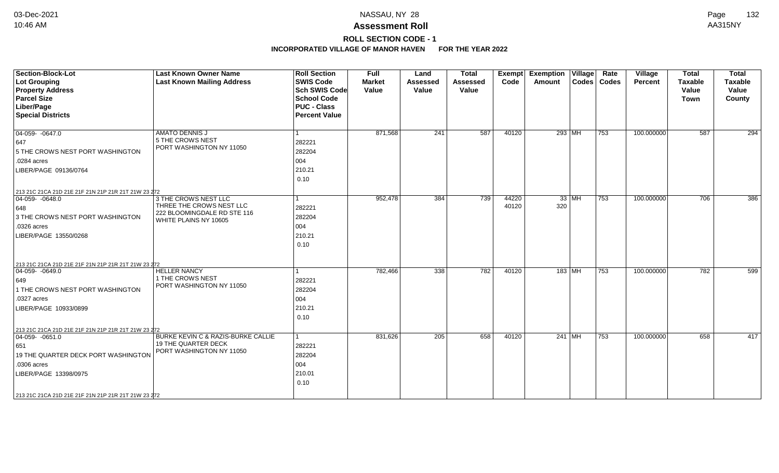**ROLL SECTION CODE - 1**

| <b>Section-Block-Lot</b><br>Lot Grouping<br><b>Property Address</b><br><b>Parcel Size</b><br>Liber/Page<br><b>Special Districts</b>                                                                               | <b>Last Known Owner Name</b><br><b>Last Known Mailing Address</b>                                        | <b>Roll Section</b><br><b>SWIS Code</b><br><b>Sch SWIS Code</b><br><b>School Code</b><br><b>PUC - Class</b><br><b>Percent Value</b> | <b>Full</b><br><b>Market</b><br>Value | Land<br><b>Assessed</b><br>Value | <b>Total</b><br><b>Assessed</b><br>Value | <b>Exempt</b><br>Code | <b>Exemption Village</b><br>Amount |          | Rate<br>Codes   Codes | Village<br>Percent | <b>Total</b><br><b>Taxable</b><br>Value<br><b>Town</b> | <b>Total</b><br><b>Taxable</b><br>Value<br>County |
|-------------------------------------------------------------------------------------------------------------------------------------------------------------------------------------------------------------------|----------------------------------------------------------------------------------------------------------|-------------------------------------------------------------------------------------------------------------------------------------|---------------------------------------|----------------------------------|------------------------------------------|-----------------------|------------------------------------|----------|-----------------------|--------------------|--------------------------------------------------------|---------------------------------------------------|
| $\boxed{04-059 - 0647.0}$<br>647<br>5 THE CROWS NEST PORT WASHINGTON<br>$.0284$ acres<br>LIBER/PAGE 09136/0764                                                                                                    | <b>AMATO DENNIS J</b><br>5 THE CROWS NEST<br>PORT WASHINGTON NY 11050                                    | l 1<br>282221<br>282204<br>004<br>210.21<br>0.10                                                                                    | 871,568                               | 241                              | 587                                      | 40120                 | 293 MH                             |          | $ 753\rangle$         | 100.000000         | 587                                                    | 294                                               |
| 213 21C 21CA 21D 21E 21F 21N 21P 21R 21T 21W 23 272<br>$ 04-059-0648.0$<br>648<br>3 THE CROWS NEST PORT WASHINGTON<br>.0326 acres<br>LIBER/PAGE 13550/0268<br>213 21C 21CA 21D 21E 21F 21N 21P 21R 21T 21W 23 272 | 3 THE CROWS NEST LLC<br>THREE THE CROWS NEST LLC<br>222 BLOOMINGDALE RD STE 116<br>WHITE PLAINS NY 10605 | l 1<br>282221<br>282204<br>004<br>210.21<br>0.10                                                                                    | 952,478                               | 384                              | 739                                      | 44220<br>40120        | 320                                | $33$ MH  | 753                   | 100.000000         | 706                                                    | 386                                               |
| $ 04-059-0649.0$<br>649<br>1 THE CROWS NEST PORT WASHINGTON<br>.0327 acres<br>LIBER/PAGE 10933/0899<br>213 21C 21CA 21D 21E 21F 21N 21P 21R 21T 21W 23 272                                                        | <b>HELLER NANCY</b><br>1 THE CROWS NEST<br>PORT WASHINGTON NY 11050                                      | $\mathbf{1}$<br>282221<br>282204<br>004<br>210.21<br>0.10                                                                           | 782,466                               | 338                              | 782                                      | 40120                 |                                    | 183   MH | 753                   | 100.000000         | 782                                                    | 599                                               |
| $ 04-059-0651.0$<br>651<br>19 THE QUARTER DECK PORT WASHINGTON<br>.0306 acres<br>LIBER/PAGE 13398/0975<br>213 21C 21CA 21D 21E 21F 21N 21P 21R 21T 21W 23 272                                                     | BURKE KEVIN C & RAZIS-BURKE CALLIE<br><b>19 THE QUARTER DECK</b><br>PORT WASHINGTON NY 11050             | $\vert$ 1<br>282221<br>282204<br>004<br>210.01<br>0.10                                                                              | 831,626                               | 205                              | 658                                      | 40120                 |                                    | 241 MH   | 753                   | 100.000000         | 658                                                    | 417                                               |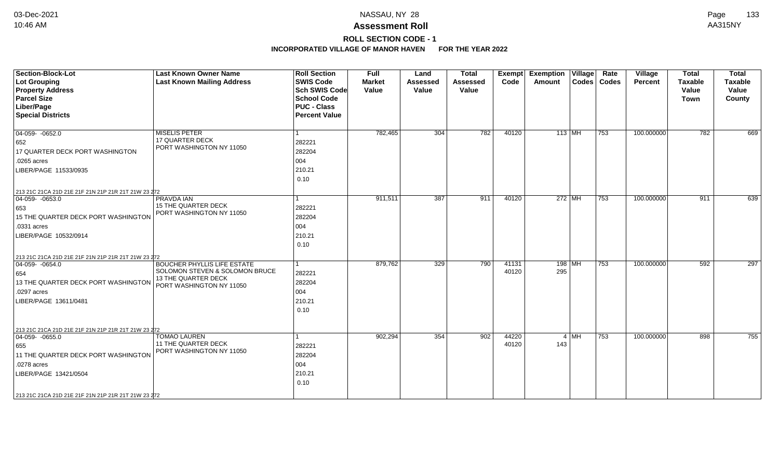## **ROLL SECTION CODE - 1**

| <b>Section-Block-Lot</b><br><b>Lot Grouping</b><br><b>Property Address</b><br><b>Parcel Size</b><br>Liber/Page<br><b>Special Districts</b>                             | <b>Last Known Owner Name</b><br><b>Last Known Mailing Address</b>                                                              | <b>Roll Section</b><br><b>SWIS Code</b><br><b>Sch SWIS Code</b><br><b>School Code</b><br><b>PUC - Class</b><br><b>Percent Value</b> | <b>Full</b><br><b>Market</b><br>Value | Land<br>Assessed<br>Value | <b>Total</b><br><b>Assessed</b><br>Value | <b>Exempt</b><br>Code | Rate<br><b>Exemption Village</b><br>Codes   Codes<br>Amount | Village<br><b>Percent</b> | <b>Total</b><br><b>Taxable</b><br>Value<br><b>Town</b> | <b>Total</b><br><b>Taxable</b><br>Value<br>County |
|------------------------------------------------------------------------------------------------------------------------------------------------------------------------|--------------------------------------------------------------------------------------------------------------------------------|-------------------------------------------------------------------------------------------------------------------------------------|---------------------------------------|---------------------------|------------------------------------------|-----------------------|-------------------------------------------------------------|---------------------------|--------------------------------------------------------|---------------------------------------------------|
| $\overline{04-059}$ $-0652.0$<br>652<br>17 QUARTER DECK PORT WASHINGTON<br>.0265 acres<br>LIBER/PAGE 11533/0935<br>213 21C 21CA 21D 21E 21F 21N 21P 21R 21T 21W 23 272 | <b>MISELIS PETER</b><br><b>17 QUARTER DECK</b><br>PORT WASHINGTON NY 11050                                                     | 282221<br>282204<br>004<br>210.21<br>0.10                                                                                           | 782,465                               | 304                       | 782                                      | 40120                 | $113$ MH<br>753                                             | 100.000000                | 782                                                    | 669                                               |
| $ 04-059-0653.0$<br>653<br>15 THE QUARTER DECK PORT WASHINGTON<br>.0331 acres<br>LIBER/PAGE 10532/0914<br>213 21C 21CA 21D 21E 21F 21N 21P 21R 21T 21W 23 272          | <b>PRAVDA IAN</b><br><b>15 THE QUARTER DECK</b><br>PORT WASHINGTON NY 11050                                                    | 282221<br>282204<br>004<br>210.21<br>0.10                                                                                           | 911,511                               | 387                       | 911                                      | 40120                 | 272 MH<br>753                                               | 100.000000                | 911                                                    | 639                                               |
| $04-059 - 0654.0$<br>654<br>13 THE QUARTER DECK PORT WASHINGTON<br>.0297 acres<br>LIBER/PAGE 13611/0481<br>213 21C 21CA 21D 21E 21F 21N 21P 21R 21T 21W 23 272         | <b>BOUCHER PHYLLIS LIFE ESTATE</b><br>SOLOMON STEVEN & SOLOMON BRUCE<br><b>13 THE QUARTER DECK</b><br>PORT WASHINGTON NY 11050 | 282221<br>282204<br>004<br>210.21<br>0.10                                                                                           | 879,762                               | 329                       | 790                                      | 41131<br>40120        | $198$ MH<br>753<br>295                                      | 100.000000                | 592                                                    | $\overline{297}$                                  |
| $ 04-059-0655.0$<br>655<br>11 THE QUARTER DECK PORT WASHINGTON<br>.0278 acres<br>LIBER/PAGE 13421/0504<br>213 21C 21CA 21D 21E 21F 21N 21P 21R 21T 21W 23 272          | <b>TOMAO LAUREN</b><br><b>11 THE QUARTER DECK</b><br>PORT WASHINGTON NY 11050                                                  | 282221<br>282204<br>004<br>210.21<br>0.10                                                                                           | 902,294                               | 354                       | 902                                      | 44220<br>40120        | $4 \mid \text{MH}$<br>753<br>143                            | 100.000000                | 898                                                    | 755                                               |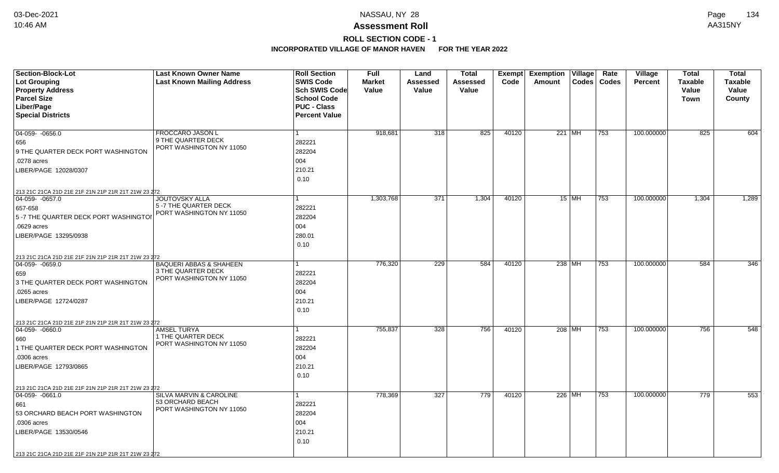# **ROLL SECTION CODE - 1**

| <b>Section-Block-Lot</b>                                                         | <b>Last Known Owner Name</b>                   | <b>Roll Section</b>  | Full          | Land            | <b>Total</b>    | Exempt | Exemption   Village |         | Rate          | Village        | <b>Total</b>   | <b>Total</b>   |
|----------------------------------------------------------------------------------|------------------------------------------------|----------------------|---------------|-----------------|-----------------|--------|---------------------|---------|---------------|----------------|----------------|----------------|
| <b>Lot Grouping</b>                                                              | <b>Last Known Mailing Address</b>              | <b>SWIS Code</b>     | <b>Market</b> | <b>Assessed</b> | <b>Assessed</b> | Code   | Amount              |         | Codes   Codes | <b>Percent</b> | <b>Taxable</b> | <b>Taxable</b> |
| <b>Property Address</b>                                                          |                                                | <b>Sch SWIS Code</b> | Value         | Value           | Value           |        |                     |         |               |                | Value          | Value          |
| <b>Parcel Size</b>                                                               |                                                | <b>School Code</b>   |               |                 |                 |        |                     |         |               |                | Town           | County         |
| Liber/Page                                                                       |                                                | <b>PUC - Class</b>   |               |                 |                 |        |                     |         |               |                |                |                |
| <b>Special Districts</b>                                                         |                                                | <b>Percent Value</b> |               |                 |                 |        |                     |         |               |                |                |                |
|                                                                                  |                                                |                      |               |                 |                 |        |                     |         |               |                |                |                |
| 04-059-0656.0                                                                    | FROCCARO JASON L                               |                      | 918,681       | 318             | 825             | 40120  | 221 MH              |         | 753           | 100.000000     | 825            | 604            |
| 656                                                                              | 9 THE QUARTER DECK<br>PORT WASHINGTON NY 11050 | 282221               |               |                 |                 |        |                     |         |               |                |                |                |
| 9 THE QUARTER DECK PORT WASHINGTON                                               |                                                | 282204               |               |                 |                 |        |                     |         |               |                |                |                |
| .0278 acres                                                                      |                                                | 004                  |               |                 |                 |        |                     |         |               |                |                |                |
| LIBER/PAGE 12028/0307                                                            |                                                | 210.21               |               |                 |                 |        |                     |         |               |                |                |                |
|                                                                                  |                                                | 0.10                 |               |                 |                 |        |                     |         |               |                |                |                |
| 213 21C 21CA 21D 21E 21F 21N 21P 21R 21T 21W 23 272                              |                                                |                      |               |                 |                 |        |                     |         |               |                |                |                |
| $\boxed{04-059 - 0657.0}$                                                        | <b>JOUTOVSKY ALLA</b>                          |                      | 1,303,768     | 371             | 1,304           | 40120  |                     | $15$ MH | 753           | 100.000000     | 1,304          | 1,289          |
| 657-658                                                                          | 5 -7 THE QUARTER DECK                          | 282221               |               |                 |                 |        |                     |         |               |                |                |                |
| 5-7 THE QUARTER DECK PORT WASHINGTOI                                             | PORT WASHINGTON NY 11050                       | 282204               |               |                 |                 |        |                     |         |               |                |                |                |
| .0629 acres                                                                      |                                                | 004                  |               |                 |                 |        |                     |         |               |                |                |                |
| LIBER/PAGE 13295/0938                                                            |                                                | 280.01               |               |                 |                 |        |                     |         |               |                |                |                |
|                                                                                  |                                                | 0.10                 |               |                 |                 |        |                     |         |               |                |                |                |
|                                                                                  |                                                |                      |               |                 |                 |        |                     |         |               |                |                |                |
| 213 21C 21CA 21D 21E 21F 21N 21P 21R 21T 21W 23 272<br>$ 04-059-0659.0$          | <b>BAQUERI ABBAS &amp; SHAHEEN</b>             |                      | 776,320       | 229             | 584             | 40120  | 238 MH              |         | 753           | 100.000000     | 584            | 346            |
| 659                                                                              | 3 THE QUARTER DECK                             | 282221               |               |                 |                 |        |                     |         |               |                |                |                |
| 3 THE QUARTER DECK PORT WASHINGTON                                               | PORT WASHINGTON NY 11050                       | 282204               |               |                 |                 |        |                     |         |               |                |                |                |
| .0265 acres                                                                      |                                                | 004                  |               |                 |                 |        |                     |         |               |                |                |                |
| LIBER/PAGE 12724/0287                                                            |                                                | 210.21               |               |                 |                 |        |                     |         |               |                |                |                |
|                                                                                  |                                                | 0.10                 |               |                 |                 |        |                     |         |               |                |                |                |
|                                                                                  |                                                |                      |               |                 |                 |        |                     |         |               |                |                |                |
| 213 21C 21CA 21D 21E 21F 21N 21P 21R 21T 21W 23 272<br>$\boxed{04-059 - 0660.0}$ | <b>AMSEL TURYA</b>                             |                      | 755,837       | 328             | 756             | 40120  | 208 MH              |         | 753           | 100.000000     | 756            | 548            |
| 660                                                                              | 1 THE QUARTER DECK                             | 282221               |               |                 |                 |        |                     |         |               |                |                |                |
| 1 THE QUARTER DECK PORT WASHINGTON                                               | PORT WASHINGTON NY 11050                       | 282204               |               |                 |                 |        |                     |         |               |                |                |                |
| .0306 acres                                                                      |                                                | 004                  |               |                 |                 |        |                     |         |               |                |                |                |
| LIBER/PAGE 12793/0865                                                            |                                                | 210.21               |               |                 |                 |        |                     |         |               |                |                |                |
|                                                                                  |                                                | 0.10                 |               |                 |                 |        |                     |         |               |                |                |                |
|                                                                                  |                                                |                      |               |                 |                 |        |                     |         |               |                |                |                |
| 213 21C 21CA 21D 21E 21F 21N 21P 21R 21T 21W 23 272                              |                                                |                      |               |                 |                 |        |                     |         |               |                |                |                |
| $ 04-059-0661.0$                                                                 | SILVA MARVIN & CAROLINE<br>53 ORCHARD BEACH    |                      | 778,369       | 327             | 779             | 40120  | 226 MH              |         | 753           | 100.000000     | 779            | 553            |
| 661                                                                              | PORT WASHINGTON NY 11050                       | 282221               |               |                 |                 |        |                     |         |               |                |                |                |
| 53 ORCHARD BEACH PORT WASHINGTON                                                 |                                                | 282204               |               |                 |                 |        |                     |         |               |                |                |                |
| .0306 acres                                                                      |                                                | 004                  |               |                 |                 |        |                     |         |               |                |                |                |
| LIBER/PAGE 13530/0546                                                            |                                                | 210.21               |               |                 |                 |        |                     |         |               |                |                |                |
|                                                                                  |                                                | 0.10                 |               |                 |                 |        |                     |         |               |                |                |                |
| 213 21C 21CA 21D 21E 21F 21N 21P 21R 21T 21W 23 272                              |                                                |                      |               |                 |                 |        |                     |         |               |                |                |                |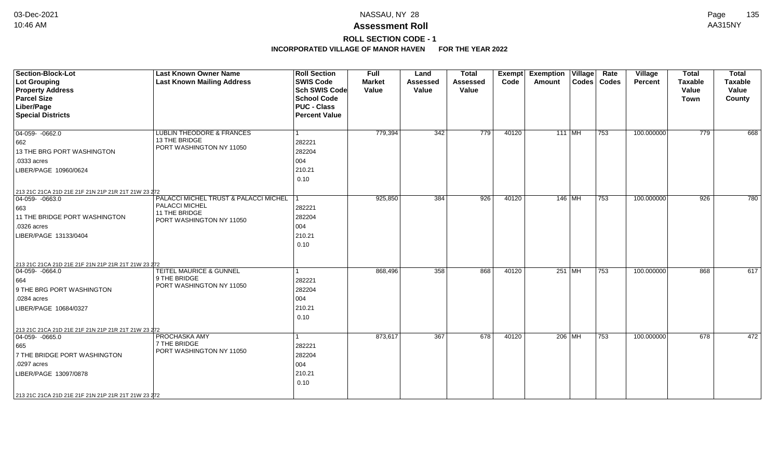## **ROLL SECTION CODE - 1**

| <b>Section-Block-Lot</b><br>Lot Grouping<br><b>Property Address</b><br><b>Parcel Size</b><br>Liber/Page<br><b>Special Districts</b>                                                                           | <b>Last Known Owner Name</b><br><b>Last Known Mailing Address</b>                                      | <b>Roll Section</b><br><b>SWIS Code</b><br><b>Sch SWIS Code</b><br><b>School Code</b><br><b>PUC - Class</b><br><b>Percent Value</b> | Full<br><b>Market</b><br>Value | Land<br><b>Assessed</b><br>Value | <b>Total</b><br><b>Assessed</b><br>Value | Exempt<br>Code | <b>Exemption Village</b><br>Amount |        | Rate<br>Codes   Codes | Village<br>Percent | <b>Total</b><br><b>Taxable</b><br>Value<br><b>Town</b> | <b>Total</b><br><b>Taxable</b><br>Value<br>County |
|---------------------------------------------------------------------------------------------------------------------------------------------------------------------------------------------------------------|--------------------------------------------------------------------------------------------------------|-------------------------------------------------------------------------------------------------------------------------------------|--------------------------------|----------------------------------|------------------------------------------|----------------|------------------------------------|--------|-----------------------|--------------------|--------------------------------------------------------|---------------------------------------------------|
| $\boxed{04-059 - 0662.0}$<br>662<br>13 THE BRG PORT WASHINGTON<br>.0333 acres<br>LIBER/PAGE 10960/0624                                                                                                        | LUBLIN THEODORE & FRANCES<br>13 THE BRIDGE<br>PORT WASHINGTON NY 11050                                 | 282221<br>282204<br>004<br>210.21<br>0.10                                                                                           | 779,394                        | 342                              | 779                                      | 40120          | $111$ MH                           |        | 753                   | 100.000000         | 779                                                    | 668                                               |
| 213 21C 21CA 21D 21E 21F 21N 21P 21R 21T 21W 23 272<br>$\boxed{04-059 - 0663.0}$<br>663<br>11 THE BRIDGE PORT WASHINGTON<br>.0326 acres<br>LIBER/PAGE 13133/0404                                              | PALACCI MICHEL TRUST & PALACCI MICHEL 1<br>PALACCI MICHEL<br>11 THE BRIDGE<br>PORT WASHINGTON NY 11050 | 282221<br>282204<br>004<br>210.21<br>0.10                                                                                           | 925,850                        | 384                              | 926                                      | 40120          | 146 MH                             |        | 753                   | 100.000000         | 926                                                    | 780                                               |
| 213 21C 21CA 21D 21E 21F 21N 21P 21R 21T 21W 23 272<br>$\boxed{04-059 - 0664.0}$<br>664<br>9 THE BRG PORT WASHINGTON<br>.0284 acres<br>LIBER/PAGE 10684/0327                                                  | TEITEL MAURICE & GUNNEL<br>9 THE BRIDGE<br>PORT WASHINGTON NY 11050                                    | 282221<br>282204<br>004<br>210.21<br>0.10                                                                                           | 868,496                        | 358                              | 868                                      | 40120          |                                    | 251 MH | 753                   | 100.000000         | 868                                                    | 617                                               |
| 213 21C 21CA 21D 21E 21F 21N 21P 21R 21T 21W 23 272<br>$ 04-059-0665.0$<br>665<br>7 THE BRIDGE PORT WASHINGTON<br>.0297 acres<br>LIBER/PAGE 13097/0878<br>213 21C 21CA 21D 21E 21F 21N 21P 21R 21T 21W 23 272 | PROCHASKA AMY<br>7 THE BRIDGE<br>PORT WASHINGTON NY 11050                                              | 282221<br>282204<br>004<br>210.21<br>0.10                                                                                           | 873,617                        | 367                              | 678                                      | 40120          | 206 MH                             |        | 753                   | 100.000000         | 678                                                    | 472                                               |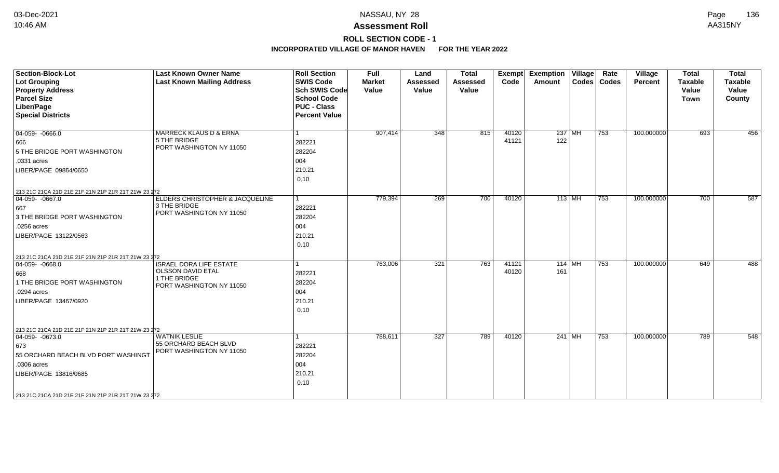# **ROLL SECTION CODE - 1**

| <b>Section-Block-Lot</b><br><b>Lot Grouping</b><br><b>Property Address</b><br><b>Parcel Size</b><br>Liber/Page<br><b>Special Districts</b>                                                                           | <b>Last Known Owner Name</b><br><b>Last Known Mailing Address</b>                                      | <b>Roll Section</b><br><b>SWIS Code</b><br><b>Sch SWIS Code</b><br><b>School Code</b><br><b>PUC - Class</b><br><b>Percent Value</b> | <b>Full</b><br><b>Market</b><br>Value | Land<br><b>Assessed</b><br>Value | <b>Total</b><br><b>Assessed</b><br>Value | Exempt<br>Code | <b>Exemption Village</b><br>Amount |          | Rate<br>Codes   Codes | Village<br>Percent | <b>Total</b><br><b>Taxable</b><br>Value<br><b>Town</b> | <b>Total</b><br><b>Taxable</b><br>Value<br>County |
|----------------------------------------------------------------------------------------------------------------------------------------------------------------------------------------------------------------------|--------------------------------------------------------------------------------------------------------|-------------------------------------------------------------------------------------------------------------------------------------|---------------------------------------|----------------------------------|------------------------------------------|----------------|------------------------------------|----------|-----------------------|--------------------|--------------------------------------------------------|---------------------------------------------------|
| $04-059 - 0666.0$<br>666<br>5 THE BRIDGE PORT WASHINGTON<br>.0331 acres<br>LIBER/PAGE 09864/0650                                                                                                                     | <b>MARRECK KLAUS D &amp; ERNA</b><br>5 THE BRIDGE<br>PORT WASHINGTON NY 11050                          | 1<br>282221<br>282204<br>004<br>210.21<br>0.10                                                                                      | 907,414                               | $\overline{348}$                 | 815                                      | 40120<br>41121 | 122                                | $237$ MH | 753                   | 100.000000         | 693                                                    | 456                                               |
| 213 21C 21CA 21D 21E 21F 21N 21P 21R 21T 21W 23 272<br>$\boxed{04-059 - 0667.0}$<br>667<br>3 THE BRIDGE PORT WASHINGTON<br>.0256 acres<br>LIBER/PAGE 13122/0563                                                      | ELDERS CHRISTOPHER & JACQUELINE<br>3 THE BRIDGE<br>PORT WASHINGTON NY 11050                            | $\overline{1}$<br>282221<br>282204<br>004<br>210.21<br>0.10                                                                         | 779,394                               | 269                              | 700                                      | 40120          | $113$ MH                           |          | 753                   | 100.000000         | 700                                                    | 587                                               |
| 213 21C 21CA 21D 21E 21F 21N 21P 21R 21T 21W 23 272<br>$ 04-059-0668.0$<br>668<br>1 THE BRIDGE PORT WASHINGTON<br>.0294 acres<br>LIBER/PAGE 13467/0920                                                               | <b>ISRAEL DORA LIFE ESTATE</b><br><b>OLSSON DAVID ETAL</b><br>1 THE BRIDGE<br>PORT WASHINGTON NY 11050 | 1<br>282221<br>282204<br>004<br>210.21<br>0.10                                                                                      | 763,006                               | 321                              | 763                                      | 41121<br>40120 | $114$ MH<br>161                    |          | 753                   | 100.000000         | 649                                                    | 488                                               |
| 213 21C 21CA 21D 21E 21F 21N 21P 21R 21T 21W 23 272<br>$ 04-059-0673.0$<br>673<br>55 ORCHARD BEACH BLVD PORT WASHINGT<br>.0306 acres<br>LIBER/PAGE 13816/0685<br>213 21C 21CA 21D 21E 21F 21N 21P 21R 21T 21W 23 272 | <b>WATNIK LESLIE</b><br>55 ORCHARD BEACH BLVD<br>PORT WASHINGTON NY 11050                              | 1<br>282221<br>282204<br>004<br>210.21<br>0.10                                                                                      | 788,611                               | 327                              | 789                                      | 40120          |                                    | $241$ MH | 753                   | 100.000000         | 789                                                    | 548                                               |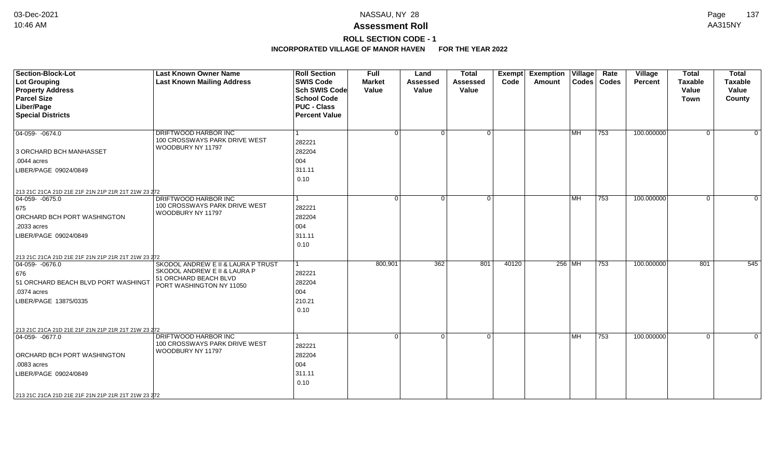# **ROLL SECTION CODE - 1**

| <b>Section-Block-Lot</b>                            | <b>Last Known Owner Name</b>                          | <b>Roll Section</b>  | <b>Full</b>   | Land            | <b>Total</b>    | Exempt | Exemption   Village |           | Rate          | Village    | <b>Total</b>   | <b>Total</b>   |
|-----------------------------------------------------|-------------------------------------------------------|----------------------|---------------|-----------------|-----------------|--------|---------------------|-----------|---------------|------------|----------------|----------------|
| <b>Lot Grouping</b>                                 | <b>Last Known Mailing Address</b>                     | <b>SWIS Code</b>     | <b>Market</b> | <b>Assessed</b> | <b>Assessed</b> | Code   | Amount              |           | Codes   Codes | Percent    | <b>Taxable</b> | <b>Taxable</b> |
| <b>Property Address</b>                             |                                                       | <b>Sch SWIS Code</b> | Value         | Value           | Value           |        |                     |           |               |            | Value          | Value          |
| <b>Parcel Size</b>                                  |                                                       | <b>School Code</b>   |               |                 |                 |        |                     |           |               |            | <b>Town</b>    | County         |
| Liber/Page                                          |                                                       | <b>PUC - Class</b>   |               |                 |                 |        |                     |           |               |            |                |                |
| <b>Special Districts</b>                            |                                                       | <b>Percent Value</b> |               |                 |                 |        |                     |           |               |            |                |                |
| $\boxed{04-059 - 0674.0}$                           | DRIFTWOOD HARBOR INC                                  | 1                    | $\Omega$      | $\Omega$        | $\Omega$        |        |                     | <b>MH</b> | 753           | 100.000000 | $\Omega$       | $\mathbf 0$    |
|                                                     | 100 CROSSWAYS PARK DRIVE WEST                         | 282221               |               |                 |                 |        |                     |           |               |            |                |                |
| 3 ORCHARD BCH MANHASSET                             | WOODBURY NY 11797                                     | 282204               |               |                 |                 |        |                     |           |               |            |                |                |
| .0044 acres                                         |                                                       | 004                  |               |                 |                 |        |                     |           |               |            |                |                |
| LIBER/PAGE 09024/0849                               |                                                       | 311.11               |               |                 |                 |        |                     |           |               |            |                |                |
|                                                     |                                                       | 0.10                 |               |                 |                 |        |                     |           |               |            |                |                |
| 213 21C 21CA 21D 21E 21F 21N 21P 21R 21T 21W 23 272 |                                                       |                      |               |                 |                 |        |                     |           |               |            |                |                |
| $\boxed{04-059 - 0675.0}$                           | DRIFTWOOD HARBOR INC                                  | 1                    | $\Omega$      | $\Omega$        | $\Omega$        |        |                     | <b>MH</b> | 753           | 100.000000 | $\Omega$       | $\Omega$       |
| 675                                                 | 100 CROSSWAYS PARK DRIVE WEST                         | 282221               |               |                 |                 |        |                     |           |               |            |                |                |
| ORCHARD BCH PORT WASHINGTON                         | WOODBURY NY 11797                                     | 282204               |               |                 |                 |        |                     |           |               |            |                |                |
| .2033 acres                                         |                                                       | 004                  |               |                 |                 |        |                     |           |               |            |                |                |
| LIBER/PAGE 09024/0849                               |                                                       | 311.11               |               |                 |                 |        |                     |           |               |            |                |                |
|                                                     |                                                       | 0.10                 |               |                 |                 |        |                     |           |               |            |                |                |
| 213 21C 21CA 21D 21E 21F 21N 21P 21R 21T 21W 23 272 |                                                       |                      |               |                 |                 |        |                     |           |               |            |                |                |
| $04-059 - 0676.0$                                   | SKODOL ANDREW E II & LAURA P TRUST                    | $\mathbf{1}$         | 800,901       | 362             | 801             | 40120  |                     | $256$ MH  | 753           | 100.000000 | 801            | 545            |
| 676                                                 | SKODOL ANDREW E II & LAURA P                          | 282221               |               |                 |                 |        |                     |           |               |            |                |                |
| 51 ORCHARD BEACH BLVD PORT WASHINGT                 | 51 ORCHARD BEACH BLVD<br>PORT WASHINGTON NY 11050     | 282204               |               |                 |                 |        |                     |           |               |            |                |                |
| .0374 acres                                         |                                                       | 004                  |               |                 |                 |        |                     |           |               |            |                |                |
| LIBER/PAGE 13875/0335                               |                                                       | 210.21               |               |                 |                 |        |                     |           |               |            |                |                |
|                                                     |                                                       | 0.10                 |               |                 |                 |        |                     |           |               |            |                |                |
|                                                     |                                                       |                      |               |                 |                 |        |                     |           |               |            |                |                |
| 213 21C 21CA 21D 21E 21F 21N 21P 21R 21T 21W 23 272 |                                                       |                      |               |                 |                 |        |                     |           |               |            |                |                |
| $ 04-059-0677.0$                                    | DRIFTWOOD HARBOR INC<br>100 CROSSWAYS PARK DRIVE WEST | 1                    | $\Omega$      | $\Omega$        | $\Omega$        |        |                     | MH        | 753           | 100.000000 | $\mathbf{0}$   | $\Omega$       |
|                                                     | WOODBURY NY 11797                                     | 282221               |               |                 |                 |        |                     |           |               |            |                |                |
| <b>ORCHARD BCH PORT WASHINGTON</b>                  |                                                       | 282204               |               |                 |                 |        |                     |           |               |            |                |                |
| .0083 acres                                         |                                                       | 004                  |               |                 |                 |        |                     |           |               |            |                |                |
| LIBER/PAGE 09024/0849                               |                                                       | 311.11               |               |                 |                 |        |                     |           |               |            |                |                |
|                                                     |                                                       | 0.10                 |               |                 |                 |        |                     |           |               |            |                |                |
| 213 21C 21CA 21D 21E 21F 21N 21P 21R 21T 21W 23 272 |                                                       |                      |               |                 |                 |        |                     |           |               |            |                |                |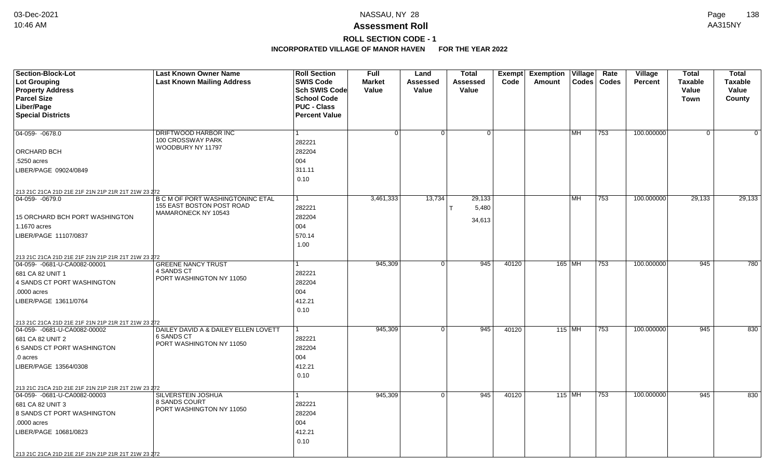# **ROLL SECTION CODE - 1**

| <b>Section-Block-Lot</b><br>Lot Grouping            | <b>Last Known Owner Name</b><br><b>Last Known Mailing Address</b> | <b>Roll Section</b><br><b>SWIS Code</b> | <b>Full</b><br><b>Market</b> | Land<br><b>Assessed</b> | <b>Total</b><br>Assessed | <b>Exempt</b><br>Code | <b>Exemption Village</b><br><b>Amount</b> | <b>Codes</b> | Rate<br><b>Codes</b> | Village<br><b>Percent</b> | Total<br><b>Taxable</b> | <b>Total</b><br>Taxable |
|-----------------------------------------------------|-------------------------------------------------------------------|-----------------------------------------|------------------------------|-------------------------|--------------------------|-----------------------|-------------------------------------------|--------------|----------------------|---------------------------|-------------------------|-------------------------|
| <b>Property Address</b>                             |                                                                   | <b>Sch SWIS Code</b>                    | Value                        | Value                   | Value                    |                       |                                           |              |                      |                           | Value                   | Value                   |
| <b>Parcel Size</b>                                  |                                                                   | <b>School Code</b>                      |                              |                         |                          |                       |                                           |              |                      |                           | <b>Town</b>             | County                  |
| Liber/Page                                          |                                                                   | <b>PUC - Class</b>                      |                              |                         |                          |                       |                                           |              |                      |                           |                         |                         |
| <b>Special Districts</b>                            |                                                                   | <b>Percent Value</b>                    |                              |                         |                          |                       |                                           |              |                      |                           |                         |                         |
|                                                     |                                                                   |                                         |                              |                         |                          |                       |                                           |              |                      |                           |                         |                         |
| 04-059- -0678.0                                     | DRIFTWOOD HARBOR INC                                              | 1                                       | $\Omega$                     | 0 <sup>1</sup>          | 0 <sup>1</sup>           |                       |                                           | l MH.        | 753                  | 100.000000                | $\mathbf{0}$            | $\Omega$                |
|                                                     | 100 CROSSWAY PARK<br>WOODBURY NY 11797                            | 282221                                  |                              |                         |                          |                       |                                           |              |                      |                           |                         |                         |
| ORCHARD BCH                                         |                                                                   | 282204                                  |                              |                         |                          |                       |                                           |              |                      |                           |                         |                         |
| .5250 acres                                         |                                                                   | 004                                     |                              |                         |                          |                       |                                           |              |                      |                           |                         |                         |
| LIBER/PAGE 09024/0849                               |                                                                   | 311.11                                  |                              |                         |                          |                       |                                           |              |                      |                           |                         |                         |
|                                                     |                                                                   | 0.10                                    |                              |                         |                          |                       |                                           |              |                      |                           |                         |                         |
| 213 21C 21CA 21D 21E 21F 21N 21P 21R 21T 21W 23 272 |                                                                   |                                         |                              |                         |                          |                       |                                           |              |                      |                           |                         |                         |
| 04-059-0679.0                                       | <b>B C M OF PORT WASHINGTONINC ETAL</b>                           | 1                                       | 3,461,333                    | 13,734                  | 29,133                   |                       |                                           | <b>MH</b>    | 753                  | 100.000000                | 29,133                  | 29,133                  |
|                                                     | 155 EAST BOSTON POST ROAD                                         | 282221                                  |                              |                         | 5,480                    |                       |                                           |              |                      |                           |                         |                         |
| <b>15 ORCHARD BCH PORT WASHINGTON</b>               | MAMARONECK NY 10543                                               | 282204                                  |                              |                         | 34,613                   |                       |                                           |              |                      |                           |                         |                         |
| 1.1670 acres                                        |                                                                   | 004                                     |                              |                         |                          |                       |                                           |              |                      |                           |                         |                         |
| LIBER/PAGE 11107/0837                               |                                                                   | 570.14                                  |                              |                         |                          |                       |                                           |              |                      |                           |                         |                         |
|                                                     |                                                                   | 1.00                                    |                              |                         |                          |                       |                                           |              |                      |                           |                         |                         |
| 213 21C 21CA 21D 21E 21F 21N 21P 21R 21T 21W 23 272 |                                                                   |                                         |                              |                         |                          |                       |                                           |              |                      |                           |                         |                         |
| 04-059- -0681-U-CA0082-00001                        | <b>GREENE NANCY TRUST</b>                                         |                                         | 945,309                      | 0 <sup>1</sup>          | 945                      | 40120                 |                                           | 165 MH       | 753                  | 100.000000                | 945                     | 780                     |
| 681 CA 82 UNIT 1                                    | 4 SANDS CT                                                        | 282221                                  |                              |                         |                          |                       |                                           |              |                      |                           |                         |                         |
| 4 SANDS CT PORT WASHINGTON                          | PORT WASHINGTON NY 11050                                          | 282204                                  |                              |                         |                          |                       |                                           |              |                      |                           |                         |                         |
| .0000 acres                                         |                                                                   | 004                                     |                              |                         |                          |                       |                                           |              |                      |                           |                         |                         |
| LIBER/PAGE 13611/0764                               |                                                                   | 412.21                                  |                              |                         |                          |                       |                                           |              |                      |                           |                         |                         |
|                                                     |                                                                   | 0.10                                    |                              |                         |                          |                       |                                           |              |                      |                           |                         |                         |
| 213 21C 21CA 21D 21E 21F 21N 21P 21R 21T 21W 23 272 |                                                                   |                                         |                              |                         |                          |                       |                                           |              |                      |                           |                         |                         |
| 04-059- -0681-U-CA0082-00002                        | DAILEY DAVID A & DAILEY ELLEN LOVETT                              | -1                                      | 945,309                      | $\overline{0}$          | 945                      | 40120                 | $115$ MH                                  |              | 753                  | 100.000000                | 945                     | 830                     |
| 681 CA 82 UNIT 2                                    | <b>6 SANDS CT</b>                                                 | 282221                                  |                              |                         |                          |                       |                                           |              |                      |                           |                         |                         |
| 6 SANDS CT PORT WASHINGTON                          | PORT WASHINGTON NY 11050                                          | 282204                                  |                              |                         |                          |                       |                                           |              |                      |                           |                         |                         |
| .0 acres                                            |                                                                   | 004                                     |                              |                         |                          |                       |                                           |              |                      |                           |                         |                         |
| LIBER/PAGE 13564/0308                               |                                                                   | 412.21                                  |                              |                         |                          |                       |                                           |              |                      |                           |                         |                         |
|                                                     |                                                                   | 0.10                                    |                              |                         |                          |                       |                                           |              |                      |                           |                         |                         |
| 213 21C 21CA 21D 21E 21F 21N 21P 21R 21T 21W 23 272 |                                                                   |                                         |                              |                         |                          |                       |                                           |              |                      |                           |                         |                         |
| 04-059- -0681-U-CA0082-00003                        | <b>SILVERSTEIN JOSHUA</b>                                         | 1                                       | 945,309                      | 0 <sup>1</sup>          | 945                      | 40120                 |                                           | 115 MH       | 753                  | 100.000000                | 945                     | 830                     |
| 681 CA 82 UNIT 3                                    | 8 SANDS COURT<br>PORT WASHINGTON NY 11050                         | 282221                                  |                              |                         |                          |                       |                                           |              |                      |                           |                         |                         |
| 8 SANDS CT PORT WASHINGTON                          |                                                                   | 282204                                  |                              |                         |                          |                       |                                           |              |                      |                           |                         |                         |
| .0000 acres                                         |                                                                   | 004                                     |                              |                         |                          |                       |                                           |              |                      |                           |                         |                         |
| LIBER/PAGE 10681/0823                               |                                                                   | 412.21                                  |                              |                         |                          |                       |                                           |              |                      |                           |                         |                         |
|                                                     |                                                                   | 0.10                                    |                              |                         |                          |                       |                                           |              |                      |                           |                         |                         |
| 213 21C 21CA 21D 21E 21F 21N 21P 21R 21T 21W 23 272 |                                                                   |                                         |                              |                         |                          |                       |                                           |              |                      |                           |                         |                         |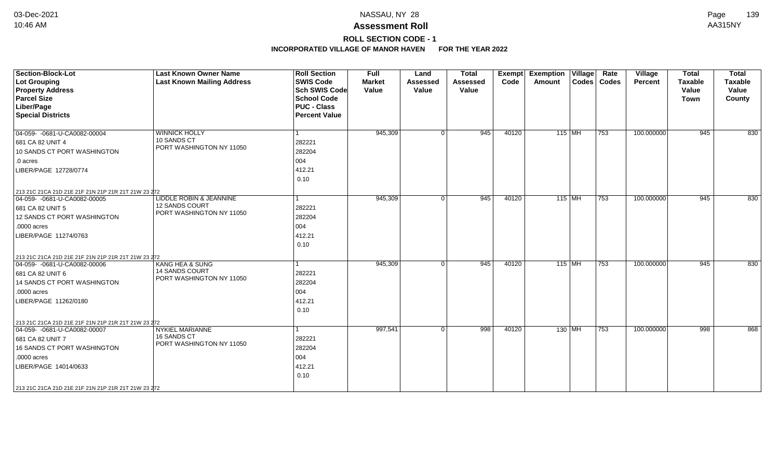## **ROLL SECTION CODE - 1**

| Section-Block-Lot<br>Lot Grouping<br><b>Property Address</b><br><b>Parcel Size</b><br>Liber/Page<br><b>Special Districts</b>                                                                                                           | <b>Last Known Owner Name</b><br><b>Last Known Mailing Address</b>        | <b>Roll Section</b><br><b>SWIS Code</b><br><b>Sch SWIS Code</b><br><b>School Code</b><br><b>PUC - Class</b><br><b>Percent Value</b> | <b>Full</b><br><b>Market</b><br>Value | Land<br><b>Assessed</b><br>Value | <b>Total</b><br>Assessed<br>Value | <b>Exempt</b><br>Code | <b>Exemption</b><br>Amount | $\overline{\mathsf{V}}$ illage | Rate<br>Codes   Codes | Village<br>Percent | <b>Total</b><br><b>Taxable</b><br>Value<br><b>Town</b> | <b>Total</b><br><b>Taxable</b><br>Value<br>County |
|----------------------------------------------------------------------------------------------------------------------------------------------------------------------------------------------------------------------------------------|--------------------------------------------------------------------------|-------------------------------------------------------------------------------------------------------------------------------------|---------------------------------------|----------------------------------|-----------------------------------|-----------------------|----------------------------|--------------------------------|-----------------------|--------------------|--------------------------------------------------------|---------------------------------------------------|
| 04-059- -0681-U-CA0082-00004<br>681 CA 82 UNIT 4<br>10 SANDS CT PORT WASHINGTON<br>.0 acres<br>LIBER/PAGE 12728/0774<br>213 21C 21CA 21D 21E 21F 21N 21P 21R 21T 21W 23 272                                                            | <b>WINNICK HOLLY</b><br>10 SANDS CT<br>PORT WASHINGTON NY 11050          | l 1<br>282221<br>282204<br>004<br>412.21<br>0.10                                                                                    | 945,309                               | $\Omega$                         | 945                               | 40120                 |                            | $115$ MH                       | $\overline{753}$      | 100.000000         | 945                                                    | 830                                               |
| 04-059- -0681-U-CA0082-00005<br>681 CA 82 UNIT 5<br>12 SANDS CT PORT WASHINGTON<br>.0000 acres<br>LIBER/PAGE 11274/0763<br>213 21C 21CA 21D 21E 21F 21N 21P 21R 21T 21W 23 272                                                         | LIDDLE ROBIN & JEANNINE<br>12 SANDS COURT<br>PORT WASHINGTON NY 11050    | l 1<br>282221<br>282204<br>004<br>412.21<br>0.10                                                                                    | 945,309                               | $\Omega$                         | 945                               | 40120                 | $115$ MH                   |                                | 753                   | 100.000000         | 945                                                    | 830                                               |
| 04-059-0681-U-CA0082-00006<br>681 CA 82 UNIT 6<br>14 SANDS CT PORT WASHINGTON<br>.0000 acres<br>LIBER/PAGE 11262/0180                                                                                                                  | <b>KANG HEA &amp; SUNG</b><br>14 SANDS COURT<br>PORT WASHINGTON NY 11050 | $\vert$ 1<br>282221<br>282204<br>004<br>412.21<br>0.10                                                                              | 945,309                               | $\Omega$                         | 945                               | 40120                 |                            | $115$ MH                       | $\overline{753}$      | 100.000000         | 945                                                    | 830                                               |
| 213 21C 21CA 21D 21E 21F 21N 21P 21R 21T 21W 23 272<br>04-059- - 0681-U-CA0082-00007<br>681 CA 82 UNIT 7<br>16 SANDS CT PORT WASHINGTON<br>.0000 acres<br>LIBER/PAGE 14014/0633<br>213 21C 21CA 21D 21E 21F 21N 21P 21R 21T 21W 23 272 | <b>NYKIEL MARIANNE</b><br>16 SANDS CT<br>PORT WASHINGTON NY 11050        | $\overline{1}$<br>282221<br>282204<br>004<br>412.21<br>0.10                                                                         | 997,541                               | $\Omega$                         | 998                               | 40120                 |                            | 130 MH                         | 753                   | 100.000000         | 998                                                    | 868                                               |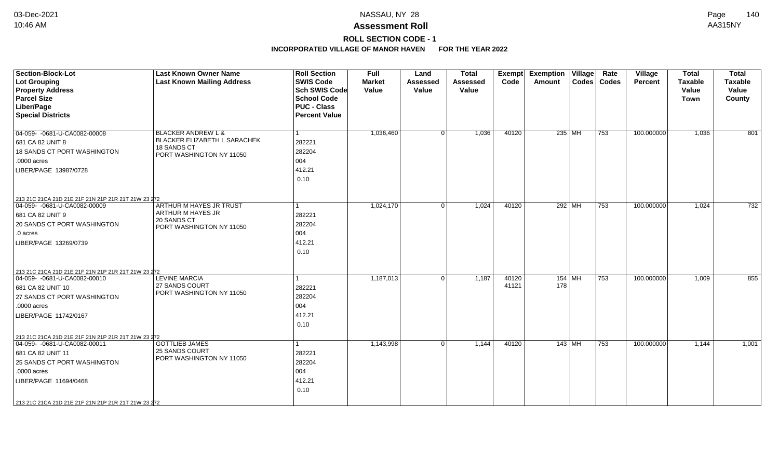# **ROLL SECTION CODE - 1**

| <b>Section-Block-Lot</b><br><b>Lot Grouping</b>                                     | <b>Last Known Owner Name</b><br><b>Last Known Mailing Address</b> | <b>Roll Section</b><br><b>SWIS Code</b>    | Full<br><b>Market</b> | Land<br><b>Assessed</b> | <b>Total</b><br><b>Assessed</b> | Exempt<br>Code | <b>Exemption Village</b><br>Amount |          | Rate<br>Codes   Codes | Village<br><b>Percent</b> | <b>Total</b><br><b>Taxable</b> | <b>Total</b><br><b>Taxable</b> |
|-------------------------------------------------------------------------------------|-------------------------------------------------------------------|--------------------------------------------|-----------------------|-------------------------|---------------------------------|----------------|------------------------------------|----------|-----------------------|---------------------------|--------------------------------|--------------------------------|
| <b>Property Address</b><br><b>Parcel Size</b>                                       |                                                                   | <b>Sch SWIS Code</b><br><b>School Code</b> | Value                 | Value                   | Value                           |                |                                    |          |                       |                           | Value<br>Town                  | Value<br>County                |
| Liber/Page                                                                          |                                                                   | <b>PUC - Class</b>                         |                       |                         |                                 |                |                                    |          |                       |                           |                                |                                |
| <b>Special Districts</b>                                                            |                                                                   | <b>Percent Value</b>                       |                       |                         |                                 |                |                                    |          |                       |                           |                                |                                |
| 04-059-0681-U-CA0082-00008                                                          | <b>BLACKER ANDREW L &amp;</b>                                     |                                            | 1,036,460             | $\Omega$                | 1,036                           | 40120          | 235 MH                             |          | 753                   | 100.000000                | 1,036                          | 801                            |
| 681 CA 82 UNIT 8                                                                    | BLACKER ELIZABETH L SARACHEK<br>18 SANDS CT                       | 282221                                     |                       |                         |                                 |                |                                    |          |                       |                           |                                |                                |
| 18 SANDS CT PORT WASHINGTON                                                         | PORT WASHINGTON NY 11050                                          | 282204                                     |                       |                         |                                 |                |                                    |          |                       |                           |                                |                                |
| .0000 acres                                                                         |                                                                   | 004                                        |                       |                         |                                 |                |                                    |          |                       |                           |                                |                                |
| LIBER/PAGE 13987/0728                                                               |                                                                   | 412.21                                     |                       |                         |                                 |                |                                    |          |                       |                           |                                |                                |
|                                                                                     |                                                                   | 0.10                                       |                       |                         |                                 |                |                                    |          |                       |                           |                                |                                |
| 213 21C 21CA 21D 21E 21F 21N 21P 21R 21T 21W 23 272                                 |                                                                   |                                            |                       |                         |                                 |                |                                    |          |                       |                           |                                |                                |
| 04-059- -0681-U-CA0082-00009                                                        | ARTHUR M HAYES JR TRUST                                           |                                            | 1,024,170             | $\Omega$                | 1,024                           | 40120          | 292 MH                             |          | 753                   | 100.000000                | 1,024                          | 732                            |
| 681 CA 82 UNIT 9                                                                    | ARTHUR M HAYES JR<br>20 SANDS CT                                  | 282221                                     |                       |                         |                                 |                |                                    |          |                       |                           |                                |                                |
| 20 SANDS CT PORT WASHINGTON                                                         | PORT WASHINGTON NY 11050                                          | 282204                                     |                       |                         |                                 |                |                                    |          |                       |                           |                                |                                |
| .0 acres                                                                            |                                                                   | 004                                        |                       |                         |                                 |                |                                    |          |                       |                           |                                |                                |
| LIBER/PAGE 13269/0739                                                               |                                                                   | 412.21                                     |                       |                         |                                 |                |                                    |          |                       |                           |                                |                                |
|                                                                                     |                                                                   | 0.10                                       |                       |                         |                                 |                |                                    |          |                       |                           |                                |                                |
| 213 21C 21CA 21D 21E 21F 21N 21P 21R 21T 21W 23 272                                 |                                                                   |                                            |                       |                         |                                 |                |                                    |          |                       |                           |                                |                                |
| 04-059- -0681-U-CA0082-00010                                                        | <b>LEVINE MARCIA</b>                                              |                                            | 1,187,013             | 0 <sup>1</sup>          | 1,187                           | 40120          |                                    | $154$ MH | 753                   | 100.000000                | 1,009                          | 855                            |
| 681 CA 82 UNIT 10                                                                   | 27 SANDS COURT                                                    | 282221                                     |                       |                         |                                 | 41121          | 178                                |          |                       |                           |                                |                                |
| 27 SANDS CT PORT WASHINGTON                                                         | PORT WASHINGTON NY 11050                                          | 282204                                     |                       |                         |                                 |                |                                    |          |                       |                           |                                |                                |
| .0000 acres                                                                         |                                                                   | 004                                        |                       |                         |                                 |                |                                    |          |                       |                           |                                |                                |
| LIBER/PAGE 11742/0167                                                               |                                                                   | 412.21                                     |                       |                         |                                 |                |                                    |          |                       |                           |                                |                                |
|                                                                                     |                                                                   | 0.10                                       |                       |                         |                                 |                |                                    |          |                       |                           |                                |                                |
|                                                                                     |                                                                   |                                            |                       |                         |                                 |                |                                    |          |                       |                           |                                |                                |
| 213 21C 21CA 21D 21E 21F 21N 21P 21R 21T 21W 23 272<br>04-059- -0681-U-CA0082-00011 | <b>GOTTLIEB JAMES</b>                                             |                                            | 1,143,998             | 0 <sup>1</sup>          | 1,144                           | 40120          |                                    | 143 MH   | 753                   | 100.000000                | 1,144                          | 1,001                          |
| 681 CA 82 UNIT 11                                                                   | 25 SANDS COURT                                                    | 282221                                     |                       |                         |                                 |                |                                    |          |                       |                           |                                |                                |
| 25 SANDS CT PORT WASHINGTON                                                         | PORT WASHINGTON NY 11050                                          | 282204                                     |                       |                         |                                 |                |                                    |          |                       |                           |                                |                                |
| .0000 acres                                                                         |                                                                   | 004                                        |                       |                         |                                 |                |                                    |          |                       |                           |                                |                                |
|                                                                                     |                                                                   |                                            |                       |                         |                                 |                |                                    |          |                       |                           |                                |                                |
| LIBER/PAGE 11694/0468                                                               |                                                                   | 412.21                                     |                       |                         |                                 |                |                                    |          |                       |                           |                                |                                |
|                                                                                     |                                                                   | 0.10                                       |                       |                         |                                 |                |                                    |          |                       |                           |                                |                                |
| 213 21C 21CA 21D 21E 21F 21N 21P 21R 21T 21W 23 272                                 |                                                                   |                                            |                       |                         |                                 |                |                                    |          |                       |                           |                                |                                |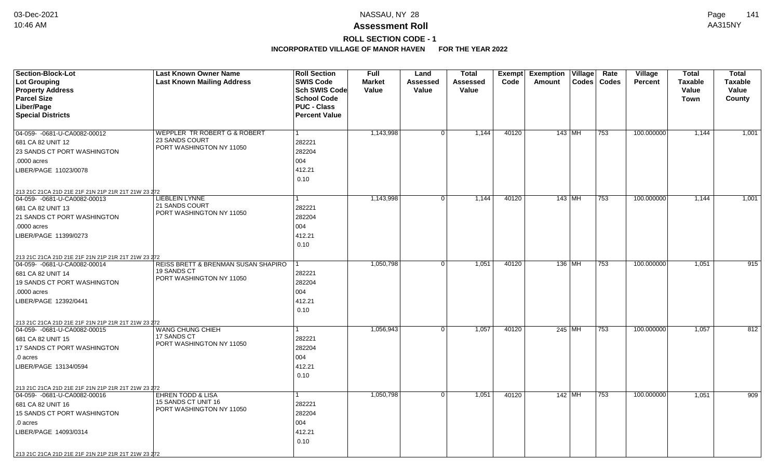## **ROLL SECTION CODE - 1**

| <b>Section-Block-Lot</b><br><b>Lot Grouping</b><br><b>Property Address</b><br><b>Parcel Size</b><br>Liber/Page<br><b>Special Districts</b>                                                                                                 | <b>Last Known Owner Name</b><br><b>Last Known Mailing Address</b>                     | <b>Roll Section</b><br><b>SWIS Code</b><br><b>Sch SWIS Code</b><br><b>School Code</b><br><b>PUC - Class</b><br><b>Percent Value</b> | <b>Full</b><br><b>Market</b><br>Value | Land<br>Assessed<br>Value | <b>Total</b><br><b>Assessed</b><br>Value | Exempt<br>Code | <b>Exemption Village</b><br>Amount | Rate<br>Codes   Codes | Village<br><b>Percent</b> | <b>Total</b><br><b>Taxable</b><br>Value<br><b>Town</b> | <b>Total</b><br><b>Taxable</b><br>Value<br>County |
|--------------------------------------------------------------------------------------------------------------------------------------------------------------------------------------------------------------------------------------------|---------------------------------------------------------------------------------------|-------------------------------------------------------------------------------------------------------------------------------------|---------------------------------------|---------------------------|------------------------------------------|----------------|------------------------------------|-----------------------|---------------------------|--------------------------------------------------------|---------------------------------------------------|
| 04-059-0681-U-CA0082-00012<br>681 CA 82 UNIT 12<br>23 SANDS CT PORT WASHINGTON<br>.0000 acres<br>LIBER/PAGE 11023/0078                                                                                                                     | <b>WEPPLER TR ROBERT G &amp; ROBERT</b><br>23 SANDS COURT<br>PORT WASHINGTON NY 11050 | 1<br>282221<br>282204<br>004<br>412.21<br>0.10                                                                                      | 1,143,998                             | 0 <sup>1</sup>            | 1,144                                    | 40120          | 143   MH                           | 753                   | 100.000000                | 1,144                                                  | 1,001                                             |
| 213 21C 21CA 21D 21E 21F 21N 21P 21R 21T 21W 23 272<br>04-059- -0681-U-CA0082-00013<br>681 CA 82 UNIT 13<br>21 SANDS CT PORT WASHINGTON<br>.0000 acres<br>LIBER/PAGE 11399/0273                                                            | LIEBLEIN LYNNE<br>21 SANDS COURT<br>PORT WASHINGTON NY 11050                          | 282221<br>282204<br>004<br>412.21<br>0.10                                                                                           | 1,143,998                             | 0 <sup>1</sup>            | 1,144                                    | 40120          | 143   MH                           | 753                   | 100.000000                | 1,144                                                  | 1,001                                             |
| 213 21C 21CA 21D 21E 21F 21N 21P 21R 21T 21W 23 272<br>04-059- -0681-U-CA0082-00014<br>681 CA 82 UNIT 14<br>19 SANDS CT PORT WASHINGTON<br>.0000 acres<br>LIBER/PAGE 12392/0441                                                            | REISS BRETT & BRENMAN SUSAN SHAPIRO<br><b>19 SANDS CT</b><br>PORT WASHINGTON NY 11050 | 282221<br>282204<br>004<br>412.21<br>0.10                                                                                           | 1,050,798                             | $\overline{0}$            | 1,051                                    | 40120          | 136 MH                             | 753                   | 100.000000                | 1,051                                                  | 915                                               |
| 213 21C 21CA 21D 21E 21F 21N 21P 21R 21T 21W 23 272<br>04-059-0681-U-CA0082-00015<br>681 CA 82 UNIT 15<br>17 SANDS CT PORT WASHINGTON<br>.0 acres<br>LIBER/PAGE 13134/0594                                                                 | WANG CHUNG CHIEH<br>17 SANDS CT<br>PORT WASHINGTON NY 11050                           | 1<br>282221<br>282204<br>004<br>412.21<br>0.10                                                                                      | 1,056,943                             | 0 <sup>1</sup>            | 1,057                                    | 40120          | 245 MH                             | 753                   | 100.000000                | 1,057                                                  | 812                                               |
| 213 21C 21CA 21D 21E 21F 21N 21P 21R 21T 21W 23 272<br>04-059- -0681-U-CA0082-00016<br>681 CA 82 UNIT 16<br><b>15 SANDS CT PORT WASHINGTON</b><br>.0 acres<br>LIBER/PAGE 14093/0314<br>213 21C 21CA 21D 21E 21F 21N 21P 21R 21T 21W 23 272 | <b>EHREN TODD &amp; LISA</b><br>15 SANDS CT UNIT 16<br>PORT WASHINGTON NY 11050       | 282221<br>282204<br>004<br>412.21<br>0.10                                                                                           | 1,050,798                             | 0 <sup>1</sup>            | 1,051                                    | 40120          | 142   MH                           | 753                   | 100.000000                | 1,051                                                  | 909                                               |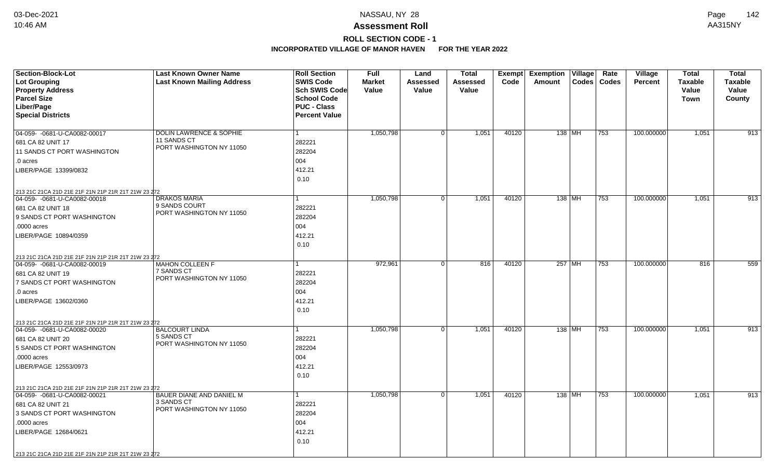# **ROLL SECTION CODE - 1**

| <b>Section-Block-Lot</b><br><b>Lot Grouping</b><br><b>Property Address</b>                                                                                                                                                             | <b>Last Known Owner Name</b><br><b>Last Known Mailing Address</b>  | <b>Roll Section</b><br><b>SWIS Code</b><br>Sch SWIS Code         | <b>Full</b><br><b>Market</b><br>Value | Land<br>Assessed<br>Value | <b>Total</b><br><b>Assessed</b><br>Value | Exempt<br>Code | <b>Exemption Village</b><br>Amount | Rate<br>Codes   Codes | Village<br><b>Percent</b> | <b>Total</b><br><b>Taxable</b><br>Value | <b>Total</b><br><b>Taxable</b><br>Value |
|----------------------------------------------------------------------------------------------------------------------------------------------------------------------------------------------------------------------------------------|--------------------------------------------------------------------|------------------------------------------------------------------|---------------------------------------|---------------------------|------------------------------------------|----------------|------------------------------------|-----------------------|---------------------------|-----------------------------------------|-----------------------------------------|
| <b>Parcel Size</b><br>Liber/Page<br><b>Special Districts</b>                                                                                                                                                                           |                                                                    | <b>School Code</b><br><b>PUC - Class</b><br><b>Percent Value</b> |                                       |                           |                                          |                |                                    |                       |                           | <b>Town</b>                             | County                                  |
| 04-059- -0681-U-CA0082-00017<br>681 CA 82 UNIT 17<br>11 SANDS CT PORT WASHINGTON<br>.0 acres<br>LIBER/PAGE 13399/0832                                                                                                                  | DOLIN LAWRENCE & SOPHIE<br>11 SANDS CT<br>PORT WASHINGTON NY 11050 | $\mathbf{1}$<br>282221<br>282204<br>004<br>412.21<br>0.10        | 1,050,798                             | 0 <sup>1</sup>            | 1,051                                    | 40120          | 138   MH                           | 753                   | 100.000000                | 1,051                                   | 913                                     |
| 213 21C 21CA 21D 21E 21F 21N 21P 21R 21T 21W 23 272<br>04-059- -0681-U-CA0082-00018<br>681 CA 82 UNIT 18<br>9 SANDS CT PORT WASHINGTON<br>.0000 acres<br>LIBER/PAGE 10894/0359                                                         | <b>DRAKOS MARIA</b><br>9 SANDS COURT<br>PORT WASHINGTON NY 11050   | 1<br>282221<br>282204<br>004<br>412.21<br>0.10                   | 1,050,798                             | 0 <sup>1</sup>            | 1,051                                    | 40120          | 138 MH                             | 753                   | 100.000000                | 1,051                                   | 913                                     |
| 213 21C 21CA 21D 21E 21F 21N 21P 21R 21T 21W 23 272<br>04-059- -0681-U-CA0082-00019<br>681 CA 82 UNIT 19<br>7 SANDS CT PORT WASHINGTON<br>.0 acres<br>LIBER/PAGE 13602/0360                                                            | <b>MAHON COLLEEN F</b><br>7 SANDS CT<br>PORT WASHINGTON NY 11050   | 1<br>282221<br>282204<br>004<br>412.21<br>0.10                   | 972,961                               | 0 <sup>1</sup>            | 816                                      | 40120          | 257 MH                             | 753                   | 100.000000                | 816                                     | 559                                     |
| 213 21C 21CA 21D 21E 21F 21N 21P 21R 21T 21W 23 272<br>04-059- -0681-U-CA0082-00020<br>681 CA 82 UNIT 20<br>5 SANDS CT PORT WASHINGTON<br>.0000 acres<br>LIBER/PAGE 12553/0973                                                         | <b>BALCOURT LINDA</b><br>5 SANDS CT<br>PORT WASHINGTON NY 11050    | $\mathbf{1}$<br>282221<br>282204<br>004<br>412.21<br>0.10        | 1,050,798                             | 0 <sup>1</sup>            | 1,051                                    | 40120          | 138 MH                             | 753                   | 100.000000                | 1,051                                   | 913                                     |
| 213 21C 21CA 21D 21E 21F 21N 21P 21R 21T 21W 23 272<br>04-059- - 0681-U-CA0082-00021<br>681 CA 82 UNIT 21<br>3 SANDS CT PORT WASHINGTON<br>.0000 acres<br>LIBER/PAGE 12684/0621<br>213 21C 21CA 21D 21E 21F 21N 21P 21R 21T 21W 23 272 | BAUER DIANE AND DANIEL M<br>3 SANDS CT<br>PORT WASHINGTON NY 11050 | $\mathbf{1}$<br>282221<br>282204<br>004<br>412.21<br>0.10        | 1,050,798                             | 0 <sup>1</sup>            | 1,051                                    | 40120          | 138 MH                             | 753                   | 100.000000                | 1,051                                   | 913                                     |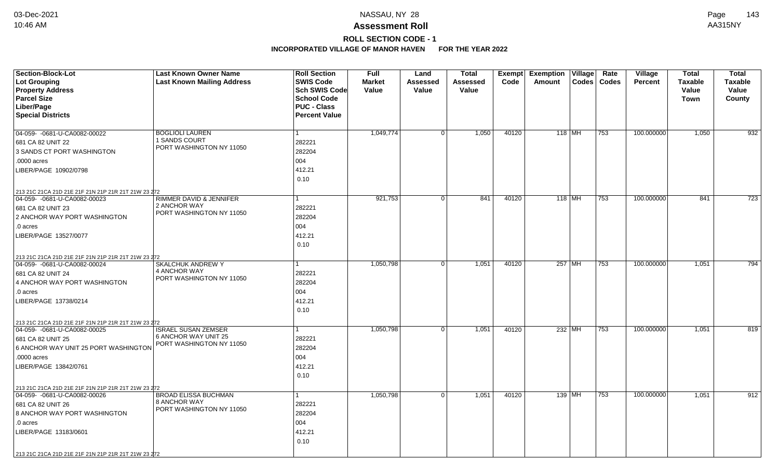## **ROLL SECTION CODE - 1**

| Section-Block-Lot<br>Lot Grouping                   | <b>Last Known Owner Name</b><br><b>Last Known Mailing Address</b> | <b>Roll Section</b><br><b>SWIS Code</b> | Full<br><b>Market</b> | Land<br>Assessed | <b>Total</b><br>Assessed | <b>Exempt</b><br>Code | <b>Exemption Village</b><br>Amount | Rate<br>Codes   Codes | Village<br><b>Percent</b> | <b>Total</b><br><b>Taxable</b> | <b>Total</b><br><b>Taxable</b> |
|-----------------------------------------------------|-------------------------------------------------------------------|-----------------------------------------|-----------------------|------------------|--------------------------|-----------------------|------------------------------------|-----------------------|---------------------------|--------------------------------|--------------------------------|
| <b>Property Address</b>                             |                                                                   | <b>Sch SWIS Code</b>                    | Value                 | Value            | Value                    |                       |                                    |                       |                           | Value                          | Value                          |
| <b>Parcel Size</b>                                  |                                                                   | <b>School Code</b>                      |                       |                  |                          |                       |                                    |                       |                           | Town                           | County                         |
| Liber/Page                                          |                                                                   | <b>PUC - Class</b>                      |                       |                  |                          |                       |                                    |                       |                           |                                |                                |
| <b>Special Districts</b>                            |                                                                   | <b>Percent Value</b>                    |                       |                  |                          |                       |                                    |                       |                           |                                |                                |
|                                                     |                                                                   |                                         |                       |                  |                          |                       |                                    |                       |                           |                                |                                |
| 04-059- -0681-U-CA0082-00022                        | <b>BOGLIOLI LAUREN</b><br>1 SANDS COURT                           |                                         | 1,049,774             | 0                | 1,050                    | 40120                 | $118$ MH                           | 753                   | 100.000000                | 1,050                          | 932                            |
| 681 CA 82 UNIT 22                                   | PORT WASHINGTON NY 11050                                          | 282221                                  |                       |                  |                          |                       |                                    |                       |                           |                                |                                |
| 3 SANDS CT PORT WASHINGTON                          |                                                                   | 282204                                  |                       |                  |                          |                       |                                    |                       |                           |                                |                                |
| .0000 acres                                         |                                                                   | 004                                     |                       |                  |                          |                       |                                    |                       |                           |                                |                                |
| LIBER/PAGE 10902/0798                               |                                                                   | 412.21                                  |                       |                  |                          |                       |                                    |                       |                           |                                |                                |
|                                                     |                                                                   | 0.10                                    |                       |                  |                          |                       |                                    |                       |                           |                                |                                |
| 213 21C 21CA 21D 21E 21F 21N 21P 21R 21T 21W 23 272 |                                                                   |                                         |                       |                  |                          |                       |                                    |                       |                           |                                |                                |
| 04-059- -0681-U-CA0082-00023                        | RIMMER DAVID & JENNIFER<br>2 ANCHOR WAY                           |                                         | 921,753               | 0 <sup>1</sup>   | 841                      | 40120                 | 118 MH                             | 753                   | 100.000000                | 841                            | 723                            |
| 681 CA 82 UNIT 23                                   | PORT WASHINGTON NY 11050                                          | 282221                                  |                       |                  |                          |                       |                                    |                       |                           |                                |                                |
| 2 ANCHOR WAY PORT WASHINGTON                        |                                                                   | 282204                                  |                       |                  |                          |                       |                                    |                       |                           |                                |                                |
| .0 acres                                            |                                                                   | 004                                     |                       |                  |                          |                       |                                    |                       |                           |                                |                                |
| LIBER/PAGE 13527/0077                               |                                                                   | 412.21                                  |                       |                  |                          |                       |                                    |                       |                           |                                |                                |
|                                                     |                                                                   | 0.10                                    |                       |                  |                          |                       |                                    |                       |                           |                                |                                |
| 213 21C 21CA 21D 21E 21F 21N 21P 21R 21T 21W 23 272 |                                                                   |                                         |                       |                  |                          |                       |                                    |                       |                           |                                |                                |
| 04-059- -0681-U-CA0082-00024                        | <b>SKALCHUK ANDREW Y</b>                                          |                                         | 1,050,798             | $\overline{0}$   | 1,051                    | 40120                 | 257 MH                             | 753                   | 100.000000                | 1,051                          | 794                            |
| 681 CA 82 UNIT 24                                   | 4 ANCHOR WAY<br>PORT WASHINGTON NY 11050                          | 282221                                  |                       |                  |                          |                       |                                    |                       |                           |                                |                                |
| 4 ANCHOR WAY PORT WASHINGTON                        |                                                                   | 282204                                  |                       |                  |                          |                       |                                    |                       |                           |                                |                                |
| .0 acres                                            |                                                                   | 004                                     |                       |                  |                          |                       |                                    |                       |                           |                                |                                |
| LIBER/PAGE 13738/0214                               |                                                                   | 412.21                                  |                       |                  |                          |                       |                                    |                       |                           |                                |                                |
|                                                     |                                                                   | 0.10                                    |                       |                  |                          |                       |                                    |                       |                           |                                |                                |
| 213 21C 21CA 21D 21E 21F 21N 21P 21R 21T 21W 23 272 |                                                                   |                                         |                       |                  |                          |                       |                                    |                       |                           |                                |                                |
| 04-059- -0681-U-CA0082-00025                        | <b>ISRAEL SUSAN ZEMSER</b><br>6 ANCHOR WAY UNIT 25                | 1                                       | 1,050,798             | 0 <sup>1</sup>   | 1,051                    | 40120                 | 232 MH                             | 753                   | 100.000000                | 1,051                          | 819                            |
| 681 CA 82 UNIT 25                                   | PORT WASHINGTON NY 11050                                          | 282221                                  |                       |                  |                          |                       |                                    |                       |                           |                                |                                |
| 6 ANCHOR WAY UNIT 25 PORT WASHINGTON                |                                                                   | 282204                                  |                       |                  |                          |                       |                                    |                       |                           |                                |                                |
| .0000 acres                                         |                                                                   | 004                                     |                       |                  |                          |                       |                                    |                       |                           |                                |                                |
| LIBER/PAGE 13842/0761                               |                                                                   | 412.21                                  |                       |                  |                          |                       |                                    |                       |                           |                                |                                |
|                                                     |                                                                   | 0.10                                    |                       |                  |                          |                       |                                    |                       |                           |                                |                                |
| 213 21C 21CA 21D 21E 21F 21N 21P 21R 21T 21W 23 272 |                                                                   |                                         |                       |                  |                          |                       |                                    |                       |                           |                                |                                |
| 04-059- -0681-U-CA0082-00026                        | <b>BROAD ELISSA BUCHMAN</b><br>8 ANCHOR WAY                       |                                         | 1,050,798             | 0                | 1,051                    | 40120                 | 139 MH                             | 753                   | 100.000000                | 1,051                          | 912                            |
| 681 CA 82 UNIT 26                                   | PORT WASHINGTON NY 11050                                          | 282221                                  |                       |                  |                          |                       |                                    |                       |                           |                                |                                |
| 8 ANCHOR WAY PORT WASHINGTON                        |                                                                   | 282204                                  |                       |                  |                          |                       |                                    |                       |                           |                                |                                |
| .0 acres                                            |                                                                   | 004                                     |                       |                  |                          |                       |                                    |                       |                           |                                |                                |
| LIBER/PAGE 13183/0601                               |                                                                   | 412.21                                  |                       |                  |                          |                       |                                    |                       |                           |                                |                                |
|                                                     |                                                                   | 0.10                                    |                       |                  |                          |                       |                                    |                       |                           |                                |                                |
| 213 21C 21CA 21D 21E 21F 21N 21P 21R 21T 21W 23 272 |                                                                   |                                         |                       |                  |                          |                       |                                    |                       |                           |                                |                                |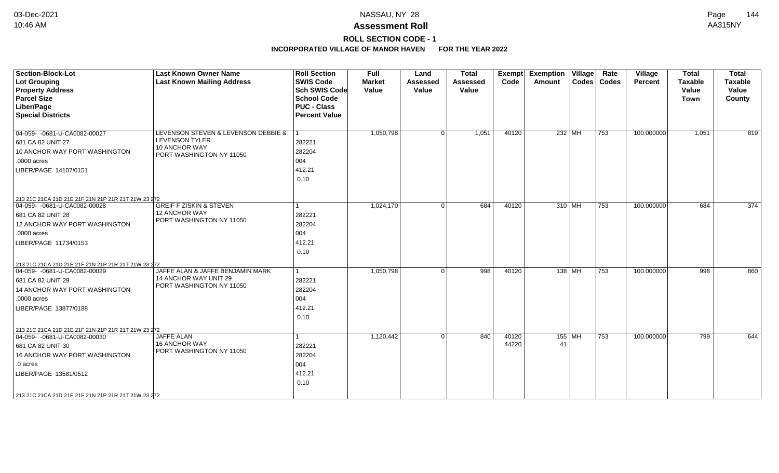## **ROLL SECTION CODE - 1**

| <b>Section-Block-Lot</b>                            | <b>Last Known Owner Name</b>              | <b>Roll Section</b>  | <b>Full</b>   | Land           | <b>Total</b>    | Exempt | <b>Exemption Village</b> | Rate          | Village        | <b>Total</b>   | <b>Total</b>   |
|-----------------------------------------------------|-------------------------------------------|----------------------|---------------|----------------|-----------------|--------|--------------------------|---------------|----------------|----------------|----------------|
| <b>Lot Grouping</b>                                 | <b>Last Known Mailing Address</b>         | <b>SWIS Code</b>     | <b>Market</b> | Assessed       | <b>Assessed</b> | Code   | Amount                   | Codes   Codes | <b>Percent</b> | <b>Taxable</b> | <b>Taxable</b> |
| <b>Property Address</b>                             |                                           | <b>Sch SWIS Code</b> | Value         | Value          | Value           |        |                          |               |                | Value          | Value          |
| <b>Parcel Size</b>                                  |                                           | <b>School Code</b>   |               |                |                 |        |                          |               |                | <b>Town</b>    | County         |
| Liber/Page                                          |                                           | <b>PUC - Class</b>   |               |                |                 |        |                          |               |                |                |                |
| <b>Special Districts</b>                            |                                           | <b>Percent Value</b> |               |                |                 |        |                          |               |                |                |                |
| 04-059- - 0681-U-CA0082-00027                       | LEVENSON STEVEN & LEVENSON DEBBIE &       |                      | 1,050,798     | 0 <sup>1</sup> | 1,051           | 40120  | 232 MH                   | 753           | 100.000000     | 1,051          | 819            |
| 681 CA 82 UNIT 27                                   | LEVENSON TYLER                            | 282221               |               |                |                 |        |                          |               |                |                |                |
| 10 ANCHOR WAY PORT WASHINGTON                       | 10 ANCHOR WAY                             | 282204               |               |                |                 |        |                          |               |                |                |                |
| .0000 acres                                         | PORT WASHINGTON NY 11050                  | 004                  |               |                |                 |        |                          |               |                |                |                |
| LIBER/PAGE 14107/0151                               |                                           | 412.21               |               |                |                 |        |                          |               |                |                |                |
|                                                     |                                           | 0.10                 |               |                |                 |        |                          |               |                |                |                |
|                                                     |                                           |                      |               |                |                 |        |                          |               |                |                |                |
| 213 21C 21CA 21D 21E 21F 21N 21P 21R 21T 21W 23 272 |                                           |                      |               |                |                 |        |                          |               |                |                |                |
| 04-059- -0681-U-CA0082-00028                        | <b>GREIF F ZISKIN &amp; STEVEN</b>        | 1                    | 1,024,170     | $\Omega$       | 684             | 40120  | 310 MH                   | 753           | 100.000000     | 684            | 374            |
| 681 CA 82 UNIT 28                                   | 12 ANCHOR WAY<br>PORT WASHINGTON NY 11050 | 282221               |               |                |                 |        |                          |               |                |                |                |
| 12 ANCHOR WAY PORT WASHINGTON                       |                                           | 282204               |               |                |                 |        |                          |               |                |                |                |
| .0000 acres                                         |                                           | 004                  |               |                |                 |        |                          |               |                |                |                |
| LIBER/PAGE 11734/0153                               |                                           | 412.21               |               |                |                 |        |                          |               |                |                |                |
|                                                     |                                           | 0.10                 |               |                |                 |        |                          |               |                |                |                |
| 213 21C 21CA 21D 21E 21F 21N 21P 21R 21T 21W 23 272 |                                           |                      |               |                |                 |        |                          |               |                |                |                |
| 04-059- -0681-U-CA0082-00029                        | JAFFE ALAN & JAFFE BENJAMIN MARK          | 1                    | 1,050,798     | $\Omega$       | 998             | 40120  | 138   MH                 | 753           | 100.000000     | 998            | 860            |
| 681 CA 82 UNIT 29                                   | 14 ANCHOR WAY UNIT 29                     | 282221               |               |                |                 |        |                          |               |                |                |                |
| 14 ANCHOR WAY PORT WASHINGTON                       | PORT WASHINGTON NY 11050                  | 282204               |               |                |                 |        |                          |               |                |                |                |
| .0000 acres                                         |                                           | 004                  |               |                |                 |        |                          |               |                |                |                |
| LIBER/PAGE 13877/0188                               |                                           | 412.21               |               |                |                 |        |                          |               |                |                |                |
|                                                     |                                           | 0.10                 |               |                |                 |        |                          |               |                |                |                |
| 213 21C 21CA 21D 21E 21F 21N 21P 21R 21T 21W 23 272 |                                           |                      |               |                |                 |        |                          |               |                |                |                |
| 04-059- -0681-U-CA0082-00030                        | JAFFE ALAN                                | 1                    | 1,120,442     | 0 <sup>1</sup> | 840             | 40120  | $155$ MH                 | 753           | 100.000000     | 799            | 644            |
| 681 CA 82 UNIT 30                                   | <b>16 ANCHOR WAY</b>                      | 282221               |               |                |                 | 44220  | 41                       |               |                |                |                |
| 16 ANCHOR WAY PORT WASHINGTON                       | PORT WASHINGTON NY 11050                  | 282204               |               |                |                 |        |                          |               |                |                |                |
| .0 acres                                            |                                           | 004                  |               |                |                 |        |                          |               |                |                |                |
| LIBER/PAGE 13581/0512                               |                                           | 412.21               |               |                |                 |        |                          |               |                |                |                |
|                                                     |                                           | 0.10                 |               |                |                 |        |                          |               |                |                |                |
| 213 21C 21CA 21D 21E 21F 21N 21P 21R 21T 21W 23 272 |                                           |                      |               |                |                 |        |                          |               |                |                |                |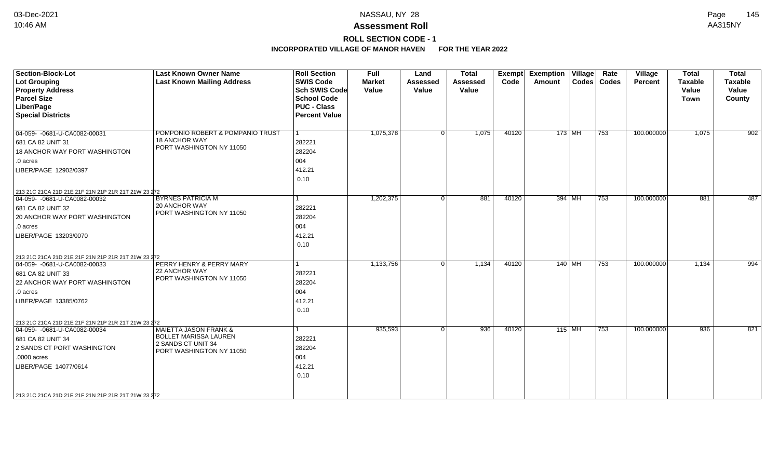#### NASSAU, NY 28 Page 03-Dec-2021 NASSAU, NY\_28 Page 145

# **Assessment Roll** 10:46 AM AA315NY

# **ROLL SECTION CODE - 1**

| Section-Block-Lot                                                                   | <b>Last Known Owner Name</b>                   | <b>Roll Section</b>  | Full          | Land            | <b>Total</b>    | <b>Exempt</b> | <b>Exemption Village</b> |          | Rate          | Village    | <b>Total</b>   | <b>Total</b>   |
|-------------------------------------------------------------------------------------|------------------------------------------------|----------------------|---------------|-----------------|-----------------|---------------|--------------------------|----------|---------------|------------|----------------|----------------|
| Lot Grouping                                                                        | <b>Last Known Mailing Address</b>              | <b>SWIS Code</b>     | <b>Market</b> | <b>Assessed</b> | <b>Assessed</b> | Code          | Amount                   |          | Codes   Codes | Percent    | <b>Taxable</b> | <b>Taxable</b> |
| <b>Property Address</b>                                                             |                                                | Sch SWIS Code        | Value         | Value           | Value           |               |                          |          |               |            | Value          | Value          |
| <b>Parcel Size</b>                                                                  |                                                | <b>School Code</b>   |               |                 |                 |               |                          |          |               |            | <b>Town</b>    | County         |
| Liber/Page                                                                          |                                                | <b>PUC - Class</b>   |               |                 |                 |               |                          |          |               |            |                |                |
| <b>Special Districts</b>                                                            |                                                | <b>Percent Value</b> |               |                 |                 |               |                          |          |               |            |                |                |
| 04-059- -0681-U-CA0082-00031                                                        | POMPONIO ROBERT & POMPANIO TRUST               | $\overline{1}$       | 1,075,378     | 0 <sup>1</sup>  | 1,075           | 40120         |                          | 173 MH   | 753           | 100.000000 | 1,075          | 902            |
| 681 CA 82 UNIT 31                                                                   | 18 ANCHOR WAY                                  | 282221               |               |                 |                 |               |                          |          |               |            |                |                |
| 18 ANCHOR WAY PORT WASHINGTON                                                       | PORT WASHINGTON NY 11050                       | 282204               |               |                 |                 |               |                          |          |               |            |                |                |
| .0 acres                                                                            |                                                | 004                  |               |                 |                 |               |                          |          |               |            |                |                |
| LIBER/PAGE 12902/0397                                                               |                                                | 412.21               |               |                 |                 |               |                          |          |               |            |                |                |
|                                                                                     |                                                | 0.10                 |               |                 |                 |               |                          |          |               |            |                |                |
|                                                                                     |                                                |                      |               |                 |                 |               |                          |          |               |            |                |                |
| 213 21C 21CA 21D 21E 21F 21N 21P 21R 21T 21W 23 272<br>04-059- -0681-U-CA0082-00032 | <b>BYRNES PATRICIA M</b>                       |                      | 1,202,375     | $\Omega$        | 881             | 40120         |                          | 394 MH   | 753           | 100.000000 | 881            | 487            |
| 681 CA 82 UNIT 32                                                                   | 20 ANCHOR WAY                                  | 282221               |               |                 |                 |               |                          |          |               |            |                |                |
| 20 ANCHOR WAY PORT WASHINGTON                                                       | PORT WASHINGTON NY 11050                       | 282204               |               |                 |                 |               |                          |          |               |            |                |                |
| .0 acres                                                                            |                                                | 004                  |               |                 |                 |               |                          |          |               |            |                |                |
| LIBER/PAGE 13203/0070                                                               |                                                | 412.21               |               |                 |                 |               |                          |          |               |            |                |                |
|                                                                                     |                                                | 0.10                 |               |                 |                 |               |                          |          |               |            |                |                |
|                                                                                     |                                                |                      |               |                 |                 |               |                          |          |               |            |                |                |
| 213 21C 21CA 21D 21E 21F 21N 21P 21R 21T 21W 23 272<br>04-059- -0681-U-CA0082-00033 | PERRY HENRY & PERRY MARY                       |                      | 1,133,756     | 0 <sup>1</sup>  | 1,134           | 40120         |                          | $140$ MH | 753           | 100.000000 | 1,134          | 994            |
| 681 CA 82 UNIT 33                                                                   | 22 ANCHOR WAY                                  | 282221               |               |                 |                 |               |                          |          |               |            |                |                |
| 22 ANCHOR WAY PORT WASHINGTON                                                       | PORT WASHINGTON NY 11050                       | 282204               |               |                 |                 |               |                          |          |               |            |                |                |
| .0 acres                                                                            |                                                | 004                  |               |                 |                 |               |                          |          |               |            |                |                |
| LIBER/PAGE 13385/0762                                                               |                                                | 412.21               |               |                 |                 |               |                          |          |               |            |                |                |
|                                                                                     |                                                | 0.10                 |               |                 |                 |               |                          |          |               |            |                |                |
| 213 21C 21CA 21D 21E 21F 21N 21P 21R 21T 21W 23 272                                 |                                                |                      |               |                 |                 |               |                          |          |               |            |                |                |
| 04-059- -0681-U-CA0082-00034                                                        | MAIETTA JASON FRANK &                          |                      | 935,593       | $\Omega$        | 936             | 40120         |                          | $115$ MH | 753           | 100.000000 | 936            | 821            |
| 681 CA 82 UNIT 34                                                                   | BOLLET MARISSA LAUREN                          | 282221               |               |                 |                 |               |                          |          |               |            |                |                |
| 2 SANDS CT PORT WASHINGTON                                                          | 2 SANDS CT UNIT 34<br>PORT WASHINGTON NY 11050 | 282204               |               |                 |                 |               |                          |          |               |            |                |                |
| .0000 acres                                                                         |                                                | 004                  |               |                 |                 |               |                          |          |               |            |                |                |
| LIBER/PAGE 14077/0614                                                               |                                                | 412.21               |               |                 |                 |               |                          |          |               |            |                |                |
|                                                                                     |                                                | 0.10                 |               |                 |                 |               |                          |          |               |            |                |                |
|                                                                                     |                                                |                      |               |                 |                 |               |                          |          |               |            |                |                |
| 213 21C 21CA 21D 21E 21F 21N 21P 21R 21T 21W 23 272                                 |                                                |                      |               |                 |                 |               |                          |          |               |            |                |                |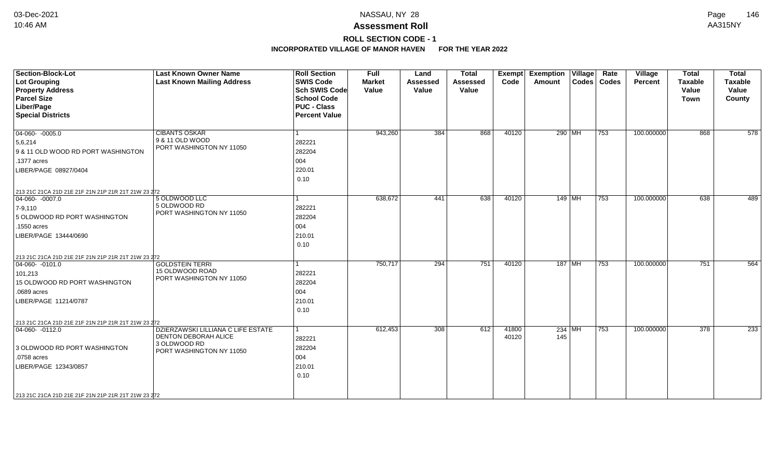# **ROLL SECTION CODE - 1**

| <b>Section-Block-Lot</b>                                                | <b>Last Known Owner Name</b>         | <b>Roll Section</b>  | Full          | Land            | <b>Total</b>    | Exempt | <b>Exemption Village</b> | Rate          | Village    | <b>Total</b>   | <b>Total</b>   |
|-------------------------------------------------------------------------|--------------------------------------|----------------------|---------------|-----------------|-----------------|--------|--------------------------|---------------|------------|----------------|----------------|
| Lot Grouping                                                            | <b>Last Known Mailing Address</b>    | <b>SWIS Code</b>     | <b>Market</b> | <b>Assessed</b> | <b>Assessed</b> | Code   | Amount                   | Codes   Codes | Percent    | <b>Taxable</b> | <b>Taxable</b> |
| <b>Property Address</b>                                                 |                                      | <b>Sch SWIS Code</b> | Value         | Value           | Value           |        |                          |               |            | Value          | Value          |
| <b>Parcel Size</b>                                                      |                                      | <b>School Code</b>   |               |                 |                 |        |                          |               |            | <b>Town</b>    | County         |
| Liber/Page                                                              |                                      | <b>PUC - Class</b>   |               |                 |                 |        |                          |               |            |                |                |
| <b>Special Districts</b>                                                |                                      | <b>Percent Value</b> |               |                 |                 |        |                          |               |            |                |                |
|                                                                         |                                      |                      |               |                 |                 |        |                          |               |            |                |                |
| $\boxed{04-060 - 0005.0}$                                               | <b>CIBANTS OSKAR</b>                 |                      | 943,260       | 384             | 868             | 40120  | $290$ MH                 | 753           | 100.000000 | 868            | 578            |
| 5,6,214                                                                 | 9 & 11 OLD WOOD                      | 282221               |               |                 |                 |        |                          |               |            |                |                |
| 9 & 11 OLD WOOD RD PORT WASHINGTON                                      | PORT WASHINGTON NY 11050             | 282204               |               |                 |                 |        |                          |               |            |                |                |
| .1377 acres                                                             |                                      | 004                  |               |                 |                 |        |                          |               |            |                |                |
| LIBER/PAGE 08927/0404                                                   |                                      | 220.01               |               |                 |                 |        |                          |               |            |                |                |
|                                                                         |                                      | 0.10                 |               |                 |                 |        |                          |               |            |                |                |
|                                                                         |                                      |                      |               |                 |                 |        |                          |               |            |                |                |
| 213 21C 21CA 21D 21E 21F 21N 21P 21R 21T 21W 23 272<br>$ 04-060-0007.0$ | 5 OLDWOOD LLC                        |                      | 638,672       | 441             | 638             | 40120  | 149 MH                   | 753           | 100.000000 | 638            | 489            |
| $7 - 9,110$                                                             | 5 OLDWOOD RD                         | 282221               |               |                 |                 |        |                          |               |            |                |                |
| 5 OLDWOOD RD PORT WASHINGTON                                            | PORT WASHINGTON NY 11050             | 282204               |               |                 |                 |        |                          |               |            |                |                |
| .1550 acres                                                             |                                      | 004                  |               |                 |                 |        |                          |               |            |                |                |
| LIBER/PAGE 13444/0690                                                   |                                      | 210.01               |               |                 |                 |        |                          |               |            |                |                |
|                                                                         |                                      | 0.10                 |               |                 |                 |        |                          |               |            |                |                |
|                                                                         |                                      |                      |               |                 |                 |        |                          |               |            |                |                |
| 213 21C 21CA 21D 21E 21F 21N 21P 21R 21T 21W 23 272                     | <b>GOLDSTEIN TERRI</b>               |                      | 750,717       | 294             | 751             | 40120  | $187$ MH                 | 753           | 100.000000 | 751            | 564            |
| $\boxed{04-060 - 0101.0}$                                               | 15 OLDWOOD ROAD                      |                      |               |                 |                 |        |                          |               |            |                |                |
| 101,213                                                                 | PORT WASHINGTON NY 11050             | 282221               |               |                 |                 |        |                          |               |            |                |                |
| 15 OLDWOOD RD PORT WASHINGTON                                           |                                      | 282204               |               |                 |                 |        |                          |               |            |                |                |
| .0689 acres                                                             |                                      | 004                  |               |                 |                 |        |                          |               |            |                |                |
| LIBER/PAGE 11214/0787                                                   |                                      | 210.01               |               |                 |                 |        |                          |               |            |                |                |
|                                                                         |                                      | 0.10                 |               |                 |                 |        |                          |               |            |                |                |
| 213 21C 21CA 21D 21E 21F 21N 21P 21R 21T 21W 23 272                     |                                      |                      |               |                 |                 |        |                          |               |            |                |                |
| $ 04-060-0112.0$                                                        | DZIERZAWSKI LILLIANA C LIFE ESTATE   |                      | 612,453       | 308             | 612             | 41800  | $234$ MH                 | 753           | 100.000000 | 378            | 233            |
|                                                                         | DENTON DEBORAH ALICE<br>3 OLDWOOD RD | 282221               |               |                 |                 | 40120  | 145                      |               |            |                |                |
| 3 OLDWOOD RD PORT WASHINGTON                                            | PORT WASHINGTON NY 11050             | 282204               |               |                 |                 |        |                          |               |            |                |                |
| .0758 acres                                                             |                                      | 004                  |               |                 |                 |        |                          |               |            |                |                |
| LIBER/PAGE 12343/0857                                                   |                                      | 210.01               |               |                 |                 |        |                          |               |            |                |                |
|                                                                         |                                      | 0.10                 |               |                 |                 |        |                          |               |            |                |                |
|                                                                         |                                      |                      |               |                 |                 |        |                          |               |            |                |                |
| 213 21C 21CA 21D 21E 21F 21N 21P 21R 21T 21W 23 272                     |                                      |                      |               |                 |                 |        |                          |               |            |                |                |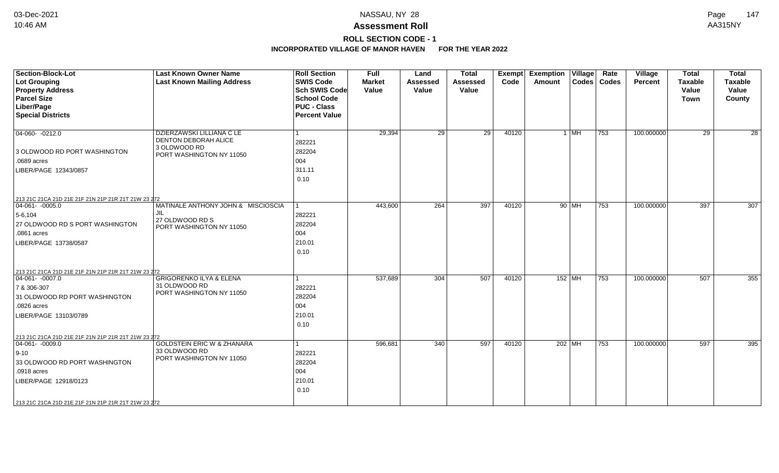# **ROLL SECTION CODE - 1**

| <b>Section-Block-Lot</b><br>Lot Grouping<br><b>Property Address</b><br><b>Parcel Size</b><br>Liber/Page<br><b>Special Districts</b>                                                                                   | <b>Last Known Owner Name</b><br><b>Last Known Mailing Address</b>                             | <b>Roll Section</b><br><b>SWIS Code</b><br><b>Sch SWIS Code</b><br><b>School Code</b><br><b>PUC - Class</b><br><b>Percent Value</b> | <b>Full</b><br><b>Market</b><br>Value | Land<br><b>Assessed</b><br>Value | <b>Total</b><br><b>Assessed</b><br>Value | <b>Exempt</b><br>Code | Exemption Village<br><b>Amount</b> |          | Rate<br>Codes   Codes | Village<br><b>Percent</b> | <b>Total</b><br><b>Taxable</b><br>Value<br><b>Town</b> | <b>Total</b><br><b>Taxable</b><br>Value<br>County |
|-----------------------------------------------------------------------------------------------------------------------------------------------------------------------------------------------------------------------|-----------------------------------------------------------------------------------------------|-------------------------------------------------------------------------------------------------------------------------------------|---------------------------------------|----------------------------------|------------------------------------------|-----------------------|------------------------------------|----------|-----------------------|---------------------------|--------------------------------------------------------|---------------------------------------------------|
| $ 04-060-0212.0$<br>3 OLDWOOD RD PORT WASHINGTON<br>.0689 acres<br>LIBER/PAGE 12343/0857                                                                                                                              | DZIERZAWSKI LILLIANA C LE<br>DENTON DEBORAH ALICE<br>3 OLDWOOD RD<br>PORT WASHINGTON NY 11050 | 282221<br>282204<br>004<br>311.11<br>0.10                                                                                           | 29,394                                | 29                               | 29                                       | 40120                 |                                    | 1 MH     | 753                   | 100.000000                | 29                                                     | 28                                                |
| 213 21C 21CA 21D 21E 21F 21N 21P 21R 21T 21W 23 272<br>$ 04-061-0005.0$<br>$5-6,104$<br>27 OLDWOOD RD S PORT WASHINGTON<br>.0861 acres<br>LIBER/PAGE 13738/0587                                                       | MATINALE ANTHONY JOHN & MISCIOSCIA<br>JIL<br>27 OLDWOOD RD S<br>PORT WASHINGTON NY 11050      | 1<br>282221<br>282204<br>004<br>210.01<br>0.10                                                                                      | 443,600                               | 264                              | 397                                      | 40120                 |                                    | 90 MH    | 753                   | 100.000000                | 397                                                    | 307                                               |
| 213 21C 21CA 21D 21E 21F 21N 21P 21R 21T 21W 23 272<br>$\boxed{04-061 - 0007.0}$<br>7 & 306-307<br>31 OLDWOOD RD PORT WASHINGTON<br>.0826 acres<br>LIBER/PAGE 13103/0789                                              | <b>GRIGORENKO ILYA &amp; ELENA</b><br>31 OLDWOOD RD<br>PORT WASHINGTON NY 11050               | 1<br>282221<br>282204<br>004<br>210.01<br>0.10                                                                                      | 537,689                               | 304                              | 507                                      | 40120                 | $152$ MH                           |          | 753                   | 100.000000                | $\overline{507}$                                       | 355                                               |
| 213 21C 21CA 21D 21E 21F 21N 21P 21R 21T 21W 23 272<br>$ 04-061-0009.0$<br>$ 9 - 10 $<br>33 OLDWOOD RD PORT WASHINGTON<br>.0918 acres<br>LIBER/PAGE 12918/0123<br>213 21C 21CA 21D 21E 21F 21N 21P 21R 21T 21W 23 272 | <b>GOLDSTEIN ERIC W &amp; ZHANARA</b><br>33 OLDWOOD RD<br>PORT WASHINGTON NY 11050            | 1<br>282221<br>282204<br>004<br>210.01<br>0.10                                                                                      | 596,681                               | 340                              | 597                                      | 40120                 |                                    | 202   MH | 753                   | 100.000000                | 597                                                    | 395                                               |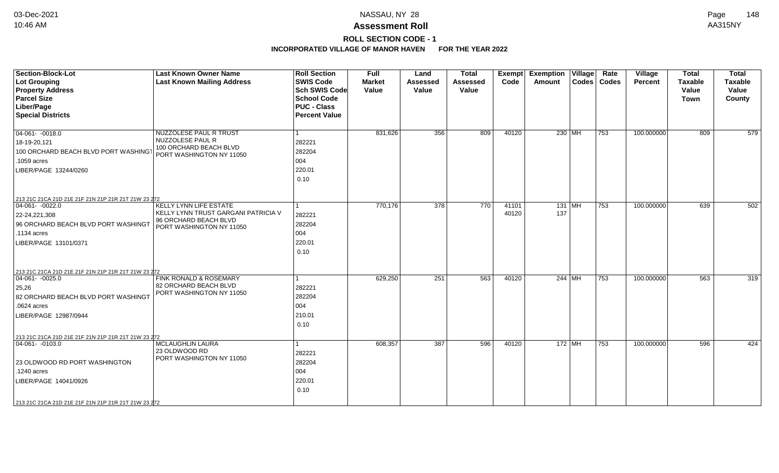# **ROLL SECTION CODE - 1**

| <b>Section-Block-Lot</b><br><b>Lot Grouping</b>                           | <b>Last Known Owner Name</b><br><b>Last Known Mailing Address</b> | <b>Roll Section</b><br><b>SWIS Code</b> | Full<br><b>Market</b> | Land<br><b>Assessed</b> | <b>Total</b><br><b>Assessed</b> | Exempt<br>Code | <b>Exemption Village</b><br>Amount | Rate<br>Codes   Codes | Village<br><b>Percent</b> | <b>Total</b><br><b>Taxable</b> | <b>Total</b><br><b>Taxable</b> |
|---------------------------------------------------------------------------|-------------------------------------------------------------------|-----------------------------------------|-----------------------|-------------------------|---------------------------------|----------------|------------------------------------|-----------------------|---------------------------|--------------------------------|--------------------------------|
| <b>Property Address</b>                                                   |                                                                   | Sch SWIS Code                           | Value                 | Value                   | Value                           |                |                                    |                       |                           | Value                          | Value                          |
| <b>Parcel Size</b>                                                        |                                                                   | <b>School Code</b>                      |                       |                         |                                 |                |                                    |                       |                           | Town                           | County                         |
| Liber/Page                                                                |                                                                   | <b>PUC - Class</b>                      |                       |                         |                                 |                |                                    |                       |                           |                                |                                |
| <b>Special Districts</b>                                                  |                                                                   | <b>Percent Value</b>                    |                       |                         |                                 |                |                                    |                       |                           |                                |                                |
| $\boxed{04-061 - 0018.0}$                                                 | NUZZOLESE PAUL R TRUST                                            |                                         | 831,626               | 356                     | 809                             | 40120          | 230 MH                             | 753                   | 100.000000                | 809                            | 579                            |
| 18-19-20,121                                                              | NUZZOLESE PAUL R                                                  | 282221                                  |                       |                         |                                 |                |                                    |                       |                           |                                |                                |
| 100 ORCHARD BEACH BLVD PORT WASHINGT                                      | 100 ORCHARD BEACH BLVD<br>PORT WASHINGTON NY 11050                | 282204                                  |                       |                         |                                 |                |                                    |                       |                           |                                |                                |
| .1059 acres                                                               |                                                                   | 004                                     |                       |                         |                                 |                |                                    |                       |                           |                                |                                |
| LIBER/PAGE 13244/0260                                                     |                                                                   | 220.01                                  |                       |                         |                                 |                |                                    |                       |                           |                                |                                |
|                                                                           |                                                                   | 0.10                                    |                       |                         |                                 |                |                                    |                       |                           |                                |                                |
| 213 21C 21CA 21D 21E 21F 21N 21P 21R 21T 21W 23 272                       |                                                                   |                                         |                       |                         |                                 |                |                                    |                       |                           |                                |                                |
| $04-061 - -0022.0$                                                        | KELLY LYNN LIFE ESTATE                                            |                                         | 770,176               | 378                     | 770                             | 41101          | 131 MH                             | 753                   | 100.000000                | 639                            | 502                            |
| 22-24,221,308                                                             | KELLY LYNN TRUST GARGANI PATRICIA V                               | 282221                                  |                       |                         |                                 | 40120          | 137                                |                       |                           |                                |                                |
| 96 ORCHARD BEACH BLVD PORT WASHINGT                                       | 96 ORCHARD BEACH BLVD<br>PORT WASHINGTON NY 11050                 | 282204                                  |                       |                         |                                 |                |                                    |                       |                           |                                |                                |
| .1134 acres                                                               |                                                                   | 004                                     |                       |                         |                                 |                |                                    |                       |                           |                                |                                |
| LIBER/PAGE 13101/0371                                                     |                                                                   | 220.01                                  |                       |                         |                                 |                |                                    |                       |                           |                                |                                |
|                                                                           |                                                                   | 0.10                                    |                       |                         |                                 |                |                                    |                       |                           |                                |                                |
| 213 21C 21CA 21D 21E 21F 21N 21P 21R 21T 21W 23 272                       |                                                                   |                                         |                       |                         |                                 |                |                                    |                       |                           |                                |                                |
| $ 04-061-0025.0$                                                          | FINK RONALD & ROSEMARY                                            |                                         | 629,250               | 251                     | 563                             | 40120          | 244 MH                             | 753                   | 100.000000                | 563                            | 319                            |
| 25,26                                                                     | 82 ORCHARD BEACH BLVD                                             | 282221                                  |                       |                         |                                 |                |                                    |                       |                           |                                |                                |
| 82 ORCHARD BEACH BLVD PORT WASHINGT                                       | PORT WASHINGTON NY 11050                                          | 282204                                  |                       |                         |                                 |                |                                    |                       |                           |                                |                                |
| .0624 acres                                                               |                                                                   | 004                                     |                       |                         |                                 |                |                                    |                       |                           |                                |                                |
| LIBER/PAGE 12987/0944                                                     |                                                                   | 210.01                                  |                       |                         |                                 |                |                                    |                       |                           |                                |                                |
|                                                                           |                                                                   | 0.10                                    |                       |                         |                                 |                |                                    |                       |                           |                                |                                |
|                                                                           |                                                                   |                                         |                       |                         |                                 |                |                                    |                       |                           |                                |                                |
| 213 21C 21CA 21D 21E 21F 21N 21P 21R 21T 21W 23 272<br>$ 04-061- -0103.0$ | MCLAUGHLIN LAURA                                                  |                                         | 608,357               | 387                     | 596                             | 40120          | 172 MH                             | 753                   | 100.000000                | 596                            | 424                            |
|                                                                           | 23 OLDWOOD RD                                                     | 282221                                  |                       |                         |                                 |                |                                    |                       |                           |                                |                                |
| 23 OLDWOOD RD PORT WASHINGTON                                             | PORT WASHINGTON NY 11050                                          | 282204                                  |                       |                         |                                 |                |                                    |                       |                           |                                |                                |
| 1240 acres.                                                               |                                                                   | 004                                     |                       |                         |                                 |                |                                    |                       |                           |                                |                                |
| LIBER/PAGE 14041/0926                                                     |                                                                   | 220.01                                  |                       |                         |                                 |                |                                    |                       |                           |                                |                                |
|                                                                           |                                                                   | 0.10                                    |                       |                         |                                 |                |                                    |                       |                           |                                |                                |
| 213 21C 21CA 21D 21E 21F 21N 21P 21R 21T 21W 23 272                       |                                                                   |                                         |                       |                         |                                 |                |                                    |                       |                           |                                |                                |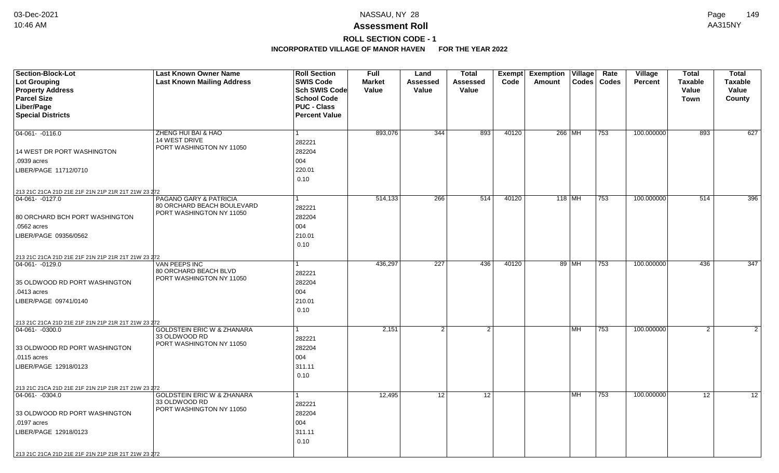# **ROLL SECTION CODE - 1**

| Section-Block-Lot                                   | <b>Last Known Owner Name</b>          | <b>Roll Section</b>                      | <b>Full</b>            | Land              | <b>Total</b>             | <b>Exempt</b> | <b>Exemption Village</b> | Rate          | Village        | <b>Total</b>            | <b>Total</b>            |
|-----------------------------------------------------|---------------------------------------|------------------------------------------|------------------------|-------------------|--------------------------|---------------|--------------------------|---------------|----------------|-------------------------|-------------------------|
| <b>Lot Grouping</b>                                 | <b>Last Known Mailing Address</b>     | <b>SWIS Code</b><br><b>Sch SWIS Code</b> | <b>Market</b><br>Value | Assessed<br>Value | <b>Assessed</b><br>Value | Code          | Amount                   | Codes   Codes | <b>Percent</b> | <b>Taxable</b><br>Value | <b>Taxable</b><br>Value |
| <b>Property Address</b><br><b>Parcel Size</b>       |                                       | <b>School Code</b>                       |                        |                   |                          |               |                          |               |                | <b>Town</b>             | County                  |
| Liber/Page                                          |                                       | <b>PUC - Class</b>                       |                        |                   |                          |               |                          |               |                |                         |                         |
| <b>Special Districts</b>                            |                                       | <b>Percent Value</b>                     |                        |                   |                          |               |                          |               |                |                         |                         |
|                                                     |                                       |                                          |                        |                   |                          |               |                          |               |                |                         |                         |
| $04-061 - -0116.0$                                  | ZHENG HUI BAI & HAO                   | 1                                        | 893,076                | 344               | 893                      | 40120         | 266 MH                   | 753           | 100.000000     | 893                     | 627                     |
|                                                     | 14 WEST DRIVE                         | 282221                                   |                        |                   |                          |               |                          |               |                |                         |                         |
| 14 WEST DR PORT WASHINGTON                          | PORT WASHINGTON NY 11050              | 282204                                   |                        |                   |                          |               |                          |               |                |                         |                         |
| .0939 acres                                         |                                       | 004                                      |                        |                   |                          |               |                          |               |                |                         |                         |
| LIBER/PAGE 11712/0710                               |                                       | 220.01                                   |                        |                   |                          |               |                          |               |                |                         |                         |
|                                                     |                                       | 0.10                                     |                        |                   |                          |               |                          |               |                |                         |                         |
| 213 21C 21CA 21D 21E 21F 21N 21P 21R 21T 21W 23 272 |                                       |                                          |                        |                   |                          |               |                          |               |                |                         |                         |
| 04-061-0127.0                                       | PAGANO GARY & PATRICIA                | 1                                        | 514,133                | 266               | 514                      | 40120         | 118 MH                   | 753           | 100.000000     | 514                     | 396                     |
|                                                     | 80 ORCHARD BEACH BOULEVARD            | 282221                                   |                        |                   |                          |               |                          |               |                |                         |                         |
| 80 ORCHARD BCH PORT WASHINGTON                      | PORT WASHINGTON NY 11050              | 282204                                   |                        |                   |                          |               |                          |               |                |                         |                         |
| .0562 acres                                         |                                       | 004                                      |                        |                   |                          |               |                          |               |                |                         |                         |
| LIBER/PAGE 09356/0562                               |                                       | 210.01                                   |                        |                   |                          |               |                          |               |                |                         |                         |
|                                                     |                                       | 0.10                                     |                        |                   |                          |               |                          |               |                |                         |                         |
| 213 21C 21CA 21D 21E 21F 21N 21P 21R 21T 21W 23 272 |                                       |                                          |                        |                   |                          |               |                          |               |                |                         |                         |
| 04-061- -0129.0                                     | <b>VAN PEEPS INC</b>                  |                                          | 436,297                | 227               | 436                      | 40120         | 89 MH                    | 753           | 100.000000     | 436                     | 347                     |
|                                                     | 80 ORCHARD BEACH BLVD                 | 282221                                   |                        |                   |                          |               |                          |               |                |                         |                         |
| 35 OLDWOOD RD PORT WASHINGTON                       | PORT WASHINGTON NY 11050              | 282204                                   |                        |                   |                          |               |                          |               |                |                         |                         |
| .0413 acres                                         |                                       | 004                                      |                        |                   |                          |               |                          |               |                |                         |                         |
| LIBER/PAGE 09741/0140                               |                                       | 210.01                                   |                        |                   |                          |               |                          |               |                |                         |                         |
|                                                     |                                       | 0.10                                     |                        |                   |                          |               |                          |               |                |                         |                         |
| 213 21C 21CA 21D 21E 21F 21N 21P 21R 21T 21W 23 272 |                                       |                                          |                        |                   |                          |               |                          |               |                |                         |                         |
| $ 04-061- -0300.0$                                  | <b>GOLDSTEIN ERIC W &amp; ZHANARA</b> | 1                                        | 2,151                  | 2 <sup>1</sup>    | 2                        |               | l MH                     | 753           | 100.000000     | 2                       | 2                       |
|                                                     | 33 OLDWOOD RD                         | 282221                                   |                        |                   |                          |               |                          |               |                |                         |                         |
| 33 OLDWOOD RD PORT WASHINGTON                       | PORT WASHINGTON NY 11050              | 282204                                   |                        |                   |                          |               |                          |               |                |                         |                         |
| .0115 acres                                         |                                       | 004                                      |                        |                   |                          |               |                          |               |                |                         |                         |
| LIBER/PAGE 12918/0123                               |                                       | 311.11                                   |                        |                   |                          |               |                          |               |                |                         |                         |
|                                                     |                                       | 0.10                                     |                        |                   |                          |               |                          |               |                |                         |                         |
| 213 21C 21CA 21D 21E 21F 21N 21P 21R 21T 21W 23 272 |                                       |                                          |                        |                   |                          |               |                          |               |                |                         |                         |
| 04-061- -0304.0                                     | <b>GOLDSTEIN ERIC W &amp; ZHANARA</b> | 1                                        | 12,495                 | 12                | 12                       |               | <b>MH</b>                | 753           | 100.000000     | 12                      | 12                      |
|                                                     | 33 OLDWOOD RD                         | 282221                                   |                        |                   |                          |               |                          |               |                |                         |                         |
| 33 OLDWOOD RD PORT WASHINGTON                       | PORT WASHINGTON NY 11050              | 282204                                   |                        |                   |                          |               |                          |               |                |                         |                         |
| .0197 acres                                         |                                       | 004                                      |                        |                   |                          |               |                          |               |                |                         |                         |
| LIBER/PAGE 12918/0123                               |                                       | 311.11                                   |                        |                   |                          |               |                          |               |                |                         |                         |
|                                                     |                                       | 0.10                                     |                        |                   |                          |               |                          |               |                |                         |                         |
| 213 21C 21CA 21D 21E 21F 21N 21P 21R 21T 21W 23 272 |                                       |                                          |                        |                   |                          |               |                          |               |                |                         |                         |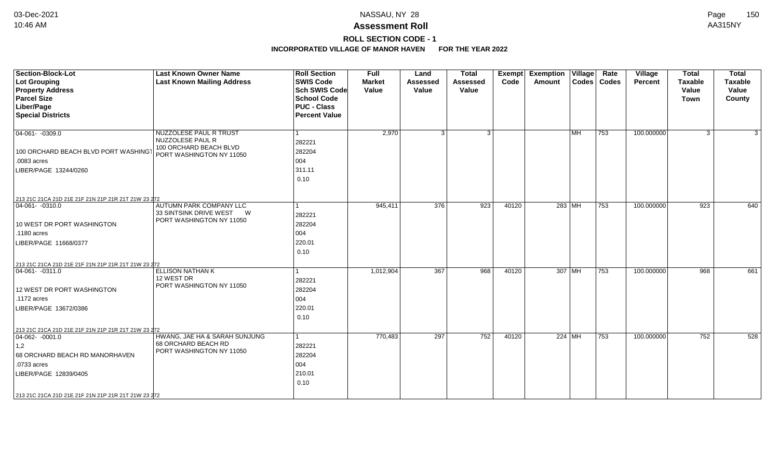# **ROLL SECTION CODE - 1**

| Section-Block-Lot<br>Lot Grouping<br><b>Property Address</b><br><b>Parcel Size</b><br>Liber/Page<br><b>Special Districts</b>                              | <b>Last Known Owner Name</b><br><b>Last Known Mailing Address</b>                                | <b>Roll Section</b><br><b>SWIS Code</b><br><b>Sch SWIS Code</b><br><b>School Code</b><br><b>PUC - Class</b><br><b>Percent Value</b> | Full<br><b>Market</b><br>Value | Land<br><b>Assessed</b><br>Value | <b>Total</b><br><b>Assessed</b><br>Value | Exempt<br>Code | <b>Exemption Village</b><br>Amount |                           | Rate<br>Codes   Codes | Village<br>Percent | <b>Total</b><br><b>Taxable</b><br>Value<br><b>Town</b> | <b>Total</b><br><b>Taxable</b><br>Value<br>County |
|-----------------------------------------------------------------------------------------------------------------------------------------------------------|--------------------------------------------------------------------------------------------------|-------------------------------------------------------------------------------------------------------------------------------------|--------------------------------|----------------------------------|------------------------------------------|----------------|------------------------------------|---------------------------|-----------------------|--------------------|--------------------------------------------------------|---------------------------------------------------|
| $ 04-061-0309.0$<br>100 ORCHARD BEACH BLVD PORT WASHING<br>.0083 acres<br>LIBER/PAGE 13244/0260<br>213 21C 21CA 21D 21E 21F 21N 21P 21R 21T 21W 23 272    | NUZZOLESE PAUL R TRUST<br>NUZZOLESE PAUL R<br>100 ORCHARD BEACH BLVD<br>PORT WASHINGTON NY 11050 | 282221<br>282204<br>004<br>311.11<br>0.10                                                                                           | 2,970                          | 3                                | 3                                        |                |                                    | $\overline{\mathsf{IMH}}$ | 753                   | 100.000000         | 3                                                      | 3                                                 |
| $04-061 - -0310.0$<br>10 WEST DR PORT WASHINGTON<br>.1180 acres<br>LIBER/PAGE 11668/0377<br>213 21C 21CA 21D 21E 21F 21N 21P 21R 21T 21W 23 272           | AUTUMN PARK COMPANY LLC<br>33 SINTSINK DRIVE WEST<br><b>W</b><br>PORT WASHINGTON NY 11050        | 282221<br>282204<br>004<br>220.01<br>0.10                                                                                           | 945,411                        | 376                              | 923                                      | 40120          | 283 MH                             |                           | 753                   | 100.000000         | 923                                                    | 640                                               |
| $ 04-061-0311.0$<br>12 WEST DR PORT WASHINGTON<br>.1172 acres<br>LIBER/PAGE 13672/0386<br>213 21C 21CA 21D 21E 21F 21N 21P 21R 21T 21W 23 272             | <b>ELLISON NATHAN K</b><br>12 WEST DR<br>PORT WASHINGTON NY 11050                                | 282221<br>282204<br>004<br>220.01<br>0.10                                                                                           | 1,012,904                      | 367                              | 968                                      | 40120          |                                    | 307 MH                    | 753                   | 100.000000         | 968                                                    | 661                                               |
| $ 04-062-0001.0$<br> 1,2<br>68 ORCHARD BEACH RD MANORHAVEN<br>.0733 acres<br>LIBER/PAGE 12839/0405<br>213 21C 21CA 21D 21E 21F 21N 21P 21R 21T 21W 23 272 | HWANG, JAE HA & SARAH SUNJUNG<br>68 ORCHARD BEACH RD<br>PORT WASHINGTON NY 11050                 | 282221<br>282204<br>004<br>210.01<br>0.10                                                                                           | 770,483                        | 297                              | 752                                      | 40120          |                                    | 224   MH                  | 753                   | 100.000000         | 752                                                    | 528                                               |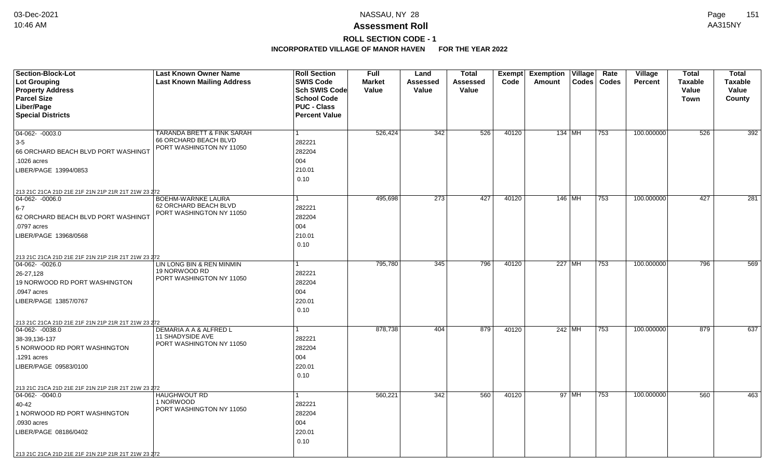# **ROLL SECTION CODE - 1**

| <b>Section-Block-Lot</b>                            | <b>Last Known Owner Name</b>                 | <b>Roll Section</b>  | <b>Full</b>   | Land            | <b>Total</b> | Exempt | <b>Exemption Village</b> | Rate  | Village        | Total          | <b>Total</b>     |
|-----------------------------------------------------|----------------------------------------------|----------------------|---------------|-----------------|--------------|--------|--------------------------|-------|----------------|----------------|------------------|
| <b>Lot Grouping</b>                                 | <b>Last Known Mailing Address</b>            | <b>SWIS Code</b>     | <b>Market</b> | <b>Assessed</b> | Assessed     | Code   | <b>Codes</b><br>Amount   | Codes | <b>Percent</b> | <b>Taxable</b> | <b>Taxable</b>   |
| <b>Property Address</b>                             |                                              | Sch SWIS Code        | Value         | <b>Value</b>    | Value        |        |                          |       |                | Value          | Value            |
| <b>Parcel Size</b>                                  |                                              | <b>School Code</b>   |               |                 |              |        |                          |       |                | <b>Town</b>    | County           |
| Liber/Page                                          |                                              | <b>PUC - Class</b>   |               |                 |              |        |                          |       |                |                |                  |
| <b>Special Districts</b>                            |                                              | <b>Percent Value</b> |               |                 |              |        |                          |       |                |                |                  |
| 04-062- -0003.0                                     | TARANDA BRETT & FINK SARAH                   | 1                    | 526,424       | 342             | 526          | 40120  | 134 MH                   | 753   | 100.000000     | 526            | 392              |
| $3-5$                                               | <b>66 ORCHARD BEACH BLVD</b>                 | 282221               |               |                 |              |        |                          |       |                |                |                  |
| 66 ORCHARD BEACH BLVD PORT WASHINGT                 | PORT WASHINGTON NY 11050                     | 282204               |               |                 |              |        |                          |       |                |                |                  |
| .1026 acres                                         |                                              | 004                  |               |                 |              |        |                          |       |                |                |                  |
|                                                     |                                              |                      |               |                 |              |        |                          |       |                |                |                  |
| LIBER/PAGE 13994/0853                               |                                              | 210.01               |               |                 |              |        |                          |       |                |                |                  |
|                                                     |                                              | 0.10                 |               |                 |              |        |                          |       |                |                |                  |
| 213 21C 21CA 21D 21E 21F 21N 21P 21R 21T 21W 23 272 |                                              |                      |               |                 |              |        |                          |       |                |                |                  |
| $ 04-062-0006.0$                                    | BOEHM-WARNKE LAURA<br>62 ORCHARD BEACH BLVD  | $\mathbf{1}$         | 495,698       | 273             | 427          | 40120  | $146$ MH                 | 753   | 100.000000     | 427            | $\overline{281}$ |
| $6-7$                                               | PORT WASHINGTON NY 11050                     | 282221               |               |                 |              |        |                          |       |                |                |                  |
| 62 ORCHARD BEACH BLVD PORT WASHINGT                 |                                              | 282204               |               |                 |              |        |                          |       |                |                |                  |
| .0797 acres                                         |                                              | 004                  |               |                 |              |        |                          |       |                |                |                  |
| LIBER/PAGE 13968/0568                               |                                              | 210.01               |               |                 |              |        |                          |       |                |                |                  |
|                                                     |                                              | 0.10                 |               |                 |              |        |                          |       |                |                |                  |
| 213 21C 21CA 21D 21E 21F 21N 21P 21R 21T 21W 23 272 |                                              |                      |               |                 |              |        |                          |       |                |                |                  |
| $ 04-062-0026.0$                                    | LIN LONG BIN & REN MINMIN                    | 1                    | 795,780       | 345             | 796          | 40120  | 227 MH                   | 753   | 100.000000     | 796            | 569              |
| 26-27,128                                           | 19 NORWOOD RD<br>PORT WASHINGTON NY 11050    | 282221               |               |                 |              |        |                          |       |                |                |                  |
| 19 NORWOOD RD PORT WASHINGTON                       |                                              | 282204               |               |                 |              |        |                          |       |                |                |                  |
| .0947 acres                                         |                                              | 004                  |               |                 |              |        |                          |       |                |                |                  |
| LIBER/PAGE 13857/0767                               |                                              | 220.01               |               |                 |              |        |                          |       |                |                |                  |
|                                                     |                                              | 0.10                 |               |                 |              |        |                          |       |                |                |                  |
| 213 21C 21CA 21D 21E 21F 21N 21P 21R 21T 21W 23 272 |                                              |                      |               |                 |              |        |                          |       |                |                |                  |
| $ 04-062-0038.0$                                    | DEMARIA A A & ALFRED L                       | $\mathbf{1}$         | 878,738       | 404             | 879          | 40120  | 242 MH                   | 753   | 100.000000     | 879            | 637              |
| 38-39,136-137                                       | 11 SHADYSIDE AVE<br>PORT WASHINGTON NY 11050 | 282221               |               |                 |              |        |                          |       |                |                |                  |
| 5 NORWOOD RD PORT WASHINGTON                        |                                              | 282204               |               |                 |              |        |                          |       |                |                |                  |
| .1291 acres                                         |                                              | 004                  |               |                 |              |        |                          |       |                |                |                  |
| LIBER/PAGE 09583/0100                               |                                              | 220.01               |               |                 |              |        |                          |       |                |                |                  |
|                                                     |                                              | 0.10                 |               |                 |              |        |                          |       |                |                |                  |
| 213 21C 21CA 21D 21E 21F 21N 21P 21R 21T 21W 23 272 |                                              |                      |               |                 |              |        |                          |       |                |                |                  |
| 04-062-0040.0                                       | <b>HAUGHWOUT RD</b>                          | $\mathbf{1}$         | 560,221       | 342             | 560          | 40120  | 97 MH                    | 753   | 100.000000     | 560            | 463              |
| 40-42                                               | 1 NORWOOD<br>PORT WASHINGTON NY 11050        | 282221               |               |                 |              |        |                          |       |                |                |                  |
| 1 NORWOOD RD PORT WASHINGTON                        |                                              | 282204               |               |                 |              |        |                          |       |                |                |                  |
| .0930 acres                                         |                                              | 004                  |               |                 |              |        |                          |       |                |                |                  |
| LIBER/PAGE 08186/0402                               |                                              | 220.01               |               |                 |              |        |                          |       |                |                |                  |
|                                                     |                                              | 0.10                 |               |                 |              |        |                          |       |                |                |                  |
| 213 21C 21CA 21D 21E 21F 21N 21P 21R 21T 21W 23 272 |                                              |                      |               |                 |              |        |                          |       |                |                |                  |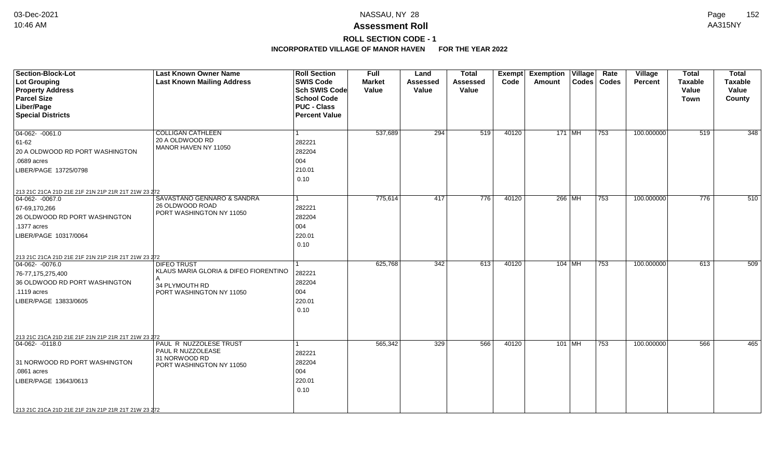# **ROLL SECTION CODE - 1**

| <b>Section-Block-Lot</b><br>Lot Grouping<br><b>Property Address</b><br><b>Parcel Size</b><br>Liber/Page                                                                                                                       | <b>Last Known Owner Name</b><br><b>Last Known Mailing Address</b>                                              | <b>Roll Section</b><br><b>SWIS Code</b><br>Sch SWIS Code<br><b>School Code</b><br><b>PUC - Class</b> | <b>Full</b><br><b>Market</b><br>Value | Land<br><b>Assessed</b><br>Value | <b>Total</b><br><b>Assessed</b><br>Value | Exempt<br>Code | <b>Exemption Village</b><br>Amount |          | Rate<br>Codes   Codes | Village<br><b>Percent</b> | <b>Total</b><br><b>Taxable</b><br>Value<br>Town | <b>Total</b><br><b>Taxable</b><br>Value<br>County |
|-------------------------------------------------------------------------------------------------------------------------------------------------------------------------------------------------------------------------------|----------------------------------------------------------------------------------------------------------------|------------------------------------------------------------------------------------------------------|---------------------------------------|----------------------------------|------------------------------------------|----------------|------------------------------------|----------|-----------------------|---------------------------|-------------------------------------------------|---------------------------------------------------|
| <b>Special Districts</b>                                                                                                                                                                                                      |                                                                                                                | <b>Percent Value</b>                                                                                 |                                       |                                  |                                          |                |                                    |          |                       |                           |                                                 |                                                   |
| $04-062 - 0061.0$<br>61-62<br>20 A OLDWOOD RD PORT WASHINGTON<br>.0689 acres<br>LIBER/PAGE 13725/0798                                                                                                                         | <b>COLLIGAN CATHLEEN</b><br>20 A OLDWOOD RD<br>MANOR HAVEN NY 11050                                            | 282221<br>282204<br>004<br>210.01<br>0.10                                                            | 537,689                               | 294                              | 519                                      | 40120          | 171 MH                             |          | 753                   | 100.000000                | 519                                             | 348                                               |
| 213 21C 21CA 21D 21E 21F 21N 21P 21R 21T 21W 23 272<br>$04-062 - 0067.0$<br>67-69,170,266<br>26 OLDWOOD RD PORT WASHINGTON<br>.1377 acres<br>LIBER/PAGE 10317/0064                                                            | SAVASTANO GENNARO & SANDRA<br>26 OLDWOOD ROAD<br>PORT WASHINGTON NY 11050                                      | 282221<br>282204<br>004<br>220.01<br>0.10                                                            | 775,614                               | 417                              | 776                                      | 40120          | 266 MH                             |          | 753                   | 100.000000                | 776                                             | 510                                               |
| 213 21C 21CA 21D 21E 21F 21N 21P 21R 21T 21W 23 272<br>$04-062 - 0076.0$<br>76-77,175,275,400<br>36 OLDWOOD RD PORT WASHINGTON<br>.1119 acres<br>LIBER/PAGE 13833/0605<br>213 21C 21CA 21D 21E 21F 21N 21P 21R 21T 21W 23 272 | <b>DIFEO TRUST</b><br>KLAUS MARIA GLORIA & DIFEO FIORENTINO<br>А<br>34 PLYMOUTH RD<br>PORT WASHINGTON NY 11050 | 282221<br>282204<br>004<br>220.01<br>0.10                                                            | 625,768                               | 342                              | 613                                      | 40120          | $104$ MH                           |          | 753                   | 100.000000                | 613                                             | 509                                               |
| $ 04-062-0118.0$<br>31 NORWOOD RD PORT WASHINGTON<br>.0861 acres<br>LIBER/PAGE 13643/0613<br>213 21C 21CA 21D 21E 21F 21N 21P 21R 21T 21W 23 272                                                                              | PAUL R NUZZOLESE TRUST<br>PAUL R NUZZOLEASE<br>31 NORWOOD RD<br>PORT WASHINGTON NY 11050                       | 282221<br>282204<br>004<br>220.01<br>0.10                                                            | 565,342                               | 329                              | 566                                      | 40120          |                                    | $101$ MH | 753                   | 100.000000                | 566                                             | 465                                               |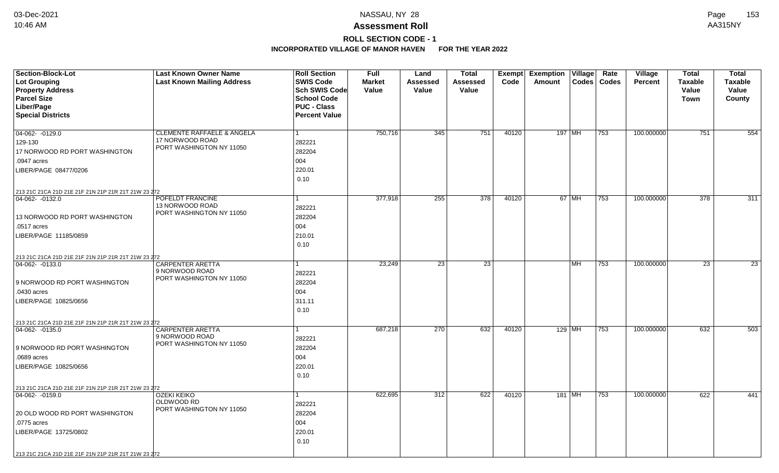# **ROLL SECTION CODE - 1**

| Section-Block-Lot                                   | <b>Last Known Owner Name</b>               | <b>Roll Section</b>                        | <b>Full</b>   | Land            | <b>Total</b>     | Exempt | <b>Exemption Village</b> | Rate  | Village        | <b>Total</b>     | <b>Total</b>     |
|-----------------------------------------------------|--------------------------------------------|--------------------------------------------|---------------|-----------------|------------------|--------|--------------------------|-------|----------------|------------------|------------------|
| <b>Lot Grouping</b>                                 | <b>Last Known Mailing Address</b>          | <b>SWIS Code</b>                           | <b>Market</b> | Assessed        | <b>Assessed</b>  | Code   | Codes<br>Amount          | Codes | <b>Percent</b> | <b>Taxable</b>   | <b>Taxable</b>   |
| <b>Property Address</b>                             |                                            | <b>Sch SWIS Code</b>                       | Value         | Value           | Value            |        |                          |       |                | Value            | Value            |
| <b>Parcel Size</b>                                  |                                            | <b>School Code</b>                         |               |                 |                  |        |                          |       |                | <b>Town</b>      | County           |
| Liber/Page<br><b>Special Districts</b>              |                                            | <b>PUC - Class</b><br><b>Percent Value</b> |               |                 |                  |        |                          |       |                |                  |                  |
|                                                     |                                            |                                            |               |                 |                  |        |                          |       |                |                  |                  |
| 04-062-0129.0                                       | <b>CLEMENTE RAFFAELE &amp; ANGELA</b>      | 1                                          | 750,716       | 345             | 751              | 40120  | 197   MH                 | 753   | 100.000000     | 751              | 554              |
| 129-130                                             | 17 NORWOOD ROAD                            | 282221                                     |               |                 |                  |        |                          |       |                |                  |                  |
| 17 NORWOOD RD PORT WASHINGTON                       | PORT WASHINGTON NY 11050                   | 282204                                     |               |                 |                  |        |                          |       |                |                  |                  |
| .0947 acres                                         |                                            | 004                                        |               |                 |                  |        |                          |       |                |                  |                  |
| LIBER/PAGE 08477/0206                               |                                            | 220.01                                     |               |                 |                  |        |                          |       |                |                  |                  |
|                                                     |                                            | 0.10                                       |               |                 |                  |        |                          |       |                |                  |                  |
| 213 21C 21CA 21D 21E 21F 21N 21P 21R 21T 21W 23 272 |                                            |                                            |               |                 |                  |        |                          |       |                |                  |                  |
| 04-062-0132.0                                       | POFELDT FRANCINE                           |                                            | 377,918       | 255             | $\overline{378}$ | 40120  | 67 MH                    | 753   | 100.000000     | $\overline{378}$ | $\overline{311}$ |
|                                                     | 13 NORWOOD ROAD                            | 282221                                     |               |                 |                  |        |                          |       |                |                  |                  |
| 13 NORWOOD RD PORT WASHINGTON                       | PORT WASHINGTON NY 11050                   | 282204                                     |               |                 |                  |        |                          |       |                |                  |                  |
| .0517 acres                                         |                                            | 004                                        |               |                 |                  |        |                          |       |                |                  |                  |
| LIBER/PAGE 11185/0859                               |                                            | 210.01                                     |               |                 |                  |        |                          |       |                |                  |                  |
|                                                     |                                            | 0.10                                       |               |                 |                  |        |                          |       |                |                  |                  |
| 213 21C 21CA 21D 21E 21F 21N 21P 21R 21T 21W 23 272 |                                            |                                            |               |                 |                  |        |                          |       |                |                  |                  |
| 04-062-0133.0                                       | <b>CARPENTER ARETTA</b>                    |                                            | 23,249        | $\overline{23}$ | $\overline{23}$  |        | MH.                      | 753   | 100.000000     | 23               | $\overline{23}$  |
|                                                     | 9 NORWOOD ROAD<br>PORT WASHINGTON NY 11050 | 282221                                     |               |                 |                  |        |                          |       |                |                  |                  |
| 9 NORWOOD RD PORT WASHINGTON                        |                                            | 282204                                     |               |                 |                  |        |                          |       |                |                  |                  |
| .0430 acres                                         |                                            | 004                                        |               |                 |                  |        |                          |       |                |                  |                  |
| LIBER/PAGE 10825/0656                               |                                            | 311.11                                     |               |                 |                  |        |                          |       |                |                  |                  |
|                                                     |                                            | 0.10                                       |               |                 |                  |        |                          |       |                |                  |                  |
| 213 21C 21CA 21D 21E 21F 21N 21P 21R 21T 21W 23 272 |                                            |                                            |               |                 |                  |        |                          |       |                |                  |                  |
| 04-062- -0135.0                                     | CARPENTER ARETTA                           | 1                                          | 687,218       | 270             | 632              | 40120  | 129   MH                 | 753   | 100.000000     | 632              | 503              |
|                                                     | 9 NORWOOD ROAD<br>PORT WASHINGTON NY 11050 | 282221                                     |               |                 |                  |        |                          |       |                |                  |                  |
| 9 NORWOOD RD PORT WASHINGTON                        |                                            | 282204                                     |               |                 |                  |        |                          |       |                |                  |                  |
| .0689 acres                                         |                                            | 004                                        |               |                 |                  |        |                          |       |                |                  |                  |
| LIBER/PAGE 10825/0656                               |                                            | 220.01                                     |               |                 |                  |        |                          |       |                |                  |                  |
|                                                     |                                            | 0.10                                       |               |                 |                  |        |                          |       |                |                  |                  |
| 213 21C 21CA 21D 21E 21F 21N 21P 21R 21T 21W 23 272 |                                            |                                            |               |                 |                  |        |                          |       |                |                  |                  |
| 04-062-0159.0                                       | <b>OZEKI KEIKO</b><br>OLDWOOD RD           | 1                                          | 622,695       | 312             | 622              | 40120  | 181 MH                   | 753   | 100.000000     | 622              | 441              |
|                                                     | PORT WASHINGTON NY 11050                   | 282221                                     |               |                 |                  |        |                          |       |                |                  |                  |
| 20 OLD WOOD RD PORT WASHINGTON                      |                                            | 282204                                     |               |                 |                  |        |                          |       |                |                  |                  |
| .0775 acres                                         |                                            | 004                                        |               |                 |                  |        |                          |       |                |                  |                  |
| LIBER/PAGE 13725/0802                               |                                            | 220.01                                     |               |                 |                  |        |                          |       |                |                  |                  |
|                                                     |                                            | 0.10                                       |               |                 |                  |        |                          |       |                |                  |                  |
| 213 21C 21CA 21D 21E 21F 21N 21P 21R 21T 21W 23 272 |                                            |                                            |               |                 |                  |        |                          |       |                |                  |                  |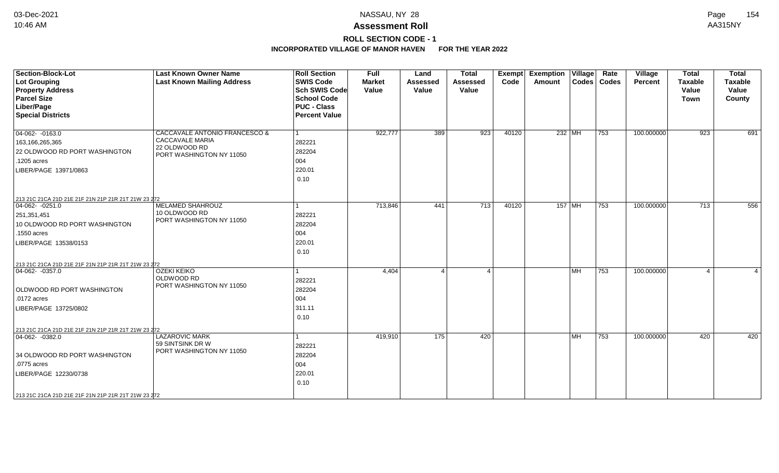# **ROLL SECTION CODE - 1**

| <b>Section-Block-Lot</b><br>Lot Grouping<br><b>Property Address</b><br><b>Parcel Size</b><br>Liber/Page<br><b>Special Districts</b>                                                                                     | <b>Last Known Owner Name</b><br><b>Last Known Mailing Address</b>                             | <b>Roll Section</b><br><b>SWIS Code</b><br><b>Sch SWIS Code</b><br><b>School Code</b><br><b>PUC - Class</b><br><b>Percent Value</b> | Full<br><b>Market</b><br>Value | Land<br><b>Assessed</b><br>Value | <b>Total</b><br><b>Assessed</b><br>Value | Exempt<br>Code | <b>Exemption Village</b><br>Amount |                          | Rate<br>Codes   Codes | Village<br>Percent | <b>Total</b><br><b>Taxable</b><br>Value<br><b>Town</b> | <b>Total</b><br><b>Taxable</b><br>Value<br>County |
|-------------------------------------------------------------------------------------------------------------------------------------------------------------------------------------------------------------------------|-----------------------------------------------------------------------------------------------|-------------------------------------------------------------------------------------------------------------------------------------|--------------------------------|----------------------------------|------------------------------------------|----------------|------------------------------------|--------------------------|-----------------------|--------------------|--------------------------------------------------------|---------------------------------------------------|
| $\boxed{04-062 - 0163.0}$<br>163,166,265,365<br>22 OLDWOOD RD PORT WASHINGTON<br>.1205 acres<br>LIBER/PAGE 13971/0863                                                                                                   | CACCAVALE ANTONIO FRANCESCO &<br>CACCAVALE MARIA<br>22 OLDWOOD RD<br>PORT WASHINGTON NY 11050 | 282221<br>282204<br>004<br>220.01<br>0.10                                                                                           | 922,777                        | 389                              | 923                                      | 40120          | $232$ MH                           |                          | 753                   | 100.000000         | 923                                                    | 691                                               |
| 213 21C 21CA 21D 21E 21F 21N 21P 21R 21T 21W 23 272<br>$04-062 - 0251.0$<br>251,351,451<br>10 OLDWOOD RD PORT WASHINGTON<br>.1550 acres<br>LIBER/PAGE 13538/0153<br>213 21C 21CA 21D 21E 21F 21N 21P 21R 21T 21W 23 272 | MELAMED SHAHROUZ<br>10 OLDWOOD RD<br>PORT WASHINGTON NY 11050                                 | 282221<br>282204<br>004<br>220.01<br>0.10                                                                                           | 713,846                        | 441                              | 713                                      | 40120          |                                    | $157$ MH                 | 753                   | 100.000000         | 713                                                    | 556                                               |
| $\boxed{04-062 - 0357.0}$<br><b>OLDWOOD RD PORT WASHINGTON</b><br>.0172 acres<br>LIBER/PAGE 13725/0802                                                                                                                  | <b>OZEKI KEIKO</b><br>OLDWOOD RD<br>PORT WASHINGTON NY 11050                                  | 282221<br>282204<br>004<br>311.11<br>0.10                                                                                           | 4,404                          |                                  | $\overline{\mathbf{A}}$                  |                |                                    | $\overline{\mathsf{MH}}$ | 753                   | 100.000000         | $\overline{4}$                                         |                                                   |
| 213 21C 21CA 21D 21E 21F 21N 21P 21R 21T 21W 23 272<br>$ 04-062-0382.0$<br>34 OLDWOOD RD PORT WASHINGTON<br>.0775 acres<br>LIBER/PAGE 12230/0738<br>213 21C 21CA 21D 21E 21F 21N 21P 21R 21T 21W 23 272                 | <b>LAZAROVIC MARK</b><br>59 SINTSINK DR W<br>PORT WASHINGTON NY 11050                         | 282221<br>282204<br>004<br>220.01<br>0.10                                                                                           | 419,910                        | 175                              | 420                                      |                |                                    | l MH                     | 753                   | 100.000000         | 420                                                    | 420                                               |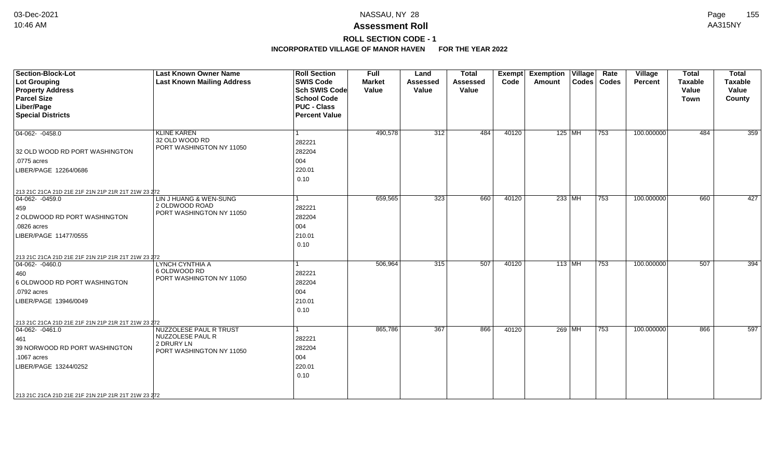# **ROLL SECTION CODE - 1**

| Section-Block-Lot                                   | <b>Last Known Owner Name</b>               | <b>Roll Section</b><br><b>SWIS Code</b> | <b>Full</b>            | Land                     | <b>Total</b>      | <b>Exempt</b> | <b>Exemption</b> | $ $ Village $ $ | Rate          | Village        | <b>Total</b>            | <b>Total</b>            |
|-----------------------------------------------------|--------------------------------------------|-----------------------------------------|------------------------|--------------------------|-------------------|---------------|------------------|-----------------|---------------|----------------|-------------------------|-------------------------|
| Lot Grouping<br><b>Property Address</b>             | <b>Last Known Mailing Address</b>          | <b>Sch SWIS Code</b>                    | <b>Market</b><br>Value | <b>Assessed</b><br>Value | Assessed<br>Value | Code          | Amount           |                 | Codes   Codes | <b>Percent</b> | <b>Taxable</b><br>Value | <b>Taxable</b><br>Value |
| <b>Parcel Size</b>                                  |                                            | <b>School Code</b>                      |                        |                          |                   |               |                  |                 |               |                | <b>Town</b>             | County                  |
| Liber/Page                                          |                                            | <b>PUC - Class</b>                      |                        |                          |                   |               |                  |                 |               |                |                         |                         |
| <b>Special Districts</b>                            |                                            | <b>Percent Value</b>                    |                        |                          |                   |               |                  |                 |               |                |                         |                         |
|                                                     |                                            |                                         |                        |                          |                   |               |                  |                 |               |                |                         |                         |
| $\boxed{04-062 - 0458.0}$                           | <b>KLINE KAREN</b>                         |                                         | 490,578                | 312                      | 484               | 40120         | $125$ MH         |                 | 753           | 100.000000     | 484                     | 359                     |
|                                                     | 32 OLD WOOD RD<br>PORT WASHINGTON NY 11050 | 282221                                  |                        |                          |                   |               |                  |                 |               |                |                         |                         |
| 32 OLD WOOD RD PORT WASHINGTON                      |                                            | 282204                                  |                        |                          |                   |               |                  |                 |               |                |                         |                         |
| $.0775$ acres                                       |                                            | 004                                     |                        |                          |                   |               |                  |                 |               |                |                         |                         |
| LIBER/PAGE 12264/0686                               |                                            | 220.01                                  |                        |                          |                   |               |                  |                 |               |                |                         |                         |
|                                                     |                                            | 0.10                                    |                        |                          |                   |               |                  |                 |               |                |                         |                         |
| 213 21C 21CA 21D 21E 21F 21N 21P 21R 21T 21W 23 272 |                                            |                                         |                        |                          |                   |               |                  |                 |               |                |                         |                         |
| $ 04-062 - 0459.0$                                  | LIN J HUANG & WEN-SUNG                     |                                         | 659,565                | 323                      | 660               | 40120         | $233$ MH         |                 | 753           | 100.000000     | 660                     | 427                     |
| 459                                                 | 2 OLDWOOD ROAD                             | 282221                                  |                        |                          |                   |               |                  |                 |               |                |                         |                         |
| 2 OLDWOOD RD PORT WASHINGTON                        | PORT WASHINGTON NY 11050                   | 282204                                  |                        |                          |                   |               |                  |                 |               |                |                         |                         |
| .0826 acres                                         |                                            | 004                                     |                        |                          |                   |               |                  |                 |               |                |                         |                         |
| LIBER/PAGE 11477/0555                               |                                            | 210.01                                  |                        |                          |                   |               |                  |                 |               |                |                         |                         |
|                                                     |                                            | 0.10                                    |                        |                          |                   |               |                  |                 |               |                |                         |                         |
| 213 21C 21CA 21D 21E 21F 21N 21P 21R 21T 21W 23 272 |                                            |                                         |                        |                          |                   |               |                  |                 |               |                |                         |                         |
| $ 04-062-0460.0$                                    | LYNCH CYNTHIA A                            |                                         | 506,964                | 315                      | 507               | 40120         | $113$ MH         |                 | 753           | 100.000000     | 507                     | 394                     |
| 460                                                 | 6 OLDWOOD RD                               | 282221                                  |                        |                          |                   |               |                  |                 |               |                |                         |                         |
| 6 OLDWOOD RD PORT WASHINGTON                        | PORT WASHINGTON NY 11050                   | 282204                                  |                        |                          |                   |               |                  |                 |               |                |                         |                         |
| .0792 acres                                         |                                            | 004                                     |                        |                          |                   |               |                  |                 |               |                |                         |                         |
| LIBER/PAGE 13946/0049                               |                                            | 210.01                                  |                        |                          |                   |               |                  |                 |               |                |                         |                         |
|                                                     |                                            | 0.10                                    |                        |                          |                   |               |                  |                 |               |                |                         |                         |
| 213 21C 21CA 21D 21E 21F 21N 21P 21R 21T 21W 23 272 |                                            |                                         |                        |                          |                   |               |                  |                 |               |                |                         |                         |
| $ 04-062-0461.0$                                    | <b>NUZZOLESE PAUL R TRUST</b>              |                                         | 865,786                | 367                      | 866               | 40120         | 269 MH           |                 | 753           | 100.000000     | 866                     | 597                     |
| 461                                                 | NUZZOLESE PAUL R<br>2 DRURY LN             | 282221                                  |                        |                          |                   |               |                  |                 |               |                |                         |                         |
| 39 NORWOOD RD PORT WASHINGTON                       | PORT WASHINGTON NY 11050                   | 282204                                  |                        |                          |                   |               |                  |                 |               |                |                         |                         |
| .1067 acres                                         |                                            | 004                                     |                        |                          |                   |               |                  |                 |               |                |                         |                         |
| LIBER/PAGE 13244/0252                               |                                            | 220.01                                  |                        |                          |                   |               |                  |                 |               |                |                         |                         |
|                                                     |                                            | 0.10                                    |                        |                          |                   |               |                  |                 |               |                |                         |                         |
|                                                     |                                            |                                         |                        |                          |                   |               |                  |                 |               |                |                         |                         |
| 213 21C 21CA 21D 21E 21F 21N 21P 21R 21T 21W 23 272 |                                            |                                         |                        |                          |                   |               |                  |                 |               |                |                         |                         |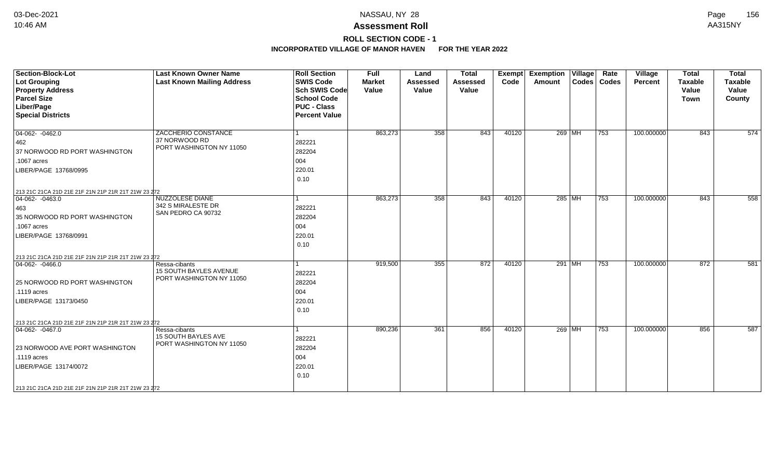# **ROLL SECTION CODE - 1**

| <b>Section-Block-Lot</b><br><b>Lot Grouping</b><br><b>Property Address</b><br><b>Parcel Size</b><br>Liber/Page<br><b>Special Districts</b>                                                               | <b>Last Known Owner Name</b><br><b>Last Known Mailing Address</b>          | <b>Roll Section</b><br><b>SWIS Code</b><br><b>Sch SWIS Code</b><br><b>School Code</b><br><b>PUC - Class</b><br><b>Percent Value</b> | <b>Full</b><br><b>Market</b><br>Value | Land<br><b>Assessed</b><br>Value | <b>Total</b><br><b>Assessed</b><br>Value | Exempt<br>Code | Exemption   Village  <br>Amount |          | Rate<br>Codes   Codes | Village<br>Percent | <b>Total</b><br><b>Taxable</b><br>Value<br><b>Town</b> | <b>Total</b><br><b>Taxable</b><br>Value<br>County |
|----------------------------------------------------------------------------------------------------------------------------------------------------------------------------------------------------------|----------------------------------------------------------------------------|-------------------------------------------------------------------------------------------------------------------------------------|---------------------------------------|----------------------------------|------------------------------------------|----------------|---------------------------------|----------|-----------------------|--------------------|--------------------------------------------------------|---------------------------------------------------|
| $04-062 - 0462.0$<br>462<br>37 NORWOOD RD PORT WASHINGTON<br>.1067 acres<br>LIBER/PAGE 13768/0995<br>213 21C 21CA 21D 21E 21F 21N 21P 21R 21T 21W 23 272                                                 | ZACCHERIO CONSTANCE<br>37 NORWOOD RD<br>PORT WASHINGTON NY 11050           | 282221<br>282204<br>004<br>220.01<br>0.10                                                                                           | 863,273                               | 358                              | 843                                      | 40120          |                                 | 269 MH   | $ 753\rangle$         | 100.000000         | 843                                                    | 574                                               |
| $ 04-062-0463.0$<br>463<br>35 NORWOOD RD PORT WASHINGTON<br>.1067 acres<br>LIBER/PAGE 13768/0991                                                                                                         | <b>NUZZOLESE DIANE</b><br>342 S MIRALESTE DR<br>SAN PEDRO CA 90732         | 1<br>282221<br>282204<br>004<br>220.01<br>0.10                                                                                      | 863,273                               | 358                              | 843                                      | 40120          |                                 | 285   MH | 753                   | 100.000000         | 843                                                    | 558                                               |
| 213 21C 21CA 21D 21E 21F 21N 21P 21R 21T 21W 23 272<br>$ 04-062-0466.0$<br>25 NORWOOD RD PORT WASHINGTON<br>.1119 acres<br>LIBER/PAGE 13173/0450                                                         | Ressa-cibants<br><b>15 SOUTH BAYLES AVENUE</b><br>PORT WASHINGTON NY 11050 | 1<br>282221<br>282204<br>004<br>220.01<br>0.10                                                                                      | 919,500                               | 355                              | 872                                      | 40120          |                                 | 291 MH   | 753                   | 100.000000         | 872                                                    | 581                                               |
| 213 21C 21CA 21D 21E 21F 21N 21P 21R 21T 21W 23 272<br>$ 04-062-0467.0$<br>23 NORWOOD AVE PORT WASHINGTON<br>.1119 acres<br>LIBER/PAGE 13174/0072<br>213 21C 21CA 21D 21E 21F 21N 21P 21R 21T 21W 23 272 | Ressa-cibants<br><b>15 SOUTH BAYLES AVE</b><br>PORT WASHINGTON NY 11050    | 1<br>282221<br>282204<br>004<br>220.01<br>0.10                                                                                      | 890,236                               | 361                              | 856                                      | 40120          |                                 | 269 MH   | 753                   | 100.000000         | 856                                                    | 587                                               |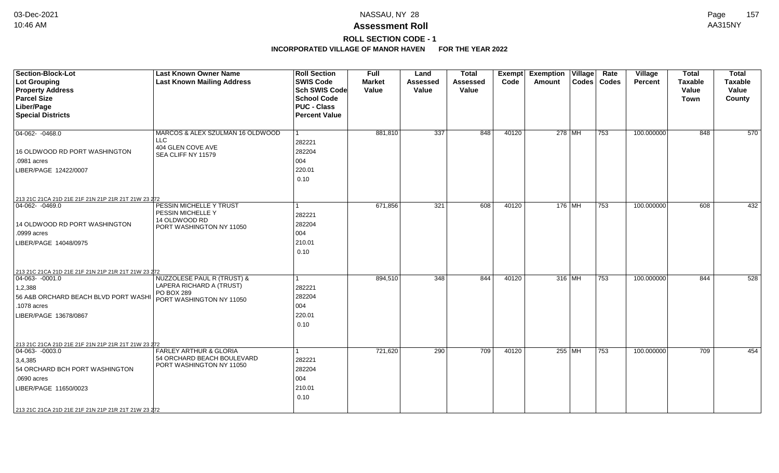# **ROLL SECTION CODE - 1**

| <b>Section-Block-Lot</b><br><b>Lot Grouping</b>     | <b>Last Known Owner Name</b><br><b>Last Known Mailing Address</b> | <b>Roll Section</b><br><b>SWIS Code</b> | <b>Full</b><br><b>Market</b> | Land<br><b>Assessed</b> | <b>Total</b><br>Assessed | Exempt<br>Code | <b>Exemption Village</b><br>Amount | Rate<br>Codes   Codes | Village<br><b>Percent</b> | <b>Total</b><br><b>Taxable</b> | <b>Total</b><br><b>Taxable</b> |
|-----------------------------------------------------|-------------------------------------------------------------------|-----------------------------------------|------------------------------|-------------------------|--------------------------|----------------|------------------------------------|-----------------------|---------------------------|--------------------------------|--------------------------------|
| <b>Property Address</b>                             |                                                                   | <b>Sch SWIS Code</b>                    | Value                        | Value                   | Value                    |                |                                    |                       |                           | Value                          | Value                          |
| <b>Parcel Size</b>                                  |                                                                   | School Code                             |                              |                         |                          |                |                                    |                       |                           | Town                           | County                         |
| Liber/Page                                          |                                                                   | <b>PUC - Class</b>                      |                              |                         |                          |                |                                    |                       |                           |                                |                                |
| <b>Special Districts</b>                            |                                                                   | <b>Percent Value</b>                    |                              |                         |                          |                |                                    |                       |                           |                                |                                |
|                                                     |                                                                   |                                         |                              |                         |                          |                |                                    |                       |                           |                                |                                |
| 04-062-0468.0                                       | MARCOS & ALEX SZULMAN 16 OLDWOOD                                  | l 1                                     | 881,810                      | 337                     | 848                      | 40120          | 278 MH                             | $ 753\rangle$         | 100.000000                | 848                            | 570                            |
|                                                     | LLC                                                               | 282221                                  |                              |                         |                          |                |                                    |                       |                           |                                |                                |
| 16 OLDWOOD RD PORT WASHINGTON                       | 404 GLEN COVE AVE<br>SEA CLIFF NY 11579                           | 282204                                  |                              |                         |                          |                |                                    |                       |                           |                                |                                |
| .0981 acres                                         |                                                                   | 004                                     |                              |                         |                          |                |                                    |                       |                           |                                |                                |
| LIBER/PAGE 12422/0007                               |                                                                   | 220.01                                  |                              |                         |                          |                |                                    |                       |                           |                                |                                |
|                                                     |                                                                   | 0.10                                    |                              |                         |                          |                |                                    |                       |                           |                                |                                |
|                                                     |                                                                   |                                         |                              |                         |                          |                |                                    |                       |                           |                                |                                |
| 213 21C 21CA 21D 21E 21F 21N 21P 21R 21T 21W 23 272 |                                                                   |                                         |                              |                         |                          |                |                                    |                       |                           |                                |                                |
| 04-062- -0469.0                                     | PESSIN MICHELLE Y TRUST                                           | $\mathbf{1}$                            | 671,856                      | 321                     | 608                      | 40120          | 176   MH                           | 753                   | 100.000000                | 608                            | 432                            |
|                                                     | PESSIN MICHELLE Y                                                 | 282221                                  |                              |                         |                          |                |                                    |                       |                           |                                |                                |
| 14 OLDWOOD RD PORT WASHINGTON                       | 14 OLDWOOD RD                                                     | 282204                                  |                              |                         |                          |                |                                    |                       |                           |                                |                                |
| .0999 acres                                         | PORT WASHINGTON NY 11050                                          | 004                                     |                              |                         |                          |                |                                    |                       |                           |                                |                                |
| LIBER/PAGE 14048/0975                               |                                                                   | 210.01                                  |                              |                         |                          |                |                                    |                       |                           |                                |                                |
|                                                     |                                                                   | 0.10                                    |                              |                         |                          |                |                                    |                       |                           |                                |                                |
|                                                     |                                                                   |                                         |                              |                         |                          |                |                                    |                       |                           |                                |                                |
| 213 21C 21CA 21D 21E 21F 21N 21P 21R 21T 21W 23 272 |                                                                   |                                         |                              |                         |                          |                |                                    |                       |                           |                                |                                |
| $04-063 - 0001.0$                                   | NUZZOLESE PAUL R (TRUST) &                                        | 1                                       | 894,510                      | $\overline{348}$        | 844                      | 40120          | 316 MH                             | 753                   | 100.000000                | 844                            | 528                            |
| 1,2,388                                             | LAPERA RICHARD A (TRUST)                                          | 282221                                  |                              |                         |                          |                |                                    |                       |                           |                                |                                |
| 56 A&B ORCHARD BEACH BLVD PORT WASHI                | PO BOX 289                                                        | 282204                                  |                              |                         |                          |                |                                    |                       |                           |                                |                                |
| .1078 acres                                         | PORT WASHINGTON NY 11050                                          | 004                                     |                              |                         |                          |                |                                    |                       |                           |                                |                                |
| LIBER/PAGE 13678/0867                               |                                                                   | 220.01                                  |                              |                         |                          |                |                                    |                       |                           |                                |                                |
|                                                     |                                                                   | 0.10                                    |                              |                         |                          |                |                                    |                       |                           |                                |                                |
|                                                     |                                                                   |                                         |                              |                         |                          |                |                                    |                       |                           |                                |                                |
| 213 21C 21CA 21D 21E 21F 21N 21P 21R 21T 21W 23 272 |                                                                   |                                         |                              |                         |                          |                |                                    |                       |                           |                                |                                |
| $04-063 - 0003.0$                                   | FARLEY ARTHUR & GLORIA                                            | 1                                       | 721,620                      | 290                     | 709                      | 40120          | 255 MH                             | 753                   | 100.000000                | 709                            | 454                            |
| 3,4,385                                             | 54 ORCHARD BEACH BOULEVARD                                        | 282221                                  |                              |                         |                          |                |                                    |                       |                           |                                |                                |
| 54 ORCHARD BCH PORT WASHINGTON                      | PORT WASHINGTON NY 11050                                          | 282204                                  |                              |                         |                          |                |                                    |                       |                           |                                |                                |
| .0690 acres                                         |                                                                   | 004                                     |                              |                         |                          |                |                                    |                       |                           |                                |                                |
| LIBER/PAGE 11650/0023                               |                                                                   | 210.01                                  |                              |                         |                          |                |                                    |                       |                           |                                |                                |
|                                                     |                                                                   | 0.10                                    |                              |                         |                          |                |                                    |                       |                           |                                |                                |
|                                                     |                                                                   |                                         |                              |                         |                          |                |                                    |                       |                           |                                |                                |
| 213 21C 21CA 21D 21E 21F 21N 21P 21R 21T 21W 23 272 |                                                                   |                                         |                              |                         |                          |                |                                    |                       |                           |                                |                                |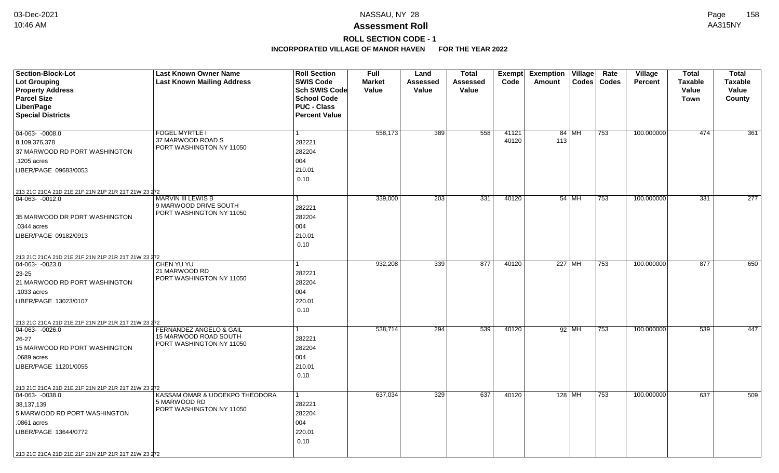# **ROLL SECTION CODE - 1**

| <b>Section-Block-Lot</b><br>Lot Grouping<br><b>Property Address</b><br><b>Parcel Size</b><br>Liber/Page<br><b>Special Districts</b>                                                                                 | <b>Last Known Owner Name</b><br><b>Last Known Mailing Address</b>                       | <b>Roll Section</b><br><b>SWIS Code</b><br><b>Sch SWIS Code</b><br><b>School Code</b><br><b>PUC - Class</b><br><b>Percent Value</b> | Full<br><b>Market</b><br>Value | Land<br>Assessed<br>Value | <b>Total</b><br>Assessed<br><b>Value</b> | <b>Exempt</b><br>Code | <b>Exemption Village</b><br>Amount<br>Codes | Rate<br><b>Codes</b> | Village<br><b>Percent</b> | <b>Total</b><br><b>Taxable</b><br>Value<br><b>Town</b> | <b>Total</b><br><b>Taxable</b><br>Value<br>County |
|---------------------------------------------------------------------------------------------------------------------------------------------------------------------------------------------------------------------|-----------------------------------------------------------------------------------------|-------------------------------------------------------------------------------------------------------------------------------------|--------------------------------|---------------------------|------------------------------------------|-----------------------|---------------------------------------------|----------------------|---------------------------|--------------------------------------------------------|---------------------------------------------------|
| $04-063 - 0008.0$<br>8,109,376,378<br>37 MARWOOD RD PORT WASHINGTON<br>1205 acres<br>LIBER/PAGE 09683/0053                                                                                                          | <b>FOGEL MYRTLE I</b><br>37 MARWOOD ROAD S<br>PORT WASHINGTON NY 11050                  | 282221<br>282204<br>004<br>210.01<br>0.10                                                                                           | 558,173                        | 389                       | 558                                      | 41121<br>40120        | 84 MH<br>113                                | 753                  | 100.000000                | 474                                                    | 361                                               |
| 213 21C 21CA 21D 21E 21F 21N 21P 21R 21T 21W 23 272<br>04-063- -0012.0<br>35 MARWOOD DR PORT WASHINGTON<br>.0344 acres<br>LIBER/PAGE 09182/0913                                                                     | <b>MARVIN III LEWIS B</b><br>9 MARWOOD DRIVE SOUTH<br>PORT WASHINGTON NY 11050          | 282221<br>282204<br>004<br>210.01<br>0.10                                                                                           | 339,000                        | 203                       | 331                                      | 40120                 | 54 MH                                       | 753                  | 100.000000                | 331                                                    | $\overline{277}$                                  |
| 213 21C 21CA 21D 21E 21F 21N 21P 21R 21T 21W 23 272<br>04-063- -0023.0<br>23-25<br>21 MARWOOD RD PORT WASHINGTON<br>1033 acres<br>LIBER/PAGE 13023/0107                                                             | CHEN YU YU<br>21 MARWOOD RD<br>PORT WASHINGTON NY 11050                                 | 282221<br>282204<br>004<br>220.01<br>0.10                                                                                           | 932,208                        | 339                       | 877                                      | 40120                 | 227 MH                                      | 753                  | 100.000000                | 877                                                    | 650                                               |
| 213 21C 21CA 21D 21E 21F 21N 21P 21R 21T 21W 23 272<br>$ 04-063-0026.0$<br>$26 - 27$<br>15 MARWOOD RD PORT WASHINGTON<br>.0689 acres<br>LIBER/PAGE 11201/0055                                                       | <b>FERNANDEZ ANGELO &amp; GAIL</b><br>15 MARWOOD ROAD SOUTH<br>PORT WASHINGTON NY 11050 | 1<br>282221<br>282204<br>004<br>210.01<br>0.10                                                                                      | 538,714                        | 294                       | 539                                      | 40120                 | 92 MH                                       | 753                  | 100.000000                | 539                                                    | 447                                               |
| 213 21C 21CA 21D 21E 21F 21N 21P 21R 21T 21W 23 272<br>04-063- -0038.0<br>38,137,139<br>5 MARWOOD RD PORT WASHINGTON<br>.0861 acres<br>LIBER/PAGE 13644/0772<br>213 21C 21CA 21D 21E 21F 21N 21P 21R 21T 21W 23 272 | KASSAM OMAR & UDOEKPO THEODORA<br>5 MARWOOD RD<br>PORT WASHINGTON NY 11050              | 282221<br>282204<br>004<br>220.01<br>0.10                                                                                           | 637,034                        | 329                       | 637                                      | 40120                 | 128 MH                                      | 753                  | 100.000000                | 637                                                    | 509                                               |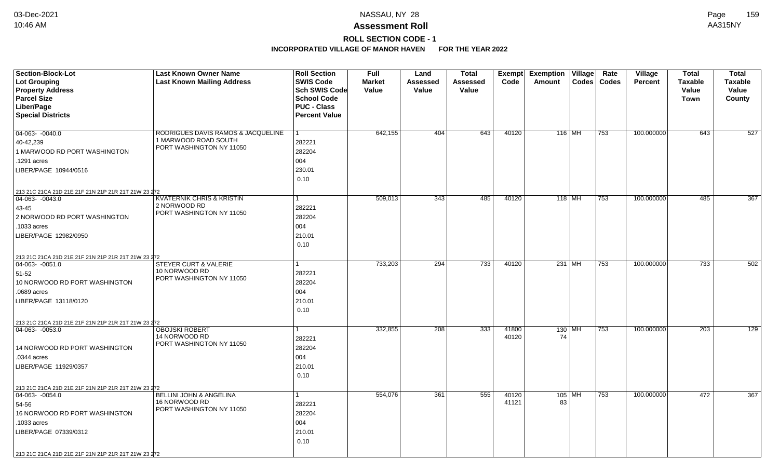# **ROLL SECTION CODE - 1**

| <b>Section-Block-Lot</b>                                                | <b>Last Known Owner Name</b>                     | <b>Roll Section</b>  | Full          | Land     | <b>Total</b> | Exempt | <b>Exemption Village</b> | Rate          | Village        | <b>Total</b>     | <b>Total</b>   |
|-------------------------------------------------------------------------|--------------------------------------------------|----------------------|---------------|----------|--------------|--------|--------------------------|---------------|----------------|------------------|----------------|
| Lot Grouping                                                            | <b>Last Known Mailing Address</b>                | <b>SWIS Code</b>     | <b>Market</b> | Assessed | Assessed     | Code   | Amount                   | Codes   Codes | <b>Percent</b> | <b>Taxable</b>   | <b>Taxable</b> |
| <b>Property Address</b>                                                 |                                                  | <b>Sch SWIS Code</b> | Value         | Value    | Value        |        |                          |               |                | Value            | Value          |
| <b>Parcel Size</b>                                                      |                                                  | <b>School Code</b>   |               |          |              |        |                          |               |                | Town             | County         |
| Liber/Page                                                              |                                                  | <b>PUC - Class</b>   |               |          |              |        |                          |               |                |                  |                |
| <b>Special Districts</b>                                                |                                                  | <b>Percent Value</b> |               |          |              |        |                          |               |                |                  |                |
|                                                                         |                                                  |                      |               |          |              |        |                          |               |                |                  |                |
| $04-063 - 0040.0$                                                       | RODRIGUES DAVIS RAMOS & JACQUELINE               |                      | 642,155       | 404      | 643          | 40120  | $116$ MH                 | 753           | 100.000000     | 643              | 527            |
| 40-42,239                                                               | 1 MARWOOD ROAD SOUTH<br>PORT WASHINGTON NY 11050 | 282221               |               |          |              |        |                          |               |                |                  |                |
| 1 MARWOOD RD PORT WASHINGTON                                            |                                                  | 282204               |               |          |              |        |                          |               |                |                  |                |
| 1291 acres                                                              |                                                  | 004                  |               |          |              |        |                          |               |                |                  |                |
| LIBER/PAGE 10944/0516                                                   |                                                  | 230.01               |               |          |              |        |                          |               |                |                  |                |
|                                                                         |                                                  | 0.10                 |               |          |              |        |                          |               |                |                  |                |
| 213 21C 21CA 21D 21E 21F 21N 21P 21R 21T 21W 23 272                     |                                                  |                      |               |          |              |        |                          |               |                |                  |                |
| 04-063- -0043.0                                                         | <b>KVATERNIK CHRIS &amp; KRISTIN</b>             |                      | 509,013       | 343      | 485          | 40120  | 118 MH                   | 753           | 100.000000     | 485              | 367            |
| 43-45                                                                   | 2 NORWOOD RD                                     | 282221               |               |          |              |        |                          |               |                |                  |                |
| 2 NORWOOD RD PORT WASHINGTON                                            | PORT WASHINGTON NY 11050                         | 282204               |               |          |              |        |                          |               |                |                  |                |
| .1033 acres                                                             |                                                  | 004                  |               |          |              |        |                          |               |                |                  |                |
| LIBER/PAGE 12982/0950                                                   |                                                  | 210.01               |               |          |              |        |                          |               |                |                  |                |
|                                                                         |                                                  | 0.10                 |               |          |              |        |                          |               |                |                  |                |
|                                                                         |                                                  |                      |               |          |              |        |                          |               |                |                  |                |
| 213 21C 21CA 21D 21E 21F 21N 21P 21R 21T 21W 23 272<br>$ 04-063-0051.0$ | <b>STEYER CURT &amp; VALERIE</b>                 |                      | 733,203       | 294      | 733          | 40120  | $231$ MH                 | 753           | 100.000000     | 733              | 502            |
| 51-52                                                                   | 10 NORWOOD RD                                    | 282221               |               |          |              |        |                          |               |                |                  |                |
| 10 NORWOOD RD PORT WASHINGTON                                           | PORT WASHINGTON NY 11050                         | 282204               |               |          |              |        |                          |               |                |                  |                |
| .0689 acres                                                             |                                                  | 004                  |               |          |              |        |                          |               |                |                  |                |
| LIBER/PAGE 13118/0120                                                   |                                                  | 210.01               |               |          |              |        |                          |               |                |                  |                |
|                                                                         |                                                  | 0.10                 |               |          |              |        |                          |               |                |                  |                |
|                                                                         |                                                  |                      |               |          |              |        |                          |               |                |                  |                |
| 213 21C 21CA 21D 21E 21F 21N 21P 21R 21T 21W 23 272<br>$ 04-063-0053.0$ | <b>OBOJSKI ROBERT</b>                            | 1                    | 332,855       | 208      | 333          | 41800  | 130 MH                   | 753           | 100.000000     | $\overline{203}$ | 129            |
|                                                                         | 14 NORWOOD RD                                    | 282221               |               |          |              | 40120  | 74                       |               |                |                  |                |
| 14 NORWOOD RD PORT WASHINGTON                                           | PORT WASHINGTON NY 11050                         | 282204               |               |          |              |        |                          |               |                |                  |                |
| .0344 acres                                                             |                                                  | 004                  |               |          |              |        |                          |               |                |                  |                |
| LIBER/PAGE 11929/0357                                                   |                                                  | 210.01               |               |          |              |        |                          |               |                |                  |                |
|                                                                         |                                                  | 0.10                 |               |          |              |        |                          |               |                |                  |                |
|                                                                         |                                                  |                      |               |          |              |        |                          |               |                |                  |                |
| 213 21C 21CA 21D 21E 21F 21N 21P 21R 21T 21W 23 272<br>$ 04-063-0054.0$ | BELLINI JOHN & ANGELINA                          | 1                    | 554,076       | 361      | 555          | 40120  | 105 MH                   | 753           | 100.000000     | 472              | 367            |
| 54-56                                                                   | 16 NORWOOD RD                                    | 282221               |               |          |              | 41121  | 83                       |               |                |                  |                |
| 16 NORWOOD RD PORT WASHINGTON                                           | PORT WASHINGTON NY 11050                         | 282204               |               |          |              |        |                          |               |                |                  |                |
| .1033 acres                                                             |                                                  | 004                  |               |          |              |        |                          |               |                |                  |                |
| LIBER/PAGE 07339/0312                                                   |                                                  | 210.01               |               |          |              |        |                          |               |                |                  |                |
|                                                                         |                                                  | 0.10                 |               |          |              |        |                          |               |                |                  |                |
|                                                                         |                                                  |                      |               |          |              |        |                          |               |                |                  |                |
| 213 21C 21CA 21D 21E 21F 21N 21P 21R 21T 21W 23 272                     |                                                  |                      |               |          |              |        |                          |               |                |                  |                |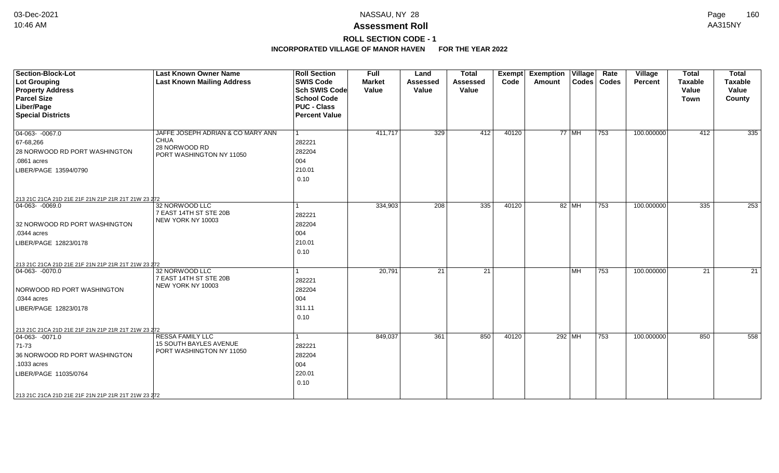# **ROLL SECTION CODE - 1**

| <b>Section-Block-Lot</b>                                                | <b>Last Known Owner Name</b>                             | <b>Roll Section</b>  | Full          | Land            | <b>Total</b>    | Exempt | <b>Exemption Village</b> |        | Rate          | Village    | <b>Total</b>     | <b>Total</b>   |
|-------------------------------------------------------------------------|----------------------------------------------------------|----------------------|---------------|-----------------|-----------------|--------|--------------------------|--------|---------------|------------|------------------|----------------|
| Lot Grouping                                                            | <b>Last Known Mailing Address</b>                        | <b>SWIS Code</b>     | <b>Market</b> | <b>Assessed</b> | <b>Assessed</b> | Code   | Amount                   |        | Codes   Codes | Percent    | <b>Taxable</b>   | <b>Taxable</b> |
| <b>Property Address</b>                                                 |                                                          | Sch SWIS Code        | Value         | Value           | Value           |        |                          |        |               |            | Value            | Value          |
| <b>Parcel Size</b>                                                      |                                                          | <b>School Code</b>   |               |                 |                 |        |                          |        |               |            | <b>Town</b>      | County         |
| Liber/Page                                                              |                                                          | <b>PUC - Class</b>   |               |                 |                 |        |                          |        |               |            |                  |                |
| <b>Special Districts</b>                                                |                                                          | <b>Percent Value</b> |               |                 |                 |        |                          |        |               |            |                  |                |
| $\boxed{04-063 - 0067.0}$                                               | JAFFE JOSEPH ADRIAN & CO MARY ANN                        |                      | 411,717       | 329             | 412             | 40120  |                          | 77 MH  | 753           | 100.000000 | 412              | 335            |
| 67-68,266                                                               | <b>CHUA</b>                                              | 282221               |               |                 |                 |        |                          |        |               |            |                  |                |
| 28 NORWOOD RD PORT WASHINGTON                                           | 28 NORWOOD RD<br>PORT WASHINGTON NY 11050                | 282204               |               |                 |                 |        |                          |        |               |            |                  |                |
| .0861 acres                                                             |                                                          | 004                  |               |                 |                 |        |                          |        |               |            |                  |                |
| LIBER/PAGE 13594/0790                                                   |                                                          | 210.01               |               |                 |                 |        |                          |        |               |            |                  |                |
|                                                                         |                                                          | 0.10                 |               |                 |                 |        |                          |        |               |            |                  |                |
| 213 21C 21CA 21D 21E 21F 21N 21P 21R 21T 21W 23 272                     |                                                          |                      |               |                 |                 |        |                          |        |               |            |                  |                |
| $04-063 - 0069.0$                                                       | 32 NORWOOD LLC                                           |                      | 334,903       | 208             | 335             | 40120  |                          | 82 MH  | 753           | 100.000000 | $\overline{335}$ | 253            |
|                                                                         | 7 EAST 14TH ST STE 20B                                   | 282221               |               |                 |                 |        |                          |        |               |            |                  |                |
| 32 NORWOOD RD PORT WASHINGTON                                           | NEW YORK NY 10003                                        | 282204               |               |                 |                 |        |                          |        |               |            |                  |                |
| .0344 acres                                                             |                                                          | 004                  |               |                 |                 |        |                          |        |               |            |                  |                |
| LIBER/PAGE 12823/0178                                                   |                                                          | 210.01               |               |                 |                 |        |                          |        |               |            |                  |                |
|                                                                         |                                                          | 0.10                 |               |                 |                 |        |                          |        |               |            |                  |                |
|                                                                         |                                                          |                      |               |                 |                 |        |                          |        |               |            |                  |                |
| 213 21C 21CA 21D 21E 21F 21N 21P 21R 21T 21W 23 272<br>$ 04-063-0070.0$ | 32 NORWOOD LLC                                           |                      | 20,791        | 21              | 21              |        |                          | MH     | 753           | 100.000000 | 21               | 21             |
|                                                                         | 7 EAST 14TH ST STE 20B                                   | 282221               |               |                 |                 |        |                          |        |               |            |                  |                |
| NORWOOD RD PORT WASHINGTON                                              | NEW YORK NY 10003                                        | 282204               |               |                 |                 |        |                          |        |               |            |                  |                |
| .0344 acres                                                             |                                                          | 004                  |               |                 |                 |        |                          |        |               |            |                  |                |
| LIBER/PAGE 12823/0178                                                   |                                                          | 311.11               |               |                 |                 |        |                          |        |               |            |                  |                |
|                                                                         |                                                          | 0.10                 |               |                 |                 |        |                          |        |               |            |                  |                |
|                                                                         |                                                          |                      |               |                 |                 |        |                          |        |               |            |                  |                |
| 213 21C 21CA 21D 21E 21F 21N 21P 21R 21T 21W 23 272                     |                                                          |                      |               |                 |                 |        |                          |        |               |            |                  |                |
| $\boxed{04-063 - 0071.0}$                                               | <b>RESSA FAMILY LLC</b><br><b>15 SOUTH BAYLES AVENUE</b> |                      | 849,037       | 361             | 850             | 40120  |                          | 292 MH | $ 753\rangle$ | 100.000000 | 850              | 558            |
| $ 71-73$                                                                | PORT WASHINGTON NY 11050                                 | 282221               |               |                 |                 |        |                          |        |               |            |                  |                |
| 36 NORWOOD RD PORT WASHINGTON                                           |                                                          | 282204               |               |                 |                 |        |                          |        |               |            |                  |                |
| 1033 acres                                                              |                                                          | 004                  |               |                 |                 |        |                          |        |               |            |                  |                |
| LIBER/PAGE 11035/0764                                                   |                                                          | 220.01               |               |                 |                 |        |                          |        |               |            |                  |                |
|                                                                         |                                                          | 0.10                 |               |                 |                 |        |                          |        |               |            |                  |                |
| 213 21C 21CA 21D 21E 21F 21N 21P 21R 21T 21W 23 272                     |                                                          |                      |               |                 |                 |        |                          |        |               |            |                  |                |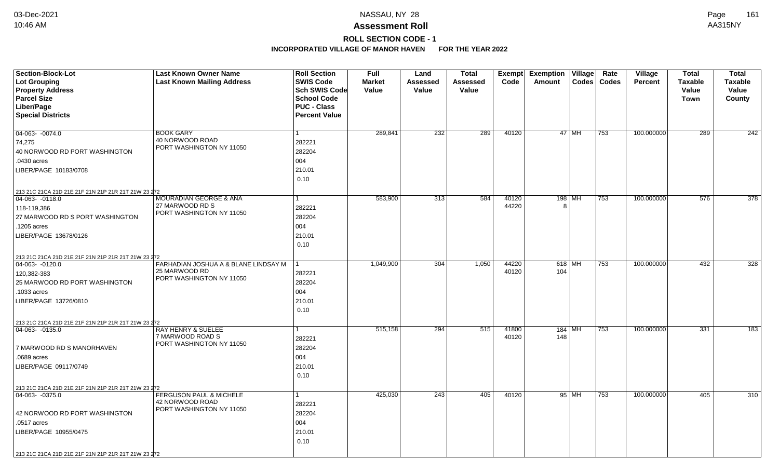# **ROLL SECTION CODE - 1**

| Section-Block-Lot<br><b>Lot Grouping</b>                               | <b>Last Known Owner Name</b><br><b>Last Known Mailing Address</b> | <b>Roll Section</b><br><b>SWIS Code</b> | <b>Full</b><br><b>Market</b> | Land<br>Assessed | <b>Total</b><br>Assessed | Exempt<br>Code | <b>Exemption</b><br>Village<br>Codes<br>Amount | Rate<br>Codes | <b>Village</b><br><b>Percent</b> | <b>Total</b><br><b>Taxable</b> | <b>Total</b><br><b>Taxable</b> |
|------------------------------------------------------------------------|-------------------------------------------------------------------|-----------------------------------------|------------------------------|------------------|--------------------------|----------------|------------------------------------------------|---------------|----------------------------------|--------------------------------|--------------------------------|
| <b>Property Address</b>                                                |                                                                   | <b>Sch SWIS Code</b>                    | Value                        | Value            | Value                    |                |                                                |               |                                  | Value                          | Value                          |
| <b>Parcel Size</b>                                                     |                                                                   | <b>School Code</b>                      |                              |                  |                          |                |                                                |               |                                  | <b>Town</b>                    | County                         |
| Liber/Page                                                             |                                                                   | <b>PUC - Class</b>                      |                              |                  |                          |                |                                                |               |                                  |                                |                                |
| <b>Special Districts</b>                                               |                                                                   | <b>Percent Value</b>                    |                              |                  |                          |                |                                                |               |                                  |                                |                                |
| 04-063- -0074.0                                                        | <b>BOOK GARY</b>                                                  | 1                                       | 289,841                      | 232              | 289                      | 40120          | $47$ MH                                        | 753           | 100.000000                       | 289                            | 242                            |
| 74,275                                                                 | 40 NORWOOD ROAD                                                   | 282221                                  |                              |                  |                          |                |                                                |               |                                  |                                |                                |
| 40 NORWOOD RD PORT WASHINGTON                                          | PORT WASHINGTON NY 11050                                          | 282204                                  |                              |                  |                          |                |                                                |               |                                  |                                |                                |
| .0430 acres                                                            |                                                                   | 004                                     |                              |                  |                          |                |                                                |               |                                  |                                |                                |
| LIBER/PAGE 10183/0708                                                  |                                                                   | 210.01                                  |                              |                  |                          |                |                                                |               |                                  |                                |                                |
|                                                                        |                                                                   | 0.10                                    |                              |                  |                          |                |                                                |               |                                  |                                |                                |
|                                                                        |                                                                   |                                         |                              |                  |                          |                |                                                |               |                                  |                                |                                |
| 213 21C 21CA 21D 21E 21F 21N 21P 21R 21T 21W 23 272<br>04-063- -0118.0 | <b>MOURADIAN GEORGE &amp; ANA</b>                                 | 1                                       | 583,900                      | 313              | 584                      | 40120          | 198   MH                                       | 753           | 100.000000                       | 576                            | $\overline{378}$               |
| 118-119,386                                                            | 27 MARWOOD RD S                                                   | 282221                                  |                              |                  |                          | 44220          | 8                                              |               |                                  |                                |                                |
| 27 MARWOOD RD S PORT WASHINGTON                                        | PORT WASHINGTON NY 11050                                          | 282204                                  |                              |                  |                          |                |                                                |               |                                  |                                |                                |
| .1205 acres                                                            |                                                                   | 004                                     |                              |                  |                          |                |                                                |               |                                  |                                |                                |
| LIBER/PAGE 13678/0126                                                  |                                                                   | 210.01                                  |                              |                  |                          |                |                                                |               |                                  |                                |                                |
|                                                                        |                                                                   | 0.10                                    |                              |                  |                          |                |                                                |               |                                  |                                |                                |
|                                                                        |                                                                   |                                         |                              |                  |                          |                |                                                |               |                                  |                                |                                |
| 213 21C 21CA 21D 21E 21F 21N 21P 21R 21T 21W 23 272<br>04-063- -0120.0 | FARHADIAN JOSHUA A & BLANE LINDSAY M                              |                                         | 1,049,900                    | 304              | 1,050                    | 44220          | 618   $\overline{\text{MH}}$                   | 753           | 100.000000                       | 432                            | 328                            |
| 120,382-383                                                            | 25 MARWOOD RD                                                     | 282221                                  |                              |                  |                          | 40120          | 104                                            |               |                                  |                                |                                |
| 25 MARWOOD RD PORT WASHINGTON                                          | PORT WASHINGTON NY 11050                                          | 282204                                  |                              |                  |                          |                |                                                |               |                                  |                                |                                |
| 1033 acres                                                             |                                                                   | 004                                     |                              |                  |                          |                |                                                |               |                                  |                                |                                |
| LIBER/PAGE 13726/0810                                                  |                                                                   | 210.01                                  |                              |                  |                          |                |                                                |               |                                  |                                |                                |
|                                                                        |                                                                   | 0.10                                    |                              |                  |                          |                |                                                |               |                                  |                                |                                |
| 213 21C 21CA 21D 21E 21F 21N 21P 21R 21T 21W 23 272                    |                                                                   |                                         |                              |                  |                          |                |                                                |               |                                  |                                |                                |
| $ 04-063-0135.0$                                                       | RAY HENRY & SUELEE                                                | 1                                       | 515,158                      | 294              | 515                      | 41800          | $184$ MH                                       | 753           | 100.000000                       | 331                            | 183                            |
|                                                                        | 7 MARWOOD ROAD S                                                  | 282221                                  |                              |                  |                          | 40120          | 148                                            |               |                                  |                                |                                |
| 7 MARWOOD RD S MANORHAVEN                                              | PORT WASHINGTON NY 11050                                          | 282204                                  |                              |                  |                          |                |                                                |               |                                  |                                |                                |
| .0689 acres                                                            |                                                                   | 004                                     |                              |                  |                          |                |                                                |               |                                  |                                |                                |
| LIBER/PAGE 09117/0749                                                  |                                                                   | 210.01                                  |                              |                  |                          |                |                                                |               |                                  |                                |                                |
|                                                                        |                                                                   | 0.10                                    |                              |                  |                          |                |                                                |               |                                  |                                |                                |
| 213 21C 21CA 21D 21E 21F 21N 21P 21R 21T 21W 23 272                    |                                                                   |                                         |                              |                  |                          |                |                                                |               |                                  |                                |                                |
| $04-063 - 0375.0$                                                      | <b>FERGUSON PAUL &amp; MICHELE</b>                                | 1                                       | 425,030                      | 243              | 405                      | 40120          | 95 MH                                          | 753           | 100.000000                       | 405                            | 310                            |
|                                                                        | 42 NORWOOD ROAD<br>PORT WASHINGTON NY 11050                       | 282221                                  |                              |                  |                          |                |                                                |               |                                  |                                |                                |
| 42 NORWOOD RD PORT WASHINGTON                                          |                                                                   | 282204                                  |                              |                  |                          |                |                                                |               |                                  |                                |                                |
| .0517 acres                                                            |                                                                   | 004                                     |                              |                  |                          |                |                                                |               |                                  |                                |                                |
| LIBER/PAGE 10955/0475                                                  |                                                                   | 210.01                                  |                              |                  |                          |                |                                                |               |                                  |                                |                                |
|                                                                        |                                                                   | 0.10                                    |                              |                  |                          |                |                                                |               |                                  |                                |                                |
| 213 21C 21CA 21D 21E 21F 21N 21P 21R 21T 21W 23 272                    |                                                                   |                                         |                              |                  |                          |                |                                                |               |                                  |                                |                                |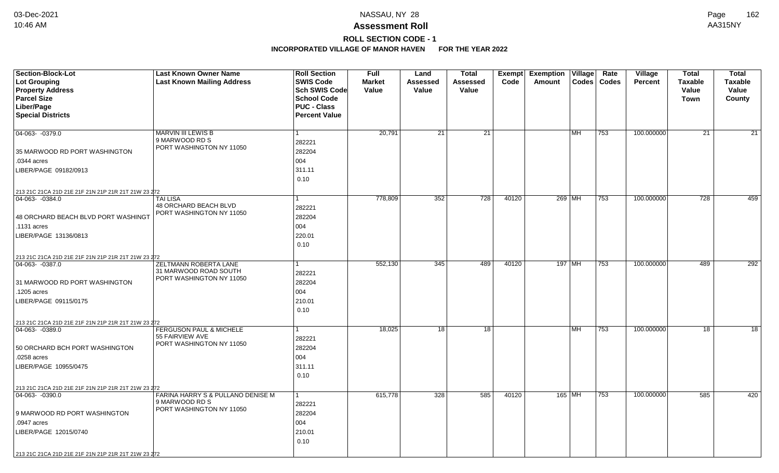# **ROLL SECTION CODE - 1**

| <b>Section-Block-Lot</b>                                             | <b>Last Known Owner Name</b>                          | <b>Roll Section</b>  | <b>Full</b>   | Land            | <b>Total</b> |       | Exempt Exemption Village |           | Rate          | Village        | <b>Total</b>   | <b>Total</b>   |
|----------------------------------------------------------------------|-------------------------------------------------------|----------------------|---------------|-----------------|--------------|-------|--------------------------|-----------|---------------|----------------|----------------|----------------|
| <b>Lot Grouping</b>                                                  | <b>Last Known Mailing Address</b>                     | <b>SWIS Code</b>     | <b>Market</b> | <b>Assessed</b> | Assessed     | Code  | Amount                   |           | Codes   Codes | <b>Percent</b> | <b>Taxable</b> | <b>Taxable</b> |
| <b>Property Address</b>                                              |                                                       | Sch SWIS Code        | Value         | <b>Value</b>    | Value        |       |                          |           |               |                | Value          | Value          |
| <b>Parcel Size</b>                                                   |                                                       | <b>School Code</b>   |               |                 |              |       |                          |           |               |                | <b>Town</b>    | County         |
| Liber/Page                                                           |                                                       | <b>PUC - Class</b>   |               |                 |              |       |                          |           |               |                |                |                |
| <b>Special Districts</b>                                             |                                                       | <b>Percent Value</b> |               |                 |              |       |                          |           |               |                |                |                |
|                                                                      |                                                       |                      |               |                 |              |       |                          |           |               |                |                |                |
| 04-063- -0379.0                                                      | MARVIN III LEWIS B                                    |                      | 20,791        | 21              | 21           |       |                          | MH        | 753           | 100.000000     | 21             | 21             |
|                                                                      | 9 MARWOOD RD S<br>PORT WASHINGTON NY 11050            | 282221               |               |                 |              |       |                          |           |               |                |                |                |
| 35 MARWOOD RD PORT WASHINGTON                                        |                                                       | 282204               |               |                 |              |       |                          |           |               |                |                |                |
| .0344 acres                                                          |                                                       | 004                  |               |                 |              |       |                          |           |               |                |                |                |
| LIBER/PAGE 09182/0913                                                |                                                       | 311.11               |               |                 |              |       |                          |           |               |                |                |                |
|                                                                      |                                                       | 0.10                 |               |                 |              |       |                          |           |               |                |                |                |
| 213 21C 21CA 21D 21E 21F 21N 21P 21R 21T 21W 23 272                  |                                                       |                      |               |                 |              |       |                          |           |               |                |                |                |
| 04-063-0384.0                                                        | <b>TAI LISA</b>                                       |                      | 778,809       | 352             | 728          | 40120 |                          | 269 MH    | 753           | 100.000000     | 728            | 459            |
|                                                                      | 48 ORCHARD BEACH BLVD                                 | 282221               |               |                 |              |       |                          |           |               |                |                |                |
| 48 ORCHARD BEACH BLVD PORT WASHINGT                                  | PORT WASHINGTON NY 11050                              | 282204               |               |                 |              |       |                          |           |               |                |                |                |
| .1131 acres                                                          |                                                       | 004                  |               |                 |              |       |                          |           |               |                |                |                |
| LIBER/PAGE 13136/0813                                                |                                                       | 220.01               |               |                 |              |       |                          |           |               |                |                |                |
|                                                                      |                                                       | 0.10                 |               |                 |              |       |                          |           |               |                |                |                |
|                                                                      |                                                       |                      |               |                 |              |       |                          |           |               |                |                |                |
| 213 21C 21CA 21D 21E 21F 21N 21P 21R 21T 21W 23 272<br>04-063-0387.0 | <b>ZELTMANN ROBERTA LANE</b>                          |                      | 552,130       | 345             | 489          | 40120 | 197 MH                   |           | 753           | 100.000000     | 489            | 292            |
|                                                                      | 31 MARWOOD ROAD SOUTH                                 | 282221               |               |                 |              |       |                          |           |               |                |                |                |
| 31 MARWOOD RD PORT WASHINGTON                                        | PORT WASHINGTON NY 11050                              | 282204               |               |                 |              |       |                          |           |               |                |                |                |
| .1205 acres                                                          |                                                       | 004                  |               |                 |              |       |                          |           |               |                |                |                |
|                                                                      |                                                       |                      |               |                 |              |       |                          |           |               |                |                |                |
| LIBER/PAGE 09115/0175                                                |                                                       | 210.01               |               |                 |              |       |                          |           |               |                |                |                |
|                                                                      |                                                       | 0.10                 |               |                 |              |       |                          |           |               |                |                |                |
| 213 21C 21CA 21D 21E 21F 21N 21P 21R 21T 21W 23 272                  |                                                       |                      |               |                 |              |       |                          |           |               |                |                |                |
| $ 04-063-0389.0$                                                     | <b>FERGUSON PAUL &amp; MICHELE</b><br>55 FAIRVIEW AVE |                      | 18,025        | 18              | 18           |       |                          | <b>MH</b> | 753           | 100.000000     | 18             | 18             |
|                                                                      | PORT WASHINGTON NY 11050                              | 282221               |               |                 |              |       |                          |           |               |                |                |                |
| 50 ORCHARD BCH PORT WASHINGTON                                       |                                                       | 282204               |               |                 |              |       |                          |           |               |                |                |                |
| .0258 acres                                                          |                                                       | 004                  |               |                 |              |       |                          |           |               |                |                |                |
| LIBER/PAGE 10955/0475                                                |                                                       | 311.11               |               |                 |              |       |                          |           |               |                |                |                |
|                                                                      |                                                       | 0.10                 |               |                 |              |       |                          |           |               |                |                |                |
| 213 21C 21CA 21D 21E 21F 21N 21P 21R 21T 21W 23 272                  |                                                       |                      |               |                 |              |       |                          |           |               |                |                |                |
| 04-063- -0390.0                                                      | FARINA HARRY S & PULLANO DENISE M                     |                      | 615,778       | 328             | 585          | 40120 | 165 MH                   |           | 753           | 100.000000     | 585            | 420            |
|                                                                      | 9 MARWOOD RD S<br>PORT WASHINGTON NY 11050            | 282221               |               |                 |              |       |                          |           |               |                |                |                |
| 9 MARWOOD RD PORT WASHINGTON                                         |                                                       | 282204               |               |                 |              |       |                          |           |               |                |                |                |
| .0947 acres                                                          |                                                       | 004                  |               |                 |              |       |                          |           |               |                |                |                |
| LIBER/PAGE 12015/0740                                                |                                                       | 210.01               |               |                 |              |       |                          |           |               |                |                |                |
|                                                                      |                                                       | 0.10                 |               |                 |              |       |                          |           |               |                |                |                |
| 213 21C 21CA 21D 21E 21F 21N 21P 21R 21T 21W 23 272                  |                                                       |                      |               |                 |              |       |                          |           |               |                |                |                |
|                                                                      |                                                       |                      |               |                 |              |       |                          |           |               |                |                |                |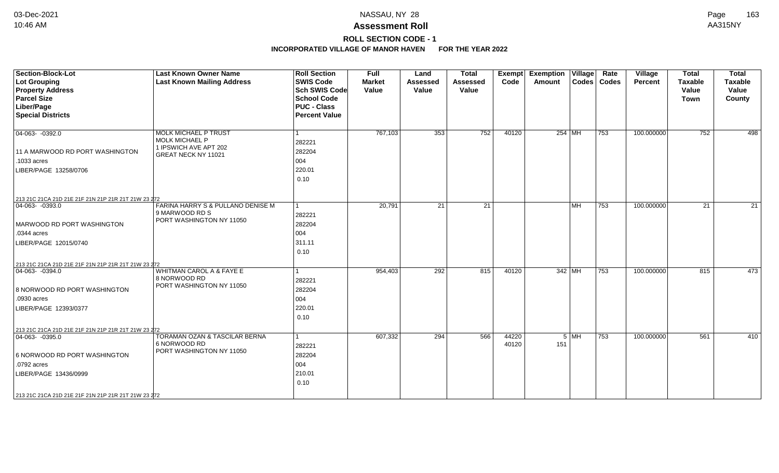# **ROLL SECTION CODE - 1**

| <b>Section-Block-Lot</b><br><b>Lot Grouping</b><br><b>Property Address</b> | <b>Last Known Owner Name</b><br><b>Last Known Mailing Address</b>         | <b>Roll Section</b><br><b>SWIS Code</b><br><b>Sch SWIS Code</b> | <b>Full</b><br><b>Market</b><br>Value | Land<br><b>Assessed</b><br>Value | <b>Total</b><br><b>Assessed</b><br>Value | Exempt<br>Code | Exemption   Village  <br>Amount |                           | Rate<br>Codes   Codes | Village<br>Percent | <b>Total</b><br><b>Taxable</b><br>Value | <b>Total</b><br><b>Taxable</b><br>Value |
|----------------------------------------------------------------------------|---------------------------------------------------------------------------|-----------------------------------------------------------------|---------------------------------------|----------------------------------|------------------------------------------|----------------|---------------------------------|---------------------------|-----------------------|--------------------|-----------------------------------------|-----------------------------------------|
| <b>Parcel Size</b>                                                         |                                                                           | <b>School Code</b>                                              |                                       |                                  |                                          |                |                                 |                           |                       |                    | <b>Town</b>                             | County                                  |
| Liber/Page                                                                 |                                                                           | <b>PUC - Class</b>                                              |                                       |                                  |                                          |                |                                 |                           |                       |                    |                                         |                                         |
| <b>Special Districts</b>                                                   |                                                                           | <b>Percent Value</b>                                            |                                       |                                  |                                          |                |                                 |                           |                       |                    |                                         |                                         |
| $04-063 - 0392.0$                                                          | <b>MOLK MICHAEL P TRUST</b><br>MOLK MICHAEL P                             | 282221                                                          | 767,103                               | 353                              | 752                                      | 40120          |                                 | $254$ MH                  | 753                   | 100.000000         | 752                                     | 498                                     |
| 11 A MARWOOD RD PORT WASHINGTON                                            | 1 IPSWICH AVE APT 202                                                     | 282204                                                          |                                       |                                  |                                          |                |                                 |                           |                       |                    |                                         |                                         |
| .1033 acres                                                                | GREAT NECK NY 11021                                                       | 004                                                             |                                       |                                  |                                          |                |                                 |                           |                       |                    |                                         |                                         |
| LIBER/PAGE 13258/0706                                                      |                                                                           | 220.01<br>0.10                                                  |                                       |                                  |                                          |                |                                 |                           |                       |                    |                                         |                                         |
| 213 21C 21CA 21D 21E 21F 21N 21P 21R 21T 21W 23 272                        |                                                                           |                                                                 |                                       |                                  |                                          |                |                                 |                           |                       |                    |                                         |                                         |
| $04-063 - 0393.0$                                                          | FARINA HARRY S & PULLANO DENISE M<br>9 MARWOOD RD S                       | $\mathbf{1}$<br>282221                                          | 20,791                                | $\overline{21}$                  | $\overline{21}$                          |                |                                 | $\overline{\mathsf{M}}$ H | 753                   | 100.000000         | 21                                      | 21                                      |
| MARWOOD RD PORT WASHINGTON                                                 | PORT WASHINGTON NY 11050                                                  | 282204                                                          |                                       |                                  |                                          |                |                                 |                           |                       |                    |                                         |                                         |
| .0344 acres                                                                |                                                                           | 004                                                             |                                       |                                  |                                          |                |                                 |                           |                       |                    |                                         |                                         |
| LIBER/PAGE 12015/0740                                                      |                                                                           | 311.11                                                          |                                       |                                  |                                          |                |                                 |                           |                       |                    |                                         |                                         |
|                                                                            |                                                                           | 0.10                                                            |                                       |                                  |                                          |                |                                 |                           |                       |                    |                                         |                                         |
| 213 21C 21CA 21D 21E 21F 21N 21P 21R 21T 21W 23 272                        |                                                                           |                                                                 |                                       |                                  |                                          |                |                                 |                           |                       |                    |                                         |                                         |
| $ 04-063-0394.0$                                                           | <b>WHITMAN CAROL A &amp; FAYE E</b>                                       | 1                                                               | 954,403                               | 292                              | 815                                      | 40120          |                                 | 342 MH                    | 753                   | 100.000000         | 815                                     | 473                                     |
| 8 NORWOOD RD PORT WASHINGTON                                               | 8 NORWOOD RD<br>PORT WASHINGTON NY 11050                                  | 282221<br>282204                                                |                                       |                                  |                                          |                |                                 |                           |                       |                    |                                         |                                         |
| .0930 acres                                                                |                                                                           | 004                                                             |                                       |                                  |                                          |                |                                 |                           |                       |                    |                                         |                                         |
| LIBER/PAGE 12393/0377                                                      |                                                                           | 220.01                                                          |                                       |                                  |                                          |                |                                 |                           |                       |                    |                                         |                                         |
|                                                                            |                                                                           | 0.10                                                            |                                       |                                  |                                          |                |                                 |                           |                       |                    |                                         |                                         |
| 213 21C 21CA 21D 21E 21F 21N 21P 21R 21T 21W 23 272                        |                                                                           |                                                                 |                                       |                                  |                                          |                |                                 |                           |                       |                    |                                         |                                         |
| $ 04-063-0395.0$                                                           | TORAMAN OZAN & TASCILAR BERNA<br>6 NORWOOD RD<br>PORT WASHINGTON NY 11050 | 1<br>282221                                                     | 607,332                               | 294                              | 566                                      | 44220<br>40120 | 151                             | $5$ MH                    | 753                   | 100.000000         | 561                                     | 410                                     |
| 6 NORWOOD RD PORT WASHINGTON                                               |                                                                           | 282204                                                          |                                       |                                  |                                          |                |                                 |                           |                       |                    |                                         |                                         |
| .0792 acres                                                                |                                                                           | 004                                                             |                                       |                                  |                                          |                |                                 |                           |                       |                    |                                         |                                         |
| LIBER/PAGE 13436/0999                                                      |                                                                           | 210.01<br>0.10                                                  |                                       |                                  |                                          |                |                                 |                           |                       |                    |                                         |                                         |
| 213 21C 21CA 21D 21E 21F 21N 21P 21R 21T 21W 23 272                        |                                                                           |                                                                 |                                       |                                  |                                          |                |                                 |                           |                       |                    |                                         |                                         |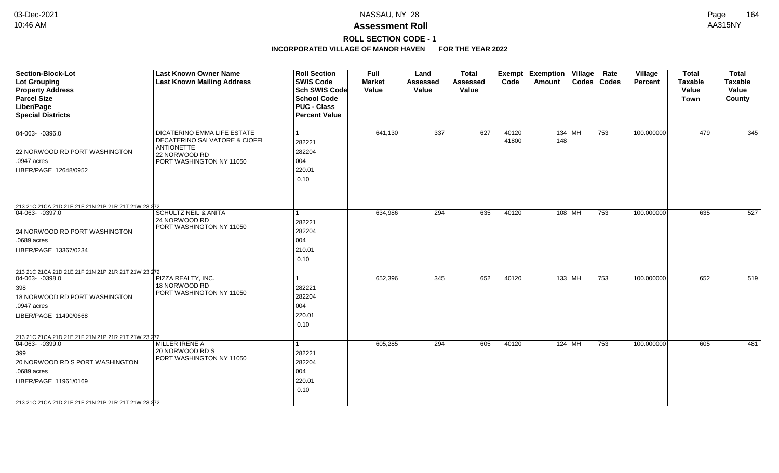# **ROLL SECTION CODE - 1**

| Section-Block-Lot<br><b>Lot Grouping</b><br><b>Property Address</b><br><b>Parcel Size</b><br>Liber/Page<br><b>Special Districts</b>                                                                                     | <b>Last Known Owner Name</b><br><b>Last Known Mailing Address</b>                                                              | <b>Roll Section</b><br><b>SWIS Code</b><br><b>Sch SWIS Code</b><br><b>School Code</b><br><b>PUC - Class</b><br><b>Percent Value</b> | Full<br><b>Market</b><br>Value | Land<br><b>Assessed</b><br>Value | <b>Total</b><br><b>Assessed</b><br>Value | <b>Exempt</b><br>Code | Village<br><b>Exemption</b><br>Amount | Rate<br>Codes   Codes | Village<br><b>Percent</b> | <b>Total</b><br><b>Taxable</b><br>Value<br><b>Town</b> | <b>Total</b><br><b>Taxable</b><br>Value<br>County |
|-------------------------------------------------------------------------------------------------------------------------------------------------------------------------------------------------------------------------|--------------------------------------------------------------------------------------------------------------------------------|-------------------------------------------------------------------------------------------------------------------------------------|--------------------------------|----------------------------------|------------------------------------------|-----------------------|---------------------------------------|-----------------------|---------------------------|--------------------------------------------------------|---------------------------------------------------|
| $\boxed{04-063 - 0396.0}$<br>22 NORWOOD RD PORT WASHINGTON<br>.0947 acres<br>LIBER/PAGE 12648/0952                                                                                                                      | DICATERINO EMMA LIFE ESTATE<br>DECATERINO SALVATORE & CIOFFI<br><b>ANTIONETTE</b><br>22 NORWOOD RD<br>PORT WASHINGTON NY 11050 | 282221<br>282204<br>004<br>220.01<br>0.10                                                                                           | 641,130                        | 337                              | 627                                      | 40120<br>41800        | 134 MH<br>148                         | 753                   | 100.000000                | 479                                                    | 345                                               |
| 213 21C 21CA 21D 21E 21F 21N 21P 21R 21T 21W 23 272<br>$ 04-063-0397.0$<br>24 NORWOOD RD PORT WASHINGTON<br>.0689 acres<br>LIBER/PAGE 13367/0234                                                                        | <b>SCHULTZ NEIL &amp; ANITA</b><br>24 NORWOOD RD<br>PORT WASHINGTON NY 11050                                                   | 282221<br>282204<br>004<br>210.01<br>0.10                                                                                           | 634,986                        | $\overline{294}$                 | 635                                      | 40120                 | 108 MH                                | 753                   | 100.000000                | 635                                                    | 527                                               |
| 213 21C 21CA 21D 21E 21F 21N 21P 21R 21T 21W 23 272<br>$\boxed{04-063 - 0398.0}$<br>398<br>18 NORWOOD RD PORT WASHINGTON<br>.0947 acres<br>LIBER/PAGE 11490/0668<br>213 21C 21CA 21D 21E 21F 21N 21P 21R 21T 21W 23 272 | PIZZA REALTY. INC.<br>18 NORWOOD RD<br>PORT WASHINGTON NY 11050                                                                | 282221<br>282204<br>004<br>220.01<br>0.10                                                                                           | 652,396                        | $\overline{345}$                 | 652                                      | 40120                 | $133$ MH                              | 753                   | 100.000000                | 652                                                    | 519                                               |
| $\boxed{04-063 - 0399.0}$<br>399<br>20 NORWOOD RD S PORT WASHINGTON<br>.0689 acres<br>LIBER/PAGE 11961/0169<br>213 21C 21CA 21D 21E 21F 21N 21P 21R 21T 21W 23 272                                                      | <b>MILLER IRENE A</b><br>20 NORWOOD RD S<br>PORT WASHINGTON NY 11050                                                           | 282221<br>282204<br>004<br>220.01<br>0.10                                                                                           | 605,285                        | 294                              | 605                                      | 40120                 | $124$ MH                              | 753                   | 100.000000                | 605                                                    | 481                                               |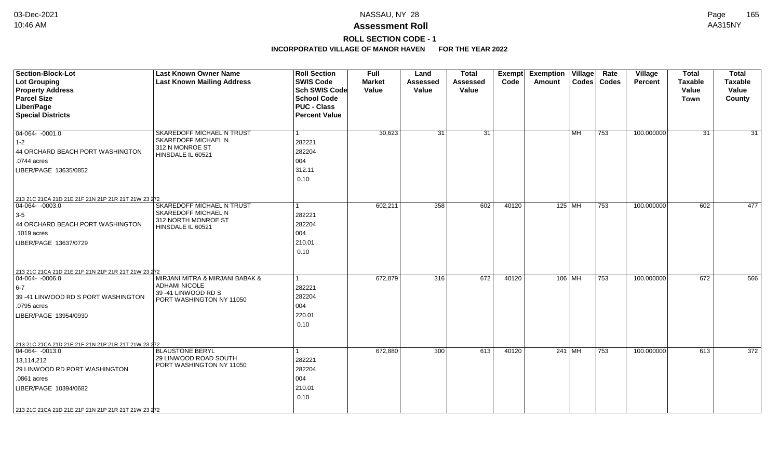# **ROLL SECTION CODE - 1**

| <b>Section-Block-Lot</b><br><b>Lot Grouping</b><br><b>Property Address</b><br><b>Parcel Size</b><br>Liber/Page                                                                                                         | <b>Last Known Owner Name</b><br><b>Last Known Mailing Address</b>                                          | <b>Roll Section</b><br><b>SWIS Code</b><br>Sch SWIS Code<br>School Code<br><b>PUC - Class</b> | <b>Full</b><br><b>Market</b><br>Value | Land<br><b>Assessed</b><br>Value | <b>Total</b><br><b>Assessed</b><br>Value | <b>Exempt</b><br>Code | <b>Exemption Village</b><br>Amount |           | Rate<br>Codes   Codes | Village<br><b>Percent</b> | <b>Total</b><br><b>Taxable</b><br>Value<br>Town | <b>Total</b><br><b>Taxable</b><br>Value<br>County |
|------------------------------------------------------------------------------------------------------------------------------------------------------------------------------------------------------------------------|------------------------------------------------------------------------------------------------------------|-----------------------------------------------------------------------------------------------|---------------------------------------|----------------------------------|------------------------------------------|-----------------------|------------------------------------|-----------|-----------------------|---------------------------|-------------------------------------------------|---------------------------------------------------|
| <b>Special Districts</b>                                                                                                                                                                                               |                                                                                                            | <b>Percent Value</b>                                                                          |                                       |                                  |                                          |                       |                                    |           |                       |                           |                                                 |                                                   |
| $04-064 - 0001.0$<br>$ 1-2 $<br>44 ORCHARD BEACH PORT WASHINGTON<br>.0744 acres<br>LIBER/PAGE 13635/0852                                                                                                               | SKAREDOFF MICHAEL N TRUST<br>SKAREDOFF MICHAEL N<br>312 N MONROE ST<br>HINSDALE IL 60521                   | $\vert$ 1<br>282221<br>282204<br>004<br>312.11<br>0.10                                        | 30,623                                | 31                               | 31                                       |                       |                                    | <b>MH</b> | $ 753\rangle$         | 100.000000                | 31                                              | $\overline{31}$                                   |
| 213 21C 21CA 21D 21E 21F 21N 21P 21R 21T 21W 23 272<br>04-064-0003.0<br>$3-5$<br>44 ORCHARD BEACH PORT WASHINGTON<br>.1019 acres<br>LIBER/PAGE 13637/0729                                                              | SKAREDOFF MICHAEL N TRUST<br>SKAREDOFF MICHAEL N<br>312 NORTH MONROE ST<br>HINSDALE IL 60521               | 1<br>282221<br>282204<br>004<br>210.01<br>0.10                                                | 602,211                               | 358                              | 602                                      | 40120                 | 125 MH                             |           | 753                   | 100.000000                | 602                                             | 477                                               |
| 213 21C 21CA 21D 21E 21F 21N 21P 21R 21T 21W 23 272<br>$\boxed{04-064 - 0006.0}$<br>$6-7$<br>39 -41 LINWOOD RD S PORT WASHINGTON<br>.0795 acres<br>LIBER/PAGE 13954/0930                                               | MIRJANI MITRA & MIRJANI BABAK &<br><b>ADHAMI NICOLE</b><br>39 -41 LINWOOD RD S<br>PORT WASHINGTON NY 11050 | $\mathbf{1}$<br>282221<br>282204<br>004<br>220.01<br>0.10                                     | 672,879                               | 316                              | 672                                      | 40120                 | $106$ MH                           |           | 753                   | 100.000000                | 672                                             | 566                                               |
| 213 21C 21CA 21D 21E 21F 21N 21P 21R 21T 21W 23 272<br>$04-064 - 0013.0$<br>13,114,212<br>29 LINWOOD RD PORT WASHINGTON<br>.0861 acres<br>LIBER/PAGE 10394/0682<br>213 21C 21CA 21D 21E 21F 21N 21P 21R 21T 21W 23 272 | <b>BLAUSTONE BERYL</b><br>29 LINWOOD ROAD SOUTH<br>PORT WASHINGTON NY 11050                                | $\mathbf{1}$<br>282221<br>282204<br>004<br>210.01<br>0.10                                     | 672,880                               | 300                              | 613                                      | 40120                 | 241 MH                             |           | 753                   | 100.000000                | 613                                             | 372                                               |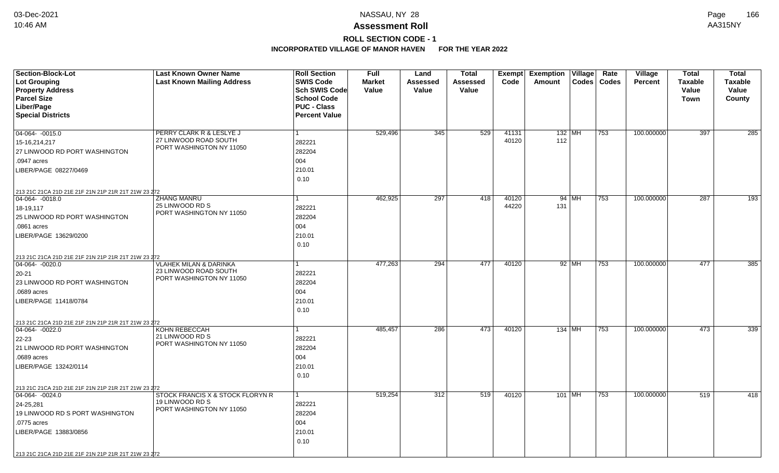# **ROLL SECTION CODE - 1**

| <b>Section-Block-Lot</b>                            | <b>Last Known Owner Name</b>                      | <b>Roll Section</b>  | <b>Full</b>   | Land         | <b>Total</b> |       | <b>Exempt Exemption Village</b> |         | Rate          | Village        | <b>Total</b>   | <b>Total</b>   |
|-----------------------------------------------------|---------------------------------------------------|----------------------|---------------|--------------|--------------|-------|---------------------------------|---------|---------------|----------------|----------------|----------------|
| Lot Grouping                                        | <b>Last Known Mailing Address</b>                 | <b>SWIS Code</b>     | <b>Market</b> | Assessed     | Assessed     | Code  | Amount                          |         | Codes   Codes | <b>Percent</b> | <b>Taxable</b> | <b>Taxable</b> |
| <b>Property Address</b>                             |                                                   | Sch SWIS Code        | Value         | <b>Value</b> | Value        |       |                                 |         |               |                | Value          | Value          |
| <b>Parcel Size</b>                                  |                                                   | <b>School Code</b>   |               |              |              |       |                                 |         |               |                | <b>Town</b>    | <b>County</b>  |
| Liber/Page                                          |                                                   | <b>PUC - Class</b>   |               |              |              |       |                                 |         |               |                |                |                |
| <b>Special Districts</b>                            |                                                   | <b>Percent Value</b> |               |              |              |       |                                 |         |               |                |                |                |
| $04-064 - 0015.0$                                   | PERRY CLARK R & LESLYE J                          | $\mathbf{1}$         | 529,496       | 345          | 529          | 41131 | $132$ MH                        |         | 753           | 100.000000     | 397            | 285            |
| 15-16,214,217                                       | 27 LINWOOD ROAD SOUTH                             | 282221               |               |              |              | 40120 | 112                             |         |               |                |                |                |
| 27 LINWOOD RD PORT WASHINGTON                       | PORT WASHINGTON NY 11050                          | 282204               |               |              |              |       |                                 |         |               |                |                |                |
| .0947 acres                                         |                                                   | 004                  |               |              |              |       |                                 |         |               |                |                |                |
| LIBER/PAGE 08227/0469                               |                                                   | 210.01               |               |              |              |       |                                 |         |               |                |                |                |
|                                                     |                                                   | 0.10                 |               |              |              |       |                                 |         |               |                |                |                |
| 213 21C 21CA 21D 21E 21F 21N 21P 21R 21T 21W 23 272 |                                                   |                      |               |              |              |       |                                 |         |               |                |                |                |
| $ 04-064 - 0018.0$                                  | <b>ZHANG MANRU</b>                                | 1                    | 462,925       | 297          | 418          | 40120 |                                 | $94$ MH | 753           | 100.000000     | 287            | 193            |
| 18-19,117                                           | 25 LINWOOD RD S                                   | 282221               |               |              |              | 44220 | 131                             |         |               |                |                |                |
| 25 LINWOOD RD PORT WASHINGTON                       | PORT WASHINGTON NY 11050                          | 282204               |               |              |              |       |                                 |         |               |                |                |                |
| .0861 acres                                         |                                                   | 004                  |               |              |              |       |                                 |         |               |                |                |                |
| LIBER/PAGE 13629/0200                               |                                                   | 210.01               |               |              |              |       |                                 |         |               |                |                |                |
|                                                     |                                                   | 0.10                 |               |              |              |       |                                 |         |               |                |                |                |
| 213 21C 21CA 21D 21E 21F 21N 21P 21R 21T 21W 23 272 |                                                   |                      |               |              |              |       |                                 |         |               |                |                |                |
| 04-064-0020.0                                       | <b>VLAHEK MILAN &amp; DARINKA</b>                 | 1                    | 477,263       | 294          | 477          | 40120 |                                 | $92$ MH | 753           | 100.000000     | 477            | 385            |
| 20-21                                               | 23 LINWOOD ROAD SOUTH<br>PORT WASHINGTON NY 11050 | 282221               |               |              |              |       |                                 |         |               |                |                |                |
| 23 LINWOOD RD PORT WASHINGTON                       |                                                   | 282204               |               |              |              |       |                                 |         |               |                |                |                |
| .0689 acres                                         |                                                   | 004                  |               |              |              |       |                                 |         |               |                |                |                |
| LIBER/PAGE 11418/0784                               |                                                   | 210.01               |               |              |              |       |                                 |         |               |                |                |                |
|                                                     |                                                   | 0.10                 |               |              |              |       |                                 |         |               |                |                |                |
| 213 21C 21CA 21D 21E 21F 21N 21P 21R 21T 21W 23 272 |                                                   |                      |               |              |              |       |                                 |         |               |                |                |                |
| $ 04-064-0022.0$                                    | KOHN REBECCAH                                     | $\mathbf{1}$         | 485,457       | 286          | 473          | 40120 | 134 MH                          |         | 753           | 100.000000     | 473            | 339            |
| 22-23                                               | 21 LINWOOD RD S<br>PORT WASHINGTON NY 11050       | 282221               |               |              |              |       |                                 |         |               |                |                |                |
| 21 LINWOOD RD PORT WASHINGTON                       |                                                   | 282204               |               |              |              |       |                                 |         |               |                |                |                |
| .0689 acres                                         |                                                   | 004                  |               |              |              |       |                                 |         |               |                |                |                |
| LIBER/PAGE 13242/0114                               |                                                   | 210.01               |               |              |              |       |                                 |         |               |                |                |                |
|                                                     |                                                   | 0.10                 |               |              |              |       |                                 |         |               |                |                |                |
| 213 21C 21CA 21D 21E 21F 21N 21P 21R 21T 21W 23 272 |                                                   |                      |               |              |              |       |                                 |         |               |                |                |                |
| 04-064-0024.0                                       | STOCK FRANCIS X & STOCK FLORYN R                  | $\mathbf{1}$         | 519,254       | 312          | 519          | 40120 | 101 MH                          |         | 753           | 100.000000     | 519            | 418            |
| 24-25,281                                           | 19 LINWOOD RD S<br>PORT WASHINGTON NY 11050       | 282221               |               |              |              |       |                                 |         |               |                |                |                |
| 19 LINWOOD RD S PORT WASHINGTON                     |                                                   | 282204               |               |              |              |       |                                 |         |               |                |                |                |
| .0775 acres                                         |                                                   | 004                  |               |              |              |       |                                 |         |               |                |                |                |
| LIBER/PAGE 13883/0856                               |                                                   | 210.01               |               |              |              |       |                                 |         |               |                |                |                |
|                                                     |                                                   | 0.10                 |               |              |              |       |                                 |         |               |                |                |                |
| 213 21C 21CA 21D 21E 21F 21N 21P 21R 21T 21W 23 272 |                                                   |                      |               |              |              |       |                                 |         |               |                |                |                |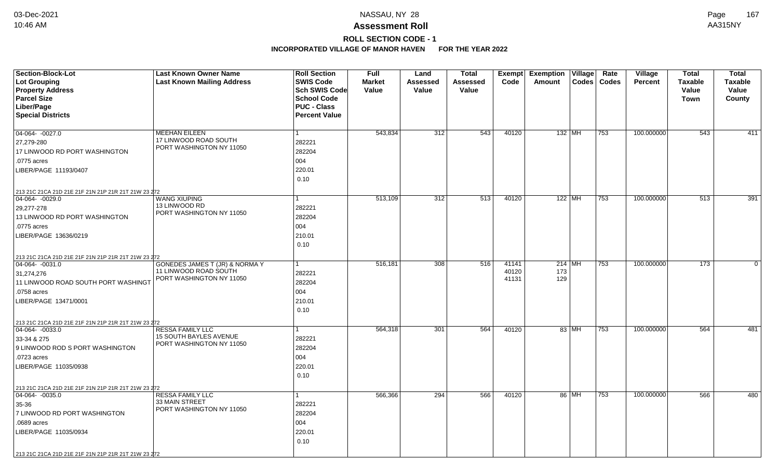# **ROLL SECTION CODE - 1**

| Section-Block-Lot                                   | <b>Last Known Owner Name</b>                      | <b>Roll Section</b>  | <b>Full</b>   | Land     | <b>Total</b> | Exempt | <b>Exemption Village</b> |       | Rate          | <b>Village</b> | <b>Total</b>   | <b>Total</b>   |
|-----------------------------------------------------|---------------------------------------------------|----------------------|---------------|----------|--------------|--------|--------------------------|-------|---------------|----------------|----------------|----------------|
| <b>Lot Grouping</b>                                 | <b>Last Known Mailing Address</b>                 | <b>SWIS Code</b>     | <b>Market</b> | Assessed | Assessed     | Code   | Amount                   |       | Codes   Codes | <b>Percent</b> | <b>Taxable</b> | <b>Taxable</b> |
| <b>Property Address</b>                             |                                                   | <b>Sch SWIS Code</b> | Value         | Value    | Value        |        |                          |       |               |                | Value          | Value          |
| <b>Parcel Size</b>                                  |                                                   | <b>School Code</b>   |               |          |              |        |                          |       |               |                | Town           | County         |
| Liber/Page                                          |                                                   | <b>PUC - Class</b>   |               |          |              |        |                          |       |               |                |                |                |
| <b>Special Districts</b>                            |                                                   | <b>Percent Value</b> |               |          |              |        |                          |       |               |                |                |                |
| $04-064 - 0027.0$                                   | <b>MEEHAN EILEEN</b>                              | $\mathbf{1}$         | 543,834       | 312      | 543          | 40120  | 132 MH                   |       | 753           | 100.000000     | 543            | 411            |
| 27,279-280                                          | 17 LINWOOD ROAD SOUTH                             | 282221               |               |          |              |        |                          |       |               |                |                |                |
| 17 LINWOOD RD PORT WASHINGTON                       | PORT WASHINGTON NY 11050                          | 282204               |               |          |              |        |                          |       |               |                |                |                |
| .0775 acres                                         |                                                   | 004                  |               |          |              |        |                          |       |               |                |                |                |
|                                                     |                                                   | 220.01               |               |          |              |        |                          |       |               |                |                |                |
| LIBER/PAGE 11193/0407                               |                                                   |                      |               |          |              |        |                          |       |               |                |                |                |
|                                                     |                                                   | 0.10                 |               |          |              |        |                          |       |               |                |                |                |
| 213 21C 21CA 21D 21E 21F 21N 21P 21R 21T 21W 23 272 |                                                   |                      |               |          |              |        |                          |       |               |                |                |                |
| 04-064- -0029.0                                     | <b>WANG XIUPING</b><br>13 LINWOOD RD              | $\mathbf{1}$         | 513,109       | 312      | 513          | 40120  | 122 MH                   |       | 753           | 100.000000     | 513            | 391            |
| 29,277-278                                          | PORT WASHINGTON NY 11050                          | 282221               |               |          |              |        |                          |       |               |                |                |                |
| 13 LINWOOD RD PORT WASHINGTON                       |                                                   | 282204               |               |          |              |        |                          |       |               |                |                |                |
| .0775 acres                                         |                                                   | 004                  |               |          |              |        |                          |       |               |                |                |                |
| LIBER/PAGE 13636/0219                               |                                                   | 210.01               |               |          |              |        |                          |       |               |                |                |                |
|                                                     |                                                   | 0.10                 |               |          |              |        |                          |       |               |                |                |                |
| 213 21C 21CA 21D 21E 21F 21N 21P 21R 21T 21W 23 272 |                                                   |                      |               |          |              |        |                          |       |               |                |                |                |
| $ 04-064-0031.0$                                    | <b>GONEDES JAMES T (JR) &amp; NORMA Y</b>         | 1                    | 516,181       | 308      | 516          | 41141  | $214$ MH                 |       | 753           | 100.000000     | 173            | $\mathbf{0}$   |
| 31,274,276                                          | 11 LINWOOD ROAD SOUTH<br>PORT WASHINGTON NY 11050 | 282221               |               |          |              | 40120  | 173                      |       |               |                |                |                |
| 11 LINWOOD ROAD SOUTH PORT WASHINGT                 |                                                   | 282204               |               |          |              | 41131  | 129                      |       |               |                |                |                |
| .0758 acres                                         |                                                   | 004                  |               |          |              |        |                          |       |               |                |                |                |
| LIBER/PAGE 13471/0001                               |                                                   | 210.01               |               |          |              |        |                          |       |               |                |                |                |
|                                                     |                                                   | 0.10                 |               |          |              |        |                          |       |               |                |                |                |
| 213 21C 21CA 21D 21E 21F 21N 21P 21R 21T 21W 23 272 |                                                   |                      |               |          |              |        |                          |       |               |                |                |                |
| $ 04-064-0033.0$                                    | <b>RESSA FAMILY LLC</b>                           | 1                    | 564,318       | 301      | 564          | 40120  |                          | 83 MH | 753           | 100.000000     | 564            | 481            |
| 33-34 & 275                                         | <b>15 SOUTH BAYLES AVENUE</b>                     | 282221               |               |          |              |        |                          |       |               |                |                |                |
| 9 LINWOOD ROD S PORT WASHINGTON                     | PORT WASHINGTON NY 11050                          | 282204               |               |          |              |        |                          |       |               |                |                |                |
| .0723 acres                                         |                                                   | 004                  |               |          |              |        |                          |       |               |                |                |                |
| LIBER/PAGE 11035/0938                               |                                                   | 220.01               |               |          |              |        |                          |       |               |                |                |                |
|                                                     |                                                   | 0.10                 |               |          |              |        |                          |       |               |                |                |                |
| 213 21C 21CA 21D 21E 21F 21N 21P 21R 21T 21W 23 272 |                                                   |                      |               |          |              |        |                          |       |               |                |                |                |
| $ 04-064-0035.0$                                    | <b>RESSA FAMILY LLC</b>                           | 1                    | 566,366       | 294      | 566          | 40120  |                          | 86 MH | 753           | 100.000000     | 566            | 480            |
| 35-36                                               | 33 MAIN STREET<br>PORT WASHINGTON NY 11050        | 282221               |               |          |              |        |                          |       |               |                |                |                |
| 7 LINWOOD RD PORT WASHINGTON                        |                                                   | 282204               |               |          |              |        |                          |       |               |                |                |                |
| .0689 acres                                         |                                                   | 004                  |               |          |              |        |                          |       |               |                |                |                |
| LIBER/PAGE 11035/0934                               |                                                   | 220.01               |               |          |              |        |                          |       |               |                |                |                |
|                                                     |                                                   | 0.10                 |               |          |              |        |                          |       |               |                |                |                |
| 213 21C 21CA 21D 21E 21F 21N 21P 21R 21T 21W 23 272 |                                                   |                      |               |          |              |        |                          |       |               |                |                |                |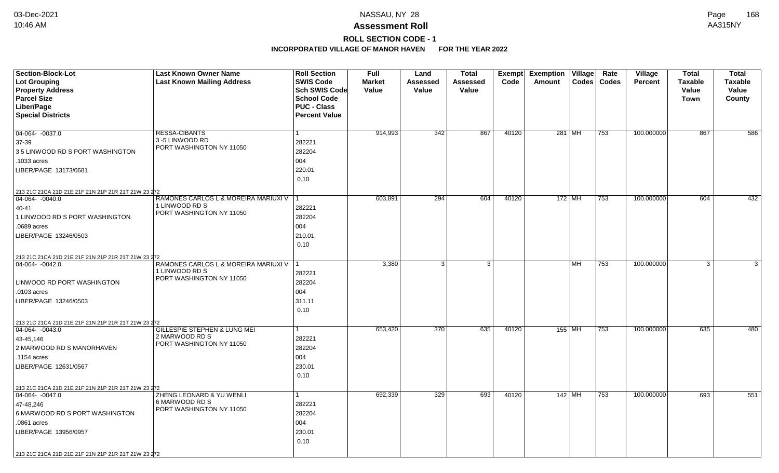# **ROLL SECTION CODE - 1**

| <b>Section-Block-Lot</b>                                                         | <b>Last Known Owner Name</b>               | <b>Roll Section</b>  | <b>Full</b>   | Land             | <b>Total</b> |       | Exempt Exemption Village |    | Rate          | Village        | <b>Total</b>   | <b>Total</b>   |
|----------------------------------------------------------------------------------|--------------------------------------------|----------------------|---------------|------------------|--------------|-------|--------------------------|----|---------------|----------------|----------------|----------------|
| <b>Lot Grouping</b>                                                              | <b>Last Known Mailing Address</b>          | <b>SWIS Code</b>     | <b>Market</b> | Assessed         | Assessed     | Code  | Amount                   |    | Codes   Codes | <b>Percent</b> | <b>Taxable</b> | <b>Taxable</b> |
| <b>Property Address</b>                                                          |                                            | Sch SWIS Code        | Value         | Value            | Value        |       |                          |    |               |                | Value          | Value          |
| <b>Parcel Size</b>                                                               |                                            | <b>School Code</b>   |               |                  |              |       |                          |    |               |                | <b>Town</b>    | County         |
| Liber/Page                                                                       |                                            | <b>PUC - Class</b>   |               |                  |              |       |                          |    |               |                |                |                |
| <b>Special Districts</b>                                                         |                                            | <b>Percent Value</b> |               |                  |              |       |                          |    |               |                |                |                |
|                                                                                  |                                            |                      |               |                  |              |       |                          |    |               |                |                |                |
| $\boxed{04-064 - 0037.0}$                                                        | <b>RESSA-CIBANTS</b><br>3-5 LINWOOD RD     |                      | 914,993       | 342              | 867          | 40120 | 281 MH                   |    | 753           | 100.000000     | 867            | 586            |
| 37-39                                                                            | PORT WASHINGTON NY 11050                   | 282221               |               |                  |              |       |                          |    |               |                |                |                |
| 35 LINWOOD RD S PORT WASHINGTON                                                  |                                            | 282204               |               |                  |              |       |                          |    |               |                |                |                |
| .1033 acres                                                                      |                                            | 004                  |               |                  |              |       |                          |    |               |                |                |                |
| LIBER/PAGE 13173/0681                                                            |                                            | 220.01               |               |                  |              |       |                          |    |               |                |                |                |
|                                                                                  |                                            | 0.10                 |               |                  |              |       |                          |    |               |                |                |                |
| 213 21C 21CA 21D 21E 21F 21N 21P 21R 21T 21W 23 272                              |                                            |                      |               |                  |              |       |                          |    |               |                |                |                |
| 04-064-0040.0                                                                    | RAMONES CARLOS L & MOREIRA MARIUXI V       |                      | 603,891       | 294              | 604          | 40120 | $172$ MH                 |    | 753           | 100.000000     | 604            | 432            |
| 40-41                                                                            | 1 LINWOOD RD S<br>PORT WASHINGTON NY 11050 | 282221               |               |                  |              |       |                          |    |               |                |                |                |
| 1 LINWOOD RD S PORT WASHINGTON                                                   |                                            | 282204               |               |                  |              |       |                          |    |               |                |                |                |
| .0689 acres                                                                      |                                            | 004                  |               |                  |              |       |                          |    |               |                |                |                |
| LIBER/PAGE 13246/0503                                                            |                                            | 210.01               |               |                  |              |       |                          |    |               |                |                |                |
|                                                                                  |                                            | 0.10                 |               |                  |              |       |                          |    |               |                |                |                |
| 213 21C 21CA 21D 21E 21F 21N 21P 21R 21T 21W 23 272                              |                                            |                      |               |                  |              |       |                          |    |               |                |                |                |
| $04-064 - 0042.0$                                                                | RAMONES CARLOS L & MOREIRA MARIUXI V       |                      | 3,380         | 3 <sup>1</sup>   | 3            |       |                          | MH | 753           | 100.000000     | 3              | 3              |
|                                                                                  | 1 LINWOOD RD S                             | 282221               |               |                  |              |       |                          |    |               |                |                |                |
| LINWOOD RD PORT WASHINGTON                                                       | PORT WASHINGTON NY 11050                   | 282204               |               |                  |              |       |                          |    |               |                |                |                |
| .0103 acres                                                                      |                                            | 004                  |               |                  |              |       |                          |    |               |                |                |                |
| LIBER/PAGE 13246/0503                                                            |                                            | 311.11               |               |                  |              |       |                          |    |               |                |                |                |
|                                                                                  |                                            | 0.10                 |               |                  |              |       |                          |    |               |                |                |                |
|                                                                                  |                                            |                      |               |                  |              |       |                          |    |               |                |                |                |
| 213 21C 21CA 21D 21E 21F 21N 21P 21R 21T 21W 23 272<br>$\boxed{04-064 - 0043.0}$ | <b>GILLESPIE STEPHEN &amp; LUNG MEI</b>    |                      | 653,420       | $\overline{370}$ | 635          | 40120 | 155   MH                 |    | 753           | 100.000000     | 635            | 480            |
| 43-45,146                                                                        | 2 MARWOOD RD S                             | 282221               |               |                  |              |       |                          |    |               |                |                |                |
| 2 MARWOOD RD S MANORHAVEN                                                        | PORT WASHINGTON NY 11050                   | 282204               |               |                  |              |       |                          |    |               |                |                |                |
| .1154 acres                                                                      |                                            | 004                  |               |                  |              |       |                          |    |               |                |                |                |
| LIBER/PAGE 12631/0567                                                            |                                            | 230.01               |               |                  |              |       |                          |    |               |                |                |                |
|                                                                                  |                                            | 0.10                 |               |                  |              |       |                          |    |               |                |                |                |
|                                                                                  |                                            |                      |               |                  |              |       |                          |    |               |                |                |                |
| 213 21C 21CA 21D 21E 21F 21N 21P 21R 21T 21W 23 272<br>$\boxed{04-064 - 0047.0}$ | ZHENG LEONARD & YU WENLI                   |                      | 692,339       | 329              | 693          | 40120 | 142 MH                   |    | 753           | 100.000000     | 693            | 551            |
|                                                                                  | 6 MARWOOD RD S                             |                      |               |                  |              |       |                          |    |               |                |                |                |
| 47-48,246<br>6 MARWOOD RD S PORT WASHINGTON                                      | PORT WASHINGTON NY 11050                   | 282221<br>282204     |               |                  |              |       |                          |    |               |                |                |                |
|                                                                                  |                                            |                      |               |                  |              |       |                          |    |               |                |                |                |
| .0861 acres                                                                      |                                            | 004                  |               |                  |              |       |                          |    |               |                |                |                |
| LIBER/PAGE 13956/0957                                                            |                                            | 230.01               |               |                  |              |       |                          |    |               |                |                |                |
|                                                                                  |                                            | 0.10                 |               |                  |              |       |                          |    |               |                |                |                |
| 213 21C 21CA 21D 21E 21F 21N 21P 21R 21T 21W 23 272                              |                                            |                      |               |                  |              |       |                          |    |               |                |                |                |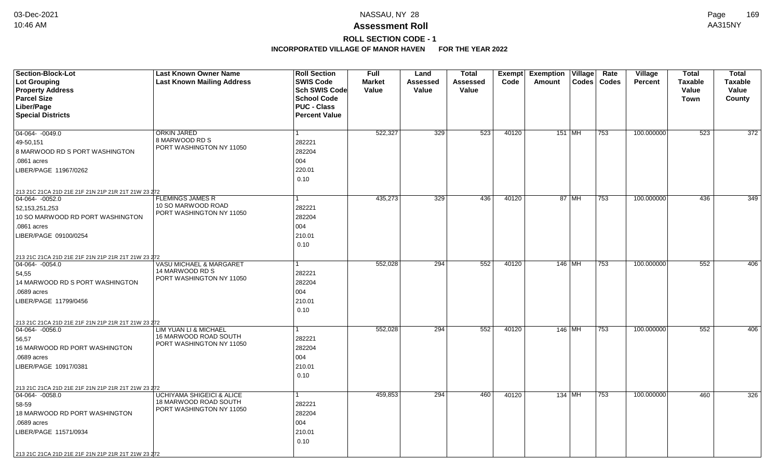# **ROLL SECTION CODE - 1**

| Section-Block-Lot<br><b>Lot Grouping</b>                                         | <b>Last Known Owner Name</b><br><b>Last Known Mailing Address</b> | <b>Roll Section</b><br><b>SWIS Code</b>    | <b>Full</b><br><b>Market</b> | Land<br>Assessed | <b>Total</b><br>Assessed | Exempt<br>Code | <b>Exemption Village</b><br>Codes<br>Amount | Rate<br>Codes | <b>Village</b><br><b>Percent</b> | <b>Total</b><br><b>Taxable</b> | <b>Total</b><br><b>Taxable</b> |
|----------------------------------------------------------------------------------|-------------------------------------------------------------------|--------------------------------------------|------------------------------|------------------|--------------------------|----------------|---------------------------------------------|---------------|----------------------------------|--------------------------------|--------------------------------|
| <b>Property Address</b>                                                          |                                                                   | <b>Sch SWIS Code</b>                       | Value                        | Value            | Value                    |                |                                             |               |                                  | Value                          | Value                          |
| <b>Parcel Size</b>                                                               |                                                                   | <b>School Code</b>                         |                              |                  |                          |                |                                             |               |                                  | Town                           | County                         |
| Liber/Page<br><b>Special Districts</b>                                           |                                                                   | <b>PUC - Class</b><br><b>Percent Value</b> |                              |                  |                          |                |                                             |               |                                  |                                |                                |
|                                                                                  |                                                                   |                                            |                              |                  |                          |                |                                             |               |                                  |                                |                                |
| 04-064-0049.0                                                                    | <b>ORKIN JARED</b>                                                | 1                                          | 522,327                      | 329              | 523                      | 40120          | 151   MH                                    | 753           | 100.000000                       | 523                            | 372                            |
| 49-50,151                                                                        | 8 MARWOOD RD S                                                    | 282221                                     |                              |                  |                          |                |                                             |               |                                  |                                |                                |
| 8 MARWOOD RD S PORT WASHINGTON                                                   | PORT WASHINGTON NY 11050                                          | 282204                                     |                              |                  |                          |                |                                             |               |                                  |                                |                                |
| .0861 acres                                                                      |                                                                   | 004                                        |                              |                  |                          |                |                                             |               |                                  |                                |                                |
| LIBER/PAGE 11967/0262                                                            |                                                                   | 220.01                                     |                              |                  |                          |                |                                             |               |                                  |                                |                                |
|                                                                                  |                                                                   | 0.10                                       |                              |                  |                          |                |                                             |               |                                  |                                |                                |
| 213 21C 21CA 21D 21E 21F 21N 21P 21R 21T 21W 23 272                              |                                                                   |                                            |                              |                  |                          |                |                                             |               |                                  |                                |                                |
| $\boxed{04-064 - 0052.0}$                                                        | <b>FLEMINGS JAMES R</b>                                           |                                            | 435,273                      | 329              | 436                      | 40120          | 87 MH                                       | 753           | 100.000000                       | 436                            | 349                            |
| 52, 153, 251, 253                                                                | 10 SO MARWOOD ROAD<br>PORT WASHINGTON NY 11050                    | 282221                                     |                              |                  |                          |                |                                             |               |                                  |                                |                                |
| 10 SO MARWOOD RD PORT WASHINGTON                                                 |                                                                   | 282204                                     |                              |                  |                          |                |                                             |               |                                  |                                |                                |
| .0861 acres                                                                      |                                                                   | 004                                        |                              |                  |                          |                |                                             |               |                                  |                                |                                |
| LIBER/PAGE 09100/0254                                                            |                                                                   | 210.01                                     |                              |                  |                          |                |                                             |               |                                  |                                |                                |
|                                                                                  |                                                                   | 0.10                                       |                              |                  |                          |                |                                             |               |                                  |                                |                                |
| 213 21C 21CA 21D 21E 21F 21N 21P 21R 21T 21W 23 272                              |                                                                   |                                            |                              |                  |                          |                |                                             |               |                                  |                                |                                |
| 04-064-0054.0                                                                    | <b>VASU MICHAEL &amp; MARGARET</b><br>14 MARWOOD RD S             |                                            | 552,028                      | 294              | 552                      | 40120          | 146 MH                                      | 753           | 100.000000                       | 552                            | 406                            |
| 54,55                                                                            | PORT WASHINGTON NY 11050                                          | 282221                                     |                              |                  |                          |                |                                             |               |                                  |                                |                                |
| 14 MARWOOD RD S PORT WASHINGTON                                                  |                                                                   | 282204                                     |                              |                  |                          |                |                                             |               |                                  |                                |                                |
| .0689 acres                                                                      |                                                                   | 004                                        |                              |                  |                          |                |                                             |               |                                  |                                |                                |
| LIBER/PAGE 11799/0456                                                            |                                                                   | 210.01<br>0.10                             |                              |                  |                          |                |                                             |               |                                  |                                |                                |
|                                                                                  |                                                                   |                                            |                              |                  |                          |                |                                             |               |                                  |                                |                                |
| 213 21C 21CA 21D 21E 21F 21N 21P 21R 21T 21W 23 272<br>$\boxed{04-064 - 0056.0}$ | LIM YUAN LI & MICHAEL                                             | 1                                          | 552,028                      | 294              | 552                      | 40120          | 146   MH                                    | 753           | 100.000000                       | 552                            | 406                            |
| 56,57                                                                            | 16 MARWOOD ROAD SOUTH                                             | 282221                                     |                              |                  |                          |                |                                             |               |                                  |                                |                                |
| 16 MARWOOD RD PORT WASHINGTON                                                    | PORT WASHINGTON NY 11050                                          | 282204                                     |                              |                  |                          |                |                                             |               |                                  |                                |                                |
| .0689 acres                                                                      |                                                                   | 004                                        |                              |                  |                          |                |                                             |               |                                  |                                |                                |
| LIBER/PAGE 10917/0381                                                            |                                                                   | 210.01                                     |                              |                  |                          |                |                                             |               |                                  |                                |                                |
|                                                                                  |                                                                   | 0.10                                       |                              |                  |                          |                |                                             |               |                                  |                                |                                |
|                                                                                  |                                                                   |                                            |                              |                  |                          |                |                                             |               |                                  |                                |                                |
| 213 21C 21CA 21D 21E 21F 21N 21P 21R 21T 21W 23 272<br>$\boxed{04-064 - 0058.0}$ | <b>UCHIYAMA SHIGEICI &amp; ALICE</b>                              | 1                                          | 459,853                      | 294              | 460                      | 40120          | 134 MH                                      | 753           | 100.000000                       | 460                            | 326                            |
| 58-59                                                                            | 18 MARWOOD ROAD SOUTH                                             | 282221                                     |                              |                  |                          |                |                                             |               |                                  |                                |                                |
| 18 MARWOOD RD PORT WASHINGTON                                                    | PORT WASHINGTON NY 11050                                          | 282204                                     |                              |                  |                          |                |                                             |               |                                  |                                |                                |
| .0689 acres                                                                      |                                                                   | 004                                        |                              |                  |                          |                |                                             |               |                                  |                                |                                |
| LIBER/PAGE 11571/0934                                                            |                                                                   | 210.01                                     |                              |                  |                          |                |                                             |               |                                  |                                |                                |
|                                                                                  |                                                                   | 0.10                                       |                              |                  |                          |                |                                             |               |                                  |                                |                                |
| 213 21C 21CA 21D 21E 21F 21N 21P 21R 21T 21W 23 272                              |                                                                   |                                            |                              |                  |                          |                |                                             |               |                                  |                                |                                |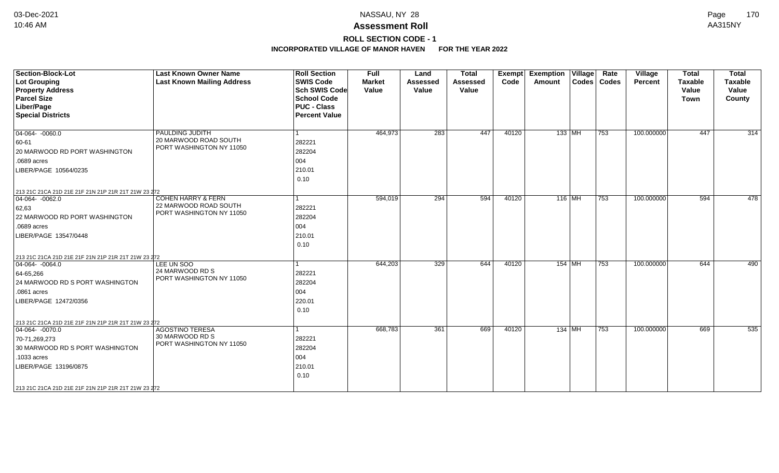# **ROLL SECTION CODE - 1**

| <b>Section-Block-Lot</b><br><b>Lot Grouping</b><br><b>Property Address</b>                                                                                                                                              | <b>Last Known Owner Name</b><br><b>Last Known Mailing Address</b>                  | <b>Roll Section</b><br><b>SWIS Code</b><br><b>Sch SWIS Code</b>  | <b>Full</b><br><b>Market</b><br>Value | Land<br><b>Assessed</b><br>Value | <b>Total</b><br><b>Assessed</b><br>Value | Exempt<br>Code | <b>Exemption Village</b><br>Amount | Rate<br>Codes   Codes | Village<br>Percent | <b>Total</b><br><b>Taxable</b><br>Value | <b>Total</b><br><b>Taxable</b><br>Value |
|-------------------------------------------------------------------------------------------------------------------------------------------------------------------------------------------------------------------------|------------------------------------------------------------------------------------|------------------------------------------------------------------|---------------------------------------|----------------------------------|------------------------------------------|----------------|------------------------------------|-----------------------|--------------------|-----------------------------------------|-----------------------------------------|
| <b>Parcel Size</b><br>Liber/Page<br><b>Special Districts</b>                                                                                                                                                            |                                                                                    | <b>School Code</b><br><b>PUC - Class</b><br><b>Percent Value</b> |                                       |                                  |                                          |                |                                    |                       |                    | Town                                    | County                                  |
| $ 04-064-0060.0$<br>60-61<br>20 MARWOOD RD PORT WASHINGTON<br>.0689 acres<br>LIBER/PAGE 10564/0235<br>213 21C 21CA 21D 21E 21F 21N 21P 21R 21T 21W 23 272                                                               | PAULDING JUDITH<br>20 MARWOOD ROAD SOUTH<br>PORT WASHINGTON NY 11050               | 282221<br>282204<br>004<br>210.01<br>0.10                        | 464,973                               | 283                              | 447                                      | 40120          | $133$ MH                           | $ 753\rangle$         | 100.000000         | 447                                     | $\overline{314}$                        |
| $ 04-064-0062.0$<br>62,63<br>22 MARWOOD RD PORT WASHINGTON<br>.0689 acres<br>LIBER/PAGE 13547/0448                                                                                                                      | <b>COHEN HARRY &amp; FERN</b><br>22 MARWOOD ROAD SOUTH<br>PORT WASHINGTON NY 11050 | 282221<br>282204<br>004<br>210.01<br>0.10                        | 594,019                               | 294                              | 594                                      | 40120          | $116$ MH                           | 753                   | 100.000000         | 594                                     | 478                                     |
| 213 21C 21CA 21D 21E 21F 21N 21P 21R 21T 21W 23 272<br>$ 04-064-0064.0$<br>64-65,266<br>24 MARWOOD RD S PORT WASHINGTON<br>.0861 acres<br>LIBER/PAGE 12472/0356                                                         | LEE UN SOO<br>24 MARWOOD RD S<br>PORT WASHINGTON NY 11050                          | 282221<br>282204<br>004<br>220.01<br>0.10                        | 644,203                               | 329                              | 644                                      | 40120          | $154$ MH                           | 753                   | 100.000000         | 644                                     | 490                                     |
| 213 21C 21CA 21D 21E 21F 21N 21P 21R 21T 21W 23 272<br>04-064-0070.0<br>70-71,269,273<br>30 MARWOOD RD S PORT WASHINGTON<br>.1033 acres<br>LIBER/PAGE 13196/0875<br>213 21C 21CA 21D 21E 21F 21N 21P 21R 21T 21W 23 272 | <b>AGOSTINO TERESA</b><br>30 MARWOOD RD S<br>PORT WASHINGTON NY 11050              | 282221<br>282204<br>004<br>210.01<br>0.10                        | 668,783                               | 361                              | 669                                      | 40120          | $134$ MH                           | 753                   | 100.000000         | 669                                     | 535                                     |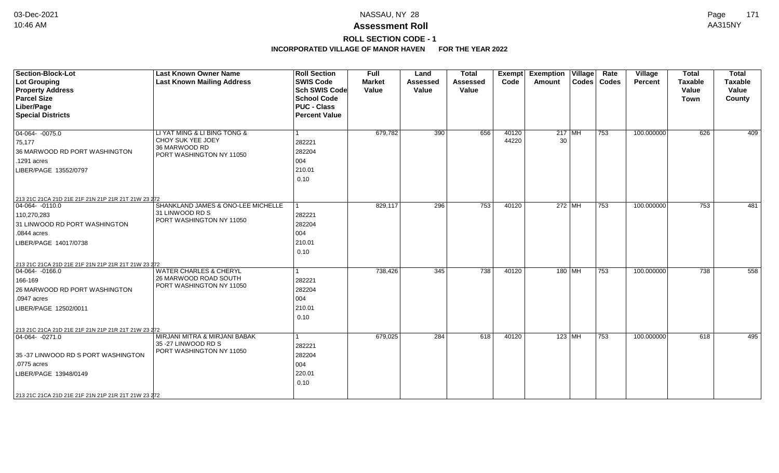# **ROLL SECTION CODE - 1**

| <b>Section-Block-Lot</b><br><b>Lot Grouping</b><br><b>Property Address</b><br><b>Parcel Size</b><br>Liber/Page<br><b>Special Districts</b>                      | <b>Last Known Owner Name</b><br><b>Last Known Mailing Address</b>                              | <b>Roll Section</b><br><b>SWIS Code</b><br><b>Sch SWIS Code</b><br><b>School Code</b><br><b>PUC - Class</b><br><b>Percent Value</b> | <b>Full</b><br><b>Market</b><br>Value | Land<br><b>Assessed</b><br>Value | <b>Total</b><br>Assessed<br>Value | Exempt<br>Code | <b>Exemption Village</b><br>Amount | Rate<br>Codes   Codes | Village<br><b>Percent</b> | <b>Total</b><br><b>Taxable</b><br>Value<br><b>Town</b> | <b>Total</b><br>Taxable<br>Value<br>County |
|-----------------------------------------------------------------------------------------------------------------------------------------------------------------|------------------------------------------------------------------------------------------------|-------------------------------------------------------------------------------------------------------------------------------------|---------------------------------------|----------------------------------|-----------------------------------|----------------|------------------------------------|-----------------------|---------------------------|--------------------------------------------------------|--------------------------------------------|
| $04-064 - 0075.0$<br>75,177<br>36 MARWOOD RD PORT WASHINGTON<br>.1291 acres<br>LIBER/PAGE 13552/0797<br>213 21C 21CA 21D 21E 21F 21N 21P 21R 21T 21W 23 272     | LI YAT MING & LI BING TONG &<br>CHOY SUK YEE JOEY<br>36 MARWOOD RD<br>PORT WASHINGTON NY 11050 | 282221<br>282204<br>004<br>210.01<br>0.10                                                                                           | 679,782                               | 390                              | 656                               | 40120<br>44220 | $217$ MH<br>30                     | 753                   | 100.000000                | 626                                                    | 409                                        |
| $ 04-064-0110.0$<br>110,270,283<br>31 LINWOOD RD PORT WASHINGTON<br>.0844 acres<br>LIBER/PAGE 14017/0738<br>213 21C 21CA 21D 21E 21F 21N 21P 21R 21T 21W 23 272 | SHANKLAND JAMES & ONO-LEE MICHELLE<br>31 LINWOOD RD S<br>PORT WASHINGTON NY 11050              | 282221<br>282204<br>004<br>210.01<br>0.10                                                                                           | 829,117                               | 296                              | 753                               | 40120          | 272 MH                             | 753                   | 100.000000                | 753                                                    | 481                                        |
| $ 04-064-0166.0$<br>166-169<br>26 MARWOOD RD PORT WASHINGTON<br>.0947 acres<br>LIBER/PAGE 12502/0011<br>213 21C 21CA 21D 21E 21F 21N 21P 21R 21T 21W 23 272     | <b>WATER CHARLES &amp; CHERYL</b><br>26 MARWOOD ROAD SOUTH<br>PORT WASHINGTON NY 11050         | 282221<br>282204<br>004<br>210.01<br>0.10                                                                                           | 738,426                               | 345                              | 738                               | 40120          | 180 MH                             | 753                   | 100.000000                | 738                                                    | 558                                        |
| $ 04-064-0271.0$<br>35 -37 LINWOOD RD S PORT WASHINGTON<br>.0775 acres<br>LIBER/PAGE 13948/0149<br>213 21C 21CA 21D 21E 21F 21N 21P 21R 21T 21W 23 272          | MIRJANI MITRA & MIRJANI BABAK<br>35 - 27 LINWOOD RD S<br>PORT WASHINGTON NY 11050              | 282221<br>282204<br>004<br>220.01<br>0.10                                                                                           | 679,025                               | 284                              | 618                               | 40120          | 123   MH                           | 753                   | 100.000000                | 618                                                    | 495                                        |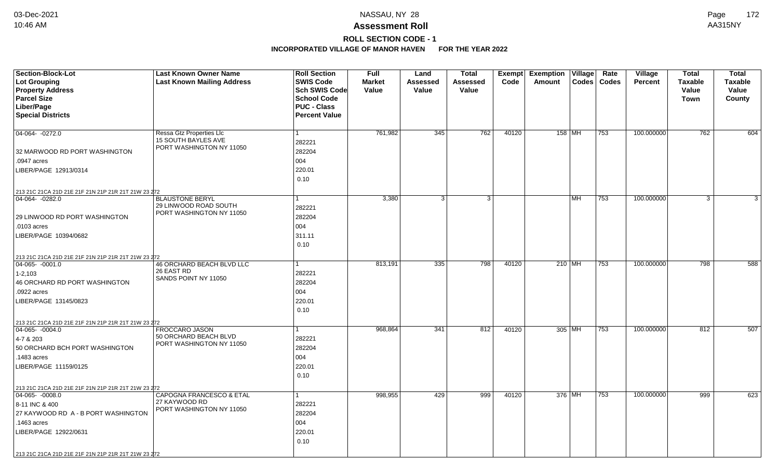# **ROLL SECTION CODE - 1**

| Section-Block-Lot                                   | <b>Last Known Owner Name</b>                                  | <b>Roll Section</b>  | Full          | Land            | <b>Total</b> | Exempt | <b>Exemption Village</b> |           | Rate          | Village        | <b>Total</b>   | <b>Total</b> |
|-----------------------------------------------------|---------------------------------------------------------------|----------------------|---------------|-----------------|--------------|--------|--------------------------|-----------|---------------|----------------|----------------|--------------|
| <b>Lot Grouping</b>                                 | <b>Last Known Mailing Address</b>                             | <b>SWIS Code</b>     | <b>Market</b> | <b>Assessed</b> | Assessed     | Code   | Amount                   |           | Codes   Codes | <b>Percent</b> | <b>Taxable</b> | Taxable      |
| <b>Property Address</b>                             |                                                               | <b>Sch SWIS Code</b> | Value         | Value           | Value        |        |                          |           |               |                | Value          | Value        |
| <b>Parcel Size</b>                                  |                                                               | <b>School Code</b>   |               |                 |              |        |                          |           |               |                | Town           | County       |
| Liber/Page                                          |                                                               | <b>PUC - Class</b>   |               |                 |              |        |                          |           |               |                |                |              |
| <b>Special Districts</b>                            |                                                               | <b>Percent Value</b> |               |                 |              |        |                          |           |               |                |                |              |
|                                                     |                                                               |                      |               |                 |              |        |                          |           |               |                |                |              |
| 04-064-0272.0                                       | <b>Ressa Gtz Properties Llc</b><br><b>15 SOUTH BAYLES AVE</b> |                      | 761,982       | 345             | 762          | 40120  | $158$ MH                 |           | 753           | 100.000000     | 762            | 604          |
|                                                     | PORT WASHINGTON NY 11050                                      | 282221               |               |                 |              |        |                          |           |               |                |                |              |
| 32 MARWOOD RD PORT WASHINGTON                       |                                                               | 282204               |               |                 |              |        |                          |           |               |                |                |              |
| .0947 acres                                         |                                                               | 004                  |               |                 |              |        |                          |           |               |                |                |              |
| LIBER/PAGE 12913/0314                               |                                                               | 220.01               |               |                 |              |        |                          |           |               |                |                |              |
|                                                     |                                                               | 0.10                 |               |                 |              |        |                          |           |               |                |                |              |
| 213 21C 21CA 21D 21E 21F 21N 21P 21R 21T 21W 23 272 |                                                               |                      |               |                 |              |        |                          |           |               |                |                |              |
| 04-064-0282.0                                       | <b>BLAUSTONE BERYL</b>                                        |                      | 3,380         | 3               | 3            |        |                          | <b>MH</b> | 753           | 100.000000     | 3              | 3            |
|                                                     | 29 LINWOOD ROAD SOUTH<br>PORT WASHINGTON NY 11050             | 282221               |               |                 |              |        |                          |           |               |                |                |              |
| 29 LINWOOD RD PORT WASHINGTON                       |                                                               | 282204               |               |                 |              |        |                          |           |               |                |                |              |
| .0103 acres                                         |                                                               | 004                  |               |                 |              |        |                          |           |               |                |                |              |
| LIBER/PAGE 10394/0682                               |                                                               | 311.11               |               |                 |              |        |                          |           |               |                |                |              |
|                                                     |                                                               | 0.10                 |               |                 |              |        |                          |           |               |                |                |              |
| 213 21C 21CA 21D 21E 21F 21N 21P 21R 21T 21W 23 272 |                                                               |                      |               |                 |              |        |                          |           |               |                |                |              |
| $ 04-065-0001.0$                                    | <b>46 ORCHARD BEACH BLVD LLC</b>                              |                      | 813,191       | 335             | 798          | 40120  | $210$ MH                 |           | 753           | 100.000000     | 798            | 588          |
| $1 - 2,103$                                         | 26 EAST RD                                                    | 282221               |               |                 |              |        |                          |           |               |                |                |              |
| 46 ORCHARD RD PORT WASHINGTON                       | SANDS POINT NY 11050                                          | 282204               |               |                 |              |        |                          |           |               |                |                |              |
| .0922 acres                                         |                                                               | 004                  |               |                 |              |        |                          |           |               |                |                |              |
| LIBER/PAGE 13145/0823                               |                                                               | 220.01               |               |                 |              |        |                          |           |               |                |                |              |
|                                                     |                                                               | 0.10                 |               |                 |              |        |                          |           |               |                |                |              |
| 213 21C 21CA 21D 21E 21F 21N 21P 21R 21T 21W 23 272 |                                                               |                      |               |                 |              |        |                          |           |               |                |                |              |
| $ 04-065-0004.0$                                    | FROCCARO JASON                                                | 1                    | 968,864       | 341             | 812          | 40120  | 305 MH                   |           | 753           | 100.000000     | 812            | 507          |
| 4-7 & 203                                           | 50 ORCHARD BEACH BLVD                                         | 282221               |               |                 |              |        |                          |           |               |                |                |              |
| 50 ORCHARD BCH PORT WASHINGTON                      | PORT WASHINGTON NY 11050                                      | 282204               |               |                 |              |        |                          |           |               |                |                |              |
| .1483 acres                                         |                                                               | 004                  |               |                 |              |        |                          |           |               |                |                |              |
| LIBER/PAGE 11159/0125                               |                                                               | 220.01               |               |                 |              |        |                          |           |               |                |                |              |
|                                                     |                                                               | 0.10                 |               |                 |              |        |                          |           |               |                |                |              |
| 213 21C 21CA 21D 21E 21F 21N 21P 21R 21T 21W 23 272 |                                                               |                      |               |                 |              |        |                          |           |               |                |                |              |
| $ 04-065-0008.0$                                    | CAPOGNA FRANCESCO & ETAL                                      |                      | 998,955       | 429             | 999          | 40120  | 376 MH                   |           | 753           | 100.000000     | 999            | 623          |
| 8-11 INC & 400                                      | 27 KAYWOOD RD                                                 | 282221               |               |                 |              |        |                          |           |               |                |                |              |
| 27 KAYWOOD RD A - B PORT WASHINGTON                 | PORT WASHINGTON NY 11050                                      | 282204               |               |                 |              |        |                          |           |               |                |                |              |
| .1463 acres                                         |                                                               | 004                  |               |                 |              |        |                          |           |               |                |                |              |
| LIBER/PAGE 12922/0631                               |                                                               | 220.01               |               |                 |              |        |                          |           |               |                |                |              |
|                                                     |                                                               | 0.10                 |               |                 |              |        |                          |           |               |                |                |              |
| 213 21C 21CA 21D 21E 21F 21N 21P 21R 21T 21W 23 272 |                                                               |                      |               |                 |              |        |                          |           |               |                |                |              |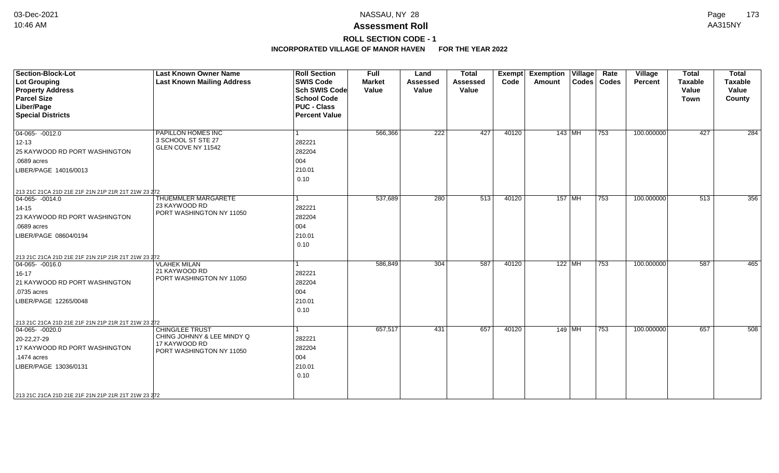# **ROLL SECTION CODE - 1**

| <b>Section-Block-Lot</b><br><b>Lot Grouping</b><br><b>Property Address</b><br><b>Parcel Size</b><br>Liber/Page<br><b>Special Districts</b>                                                                           | <b>Last Known Owner Name</b><br><b>Last Known Mailing Address</b>                                 | <b>Roll Section</b><br><b>SWIS Code</b><br><b>Sch SWIS Code</b><br><b>School Code</b><br><b>PUC - Class</b><br><b>Percent Value</b> | <b>Full</b><br><b>Market</b><br>Value | Land<br><b>Assessed</b><br>Value | <b>Total</b><br><b>Assessed</b><br>Value | Exempt<br>Code | <b>Exemption Village</b><br>Amount | Rate<br>Codes   Codes | Village<br>Percent | <b>Total</b><br><b>Taxable</b><br>Value<br><b>Town</b> | <b>Total</b><br><b>Taxable</b><br>Value<br>County |
|----------------------------------------------------------------------------------------------------------------------------------------------------------------------------------------------------------------------|---------------------------------------------------------------------------------------------------|-------------------------------------------------------------------------------------------------------------------------------------|---------------------------------------|----------------------------------|------------------------------------------|----------------|------------------------------------|-----------------------|--------------------|--------------------------------------------------------|---------------------------------------------------|
| $04-065 - 0012.0$<br>$12 - 13$<br>25 KAYWOOD RD PORT WASHINGTON<br>.0689 acres<br>LIBER/PAGE 14016/0013                                                                                                              | PAPILLON HOMES INC<br>3 SCHOOL ST STE 27<br>GLEN COVE NY 11542                                    | l 1<br>282221<br>282204<br>004<br>210.01<br>0.10                                                                                    | 566,366                               | 222                              | 427                                      | 40120          | $143$ MH                           | 753                   | 100.000000         | 427                                                    | 284                                               |
| 213 21C 21CA 21D 21E 21F 21N 21P 21R 21T 21W 23 272<br>$04-065 - 0014.0$<br>$14 - 15$<br>23 KAYWOOD RD PORT WASHINGTON<br>.0689 acres<br>LIBER/PAGE 08604/0194                                                       | <b>THUEMMLER MARGARETE</b><br>23 KAYWOOD RD<br>PORT WASHINGTON NY 11050                           | l 1<br>282221<br>282204<br>004<br>210.01<br>0.10                                                                                    | 537,689                               | 280                              | 513                                      | 40120          | $157$ MH                           | 753                   | 100.000000         | 513                                                    | 356                                               |
| 213 21C 21CA 21D 21E 21F 21N 21P 21R 21T 21W 23 272<br>$ 04-065-0016.0$<br>$16 - 17$<br>21 KAYWOOD RD PORT WASHINGTON<br>.0735 acres<br>LIBER/PAGE 12265/0048<br>213 21C 21CA 21D 21E 21F 21N 21P 21R 21T 21W 23 272 | <b>VLAHEK MILAN</b><br>21 KAYWOOD RD<br>PORT WASHINGTON NY 11050                                  | 1<br>282221<br>282204<br>004<br>210.01<br>0.10                                                                                      | 586,849                               | 304                              | 587                                      | 40120          | $122$ MH                           | 753                   | 100.000000         | 587                                                    | 465                                               |
| $04-065 - 0020.0$<br>20-22,27-29<br>17 KAYWOOD RD PORT WASHINGTON<br>.1474 acres<br>LIBER/PAGE 13036/0131<br>213 21C 21CA 21D 21E 21F 21N 21P 21R 21T 21W 23 272                                                     | <b>CHING/LEE TRUST</b><br>CHING JOHNNY & LEE MINDY Q<br>17 KAYWOOD RD<br>PORT WASHINGTON NY 11050 | l 1<br>282221<br>282204<br>004<br>210.01<br>0.10                                                                                    | 657,517                               | 431                              | 657                                      | 40120          | 149 MH                             | 753                   | 100.000000         | 657                                                    | 508                                               |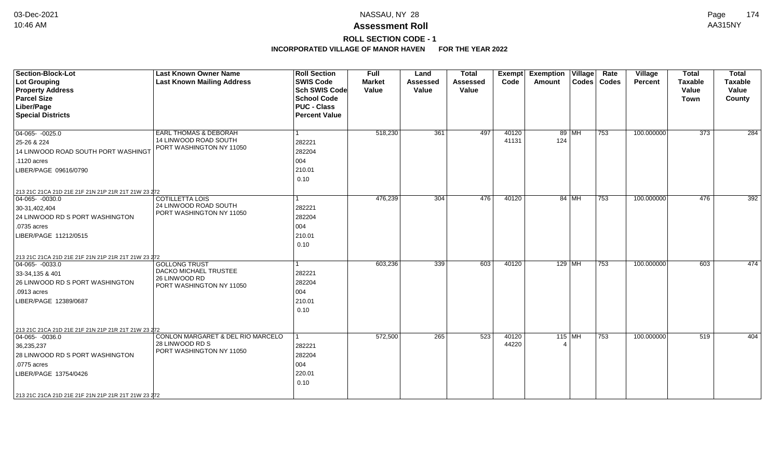# **ROLL SECTION CODE - 1**

| <b>Section-Block-Lot</b><br><b>Lot Grouping</b><br><b>Property Address</b><br><b>Parcel Size</b><br>Liber/Page<br><b>Special Districts</b>                                                                               | <b>Last Known Owner Name</b><br><b>Last Known Mailing Address</b>                          | <b>Roll Section</b><br><b>SWIS Code</b><br><b>Sch SWIS Code</b><br><b>School Code</b><br><b>PUC - Class</b><br><b>Percent Value</b> | <b>Full</b><br><b>Market</b><br>Value | Land<br><b>Assessed</b><br>Value | <b>Total</b><br>Assessed<br>Value | Exempt<br>Code | <b>Exemption Village</b><br>Amount |         | Rate<br>Codes   Codes | Village<br>Percent | <b>Total</b><br><b>Taxable</b><br>Value<br><b>Town</b> | <b>Total</b><br>Taxable<br>Value<br>County |
|--------------------------------------------------------------------------------------------------------------------------------------------------------------------------------------------------------------------------|--------------------------------------------------------------------------------------------|-------------------------------------------------------------------------------------------------------------------------------------|---------------------------------------|----------------------------------|-----------------------------------|----------------|------------------------------------|---------|-----------------------|--------------------|--------------------------------------------------------|--------------------------------------------|
| $04-065 - 0025.0$<br>25-26 & 224<br>14 LINWOOD ROAD SOUTH PORT WASHINGT<br>.1120 acres<br>LIBER/PAGE 09616/0790                                                                                                          | <b>EARL THOMAS &amp; DEBORAH</b><br>14 LINWOOD ROAD SOUTH<br>PORT WASHINGTON NY 11050      | 282221<br>282204<br>004<br>210.01<br>0.10                                                                                           | 518,230                               | 361                              | 497                               | 40120<br>41131 | 124                                | 89   MH | 753                   | 100.000000         | 373                                                    | 284                                        |
| 213 21C 21CA 21D 21E 21F 21N 21P 21R 21T 21W 23 272<br>$04-065 - 0030.0$<br>30-31,402,404<br>24 LINWOOD RD S PORT WASHINGTON<br>.0735 acres<br>LIBER/PAGE 11212/0515                                                     | <b>COTILLETTA LOIS</b><br>24 LINWOOD ROAD SOUTH<br>PORT WASHINGTON NY 11050                | $\overline{1}$<br>282221<br>282204<br>004<br>210.01<br>0.10                                                                         | 476,239                               | 304                              | 476                               | 40120          |                                    | 84 MH   | $\overline{753}$      | 100.000000         | 476                                                    | 392                                        |
| 213 21C 21CA 21D 21E 21F 21N 21P 21R 21T 21W 23 272<br>$ 04-065-0033.0$<br>33-34,135 & 401<br>26 LINWOOD RD S PORT WASHINGTON<br>.0913 acres<br>LIBER/PAGE 12389/0687                                                    | <b>GOLLONG TRUST</b><br>DACKO MICHAEL TRUSTEE<br>26 LINWOOD RD<br>PORT WASHINGTON NY 11050 | 282221<br>282204<br>004<br>210.01<br>0.10                                                                                           | 603,236                               | 339                              | 603                               | 40120          | $129$ MH                           |         | 753                   | 100.000000         | 603                                                    | 474                                        |
| 213 21C 21CA 21D 21E 21F 21N 21P 21R 21T 21W 23 272<br>$04-065 - 0036.0$<br>36,235,237<br>28 LINWOOD RD S PORT WASHINGTON<br>.0775 acres<br>LIBER/PAGE 13754/0426<br>213 21C 21CA 21D 21E 21F 21N 21P 21R 21T 21W 23 272 | CONLON MARGARET & DEL RIO MARCELO<br>28 LINWOOD RD S<br>PORT WASHINGTON NY 11050           | 282221<br>282204<br>004<br>220.01<br>0.10                                                                                           | 572,500                               | 265                              | 523                               | 40120<br>44220 | $115$ MH                           |         | 753                   | 100.000000         | 519                                                    | 404                                        |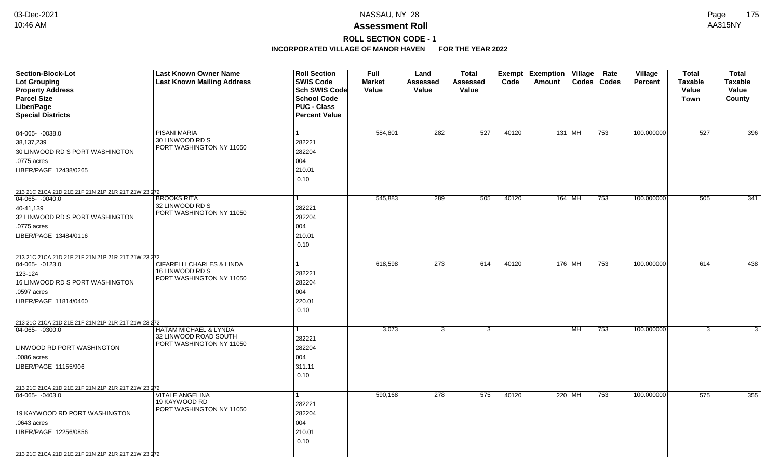# **ROLL SECTION CODE - 1**

| <b>Section-Block-Lot</b>                                                 | <b>Last Known Owner Name</b>         | <b>Roll Section</b>  | <b>Full</b>   | Land            | Total    | Exempt | <b>Exemption Village</b> |    | Rate          | Village    | <b>Total</b>   | <b>Total</b>   |
|--------------------------------------------------------------------------|--------------------------------------|----------------------|---------------|-----------------|----------|--------|--------------------------|----|---------------|------------|----------------|----------------|
| <b>Lot Grouping</b>                                                      | <b>Last Known Mailing Address</b>    | <b>SWIS Code</b>     | <b>Market</b> | <b>Assessed</b> | Assessed | Code   | Amount                   |    | Codes   Codes | Percent    | <b>Taxable</b> | <b>Taxable</b> |
| <b>Property Address</b>                                                  |                                      | Sch SWIS Code        | Value         | Value           | Value    |        |                          |    |               |            | Value          | Value          |
| <b>Parcel Size</b>                                                       |                                      | <b>School Code</b>   |               |                 |          |        |                          |    |               |            | Town           | County         |
| Liber/Page                                                               |                                      | <b>PUC - Class</b>   |               |                 |          |        |                          |    |               |            |                |                |
| <b>Special Districts</b>                                                 |                                      | <b>Percent Value</b> |               |                 |          |        |                          |    |               |            |                |                |
| $04-065 - 0038.0$                                                        | <b>PISANI MARIA</b>                  |                      | 584,801       | 282             | 527      | 40120  | 131 MH                   |    | 753           | 100.000000 | 527            | 396            |
| 38,137,239                                                               | 30 LINWOOD RD S                      | 282221               |               |                 |          |        |                          |    |               |            |                |                |
| 30 LINWOOD RD S PORT WASHINGTON                                          | PORT WASHINGTON NY 11050             | 282204               |               |                 |          |        |                          |    |               |            |                |                |
| .0775 acres                                                              |                                      | 004                  |               |                 |          |        |                          |    |               |            |                |                |
| LIBER/PAGE 12438/0265                                                    |                                      | 210.01               |               |                 |          |        |                          |    |               |            |                |                |
|                                                                          |                                      | 0.10                 |               |                 |          |        |                          |    |               |            |                |                |
|                                                                          |                                      |                      |               |                 |          |        |                          |    |               |            |                |                |
| 213 21C 21CA 21D 21E 21F 21N 21P 21R 21T 21W 23 272<br>$04-065 - 0040.0$ | <b>BROOKS RITA</b>                   |                      | 545,883       | 289             | 505      | 40120  | 164 MH                   |    | 753           | 100.000000 | 505            | 341            |
| 40-41,139                                                                | 32 LINWOOD RD S                      | 282221               |               |                 |          |        |                          |    |               |            |                |                |
| 32 LINWOOD RD S PORT WASHINGTON                                          | PORT WASHINGTON NY 11050             | 282204               |               |                 |          |        |                          |    |               |            |                |                |
| .0775 acres                                                              |                                      | 004                  |               |                 |          |        |                          |    |               |            |                |                |
| LIBER/PAGE 13484/0116                                                    |                                      | 210.01               |               |                 |          |        |                          |    |               |            |                |                |
|                                                                          |                                      | 0.10                 |               |                 |          |        |                          |    |               |            |                |                |
|                                                                          |                                      |                      |               |                 |          |        |                          |    |               |            |                |                |
| 213 21C 21CA 21D 21E 21F 21N 21P 21R 21T 21W 23 272<br>04-065- -0123.0   | <b>CIFARELLI CHARLES &amp; LINDA</b> |                      | 618,598       | 273             | 614      | 40120  | 176 MH                   |    | 753           | 100.000000 | 614            | 438            |
| 123-124                                                                  | 16 LINWOOD RD S                      | 282221               |               |                 |          |        |                          |    |               |            |                |                |
| 16 LINWOOD RD S PORT WASHINGTON                                          | PORT WASHINGTON NY 11050             | 282204               |               |                 |          |        |                          |    |               |            |                |                |
| .0597 acres                                                              |                                      | 004                  |               |                 |          |        |                          |    |               |            |                |                |
| LIBER/PAGE 11814/0460                                                    |                                      | 220.01               |               |                 |          |        |                          |    |               |            |                |                |
|                                                                          |                                      | 0.10                 |               |                 |          |        |                          |    |               |            |                |                |
|                                                                          |                                      |                      |               |                 |          |        |                          |    |               |            |                |                |
| 213 21C 21CA 21D 21E 21F 21N 21P 21R 21T 21W 23 272<br>$ 04-065-0300.0$  | HATAM MICHAEL & LYNDA                |                      | 3,073         | $\mathbf{3}$    | 3        |        |                          | MH | 753           | 100.000000 | 3              | 3              |
|                                                                          | 32 LINWOOD ROAD SOUTH                | 282221               |               |                 |          |        |                          |    |               |            |                |                |
| LINWOOD RD PORT WASHINGTON                                               | PORT WASHINGTON NY 11050             | 282204               |               |                 |          |        |                          |    |               |            |                |                |
| .0086 acres                                                              |                                      | 004                  |               |                 |          |        |                          |    |               |            |                |                |
| LIBER/PAGE 11155/906                                                     |                                      | 311.11               |               |                 |          |        |                          |    |               |            |                |                |
|                                                                          |                                      | 0.10                 |               |                 |          |        |                          |    |               |            |                |                |
|                                                                          |                                      |                      |               |                 |          |        |                          |    |               |            |                |                |
| 213 21C 21CA 21D 21E 21F 21N 21P 21R 21T 21W 23 272<br>04-065- -0403.0   | <b>VITALE ANGELINA</b>               |                      | 590,168       | 278             | 575      | 40120  | 220 MH                   |    | 753           | 100.000000 | 575            | 355            |
|                                                                          | 19 KAYWOOD RD                        | 282221               |               |                 |          |        |                          |    |               |            |                |                |
| 19 KAYWOOD RD PORT WASHINGTON                                            | PORT WASHINGTON NY 11050             | 282204               |               |                 |          |        |                          |    |               |            |                |                |
| .0643 acres                                                              |                                      | 004                  |               |                 |          |        |                          |    |               |            |                |                |
| LIBER/PAGE 12256/0856                                                    |                                      | 210.01               |               |                 |          |        |                          |    |               |            |                |                |
|                                                                          |                                      | 0.10                 |               |                 |          |        |                          |    |               |            |                |                |
|                                                                          |                                      |                      |               |                 |          |        |                          |    |               |            |                |                |
| 213 21C 21CA 21D 21E 21F 21N 21P 21R 21T 21W 23 272                      |                                      |                      |               |                 |          |        |                          |    |               |            |                |                |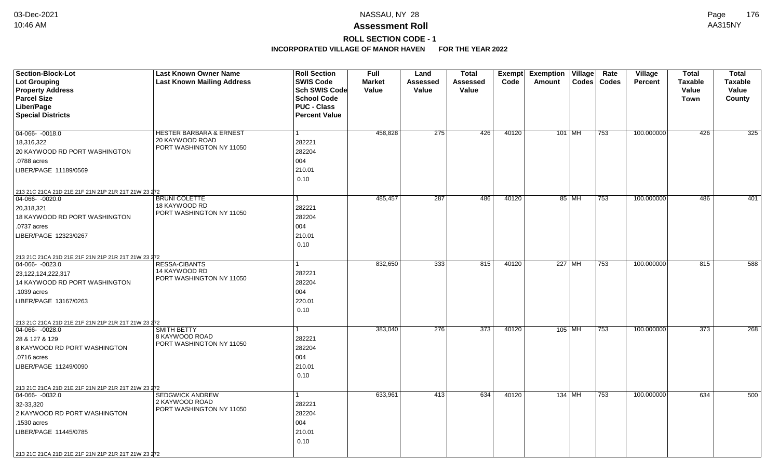# **ROLL SECTION CODE - 1**

| Section-Block-Lot                                   | <b>Last Known Owner Name</b>               | <b>Roll Section</b>                      | <b>Full</b>            | Land              | <b>Total</b>      | Exempt | <b>Exemption Village</b> | Rate  | <b>Village</b> | <b>Total</b>            | <b>Total</b>            |
|-----------------------------------------------------|--------------------------------------------|------------------------------------------|------------------------|-------------------|-------------------|--------|--------------------------|-------|----------------|-------------------------|-------------------------|
| <b>Lot Grouping</b>                                 | <b>Last Known Mailing Address</b>          | <b>SWIS Code</b><br><b>Sch SWIS Code</b> | <b>Market</b><br>Value | Assessed<br>Value | Assessed<br>Value | Code   | Codes<br>Amount          | Codes | <b>Percent</b> | <b>Taxable</b><br>Value | <b>Taxable</b><br>Value |
| <b>Property Address</b><br><b>Parcel Size</b>       |                                            | <b>School Code</b>                       |                        |                   |                   |        |                          |       |                | Town                    | County                  |
| Liber/Page                                          |                                            | <b>PUC - Class</b>                       |                        |                   |                   |        |                          |       |                |                         |                         |
| <b>Special Districts</b>                            |                                            | <b>Percent Value</b>                     |                        |                   |                   |        |                          |       |                |                         |                         |
|                                                     |                                            |                                          |                        |                   |                   |        |                          |       |                |                         |                         |
| 04-066- -0018.0                                     | <b>HESTER BARBARA &amp; ERNEST</b>         | 1                                        | 458,828                | 275               | 426               | 40120  | 101 MH                   | 753   | 100.000000     | 426                     | 325                     |
| 18,316,322                                          | 20 KAYWOOD ROAD                            | 282221                                   |                        |                   |                   |        |                          |       |                |                         |                         |
| 20 KAYWOOD RD PORT WASHINGTON                       | PORT WASHINGTON NY 11050                   | 282204                                   |                        |                   |                   |        |                          |       |                |                         |                         |
| .0788 acres                                         |                                            | 004                                      |                        |                   |                   |        |                          |       |                |                         |                         |
| LIBER/PAGE 11189/0569                               |                                            | 210.01                                   |                        |                   |                   |        |                          |       |                |                         |                         |
|                                                     |                                            | 0.10                                     |                        |                   |                   |        |                          |       |                |                         |                         |
| 213 21C 21CA 21D 21E 21F 21N 21P 21R 21T 21W 23 272 |                                            |                                          |                        |                   |                   |        |                          |       |                |                         |                         |
| $04-066 - 0020.0$                                   | <b>BRUNI COLETTE</b>                       |                                          | 485,457                | $\overline{287}$  | 486               | 40120  | 85 MH                    | 753   | 100.000000     | 486                     | 401                     |
| 20,318,321                                          | 18 KAYWOOD RD                              | 282221                                   |                        |                   |                   |        |                          |       |                |                         |                         |
| 18 KAYWOOD RD PORT WASHINGTON                       | PORT WASHINGTON NY 11050                   | 282204                                   |                        |                   |                   |        |                          |       |                |                         |                         |
| .0737 acres                                         |                                            | 004                                      |                        |                   |                   |        |                          |       |                |                         |                         |
| LIBER/PAGE 12323/0267                               |                                            | 210.01                                   |                        |                   |                   |        |                          |       |                |                         |                         |
|                                                     |                                            | 0.10                                     |                        |                   |                   |        |                          |       |                |                         |                         |
| 213 21C 21CA 21D 21E 21F 21N 21P 21R 21T 21W 23 272 |                                            |                                          |                        |                   |                   |        |                          |       |                |                         |                         |
| 04-066-0023.0                                       | <b>RESSA-CIBANTS</b>                       |                                          | 832,650                | 333               | 815               | 40120  | 227 MH                   | 753   | 100.000000     | 815                     | 588                     |
| 23,122,124,222,317                                  | 14 KAYWOOD RD                              | 282221                                   |                        |                   |                   |        |                          |       |                |                         |                         |
| 14 KAYWOOD RD PORT WASHINGTON                       | PORT WASHINGTON NY 11050                   | 282204                                   |                        |                   |                   |        |                          |       |                |                         |                         |
| 1039 acres                                          |                                            | 004                                      |                        |                   |                   |        |                          |       |                |                         |                         |
| LIBER/PAGE 13167/0263                               |                                            | 220.01                                   |                        |                   |                   |        |                          |       |                |                         |                         |
|                                                     |                                            | 0.10                                     |                        |                   |                   |        |                          |       |                |                         |                         |
| 213 21C 21CA 21D 21E 21F 21N 21P 21R 21T 21W 23 272 |                                            |                                          |                        |                   |                   |        |                          |       |                |                         |                         |
| $ 04-066-0028.0$                                    | <b>SMITH BETTY</b>                         | 1                                        | 383,040                | 276               | 373               | 40120  | 105 MH                   | 753   | 100.000000     | $\overline{373}$        | 268                     |
| 28 & 127 & 129                                      | 8 KAYWOOD ROAD                             | 282221                                   |                        |                   |                   |        |                          |       |                |                         |                         |
| 8 KAYWOOD RD PORT WASHINGTON                        | PORT WASHINGTON NY 11050                   | 282204                                   |                        |                   |                   |        |                          |       |                |                         |                         |
| .0716 acres                                         |                                            | 004                                      |                        |                   |                   |        |                          |       |                |                         |                         |
| LIBER/PAGE 11249/0090                               |                                            | 210.01                                   |                        |                   |                   |        |                          |       |                |                         |                         |
|                                                     |                                            | 0.10                                     |                        |                   |                   |        |                          |       |                |                         |                         |
| 213 21C 21CA 21D 21E 21F 21N 21P 21R 21T 21W 23 272 |                                            |                                          |                        |                   |                   |        |                          |       |                |                         |                         |
| $04-066 - 0032.0$                                   | <b>SEDGWICK ANDREW</b>                     | 1                                        | 633,961                | 413               | 634               | 40120  | 134 MH                   | 753   | 100.000000     | 634                     | 500                     |
| 32-33,320                                           | 2 KAYWOOD ROAD<br>PORT WASHINGTON NY 11050 | 282221                                   |                        |                   |                   |        |                          |       |                |                         |                         |
| 2 KAYWOOD RD PORT WASHINGTON                        |                                            | 282204                                   |                        |                   |                   |        |                          |       |                |                         |                         |
| .1530 acres                                         |                                            | 004                                      |                        |                   |                   |        |                          |       |                |                         |                         |
| LIBER/PAGE 11445/0785                               |                                            | 210.01                                   |                        |                   |                   |        |                          |       |                |                         |                         |
|                                                     |                                            | 0.10                                     |                        |                   |                   |        |                          |       |                |                         |                         |
| 213 21C 21CA 21D 21E 21F 21N 21P 21R 21T 21W 23 272 |                                            |                                          |                        |                   |                   |        |                          |       |                |                         |                         |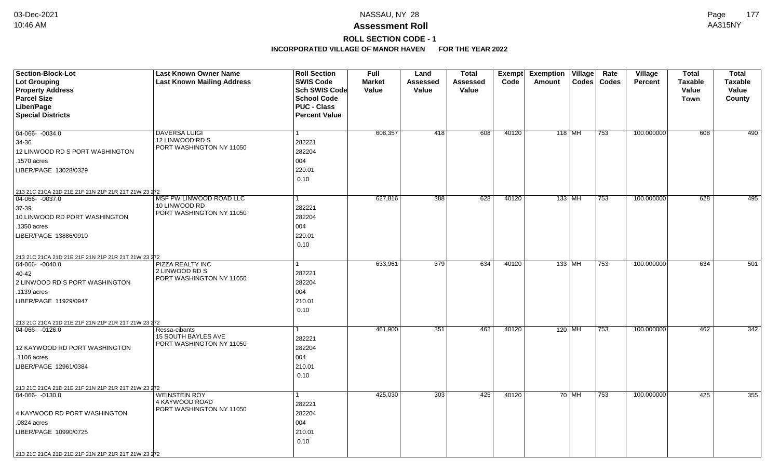# **ROLL SECTION CODE - 1**

| <b>Section-Block-Lot</b>                            | <b>Last Known Owner Name</b>              | <b>Roll Section</b>  | <b>Full</b>   | Land     | <b>Total</b> |       | Exempt Exemption Village |       | Rate          | Village        | <b>Total</b>   | <b>Total</b>   |
|-----------------------------------------------------|-------------------------------------------|----------------------|---------------|----------|--------------|-------|--------------------------|-------|---------------|----------------|----------------|----------------|
| <b>Lot Grouping</b>                                 | <b>Last Known Mailing Address</b>         | <b>SWIS Code</b>     | <b>Market</b> | Assessed | Assessed     | Code  | Amount                   |       | Codes   Codes | <b>Percent</b> | <b>Taxable</b> | <b>Taxable</b> |
| <b>Property Address</b>                             |                                           | Sch SWIS Code        | Value         | Value    | Value        |       |                          |       |               |                | Value          | Value          |
| <b>Parcel Size</b>                                  |                                           | <b>School Code</b>   |               |          |              |       |                          |       |               |                | <b>Town</b>    | County         |
| Liber/Page                                          |                                           | <b>PUC - Class</b>   |               |          |              |       |                          |       |               |                |                |                |
| <b>Special Districts</b>                            |                                           | <b>Percent Value</b> |               |          |              |       |                          |       |               |                |                |                |
|                                                     |                                           |                      |               |          |              |       |                          |       |               |                |                |                |
| 04-066- -0034.0                                     | <b>DAVERSA LUIGI</b><br>12 LINWOOD RD S   |                      | 608,357       | 418      | 608          | 40120 | 118 MH                   |       | 753           | 100.000000     | 608            | 490            |
| 34-36                                               | PORT WASHINGTON NY 11050                  | 282221               |               |          |              |       |                          |       |               |                |                |                |
| 12 LINWOOD RD S PORT WASHINGTON                     |                                           | 282204               |               |          |              |       |                          |       |               |                |                |                |
| .1570 acres                                         |                                           | 004                  |               |          |              |       |                          |       |               |                |                |                |
| LIBER/PAGE 13028/0329                               |                                           | 220.01               |               |          |              |       |                          |       |               |                |                |                |
|                                                     |                                           | 0.10                 |               |          |              |       |                          |       |               |                |                |                |
| 213 21C 21CA 21D 21E 21F 21N 21P 21R 21T 21W 23 272 |                                           |                      |               |          |              |       |                          |       |               |                |                |                |
| 04-066- -0037.0                                     | MSF PW LINWOOD ROAD LLC                   |                      | 627,816       | 388      | 628          | 40120 | $133$ MH                 |       | 753           | 100.000000     | 628            | 495            |
| 37-39                                               | 10 LINWOOD RD<br>PORT WASHINGTON NY 11050 | 282221               |               |          |              |       |                          |       |               |                |                |                |
| 10 LINWOOD RD PORT WASHINGTON                       |                                           | 282204               |               |          |              |       |                          |       |               |                |                |                |
| .1350 acres                                         |                                           | 004                  |               |          |              |       |                          |       |               |                |                |                |
| LIBER/PAGE 13886/0910                               |                                           | 220.01               |               |          |              |       |                          |       |               |                |                |                |
|                                                     |                                           | 0.10                 |               |          |              |       |                          |       |               |                |                |                |
| 213 21C 21CA 21D 21E 21F 21N 21P 21R 21T 21W 23 272 |                                           |                      |               |          |              |       |                          |       |               |                |                |                |
| $04-066 - 0040.0$                                   | <b>PIZZA REALTY INC</b>                   |                      | 633,961       | 379      | 634          | 40120 | $133$ MH                 |       | 753           | 100.000000     | 634            | 501            |
| 40-42                                               | 2 LINWOOD RD S                            | 282221               |               |          |              |       |                          |       |               |                |                |                |
| 2 LINWOOD RD S PORT WASHINGTON                      | PORT WASHINGTON NY 11050                  | 282204               |               |          |              |       |                          |       |               |                |                |                |
| .1139 acres                                         |                                           | 004                  |               |          |              |       |                          |       |               |                |                |                |
| LIBER/PAGE 11929/0947                               |                                           | 210.01               |               |          |              |       |                          |       |               |                |                |                |
|                                                     |                                           | 0.10                 |               |          |              |       |                          |       |               |                |                |                |
| 213 21C 21CA 21D 21E 21F 21N 21P 21R 21T 21W 23 272 |                                           |                      |               |          |              |       |                          |       |               |                |                |                |
| $ 04-066-0126.0$                                    | Ressa-cibants                             |                      | 461,900       | 351      | 462          | 40120 | $120$ MH                 |       | 753           | 100.000000     | 462            | 342            |
|                                                     | <b>15 SOUTH BAYLES AVE</b>                | 282221               |               |          |              |       |                          |       |               |                |                |                |
| 12 KAYWOOD RD PORT WASHINGTON                       | PORT WASHINGTON NY 11050                  | 282204               |               |          |              |       |                          |       |               |                |                |                |
| .1106 acres                                         |                                           | 004                  |               |          |              |       |                          |       |               |                |                |                |
| LIBER/PAGE 12961/0384                               |                                           | 210.01               |               |          |              |       |                          |       |               |                |                |                |
|                                                     |                                           | 0.10                 |               |          |              |       |                          |       |               |                |                |                |
| 213 21C 21CA 21D 21E 21F 21N 21P 21R 21T 21W 23 272 |                                           |                      |               |          |              |       |                          |       |               |                |                |                |
| 04-066- -0130.0                                     | <b>WEINSTEIN ROY</b>                      |                      | 425,030       | 303      | 425          | 40120 |                          | 70 MH | 753           | 100.000000     | 425            | 355            |
|                                                     | 4 KAYWOOD ROAD                            | 282221               |               |          |              |       |                          |       |               |                |                |                |
| 4 KAYWOOD RD PORT WASHINGTON                        | PORT WASHINGTON NY 11050                  | 282204               |               |          |              |       |                          |       |               |                |                |                |
| .0824 acres                                         |                                           | 004                  |               |          |              |       |                          |       |               |                |                |                |
| LIBER/PAGE 10990/0725                               |                                           | 210.01               |               |          |              |       |                          |       |               |                |                |                |
|                                                     |                                           | 0.10                 |               |          |              |       |                          |       |               |                |                |                |
| 213 21C 21CA 21D 21E 21F 21N 21P 21R 21T 21W 23 272 |                                           |                      |               |          |              |       |                          |       |               |                |                |                |
|                                                     |                                           |                      |               |          |              |       |                          |       |               |                |                |                |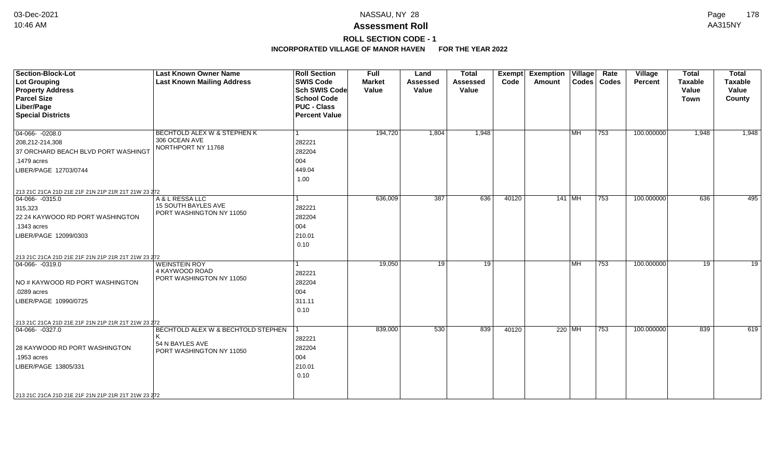# **ROLL SECTION CODE - 1**

| <b>Section-Block-Lot</b><br><b>Lot Grouping</b><br><b>Property Address</b><br><b>Parcel Size</b><br>Liber/Page<br><b>Special Districts</b>                                 | <b>Last Known Owner Name</b><br><b>Last Known Mailing Address</b>                 | <b>Roll Section</b><br><b>SWIS Code</b><br><b>Sch SWIS Code</b><br><b>School Code</b><br><b>PUC - Class</b><br><b>Percent Value</b> | <b>Full</b><br><b>Market</b><br>Value | Land<br><b>Assessed</b><br>Value | <b>Total</b><br><b>Assessed</b><br>Value | Exempt<br>Code | <b>Exemption Village</b><br>Amount | Rate<br>Codes   Codes | Village<br><b>Percent</b> | <b>Total</b><br><b>Taxable</b><br>Value<br><b>Town</b> | <b>Total</b><br><b>Taxable</b><br>Value<br>County |
|----------------------------------------------------------------------------------------------------------------------------------------------------------------------------|-----------------------------------------------------------------------------------|-------------------------------------------------------------------------------------------------------------------------------------|---------------------------------------|----------------------------------|------------------------------------------|----------------|------------------------------------|-----------------------|---------------------------|--------------------------------------------------------|---------------------------------------------------|
| $04-066 - 0208.0$<br>208,212-214,308<br>37 ORCHARD BEACH BLVD PORT WASHINGT<br>.1479 acres<br>LIBER/PAGE 12703/0744<br>213 21C 21CA 21D 21E 21F 21N 21P 21R 21T 21W 23 272 | BECHTOLD ALEX W & STEPHEN K<br>306 OCEAN AVE<br>NORTHPORT NY 11768                | 282221<br>282204<br>004<br>449.04<br>1.00                                                                                           | 194,720                               | 1,804                            | 1,948                                    |                | $\overline{\mathsf{IMH}}$          | 753                   | 100.000000                | 1,948                                                  | 1,948                                             |
| $ 04 - 066 - 0315.0$<br>315,323<br>22 24 KAYWOOD RD PORT WASHINGTON<br>.1343 acres<br>LIBER/PAGE 12099/0303<br>213 21C 21CA 21D 21E 21F 21N 21P 21R 21T 21W 23 272         | A & L RESSA LLC<br>15 SOUTH BAYLES AVE<br>PORT WASHINGTON NY 11050                | 282221<br>282204<br>004<br>210.01<br>0.10                                                                                           | 636,009                               | $\overline{387}$                 | 636                                      | 40120          | $141$ MH                           | 753                   | 100.000000                | 636                                                    | 495                                               |
| $ 04-066-0319.0$<br>NO # KAYWOOD RD PORT WASHINGTON<br>.0289 acres<br>LIBER/PAGE 10990/0725<br>213 21C 21CA 21D 21E 21F 21N 21P 21R 21T 21W 23 272                         | <b>WEINSTEIN ROY</b><br>4 KAYWOOD ROAD<br>PORT WASHINGTON NY 11050                | 282221<br>282204<br>004<br>311.11<br>0.10                                                                                           | 19,050                                | 19                               | 19                                       |                | <b>MH</b>                          | 753                   | 100.000000                | 19                                                     | $\overline{19}$                                   |
| $ 04-066-0327.0$<br>28 KAYWOOD RD PORT WASHINGTON<br>.1953 acres<br>LIBER/PAGE 13805/331<br>213 21C 21CA 21D 21E 21F 21N 21P 21R 21T 21W 23 272                            | BECHTOLD ALEX W & BECHTOLD STEPHEN<br>54 N BAYLES AVE<br>PORT WASHINGTON NY 11050 | 282221<br>282204<br>004<br>210.01<br>0.10                                                                                           | 839,000                               | 530                              | 839                                      | 40120          | 220 MH                             | 753                   | 100.000000                | 839                                                    | 619                                               |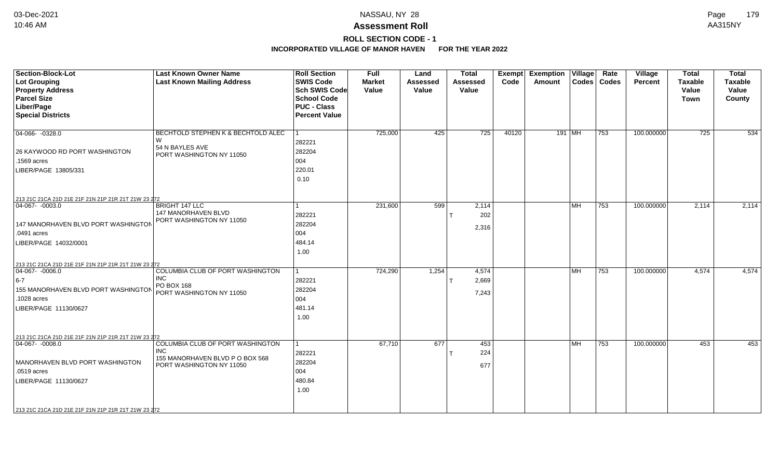# **ROLL SECTION CODE - 1**

| <b>Section-Block-Lot</b><br><b>Lot Grouping</b><br><b>Property Address</b><br><b>Parcel Size</b><br>Liber/Page<br><b>Special Districts</b>                                                                                | <b>Last Known Owner Name</b><br><b>Last Known Mailing Address</b>                                             | <b>Roll Section</b><br><b>SWIS Code</b><br>Sch SWIS Code<br><b>School Code</b><br><b>PUC - Class</b><br><b>Percent Value</b> | <b>Full</b><br><b>Market</b><br>Value | Land<br><b>Assessed</b><br>Value | <b>Total</b><br><b>Assessed</b><br>Value | <b>Exempt</b><br>Code | <b>Exemption Village</b><br>Amount |           | Rate<br>Codes   Codes | Village<br><b>Percent</b> | <b>Total</b><br><b>Taxable</b><br>Value<br><b>Town</b> | <b>Total</b><br><b>Taxable</b><br>Value<br>County |
|---------------------------------------------------------------------------------------------------------------------------------------------------------------------------------------------------------------------------|---------------------------------------------------------------------------------------------------------------|------------------------------------------------------------------------------------------------------------------------------|---------------------------------------|----------------------------------|------------------------------------------|-----------------------|------------------------------------|-----------|-----------------------|---------------------------|--------------------------------------------------------|---------------------------------------------------|
| 04-066-0328.0<br>26 KAYWOOD RD PORT WASHINGTON<br>1569 acres<br>LIBER/PAGE 13805/331                                                                                                                                      | <b>BECHTOLD STEPHEN K &amp; BECHTOLD ALEC</b><br>W<br>54 N BAYLES AVE<br>PORT WASHINGTON NY 11050             | 282221<br>282204<br>004<br>220.01<br>0.10                                                                                    | 725,000                               | 425                              | 725                                      | 40120                 | 191 MH                             |           | 753                   | 100.000000                | 725                                                    | 534                                               |
| 213 21C 21CA 21D 21E 21F 21N 21P 21R 21T 21W 23 272<br>$ 04-067-0003.0$<br>147 MANORHAVEN BLVD PORT WASHINGTON<br>.0491 acres<br>LIBER/PAGE 14032/0001                                                                    | <b>BRIGHT 147 LLC</b><br>147 MANORHAVEN BLVD<br>PORT WASHINGTON NY 11050                                      | 1<br>282221<br>282204<br>004<br>484.14<br>1.00                                                                               | 231,600                               | 599                              | 2,114<br>202<br>2,316                    |                       |                                    | <b>MH</b> | 753                   | 100.000000                | 2,114                                                  | 2,114                                             |
| 213 21C 21CA 21D 21E 21F 21N 21P 21R 21T 21W 23 272<br>$ 04-067- -0006.0$<br>$ 6-7$<br>155 MANORHAVEN BLVD PORT WASHINGTON<br>.1028 acres<br>LIBER/PAGE 11130/0627<br>213 21C 21CA 21D 21E 21F 21N 21P 21R 21T 21W 23 272 | COLUMBIA CLUB OF PORT WASHINGTON<br><b>INC</b><br>PO BOX 168<br>PORT WASHINGTON NY 11050                      | 1<br>282221<br>282204<br>004<br>481.14<br>1.00                                                                               | 724,290                               | 1,254                            | 4,574<br>2,669<br>7,243                  |                       |                                    | MН        | 753                   | 100.000000                | 4,574                                                  | 4,574                                             |
| $ 04-067-0008.0$<br>MANORHAVEN BLVD PORT WASHINGTON<br>.0519 acres<br>LIBER/PAGE 11130/0627<br>213 21C 21CA 21D 21E 21F 21N 21P 21R 21T 21W 23 272                                                                        | COLUMBIA CLUB OF PORT WASHINGTON<br><b>INC</b><br>155 MANORHAVEN BLVD P O BOX 568<br>PORT WASHINGTON NY 11050 | 1<br>282221<br>282204<br>004<br>480.84<br>1.00                                                                               | 67,710                                | 677                              | 453<br>224<br>677                        |                       |                                    | <b>MH</b> | 753                   | 100.000000                | 453                                                    | 453                                               |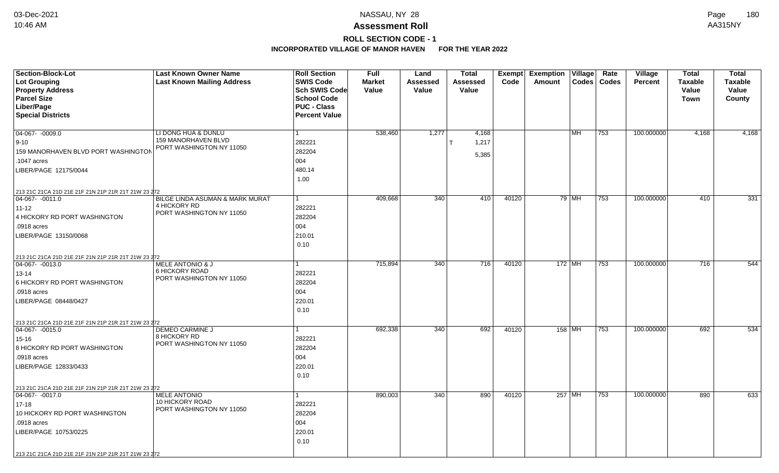# **ROLL SECTION CODE - 1**

| Section-Block-Lot<br><b>Lot Grouping</b>            | <b>Last Known Owner Name</b><br><b>Last Known Mailing Address</b> | <b>Roll Section</b><br><b>SWIS Code</b> | <b>Full</b><br><b>Market</b> | Land<br>Assessed | <b>Total</b><br><b>Assessed</b> | Exempt<br>Code | <b>Exemption</b><br>Village<br>$\text{Codes}$<br>Amount | Rate<br>Codes | <b>Village</b><br><b>Percent</b> | <b>Total</b><br><b>Taxable</b> | <b>Total</b><br><b>Taxable</b> |
|-----------------------------------------------------|-------------------------------------------------------------------|-----------------------------------------|------------------------------|------------------|---------------------------------|----------------|---------------------------------------------------------|---------------|----------------------------------|--------------------------------|--------------------------------|
| <b>Property Address</b>                             |                                                                   | <b>Sch SWIS Code</b>                    | Value                        | Value            | Value                           |                |                                                         |               |                                  | Value                          | Value                          |
| <b>Parcel Size</b>                                  |                                                                   | <b>School Code</b>                      |                              |                  |                                 |                |                                                         |               |                                  | <b>Town</b>                    | County                         |
| Liber/Page                                          |                                                                   | <b>PUC - Class</b>                      |                              |                  |                                 |                |                                                         |               |                                  |                                |                                |
| <b>Special Districts</b>                            |                                                                   | <b>Percent Value</b>                    |                              |                  |                                 |                |                                                         |               |                                  |                                |                                |
|                                                     |                                                                   |                                         |                              |                  |                                 |                |                                                         |               |                                  |                                |                                |
| $04-067 - 0009.0$                                   | LI DONG HUA & DUNLU<br>159 MANORHAVEN BLVD                        | 1                                       | 538,460                      | 1,277            | 4,168                           |                | MH                                                      | 753           | 100.000000                       | 4,168                          | 4,168                          |
| $9-10$                                              | PORT WASHINGTON NY 11050                                          | 282221                                  |                              |                  | 1,217                           |                |                                                         |               |                                  |                                |                                |
| 159 MANORHAVEN BLVD PORT WASHINGTON                 |                                                                   | 282204                                  |                              |                  | 5,385                           |                |                                                         |               |                                  |                                |                                |
| .1047 acres                                         |                                                                   | 004                                     |                              |                  |                                 |                |                                                         |               |                                  |                                |                                |
| LIBER/PAGE 12175/0044                               |                                                                   | 480.14                                  |                              |                  |                                 |                |                                                         |               |                                  |                                |                                |
|                                                     |                                                                   | 1.00                                    |                              |                  |                                 |                |                                                         |               |                                  |                                |                                |
| 213 21C 21CA 21D 21E 21F 21N 21P 21R 21T 21W 23 272 |                                                                   |                                         |                              |                  |                                 |                |                                                         |               |                                  |                                |                                |
| $ 04-067-0011.0$                                    | BILGE LINDA ASUMAN & MARK MURAT<br>4 HICKORY RD                   | 1                                       | 409,668                      | 340              | 410                             | 40120          | 79 MH                                                   | 753           | 100.000000                       | 410                            | 331                            |
| $11 - 12$                                           | PORT WASHINGTON NY 11050                                          | 282221                                  |                              |                  |                                 |                |                                                         |               |                                  |                                |                                |
| 4 HICKORY RD PORT WASHINGTON                        |                                                                   | 282204                                  |                              |                  |                                 |                |                                                         |               |                                  |                                |                                |
| .0918 acres                                         |                                                                   | 004                                     |                              |                  |                                 |                |                                                         |               |                                  |                                |                                |
| LIBER/PAGE 13150/0068                               |                                                                   | 210.01                                  |                              |                  |                                 |                |                                                         |               |                                  |                                |                                |
|                                                     |                                                                   | 0.10                                    |                              |                  |                                 |                |                                                         |               |                                  |                                |                                |
| 213 21C 21CA 21D 21E 21F 21N 21P 21R 21T 21W 23 272 |                                                                   |                                         |                              |                  |                                 |                |                                                         |               |                                  |                                |                                |
| 04-067- -0013.0                                     | <b>MELE ANTONIO &amp; J</b>                                       |                                         | 715,894                      | 340              | 716                             | 40120          | $172$ MH                                                | 753           | 100.000000                       | 716                            | 544                            |
| 13-14                                               | 6 HICKORY ROAD<br>PORT WASHINGTON NY 11050                        | 282221                                  |                              |                  |                                 |                |                                                         |               |                                  |                                |                                |
| 6 HICKORY RD PORT WASHINGTON                        |                                                                   | 282204                                  |                              |                  |                                 |                |                                                         |               |                                  |                                |                                |
| .0918 acres                                         |                                                                   | 004                                     |                              |                  |                                 |                |                                                         |               |                                  |                                |                                |
| LIBER/PAGE 08448/0427                               |                                                                   | 220.01                                  |                              |                  |                                 |                |                                                         |               |                                  |                                |                                |
|                                                     |                                                                   | 0.10                                    |                              |                  |                                 |                |                                                         |               |                                  |                                |                                |
| 213 21C 21CA 21D 21E 21F 21N 21P 21R 21T 21W 23 272 |                                                                   |                                         |                              |                  |                                 |                |                                                         |               |                                  |                                |                                |
| $ 04-067 - 0015.0$                                  | DEMEO CARMINE J                                                   | 1                                       | 692,338                      | 340              | 692                             | 40120          | 158 MH                                                  | 753           | 100.000000                       | 692                            | 534                            |
| 15-16                                               | 8 HICKORY RD<br>PORT WASHINGTON NY 11050                          | 282221                                  |                              |                  |                                 |                |                                                         |               |                                  |                                |                                |
| 8 HICKORY RD PORT WASHINGTON                        |                                                                   | 282204                                  |                              |                  |                                 |                |                                                         |               |                                  |                                |                                |
| .0918 acres                                         |                                                                   | 004                                     |                              |                  |                                 |                |                                                         |               |                                  |                                |                                |
| LIBER/PAGE 12833/0433                               |                                                                   | 220.01                                  |                              |                  |                                 |                |                                                         |               |                                  |                                |                                |
|                                                     |                                                                   | 0.10                                    |                              |                  |                                 |                |                                                         |               |                                  |                                |                                |
| 213 21C 21CA 21D 21E 21F 21N 21P 21R 21T 21W 23 272 |                                                                   |                                         |                              |                  |                                 |                |                                                         |               |                                  |                                |                                |
| 04-067- -0017.0                                     | <b>MELE ANTONIO</b>                                               | 1                                       | 890,003                      | 340              | 890                             | 40120          | 257 MH                                                  | 753           | 100.000000                       | 890                            | 633                            |
| $17 - 18$                                           | <b>10 HICKORY ROAD</b>                                            | 282221                                  |                              |                  |                                 |                |                                                         |               |                                  |                                |                                |
| 10 HICKORY RD PORT WASHINGTON                       | PORT WASHINGTON NY 11050                                          | 282204                                  |                              |                  |                                 |                |                                                         |               |                                  |                                |                                |
| .0918 acres                                         |                                                                   | 004                                     |                              |                  |                                 |                |                                                         |               |                                  |                                |                                |
| LIBER/PAGE 10753/0225                               |                                                                   | 220.01                                  |                              |                  |                                 |                |                                                         |               |                                  |                                |                                |
|                                                     |                                                                   | 0.10                                    |                              |                  |                                 |                |                                                         |               |                                  |                                |                                |
| 213 21C 21CA 21D 21E 21F 21N 21P 21R 21T 21W 23 272 |                                                                   |                                         |                              |                  |                                 |                |                                                         |               |                                  |                                |                                |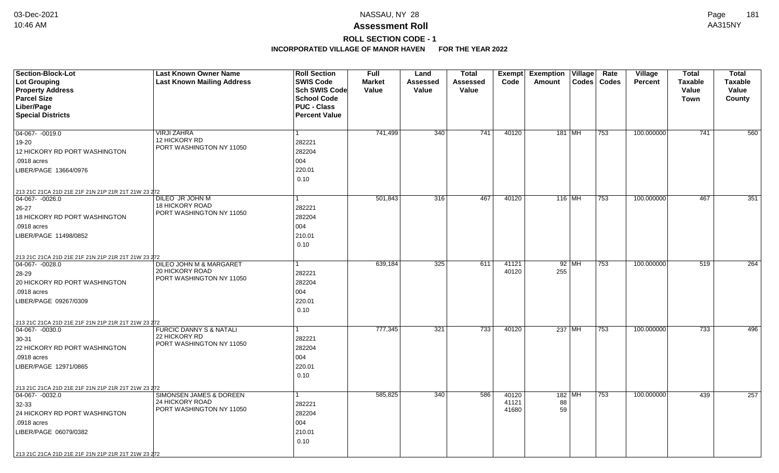# **ROLL SECTION CODE - 1**

| Section-Block-Lot<br><b>Lot Grouping</b>            | <b>Last Known Owner Name</b><br><b>Last Known Mailing Address</b> | <b>Roll Section</b><br><b>SWIS Code</b>  | <b>Full</b><br><b>Market</b> | Land<br>Assessed | <b>Total</b><br>Assessed | Exempt<br>Code | <b>Exemption Village</b><br>Amount | Rate<br>Codes   Codes | Village<br><b>Percent</b> | <b>Total</b><br><b>Taxable</b> | <b>Total</b><br><b>Taxable</b> |
|-----------------------------------------------------|-------------------------------------------------------------------|------------------------------------------|------------------------------|------------------|--------------------------|----------------|------------------------------------|-----------------------|---------------------------|--------------------------------|--------------------------------|
| <b>Property Address</b>                             |                                                                   | Sch SWIS Code                            | Value                        | Value            | Value                    |                |                                    |                       |                           | Value                          | Value                          |
| <b>Parcel Size</b><br>Liber/Page                    |                                                                   | <b>School Code</b><br><b>PUC - Class</b> |                              |                  |                          |                |                                    |                       |                           | Town                           | County                         |
| <b>Special Districts</b>                            |                                                                   | <b>Percent Value</b>                     |                              |                  |                          |                |                                    |                       |                           |                                |                                |
|                                                     |                                                                   |                                          |                              |                  |                          |                |                                    |                       |                           |                                |                                |
| $04-067 - 0019.0$                                   | <b>VIRJI ZAHRA</b>                                                | $\mathbf{1}$                             | 741,499                      | 340              | 741                      | 40120          | 181   MH                           | 753                   | 100.000000                | 741                            | 560                            |
| 19-20                                               | 12 HICKORY RD                                                     | 282221                                   |                              |                  |                          |                |                                    |                       |                           |                                |                                |
| 12 HICKORY RD PORT WASHINGTON                       | PORT WASHINGTON NY 11050                                          | 282204                                   |                              |                  |                          |                |                                    |                       |                           |                                |                                |
| .0918 acres                                         |                                                                   | 004                                      |                              |                  |                          |                |                                    |                       |                           |                                |                                |
| LIBER/PAGE 13664/0976                               |                                                                   | 220.01                                   |                              |                  |                          |                |                                    |                       |                           |                                |                                |
|                                                     |                                                                   | 0.10                                     |                              |                  |                          |                |                                    |                       |                           |                                |                                |
| 213 21C 21CA 21D 21E 21F 21N 21P 21R 21T 21W 23 272 |                                                                   |                                          |                              |                  |                          |                |                                    |                       |                           |                                |                                |
| $ 04-067-0026.0$                                    | DILEO JR JOHN M                                                   | 1                                        | 501,843                      | 316              | 467                      | 40120          | 116 MH                             | 753                   | 100.000000                | 467                            | 351                            |
| $26 - 27$                                           | <b>18 HICKORY ROAD</b>                                            | 282221                                   |                              |                  |                          |                |                                    |                       |                           |                                |                                |
| 18 HICKORY RD PORT WASHINGTON                       | PORT WASHINGTON NY 11050                                          | 282204                                   |                              |                  |                          |                |                                    |                       |                           |                                |                                |
| .0918 acres                                         |                                                                   | 004                                      |                              |                  |                          |                |                                    |                       |                           |                                |                                |
| LIBER/PAGE 11498/0852                               |                                                                   | 210.01                                   |                              |                  |                          |                |                                    |                       |                           |                                |                                |
|                                                     |                                                                   | 0.10                                     |                              |                  |                          |                |                                    |                       |                           |                                |                                |
| 213 21C 21CA 21D 21E 21F 21N 21P 21R 21T 21W 23 272 |                                                                   |                                          |                              |                  |                          |                |                                    |                       |                           |                                |                                |
| $04-067 - 0028.0$                                   | DILEO JOHN M & MARGARET                                           |                                          | 639,184                      | 325              | 611                      | 41121          | $92$ MH                            | 753                   | 100.000000                | 519                            | 264                            |
| 28-29                                               | 20 HICKORY ROAD<br>PORT WASHINGTON NY 11050                       | 282221                                   |                              |                  |                          | 40120          | 255                                |                       |                           |                                |                                |
| 20 HICKORY RD PORT WASHINGTON                       |                                                                   | 282204                                   |                              |                  |                          |                |                                    |                       |                           |                                |                                |
| .0918 acres                                         |                                                                   | 004                                      |                              |                  |                          |                |                                    |                       |                           |                                |                                |
| LIBER/PAGE 09267/0309                               |                                                                   | 220.01                                   |                              |                  |                          |                |                                    |                       |                           |                                |                                |
|                                                     |                                                                   | 0.10                                     |                              |                  |                          |                |                                    |                       |                           |                                |                                |
| 213 21C 21CA 21D 21E 21F 21N 21P 21R 21T 21W 23 272 |                                                                   |                                          |                              |                  |                          |                |                                    |                       |                           |                                |                                |
| $ 04-067 - 0030.0$                                  | <b>FURCIC DANNY S &amp; NATALI</b><br>22 HICKORY RD               | 1                                        | 777,345                      | 321              | $\overline{733}$         | 40120          | 237 MH                             | 753                   | 100.000000                | $\overline{733}$               | 496                            |
| 30-31                                               | PORT WASHINGTON NY 11050                                          | 282221                                   |                              |                  |                          |                |                                    |                       |                           |                                |                                |
| 22 HICKORY RD PORT WASHINGTON                       |                                                                   | 282204                                   |                              |                  |                          |                |                                    |                       |                           |                                |                                |
| .0918 acres                                         |                                                                   | 004                                      |                              |                  |                          |                |                                    |                       |                           |                                |                                |
| LIBER/PAGE 12971/0865                               |                                                                   | 220.01                                   |                              |                  |                          |                |                                    |                       |                           |                                |                                |
|                                                     |                                                                   | 0.10                                     |                              |                  |                          |                |                                    |                       |                           |                                |                                |
| 213 21C 21CA 21D 21E 21F 21N 21P 21R 21T 21W 23 272 |                                                                   |                                          |                              |                  |                          |                |                                    |                       |                           |                                |                                |
| $\boxed{04-067 - 0032.0}$                           | SIMONSEN JAMES & DOREEN<br>24 HICKORY ROAD                        | $\mathbf{1}$                             | 585,825                      | 340              | 586                      | 40120<br>41121 | 182   MH<br>88                     | 753                   | 100.000000                | 439                            | 257                            |
| 32-33                                               | PORT WASHINGTON NY 11050                                          | 282221                                   |                              |                  |                          | 41680          | 59                                 |                       |                           |                                |                                |
| 24 HICKORY RD PORT WASHINGTON                       |                                                                   | 282204                                   |                              |                  |                          |                |                                    |                       |                           |                                |                                |
| .0918 acres                                         |                                                                   | 004                                      |                              |                  |                          |                |                                    |                       |                           |                                |                                |
| LIBER/PAGE 06079/0382                               |                                                                   | 210.01                                   |                              |                  |                          |                |                                    |                       |                           |                                |                                |
|                                                     |                                                                   | 0.10                                     |                              |                  |                          |                |                                    |                       |                           |                                |                                |
| 213 21C 21CA 21D 21E 21F 21N 21P 21R 21T 21W 23 272 |                                                                   |                                          |                              |                  |                          |                |                                    |                       |                           |                                |                                |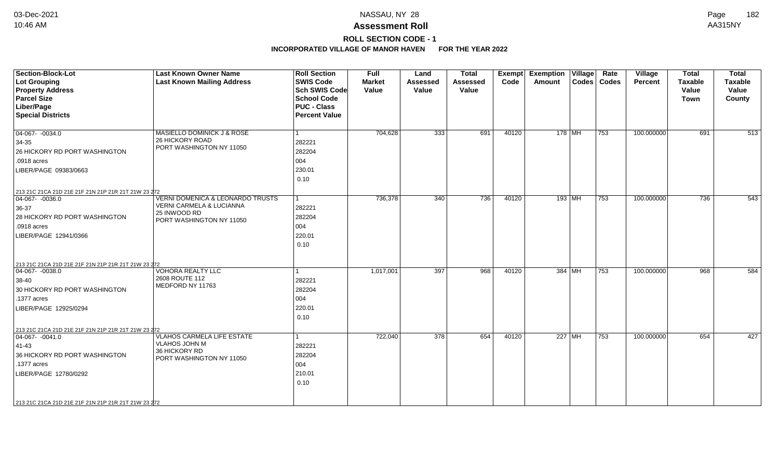# **ROLL SECTION CODE - 1**

| <b>Section-Block-Lot</b><br>Lot Grouping<br><b>Property Address</b><br><b>Parcel Size</b><br>Liber/Page<br><b>Special Districts</b>                                                                              | <b>Last Known Owner Name</b><br><b>Last Known Mailing Address</b>                                                   | <b>Roll Section</b><br><b>SWIS Code</b><br>Sch SWIS Code<br><b>School Code</b><br><b>PUC - Class</b><br><b>Percent Value</b> | <b>Full</b><br><b>Market</b><br>Value | Land<br><b>Assessed</b><br>Value | <b>Total</b><br><b>Assessed</b><br>Value | Code  | <b>Exempt Exemption Village</b><br><b>Amount</b> |        | Rate<br>Codes   Codes | Village<br><b>Percent</b> | <b>Total</b><br><b>Taxable</b><br>Value<br>Town | <b>Total</b><br><b>Taxable</b><br>Value<br>County |
|------------------------------------------------------------------------------------------------------------------------------------------------------------------------------------------------------------------|---------------------------------------------------------------------------------------------------------------------|------------------------------------------------------------------------------------------------------------------------------|---------------------------------------|----------------------------------|------------------------------------------|-------|--------------------------------------------------|--------|-----------------------|---------------------------|-------------------------------------------------|---------------------------------------------------|
| $\boxed{04-067 - 0034.0}$<br>34-35<br>26 HICKORY RD PORT WASHINGTON<br>.0918 acres<br>LIBER/PAGE 09383/0663                                                                                                      | MASIELLO DOMINICK J & ROSE<br>26 HICKORY ROAD<br>PORT WASHINGTON NY 11050                                           | 282221<br>282204<br>004<br>230.01<br>0.10                                                                                    | 704,628                               | 333                              | 691                                      | 40120 | 178 MH                                           |        | 753                   | 100.000000                | 691                                             | 513                                               |
| 213 21C 21CA 21D 21E 21F 21N 21P 21R 21T 21W 23 272<br>$ 04-067- -0036.0$<br>36-37<br>28 HICKORY RD PORT WASHINGTON<br>.0918 acres<br>LIBER/PAGE 12941/0366                                                      | <b>VERNI DOMENICA &amp; LEONARDO TRUSTS</b><br>VERNI CARMELA & LUCIANNA<br>25 INWOOD RD<br>PORT WASHINGTON NY 11050 | 1<br>282221<br>282204<br>004<br>220.01<br>0.10                                                                               | 736,378                               | 340                              | 736                                      | 40120 |                                                  | 193 MH | 753                   | 100.000000                | 736                                             | 543                                               |
| 213 21C 21CA 21D 21E 21F 21N 21P 21R 21T 21W 23 272<br>$ 04-067 - 0038.0$<br>$38-40$<br>30 HICKORY RD PORT WASHINGTON<br>.1377 acres<br>LIBER/PAGE 12925/0294                                                    | <b>VOHORA REALTY LLC</b><br>2608 ROUTE 112<br>MEDFORD NY 11763                                                      | 282221<br>282204<br>004<br>220.01<br>0.10                                                                                    | 1,017,001                             | 397                              | 968                                      | 40120 | 384 MH                                           |        | $\overline{753}$      | 100.000000                | 968                                             | 584                                               |
| 213 21C 21CA 21D 21E 21F 21N 21P 21R 21T 21W 23 272<br>$ 04-067-0041.0$<br>41-43<br>36 HICKORY RD PORT WASHINGTON<br>.1377 acres<br>LIBER/PAGE 12780/0292<br>213 21C 21CA 21D 21E 21F 21N 21P 21R 21T 21W 23 272 | <b>VLAHOS CARMELA LIFE ESTATE</b><br><b>VLAHOS JOHN M</b><br>36 HICKORY RD<br>PORT WASHINGTON NY 11050              | 282221<br>282204<br>004<br>210.01<br>0.10                                                                                    | 722,040                               | 378                              | 654                                      | 40120 | 227 MH                                           |        | 753                   | 100.000000                | 654                                             | 427                                               |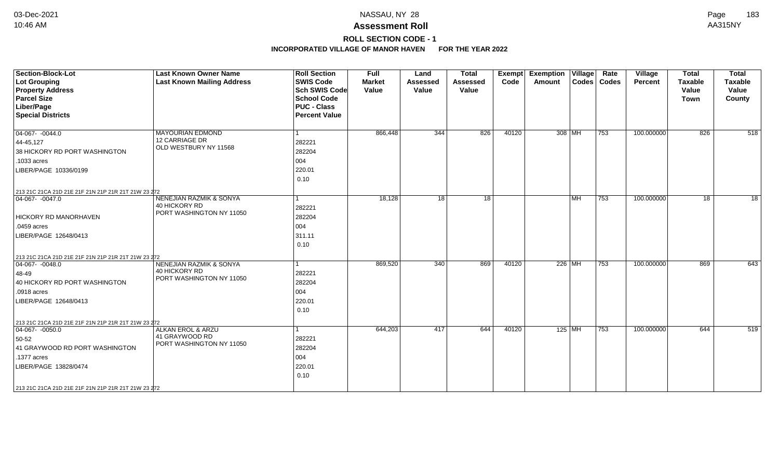# **ROLL SECTION CODE - 1**

| Section-Block-Lot<br><b>Lot Grouping</b><br><b>Property Address</b><br><b>Parcel Size</b><br>Liber/Page<br><b>Special Districts</b>                                                                                | <b>Last Known Owner Name</b><br><b>Last Known Mailing Address</b>               | <b>Roll Section</b><br><b>SWIS Code</b><br><b>Sch SWIS Code</b><br><b>School Code</b><br><b>PUC - Class</b><br><b>Percent Value</b> | <b>Full</b><br><b>Market</b><br>Value | Land<br><b>Assessed</b><br>Value | <b>Total</b><br><b>Assessed</b><br>Value | <b>Exempt</b><br>Code | <b>Exemption Village</b><br>Amount |           | Rate<br>Codes   Codes | Village<br>Percent | <b>Total</b><br><b>Taxable</b><br>Value<br><b>Town</b> | <b>Total</b><br><b>Taxable</b><br>Value<br>County |
|--------------------------------------------------------------------------------------------------------------------------------------------------------------------------------------------------------------------|---------------------------------------------------------------------------------|-------------------------------------------------------------------------------------------------------------------------------------|---------------------------------------|----------------------------------|------------------------------------------|-----------------------|------------------------------------|-----------|-----------------------|--------------------|--------------------------------------------------------|---------------------------------------------------|
| 04-067-0044.0<br>44-45,127<br>38 HICKORY RD PORT WASHINGTON<br>.1033 acres<br>LIBER/PAGE 10336/0199<br>213 21C 21CA 21D 21E 21F 21N 21P 21R 21T 21W 23 272                                                         | <b>MAYOURIAN EDMOND</b><br>12 CARRIAGE DR<br>OLD WESTBURY NY 11568              | 282221<br>282204<br>004<br>220.01<br>0.10                                                                                           | 866,448                               | 344                              | 826                                      | 40120                 | 308 MH                             |           | $ 753\rangle$         | 100.000000         | 826                                                    | 518                                               |
| 04-067- -0047.0<br><b>HICKORY RD MANORHAVEN</b><br>.0459 acres<br>LIBER/PAGE 12648/0413                                                                                                                            | <b>NENEJIAN RAZMIK &amp; SONYA</b><br>40 HICKORY RD<br>PORT WASHINGTON NY 11050 | 282221<br>282204<br>004<br>311.11<br>0.10                                                                                           | 18,128                                | 18                               | 18                                       |                       |                                    | <b>MH</b> | 753                   | 100.000000         | 18                                                     | 18                                                |
| 213 21C 21CA 21D 21E 21F 21N 21P 21R 21T 21W 23 272<br>$ 04-067 - 0048.0$<br>48-49<br>40 HICKORY RD PORT WASHINGTON<br>.0918 acres<br>LIBER/PAGE 12648/0413                                                        | NENEJIAN RAZMIK & SONYA<br>40 HICKORY RD<br>PORT WASHINGTON NY 11050            | $\overline{1}$<br>282221<br>282204<br>004<br>220.01<br>0.10                                                                         | 869,520                               | 340                              | 869                                      | 40120                 | 226 MH                             |           | 753                   | 100.000000         | 869                                                    | 643                                               |
| 213 21C 21CA 21D 21E 21F 21N 21P 21R 21T 21W 23 272<br>$04-067 - 0050.0$<br>50-52<br>41 GRAYWOOD RD PORT WASHINGTON<br>.1377 acres<br>LIBER/PAGE 13828/0474<br>213 21C 21CA 21D 21E 21F 21N 21P 21R 21T 21W 23 272 | <b>ALKAN EROL &amp; ARZU</b><br>41 GRAYWOOD RD<br>PORT WASHINGTON NY 11050      | 282221<br>282204<br>004<br>220.01<br>0.10                                                                                           | 644,203                               | 417                              | 644                                      | 40120                 | $125$ MH                           |           | 753                   | 100.000000         | 644                                                    | 519                                               |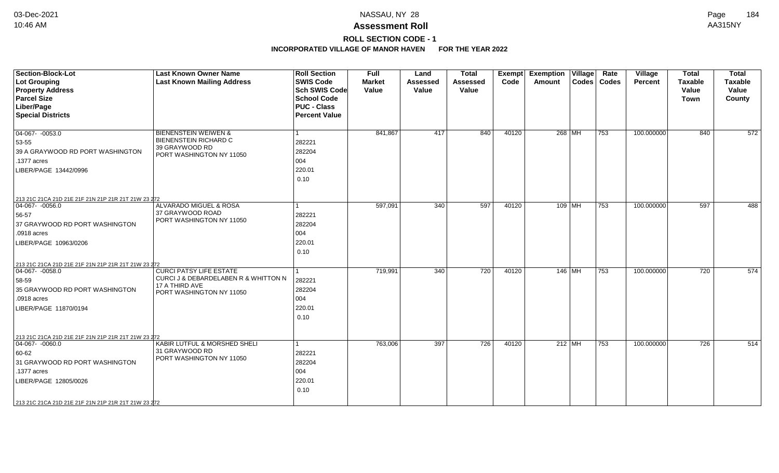# **ROLL SECTION CODE - 1**

| <b>Section-Block-Lot</b><br><b>Lot Grouping</b><br><b>Property Address</b><br><b>Parcel Size</b><br>Liber/Page<br><b>Special Districts</b>                                                                              | <b>Last Known Owner Name</b><br><b>Last Known Mailing Address</b>                                                    | <b>Roll Section</b><br><b>SWIS Code</b><br>Sch SWIS Code<br><b>School Code</b><br><b>PUC - Class</b><br><b>Percent Value</b> | <b>Full</b><br><b>Market</b><br>Value | Land<br><b>Assessed</b><br>Value | <b>Total</b><br><b>Assessed</b><br>Value | Exempt<br>Code | <b>Exemption Village</b><br>Amount | Rate<br>Codes   Codes | Village<br><b>Percent</b> | <b>Total</b><br><b>Taxable</b><br>Value<br><b>Town</b> | <b>Total</b><br><b>Taxable</b><br>Value<br>County |
|-------------------------------------------------------------------------------------------------------------------------------------------------------------------------------------------------------------------------|----------------------------------------------------------------------------------------------------------------------|------------------------------------------------------------------------------------------------------------------------------|---------------------------------------|----------------------------------|------------------------------------------|----------------|------------------------------------|-----------------------|---------------------------|--------------------------------------------------------|---------------------------------------------------|
| $04-067 - 0053.0$<br>53-55<br>39 A GRAYWOOD RD PORT WASHINGTON<br>.1377 acres<br>LIBER/PAGE 13442/0996                                                                                                                  | <b>BIENENSTEIN WEIWEN &amp;</b><br><b>BIENENSTEIN RICHARD C</b><br>39 GRAYWOOD RD<br>PORT WASHINGTON NY 11050        | 282221<br>282204<br>004<br>220.01<br>0.10                                                                                    | 841,867                               | 417                              | 840                                      | 40120          | 268 MH                             | 753                   | 100.000000                | 840                                                    | 572                                               |
| 213 21C 21CA 21D 21E 21F 21N 21P 21R 21T 21W 23 272<br>$\boxed{04-067 - 0056.0}$<br>56-57<br>37 GRAYWOOD RD PORT WASHINGTON<br>.0918 acres<br>LIBER/PAGE 10963/0206                                                     | ALVARADO MIGUEL & ROSA<br>37 GRAYWOOD ROAD<br>PORT WASHINGTON NY 11050                                               | 282221<br>282204<br>004<br>220.01<br>0.10                                                                                    | 597,091                               | 340                              | 597                                      | 40120          | $109$ MH                           | 753                   | 100.000000                | 597                                                    | 488                                               |
| 213 21C 21CA 21D 21E 21F 21N 21P 21R 21T 21W 23 272<br>$ 04-067-0058.0$<br>58-59<br>35 GRAYWOOD RD PORT WASHINGTON<br>.0918 acres<br>LIBER/PAGE 11870/0194                                                              | <b>CURCI PATSY LIFE ESTATE</b><br>CURCI J & DEBARDELABEN R & WHITTON N<br>17 A THIRD AVE<br>PORT WASHINGTON NY 11050 | 282221<br>282204<br>004<br>220.01<br>0.10                                                                                    | 719,991                               | 340                              | 720                                      | 40120          | 146 MH                             | 753                   | 100.000000                | 720                                                    | 574                                               |
| 213 21C 21CA 21D 21E 21F 21N 21P 21R 21T 21W 23 272<br>$ 04-067-0060.0$<br>$ 60 - 62 $<br>31 GRAYWOOD RD PORT WASHINGTON<br>.1377 acres<br>LIBER/PAGE 12805/0026<br>213 21C 21CA 21D 21E 21F 21N 21P 21R 21T 21W 23 272 | KABIR LUTFUL & MORSHED SHELI<br>31 GRAYWOOD RD<br>PORT WASHINGTON NY 11050                                           | 282221<br>282204<br>004<br>220.01<br>0.10                                                                                    | 763,006                               | 397                              | 726                                      | 40120          | $212$ MH                           | 753                   | 100.000000                | 726                                                    | 514                                               |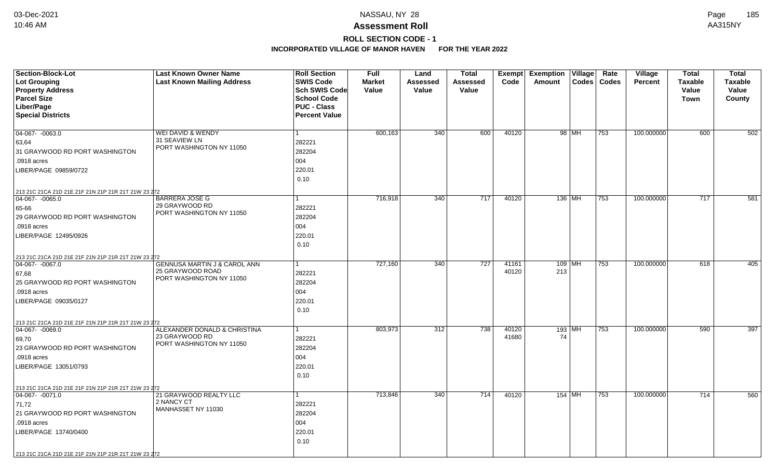# **ROLL SECTION CODE - 1**

| Section-Block-Lot                                                    | <b>Last Known Owner Name</b>                                | <b>Roll Section</b>                        | <b>Full</b>   | Land     | <b>Total</b>    | Exempt         | <b>Exemption</b><br>Village | Rate<br><b>Village</b>  | <b>Total</b>   | <b>Total</b>   |
|----------------------------------------------------------------------|-------------------------------------------------------------|--------------------------------------------|---------------|----------|-----------------|----------------|-----------------------------|-------------------------|----------------|----------------|
| <b>Lot Grouping</b>                                                  | <b>Last Known Mailing Address</b>                           | <b>SWIS Code</b>                           | <b>Market</b> | Assessed | <b>Assessed</b> | Code           | Codes<br>Amount             | Codes<br><b>Percent</b> | <b>Taxable</b> | <b>Taxable</b> |
| <b>Property Address</b>                                              |                                                             | <b>Sch SWIS Code</b>                       | Value         | Value    | Value           |                |                             |                         | Value          | Value          |
| <b>Parcel Size</b>                                                   |                                                             | <b>School Code</b>                         |               |          |                 |                |                             |                         | <b>Town</b>    | County         |
| Liber/Page<br><b>Special Districts</b>                               |                                                             | <b>PUC - Class</b><br><b>Percent Value</b> |               |          |                 |                |                             |                         |                |                |
|                                                                      |                                                             |                                            |               |          |                 |                |                             |                         |                |                |
| 04-067- -0063.0                                                      | WEI DAVID & WENDY                                           | 1                                          | 600,163       | 340      | 600             | 40120          | 98 MH<br>753                | 100.000000              | 600            | 502            |
| 63,64                                                                | 31 SEAVIEW LN                                               | 282221                                     |               |          |                 |                |                             |                         |                |                |
| 31 GRAYWOOD RD PORT WASHINGTON                                       | PORT WASHINGTON NY 11050                                    | 282204                                     |               |          |                 |                |                             |                         |                |                |
| .0918 acres                                                          |                                                             | 004                                        |               |          |                 |                |                             |                         |                |                |
| LIBER/PAGE 09859/0722                                                |                                                             | 220.01                                     |               |          |                 |                |                             |                         |                |                |
|                                                                      |                                                             | 0.10                                       |               |          |                 |                |                             |                         |                |                |
|                                                                      |                                                             |                                            |               |          |                 |                |                             |                         |                |                |
| 213 21C 21CA 21D 21E 21F 21N 21P 21R 21T 21W 23 272<br>04-067-0065.0 | <b>BARRERA JOSE G</b>                                       |                                            | 716,918       | 340      | 717             | 40120          | 136 MH<br>753               | 100.000000              | 717            | 581            |
| 65-66                                                                | 29 GRAYWOOD RD                                              | 282221                                     |               |          |                 |                |                             |                         |                |                |
| 29 GRAYWOOD RD PORT WASHINGTON                                       | PORT WASHINGTON NY 11050                                    | 282204                                     |               |          |                 |                |                             |                         |                |                |
| .0918 acres                                                          |                                                             | 004                                        |               |          |                 |                |                             |                         |                |                |
| LIBER/PAGE 12495/0926                                                |                                                             | 220.01                                     |               |          |                 |                |                             |                         |                |                |
|                                                                      |                                                             | 0.10                                       |               |          |                 |                |                             |                         |                |                |
|                                                                      |                                                             |                                            |               |          |                 |                |                             |                         |                |                |
| 213 21C 21CA 21D 21E 21F 21N 21P 21R 21T 21W 23 272                  |                                                             |                                            |               |          |                 |                |                             |                         |                |                |
| 04-067- -0067.0                                                      | <b>GENNUSA MARTIN J &amp; CAROL ANN</b><br>25 GRAYWOOD ROAD |                                            | 727,160       | 340      | 727             | 41161<br>40120 | $109$ MH<br>753<br>213      | 100.000000              | 618            | 405            |
| 67,68                                                                | PORT WASHINGTON NY 11050                                    | 282221                                     |               |          |                 |                |                             |                         |                |                |
| 25 GRAYWOOD RD PORT WASHINGTON                                       |                                                             | 282204                                     |               |          |                 |                |                             |                         |                |                |
| .0918 acres                                                          |                                                             | 004                                        |               |          |                 |                |                             |                         |                |                |
| LIBER/PAGE 09035/0127                                                |                                                             | 220.01                                     |               |          |                 |                |                             |                         |                |                |
|                                                                      |                                                             | 0.10                                       |               |          |                 |                |                             |                         |                |                |
| 213 21C 21CA 21D 21E 21F 21N 21P 21R 21T 21W 23 272                  |                                                             |                                            |               |          |                 |                |                             |                         |                |                |
| $ 04-067 - 0069.0$                                                   | ALEXANDER DONALD & CHRISTINA<br>23 GRAYWOOD RD              | $\mathbf{1}$                               | 803,973       | 312      | 738             | 40120          | 193   MH<br>753             | 100.000000              | 590            | 397            |
| 69,70                                                                | PORT WASHINGTON NY 11050                                    | 282221                                     |               |          |                 | 41680          | 74                          |                         |                |                |
| 23 GRAYWOOD RD PORT WASHINGTON                                       |                                                             | 282204                                     |               |          |                 |                |                             |                         |                |                |
| .0918 acres                                                          |                                                             | 004                                        |               |          |                 |                |                             |                         |                |                |
| LIBER/PAGE 13051/0793                                                |                                                             | 220.01                                     |               |          |                 |                |                             |                         |                |                |
|                                                                      |                                                             | 0.10                                       |               |          |                 |                |                             |                         |                |                |
| 213 21C 21CA 21D 21E 21F 21N 21P 21R 21T 21W 23 272                  |                                                             |                                            |               |          |                 |                |                             |                         |                |                |
| $\boxed{04-067 - 0071.0}$                                            | 21 GRAYWOOD REALTY LLC                                      | 1                                          | 713,846       | 340      | 714             | 40120          | 154 MH<br>753               | 100.000000              | 714            | 560            |
| 71,72                                                                | 2 NANCY CT<br>MANHASSET NY 11030                            | 282221                                     |               |          |                 |                |                             |                         |                |                |
| 21 GRAYWOOD RD PORT WASHINGTON                                       |                                                             | 282204                                     |               |          |                 |                |                             |                         |                |                |
| .0918 acres                                                          |                                                             | 004                                        |               |          |                 |                |                             |                         |                |                |
| LIBER/PAGE 13740/0400                                                |                                                             | 220.01                                     |               |          |                 |                |                             |                         |                |                |
|                                                                      |                                                             | 0.10                                       |               |          |                 |                |                             |                         |                |                |
| 213 21C 21CA 21D 21E 21F 21N 21P 21R 21T 21W 23 272                  |                                                             |                                            |               |          |                 |                |                             |                         |                |                |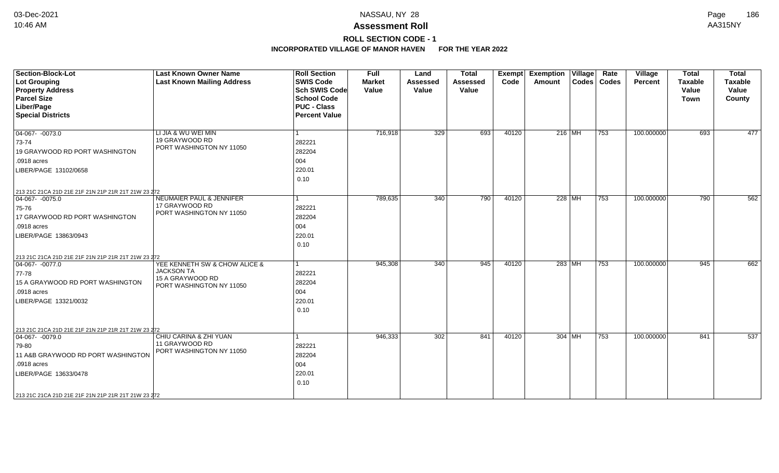# **ROLL SECTION CODE - 1**

| <b>Section-Block-Lot</b>                            | <b>Last Known Owner Name</b>                 | <b>Roll Section</b>  | <b>Full</b>   | Land            | <b>Total</b>    |       | Exempt Exemption Village     | Rate          | Village        | <b>Total</b>   | <b>Total</b>   |
|-----------------------------------------------------|----------------------------------------------|----------------------|---------------|-----------------|-----------------|-------|------------------------------|---------------|----------------|----------------|----------------|
| <b>Lot Grouping</b>                                 | <b>Last Known Mailing Address</b>            | <b>SWIS Code</b>     | <b>Market</b> | <b>Assessed</b> | <b>Assessed</b> | Code  | Amount                       | Codes   Codes | <b>Percent</b> | <b>Taxable</b> | <b>Taxable</b> |
| <b>Property Address</b>                             |                                              | <b>Sch SWIS Code</b> | Value         | Value           | Value           |       |                              |               |                | Value          | Value          |
| <b>Parcel Size</b>                                  |                                              | <b>School Code</b>   |               |                 |                 |       |                              |               |                | Town           | County         |
| Liber/Page                                          |                                              | <b>PUC - Class</b>   |               |                 |                 |       |                              |               |                |                |                |
| <b>Special Districts</b>                            |                                              | <b>Percent Value</b> |               |                 |                 |       |                              |               |                |                |                |
| $04-067 - 0073.0$                                   | LI JIA & WU WEI MIN                          |                      | 716,918       | 329             | 693             | 40120 | 216 MH                       | 753           | 100.000000     | 693            | 477            |
| 73-74                                               | 19 GRAYWOOD RD                               | 282221               |               |                 |                 |       |                              |               |                |                |                |
| 19 GRAYWOOD RD PORT WASHINGTON                      | PORT WASHINGTON NY 11050                     | 282204               |               |                 |                 |       |                              |               |                |                |                |
| .0918 acres                                         |                                              | 004                  |               |                 |                 |       |                              |               |                |                |                |
| LIBER/PAGE 13102/0658                               |                                              | 220.01               |               |                 |                 |       |                              |               |                |                |                |
|                                                     |                                              | 0.10                 |               |                 |                 |       |                              |               |                |                |                |
| 213 21C 21CA 21D 21E 21F 21N 21P 21R 21T 21W 23 272 |                                              |                      |               |                 |                 |       |                              |               |                |                |                |
| $ 04-067-0075.0$                                    | NEUMAIER PAUL & JENNIFER                     |                      | 789,635       | 340             | 790             | 40120 | 228 MH                       | 753           | 100.000000     | 790            | 562            |
| 75-76                                               | 17 GRAYWOOD RD<br>PORT WASHINGTON NY 11050   | 282221               |               |                 |                 |       |                              |               |                |                |                |
| 17 GRAYWOOD RD PORT WASHINGTON                      |                                              | 282204               |               |                 |                 |       |                              |               |                |                |                |
| .0918 acres                                         |                                              | 004                  |               |                 |                 |       |                              |               |                |                |                |
| LIBER/PAGE 13863/0943                               |                                              | 220.01               |               |                 |                 |       |                              |               |                |                |                |
|                                                     |                                              | 0.10                 |               |                 |                 |       |                              |               |                |                |                |
| 213 21C 21CA 21D 21E 21F 21N 21P 21R 21T 21W 23 272 |                                              |                      |               |                 |                 |       |                              |               |                |                |                |
| $ 04-067-0077.0$                                    | YEE KENNETH SW & CHOW ALICE &                | 1                    | 945,308       | 340             | 945             | 40120 | 283 MH                       | 753           | 100.000000     | 945            | 662            |
| 77-78                                               | <b>JACKSON TA</b>                            | 282221               |               |                 |                 |       |                              |               |                |                |                |
| 15 A GRAYWOOD RD PORT WASHINGTON                    | 15 A GRAYWOOD RD<br>PORT WASHINGTON NY 11050 | 282204               |               |                 |                 |       |                              |               |                |                |                |
| .0918 acres                                         |                                              | 004                  |               |                 |                 |       |                              |               |                |                |                |
| LIBER/PAGE 13321/0032                               |                                              | 220.01               |               |                 |                 |       |                              |               |                |                |                |
|                                                     |                                              | 0.10                 |               |                 |                 |       |                              |               |                |                |                |
|                                                     |                                              |                      |               |                 |                 |       |                              |               |                |                |                |
| 213 21C 21CA 21D 21E 21F 21N 21P 21R 21T 21W 23 272 |                                              |                      |               |                 |                 |       |                              |               |                |                |                |
| $ 04-067-0079.0$                                    | CHIU CARINA & ZHI YUAN                       |                      | 946,333       | 302             | 841             | 40120 | 304   $\overline{\text{MH}}$ | 753           | 100.000000     | 841            | 537            |
| 79-80                                               | 11 GRAYWOOD RD                               | 282221               |               |                 |                 |       |                              |               |                |                |                |
| 11 A&B GRAYWOOD RD PORT WASHINGTON                  | PORT WASHINGTON NY 11050                     | 282204               |               |                 |                 |       |                              |               |                |                |                |
| .0918 acres                                         |                                              | 004                  |               |                 |                 |       |                              |               |                |                |                |
| LIBER/PAGE 13633/0478                               |                                              | 220.01               |               |                 |                 |       |                              |               |                |                |                |
|                                                     |                                              | 0.10                 |               |                 |                 |       |                              |               |                |                |                |
|                                                     |                                              |                      |               |                 |                 |       |                              |               |                |                |                |
| 213 21C 21CA 21D 21E 21F 21N 21P 21R 21T 21W 23 272 |                                              |                      |               |                 |                 |       |                              |               |                |                |                |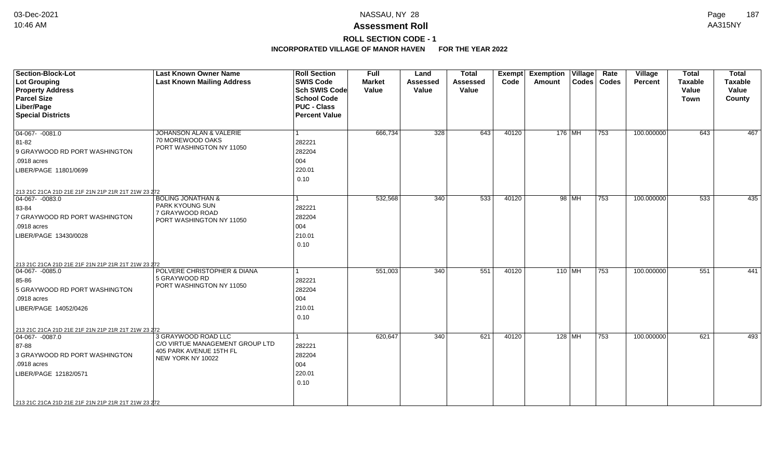# **ROLL SECTION CODE - 1**

| <b>Section-Block-Lot</b><br>Lot Grouping<br><b>Property Address</b><br><b>Parcel Size</b><br>Liber/Page<br><b>Special Districts</b>                                                                                       | <b>Last Known Owner Name</b><br><b>Last Known Mailing Address</b>                                      | <b>Roll Section</b><br><b>SWIS Code</b><br><b>Sch SWIS Code</b><br><b>School Code</b><br><b>PUC - Class</b><br><b>Percent Value</b> | Full<br><b>Market</b><br>Value | Land<br><b>Assessed</b><br>Value | <b>Total</b><br><b>Assessed</b><br>Value | Exempt<br>Code | <b>Exemption Village</b><br><b>Amount</b> |          | Rate<br>Codes   Codes | Village<br><b>Percent</b> | <b>Total</b><br><b>Taxable</b><br>Value<br><b>Town</b> | <b>Total</b><br><b>Taxable</b><br>Value<br>County |
|---------------------------------------------------------------------------------------------------------------------------------------------------------------------------------------------------------------------------|--------------------------------------------------------------------------------------------------------|-------------------------------------------------------------------------------------------------------------------------------------|--------------------------------|----------------------------------|------------------------------------------|----------------|-------------------------------------------|----------|-----------------------|---------------------------|--------------------------------------------------------|---------------------------------------------------|
| $\boxed{04-067 - 0081.0}$<br>81-82<br>9 GRAYWOOD RD PORT WASHINGTON<br>.0918 acres<br>LIBER/PAGE 11801/0699<br>213 21C 21CA 21D 21E 21F 21N 21P 21R 21T 21W 23 272                                                        | JOHANSON ALAN & VALERIE<br>70 MOREWOOD OAKS<br>PORT WASHINGTON NY 11050                                | 282221<br>282204<br>004<br>220.01<br>0.10                                                                                           | 666,734                        | 328                              | 643                                      | 40120          | 176 MH                                    |          | 753                   | 100.000000                | 643                                                    | 467                                               |
| $ 04-067 - 0083.0$<br>83-84<br>7 GRAYWOOD RD PORT WASHINGTON<br>.0918 acres<br>LIBER/PAGE 13430/0028                                                                                                                      | <b>BOLING JONATHAN &amp;</b><br><b>PARK KYOUNG SUN</b><br>7 GRAYWOOD ROAD<br>PORT WASHINGTON NY 11050  | 282221<br>282204<br>004<br>210.01<br>0.10                                                                                           | 532,568                        | $\overline{340}$                 | 533                                      | 40120          |                                           | 98 MH    | 753                   | 100.000000                | 533                                                    | 435                                               |
| 213 21C 21CA 21D 21E 21F 21N 21P 21R 21T 21W 23 272<br>$ 04-067-0085.0$<br>85-86<br>5 GRAYWOOD RD PORT WASHINGTON<br>.0918 acres<br>LIBER/PAGE 14052/0426                                                                 | POLVERE CHRISTOPHER & DIANA<br>5 GRAYWOOD RD<br>PORT WASHINGTON NY 11050                               | 282221<br>282204<br>004<br>210.01<br>0.10                                                                                           | 551,003                        | 340                              | 551                                      | 40120          | 110 MH                                    |          | 753                   | 100.000000                | 551                                                    | 441                                               |
| 213 21C 21CA 21D 21E 21F 21N 21P 21R 21T 21W 23 272<br>$\boxed{04-067 - 0087.0}$<br>87-88<br>3 GRAYWOOD RD PORT WASHINGTON<br>.0918 acres<br>LIBER/PAGE 12182/0571<br>213 21C 21CA 21D 21E 21F 21N 21P 21R 21T 21W 23 272 | 3 GRAYWOOD ROAD LLC<br>C/O VIRTUE MANAGEMENT GROUP LTD<br>405 PARK AVENUE 15TH FL<br>NEW YORK NY 10022 | 282221<br>282204<br>004<br>220.01<br>0.10                                                                                           | 620,647                        | 340                              | 621                                      | 40120          |                                           | $128$ MH | 753                   | 100.000000                | 621                                                    | 493                                               |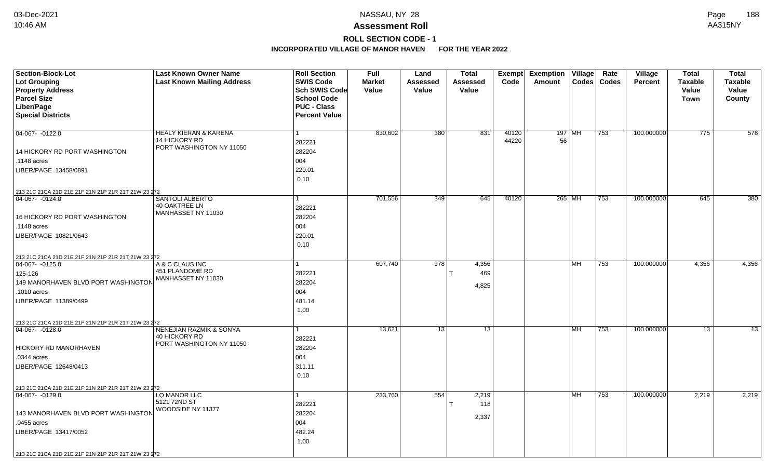# **ROLL SECTION CODE - 1**

| Section-Block-Lot<br><b>Lot Grouping</b>            | <b>Last Known Owner Name</b><br><b>Last Known Mailing Address</b> | <b>Roll Section</b><br><b>SWIS Code</b>    | Full<br><b>Market</b> | Land<br><b>Assessed</b> | <b>Total</b><br><b>Assessed</b> | Exempt<br>Code | <b>Exemption</b><br>Amount | $\overline{ \mathsf{Village} }$ | Rate<br>Codes   Codes | Village<br><b>Percent</b> | <b>Total</b><br><b>Taxable</b> | <b>Total</b><br><b>Taxable</b> |
|-----------------------------------------------------|-------------------------------------------------------------------|--------------------------------------------|-----------------------|-------------------------|---------------------------------|----------------|----------------------------|---------------------------------|-----------------------|---------------------------|--------------------------------|--------------------------------|
| <b>Property Address</b><br><b>Parcel Size</b>       |                                                                   | <b>Sch SWIS Code</b><br><b>School Code</b> | Value                 | Value                   | Value                           |                |                            |                                 |                       |                           | Value                          | Value                          |
| Liber/Page                                          |                                                                   | <b>PUC - Class</b>                         |                       |                         |                                 |                |                            |                                 |                       |                           | Town                           | County                         |
| <b>Special Districts</b>                            |                                                                   | <b>Percent Value</b>                       |                       |                         |                                 |                |                            |                                 |                       |                           |                                |                                |
|                                                     |                                                                   |                                            |                       |                         |                                 |                |                            |                                 |                       |                           |                                |                                |
| 04-067- -0122.0                                     | HEALY KIERAN & KARENA                                             | 1                                          | 830,602               | 380                     | 831                             | 40120          | 197   MH                   |                                 | 753                   | 100.000000                | 775                            | 578                            |
|                                                     | 14 HICKORY RD                                                     | 282221                                     |                       |                         |                                 | 44220          | 56                         |                                 |                       |                           |                                |                                |
| 14 HICKORY RD PORT WASHINGTON                       | PORT WASHINGTON NY 11050                                          | 282204                                     |                       |                         |                                 |                |                            |                                 |                       |                           |                                |                                |
| .1148 acres                                         |                                                                   | 004                                        |                       |                         |                                 |                |                            |                                 |                       |                           |                                |                                |
| LIBER/PAGE 13458/0891                               |                                                                   | 220.01                                     |                       |                         |                                 |                |                            |                                 |                       |                           |                                |                                |
|                                                     |                                                                   | 0.10                                       |                       |                         |                                 |                |                            |                                 |                       |                           |                                |                                |
| 213 21C 21CA 21D 21E 21F 21N 21P 21R 21T 21W 23 272 |                                                                   |                                            |                       |                         |                                 |                |                            |                                 |                       |                           |                                |                                |
| 04-067-0124.0                                       | SANTOLI ALBERTO                                                   |                                            | 701,556               | 349                     | 645                             | 40120          | 265 MH                     |                                 | 753                   | 100.000000                | 645                            | 380                            |
|                                                     | 40 OAKTREE LN<br>MANHASSET NY 11030                               | 282221                                     |                       |                         |                                 |                |                            |                                 |                       |                           |                                |                                |
| 16 HICKORY RD PORT WASHINGTON                       |                                                                   | 282204                                     |                       |                         |                                 |                |                            |                                 |                       |                           |                                |                                |
| .1148 acres                                         |                                                                   | 004                                        |                       |                         |                                 |                |                            |                                 |                       |                           |                                |                                |
| LIBER/PAGE 10821/0643                               |                                                                   | 220.01                                     |                       |                         |                                 |                |                            |                                 |                       |                           |                                |                                |
|                                                     |                                                                   | 0.10                                       |                       |                         |                                 |                |                            |                                 |                       |                           |                                |                                |
| 213 21C 21CA 21D 21E 21F 21N 21P 21R 21T 21W 23 272 |                                                                   |                                            |                       |                         |                                 |                |                            |                                 |                       |                           |                                |                                |
| $04-067 - 0125.0$                                   | A & C CLAUS INC                                                   |                                            | 607,740               | 978                     | 4,356                           |                |                            | MH                              | 753                   | 100.000000                | 4,356                          | 4,356                          |
| 125-126                                             | 451 PLANDOME RD<br>MANHASSET NY 11030                             | 282221                                     |                       |                         | 469                             |                |                            |                                 |                       |                           |                                |                                |
| 149 MANORHAVEN BLVD PORT WASHINGTON                 |                                                                   | 282204                                     |                       |                         | 4,825                           |                |                            |                                 |                       |                           |                                |                                |
| .1010 acres                                         |                                                                   | 004                                        |                       |                         |                                 |                |                            |                                 |                       |                           |                                |                                |
| LIBER/PAGE 11389/0499                               |                                                                   | 481.14                                     |                       |                         |                                 |                |                            |                                 |                       |                           |                                |                                |
|                                                     |                                                                   | 1.00                                       |                       |                         |                                 |                |                            |                                 |                       |                           |                                |                                |
| 213 21C 21CA 21D 21E 21F 21N 21P 21R 21T 21W 23 272 |                                                                   |                                            |                       |                         |                                 |                |                            |                                 |                       |                           |                                |                                |
| $ 04-067- -0128.0$                                  | <b>NENEJIAN RAZMIK &amp; SONYA</b><br>40 HICKORY RD               | 1                                          | 13,621                | 13                      | 13                              |                |                            | MH                              | 753                   | 100.000000                | 13                             | $\overline{13}$                |
|                                                     | PORT WASHINGTON NY 11050                                          | 282221                                     |                       |                         |                                 |                |                            |                                 |                       |                           |                                |                                |
| <b>HICKORY RD MANORHAVEN</b>                        |                                                                   | 282204                                     |                       |                         |                                 |                |                            |                                 |                       |                           |                                |                                |
| .0344 acres                                         |                                                                   | 004                                        |                       |                         |                                 |                |                            |                                 |                       |                           |                                |                                |
| LIBER/PAGE 12648/0413                               |                                                                   | 311.11                                     |                       |                         |                                 |                |                            |                                 |                       |                           |                                |                                |
|                                                     |                                                                   | 0.10                                       |                       |                         |                                 |                |                            |                                 |                       |                           |                                |                                |
| 213 21C 21CA 21D 21E 21F 21N 21P 21R 21T 21W 23 272 |                                                                   |                                            |                       |                         |                                 |                |                            |                                 |                       |                           |                                |                                |
| 04-067-0129.0                                       | LQ MANOR LLC<br>5121 72ND ST                                      | 1                                          | 233,760               | 554                     | 2,219                           |                |                            | MH                              | 753                   | 100.000000                | 2,219                          | 2,219                          |
|                                                     | WOODSIDE NY 11377                                                 | 282221                                     |                       |                         | 118                             |                |                            |                                 |                       |                           |                                |                                |
| 143 MANORHAVEN BLVD PORT WASHINGTON                 |                                                                   | 282204                                     |                       |                         | 2,337                           |                |                            |                                 |                       |                           |                                |                                |
| .0455 acres                                         |                                                                   | 004                                        |                       |                         |                                 |                |                            |                                 |                       |                           |                                |                                |
| LIBER/PAGE 13417/0052                               |                                                                   | 482.24                                     |                       |                         |                                 |                |                            |                                 |                       |                           |                                |                                |
|                                                     |                                                                   | 1.00                                       |                       |                         |                                 |                |                            |                                 |                       |                           |                                |                                |
| 213 21C 21CA 21D 21E 21F 21N 21P 21R 21T 21W 23 272 |                                                                   |                                            |                       |                         |                                 |                |                            |                                 |                       |                           |                                |                                |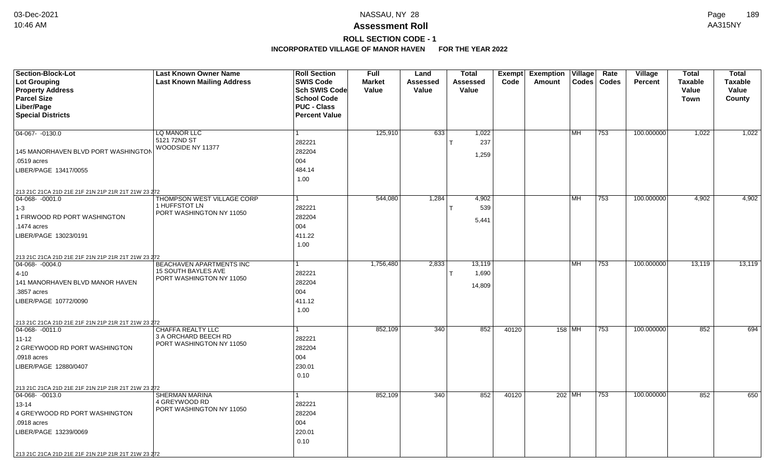# **ROLL SECTION CODE - 1**

| Section-Block-Lot                                                                       | <b>Last Known Owner Name</b>              | <b>Roll Section</b>  | <b>Full</b>   | Land            | <b>Total</b> | Exempt | <b>Exemption Village</b> |                          | Rate  | Village        | <b>Total</b>   | <b>Total</b>   |
|-----------------------------------------------------------------------------------------|-------------------------------------------|----------------------|---------------|-----------------|--------------|--------|--------------------------|--------------------------|-------|----------------|----------------|----------------|
| Lot Grouping                                                                            | <b>Last Known Mailing Address</b>         | <b>SWIS Code</b>     | <b>Market</b> | <b>Assessed</b> | Assessed     | Code   | Amount                   | Codes                    | Codes | <b>Percent</b> | <b>Taxable</b> | <b>Taxable</b> |
| <b>Property Address</b>                                                                 |                                           | Sch SWIS Code        | Value         | Value           | Value        |        |                          |                          |       |                | Value          | Value          |
| <b>Parcel Size</b>                                                                      |                                           | <b>School Code</b>   |               |                 |              |        |                          |                          |       |                | Town           | County         |
| Liber/Page                                                                              |                                           | <b>PUC - Class</b>   |               |                 |              |        |                          |                          |       |                |                |                |
| <b>Special Districts</b>                                                                |                                           | <b>Percent Value</b> |               |                 |              |        |                          |                          |       |                |                |                |
|                                                                                         |                                           |                      |               |                 |              |        |                          |                          |       |                |                |                |
| $04-067 - 0130.0$                                                                       | LQ MANOR LLC                              |                      | 125,910       | 633             | 1,022        |        |                          | $\overline{\mathsf{MH}}$ | 753   | 100.000000     | 1,022          | 1,022          |
|                                                                                         | 5121 72ND ST                              | 282221               |               |                 | 237          |        |                          |                          |       |                |                |                |
| 145 MANORHAVEN BLVD PORT WASHINGTON                                                     | WOODSIDE NY 11377                         | 282204               |               |                 | 1,259        |        |                          |                          |       |                |                |                |
| .0519 acres                                                                             |                                           | 004                  |               |                 |              |        |                          |                          |       |                |                |                |
| LIBER/PAGE 13417/0055                                                                   |                                           | 484.14               |               |                 |              |        |                          |                          |       |                |                |                |
|                                                                                         |                                           | 1.00                 |               |                 |              |        |                          |                          |       |                |                |                |
|                                                                                         |                                           |                      |               |                 |              |        |                          |                          |       |                |                |                |
| 213 21C 21CA 21D 21E 21F 21N 21P 21R 21T 21W 23 272<br>$ 04 - \overline{068 - 0001.0} $ | THOMPSON WEST VILLAGE CORP                |                      | 544,080       | 1,284           | 4,902        |        |                          | l MH                     | 753   | 100.000000     | 4,902          | 4,902          |
|                                                                                         | 1 HUFFSTOT LN                             | 282221               |               |                 | 539          |        |                          |                          |       |                |                |                |
| $ 1-3 $                                                                                 | PORT WASHINGTON NY 11050                  |                      |               |                 |              |        |                          |                          |       |                |                |                |
| 1 FIRWOOD RD PORT WASHINGTON                                                            |                                           | 282204               |               |                 | 5,441        |        |                          |                          |       |                |                |                |
| 1474 acres                                                                              |                                           | 004                  |               |                 |              |        |                          |                          |       |                |                |                |
| LIBER/PAGE 13023/0191                                                                   |                                           | 411.22               |               |                 |              |        |                          |                          |       |                |                |                |
|                                                                                         |                                           | 1.00                 |               |                 |              |        |                          |                          |       |                |                |                |
| 213 21C 21CA 21D 21E 21F 21N 21P 21R 21T 21W 23 272                                     |                                           |                      |               |                 |              |        |                          |                          |       |                |                |                |
| $ 04-068-0004.0$                                                                        | BEACHAVEN APARTMENTS INC                  |                      | 1,756,480     | 2,833           | 13,119       |        |                          | <b>MH</b>                | 753   | 100.000000     | 13,119         | 13,119         |
| $ 4 - 10 $                                                                              | <b>15 SOUTH BAYLES AVE</b>                | 282221               |               |                 | 1,690        |        |                          |                          |       |                |                |                |
| 141 MANORHAVEN BLVD MANOR HAVEN                                                         | PORT WASHINGTON NY 11050                  | 282204               |               |                 | 14,809       |        |                          |                          |       |                |                |                |
| .3857 acres                                                                             |                                           | 004                  |               |                 |              |        |                          |                          |       |                |                |                |
| LIBER/PAGE 10772/0090                                                                   |                                           | 411.12               |               |                 |              |        |                          |                          |       |                |                |                |
|                                                                                         |                                           | 1.00                 |               |                 |              |        |                          |                          |       |                |                |                |
|                                                                                         |                                           |                      |               |                 |              |        |                          |                          |       |                |                |                |
| 213 21C 21CA 21D 21E 21F 21N 21P 21R 21T 21W 23 272<br>$ 04 - 068 - -0011.0$            | <b>CHAFFA REALTY LLC</b>                  |                      | 852,109       | 340             | 852          | 40120  |                          | 158 MH                   | 753   | 100.000000     | 852            | 694            |
| $11 - 12$                                                                               | 3 A ORCHARD BEECH RD                      | 282221               |               |                 |              |        |                          |                          |       |                |                |                |
| 2 GREYWOOD RD PORT WASHINGTON                                                           | PORT WASHINGTON NY 11050                  |                      |               |                 |              |        |                          |                          |       |                |                |                |
|                                                                                         |                                           | 282204               |               |                 |              |        |                          |                          |       |                |                |                |
| .0918 acres                                                                             |                                           | 004                  |               |                 |              |        |                          |                          |       |                |                |                |
| LIBER/PAGE 12880/0407                                                                   |                                           | 230.01               |               |                 |              |        |                          |                          |       |                |                |                |
|                                                                                         |                                           | 0.10                 |               |                 |              |        |                          |                          |       |                |                |                |
| 213 21C 21CA 21D 21E 21F 21N 21P 21R 21T 21W 23 272                                     |                                           |                      |               |                 |              |        |                          |                          |       |                |                |                |
| $ 04 - 068 - -0013.0$                                                                   | <b>SHERMAN MARINA</b>                     |                      | 852,109       | 340             | 852          | 40120  |                          | 202 MH                   | 753   | 100.000000     | 852            | 650            |
| $13 - 14$                                                                               | 4 GREYWOOD RD<br>PORT WASHINGTON NY 11050 | 282221               |               |                 |              |        |                          |                          |       |                |                |                |
| 4 GREYWOOD RD PORT WASHINGTON                                                           |                                           | 282204               |               |                 |              |        |                          |                          |       |                |                |                |
| .0918 acres                                                                             |                                           | 004                  |               |                 |              |        |                          |                          |       |                |                |                |
| LIBER/PAGE 13239/0069                                                                   |                                           | 220.01               |               |                 |              |        |                          |                          |       |                |                |                |
|                                                                                         |                                           | 0.10                 |               |                 |              |        |                          |                          |       |                |                |                |
| 213 21C 21CA 21D 21E 21F 21N 21P 21R 21T 21W 23 272                                     |                                           |                      |               |                 |              |        |                          |                          |       |                |                |                |
|                                                                                         |                                           |                      |               |                 |              |        |                          |                          |       |                |                |                |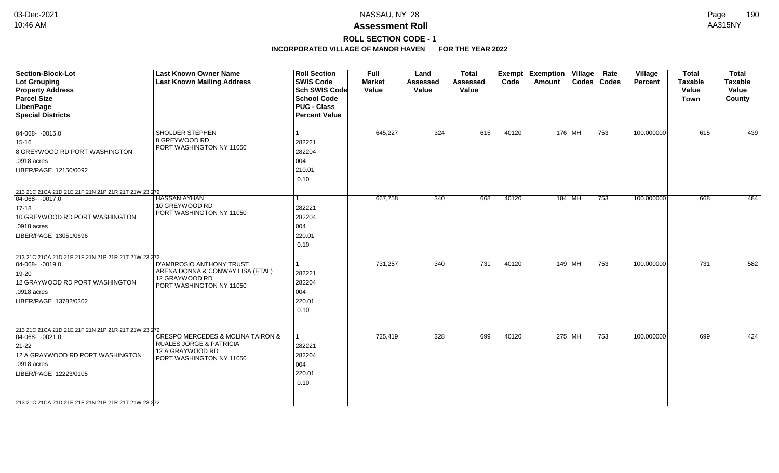# **ROLL SECTION CODE - 1**

| <b>Section-Block-Lot</b><br><b>Lot Grouping</b><br><b>Property Address</b><br><b>Parcel Size</b><br>Liber/Page<br><b>Special Districts</b>                                                                            | <b>Last Known Owner Name</b><br><b>Last Known Mailing Address</b>                                                                      | <b>Roll Section</b><br><b>SWIS Code</b><br><b>Sch SWIS Code</b><br><b>School Code</b><br><b>PUC - Class</b><br><b>Percent Value</b> | <b>Full</b><br><b>Market</b><br>Value | Land<br><b>Assessed</b><br>Value | <b>Total</b><br><b>Assessed</b><br>Value | Exempt<br>Code | <b>Exemption Village</b><br>Amount |          | Rate<br>Codes   Codes | Village<br><b>Percent</b> | <b>Total</b><br><b>Taxable</b><br>Value<br><b>Town</b> | <b>Total</b><br><b>Taxable</b><br>Value<br>County |
|-----------------------------------------------------------------------------------------------------------------------------------------------------------------------------------------------------------------------|----------------------------------------------------------------------------------------------------------------------------------------|-------------------------------------------------------------------------------------------------------------------------------------|---------------------------------------|----------------------------------|------------------------------------------|----------------|------------------------------------|----------|-----------------------|---------------------------|--------------------------------------------------------|---------------------------------------------------|
| $04-068 - 0015.0$<br>15-16<br>8 GREYWOOD RD PORT WASHINGTON<br>.0918 acres<br>LIBER/PAGE 12150/0092                                                                                                                   | <b>SHOLDER STEPHEN</b><br>8 GREYWOOD RD<br>PORT WASHINGTON NY 11050                                                                    | 1<br>282221<br>282204<br>004<br>210.01<br>0.10                                                                                      | 645,227                               | 324                              | 615                                      | 40120          |                                    | 176 MH   | 753                   | 100.000000                | 615                                                    | 439                                               |
| 213 21C 21CA 21D 21E 21F 21N 21P 21R 21T 21W 23 272<br>$ 04-068-0017.0$<br>$17 - 18$<br>10 GREYWOOD RD PORT WASHINGTON<br>.0918 acres<br>LIBER/PAGE 13051/0696                                                        | <b>HASSAN AYHAN</b><br>10 GREYWOOD RD<br>PORT WASHINGTON NY 11050                                                                      | 1<br>282221<br>282204<br>004<br>220.01<br>0.10                                                                                      | 667,758                               | 340                              | 668                                      | 40120          |                                    | 184   MH | 753                   | 100.000000                | 668                                                    | 484                                               |
| 213 21C 21CA 21D 21E 21F 21N 21P 21R 21T 21W 23 272<br>$04-068 - 0019.0$<br>19-20<br>12 GRAYWOOD RD PORT WASHINGTON<br>.0918 acres<br>LIBER/PAGE 13782/0302                                                           | D'AMBROSIO ANTHONY TRUST<br>ARENA DONNA & CONWAY LISA (ETAL)<br>12 GRAYWOOD RD<br>PORT WASHINGTON NY 11050                             | 1<br>282221<br>282204<br>004<br>220.01<br>0.10                                                                                      | 731,257                               | 340                              | 731                                      | 40120          |                                    | $149$ MH | 753                   | 100.000000                | 731                                                    | 582                                               |
| 213 21C 21CA 21D 21E 21F 21N 21P 21R 21T 21W 23 272<br>$ 04-068-0021.0$<br>$21-22$<br>12 A GRAYWOOD RD PORT WASHINGTON<br>.0918 acres<br>LIBER/PAGE 12223/0105<br>213 21C 21CA 21D 21E 21F 21N 21P 21R 21T 21W 23 272 | <b>CRESPO MERCEDES &amp; MOLINA TAIRON &amp;</b><br><b>RUALES JORGE &amp; PATRICIA</b><br>12 A GRAYWOOD RD<br>PORT WASHINGTON NY 11050 | 1<br>282221<br>282204<br>004<br>220.01<br>0.10                                                                                      | 725,419                               | 328                              | 699                                      | 40120          |                                    | 275 MH   | 753                   | 100.000000                | 699                                                    | 424                                               |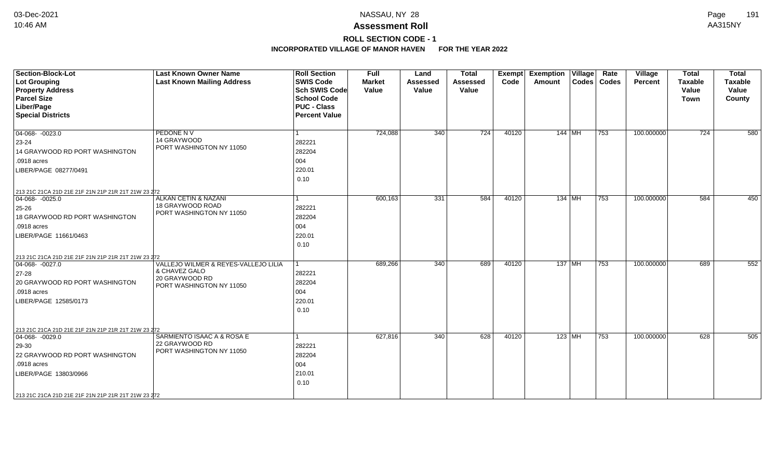# **ROLL SECTION CODE - 1**

| Section-Block-Lot<br>Lot Grouping                   | <b>Last Known Owner Name</b><br><b>Last Known Mailing Address</b> | <b>Roll Section</b><br><b>SWIS Code</b> | <b>Full</b><br><b>Market</b> | Land<br><b>Assessed</b> | <b>Total</b><br><b>Assessed</b> | Exempt<br>Code | <b>Exemption Village</b><br>Amount |          | Rate<br>Codes   Codes | <b>Village</b><br><b>Percent</b> | <b>Total</b><br><b>Taxable</b> | <b>Total</b><br><b>Taxable</b> |
|-----------------------------------------------------|-------------------------------------------------------------------|-----------------------------------------|------------------------------|-------------------------|---------------------------------|----------------|------------------------------------|----------|-----------------------|----------------------------------|--------------------------------|--------------------------------|
| <b>Property Address</b>                             |                                                                   | <b>Sch SWIS Code</b>                    | Value                        | Value                   | Value                           |                |                                    |          |                       |                                  | Value                          | Value                          |
| <b>Parcel Size</b>                                  |                                                                   | <b>School Code</b>                      |                              |                         |                                 |                |                                    |          |                       |                                  | <b>Town</b>                    | County                         |
| Liber/Page                                          |                                                                   | <b>PUC - Class</b>                      |                              |                         |                                 |                |                                    |          |                       |                                  |                                |                                |
| <b>Special Districts</b>                            |                                                                   | <b>Percent Value</b>                    |                              |                         |                                 |                |                                    |          |                       |                                  |                                |                                |
|                                                     |                                                                   |                                         |                              |                         |                                 |                |                                    |          |                       |                                  |                                |                                |
| $\boxed{04-068 - 0023.0}$                           | PEDONE N V<br>14 GRAYWOOD                                         |                                         | 724,088                      | 340                     | $\overline{724}$                | 40120          |                                    | $144$ MH | 753                   | 100.000000                       | $\overline{724}$               | 580                            |
| 23-24                                               | PORT WASHINGTON NY 11050                                          | 282221                                  |                              |                         |                                 |                |                                    |          |                       |                                  |                                |                                |
| 14 GRAYWOOD RD PORT WASHINGTON                      |                                                                   | 282204                                  |                              |                         |                                 |                |                                    |          |                       |                                  |                                |                                |
| .0918 acres                                         |                                                                   | 004                                     |                              |                         |                                 |                |                                    |          |                       |                                  |                                |                                |
| LIBER/PAGE 08277/0491                               |                                                                   | 220.01                                  |                              |                         |                                 |                |                                    |          |                       |                                  |                                |                                |
|                                                     |                                                                   | 0.10                                    |                              |                         |                                 |                |                                    |          |                       |                                  |                                |                                |
| 213 21C 21CA 21D 21E 21F 21N 21P 21R 21T 21W 23 272 |                                                                   |                                         |                              |                         |                                 |                |                                    |          |                       |                                  |                                |                                |
| $04-068 - 0025.0$                                   | ALKAN CETIN & NAZANI                                              |                                         | 600,163                      | 331                     | 584                             | 40120          |                                    | $134$ MH | $ 753\rangle$         | 100.000000                       | 584                            | 450                            |
| $ 25 - 26$                                          | 18 GRAYWOOD ROAD                                                  | 282221                                  |                              |                         |                                 |                |                                    |          |                       |                                  |                                |                                |
| 18 GRAYWOOD RD PORT WASHINGTON                      | PORT WASHINGTON NY 11050                                          | 282204                                  |                              |                         |                                 |                |                                    |          |                       |                                  |                                |                                |
| .0918 acres                                         |                                                                   | 004                                     |                              |                         |                                 |                |                                    |          |                       |                                  |                                |                                |
| LIBER/PAGE 11661/0463                               |                                                                   | 220.01                                  |                              |                         |                                 |                |                                    |          |                       |                                  |                                |                                |
|                                                     |                                                                   | 0.10                                    |                              |                         |                                 |                |                                    |          |                       |                                  |                                |                                |
| 213 21C 21CA 21D 21E 21F 21N 21P 21R 21T 21W 23 272 |                                                                   |                                         |                              |                         |                                 |                |                                    |          |                       |                                  |                                |                                |
| $ 04-068-0027.0$                                    | VALLEJO WILMER & REYES-VALLEJO LILIA                              |                                         | 689,266                      | 340                     | 689                             | 40120          |                                    | $137$ MH | $ 753\rangle$         | 100.000000                       | 689                            | 552                            |
| $ 27-28 $                                           | & CHAVEZ GALO                                                     | 282221                                  |                              |                         |                                 |                |                                    |          |                       |                                  |                                |                                |
| 20 GRAYWOOD RD PORT WASHINGTON                      | 20 GRAYWOOD RD                                                    | 282204                                  |                              |                         |                                 |                |                                    |          |                       |                                  |                                |                                |
| .0918 acres                                         | PORT WASHINGTON NY 11050                                          | 004                                     |                              |                         |                                 |                |                                    |          |                       |                                  |                                |                                |
| LIBER/PAGE 12585/0173                               |                                                                   | 220.01                                  |                              |                         |                                 |                |                                    |          |                       |                                  |                                |                                |
|                                                     |                                                                   | 0.10                                    |                              |                         |                                 |                |                                    |          |                       |                                  |                                |                                |
|                                                     |                                                                   |                                         |                              |                         |                                 |                |                                    |          |                       |                                  |                                |                                |
| 213 21C 21CA 21D 21E 21F 21N 21P 21R 21T 21W 23 272 |                                                                   |                                         |                              |                         |                                 |                |                                    |          |                       |                                  |                                |                                |
| $\boxed{04-068 - 0029.0}$                           | SARMIENTO ISAAC A & ROSA E                                        |                                         | 627,816                      | $\overline{340}$        | 628                             | 40120          |                                    | 123 MH   | $ 753\rangle$         | 100.000000                       | 628                            | 505                            |
| 29-30                                               | 22 GRAYWOOD RD                                                    | 282221                                  |                              |                         |                                 |                |                                    |          |                       |                                  |                                |                                |
| 22 GRAYWOOD RD PORT WASHINGTON                      | PORT WASHINGTON NY 11050                                          | 282204                                  |                              |                         |                                 |                |                                    |          |                       |                                  |                                |                                |
| .0918 acres                                         |                                                                   | 004                                     |                              |                         |                                 |                |                                    |          |                       |                                  |                                |                                |
| LIBER/PAGE 13803/0966                               |                                                                   | 210.01                                  |                              |                         |                                 |                |                                    |          |                       |                                  |                                |                                |
|                                                     |                                                                   | 0.10                                    |                              |                         |                                 |                |                                    |          |                       |                                  |                                |                                |
|                                                     |                                                                   |                                         |                              |                         |                                 |                |                                    |          |                       |                                  |                                |                                |
| 213 21C 21CA 21D 21E 21F 21N 21P 21R 21T 21W 23 272 |                                                                   |                                         |                              |                         |                                 |                |                                    |          |                       |                                  |                                |                                |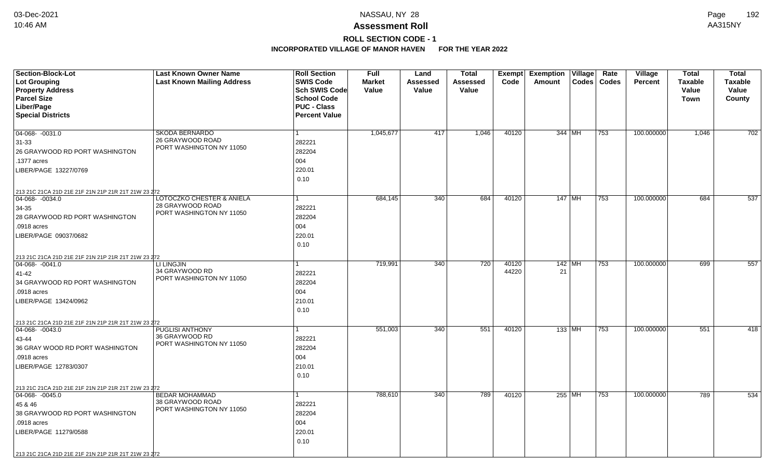# **ROLL SECTION CODE - 1**

| Section-Block-Lot<br><b>Lot Grouping</b><br><b>Property Address</b>                                                                      | <b>Last Known Owner Name</b><br><b>Last Known Mailing Address</b>         | <b>Roll Section</b><br><b>SWIS Code</b><br><b>Sch SWIS Code</b>  | <b>Full</b><br><b>Market</b><br>Value | Land<br>Assessed<br>Value | <b>Total</b><br><b>Assessed</b><br>Value | Exempt<br>Code | <b>Exemption Village</b><br>$\text{Codes}$<br>Amount | Rate<br><b>Village</b><br>Codes<br><b>Percent</b> | <b>Total</b><br><b>Taxable</b><br>Value | <b>Total</b><br><b>Taxable</b><br>Value |
|------------------------------------------------------------------------------------------------------------------------------------------|---------------------------------------------------------------------------|------------------------------------------------------------------|---------------------------------------|---------------------------|------------------------------------------|----------------|------------------------------------------------------|---------------------------------------------------|-----------------------------------------|-----------------------------------------|
| <b>Parcel Size</b><br>Liber/Page<br><b>Special Districts</b>                                                                             |                                                                           | <b>School Code</b><br><b>PUC - Class</b><br><b>Percent Value</b> |                                       |                           |                                          |                |                                                      |                                                   | <b>Town</b>                             | County                                  |
|                                                                                                                                          |                                                                           |                                                                  |                                       |                           |                                          |                |                                                      |                                                   |                                         |                                         |
| 04-068- -0031.0<br>$31 - 33$<br>26 GRAYWOOD RD PORT WASHINGTON<br>.1377 acres<br>LIBER/PAGE 13227/0769                                   | <b>SKODA BERNARDO</b><br>26 GRAYWOOD ROAD<br>PORT WASHINGTON NY 11050     | 1<br>282221<br>282204<br>004<br>220.01                           | 1,045,677                             | 417                       | 1,046                                    | 40120          | 344 MH                                               | 753<br>100.000000                                 | 1,046                                   | 702                                     |
|                                                                                                                                          |                                                                           | 0.10                                                             |                                       |                           |                                          |                |                                                      |                                                   |                                         |                                         |
| 213 21C 21CA 21D 21E 21F 21N 21P 21R 21T 21W 23 272<br>04-068-0034.0<br>34-35<br>28 GRAYWOOD RD PORT WASHINGTON                          | LOTOCZKO CHESTER & ANIELA<br>28 GRAYWOOD ROAD<br>PORT WASHINGTON NY 11050 | 1<br>282221<br>282204                                            | 684,145                               | 340                       | 684                                      | 40120          | 147   MH                                             | 753<br>100.000000                                 | 684                                     | 537                                     |
| .0918 acres<br>LIBER/PAGE 09037/0682                                                                                                     |                                                                           | 004<br>220.01<br>0.10                                            |                                       |                           |                                          |                |                                                      |                                                   |                                         |                                         |
| 213 21C 21CA 21D 21E 21F 21N 21P 21R 21T 21W 23 272<br>$ 04-068-0041.0$                                                                  | LI LINGJIN                                                                |                                                                  | 719,991                               | 340                       | 720                                      | 40120          | $142$ MH                                             | 100.000000<br>753                                 | 699                                     | 557                                     |
| 41-42<br>34 GRAYWOOD RD PORT WASHINGTON<br>.0918 acres<br>LIBER/PAGE 13424/0962                                                          | 34 GRAYWOOD RD<br>PORT WASHINGTON NY 11050                                | 282221<br>282204<br>004<br>210.01<br>0.10                        |                                       |                           |                                          | 44220          | 21                                                   |                                                   |                                         |                                         |
| 213 21C 21CA 21D 21E 21F 21N 21P 21R 21T 21W 23 272                                                                                      | <b>PUGLISI ANTHONY</b>                                                    | 1                                                                | 551,003                               | 340                       | 551                                      | 40120          | 133   MH                                             | 100.000000<br>753                                 | 551                                     | 418                                     |
| $ 04-068-0043.0$<br>43-44<br>36 GRAY WOOD RD PORT WASHINGTON<br>.0918 acres<br>LIBER/PAGE 12783/0307                                     | 36 GRAYWOOD RD<br>PORT WASHINGTON NY 11050                                | 282221<br>282204<br>004<br>210.01<br>0.10                        |                                       |                           |                                          |                |                                                      |                                                   |                                         |                                         |
| 213 21C 21CA 21D 21E 21F 21N 21P 21R 21T 21W 23 272<br>$\boxed{04-068 - 0045.0}$                                                         | <b>BEDAR MOHAMMAD</b>                                                     | 1                                                                | 788,610                               | 340                       | 789                                      | 40120          | 255 MH                                               | 753<br>100.000000                                 | 789                                     | 534                                     |
| 45 & 46<br>38 GRAYWOOD RD PORT WASHINGTON<br>.0918 acres<br>LIBER/PAGE 11279/0588<br>213 21C 21CA 21D 21E 21F 21N 21P 21R 21T 21W 23 272 | 38 GRAYWOOD ROAD<br>PORT WASHINGTON NY 11050                              | 282221<br>282204<br>004<br>220.01<br>0.10                        |                                       |                           |                                          |                |                                                      |                                                   |                                         |                                         |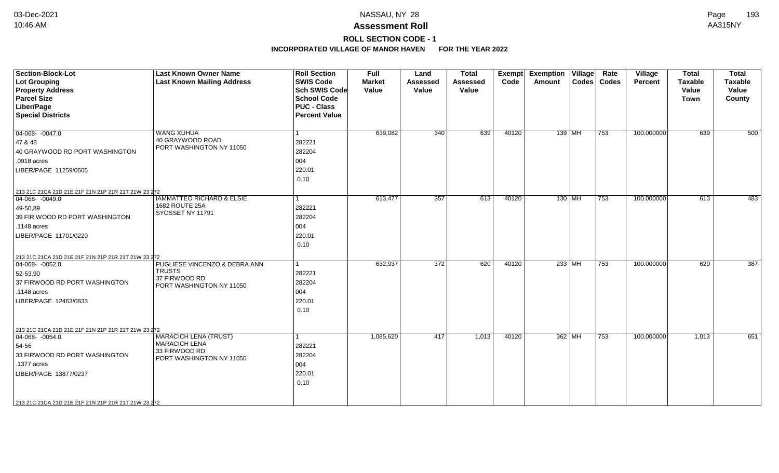# **ROLL SECTION CODE - 1**

| Section-Block-Lot<br><b>Lot Grouping</b><br><b>Property Address</b><br><b>Parcel Size</b><br>Liber/Page<br><b>Special Districts</b>                                                                                | <b>Last Known Owner Name</b><br><b>Last Known Mailing Address</b>                                 | <b>Roll Section</b><br><b>SWIS Code</b><br><b>Sch SWIS Code</b><br><b>School Code</b><br><b>PUC - Class</b><br><b>Percent Value</b> | Full<br><b>Market</b><br>Value | Land<br><b>Assessed</b><br>Value | <b>Total</b><br>Assessed<br>Value | Exempt<br>Code | <b>Exemption Village</b><br><b>Amount</b> | Rate<br>Codes   Codes | Village<br><b>Percent</b> | <b>Total</b><br><b>Taxable</b><br>Value<br>Town | <b>Total</b><br><b>Taxable</b><br>Value<br>County |
|--------------------------------------------------------------------------------------------------------------------------------------------------------------------------------------------------------------------|---------------------------------------------------------------------------------------------------|-------------------------------------------------------------------------------------------------------------------------------------|--------------------------------|----------------------------------|-----------------------------------|----------------|-------------------------------------------|-----------------------|---------------------------|-------------------------------------------------|---------------------------------------------------|
| $04-068 - 0047.0$<br>47 & 48<br>40 GRAYWOOD RD PORT WASHINGTON<br>.0918 acres<br>LIBER/PAGE 11259/0605                                                                                                             | <b>WANG XUHUA</b><br>40 GRAYWOOD ROAD<br>PORT WASHINGTON NY 11050                                 | l 1<br>282221<br>282204<br>004<br>220.01<br>0.10                                                                                    | 639,082                        | 340                              | 639                               | 40120          | 139 MH                                    | 753                   | 100.000000                | 639                                             | 500                                               |
| 213 21C 21CA 21D 21E 21F 21N 21P 21R 21T 21W 23 272<br>$\boxed{04-068 - 0049.0}$<br>$ 49-50,89\rangle$<br>39 FIR WOOD RD PORT WASHINGTON<br>.1148 acres<br>LIBER/PAGE 11701/0220                                   | <b>IAMMATTEO RICHARD &amp; ELSIE</b><br>1682 ROUTE 25A<br>SYOSSET NY 11791                        | $\mathbf{1}$<br>282221<br>282204<br>004<br>220.01<br>0.10                                                                           | 613,477                        | 357                              | 613                               | 40120          | 130 MH                                    | 753                   | 100.000000                | 613                                             | 483                                               |
| 213 21C 21CA 21D 21E 21F 21N 21P 21R 21T 21W 23 272<br>$ 04-068-0052.0$<br>52-53,90<br>37 FIRWOOD RD PORT WASHINGTON<br>$.1148$ acres<br>LIBER/PAGE 12463/0833                                                     | PUGLIESE VINCENZO & DEBRA ANN<br><b>TRUSTS</b><br>37 FIRWOOD RD<br>PORT WASHINGTON NY 11050       | $\vert$ 1<br>282221<br>282204<br>004<br>220.01<br>0.10                                                                              | 632,937                        | 372                              | 620                               | 40120          | $233$ MH                                  | 753                   | 100.000000                | 620                                             | 387                                               |
| 213 21C 21CA 21D 21E 21F 21N 21P 21R 21T 21W 23 272<br>$04-068 - -0054.0$<br>54-56<br>33 FIRWOOD RD PORT WASHINGTON<br>.1377 acres<br>LIBER/PAGE 13877/0237<br>213 21C 21CA 21D 21E 21F 21N 21P 21R 21T 21W 23 272 | <b>MARACICH LENA (TRUST)</b><br><b>MARACICH LENA</b><br>33 FIRWOOD RD<br>PORT WASHINGTON NY 11050 | 1<br>282221<br>282204<br>004<br>220.01<br>0.10                                                                                      | 1,085,620                      | 417                              | 1,013                             | 40120          | 362 MH                                    | 753                   | 100.000000                | 1,013                                           | 651                                               |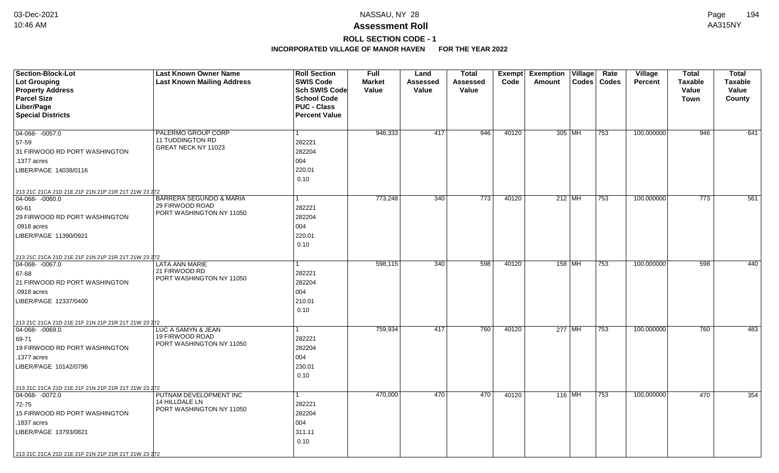# **ROLL SECTION CODE - 1**

| <b>Section-Block-Lot</b>                            | <b>Last Known Owner Name</b>                          | <b>Roll Section</b>  | <b>Full</b>   | Land     | <b>Total</b>     |       | Exempt Exemption Village | Rate          | Village        | <b>Total</b>     | <b>Total</b>   |
|-----------------------------------------------------|-------------------------------------------------------|----------------------|---------------|----------|------------------|-------|--------------------------|---------------|----------------|------------------|----------------|
| <b>Lot Grouping</b>                                 | <b>Last Known Mailing Address</b>                     | <b>SWIS Code</b>     | <b>Market</b> | Assessed | Assessed         | Code  | Amount                   | Codes   Codes | <b>Percent</b> | <b>Taxable</b>   | <b>Taxable</b> |
| <b>Property Address</b>                             |                                                       | Sch SWIS Code        | Value         | Value    | Value            |       |                          |               |                | Value            | Value          |
| <b>Parcel Size</b>                                  |                                                       | <b>School Code</b>   |               |          |                  |       |                          |               |                | <b>Town</b>      | County         |
| Liber/Page                                          |                                                       | <b>PUC - Class</b>   |               |          |                  |       |                          |               |                |                  |                |
| <b>Special Districts</b>                            |                                                       | <b>Percent Value</b> |               |          |                  |       |                          |               |                |                  |                |
| $04-068 - -0057.0$                                  | PALERMO GROUP CORP                                    |                      | 946,333       | 417      | 946              | 40120 | 305 MH                   | 753           | 100.000000     | 946              | 641            |
|                                                     | 11 TUDDINGTON RD                                      | 282221               |               |          |                  |       |                          |               |                |                  |                |
| 57-59                                               | GREAT NECK NY 11023                                   |                      |               |          |                  |       |                          |               |                |                  |                |
| 31 FIRWOOD RD PORT WASHINGTON                       |                                                       | 282204               |               |          |                  |       |                          |               |                |                  |                |
| .1377 acres                                         |                                                       | 004                  |               |          |                  |       |                          |               |                |                  |                |
| LIBER/PAGE 14038/0116                               |                                                       | 220.01               |               |          |                  |       |                          |               |                |                  |                |
|                                                     |                                                       | 0.10                 |               |          |                  |       |                          |               |                |                  |                |
| 213 21C 21CA 21D 21E 21F 21N 21P 21R 21T 21W 23 272 |                                                       |                      |               |          |                  |       |                          |               |                |                  |                |
| 04-068- -0060.0                                     | <b>BARRERA SEGUNDO &amp; MARIA</b><br>29 FIRWOOD ROAD |                      | 773,248       | 340      | $\overline{773}$ | 40120 | $212$ MH                 | 753           | 100.000000     | $\overline{773}$ | 561            |
| 60-61                                               | PORT WASHINGTON NY 11050                              | 282221               |               |          |                  |       |                          |               |                |                  |                |
| 29 FIRWOOD RD PORT WASHINGTON                       |                                                       | 282204               |               |          |                  |       |                          |               |                |                  |                |
| .0918 acres                                         |                                                       | 004                  |               |          |                  |       |                          |               |                |                  |                |
| LIBER/PAGE 11390/0921                               |                                                       | 220.01               |               |          |                  |       |                          |               |                |                  |                |
|                                                     |                                                       | 0.10                 |               |          |                  |       |                          |               |                |                  |                |
| 213 21C 21CA 21D 21E 21F 21N 21P 21R 21T 21W 23 272 |                                                       |                      |               |          |                  |       |                          |               |                |                  |                |
| 04-068-0067.0                                       | <b>LATA ANN MARIE</b>                                 |                      | 598,115       | 340      | 598              | 40120 | 158 MH                   | 753           | 100.000000     | 598              | 440            |
| 67-68                                               | 21 FIRWOOD RD                                         | 282221               |               |          |                  |       |                          |               |                |                  |                |
| 21 FIRWOOD RD PORT WASHINGTON                       | PORT WASHINGTON NY 11050                              | 282204               |               |          |                  |       |                          |               |                |                  |                |
| .0918 acres                                         |                                                       | 004                  |               |          |                  |       |                          |               |                |                  |                |
| LIBER/PAGE 12337/0400                               |                                                       | 210.01               |               |          |                  |       |                          |               |                |                  |                |
|                                                     |                                                       | 0.10                 |               |          |                  |       |                          |               |                |                  |                |
| 213 21C 21CA 21D 21E 21F 21N 21P 21R 21T 21W 23 272 |                                                       |                      |               |          |                  |       |                          |               |                |                  |                |
| $ 04-068-0069.0$                                    | LUC A SAMYN & JEAN                                    |                      | 759,934       | 417      | 760              | 40120 | 277 MH                   | 753           | 100.000000     | 760              | 483            |
| 69-71                                               | 19 FIRWOOD ROAD                                       | 282221               |               |          |                  |       |                          |               |                |                  |                |
| 19 FIRWOOD RD PORT WASHINGTON                       | PORT WASHINGTON NY 11050                              | 282204               |               |          |                  |       |                          |               |                |                  |                |
| .1377 acres                                         |                                                       | 004                  |               |          |                  |       |                          |               |                |                  |                |
| LIBER/PAGE 10142/0796                               |                                                       | 230.01               |               |          |                  |       |                          |               |                |                  |                |
|                                                     |                                                       | 0.10                 |               |          |                  |       |                          |               |                |                  |                |
| 213 21C 21CA 21D 21E 21F 21N 21P 21R 21T 21W 23 272 |                                                       |                      |               |          |                  |       |                          |               |                |                  |                |
| $04-068 - 0072.0$                                   | PUTNAM DEVELOPMENT INC                                |                      | 470,000       | 470      | 470              | 40120 | $116$ MH                 | 753           | 100.000000     | 470              | 354            |
| 72-75                                               | 14 HILLDALE LN                                        | 282221               |               |          |                  |       |                          |               |                |                  |                |
| 15 FIRWOOD RD PORT WASHINGTON                       | PORT WASHINGTON NY 11050                              | 282204               |               |          |                  |       |                          |               |                |                  |                |
| .1837 acres                                         |                                                       | 004                  |               |          |                  |       |                          |               |                |                  |                |
| LIBER/PAGE 13793/0821                               |                                                       | 311.11               |               |          |                  |       |                          |               |                |                  |                |
|                                                     |                                                       | 0.10                 |               |          |                  |       |                          |               |                |                  |                |
|                                                     |                                                       |                      |               |          |                  |       |                          |               |                |                  |                |
| 213 21C 21CA 21D 21E 21F 21N 21P 21R 21T 21W 23 272 |                                                       |                      |               |          |                  |       |                          |               |                |                  |                |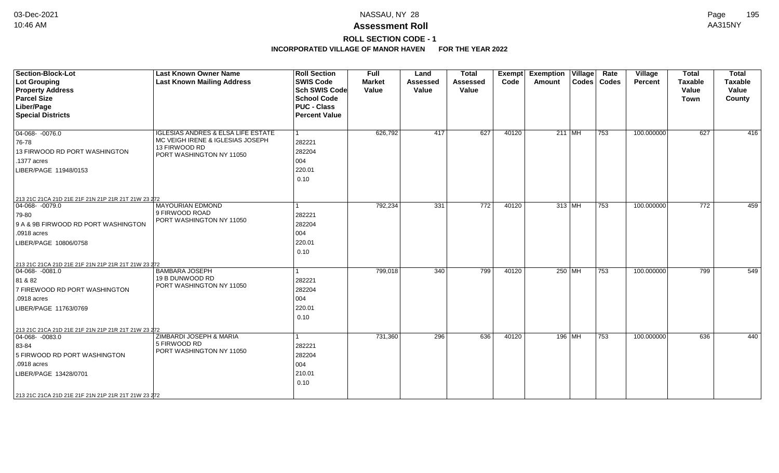# **ROLL SECTION CODE - 1**

| <b>Section-Block-Lot</b>                            | <b>Last Known Owner Name</b>                  | <b>Roll Section</b>  | Full          | Land            | <b>Total</b>    | <b>Exempt</b> | <b>Exemption Village</b> |                        | Rate          | Village        | <b>Total</b>   | <b>Total</b>   |
|-----------------------------------------------------|-----------------------------------------------|----------------------|---------------|-----------------|-----------------|---------------|--------------------------|------------------------|---------------|----------------|----------------|----------------|
| Lot Grouping                                        | <b>Last Known Mailing Address</b>             | <b>SWIS Code</b>     | <b>Market</b> | <b>Assessed</b> | <b>Assessed</b> | Code          | Amount                   |                        | Codes   Codes | <b>Percent</b> | <b>Taxable</b> | <b>Taxable</b> |
| <b>Property Address</b>                             |                                               | Sch SWIS Code        | Value         | Value           | Value           |               |                          |                        |               |                | Value          | Value          |
| <b>Parcel Size</b>                                  |                                               | <b>School Code</b>   |               |                 |                 |               |                          |                        |               |                | <b>Town</b>    | County         |
| Liber/Page                                          |                                               | <b>PUC - Class</b>   |               |                 |                 |               |                          |                        |               |                |                |                |
| <b>Special Districts</b>                            |                                               | <b>Percent Value</b> |               |                 |                 |               |                          |                        |               |                |                |                |
| $04-068 - 0076.0$                                   | <b>IGLESIAS ANDRES &amp; ELSA LIFE ESTATE</b> |                      | 626,792       | 417             | 627             | 40120         |                          | 211 MH                 | 753           | 100.000000     | 627            | 416            |
| 76-78                                               | MC VEIGH IRENE & IGLESIAS JOSEPH              | 282221               |               |                 |                 |               |                          |                        |               |                |                |                |
| 13 FIRWOOD RD PORT WASHINGTON                       | 13 FIRWOOD RD                                 | 282204               |               |                 |                 |               |                          |                        |               |                |                |                |
| .1377 acres                                         | PORT WASHINGTON NY 11050                      | 004                  |               |                 |                 |               |                          |                        |               |                |                |                |
| LIBER/PAGE 11948/0153                               |                                               | 220.01               |               |                 |                 |               |                          |                        |               |                |                |                |
|                                                     |                                               | 0.10                 |               |                 |                 |               |                          |                        |               |                |                |                |
|                                                     |                                               |                      |               |                 |                 |               |                          |                        |               |                |                |                |
| 213 21C 21CA 21D 21E 21F 21N 21P 21R 21T 21W 23 272 |                                               |                      |               |                 |                 |               |                          |                        |               |                |                |                |
| 04-068- -0079.0                                     | <b>MAYOURIAN EDMOND</b>                       |                      | 792,234       | 331             | 772             | 40120         |                          | 313 MH                 | 753           | 100.000000     | 772            | 459            |
| 79-80                                               | 9 FIRWOOD ROAD<br>PORT WASHINGTON NY 11050    | 282221               |               |                 |                 |               |                          |                        |               |                |                |                |
| 9 A & 9B FIRWOOD RD PORT WASHINGTON                 |                                               | 282204               |               |                 |                 |               |                          |                        |               |                |                |                |
| .0918 acres                                         |                                               | 004                  |               |                 |                 |               |                          |                        |               |                |                |                |
| LIBER/PAGE 10806/0758                               |                                               | 220.01               |               |                 |                 |               |                          |                        |               |                |                |                |
|                                                     |                                               | 0.10                 |               |                 |                 |               |                          |                        |               |                |                |                |
| 213 21C 21CA 21D 21E 21F 21N 21P 21R 21T 21W 23 272 |                                               |                      |               |                 |                 |               |                          |                        |               |                |                |                |
| $ 04-068-0081.0$                                    | <b>BAMBARA JOSEPH</b>                         |                      | 799,018       | 340             | 799             | 40120         |                          | 250 MH                 | 753           | 100.000000     | 799            | 549            |
| 81 & 82                                             | 19 B DUNWOOD RD                               | 282221               |               |                 |                 |               |                          |                        |               |                |                |                |
| 7 FIREWOOD RD PORT WASHINGTON                       | PORT WASHINGTON NY 11050                      | 282204               |               |                 |                 |               |                          |                        |               |                |                |                |
| .0918 acres                                         |                                               | 004                  |               |                 |                 |               |                          |                        |               |                |                |                |
| LIBER/PAGE 11763/0769                               |                                               | 220.01               |               |                 |                 |               |                          |                        |               |                |                |                |
|                                                     |                                               | 0.10                 |               |                 |                 |               |                          |                        |               |                |                |                |
| 213 21C 21CA 21D 21E 21F 21N 21P 21R 21T 21W 23 272 |                                               |                      |               |                 |                 |               |                          |                        |               |                |                |                |
| $\boxed{04-068 - 0083.0}$                           | ZIMBARDI JOSEPH & MARIA                       |                      | 731,360       | 296             | 636             | 40120         |                          | 196   M $\overline{H}$ | 753           | 100.000000     | 636            | 440            |
| 83-84                                               | 5 FIRWOOD RD                                  | 282221               |               |                 |                 |               |                          |                        |               |                |                |                |
| 5 FIRWOOD RD PORT WASHINGTON                        | PORT WASHINGTON NY 11050                      | 282204               |               |                 |                 |               |                          |                        |               |                |                |                |
| .0918 acres                                         |                                               | 004                  |               |                 |                 |               |                          |                        |               |                |                |                |
| LIBER/PAGE 13428/0701                               |                                               | 210.01               |               |                 |                 |               |                          |                        |               |                |                |                |
|                                                     |                                               | 0.10                 |               |                 |                 |               |                          |                        |               |                |                |                |
| 213 21C 21CA 21D 21E 21F 21N 21P 21R 21T 21W 23 272 |                                               |                      |               |                 |                 |               |                          |                        |               |                |                |                |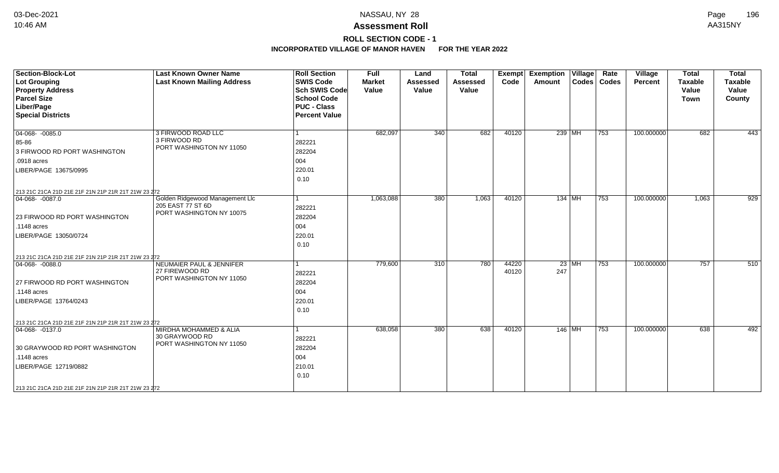# **ROLL SECTION CODE - 1**

| <b>Section-Block-Lot</b><br><b>Lot Grouping</b><br><b>Property Address</b><br><b>Parcel Size</b><br>Liber/Page<br><b>Special Districts</b> | <b>Last Known Owner Name</b><br><b>Last Known Mailing Address</b>                 | <b>Roll Section</b><br><b>SWIS Code</b><br><b>Sch SWIS Code</b><br><b>School Code</b><br><b>PUC - Class</b><br><b>Percent Value</b> | <b>Full</b><br><b>Market</b><br>Value | Land<br><b>Assessed</b><br>Value | <b>Total</b><br>Assessed<br>Value | <b>Exempt</b><br>Code | <b>Exemption</b><br>Amount | $\overline{\overline{\mathsf{V}}\mathsf{illage}}$ | Rate<br>Codes   Codes | <b>Village</b><br>Percent | <b>Total</b><br><b>Taxable</b><br>Value<br><b>Town</b> | <b>Total</b><br><b>Taxable</b><br>Value<br>County |
|--------------------------------------------------------------------------------------------------------------------------------------------|-----------------------------------------------------------------------------------|-------------------------------------------------------------------------------------------------------------------------------------|---------------------------------------|----------------------------------|-----------------------------------|-----------------------|----------------------------|---------------------------------------------------|-----------------------|---------------------------|--------------------------------------------------------|---------------------------------------------------|
| $04-068 - 0085.0$<br>85-86<br>3 FIRWOOD RD PORT WASHINGTON<br>.0918 acres<br>LIBER/PAGE 13675/0995                                         | 3 FIRWOOD ROAD LLC<br>3 FIRWOOD RD<br>PORT WASHINGTON NY 11050                    | 1<br>282221<br>282204<br>004<br>220.01                                                                                              | 682,097                               | 340                              | 682                               | 40120                 |                            | 239 MH                                            | 753                   | 100.000000                | 682                                                    | 443                                               |
| 213 21C 21CA 21D 21E 21F 21N 21P 21R 21T 21W 23 272<br>$ 04-068-0087.0$                                                                    | Golden Ridgewood Management Llc                                                   | 0.10<br>1                                                                                                                           | 1,063,088                             | 380                              | 1,063                             | 40120                 |                            | $134$ MH                                          | 753                   | 100.000000                | 1,063                                                  | 929                                               |
| 23 FIRWOOD RD PORT WASHINGTON<br>.1148 acres<br>LIBER/PAGE 13050/0724                                                                      | 205 EAST 77 ST 6D<br>PORT WASHINGTON NY 10075                                     | 282221<br>282204<br>004<br>220.01<br>0.10                                                                                           |                                       |                                  |                                   |                       |                            |                                                   |                       |                           |                                                        |                                                   |
| 213 21C 21CA 21D 21E 21F 21N 21P 21R 21T 21W 23 272                                                                                        |                                                                                   |                                                                                                                                     |                                       |                                  |                                   |                       |                            |                                                   |                       |                           |                                                        |                                                   |
| $ 04-068-0088.0$<br>27 FIRWOOD RD PORT WASHINGTON<br>.1148 acres<br>LIBER/PAGE 13764/0243                                                  | <b>NEUMAIER PAUL &amp; JENNIFER</b><br>27 FIREWOOD RD<br>PORT WASHINGTON NY 11050 | l 1<br>282221<br>282204<br>004<br>220.01                                                                                            | 779,600                               | 310                              | 780                               | 44220<br>40120        | 247                        | $23$ MH                                           | 753                   | 100.000000                | 757                                                    | 510                                               |
|                                                                                                                                            |                                                                                   | 0.10                                                                                                                                |                                       |                                  |                                   |                       |                            |                                                   |                       |                           |                                                        |                                                   |
| 213 21C 21CA 21D 21E 21F 21N 21P 21R 21T 21W 23 272                                                                                        |                                                                                   |                                                                                                                                     |                                       |                                  |                                   |                       |                            |                                                   |                       |                           |                                                        |                                                   |
| $ 04-068-0137.0$<br>30 GRAYWOOD RD PORT WASHINGTON<br>.1148 acres<br>LIBER/PAGE 12719/0882                                                 | MIRDHA MOHAMMED & ALIA<br>30 GRAYWOOD RD<br>PORT WASHINGTON NY 11050              | 1<br>282221<br>282204<br>004<br>210.01<br>0.10                                                                                      | 638,058                               | 380                              | 638                               | 40120                 | 146 MH                     |                                                   | 753                   | 100.000000                | 638                                                    | 492                                               |
| 213 21C 21CA 21D 21E 21F 21N 21P 21R 21T 21W 23 272                                                                                        |                                                                                   |                                                                                                                                     |                                       |                                  |                                   |                       |                            |                                                   |                       |                           |                                                        |                                                   |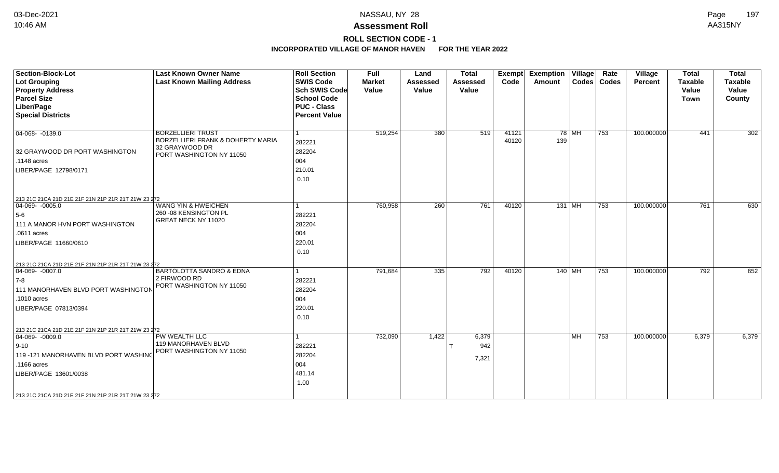# **ROLL SECTION CODE - 1**

| <b>Section-Block-Lot</b><br><b>Lot Grouping</b><br><b>Property Address</b><br><b>Parcel Size</b><br>Liber/Page                                                                                                                | <b>Last Known Owner Name</b><br><b>Last Known Mailing Address</b>                                           | <b>Roll Section</b><br><b>SWIS Code</b><br><b>Sch SWIS Code</b><br><b>School Code</b><br><b>PUC - Class</b> | <b>Full</b><br><b>Market</b><br>Value | Land<br><b>Assessed</b><br>Value | <b>Total</b><br><b>Assessed</b><br>Value | <b>Exempt</b><br>Code | <b>Exemption Village</b><br>Amount | Rate<br>Codes   Codes | Village<br><b>Percent</b> | <b>Total</b><br><b>Taxable</b><br>Value<br><b>Town</b> | <b>Total</b><br><b>Taxable</b><br>Value<br>County |
|-------------------------------------------------------------------------------------------------------------------------------------------------------------------------------------------------------------------------------|-------------------------------------------------------------------------------------------------------------|-------------------------------------------------------------------------------------------------------------|---------------------------------------|----------------------------------|------------------------------------------|-----------------------|------------------------------------|-----------------------|---------------------------|--------------------------------------------------------|---------------------------------------------------|
| <b>Special Districts</b>                                                                                                                                                                                                      |                                                                                                             | <b>Percent Value</b>                                                                                        |                                       |                                  |                                          |                       |                                    |                       |                           |                                                        |                                                   |
| 04-068-0139.0<br>32 GRAYWOOD DR PORT WASHINGTON<br>.1148 acres<br>LIBER/PAGE 12798/0171                                                                                                                                       | <b>BORZELLIERI TRUST</b><br>BORZELLIERI FRANK & DOHERTY MARIA<br>32 GRAYWOOD DR<br>PORT WASHINGTON NY 11050 | 282221<br>282204<br>004<br>210.01<br>0.10                                                                   | 519,254                               | 380                              | 519                                      | 41121<br>40120        | $78$ MH<br>139                     | 753                   | 100.000000                | 441                                                    | 302                                               |
| 213 21C 21CA 21D 21E 21F 21N 21P 21R 21T 21W 23 272                                                                                                                                                                           |                                                                                                             |                                                                                                             |                                       |                                  |                                          |                       |                                    |                       |                           |                                                        |                                                   |
| 04-069- -0005.0<br>$5-6$<br>111 A MANOR HVN PORT WASHINGTON<br>.0611 acres<br>LIBER/PAGE 11660/0610                                                                                                                           | <b>WANG YIN &amp; HWEICHEN</b><br>260 - 08 KENSINGTON PL<br>GREAT NECK NY 11020                             | 282221<br>282204<br>004<br>220.01<br>0.10                                                                   | 760,958                               | 260                              | 761                                      | 40120                 | $131$ MH                           | 753                   | 100.000000                | 761                                                    | 630                                               |
| 213 21C 21CA 21D 21E 21F 21N 21P 21R 21T 21W 23 272<br>$ 04-069-0007.0$<br>$ 7-8 $<br>111 MANORHAVEN BLVD PORT WASHINGTON<br>.1010 acres<br>LIBER/PAGE 07813/0394                                                             | BARTOLOTTA SANDRO & EDNA<br>2 FIRWOOD RD<br>PORT WASHINGTON NY 11050                                        | 282221<br>282204<br>004<br>220.01<br>0.10                                                                   | 791,684                               | 335                              | 792                                      | 40120                 | 140   MH                           | 753                   | 100.000000                | 792                                                    | 652                                               |
| 213 21C 21CA 21D 21E 21F 21N 21P 21R 21T 21W 23 272<br>$ 04-069-0009.0$<br>$ 9 - 10 $<br>119 -121 MANORHAVEN BLVD PORT WASHING<br>.1166 acres<br>LIBER/PAGE 13601/0038<br>213 21C 21CA 21D 21E 21F 21N 21P 21R 21T 21W 23 272 | PW WEALTH LLC<br>119 MANORHAVEN BLVD<br>PORT WASHINGTON NY 11050                                            | 282221<br>282204<br>004<br>481.14<br>1.00                                                                   | 732,090                               | 1,422                            | 6,379<br>942<br>7,321                    |                       | l MH                               | 753                   | 100.000000                | 6,379                                                  | 6,379                                             |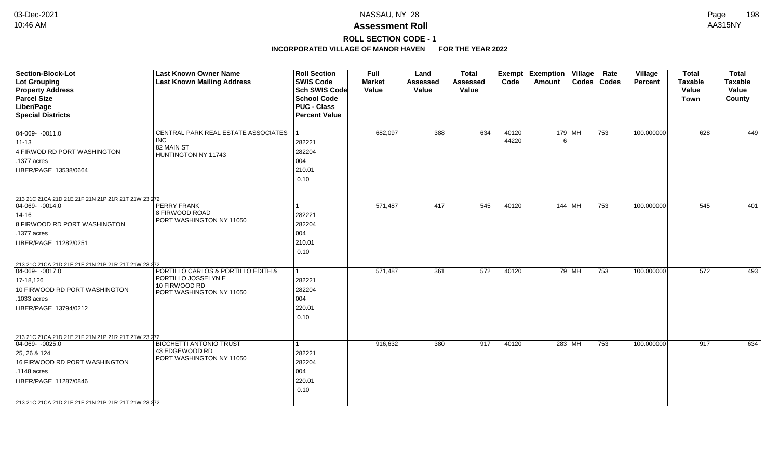# **ROLL SECTION CODE - 1**

| <b>Section-Block-Lot</b><br>Lot Grouping<br><b>Property Address</b><br><b>Parcel Size</b><br>Liber/Page<br><b>Special Districts</b>                                                                                     | <b>Last Known Owner Name</b><br><b>Last Known Mailing Address</b>                                      | <b>Roll Section</b><br><b>SWIS Code</b><br>Sch SWIS Code<br><b>School Code</b><br><b>PUC - Class</b><br><b>Percent Value</b> | <b>Full</b><br><b>Market</b><br>Value | Land<br><b>Assessed</b><br>Value | <b>Total</b><br><b>Assessed</b><br>Value | <b>Exempt</b><br>Code | <b>Exemption Village</b><br>Amount |         | Rate<br>Codes   Codes | Village<br><b>Percent</b> | <b>Total</b><br><b>Taxable</b><br>Value<br><b>Town</b> | <b>Total</b><br><b>Taxable</b><br>Value<br>County |
|-------------------------------------------------------------------------------------------------------------------------------------------------------------------------------------------------------------------------|--------------------------------------------------------------------------------------------------------|------------------------------------------------------------------------------------------------------------------------------|---------------------------------------|----------------------------------|------------------------------------------|-----------------------|------------------------------------|---------|-----------------------|---------------------------|--------------------------------------------------------|---------------------------------------------------|
| $\boxed{04-069 - 0011.0}$<br>$ 11 - 13 $<br>4 FIRWOD RD PORT WASHINGTON<br>.1377 acres<br>LIBER/PAGE 13538/0664                                                                                                         | CENTRAL PARK REAL ESTATE ASSOCIATES<br><b>INC</b><br>82 MAIN ST<br>HUNTINGTON NY 11743                 | 282221<br>282204<br>004<br>210.01<br>0.10                                                                                    | 682,097                               | 388                              | 634                                      | 40120<br>44220        | 6                                  | 179 MH  | 753                   | 100.000000                | 628                                                    | 449                                               |
| 213 21C 21CA 21D 21E 21F 21N 21P 21R 21T 21W 23 272<br>04-069- -0014.0<br>14-16<br>8 FIRWOOD RD PORT WASHINGTON<br>.1377 acres<br>LIBER/PAGE 11282/0251                                                                 | <b>PERRY FRANK</b><br>8 FIRWOOD ROAD<br>PORT WASHINGTON NY 11050                                       | 282221<br>282204<br>004<br>210.01<br>0.10                                                                                    | 571,487                               | 417                              | 545                                      | 40120                 | 144   MH                           |         | 753                   | 100.000000                | 545                                                    | 401                                               |
| 213 21C 21CA 21D 21E 21F 21N 21P 21R 21T 21W 23 272<br>$ 04-069-0017.0$<br>$17 - 18,126$<br>10 FIRWOOD RD PORT WASHINGTON<br>.1033 acres<br>LIBER/PAGE 13794/0212                                                       | PORTILLO CARLOS & PORTILLO EDITH &<br>PORTILLO JOSSELYN E<br>10 FIRWOOD RD<br>PORT WASHINGTON NY 11050 | 282221<br>282204<br>004<br>220.01<br>0.10                                                                                    | 571,487                               | 361                              | 572                                      | 40120                 |                                    | 79   MH | 753                   | 100.000000                | 572                                                    | 493                                               |
| 213 21C 21CA 21D 21E 21F 21N 21P 21R 21T 21W 23 272<br>$ 04-069-0025.0$<br>25, 26 & 124<br>16 FIRWOOD RD PORT WASHINGTON<br>.1148 acres<br>LIBER/PAGE 11287/0846<br>213 21C 21CA 21D 21E 21F 21N 21P 21R 21T 21W 23 272 | <b>BICCHETTI ANTONIO TRUST</b><br>43 EDGEWOOD RD<br>PORT WASHINGTON NY 11050                           | 282221<br>282204<br>004<br>220.01<br>0.10                                                                                    | 916,632                               | 380                              | 917                                      | 40120                 |                                    | 283 MH  | 753                   | 100.000000                | 917                                                    | 634                                               |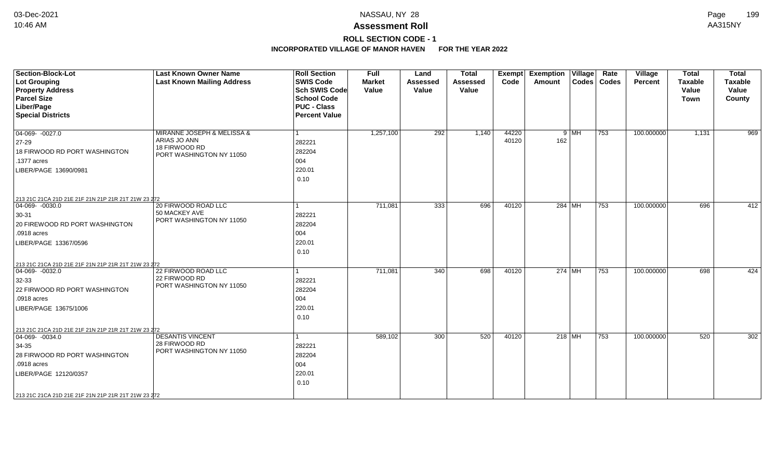# **ROLL SECTION CODE - 1**

| <b>Section-Block-Lot</b><br><b>Lot Grouping</b><br><b>Property Address</b><br><b>Parcel Size</b>                                                                                                                     | <b>Last Known Owner Name</b><br><b>Last Known Mailing Address</b>                       | <b>Roll Section</b><br><b>SWIS Code</b><br><b>Sch SWIS Code</b><br><b>School Code</b> | <b>Full</b><br><b>Market</b><br>Value | Land<br><b>Assessed</b><br>Value | <b>Total</b><br><b>Assessed</b><br>Value | <b>Exempt</b><br>Code | <b>Exemption Village</b><br>Amount | Rate<br>Codes   Codes | Village<br><b>Percent</b> | <b>Total</b><br><b>Taxable</b><br>Value<br><b>Town</b> | <b>Total</b><br><b>Taxable</b><br>Value<br>County |
|----------------------------------------------------------------------------------------------------------------------------------------------------------------------------------------------------------------------|-----------------------------------------------------------------------------------------|---------------------------------------------------------------------------------------|---------------------------------------|----------------------------------|------------------------------------------|-----------------------|------------------------------------|-----------------------|---------------------------|--------------------------------------------------------|---------------------------------------------------|
| Liber/Page<br><b>Special Districts</b>                                                                                                                                                                               |                                                                                         | <b>PUC - Class</b><br><b>Percent Value</b>                                            |                                       |                                  |                                          |                       |                                    |                       |                           |                                                        |                                                   |
| $04-069 - 0027.0$<br>$ 27-29$<br>18 FIRWOOD RD PORT WASHINGTON<br>.1377 acres<br>LIBER/PAGE 13690/0981                                                                                                               | MIRANNE JOSEPH & MELISSA &<br>ARIAS JO ANN<br>18 FIRWOOD RD<br>PORT WASHINGTON NY 11050 | 282221<br>282204<br>004<br>220.01<br>0.10                                             | 1,257,100                             | $\overline{292}$                 | 1,140                                    | 44220<br>40120        | $9$ MH<br>162                      | 753                   | 100.000000                | 1,131                                                  | 969                                               |
| 213 21C 21CA 21D 21E 21F 21N 21P 21R 21T 21W 23 272<br>$ 04-069-0030.0$<br>$30-31$<br>20 FIREWOOD RD PORT WASHINGTON<br>.0918 acres<br>LIBER/PAGE 13367/0596                                                         | 20 FIRWOOD ROAD LLC<br>50 MACKEY AVE<br>PORT WASHINGTON NY 11050                        | 282221<br>282204<br>004<br>220.01<br>0.10                                             | 711,081                               | 333                              | 696                                      | 40120                 | $284$ MH                           | 753                   | 100.000000                | 696                                                    | 412                                               |
| 213 21C 21CA 21D 21E 21F 21N 21P 21R 21T 21W 23 272<br>$ 04-069-0032.0$<br>$32 - 33$<br>22 FIRWOOD RD PORT WASHINGTON<br>.0918 acres<br>LIBER/PAGE 13675/1006                                                        | 22 FIRWOOD ROAD LLC<br>22 FIRWOOD RD<br>PORT WASHINGTON NY 11050                        | 282221<br>282204<br>004<br>220.01<br>0.10                                             | 711,081                               | 340                              | 698                                      | 40120                 | 274   MH                           | 753                   | 100.000000                | 698                                                    | 424                                               |
| 213 21C 21CA 21D 21E 21F 21N 21P 21R 21T 21W 23 272<br>$ 04-069-0034.0$<br>$34 - 35$<br>28 FIRWOOD RD PORT WASHINGTON<br>.0918 acres<br>LIBER/PAGE 12120/0357<br>213 21C 21CA 21D 21E 21F 21N 21P 21R 21T 21W 23 272 | <b>DESANTIS VINCENT</b><br>28 FIRWOOD RD<br>PORT WASHINGTON NY 11050                    | 282221<br>282204<br>004<br>220.01<br>0.10                                             | 589,102                               | 300                              | 520                                      | 40120                 | 218 $\overline{\mathsf{MH}}$       | 753                   | 100.000000                | 520                                                    | 302                                               |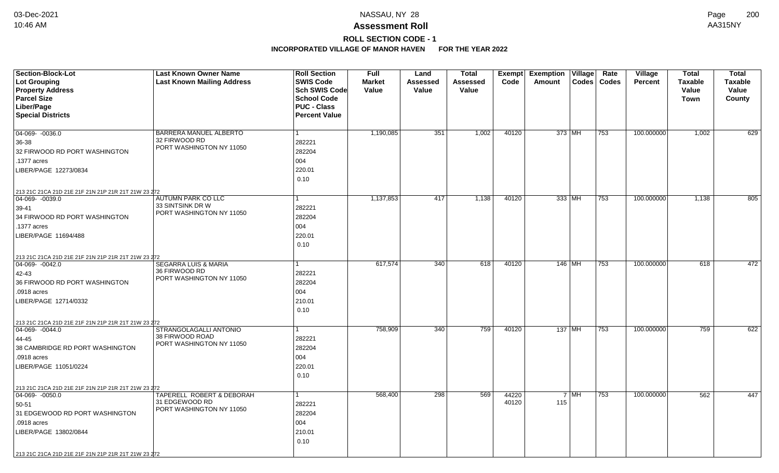# **ROLL SECTION CODE - 1**

| <b>Section-Block-Lot</b>                                             | <b>Last Known Owner Name</b>      | <b>Roll Section</b>  | <b>Full</b>   | Land     | <b>Total</b> |       | Exempt Exemption Village |                    | Rate          | Village        | <b>Total</b>   | <b>Total</b>   |
|----------------------------------------------------------------------|-----------------------------------|----------------------|---------------|----------|--------------|-------|--------------------------|--------------------|---------------|----------------|----------------|----------------|
| <b>Lot Grouping</b>                                                  | <b>Last Known Mailing Address</b> | <b>SWIS Code</b>     | <b>Market</b> | Assessed | Assessed     | Code  | Amount                   |                    | Codes   Codes | <b>Percent</b> | <b>Taxable</b> | <b>Taxable</b> |
| <b>Property Address</b>                                              |                                   | Sch SWIS Code        | Value         | Value    | Value        |       |                          |                    |               |                | Value          | Value          |
| <b>Parcel Size</b>                                                   |                                   | <b>School Code</b>   |               |          |              |       |                          |                    |               |                | Town           | County         |
| Liber/Page                                                           |                                   | <b>PUC - Class</b>   |               |          |              |       |                          |                    |               |                |                |                |
| <b>Special Districts</b>                                             |                                   | <b>Percent Value</b> |               |          |              |       |                          |                    |               |                |                |                |
| 04-069- -0036.0                                                      | BARRERA MANUEL ALBERTO            |                      | 1,190,085     | 351      | 1,002        | 40120 | 373 MH                   |                    | 753           | 100.000000     | 1,002          | 629            |
| 36-38                                                                | 32 FIRWOOD RD                     | 282221               |               |          |              |       |                          |                    |               |                |                |                |
| 32 FIRWOOD RD PORT WASHINGTON                                        | PORT WASHINGTON NY 11050          | 282204               |               |          |              |       |                          |                    |               |                |                |                |
| .1377 acres                                                          |                                   | 004                  |               |          |              |       |                          |                    |               |                |                |                |
| LIBER/PAGE 12273/0834                                                |                                   | 220.01               |               |          |              |       |                          |                    |               |                |                |                |
|                                                                      |                                   | 0.10                 |               |          |              |       |                          |                    |               |                |                |                |
|                                                                      |                                   |                      |               |          |              |       |                          |                    |               |                |                |                |
| 213 21C 21CA 21D 21E 21F 21N 21P 21R 21T 21W 23 272<br>04-069-0039.0 | <b>AUTUMN PARK CO LLC</b>         |                      | 1,137,853     | 417      | 1,138        | 40120 | 333 MH                   |                    | 753           | 100.000000     | 1,138          | 805            |
| 39-41                                                                | 33 SINTSINK DR W                  | 282221               |               |          |              |       |                          |                    |               |                |                |                |
| 34 FIRWOOD RD PORT WASHINGTON                                        | PORT WASHINGTON NY 11050          | 282204               |               |          |              |       |                          |                    |               |                |                |                |
| .1377 acres                                                          |                                   | 004                  |               |          |              |       |                          |                    |               |                |                |                |
| LIBER/PAGE 11694/488                                                 |                                   | 220.01               |               |          |              |       |                          |                    |               |                |                |                |
|                                                                      |                                   | 0.10                 |               |          |              |       |                          |                    |               |                |                |                |
|                                                                      |                                   |                      |               |          |              |       |                          |                    |               |                |                |                |
| 213 21C 21CA 21D 21E 21F 21N 21P 21R 21T 21W 23 272<br>04-069-0042.0 | <b>SEGARRA LUIS &amp; MARIA</b>   |                      | 617,574       | 340      | 618          | 40120 | 146 MH                   |                    | 753           | 100.000000     | 618            | 472            |
| 42-43                                                                | 36 FIRWOOD RD                     | 282221               |               |          |              |       |                          |                    |               |                |                |                |
| 36 FIRWOOD RD PORT WASHINGTON                                        | PORT WASHINGTON NY 11050          | 282204               |               |          |              |       |                          |                    |               |                |                |                |
| .0918 acres                                                          |                                   | 004                  |               |          |              |       |                          |                    |               |                |                |                |
| LIBER/PAGE 12714/0332                                                |                                   | 210.01               |               |          |              |       |                          |                    |               |                |                |                |
|                                                                      |                                   | 0.10                 |               |          |              |       |                          |                    |               |                |                |                |
| 213 21C 21CA 21D 21E 21F 21N 21P 21R 21T 21W 23 272                  |                                   |                      |               |          |              |       |                          |                    |               |                |                |                |
| $\boxed{04-069 - 0044.0}$                                            | STRANGOLAGALLI ANTONIO            |                      | 758,909       | 340      | 759          | 40120 | 137   MH                 |                    | 753           | 100.000000     | 759            | 622            |
| 44-45                                                                | 38 FIRWOOD ROAD                   | 282221               |               |          |              |       |                          |                    |               |                |                |                |
| 38 CAMBRIDGE RD PORT WASHINGTON                                      | PORT WASHINGTON NY 11050          | 282204               |               |          |              |       |                          |                    |               |                |                |                |
| .0918 acres                                                          |                                   | 004                  |               |          |              |       |                          |                    |               |                |                |                |
| LIBER/PAGE 11051/0224                                                |                                   | 220.01               |               |          |              |       |                          |                    |               |                |                |                |
|                                                                      |                                   | 0.10                 |               |          |              |       |                          |                    |               |                |                |                |
| 213 21C 21CA 21D 21E 21F 21N 21P 21R 21T 21W 23 272                  |                                   |                      |               |          |              |       |                          |                    |               |                |                |                |
| 04-069- -0050.0                                                      | TAPERELL ROBERT & DEBORAH         |                      | 568,400       | 298      | 569          | 44220 |                          | $7 \mid \text{MH}$ | 753           | 100.000000     | 562            | 447            |
| 50-51                                                                | 31 EDGEWOOD RD                    | 282221               |               |          |              | 40120 | 115                      |                    |               |                |                |                |
| 31 EDGEWOOD RD PORT WASHINGTON                                       | PORT WASHINGTON NY 11050          | 282204               |               |          |              |       |                          |                    |               |                |                |                |
| .0918 acres                                                          |                                   | 004                  |               |          |              |       |                          |                    |               |                |                |                |
| LIBER/PAGE 13802/0844                                                |                                   | 210.01               |               |          |              |       |                          |                    |               |                |                |                |
|                                                                      |                                   | 0.10                 |               |          |              |       |                          |                    |               |                |                |                |
| 213 21C 21CA 21D 21E 21F 21N 21P 21R 21T 21W 23 272                  |                                   |                      |               |          |              |       |                          |                    |               |                |                |                |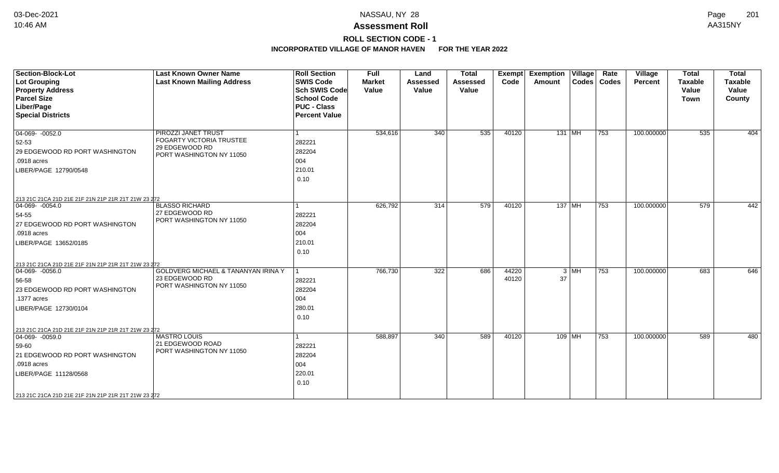# **ROLL SECTION CODE - 1**

| <b>Section-Block-Lot</b><br><b>Lot Grouping</b><br><b>Property Address</b><br><b>Parcel Size</b><br>Liber/Page<br><b>Special Districts</b>                                                                        | <b>Last Known Owner Name</b><br><b>Last Known Mailing Address</b>                             | <b>Roll Section</b><br><b>SWIS Code</b><br><b>Sch SWIS Code</b><br><b>School Code</b><br><b>PUC - Class</b><br><b>Percent Value</b> | Full<br><b>Market</b><br>Value | Land<br>Assessed<br>Value | <b>Total</b><br>Assessed<br>Value | Exempt<br>Code | <b>Exemption Village</b><br>Amount |        | Rate<br>Codes   Codes | Village<br>Percent | <b>Total</b><br><b>Taxable</b><br>Value<br><b>Town</b> | <b>Total</b><br><b>Taxable</b><br>Value<br>County |
|-------------------------------------------------------------------------------------------------------------------------------------------------------------------------------------------------------------------|-----------------------------------------------------------------------------------------------|-------------------------------------------------------------------------------------------------------------------------------------|--------------------------------|---------------------------|-----------------------------------|----------------|------------------------------------|--------|-----------------------|--------------------|--------------------------------------------------------|---------------------------------------------------|
| $04-069 - 0052.0$<br>52-53<br>29 EDGEWOOD RD PORT WASHINGTON<br>.0918 acres<br>LIBER/PAGE 12790/0548                                                                                                              | PIROZZI JANET TRUST<br>FOGARTY VICTORIA TRUSTEE<br>29 EDGEWOOD RD<br>PORT WASHINGTON NY 11050 | 282221<br>282204<br>004<br>210.01<br>0.10                                                                                           | 534,616                        | 340                       | 535                               | 40120          | $131$ MH                           |        | 753                   | 100.000000         | 535                                                    | 404                                               |
| 213 21C 21CA 21D 21E 21F 21N 21P 21R 21T 21W 23 272<br>04-069- -0054.0<br>54-55<br>27 EDGEWOOD RD PORT WASHINGTON<br>.0918 acres<br>LIBER/PAGE 13652/0185                                                         | <b>BLASSO RICHARD</b><br>27 EDGEWOOD RD<br>PORT WASHINGTON NY 11050                           | 282221<br>282204<br>004<br>210.01<br>0.10                                                                                           | 626,792                        | 314                       | 579                               | 40120          | 137 MH                             |        | 753                   | 100.000000         | 579                                                    | 442                                               |
| 213 21C 21CA 21D 21E 21F 21N 21P 21R 21T 21W 23 272<br>$ 04-069-0056.0$<br>56-58<br>23 EDGEWOOD RD PORT WASHINGTON<br>.1377 acres<br>LIBER/PAGE 12730/0104                                                        | <b>GOLDVERG MICHAEL &amp; TANANYAN IRINA Y</b><br>23 EDGEWOOD RD<br>PORT WASHINGTON NY 11050  | 282221<br>282204<br>004<br>280.01<br>0.10                                                                                           | 766,730                        | 322                       | 686                               | 44220<br>40120 | 37                                 | $3$ MH | 753                   | 100.000000         | 683                                                    | 646                                               |
| 213 21C 21CA 21D 21E 21F 21N 21P 21R 21T 21W 23 272<br>$ 04-069-0059.0$<br>59-60<br>21 EDGEWOOD RD PORT WASHINGTON<br>.0918 acres<br>LIBER/PAGE 11128/0568<br>213 21C 21CA 21D 21E 21F 21N 21P 21R 21T 21W 23 272 | <b>MASTRO LOUIS</b><br>21 EDGEWOOD ROAD<br>PORT WASHINGTON NY 11050                           | 282221<br>282204<br>004<br>220.01<br>0.10                                                                                           | 588,897                        | 340                       | 589                               | 40120          | $109$ MH                           |        | 753                   | 100.000000         | 589                                                    | 480                                               |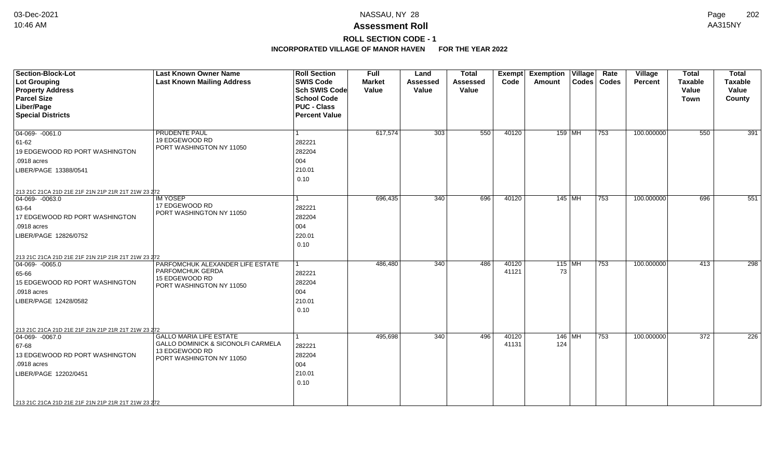# **ROLL SECTION CODE - 1**

| <b>Section-Block-Lot</b><br>Lot Grouping<br><b>Property Address</b><br><b>Parcel Size</b><br>Liber/Page<br><b>Special Districts</b>                                                                               | <b>Last Known Owner Name</b><br><b>Last Known Mailing Address</b>                                                  | <b>Roll Section</b><br><b>SWIS Code</b><br><b>Sch SWIS Code</b><br><b>School Code</b><br><b>PUC - Class</b><br><b>Percent Value</b> | <b>Full</b><br><b>Market</b><br>Value | Land<br><b>Assessed</b><br>Value | <b>Total</b><br><b>Assessed</b><br>Value | <b>Exempt</b><br>Code | <b>Exemption Village</b><br><b>Amount</b> | Rate<br>Codes   Codes | <b>Village</b><br><b>Percent</b> | <b>Total</b><br><b>Taxable</b><br>Value<br><b>Town</b> | <b>Total</b><br><b>Taxable</b><br>Value<br>County |
|-------------------------------------------------------------------------------------------------------------------------------------------------------------------------------------------------------------------|--------------------------------------------------------------------------------------------------------------------|-------------------------------------------------------------------------------------------------------------------------------------|---------------------------------------|----------------------------------|------------------------------------------|-----------------------|-------------------------------------------|-----------------------|----------------------------------|--------------------------------------------------------|---------------------------------------------------|
| $\boxed{04-069 - 0061.0}$<br>61-62<br>19 EDGEWOOD RD PORT WASHINGTON<br>.0918 acres<br>LIBER/PAGE 13388/0541                                                                                                      | PRUDENTE PAUL<br>19 EDGEWOOD RD<br>PORT WASHINGTON NY 11050                                                        | 282221<br>282204<br>004<br>210.01<br>0.10                                                                                           | 617,574                               | 303                              | 550                                      | 40120                 | 159 MH                                    | 753                   | 100.000000                       | 550                                                    | 391                                               |
| 213 21C 21CA 21D 21E 21F 21N 21P 21R 21T 21W 23 272<br>$\boxed{04-069 - 0063.0}$<br>63-64<br>17 EDGEWOOD RD PORT WASHINGTON<br>.0918 acres<br>LIBER/PAGE 12826/0752                                               | <b>IM YOSEP</b><br>17 EDGEWOOD RD<br>PORT WASHINGTON NY 11050                                                      | 282221<br>282204<br>004<br>220.01<br>0.10                                                                                           | 696,435                               | 340                              | 696                                      | 40120                 | $145$ MH                                  | 753                   | 100.000000                       | 696                                                    | 551                                               |
| 213 21C 21CA 21D 21E 21F 21N 21P 21R 21T 21W 23 272<br>$ 04-069-0065.0$<br>65-66<br>15 EDGEWOOD RD PORT WASHINGTON<br>.0918 acres<br>LIBER/PAGE 12428/0582<br>213 21C 21CA 21D 21E 21F 21N 21P 21R 21T 21W 23 272 | PARFOMCHUK ALEXANDER LIFE ESTATE<br>PARFOMCHUK GERDA<br>15 EDGEWOOD RD<br>PORT WASHINGTON NY 11050                 | 1<br>282221<br>282204<br>004<br>210.01<br>0.10                                                                                      | 486,480                               | 340                              | 486                                      | 40120<br>41121        | $115$ MH<br>73                            | 753                   | 100.000000                       | 413                                                    | 298                                               |
| $ 04-069-0067.0$<br>67-68<br>13 EDGEWOOD RD PORT WASHINGTON<br>.0918 acres<br>LIBER/PAGE 12202/0451<br>213 21C 21CA 21D 21E 21F 21N 21P 21R 21T 21W 23 272                                                        | <b>GALLO MARIA LIFE ESTATE</b><br>GALLO DOMINICK & SICONOLFI CARMELA<br>13 EDGEWOOD RD<br>PORT WASHINGTON NY 11050 | 282221<br>282204<br>004<br>210.01<br>0.10                                                                                           | 495,698                               | 340                              | 496                                      | 40120<br>41131        | 146   MH<br>124                           | 753                   | 100.000000                       | 372                                                    | 226                                               |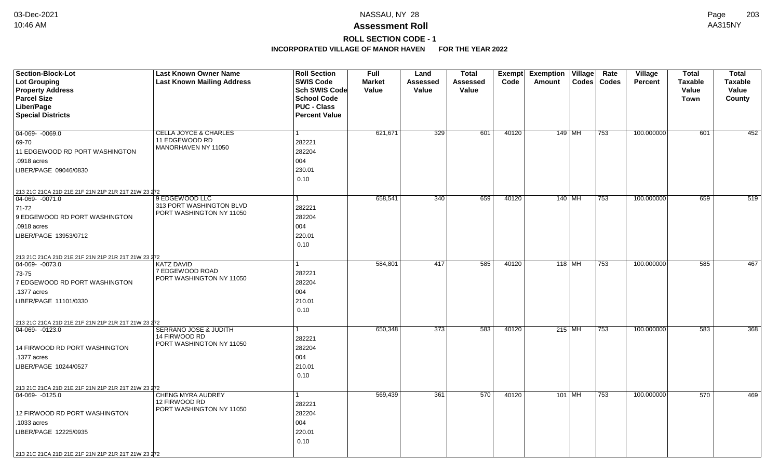# **ROLL SECTION CODE - 1**

| <b>Section-Block-Lot</b>                                                | <b>Last Known Owner Name</b>          | <b>Roll Section</b>  | <b>Full</b>   | Land     | <b>Total</b>    | Exempt | <b>Exemption Village</b> | Rate          | <b>Village</b> | <b>Total</b>   | <b>Total</b>   |
|-------------------------------------------------------------------------|---------------------------------------|----------------------|---------------|----------|-----------------|--------|--------------------------|---------------|----------------|----------------|----------------|
| Lot Grouping                                                            | <b>Last Known Mailing Address</b>     | <b>SWIS Code</b>     | <b>Market</b> | Assessed | <b>Assessed</b> | Code   | Amount                   | Codes   Codes | <b>Percent</b> | <b>Taxable</b> | <b>Taxable</b> |
| <b>Property Address</b>                                                 |                                       | <b>Sch SWIS Code</b> | Value         | Value    | Value           |        |                          |               |                | Value          | Value          |
| <b>Parcel Size</b>                                                      |                                       | <b>School Code</b>   |               |          |                 |        |                          |               |                | Town           | County         |
| Liber/Page                                                              |                                       | <b>PUC - Class</b>   |               |          |                 |        |                          |               |                |                |                |
| <b>Special Districts</b>                                                |                                       | <b>Percent Value</b> |               |          |                 |        |                          |               |                |                |                |
|                                                                         |                                       |                      |               |          |                 |        |                          |               |                |                |                |
| 04-069- -0069.0                                                         | <b>CELLA JOYCE &amp; CHARLES</b>      | $\mathbf{1}$         | 621,671       | 329      | 601             | 40120  | 149 MH                   | 753           | 100.000000     | 601            | 452            |
| 69-70                                                                   | 11 EDGEWOOD RD<br>MANORHAVEN NY 11050 | 282221               |               |          |                 |        |                          |               |                |                |                |
| 11 EDGEWOOD RD PORT WASHINGTON                                          |                                       | 282204               |               |          |                 |        |                          |               |                |                |                |
| .0918 acres                                                             |                                       | 004                  |               |          |                 |        |                          |               |                |                |                |
| LIBER/PAGE 09046/0830                                                   |                                       | 230.01               |               |          |                 |        |                          |               |                |                |                |
|                                                                         |                                       | 0.10                 |               |          |                 |        |                          |               |                |                |                |
| 213 21C 21CA 21D 21E 21F 21N 21P 21R 21T 21W 23 272                     |                                       |                      |               |          |                 |        |                          |               |                |                |                |
| $ 04-069-0071.0$                                                        | 9 EDGEWOOD LLC                        | 1                    | 658,541       | 340      | 659             | 40120  | 140 MH                   | 753           | 100.000000     | 659            | 519            |
| 71-72                                                                   | 313 PORT WASHINGTON BLVD              | 282221               |               |          |                 |        |                          |               |                |                |                |
| 9 EDGEWOOD RD PORT WASHINGTON                                           | PORT WASHINGTON NY 11050              | 282204               |               |          |                 |        |                          |               |                |                |                |
| .0918 acres                                                             |                                       | 004                  |               |          |                 |        |                          |               |                |                |                |
| LIBER/PAGE 13953/0712                                                   |                                       | 220.01               |               |          |                 |        |                          |               |                |                |                |
|                                                                         |                                       | 0.10                 |               |          |                 |        |                          |               |                |                |                |
|                                                                         |                                       |                      |               |          |                 |        |                          |               |                |                |                |
| 213 21C 21CA 21D 21E 21F 21N 21P 21R 21T 21W 23 272<br>04-069-0073.0    | <b>KATZ DAVID</b>                     | 1                    | 584,801       | 417      | 585             | 40120  | $118$ MH                 | 753           | 100.000000     | 585            | 467            |
| 73-75                                                                   | 7 EDGEWOOD ROAD                       | 282221               |               |          |                 |        |                          |               |                |                |                |
| 7 EDGEWOOD RD PORT WASHINGTON                                           | PORT WASHINGTON NY 11050              | 282204               |               |          |                 |        |                          |               |                |                |                |
| .1377 acres                                                             |                                       | 004                  |               |          |                 |        |                          |               |                |                |                |
| LIBER/PAGE 11101/0330                                                   |                                       | 210.01               |               |          |                 |        |                          |               |                |                |                |
|                                                                         |                                       | 0.10                 |               |          |                 |        |                          |               |                |                |                |
|                                                                         |                                       |                      |               |          |                 |        |                          |               |                |                |                |
| 213 21C 21CA 21D 21E 21F 21N 21P 21R 21T 21W 23 272<br>$ 04-069-0123.0$ | SERRANO JOSE & JUDITH                 | 1                    | 650,348       | 373      | 583             | 40120  | $215$ MH                 | 753           | 100.000000     | 583            | 368            |
|                                                                         | 14 FIRWOOD RD                         | 282221               |               |          |                 |        |                          |               |                |                |                |
| 14 FIRWOOD RD PORT WASHINGTON                                           | PORT WASHINGTON NY 11050              | 282204               |               |          |                 |        |                          |               |                |                |                |
| .1377 acres                                                             |                                       | 004                  |               |          |                 |        |                          |               |                |                |                |
| LIBER/PAGE 10244/0527                                                   |                                       | 210.01               |               |          |                 |        |                          |               |                |                |                |
|                                                                         |                                       | 0.10                 |               |          |                 |        |                          |               |                |                |                |
|                                                                         |                                       |                      |               |          |                 |        |                          |               |                |                |                |
| 213 21C 21CA 21D 21E 21F 21N 21P 21R 21T 21W 23 272                     | <b>CHENG MYRA AUDREY</b>              | $\mathbf{1}$         |               | 361      | 570             | 40120  |                          |               |                | 570            |                |
| 04-069-0125.0                                                           | 12 FIRWOOD RD                         |                      | 569,439       |          |                 |        | 101   MH                 | 753           | 100.000000     |                | 469            |
|                                                                         | PORT WASHINGTON NY 11050              | 282221               |               |          |                 |        |                          |               |                |                |                |
| 12 FIRWOOD RD PORT WASHINGTON                                           |                                       | 282204               |               |          |                 |        |                          |               |                |                |                |
| .1033 acres                                                             |                                       | 004                  |               |          |                 |        |                          |               |                |                |                |
| LIBER/PAGE 12225/0935                                                   |                                       | 220.01               |               |          |                 |        |                          |               |                |                |                |
|                                                                         |                                       | 0.10                 |               |          |                 |        |                          |               |                |                |                |
| 213 21C 21CA 21D 21E 21F 21N 21P 21R 21T 21W 23 272                     |                                       |                      |               |          |                 |        |                          |               |                |                |                |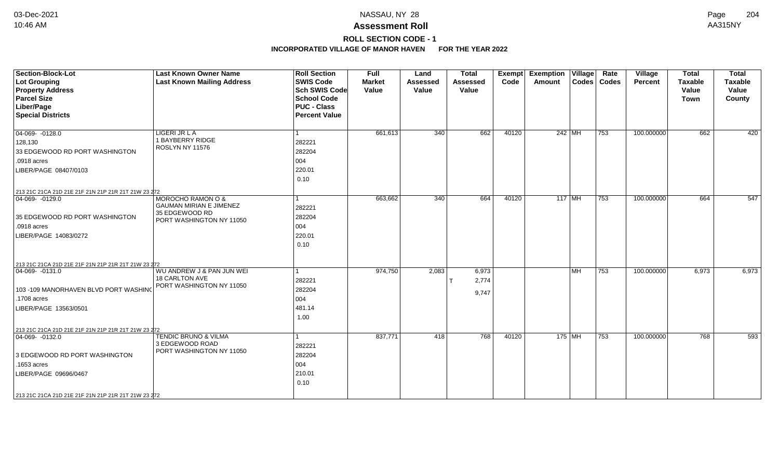# **ROLL SECTION CODE - 1**

| <b>Section-Block-Lot</b>                            | <b>Last Known Owner Name</b>                      | <b>Roll Section</b>                      | <b>Full</b>            | Land                     | <b>Total</b>             | <b>Exempt</b> | <b>Exemption Village</b> |      | Rate          | Village        | <b>Total</b>            | <b>Total</b>            |
|-----------------------------------------------------|---------------------------------------------------|------------------------------------------|------------------------|--------------------------|--------------------------|---------------|--------------------------|------|---------------|----------------|-------------------------|-------------------------|
| <b>Lot Grouping</b><br><b>Property Address</b>      | <b>Last Known Mailing Address</b>                 | <b>SWIS Code</b><br><b>Sch SWIS Code</b> | <b>Market</b><br>Value | <b>Assessed</b><br>Value | <b>Assessed</b><br>Value | Code          | Amount                   |      | Codes   Codes | <b>Percent</b> | <b>Taxable</b><br>Value | <b>Taxable</b><br>Value |
| <b>Parcel Size</b>                                  |                                                   | <b>School Code</b>                       |                        |                          |                          |               |                          |      |               |                | <b>Town</b>             | County                  |
| Liber/Page                                          |                                                   | <b>PUC - Class</b>                       |                        |                          |                          |               |                          |      |               |                |                         |                         |
| <b>Special Districts</b>                            |                                                   | <b>Percent Value</b>                     |                        |                          |                          |               |                          |      |               |                |                         |                         |
|                                                     |                                                   |                                          |                        |                          |                          |               |                          |      |               |                |                         |                         |
| $04-069 - 0128.0$                                   | LIGERI JR L A                                     | $\mathbf{1}$                             | 661,613                | 340                      | 662                      | 40120         | $242$ MH                 |      | 753           | 100.000000     | 662                     | 420                     |
| 128,130                                             | 1 BAYBERRY RIDGE                                  | 282221                                   |                        |                          |                          |               |                          |      |               |                |                         |                         |
| 33 EDGEWOOD RD PORT WASHINGTON                      | ROSLYN NY 11576                                   | 282204                                   |                        |                          |                          |               |                          |      |               |                |                         |                         |
| .0918 acres                                         |                                                   | 004                                      |                        |                          |                          |               |                          |      |               |                |                         |                         |
| LIBER/PAGE 08407/0103                               |                                                   | 220.01                                   |                        |                          |                          |               |                          |      |               |                |                         |                         |
|                                                     |                                                   | 0.10                                     |                        |                          |                          |               |                          |      |               |                |                         |                         |
| 213 21C 21CA 21D 21E 21F 21N 21P 21R 21T 21W 23 272 |                                                   |                                          |                        |                          |                          |               |                          |      |               |                |                         |                         |
| $ 04-069-0129.0$                                    | MOROCHO RAMON O &                                 | $\mathbf{1}$                             | 663,662                | 340                      | 664                      | 40120         | $117$ MH                 |      | 753           | 100.000000     | 664                     | 547                     |
|                                                     | <b>GAUMAN MIRIAN E JIMENEZ</b>                    | 282221                                   |                        |                          |                          |               |                          |      |               |                |                         |                         |
| 35 EDGEWOOD RD PORT WASHINGTON                      | 35 EDGEWOOD RD<br>PORT WASHINGTON NY 11050        | 282204                                   |                        |                          |                          |               |                          |      |               |                |                         |                         |
| .0918 acres                                         |                                                   | 004                                      |                        |                          |                          |               |                          |      |               |                |                         |                         |
| LIBER/PAGE 14083/0272                               |                                                   | 220.01                                   |                        |                          |                          |               |                          |      |               |                |                         |                         |
|                                                     |                                                   | 0.10                                     |                        |                          |                          |               |                          |      |               |                |                         |                         |
|                                                     |                                                   |                                          |                        |                          |                          |               |                          |      |               |                |                         |                         |
| 213 21C 21CA 21D 21E 21F 21N 21P 21R 21T 21W 23 272 |                                                   |                                          |                        |                          |                          |               |                          |      |               |                |                         |                         |
| $ 04-069-0131.0$                                    | WU ANDREW J & PAN JUN WEI                         | $\mathbf{1}$                             | 974,750                | 2,083                    | 6,973                    |               |                          | l MH | 753           | 100.000000     | 6,973                   | 6,973                   |
|                                                     | <b>18 CARLTON AVE</b><br>PORT WASHINGTON NY 11050 | 282221                                   |                        |                          | 2,774                    |               |                          |      |               |                |                         |                         |
| 103 -109 MANORHAVEN BLVD PORT WASHING               |                                                   | 282204                                   |                        |                          | 9,747                    |               |                          |      |               |                |                         |                         |
| .1708 acres                                         |                                                   | 004                                      |                        |                          |                          |               |                          |      |               |                |                         |                         |
| LIBER/PAGE 13563/0501                               |                                                   | 481.14                                   |                        |                          |                          |               |                          |      |               |                |                         |                         |
|                                                     |                                                   | 1.00                                     |                        |                          |                          |               |                          |      |               |                |                         |                         |
| 213 21C 21CA 21D 21E 21F 21N 21P 21R 21T 21W 23 272 |                                                   |                                          |                        |                          |                          |               |                          |      |               |                |                         |                         |
| $ 04-069-0132.0$                                    | <b>TENDIC BRUNO &amp; VILMA</b>                   | 1                                        | 837,771                | 418                      | 768                      | 40120         | 175 MH                   |      | 753           | 100.000000     | 768                     | 593                     |
|                                                     | 3 EDGEWOOD ROAD                                   | 282221                                   |                        |                          |                          |               |                          |      |               |                |                         |                         |
| 3 EDGEWOOD RD PORT WASHINGTON                       | PORT WASHINGTON NY 11050                          | 282204                                   |                        |                          |                          |               |                          |      |               |                |                         |                         |
| .1653 acres                                         |                                                   | 004                                      |                        |                          |                          |               |                          |      |               |                |                         |                         |
| LIBER/PAGE 09696/0467                               |                                                   | 210.01                                   |                        |                          |                          |               |                          |      |               |                |                         |                         |
|                                                     |                                                   | 0.10                                     |                        |                          |                          |               |                          |      |               |                |                         |                         |
| 213 21C 21CA 21D 21E 21F 21N 21P 21R 21T 21W 23 272 |                                                   |                                          |                        |                          |                          |               |                          |      |               |                |                         |                         |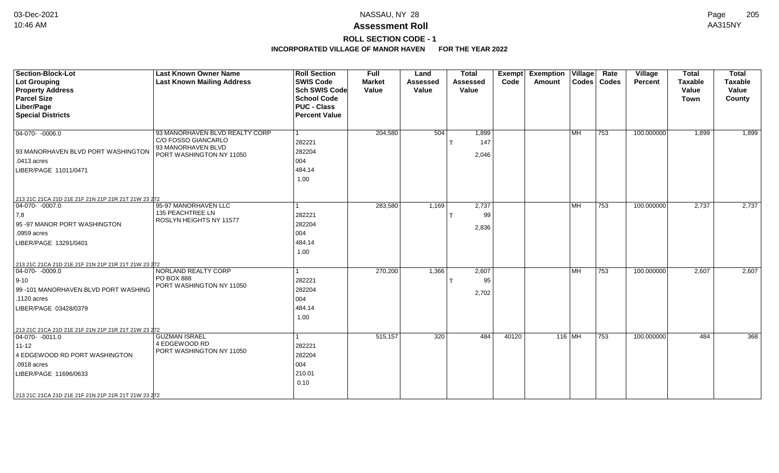# **ROLL SECTION CODE - 1**

| <b>Section-Block-Lot</b><br><b>Lot Grouping</b>     | <b>Last Known Owner Name</b><br><b>Last Known Mailing Address</b> | <b>Roll Section</b><br><b>SWIS Code</b> | <b>Full</b><br><b>Market</b> | Land<br><b>Assessed</b> | <b>Total</b><br><b>Assessed</b> | <b>Exempt</b><br>Code | <b>Exemption Village</b><br>Amount |                           | Rate<br>Codes   Codes | Village<br><b>Percent</b> | <b>Total</b><br><b>Taxable</b> | <b>Total</b><br><b>Taxable</b> |
|-----------------------------------------------------|-------------------------------------------------------------------|-----------------------------------------|------------------------------|-------------------------|---------------------------------|-----------------------|------------------------------------|---------------------------|-----------------------|---------------------------|--------------------------------|--------------------------------|
| <b>Property Address</b>                             |                                                                   | <b>Sch SWIS Code</b>                    | Value                        | Value                   | Value                           |                       |                                    |                           |                       |                           | Value                          | Value                          |
| <b>Parcel Size</b>                                  |                                                                   | <b>School Code</b>                      |                              |                         |                                 |                       |                                    |                           |                       |                           | <b>Town</b>                    | County                         |
| Liber/Page                                          |                                                                   | <b>PUC - Class</b>                      |                              |                         |                                 |                       |                                    |                           |                       |                           |                                |                                |
| <b>Special Districts</b>                            |                                                                   | <b>Percent Value</b>                    |                              |                         |                                 |                       |                                    |                           |                       |                           |                                |                                |
| $04-070 - 0006.0$                                   | 93 MANORHAVEN BLVD REALTY CORP                                    |                                         | 204,580                      | 504                     | 1,899                           |                       |                                    | <b>MH</b>                 | 753                   | 100.000000                | 1,899                          | 1,899                          |
|                                                     | C/O FOSSO GIANCARLO                                               | 282221                                  |                              |                         | 147                             |                       |                                    |                           |                       |                           |                                |                                |
| 93 MANORHAVEN BLVD PORT WASHINGTON                  | 93 MANORHAVEN BLVD<br>PORT WASHINGTON NY 11050                    | 282204                                  |                              |                         |                                 |                       |                                    |                           |                       |                           |                                |                                |
| .0413 acres                                         |                                                                   | 004                                     |                              |                         | 2,046                           |                       |                                    |                           |                       |                           |                                |                                |
| LIBER/PAGE 11011/0471                               |                                                                   | 484.14                                  |                              |                         |                                 |                       |                                    |                           |                       |                           |                                |                                |
|                                                     |                                                                   | 1.00                                    |                              |                         |                                 |                       |                                    |                           |                       |                           |                                |                                |
|                                                     |                                                                   |                                         |                              |                         |                                 |                       |                                    |                           |                       |                           |                                |                                |
| 213 21C 21CA 21D 21E 21F 21N 21P 21R 21T 21W 23 272 |                                                                   |                                         |                              |                         |                                 |                       |                                    |                           |                       |                           |                                |                                |
| 04-070- -0007.0                                     | 95-97 MANORHAVEN LLC<br>135 PEACHTREE LN                          |                                         | 283,580                      | 1,169                   | 2,737                           |                       |                                    | $\overline{\mathsf{M}}$ H | 753                   | 100.000000                | 2,737                          | 2,737                          |
| 7,8                                                 | ROSLYN HEIGHTS NY 11577                                           | 282221                                  |                              |                         | 99                              |                       |                                    |                           |                       |                           |                                |                                |
| 95 -97 MANOR PORT WASHINGTON                        |                                                                   | 282204                                  |                              |                         | 2,836                           |                       |                                    |                           |                       |                           |                                |                                |
| .0959 acres                                         |                                                                   | 004                                     |                              |                         |                                 |                       |                                    |                           |                       |                           |                                |                                |
| LIBER/PAGE 13291/0401                               |                                                                   | 484.14                                  |                              |                         |                                 |                       |                                    |                           |                       |                           |                                |                                |
|                                                     |                                                                   | 1.00                                    |                              |                         |                                 |                       |                                    |                           |                       |                           |                                |                                |
| 213 21C 21CA 21D 21E 21F 21N 21P 21R 21T 21W 23 272 |                                                                   |                                         |                              |                         |                                 |                       |                                    |                           |                       |                           |                                |                                |
| $ 04-070-0009.0$                                    | NORLAND REALTY CORP                                               |                                         | 270,200                      | 1,366                   | 2,607                           |                       |                                    | MH                        | 753                   | 100.000000                | 2,607                          | 2,607                          |
| $ 9 - 10 $                                          | <b>PO BOX 888</b>                                                 | 282221                                  |                              |                         | 95                              |                       |                                    |                           |                       |                           |                                |                                |
| 99 -101 MANORHAVEN BLVD PORT WASHING                | PORT WASHINGTON NY 11050                                          | 282204                                  |                              |                         |                                 |                       |                                    |                           |                       |                           |                                |                                |
| .1120 acres                                         |                                                                   | 004                                     |                              |                         | 2,702                           |                       |                                    |                           |                       |                           |                                |                                |
| LIBER/PAGE 03428/0379                               |                                                                   | 484.14                                  |                              |                         |                                 |                       |                                    |                           |                       |                           |                                |                                |
|                                                     |                                                                   | 1.00                                    |                              |                         |                                 |                       |                                    |                           |                       |                           |                                |                                |
| 213 21C 21CA 21D 21E 21F 21N 21P 21R 21T 21W 23 272 |                                                                   |                                         |                              |                         |                                 |                       |                                    |                           |                       |                           |                                |                                |
| $ 04-070-0011.0$                                    | <b>GUZMAN ISRAEL</b>                                              |                                         | 515,157                      | 320                     | 484                             | 40120                 |                                    | 116 MH                    | 753                   | 100.000000                | 484                            | 368                            |
| $11 - 12$                                           | 4 EDGEWOOD RD                                                     | 282221                                  |                              |                         |                                 |                       |                                    |                           |                       |                           |                                |                                |
| 4 EDGEWOOD RD PORT WASHINGTON                       | PORT WASHINGTON NY 11050                                          | 282204                                  |                              |                         |                                 |                       |                                    |                           |                       |                           |                                |                                |
| .0918 acres                                         |                                                                   | 004                                     |                              |                         |                                 |                       |                                    |                           |                       |                           |                                |                                |
| LIBER/PAGE 11696/0633                               |                                                                   | 210.01                                  |                              |                         |                                 |                       |                                    |                           |                       |                           |                                |                                |
|                                                     |                                                                   | 0.10                                    |                              |                         |                                 |                       |                                    |                           |                       |                           |                                |                                |
|                                                     |                                                                   |                                         |                              |                         |                                 |                       |                                    |                           |                       |                           |                                |                                |
| 213 21C 21CA 21D 21E 21F 21N 21P 21R 21T 21W 23 272 |                                                                   |                                         |                              |                         |                                 |                       |                                    |                           |                       |                           |                                |                                |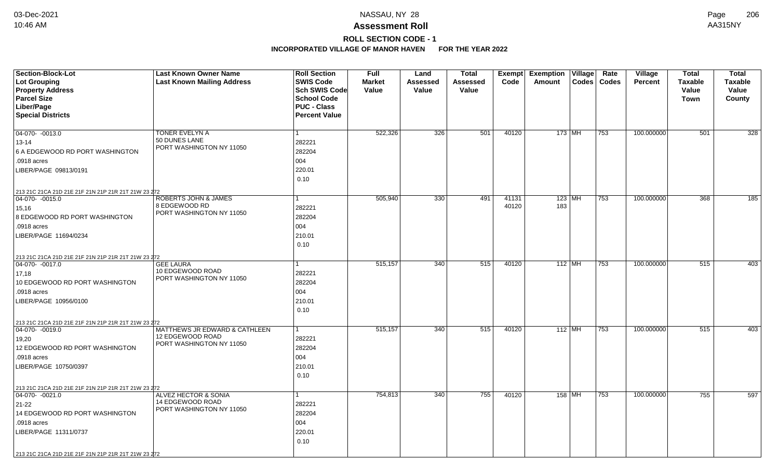# **ROLL SECTION CODE - 1**

| Section-Block-Lot                                   | <b>Last Known Owner Name</b>                        | <b>Roll Section</b>               | <b>Full</b>            | Land              | <b>Total</b>      | Exempt | <b>Exemption Village</b> | Rate          | Village        | <b>Total</b>   | <b>Total</b>            |
|-----------------------------------------------------|-----------------------------------------------------|-----------------------------------|------------------------|-------------------|-------------------|--------|--------------------------|---------------|----------------|----------------|-------------------------|
| <b>Lot Grouping</b>                                 | <b>Last Known Mailing Address</b>                   | <b>SWIS Code</b><br>Sch SWIS Code | <b>Market</b><br>Value | Assessed<br>Value | Assessed<br>Value | Code   | Amount                   | Codes   Codes | <b>Percent</b> | <b>Taxable</b> | <b>Taxable</b><br>Value |
| <b>Property Address</b><br><b>Parcel Size</b>       |                                                     | <b>School Code</b>                |                        |                   |                   |        |                          |               |                | Value<br>Town  | County                  |
| Liber/Page                                          |                                                     | <b>PUC - Class</b>                |                        |                   |                   |        |                          |               |                |                |                         |
| <b>Special Districts</b>                            |                                                     | <b>Percent Value</b>              |                        |                   |                   |        |                          |               |                |                |                         |
|                                                     |                                                     |                                   |                        |                   |                   |        |                          |               |                |                |                         |
| 04-070- -0013.0                                     | TONER EVELYN A                                      | $\mathbf{1}$                      | 522,326                | 326               | 501               | 40120  | 173   MH                 | 753           | 100.000000     | 501            | 328                     |
| 13-14                                               | 50 DUNES LANE<br>PORT WASHINGTON NY 11050           | 282221                            |                        |                   |                   |        |                          |               |                |                |                         |
| 6 A EDGEWOOD RD PORT WASHINGTON                     |                                                     | 282204                            |                        |                   |                   |        |                          |               |                |                |                         |
| .0918 acres                                         |                                                     | 004                               |                        |                   |                   |        |                          |               |                |                |                         |
| LIBER/PAGE 09813/0191                               |                                                     | 220.01                            |                        |                   |                   |        |                          |               |                |                |                         |
|                                                     |                                                     | 0.10                              |                        |                   |                   |        |                          |               |                |                |                         |
| 213 21C 21CA 21D 21E 21F 21N 21P 21R 21T 21W 23 272 |                                                     |                                   |                        |                   |                   |        |                          |               |                |                |                         |
| $ 04-070-0015.0$                                    | <b>ROBERTS JOHN &amp; JAMES</b>                     | $\mathbf{1}$                      | 505,940                | 330               | 491               | 41131  | $123$ MH                 | 753           | 100.000000     | 368            | 185                     |
| 15,16                                               | 8 EDGEWOOD RD<br>PORT WASHINGTON NY 11050           | 282221                            |                        |                   |                   | 40120  | 183                      |               |                |                |                         |
| 8 EDGEWOOD RD PORT WASHINGTON                       |                                                     | 282204                            |                        |                   |                   |        |                          |               |                |                |                         |
| .0918 acres                                         |                                                     | 004                               |                        |                   |                   |        |                          |               |                |                |                         |
| LIBER/PAGE 11694/0234                               |                                                     | 210.01                            |                        |                   |                   |        |                          |               |                |                |                         |
|                                                     |                                                     | 0.10                              |                        |                   |                   |        |                          |               |                |                |                         |
| 213 21C 21CA 21D 21E 21F 21N 21P 21R 21T 21W 23 272 |                                                     |                                   |                        |                   |                   |        |                          |               |                |                |                         |
| $ 04-070-0017.0$                                    | <b>GEE LAURA</b>                                    |                                   | 515,157                | 340               | 515               | 40120  | $112$ MH                 | 753           | 100.000000     | 515            | 403                     |
| 17,18                                               | 10 EDGEWOOD ROAD<br>PORT WASHINGTON NY 11050        | 282221                            |                        |                   |                   |        |                          |               |                |                |                         |
| 10 EDGEWOOD RD PORT WASHINGTON                      |                                                     | 282204                            |                        |                   |                   |        |                          |               |                |                |                         |
| .0918 acres                                         |                                                     | 004                               |                        |                   |                   |        |                          |               |                |                |                         |
| LIBER/PAGE 10956/0100                               |                                                     | 210.01                            |                        |                   |                   |        |                          |               |                |                |                         |
|                                                     |                                                     | 0.10                              |                        |                   |                   |        |                          |               |                |                |                         |
| 213 21C 21CA 21D 21E 21F 21N 21P 21R 21T 21W 23 272 |                                                     |                                   |                        |                   |                   |        |                          |               |                |                |                         |
| $ 04-070-0019.0$                                    | MATTHEWS JR EDWARD & CATHLEEN<br>12 EDGEWOOD ROAD   | $\mathbf{1}$                      | 515,157                | 340               | 515               | 40120  | $112$ MH                 | 753           | 100.000000     | 515            | 403                     |
| 19,20                                               | PORT WASHINGTON NY 11050                            | 282221                            |                        |                   |                   |        |                          |               |                |                |                         |
| 12 EDGEWOOD RD PORT WASHINGTON                      |                                                     | 282204                            |                        |                   |                   |        |                          |               |                |                |                         |
| .0918 acres                                         |                                                     | 004                               |                        |                   |                   |        |                          |               |                |                |                         |
| LIBER/PAGE 10750/0397                               |                                                     | 210.01                            |                        |                   |                   |        |                          |               |                |                |                         |
|                                                     |                                                     | 0.10                              |                        |                   |                   |        |                          |               |                |                |                         |
| 213 21C 21CA 21D 21E 21F 21N 21P 21R 21T 21W 23 272 |                                                     |                                   |                        |                   |                   |        |                          |               |                |                |                         |
| $ 04-070-0021.0$                                    | <b>ALVEZ HECTOR &amp; SONIA</b><br>14 EDGEWOOD ROAD | $\mathbf{1}$                      | 754,813                | 340               | 755               | 40120  | 158 MH                   | 753           | 100.000000     | 755            | 597                     |
| 21-22                                               | PORT WASHINGTON NY 11050                            | 282221                            |                        |                   |                   |        |                          |               |                |                |                         |
| 14 EDGEWOOD RD PORT WASHINGTON                      |                                                     | 282204                            |                        |                   |                   |        |                          |               |                |                |                         |
| .0918 acres                                         |                                                     | 004                               |                        |                   |                   |        |                          |               |                |                |                         |
| LIBER/PAGE 11311/0737                               |                                                     | 220.01                            |                        |                   |                   |        |                          |               |                |                |                         |
|                                                     |                                                     | 0.10                              |                        |                   |                   |        |                          |               |                |                |                         |
| 213 21C 21CA 21D 21E 21F 21N 21P 21R 21T 21W 23 272 |                                                     |                                   |                        |                   |                   |        |                          |               |                |                |                         |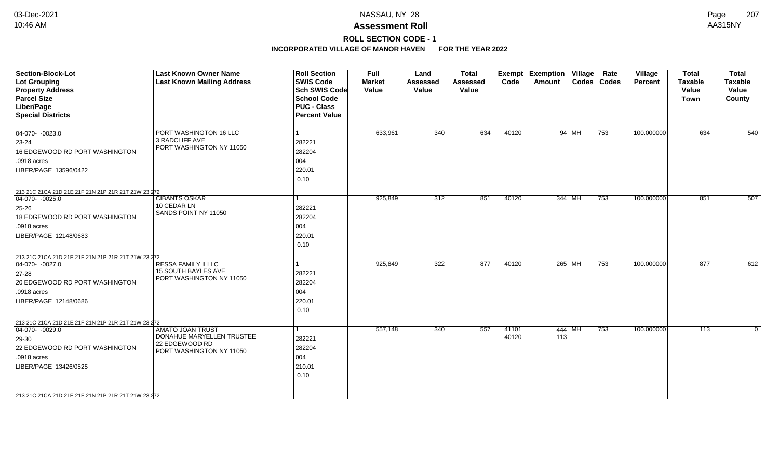# **ROLL SECTION CODE - 1**

| <b>Section-Block-Lot</b><br><b>Lot Grouping</b><br><b>Property Address</b><br><b>Parcel Size</b><br>Liber/Page<br><b>Special Districts</b>                                                                                 | <b>Last Known Owner Name</b><br><b>Last Known Mailing Address</b>                                  | <b>Roll Section</b><br><b>SWIS Code</b><br><b>Sch SWIS Code</b><br><b>School Code</b><br><b>PUC - Class</b><br><b>Percent Value</b> | <b>Full</b><br><b>Market</b><br>Value | Land<br><b>Assessed</b><br>Value | <b>Total</b><br><b>Assessed</b><br>Value | <b>Exempt</b><br>Code | <b>Exemption Village</b><br>Amount |       | Rate<br>Codes   Codes | Village<br>Percent | <b>Total</b><br><b>Taxable</b><br>Value<br><b>Town</b> | <b>Total</b><br>Taxable<br>Value<br>County |
|----------------------------------------------------------------------------------------------------------------------------------------------------------------------------------------------------------------------------|----------------------------------------------------------------------------------------------------|-------------------------------------------------------------------------------------------------------------------------------------|---------------------------------------|----------------------------------|------------------------------------------|-----------------------|------------------------------------|-------|-----------------------|--------------------|--------------------------------------------------------|--------------------------------------------|
| $04-070-0023.0$<br>23-24<br>16 EDGEWOOD RD PORT WASHINGTON<br>.0918 acres<br>LIBER/PAGE 13596/0422                                                                                                                         | PORT WASHINGTON 16 LLC<br>3 RADCLIFF AVE<br>PORT WASHINGTON NY 11050                               | 1<br>282221<br>282204<br>004<br>220.01<br>0.10                                                                                      | 633,961                               | 340                              | 634                                      | 40120                 |                                    | 94 MH | 753                   | 100.000000         | 634                                                    | 540                                        |
| 213 21C 21CA 21D 21E 21F 21N 21P 21R 21T 21W 23 272<br>$04-070 - 0025.0$<br>$25 - 26$<br>18 EDGEWOOD RD PORT WASHINGTON<br>.0918 acres<br>LIBER/PAGE 12148/0683                                                            | <b>CIBANTS OSKAR</b><br>10 CEDAR LN<br>SANDS POINT NY 11050                                        | 1<br>282221<br>282204<br>004<br>220.01<br>0.10                                                                                      | 925,849                               | 312                              | 851                                      | 40120                 | 344 MH                             |       | 753                   | 100.000000         | 851                                                    | 507                                        |
| 213 21C 21CA 21D 21E 21F 21N 21P 21R 21T 21W 23 272<br>$\boxed{04-070 - 0027.0}$<br>27-28<br>20 EDGEWOOD RD PORT WASHINGTON<br>.0918 acres<br>LIBER/PAGE 12148/0686<br>213 21C 21CA 21D 21E 21F 21N 21P 21R 21T 21W 23 272 | <b>RESSA FAMILY II LLC</b><br>15 SOUTH BAYLES AVE<br>PORT WASHINGTON NY 11050                      | 282221<br>282204<br>004<br>220.01<br>0.10                                                                                           | 925,849                               | 322                              | 877                                      | 40120                 | 265 MH                             |       | 753                   | 100.000000         | 877                                                    | 612                                        |
| $\boxed{04-070 - 0029.0}$<br>29-30<br>22 EDGEWOOD RD PORT WASHINGTON<br>.0918 acres<br>LIBER/PAGE 13426/0525<br>213 21C 21CA 21D 21E 21F 21N 21P 21R 21T 21W 23 272                                                        | <b>AMATO JOAN TRUST</b><br>DONAHUE MARYELLEN TRUSTEE<br>22 EDGEWOOD RD<br>PORT WASHINGTON NY 11050 | 282221<br>282204<br>004<br>210.01<br>0.10                                                                                           | 557,148                               | 340                              | 557                                      | 41101<br>40120        | $444$ MH<br>113                    |       | 753                   | 100.000000         | $\overline{113}$                                       | $\Omega$                                   |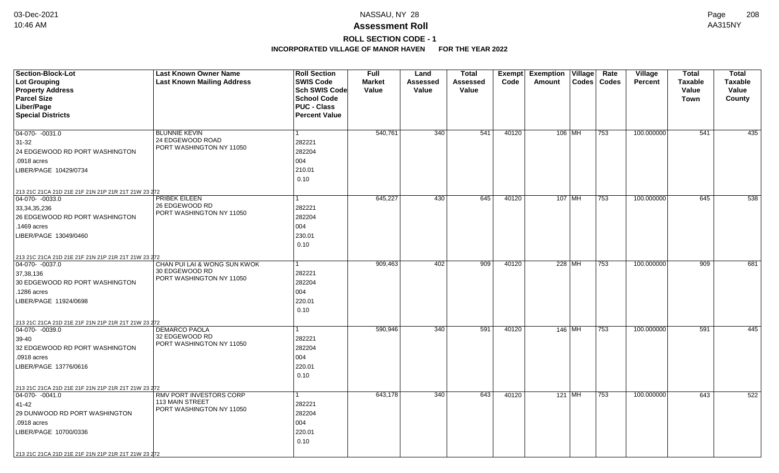# **ROLL SECTION CODE - 1**

| <b>Section-Block-Lot</b>                            | <b>Last Known Owner Name</b>               | <b>Roll Section</b>  | <b>Full</b>   | Land            | <b>Total</b>    | Exempt | Exemption   Village | Rate          | Village        | <b>Total</b>   | <b>Total</b>   |
|-----------------------------------------------------|--------------------------------------------|----------------------|---------------|-----------------|-----------------|--------|---------------------|---------------|----------------|----------------|----------------|
| <b>Lot Grouping</b>                                 | <b>Last Known Mailing Address</b>          | <b>SWIS Code</b>     | <b>Market</b> | <b>Assessed</b> | <b>Assessed</b> | Code   | Amount              | Codes   Codes | <b>Percent</b> | <b>Taxable</b> | <b>Taxable</b> |
| <b>Property Address</b>                             |                                            | <b>Sch SWIS Code</b> | Value         | Value           | Value           |        |                     |               |                | Value          | Value          |
| <b>Parcel Size</b>                                  |                                            | <b>School Code</b>   |               |                 |                 |        |                     |               |                | Town           | County         |
| Liber/Page                                          |                                            | <b>PUC - Class</b>   |               |                 |                 |        |                     |               |                |                |                |
| <b>Special Districts</b>                            |                                            | <b>Percent Value</b> |               |                 |                 |        |                     |               |                |                |                |
|                                                     |                                            |                      |               |                 |                 |        |                     |               |                |                |                |
| 04-070- -0031.0                                     | <b>BLUNNIE KEVIN</b><br>24 EDGEWOOD ROAD   |                      | 540,761       | 340             | 541             | 40120  | 106 MH              | 753           | 100.000000     | 541            | 435            |
| 31-32                                               | PORT WASHINGTON NY 11050                   | 282221               |               |                 |                 |        |                     |               |                |                |                |
| 24 EDGEWOOD RD PORT WASHINGTON                      |                                            | 282204               |               |                 |                 |        |                     |               |                |                |                |
| .0918 acres                                         |                                            | 004                  |               |                 |                 |        |                     |               |                |                |                |
| LIBER/PAGE 10429/0734                               |                                            | 210.01               |               |                 |                 |        |                     |               |                |                |                |
|                                                     |                                            | 0.10                 |               |                 |                 |        |                     |               |                |                |                |
| 213 21C 21CA 21D 21E 21F 21N 21P 21R 21T 21W 23 272 |                                            |                      |               |                 |                 |        |                     |               |                |                |                |
| $\boxed{04-070 - 0033.0}$                           | PRIBEK EILEEN                              | 1                    | 645,227       | 430             | 645             | 40120  | $107$ MH            | 753           | 100.000000     | 645            | 538            |
| 33, 34, 35, 236                                     | 26 EDGEWOOD RD<br>PORT WASHINGTON NY 11050 | 282221               |               |                 |                 |        |                     |               |                |                |                |
| 26 EDGEWOOD RD PORT WASHINGTON                      |                                            | 282204               |               |                 |                 |        |                     |               |                |                |                |
| .1469 acres                                         |                                            | 004                  |               |                 |                 |        |                     |               |                |                |                |
| LIBER/PAGE 13049/0460                               |                                            | 230.01               |               |                 |                 |        |                     |               |                |                |                |
|                                                     |                                            | 0.10                 |               |                 |                 |        |                     |               |                |                |                |
| 213 21C 21CA 21D 21E 21F 21N 21P 21R 21T 21W 23 272 |                                            |                      |               |                 |                 |        |                     |               |                |                |                |
| $ 04-070-0037.0$                                    | CHAN PUI LAI & WONG SUN KWOK               |                      | 909,463       | 402             | 909             | 40120  | 228 MH              | 753           | 100.000000     | 909            | 681            |
| 37,38,136                                           | 30 EDGEWOOD RD                             | 282221               |               |                 |                 |        |                     |               |                |                |                |
| 30 EDGEWOOD RD PORT WASHINGTON                      | PORT WASHINGTON NY 11050                   | 282204               |               |                 |                 |        |                     |               |                |                |                |
| 1286 acres                                          |                                            | 004                  |               |                 |                 |        |                     |               |                |                |                |
| LIBER/PAGE 11924/0698                               |                                            | 220.01               |               |                 |                 |        |                     |               |                |                |                |
|                                                     |                                            | 0.10                 |               |                 |                 |        |                     |               |                |                |                |
| 213 21C 21CA 21D 21E 21F 21N 21P 21R 21T 21W 23 272 |                                            |                      |               |                 |                 |        |                     |               |                |                |                |
| $ 04-070-0039.0$                                    | <b>DEMARCO PAOLA</b>                       |                      | 590,946       | 340             | 591             | 40120  | $146$ MH            | 753           | 100.000000     | 591            | 445            |
| 39-40                                               | 32 EDGEWOOD RD                             | 282221               |               |                 |                 |        |                     |               |                |                |                |
| 32 EDGEWOOD RD PORT WASHINGTON                      | PORT WASHINGTON NY 11050                   | 282204               |               |                 |                 |        |                     |               |                |                |                |
| .0918 acres                                         |                                            | 004                  |               |                 |                 |        |                     |               |                |                |                |
| LIBER/PAGE 13776/0616                               |                                            | 220.01               |               |                 |                 |        |                     |               |                |                |                |
|                                                     |                                            | 0.10                 |               |                 |                 |        |                     |               |                |                |                |
| 213 21C 21CA 21D 21E 21F 21N 21P 21R 21T 21W 23 272 |                                            |                      |               |                 |                 |        |                     |               |                |                |                |
| $\boxed{04-070 - 0041.0}$                           | RMV PORT INVESTORS CORP                    |                      | 643,178       | 340             | 643             | 40120  | $121$ MH            | 753           | 100.000000     | 643            | 522            |
| 41-42                                               | <b>113 MAIN STREET</b>                     | 282221               |               |                 |                 |        |                     |               |                |                |                |
| 29 DUNWOOD RD PORT WASHINGTON                       | PORT WASHINGTON NY 11050                   | 282204               |               |                 |                 |        |                     |               |                |                |                |
| .0918 acres                                         |                                            | 004                  |               |                 |                 |        |                     |               |                |                |                |
| LIBER/PAGE 10700/0336                               |                                            | 220.01               |               |                 |                 |        |                     |               |                |                |                |
|                                                     |                                            | 0.10                 |               |                 |                 |        |                     |               |                |                |                |
| 213 21C 21CA 21D 21E 21F 21N 21P 21R 21T 21W 23 272 |                                            |                      |               |                 |                 |        |                     |               |                |                |                |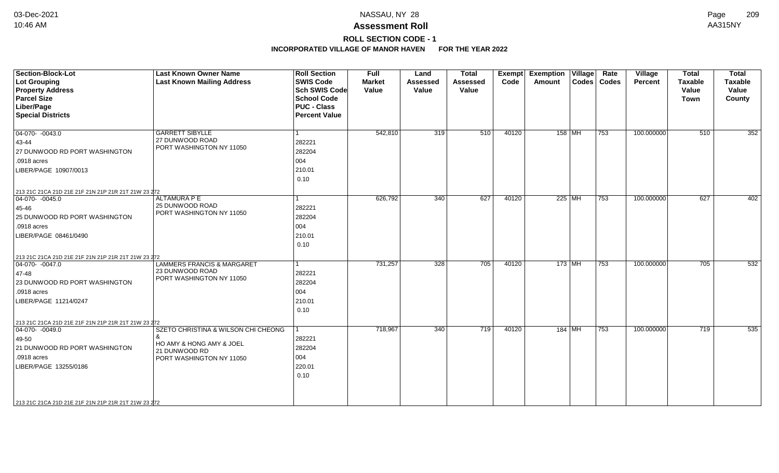# **ROLL SECTION CODE - 1**

| Section-Block-Lot<br><b>Lot Grouping</b><br><b>Property Address</b><br><b>Parcel Size</b><br>Liber/Page<br><b>Special Districts</b>                                                                                       | <b>Last Known Owner Name</b><br><b>Last Known Mailing Address</b>                                            | <b>Roll Section</b><br><b>SWIS Code</b><br><b>Sch SWIS Code</b><br><b>School Code</b><br><b>PUC - Class</b><br><b>Percent Value</b> | <b>Full</b><br><b>Market</b><br>Value | Land<br><b>Assessed</b><br>Value | <b>Total</b><br><b>Assessed</b><br>Value | Exempt<br>Code | <b>Exemption Village</b><br>Amount | Rate<br>Codes   Codes | Village<br><b>Percent</b> | <b>Total</b><br><b>Taxable</b><br>Value<br><b>Town</b> | <b>Total</b><br><b>Taxable</b><br>Value<br>County |
|---------------------------------------------------------------------------------------------------------------------------------------------------------------------------------------------------------------------------|--------------------------------------------------------------------------------------------------------------|-------------------------------------------------------------------------------------------------------------------------------------|---------------------------------------|----------------------------------|------------------------------------------|----------------|------------------------------------|-----------------------|---------------------------|--------------------------------------------------------|---------------------------------------------------|
| 04-070- -0043.0<br>43-44<br>27 DUNWOOD RD PORT WASHINGTON<br>.0918 acres<br>LIBER/PAGE 10907/0013                                                                                                                         | <b>GARRETT SIBYLLE</b><br>27 DUNWOOD ROAD<br>PORT WASHINGTON NY 11050                                        | 282221<br>282204<br>004<br>210.01<br>0.10                                                                                           | 542,810                               | 319                              | 510                                      | 40120          | 158   MH                           | 753                   | 100.000000                | 510                                                    | 352                                               |
| 213 21C 21CA 21D 21E 21F 21N 21P 21R 21T 21W 23 272<br>$\boxed{04-070 - 0045.0}$<br>45-46<br>25 DUNWOOD RD PORT WASHINGTON<br>.0918 acres<br>LIBER/PAGE 08461/0490                                                        | <b>ALTAMURA P E</b><br>25 DUNWOOD ROAD<br>PORT WASHINGTON NY 11050                                           | 282221<br>282204<br>004<br>210.01<br>0.10                                                                                           | 626,792                               | 340                              | 627                                      | 40120          | 225 MH                             | 753                   | 100.000000                | 627                                                    | 402                                               |
| 213 21C 21CA 21D 21E 21F 21N 21P 21R 21T 21W 23 272<br>$ 04-070-0047.0$<br>47-48<br>23 DUNWOOD RD PORT WASHINGTON<br>.0918 acres<br>LIBER/PAGE 11214/0247                                                                 | <b>LAMMERS FRANCIS &amp; MARGARET</b><br>23 DUNWOOD ROAD<br>PORT WASHINGTON NY 11050                         | 282221<br>282204<br>004<br>210.01<br>0.10                                                                                           | 731,257                               | 328                              | 705                                      | 40120          | $173$ MH                           | 753                   | 100.000000                | 705                                                    | 532                                               |
| 213 21C 21CA 21D 21E 21F 21N 21P 21R 21T 21W 23 272<br>$\boxed{04-070 - 0049.0}$<br>49-50<br>21 DUNWOOD RD PORT WASHINGTON<br>.0918 acres<br>LIBER/PAGE 13255/0186<br>213 21C 21CA 21D 21E 21F 21N 21P 21R 21T 21W 23 272 | SZETO CHRISTINA & WILSON CHI CHEONG<br>HO AMY & HONG AMY & JOEL<br>21 DUNWOOD RD<br>PORT WASHINGTON NY 11050 | 282221<br>282204<br>004<br>220.01<br>0.10                                                                                           | 718,967                               | 340                              | 719                                      | 40120          | $184$ MH                           | 753                   | 100.000000                | 719                                                    | 535                                               |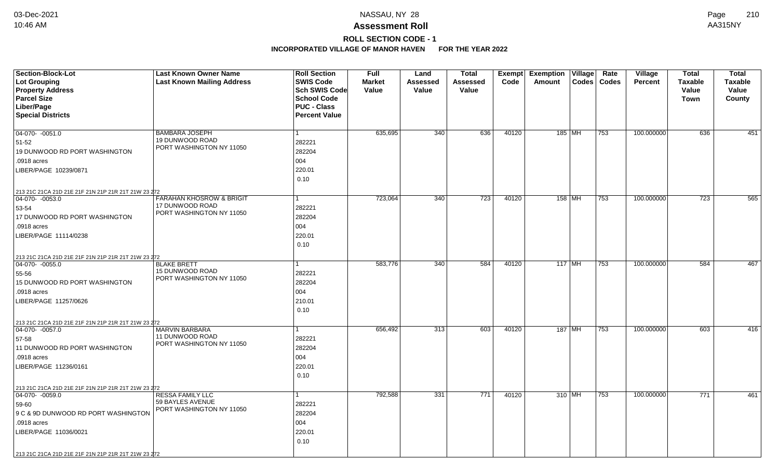# **ROLL SECTION CODE - 1**

| <b>Section-Block-Lot</b>                            | <b>Last Known Owner Name</b>                | <b>Roll Section</b>  | <b>Full</b>   | Land            | <b>Total</b>     |       | <b>Exempt Exemption Village</b> | Rate  | Village        | <b>Total</b>   | <b>Total</b>   |
|-----------------------------------------------------|---------------------------------------------|----------------------|---------------|-----------------|------------------|-------|---------------------------------|-------|----------------|----------------|----------------|
| <b>Lot Grouping</b>                                 | <b>Last Known Mailing Address</b>           | <b>SWIS Code</b>     | <b>Market</b> | <b>Assessed</b> | Assessed         | Code  | <b>Codes</b><br>Amount          | Codes | <b>Percent</b> | <b>Taxable</b> | <b>Taxable</b> |
| <b>Property Address</b>                             |                                             | <b>Sch SWIS Code</b> | Value         | <b>Value</b>    | Value            |       |                                 |       |                | Value          | Value          |
| <b>Parcel Size</b>                                  |                                             | <b>School Code</b>   |               |                 |                  |       |                                 |       |                | <b>Town</b>    | County         |
| Liber/Page                                          |                                             | <b>PUC - Class</b>   |               |                 |                  |       |                                 |       |                |                |                |
| <b>Special Districts</b>                            |                                             | <b>Percent Value</b> |               |                 |                  |       |                                 |       |                |                |                |
|                                                     |                                             |                      |               |                 |                  |       |                                 |       |                |                |                |
| 04-070- -0051.0                                     | <b>BAMBARA JOSEPH</b><br>19 DUNWOOD ROAD    | $\mathbf{1}$         | 635,695       | 340             | 636              | 40120 | 185   MH                        | 753   | 100.000000     | 636            | 451            |
| $51 - 52$                                           | PORT WASHINGTON NY 11050                    | 282221               |               |                 |                  |       |                                 |       |                |                |                |
| <b>19 DUNWOOD RD PORT WASHINGTON</b>                |                                             | 282204               |               |                 |                  |       |                                 |       |                |                |                |
| .0918 acres                                         |                                             | 004                  |               |                 |                  |       |                                 |       |                |                |                |
| LIBER/PAGE 10239/0871                               |                                             | 220.01               |               |                 |                  |       |                                 |       |                |                |                |
|                                                     |                                             | 0.10                 |               |                 |                  |       |                                 |       |                |                |                |
| 213 21C 21CA 21D 21E 21F 21N 21P 21R 21T 21W 23 272 |                                             |                      |               |                 |                  |       |                                 |       |                |                |                |
| $ 04-070-0053.0$                                    | <b>FARAHAN KHOSROW &amp; BRIGIT</b>         | $\mathbf{1}$         | 723,064       | 340             | $\overline{723}$ | 40120 | 158 MH                          | 753   | 100.000000     | 723            | 565            |
| 53-54                                               | 17 DUNWOOD ROAD<br>PORT WASHINGTON NY 11050 | 282221               |               |                 |                  |       |                                 |       |                |                |                |
| 17 DUNWOOD RD PORT WASHINGTON                       |                                             | 282204               |               |                 |                  |       |                                 |       |                |                |                |
| .0918 acres                                         |                                             | 004                  |               |                 |                  |       |                                 |       |                |                |                |
| LIBER/PAGE 11114/0238                               |                                             | 220.01               |               |                 |                  |       |                                 |       |                |                |                |
|                                                     |                                             | 0.10                 |               |                 |                  |       |                                 |       |                |                |                |
| 213 21C 21CA 21D 21E 21F 21N 21P 21R 21T 21W 23 272 |                                             |                      |               |                 |                  |       |                                 |       |                |                |                |
| 04-070- -0055.0                                     | <b>BLAKE BRETT</b>                          |                      | 583,776       | 340             | 584              | 40120 | $117$ MH                        | 753   | 100.000000     | 584            | 467            |
| 55-56                                               | 15 DUNWOOD ROAD                             | 282221               |               |                 |                  |       |                                 |       |                |                |                |
| 15 DUNWOOD RD PORT WASHINGTON                       | PORT WASHINGTON NY 11050                    | 282204               |               |                 |                  |       |                                 |       |                |                |                |
| .0918 acres                                         |                                             | 004                  |               |                 |                  |       |                                 |       |                |                |                |
| LIBER/PAGE 11257/0626                               |                                             | 210.01               |               |                 |                  |       |                                 |       |                |                |                |
|                                                     |                                             | 0.10                 |               |                 |                  |       |                                 |       |                |                |                |
| 213 21C 21CA 21D 21E 21F 21N 21P 21R 21T 21W 23 272 |                                             |                      |               |                 |                  |       |                                 |       |                |                |                |
| $ 04-070-0057.0$                                    | MARVIN BARBARA                              | 1                    | 656,492       | 313             | 603              | 40120 | 187   MH                        | 753   | 100.000000     | 603            | 416            |
| 57-58                                               | 11 DUNWOOD ROAD                             | 282221               |               |                 |                  |       |                                 |       |                |                |                |
| 11 DUNWOOD RD PORT WASHINGTON                       | PORT WASHINGTON NY 11050                    | 282204               |               |                 |                  |       |                                 |       |                |                |                |
| .0918 acres                                         |                                             | 004                  |               |                 |                  |       |                                 |       |                |                |                |
| LIBER/PAGE 11236/0161                               |                                             | 220.01               |               |                 |                  |       |                                 |       |                |                |                |
|                                                     |                                             | 0.10                 |               |                 |                  |       |                                 |       |                |                |                |
| 213 21C 21CA 21D 21E 21F 21N 21P 21R 21T 21W 23 272 |                                             |                      |               |                 |                  |       |                                 |       |                |                |                |
| $\boxed{04-070 - 0059.0}$                           | RESSA FAMILY LLC                            | $\mathbf{1}$         | 792,588       | 331             | 771              | 40120 | 310 MH                          | 753   | 100.000000     | 771            | 461            |
| 59-60                                               | 59 BAYLES AVENUE                            | 282221               |               |                 |                  |       |                                 |       |                |                |                |
| 9 C & 9D DUNWOOD RD PORT WASHINGTON                 | PORT WASHINGTON NY 11050                    | 282204               |               |                 |                  |       |                                 |       |                |                |                |
| .0918 acres                                         |                                             | 004                  |               |                 |                  |       |                                 |       |                |                |                |
| LIBER/PAGE 11036/0021                               |                                             | 220.01               |               |                 |                  |       |                                 |       |                |                |                |
|                                                     |                                             | 0.10                 |               |                 |                  |       |                                 |       |                |                |                |
|                                                     |                                             |                      |               |                 |                  |       |                                 |       |                |                |                |
| 213 21C 21CA 21D 21E 21F 21N 21P 21R 21T 21W 23 272 |                                             |                      |               |                 |                  |       |                                 |       |                |                |                |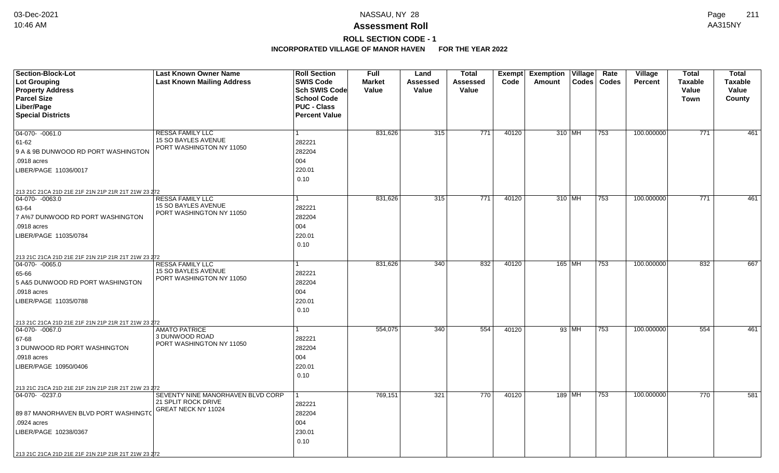# **ROLL SECTION CODE - 1**

| <b>Section-Block-Lot</b>                                               | <b>Last Known Owner Name</b>                    | <b>Roll Section</b>  | <b>Full</b>   | Land            | <b>Total</b>     |       | Exempt Exemption Village |       | Rate          | Village        | Total          | <b>Total</b>   |
|------------------------------------------------------------------------|-------------------------------------------------|----------------------|---------------|-----------------|------------------|-------|--------------------------|-------|---------------|----------------|----------------|----------------|
| <b>Lot Grouping</b>                                                    | <b>Last Known Mailing Address</b>               | <b>SWIS Code</b>     | <b>Market</b> | <b>Assessed</b> | Assessed         | Code  | Amount                   |       | Codes   Codes | <b>Percent</b> | <b>Taxable</b> | <b>Taxable</b> |
| <b>Property Address</b>                                                |                                                 | Sch SWIS Code        | Value         | <b>Value</b>    | Value            |       |                          |       |               |                | Value          | Value          |
| <b>Parcel Size</b>                                                     |                                                 | <b>School Code</b>   |               |                 |                  |       |                          |       |               |                | Town           | County         |
| Liber/Page                                                             |                                                 | <b>PUC - Class</b>   |               |                 |                  |       |                          |       |               |                |                |                |
| <b>Special Districts</b>                                               |                                                 | <b>Percent Value</b> |               |                 |                  |       |                          |       |               |                |                |                |
|                                                                        |                                                 |                      |               |                 |                  |       |                          |       |               |                |                |                |
| $04-070-0061.0$                                                        | <b>RESSA FAMILY LLC</b><br>15 SO BAYLES AVENUE  |                      | 831,626       | 315             | $\overline{771}$ | 40120 | 310 MH                   |       | 753           | 100.000000     | 771            | 461            |
| 61-62                                                                  | PORT WASHINGTON NY 11050                        | 282221               |               |                 |                  |       |                          |       |               |                |                |                |
| 9 A & 9B DUNWOOD RD PORT WASHINGTON                                    |                                                 | 282204               |               |                 |                  |       |                          |       |               |                |                |                |
| .0918 acres                                                            |                                                 | 004                  |               |                 |                  |       |                          |       |               |                |                |                |
| LIBER/PAGE 11036/0017                                                  |                                                 | 220.01               |               |                 |                  |       |                          |       |               |                |                |                |
|                                                                        |                                                 | 0.10                 |               |                 |                  |       |                          |       |               |                |                |                |
| 213 21C 21CA 21D 21E 21F 21N 21P 21R 21T 21W 23 272                    |                                                 |                      |               |                 |                  |       |                          |       |               |                |                |                |
| 04-070- -0063.0                                                        | <b>RESSA FAMILY LLC</b>                         |                      | 831,626       | 315             | 771              | 40120 | $310$ MH                 |       | 753           | 100.000000     | 771            | 461            |
| 63-64                                                                  | 15 SO BAYLES AVENUE<br>PORT WASHINGTON NY 11050 | 282221               |               |                 |                  |       |                          |       |               |                |                |                |
| 7 A%7 DUNWOOD RD PORT WASHINGTON                                       |                                                 | 282204               |               |                 |                  |       |                          |       |               |                |                |                |
| .0918 acres                                                            |                                                 | 004                  |               |                 |                  |       |                          |       |               |                |                |                |
| LIBER/PAGE 11035/0784                                                  |                                                 | 220.01               |               |                 |                  |       |                          |       |               |                |                |                |
|                                                                        |                                                 | 0.10                 |               |                 |                  |       |                          |       |               |                |                |                |
| 213 21C 21CA 21D 21E 21F 21N 21P 21R 21T 21W 23 272                    |                                                 |                      |               |                 |                  |       |                          |       |               |                |                |                |
| $ 04-070-0065.0$                                                       | <b>RESSA FAMILY LLC</b>                         |                      | 831,626       | 340             | 832              | 40120 | $165$ MH                 |       | 753           | 100.000000     | 832            | 667            |
| 65-66                                                                  | 15 SO BAYLES AVENUE                             | 282221               |               |                 |                  |       |                          |       |               |                |                |                |
| 5 A&5 DUNWOOD RD PORT WASHINGTON                                       | PORT WASHINGTON NY 11050                        | 282204               |               |                 |                  |       |                          |       |               |                |                |                |
| .0918 acres                                                            |                                                 | 004                  |               |                 |                  |       |                          |       |               |                |                |                |
| LIBER/PAGE 11035/0788                                                  |                                                 | 220.01               |               |                 |                  |       |                          |       |               |                |                |                |
|                                                                        |                                                 | 0.10                 |               |                 |                  |       |                          |       |               |                |                |                |
|                                                                        |                                                 |                      |               |                 |                  |       |                          |       |               |                |                |                |
| 213 21C 21CA 21D 21E 21F 21N 21P 21R 21T 21W 23 272<br>$04-070-0067.0$ | <b>AMATO PATRICE</b>                            |                      | 554,075       | 340             | 554              | 40120 |                          | 93 MH | 753           | 100.000000     | 554            | 461            |
| 67-68                                                                  | 3 DUNWOOD ROAD                                  | 282221               |               |                 |                  |       |                          |       |               |                |                |                |
| 3 DUNWOOD RD PORT WASHINGTON                                           | PORT WASHINGTON NY 11050                        | 282204               |               |                 |                  |       |                          |       |               |                |                |                |
| .0918 acres                                                            |                                                 | 004                  |               |                 |                  |       |                          |       |               |                |                |                |
| LIBER/PAGE 10950/0406                                                  |                                                 | 220.01               |               |                 |                  |       |                          |       |               |                |                |                |
|                                                                        |                                                 | 0.10                 |               |                 |                  |       |                          |       |               |                |                |                |
|                                                                        |                                                 |                      |               |                 |                  |       |                          |       |               |                |                |                |
| 213 21C 21CA 21D 21E 21F 21N 21P 21R 21T 21W 23 272<br>04-070- -0237.0 | SEVENTY NINE MANORHAVEN BLVD CORP               |                      | 769,151       | 321             | 770              | 40120 | 189 MH                   |       | 753           | 100.000000     | 770            | 581            |
|                                                                        | 21 SPLIT ROCK DRIVE                             | 282221               |               |                 |                  |       |                          |       |               |                |                |                |
|                                                                        | GREAT NECK NY 11024                             |                      |               |                 |                  |       |                          |       |               |                |                |                |
| 89 87 MANORHAVEN BLVD PORT WASHINGTO                                   |                                                 | 282204               |               |                 |                  |       |                          |       |               |                |                |                |
| .0924 acres                                                            |                                                 | 004                  |               |                 |                  |       |                          |       |               |                |                |                |
| LIBER/PAGE 10238/0367                                                  |                                                 | 230.01               |               |                 |                  |       |                          |       |               |                |                |                |
|                                                                        |                                                 | 0.10                 |               |                 |                  |       |                          |       |               |                |                |                |
| 213 21C 21CA 21D 21E 21F 21N 21P 21R 21T 21W 23 272                    |                                                 |                      |               |                 |                  |       |                          |       |               |                |                |                |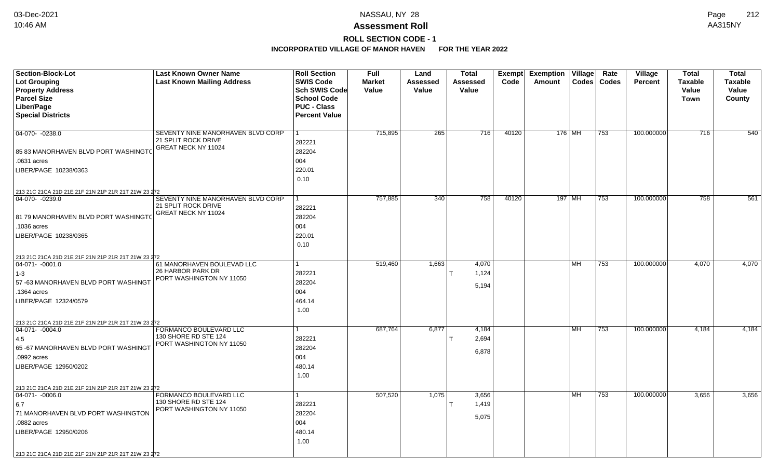# **ROLL SECTION CODE - 1**

| <b>Section-Block-Lot</b>                                                | <b>Last Known Owner Name</b>                     | <b>Roll Section</b>  | Full          | Land     | <b>Total</b>    | Exempt | <b>Exemption</b> | Village   | Rate             | <b>Village</b> | <b>Total</b>     | <b>Total</b>   |
|-------------------------------------------------------------------------|--------------------------------------------------|----------------------|---------------|----------|-----------------|--------|------------------|-----------|------------------|----------------|------------------|----------------|
| Lot Grouping                                                            | <b>Last Known Mailing Address</b>                | <b>SWIS Code</b>     | <b>Market</b> | Assessed | <b>Assessed</b> | Code   | Amount           |           | Codes   Codes    | <b>Percent</b> | <b>Taxable</b>   | <b>Taxable</b> |
| <b>Property Address</b>                                                 |                                                  | <b>Sch SWIS Code</b> | Value         | Value    | Value           |        |                  |           |                  |                | Value            | Value          |
| <b>Parcel Size</b>                                                      |                                                  | <b>School Code</b>   |               |          |                 |        |                  |           |                  |                | Town             | County         |
| Liber/Page                                                              |                                                  | <b>PUC - Class</b>   |               |          |                 |        |                  |           |                  |                |                  |                |
| <b>Special Districts</b>                                                |                                                  | <b>Percent Value</b> |               |          |                 |        |                  |           |                  |                |                  |                |
|                                                                         |                                                  |                      |               |          |                 |        |                  |           |                  |                |                  |                |
| 04-070- -0238.0                                                         | SEVENTY NINE MANORHAVEN BLVD CORP                | $\mathbf{1}$         | 715,895       | 265      | 716             | 40120  | 176 MH           |           | 753              | 100.000000     | $\overline{716}$ | 540            |
|                                                                         | 21 SPLIT ROCK DRIVE<br>GREAT NECK NY 11024       | 282221               |               |          |                 |        |                  |           |                  |                |                  |                |
| 85 83 MANORHAVEN BLVD PORT WASHINGTO                                    |                                                  | 282204               |               |          |                 |        |                  |           |                  |                |                  |                |
| .0631 acres                                                             |                                                  | 004                  |               |          |                 |        |                  |           |                  |                |                  |                |
| LIBER/PAGE 10238/0363                                                   |                                                  | 220.01               |               |          |                 |        |                  |           |                  |                |                  |                |
|                                                                         |                                                  | 0.10                 |               |          |                 |        |                  |           |                  |                |                  |                |
| 213 21C 21CA 21D 21E 21F 21N 21P 21R 21T 21W 23 272                     |                                                  |                      |               |          |                 |        |                  |           |                  |                |                  |                |
| 04-070- -0239.0                                                         | SEVENTY NINE MANORHAVEN BLVD CORP                | 1                    | 757,885       | 340      | 758             | 40120  |                  | $197$ MH  | $\overline{753}$ | 100.000000     | 758              | 561            |
|                                                                         | 21 SPLIT ROCK DRIVE                              | 282221               |               |          |                 |        |                  |           |                  |                |                  |                |
| 81 79 MANORHAVEN BLVD PORT WASHINGTO                                    | GREAT NECK NY 11024                              | 282204               |               |          |                 |        |                  |           |                  |                |                  |                |
| .1036 acres                                                             |                                                  | 004                  |               |          |                 |        |                  |           |                  |                |                  |                |
| LIBER/PAGE 10238/0365                                                   |                                                  | 220.01               |               |          |                 |        |                  |           |                  |                |                  |                |
|                                                                         |                                                  | 0.10                 |               |          |                 |        |                  |           |                  |                |                  |                |
|                                                                         |                                                  |                      |               |          |                 |        |                  |           |                  |                |                  |                |
| 213 21C 21CA 21D 21E 21F 21N 21P 21R 21T 21W 23 272<br>$ 04-071-0001.0$ | 61 MANORHAVEN BOULEVAD LLC                       | 1                    | 519,460       | 1,663    | 4,070           |        |                  | MH        | 753              | 100.000000     | 4,070            | 4,070          |
| $1 - 3$                                                                 | 26 HARBOR PARK DR                                | 282221               |               |          | 1,124           |        |                  |           |                  |                |                  |                |
| 57-63 MANORHAVEN BLVD PORT WASHINGT                                     | PORT WASHINGTON NY 11050                         | 282204               |               |          |                 |        |                  |           |                  |                |                  |                |
| .1364 acres                                                             |                                                  | 004                  |               |          | 5,194           |        |                  |           |                  |                |                  |                |
|                                                                         |                                                  | 464.14               |               |          |                 |        |                  |           |                  |                |                  |                |
| LIBER/PAGE 12324/0579                                                   |                                                  |                      |               |          |                 |        |                  |           |                  |                |                  |                |
|                                                                         |                                                  | 1.00                 |               |          |                 |        |                  |           |                  |                |                  |                |
| 213 21C 21CA 21D 21E 21F 21N 21P 21R 21T 21W 23 272                     |                                                  |                      |               |          |                 |        |                  |           |                  |                |                  |                |
| $ 04-071-0004.0$                                                        | FORMANCO BOULEVARD LLC<br>130 SHORE RD STE 124   | 1                    | 687,764       | 6,877    | 4,184           |        |                  | <b>MH</b> | 753              | 100.000000     | 4,184            | 4,184          |
| 4,5                                                                     | PORT WASHINGTON NY 11050                         | 282221               |               |          | 2,694           |        |                  |           |                  |                |                  |                |
| 65 -67 MANORHAVEN BLVD PORT WASHINGT                                    |                                                  | 282204               |               |          | 6,878           |        |                  |           |                  |                |                  |                |
| .0992 acres                                                             |                                                  | 004                  |               |          |                 |        |                  |           |                  |                |                  |                |
| LIBER/PAGE 12950/0202                                                   |                                                  | 480.14               |               |          |                 |        |                  |           |                  |                |                  |                |
|                                                                         |                                                  | 1.00                 |               |          |                 |        |                  |           |                  |                |                  |                |
| 213 21C 21CA 21D 21E 21F 21N 21P 21R 21T 21W 23 272                     |                                                  |                      |               |          |                 |        |                  |           |                  |                |                  |                |
| $ 04-071-0006.0$                                                        | FORMANCO BOULEVARD LLC                           | $\mathbf{1}$         | 507,520       | 1,075    | 3,656           |        |                  | <b>MH</b> | 753              | 100.000000     | 3,656            | 3,656          |
| 6,7                                                                     | 130 SHORE RD STE 124<br>PORT WASHINGTON NY 11050 | 282221               |               |          | 1,419           |        |                  |           |                  |                |                  |                |
| 71 MANORHAVEN BLVD PORT WASHINGTON                                      |                                                  | 282204               |               |          | 5,075           |        |                  |           |                  |                |                  |                |
| .0882 acres                                                             |                                                  | 004                  |               |          |                 |        |                  |           |                  |                |                  |                |
| LIBER/PAGE 12950/0206                                                   |                                                  | 480.14               |               |          |                 |        |                  |           |                  |                |                  |                |
|                                                                         |                                                  | 1.00                 |               |          |                 |        |                  |           |                  |                |                  |                |
| 213 21C 21CA 21D 21E 21F 21N 21P 21R 21T 21W 23 272                     |                                                  |                      |               |          |                 |        |                  |           |                  |                |                  |                |
|                                                                         |                                                  |                      |               |          |                 |        |                  |           |                  |                |                  |                |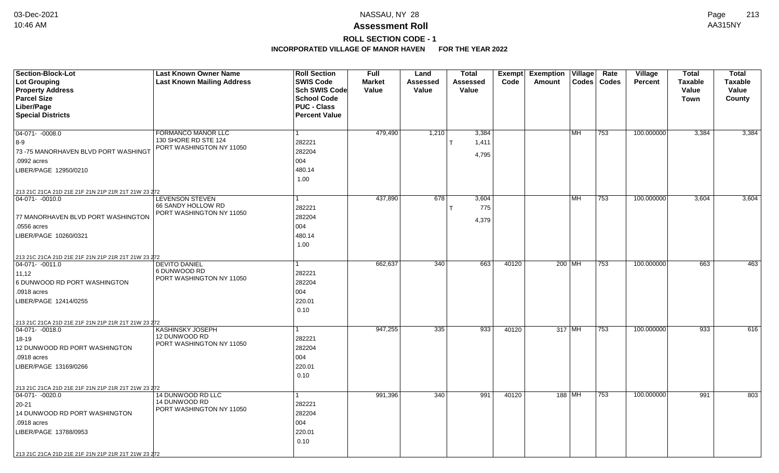# **ROLL SECTION CODE - 1**

| <b>Section-Block-Lot</b><br>Lot Grouping<br><b>Property Address</b><br><b>Parcel Size</b> | <b>Last Known Owner Name</b><br><b>Last Known Mailing Address</b> | <b>Roll Section</b><br><b>SWIS Code</b><br><b>Sch SWIS Code</b><br><b>School Code</b> | <b>Full</b><br><b>Market</b><br>Value | Land<br>Assessed<br>Value | <b>Total</b><br>Assessed<br>Value | <b>Exempt</b><br>Code | <b>Exemption</b><br>Amount | $\overline{\mathsf{V}}$ illage<br><b>Codes</b> | Rate<br><b>Codes</b> | Village<br><b>Percent</b> | <b>Total</b><br><b>Taxable</b><br>Value<br><b>Town</b> | <b>Total</b><br>Taxable<br>Value<br>County |
|-------------------------------------------------------------------------------------------|-------------------------------------------------------------------|---------------------------------------------------------------------------------------|---------------------------------------|---------------------------|-----------------------------------|-----------------------|----------------------------|------------------------------------------------|----------------------|---------------------------|--------------------------------------------------------|--------------------------------------------|
| Liber/Page<br><b>Special Districts</b>                                                    |                                                                   | <b>PUC - Class</b><br><b>Percent Value</b>                                            |                                       |                           |                                   |                       |                            |                                                |                      |                           |                                                        |                                            |
|                                                                                           |                                                                   |                                                                                       |                                       |                           |                                   |                       |                            |                                                |                      |                           |                                                        |                                            |
| $04-071 - -0008.0$                                                                        | FORMANCO MANOR LLC<br>130 SHORE RD STE 124                        | 1<br>282221                                                                           | 479,490                               | 1,210                     | 3,384<br>1,411                    |                       |                            | l MH.                                          | 753                  | 100.000000                | 3,384                                                  | 3,384                                      |
| 8-9<br>73 -75 MANORHAVEN BLVD PORT WASHINGT                                               | PORT WASHINGTON NY 11050                                          | 282204                                                                                |                                       |                           |                                   |                       |                            |                                                |                      |                           |                                                        |                                            |
| .0992 acres                                                                               |                                                                   | 004                                                                                   |                                       |                           | 4,795                             |                       |                            |                                                |                      |                           |                                                        |                                            |
| LIBER/PAGE 12950/0210                                                                     |                                                                   | 480.14                                                                                |                                       |                           |                                   |                       |                            |                                                |                      |                           |                                                        |                                            |
|                                                                                           |                                                                   | 1.00                                                                                  |                                       |                           |                                   |                       |                            |                                                |                      |                           |                                                        |                                            |
| 213 21C 21CA 21D 21E 21F 21N 21P 21R 21T 21W 23 272                                       |                                                                   |                                                                                       |                                       |                           |                                   |                       |                            |                                                |                      |                           |                                                        |                                            |
| 04-071- -0010.0                                                                           | <b>LEVENSON STEVEN</b><br>66 SANDY HOLLOW RD                      | 1                                                                                     | 437,890                               | 678                       | 3,604                             |                       |                            | <b>MH</b>                                      | 753                  | 100.000000                | 3,604                                                  | 3,604                                      |
|                                                                                           | PORT WASHINGTON NY 11050                                          | 282221                                                                                |                                       |                           | 775                               |                       |                            |                                                |                      |                           |                                                        |                                            |
| 77 MANORHAVEN BLVD PORT WASHINGTON                                                        |                                                                   | 282204                                                                                |                                       |                           | 4,379                             |                       |                            |                                                |                      |                           |                                                        |                                            |
| .0556 acres                                                                               |                                                                   | 004                                                                                   |                                       |                           |                                   |                       |                            |                                                |                      |                           |                                                        |                                            |
| LIBER/PAGE 10260/0321                                                                     |                                                                   | 480.14<br>1.00                                                                        |                                       |                           |                                   |                       |                            |                                                |                      |                           |                                                        |                                            |
|                                                                                           |                                                                   |                                                                                       |                                       |                           |                                   |                       |                            |                                                |                      |                           |                                                        |                                            |
| 213 21C 21CA 21D 21E 21F 21N 21P 21R 21T 21W 23 272<br>04-071- -0011.0                    | <b>DEVITO DANIEL</b>                                              |                                                                                       | 662,637                               | 340                       | 663                               | 40120                 |                            | 200 MH                                         | 753                  | 100.000000                | 663                                                    | 463                                        |
| 11,12                                                                                     | 6 DUNWOOD RD                                                      | 282221                                                                                |                                       |                           |                                   |                       |                            |                                                |                      |                           |                                                        |                                            |
| 6 DUNWOOD RD PORT WASHINGTON                                                              | PORT WASHINGTON NY 11050                                          | 282204                                                                                |                                       |                           |                                   |                       |                            |                                                |                      |                           |                                                        |                                            |
| .0918 acres                                                                               |                                                                   | 004                                                                                   |                                       |                           |                                   |                       |                            |                                                |                      |                           |                                                        |                                            |
| LIBER/PAGE 12414/0255                                                                     |                                                                   | 220.01                                                                                |                                       |                           |                                   |                       |                            |                                                |                      |                           |                                                        |                                            |
|                                                                                           |                                                                   | 0.10                                                                                  |                                       |                           |                                   |                       |                            |                                                |                      |                           |                                                        |                                            |
| 213 21C 21CA 21D 21E 21F 21N 21P 21R 21T 21W 23 272                                       |                                                                   |                                                                                       |                                       |                           |                                   |                       |                            |                                                |                      |                           |                                                        |                                            |
| $ 04-071-0018.0$                                                                          | <b>KASHINSKY JOSEPH</b>                                           | 1                                                                                     | 947,255                               | 335                       | 933                               | 40120                 |                            | 317 MH                                         | 753                  | 100.000000                | 933                                                    | 616                                        |
| 18-19                                                                                     | 12 DUNWOOD RD<br>PORT WASHINGTON NY 11050                         | 282221                                                                                |                                       |                           |                                   |                       |                            |                                                |                      |                           |                                                        |                                            |
| 12 DUNWOOD RD PORT WASHINGTON                                                             |                                                                   | 282204                                                                                |                                       |                           |                                   |                       |                            |                                                |                      |                           |                                                        |                                            |
| .0918 acres                                                                               |                                                                   | 004                                                                                   |                                       |                           |                                   |                       |                            |                                                |                      |                           |                                                        |                                            |
| LIBER/PAGE 13169/0266                                                                     |                                                                   | 220.01                                                                                |                                       |                           |                                   |                       |                            |                                                |                      |                           |                                                        |                                            |
|                                                                                           |                                                                   | 0.10                                                                                  |                                       |                           |                                   |                       |                            |                                                |                      |                           |                                                        |                                            |
| 213 21C 21CA 21D 21E 21F 21N 21P 21R 21T 21W 23 272                                       |                                                                   | 1                                                                                     |                                       | 340                       | 991                               | 40120                 |                            |                                                | 753                  |                           | 991                                                    | 803                                        |
| $\boxed{04-071 - -0020.0}$                                                                | 14 DUNWOOD RD LLC<br>14 DUNWOOD RD                                | 282221                                                                                | 991,396                               |                           |                                   |                       |                            | 188   MH                                       |                      | 100.000000                |                                                        |                                            |
| 20-21<br>14 DUNWOOD RD PORT WASHINGTON                                                    | PORT WASHINGTON NY 11050                                          | 282204                                                                                |                                       |                           |                                   |                       |                            |                                                |                      |                           |                                                        |                                            |
| .0918 acres                                                                               |                                                                   | 004                                                                                   |                                       |                           |                                   |                       |                            |                                                |                      |                           |                                                        |                                            |
| LIBER/PAGE 13788/0953                                                                     |                                                                   | 220.01                                                                                |                                       |                           |                                   |                       |                            |                                                |                      |                           |                                                        |                                            |
|                                                                                           |                                                                   | 0.10                                                                                  |                                       |                           |                                   |                       |                            |                                                |                      |                           |                                                        |                                            |
| 213 21C 21CA 21D 21E 21F 21N 21P 21R 21T 21W 23 272                                       |                                                                   |                                                                                       |                                       |                           |                                   |                       |                            |                                                |                      |                           |                                                        |                                            |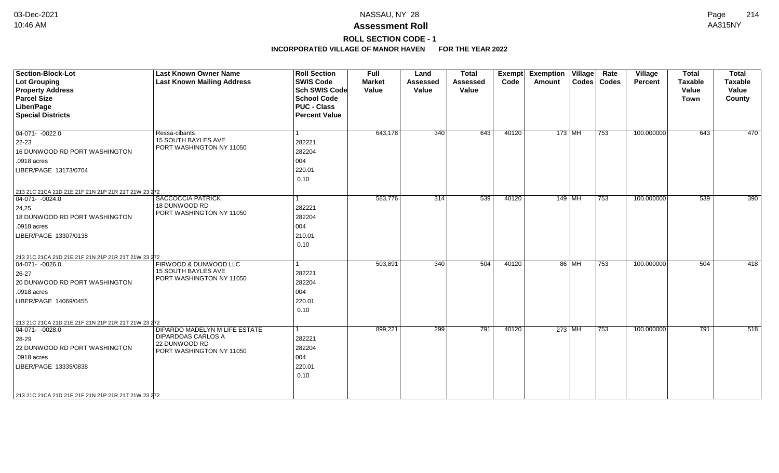# **ROLL SECTION CODE - 1**

| <b>Section-Block-Lot</b><br>Lot Grouping<br><b>Property Address</b><br><b>Parcel Size</b><br>Liber/Page<br><b>Special Districts</b>                                                                                   | <b>Last Known Owner Name</b><br><b>Last Known Mailing Address</b>                                       | <b>Roll Section</b><br><b>SWIS Code</b><br><b>Sch SWIS Code</b><br><b>School Code</b><br><b>PUC - Class</b><br><b>Percent Value</b> | <b>Full</b><br><b>Market</b><br>Value | Land<br><b>Assessed</b><br>Value | <b>Total</b><br><b>Assessed</b><br>Value | Exempt<br>Code | <b>Exemption Village</b><br>Amount |       | Rate<br>Codes   Codes | Village<br>Percent | <b>Total</b><br><b>Taxable</b><br>Value<br><b>Town</b> | <b>Total</b><br><b>Taxable</b><br>Value<br>County |
|-----------------------------------------------------------------------------------------------------------------------------------------------------------------------------------------------------------------------|---------------------------------------------------------------------------------------------------------|-------------------------------------------------------------------------------------------------------------------------------------|---------------------------------------|----------------------------------|------------------------------------------|----------------|------------------------------------|-------|-----------------------|--------------------|--------------------------------------------------------|---------------------------------------------------|
| $04-071 - 0022.0$<br>$ 22 - 23 $<br>16 DUNWOOD RD PORT WASHINGTON<br>.0918 acres<br>LIBER/PAGE 13173/0704                                                                                                             | Ressa-cibants<br><b>15 SOUTH BAYLES AVE</b><br>PORT WASHINGTON NY 11050                                 | 282221<br>282204<br>004<br>220.01<br>0.10                                                                                           | 643,178                               | 340                              | 643                                      | 40120          | 173 MH                             |       | 753                   | 100.000000         | 643                                                    | 470                                               |
| 213 21C 21CA 21D 21E 21F 21N 21P 21R 21T 21W 23 272<br>$ 04-071-0024.0$<br>24,25<br>18 DUNWOOD RD PORT WASHINGTON<br>.0918 acres<br>LIBER/PAGE 13307/0138                                                             | <b>SACCOCCIA PATRICK</b><br>18 DUNWOOD RD<br>PORT WASHINGTON NY 11050                                   | 282221<br>282204<br>004<br>210.01<br>0.10                                                                                           | 583,776                               | $\overline{314}$                 | 539                                      | 40120          | 149 MH                             |       | 753                   | 100.000000         | 539                                                    | 390                                               |
| 213 21C 21CA 21D 21E 21F 21N 21P 21R 21T 21W 23 272<br>$ 04-071- -0026.0$<br>$ 26-27$<br>20 DUNWOOD RD PORT WASHINGTON<br>.0918 acres<br>LIBER/PAGE 14069/0455<br>213 21C 21CA 21D 21E 21F 21N 21P 21R 21T 21W 23 272 | FIRWOOD & DUNWOOD LLC<br>15 SOUTH BAYLES AVE<br>PORT WASHINGTON NY 11050                                | 282221<br>282204<br>004<br>220.01<br>0.10                                                                                           | 503,891                               | 340                              | 504                                      | 40120          |                                    | 86 MH | 753                   | 100.000000         | 504                                                    | 418                                               |
| $04-071 - 0028.0$<br>28-29<br>22 DUNWOOD RD PORT WASHINGTON<br>.0918 acres<br>LIBER/PAGE 13335/0838<br>213 21C 21CA 21D 21E 21F 21N 21P 21R 21T 21W 23 272                                                            | DIPARDO MADELYN M LIFE ESTATE<br><b>DIPARDOAS CARLOS A</b><br>22 DUNWOOD RD<br>PORT WASHINGTON NY 11050 | 282221<br>282204<br>004<br>220.01<br>0.10                                                                                           | 899,221                               | 299                              | 791                                      | 40120          | 273 MH                             |       | 753                   | 100.000000         | 791                                                    | 518                                               |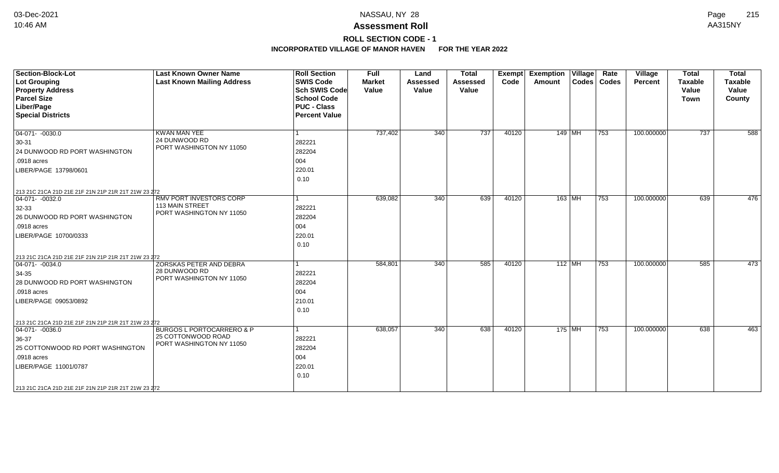# **ROLL SECTION CODE - 1**

| <b>Section-Block-Lot</b><br><b>Lot Grouping</b><br><b>Property Address</b><br><b>Parcel Size</b><br>Liber/Page<br><b>Special Districts</b>                                                                                   | <b>Last Known Owner Name</b><br><b>Last Known Mailing Address</b>                      | <b>Roll Section</b><br><b>SWIS Code</b><br><b>Sch SWIS Code</b><br><b>School Code</b><br><b>PUC - Class</b><br><b>Percent Value</b> | <b>Full</b><br><b>Market</b><br>Value | Land<br><b>Assessed</b><br>Value | <b>Total</b><br><b>Assessed</b><br>Value | <b>Exempt</b><br>Code | <b>Exemption Village</b><br>Amount | Rate<br>Codes   Codes | <b>Village</b><br><b>Percent</b> | <b>Total</b><br><b>Taxable</b><br>Value<br><b>Town</b> | <b>Total</b><br><b>Taxable</b><br>Value<br>County |
|------------------------------------------------------------------------------------------------------------------------------------------------------------------------------------------------------------------------------|----------------------------------------------------------------------------------------|-------------------------------------------------------------------------------------------------------------------------------------|---------------------------------------|----------------------------------|------------------------------------------|-----------------------|------------------------------------|-----------------------|----------------------------------|--------------------------------------------------------|---------------------------------------------------|
| $\boxed{04-071 - -0030.0}$<br>30-31<br>24 DUNWOOD RD PORT WASHINGTON<br>.0918 acres<br>LIBER/PAGE 13798/0601<br>213 21C 21CA 21D 21E 21F 21N 21P 21R 21T 21W 23 272                                                          | <b>KWAN MAN YEE</b><br>24 DUNWOOD RD<br>PORT WASHINGTON NY 11050                       | l 1<br>282221<br>282204<br>004<br>220.01<br>0.10                                                                                    | 737,402                               | $\overline{340}$                 | 737                                      | 40120                 | $149$ MH                           | 753                   | 100.000000                       | 737                                                    | 588                                               |
| $ 04-071-0032.0$<br>$32-33$<br>26 DUNWOOD RD PORT WASHINGTON<br>.0918 acres<br>LIBER/PAGE 10700/0333                                                                                                                         | RMV PORT INVESTORS CORP<br>113 MAIN STREET<br>PORT WASHINGTON NY 11050                 | l 1<br>282221<br>282204<br>004<br>220.01<br>0.10                                                                                    | 639,082                               | $\overline{340}$                 | 639                                      | 40120                 | $163$ MH                           | 753                   | 100.000000                       | 639                                                    | 476                                               |
| 213 21C 21CA 21D 21E 21F 21N 21P 21R 21T 21W 23 272<br>$ 04-071-0034.0$<br>$34-35$<br>28 DUNWOOD RD PORT WASHINGTON<br>.0918 acres<br>LIBER/PAGE 09053/0892                                                                  | ZORSKAS PETER AND DEBRA<br>28 DUNWOOD RD<br>PORT WASHINGTON NY 11050                   | l 1<br>282221<br>282204<br>004<br>210.01<br>0.10                                                                                    | 584,801                               | 340                              | 585                                      | 40120                 | $112$ MH                           | 753                   | 100.000000                       | 585                                                    | 473                                               |
| 213 21C 21CA 21D 21E 21F 21N 21P 21R 21T 21W 23 272<br>$\boxed{04-071 - 0036.0}$<br>36-37<br>25 COTTONWOOD RD PORT WASHINGTON<br>.0918 acres<br>LIBER/PAGE 11001/0787<br>213 21C 21CA 21D 21E 21F 21N 21P 21R 21T 21W 23 272 | <b>BURGOS L PORTOCARRERO &amp; P</b><br>25 COTTONWOOD ROAD<br>PORT WASHINGTON NY 11050 | $\mathbf{1}$<br>282221<br>282204<br>004<br>220.01<br>0.10                                                                           | 638,057                               | 340                              | 638                                      | 40120                 | 175 MH                             | 753                   | 100.000000                       | 638                                                    | 463                                               |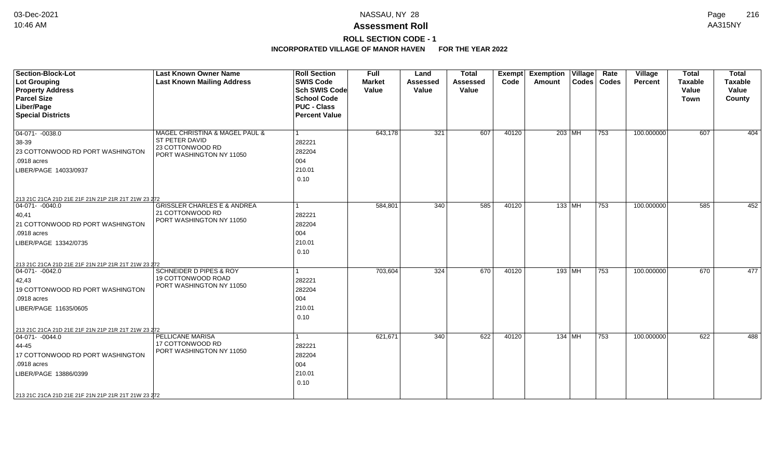# **ROLL SECTION CODE - 1**

| <b>Section-Block-Lot</b><br><b>Lot Grouping</b><br><b>Property Address</b><br><b>Parcel Size</b><br>Liber/Page<br><b>Special Districts</b>                                                                          | <b>Last Known Owner Name</b><br><b>Last Known Mailing Address</b>                                       | <b>Roll Section</b><br><b>SWIS Code</b><br><b>Sch SWIS Code</b><br><b>School Code</b><br><b>PUC - Class</b><br><b>Percent Value</b> | <b>Full</b><br><b>Market</b><br>Value | Land<br><b>Assessed</b><br>Value | <b>Total</b><br><b>Assessed</b><br>Value | <b>Exempt</b><br>Code | <b>Exemption Village</b><br>Amount | Rate<br>Codes   Codes | Village<br>Percent | <b>Total</b><br><b>Taxable</b><br>Value<br><b>Town</b> | <b>Total</b><br><b>Taxable</b><br>Value<br>County |
|---------------------------------------------------------------------------------------------------------------------------------------------------------------------------------------------------------------------|---------------------------------------------------------------------------------------------------------|-------------------------------------------------------------------------------------------------------------------------------------|---------------------------------------|----------------------------------|------------------------------------------|-----------------------|------------------------------------|-----------------------|--------------------|--------------------------------------------------------|---------------------------------------------------|
| $\boxed{04-071 - -0038.0}$<br>38-39<br>23 COTTONWOOD RD PORT WASHINGTON<br>.0918 acres<br>LIBER/PAGE 14033/0937                                                                                                     | MAGEL CHRISTINA & MAGEL PAUL &<br><b>ST PETER DAVID</b><br>23 COTTONWOOD RD<br>PORT WASHINGTON NY 11050 | 1<br>282221<br>282204<br>004<br>210.01<br>0.10                                                                                      | 643,178                               | 321                              | 607                                      | 40120                 | 203 MH                             | 753                   | 100.000000         | 607                                                    | 404                                               |
| 213 21C 21CA 21D 21E 21F 21N 21P 21R 21T 21W 23 272<br>$ 04-071-0040.0$<br> 40, 41<br>21 COTTONWOOD RD PORT WASHINGTON<br>.0918 acres<br>LIBER/PAGE 13342/0735                                                      | <b>GRISSLER CHARLES E &amp; ANDREA</b><br>21 COTTONWOOD RD<br>PORT WASHINGTON NY 11050                  | 282221<br>282204<br>004<br>210.01<br>0.10                                                                                           | 584,801                               | 340                              | 585                                      | 40120                 | 133   MH                           | 753                   | 100.000000         | 585                                                    | 452                                               |
| 213 21C 21CA 21D 21E 21F 21N 21P 21R 21T 21W 23 272<br>$ 04-071-0042.0$<br>42,43<br>19 COTTONWOOD RD PORT WASHINGTON<br>.0918 acres<br>LIBER/PAGE 11635/0605                                                        | <b>SCHNEIDER D PIPES &amp; ROY</b><br>19 COTTONWOOD ROAD<br>PORT WASHINGTON NY 11050                    | 282221<br>282204<br>004<br>210.01<br>0.10                                                                                           | 703,604                               | 324                              | 670                                      | 40120                 | 193   MH                           | 753                   | 100.000000         | 670                                                    | 477                                               |
| 213 21C 21CA 21D 21E 21F 21N 21P 21R 21T 21W 23 272<br>$ 04-071-0044.0$<br>44-45<br>17 COTTONWOOD RD PORT WASHINGTON<br>.0918 acres<br>LIBER/PAGE 13886/0399<br>213 21C 21CA 21D 21E 21F 21N 21P 21R 21T 21W 23 272 | PELLICANE MARISA<br>17 COTTONWOOD RD<br>PORT WASHINGTON NY 11050                                        | 282221<br>282204<br>004<br>210.01<br>0.10                                                                                           | 621,671                               | 340                              | 622                                      | 40120                 | 134 MH                             | 753                   | 100.000000         | 622                                                    | 488                                               |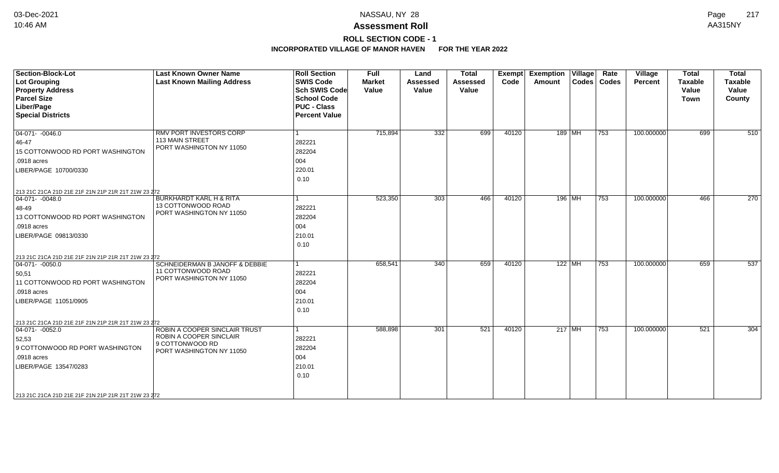## **ROLL SECTION CODE - 1**

| <b>Section-Block-Lot</b>                                                | <b>Last Known Owner Name</b>                             | <b>Roll Section</b>  | <b>Full</b>   | Land            | <b>Total</b> | Exempt | <b>Exemption Village</b> | Rate          | Village        | <b>Total</b>   | <b>Total</b>     |
|-------------------------------------------------------------------------|----------------------------------------------------------|----------------------|---------------|-----------------|--------------|--------|--------------------------|---------------|----------------|----------------|------------------|
| <b>Lot Grouping</b>                                                     | <b>Last Known Mailing Address</b>                        | <b>SWIS Code</b>     | <b>Market</b> | <b>Assessed</b> | Assessed     | Code   | Amount                   | Codes   Codes | <b>Percent</b> | <b>Taxable</b> | <b>Taxable</b>   |
| <b>Property Address</b>                                                 |                                                          | <b>Sch SWIS Code</b> | Value         | Value           | Value        |        |                          |               |                | Value          | Value            |
| <b>Parcel Size</b>                                                      |                                                          | <b>School Code</b>   |               |                 |              |        |                          |               |                | <b>Town</b>    | County           |
| Liber/Page                                                              |                                                          | <b>PUC - Class</b>   |               |                 |              |        |                          |               |                |                |                  |
| <b>Special Districts</b>                                                |                                                          | <b>Percent Value</b> |               |                 |              |        |                          |               |                |                |                  |
|                                                                         |                                                          |                      |               |                 |              |        |                          |               |                |                |                  |
| $04-071 - -0046.0$                                                      | <b>RMV PORT INVESTORS CORP</b>                           |                      | 715,894       | 332             | 699          | 40120  | 189 MH                   | 753           | 100.000000     | 699            | 510              |
| 46-47                                                                   | 113 MAIN STREET                                          | 282221               |               |                 |              |        |                          |               |                |                |                  |
| 15 COTTONWOOD RD PORT WASHINGTON                                        | PORT WASHINGTON NY 11050                                 | 282204               |               |                 |              |        |                          |               |                |                |                  |
| .0918 acres                                                             |                                                          | 004                  |               |                 |              |        |                          |               |                |                |                  |
| LIBER/PAGE 10700/0330                                                   |                                                          | 220.01               |               |                 |              |        |                          |               |                |                |                  |
|                                                                         |                                                          | 0.10                 |               |                 |              |        |                          |               |                |                |                  |
| 213 21C 21CA 21D 21E 21F 21N 21P 21R 21T 21W 23 272                     |                                                          |                      |               |                 |              |        |                          |               |                |                |                  |
| $ 04-071-0048.0$                                                        | <b>BURKHARDT KARL H &amp; RITA</b>                       | $\overline{1}$       | 523,350       | 303             | 466          | 40120  | 196 MH                   | 753           | 100.000000     | 466            | $\overline{270}$ |
| 48-49                                                                   | 13 COTTONWOOD ROAD                                       | 282221               |               |                 |              |        |                          |               |                |                |                  |
| 13 COTTONWOOD RD PORT WASHINGTON                                        | PORT WASHINGTON NY 11050                                 | 282204               |               |                 |              |        |                          |               |                |                |                  |
| .0918 acres                                                             |                                                          | 004                  |               |                 |              |        |                          |               |                |                |                  |
| LIBER/PAGE 09813/0330                                                   |                                                          | 210.01               |               |                 |              |        |                          |               |                |                |                  |
|                                                                         |                                                          | 0.10                 |               |                 |              |        |                          |               |                |                |                  |
|                                                                         |                                                          |                      |               |                 |              |        |                          |               |                |                |                  |
| 213 21C 21CA 21D 21E 21F 21N 21P 21R 21T 21W 23 272<br>$ 04-071-0050.0$ | <b>SCHNEIDERMAN B JANOFF &amp; DEBBIE</b>                | l 1                  | 658,541       | 340             | 659          | 40120  | $122$ MH                 | 753           | 100.000000     | 659            | 537              |
| 50,51                                                                   | 11 COTTONWOOD ROAD                                       | 282221               |               |                 |              |        |                          |               |                |                |                  |
| 11 COTTONWOOD RD PORT WASHINGTON                                        | PORT WASHINGTON NY 11050                                 | 282204               |               |                 |              |        |                          |               |                |                |                  |
| .0918 acres                                                             |                                                          | 004                  |               |                 |              |        |                          |               |                |                |                  |
| LIBER/PAGE 11051/0905                                                   |                                                          | 210.01               |               |                 |              |        |                          |               |                |                |                  |
|                                                                         |                                                          |                      |               |                 |              |        |                          |               |                |                |                  |
|                                                                         |                                                          | 0.10                 |               |                 |              |        |                          |               |                |                |                  |
| 213 21C 21CA 21D 21E 21F 21N 21P 21R 21T 21W 23 272                     |                                                          |                      |               |                 |              |        |                          |               |                |                |                  |
| $ 04-071-0052.0$                                                        | ROBIN A COOPER SINCLAIR TRUST<br>ROBIN A COOPER SINCLAIR | $\mathbf{1}$         | 588,898       | 301             | 521          | 40120  | $217$ MH                 | 753           | 100.000000     | 521            | 304              |
| 52,53                                                                   | 9 COTTONWOOD RD                                          | 282221               |               |                 |              |        |                          |               |                |                |                  |
| 9 COTTONWOOD RD PORT WASHINGTON                                         | PORT WASHINGTON NY 11050                                 | 282204               |               |                 |              |        |                          |               |                |                |                  |
| .0918 acres                                                             |                                                          | 004                  |               |                 |              |        |                          |               |                |                |                  |
| LIBER/PAGE 13547/0283                                                   |                                                          | 210.01               |               |                 |              |        |                          |               |                |                |                  |
|                                                                         |                                                          | 0.10                 |               |                 |              |        |                          |               |                |                |                  |
|                                                                         |                                                          |                      |               |                 |              |        |                          |               |                |                |                  |
| 213 21C 21CA 21D 21E 21F 21N 21P 21R 21T 21W 23 272                     |                                                          |                      |               |                 |              |        |                          |               |                |                |                  |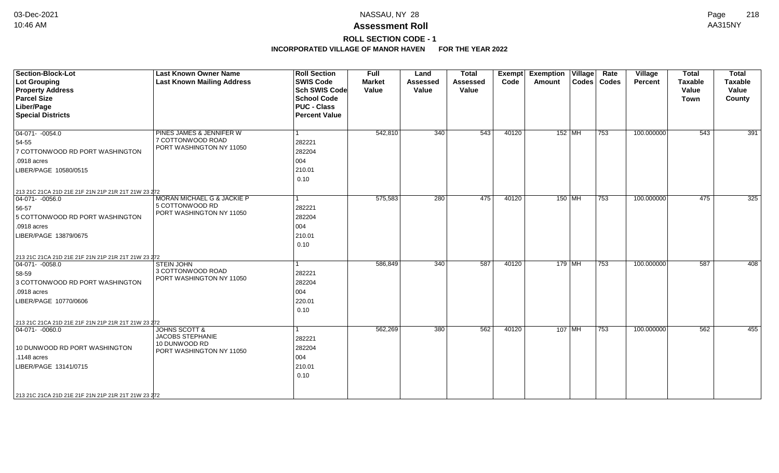# **ROLL SECTION CODE - 1**

| <b>Section-Block-Lot</b><br><b>Lot Grouping</b><br><b>Property Address</b><br><b>Parcel Size</b><br>Liber/Page<br><b>Special Districts</b>                                                               | <b>Last Known Owner Name</b><br><b>Last Known Mailing Address</b>                                | <b>Roll Section</b><br><b>SWIS Code</b><br><b>Sch SWIS Code</b><br><b>School Code</b><br><b>PUC - Class</b><br><b>Percent Value</b> | <b>Full</b><br><b>Market</b><br>Value | Land<br><b>Assessed</b><br>Value | <b>Total</b><br><b>Assessed</b><br>Value | Exempt<br>Code | <b>Exemption Village</b><br>Amount | Rate<br>Codes   Codes | Village<br>Percent | <b>Total</b><br><b>Taxable</b><br>Value<br><b>Town</b> | <b>Total</b><br><b>Taxable</b><br>Value<br>County |
|----------------------------------------------------------------------------------------------------------------------------------------------------------------------------------------------------------|--------------------------------------------------------------------------------------------------|-------------------------------------------------------------------------------------------------------------------------------------|---------------------------------------|----------------------------------|------------------------------------------|----------------|------------------------------------|-----------------------|--------------------|--------------------------------------------------------|---------------------------------------------------|
| $04-071 - -0054.0$<br>54-55<br>7 COTTONWOOD RD PORT WASHINGTON<br>.0918 acres<br>LIBER/PAGE 10580/0515                                                                                                   | PINES JAMES & JENNIFER W<br>7 COTTONWOOD ROAD<br>PORT WASHINGTON NY 11050                        | 1<br>282221<br>282204<br>004<br>210.01<br>0.10                                                                                      | 542,810                               | 340                              | 543                                      | 40120          | $152$ MH                           | 753                   | 100.000000         | 543                                                    | 391                                               |
| 213 21C 21CA 21D 21E 21F 21N 21P 21R 21T 21W 23 272<br>$\boxed{04-071 - -0056.0}$<br>56-57<br>5 COTTONWOOD RD PORT WASHINGTON<br>.0918 acres<br>LIBER/PAGE 13879/0675                                    | <b>MORAN MICHAEL G &amp; JACKIE P</b><br>5 COTTONWOOD RD<br>PORT WASHINGTON NY 11050             | 1<br>282221<br>282204<br>004<br>210.01<br>0.10                                                                                      | 575,583                               | 280                              | 475                                      | 40120          | $150$ MH                           | 753                   | 100.000000         | 475                                                    | 325                                               |
| 213 21C 21CA 21D 21E 21F 21N 21P 21R 21T 21W 23 272<br>$ 04-071-0058.0$<br>58-59<br>3 COTTONWOOD RD PORT WASHINGTON<br>.0918 acres<br>LIBER/PAGE 10770/0606                                              | <b>STEIN JOHN</b><br>3 COTTONWOOD ROAD<br>PORT WASHINGTON NY 11050                               | 282221<br>282204<br>004<br>220.01<br>0.10                                                                                           | 586,849                               | 340                              | 587                                      | 40120          | $179$ MH                           | 753                   | 100.000000         | 587                                                    | 408                                               |
| 213 21C 21CA 21D 21E 21F 21N 21P 21R 21T 21W 23 272<br>$04-071 - 0060.0$<br>10 DUNWOOD RD PORT WASHINGTON<br>.1148 acres<br>LIBER/PAGE 13141/0715<br>213 21C 21CA 21D 21E 21F 21N 21P 21R 21T 21W 23 272 | <b>JOHNS SCOTT &amp;</b><br><b>JACOBS STEPHANIE</b><br>10 DUNWOOD RD<br>PORT WASHINGTON NY 11050 | 282221<br>282204<br>004<br>210.01<br>0.10                                                                                           | 562,269                               | 380                              | 562                                      | 40120          | $107$ MH                           | 753                   | 100.000000         | 562                                                    | 455                                               |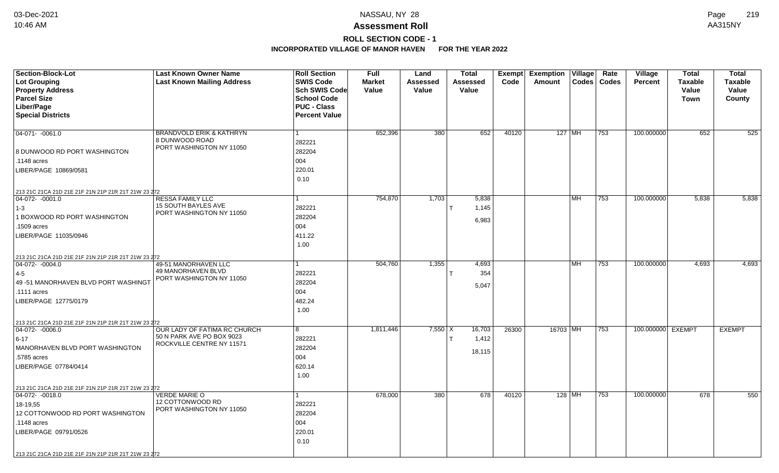# **ROLL SECTION CODE - 1**

| Section-Block-Lot<br>Lot Grouping<br><b>Property Address</b><br><b>Parcel Size</b>                                                                                                                                    | <b>Last Known Owner Name</b><br><b>Last Known Mailing Address</b>                      | <b>Roll Section</b><br><b>SWIS Code</b><br>Sch SWIS Code<br><b>School Code</b> | Full<br><b>Market</b><br>Value | Land<br><b>Assessed</b><br>Value | <b>Total</b><br><b>Assessed</b><br>Value | Exempt<br>Code | <b>Exemption</b><br>Amount | Village   | Rate<br>Codes   Codes | <b>Village</b><br>Percent | <b>Total</b><br><b>Taxable</b><br>Value<br><b>Town</b> | <b>Total</b><br><b>Taxable</b><br>Value<br>County |
|-----------------------------------------------------------------------------------------------------------------------------------------------------------------------------------------------------------------------|----------------------------------------------------------------------------------------|--------------------------------------------------------------------------------|--------------------------------|----------------------------------|------------------------------------------|----------------|----------------------------|-----------|-----------------------|---------------------------|--------------------------------------------------------|---------------------------------------------------|
| Liber/Page<br><b>Special Districts</b>                                                                                                                                                                                |                                                                                        | <b>PUC - Class</b><br><b>Percent Value</b>                                     |                                |                                  |                                          |                |                            |           |                       |                           |                                                        |                                                   |
| $04-071 - -0061.0$<br>8 DUNWOOD RD PORT WASHINGTON<br>.1148 acres<br>LIBER/PAGE 10869/0581                                                                                                                            | <b>BRANDVOLD ERIK &amp; KATHRYN</b><br>8 DUNWOOD ROAD<br>PORT WASHINGTON NY 11050      | 282221<br>282204<br>004<br>220.01<br>0.10                                      | 652,396                        | 380                              | 652                                      | 40120          |                            | 127   MH  | 753                   | 100.000000                | 652                                                    | 525                                               |
| 213 21C 21CA 21D 21E 21F 21N 21P 21R 21T 21W 23 272<br>$ 04-072-0001.0$<br>$1-3$<br>1 BOXWOOD RD PORT WASHINGTON<br>1509 acres<br>LIBER/PAGE 11035/0946                                                               | RESSA FAMILY LLC<br>15 SOUTH BAYLES AVE<br>PORT WASHINGTON NY 11050                    | 282221<br>282204<br>004<br>411.22<br>1.00                                      | 754,870                        | 1,703                            | 5,838<br>1,145<br>6,983                  |                |                            | MH.       | 753                   | 100.000000                | 5,838                                                  | 5,838                                             |
| 213 21C 21CA 21D 21E 21F 21N 21P 21R 21T 21W 23 272<br>$ 04-072-0004.0$<br>$ 4-5 $<br>49 - 51 MANORHAVEN BLVD PORT WASHINGT<br>.1111 acres<br>LIBER/PAGE 12775/0179                                                   | 49-51 MANORHAVEN LLC<br>49 MANORHAVEN BLVD<br>PORT WASHINGTON NY 11050                 | 282221<br>282204<br>004<br>482.24<br>1.00                                      | 504,760                        | 1,355                            | 4,693<br>354<br>5,047                    |                |                            | <b>MH</b> | 753                   | 100.000000                | 4,693                                                  | 4,693                                             |
| 213 21C 21CA 21D 21E 21F 21N 21P 21R 21T 21W 23 272<br>$ 04-072-0006.0$<br>$6 - 17$<br>MANORHAVEN BLVD PORT WASHINGTON<br>.5785 acres<br>LIBER/PAGE 07784/0414<br>213 21C 21CA 21D 21E 21F 21N 21P 21R 21T 21W 23 272 | OUR LADY OF FATIMA RC CHURCH<br>50 N PARK AVE PO BOX 9023<br>ROCKVILLE CENTRE NY 11571 | 8<br>282221<br>282204<br>004<br>620.14<br>1.00                                 | 1,811,446                      | $7,550$ X                        | 16,703<br>1,412<br>18,115                | 26300          | 16703 MH                   |           | 753                   | 100.000000 EXEMPT         |                                                        | <b>EXEMPT</b>                                     |
| $04-072 - 0018.0$<br>18-19.55<br>12 COTTONWOOD RD PORT WASHINGTON<br>.1148 acres<br>LIBER/PAGE 09791/0526<br>213 21C 21CA 21D 21E 21F 21N 21P 21R 21T 21W 23 272                                                      | <b>VERDE MARIE O</b><br>12 COTTONWOOD RD<br>PORT WASHINGTON NY 11050                   | 282221<br>282204<br>004<br>220.01<br>0.10                                      | 678,000                        | 380                              | 678                                      | 40120          |                            | 128 MH    | 753                   | 100.000000                | 678                                                    | 550                                               |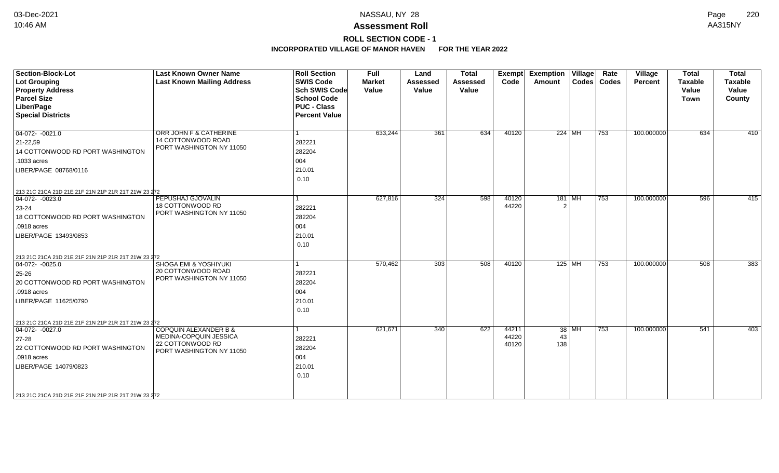# **ROLL SECTION CODE - 1**

| <b>Section-Block-Lot</b><br><b>Lot Grouping</b><br><b>Property Address</b><br><b>Parcel Size</b><br>Liber/Page<br><b>Special Districts</b>                                                                          | <b>Last Known Owner Name</b><br><b>Last Known Mailing Address</b>                                          | <b>Roll Section</b><br><b>SWIS Code</b><br><b>Sch SWIS Code</b><br><b>School Code</b><br><b>PUC - Class</b><br><b>Percent Value</b> | <b>Full</b><br><b>Market</b><br>Value | Land<br><b>Assessed</b><br>Value | <b>Total</b><br><b>Assessed</b><br>Value | <b>Exempt</b><br>Code   | <b>Exemption Village</b><br>Amount |       | Rate<br>Codes   Codes | Village<br>Percent | <b>Total</b><br><b>Taxable</b><br>Value<br><b>Town</b> | <b>Total</b><br>Taxable<br>Value<br>County |
|---------------------------------------------------------------------------------------------------------------------------------------------------------------------------------------------------------------------|------------------------------------------------------------------------------------------------------------|-------------------------------------------------------------------------------------------------------------------------------------|---------------------------------------|----------------------------------|------------------------------------------|-------------------------|------------------------------------|-------|-----------------------|--------------------|--------------------------------------------------------|--------------------------------------------|
| $04-072 - 0021.0$<br>$21 - 22,59$<br>14 COTTONWOOD RD PORT WASHINGTON<br>.1033 acres<br>LIBER/PAGE 08768/0116                                                                                                       | ORR JOHN F & CATHERINE<br>14 COTTONWOOD ROAD<br>PORT WASHINGTON NY 11050                                   | 1<br>282221<br>282204<br>004<br>210.01<br>0.10                                                                                      | 633,244                               | 361                              | 634                                      | 40120                   | $224$ MH                           |       | 753                   | 100.000000         | 634                                                    | 410                                        |
| 213 21C 21CA 21D 21E 21F 21N 21P 21R 21T 21W 23 272<br>$04-072 - 0023.0$<br>23-24<br>18 COTTONWOOD RD PORT WASHINGTON<br>.0918 acres<br>LIBER/PAGE 13493/0853                                                       | PEPUSHAJ GJOVALIN<br>18 COTTONWOOD RD<br>PORT WASHINGTON NY 11050                                          | 1<br>282221<br>282204<br>004<br>210.01<br>0.10                                                                                      | 627,816                               | 324                              | 598                                      | 40120<br>44220          | 181 MH                             |       | 753                   | 100.000000         | 596                                                    | 415                                        |
| 213 21C 21CA 21D 21E 21F 21N 21P 21R 21T 21W 23 272<br>$ 04-072-0025.0$<br>25-26<br>20 COTTONWOOD RD PORT WASHINGTON<br>.0918 acres<br>LIBER/PAGE 11625/0790<br>213 21C 21CA 21D 21E 21F 21N 21P 21R 21T 21W 23 272 | <b>SHOGA EMI &amp; YOSHIYUKI</b><br>20 COTTONWOOD ROAD<br>PORT WASHINGTON NY 11050                         | 282221<br>282204<br>004<br>210.01<br>0.10                                                                                           | 570,462                               | 303                              | 508                                      | 40120                   | $125$ MH                           |       | 753                   | 100.000000         | 508                                                    | 383                                        |
| $04-072 - 0027.0$<br>27-28<br>22 COTTONWOOD RD PORT WASHINGTON<br>.0918 acres<br>LIBER/PAGE 14079/0823<br>213 21C 21CA 21D 21E 21F 21N 21P 21R 21T 21W 23 272                                                       | <b>COPQUIN ALEXANDER B &amp;</b><br>MEDINA-COPQUIN JESSICA<br>22 COTTONWOOD RD<br>PORT WASHINGTON NY 11050 | 282221<br>282204<br>004<br>210.01<br>0.10                                                                                           | 621,671                               | 340                              | 622                                      | 44211<br>44220<br>40120 | 43<br>138                          | 38 MH | 753                   | 100.000000         | 541                                                    | 403                                        |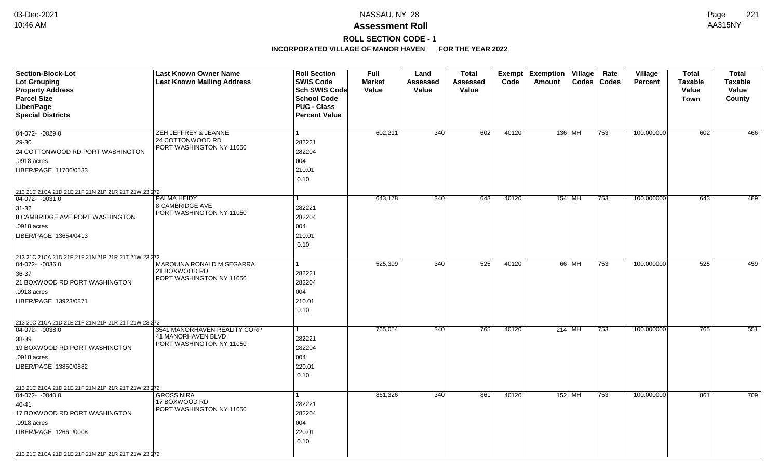# **ROLL SECTION CODE - 1**

| <b>Section-Block-Lot</b>                                                 | <b>Last Known Owner Name</b>                 | <b>Roll Section</b>  | <b>Full</b>   | Land     | <b>Total</b>     | Exempt | <b>Exemption Village</b> |          | Rate          | <b>Village</b> | <b>Total</b>   | <b>Total</b>   |
|--------------------------------------------------------------------------|----------------------------------------------|----------------------|---------------|----------|------------------|--------|--------------------------|----------|---------------|----------------|----------------|----------------|
| Lot Grouping                                                             | <b>Last Known Mailing Address</b>            | <b>SWIS Code</b>     | <b>Market</b> | Assessed | <b>Assessed</b>  | Code   | Amount                   |          | Codes   Codes | <b>Percent</b> | <b>Taxable</b> | <b>Taxable</b> |
| <b>Property Address</b>                                                  |                                              | <b>Sch SWIS Code</b> | Value         | Value    | Value            |        |                          |          |               |                | Value          | Value          |
| <b>Parcel Size</b>                                                       |                                              | <b>School Code</b>   |               |          |                  |        |                          |          |               |                | Town           | County         |
| Liber/Page                                                               |                                              | <b>PUC - Class</b>   |               |          |                  |        |                          |          |               |                |                |                |
| <b>Special Districts</b>                                                 |                                              | <b>Percent Value</b> |               |          |                  |        |                          |          |               |                |                |                |
|                                                                          |                                              |                      |               |          |                  |        |                          |          |               |                |                |                |
| 04-072- -0029.0                                                          | ZEH JEFFREY & JEANNE                         | $\mathbf{1}$         | 602,211       | 340      | 602              | 40120  | 136 MH                   |          | 753           | 100.000000     | 602            | 466            |
| 29-30                                                                    | 24 COTTONWOOD RD<br>PORT WASHINGTON NY 11050 | 282221               |               |          |                  |        |                          |          |               |                |                |                |
| 24 COTTONWOOD RD PORT WASHINGTON                                         |                                              | 282204               |               |          |                  |        |                          |          |               |                |                |                |
| .0918 acres                                                              |                                              | 004                  |               |          |                  |        |                          |          |               |                |                |                |
| LIBER/PAGE 11706/0533                                                    |                                              | 210.01               |               |          |                  |        |                          |          |               |                |                |                |
|                                                                          |                                              | 0.10                 |               |          |                  |        |                          |          |               |                |                |                |
| 213 21C 21CA 21D 21E 21F 21N 21P 21R 21T 21W 23 272                      |                                              |                      |               |          |                  |        |                          |          |               |                |                |                |
| $ 04-072-0031.0$                                                         | <b>PALMA HEIDY</b>                           | 1                    | 643,178       | 340      | 643              | 40120  |                          | $154$ MH | 753           | 100.000000     | 643            | 489            |
| $31-32$                                                                  | 8 CAMBRIDGE AVE                              | 282221               |               |          |                  |        |                          |          |               |                |                |                |
| 8 CAMBRIDGE AVE PORT WASHINGTON                                          | PORT WASHINGTON NY 11050                     | 282204               |               |          |                  |        |                          |          |               |                |                |                |
| .0918 acres                                                              |                                              | 004                  |               |          |                  |        |                          |          |               |                |                |                |
| LIBER/PAGE 13654/0413                                                    |                                              | 210.01               |               |          |                  |        |                          |          |               |                |                |                |
|                                                                          |                                              | 0.10                 |               |          |                  |        |                          |          |               |                |                |                |
|                                                                          |                                              |                      |               |          |                  |        |                          |          |               |                |                |                |
| 213 21C 21CA 21D 21E 21F 21N 21P 21R 21T 21W 23 272<br>$04-072 - 0036.0$ | MARQUINA RONALD M SEGARRA                    |                      | 525,399       | 340      | $\overline{525}$ | 40120  |                          | 66 MH    | 753           | 100.000000     | 525            | 459            |
| 36-37                                                                    | 21 BOXWOOD RD                                | 282221               |               |          |                  |        |                          |          |               |                |                |                |
| 21 BOXWOOD RD PORT WASHINGTON                                            | PORT WASHINGTON NY 11050                     | 282204               |               |          |                  |        |                          |          |               |                |                |                |
| .0918 acres                                                              |                                              | 004                  |               |          |                  |        |                          |          |               |                |                |                |
| LIBER/PAGE 13923/0871                                                    |                                              | 210.01               |               |          |                  |        |                          |          |               |                |                |                |
|                                                                          |                                              | 0.10                 |               |          |                  |        |                          |          |               |                |                |                |
|                                                                          |                                              |                      |               |          |                  |        |                          |          |               |                |                |                |
| 213 21C 21CA 21D 21E 21F 21N 21P 21R 21T 21W 23 272<br>$ 04-072-0038.0$  | 3541 MANORHAVEN REALITY CORP                 | 1                    | 765,054       | 340      | 765              | 40120  | $214$ MH                 |          | 753           | 100.000000     | 765            | 551            |
| 38-39                                                                    | 41 MANORHAVEN BLVD                           | 282221               |               |          |                  |        |                          |          |               |                |                |                |
| 19 BOXWOOD RD PORT WASHINGTON                                            | PORT WASHINGTON NY 11050                     | 282204               |               |          |                  |        |                          |          |               |                |                |                |
| .0918 acres                                                              |                                              | 004                  |               |          |                  |        |                          |          |               |                |                |                |
| LIBER/PAGE 13850/0882                                                    |                                              | 220.01               |               |          |                  |        |                          |          |               |                |                |                |
|                                                                          |                                              | 0.10                 |               |          |                  |        |                          |          |               |                |                |                |
|                                                                          |                                              |                      |               |          |                  |        |                          |          |               |                |                |                |
| 213 21C 21CA 21D 21E 21F 21N 21P 21R 21T 21W 23 272                      | <b>GROSS NIRA</b>                            | $\mathbf{1}$         | 861,326       | 340      | 861              | 40120  | 152 MH                   |          | 753           | 100.000000     | 861            | 709            |
| 04-072- -0040.0                                                          | 17 BOXWOOD RD                                |                      |               |          |                  |        |                          |          |               |                |                |                |
| 40-41                                                                    | PORT WASHINGTON NY 11050                     | 282221               |               |          |                  |        |                          |          |               |                |                |                |
| 17 BOXWOOD RD PORT WASHINGTON                                            |                                              | 282204               |               |          |                  |        |                          |          |               |                |                |                |
| .0918 acres                                                              |                                              | 004                  |               |          |                  |        |                          |          |               |                |                |                |
| LIBER/PAGE 12661/0008                                                    |                                              | 220.01               |               |          |                  |        |                          |          |               |                |                |                |
|                                                                          |                                              | 0.10                 |               |          |                  |        |                          |          |               |                |                |                |
| 213 21C 21CA 21D 21E 21F 21N 21P 21R 21T 21W 23 272                      |                                              |                      |               |          |                  |        |                          |          |               |                |                |                |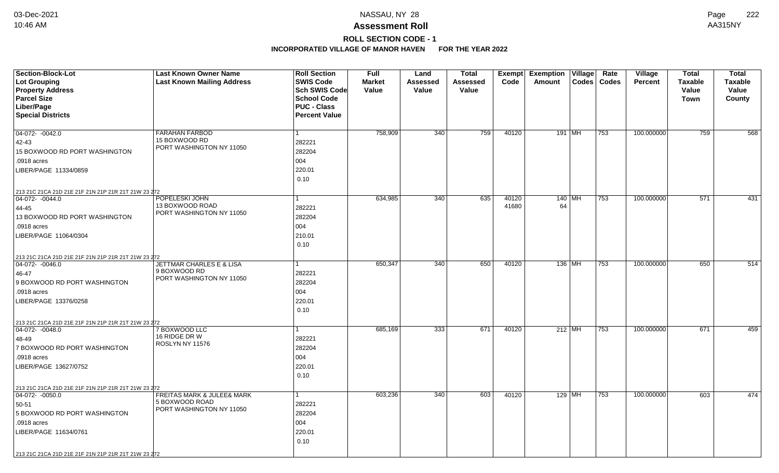## **ROLL SECTION CODE - 1**

| Section-Block-Lot<br><b>Lot Grouping</b>            | <b>Last Known Owner Name</b><br><b>Last Known Mailing Address</b> | <b>Roll Section</b><br><b>SWIS Code</b> | <b>Full</b><br><b>Market</b> | Land<br>Assessed | <b>Total</b><br>Assessed | Exempt<br>Code | <b>Exemption Village</b><br>Amount | Rate<br>Codes   Codes | Village<br><b>Percent</b> | <b>Total</b><br><b>Taxable</b> | <b>Total</b><br><b>Taxable</b> |
|-----------------------------------------------------|-------------------------------------------------------------------|-----------------------------------------|------------------------------|------------------|--------------------------|----------------|------------------------------------|-----------------------|---------------------------|--------------------------------|--------------------------------|
| <b>Property Address</b>                             |                                                                   | Sch SWIS Code<br><b>School Code</b>     | Value                        | Value            | Value                    |                |                                    |                       |                           | Value                          | Value                          |
| <b>Parcel Size</b><br>Liber/Page                    |                                                                   | <b>PUC - Class</b>                      |                              |                  |                          |                |                                    |                       |                           | <b>Town</b>                    | County                         |
| <b>Special Districts</b>                            |                                                                   | <b>Percent Value</b>                    |                              |                  |                          |                |                                    |                       |                           |                                |                                |
|                                                     |                                                                   |                                         |                              |                  |                          |                |                                    |                       |                           |                                |                                |
| $04-072 - 0042.0$                                   | <b>FARAHAN FARBOD</b>                                             | $\mathbf{1}$                            | 758,909                      | 340              | 759                      | 40120          | 191   MH                           | 753                   | 100.000000                | 759                            | 568                            |
| 42-43                                               | 15 BOXWOOD RD                                                     | 282221                                  |                              |                  |                          |                |                                    |                       |                           |                                |                                |
| 15 BOXWOOD RD PORT WASHINGTON                       | PORT WASHINGTON NY 11050                                          | 282204                                  |                              |                  |                          |                |                                    |                       |                           |                                |                                |
| .0918 acres                                         |                                                                   | 004                                     |                              |                  |                          |                |                                    |                       |                           |                                |                                |
| LIBER/PAGE 11334/0859                               |                                                                   | 220.01                                  |                              |                  |                          |                |                                    |                       |                           |                                |                                |
|                                                     |                                                                   | 0.10                                    |                              |                  |                          |                |                                    |                       |                           |                                |                                |
| 213 21C 21CA 21D 21E 21F 21N 21P 21R 21T 21W 23 272 |                                                                   |                                         |                              |                  |                          |                |                                    |                       |                           |                                |                                |
| $ 04-072-0044.0$                                    | POPELESKI JOHN                                                    | 1                                       | 634,985                      | 340              | 635                      | 40120          | 140   MH                           | 753                   | 100.000000                | 571                            | 431                            |
| 44-45                                               | 13 BOXWOOD ROAD                                                   | 282221                                  |                              |                  |                          | 41680          | 64                                 |                       |                           |                                |                                |
| 13 BOXWOOD RD PORT WASHINGTON                       | PORT WASHINGTON NY 11050                                          | 282204                                  |                              |                  |                          |                |                                    |                       |                           |                                |                                |
| .0918 acres                                         |                                                                   | 004                                     |                              |                  |                          |                |                                    |                       |                           |                                |                                |
| LIBER/PAGE 11064/0304                               |                                                                   | 210.01                                  |                              |                  |                          |                |                                    |                       |                           |                                |                                |
|                                                     |                                                                   | 0.10                                    |                              |                  |                          |                |                                    |                       |                           |                                |                                |
| 213 21C 21CA 21D 21E 21F 21N 21P 21R 21T 21W 23 272 |                                                                   |                                         |                              |                  |                          |                |                                    |                       |                           |                                |                                |
| $ 04-072-0046.0$                                    | <b>JETTMAR CHARLES E &amp; LISA</b>                               | 1                                       | 650,347                      | 340              | 650                      | 40120          | $136$ MH                           | 753                   | 100.000000                | 650                            | 514                            |
| 46-47                                               | 9 BOXWOOD RD<br>PORT WASHINGTON NY 11050                          | 282221                                  |                              |                  |                          |                |                                    |                       |                           |                                |                                |
| 9 BOXWOOD RD PORT WASHINGTON                        |                                                                   | 282204                                  |                              |                  |                          |                |                                    |                       |                           |                                |                                |
| .0918 acres                                         |                                                                   | 004                                     |                              |                  |                          |                |                                    |                       |                           |                                |                                |
| LIBER/PAGE 13376/0258                               |                                                                   | 220.01                                  |                              |                  |                          |                |                                    |                       |                           |                                |                                |
|                                                     |                                                                   | 0.10                                    |                              |                  |                          |                |                                    |                       |                           |                                |                                |
| 213 21C 21CA 21D 21E 21F 21N 21P 21R 21T 21W 23 272 |                                                                   |                                         |                              |                  |                          |                |                                    |                       |                           |                                |                                |
| $ 04-072-0048.0$                                    | 7 BOXWOOD LLC<br>16 RIDGE DR W                                    | $\mathbf{1}$                            | 685,169                      | 333              | 671                      | 40120          | $212$ MH                           | 753                   | 100.000000                | 671                            | 459                            |
| 48-49                                               | ROSLYN NY 11576                                                   | 282221                                  |                              |                  |                          |                |                                    |                       |                           |                                |                                |
| 7 BOXWOOD RD PORT WASHINGTON                        |                                                                   | 282204                                  |                              |                  |                          |                |                                    |                       |                           |                                |                                |
| .0918 acres                                         |                                                                   | 004                                     |                              |                  |                          |                |                                    |                       |                           |                                |                                |
| LIBER/PAGE 13627/0752                               |                                                                   | 220.01                                  |                              |                  |                          |                |                                    |                       |                           |                                |                                |
|                                                     |                                                                   | 0.10                                    |                              |                  |                          |                |                                    |                       |                           |                                |                                |
| 213 21C 21CA 21D 21E 21F 21N 21P 21R 21T 21W 23 272 |                                                                   |                                         |                              |                  |                          |                |                                    |                       |                           |                                |                                |
| $\boxed{04-072 - 0050.0}$                           | <b>FREITAS MARK &amp; JULEE&amp; MARK</b><br>5 BOXWOOD ROAD       | $\mathbf{1}$                            | 603,236                      | 340              | 603                      | 40120          | 129 MH                             | 753                   | 100.000000                | 603                            | 474                            |
| 50-51                                               | PORT WASHINGTON NY 11050                                          | 282221                                  |                              |                  |                          |                |                                    |                       |                           |                                |                                |
| 5 BOXWOOD RD PORT WASHINGTON                        |                                                                   | 282204                                  |                              |                  |                          |                |                                    |                       |                           |                                |                                |
| .0918 acres                                         |                                                                   | 004                                     |                              |                  |                          |                |                                    |                       |                           |                                |                                |
| LIBER/PAGE 11634/0761                               |                                                                   | 220.01                                  |                              |                  |                          |                |                                    |                       |                           |                                |                                |
|                                                     |                                                                   | 0.10                                    |                              |                  |                          |                |                                    |                       |                           |                                |                                |
| 213 21C 21CA 21D 21E 21F 21N 21P 21R 21T 21W 23 272 |                                                                   |                                         |                              |                  |                          |                |                                    |                       |                           |                                |                                |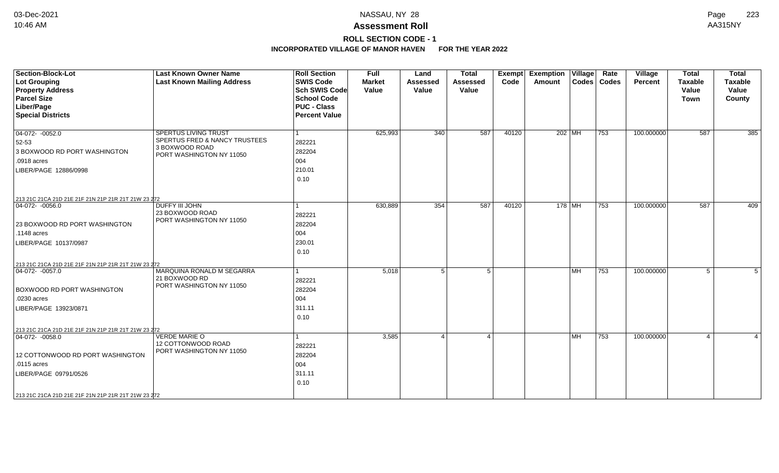## **ROLL SECTION CODE - 1**

| Codes   Codes<br>Sch SWIS Code<br><b>Property Address</b><br>Value<br>Value<br>Value<br>Value<br>Value<br><b>Parcel Size</b><br><b>School Code</b><br><b>Town</b><br>County<br>Liber/Page<br><b>PUC - Class</b><br><b>Percent Value</b><br>SPERTUS LIVING TRUST<br>625,993<br>340<br>587<br>40120<br>202 MH<br>100.000000<br>587<br>385<br>753<br>SPERTUS FRED & NANCY TRUSTEES<br>282221<br>3 BOXWOOD ROAD<br>282204<br>PORT WASHINGTON NY 11050<br>004<br>.0918 acres<br>210.01<br>0.10<br>213 21C 21CA 21D 21E 21F 21N 21P 21R 21T 21W 23 272<br>354<br>587<br>753<br>587<br>409<br>DUFFY III JOHN<br>630,889<br>40120<br>178 MH<br>100.000000<br>23 BOXWOOD ROAD<br>282221<br>PORT WASHINGTON NY 11050<br>282204<br>.1148 acres<br>004<br>230.01 | <b>Section-Block-Lot</b><br><b>Lot Grouping</b> | <b>Last Known Owner Name</b><br><b>Last Known Mailing Address</b> | <b>Roll Section</b><br><b>SWIS Code</b> | <b>Full</b><br><b>Market</b> | Land<br><b>Assessed</b> | <b>Total</b><br><b>Assessed</b> | Exempt<br>Code | <b>Exemption Village</b><br>Amount | Rate | Village<br>Percent | <b>Total</b><br><b>Taxable</b> | <b>Total</b><br><b>Taxable</b> |
|------------------------------------------------------------------------------------------------------------------------------------------------------------------------------------------------------------------------------------------------------------------------------------------------------------------------------------------------------------------------------------------------------------------------------------------------------------------------------------------------------------------------------------------------------------------------------------------------------------------------------------------------------------------------------------------------------------------------------------------------------|-------------------------------------------------|-------------------------------------------------------------------|-----------------------------------------|------------------------------|-------------------------|---------------------------------|----------------|------------------------------------|------|--------------------|--------------------------------|--------------------------------|
|                                                                                                                                                                                                                                                                                                                                                                                                                                                                                                                                                                                                                                                                                                                                                      |                                                 |                                                                   |                                         |                              |                         |                                 |                |                                    |      |                    |                                |                                |
|                                                                                                                                                                                                                                                                                                                                                                                                                                                                                                                                                                                                                                                                                                                                                      |                                                 |                                                                   |                                         |                              |                         |                                 |                |                                    |      |                    |                                |                                |
|                                                                                                                                                                                                                                                                                                                                                                                                                                                                                                                                                                                                                                                                                                                                                      |                                                 |                                                                   |                                         |                              |                         |                                 |                |                                    |      |                    |                                |                                |
|                                                                                                                                                                                                                                                                                                                                                                                                                                                                                                                                                                                                                                                                                                                                                      | <b>Special Districts</b>                        |                                                                   |                                         |                              |                         |                                 |                |                                    |      |                    |                                |                                |
|                                                                                                                                                                                                                                                                                                                                                                                                                                                                                                                                                                                                                                                                                                                                                      |                                                 |                                                                   |                                         |                              |                         |                                 |                |                                    |      |                    |                                |                                |
|                                                                                                                                                                                                                                                                                                                                                                                                                                                                                                                                                                                                                                                                                                                                                      | $04-072 - 0052.0$                               |                                                                   |                                         |                              |                         |                                 |                |                                    |      |                    |                                |                                |
|                                                                                                                                                                                                                                                                                                                                                                                                                                                                                                                                                                                                                                                                                                                                                      | 52-53                                           |                                                                   |                                         |                              |                         |                                 |                |                                    |      |                    |                                |                                |
|                                                                                                                                                                                                                                                                                                                                                                                                                                                                                                                                                                                                                                                                                                                                                      | 3 BOXWOOD RD PORT WASHINGTON                    |                                                                   |                                         |                              |                         |                                 |                |                                    |      |                    |                                |                                |
|                                                                                                                                                                                                                                                                                                                                                                                                                                                                                                                                                                                                                                                                                                                                                      |                                                 |                                                                   |                                         |                              |                         |                                 |                |                                    |      |                    |                                |                                |
|                                                                                                                                                                                                                                                                                                                                                                                                                                                                                                                                                                                                                                                                                                                                                      | LIBER/PAGE 12886/0998                           |                                                                   |                                         |                              |                         |                                 |                |                                    |      |                    |                                |                                |
|                                                                                                                                                                                                                                                                                                                                                                                                                                                                                                                                                                                                                                                                                                                                                      |                                                 |                                                                   |                                         |                              |                         |                                 |                |                                    |      |                    |                                |                                |
|                                                                                                                                                                                                                                                                                                                                                                                                                                                                                                                                                                                                                                                                                                                                                      |                                                 |                                                                   |                                         |                              |                         |                                 |                |                                    |      |                    |                                |                                |
|                                                                                                                                                                                                                                                                                                                                                                                                                                                                                                                                                                                                                                                                                                                                                      |                                                 |                                                                   |                                         |                              |                         |                                 |                |                                    |      |                    |                                |                                |
|                                                                                                                                                                                                                                                                                                                                                                                                                                                                                                                                                                                                                                                                                                                                                      | $04-072 - -0056.0$                              |                                                                   |                                         |                              |                         |                                 |                |                                    |      |                    |                                |                                |
|                                                                                                                                                                                                                                                                                                                                                                                                                                                                                                                                                                                                                                                                                                                                                      |                                                 |                                                                   |                                         |                              |                         |                                 |                |                                    |      |                    |                                |                                |
|                                                                                                                                                                                                                                                                                                                                                                                                                                                                                                                                                                                                                                                                                                                                                      | 23 BOXWOOD RD PORT WASHINGTON                   |                                                                   |                                         |                              |                         |                                 |                |                                    |      |                    |                                |                                |
|                                                                                                                                                                                                                                                                                                                                                                                                                                                                                                                                                                                                                                                                                                                                                      |                                                 |                                                                   |                                         |                              |                         |                                 |                |                                    |      |                    |                                |                                |
|                                                                                                                                                                                                                                                                                                                                                                                                                                                                                                                                                                                                                                                                                                                                                      | LIBER/PAGE 10137/0987                           |                                                                   |                                         |                              |                         |                                 |                |                                    |      |                    |                                |                                |
|                                                                                                                                                                                                                                                                                                                                                                                                                                                                                                                                                                                                                                                                                                                                                      |                                                 |                                                                   | 0.10                                    |                              |                         |                                 |                |                                    |      |                    |                                |                                |
| 213 21C 21CA 21D 21E 21F 21N 21P 21R 21T 21W 23 272                                                                                                                                                                                                                                                                                                                                                                                                                                                                                                                                                                                                                                                                                                  |                                                 |                                                                   |                                         |                              |                         |                                 |                |                                    |      |                    |                                |                                |
| MARQUINA RONALD M SEGARRA<br>5<br><b>MH</b><br>753<br>100.000000<br>5<br>5,018<br>5<br>5                                                                                                                                                                                                                                                                                                                                                                                                                                                                                                                                                                                                                                                             | $ 04-072-0057.0$                                |                                                                   |                                         |                              |                         |                                 |                |                                    |      |                    |                                |                                |
| 21 BOXWOOD RD<br>282221                                                                                                                                                                                                                                                                                                                                                                                                                                                                                                                                                                                                                                                                                                                              |                                                 |                                                                   |                                         |                              |                         |                                 |                |                                    |      |                    |                                |                                |
| PORT WASHINGTON NY 11050<br>282204                                                                                                                                                                                                                                                                                                                                                                                                                                                                                                                                                                                                                                                                                                                   | <b>BOXWOOD RD PORT WASHINGTON</b>               |                                                                   |                                         |                              |                         |                                 |                |                                    |      |                    |                                |                                |
| 004<br>.0230 acres                                                                                                                                                                                                                                                                                                                                                                                                                                                                                                                                                                                                                                                                                                                                   |                                                 |                                                                   |                                         |                              |                         |                                 |                |                                    |      |                    |                                |                                |
| 311.11                                                                                                                                                                                                                                                                                                                                                                                                                                                                                                                                                                                                                                                                                                                                               | LIBER/PAGE 13923/0871                           |                                                                   |                                         |                              |                         |                                 |                |                                    |      |                    |                                |                                |
| 0.10                                                                                                                                                                                                                                                                                                                                                                                                                                                                                                                                                                                                                                                                                                                                                 |                                                 |                                                                   |                                         |                              |                         |                                 |                |                                    |      |                    |                                |                                |
| 213 21C 21CA 21D 21E 21F 21N 21P 21R 21T 21W 23 272                                                                                                                                                                                                                                                                                                                                                                                                                                                                                                                                                                                                                                                                                                  |                                                 |                                                                   |                                         |                              |                         |                                 |                |                                    |      |                    |                                |                                |
| <b>VERDE MARIE O</b><br>3,585<br><b>MH</b><br>753<br>100.000000<br>$\Delta$<br>$\overline{4}$<br>$\overline{4}$<br>$\overline{4}$                                                                                                                                                                                                                                                                                                                                                                                                                                                                                                                                                                                                                    | $ 04-072-0058.0$                                |                                                                   |                                         |                              |                         |                                 |                |                                    |      |                    |                                |                                |
| 12 COTTONWOOD ROAD<br>282221                                                                                                                                                                                                                                                                                                                                                                                                                                                                                                                                                                                                                                                                                                                         |                                                 |                                                                   |                                         |                              |                         |                                 |                |                                    |      |                    |                                |                                |
| PORT WASHINGTON NY 11050<br>282204                                                                                                                                                                                                                                                                                                                                                                                                                                                                                                                                                                                                                                                                                                                   | 12 COTTONWOOD RD PORT WASHINGTON                |                                                                   |                                         |                              |                         |                                 |                |                                    |      |                    |                                |                                |
| 004<br>.0115 acres                                                                                                                                                                                                                                                                                                                                                                                                                                                                                                                                                                                                                                                                                                                                   |                                                 |                                                                   |                                         |                              |                         |                                 |                |                                    |      |                    |                                |                                |
| 311.11                                                                                                                                                                                                                                                                                                                                                                                                                                                                                                                                                                                                                                                                                                                                               | LIBER/PAGE 09791/0526                           |                                                                   |                                         |                              |                         |                                 |                |                                    |      |                    |                                |                                |
| 0.10                                                                                                                                                                                                                                                                                                                                                                                                                                                                                                                                                                                                                                                                                                                                                 |                                                 |                                                                   |                                         |                              |                         |                                 |                |                                    |      |                    |                                |                                |
| 213 21C 21CA 21D 21E 21F 21N 21P 21R 21T 21W 23 272                                                                                                                                                                                                                                                                                                                                                                                                                                                                                                                                                                                                                                                                                                  |                                                 |                                                                   |                                         |                              |                         |                                 |                |                                    |      |                    |                                |                                |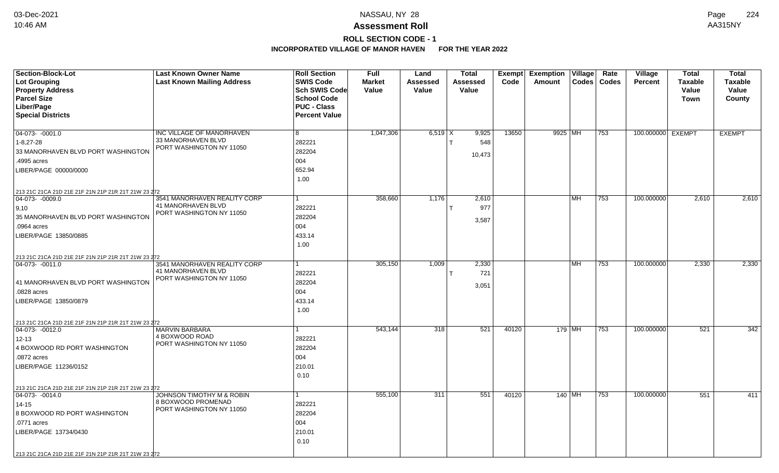# **ROLL SECTION CODE - 1**

| <b>Section-Block-Lot</b>                                             | <b>Last Known Owner Name</b>                   | <b>Roll Section</b>  | <b>Full</b>   | Land             | <b>Total</b> |       | <b>Exempt Exemption Village</b> |           | Rate          | Village           | Total          | <b>Total</b>   |
|----------------------------------------------------------------------|------------------------------------------------|----------------------|---------------|------------------|--------------|-------|---------------------------------|-----------|---------------|-------------------|----------------|----------------|
| <b>Lot Grouping</b>                                                  | <b>Last Known Mailing Address</b>              | <b>SWIS Code</b>     | <b>Market</b> | Assessed         | Assessed     | Code  | Amount                          |           | Codes   Codes | <b>Percent</b>    | <b>Taxable</b> | <b>Taxable</b> |
| <b>Property Address</b>                                              |                                                | Sch SWIS Code        | Value         | Value            | Value        |       |                                 |           |               |                   | Value          | Value          |
| <b>Parcel Size</b>                                                   |                                                | <b>School Code</b>   |               |                  |              |       |                                 |           |               |                   | <b>Town</b>    | County         |
| Liber/Page                                                           |                                                | <b>PUC - Class</b>   |               |                  |              |       |                                 |           |               |                   |                |                |
| <b>Special Districts</b>                                             |                                                | <b>Percent Value</b> |               |                  |              |       |                                 |           |               |                   |                |                |
|                                                                      |                                                |                      |               |                  |              |       |                                 |           |               |                   |                |                |
| $ 04-073-0001.0$                                                     | INC VILLAGE OF MANORHAVEN                      | 8                    | 1,047,306     | $6,519$ $\times$ | 9,925        | 13650 | 9925 MH                         |           | 753           | 100.000000 EXEMPT |                | <b>EXEMPT</b>  |
| $1 - 8,27 - 28$                                                      | 33 MANORHAVEN BLVD<br>PORT WASHINGTON NY 11050 | 282221               |               |                  | 548          |       |                                 |           |               |                   |                |                |
| 33 MANORHAVEN BLVD PORT WASHINGTON                                   |                                                | 282204               |               |                  | 10,473       |       |                                 |           |               |                   |                |                |
| .4995 acres                                                          |                                                | 004                  |               |                  |              |       |                                 |           |               |                   |                |                |
| LIBER/PAGE 00000/0000                                                |                                                | 652.94               |               |                  |              |       |                                 |           |               |                   |                |                |
|                                                                      |                                                | 1.00                 |               |                  |              |       |                                 |           |               |                   |                |                |
| 213 21C 21CA 21D 21E 21F 21N 21P 21R 21T 21W 23 272                  |                                                |                      |               |                  |              |       |                                 |           |               |                   |                |                |
| $ 04-073-0009.0$                                                     | 3541 MANORHAVEN REALITY CORP                   |                      | 358,660       | 1,176            | 2,610        |       |                                 | <b>MH</b> | 753           | 100.000000        | 2,610          | 2,610          |
| 9,10                                                                 | 41 MANORHAVEN BLVD                             | 282221               |               |                  | 977          |       |                                 |           |               |                   |                |                |
| 35 MANORHAVEN BLVD PORT WASHINGTON                                   | PORT WASHINGTON NY 11050                       | 282204               |               |                  |              |       |                                 |           |               |                   |                |                |
| .0964 acres                                                          |                                                | 004                  |               |                  | 3,587        |       |                                 |           |               |                   |                |                |
| LIBER/PAGE 13850/0885                                                |                                                | 433.14               |               |                  |              |       |                                 |           |               |                   |                |                |
|                                                                      |                                                | 1.00                 |               |                  |              |       |                                 |           |               |                   |                |                |
|                                                                      |                                                |                      |               |                  |              |       |                                 |           |               |                   |                |                |
| 213 21C 21CA 21D 21E 21F 21N 21P 21R 21T 21W 23 272<br>04-073-0011.0 | 3541 MANORHAVEN REALITY CORP                   |                      | 305,150       | 1,009            | 2,330        |       |                                 | <b>MH</b> | 753           | 100.000000        | 2,330          | 2,330          |
|                                                                      | 41 MANORHAVEN BLVD                             | 282221               |               |                  | 721          |       |                                 |           |               |                   |                |                |
|                                                                      | PORT WASHINGTON NY 11050                       | 282204               |               |                  |              |       |                                 |           |               |                   |                |                |
| 41 MANORHAVEN BLVD PORT WASHINGTON                                   |                                                |                      |               |                  | 3,051        |       |                                 |           |               |                   |                |                |
| .0828 acres                                                          |                                                | 004                  |               |                  |              |       |                                 |           |               |                   |                |                |
| LIBER/PAGE 13850/0879                                                |                                                | 433.14               |               |                  |              |       |                                 |           |               |                   |                |                |
|                                                                      |                                                | 1.00                 |               |                  |              |       |                                 |           |               |                   |                |                |
| 213 21C 21CA 21D 21E 21F 21N 21P 21R 21T 21W 23 272                  |                                                |                      |               |                  |              |       |                                 |           |               |                   |                |                |
| $ 04-073-0012.0$                                                     | <b>MARVIN BARBARA</b>                          |                      | 543,144       | 318              | 521          | 40120 | 179 MH                          |           | 753           | 100.000000        | 521            | 342            |
| $12 - 13$                                                            | 4 BOXWOOD ROAD<br>PORT WASHINGTON NY 11050     | 282221               |               |                  |              |       |                                 |           |               |                   |                |                |
| 4 BOXWOOD RD PORT WASHINGTON                                         |                                                | 282204               |               |                  |              |       |                                 |           |               |                   |                |                |
| .0872 acres                                                          |                                                | 004                  |               |                  |              |       |                                 |           |               |                   |                |                |
| LIBER/PAGE 11236/0152                                                |                                                | 210.01               |               |                  |              |       |                                 |           |               |                   |                |                |
|                                                                      |                                                | 0.10                 |               |                  |              |       |                                 |           |               |                   |                |                |
| 213 21C 21CA 21D 21E 21F 21N 21P 21R 21T 21W 23 272                  |                                                |                      |               |                  |              |       |                                 |           |               |                   |                |                |
| 04-073- -0014.0                                                      | <b>JOHNSON TIMOTHY M &amp; ROBIN</b>           |                      | 555,100       | 311              | 551          | 40120 |                                 | 140 MH    | 753           | 100.000000        | 551            | 411            |
| $14 - 15$                                                            | 8 BOXWOOD PROMENAD                             | 282221               |               |                  |              |       |                                 |           |               |                   |                |                |
| 8 BOXWOOD RD PORT WASHINGTON                                         | PORT WASHINGTON NY 11050                       | 282204               |               |                  |              |       |                                 |           |               |                   |                |                |
| .0771 acres                                                          |                                                | 004                  |               |                  |              |       |                                 |           |               |                   |                |                |
| LIBER/PAGE 13734/0430                                                |                                                | 210.01               |               |                  |              |       |                                 |           |               |                   |                |                |
|                                                                      |                                                | 0.10                 |               |                  |              |       |                                 |           |               |                   |                |                |
|                                                                      |                                                |                      |               |                  |              |       |                                 |           |               |                   |                |                |
| 213 21C 21CA 21D 21E 21F 21N 21P 21R 21T 21W 23 272                  |                                                |                      |               |                  |              |       |                                 |           |               |                   |                |                |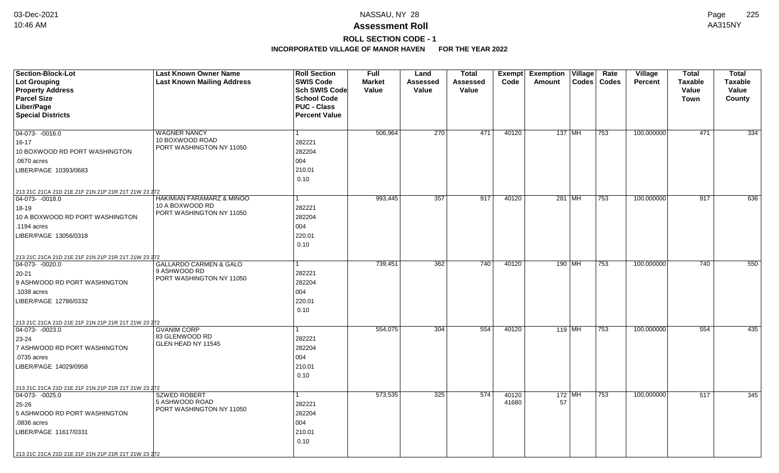# **ROLL SECTION CODE - 1**

| Section-Block-Lot                                                       | <b>Last Known Owner Name</b>      | <b>Roll Section</b>  | <b>Full</b>   | Land             | <b>Total</b>    | Exempt | <b>Exemption Village</b> |          | Rate          | Village        | <b>Total</b>   | <b>Total</b>   |
|-------------------------------------------------------------------------|-----------------------------------|----------------------|---------------|------------------|-----------------|--------|--------------------------|----------|---------------|----------------|----------------|----------------|
| <b>Lot Grouping</b>                                                     | <b>Last Known Mailing Address</b> | <b>SWIS Code</b>     | <b>Market</b> | <b>Assessed</b>  | <b>Assessed</b> | Code   | Amount                   |          | Codes   Codes | <b>Percent</b> | <b>Taxable</b> | <b>Taxable</b> |
| <b>Property Address</b>                                                 |                                   | <b>Sch SWIS Code</b> | Value         | Value            | Value           |        |                          |          |               |                | Value          | Value          |
| <b>Parcel Size</b>                                                      |                                   | <b>School Code</b>   |               |                  |                 |        |                          |          |               |                | Town           | County         |
| Liber/Page                                                              |                                   | <b>PUC - Class</b>   |               |                  |                 |        |                          |          |               |                |                |                |
| <b>Special Districts</b>                                                |                                   | <b>Percent Value</b> |               |                  |                 |        |                          |          |               |                |                |                |
|                                                                         |                                   |                      |               |                  |                 |        |                          |          |               |                |                |                |
| 04-073- -0016.0                                                         | <b>WAGNER NANCY</b>               | 1                    | 506,964       | $\overline{270}$ | 471             | 40120  |                          | 137 MH   | 753           | 100.000000     | 471            | 334            |
| $16 - 17$                                                               | 10 BOXWOOD ROAD                   | 282221               |               |                  |                 |        |                          |          |               |                |                |                |
| 10 BOXWOOD RD PORT WASHINGTON                                           | PORT WASHINGTON NY 11050          | 282204               |               |                  |                 |        |                          |          |               |                |                |                |
| .0670 acres                                                             |                                   | 004                  |               |                  |                 |        |                          |          |               |                |                |                |
| LIBER/PAGE 10393/0683                                                   |                                   | 210.01               |               |                  |                 |        |                          |          |               |                |                |                |
|                                                                         |                                   | 0.10                 |               |                  |                 |        |                          |          |               |                |                |                |
| 213 21C 21CA 21D 21E 21F 21N 21P 21R 21T 21W 23 272                     |                                   |                      |               |                  |                 |        |                          |          |               |                |                |                |
| $ 04-073-0018.0$                                                        | HAKIMIAN FARAMARZ & MINOO         | 1                    | 993,445       | 357              | 917             | 40120  |                          | 281 MH   | 753           | 100.000000     | 917            | 636            |
| 18-19                                                                   | 10 A BOXWOOD RD                   | 282221               |               |                  |                 |        |                          |          |               |                |                |                |
| 10 A BOXWOOD RD PORT WASHINGTON                                         | PORT WASHINGTON NY 11050          | 282204               |               |                  |                 |        |                          |          |               |                |                |                |
| .1194 acres                                                             |                                   | 004                  |               |                  |                 |        |                          |          |               |                |                |                |
| LIBER/PAGE 13056/0318                                                   |                                   | 220.01               |               |                  |                 |        |                          |          |               |                |                |                |
|                                                                         |                                   | 0.10                 |               |                  |                 |        |                          |          |               |                |                |                |
|                                                                         |                                   |                      |               |                  |                 |        |                          |          |               |                |                |                |
| 213 21C 21CA 21D 21E 21F 21N 21P 21R 21T 21W 23 272<br>04-073- -0020.0  | <b>GALLARDO CARMEN &amp; GALO</b> |                      | 739,451       | 362              | 740             | 40120  |                          | 190 MH   | 753           | 100.000000     | 740            | 550            |
| 20-21                                                                   | 9 ASHWOOD RD                      | 282221               |               |                  |                 |        |                          |          |               |                |                |                |
| 9 ASHWOOD RD PORT WASHINGTON                                            | PORT WASHINGTON NY 11050          | 282204               |               |                  |                 |        |                          |          |               |                |                |                |
| .1038 acres                                                             |                                   | 004                  |               |                  |                 |        |                          |          |               |                |                |                |
| LIBER/PAGE 12786/0332                                                   |                                   | 220.01               |               |                  |                 |        |                          |          |               |                |                |                |
|                                                                         |                                   | 0.10                 |               |                  |                 |        |                          |          |               |                |                |                |
|                                                                         |                                   |                      |               |                  |                 |        |                          |          |               |                |                |                |
| 213 21C 21CA 21D 21E 21F 21N 21P 21R 21T 21W 23 272<br>$ 04-073-0023.0$ | <b>GVANIM CORP</b>                | 1                    | 554,075       | 304              | 554             | 40120  |                          | $119$ MH | 753           | 100.000000     | 554            | 435            |
| 23-24                                                                   | 83 GLENWOOD RD                    | 282221               |               |                  |                 |        |                          |          |               |                |                |                |
| 7 ASHWOOD RD PORT WASHINGTON                                            | GLEN HEAD NY 11545                | 282204               |               |                  |                 |        |                          |          |               |                |                |                |
| .0735 acres                                                             |                                   | 004                  |               |                  |                 |        |                          |          |               |                |                |                |
| LIBER/PAGE 14029/0958                                                   |                                   | 210.01               |               |                  |                 |        |                          |          |               |                |                |                |
|                                                                         |                                   | 0.10                 |               |                  |                 |        |                          |          |               |                |                |                |
|                                                                         |                                   |                      |               |                  |                 |        |                          |          |               |                |                |                |
| 213 21C 21CA 21D 21E 21F 21N 21P 21R 21T 21W 23 272                     | <b>SZWED ROBERT</b>               | 1                    | 573,535       | 325              | 574             | 40120  |                          | $172$ MH |               | 100.000000     | 517            | 345            |
| 04-073- -0025.0                                                         | 5 ASHWOOD ROAD                    |                      |               |                  |                 | 41680  | 57                       |          | 753           |                |                |                |
| 25-26                                                                   | PORT WASHINGTON NY 11050          | 282221               |               |                  |                 |        |                          |          |               |                |                |                |
| 5 ASHWOOD RD PORT WASHINGTON                                            |                                   | 282204               |               |                  |                 |        |                          |          |               |                |                |                |
| .0836 acres                                                             |                                   | 004                  |               |                  |                 |        |                          |          |               |                |                |                |
| LIBER/PAGE 11617/0331                                                   |                                   | 210.01               |               |                  |                 |        |                          |          |               |                |                |                |
|                                                                         |                                   | 0.10                 |               |                  |                 |        |                          |          |               |                |                |                |
| 213 21C 21CA 21D 21E 21F 21N 21P 21R 21T 21W 23 272                     |                                   |                      |               |                  |                 |        |                          |          |               |                |                |                |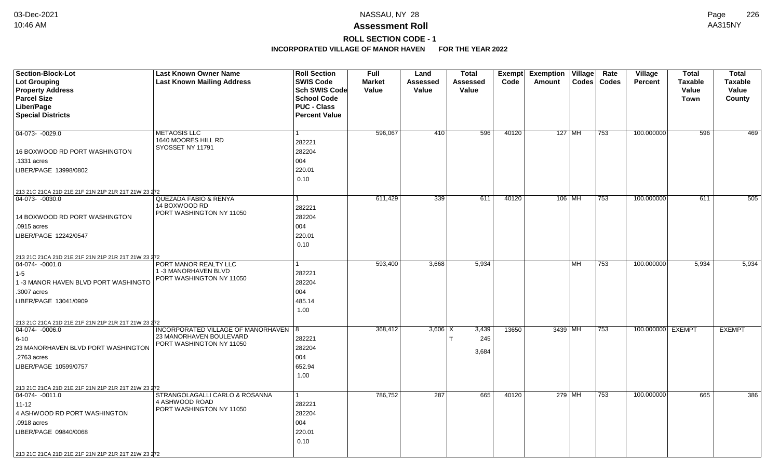# **ROLL SECTION CODE - 1**

| <b>Section-Block-Lot</b>                            | <b>Last Known Owner Name</b>                        | <b>Roll Section</b>  | <b>Full</b>   | Land            | <b>Total</b> | Exempt | <b>Exemption Village</b> |           | Rate          | Village           | <b>Total</b>   | <b>Total</b>   |
|-----------------------------------------------------|-----------------------------------------------------|----------------------|---------------|-----------------|--------------|--------|--------------------------|-----------|---------------|-------------------|----------------|----------------|
| <b>Lot Grouping</b>                                 | <b>Last Known Mailing Address</b>                   | <b>SWIS Code</b>     | <b>Market</b> | <b>Assessed</b> | Assessed     | Code   | Amount                   |           | Codes   Codes | Percent           | <b>Taxable</b> | <b>Taxable</b> |
| <b>Property Address</b>                             |                                                     | <b>Sch SWIS Code</b> | Value         | Value           | Value        |        |                          |           |               |                   | Value          | Value          |
| <b>Parcel Size</b>                                  |                                                     | <b>School Code</b>   |               |                 |              |        |                          |           |               |                   | <b>Town</b>    | County         |
| Liber/Page                                          |                                                     | <b>PUC - Class</b>   |               |                 |              |        |                          |           |               |                   |                |                |
| <b>Special Districts</b>                            |                                                     | <b>Percent Value</b> |               |                 |              |        |                          |           |               |                   |                |                |
|                                                     |                                                     |                      |               |                 |              |        |                          |           |               |                   |                |                |
| 04-073- -0029.0                                     | <b>METAOSIS LLC</b>                                 | 1                    | 596,067       | 410             | 596          | 40120  | $127$ MH                 |           | 753           | 100.000000        | 596            | 469            |
|                                                     | 1640 MOORES HILL RD                                 | 282221               |               |                 |              |        |                          |           |               |                   |                |                |
| 16 BOXWOOD RD PORT WASHINGTON                       | SYOSSET NY 11791                                    | 282204               |               |                 |              |        |                          |           |               |                   |                |                |
| .1331 acres                                         |                                                     | 004                  |               |                 |              |        |                          |           |               |                   |                |                |
| LIBER/PAGE 13998/0802                               |                                                     | 220.01               |               |                 |              |        |                          |           |               |                   |                |                |
|                                                     |                                                     | 0.10                 |               |                 |              |        |                          |           |               |                   |                |                |
| 213 21C 21CA 21D 21E 21F 21N 21P 21R 21T 21W 23 272 |                                                     |                      |               |                 |              |        |                          |           |               |                   |                |                |
| 04-073- -0030.0                                     | QUEZADA FABIO & RENYA                               | 1                    | 611,429       | 339             | 611          | 40120  | 106 MH                   |           | 753           | 100.000000        | 611            | 505            |
|                                                     | 14 BOXWOOD RD                                       | 282221               |               |                 |              |        |                          |           |               |                   |                |                |
| 14 BOXWOOD RD PORT WASHINGTON                       | PORT WASHINGTON NY 11050                            | 282204               |               |                 |              |        |                          |           |               |                   |                |                |
| .0915 acres                                         |                                                     | 004                  |               |                 |              |        |                          |           |               |                   |                |                |
| LIBER/PAGE 12242/0547                               |                                                     | 220.01               |               |                 |              |        |                          |           |               |                   |                |                |
|                                                     |                                                     | 0.10                 |               |                 |              |        |                          |           |               |                   |                |                |
|                                                     |                                                     |                      |               |                 |              |        |                          |           |               |                   |                |                |
| 213 21C 21CA 21D 21E 21F 21N 21P 21R 21T 21W 23 272 | PORT MANOR REALTY LLC                               |                      |               |                 |              |        |                          |           |               | 100.000000        |                |                |
| 04-074-0001.0                                       | 1-3 MANORHAVEN BLVD                                 |                      | 593,400       | 3,668           | 5,934        |        |                          | <b>MH</b> | 753           |                   | 5,934          | 5,934          |
| $1 - 5$                                             | PORT WASHINGTON NY 11050                            | 282221               |               |                 |              |        |                          |           |               |                   |                |                |
| 1 -3 MANOR HAVEN BLVD PORT WASHINGTO                |                                                     | 282204               |               |                 |              |        |                          |           |               |                   |                |                |
| .3007 acres                                         |                                                     | 004                  |               |                 |              |        |                          |           |               |                   |                |                |
| LIBER/PAGE 13041/0909                               |                                                     | 485.14               |               |                 |              |        |                          |           |               |                   |                |                |
|                                                     |                                                     | 1.00                 |               |                 |              |        |                          |           |               |                   |                |                |
| 213 21C 21CA 21D 21E 21F 21N 21P 21R 21T 21W 23 272 |                                                     |                      |               |                 |              |        |                          |           |               |                   |                |                |
| $ 04-074-0006.0$                                    | INCORPORATED VILLAGE OF MANORHAVEN 8                |                      | 368,412       | $3,606$ X       | 3,439        | 13650  | 3439 MH                  |           | 753           | 100.000000 EXEMPT |                | <b>EXEMPT</b>  |
| 6-10                                                | 23 MANORHAVEN BOULEVARD<br>PORT WASHINGTON NY 11050 | 282221               |               |                 | 245          |        |                          |           |               |                   |                |                |
| 23 MANORHAVEN BLVD PORT WASHINGTON                  |                                                     | 282204               |               |                 | 3,684        |        |                          |           |               |                   |                |                |
| .2763 acres                                         |                                                     | 004                  |               |                 |              |        |                          |           |               |                   |                |                |
| LIBER/PAGE 10599/0757                               |                                                     | 652.94               |               |                 |              |        |                          |           |               |                   |                |                |
|                                                     |                                                     | 1.00                 |               |                 |              |        |                          |           |               |                   |                |                |
| 213 21C 21CA 21D 21E 21F 21N 21P 21R 21T 21W 23 272 |                                                     |                      |               |                 |              |        |                          |           |               |                   |                |                |
| 04-074- -0011.0                                     | STRANGOLAGALLI CARLO & ROSANNA                      | 1                    | 786,752       | 287             | 665          | 40120  | 279 MH                   |           | 753           | 100.000000        | 665            | 386            |
| $11 - 12$                                           | 4 ASHWOOD ROAD                                      | 282221               |               |                 |              |        |                          |           |               |                   |                |                |
| 4 ASHWOOD RD PORT WASHINGTON                        | PORT WASHINGTON NY 11050                            | 282204               |               |                 |              |        |                          |           |               |                   |                |                |
| .0918 acres                                         |                                                     | 004                  |               |                 |              |        |                          |           |               |                   |                |                |
| LIBER/PAGE 09840/0068                               |                                                     | 220.01               |               |                 |              |        |                          |           |               |                   |                |                |
|                                                     |                                                     | 0.10                 |               |                 |              |        |                          |           |               |                   |                |                |
|                                                     |                                                     |                      |               |                 |              |        |                          |           |               |                   |                |                |
| 213 21C 21CA 21D 21E 21F 21N 21P 21R 21T 21W 23 272 |                                                     |                      |               |                 |              |        |                          |           |               |                   |                |                |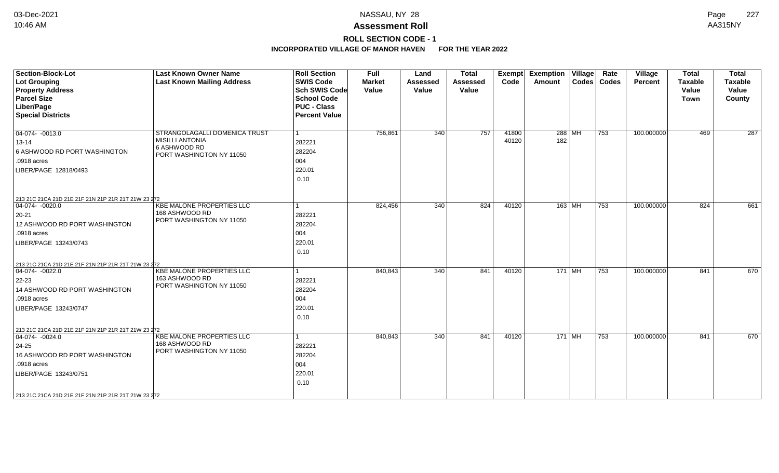## **ROLL SECTION CODE - 1**

| <b>Section-Block-Lot</b><br>Lot Grouping<br><b>Property Address</b><br><b>Parcel Size</b><br>Liber/Page<br><b>Special Districts</b>                                                                                  | <b>Last Known Owner Name</b><br><b>Last Known Mailing Address</b>                                   | <b>Roll Section</b><br><b>SWIS Code</b><br><b>Sch SWIS Code</b><br><b>School Code</b><br><b>PUC - Class</b><br><b>Percent Value</b> | <b>Full</b><br><b>Market</b><br>Value | Land<br><b>Assessed</b><br>Value | <b>Total</b><br><b>Assessed</b><br>Value | Exempt<br>Code | <b>Exemption Village</b><br>Amount | Rate<br>Codes   Codes | Village<br>Percent | <b>Total</b><br><b>Taxable</b><br>Value<br>Town | <b>Total</b><br><b>Taxable</b><br>Value<br>County |
|----------------------------------------------------------------------------------------------------------------------------------------------------------------------------------------------------------------------|-----------------------------------------------------------------------------------------------------|-------------------------------------------------------------------------------------------------------------------------------------|---------------------------------------|----------------------------------|------------------------------------------|----------------|------------------------------------|-----------------------|--------------------|-------------------------------------------------|---------------------------------------------------|
| $\boxed{04-074 - 0013.0}$<br>$13 - 14$<br>6 ASHWOOD RD PORT WASHINGTON<br>.0918 acres<br>LIBER/PAGE 12818/0493                                                                                                       | STRANGOLAGALLI DOMENICA TRUST<br><b>MISILLI ANTONIA</b><br>6 ASHWOOD RD<br>PORT WASHINGTON NY 11050 | 282221<br>282204<br>004<br>220.01<br>0.10                                                                                           | 756,861                               | 340                              | 757                                      | 41800<br>40120 | $288$ MH<br>182                    | 753                   | 100.000000         | 469                                             | 287                                               |
| 213 21C 21CA 21D 21E 21F 21N 21P 21R 21T 21W 23 272<br>$ 04-074-0020.0$<br>$20 - 21$<br>12 ASHWOOD RD PORT WASHINGTON<br>.0918 acres<br>LIBER/PAGE 13243/0743<br>213 21C 21CA 21D 21E 21F 21N 21P 21R 21T 21W 23 272 | <b>KBE MALONE PROPERTIES LLC</b><br>168 ASHWOOD RD<br>PORT WASHINGTON NY 11050                      | 282221<br>282204<br>004<br>220.01<br>0.10                                                                                           | 824,456                               | 340                              | 824                                      | 40120          | $163$ MH                           | 753                   | 100.000000         | 824                                             | 661                                               |
| $ 04-074-0022.0$<br>$22 - 23$<br>14 ASHWOOD RD PORT WASHINGTON<br>.0918 acres<br>LIBER/PAGE 13243/0747                                                                                                               | KBE MALONE PROPERTIES LLC<br>163 ASHWOOD RD<br>PORT WASHINGTON NY 11050                             | 282221<br>282204<br>004<br>220.01<br>0.10                                                                                           | 840,843                               | 340                              | 841                                      | 40120          | 171   $\overline{\text{MH}}$       | 753                   | 100.000000         | 841                                             | 670                                               |
| 213 21C 21CA 21D 21E 21F 21N 21P 21R 21T 21W 23 272<br>$ 04-074-0024.0$<br>$24 - 25$<br>16 ASHWOOD RD PORT WASHINGTON<br>.0918 acres<br>LIBER/PAGE 13243/0751<br>213 21C 21CA 21D 21E 21F 21N 21P 21R 21T 21W 23 272 | <b>KBE MALONE PROPERTIES LLC</b><br>168 ASHWOOD RD<br>PORT WASHINGTON NY 11050                      | 282221<br>282204<br>004<br>220.01<br>0.10                                                                                           | 840,843                               | 340                              | 841                                      | 40120          | $171$ MH                           | 753                   | 100.000000         | 841                                             | 670                                               |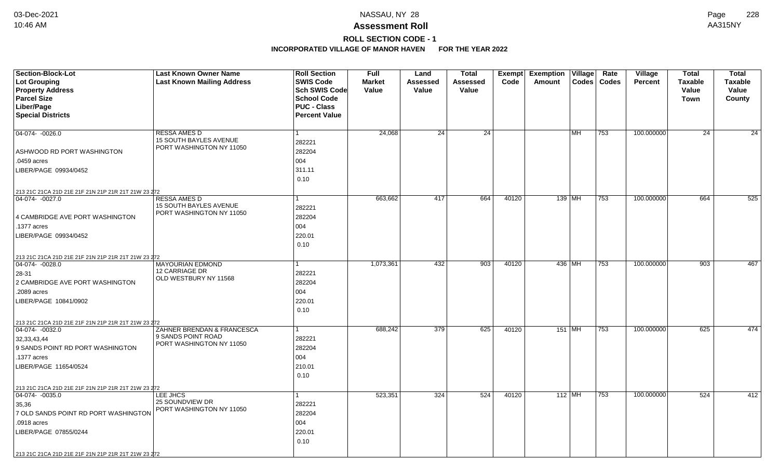# **ROLL SECTION CODE - 1**

| <b>Section-Block-Lot</b>                            | <b>Last Known Owner Name</b>                   | <b>Roll Section</b>                 | <b>Full</b>   | Land     | <b>Total</b> |       | Exempt Exemption Village |           | Rate          | Village        | <b>Total</b>   | <b>Total</b>    |
|-----------------------------------------------------|------------------------------------------------|-------------------------------------|---------------|----------|--------------|-------|--------------------------|-----------|---------------|----------------|----------------|-----------------|
| <b>Lot Grouping</b>                                 | <b>Last Known Mailing Address</b>              | <b>SWIS Code</b>                    | <b>Market</b> | Assessed | Assessed     | Code  | Amount                   |           | Codes   Codes | <b>Percent</b> | <b>Taxable</b> | <b>Taxable</b>  |
| <b>Property Address</b>                             |                                                | Sch SWIS Code<br><b>School Code</b> | Value         | Value    | Value        |       |                          |           |               |                | Value          | Value           |
| <b>Parcel Size</b><br>Liber/Page                    |                                                | <b>PUC - Class</b>                  |               |          |              |       |                          |           |               |                | <b>Town</b>    | County          |
| <b>Special Districts</b>                            |                                                | <b>Percent Value</b>                |               |          |              |       |                          |           |               |                |                |                 |
|                                                     |                                                |                                     |               |          |              |       |                          |           |               |                |                |                 |
| 04-074- -0026.0                                     | <b>RESSA AMES D</b>                            |                                     | 24,068        | 24       | 24           |       |                          | <b>MH</b> | 753           | 100.000000     | 24             | $\overline{24}$ |
|                                                     | 15 SOUTH BAYLES AVENUE                         | 282221                              |               |          |              |       |                          |           |               |                |                |                 |
| ASHWOOD RD PORT WASHINGTON                          | PORT WASHINGTON NY 11050                       | 282204                              |               |          |              |       |                          |           |               |                |                |                 |
| .0459 acres                                         |                                                | 004                                 |               |          |              |       |                          |           |               |                |                |                 |
| LIBER/PAGE 09934/0452                               |                                                | 311.11                              |               |          |              |       |                          |           |               |                |                |                 |
|                                                     |                                                | 0.10                                |               |          |              |       |                          |           |               |                |                |                 |
| 213 21C 21CA 21D 21E 21F 21N 21P 21R 21T 21W 23 272 |                                                |                                     |               |          |              |       |                          |           |               |                |                |                 |
| 04-074- -0027.0                                     | <b>RESSA AMES D</b>                            |                                     | 663,662       | 417      | 664          | 40120 |                          | $139$ MH  | 753           | 100.000000     | 664            | 525             |
|                                                     | 15 SOUTH BAYLES AVENUE                         | 282221                              |               |          |              |       |                          |           |               |                |                |                 |
| 4 CAMBRIDGE AVE PORT WASHINGTON                     | PORT WASHINGTON NY 11050                       | 282204                              |               |          |              |       |                          |           |               |                |                |                 |
| .1377 acres                                         |                                                | 004                                 |               |          |              |       |                          |           |               |                |                |                 |
| LIBER/PAGE 09934/0452                               |                                                | 220.01                              |               |          |              |       |                          |           |               |                |                |                 |
|                                                     |                                                | 0.10                                |               |          |              |       |                          |           |               |                |                |                 |
| 213 21C 21CA 21D 21E 21F 21N 21P 21R 21T 21W 23 272 |                                                |                                     |               |          |              |       |                          |           |               |                |                |                 |
| 04-074-0028.0                                       | <b>MAYOURIAN EDMOND</b>                        |                                     | 1,073,361     | 432      | 903          | 40120 |                          | 436 MH    | 753           | 100.000000     | 903            | 467             |
| 28-31                                               | 12 CARRIAGE DR<br>OLD WESTBURY NY 11568        | 282221                              |               |          |              |       |                          |           |               |                |                |                 |
| 2 CAMBRIDGE AVE PORT WASHINGTON                     |                                                | 282204                              |               |          |              |       |                          |           |               |                |                |                 |
| .2089 acres                                         |                                                | 004                                 |               |          |              |       |                          |           |               |                |                |                 |
| LIBER/PAGE 10841/0902                               |                                                | 220.01                              |               |          |              |       |                          |           |               |                |                |                 |
|                                                     |                                                | 0.10                                |               |          |              |       |                          |           |               |                |                |                 |
| 213 21C 21CA 21D 21E 21F 21N 21P 21R 21T 21W 23 272 |                                                |                                     |               |          |              |       |                          |           |               |                |                |                 |
| $ 04-074-0032.0$                                    | ZAHNER BRENDAN & FRANCESCA                     |                                     | 688,242       | 379      | 625          | 40120 | 151 MH                   |           | 753           | 100.000000     | 625            | 474             |
| 32,33,43,44                                         | 9 SANDS POINT ROAD<br>PORT WASHINGTON NY 11050 | 282221                              |               |          |              |       |                          |           |               |                |                |                 |
| 9 SANDS POINT RD PORT WASHINGTON                    |                                                | 282204                              |               |          |              |       |                          |           |               |                |                |                 |
| .1377 acres                                         |                                                | 004                                 |               |          |              |       |                          |           |               |                |                |                 |
| LIBER/PAGE 11654/0524                               |                                                | 210.01                              |               |          |              |       |                          |           |               |                |                |                 |
|                                                     |                                                | 0.10                                |               |          |              |       |                          |           |               |                |                |                 |
| 213 21C 21CA 21D 21E 21F 21N 21P 21R 21T 21W 23 272 |                                                |                                     |               |          |              |       |                          |           |               |                |                |                 |
| $\boxed{04-074 - 0035.0}$                           | LEE JHCS<br>25 SOUNDVIEW DR                    |                                     | 523,351       | 324      | 524          | 40120 | $112$ MH                 |           | 753           | 100.000000     | 524            | 412             |
| 35,36                                               | PORT WASHINGTON NY 11050                       | 282221                              |               |          |              |       |                          |           |               |                |                |                 |
| 7 OLD SANDS POINT RD PORT WASHINGTON                |                                                | 282204                              |               |          |              |       |                          |           |               |                |                |                 |
| .0918 acres                                         |                                                | 004                                 |               |          |              |       |                          |           |               |                |                |                 |
| LIBER/PAGE 07855/0244                               |                                                | 220.01                              |               |          |              |       |                          |           |               |                |                |                 |
|                                                     |                                                | 0.10                                |               |          |              |       |                          |           |               |                |                |                 |
| 213 21C 21CA 21D 21E 21F 21N 21P 21R 21T 21W 23 272 |                                                |                                     |               |          |              |       |                          |           |               |                |                |                 |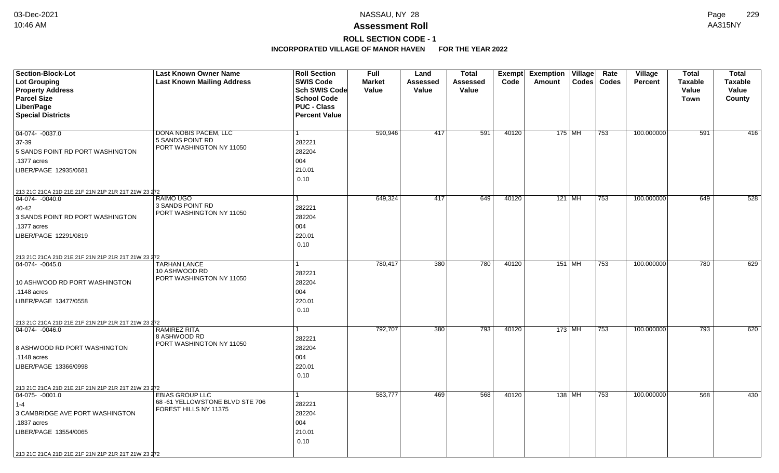# **ROLL SECTION CODE - 1**

| <b>Section-Block-Lot</b>                                                | <b>Last Known Owner Name</b>                 | <b>Roll Section</b>  | <b>Full</b>   | Land     | <b>Total</b> |       | Exempt Exemption Village | Rate          | Village        | <b>Total</b>   | <b>Total</b>   |
|-------------------------------------------------------------------------|----------------------------------------------|----------------------|---------------|----------|--------------|-------|--------------------------|---------------|----------------|----------------|----------------|
| <b>Lot Grouping</b>                                                     | <b>Last Known Mailing Address</b>            | <b>SWIS Code</b>     | <b>Market</b> | Assessed | Assessed     | Code  | Amount                   | Codes   Codes | <b>Percent</b> | <b>Taxable</b> | <b>Taxable</b> |
| <b>Property Address</b>                                                 |                                              | Sch SWIS Code        | Value         | Value    | Value        |       |                          |               |                | Value          | Value          |
| <b>Parcel Size</b>                                                      |                                              | <b>School Code</b>   |               |          |              |       |                          |               |                | <b>Town</b>    | County         |
| Liber/Page                                                              |                                              | <b>PUC - Class</b>   |               |          |              |       |                          |               |                |                |                |
| <b>Special Districts</b>                                                |                                              | <b>Percent Value</b> |               |          |              |       |                          |               |                |                |                |
|                                                                         |                                              |                      |               |          |              |       |                          |               |                |                |                |
| $\boxed{04-074 - 0037.0}$                                               | <b>DONA NOBIS PACEM, LLC</b>                 |                      | 590,946       | 417      | 591          | 40120 | 175   MH                 | 753           | 100.000000     | 591            | 416            |
| 37-39                                                                   | 5 SANDS POINT RD<br>PORT WASHINGTON NY 11050 | 282221               |               |          |              |       |                          |               |                |                |                |
| 5 SANDS POINT RD PORT WASHINGTON                                        |                                              | 282204               |               |          |              |       |                          |               |                |                |                |
| .1377 acres                                                             |                                              | 004                  |               |          |              |       |                          |               |                |                |                |
| LIBER/PAGE 12935/0681                                                   |                                              | 210.01               |               |          |              |       |                          |               |                |                |                |
|                                                                         |                                              | 0.10                 |               |          |              |       |                          |               |                |                |                |
| 213 21C 21CA 21D 21E 21F 21N 21P 21R 21T 21W 23 272                     |                                              |                      |               |          |              |       |                          |               |                |                |                |
| $ 04-074-0040.0$                                                        | <b>RAIMO UGO</b>                             |                      | 649,324       | 417      | 649          | 40120 | $121$ MH                 | 753           | 100.000000     | 649            | 528            |
| 40-42                                                                   | 3 SANDS POINT RD                             | 282221               |               |          |              |       |                          |               |                |                |                |
| 3 SANDS POINT RD PORT WASHINGTON                                        | PORT WASHINGTON NY 11050                     | 282204               |               |          |              |       |                          |               |                |                |                |
| .1377 acres                                                             |                                              | 004                  |               |          |              |       |                          |               |                |                |                |
| LIBER/PAGE 12291/0819                                                   |                                              | 220.01               |               |          |              |       |                          |               |                |                |                |
|                                                                         |                                              | 0.10                 |               |          |              |       |                          |               |                |                |                |
| 213 21C 21CA 21D 21E 21F 21N 21P 21R 21T 21W 23 272                     |                                              |                      |               |          |              |       |                          |               |                |                |                |
| 04-074-0045.0                                                           | <b>TARHAN LANCE</b>                          |                      | 780,417       | 380      | 780          | 40120 | 151 MH                   | 753           | 100.000000     | 780            | 629            |
|                                                                         | 10 ASHWOOD RD                                | 282221               |               |          |              |       |                          |               |                |                |                |
| 10 ASHWOOD RD PORT WASHINGTON                                           | PORT WASHINGTON NY 11050                     | 282204               |               |          |              |       |                          |               |                |                |                |
| .1148 acres                                                             |                                              | 004                  |               |          |              |       |                          |               |                |                |                |
| LIBER/PAGE 13477/0558                                                   |                                              | 220.01               |               |          |              |       |                          |               |                |                |                |
|                                                                         |                                              | 0.10                 |               |          |              |       |                          |               |                |                |                |
|                                                                         |                                              |                      |               |          |              |       |                          |               |                |                |                |
| 213 21C 21CA 21D 21E 21F 21N 21P 21R 21T 21W 23 272<br>$ 04-074-0046.0$ | RAMIREZ RITA                                 |                      | 792,707       | 380      | 793          | 40120 | $173$ MH                 | 753           | 100.000000     | 793            | 620            |
|                                                                         | 8 ASHWOOD RD                                 | 282221               |               |          |              |       |                          |               |                |                |                |
| 8 ASHWOOD RD PORT WASHINGTON                                            | PORT WASHINGTON NY 11050                     | 282204               |               |          |              |       |                          |               |                |                |                |
| .1148 acres                                                             |                                              | 004                  |               |          |              |       |                          |               |                |                |                |
| LIBER/PAGE 13366/0998                                                   |                                              | 220.01               |               |          |              |       |                          |               |                |                |                |
|                                                                         |                                              | 0.10                 |               |          |              |       |                          |               |                |                |                |
|                                                                         |                                              |                      |               |          |              |       |                          |               |                |                |                |
| 213 21C 21CA 21D 21E 21F 21N 21P 21R 21T 21W 23 272                     | <b>EBIAS GROUP LLC</b>                       |                      | 583,777       | 469      | 568          | 40120 | 138 MH                   | 753           | 100.000000     | 568            |                |
| $ 04-075-0001.0$                                                        | 68-61 YELLOWSTONE BLVD STE 706               |                      |               |          |              |       |                          |               |                |                | 430            |
| $1 - 4$                                                                 | FOREST HILLS NY 11375                        | 282221               |               |          |              |       |                          |               |                |                |                |
| 3 CAMBRIDGE AVE PORT WASHINGTON                                         |                                              | 282204               |               |          |              |       |                          |               |                |                |                |
| .1837 acres                                                             |                                              | 004                  |               |          |              |       |                          |               |                |                |                |
| LIBER/PAGE 13554/0065                                                   |                                              | 210.01               |               |          |              |       |                          |               |                |                |                |
|                                                                         |                                              | 0.10                 |               |          |              |       |                          |               |                |                |                |
| 213 21C 21CA 21D 21E 21F 21N 21P 21R 21T 21W 23 272                     |                                              |                      |               |          |              |       |                          |               |                |                |                |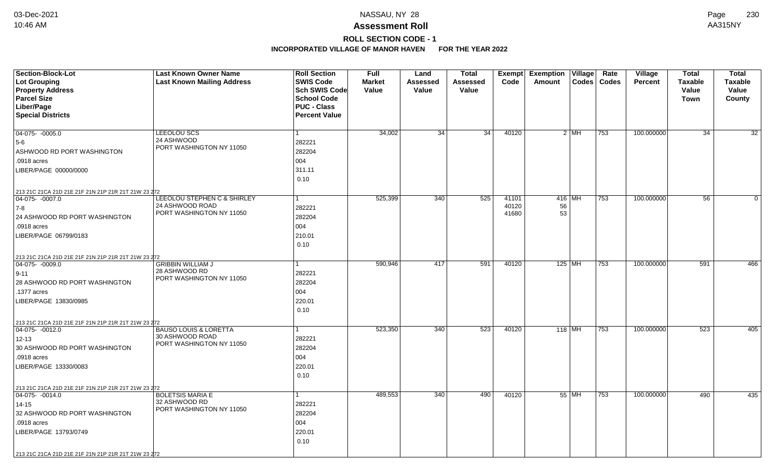# **ROLL SECTION CODE - 1**

| <b>Section-Block-Lot</b>                            | <b>Last Known Owner Name</b>                | <b>Roll Section</b>  | <b>Full</b>   | Land            | <b>Total</b>    |                | Exempt Exemption Village |          | Rate          | Village        | <b>Total</b>   | <b>Total</b>    |
|-----------------------------------------------------|---------------------------------------------|----------------------|---------------|-----------------|-----------------|----------------|--------------------------|----------|---------------|----------------|----------------|-----------------|
| <b>Lot Grouping</b>                                 | <b>Last Known Mailing Address</b>           | <b>SWIS Code</b>     | <b>Market</b> | Assessed        | Assessed        | Code           | Amount                   |          | Codes   Codes | <b>Percent</b> | <b>Taxable</b> | <b>Taxable</b>  |
| <b>Property Address</b>                             |                                             | Sch SWIS Code        | Value         | Value           | Value           |                |                          |          |               |                | Value          | Value           |
| <b>Parcel Size</b>                                  |                                             | <b>School Code</b>   |               |                 |                 |                |                          |          |               |                | <b>Town</b>    | County          |
| Liber/Page                                          |                                             | <b>PUC - Class</b>   |               |                 |                 |                |                          |          |               |                |                |                 |
| <b>Special Districts</b>                            |                                             | <b>Percent Value</b> |               |                 |                 |                |                          |          |               |                |                |                 |
|                                                     |                                             |                      |               |                 |                 |                |                          |          |               |                |                |                 |
| $04-075 - 0005.0$                                   | LEEOLOU SCS<br>24 ASHWOOD                   |                      | 34,002        | $\overline{34}$ | $\overline{34}$ | 40120          |                          | $2$ MH   | 753           | 100.000000     | 34             | $\overline{32}$ |
| 5-6                                                 | PORT WASHINGTON NY 11050                    | 282221               |               |                 |                 |                |                          |          |               |                |                |                 |
| ASHWOOD RD PORT WASHINGTON                          |                                             | 282204               |               |                 |                 |                |                          |          |               |                |                |                 |
| .0918 acres                                         |                                             | 004                  |               |                 |                 |                |                          |          |               |                |                |                 |
| LIBER/PAGE 00000/0000                               |                                             | 311.11               |               |                 |                 |                |                          |          |               |                |                |                 |
|                                                     |                                             | 0.10                 |               |                 |                 |                |                          |          |               |                |                |                 |
| 213 21C 21CA 21D 21E 21F 21N 21P 21R 21T 21W 23 272 |                                             |                      |               |                 |                 |                |                          |          |               |                |                |                 |
| $ 04-075-0007.0$                                    | LEEOLOU STEPHEN C & SHIRLEY                 |                      | 525,399       | 340             | 525             | 41101          | $416$ MH                 |          | 753           | 100.000000     | 56             | $\Omega$        |
| 7-8                                                 | 24 ASHWOOD ROAD<br>PORT WASHINGTON NY 11050 | 282221               |               |                 |                 | 40120<br>41680 | 56<br>53                 |          |               |                |                |                 |
| 24 ASHWOOD RD PORT WASHINGTON                       |                                             | 282204               |               |                 |                 |                |                          |          |               |                |                |                 |
| .0918 acres                                         |                                             | 004                  |               |                 |                 |                |                          |          |               |                |                |                 |
| LIBER/PAGE 06799/0183                               |                                             | 210.01               |               |                 |                 |                |                          |          |               |                |                |                 |
|                                                     |                                             | 0.10                 |               |                 |                 |                |                          |          |               |                |                |                 |
| 213 21C 21CA 21D 21E 21F 21N 21P 21R 21T 21W 23 272 |                                             |                      |               |                 |                 |                |                          |          |               |                |                |                 |
| $ 04-075-0009.0$                                    | <b>GRIBBIN WILLIAM J</b>                    |                      | 590,946       | 417             | 591             | 40120          |                          | $125$ MH | 753           | 100.000000     | 591            | 466             |
| $ 9 - 11 $                                          | 28 ASHWOOD RD<br>PORT WASHINGTON NY 11050   | 282221               |               |                 |                 |                |                          |          |               |                |                |                 |
| 28 ASHWOOD RD PORT WASHINGTON                       |                                             | 282204               |               |                 |                 |                |                          |          |               |                |                |                 |
| .1377 acres                                         |                                             | 004                  |               |                 |                 |                |                          |          |               |                |                |                 |
| LIBER/PAGE 13830/0985                               |                                             | 220.01               |               |                 |                 |                |                          |          |               |                |                |                 |
|                                                     |                                             | 0.10                 |               |                 |                 |                |                          |          |               |                |                |                 |
| 213 21C 21CA 21D 21E 21F 21N 21P 21R 21T 21W 23 272 |                                             |                      |               |                 |                 |                |                          |          |               |                |                |                 |
| $ 04-075-0012.0$                                    | <b>BAUSO LOUIS &amp; LORETTA</b>            |                      | 523,350       | 340             | 523             | 40120          | $118$ MH                 |          | 753           | 100.000000     | 523            | 405             |
| $12 - 13$                                           | 30 ASHWOOD ROAD                             | 282221               |               |                 |                 |                |                          |          |               |                |                |                 |
| 30 ASHWOOD RD PORT WASHINGTON                       | PORT WASHINGTON NY 11050                    | 282204               |               |                 |                 |                |                          |          |               |                |                |                 |
| .0918 acres                                         |                                             | 004                  |               |                 |                 |                |                          |          |               |                |                |                 |
| LIBER/PAGE 13330/0083                               |                                             | 220.01               |               |                 |                 |                |                          |          |               |                |                |                 |
|                                                     |                                             | 0.10                 |               |                 |                 |                |                          |          |               |                |                |                 |
| 213 21C 21CA 21D 21E 21F 21N 21P 21R 21T 21W 23 272 |                                             |                      |               |                 |                 |                |                          |          |               |                |                |                 |
| $\boxed{04-075 - 0014.0}$                           | <b>BOLETSIS MARIA E</b>                     |                      | 489,553       | 340             | 490             | 40120          |                          | 55 MH    | 753           | 100.000000     | 490            | 435             |
| $14 - 15$                                           | 32 ASHWOOD RD<br>PORT WASHINGTON NY 11050   | 282221               |               |                 |                 |                |                          |          |               |                |                |                 |
| 32 ASHWOOD RD PORT WASHINGTON                       |                                             | 282204               |               |                 |                 |                |                          |          |               |                |                |                 |
| .0918 acres                                         |                                             | 004                  |               |                 |                 |                |                          |          |               |                |                |                 |
| LIBER/PAGE 13793/0749                               |                                             | 220.01               |               |                 |                 |                |                          |          |               |                |                |                 |
|                                                     |                                             | 0.10                 |               |                 |                 |                |                          |          |               |                |                |                 |
| 213 21C 21CA 21D 21E 21F 21N 21P 21R 21T 21W 23 272 |                                             |                      |               |                 |                 |                |                          |          |               |                |                |                 |
|                                                     |                                             |                      |               |                 |                 |                |                          |          |               |                |                |                 |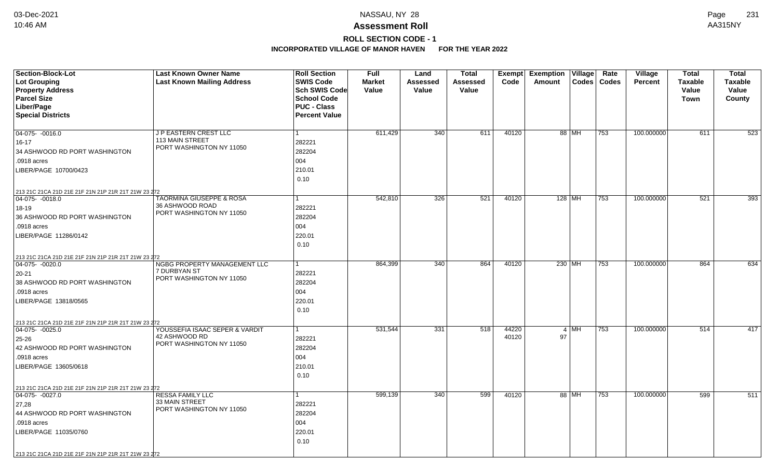## **ROLL SECTION CODE - 1**

| <b>Section-Block-Lot</b>                            | <b>Last Known Owner Name</b>                    | <b>Roll Section</b>  | <b>Full</b>   | Land            | <b>Total</b> | Exempt | <b>Exemption Village</b>          | Rate<br>Village                | Total          | <b>Total</b>   |
|-----------------------------------------------------|-------------------------------------------------|----------------------|---------------|-----------------|--------------|--------|-----------------------------------|--------------------------------|----------------|----------------|
| <b>Lot Grouping</b>                                 | <b>Last Known Mailing Address</b>               | <b>SWIS Code</b>     | <b>Market</b> | <b>Assessed</b> | Assessed     | Code   | $\textsf{Codes}$<br>Amount        | <b>Codes</b><br><b>Percent</b> | <b>Taxable</b> | <b>Taxable</b> |
| <b>Property Address</b>                             |                                                 | <b>Sch SWIS Code</b> | Value         | Value           | Value        |        |                                   |                                | Value          | Value          |
| <b>Parcel Size</b>                                  |                                                 | <b>School Code</b>   |               |                 |              |        |                                   |                                | <b>Town</b>    | County         |
| Liber/Page                                          |                                                 | <b>PUC - Class</b>   |               |                 |              |        |                                   |                                |                |                |
| <b>Special Districts</b>                            |                                                 | <b>Percent Value</b> |               |                 |              |        |                                   |                                |                |                |
|                                                     |                                                 |                      |               |                 |              |        |                                   |                                |                |                |
| 04-075- -0016.0                                     | J P EASTERN CREST LLC<br><b>113 MAIN STREET</b> | 1                    | 611,429       | 340             | 611          | 40120  | 88 MH<br>753                      | 100.000000                     | 611            | 523            |
| $16 - 17$                                           | PORT WASHINGTON NY 11050                        | 282221               |               |                 |              |        |                                   |                                |                |                |
| 34 ASHWOOD RD PORT WASHINGTON                       |                                                 | 282204               |               |                 |              |        |                                   |                                |                |                |
| .0918 acres                                         |                                                 | 004                  |               |                 |              |        |                                   |                                |                |                |
| LIBER/PAGE 10700/0423                               |                                                 | 210.01               |               |                 |              |        |                                   |                                |                |                |
|                                                     |                                                 | 0.10                 |               |                 |              |        |                                   |                                |                |                |
| 213 21C 21CA 21D 21E 21F 21N 21P 21R 21T 21W 23 272 |                                                 |                      |               |                 |              |        |                                   |                                |                |                |
| $04-075 - 0018.0$                                   | <b>TAORMINA GIUSEPPE &amp; ROSA</b>             |                      | 542,810       | 326             | 521          | 40120  | $128$ MH<br>753                   | 100.000000                     | 521            | 393            |
| 18-19                                               | 36 ASHWOOD ROAD<br>PORT WASHINGTON NY 11050     | 282221               |               |                 |              |        |                                   |                                |                |                |
| 36 ASHWOOD RD PORT WASHINGTON                       |                                                 | 282204               |               |                 |              |        |                                   |                                |                |                |
| .0918 acres                                         |                                                 | 004                  |               |                 |              |        |                                   |                                |                |                |
| LIBER/PAGE 11286/0142                               |                                                 | 220.01               |               |                 |              |        |                                   |                                |                |                |
|                                                     |                                                 | 0.10                 |               |                 |              |        |                                   |                                |                |                |
| 213 21C 21CA 21D 21E 21F 21N 21P 21R 21T 21W 23 272 |                                                 |                      |               |                 |              |        |                                   |                                |                |                |
| 04-075- -0020.0                                     | NGBG PROPERTY MANAGEMENT LLC                    |                      | 864,399       | 340             | 864          | 40120  | 230 MH<br>753                     | 100.000000                     | 864            | 634            |
| 20-21                                               | 7 DURBYAN ST                                    | 282221               |               |                 |              |        |                                   |                                |                |                |
| 38 ASHWOOD RD PORT WASHINGTON                       | PORT WASHINGTON NY 11050                        | 282204               |               |                 |              |        |                                   |                                |                |                |
| .0918 acres                                         |                                                 | 004                  |               |                 |              |        |                                   |                                |                |                |
| LIBER/PAGE 13818/0565                               |                                                 | 220.01               |               |                 |              |        |                                   |                                |                |                |
|                                                     |                                                 | 0.10                 |               |                 |              |        |                                   |                                |                |                |
| 213 21C 21CA 21D 21E 21F 21N 21P 21R 21T 21W 23 272 |                                                 |                      |               |                 |              |        |                                   |                                |                |                |
| $ 04-075-0025.0$                                    | YOUSSEFIA ISAAC SEPER & VARDIT                  | -1                   | 531,544       | 331             | 518          | 44220  | $4 \overline{\mathsf{MH}}$<br>753 | 100.000000                     | 514            | 417            |
| 25-26                                               | 42 ASHWOOD RD                                   | 282221               |               |                 |              | 40120  | 97                                |                                |                |                |
| 42 ASHWOOD RD PORT WASHINGTON                       | PORT WASHINGTON NY 11050                        | 282204               |               |                 |              |        |                                   |                                |                |                |
| .0918 acres                                         |                                                 | 004                  |               |                 |              |        |                                   |                                |                |                |
| LIBER/PAGE 13605/0618                               |                                                 | 210.01               |               |                 |              |        |                                   |                                |                |                |
|                                                     |                                                 | 0.10                 |               |                 |              |        |                                   |                                |                |                |
| 213 21C 21CA 21D 21E 21F 21N 21P 21R 21T 21W 23 272 |                                                 |                      |               |                 |              |        |                                   |                                |                |                |
| 04-075- -0027.0                                     | <b>RESSA FAMILY LLC</b>                         | 1                    | 599,139       | 340             | 599          | 40120  | 88 MH<br>753                      | 100.000000                     | 599            | 511            |
| 27,28                                               | 33 MAIN STREET                                  | 282221               |               |                 |              |        |                                   |                                |                |                |
| 44 ASHWOOD RD PORT WASHINGTON                       | PORT WASHINGTON NY 11050                        | 282204               |               |                 |              |        |                                   |                                |                |                |
| .0918 acres                                         |                                                 | 004                  |               |                 |              |        |                                   |                                |                |                |
| LIBER/PAGE 11035/0760                               |                                                 | 220.01               |               |                 |              |        |                                   |                                |                |                |
|                                                     |                                                 | 0.10                 |               |                 |              |        |                                   |                                |                |                |
|                                                     |                                                 |                      |               |                 |              |        |                                   |                                |                |                |
| 213 21C 21CA 21D 21E 21F 21N 21P 21R 21T 21W 23 272 |                                                 |                      |               |                 |              |        |                                   |                                |                |                |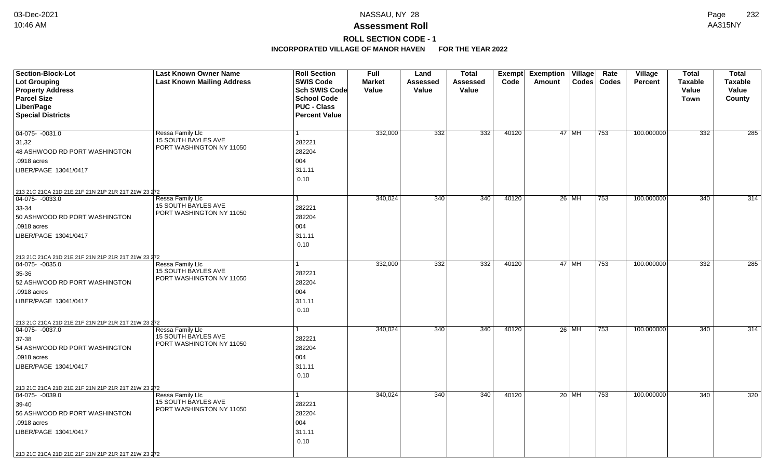# **ROLL SECTION CODE - 1**

| <b>Section-Block-Lot</b>                            | <b>Last Known Owner Name</b>                   | <b>Roll Section</b>  | <b>Full</b>   | Land     | <b>Total</b> | Exempt | <b>Exemption</b> | Village | Rate          | Village        | <b>Total</b>   | <b>Total</b>     |
|-----------------------------------------------------|------------------------------------------------|----------------------|---------------|----------|--------------|--------|------------------|---------|---------------|----------------|----------------|------------------|
| <b>Lot Grouping</b>                                 | <b>Last Known Mailing Address</b>              | <b>SWIS Code</b>     | <b>Market</b> | Assessed | Assessed     | Code   | Amount           |         | Codes   Codes | <b>Percent</b> | <b>Taxable</b> | <b>Taxable</b>   |
| <b>Property Address</b>                             |                                                | Sch SWIS Code        | Value         | Value    | Value        |        |                  |         |               |                | Value          | Value            |
| <b>Parcel Size</b>                                  |                                                | <b>School Code</b>   |               |          |              |        |                  |         |               |                | <b>Town</b>    | County           |
| Liber/Page                                          |                                                | <b>PUC - Class</b>   |               |          |              |        |                  |         |               |                |                |                  |
| <b>Special Districts</b>                            |                                                | <b>Percent Value</b> |               |          |              |        |                  |         |               |                |                |                  |
|                                                     |                                                |                      |               |          |              |        |                  |         |               |                |                |                  |
| 04-075- -0031.0                                     | Ressa Family Llc<br><b>15 SOUTH BAYLES AVE</b> |                      | 332,000       | 332      | 332          | 40120  |                  | $47$ MH | 753           | 100.000000     | 332            | 285              |
| 31,32                                               | PORT WASHINGTON NY 11050                       | 282221               |               |          |              |        |                  |         |               |                |                |                  |
| 48 ASHWOOD RD PORT WASHINGTON                       |                                                | 282204               |               |          |              |        |                  |         |               |                |                |                  |
| .0918 acres                                         |                                                | 004                  |               |          |              |        |                  |         |               |                |                |                  |
| LIBER/PAGE 13041/0417                               |                                                | 311.11               |               |          |              |        |                  |         |               |                |                |                  |
|                                                     |                                                | 0.10                 |               |          |              |        |                  |         |               |                |                |                  |
| 213 21C 21CA 21D 21E 21F 21N 21P 21R 21T 21W 23 272 |                                                |                      |               |          |              |        |                  |         |               |                |                |                  |
| 04-075- -0033.0                                     | Ressa Family Llc                               |                      | 340,024       | 340      | 340          | 40120  |                  | $26$ MH | 753           | 100.000000     | 340            | 314              |
| 33-34                                               | <b>15 SOUTH BAYLES AVE</b>                     | 282221               |               |          |              |        |                  |         |               |                |                |                  |
| 50 ASHWOOD RD PORT WASHINGTON                       | PORT WASHINGTON NY 11050                       | 282204               |               |          |              |        |                  |         |               |                |                |                  |
| .0918 acres                                         |                                                | 004                  |               |          |              |        |                  |         |               |                |                |                  |
| LIBER/PAGE 13041/0417                               |                                                | 311.11               |               |          |              |        |                  |         |               |                |                |                  |
|                                                     |                                                | 0.10                 |               |          |              |        |                  |         |               |                |                |                  |
| 213 21C 21CA 21D 21E 21F 21N 21P 21R 21T 21W 23 272 |                                                |                      |               |          |              |        |                  |         |               |                |                |                  |
| 04-075- -0035.0                                     | Ressa Family Llc                               |                      | 332,000       | 332      | 332          | 40120  |                  | 47 MH   | 753           | 100.000000     | 332            | $\overline{285}$ |
| 35-36                                               | 15 SOUTH BAYLES AVE                            | 282221               |               |          |              |        |                  |         |               |                |                |                  |
| 52 ASHWOOD RD PORT WASHINGTON                       | PORT WASHINGTON NY 11050                       | 282204               |               |          |              |        |                  |         |               |                |                |                  |
| .0918 acres                                         |                                                | 004                  |               |          |              |        |                  |         |               |                |                |                  |
| LIBER/PAGE 13041/0417                               |                                                | 311.11               |               |          |              |        |                  |         |               |                |                |                  |
|                                                     |                                                | 0.10                 |               |          |              |        |                  |         |               |                |                |                  |
| 213 21C 21CA 21D 21E 21F 21N 21P 21R 21T 21W 23 272 |                                                |                      |               |          |              |        |                  |         |               |                |                |                  |
| $ 04-075-0037.0$                                    | Ressa Family Llc                               |                      | 340,024       | 340      | 340          | 40120  |                  | $26$ MH | 753           | 100.000000     | 340            | 314              |
| 37-38                                               | 15 SOUTH BAYLES AVE                            | 282221               |               |          |              |        |                  |         |               |                |                |                  |
| 54 ASHWOOD RD PORT WASHINGTON                       | PORT WASHINGTON NY 11050                       | 282204               |               |          |              |        |                  |         |               |                |                |                  |
| .0918 acres                                         |                                                | 004                  |               |          |              |        |                  |         |               |                |                |                  |
| LIBER/PAGE 13041/0417                               |                                                | 311.11               |               |          |              |        |                  |         |               |                |                |                  |
|                                                     |                                                | 0.10                 |               |          |              |        |                  |         |               |                |                |                  |
| 213 21C 21CA 21D 21E 21F 21N 21P 21R 21T 21W 23 272 |                                                |                      |               |          |              |        |                  |         |               |                |                |                  |
| $\boxed{04-075 - 0039.0}$                           | Ressa Family Llc                               |                      | 340,024       | 340      | 340          | 40120  |                  | $20$ MH | 753           | 100.000000     | 340            | 320              |
| 39-40                                               | <b>15 SOUTH BAYLES AVE</b>                     | 282221               |               |          |              |        |                  |         |               |                |                |                  |
| 56 ASHWOOD RD PORT WASHINGTON                       | PORT WASHINGTON NY 11050                       | 282204               |               |          |              |        |                  |         |               |                |                |                  |
| .0918 acres                                         |                                                | 004                  |               |          |              |        |                  |         |               |                |                |                  |
| LIBER/PAGE 13041/0417                               |                                                | 311.11               |               |          |              |        |                  |         |               |                |                |                  |
|                                                     |                                                | 0.10                 |               |          |              |        |                  |         |               |                |                |                  |
| 213 21C 21CA 21D 21E 21F 21N 21P 21R 21T 21W 23 272 |                                                |                      |               |          |              |        |                  |         |               |                |                |                  |
|                                                     |                                                |                      |               |          |              |        |                  |         |               |                |                |                  |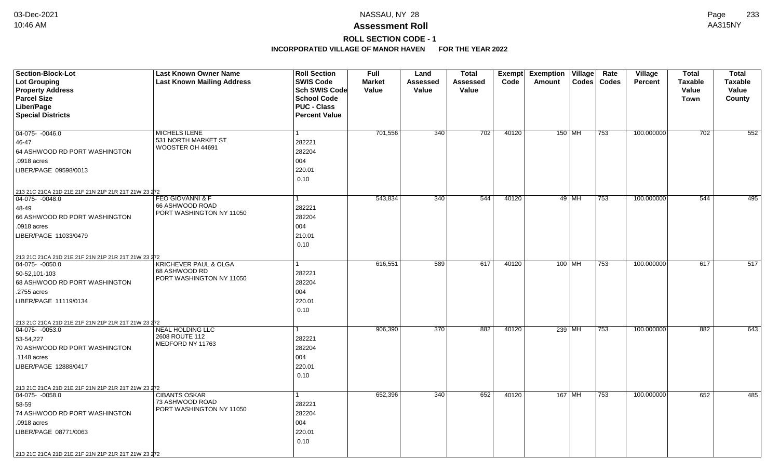# **ROLL SECTION CODE - 1**

| <b>Section-Block-Lot</b>                                                | <b>Last Known Owner Name</b>            | <b>Roll Section</b>  | <b>Full</b>   | Land     | <b>Total</b>    | Exempt | <b>Exemption Village</b> |       | Rate          | <b>Village</b> | <b>Total</b>   | <b>Total</b>   |
|-------------------------------------------------------------------------|-----------------------------------------|----------------------|---------------|----------|-----------------|--------|--------------------------|-------|---------------|----------------|----------------|----------------|
| Lot Grouping                                                            | <b>Last Known Mailing Address</b>       | <b>SWIS Code</b>     | <b>Market</b> | Assessed | <b>Assessed</b> | Code   | Amount                   |       | Codes   Codes | <b>Percent</b> | <b>Taxable</b> | <b>Taxable</b> |
| <b>Property Address</b>                                                 |                                         | <b>Sch SWIS Code</b> | Value         | Value    | Value           |        |                          |       |               |                | Value          | Value          |
| <b>Parcel Size</b>                                                      |                                         | <b>School Code</b>   |               |          |                 |        |                          |       |               |                | Town           | County         |
| Liber/Page                                                              |                                         | <b>PUC - Class</b>   |               |          |                 |        |                          |       |               |                |                |                |
| <b>Special Districts</b>                                                |                                         | <b>Percent Value</b> |               |          |                 |        |                          |       |               |                |                |                |
|                                                                         |                                         |                      |               |          |                 |        |                          |       |               |                |                |                |
| 04-075- -0046.0                                                         | MICHELS ILENE                           | $\mathbf{1}$         | 701,556       | 340      | 702             | 40120  | 150 MH                   |       | 753           | 100.000000     | 702            | 552            |
| 46-47                                                                   | 531 NORTH MARKET ST<br>WOOSTER OH 44691 | 282221               |               |          |                 |        |                          |       |               |                |                |                |
| 64 ASHWOOD RD PORT WASHINGTON                                           |                                         | 282204               |               |          |                 |        |                          |       |               |                |                |                |
| .0918 acres                                                             |                                         | 004                  |               |          |                 |        |                          |       |               |                |                |                |
| LIBER/PAGE 09598/0013                                                   |                                         | 220.01               |               |          |                 |        |                          |       |               |                |                |                |
|                                                                         |                                         | 0.10                 |               |          |                 |        |                          |       |               |                |                |                |
| 213 21C 21CA 21D 21E 21F 21N 21P 21R 21T 21W 23 272                     |                                         |                      |               |          |                 |        |                          |       |               |                |                |                |
| 04-075- -0048.0                                                         | <b>FEO GIOVANNI &amp; F</b>             | 1                    | 543,834       | 340      | 544             | 40120  |                          | 49 MH | 753           | 100.000000     | 544            | 495            |
| 48-49                                                                   | 66 ASHWOOD ROAD                         | 282221               |               |          |                 |        |                          |       |               |                |                |                |
| 66 ASHWOOD RD PORT WASHINGTON                                           | PORT WASHINGTON NY 11050                | 282204               |               |          |                 |        |                          |       |               |                |                |                |
| .0918 acres                                                             |                                         | 004                  |               |          |                 |        |                          |       |               |                |                |                |
| LIBER/PAGE 11033/0479                                                   |                                         | 210.01               |               |          |                 |        |                          |       |               |                |                |                |
|                                                                         |                                         | 0.10                 |               |          |                 |        |                          |       |               |                |                |                |
|                                                                         |                                         |                      |               |          |                 |        |                          |       |               |                |                |                |
| 213 21C 21CA 21D 21E 21F 21N 21P 21R 21T 21W 23 272<br>04-075- -0050.0  | <b>KRICHEVER PAUL &amp; OLGA</b>        |                      | 616,551       | 589      | 617             | 40120  | $100$ MH                 |       | 753           | 100.000000     | 617            | 517            |
| 50-52,101-103                                                           | 68 ASHWOOD RD                           | 282221               |               |          |                 |        |                          |       |               |                |                |                |
| 68 ASHWOOD RD PORT WASHINGTON                                           | PORT WASHINGTON NY 11050                | 282204               |               |          |                 |        |                          |       |               |                |                |                |
| .2755 acres                                                             |                                         | 004                  |               |          |                 |        |                          |       |               |                |                |                |
| LIBER/PAGE 11119/0134                                                   |                                         | 220.01               |               |          |                 |        |                          |       |               |                |                |                |
|                                                                         |                                         | 0.10                 |               |          |                 |        |                          |       |               |                |                |                |
|                                                                         |                                         |                      |               |          |                 |        |                          |       |               |                |                |                |
| 213 21C 21CA 21D 21E 21F 21N 21P 21R 21T 21W 23 272<br>$ 04-075-0053.0$ | <b>NEAL HOLDING LLC</b>                 | 1                    | 906,390       | 370      | 882             | 40120  | $239$ MH                 |       | 753           | 100.000000     | 882            | 643            |
| 53-54,227                                                               | 2608 ROUTE 112                          | 282221               |               |          |                 |        |                          |       |               |                |                |                |
| 70 ASHWOOD RD PORT WASHINGTON                                           | MEDFORD NY 11763                        | 282204               |               |          |                 |        |                          |       |               |                |                |                |
| .1148 acres                                                             |                                         | 004                  |               |          |                 |        |                          |       |               |                |                |                |
|                                                                         |                                         |                      |               |          |                 |        |                          |       |               |                |                |                |
| LIBER/PAGE 12888/0417                                                   |                                         | 220.01               |               |          |                 |        |                          |       |               |                |                |                |
|                                                                         |                                         | 0.10                 |               |          |                 |        |                          |       |               |                |                |                |
| 213 21C 21CA 21D 21E 21F 21N 21P 21R 21T 21W 23 272                     |                                         |                      |               |          |                 |        |                          |       |               |                |                |                |
| $04-075 - 0058.0$                                                       | <b>CIBANTS OSKAR</b><br>73 ASHWOOD ROAD | $\mathbf{1}$         | 652,396       | 340      | 652             | 40120  | 167 MH                   |       | 753           | 100.000000     | 652            | 485            |
| 58-59                                                                   | PORT WASHINGTON NY 11050                | 282221               |               |          |                 |        |                          |       |               |                |                |                |
| 74 ASHWOOD RD PORT WASHINGTON                                           |                                         | 282204               |               |          |                 |        |                          |       |               |                |                |                |
| .0918 acres                                                             |                                         | 004                  |               |          |                 |        |                          |       |               |                |                |                |
| LIBER/PAGE 08771/0063                                                   |                                         | 220.01               |               |          |                 |        |                          |       |               |                |                |                |
|                                                                         |                                         | 0.10                 |               |          |                 |        |                          |       |               |                |                |                |
| 213 21C 21CA 21D 21E 21F 21N 21P 21R 21T 21W 23 272                     |                                         |                      |               |          |                 |        |                          |       |               |                |                |                |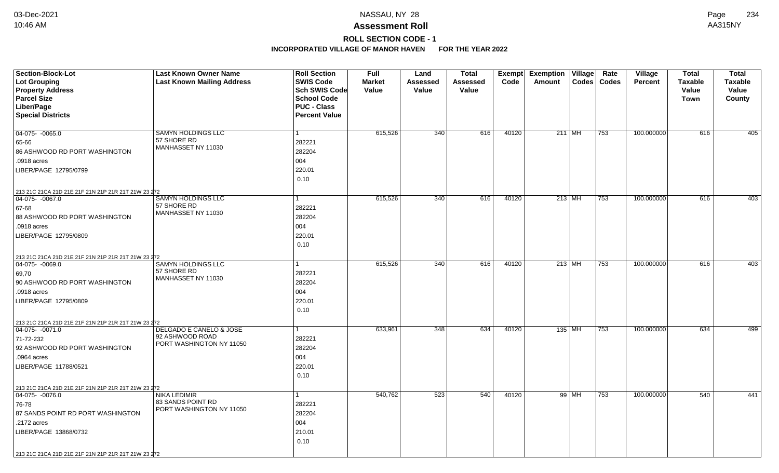# **ROLL SECTION CODE - 1**

| <b>Section-Block-Lot</b>                            | <b>Last Known Owner Name</b>      | <b>Roll Section</b>  | <b>Full</b>   | Land            | <b>Total</b>    |       | Exempt Exemption Village |          | Rate          | Village        | <b>Total</b>   | <b>Total</b>   |
|-----------------------------------------------------|-----------------------------------|----------------------|---------------|-----------------|-----------------|-------|--------------------------|----------|---------------|----------------|----------------|----------------|
| <b>Lot Grouping</b>                                 | <b>Last Known Mailing Address</b> | <b>SWIS Code</b>     | <b>Market</b> | <b>Assessed</b> | <b>Assessed</b> | Code  | Amount                   |          | Codes   Codes | <b>Percent</b> | <b>Taxable</b> | <b>Taxable</b> |
| <b>Property Address</b>                             |                                   | <b>Sch SWIS Code</b> | Value         | Value           | Value           |       |                          |          |               |                | Value          | Value          |
| <b>Parcel Size</b>                                  |                                   | <b>School Code</b>   |               |                 |                 |       |                          |          |               |                | Town           | County         |
| Liber/Page                                          |                                   | <b>PUC - Class</b>   |               |                 |                 |       |                          |          |               |                |                |                |
| <b>Special Districts</b>                            |                                   | <b>Percent Value</b> |               |                 |                 |       |                          |          |               |                |                |                |
|                                                     |                                   |                      |               |                 |                 |       |                          |          |               |                |                |                |
| 04-075- -0065.0                                     | SAMYN HOLDINGS LLC<br>57 SHORE RD | $\mathbf{1}$         | 615,526       | 340             | 616             | 40120 | $211$ MH                 |          | 753           | 100.000000     | 616            | 405            |
| 65-66                                               | MANHASSET NY 11030                | 282221               |               |                 |                 |       |                          |          |               |                |                |                |
| 86 ASHWOOD RD PORT WASHINGTON                       |                                   | 282204               |               |                 |                 |       |                          |          |               |                |                |                |
| .0918 acres                                         |                                   | 004                  |               |                 |                 |       |                          |          |               |                |                |                |
| LIBER/PAGE 12795/0799                               |                                   | 220.01               |               |                 |                 |       |                          |          |               |                |                |                |
|                                                     |                                   | 0.10                 |               |                 |                 |       |                          |          |               |                |                |                |
| 213 21C 21CA 21D 21E 21F 21N 21P 21R 21T 21W 23 272 |                                   |                      |               |                 |                 |       |                          |          |               |                |                |                |
| $\boxed{04-075 - 0067.0}$                           | <b>SAMYN HOLDINGS LLC</b>         | $\mathbf{1}$         | 615,526       | 340             | 616             | 40120 |                          | $213$ MH | 753           | 100.000000     | 616            | 403            |
| 67-68                                               | 57 SHORE RD<br>MANHASSET NY 11030 | 282221               |               |                 |                 |       |                          |          |               |                |                |                |
| 88 ASHWOOD RD PORT WASHINGTON                       |                                   | 282204               |               |                 |                 |       |                          |          |               |                |                |                |
| .0918 acres                                         |                                   | 004                  |               |                 |                 |       |                          |          |               |                |                |                |
| LIBER/PAGE 12795/0809                               |                                   | 220.01               |               |                 |                 |       |                          |          |               |                |                |                |
|                                                     |                                   | 0.10                 |               |                 |                 |       |                          |          |               |                |                |                |
| 213 21C 21CA 21D 21E 21F 21N 21P 21R 21T 21W 23 272 |                                   |                      |               |                 |                 |       |                          |          |               |                |                |                |
| 04-075- -0069.0                                     | <b>SAMYN HOLDINGS LLC</b>         |                      | 615,526       | 340             | 616             | 40120 | $213$ MH                 |          | 753           | 100.000000     | 616            | 403            |
| 69,70                                               | 57 SHORE RD                       | 282221               |               |                 |                 |       |                          |          |               |                |                |                |
| 90 ASHWOOD RD PORT WASHINGTON                       | MANHASSET NY 11030                | 282204               |               |                 |                 |       |                          |          |               |                |                |                |
| .0918 acres                                         |                                   | 004                  |               |                 |                 |       |                          |          |               |                |                |                |
| LIBER/PAGE 12795/0809                               |                                   | 220.01               |               |                 |                 |       |                          |          |               |                |                |                |
|                                                     |                                   | 0.10                 |               |                 |                 |       |                          |          |               |                |                |                |
| 213 21C 21CA 21D 21E 21F 21N 21P 21R 21T 21W 23 272 |                                   |                      |               |                 |                 |       |                          |          |               |                |                |                |
| $\boxed{04-075 - 0071.0}$                           | DELGADO E CANELO & JOSE           | 1                    | 633,961       | 348             | 634             | 40120 |                          | 135 MH   | 753           | 100.000000     | 634            | 499            |
| 71-72-232                                           | 92 ASHWOOD ROAD                   | 282221               |               |                 |                 |       |                          |          |               |                |                |                |
| 92 ASHWOOD RD PORT WASHINGTON                       | PORT WASHINGTON NY 11050          | 282204               |               |                 |                 |       |                          |          |               |                |                |                |
| .0964 acres                                         |                                   | 004                  |               |                 |                 |       |                          |          |               |                |                |                |
| LIBER/PAGE 11788/0521                               |                                   | 220.01               |               |                 |                 |       |                          |          |               |                |                |                |
|                                                     |                                   | 0.10                 |               |                 |                 |       |                          |          |               |                |                |                |
| 213 21C 21CA 21D 21E 21F 21N 21P 21R 21T 21W 23 272 |                                   |                      |               |                 |                 |       |                          |          |               |                |                |                |
| 04-075- -0076.0                                     | NIKA LEDIMIR                      | 1                    | 540,762       | 523             | 540             | 40120 |                          | 99 MH    | 753           | 100.000000     | 540            | 441            |
| 76-78                                               | 83 SANDS POINT RD                 | 282221               |               |                 |                 |       |                          |          |               |                |                |                |
| 87 SANDS POINT RD PORT WASHINGTON                   | PORT WASHINGTON NY 11050          | 282204               |               |                 |                 |       |                          |          |               |                |                |                |
| .2172 acres                                         |                                   | 004                  |               |                 |                 |       |                          |          |               |                |                |                |
| LIBER/PAGE 13868/0732                               |                                   | 210.01               |               |                 |                 |       |                          |          |               |                |                |                |
|                                                     |                                   | 0.10                 |               |                 |                 |       |                          |          |               |                |                |                |
|                                                     |                                   |                      |               |                 |                 |       |                          |          |               |                |                |                |
| 213 21C 21CA 21D 21E 21F 21N 21P 21R 21T 21W 23 272 |                                   |                      |               |                 |                 |       |                          |          |               |                |                |                |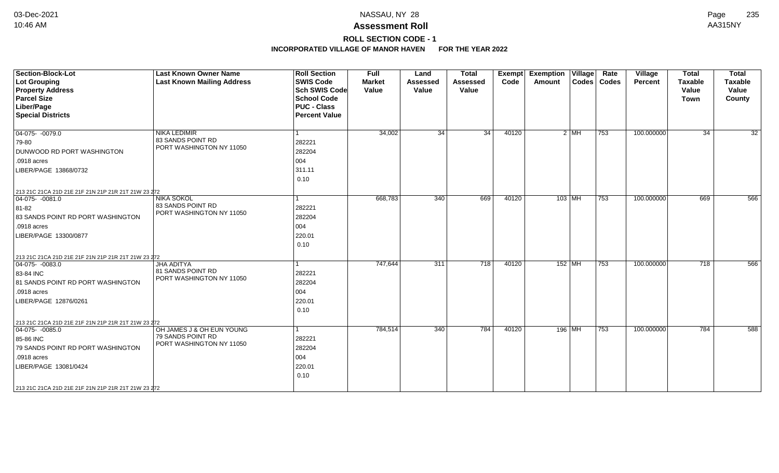# **ROLL SECTION CODE - 1**

| <b>Section-Block-Lot</b><br>Lot Grouping<br><b>Property Address</b><br><b>Parcel Size</b><br>Liber/Page<br><b>Special Districts</b>                                                                                       | <b>Last Known Owner Name</b><br><b>Last Known Mailing Address</b>          | <b>Roll Section</b><br><b>SWIS Code</b><br><b>Sch SWIS Code</b><br><b>School Code</b><br><b>PUC - Class</b><br><b>Percent Value</b> | <b>Full</b><br><b>Market</b><br>Value | Land<br><b>Assessed</b><br>Value | <b>Total</b><br><b>Assessed</b><br>Value | <b>Exempt</b><br>Code | <b>Exemption Village</b><br>Amount |        | Rate<br>Codes   Codes | Village<br>Percent | <b>Total</b><br><b>Taxable</b><br>Value<br><b>Town</b> | <b>Total</b><br><b>Taxable</b><br>Value<br>County |
|---------------------------------------------------------------------------------------------------------------------------------------------------------------------------------------------------------------------------|----------------------------------------------------------------------------|-------------------------------------------------------------------------------------------------------------------------------------|---------------------------------------|----------------------------------|------------------------------------------|-----------------------|------------------------------------|--------|-----------------------|--------------------|--------------------------------------------------------|---------------------------------------------------|
| $\boxed{04-075 - 0079.0}$<br>79-80<br><b>DUNWOOD RD PORT WASHINGTON</b><br>.0918 acres<br>LIBER/PAGE 13868/0732<br>213 21C 21CA 21D 21E 21F 21N 21P 21R 21T 21W 23 272                                                    | <b>NIKA LEDIMIR</b><br>83 SANDS POINT RD<br>PORT WASHINGTON NY 11050       | l 1<br>282221<br>282204<br>004<br>311.11<br>0.10                                                                                    | 34,002                                | $\overline{34}$                  | 34                                       | 40120                 |                                    | $2$ MH | 753                   | 100.000000         | 34                                                     | $\overline{32}$                                   |
| $ 04-075-0081.0$<br>81-82<br>83 SANDS POINT RD PORT WASHINGTON<br>.0918 acres<br>LIBER/PAGE 13300/0877                                                                                                                    | <b>NIKA SOKOL</b><br>83 SANDS POINT RD<br>PORT WASHINGTON NY 11050         | l 1<br>282221<br>282204<br>004<br>220.01<br>0.10                                                                                    | 668,783                               | 340                              | 669                                      | 40120                 | $103$ MH                           |        | $\overline{753}$      | 100.000000         | 669                                                    | 566                                               |
| 213 21C 21CA 21D 21E 21F 21N 21P 21R 21T 21W 23 272<br>$ 04-075-0083.0$<br>83-84 INC<br>81 SANDS POINT RD PORT WASHINGTON<br>.0918 acres<br>LIBER/PAGE 12876/0261                                                         | <b>JHA ADITYA</b><br>81 SANDS POINT RD<br>PORT WASHINGTON NY 11050         | l 1<br>282221<br>282204<br>004<br>220.01<br>0.10                                                                                    | 747,644                               | 311                              | 718                                      | 40120                 | $152$ MH                           |        | 753                   | 100.000000         | 718                                                    | 566                                               |
| 213 21C 21CA 21D 21E 21F 21N 21P 21R 21T 21W 23 272<br>$04-075 - 0085.0$<br>85-86 INC<br>79 SANDS POINT RD PORT WASHINGTON<br>.0918 acres<br>LIBER/PAGE 13081/0424<br>213 21C 21CA 21D 21E 21F 21N 21P 21R 21T 21W 23 272 | OH JAMES J & OH EUN YOUNG<br>79 SANDS POINT RD<br>PORT WASHINGTON NY 11050 | $\vert$ 1<br>282221<br>282204<br>004<br>220.01<br>0.10                                                                              | 784,514                               | 340                              | 784                                      | 40120                 | 196 MH                             |        | 753                   | 100.000000         | 784                                                    | 588                                               |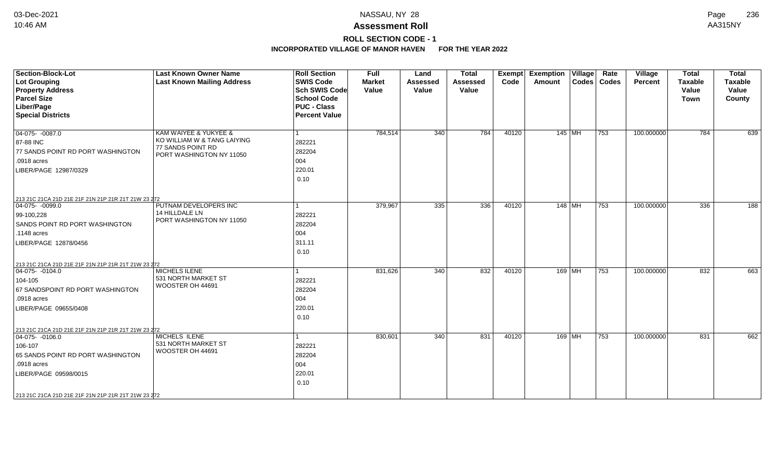# **ROLL SECTION CODE - 1**

| <b>Section-Block-Lot</b><br><b>Lot Grouping</b><br><b>Property Address</b><br><b>Parcel Size</b><br>Liber/Page<br><b>Special Districts</b>                                                                              | <b>Last Known Owner Name</b><br><b>Last Known Mailing Address</b>            | <b>Roll Section</b><br><b>SWIS Code</b><br><b>Sch SWIS Code</b><br><b>School Code</b><br><b>PUC - Class</b><br><b>Percent Value</b> | <b>Full</b><br><b>Market</b><br>Value | Land<br><b>Assessed</b><br>Value | <b>Total</b><br><b>Assessed</b><br>Value | Exempt<br>Code | <b>Exemption Village</b><br>Amount |                        | Rate<br>Codes   Codes | Village<br>Percent | <b>Total</b><br><b>Taxable</b><br>Value<br><b>Town</b> | <b>Total</b><br><b>Taxable</b><br>Value<br>County |
|-------------------------------------------------------------------------------------------------------------------------------------------------------------------------------------------------------------------------|------------------------------------------------------------------------------|-------------------------------------------------------------------------------------------------------------------------------------|---------------------------------------|----------------------------------|------------------------------------------|----------------|------------------------------------|------------------------|-----------------------|--------------------|--------------------------------------------------------|---------------------------------------------------|
| $04-075 - 0087.0$                                                                                                                                                                                                       | KAM WAIYEE & YUKYEE &                                                        | 1                                                                                                                                   | 784,514                               | 340                              | 784                                      | 40120          | 145 MH                             |                        | 753                   | 100.000000         | 784                                                    | 639                                               |
| 87-88 INC<br>77 SANDS POINT RD PORT WASHINGTON<br>.0918 acres<br>LIBER/PAGE 12987/0329                                                                                                                                  | KO WILLIAM W & TANG LAIYING<br>77 SANDS POINT RD<br>PORT WASHINGTON NY 11050 | 282221<br>282204<br>004<br>220.01<br>0.10                                                                                           |                                       |                                  |                                          |                |                                    |                        |                       |                    |                                                        |                                                   |
| 213 21C 21CA 21D 21E 21F 21N 21P 21R 21T 21W 23 272                                                                                                                                                                     |                                                                              |                                                                                                                                     |                                       |                                  |                                          |                |                                    |                        |                       |                    |                                                        |                                                   |
| 04-075- -0099.0<br>99-100,228<br>SANDS POINT RD PORT WASHINGTON<br>.1148 acres<br>LIBER/PAGE 12878/0456                                                                                                                 | PUTNAM DEVELOPERS INC<br>14 HILLDALE LN<br>PORT WASHINGTON NY 11050          | 1<br>282221<br>282204<br>004<br>311.11<br>0.10                                                                                      | 379,967                               | 335                              | 336                                      | 40120          | 148 MH                             |                        | 753                   | 100.000000         | 336                                                    | 188                                               |
| 213 21C 21CA 21D 21E 21F 21N 21P 21R 21T 21W 23 272<br>$ 04-075-0104.0$<br>104-105<br>67 SANDSPOINT RD PORT WASHINGTON<br>.0918 acres<br>LIBER/PAGE 09655/0408                                                          | MICHELS ILENE<br>531 NORTH MARKET ST<br>WOOSTER OH 44691                     | 1<br>282221<br>282204<br>004<br>220.01<br>0.10                                                                                      | 831,626                               | 340                              | 832                                      | 40120          |                                    | 169   MH               | 753                   | 100.000000         | 832                                                    | 663                                               |
| 213 21C 21CA 21D 21E 21F 21N 21P 21R 21T 21W 23 272<br>$04-075 - 0106.0$<br>106-107<br>65 SANDS POINT RD PORT WASHINGTON<br>.0918 acres<br>LIBER/PAGE 09598/0015<br>213 21C 21CA 21D 21E 21F 21N 21P 21R 21T 21W 23 272 | <b>MICHELS ILENE</b><br>531 NORTH MARKET ST<br>WOOSTER OH 44691              | 1<br>282221<br>282204<br>004<br>220.01<br>0.10                                                                                      | 830,601                               | 340                              | 831                                      | 40120          |                                    | 169   M $\overline{H}$ | 753                   | 100.000000         | 831                                                    | 662                                               |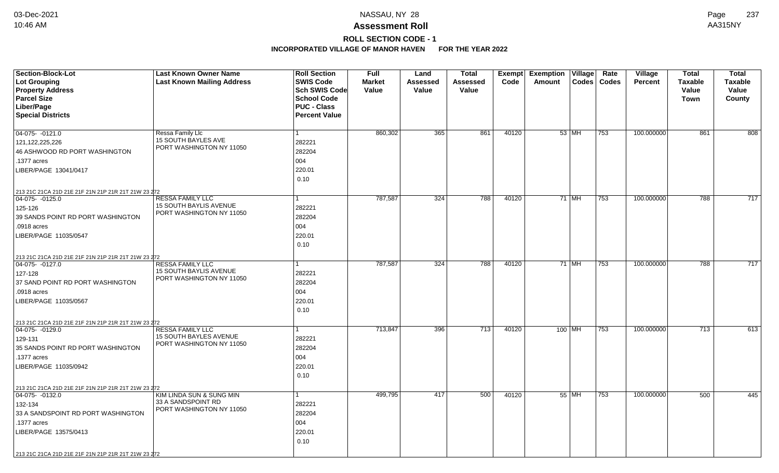# **ROLL SECTION CODE - 1**

| <b>Section-Block-Lot</b>                            | <b>Last Known Owner Name</b>                    | <b>Roll Section</b>  | <b>Full</b>   | Land     | <b>Total</b> |       | Exempt Exemption Village |         | Rate          | Village        | <b>Total</b>     | <b>Total</b>   |
|-----------------------------------------------------|-------------------------------------------------|----------------------|---------------|----------|--------------|-------|--------------------------|---------|---------------|----------------|------------------|----------------|
| <b>Lot Grouping</b>                                 | <b>Last Known Mailing Address</b>               | <b>SWIS Code</b>     | <b>Market</b> | Assessed | Assessed     | Code  | Amount                   |         | Codes   Codes | <b>Percent</b> | <b>Taxable</b>   | <b>Taxable</b> |
| <b>Property Address</b>                             |                                                 | Sch SWIS Code        | Value         | Value    | Value        |       |                          |         |               |                | Value            | Value          |
| <b>Parcel Size</b>                                  |                                                 | <b>School Code</b>   |               |          |              |       |                          |         |               |                | Town             | County         |
| Liber/Page                                          |                                                 | <b>PUC - Class</b>   |               |          |              |       |                          |         |               |                |                  |                |
| <b>Special Districts</b>                            |                                                 | <b>Percent Value</b> |               |          |              |       |                          |         |               |                |                  |                |
|                                                     |                                                 |                      |               |          |              |       |                          |         |               |                |                  |                |
| 04-075- -0121.0                                     | Ressa Family Llc                                |                      | 860,302       | 365      | 861          | 40120 |                          | $53$ MH | 753           | 100.000000     | 861              | 808            |
| 121, 122, 225, 226                                  | 15 SOUTH BAYLES AVE<br>PORT WASHINGTON NY 11050 | 282221               |               |          |              |       |                          |         |               |                |                  |                |
| 46 ASHWOOD RD PORT WASHINGTON                       |                                                 | 282204               |               |          |              |       |                          |         |               |                |                  |                |
| .1377 acres                                         |                                                 | 004                  |               |          |              |       |                          |         |               |                |                  |                |
| LIBER/PAGE 13041/0417                               |                                                 | 220.01               |               |          |              |       |                          |         |               |                |                  |                |
|                                                     |                                                 | 0.10                 |               |          |              |       |                          |         |               |                |                  |                |
| 213 21C 21CA 21D 21E 21F 21N 21P 21R 21T 21W 23 272 |                                                 |                      |               |          |              |       |                          |         |               |                |                  |                |
| 04-075- -0125.0                                     | <b>RESSA FAMILY LLC</b>                         |                      | 787,587       | 324      | 788          | 40120 |                          | $71$ MH | 753           | 100.000000     | 788              | 717            |
| 125-126                                             | 15 SOUTH BAYLIS AVENUE                          | 282221               |               |          |              |       |                          |         |               |                |                  |                |
| 39 SANDS POINT RD PORT WASHINGTON                   | PORT WASHINGTON NY 11050                        | 282204               |               |          |              |       |                          |         |               |                |                  |                |
| .0918 acres                                         |                                                 | 004                  |               |          |              |       |                          |         |               |                |                  |                |
| LIBER/PAGE 11035/0547                               |                                                 | 220.01               |               |          |              |       |                          |         |               |                |                  |                |
|                                                     |                                                 | 0.10                 |               |          |              |       |                          |         |               |                |                  |                |
| 213 21C 21CA 21D 21E 21F 21N 21P 21R 21T 21W 23 272 |                                                 |                      |               |          |              |       |                          |         |               |                |                  |                |
| 04-075- -0127.0                                     | <b>RESSA FAMILY LLC</b>                         |                      | 787,587       | 324      | 788          | 40120 |                          | 71 MH   | 753           | 100.000000     | 788              | 717            |
| 127-128                                             | 15 SOUTH BAYLIS AVENUE                          | 282221               |               |          |              |       |                          |         |               |                |                  |                |
| 37 SAND POINT RD PORT WASHINGTON                    | PORT WASHINGTON NY 11050                        | 282204               |               |          |              |       |                          |         |               |                |                  |                |
| .0918 acres                                         |                                                 | 004                  |               |          |              |       |                          |         |               |                |                  |                |
| LIBER/PAGE 11035/0567                               |                                                 | 220.01               |               |          |              |       |                          |         |               |                |                  |                |
|                                                     |                                                 | 0.10                 |               |          |              |       |                          |         |               |                |                  |                |
| 213 21C 21CA 21D 21E 21F 21N 21P 21R 21T 21W 23 272 |                                                 |                      |               |          |              |       |                          |         |               |                |                  |                |
| $\boxed{04-075 - 0129.0}$                           | <b>RESSA FAMILY LLC</b>                         |                      | 713,847       | 396      | 713          | 40120 | 100 MH                   |         | 753           | 100.000000     | $\overline{713}$ | 613            |
| 129-131                                             | <b>15 SOUTH BAYLES AVENUE</b>                   | 282221               |               |          |              |       |                          |         |               |                |                  |                |
| 35 SANDS POINT RD PORT WASHINGTON                   | PORT WASHINGTON NY 11050                        | 282204               |               |          |              |       |                          |         |               |                |                  |                |
| .1377 acres                                         |                                                 | 004                  |               |          |              |       |                          |         |               |                |                  |                |
| LIBER/PAGE 11035/0942                               |                                                 | 220.01               |               |          |              |       |                          |         |               |                |                  |                |
|                                                     |                                                 | 0.10                 |               |          |              |       |                          |         |               |                |                  |                |
| 213 21C 21CA 21D 21E 21F 21N 21P 21R 21T 21W 23 272 |                                                 |                      |               |          |              |       |                          |         |               |                |                  |                |
| 04-075- -0132.0                                     | KIM LINDA SUN & SUNG MIN                        |                      | 499,795       | 417      | 500          | 40120 |                          | 55 MH   | 753           | 100.000000     | 500              | 445            |
| 132-134                                             | 33 A SANDSPOINT RD                              | 282221               |               |          |              |       |                          |         |               |                |                  |                |
| 33 A SANDSPOINT RD PORT WASHINGTON                  | PORT WASHINGTON NY 11050                        | 282204               |               |          |              |       |                          |         |               |                |                  |                |
| .1377 acres                                         |                                                 | 004                  |               |          |              |       |                          |         |               |                |                  |                |
| LIBER/PAGE 13575/0413                               |                                                 | 220.01               |               |          |              |       |                          |         |               |                |                  |                |
|                                                     |                                                 | 0.10                 |               |          |              |       |                          |         |               |                |                  |                |
| 213 21C 21CA 21D 21E 21F 21N 21P 21R 21T 21W 23 272 |                                                 |                      |               |          |              |       |                          |         |               |                |                  |                |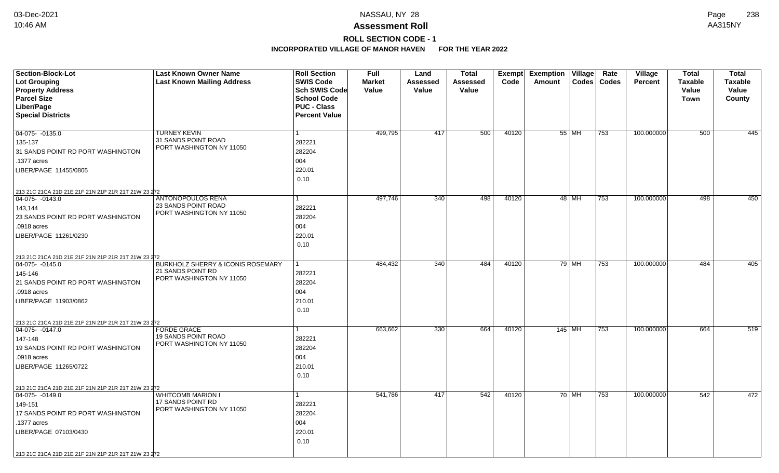# **ROLL SECTION CODE - 1**

| <b>Section-Block-Lot</b>                                               | <b>Last Known Owner Name</b>                    | <b>Roll Section</b>  | <b>Full</b>   | Land            | <b>Total</b>    |       | Exempt Exemption Village |         | Rate          | Village        | <b>Total</b>   | <b>Total</b>   |
|------------------------------------------------------------------------|-------------------------------------------------|----------------------|---------------|-----------------|-----------------|-------|--------------------------|---------|---------------|----------------|----------------|----------------|
| <b>Lot Grouping</b>                                                    | <b>Last Known Mailing Address</b>               | <b>SWIS Code</b>     | <b>Market</b> | <b>Assessed</b> | <b>Assessed</b> | Code  | Amount                   |         | Codes   Codes | <b>Percent</b> | <b>Taxable</b> | <b>Taxable</b> |
| <b>Property Address</b>                                                |                                                 | <b>Sch SWIS Code</b> | Value         | Value           | Value           |       |                          |         |               |                | Value          | Value          |
| <b>Parcel Size</b>                                                     |                                                 | <b>School Code</b>   |               |                 |                 |       |                          |         |               |                | Town           | County         |
| Liber/Page                                                             |                                                 | <b>PUC - Class</b>   |               |                 |                 |       |                          |         |               |                |                |                |
| <b>Special Districts</b>                                               |                                                 | <b>Percent Value</b> |               |                 |                 |       |                          |         |               |                |                |                |
|                                                                        |                                                 | $\mathbf{1}$         | 499,795       | 417             | 500             | 40120 |                          | 55   MH | 753           | 100.000000     | 500            | 445            |
| 04-075- -0135.0                                                        | <b>TURNEY KEVIN</b><br>31 SANDS POINT ROAD      | 282221               |               |                 |                 |       |                          |         |               |                |                |                |
| 135-137                                                                | PORT WASHINGTON NY 11050                        |                      |               |                 |                 |       |                          |         |               |                |                |                |
| 31 SANDS POINT RD PORT WASHINGTON                                      |                                                 | 282204               |               |                 |                 |       |                          |         |               |                |                |                |
| .1377 acres                                                            |                                                 | 004                  |               |                 |                 |       |                          |         |               |                |                |                |
| LIBER/PAGE 11455/0805                                                  |                                                 | 220.01               |               |                 |                 |       |                          |         |               |                |                |                |
|                                                                        |                                                 | 0.10                 |               |                 |                 |       |                          |         |               |                |                |                |
| 213 21C 21CA 21D 21E 21F 21N 21P 21R 21T 21W 23 272                    |                                                 |                      |               |                 |                 |       |                          |         |               |                |                |                |
| $04-075 - 0143.0$                                                      | <b>ANTONOPOULOS RENA</b>                        | $\mathbf{1}$         | 497,746       | 340             | 498             | 40120 |                          | 48 MH   | 753           | 100.000000     | 498            | 450            |
| 143,144                                                                | 23 SANDS POINT ROAD<br>PORT WASHINGTON NY 11050 | 282221               |               |                 |                 |       |                          |         |               |                |                |                |
| 23 SANDS POINT RD PORT WASHINGTON                                      |                                                 | 282204               |               |                 |                 |       |                          |         |               |                |                |                |
| .0918 acres                                                            |                                                 | 004                  |               |                 |                 |       |                          |         |               |                |                |                |
| LIBER/PAGE 11261/0230                                                  |                                                 | 220.01               |               |                 |                 |       |                          |         |               |                |                |                |
|                                                                        |                                                 | 0.10                 |               |                 |                 |       |                          |         |               |                |                |                |
| 213 21C 21CA 21D 21E 21F 21N 21P 21R 21T 21W 23 272                    |                                                 |                      |               |                 |                 |       |                          |         |               |                |                |                |
| 04-075- -0145.0                                                        | <b>BURKHOLZ SHERRY &amp; ICONIS ROSEMARY</b>    |                      | 484,432       | 340             | 484             | 40120 |                          | 79 MH   | 753           | 100.000000     | 484            | 405            |
| 145-146                                                                | 21 SANDS POINT RD                               | 282221               |               |                 |                 |       |                          |         |               |                |                |                |
| 21 SANDS POINT RD PORT WASHINGTON                                      | PORT WASHINGTON NY 11050                        | 282204               |               |                 |                 |       |                          |         |               |                |                |                |
| .0918 acres                                                            |                                                 | 004                  |               |                 |                 |       |                          |         |               |                |                |                |
| LIBER/PAGE 11903/0862                                                  |                                                 | 210.01               |               |                 |                 |       |                          |         |               |                |                |                |
|                                                                        |                                                 | 0.10                 |               |                 |                 |       |                          |         |               |                |                |                |
| 213 21C 21CA 21D 21E 21F 21N 21P 21R 21T 21W 23 272                    |                                                 |                      |               |                 |                 |       |                          |         |               |                |                |                |
| $ 04-075-0147.0$                                                       | <b>FORDE GRACE</b>                              | 1                    | 663,662       | 330             | 664             | 40120 | $145$ MH                 |         | 753           | 100.000000     | 664            | 519            |
| 147-148                                                                | <b>19 SANDS POINT ROAD</b>                      | 282221               |               |                 |                 |       |                          |         |               |                |                |                |
| 19 SANDS POINT RD PORT WASHINGTON                                      | PORT WASHINGTON NY 11050                        | 282204               |               |                 |                 |       |                          |         |               |                |                |                |
| .0918 acres                                                            |                                                 | 004                  |               |                 |                 |       |                          |         |               |                |                |                |
| LIBER/PAGE 11265/0722                                                  |                                                 | 210.01               |               |                 |                 |       |                          |         |               |                |                |                |
|                                                                        |                                                 | 0.10                 |               |                 |                 |       |                          |         |               |                |                |                |
|                                                                        |                                                 |                      |               |                 |                 |       |                          |         |               |                |                |                |
| 213 21C 21CA 21D 21E 21F 21N 21P 21R 21T 21W 23 272<br>04-075- -0149.0 | <b>WHITCOMB MARION I</b>                        | 1                    | 541,786       | 417             | 542             | 40120 |                          | 70 MH   | 753           | 100.000000     | 542            | 472            |
| 149-151                                                                | 17 SANDS POINT RD                               | 282221               |               |                 |                 |       |                          |         |               |                |                |                |
| 17 SANDS POINT RD PORT WASHINGTON                                      | PORT WASHINGTON NY 11050                        | 282204               |               |                 |                 |       |                          |         |               |                |                |                |
| .1377 acres                                                            |                                                 | 004                  |               |                 |                 |       |                          |         |               |                |                |                |
| LIBER/PAGE 07103/0430                                                  |                                                 | 220.01               |               |                 |                 |       |                          |         |               |                |                |                |
|                                                                        |                                                 | 0.10                 |               |                 |                 |       |                          |         |               |                |                |                |
|                                                                        |                                                 |                      |               |                 |                 |       |                          |         |               |                |                |                |
| 213 21C 21CA 21D 21E 21F 21N 21P 21R 21T 21W 23 272                    |                                                 |                      |               |                 |                 |       |                          |         |               |                |                |                |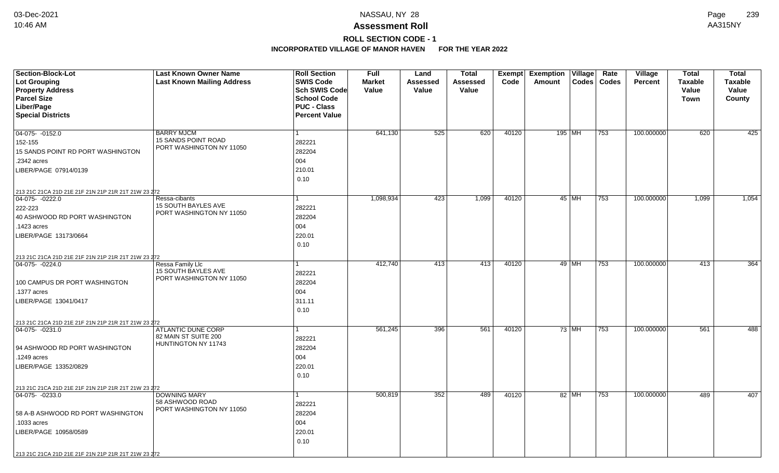## **ROLL SECTION CODE - 1**

| <b>Section-Block-Lot</b>                                                | <b>Last Known Owner Name</b>                           | <b>Roll Section</b>  | <b>Full</b>   | Land            | <b>Total</b>    | Exempt | Exemption   Village |         | Rate          | Village        | <b>Total</b>   | <b>Total</b>   |
|-------------------------------------------------------------------------|--------------------------------------------------------|----------------------|---------------|-----------------|-----------------|--------|---------------------|---------|---------------|----------------|----------------|----------------|
| <b>Lot Grouping</b>                                                     | <b>Last Known Mailing Address</b>                      | <b>SWIS Code</b>     | <b>Market</b> | <b>Assessed</b> | <b>Assessed</b> | Code   | Amount              |         | Codes   Codes | <b>Percent</b> | <b>Taxable</b> | <b>Taxable</b> |
| <b>Property Address</b>                                                 |                                                        | <b>Sch SWIS Code</b> | Value         | Value           | Value           |        |                     |         |               |                | Value          | Value          |
| <b>Parcel Size</b>                                                      |                                                        | <b>School Code</b>   |               |                 |                 |        |                     |         |               |                | Town           | County         |
| Liber/Page                                                              |                                                        | <b>PUC - Class</b>   |               |                 |                 |        |                     |         |               |                |                |                |
| <b>Special Districts</b>                                                |                                                        | <b>Percent Value</b> |               |                 |                 |        |                     |         |               |                |                |                |
|                                                                         |                                                        |                      |               |                 |                 |        |                     |         |               |                |                |                |
| 04-075- -0152.0                                                         | <b>BARRY MJCM</b>                                      | $\mathbf{1}$         | 641,130       | 525             | 620             | 40120  | 195 MH              |         | 753           | 100.000000     | 620            | 425            |
| 152-155                                                                 | <b>15 SANDS POINT ROAD</b><br>PORT WASHINGTON NY 11050 | 282221               |               |                 |                 |        |                     |         |               |                |                |                |
| 15 SANDS POINT RD PORT WASHINGTON                                       |                                                        | 282204               |               |                 |                 |        |                     |         |               |                |                |                |
| .2342 acres                                                             |                                                        | 004                  |               |                 |                 |        |                     |         |               |                |                |                |
| LIBER/PAGE 07914/0139                                                   |                                                        | 210.01               |               |                 |                 |        |                     |         |               |                |                |                |
|                                                                         |                                                        | 0.10                 |               |                 |                 |        |                     |         |               |                |                |                |
| 213 21C 21CA 21D 21E 21F 21N 21P 21R 21T 21W 23 272                     |                                                        |                      |               |                 |                 |        |                     |         |               |                |                |                |
| $04-075 - 0222.0$                                                       | Ressa-cibants                                          | $\mathbf{1}$         | 1,098,934     | 423             | 1,099           | 40120  |                     | $45$ MH | $ 753\rangle$ | 100.000000     | 1,099          | 1,054          |
| 222-223                                                                 | <b>15 SOUTH BAYLES AVE</b>                             | 282221               |               |                 |                 |        |                     |         |               |                |                |                |
| 40 ASHWOOD RD PORT WASHINGTON                                           | PORT WASHINGTON NY 11050                               | 282204               |               |                 |                 |        |                     |         |               |                |                |                |
| .1423 acres                                                             |                                                        | 004                  |               |                 |                 |        |                     |         |               |                |                |                |
| LIBER/PAGE 13173/0664                                                   |                                                        | 220.01               |               |                 |                 |        |                     |         |               |                |                |                |
|                                                                         |                                                        | 0.10                 |               |                 |                 |        |                     |         |               |                |                |                |
|                                                                         |                                                        |                      |               |                 |                 |        |                     |         |               |                |                |                |
| 213 21C 21CA 21D 21E 21F 21N 21P 21R 21T 21W 23 272<br>$ 04-075-0224.0$ | Ressa Family Llc                                       | 1                    | 412,740       | 413             | 413             | 40120  |                     | 49 MH   | 753           | 100.000000     | 413            | 364            |
|                                                                         | 15 SOUTH BAYLES AVE                                    | 282221               |               |                 |                 |        |                     |         |               |                |                |                |
| 100 CAMPUS DR PORT WASHINGTON                                           | PORT WASHINGTON NY 11050                               | 282204               |               |                 |                 |        |                     |         |               |                |                |                |
| .1377 acres                                                             |                                                        | 004                  |               |                 |                 |        |                     |         |               |                |                |                |
|                                                                         |                                                        |                      |               |                 |                 |        |                     |         |               |                |                |                |
| LIBER/PAGE 13041/0417                                                   |                                                        | 311.11               |               |                 |                 |        |                     |         |               |                |                |                |
|                                                                         |                                                        | 0.10                 |               |                 |                 |        |                     |         |               |                |                |                |
| 213 21C 21CA 21D 21E 21F 21N 21P 21R 21T 21W 23 272                     |                                                        |                      |               |                 |                 |        |                     |         |               |                |                |                |
| $ 04-075-0231.0$                                                        | <b>ATLANTIC DUNE CORP</b><br>82 MAIN ST SUITE 200      | 1.                   | 561,245       | 396             | 561             | 40120  |                     | 73 MH   | 753           | 100.000000     | 561            | 488            |
|                                                                         | HUNTINGTON NY 11743                                    | 282221               |               |                 |                 |        |                     |         |               |                |                |                |
| 94 ASHWOOD RD PORT WASHINGTON                                           |                                                        | 282204               |               |                 |                 |        |                     |         |               |                |                |                |
| .1249 acres                                                             |                                                        | 004                  |               |                 |                 |        |                     |         |               |                |                |                |
| LIBER/PAGE 13352/0829                                                   |                                                        | 220.01               |               |                 |                 |        |                     |         |               |                |                |                |
|                                                                         |                                                        | 0.10                 |               |                 |                 |        |                     |         |               |                |                |                |
| 213 21C 21CA 21D 21E 21F 21N 21P 21R 21T 21W 23 272                     |                                                        |                      |               |                 |                 |        |                     |         |               |                |                |                |
| $ 04-075-0233.0$                                                        | <b>DOWNING MARY</b>                                    | 1                    | 500,819       | 352             | 489             | 40120  |                     | 82 MH   | 753           | 100.000000     | 489            | 407            |
|                                                                         | 58 ASHWOOD ROAD<br>PORT WASHINGTON NY 11050            | 282221               |               |                 |                 |        |                     |         |               |                |                |                |
| 58 A-B ASHWOOD RD PORT WASHINGTON                                       |                                                        | 282204               |               |                 |                 |        |                     |         |               |                |                |                |
| .1033 acres                                                             |                                                        | 004                  |               |                 |                 |        |                     |         |               |                |                |                |
| LIBER/PAGE 10958/0589                                                   |                                                        | 220.01               |               |                 |                 |        |                     |         |               |                |                |                |
|                                                                         |                                                        | 0.10                 |               |                 |                 |        |                     |         |               |                |                |                |
| 213 21C 21CA 21D 21E 21F 21N 21P 21R 21T 21W 23 272                     |                                                        |                      |               |                 |                 |        |                     |         |               |                |                |                |
|                                                                         |                                                        |                      |               |                 |                 |        |                     |         |               |                |                |                |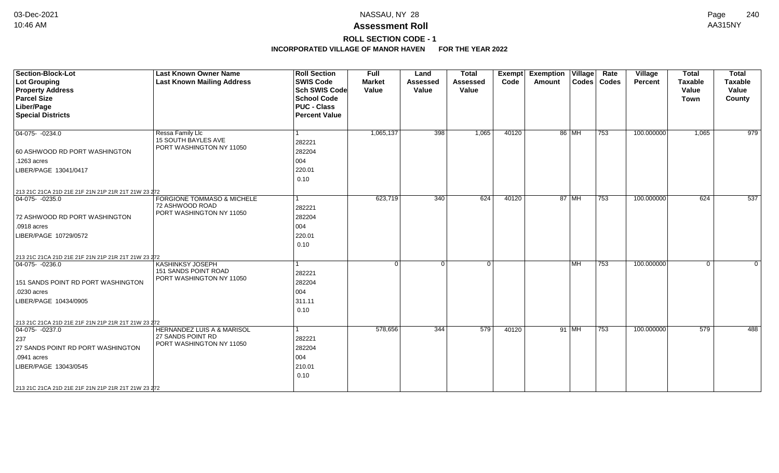# **ROLL SECTION CODE - 1**

| <b>Section-Block-Lot</b><br><b>Lot Grouping</b><br><b>Property Address</b><br><b>Parcel Size</b><br>Liber/Page<br><b>Special Districts</b>                                                                         | <b>Last Known Owner Name</b><br><b>Last Known Mailing Address</b>                      | <b>Roll Section</b><br><b>SWIS Code</b><br><b>Sch SWIS Code</b><br><b>School Code</b><br><b>PUC - Class</b><br><b>Percent Value</b> | <b>Full</b><br><b>Market</b><br>Value | Land<br><b>Assessed</b><br>Value | <b>Total</b><br>Assessed<br>Value | <b>Exempt</b><br>Code | <b>Exemption Village</b><br>Amount |           | Rate<br>Codes   Codes | Village<br>Percent | <b>Total</b><br><b>Taxable</b><br>Value<br><b>Town</b> | <b>Total</b><br><b>Taxable</b><br>Value<br>County |
|--------------------------------------------------------------------------------------------------------------------------------------------------------------------------------------------------------------------|----------------------------------------------------------------------------------------|-------------------------------------------------------------------------------------------------------------------------------------|---------------------------------------|----------------------------------|-----------------------------------|-----------------------|------------------------------------|-----------|-----------------------|--------------------|--------------------------------------------------------|---------------------------------------------------|
| $ 04-075-0234.0$<br>60 ASHWOOD RD PORT WASHINGTON<br>.1263 acres<br>LIBER/PAGE 13041/0417<br>213 21C 21CA 21D 21E 21F 21N 21P 21R 21T 21W 23 272                                                                   | Ressa Family Llc<br>15 SOUTH BAYLES AVE<br>PORT WASHINGTON NY 11050                    | 282221<br>282204<br>004<br>220.01<br>0.10                                                                                           | 1,065,137                             | 398                              | 1,065                             | 40120                 |                                    | $86$ MH   | $ 753\rangle$         | 100.000000         | 1,065                                                  | $\overline{979}$                                  |
| $ 04-075-0235.0$<br>72 ASHWOOD RD PORT WASHINGTON<br>.0918 acres<br>LIBER/PAGE 10729/0572                                                                                                                          | FORGIONE TOMMASO & MICHELE<br>72 ASHWOOD ROAD<br>PORT WASHINGTON NY 11050              | 282221<br>282204<br>004<br>220.01<br>0.10                                                                                           | 623,719                               | 340                              | 624                               | 40120                 |                                    | 87 MH     | 753                   | 100.000000         | 624                                                    | 537                                               |
| 213 21C 21CA 21D 21E 21F 21N 21P 21R 21T 21W 23 272<br>$04-075 - 0236.0$<br>151 SANDS POINT RD PORT WASHINGTON<br>.0230 acres<br>LIBER/PAGE 10434/0905                                                             | <b>KASHINKSY JOSEPH</b><br>151 SANDS POINT ROAD<br>PORT WASHINGTON NY 11050            | 282221<br>282204<br>004<br>311.11<br>0.10                                                                                           | $\Omega$                              | 0                                | $\Omega$                          |                       |                                    | <b>MH</b> | 753                   | 100.000000         | $\mathbf{0}$                                           | $\Omega$                                          |
| 213 21C 21CA 21D 21E 21F 21N 21P 21R 21T 21W 23 272<br>$ 04-075-0237.0$<br>237<br>27 SANDS POINT RD PORT WASHINGTON<br>.0941 acres<br>LIBER/PAGE 13043/0545<br>213 21C 21CA 21D 21E 21F 21N 21P 21R 21T 21W 23 272 | <b>HERNANDEZ LUIS A &amp; MARISOL</b><br>27 SANDS POINT RD<br>PORT WASHINGTON NY 11050 | 282221<br>282204<br>004<br>210.01<br>0.10                                                                                           | 578,656                               | 344                              | 579                               | 40120                 |                                    | $91$ MH   | 753                   | 100.000000         | 579                                                    | 488                                               |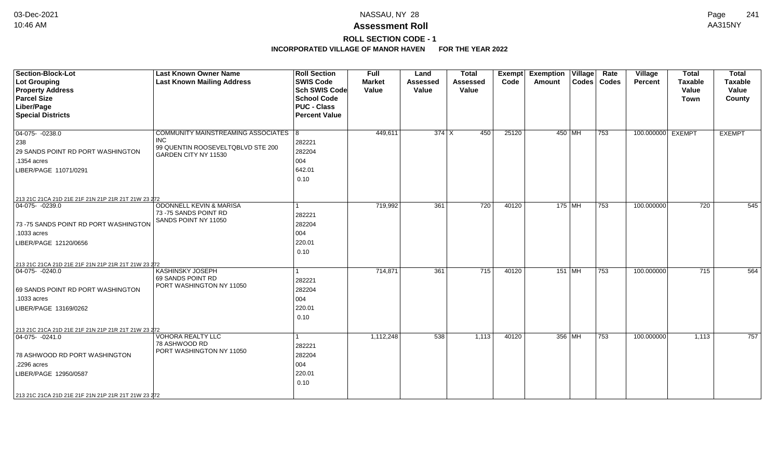# **ROLL SECTION CODE - 1**

| <b>Section-Block-Lot</b><br>Lot Grouping<br><b>Property Address</b><br><b>Parcel Size</b><br>Liber/Page<br><b>Special Districts</b>                                                                            | <b>Last Known Owner Name</b><br><b>Last Known Mailing Address</b>                                               | <b>Roll Section</b><br><b>SWIS Code</b><br><b>Sch SWIS Code</b><br><b>School Code</b><br><b>PUC - Class</b><br><b>Percent Value</b> | Full<br><b>Market</b><br>Value | Land<br><b>Assessed</b><br>Value | <b>Total</b><br><b>Assessed</b><br>Value | Exempt<br>Code | <b>Exemption Village</b><br>Amount |        | Rate<br>Codes   Codes | Village<br>Percent | <b>Total</b><br><b>Taxable</b><br>Value<br><b>Town</b> | <b>Total</b><br><b>Taxable</b><br>Value<br>County |
|----------------------------------------------------------------------------------------------------------------------------------------------------------------------------------------------------------------|-----------------------------------------------------------------------------------------------------------------|-------------------------------------------------------------------------------------------------------------------------------------|--------------------------------|----------------------------------|------------------------------------------|----------------|------------------------------------|--------|-----------------------|--------------------|--------------------------------------------------------|---------------------------------------------------|
| $04-075 - 0238.0$<br>238<br>29 SANDS POINT RD PORT WASHINGTON<br>.1354 acres<br>LIBER/PAGE 11071/0291                                                                                                          | COMMUNITY MAINSTREAMING ASSOCIATES 8<br><b>INC</b><br>99 QUENTIN ROOSEVELTQBLVD STE 200<br>GARDEN CITY NY 11530 | 282221<br>282204<br>004<br>642.01<br>0.10                                                                                           | 449,611                        | $374$ X                          | 450                                      | 25120          | 450 MH                             |        | 753                   | 100.000000 EXEMPT  |                                                        | <b>EXEMPT</b>                                     |
| 213 21C 21CA 21D 21E 21F 21N 21P 21R 21T 21W 23 272<br>$04-075 - 0239.0$<br>73-75 SANDS POINT RD PORT WASHINGTON<br>1033 acres<br>LIBER/PAGE 12120/0656<br>213 21C 21CA 21D 21E 21F 21N 21P 21R 21T 21W 23 272 | <b>ODONNELL KEVIN &amp; MARISA</b><br>73 - 75 SANDS POINT RD<br>SANDS POINT NY 11050                            | 282221<br>282204<br>004<br>220.01<br>0.10                                                                                           | 719,992                        | 361                              | 720                                      | 40120          | 175 MH                             |        | 753                   | 100.000000         | 720                                                    | 545                                               |
| $ 04-075-0240.0$<br>69 SANDS POINT RD PORT WASHINGTON<br>.1033 acres<br>LIBER/PAGE 13169/0262<br>213 21C 21CA 21D 21E 21F 21N 21P 21R 21T 21W 23 272                                                           | <b>KASHINSKY JOSEPH</b><br>69 SANDS POINT RD<br>PORT WASHINGTON NY 11050                                        | 282221<br>282204<br>004<br>220.01<br>0.10                                                                                           | 714,871                        | 361                              | 715                                      | 40120          |                                    | 151 MH | 753                   | 100.000000         | 715                                                    | 564                                               |
| $ 04-075-0241.0$<br>78 ASHWOOD RD PORT WASHINGTON<br>.2296 acres<br>LIBER/PAGE 12950/0587<br>213 21C 21CA 21D 21E 21F 21N 21P 21R 21T 21W 23 272                                                               | <b>VOHORA REALTY LLC</b><br>78 ASHWOOD RD<br>PORT WASHINGTON NY 11050                                           | 282221<br>282204<br>004<br>220.01<br>0.10                                                                                           | 1,112,248                      | 538                              | 1,113                                    | 40120          |                                    | 356 MH | 753                   | 100.000000         | 1,113                                                  | 757                                               |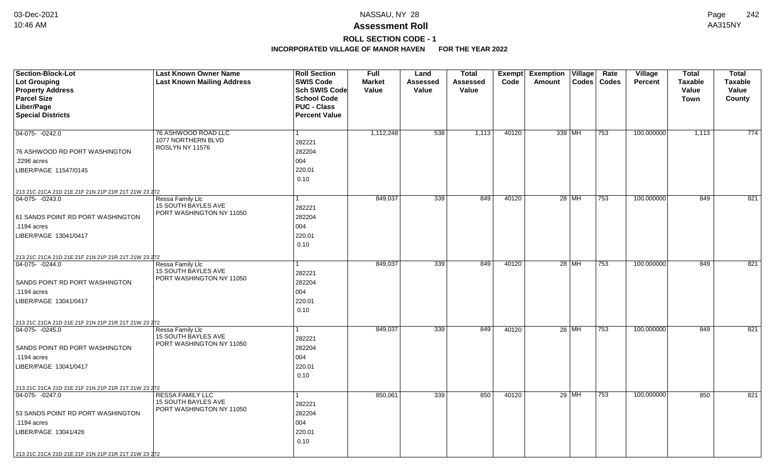# **ROLL SECTION CODE - 1**

| Section-Block-Lot<br><b>Lot Grouping</b>            | <b>Last Known Owner Name</b><br><b>Last Known Mailing Address</b> | <b>Roll Section</b><br><b>SWIS Code</b>  | <b>Full</b><br><b>Market</b> | Land<br>Assessed | <b>Total</b><br><b>Assessed</b> | <b>Exempt</b><br>Code | <b>Exemption Village</b><br>Amount | Rate<br>Codes   Codes | Village<br><b>Percent</b> | <b>Total</b><br><b>Taxable</b> | <b>Total</b><br><b>Taxable</b> |
|-----------------------------------------------------|-------------------------------------------------------------------|------------------------------------------|------------------------------|------------------|---------------------------------|-----------------------|------------------------------------|-----------------------|---------------------------|--------------------------------|--------------------------------|
| <b>Property Address</b>                             |                                                                   | Sch SWIS Code                            | Value                        | Value            | Value                           |                       |                                    |                       |                           | Value                          | Value                          |
| <b>Parcel Size</b><br>Liber/Page                    |                                                                   | <b>School Code</b><br><b>PUC - Class</b> |                              |                  |                                 |                       |                                    |                       |                           | <b>Town</b>                    | County                         |
| <b>Special Districts</b>                            |                                                                   | <b>Percent Value</b>                     |                              |                  |                                 |                       |                                    |                       |                           |                                |                                |
|                                                     |                                                                   |                                          |                              |                  |                                 |                       |                                    |                       |                           |                                |                                |
| $04-075 - 0242.0$                                   | 76 ASHWOOD ROAD LLC                                               | $\mathbf{1}$                             | 1,112,248                    | 538              | 1,113                           | 40120                 | 339 MH                             | 753                   | 100.000000                | 1,113                          | 774                            |
|                                                     | 1077 NORTHERN BLVD                                                | 282221                                   |                              |                  |                                 |                       |                                    |                       |                           |                                |                                |
| 76 ASHWOOD RD PORT WASHINGTON                       | ROSLYN NY 11576                                                   | 282204                                   |                              |                  |                                 |                       |                                    |                       |                           |                                |                                |
| .2296 acres                                         |                                                                   | 004                                      |                              |                  |                                 |                       |                                    |                       |                           |                                |                                |
| LIBER/PAGE 11547/0145                               |                                                                   | 220.01                                   |                              |                  |                                 |                       |                                    |                       |                           |                                |                                |
|                                                     |                                                                   | 0.10                                     |                              |                  |                                 |                       |                                    |                       |                           |                                |                                |
| 213 21C 21CA 21D 21E 21F 21N 21P 21R 21T 21W 23 272 |                                                                   |                                          |                              |                  |                                 |                       |                                    |                       |                           |                                |                                |
| 04-075- -0243.0                                     | Ressa Family Llc                                                  | $\mathbf{1}$                             | 849,037                      | 339              | 849                             | 40120                 | 28 MH                              | 753                   | 100.000000                | 849                            | 821                            |
|                                                     | 15 SOUTH BAYLES AVE                                               | 282221                                   |                              |                  |                                 |                       |                                    |                       |                           |                                |                                |
| 61 SANDS POINT RD PORT WASHINGTON                   | PORT WASHINGTON NY 11050                                          | 282204                                   |                              |                  |                                 |                       |                                    |                       |                           |                                |                                |
| .1194 acres                                         |                                                                   | 004                                      |                              |                  |                                 |                       |                                    |                       |                           |                                |                                |
| LIBER/PAGE 13041/0417                               |                                                                   | 220.01                                   |                              |                  |                                 |                       |                                    |                       |                           |                                |                                |
|                                                     |                                                                   | 0.10                                     |                              |                  |                                 |                       |                                    |                       |                           |                                |                                |
| 213 21C 21CA 21D 21E 21F 21N 21P 21R 21T 21W 23 272 |                                                                   |                                          |                              |                  |                                 |                       |                                    |                       |                           |                                |                                |
| $04-075 - 0244.0$                                   | <b>Ressa Family Llc</b>                                           |                                          | 849,037                      | 339              | 849                             | 40120                 | 28 MH                              | 753                   | 100.000000                | 849                            | 821                            |
|                                                     | 15 SOUTH BAYLES AVE<br>PORT WASHINGTON NY 11050                   | 282221                                   |                              |                  |                                 |                       |                                    |                       |                           |                                |                                |
| SANDS POINT RD PORT WASHINGTON                      |                                                                   | 282204                                   |                              |                  |                                 |                       |                                    |                       |                           |                                |                                |
| .1194 acres                                         |                                                                   | 004                                      |                              |                  |                                 |                       |                                    |                       |                           |                                |                                |
| LIBER/PAGE 13041/0417                               |                                                                   | 220.01                                   |                              |                  |                                 |                       |                                    |                       |                           |                                |                                |
|                                                     |                                                                   | 0.10                                     |                              |                  |                                 |                       |                                    |                       |                           |                                |                                |
| 213 21C 21CA 21D 21E 21F 21N 21P 21R 21T 21W 23 272 |                                                                   |                                          |                              |                  |                                 |                       |                                    |                       |                           |                                |                                |
| $ 04-075-0245.0$                                    | Ressa Family Llc                                                  | $\mathbf{1}$                             | 849,037                      | 339              | 849                             | 40120                 | $28$ MH                            | 753                   | 100.000000                | 849                            | 821                            |
|                                                     | 15 SOUTH BAYLES AVE<br>PORT WASHINGTON NY 11050                   | 282221                                   |                              |                  |                                 |                       |                                    |                       |                           |                                |                                |
| SANDS POINT RD PORT WASHINGTON                      |                                                                   | 282204                                   |                              |                  |                                 |                       |                                    |                       |                           |                                |                                |
| .1194 acres                                         |                                                                   | 004                                      |                              |                  |                                 |                       |                                    |                       |                           |                                |                                |
| LIBER/PAGE 13041/0417                               |                                                                   | 220.01                                   |                              |                  |                                 |                       |                                    |                       |                           |                                |                                |
|                                                     |                                                                   | 0.10                                     |                              |                  |                                 |                       |                                    |                       |                           |                                |                                |
| 213 21C 21CA 21D 21E 21F 21N 21P 21R 21T 21W 23 272 |                                                                   |                                          |                              |                  |                                 |                       |                                    |                       |                           |                                |                                |
| 04-075- -0247.0                                     | <b>RESSA FAMILY LLC</b><br><b>15 SOUTH BAYLES AVE</b>             | $\mathbf{1}$                             | 850,061                      | 339              | 850                             | 40120                 | $29$ MH                            | 753                   | 100.000000                | 850                            | 821                            |
|                                                     | PORT WASHINGTON NY 11050                                          | 282221                                   |                              |                  |                                 |                       |                                    |                       |                           |                                |                                |
| 53 SANDS POINT RD PORT WASHINGTON                   |                                                                   | 282204                                   |                              |                  |                                 |                       |                                    |                       |                           |                                |                                |
| .1194 acres                                         |                                                                   | 004                                      |                              |                  |                                 |                       |                                    |                       |                           |                                |                                |
| LIBER/PAGE 13041/426                                |                                                                   | 220.01                                   |                              |                  |                                 |                       |                                    |                       |                           |                                |                                |
|                                                     |                                                                   | 0.10                                     |                              |                  |                                 |                       |                                    |                       |                           |                                |                                |
| 213 21C 21CA 21D 21E 21F 21N 21P 21R 21T 21W 23 272 |                                                                   |                                          |                              |                  |                                 |                       |                                    |                       |                           |                                |                                |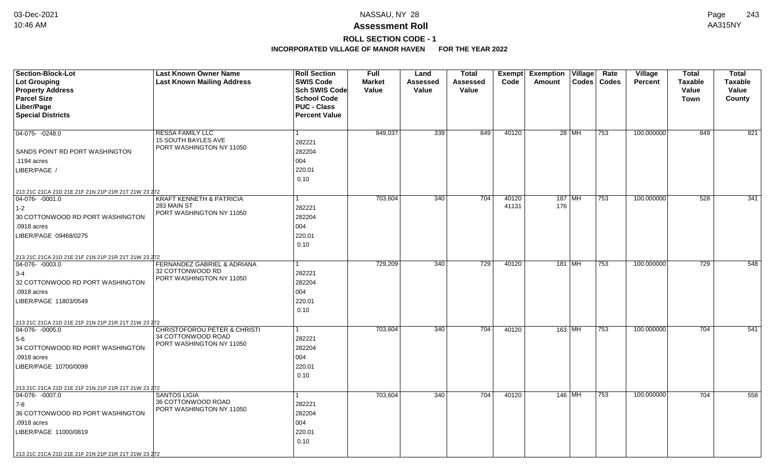# **ROLL SECTION CODE - 1**

| <b>Section-Block-Lot</b><br><b>Lot Grouping</b><br><b>Property Address</b><br><b>Parcel Size</b> | <b>Last Known Owner Name</b><br><b>Last Known Mailing Address</b> | <b>Roll Section</b><br><b>SWIS Code</b><br><b>Sch SWIS Code</b><br><b>School Code</b> | <b>Full</b><br><b>Market</b><br>Value | Land<br>Assessed<br>Value | <b>Total</b><br><b>Assessed</b><br>Value | Exempt<br>Code | <b>Exemption</b><br>Village<br>Rate<br>Codes<br>Codes<br>Amount | <b>Village</b><br><b>Percent</b> | <b>Total</b><br><b>Taxable</b><br>Value<br>Town | <b>Total</b><br><b>Taxable</b><br>Value<br>County |
|--------------------------------------------------------------------------------------------------|-------------------------------------------------------------------|---------------------------------------------------------------------------------------|---------------------------------------|---------------------------|------------------------------------------|----------------|-----------------------------------------------------------------|----------------------------------|-------------------------------------------------|---------------------------------------------------|
| Liber/Page                                                                                       |                                                                   | <b>PUC - Class</b>                                                                    |                                       |                           |                                          |                |                                                                 |                                  |                                                 |                                                   |
| <b>Special Districts</b>                                                                         |                                                                   | <b>Percent Value</b>                                                                  |                                       |                           |                                          |                |                                                                 |                                  |                                                 |                                                   |
|                                                                                                  |                                                                   |                                                                                       |                                       |                           |                                          |                |                                                                 |                                  |                                                 |                                                   |
| 04-075- -0248.0                                                                                  | <b>RESSA FAMILY LLC</b><br>15 SOUTH BAYLES AVE                    | 1<br>282221                                                                           | 849,037                               | 339                       | 849                                      | 40120          | $28$ MH<br>753                                                  | 100.000000                       | 849                                             | 821                                               |
| SANDS POINT RD PORT WASHINGTON                                                                   | PORT WASHINGTON NY 11050                                          | 282204                                                                                |                                       |                           |                                          |                |                                                                 |                                  |                                                 |                                                   |
| .1194 acres                                                                                      |                                                                   | 004                                                                                   |                                       |                           |                                          |                |                                                                 |                                  |                                                 |                                                   |
| LIBER/PAGE /                                                                                     |                                                                   | 220.01                                                                                |                                       |                           |                                          |                |                                                                 |                                  |                                                 |                                                   |
|                                                                                                  |                                                                   | 0.10                                                                                  |                                       |                           |                                          |                |                                                                 |                                  |                                                 |                                                   |
| 213 21C 21CA 21D 21E 21F 21N 21P 21R 21T 21W 23 272                                              |                                                                   |                                                                                       |                                       |                           |                                          |                |                                                                 |                                  |                                                 |                                                   |
| 04-076-0001.0                                                                                    | <b>KRAFT KENNETH &amp; PATRICIA</b>                               |                                                                                       | 703,604                               | 340                       | 704                                      | 40120          | $187$ MH<br>753                                                 | 100.000000                       | 528                                             | $\overline{341}$                                  |
| $1-2$                                                                                            | 283 MAIN ST<br>PORT WASHINGTON NY 11050                           | 282221                                                                                |                                       |                           |                                          | 41131          | 176                                                             |                                  |                                                 |                                                   |
| 30 COTTONWOOD RD PORT WASHINGTON                                                                 |                                                                   | 282204                                                                                |                                       |                           |                                          |                |                                                                 |                                  |                                                 |                                                   |
| .0918 acres                                                                                      |                                                                   | 004                                                                                   |                                       |                           |                                          |                |                                                                 |                                  |                                                 |                                                   |
| LIBER/PAGE 09468/0275                                                                            |                                                                   | 220.01                                                                                |                                       |                           |                                          |                |                                                                 |                                  |                                                 |                                                   |
|                                                                                                  |                                                                   | 0.10                                                                                  |                                       |                           |                                          |                |                                                                 |                                  |                                                 |                                                   |
| 213 21C 21CA 21D 21E 21F 21N 21P 21R 21T 21W 23 272                                              |                                                                   |                                                                                       |                                       |                           |                                          |                |                                                                 |                                  |                                                 |                                                   |
| 04-076-0003.0                                                                                    | FERNANDEZ GABRIEL & ADRIANA<br>32 COTTONWOOD RD                   |                                                                                       | 729,209                               | 340                       | 729                                      | 40120          | 181 MH<br>753                                                   | 100.000000                       | 729                                             | 548                                               |
| $3-4$                                                                                            | PORT WASHINGTON NY 11050                                          | 282221                                                                                |                                       |                           |                                          |                |                                                                 |                                  |                                                 |                                                   |
| 32 COTTONWOOD RD PORT WASHINGTON                                                                 |                                                                   | 282204                                                                                |                                       |                           |                                          |                |                                                                 |                                  |                                                 |                                                   |
| .0918 acres                                                                                      |                                                                   | 004                                                                                   |                                       |                           |                                          |                |                                                                 |                                  |                                                 |                                                   |
| LIBER/PAGE 11803/0549                                                                            |                                                                   | 220.01                                                                                |                                       |                           |                                          |                |                                                                 |                                  |                                                 |                                                   |
|                                                                                                  |                                                                   | 0.10                                                                                  |                                       |                           |                                          |                |                                                                 |                                  |                                                 |                                                   |
| 213 21C 21CA 21D 21E 21F 21N 21P 21R 21T 21W 23 272<br>$ 04-076-0005.0$                          | <b>CHRISTOFOROU PETER &amp; CHRISTI</b>                           | 1                                                                                     | 703,604                               | 340                       | 704                                      | 40120          | 163 MH<br>753                                                   | 100.000000                       | 704                                             | 541                                               |
| 5-6                                                                                              | 34 COTTONWOOD ROAD                                                | 282221                                                                                |                                       |                           |                                          |                |                                                                 |                                  |                                                 |                                                   |
| 34 COTTONWOOD RD PORT WASHINGTON                                                                 | PORT WASHINGTON NY 11050                                          | 282204                                                                                |                                       |                           |                                          |                |                                                                 |                                  |                                                 |                                                   |
| .0918 acres                                                                                      |                                                                   | 004                                                                                   |                                       |                           |                                          |                |                                                                 |                                  |                                                 |                                                   |
| LIBER/PAGE 10700/0099                                                                            |                                                                   | 220.01                                                                                |                                       |                           |                                          |                |                                                                 |                                  |                                                 |                                                   |
|                                                                                                  |                                                                   | 0.10                                                                                  |                                       |                           |                                          |                |                                                                 |                                  |                                                 |                                                   |
| 213 21C 21CA 21D 21E 21F 21N 21P 21R 21T 21W 23 272                                              |                                                                   |                                                                                       |                                       |                           |                                          |                |                                                                 |                                  |                                                 |                                                   |
| 04-076- -0007.0                                                                                  | <b>SANTOS LIGIA</b>                                               | 1                                                                                     | 703,604                               | 340                       | 704                                      | 40120          | 146   MH<br>753                                                 | 100.000000                       | 704                                             | 558                                               |
| 7-8                                                                                              | 36 COTTONWOOD ROAD                                                | 282221                                                                                |                                       |                           |                                          |                |                                                                 |                                  |                                                 |                                                   |
| 36 COTTONWOOD RD PORT WASHINGTON                                                                 | PORT WASHINGTON NY 11050                                          | 282204                                                                                |                                       |                           |                                          |                |                                                                 |                                  |                                                 |                                                   |
| .0918 acres                                                                                      |                                                                   | 004                                                                                   |                                       |                           |                                          |                |                                                                 |                                  |                                                 |                                                   |
| LIBER/PAGE 11000/0819                                                                            |                                                                   | 220.01                                                                                |                                       |                           |                                          |                |                                                                 |                                  |                                                 |                                                   |
|                                                                                                  |                                                                   | 0.10                                                                                  |                                       |                           |                                          |                |                                                                 |                                  |                                                 |                                                   |
| 213 21C 21CA 21D 21E 21F 21N 21P 21R 21T 21W 23 272                                              |                                                                   |                                                                                       |                                       |                           |                                          |                |                                                                 |                                  |                                                 |                                                   |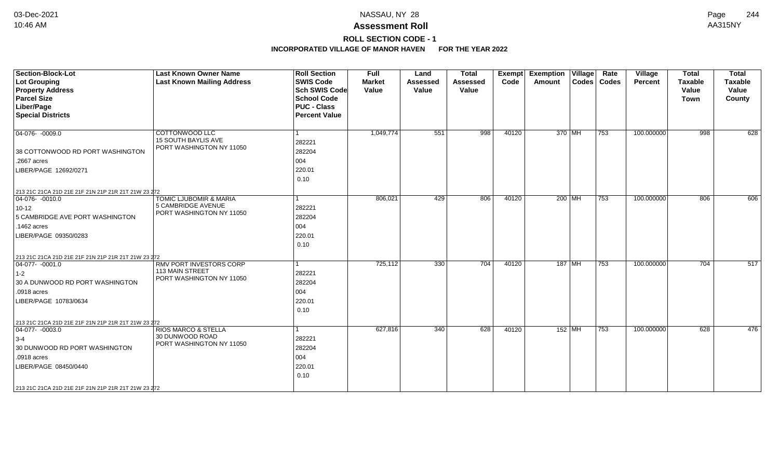# **ROLL SECTION CODE - 1**

| <b>Section-Block-Lot</b><br>Lot Grouping<br><b>Property Address</b>     | <b>Last Known Owner Name</b><br><b>Last Known Mailing Address</b> | <b>Roll Section</b><br><b>SWIS Code</b><br><b>Sch SWIS Code</b> | <b>Full</b><br><b>Market</b><br>Value | Land<br><b>Assessed</b><br>Value | <b>Total</b><br><b>Assessed</b><br>Value | <b>Exempt</b><br>Code | <b>Exemption Village</b><br>Amount | Rate<br>Codes   Codes | Village<br>Percent | <b>Total</b><br><b>Taxable</b><br>Value | <b>Total</b><br><b>Taxable</b><br>Value |
|-------------------------------------------------------------------------|-------------------------------------------------------------------|-----------------------------------------------------------------|---------------------------------------|----------------------------------|------------------------------------------|-----------------------|------------------------------------|-----------------------|--------------------|-----------------------------------------|-----------------------------------------|
| <b>Parcel Size</b>                                                      |                                                                   | <b>School Code</b>                                              |                                       |                                  |                                          |                       |                                    |                       |                    | <b>Town</b>                             | County                                  |
| Liber/Page                                                              |                                                                   | <b>PUC - Class</b>                                              |                                       |                                  |                                          |                       |                                    |                       |                    |                                         |                                         |
| <b>Special Districts</b>                                                |                                                                   | <b>Percent Value</b>                                            |                                       |                                  |                                          |                       |                                    |                       |                    |                                         |                                         |
| $ 04-076-0009.0$                                                        | COTTONWOOD LLC                                                    | l 1                                                             | 1,049,774                             | 551                              | 998                                      | 40120                 | 370 MH                             | 753                   | 100.000000         | 998                                     | 628                                     |
|                                                                         | <b>15 SOUTH BAYLIS AVE</b>                                        | 282221                                                          |                                       |                                  |                                          |                       |                                    |                       |                    |                                         |                                         |
| 38 COTTONWOOD RD PORT WASHINGTON                                        | PORT WASHINGTON NY 11050                                          | 282204                                                          |                                       |                                  |                                          |                       |                                    |                       |                    |                                         |                                         |
| .2667 acres                                                             |                                                                   | 004                                                             |                                       |                                  |                                          |                       |                                    |                       |                    |                                         |                                         |
| LIBER/PAGE 12692/0271                                                   |                                                                   | 220.01                                                          |                                       |                                  |                                          |                       |                                    |                       |                    |                                         |                                         |
|                                                                         |                                                                   | 0.10                                                            |                                       |                                  |                                          |                       |                                    |                       |                    |                                         |                                         |
|                                                                         |                                                                   |                                                                 |                                       |                                  |                                          |                       |                                    |                       |                    |                                         |                                         |
| 213 21C 21CA 21D 21E 21F 21N 21P 21R 21T 21W 23 272<br>$ 04-076-0010.0$ | TOMIC LJUBOMIR & MARIA                                            | $\mathbf{1}$                                                    | 806,021                               | 429                              | 806                                      | 40120                 | 200 MH                             | 753                   | 100.000000         | 806                                     | 606                                     |
| $10 - 12$                                                               | 5 CAMBRIDGE AVENUE                                                | 282221                                                          |                                       |                                  |                                          |                       |                                    |                       |                    |                                         |                                         |
| 5 CAMBRIDGE AVE PORT WASHINGTON                                         | PORT WASHINGTON NY 11050                                          | 282204                                                          |                                       |                                  |                                          |                       |                                    |                       |                    |                                         |                                         |
| .1462 acres                                                             |                                                                   | 004                                                             |                                       |                                  |                                          |                       |                                    |                       |                    |                                         |                                         |
| LIBER/PAGE 09350/0283                                                   |                                                                   | 220.01                                                          |                                       |                                  |                                          |                       |                                    |                       |                    |                                         |                                         |
|                                                                         |                                                                   | 0.10                                                            |                                       |                                  |                                          |                       |                                    |                       |                    |                                         |                                         |
|                                                                         |                                                                   |                                                                 |                                       |                                  |                                          |                       |                                    |                       |                    |                                         |                                         |
| 213 21C 21CA 21D 21E 21F 21N 21P 21R 21T 21W 23 272                     |                                                                   |                                                                 |                                       |                                  |                                          |                       |                                    |                       |                    |                                         |                                         |
| $ 04-077- -0001.0$                                                      | RMV PORT INVESTORS CORP<br><b>113 MAIN STREET</b>                 | $\vert$ 1                                                       | 725,112                               | 330                              | 704                                      | 40120                 | 187 MH                             | 753                   | 100.000000         | $\overline{704}$                        | 517                                     |
| $1-2$                                                                   | PORT WASHINGTON NY 11050                                          | 282221                                                          |                                       |                                  |                                          |                       |                                    |                       |                    |                                         |                                         |
| 30 A DUNWOOD RD PORT WASHINGTON                                         |                                                                   | 282204                                                          |                                       |                                  |                                          |                       |                                    |                       |                    |                                         |                                         |
| .0918 acres                                                             |                                                                   | 004                                                             |                                       |                                  |                                          |                       |                                    |                       |                    |                                         |                                         |
| LIBER/PAGE 10783/0634                                                   |                                                                   | 220.01                                                          |                                       |                                  |                                          |                       |                                    |                       |                    |                                         |                                         |
|                                                                         |                                                                   | 0.10                                                            |                                       |                                  |                                          |                       |                                    |                       |                    |                                         |                                         |
| 213 21C 21CA 21D 21E 21F 21N 21P 21R 21T 21W 23 272                     |                                                                   |                                                                 |                                       |                                  |                                          |                       |                                    |                       |                    |                                         |                                         |
| $ 04-077-0003.0$                                                        | <b>RIOS MARCO &amp; STELLA</b>                                    | 1                                                               | 627,816                               | 340                              | 628                                      | 40120                 | $152$ MH                           | 753                   | 100.000000         | 628                                     | 476                                     |
| $3-4$                                                                   | 30 DUNWOOD ROAD                                                   | 282221                                                          |                                       |                                  |                                          |                       |                                    |                       |                    |                                         |                                         |
| 30 DUNWOOD RD PORT WASHINGTON                                           | PORT WASHINGTON NY 11050                                          | 282204                                                          |                                       |                                  |                                          |                       |                                    |                       |                    |                                         |                                         |
| .0918 acres                                                             |                                                                   | 004                                                             |                                       |                                  |                                          |                       |                                    |                       |                    |                                         |                                         |
| LIBER/PAGE 08450/0440                                                   |                                                                   | 220.01                                                          |                                       |                                  |                                          |                       |                                    |                       |                    |                                         |                                         |
|                                                                         |                                                                   | 0.10                                                            |                                       |                                  |                                          |                       |                                    |                       |                    |                                         |                                         |
| 213 21C 21CA 21D 21E 21F 21N 21P 21R 21T 21W 23 272                     |                                                                   |                                                                 |                                       |                                  |                                          |                       |                                    |                       |                    |                                         |                                         |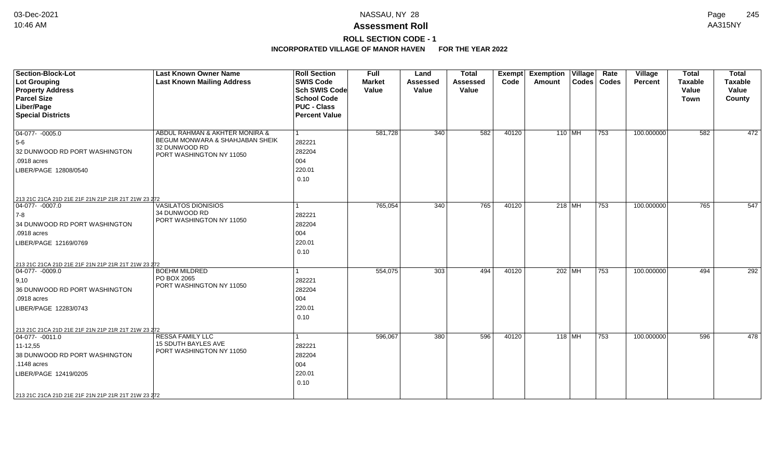# **ROLL SECTION CODE - 1**

| <b>Section-Block-Lot</b>                                                | <b>Last Known Owner Name</b>      | <b>Roll Section</b>  | <b>Full</b>   | Land            | <b>Total</b>    | <b>Exempt</b> | <b>Exemption Village</b> | Rate          | Village        | <b>Total</b>   | <b>Total</b>   |
|-------------------------------------------------------------------------|-----------------------------------|----------------------|---------------|-----------------|-----------------|---------------|--------------------------|---------------|----------------|----------------|----------------|
| <b>Lot Grouping</b>                                                     | <b>Last Known Mailing Address</b> | <b>SWIS Code</b>     | <b>Market</b> | <b>Assessed</b> | <b>Assessed</b> | Code          | Amount                   | Codes   Codes | <b>Percent</b> | <b>Taxable</b> | <b>Taxable</b> |
| <b>Property Address</b>                                                 |                                   | <b>Sch SWIS Code</b> | Value         | Value           | Value           |               |                          |               |                | Value          | Value          |
| <b>Parcel Size</b>                                                      |                                   | <b>School Code</b>   |               |                 |                 |               |                          |               |                | <b>Town</b>    | County         |
| Liber/Page                                                              |                                   | <b>PUC - Class</b>   |               |                 |                 |               |                          |               |                |                |                |
| <b>Special Districts</b>                                                |                                   | <b>Percent Value</b> |               |                 |                 |               |                          |               |                |                |                |
|                                                                         |                                   |                      |               |                 |                 |               |                          |               |                |                |                |
| $\boxed{04-077 - -0005.0}$                                              | ABDUL RAHMAN & AKHTER MONIRA &    | $\vert$ 1            | 581,728       | 340             | 582             | 40120         | 110 MH                   | 753           | 100.000000     | 582            | 472            |
| $5-6$                                                                   | BEGUM MONWARA & SHAHJABAN SHEIK   | 282221               |               |                 |                 |               |                          |               |                |                |                |
| 32 DUNWOOD RD PORT WASHINGTON                                           | 32 DUNWOOD RD                     | 282204               |               |                 |                 |               |                          |               |                |                |                |
| .0918 acres                                                             | PORT WASHINGTON NY 11050          | 004                  |               |                 |                 |               |                          |               |                |                |                |
| LIBER/PAGE 12808/0540                                                   |                                   | 220.01               |               |                 |                 |               |                          |               |                |                |                |
|                                                                         |                                   | 0.10                 |               |                 |                 |               |                          |               |                |                |                |
|                                                                         |                                   |                      |               |                 |                 |               |                          |               |                |                |                |
|                                                                         |                                   |                      |               |                 |                 |               |                          |               |                |                |                |
| 213 21C 21CA 21D 21E 21F 21N 21P 21R 21T 21W 23 272<br>04-077- -0007.0  | <b>VASILATOS DIONISIOS</b>        | $\vert$ 1            | 765,054       | 340             | 765             | 40120         | $218$ MH                 | 753           | 100.000000     | 765            | 547            |
| $ 7-8 $                                                                 | 34 DUNWOOD RD                     | 282221               |               |                 |                 |               |                          |               |                |                |                |
|                                                                         | PORT WASHINGTON NY 11050          |                      |               |                 |                 |               |                          |               |                |                |                |
| 34 DUNWOOD RD PORT WASHINGTON                                           |                                   | 282204               |               |                 |                 |               |                          |               |                |                |                |
| .0918 acres                                                             |                                   | 004                  |               |                 |                 |               |                          |               |                |                |                |
| LIBER/PAGE 12169/0769                                                   |                                   | 220.01               |               |                 |                 |               |                          |               |                |                |                |
|                                                                         |                                   | 0.10                 |               |                 |                 |               |                          |               |                |                |                |
| 213 21C 21CA 21D 21E 21F 21N 21P 21R 21T 21W 23 272                     |                                   |                      |               |                 |                 |               |                          |               |                |                |                |
| $ 04-077-0009.0$                                                        | <b>BOEHM MILDRED</b>              | 1                    | 554,075       | 303             | 494             | 40120         | 202 MH                   | 753           | 100.000000     | 494            | 292            |
| 9,10                                                                    | PO BOX 2065                       | 282221               |               |                 |                 |               |                          |               |                |                |                |
| 36 DUNWOOD RD PORT WASHINGTON                                           | PORT WASHINGTON NY 11050          | 282204               |               |                 |                 |               |                          |               |                |                |                |
| .0918 acres                                                             |                                   | 004                  |               |                 |                 |               |                          |               |                |                |                |
| LIBER/PAGE 12283/0743                                                   |                                   | 220.01               |               |                 |                 |               |                          |               |                |                |                |
|                                                                         |                                   | 0.10                 |               |                 |                 |               |                          |               |                |                |                |
|                                                                         |                                   |                      |               |                 |                 |               |                          |               |                |                |                |
| 213 21C 21CA 21D 21E 21F 21N 21P 21R 21T 21W 23 272<br>$ 04-077-0011.0$ | <b>RESSA FAMILY LLC</b>           | $\mathbf{1}$         | 596,067       | 380             | 596             | 40120         | $118$ MH                 | 753           | 100.000000     | 596            | 478            |
|                                                                         | <b>15 SDUTH BAYLES AVE</b>        | 282221               |               |                 |                 |               |                          |               |                |                |                |
| $11-12,55$                                                              | PORT WASHINGTON NY 11050          |                      |               |                 |                 |               |                          |               |                |                |                |
| 38 DUNWOOD RD PORT WASHINGTON                                           |                                   | 282204               |               |                 |                 |               |                          |               |                |                |                |
| .1148 acres                                                             |                                   | 004                  |               |                 |                 |               |                          |               |                |                |                |
| LIBER/PAGE 12419/0205                                                   |                                   | 220.01               |               |                 |                 |               |                          |               |                |                |                |
|                                                                         |                                   | 0.10                 |               |                 |                 |               |                          |               |                |                |                |
| 213 21C 21CA 21D 21E 21F 21N 21P 21R 21T 21W 23 272                     |                                   |                      |               |                 |                 |               |                          |               |                |                |                |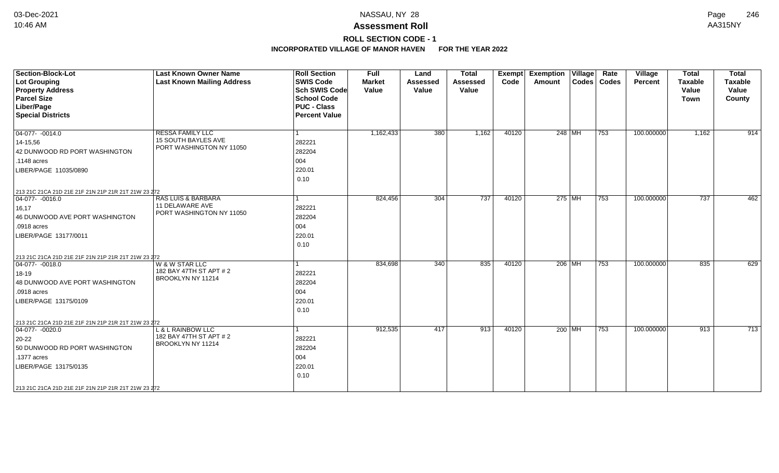# **ROLL SECTION CODE - 1**

| <b>Section-Block-Lot</b><br><b>Lot Grouping</b><br><b>Property Address</b><br><b>Parcel Size</b><br>Liber/Page<br><b>Special Districts</b>                                                                                 | <b>Last Known Owner Name</b><br><b>Last Known Mailing Address</b>            | <b>Roll Section</b><br><b>SWIS Code</b><br><b>Sch SWIS Code</b><br><b>School Code</b><br><b>PUC - Class</b><br><b>Percent Value</b> | <b>Full</b><br><b>Market</b><br>Value | Land<br><b>Assessed</b><br>Value | <b>Total</b><br>Assessed<br>Value | Exempt<br>Code | <b>Exemption Village</b><br>Amount | Rate<br>Codes   Codes | Village<br>Percent | <b>Total</b><br><b>Taxable</b><br>Value<br><b>Town</b> | <b>Total</b><br><b>Taxable</b><br>Value<br>County |
|----------------------------------------------------------------------------------------------------------------------------------------------------------------------------------------------------------------------------|------------------------------------------------------------------------------|-------------------------------------------------------------------------------------------------------------------------------------|---------------------------------------|----------------------------------|-----------------------------------|----------------|------------------------------------|-----------------------|--------------------|--------------------------------------------------------|---------------------------------------------------|
| $ 04-077-0014.0$<br>$14 - 15.56$<br>42 DUNWOOD RD PORT WASHINGTON<br>.1148 acres<br>LIBER/PAGE 11035/0890<br>213 21C 21CA 21D 21E 21F 21N 21P 21R 21T 21W 23 272                                                           | <b>RESSA FAMILY LLC</b><br>15 SOUTH BAYLES AVE<br>PORT WASHINGTON NY 11050   | 282221<br>282204<br>004<br>220.01<br>0.10                                                                                           | 1,162,433                             | 380                              | 1,162                             | 40120          | 248 MH                             | 753                   | 100.000000         | 1,162                                                  | 914                                               |
| $ 04-077- -0016.0$<br>16,17<br>46 DUNWOOD AVE PORT WASHINGTON<br>.0918 acres<br>LIBER/PAGE 13177/0011                                                                                                                      | <b>RAS LUIS &amp; BARBARA</b><br>11 DELAWARE AVE<br>PORT WASHINGTON NY 11050 | 282221<br>282204<br>004<br>220.01<br>0.10                                                                                           | 824,456                               | 304                              | 737                               | 40120          | $275$ MH                           | 753                   | 100.000000         | 737                                                    | 462                                               |
| 213 21C 21CA 21D 21E 21F 21N 21P 21R 21T 21W 23 272<br>$ 04-077-0018.0$<br>18-19<br>48 DUNWOOD AVE PORT WASHINGTON<br>.0918 acres<br>LIBER/PAGE 13175/0109                                                                 | W & W STAR LLC<br>182 BAY 47TH ST APT # 2<br>BROOKLYN NY 11214               | 282221<br>282204<br>004<br>220.01<br>0.10                                                                                           | 834,698                               | 340                              | 835                               | 40120          | $206$ MH                           | 753                   | 100.000000         | 835                                                    | 629                                               |
| 213 21C 21CA 21D 21E 21F 21N 21P 21R 21T 21W 23 272<br>$\boxed{04-077 - -0020.0}$<br>20-22<br>50 DUNWOOD RD PORT WASHINGTON<br>.1377 acres<br>LIBER/PAGE 13175/0135<br>213 21C 21CA 21D 21E 21F 21N 21P 21R 21T 21W 23 272 | <b>L &amp; L RAINBOW LLC</b><br>182 BAY 47TH ST APT # 2<br>BROOKLYN NY 11214 | 282221<br>282204<br>004<br>220.01<br>0.10                                                                                           | 912,535                               | 417                              | 913                               | 40120          | 200 MH                             | 753                   | 100.000000         | 913                                                    | $\overline{713}$                                  |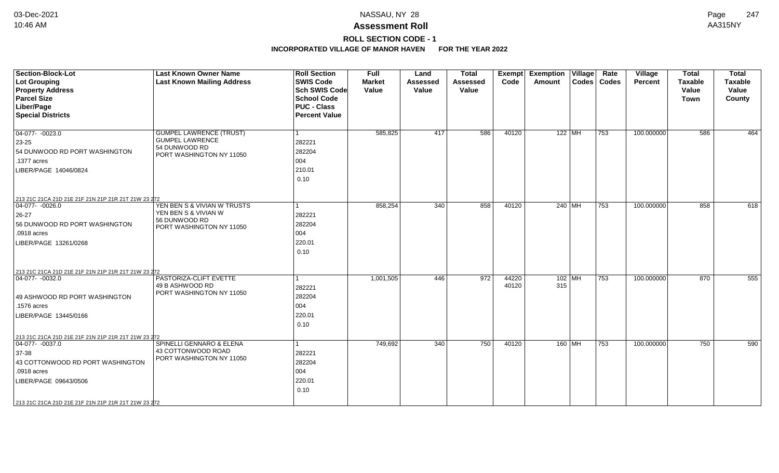# **ROLL SECTION CODE - 1**

| <b>Section-Block-Lot</b><br><b>Lot Grouping</b><br><b>Property Address</b>                                  | <b>Last Known Owner Name</b><br><b>Last Known Mailing Address</b>                                     | <b>Roll Section</b><br><b>SWIS Code</b><br><b>Sch SWIS Code</b> | <b>Full</b><br><b>Market</b><br>Value | Land<br><b>Assessed</b><br>Value | <b>Total</b><br><b>Assessed</b><br>Value | Exempt<br>Code | <b>Exemption Village</b><br>Amount | Rate<br>Codes   Codes | Village<br><b>Percent</b> | <b>Total</b><br><b>Taxable</b><br>Value | <b>Total</b><br><b>Taxable</b><br>Value |
|-------------------------------------------------------------------------------------------------------------|-------------------------------------------------------------------------------------------------------|-----------------------------------------------------------------|---------------------------------------|----------------------------------|------------------------------------------|----------------|------------------------------------|-----------------------|---------------------------|-----------------------------------------|-----------------------------------------|
| <b>Parcel Size</b>                                                                                          |                                                                                                       | <b>School Code</b>                                              |                                       |                                  |                                          |                |                                    |                       |                           | <b>Town</b>                             | County                                  |
| Liber/Page<br><b>Special Districts</b>                                                                      |                                                                                                       | <b>PUC - Class</b><br><b>Percent Value</b>                      |                                       |                                  |                                          |                |                                    |                       |                           |                                         |                                         |
| $\boxed{04-077 - 0023.0}$<br>23-25<br>54 DUNWOOD RD PORT WASHINGTON<br>.1377 acres<br>LIBER/PAGE 14046/0824 | <b>GUMPEL LAWRENCE (TRUST)</b><br><b>GUMPEL LAWRENCE</b><br>54 DUNWOOD RD<br>PORT WASHINGTON NY 11050 | 282221<br>282204<br>004<br>210.01<br>0.10                       | 585,825                               | 417                              | 586                                      | 40120          | $122$ MH                           | 753                   | 100.000000                | 586                                     | 464                                     |
| 213 21C 21CA 21D 21E 21F 21N 21P 21R 21T 21W 23 272                                                         |                                                                                                       |                                                                 |                                       |                                  |                                          |                |                                    |                       |                           |                                         |                                         |
| 04-077- -0026.0<br>26-27<br>56 DUNWOOD RD PORT WASHINGTON<br>.0918 acres<br>LIBER/PAGE 13261/0268           | YEN BEN S & VIVIAN W TRUSTS<br>YEN BEN S & VIVIAN W<br>56 DUNWOOD RD<br>PORT WASHINGTON NY 11050      | 1<br>282221<br>282204<br>004<br>220.01<br>0.10                  | 858,254                               | 340                              | 858                                      | 40120          | 240 MH                             | 753                   | 100.000000                | 858                                     | 618                                     |
| 213 21C 21CA 21D 21E 21F 21N 21P 21R 21T 21W 23 272                                                         |                                                                                                       |                                                                 |                                       |                                  |                                          |                |                                    |                       |                           |                                         |                                         |
| $04-077 - 0032.0$<br>49 ASHWOOD RD PORT WASHINGTON<br>.1576 acres<br>LIBER/PAGE 13445/0166                  | PASTORIZA-CLIFT EVETTE<br>49 B ASHWOOD RD<br>PORT WASHINGTON NY 11050                                 | 1<br>282221<br>282204<br>004<br>220.01<br>0.10                  | 1,001,505                             | 446                              | 972                                      | 44220<br>40120 | $102$ MH<br>315                    | 753                   | 100.000000                | 870                                     | 555                                     |
| 213 21C 21CA 21D 21E 21F 21N 21P 21R 21T 21W 23 272                                                         |                                                                                                       |                                                                 |                                       |                                  |                                          |                |                                    |                       |                           |                                         |                                         |
| 04-077- -0037.0<br>37-38<br>43 COTTONWOOD RD PORT WASHINGTON<br>.0918 acres<br>LIBER/PAGE 09643/0506        | SPINELLI GENNARO & ELENA<br>43 COTTONWOOD ROAD<br>PORT WASHINGTON NY 11050                            | 282221<br>282204<br>004<br>220.01<br>0.10                       | 749,692                               | 340                              | 750                                      | 40120          | $160$ MH                           | 753                   | 100.000000                | 750                                     | 590                                     |
| 213 21C 21CA 21D 21E 21F 21N 21P 21R 21T 21W 23 272                                                         |                                                                                                       |                                                                 |                                       |                                  |                                          |                |                                    |                       |                           |                                         |                                         |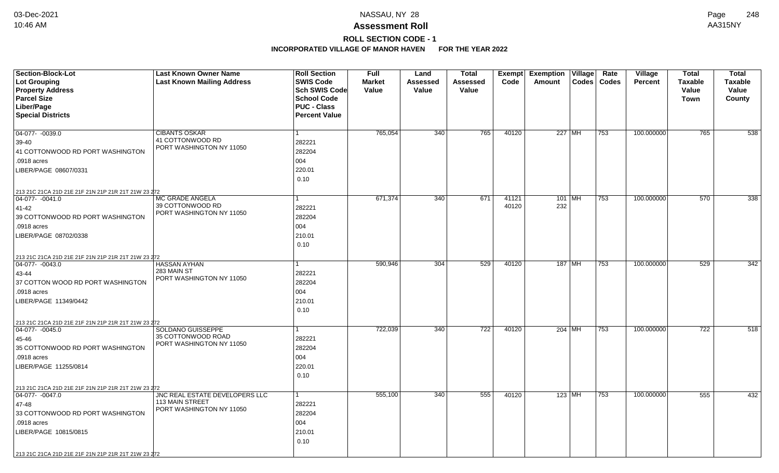# **ROLL SECTION CODE - 1**

| Section-Block-Lot                                   | <b>Last Known Owner Name</b>                   | <b>Roll Section</b>  | Full          | Land            | <b>Total</b>    | Exempt            | <b>Exemption</b> | $\overline{V}$ illage | Rate          | Village        | <b>Total</b>   | <b>Total</b>   |
|-----------------------------------------------------|------------------------------------------------|----------------------|---------------|-----------------|-----------------|-------------------|------------------|-----------------------|---------------|----------------|----------------|----------------|
| <b>Lot Grouping</b>                                 | <b>Last Known Mailing Address</b>              | <b>SWIS Code</b>     | <b>Market</b> | <b>Assessed</b> | <b>Assessed</b> | Code              | Amount           |                       | Codes   Codes | <b>Percent</b> | <b>Taxable</b> | <b>Taxable</b> |
| <b>Property Address</b>                             |                                                | <b>Sch SWIS Code</b> | Value         | Value           | Value           |                   |                  |                       |               |                | Value          | Value          |
| <b>Parcel Size</b>                                  |                                                | <b>School Code</b>   |               |                 |                 |                   |                  |                       |               |                | Town           | County         |
| Liber/Page                                          |                                                | <b>PUC - Class</b>   |               |                 |                 |                   |                  |                       |               |                |                |                |
| <b>Special Districts</b>                            |                                                | <b>Percent Value</b> |               |                 |                 |                   |                  |                       |               |                |                |                |
| 04-077- -0039.0                                     | <b>CIBANTS OSKAR</b>                           |                      | 765,054       | 340             | 765             | 40120             | 227 MH           |                       | 753           | 100.000000     | 765            | 538            |
|                                                     | 41 COTTONWOOD RD                               |                      |               |                 |                 |                   |                  |                       |               |                |                |                |
| 39-40                                               | PORT WASHINGTON NY 11050                       | 282221               |               |                 |                 |                   |                  |                       |               |                |                |                |
| 41 COTTONWOOD RD PORT WASHINGTON                    |                                                | 282204               |               |                 |                 |                   |                  |                       |               |                |                |                |
| .0918 acres                                         |                                                | 004                  |               |                 |                 |                   |                  |                       |               |                |                |                |
| LIBER/PAGE 08607/0331                               |                                                | 220.01               |               |                 |                 |                   |                  |                       |               |                |                |                |
|                                                     |                                                | 0.10                 |               |                 |                 |                   |                  |                       |               |                |                |                |
| 213 21C 21CA 21D 21E 21F 21N 21P 21R 21T 21W 23 272 |                                                |                      |               |                 |                 |                   |                  |                       |               |                |                |                |
| $ 04-077-0041.0$                                    | <b>MC GRADE ANGELA</b><br>39 COTTONWOOD RD     |                      | 671,374       | 340             | 671             | 41121<br>40120    | $101$ MH<br>232  |                       | 753           | 100.000000     | 570            | 338            |
| 41-42                                               | PORT WASHINGTON NY 11050                       | 282221               |               |                 |                 |                   |                  |                       |               |                |                |                |
| 39 COTTONWOOD RD PORT WASHINGTON                    |                                                | 282204               |               |                 |                 |                   |                  |                       |               |                |                |                |
| .0918 acres                                         |                                                | 004                  |               |                 |                 |                   |                  |                       |               |                |                |                |
| LIBER/PAGE 08702/0338                               |                                                | 210.01               |               |                 |                 |                   |                  |                       |               |                |                |                |
|                                                     |                                                | 0.10                 |               |                 |                 |                   |                  |                       |               |                |                |                |
| 213 21C 21CA 21D 21E 21F 21N 21P 21R 21T 21W 23 272 |                                                |                      |               |                 |                 |                   |                  |                       |               |                |                |                |
| $ 04-077-0043.0$                                    | <b>HASSAN AYHAN</b>                            |                      | 590,946       | 304             | 529             | 40120             | 187   MH         |                       | 753           | 100.000000     | 529            | 342            |
| 43-44                                               | 283 MAIN ST<br>PORT WASHINGTON NY 11050        | 282221               |               |                 |                 |                   |                  |                       |               |                |                |                |
| 37 COTTON WOOD RD PORT WASHINGTON                   |                                                | 282204               |               |                 |                 |                   |                  |                       |               |                |                |                |
| .0918 acres                                         |                                                | 004                  |               |                 |                 |                   |                  |                       |               |                |                |                |
| LIBER/PAGE 11349/0442                               |                                                | 210.01               |               |                 |                 |                   |                  |                       |               |                |                |                |
|                                                     |                                                | 0.10                 |               |                 |                 |                   |                  |                       |               |                |                |                |
| 213 21C 21CA 21D 21E 21F 21N 21P 21R 21T 21W 23 272 |                                                |                      |               |                 |                 |                   |                  |                       |               |                |                |                |
| $ 04-077-0045.0$                                    | SOLDANO GUISSEPPE                              |                      | 722,039       | 340             | 722             | $\frac{1}{40120}$ | $204$ MH         |                       | 753           | 100.000000     | 722            | 518            |
| 45-46                                               | 35 COTTONWOOD ROAD<br>PORT WASHINGTON NY 11050 | 282221               |               |                 |                 |                   |                  |                       |               |                |                |                |
| 35 COTTONWOOD RD PORT WASHINGTON                    |                                                | 282204               |               |                 |                 |                   |                  |                       |               |                |                |                |
| .0918 acres                                         |                                                | 004                  |               |                 |                 |                   |                  |                       |               |                |                |                |
| LIBER/PAGE 11255/0814                               |                                                | 220.01               |               |                 |                 |                   |                  |                       |               |                |                |                |
|                                                     |                                                | 0.10                 |               |                 |                 |                   |                  |                       |               |                |                |                |
| 213 21C 21CA 21D 21E 21F 21N 21P 21R 21T 21W 23 272 |                                                |                      |               |                 |                 |                   |                  |                       |               |                |                |                |
| $\boxed{04-077 - -0047.0}$                          | JNC REAL ESTATE DEVELOPERS LLC                 | 1                    | 555,100       | 340             | 555             | 40120             | $123$ MH         |                       | 753           | 100.000000     | 555            | 432            |
| 47-48                                               | 113 MAIN STREET<br>PORT WASHINGTON NY 11050    | 282221               |               |                 |                 |                   |                  |                       |               |                |                |                |
| 33 COTTONWOOD RD PORT WASHINGTON                    |                                                | 282204               |               |                 |                 |                   |                  |                       |               |                |                |                |
| .0918 acres                                         |                                                | 004                  |               |                 |                 |                   |                  |                       |               |                |                |                |
| LIBER/PAGE 10815/0815                               |                                                | 210.01               |               |                 |                 |                   |                  |                       |               |                |                |                |
|                                                     |                                                | 0.10                 |               |                 |                 |                   |                  |                       |               |                |                |                |
| 213 21C 21CA 21D 21E 21F 21N 21P 21R 21T 21W 23 272 |                                                |                      |               |                 |                 |                   |                  |                       |               |                |                |                |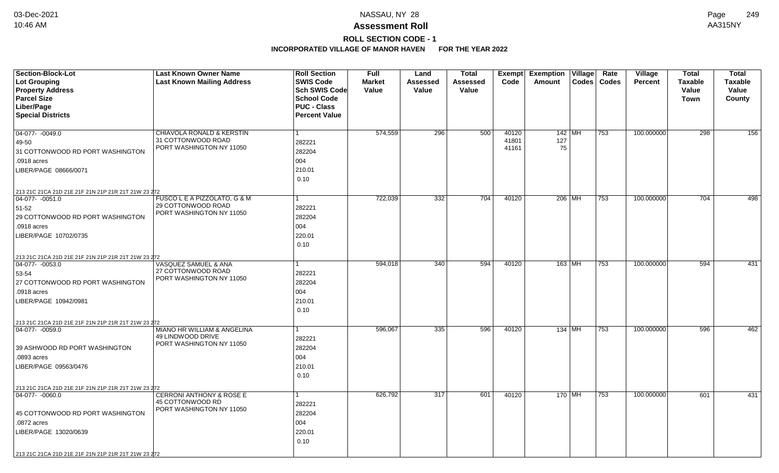## **ROLL SECTION CODE - 1**

| <b>Section-Block-Lot</b>                                                 | <b>Last Known Owner Name</b>                   | <b>Roll Section</b>  | <b>Full</b>   | Land            | Total    |       | <b>Exempt Exemption Village</b> | Rate          | Village        | <b>Total</b>   | <b>Total</b>   |
|--------------------------------------------------------------------------|------------------------------------------------|----------------------|---------------|-----------------|----------|-------|---------------------------------|---------------|----------------|----------------|----------------|
| <b>Lot Grouping</b>                                                      | <b>Last Known Mailing Address</b>              | <b>SWIS Code</b>     | <b>Market</b> | <b>Assessed</b> | Assessed | Code  | Amount                          | Codes   Codes | <b>Percent</b> | <b>Taxable</b> | <b>Taxable</b> |
| <b>Property Address</b>                                                  |                                                | Sch SWIS Code        | Value         | Value           | Value    |       |                                 |               |                | Value          | Value          |
| <b>Parcel Size</b>                                                       |                                                | <b>School Code</b>   |               |                 |          |       |                                 |               |                | <b>Town</b>    | County         |
| Liber/Page                                                               |                                                | <b>PUC - Class</b>   |               |                 |          |       |                                 |               |                |                |                |
| <b>Special Districts</b>                                                 |                                                | <b>Percent Value</b> |               |                 |          |       |                                 |               |                |                |                |
|                                                                          |                                                |                      |               |                 |          |       |                                 |               |                |                |                |
| 04-077- -0049.0                                                          | CHIAVOLA RONALD & KERSTIN                      |                      | 574,559       | 296             | 500      | 40120 | 142   MH                        | 753           | 100.000000     | 298            | 156            |
| 49-50                                                                    | 31 COTTONWOOD ROAD<br>PORT WASHINGTON NY 11050 | 282221               |               |                 |          | 41801 | 127                             |               |                |                |                |
| 31 COTTONWOOD RD PORT WASHINGTON                                         |                                                | 282204               |               |                 |          | 41161 | 75                              |               |                |                |                |
| .0918 acres                                                              |                                                | 004                  |               |                 |          |       |                                 |               |                |                |                |
| LIBER/PAGE 08666/0071                                                    |                                                | 210.01               |               |                 |          |       |                                 |               |                |                |                |
|                                                                          |                                                | 0.10                 |               |                 |          |       |                                 |               |                |                |                |
| 213 21C 21CA 21D 21E 21F 21N 21P 21R 21T 21W 23 272                      |                                                |                      |               |                 |          |       |                                 |               |                |                |                |
| $04-077 - 0051.0$                                                        | FUSCO L E A PIZZOLATO, G & M                   |                      | 722,039       | 332             | 704      | 40120 | 206 MH                          | 753           | 100.000000     | 704            | 498            |
| 51-52                                                                    | 29 COTTONWOOD ROAD                             | 282221               |               |                 |          |       |                                 |               |                |                |                |
| 29 COTTONWOOD RD PORT WASHINGTON                                         | PORT WASHINGTON NY 11050                       | 282204               |               |                 |          |       |                                 |               |                |                |                |
| .0918 acres                                                              |                                                | 004                  |               |                 |          |       |                                 |               |                |                |                |
| LIBER/PAGE 10702/0735                                                    |                                                | 220.01               |               |                 |          |       |                                 |               |                |                |                |
|                                                                          |                                                | 0.10                 |               |                 |          |       |                                 |               |                |                |                |
|                                                                          |                                                |                      |               |                 |          |       |                                 |               |                |                |                |
| 213 21C 21CA 21D 21E 21F 21N 21P 21R 21T 21W 23 272<br>$04-077 - 0053.0$ | VASQUEZ SAMUEL & ANA                           |                      | 594,018       | 340             | 594      | 40120 | $163$ MH                        | 753           | 100.000000     | 594            | 431            |
|                                                                          | 27 COTTONWOOD ROAD                             | 282221               |               |                 |          |       |                                 |               |                |                |                |
| 53-54                                                                    | PORT WASHINGTON NY 11050                       |                      |               |                 |          |       |                                 |               |                |                |                |
| 27 COTTONWOOD RD PORT WASHINGTON                                         |                                                | 282204               |               |                 |          |       |                                 |               |                |                |                |
| .0918 acres                                                              |                                                | 004                  |               |                 |          |       |                                 |               |                |                |                |
| LIBER/PAGE 10942/0981                                                    |                                                | 210.01               |               |                 |          |       |                                 |               |                |                |                |
|                                                                          |                                                | 0.10                 |               |                 |          |       |                                 |               |                |                |                |
| 213 21C 21CA 21D 21E 21F 21N 21P 21R 21T 21W 23 272                      |                                                |                      |               |                 |          |       |                                 |               |                |                |                |
| $ 04-077-0059.0$                                                         | MIANO HR WILLIAM & ANGELINA                    |                      | 596,067       | 335             | 596      | 40120 | $134$ MH                        | 753           | 100.000000     | 596            | 462            |
|                                                                          | 49 LINDWOOD DRIVE<br>PORT WASHINGTON NY 11050  | 282221               |               |                 |          |       |                                 |               |                |                |                |
| 39 ASHWOOD RD PORT WASHINGTON                                            |                                                | 282204               |               |                 |          |       |                                 |               |                |                |                |
| .0893 acres                                                              |                                                | 004                  |               |                 |          |       |                                 |               |                |                |                |
| LIBER/PAGE 09563/0476                                                    |                                                | 210.01               |               |                 |          |       |                                 |               |                |                |                |
|                                                                          |                                                | 0.10                 |               |                 |          |       |                                 |               |                |                |                |
| 213 21C 21CA 21D 21E 21F 21N 21P 21R 21T 21W 23 272                      |                                                |                      |               |                 |          |       |                                 |               |                |                |                |
| 04-077- -0060.0                                                          | <b>CERRONI ANTHONY &amp; ROSE E</b>            |                      | 626,792       | 317             | 601      | 40120 | 170 MH                          | 753           | 100.000000     | 601            | 431            |
|                                                                          | 45 COTTONWOOD RD                               | 282221               |               |                 |          |       |                                 |               |                |                |                |
| 45 COTTONWOOD RD PORT WASHINGTON                                         | PORT WASHINGTON NY 11050                       | 282204               |               |                 |          |       |                                 |               |                |                |                |
| .0872 acres                                                              |                                                | 004                  |               |                 |          |       |                                 |               |                |                |                |
| LIBER/PAGE 13020/0639                                                    |                                                | 220.01               |               |                 |          |       |                                 |               |                |                |                |
|                                                                          |                                                | 0.10                 |               |                 |          |       |                                 |               |                |                |                |
|                                                                          |                                                |                      |               |                 |          |       |                                 |               |                |                |                |
| 213 21C 21CA 21D 21E 21F 21N 21P 21R 21T 21W 23 272                      |                                                |                      |               |                 |          |       |                                 |               |                |                |                |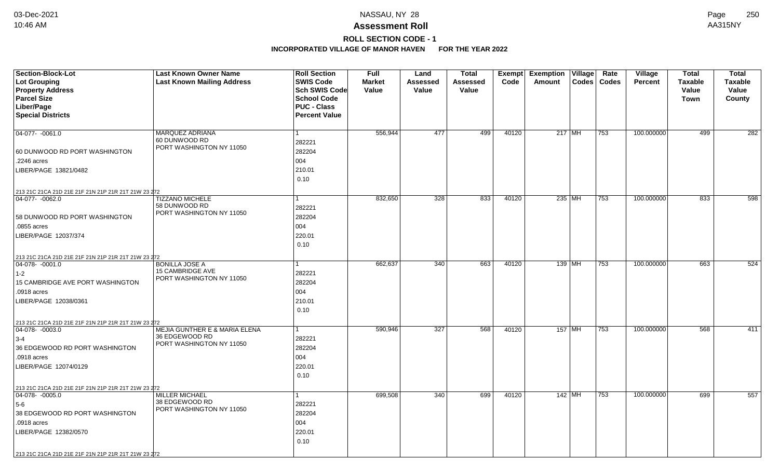# **ROLL SECTION CODE - 1**

| <b>Section-Block-Lot</b>                                                | <b>Last Known Owner Name</b>                               | <b>Roll Section</b>  | Full          | Land            | Total           | Exempt | <b>Exemption</b> | $\overline{ \mathsf{V}}$ illage | Rate          | Village        | <b>Total</b>   | <b>Total</b>   |
|-------------------------------------------------------------------------|------------------------------------------------------------|----------------------|---------------|-----------------|-----------------|--------|------------------|---------------------------------|---------------|----------------|----------------|----------------|
| <b>Lot Grouping</b>                                                     | <b>Last Known Mailing Address</b>                          | <b>SWIS Code</b>     | <b>Market</b> | <b>Assessed</b> | <b>Assessed</b> | Code   | Amount           |                                 | Codes   Codes | <b>Percent</b> | <b>Taxable</b> | <b>Taxable</b> |
| <b>Property Address</b>                                                 |                                                            | <b>Sch SWIS Code</b> | Value         | Value           | Value           |        |                  |                                 |               |                | Value          | Value          |
| <b>Parcel Size</b>                                                      |                                                            | <b>School Code</b>   |               |                 |                 |        |                  |                                 |               |                | Town           | County         |
| Liber/Page                                                              |                                                            | <b>PUC - Class</b>   |               |                 |                 |        |                  |                                 |               |                |                |                |
| <b>Special Districts</b>                                                |                                                            | <b>Percent Value</b> |               |                 |                 |        |                  |                                 |               |                |                |                |
|                                                                         |                                                            |                      |               |                 |                 |        |                  |                                 |               |                |                |                |
| 04-077- -0061.0                                                         | <b>MARQUEZ ADRIANA</b>                                     |                      | 556,944       | 477             | 499             | 40120  | $217$ MH         |                                 | 753           | 100.000000     | 499            | 282            |
|                                                                         | 60 DUNWOOD RD<br>PORT WASHINGTON NY 11050                  | 282221               |               |                 |                 |        |                  |                                 |               |                |                |                |
| 60 DUNWOOD RD PORT WASHINGTON                                           |                                                            | 282204               |               |                 |                 |        |                  |                                 |               |                |                |                |
| .2246 acres                                                             |                                                            | 004                  |               |                 |                 |        |                  |                                 |               |                |                |                |
| LIBER/PAGE 13821/0482                                                   |                                                            | 210.01               |               |                 |                 |        |                  |                                 |               |                |                |                |
|                                                                         |                                                            | 0.10                 |               |                 |                 |        |                  |                                 |               |                |                |                |
| 213 21C 21CA 21D 21E 21F 21N 21P 21R 21T 21W 23 272                     |                                                            |                      |               |                 |                 |        |                  |                                 |               |                |                |                |
| 04-077- -0062.0                                                         | <b>TIZZANO MICHELE</b>                                     |                      | 832,650       | 328             | 833             | 40120  | $235$ MH         |                                 | 753           | 100.000000     | 833            | 598            |
|                                                                         | 58 DUNWOOD RD                                              | 282221               |               |                 |                 |        |                  |                                 |               |                |                |                |
| 58 DUNWOOD RD PORT WASHINGTON                                           | PORT WASHINGTON NY 11050                                   | 282204               |               |                 |                 |        |                  |                                 |               |                |                |                |
| .0855 acres                                                             |                                                            | 004                  |               |                 |                 |        |                  |                                 |               |                |                |                |
| LIBER/PAGE 12037/374                                                    |                                                            | 220.01               |               |                 |                 |        |                  |                                 |               |                |                |                |
|                                                                         |                                                            | 0.10                 |               |                 |                 |        |                  |                                 |               |                |                |                |
|                                                                         |                                                            |                      |               |                 |                 |        |                  |                                 |               |                |                |                |
| 213 21C 21CA 21D 21E 21F 21N 21P 21R 21T 21W 23 272<br>$ 04-078-0001.0$ | <b>BONILLA JOSE A</b>                                      |                      | 662,637       | 340             | 663             | 40120  | 139 MH           |                                 | 753           | 100.000000     | 663            | 524            |
| $1 - 2$                                                                 | <b>15 CAMBRIDGE AVE</b>                                    | 282221               |               |                 |                 |        |                  |                                 |               |                |                |                |
| 15 CAMBRIDGE AVE PORT WASHINGTON                                        | PORT WASHINGTON NY 11050                                   | 282204               |               |                 |                 |        |                  |                                 |               |                |                |                |
| .0918 acres                                                             |                                                            | 004                  |               |                 |                 |        |                  |                                 |               |                |                |                |
| LIBER/PAGE 12038/0361                                                   |                                                            | 210.01               |               |                 |                 |        |                  |                                 |               |                |                |                |
|                                                                         |                                                            | 0.10                 |               |                 |                 |        |                  |                                 |               |                |                |                |
|                                                                         |                                                            |                      |               |                 |                 |        |                  |                                 |               |                |                |                |
| 213 21C 21CA 21D 21E 21F 21N 21P 21R 21T 21W 23 272                     |                                                            |                      |               |                 |                 |        | 157 MH           |                                 |               |                |                | 411            |
| $ 04-078-0003.0$                                                        | <b>MEJIA GUNTHER E &amp; MARIA ELENA</b><br>36 EDGEWOOD RD |                      | 590,946       | 327             | 568             | 40120  |                  |                                 | 753           | 100.000000     | 568            |                |
| $3-4$                                                                   | PORT WASHINGTON NY 11050                                   | 282221               |               |                 |                 |        |                  |                                 |               |                |                |                |
| 36 EDGEWOOD RD PORT WASHINGTON                                          |                                                            | 282204               |               |                 |                 |        |                  |                                 |               |                |                |                |
| .0918 acres                                                             |                                                            | 004                  |               |                 |                 |        |                  |                                 |               |                |                |                |
| LIBER/PAGE 12074/0129                                                   |                                                            | 220.01               |               |                 |                 |        |                  |                                 |               |                |                |                |
|                                                                         |                                                            | 0.10                 |               |                 |                 |        |                  |                                 |               |                |                |                |
| 213 21C 21CA 21D 21E 21F 21N 21P 21R 21T 21W 23 272                     |                                                            |                      |               |                 |                 |        |                  |                                 |               |                |                |                |
| $ 04-078-0005.0$                                                        | <b>MILLER MICHAEL</b>                                      |                      | 699,508       | 340             | 699             | 40120  | $142$ MH         |                                 | 753           | 100.000000     | 699            | 557            |
| 5-6                                                                     | 38 EDGEWOOD RD<br>PORT WASHINGTON NY 11050                 | 282221               |               |                 |                 |        |                  |                                 |               |                |                |                |
| 38 EDGEWOOD RD PORT WASHINGTON                                          |                                                            | 282204               |               |                 |                 |        |                  |                                 |               |                |                |                |
| .0918 acres                                                             |                                                            | 004                  |               |                 |                 |        |                  |                                 |               |                |                |                |
| LIBER/PAGE 12382/0570                                                   |                                                            | 220.01               |               |                 |                 |        |                  |                                 |               |                |                |                |
|                                                                         |                                                            | 0.10                 |               |                 |                 |        |                  |                                 |               |                |                |                |
| 213 21C 21CA 21D 21E 21F 21N 21P 21R 21T 21W 23 272                     |                                                            |                      |               |                 |                 |        |                  |                                 |               |                |                |                |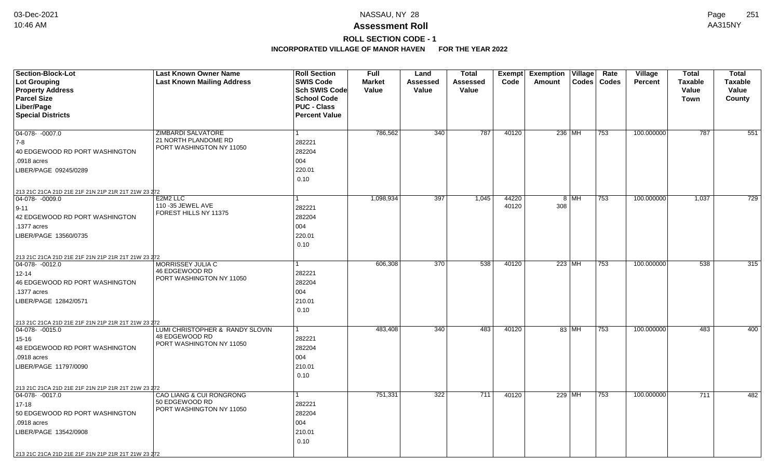## **ROLL SECTION CODE - 1**

| Section-Block-Lot<br><b>Lot Grouping</b><br><b>Property Address</b>     | <b>Last Known Owner Name</b><br><b>Last Known Mailing Address</b> | <b>Roll Section</b><br><b>SWIS Code</b><br><b>Sch SWIS Code</b> | <b>Full</b><br><b>Market</b><br>Value | Land<br>Assessed<br>Value | <b>Total</b><br>Assessed<br>Value | Exempt<br>Code | <b>Exemption Village</b><br>Codes<br>Amount | Rate<br><b>Village</b><br>Codes<br><b>Percent</b> | <b>Total</b><br><b>Taxable</b><br>Value | <b>Total</b><br><b>Taxable</b><br>Value |
|-------------------------------------------------------------------------|-------------------------------------------------------------------|-----------------------------------------------------------------|---------------------------------------|---------------------------|-----------------------------------|----------------|---------------------------------------------|---------------------------------------------------|-----------------------------------------|-----------------------------------------|
| <b>Parcel Size</b>                                                      |                                                                   | <b>School Code</b>                                              |                                       |                           |                                   |                |                                             |                                                   | Town                                    | County                                  |
| Liber/Page                                                              |                                                                   | <b>PUC - Class</b>                                              |                                       |                           |                                   |                |                                             |                                                   |                                         |                                         |
| <b>Special Districts</b>                                                |                                                                   | <b>Percent Value</b>                                            |                                       |                           |                                   |                |                                             |                                                   |                                         |                                         |
|                                                                         |                                                                   |                                                                 |                                       |                           |                                   |                |                                             |                                                   |                                         |                                         |
| 04-078- -0007.0                                                         | ZIMBARDI SALVATORE                                                | 1                                                               | 786,562                               | 340                       | 787                               | 40120          | 236 MH<br>753                               | 100.000000                                        | 787                                     | 551                                     |
| 7-8                                                                     | 21 NORTH PLANDOME RD<br>PORT WASHINGTON NY 11050                  | 282221                                                          |                                       |                           |                                   |                |                                             |                                                   |                                         |                                         |
| 40 EDGEWOOD RD PORT WASHINGTON                                          |                                                                   | 282204                                                          |                                       |                           |                                   |                |                                             |                                                   |                                         |                                         |
| .0918 acres                                                             |                                                                   | 004                                                             |                                       |                           |                                   |                |                                             |                                                   |                                         |                                         |
| LIBER/PAGE 09245/0289                                                   |                                                                   | 220.01                                                          |                                       |                           |                                   |                |                                             |                                                   |                                         |                                         |
|                                                                         |                                                                   | 0.10                                                            |                                       |                           |                                   |                |                                             |                                                   |                                         |                                         |
| 213 21C 21CA 21D 21E 21F 21N 21P 21R 21T 21W 23 272                     |                                                                   |                                                                 |                                       |                           |                                   |                |                                             |                                                   |                                         |                                         |
| 04-078- -0009.0                                                         | E2M2 LLC<br>110 - 35 JEWEL AVE                                    |                                                                 | 1,098,934                             | 397                       | 1,045                             | 44220<br>40120 | $8$ MH<br>753<br>308                        | 100.000000                                        | 1,037                                   | 729                                     |
| $9 - 11$                                                                | FOREST HILLS NY 11375                                             | 282221                                                          |                                       |                           |                                   |                |                                             |                                                   |                                         |                                         |
| 42 EDGEWOOD RD PORT WASHINGTON                                          |                                                                   | 282204                                                          |                                       |                           |                                   |                |                                             |                                                   |                                         |                                         |
| .1377 acres                                                             |                                                                   | 004                                                             |                                       |                           |                                   |                |                                             |                                                   |                                         |                                         |
| LIBER/PAGE 13560/0735                                                   |                                                                   | 220.01                                                          |                                       |                           |                                   |                |                                             |                                                   |                                         |                                         |
|                                                                         |                                                                   | 0.10                                                            |                                       |                           |                                   |                |                                             |                                                   |                                         |                                         |
| 213 21C 21CA 21D 21E 21F 21N 21P 21R 21T 21W 23 272                     | <b>MORRISSEY JULIA C</b>                                          |                                                                 | 606,308                               | 370                       | 538                               |                | $223$ MH                                    | 100.000000                                        |                                         | 315                                     |
| 04-078- -0012.0                                                         | 46 EDGEWOOD RD                                                    | 282221                                                          |                                       |                           |                                   | 40120          | 753                                         |                                                   | 538                                     |                                         |
| $12 - 14$<br>46 EDGEWOOD RD PORT WASHINGTON                             | PORT WASHINGTON NY 11050                                          | 282204                                                          |                                       |                           |                                   |                |                                             |                                                   |                                         |                                         |
| 1377 acres                                                              |                                                                   | 004                                                             |                                       |                           |                                   |                |                                             |                                                   |                                         |                                         |
| LIBER/PAGE 12842/0571                                                   |                                                                   | 210.01                                                          |                                       |                           |                                   |                |                                             |                                                   |                                         |                                         |
|                                                                         |                                                                   | 0.10                                                            |                                       |                           |                                   |                |                                             |                                                   |                                         |                                         |
|                                                                         |                                                                   |                                                                 |                                       |                           |                                   |                |                                             |                                                   |                                         |                                         |
| 213 21C 21CA 21D 21E 21F 21N 21P 21R 21T 21W 23 272<br>$ 04-078-0015.0$ | LUMI CHRISTOPHER & RANDY SLOVIN                                   | 1                                                               | 483,408                               | 340                       | 483                               | 40120          | 83 MH<br>753                                | 100.000000                                        | 483                                     | 400                                     |
| $15 - 16$                                                               | 48 EDGEWOOD RD                                                    | 282221                                                          |                                       |                           |                                   |                |                                             |                                                   |                                         |                                         |
| 48 EDGEWOOD RD PORT WASHINGTON                                          | PORT WASHINGTON NY 11050                                          | 282204                                                          |                                       |                           |                                   |                |                                             |                                                   |                                         |                                         |
| .0918 acres                                                             |                                                                   | 004                                                             |                                       |                           |                                   |                |                                             |                                                   |                                         |                                         |
| LIBER/PAGE 11797/0090                                                   |                                                                   | 210.01                                                          |                                       |                           |                                   |                |                                             |                                                   |                                         |                                         |
|                                                                         |                                                                   | 0.10                                                            |                                       |                           |                                   |                |                                             |                                                   |                                         |                                         |
| 213 21C 21CA 21D 21E 21F 21N 21P 21R 21T 21W 23 272                     |                                                                   |                                                                 |                                       |                           |                                   |                |                                             |                                                   |                                         |                                         |
| 04-078- -0017.0                                                         | CAO LIANG & CUI RONGRONG                                          | 1                                                               | 751,331                               | 322                       | 711                               | 40120          | 229 MH<br>753                               | 100.000000                                        | 711                                     | 482                                     |
| $17 - 18$                                                               | 50 EDGEWOOD RD                                                    | 282221                                                          |                                       |                           |                                   |                |                                             |                                                   |                                         |                                         |
| 50 EDGEWOOD RD PORT WASHINGTON                                          | PORT WASHINGTON NY 11050                                          | 282204                                                          |                                       |                           |                                   |                |                                             |                                                   |                                         |                                         |
| .0918 acres                                                             |                                                                   | 004                                                             |                                       |                           |                                   |                |                                             |                                                   |                                         |                                         |
| LIBER/PAGE 13542/0908                                                   |                                                                   | 210.01                                                          |                                       |                           |                                   |                |                                             |                                                   |                                         |                                         |
|                                                                         |                                                                   | 0.10                                                            |                                       |                           |                                   |                |                                             |                                                   |                                         |                                         |
| 213 21C 21CA 21D 21E 21F 21N 21P 21R 21T 21W 23 272                     |                                                                   |                                                                 |                                       |                           |                                   |                |                                             |                                                   |                                         |                                         |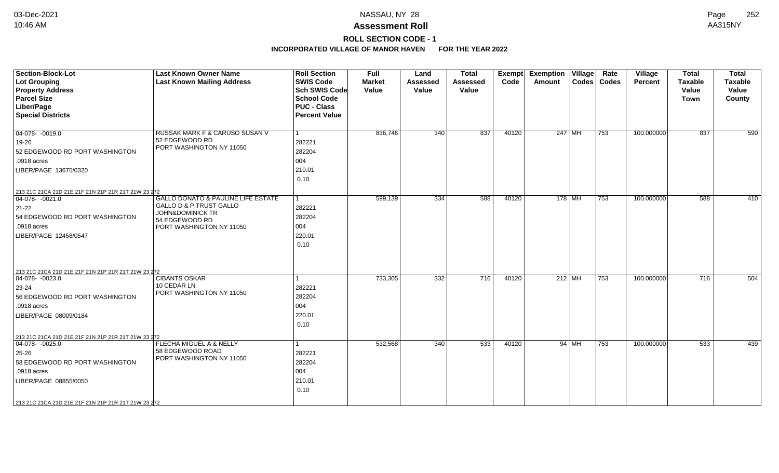# **ROLL SECTION CODE - 1**

| <b>Section-Block-Lot</b><br>Lot Grouping<br><b>Property Address</b><br><b>Parcel Size</b><br>Liber/Page<br><b>Special Districts</b>                                                                               | <b>Last Known Owner Name</b><br><b>Last Known Mailing Address</b>                                                                                     | <b>Roll Section</b><br><b>SWIS Code</b><br><b>Sch SWIS Code</b><br><b>School Code</b><br><b>PUC - Class</b><br><b>Percent Value</b> | <b>Full</b><br><b>Market</b><br>Value | Land<br><b>Assessed</b><br>Value | <b>Total</b><br><b>Assessed</b><br>Value | Exempt<br>Code | <b>Exemption Village</b><br><b>Amount</b> |         | Rate<br>Codes   Codes | Village<br><b>Percent</b> | <b>Total</b><br><b>Taxable</b><br>Value<br><b>Town</b> | <b>Total</b><br><b>Taxable</b><br>Value<br>County |
|-------------------------------------------------------------------------------------------------------------------------------------------------------------------------------------------------------------------|-------------------------------------------------------------------------------------------------------------------------------------------------------|-------------------------------------------------------------------------------------------------------------------------------------|---------------------------------------|----------------------------------|------------------------------------------|----------------|-------------------------------------------|---------|-----------------------|---------------------------|--------------------------------------------------------|---------------------------------------------------|
| $ 04-078-0019.0$<br>19-20<br>52 EDGEWOOD RD PORT WASHINGTON<br>.0918 acres<br>LIBER/PAGE 13675/0320                                                                                                               | RUSSAK MARK F & CARUSO SUSAN V<br>52 EDGEWOOD RD<br>PORT WASHINGTON NY 11050                                                                          | 1<br>282221<br>282204<br>004<br>210.01<br>0.10                                                                                      | 836,746                               | 340                              | 837                                      | 40120          | 247 MH                                    |         | 753                   | 100.000000                | 837                                                    | 590                                               |
| 213 21C 21CA 21D 21E 21F 21N 21P 21R 21T 21W 23 272<br>$04-078 - 0021.0$<br>21-22<br>54 EDGEWOOD RD PORT WASHINGTON<br>.0918 acres<br>LIBER/PAGE 12458/0547                                                       | <b>GALLO DONATO &amp; PAULINE LIFE ESTATE</b><br>GALLO D & P TRUST GALLO<br><b>JOHN&amp;DOMINICK TR</b><br>54 EDGEWOOD RD<br>PORT WASHINGTON NY 11050 | 282221<br>282204<br>004<br>220.01<br>0.10                                                                                           | 599,139                               | 334                              | 588                                      | 40120          | $178$ MH                                  |         | 753                   | 100.000000                | 588                                                    | 410                                               |
| 213 21C 21CA 21D 21E 21F 21N 21P 21R 21T 21W 23 272<br>$04-078 - 0023.0$<br>$23 - 24$<br>56 EDGEWOOD RD PORT WASHINGTON<br>.0918 acres<br>LIBER/PAGE 08009/0184                                                   | <b>CIBANTS OSKAR</b><br>10 CEDAR LN<br>PORT WASHINGTON NY 11050                                                                                       | 1<br>282221<br>282204<br>004<br>220.01<br>0.10                                                                                      | 733,305                               | 332                              | 716                                      | 40120          | $212$ MH                                  |         | 753                   | 100.000000                | 716                                                    | 504                                               |
| 213 21C 21CA 21D 21E 21F 21N 21P 21R 21T 21W 23 272<br>$ 04-078-0025.0$<br>25-26<br>58 EDGEWOOD RD PORT WASHINGTON<br>.0918 acres<br>LIBER/PAGE 08855/0050<br>213 21C 21CA 21D 21E 21F 21N 21P 21R 21T 21W 23 272 | FLECHA MIGUEL A & NELLY<br>58 EDGEWOOD ROAD<br>PORT WASHINGTON NY 11050                                                                               | 1<br>282221<br>282204<br>004<br>210.01<br>0.10                                                                                      | 532,568                               | $\overline{340}$                 | 533                                      | 40120          |                                           | 94   MH | 753                   | 100.000000                | 533                                                    | 439                                               |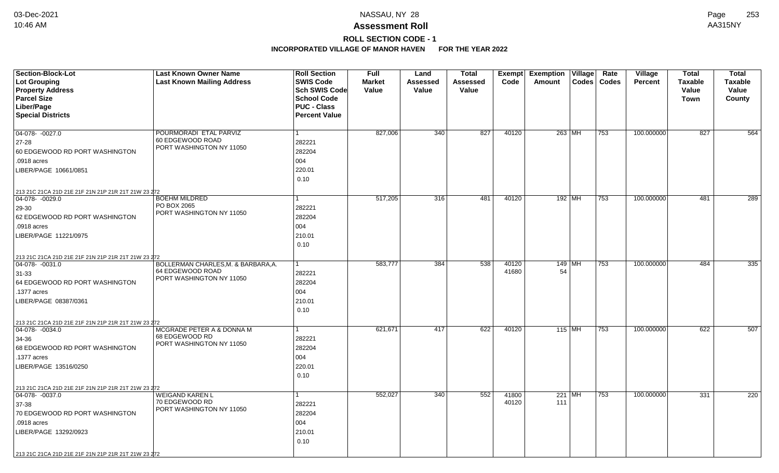# **ROLL SECTION CODE - 1**

| <b>Section-Block-Lot</b>                            | <b>Last Known Owner Name</b>               | <b>Roll Section</b>  | <b>Full</b>   | Land            | <b>Total</b>    | Exempt | Exemption   Village |        | Rate          | Village        | <b>Total</b>   | <b>Total</b>    |
|-----------------------------------------------------|--------------------------------------------|----------------------|---------------|-----------------|-----------------|--------|---------------------|--------|---------------|----------------|----------------|-----------------|
| <b>Lot Grouping</b>                                 | <b>Last Known Mailing Address</b>          | <b>SWIS Code</b>     | <b>Market</b> | <b>Assessed</b> | <b>Assessed</b> | Code   | Amount              |        | Codes   Codes | <b>Percent</b> | <b>Taxable</b> | <b>Taxable</b>  |
| <b>Property Address</b>                             |                                            | <b>Sch SWIS Code</b> | Value         | Value           | Value           |        |                     |        |               |                | Value          | Value           |
| <b>Parcel Size</b>                                  |                                            | <b>School Code</b>   |               |                 |                 |        |                     |        |               |                | Town           | County          |
| Liber/Page                                          |                                            | <b>PUC - Class</b>   |               |                 |                 |        |                     |        |               |                |                |                 |
| <b>Special Districts</b>                            |                                            | <b>Percent Value</b> |               |                 |                 |        |                     |        |               |                |                |                 |
|                                                     |                                            |                      |               |                 |                 |        |                     |        |               |                |                |                 |
| 04-078- -0027.0                                     | POURMORADI ETAL PARVIZ<br>60 EDGEWOOD ROAD | $\mathbf{1}$         | 827,006       | 340             | 827             | 40120  | 263 MH              |        | 753           | 100.000000     | 827            | 564             |
| 27-28                                               | PORT WASHINGTON NY 11050                   | 282221               |               |                 |                 |        |                     |        |               |                |                |                 |
| 60 EDGEWOOD RD PORT WASHINGTON                      |                                            | 282204               |               |                 |                 |        |                     |        |               |                |                |                 |
| .0918 acres                                         |                                            | 004                  |               |                 |                 |        |                     |        |               |                |                |                 |
| LIBER/PAGE 10661/0851                               |                                            | 220.01               |               |                 |                 |        |                     |        |               |                |                |                 |
|                                                     |                                            | 0.10                 |               |                 |                 |        |                     |        |               |                |                |                 |
| 213 21C 21CA 21D 21E 21F 21N 21P 21R 21T 21W 23 272 |                                            |                      |               |                 |                 |        |                     |        |               |                |                |                 |
| $04-078 - 0029.0$                                   | <b>BOEHM MILDRED</b>                       | $\mathbf{1}$         | 517,205       | 316             | 481             | 40120  |                     | 192 MH | 753           | 100.000000     | 481            | 289             |
| 29-30                                               | PO BOX 2065<br>PORT WASHINGTON NY 11050    | 282221               |               |                 |                 |        |                     |        |               |                |                |                 |
| 62 EDGEWOOD RD PORT WASHINGTON                      |                                            | 282204               |               |                 |                 |        |                     |        |               |                |                |                 |
| .0918 acres                                         |                                            | 004                  |               |                 |                 |        |                     |        |               |                |                |                 |
| LIBER/PAGE 11221/0975                               |                                            | 210.01               |               |                 |                 |        |                     |        |               |                |                |                 |
|                                                     |                                            | 0.10                 |               |                 |                 |        |                     |        |               |                |                |                 |
| 213 21C 21CA 21D 21E 21F 21N 21P 21R 21T 21W 23 272 |                                            |                      |               |                 |                 |        |                     |        |               |                |                |                 |
| 04-078-0031.0                                       | BOLLERMAN CHARLES, M. & BARBARA, A.        | 1                    | 583,777       | 384             | 538             | 40120  |                     | 149 MH | 753           | 100.000000     | 484            | $\frac{1}{335}$ |
| $31 - 33$                                           | 64 EDGEWOOD ROAD                           | 282221               |               |                 |                 | 41680  | 54                  |        |               |                |                |                 |
| 64 EDGEWOOD RD PORT WASHINGTON                      | PORT WASHINGTON NY 11050                   | 282204               |               |                 |                 |        |                     |        |               |                |                |                 |
| .1377 acres                                         |                                            | 004                  |               |                 |                 |        |                     |        |               |                |                |                 |
| LIBER/PAGE 08387/0361                               |                                            | 210.01               |               |                 |                 |        |                     |        |               |                |                |                 |
|                                                     |                                            | 0.10                 |               |                 |                 |        |                     |        |               |                |                |                 |
| 213 21C 21CA 21D 21E 21F 21N 21P 21R 21T 21W 23 272 |                                            |                      |               |                 |                 |        |                     |        |               |                |                |                 |
| $ 04-078-0034.0$                                    | MCGRADE PETER A & DONNA M                  | 1                    | 621,671       | 417             | 622             | 40120  | $115$ MH            |        | 753           | 100.000000     | 622            | 507             |
| 34-36                                               | 68 EDGEWOOD RD                             | 282221               |               |                 |                 |        |                     |        |               |                |                |                 |
| 68 EDGEWOOD RD PORT WASHINGTON                      | PORT WASHINGTON NY 11050                   | 282204               |               |                 |                 |        |                     |        |               |                |                |                 |
| .1377 acres                                         |                                            | 004                  |               |                 |                 |        |                     |        |               |                |                |                 |
| LIBER/PAGE 13516/0250                               |                                            | 220.01               |               |                 |                 |        |                     |        |               |                |                |                 |
|                                                     |                                            | 0.10                 |               |                 |                 |        |                     |        |               |                |                |                 |
| 213 21C 21CA 21D 21E 21F 21N 21P 21R 21T 21W 23 272 |                                            |                      |               |                 |                 |        |                     |        |               |                |                |                 |
| 04-078- -0037.0                                     | <b>WEIGAND KAREN L</b>                     | 1                    | 552,027       | 340             | 552             | 41800  | 221   MH            |        | 753           | 100.000000     | 331            | 220             |
| 37-38                                               | 70 EDGEWOOD RD                             | 282221               |               |                 |                 | 40120  | 111                 |        |               |                |                |                 |
| 70 EDGEWOOD RD PORT WASHINGTON                      | PORT WASHINGTON NY 11050                   | 282204               |               |                 |                 |        |                     |        |               |                |                |                 |
| .0918 acres                                         |                                            | 004                  |               |                 |                 |        |                     |        |               |                |                |                 |
| LIBER/PAGE 13292/0923                               |                                            | 210.01               |               |                 |                 |        |                     |        |               |                |                |                 |
|                                                     |                                            | 0.10                 |               |                 |                 |        |                     |        |               |                |                |                 |
|                                                     |                                            |                      |               |                 |                 |        |                     |        |               |                |                |                 |
| 213 21C 21CA 21D 21E 21F 21N 21P 21R 21T 21W 23 272 |                                            |                      |               |                 |                 |        |                     |        |               |                |                |                 |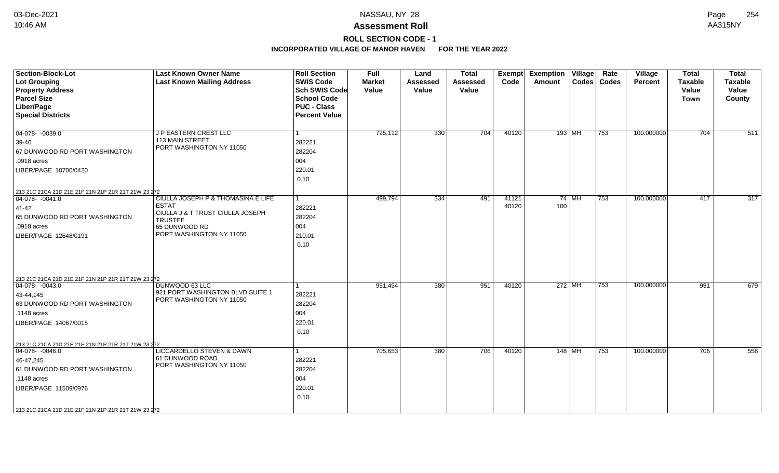# **ROLL SECTION CODE - 1**

| <b>Section-Block-Lot</b>                                                         | <b>Last Known Owner Name</b>                       | <b>Roll Section</b>  | <b>Full</b>   | Land            | <b>Total</b> | Exempt | <b>Exemption Village</b> |         | Rate          | Village        | <b>Total</b>   | <b>Total</b>   |
|----------------------------------------------------------------------------------|----------------------------------------------------|----------------------|---------------|-----------------|--------------|--------|--------------------------|---------|---------------|----------------|----------------|----------------|
| Lot Grouping                                                                     | <b>Last Known Mailing Address</b>                  | <b>SWIS Code</b>     | <b>Market</b> | <b>Assessed</b> | Assessed     | Code   | Amount                   |         | Codes   Codes | <b>Percent</b> | <b>Taxable</b> | <b>Taxable</b> |
| <b>Property Address</b>                                                          |                                                    | <b>Sch SWIS Code</b> | Value         | Value           | Value        |        |                          |         |               |                | Value          | Value          |
| <b>Parcel Size</b>                                                               |                                                    | <b>School Code</b>   |               |                 |              |        |                          |         |               |                | Town           | County         |
| Liber/Page                                                                       |                                                    | <b>PUC - Class</b>   |               |                 |              |        |                          |         |               |                |                |                |
| <b>Special Districts</b>                                                         |                                                    | <b>Percent Value</b> |               |                 |              |        |                          |         |               |                |                |                |
| $\boxed{04-078 - 0039.0}$                                                        | J P EASTERN CREST LLC                              | $\vert$ 1            | 725,112       | 330             | 704          | 40120  | 193 MH                   |         | 753           | 100.000000     | 704            | 511            |
| $39-40$                                                                          | 113 MAIN STREET                                    | 282221               |               |                 |              |        |                          |         |               |                |                |                |
| 67 DUNWOOD RD PORT WASHINGTON                                                    | PORT WASHINGTON NY 11050                           | 282204               |               |                 |              |        |                          |         |               |                |                |                |
| .0918 acres                                                                      |                                                    | 004                  |               |                 |              |        |                          |         |               |                |                |                |
| LIBER/PAGE 10700/0420                                                            |                                                    | 220.01               |               |                 |              |        |                          |         |               |                |                |                |
|                                                                                  |                                                    | 0.10                 |               |                 |              |        |                          |         |               |                |                |                |
| 213 21C 21CA 21D 21E 21F 21N 21P 21R 21T 21W 23 272                              |                                                    |                      |               |                 |              |        |                          |         |               |                |                |                |
| $ 04-078-0041.0$                                                                 | CIULLA JOSEPH P & THOMASINA E LIFE                 | l 1                  | 499,794       | 334             | 491          | 41121  |                          | $74$ MH | 753           | 100.000000     | 417            | 317            |
| $ 41-42 $                                                                        | <b>ESTAT</b>                                       | 282221               |               |                 |              | 40120  | 100                      |         |               |                |                |                |
| 65 DUNWOOD RD PORT WASHINGTON                                                    | CIULLA J & T TRUST CIULLA JOSEPH<br><b>TRUSTEE</b> | 282204               |               |                 |              |        |                          |         |               |                |                |                |
| $.0918$ acres                                                                    | 65 DUNWOOD RD                                      | 004                  |               |                 |              |        |                          |         |               |                |                |                |
| LIBER/PAGE 12648/0191                                                            | PORT WASHINGTON NY 11050                           | 210.01               |               |                 |              |        |                          |         |               |                |                |                |
|                                                                                  |                                                    | 0.10                 |               |                 |              |        |                          |         |               |                |                |                |
|                                                                                  |                                                    |                      |               |                 |              |        |                          |         |               |                |                |                |
|                                                                                  |                                                    |                      |               |                 |              |        |                          |         |               |                |                |                |
|                                                                                  |                                                    |                      |               |                 |              |        |                          |         |               |                |                |                |
| 213 21C 21CA 21D 21E 21F 21N 21P 21R 21T 21W 23 272<br>$\boxed{04-078 - 0043.0}$ | DUNWOOD 63 LLC                                     | $\overline{1}$       | 951,454       | 380             | 951          | 40120  | $272$ MH                 |         | 753           | 100.000000     | 951            | 679            |
|                                                                                  | 921 PORT WASHINGTON BLVD SUITE 1                   | 282221               |               |                 |              |        |                          |         |               |                |                |                |
| $ 43 - 44, 145$<br>63 DUNWOOD RD PORT WASHINGTON                                 | PORT WASHINGTON NY 11050                           | 282204               |               |                 |              |        |                          |         |               |                |                |                |
| .1148 acres                                                                      |                                                    | 004                  |               |                 |              |        |                          |         |               |                |                |                |
|                                                                                  |                                                    |                      |               |                 |              |        |                          |         |               |                |                |                |
| LIBER/PAGE 14067/0015                                                            |                                                    | 220.01<br>0.10       |               |                 |              |        |                          |         |               |                |                |                |
|                                                                                  |                                                    |                      |               |                 |              |        |                          |         |               |                |                |                |
| 213 21C 21CA 21D 21E 21F 21N 21P 21R 21T 21W 23 272                              |                                                    |                      |               |                 |              |        |                          |         |               |                |                |                |
| $04-078 - 0046.0$                                                                | LICCARDELLO STEVEN & DAWN<br>61 DUNWOOD ROAD       | $\mathbf{1}$         | 705,653       | 380             | 706          | 40120  | 148 MH                   |         | 753           | 100.000000     | 706            | 558            |
| 46-47,245                                                                        | PORT WASHINGTON NY 11050                           | 282221               |               |                 |              |        |                          |         |               |                |                |                |
| 61 DUNWOOD RD PORT WASHINGTON                                                    |                                                    | 282204               |               |                 |              |        |                          |         |               |                |                |                |
| .1148 acres                                                                      |                                                    | 004                  |               |                 |              |        |                          |         |               |                |                |                |
| LIBER/PAGE 11509/0976                                                            |                                                    | 220.01               |               |                 |              |        |                          |         |               |                |                |                |
|                                                                                  |                                                    | 0.10                 |               |                 |              |        |                          |         |               |                |                |                |
| 213 21C 21CA 21D 21E 21F 21N 21P 21R 21T 21W 23 272                              |                                                    |                      |               |                 |              |        |                          |         |               |                |                |                |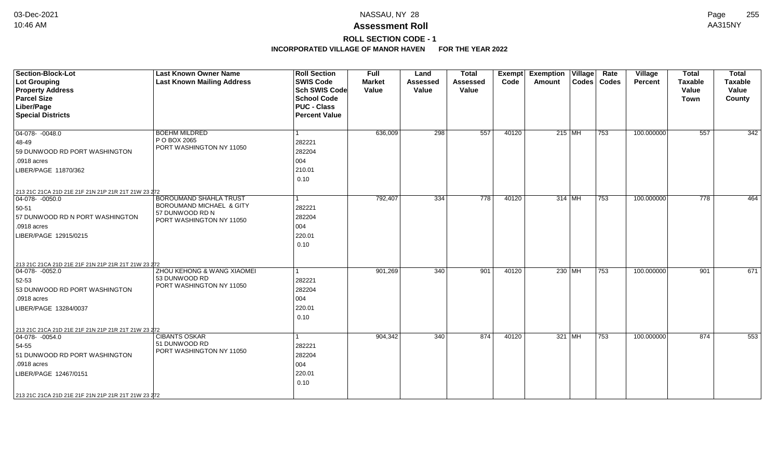# **ROLL SECTION CODE - 1**

| <b>Section-Block-Lot</b><br><b>Lot Grouping</b><br><b>Property Address</b><br><b>Parcel Size</b><br>Liber/Page<br><b>Special Districts</b>                                                                        | <b>Last Known Owner Name</b><br><b>Last Known Mailing Address</b>                                        | <b>Roll Section</b><br><b>SWIS Code</b><br><b>Sch SWIS Code</b><br><b>School Code</b><br><b>PUC - Class</b><br><b>Percent Value</b> | <b>Full</b><br><b>Market</b><br>Value | Land<br><b>Assessed</b><br>Value | <b>Total</b><br><b>Assessed</b><br>Value | <b>Exempt</b><br>Code | <b>Exemption Village</b><br>Amount | Rate<br>Codes   Codes | Village<br>Percent | <b>Total</b><br><b>Taxable</b><br>Value<br><b>Town</b> | <b>Total</b><br>Taxable<br>Value<br>County |
|-------------------------------------------------------------------------------------------------------------------------------------------------------------------------------------------------------------------|----------------------------------------------------------------------------------------------------------|-------------------------------------------------------------------------------------------------------------------------------------|---------------------------------------|----------------------------------|------------------------------------------|-----------------------|------------------------------------|-----------------------|--------------------|--------------------------------------------------------|--------------------------------------------|
| $04-078 - 0048.0$<br>48-49<br>59 DUNWOOD RD PORT WASHINGTON<br>.0918 acres<br>LIBER/PAGE 11870/362                                                                                                                | <b>BOEHM MILDRED</b><br>P O BOX 2065<br>PORT WASHINGTON NY 11050                                         | 1<br>282221<br>282204<br>004<br>210.01<br>0.10                                                                                      | 636,009                               | 298                              | 557                                      | 40120                 | $215$ MH                           | 753                   | 100.000000         | 557                                                    | 342                                        |
| 213 21C 21CA 21D 21E 21F 21N 21P 21R 21T 21W 23 272<br>$04-078 - 0050.0$<br>50-51<br>57 DUNWOOD RD N PORT WASHINGTON<br>.0918 acres<br>LIBER/PAGE 12915/0215                                                      | <b>BOROUMAND SHAHLA TRUST</b><br>BOROUMAND MICHAEL & GITY<br>57 DUNWOOD RD N<br>PORT WASHINGTON NY 11050 | 1<br>282221<br>282204<br>004<br>220.01<br>0.10                                                                                      | 792,407                               | 334                              | 778                                      | 40120                 | 314 MH                             | 753                   | 100.000000         | $\overline{778}$                                       | 464                                        |
| 213 21C 21CA 21D 21E 21F 21N 21P 21R 21T 21W 23 272<br>$ 04-078-0052.0$<br>52-53<br>53 DUNWOOD RD PORT WASHINGTON<br>.0918 acres<br>LIBER/PAGE 13284/0037                                                         | ZHOU KEHONG & WANG XIAOMEI<br>53 DUNWOOD RD<br>PORT WASHINGTON NY 11050                                  | 282221<br>282204<br>004<br>220.01<br>0.10                                                                                           | 901,269                               | 340                              | 901                                      | 40120                 | 230   MH                           | 753                   | 100.000000         | 901                                                    | 671                                        |
| 213 21C 21CA 21D 21E 21F 21N 21P 21R 21T 21W 23 272<br>$04-078 - 0054.0$<br>54-55<br>51 DUNWOOD RD PORT WASHINGTON<br>.0918 acres<br>LIBER/PAGE 12467/0151<br>213 21C 21CA 21D 21E 21F 21N 21P 21R 21T 21W 23 272 | <b>CIBANTS OSKAR</b><br>51 DUNWOOD RD<br>PORT WASHINGTON NY 11050                                        | 282221<br>282204<br>004<br>220.01<br>0.10                                                                                           | 904,342                               | 340                              | 874                                      | 40120                 | 321 MH                             | 753                   | 100.000000         | 874                                                    | 553                                        |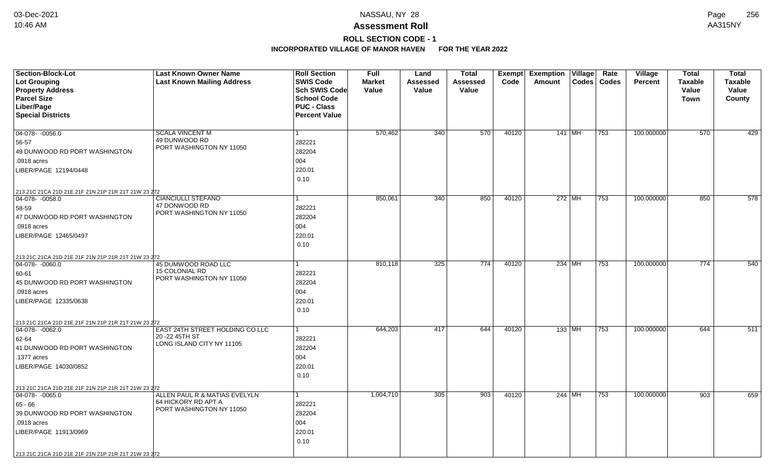# **ROLL SECTION CODE - 1**

| <b>Section-Block-Lot</b>                                                         | <b>Last Known Owner Name</b>              | <b>Roll Section</b>  | <b>Full</b>   | Land     | <b>Total</b>    | Exempt | <b>Exemption</b> | $\overline{V}$ illage | Rate          | <b>Village</b> | <b>Total</b>   | <b>Total</b>   |
|----------------------------------------------------------------------------------|-------------------------------------------|----------------------|---------------|----------|-----------------|--------|------------------|-----------------------|---------------|----------------|----------------|----------------|
| Lot Grouping                                                                     | <b>Last Known Mailing Address</b>         | <b>SWIS Code</b>     | <b>Market</b> | Assessed | <b>Assessed</b> | Code   | Amount           |                       | Codes   Codes | <b>Percent</b> | <b>Taxable</b> | <b>Taxable</b> |
| <b>Property Address</b>                                                          |                                           | <b>Sch SWIS Code</b> | Value         | Value    | Value           |        |                  |                       |               |                | Value          | Value          |
| <b>Parcel Size</b>                                                               |                                           | <b>School Code</b>   |               |          |                 |        |                  |                       |               |                | Town           | County         |
| Liber/Page                                                                       |                                           | <b>PUC - Class</b>   |               |          |                 |        |                  |                       |               |                |                |                |
| <b>Special Districts</b>                                                         |                                           | <b>Percent Value</b> |               |          |                 |        |                  |                       |               |                |                |                |
|                                                                                  |                                           |                      |               |          |                 |        |                  |                       |               |                |                |                |
| 04-078- -0056.0                                                                  | <b>SCALA VINCENT M</b>                    | $\mathbf{1}$         | 570,462       | 340      | 570             | 40120  | 141 MH           |                       | 753           | 100.000000     | 570            | 429            |
| 56-57                                                                            | 49 DUNWOOD RD<br>PORT WASHINGTON NY 11050 | 282221               |               |          |                 |        |                  |                       |               |                |                |                |
| 49 DUNWOOD RD PORT WASHINGTON                                                    |                                           | 282204               |               |          |                 |        |                  |                       |               |                |                |                |
| .0918 acres                                                                      |                                           | 004                  |               |          |                 |        |                  |                       |               |                |                |                |
| LIBER/PAGE 12194/0448                                                            |                                           | 220.01               |               |          |                 |        |                  |                       |               |                |                |                |
|                                                                                  |                                           | 0.10                 |               |          |                 |        |                  |                       |               |                |                |                |
| 213 21C 21CA 21D 21E 21F 21N 21P 21R 21T 21W 23 272                              |                                           |                      |               |          |                 |        |                  |                       |               |                |                |                |
| $ 04-078-0058.0$                                                                 | <b>CIANCIULLI STEFANO</b>                 | 1                    | 850,061       | 340      | 850             | 40120  | $272$ MH         |                       | 753           | 100.000000     | 850            | 578            |
| 58-59                                                                            | 47 DONWOOD RD                             | 282221               |               |          |                 |        |                  |                       |               |                |                |                |
| 47 DUNWOOD RD PORT WASHINGTON                                                    | PORT WASHINGTON NY 11050                  | 282204               |               |          |                 |        |                  |                       |               |                |                |                |
| .0918 acres                                                                      |                                           | 004                  |               |          |                 |        |                  |                       |               |                |                |                |
| LIBER/PAGE 12465/0497                                                            |                                           | 220.01               |               |          |                 |        |                  |                       |               |                |                |                |
|                                                                                  |                                           | 0.10                 |               |          |                 |        |                  |                       |               |                |                |                |
|                                                                                  |                                           |                      |               |          |                 |        |                  |                       |               |                |                |                |
| 213 21C 21CA 21D 21E 21F 21N 21P 21R 21T 21W 23 272<br>04-078-0060.0             | 45 DUMWOOD ROAD LLC                       | 1                    | 810,118       | 325      | 774             | 40120  | 234 MH           |                       | 753           | 100.000000     | 774            | 540            |
| 60-61                                                                            | <b>15 COLONIAL RD</b>                     | 282221               |               |          |                 |        |                  |                       |               |                |                |                |
| 45 DUNWOOD RD PORT WASHINGTON                                                    | PORT WASHINGTON NY 11050                  | 282204               |               |          |                 |        |                  |                       |               |                |                |                |
| .0918 acres                                                                      |                                           | 004                  |               |          |                 |        |                  |                       |               |                |                |                |
| LIBER/PAGE 12335/0638                                                            |                                           | 220.01               |               |          |                 |        |                  |                       |               |                |                |                |
|                                                                                  |                                           | 0.10                 |               |          |                 |        |                  |                       |               |                |                |                |
|                                                                                  |                                           |                      |               |          |                 |        |                  |                       |               |                |                |                |
| 213 21C 21CA 21D 21E 21F 21N 21P 21R 21T 21W 23 272<br>$\boxed{04-078 - 0062.0}$ | EAST 24TH STREET HOLDING CO LLC           | $\mathbf{1}$         | 644,203       | 417      | 644             | 40120  | $133$ MH         |                       | 753           | 100.000000     | 644            | 511            |
| 62-64                                                                            | 20 - 22 45TH ST                           | 282221               |               |          |                 |        |                  |                       |               |                |                |                |
| 41 DUNWOOD RD PORT WASHINGTON                                                    | LONG ISLAND CITY NY 11105                 | 282204               |               |          |                 |        |                  |                       |               |                |                |                |
| .1377 acres                                                                      |                                           | 004                  |               |          |                 |        |                  |                       |               |                |                |                |
| LIBER/PAGE 14030/0852                                                            |                                           | 220.01               |               |          |                 |        |                  |                       |               |                |                |                |
|                                                                                  |                                           | 0.10                 |               |          |                 |        |                  |                       |               |                |                |                |
|                                                                                  |                                           |                      |               |          |                 |        |                  |                       |               |                |                |                |
| 213 21C 21CA 21D 21E 21F 21N 21P 21R 21T 21W 23 272                              | ALLEN PAUL R & MATIAS EVELYLN             | $\mathbf{1}$         |               | 305      | 903             |        |                  |                       |               |                | 903            |                |
| 04-078-0065.0                                                                    | 64 HICKORY RD APT A                       |                      | 1,004,710     |          |                 | 40120  | 244 MH           |                       | 753           | 100.000000     |                | 659            |
| 65 - 66                                                                          | PORT WASHINGTON NY 11050                  | 282221               |               |          |                 |        |                  |                       |               |                |                |                |
| 39 DUNWOOD RD PORT WASHINGTON                                                    |                                           | 282204               |               |          |                 |        |                  |                       |               |                |                |                |
| .0918 acres                                                                      |                                           | 004                  |               |          |                 |        |                  |                       |               |                |                |                |
| LIBER/PAGE 11913/0969                                                            |                                           | 220.01               |               |          |                 |        |                  |                       |               |                |                |                |
|                                                                                  |                                           | 0.10                 |               |          |                 |        |                  |                       |               |                |                |                |
| 213 21C 21CA 21D 21E 21F 21N 21P 21R 21T 21W 23 272                              |                                           |                      |               |          |                 |        |                  |                       |               |                |                |                |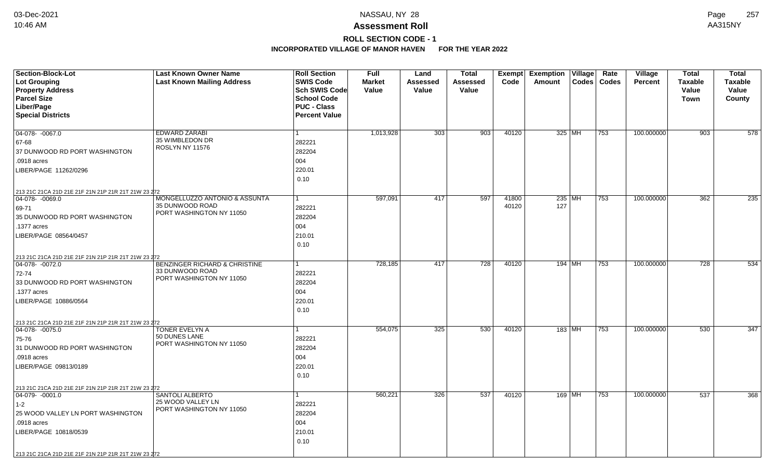# **ROLL SECTION CODE - 1**

| <b>Section-Block-Lot</b>                                                | <b>Last Known Owner Name</b>                  | <b>Roll Section</b>  | <b>Full</b>   | Land            | Total    |       | <b>Exempt Exemption Village</b> |        | Rate          | Village        | <b>Total</b>   | <b>Total</b>   |
|-------------------------------------------------------------------------|-----------------------------------------------|----------------------|---------------|-----------------|----------|-------|---------------------------------|--------|---------------|----------------|----------------|----------------|
| <b>Lot Grouping</b>                                                     | <b>Last Known Mailing Address</b>             | <b>SWIS Code</b>     | <b>Market</b> | <b>Assessed</b> | Assessed | Code  | Amount                          |        | Codes   Codes | <b>Percent</b> | <b>Taxable</b> | <b>Taxable</b> |
| <b>Property Address</b>                                                 |                                               | Sch SWIS Code        | Value         | Value           | Value    |       |                                 |        |               |                | Value          | Value          |
| <b>Parcel Size</b>                                                      |                                               | <b>School Code</b>   |               |                 |          |       |                                 |        |               |                | <b>Town</b>    | County         |
| Liber/Page                                                              |                                               | <b>PUC - Class</b>   |               |                 |          |       |                                 |        |               |                |                |                |
| <b>Special Districts</b>                                                |                                               | <b>Percent Value</b> |               |                 |          |       |                                 |        |               |                |                |                |
|                                                                         |                                               |                      |               |                 |          |       |                                 |        |               |                |                |                |
| 04-078-0067.0                                                           | EDWARD ZARABI<br>35 WIMBLEDON DR              |                      | 1,013,928     | 303             | 903      | 40120 |                                 | 325 MH | 753           | 100.000000     | 903            | 578            |
| 67-68                                                                   | ROSLYN NY 11576                               | 282221               |               |                 |          |       |                                 |        |               |                |                |                |
| 37 DUNWOOD RD PORT WASHINGTON                                           |                                               | 282204               |               |                 |          |       |                                 |        |               |                |                |                |
| .0918 acres                                                             |                                               | 004                  |               |                 |          |       |                                 |        |               |                |                |                |
| LIBER/PAGE 11262/0296                                                   |                                               | 220.01               |               |                 |          |       |                                 |        |               |                |                |                |
|                                                                         |                                               | 0.10                 |               |                 |          |       |                                 |        |               |                |                |                |
| 213 21C 21CA 21D 21E 21F 21N 21P 21R 21T 21W 23 272                     |                                               |                      |               |                 |          |       |                                 |        |               |                |                |                |
| $\boxed{04-078 - 0069.0}$                                               | MONGELLUZZO ANTONIO & ASSUNTA                 |                      | 597,091       | 417             | 597      | 41800 | $235$ MH                        |        | 753           | 100.000000     | 362            | 235            |
| 69-71                                                                   | 35 DUNWOOD ROAD                               | 282221               |               |                 |          | 40120 | 127                             |        |               |                |                |                |
| 35 DUNWOOD RD PORT WASHINGTON                                           | PORT WASHINGTON NY 11050                      | 282204               |               |                 |          |       |                                 |        |               |                |                |                |
| .1377 acres                                                             |                                               | 004                  |               |                 |          |       |                                 |        |               |                |                |                |
| LIBER/PAGE 08564/0457                                                   |                                               | 210.01               |               |                 |          |       |                                 |        |               |                |                |                |
|                                                                         |                                               | 0.10                 |               |                 |          |       |                                 |        |               |                |                |                |
|                                                                         |                                               |                      |               |                 |          |       |                                 |        |               |                |                |                |
| 213 21C 21CA 21D 21E 21F 21N 21P 21R 21T 21W 23 272<br>$ 04-078-0072.0$ | BENZINGER RICHARD & CHRISTINE                 |                      | 728,185       | 417             | 728      | 40120 |                                 | 194 MH | 753           | 100.000000     | 728            | 534            |
| 72-74                                                                   | 33 DUNWOOD ROAD                               | 282221               |               |                 |          |       |                                 |        |               |                |                |                |
| 33 DUNWOOD RD PORT WASHINGTON                                           | PORT WASHINGTON NY 11050                      | 282204               |               |                 |          |       |                                 |        |               |                |                |                |
| .1377 acres                                                             |                                               | 004                  |               |                 |          |       |                                 |        |               |                |                |                |
| LIBER/PAGE 10886/0564                                                   |                                               | 220.01               |               |                 |          |       |                                 |        |               |                |                |                |
|                                                                         |                                               | 0.10                 |               |                 |          |       |                                 |        |               |                |                |                |
|                                                                         |                                               |                      |               |                 |          |       |                                 |        |               |                |                |                |
| 213 21C 21CA 21D 21E 21F 21N 21P 21R 21T 21W 23 272                     |                                               |                      |               | 325             | 530      |       |                                 |        |               | 100.000000     |                | 347            |
| $ 04-078-0075.0$                                                        | TONER EVELYN A<br>50 DUNES LANE               |                      | 554,075       |                 |          | 40120 | 183 MH                          |        | 753           |                | 530            |                |
| 75-76                                                                   | PORT WASHINGTON NY 11050                      | 282221               |               |                 |          |       |                                 |        |               |                |                |                |
| 31 DUNWOOD RD PORT WASHINGTON                                           |                                               | 282204               |               |                 |          |       |                                 |        |               |                |                |                |
| .0918 acres                                                             |                                               | 004                  |               |                 |          |       |                                 |        |               |                |                |                |
| LIBER/PAGE 09813/0189                                                   |                                               | 220.01               |               |                 |          |       |                                 |        |               |                |                |                |
|                                                                         |                                               | 0.10                 |               |                 |          |       |                                 |        |               |                |                |                |
| 213 21C 21CA 21D 21E 21F 21N 21P 21R 21T 21W 23 272                     |                                               |                      |               |                 |          |       |                                 |        |               |                |                |                |
| 04-079- -0001.0                                                         | SANTOLI ALBERTO                               |                      | 560,221       | 326             | 537      | 40120 | 169 MH                          |        | 753           | 100.000000     | 537            | 368            |
| $1-2$                                                                   | 25 WOOD VALLEY LN<br>PORT WASHINGTON NY 11050 | 282221               |               |                 |          |       |                                 |        |               |                |                |                |
| 25 WOOD VALLEY LN PORT WASHINGTON                                       |                                               | 282204               |               |                 |          |       |                                 |        |               |                |                |                |
| .0918 acres                                                             |                                               | 004                  |               |                 |          |       |                                 |        |               |                |                |                |
| LIBER/PAGE 10818/0539                                                   |                                               | 210.01               |               |                 |          |       |                                 |        |               |                |                |                |
|                                                                         |                                               | 0.10                 |               |                 |          |       |                                 |        |               |                |                |                |
| 213 21C 21CA 21D 21E 21F 21N 21P 21R 21T 21W 23 272                     |                                               |                      |               |                 |          |       |                                 |        |               |                |                |                |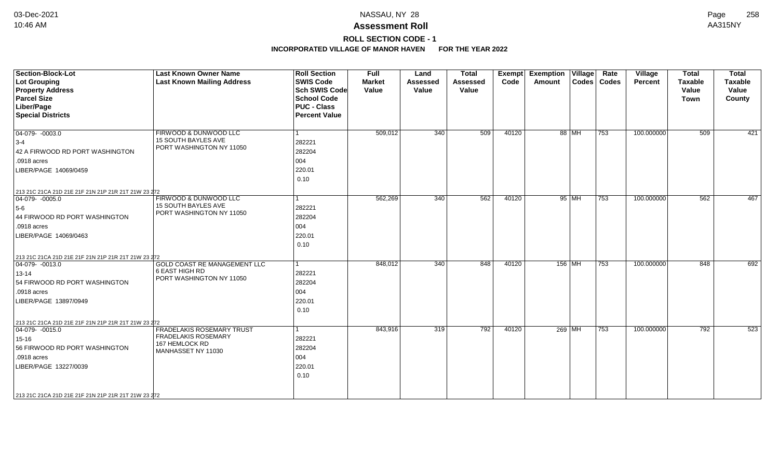# **ROLL SECTION CODE - 1**

| <b>Section-Block-Lot</b><br>Lot Grouping<br><b>Property Address</b><br><b>Parcel Size</b><br>Liber/Page<br><b>Special Districts</b>                                                                                  | <b>Last Known Owner Name</b><br><b>Last Known Mailing Address</b>                                      | <b>Roll Section</b><br><b>SWIS Code</b><br><b>Sch SWIS Code</b><br><b>School Code</b><br><b>PUC - Class</b><br><b>Percent Value</b> | <b>Full</b><br><b>Market</b><br>Value | Land<br><b>Assessed</b><br>Value | <b>Total</b><br><b>Assessed</b><br>Value | <b>Exempt</b><br>Code | <b>Exemption Village</b><br>Amount |         | Rate<br>Codes   Codes | <b>Village</b><br>Percent | <b>Total</b><br><b>Taxable</b><br>Value<br><b>Town</b> | <b>Total</b><br>Taxable<br>Value<br>County |
|----------------------------------------------------------------------------------------------------------------------------------------------------------------------------------------------------------------------|--------------------------------------------------------------------------------------------------------|-------------------------------------------------------------------------------------------------------------------------------------|---------------------------------------|----------------------------------|------------------------------------------|-----------------------|------------------------------------|---------|-----------------------|---------------------------|--------------------------------------------------------|--------------------------------------------|
| $\boxed{04-079 - 0003.0}$<br>$3-4$<br>42 A FIRWOOD RD PORT WASHINGTON<br>.0918 acres<br>LIBER/PAGE 14069/0459                                                                                                        | FIRWOOD & DUNWOOD LLC<br>15 SOUTH BAYLES AVE<br>PORT WASHINGTON NY 11050                               | l 1<br>282221<br>282204<br>004<br>220.01<br>0.10                                                                                    | 509,012                               | 340                              | 509                                      | 40120                 |                                    | 88 MH   | 753                   | 100.000000                | 509                                                    | 421                                        |
| 213 21C 21CA 21D 21E 21F 21N 21P 21R 21T 21W 23 272<br>$\boxed{04-079 - 0005.0}$<br>$5-6$<br>44 FIRWOOD RD PORT WASHINGTON<br>.0918 acres<br>LIBER/PAGE 14069/0463                                                   | FIRWOOD & DUNWOOD LLC<br>15 SOUTH BAYLES AVE<br>PORT WASHINGTON NY 11050                               | l 1<br>282221<br>282204<br>004<br>220.01<br>0.10                                                                                    | 562,269                               | 340                              | 562                                      | 40120                 |                                    | $95$ MH | 753                   | 100.000000                | 562                                                    | 467                                        |
| 213 21C 21CA 21D 21E 21F 21N 21P 21R 21T 21W 23 272<br>$ 04-079-0013.0$<br>$13 - 14$<br>54 FIRWOOD RD PORT WASHINGTON<br>.0918 acres<br>LIBER/PAGE 13897/0949<br>213 21C 21CA 21D 21E 21F 21N 21P 21R 21T 21W 23 272 | GOLD COAST RE MANAGEMENT LLC<br>6 EAST HIGH RD<br>PORT WASHINGTON NY 11050                             | l 1<br>282221<br>282204<br>004<br>220.01<br>0.10                                                                                    | 848,012                               | 340                              | 848                                      | 40120                 | 156 MH                             |         | 753                   | 100.000000                | 848                                                    | 692                                        |
| $ 04-079-0015.0$<br>15-16<br>56 FIRWOOD RD PORT WASHINGTON<br>.0918 acres<br>LIBER/PAGE 13227/0039<br>213 21C 21CA 21D 21E 21F 21N 21P 21R 21T 21W 23 272                                                            | <b>FRADELAKIS ROSEMARY TRUST</b><br><b>FRADELAKIS ROSEMARY</b><br>167 HEMLOCK RD<br>MANHASSET NY 11030 | l 1<br>282221<br>282204<br>004<br>220.01<br>0.10                                                                                    | 843,916                               | 319                              | 792                                      | 40120                 | $269$ MH                           |         | 753                   | 100.000000                | 792                                                    | 523                                        |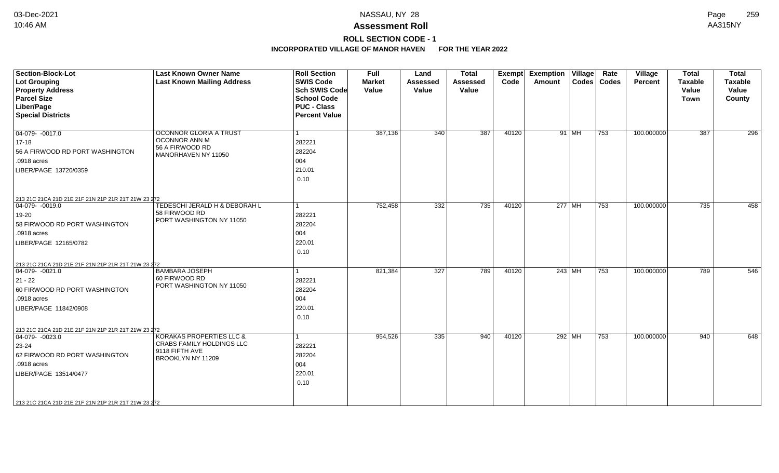# **ROLL SECTION CODE - 1**

| Section-Block-Lot<br><b>Lot Grouping</b><br><b>Property Address</b><br><b>Parcel Size</b><br>Liber/Page<br><b>Special Districts</b>                                                                                       | <b>Last Known Owner Name</b><br><b>Last Known Mailing Address</b>                            | <b>Roll Section</b><br><b>SWIS Code</b><br><b>Sch SWIS Code</b><br><b>School Code</b><br><b>PUC - Class</b><br><b>Percent Value</b> | <b>Full</b><br><b>Market</b><br>Value | Land<br><b>Assessed</b><br>Value | <b>Total</b><br><b>Assessed</b><br>Value | Exempt<br>Code | <b>Exemption Village</b><br>Amount |         | Rate<br>Codes   Codes | Village<br><b>Percent</b> | <b>Total</b><br><b>Taxable</b><br>Value<br>Town | <b>Total</b><br><b>Taxable</b><br>Value<br>County |
|---------------------------------------------------------------------------------------------------------------------------------------------------------------------------------------------------------------------------|----------------------------------------------------------------------------------------------|-------------------------------------------------------------------------------------------------------------------------------------|---------------------------------------|----------------------------------|------------------------------------------|----------------|------------------------------------|---------|-----------------------|---------------------------|-------------------------------------------------|---------------------------------------------------|
| 04-079- -0017.0<br>17-18<br>56 A FIRWOOD RD PORT WASHINGTON<br>.0918 acres<br>LIBER/PAGE 13720/0359                                                                                                                       | OCONNOR GLORIA A TRUST<br>OCONNOR ANN M<br>56 A FIRWOOD RD<br>MANORHAVEN NY 11050            | 282221<br>282204<br>004<br>210.01<br>0.10                                                                                           | 387,136                               | 340                              | 387                                      | 40120          |                                    | 91   MH | 753                   | 100.000000                | 387                                             | 296                                               |
| 213 21C 21CA 21D 21E 21F 21N 21P 21R 21T 21W 23 272<br>04-079- -0019.0<br>19-20<br>58 FIRWOOD RD PORT WASHINGTON<br>.0918 acres<br>LIBER/PAGE 12165/0782                                                                  | TEDESCHI JERALD H & DEBORAH L<br>58 FIRWOOD RD<br>PORT WASHINGTON NY 11050                   | 282221<br>282204<br>004<br>220.01<br>0.10                                                                                           | 752,458                               | 332                              | 735                                      | 40120          | $277$ MH                           |         | 753                   | 100.000000                | 735                                             | 458                                               |
| 213 21C 21CA 21D 21E 21F 21N 21P 21R 21T 21W 23 272<br>$ 04-079-0021.0$<br>21 - 22<br>60 FIRWOOD RD PORT WASHINGTON<br>.0918 acres<br>LIBER/PAGE 11842/0908                                                               | <b>BAMBARA JOSEPH</b><br>60 FIRWOOD RD<br>PORT WASHINGTON NY 11050                           | 282221<br>282204<br>004<br>220.01<br>0.10                                                                                           | 821,384                               | 327                              | 789                                      | 40120          | 243 MH                             |         | 753                   | 100.000000                | 789                                             | 546                                               |
| 213 21C 21CA 21D 21E 21F 21N 21P 21R 21T 21W 23 272<br>$\boxed{04-079 - 0023.0}$<br>23-24<br>62 FIRWOOD RD PORT WASHINGTON<br>.0918 acres<br>LIBER/PAGE 13514/0477<br>213 21C 21CA 21D 21E 21F 21N 21P 21R 21T 21W 23 272 | KORAKAS PROPERTIES LLC &<br>CRABS FAMILY HOLDINGS LLC<br>9118 FIFTH AVE<br>BROOKLYN NY 11209 | 282221<br>282204<br>004<br>220.01<br>0.10                                                                                           | 954,526                               | 335                              | 940                                      | 40120          | $292$ MH                           |         | 753                   | 100.000000                | 940                                             | 648                                               |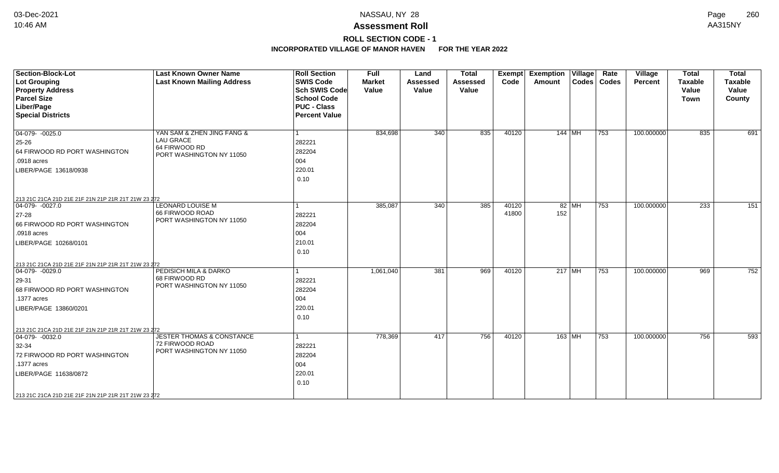# **ROLL SECTION CODE - 1**

| Section-Block-Lot<br>Lot Grouping<br><b>Property Address</b><br><b>Parcel Size</b><br>Liber/Page<br><b>Special Districts</b>                                                                                        | <b>Last Known Owner Name</b><br><b>Last Known Mailing Address</b>                           | <b>Roll Section</b><br><b>SWIS Code</b><br><b>Sch SWIS Code</b><br><b>School Code</b><br><b>PUC - Class</b><br><b>Percent Value</b> | <b>Full</b><br><b>Market</b><br>Value | Land<br><b>Assessed</b><br>Value | <b>Total</b><br><b>Assessed</b><br>Value | <b>Exempt</b><br>Code | <b>Exemption Village</b><br>Amount |         | Rate<br>Codes   Codes | <b>Village</b><br>Percent | <b>Total</b><br><b>Taxable</b><br>Value<br><b>Town</b> | <b>Total</b><br>Taxable<br>Value<br>County |
|---------------------------------------------------------------------------------------------------------------------------------------------------------------------------------------------------------------------|---------------------------------------------------------------------------------------------|-------------------------------------------------------------------------------------------------------------------------------------|---------------------------------------|----------------------------------|------------------------------------------|-----------------------|------------------------------------|---------|-----------------------|---------------------------|--------------------------------------------------------|--------------------------------------------|
| $\boxed{04-079 - 0025.0}$<br>$25 - 26$<br>64 FIRWOOD RD PORT WASHINGTON<br>.0918 acres<br>LIBER/PAGE 13618/0938                                                                                                     | YAN SAM & ZHEN JING FANG &<br><b>LAU GRACE</b><br>64 FIRWOOD RD<br>PORT WASHINGTON NY 11050 | $\vert$ 1<br>282221<br>282204<br>004<br>220.01<br>0.10                                                                              | 834,698                               | 340                              | 835                                      | 40120                 | 144 MH                             |         | 753                   | 100.000000                | 835                                                    | 691                                        |
| 213 21C 21CA 21D 21E 21F 21N 21P 21R 21T 21W 23 272<br>04-079- -0027.0<br>$27 - 28$<br>66 FIRWOOD RD PORT WASHINGTON<br>.0918 acres<br>LIBER/PAGE 10268/0101<br>213 21C 21CA 21D 21E 21F 21N 21P 21R 21T 21W 23 272 | <b>LEONARD LOUISE M</b><br>66 FIRWOOD ROAD<br>PORT WASHINGTON NY 11050                      | $\mathbf{1}$<br>282221<br>282204<br>004<br>210.01<br>0.10                                                                           | 385,087                               | 340                              | 385                                      | 40120<br>41800        | 152                                | $82$ MH | 753                   | 100.000000                | 233                                                    | 151                                        |
| $\boxed{04-079 - 0029.0}$<br>$ 29-31 $<br>68 FIRWOOD RD PORT WASHINGTON<br>.1377 acres<br>LIBER/PAGE 13860/0201                                                                                                     | PEDISICH MILA & DARKO<br>68 FIRWOOD RD<br>PORT WASHINGTON NY 11050                          | 1<br>282221<br>282204<br>004<br>220.01<br>0.10                                                                                      | 1,061,040                             | 381                              | 969                                      | 40120                 | $217$ MH                           |         | 753                   | 100.000000                | 969                                                    | 752                                        |
| 213 21C 21CA 21D 21E 21F 21N 21P 21R 21T 21W 23 272<br>$ 04-079-0032.0$<br>32-34<br>72 FIRWOOD RD PORT WASHINGTON<br>.1377 acres<br>LIBER/PAGE 11638/0872<br>213 21C 21CA 21D 21E 21F 21N 21P 21R 21T 21W 23 272    | <b>JESTER THOMAS &amp; CONSTANCE</b><br>72 FIRWOOD ROAD<br>PORT WASHINGTON NY 11050         | 1<br>282221<br>282204<br>004<br>220.01<br>0.10                                                                                      | 778,369                               | 417                              | 756                                      | 40120                 | 163 MH                             |         | 753                   | 100.000000                | 756                                                    | 593                                        |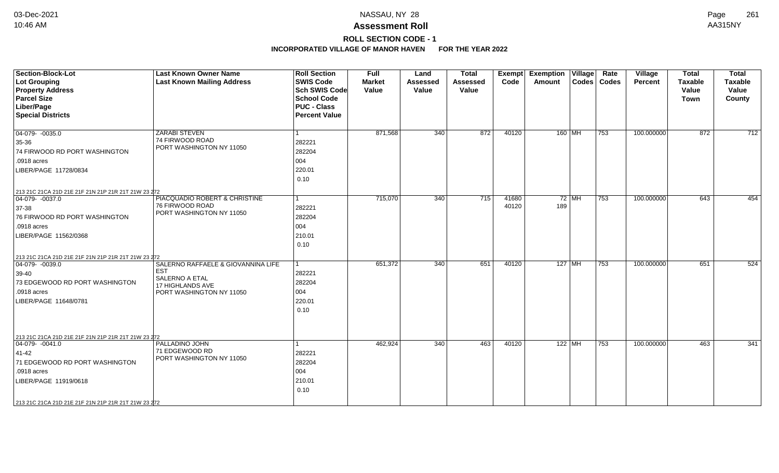## **ROLL SECTION CODE - 1**

| <b>Section-Block-Lot</b><br>Lot Grouping<br><b>Property Address</b><br><b>Parcel Size</b><br>Liber/Page<br><b>Special Districts</b>                                                                               | <b>Last Known Owner Name</b><br><b>Last Known Mailing Address</b>                                                         | <b>Roll Section</b><br><b>SWIS Code</b><br><b>Sch SWIS Code</b><br><b>School Code</b><br><b>PUC - Class</b><br><b>Percent Value</b> | <b>Full</b><br><b>Market</b><br>Value | Land<br><b>Assessed</b><br>Value | <b>Total</b><br><b>Assessed</b><br>Value | Exempt<br>Code | <b>Exemption Village</b><br><b>Amount</b> |         | Rate<br>Codes   Codes | Village<br><b>Percent</b> | <b>Total</b><br><b>Taxable</b><br>Value<br>Town | <b>Total</b><br><b>Taxable</b><br>Value<br>County |
|-------------------------------------------------------------------------------------------------------------------------------------------------------------------------------------------------------------------|---------------------------------------------------------------------------------------------------------------------------|-------------------------------------------------------------------------------------------------------------------------------------|---------------------------------------|----------------------------------|------------------------------------------|----------------|-------------------------------------------|---------|-----------------------|---------------------------|-------------------------------------------------|---------------------------------------------------|
| $\boxed{04-079 - 0035.0}$<br>35-36<br>74 FIRWOOD RD PORT WASHINGTON<br>.0918 acres<br>LIBER/PAGE 11728/0834                                                                                                       | <b>ZARABI STEVEN</b><br>74 FIRWOOD ROAD<br>PORT WASHINGTON NY 11050                                                       | 282221<br>282204<br>004<br>220.01<br>0.10                                                                                           | 871,568                               | 340                              | 872                                      | 40120          | 160 MH                                    |         | 753                   | 100.000000                | 872                                             | $\overline{712}$                                  |
| 213 21C 21CA 21D 21E 21F 21N 21P 21R 21T 21W 23 272<br>$ 04-079-0037.0$<br>37-38<br>76 FIRWOOD RD PORT WASHINGTON<br>.0918 acres<br>LIBER/PAGE 11562/0368                                                         | PIACQUADIO ROBERT & CHRISTINE<br>76 FIRWOOD ROAD<br>PORT WASHINGTON NY 11050                                              | 282221<br>282204<br>004<br>210.01<br>0.10                                                                                           | 715,070                               | 340                              | 715                                      | 41680<br>40120 | 189                                       | $72$ MH | 753                   | 100.000000                | 643                                             | 454                                               |
| 213 21C 21CA 21D 21E 21F 21N 21P 21R 21T 21W 23 272<br>$\boxed{04-079 - 0039.0}$<br>39-40<br>73 EDGEWOOD RD PORT WASHINGTON<br>.0918 acres<br>LIBER/PAGE 11648/0781                                               | SALERNO RAFFAELE & GIOVANNINA LIFE<br><b>EST</b><br>SALERNO A ETAL<br><b>17 HIGHLANDS AVE</b><br>PORT WASHINGTON NY 11050 | 282221<br>282204<br>004<br>220.01<br>0.10                                                                                           | 651,372                               | 340                              | 651                                      | 40120          | $127$ MH                                  |         | 753                   | 100.000000                | 651                                             | 524                                               |
| 213 21C 21CA 21D 21E 21F 21N 21P 21R 21T 21W 23 272<br>$ 04-079-0041.0$<br>41-42<br>71 EDGEWOOD RD PORT WASHINGTON<br>.0918 acres<br>LIBER/PAGE 11919/0618<br>213 21C 21CA 21D 21E 21F 21N 21P 21R 21T 21W 23 272 | PALLADINO JOHN<br>71 EDGEWOOD RD<br>PORT WASHINGTON NY 11050                                                              | 282221<br>282204<br>004<br>210.01<br>0.10                                                                                           | 462,924                               | 340                              | 463                                      | 40120          | $122$ MH                                  |         | 753                   | 100.000000                | 463                                             | 341                                               |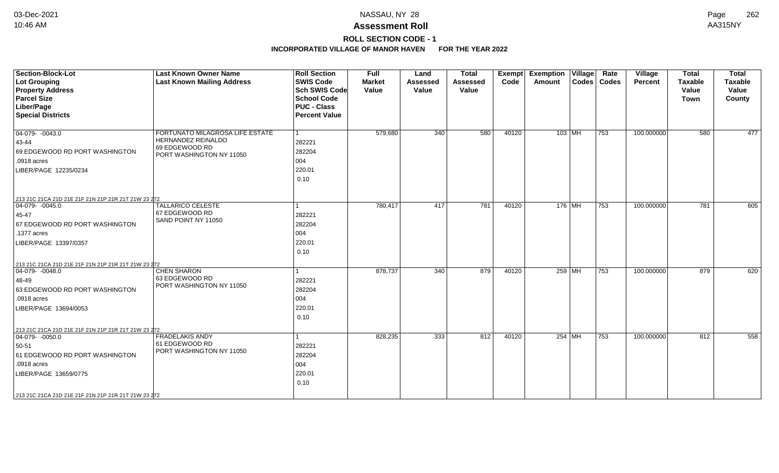## **ROLL SECTION CODE - 1**

| <b>Section-Block-Lot</b><br><b>Lot Grouping</b><br><b>Property Address</b><br><b>Parcel Size</b><br>Liber/Page<br><b>Special Districts</b>                                                                         | <b>Last Known Owner Name</b><br><b>Last Known Mailing Address</b>                                   | <b>Roll Section</b><br><b>SWIS Code</b><br><b>Sch SWIS Code</b><br><b>School Code</b><br><b>PUC - Class</b><br><b>Percent Value</b> | Full<br><b>Market</b><br>Value | Land<br><b>Assessed</b><br>Value | <b>Total</b><br>Assessed<br>Value | Exempt<br>Code | <b>Exemption Village</b><br>Amount | Rate<br>Codes   Codes | Village<br>Percent | <b>Total</b><br><b>Taxable</b><br>Value<br><b>Town</b> | <b>Total</b><br><b>Taxable</b><br>Value<br>County |
|--------------------------------------------------------------------------------------------------------------------------------------------------------------------------------------------------------------------|-----------------------------------------------------------------------------------------------------|-------------------------------------------------------------------------------------------------------------------------------------|--------------------------------|----------------------------------|-----------------------------------|----------------|------------------------------------|-----------------------|--------------------|--------------------------------------------------------|---------------------------------------------------|
| $04-079 - 0043.0$<br>43-44<br>69 EDGEWOOD RD PORT WASHINGTON<br>.0918 acres<br>LIBER/PAGE 12235/0234                                                                                                               | FORTUNATO MILAGROSA LIFE ESTATE<br>HERNANDEZ REINALDO<br>69 EDGEWOOD RD<br>PORT WASHINGTON NY 11050 | 282221<br>282204<br>004<br>220.01<br>0.10                                                                                           | 579,680                        | 340                              | 580                               | 40120          | 103 MH                             | 753                   | 100.000000         | 580                                                    | 477                                               |
| 213 21C 21CA 21D 21E 21F 21N 21P 21R 21T 21W 23 272<br>04-079- -0045.0<br>45-47<br>67 EDGEWOOD RD PORT WASHINGTON<br>.1377 acres<br>LIBER/PAGE 13397/0357<br>213 21C 21CA 21D 21E 21F 21N 21P 21R 21T 21W 23 272   | <b>TALLARICO CELESTE</b><br>67 EDGEWOOD RD<br>SAND POINT NY 11050                                   | 282221<br>282204<br>004<br>220.01<br>0.10                                                                                           | 780,417                        | 417                              | 781                               | 40120          | 176 MH                             | 753                   | 100.000000         | 781                                                    | 605                                               |
| $ 04-079-0048.0$<br>48-49<br>63 EDGEWOOD RD PORT WASHINGTON<br>.0918 acres<br>LIBER/PAGE 13694/0053                                                                                                                | <b>CHEN SHARON</b><br>63 EDGEWOOD RD<br>PORT WASHINGTON NY 11050                                    | 282221<br>282204<br>004<br>220.01<br>0.10                                                                                           | 878,737                        | 340                              | 879                               | 40120          | 259 MH                             | $\overline{753}$      | 100.000000         | 879                                                    | 620                                               |
| 213 21C 21CA 21D 21E 21F 21N 21P 21R 21T 21W 23 272<br>$04-079 - 0050.0$<br>50-51<br>61 EDGEWOOD RD PORT WASHINGTON<br>.0918 acres<br>LIBER/PAGE 13659/0775<br>213 21C 21CA 21D 21E 21F 21N 21P 21R 21T 21W 23 272 | <b>FRADELAKIS ANDY</b><br>61 EDGEWOOD RD<br>PORT WASHINGTON NY 11050                                | 282221<br>282204<br>004<br>220.01<br>0.10                                                                                           | 828,235                        | 333                              | 812                               | 40120          | 254 MH                             | 753                   | 100.000000         | 812                                                    | 558                                               |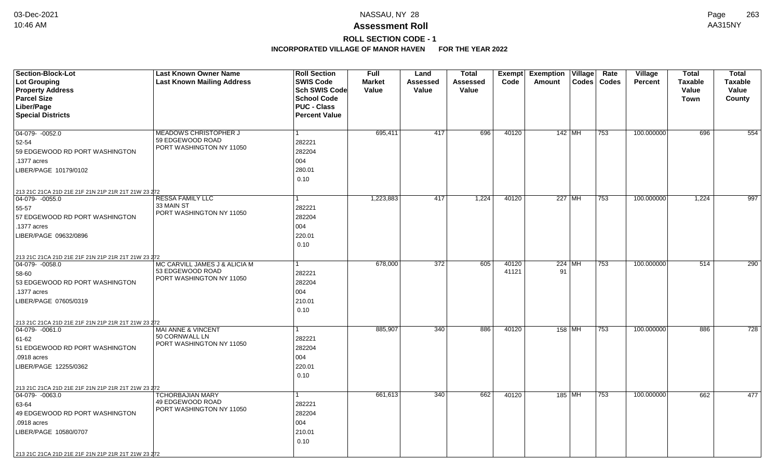# **ROLL SECTION CODE - 1**

| <b>Section-Block-Lot</b>                                                | <b>Last Known Owner Name</b>                 | <b>Roll Section</b>  | <b>Full</b>   | Land            | Total    |       | <b>Exempt Exemption Village</b> |               | Rate | Village        | <b>Total</b>   | <b>Total</b>   |
|-------------------------------------------------------------------------|----------------------------------------------|----------------------|---------------|-----------------|----------|-------|---------------------------------|---------------|------|----------------|----------------|----------------|
| <b>Lot Grouping</b>                                                     | <b>Last Known Mailing Address</b>            | <b>SWIS Code</b>     | <b>Market</b> | <b>Assessed</b> | Assessed | Code  | Amount                          | Codes   Codes |      | <b>Percent</b> | <b>Taxable</b> | <b>Taxable</b> |
| <b>Property Address</b>                                                 |                                              | Sch SWIS Code        | Value         | Value           | Value    |       |                                 |               |      |                | Value          | Value          |
| <b>Parcel Size</b>                                                      |                                              | <b>School Code</b>   |               |                 |          |       |                                 |               |      |                | <b>Town</b>    | County         |
| Liber/Page                                                              |                                              | <b>PUC - Class</b>   |               |                 |          |       |                                 |               |      |                |                |                |
| <b>Special Districts</b>                                                |                                              | <b>Percent Value</b> |               |                 |          |       |                                 |               |      |                |                |                |
|                                                                         |                                              |                      |               |                 |          |       |                                 |               |      |                |                |                |
| 04-079-0052.0                                                           | MEADOWS CHRISTOPHER J                        |                      | 695,411       | 417             | 696      | 40120 | 142 MH                          |               | 753  | 100.000000     | 696            | 554            |
| 52-54                                                                   | 59 EDGEWOOD ROAD<br>PORT WASHINGTON NY 11050 | 282221               |               |                 |          |       |                                 |               |      |                |                |                |
| 59 EDGEWOOD RD PORT WASHINGTON                                          |                                              | 282204               |               |                 |          |       |                                 |               |      |                |                |                |
| .1377 acres                                                             |                                              | 004                  |               |                 |          |       |                                 |               |      |                |                |                |
| LIBER/PAGE 10179/0102                                                   |                                              | 280.01               |               |                 |          |       |                                 |               |      |                |                |                |
|                                                                         |                                              | 0.10                 |               |                 |          |       |                                 |               |      |                |                |                |
| 213 21C 21CA 21D 21E 21F 21N 21P 21R 21T 21W 23 272                     |                                              |                      |               |                 |          |       |                                 |               |      |                |                |                |
| $ 04-079-0055.0$                                                        | <b>RESSA FAMILY LLC</b>                      |                      | 1,223,883     | 417             | 1,224    | 40120 | 227 MH                          |               | 753  | 100.000000     | 1,224          | 997            |
| 55-57                                                                   | 33 MAIN ST                                   | 282221               |               |                 |          |       |                                 |               |      |                |                |                |
| 57 EDGEWOOD RD PORT WASHINGTON                                          | PORT WASHINGTON NY 11050                     | 282204               |               |                 |          |       |                                 |               |      |                |                |                |
| .1377 acres                                                             |                                              | 004                  |               |                 |          |       |                                 |               |      |                |                |                |
| LIBER/PAGE 09632/0896                                                   |                                              | 220.01               |               |                 |          |       |                                 |               |      |                |                |                |
|                                                                         |                                              | 0.10                 |               |                 |          |       |                                 |               |      |                |                |                |
|                                                                         |                                              |                      |               |                 |          |       |                                 |               |      |                |                |                |
| 213 21C 21CA 21D 21E 21F 21N 21P 21R 21T 21W 23 272<br>04-079-0058.0    | MC CARVILL JAMES J & ALICIA M                |                      | 678,000       | 372             | 605      | 40120 | $224$ MH                        |               | 753  | 100.000000     | 514            | 290            |
| 58-60                                                                   | 53 EDGEWOOD ROAD                             | 282221               |               |                 |          | 41121 | 91                              |               |      |                |                |                |
| 53 EDGEWOOD RD PORT WASHINGTON                                          | PORT WASHINGTON NY 11050                     | 282204               |               |                 |          |       |                                 |               |      |                |                |                |
| .1377 acres                                                             |                                              | 004                  |               |                 |          |       |                                 |               |      |                |                |                |
| LIBER/PAGE 07605/0319                                                   |                                              | 210.01               |               |                 |          |       |                                 |               |      |                |                |                |
|                                                                         |                                              | 0.10                 |               |                 |          |       |                                 |               |      |                |                |                |
|                                                                         |                                              |                      |               |                 |          |       |                                 |               |      |                |                |                |
| 213 21C 21CA 21D 21E 21F 21N 21P 21R 21T 21W 23 272<br>$ 04-079-0061.0$ | <b>MAI ANNE &amp; VINCENT</b>                |                      | 885,907       | 340             | 886      | 40120 | 158 MH                          |               | 753  | 100.000000     | 886            | 728            |
|                                                                         | 50 CORNWALL LN                               | 282221               |               |                 |          |       |                                 |               |      |                |                |                |
| 61-62                                                                   | PORT WASHINGTON NY 11050                     |                      |               |                 |          |       |                                 |               |      |                |                |                |
| 51 EDGEWOOD RD PORT WASHINGTON                                          |                                              | 282204               |               |                 |          |       |                                 |               |      |                |                |                |
| .0918 acres                                                             |                                              | 004                  |               |                 |          |       |                                 |               |      |                |                |                |
| LIBER/PAGE 12255/0362                                                   |                                              | 220.01               |               |                 |          |       |                                 |               |      |                |                |                |
|                                                                         |                                              | 0.10                 |               |                 |          |       |                                 |               |      |                |                |                |
| 213 21C 21CA 21D 21E 21F 21N 21P 21R 21T 21W 23 272                     |                                              |                      |               |                 |          |       |                                 |               |      |                |                |                |
| 04-079- -0063.0                                                         | <b>TCHORBAJIAN MARY</b>                      |                      | 661,613       | 340             | 662      | 40120 | 185 MH                          |               | 753  | 100.000000     | 662            | 477            |
| 63-64                                                                   | 49 EDGEWOOD ROAD<br>PORT WASHINGTON NY 11050 | 282221               |               |                 |          |       |                                 |               |      |                |                |                |
| 49 EDGEWOOD RD PORT WASHINGTON                                          |                                              | 282204               |               |                 |          |       |                                 |               |      |                |                |                |
| .0918 acres                                                             |                                              | 004                  |               |                 |          |       |                                 |               |      |                |                |                |
| LIBER/PAGE 10580/0707                                                   |                                              | 210.01               |               |                 |          |       |                                 |               |      |                |                |                |
|                                                                         |                                              | 0.10                 |               |                 |          |       |                                 |               |      |                |                |                |
| 213 21C 21CA 21D 21E 21F 21N 21P 21R 21T 21W 23 272                     |                                              |                      |               |                 |          |       |                                 |               |      |                |                |                |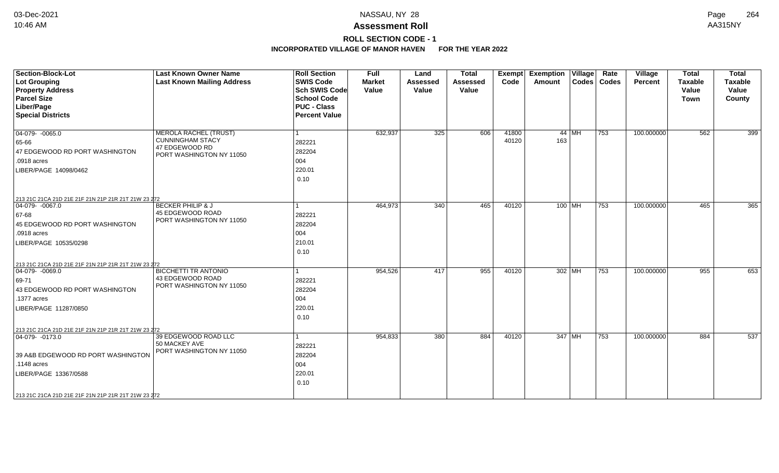# **ROLL SECTION CODE - 1**

| <b>Section-Block-Lot</b>                                               | <b>Last Known Owner Name</b>               | <b>Roll Section</b>  | <b>Full</b>   | Land            | <b>Total</b>    | Exempt | <b>Exemption Village</b> |         | Rate          | Village    | <b>Total</b>   | <b>Total</b>   |
|------------------------------------------------------------------------|--------------------------------------------|----------------------|---------------|-----------------|-----------------|--------|--------------------------|---------|---------------|------------|----------------|----------------|
| <b>Lot Grouping</b>                                                    | <b>Last Known Mailing Address</b>          | <b>SWIS Code</b>     | <b>Market</b> | <b>Assessed</b> | <b>Assessed</b> | Code   | Amount                   |         | Codes   Codes | Percent    | <b>Taxable</b> | <b>Taxable</b> |
| <b>Property Address</b>                                                |                                            | <b>Sch SWIS Code</b> | Value         | Value           | Value           |        |                          |         |               |            | Value          | Value          |
| <b>Parcel Size</b>                                                     |                                            | <b>School Code</b>   |               |                 |                 |        |                          |         |               |            | <b>Town</b>    | County         |
| Liber/Page                                                             |                                            | <b>PUC - Class</b>   |               |                 |                 |        |                          |         |               |            |                |                |
| <b>Special Districts</b>                                               |                                            | <b>Percent Value</b> |               |                 |                 |        |                          |         |               |            |                |                |
| $\boxed{04-079 - 0065.0}$                                              | <b>MEROLA RACHEL (TRUST)</b>               |                      | 632,937       | 325             | 606             | 41800  |                          | $44$ MH | 753           | 100.000000 | 562            | 399            |
| 65-66                                                                  | <b>CUNNINGHAM STACY</b>                    | 282221               |               |                 |                 | 40120  | 163                      |         |               |            |                |                |
| 47 EDGEWOOD RD PORT WASHINGTON                                         | 47 EDGEWOOD RD<br>PORT WASHINGTON NY 11050 | 282204               |               |                 |                 |        |                          |         |               |            |                |                |
| .0918 acres                                                            |                                            | 004                  |               |                 |                 |        |                          |         |               |            |                |                |
| LIBER/PAGE 14098/0462                                                  |                                            | 220.01               |               |                 |                 |        |                          |         |               |            |                |                |
|                                                                        |                                            | 0.10                 |               |                 |                 |        |                          |         |               |            |                |                |
|                                                                        |                                            |                      |               |                 |                 |        |                          |         |               |            |                |                |
| 213 21C 21CA 21D 21E 21F 21N 21P 21R 21T 21W 23 272<br>04-079- -0067.0 | <b>BECKER PHILIP &amp; J</b>               | 1                    | 464,973       | 340             | 465             | 40120  | $100$ MH                 |         | 753           | 100.000000 | 465            | 365            |
| 67-68                                                                  | 45 EDGEWOOD ROAD                           | 282221               |               |                 |                 |        |                          |         |               |            |                |                |
| 45 EDGEWOOD RD PORT WASHINGTON                                         | PORT WASHINGTON NY 11050                   | 282204               |               |                 |                 |        |                          |         |               |            |                |                |
| .0918 acres                                                            |                                            | 004                  |               |                 |                 |        |                          |         |               |            |                |                |
|                                                                        |                                            |                      |               |                 |                 |        |                          |         |               |            |                |                |
| LIBER/PAGE 10535/0298                                                  |                                            | 210.01               |               |                 |                 |        |                          |         |               |            |                |                |
|                                                                        |                                            | 0.10                 |               |                 |                 |        |                          |         |               |            |                |                |
| 213 21C 21CA 21D 21E 21F 21N 21P 21R 21T 21W 23 272                    |                                            |                      |               |                 |                 |        |                          |         |               |            |                |                |
| $ 04-079-0069.0$                                                       | <b>BICCHETTI TR ANTONIO</b>                | 1                    | 954,526       | 417             | 955             | 40120  | 302 MH                   |         | 753           | 100.000000 | 955            | 653            |
| 69-71                                                                  | 43 EDGEWOOD ROAD                           | 282221               |               |                 |                 |        |                          |         |               |            |                |                |
| 43 EDGEWOOD RD PORT WASHINGTON                                         | PORT WASHINGTON NY 11050                   | 282204               |               |                 |                 |        |                          |         |               |            |                |                |
| .1377 acres                                                            |                                            | 004                  |               |                 |                 |        |                          |         |               |            |                |                |
| LIBER/PAGE 11287/0850                                                  |                                            | 220.01               |               |                 |                 |        |                          |         |               |            |                |                |
|                                                                        |                                            | 0.10                 |               |                 |                 |        |                          |         |               |            |                |                |
| 213 21C 21CA 21D 21E 21F 21N 21P 21R 21T 21W 23 272                    |                                            |                      |               |                 |                 |        |                          |         |               |            |                |                |
| 04-079- -0173.0                                                        | 39 EDGEWOOD ROAD LLC                       | 1                    | 954,833       | 380             | 884             | 40120  | 347 MH                   |         | 753           | 100.000000 | 884            | 537            |
|                                                                        | 50 MACKEY AVE                              | 282221               |               |                 |                 |        |                          |         |               |            |                |                |
| 39 A&B EDGEWOOD RD PORT WASHINGTON                                     | PORT WASHINGTON NY 11050                   | 282204               |               |                 |                 |        |                          |         |               |            |                |                |
| .1148 acres                                                            |                                            | 004                  |               |                 |                 |        |                          |         |               |            |                |                |
| LIBER/PAGE 13367/0588                                                  |                                            | 220.01               |               |                 |                 |        |                          |         |               |            |                |                |
|                                                                        |                                            | 0.10                 |               |                 |                 |        |                          |         |               |            |                |                |
| 213 21C 21CA 21D 21E 21F 21N 21P 21R 21T 21W 23 272                    |                                            |                      |               |                 |                 |        |                          |         |               |            |                |                |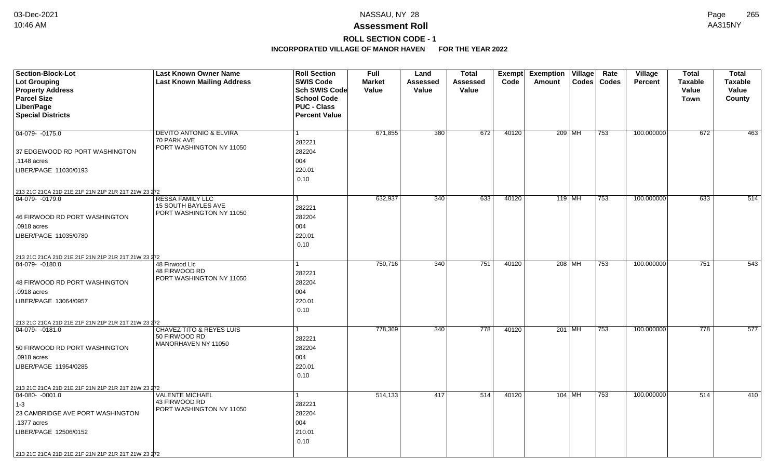# **ROLL SECTION CODE - 1**

| <b>Section-Block-Lot</b><br><b>Lot Grouping</b>                         | <b>Last Known Owner Name</b><br><b>Last Known Mailing Address</b> | <b>Roll Section</b><br><b>SWIS Code</b> | <b>Full</b><br><b>Market</b> | Land<br>Assessed | <b>Total</b><br>Assessed | Code  | Exempt Exemption Village<br>Amount | Rate<br>Codes   Codes | Village<br><b>Percent</b> | <b>Total</b><br><b>Taxable</b> | <b>Total</b><br><b>Taxable</b> |
|-------------------------------------------------------------------------|-------------------------------------------------------------------|-----------------------------------------|------------------------------|------------------|--------------------------|-------|------------------------------------|-----------------------|---------------------------|--------------------------------|--------------------------------|
| <b>Property Address</b>                                                 |                                                                   | Sch SWIS Code                           | Value                        | Value            | Value                    |       |                                    |                       |                           | Value                          | Value                          |
| <b>Parcel Size</b>                                                      |                                                                   | <b>School Code</b>                      |                              |                  |                          |       |                                    |                       |                           | <b>Town</b>                    | County                         |
| Liber/Page                                                              |                                                                   | <b>PUC - Class</b>                      |                              |                  |                          |       |                                    |                       |                           |                                |                                |
| <b>Special Districts</b>                                                |                                                                   | <b>Percent Value</b>                    |                              |                  |                          |       |                                    |                       |                           |                                |                                |
| $04-079 - 0175.0$                                                       | <b>DEVITO ANTONIO &amp; ELVIRA</b>                                |                                         | 671,855                      | 380              | 672                      | 40120 | 209 MH                             | 753                   | 100.000000                | 672                            | 463                            |
|                                                                         | 70 PARK AVE                                                       | 282221                                  |                              |                  |                          |       |                                    |                       |                           |                                |                                |
| 37 EDGEWOOD RD PORT WASHINGTON                                          | PORT WASHINGTON NY 11050                                          | 282204                                  |                              |                  |                          |       |                                    |                       |                           |                                |                                |
| .1148 acres                                                             |                                                                   | 004                                     |                              |                  |                          |       |                                    |                       |                           |                                |                                |
| LIBER/PAGE 11030/0193                                                   |                                                                   | 220.01                                  |                              |                  |                          |       |                                    |                       |                           |                                |                                |
|                                                                         |                                                                   | 0.10                                    |                              |                  |                          |       |                                    |                       |                           |                                |                                |
| 213 21C 21CA 21D 21E 21F 21N 21P 21R 21T 21W 23 272                     |                                                                   |                                         |                              |                  |                          |       |                                    |                       |                           |                                |                                |
| 04-079- -0179.0                                                         | <b>RESSA FAMILY LLC</b>                                           |                                         | 632,937                      | 340              | 633                      | 40120 | 119 MH                             | 753                   | 100.000000                | 633                            | 514                            |
|                                                                         | 15 SOUTH BAYLES AVE<br>PORT WASHINGTON NY 11050                   | 282221                                  |                              |                  |                          |       |                                    |                       |                           |                                |                                |
| 46 FIRWOOD RD PORT WASHINGTON                                           |                                                                   | 282204                                  |                              |                  |                          |       |                                    |                       |                           |                                |                                |
| .0918 acres                                                             |                                                                   | 004                                     |                              |                  |                          |       |                                    |                       |                           |                                |                                |
| LIBER/PAGE 11035/0780                                                   |                                                                   | 220.01                                  |                              |                  |                          |       |                                    |                       |                           |                                |                                |
|                                                                         |                                                                   | 0.10                                    |                              |                  |                          |       |                                    |                       |                           |                                |                                |
| 213 21C 21CA 21D 21E 21F 21N 21P 21R 21T 21W 23 272                     |                                                                   |                                         |                              |                  |                          |       |                                    |                       |                           |                                |                                |
| 04-079-0180.0                                                           | 48 Firwood Llc<br>48 FIRWOOD RD                                   |                                         | 750,716                      | 340              | 751                      | 40120 | 208 MH                             | 753                   | 100.000000                | 751                            | 543                            |
|                                                                         | PORT WASHINGTON NY 11050                                          | 282221                                  |                              |                  |                          |       |                                    |                       |                           |                                |                                |
| 48 FIRWOOD RD PORT WASHINGTON                                           |                                                                   | 282204                                  |                              |                  |                          |       |                                    |                       |                           |                                |                                |
| .0918 acres                                                             |                                                                   | 004                                     |                              |                  |                          |       |                                    |                       |                           |                                |                                |
| LIBER/PAGE 13064/0957                                                   |                                                                   | 220.01                                  |                              |                  |                          |       |                                    |                       |                           |                                |                                |
|                                                                         |                                                                   | 0.10                                    |                              |                  |                          |       |                                    |                       |                           |                                |                                |
| 213 21C 21CA 21D 21E 21F 21N 21P 21R 21T 21W 23 272                     |                                                                   |                                         |                              |                  |                          |       |                                    |                       |                           |                                |                                |
| $ 04-079-0181.0$                                                        | <b>CHAVEZ TITO &amp; REYES LUIS</b><br>50 FIRWOOD RD              | 282221                                  | 778,369                      | 340              | 778                      | 40120 | 201 MH                             | 753                   | 100.000000                | 778                            | 577                            |
| 50 FIRWOOD RD PORT WASHINGTON                                           | MANORHAVEN NY 11050                                               | 282204                                  |                              |                  |                          |       |                                    |                       |                           |                                |                                |
| .0918 acres                                                             |                                                                   | 004                                     |                              |                  |                          |       |                                    |                       |                           |                                |                                |
| LIBER/PAGE 11954/0285                                                   |                                                                   | 220.01                                  |                              |                  |                          |       |                                    |                       |                           |                                |                                |
|                                                                         |                                                                   | 0.10                                    |                              |                  |                          |       |                                    |                       |                           |                                |                                |
|                                                                         |                                                                   |                                         |                              |                  |                          |       |                                    |                       |                           |                                |                                |
| 213 21C 21CA 21D 21E 21F 21N 21P 21R 21T 21W 23 272<br>$ 04-080-0001.0$ | <b>VALENTE MICHAEL</b>                                            |                                         | 514,133                      | 417              | 514                      | 40120 | $104$ MH                           | 753                   | 100.000000                | 514                            | 410                            |
| $1 - 3$                                                                 | 43 FIRWOOD RD                                                     | 282221                                  |                              |                  |                          |       |                                    |                       |                           |                                |                                |
| 23 CAMBRIDGE AVE PORT WASHINGTON                                        | PORT WASHINGTON NY 11050                                          | 282204                                  |                              |                  |                          |       |                                    |                       |                           |                                |                                |
| .1377 acres                                                             |                                                                   | 004                                     |                              |                  |                          |       |                                    |                       |                           |                                |                                |
|                                                                         |                                                                   | 210.01                                  |                              |                  |                          |       |                                    |                       |                           |                                |                                |
| LIBER/PAGE 12506/0152                                                   |                                                                   | 0.10                                    |                              |                  |                          |       |                                    |                       |                           |                                |                                |
|                                                                         |                                                                   |                                         |                              |                  |                          |       |                                    |                       |                           |                                |                                |
| 213 21C 21CA 21D 21E 21F 21N 21P 21R 21T 21W 23 272                     |                                                                   |                                         |                              |                  |                          |       |                                    |                       |                           |                                |                                |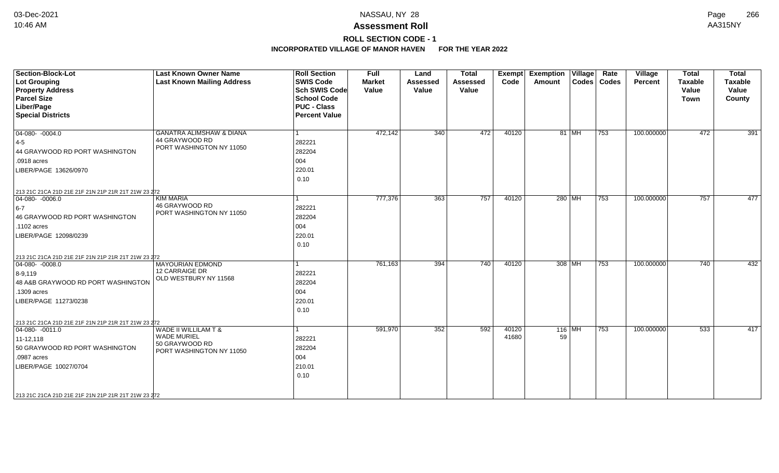# **ROLL SECTION CODE - 1**

| <b>Section-Block-Lot</b><br><b>Lot Grouping</b><br><b>Property Address</b><br><b>Parcel Size</b><br>Liber/Page<br><b>Special Districts</b>                                                                                  | <b>Last Known Owner Name</b><br><b>Last Known Mailing Address</b>                                   | <b>Roll Section</b><br><b>SWIS Code</b><br><b>Sch SWIS Code</b><br><b>School Code</b><br><b>PUC - Class</b><br><b>Percent Value</b> | <b>Full</b><br><b>Market</b><br>Value | Land<br><b>Assessed</b><br>Value | <b>Total</b><br><b>Assessed</b><br>Value | Exempt<br>Code | <b>Exemption Village</b><br>Amount |       | Rate<br>Codes   Codes | Village<br>Percent | <b>Total</b><br><b>Taxable</b><br>Value<br><b>Town</b> | <b>Total</b><br><b>Taxable</b><br>Value<br>County |
|-----------------------------------------------------------------------------------------------------------------------------------------------------------------------------------------------------------------------------|-----------------------------------------------------------------------------------------------------|-------------------------------------------------------------------------------------------------------------------------------------|---------------------------------------|----------------------------------|------------------------------------------|----------------|------------------------------------|-------|-----------------------|--------------------|--------------------------------------------------------|---------------------------------------------------|
| $04-080 - 0004.0$<br>$ 4-5 $<br>44 GRAYWOOD RD PORT WASHINGTON<br>.0918 acres<br>LIBER/PAGE 13626/0970                                                                                                                      | <b>GANATRA ALIMSHAW &amp; DIANA</b><br>44 GRAYWOOD RD<br>PORT WASHINGTON NY 11050                   | 282221<br>282204<br>004<br>220.01<br>0.10                                                                                           | 472,142                               | 340                              | 472                                      | 40120          |                                    | 81 MH | 753                   | 100.000000         | 472                                                    | 391                                               |
| 213 21C 21CA 21D 21E 21F 21N 21P 21R 21T 21W 23 272<br>$04-080 - 0006.0$<br>$6-7$<br>46 GRAYWOOD RD PORT WASHINGTON<br>.1102 acres<br>LIBER/PAGE 12098/0239                                                                 | <b>KIM MARIA</b><br>46 GRAYWOOD RD<br>PORT WASHINGTON NY 11050                                      | 282221<br>282204<br>004<br>220.01<br>0.10                                                                                           | 777,376                               | 363                              | 757                                      | 40120          | 280 MH                             |       | 753                   | 100.000000         | 757                                                    | 477                                               |
| 213 21C 21CA 21D 21E 21F 21N 21P 21R 21T 21W 23 272<br>$ 04-080-0008.0$<br>$8 - 9,119$<br>48 A&B GRAYWOOD RD PORT WASHINGTON<br>.1309 acres<br>LIBER/PAGE 11273/0238<br>213 21C 21CA 21D 21E 21F 21N 21P 21R 21T 21W 23 272 | <b>MAYOURIAN EDMOND</b><br>12 CARRAIGE DR<br>OLD WESTBURY NY 11568                                  | 282221<br>282204<br>004<br>220.01<br>0.10                                                                                           | 761,163                               | 394                              | 740                                      | 40120          | 308 MH                             |       | 753                   | 100.000000         | 740                                                    | 432                                               |
| $04-080 - 0011.0$<br>11-12,118<br>50 GRAYWOOD RD PORT WASHINGTON<br>.0987 acres<br>LIBER/PAGE 10027/0704<br>213 21C 21CA 21D 21E 21F 21N 21P 21R 21T 21W 23 272                                                             | <b>WADE II WILLILAM T &amp;</b><br><b>WADE MURIEL</b><br>50 GRAYWOOD RD<br>PORT WASHINGTON NY 11050 | 282221<br>282204<br>004<br>210.01<br>0.10                                                                                           | 591,970                               | 352                              | 592                                      | 40120<br>41680 | $116$ MH<br>59                     |       | 753                   | 100.000000         | 533                                                    | 417                                               |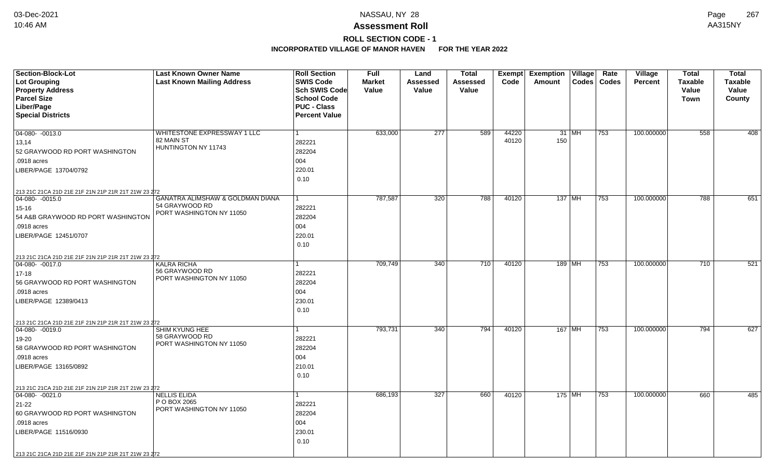# **ROLL SECTION CODE - 1**

| <b>Section-Block-Lot</b>                            | <b>Last Known Owner Name</b>                       | <b>Roll Section</b>  | <b>Full</b>   | Land     | <b>Total</b> | <b>Exempt</b>  | <b>Exemption</b><br>$\overline{\overline{\mathsf{V}}\mathsf{illage}}$ | Rate         | Village        | <b>Total</b>   | <b>Total</b> |
|-----------------------------------------------------|----------------------------------------------------|----------------------|---------------|----------|--------------|----------------|-----------------------------------------------------------------------|--------------|----------------|----------------|--------------|
| Lot Grouping                                        | <b>Last Known Mailing Address</b>                  | <b>SWIS Code</b>     | <b>Market</b> | Assessed | Assessed     | Code           | <b>Codes</b><br>Amount                                                | <b>Codes</b> | <b>Percent</b> | <b>Taxable</b> | Taxable      |
| <b>Property Address</b>                             |                                                    | <b>Sch SWIS Code</b> | Value         | Value    | Value        |                |                                                                       |              |                | Value          | Value        |
| <b>Parcel Size</b>                                  |                                                    | <b>School Code</b>   |               |          |              |                |                                                                       |              |                | <b>Town</b>    | County       |
| Liber/Page                                          |                                                    | <b>PUC - Class</b>   |               |          |              |                |                                                                       |              |                |                |              |
| <b>Special Districts</b>                            |                                                    | <b>Percent Value</b> |               |          |              |                |                                                                       |              |                |                |              |
| $04-080 - 0013.0$                                   | WHITESTONE EXPRESSWAY 1 LLC                        | 1                    |               |          | 589          |                |                                                                       |              | 100.000000     |                | 408          |
|                                                     | 82 MAIN ST                                         |                      | 633,000       | 277      |              | 44220<br>40120 | 31   MH<br>150                                                        | 753          |                | 558            |              |
| 13,14                                               | HUNTINGTON NY 11743                                | 282221               |               |          |              |                |                                                                       |              |                |                |              |
| 52 GRAYWOOD RD PORT WASHINGTON                      |                                                    | 282204               |               |          |              |                |                                                                       |              |                |                |              |
| .0918 acres                                         |                                                    | 004                  |               |          |              |                |                                                                       |              |                |                |              |
| LIBER/PAGE 13704/0792                               |                                                    | 220.01               |               |          |              |                |                                                                       |              |                |                |              |
|                                                     |                                                    | 0.10                 |               |          |              |                |                                                                       |              |                |                |              |
| 213 21C 21CA 21D 21E 21F 21N 21P 21R 21T 21W 23 272 |                                                    |                      |               |          |              |                |                                                                       |              |                |                |              |
| 04-080- -0015.0                                     | GANATRA ALIMSHAW & GOLDMAN DIANA<br>54 GRAYWOOD RD | $\mathbf 1$          | 787,587       | 320      | 788          | 40120          | $137$ MH                                                              | 753          | 100.000000     | 788            | 651          |
| $15 - 16$                                           | PORT WASHINGTON NY 11050                           | 282221               |               |          |              |                |                                                                       |              |                |                |              |
| 54 A&B GRAYWOOD RD PORT WASHINGTON                  |                                                    | 282204               |               |          |              |                |                                                                       |              |                |                |              |
| .0918 acres                                         |                                                    | 004                  |               |          |              |                |                                                                       |              |                |                |              |
| LIBER/PAGE 12451/0707                               |                                                    | 220.01               |               |          |              |                |                                                                       |              |                |                |              |
|                                                     |                                                    | 0.10                 |               |          |              |                |                                                                       |              |                |                |              |
| 213 21C 21CA 21D 21E 21F 21N 21P 21R 21T 21W 23 272 |                                                    |                      |               |          |              |                |                                                                       |              |                |                |              |
| 04-080- -0017.0                                     | <b>KALRA RICHA</b><br>56 GRAYWOOD RD               |                      | 709,749       | 340      | 710          | 40120          | 189 MH                                                                | 753          | 100.000000     | 710            | 521          |
| $17 - 18$                                           | PORT WASHINGTON NY 11050                           | 282221               |               |          |              |                |                                                                       |              |                |                |              |
| 56 GRAYWOOD RD PORT WASHINGTON                      |                                                    | 282204               |               |          |              |                |                                                                       |              |                |                |              |
| .0918 acres                                         |                                                    | 004                  |               |          |              |                |                                                                       |              |                |                |              |
| LIBER/PAGE 12389/0413                               |                                                    | 230.01               |               |          |              |                |                                                                       |              |                |                |              |
|                                                     |                                                    | 0.10                 |               |          |              |                |                                                                       |              |                |                |              |
| 213 21C 21CA 21D 21E 21F 21N 21P 21R 21T 21W 23 272 |                                                    |                      |               |          |              |                |                                                                       |              |                |                |              |
| $ 04-080-0019.0$                                    | SHIM KYUNG HEE                                     | 1                    | 793,731       | 340      | 794          | 40120          | 167 MH                                                                | 753          | 100.000000     | 794            | 627          |
| 19-20                                               | 58 GRAYWOOD RD<br>PORT WASHINGTON NY 11050         | 282221               |               |          |              |                |                                                                       |              |                |                |              |
| 58 GRAYWOOD RD PORT WASHINGTON                      |                                                    | 282204               |               |          |              |                |                                                                       |              |                |                |              |
| .0918 acres                                         |                                                    | 004                  |               |          |              |                |                                                                       |              |                |                |              |
| LIBER/PAGE 13165/0892                               |                                                    | 210.01               |               |          |              |                |                                                                       |              |                |                |              |
|                                                     |                                                    | 0.10                 |               |          |              |                |                                                                       |              |                |                |              |
| 213 21C 21CA 21D 21E 21F 21N 21P 21R 21T 21W 23 272 |                                                    |                      |               |          |              |                |                                                                       |              |                |                |              |
| $\boxed{04-080 - 0021.0}$                           | <b>NELLIS ELIDA</b>                                | 1                    | 686,193       | 327      | 660          | 40120          | 175 MH                                                                | 753          | 100.000000     | 660            | 485          |
| 21-22                                               | P O BOX 2065<br>PORT WASHINGTON NY 11050           | 282221               |               |          |              |                |                                                                       |              |                |                |              |
| 60 GRAYWOOD RD PORT WASHINGTON                      |                                                    | 282204               |               |          |              |                |                                                                       |              |                |                |              |
| .0918 acres                                         |                                                    | 004                  |               |          |              |                |                                                                       |              |                |                |              |
| LIBER/PAGE 11516/0930                               |                                                    | 230.01               |               |          |              |                |                                                                       |              |                |                |              |
|                                                     |                                                    | 0.10                 |               |          |              |                |                                                                       |              |                |                |              |
| 213 21C 21CA 21D 21E 21F 21N 21P 21R 21T 21W 23 272 |                                                    |                      |               |          |              |                |                                                                       |              |                |                |              |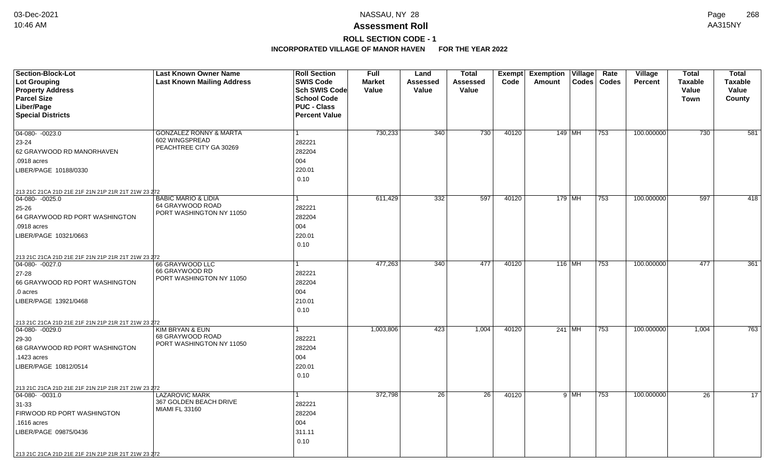# **ROLL SECTION CODE - 1**

| <b>Section-Block-Lot</b>                            | <b>Last Known Owner Name</b>                        | <b>Roll Section</b>  | <b>Full</b>   | Land            | Total    |       | <b>Exempt Exemption Village</b> | Rate  | Village        | <b>Total</b>   | <b>Total</b>   |
|-----------------------------------------------------|-----------------------------------------------------|----------------------|---------------|-----------------|----------|-------|---------------------------------|-------|----------------|----------------|----------------|
| <b>Lot Grouping</b>                                 | <b>Last Known Mailing Address</b>                   | <b>SWIS Code</b>     | <b>Market</b> | <b>Assessed</b> | Assessed | Code  | Amount<br><b>Codes</b>          | Codes | <b>Percent</b> | <b>Taxable</b> | <b>Taxable</b> |
| <b>Property Address</b>                             |                                                     | Sch SWIS Code        | Value         | <b>Value</b>    | Value    |       |                                 |       |                | Value          | Value          |
| <b>Parcel Size</b>                                  |                                                     | <b>School Code</b>   |               |                 |          |       |                                 |       |                | <b>Town</b>    | County         |
| Liber/Page                                          |                                                     | <b>PUC - Class</b>   |               |                 |          |       |                                 |       |                |                |                |
| <b>Special Districts</b>                            |                                                     | <b>Percent Value</b> |               |                 |          |       |                                 |       |                |                |                |
|                                                     |                                                     |                      |               |                 |          |       |                                 |       |                |                |                |
| $04-080 - 0023.0$                                   | <b>GONZALEZ RONNY &amp; MARTA</b><br>602 WINGSPREAD | $\mathbf{1}$         | 730,233       | 340             | 730      | 40120 | 149   MH                        | 753   | 100.000000     | 730            | 581            |
| 23-24                                               | PEACHTREE CITY GA 30269                             | 282221               |               |                 |          |       |                                 |       |                |                |                |
| 62 GRAYWOOD RD MANORHAVEN                           |                                                     | 282204               |               |                 |          |       |                                 |       |                |                |                |
| .0918 acres                                         |                                                     | 004                  |               |                 |          |       |                                 |       |                |                |                |
| LIBER/PAGE 10188/0330                               |                                                     | 220.01               |               |                 |          |       |                                 |       |                |                |                |
|                                                     |                                                     | 0.10                 |               |                 |          |       |                                 |       |                |                |                |
| 213 21C 21CA 21D 21E 21F 21N 21P 21R 21T 21W 23 272 |                                                     |                      |               |                 |          |       |                                 |       |                |                |                |
| $04-080 - 0025.0$                                   | <b>BABIC MARIO &amp; LIDIA</b>                      | $\mathbf{1}$         | 611,429       | 332             | 597      | 40120 | $179$ MH                        | 753   | 100.000000     | 597            | 418            |
| $25 - 26$                                           | 64 GRAYWOOD ROAD<br>PORT WASHINGTON NY 11050        | 282221               |               |                 |          |       |                                 |       |                |                |                |
| 64 GRAYWOOD RD PORT WASHINGTON                      |                                                     | 282204               |               |                 |          |       |                                 |       |                |                |                |
| .0918 acres                                         |                                                     | 004                  |               |                 |          |       |                                 |       |                |                |                |
| LIBER/PAGE 10321/0663                               |                                                     | 220.01               |               |                 |          |       |                                 |       |                |                |                |
|                                                     |                                                     | 0.10                 |               |                 |          |       |                                 |       |                |                |                |
| 213 21C 21CA 21D 21E 21F 21N 21P 21R 21T 21W 23 272 |                                                     |                      |               |                 |          |       |                                 |       |                |                |                |
| $ 04-080-0027.0$                                    | 66 GRAYWOOD LLC                                     |                      | 477,263       | 340             | 477      | 40120 | 116 MH                          | 753   | 100.000000     | 477            | 361            |
| 27-28                                               | 66 GRAYWOOD RD                                      | 282221               |               |                 |          |       |                                 |       |                |                |                |
| 66 GRAYWOOD RD PORT WASHINGTON                      | PORT WASHINGTON NY 11050                            | 282204               |               |                 |          |       |                                 |       |                |                |                |
| .0 acres                                            |                                                     | 004                  |               |                 |          |       |                                 |       |                |                |                |
| LIBER/PAGE 13921/0468                               |                                                     | 210.01               |               |                 |          |       |                                 |       |                |                |                |
|                                                     |                                                     | 0.10                 |               |                 |          |       |                                 |       |                |                |                |
| 213 21C 21CA 21D 21E 21F 21N 21P 21R 21T 21W 23 272 |                                                     |                      |               |                 |          |       |                                 |       |                |                |                |
| $ 04-080-0029.0$                                    | KIM BRYAN & EUN                                     | $\mathbf{1}$         | 1,003,806     | 423             | 1,004    | 40120 | 241 MH                          | 753   | 100.000000     | 1,004          | 763            |
| 29-30                                               | 68 GRAYWOOD ROAD                                    | 282221               |               |                 |          |       |                                 |       |                |                |                |
| 68 GRAYWOOD RD PORT WASHINGTON                      | PORT WASHINGTON NY 11050                            | 282204               |               |                 |          |       |                                 |       |                |                |                |
| .1423 acres                                         |                                                     | 004                  |               |                 |          |       |                                 |       |                |                |                |
| LIBER/PAGE 10812/0514                               |                                                     | 220.01               |               |                 |          |       |                                 |       |                |                |                |
|                                                     |                                                     | 0.10                 |               |                 |          |       |                                 |       |                |                |                |
| 213 21C 21CA 21D 21E 21F 21N 21P 21R 21T 21W 23 272 |                                                     |                      |               |                 |          |       |                                 |       |                |                |                |
| $04-080 - 0031.0$                                   | <b>LAZAROVIC MARK</b>                               | $\mathbf{1}$         | 372,798       | 26              | 26       | 40120 | $9$ MH                          | 753   | 100.000000     | 26             | 17             |
| $31 - 33$                                           | 367 GOLDEN BEACH DRIVE                              | 282221               |               |                 |          |       |                                 |       |                |                |                |
| FIRWOOD RD PORT WASHINGTON                          | <b>MIAMI FL 33160</b>                               | 282204               |               |                 |          |       |                                 |       |                |                |                |
| .1616 acres                                         |                                                     | 004                  |               |                 |          |       |                                 |       |                |                |                |
| LIBER/PAGE 09875/0436                               |                                                     | 311.11               |               |                 |          |       |                                 |       |                |                |                |
|                                                     |                                                     | 0.10                 |               |                 |          |       |                                 |       |                |                |                |
|                                                     |                                                     |                      |               |                 |          |       |                                 |       |                |                |                |
| 213 21C 21CA 21D 21E 21F 21N 21P 21R 21T 21W 23 272 |                                                     |                      |               |                 |          |       |                                 |       |                |                |                |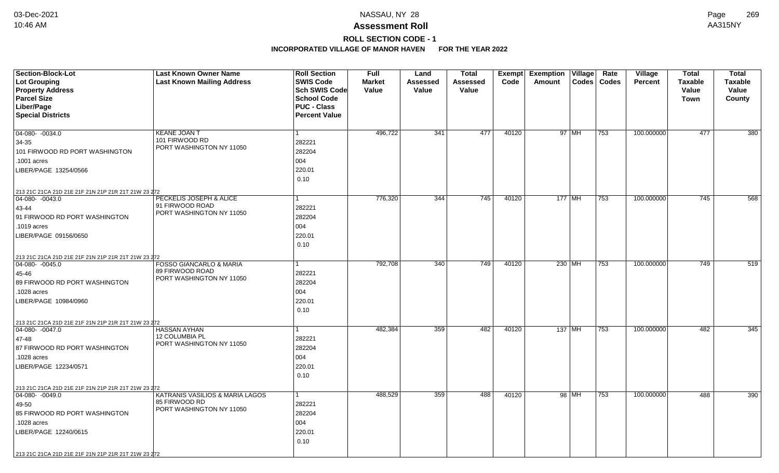# **ROLL SECTION CODE - 1**

| <b>Section-Block-Lot</b>                            | <b>Last Known Owner Name</b>                | <b>Roll Section</b>  | <b>Full</b>   | Land     | <b>Total</b> |       | Exempt Exemption Village |        | Rate          | Village        | <b>Total</b>   | <b>Total</b>   |
|-----------------------------------------------------|---------------------------------------------|----------------------|---------------|----------|--------------|-------|--------------------------|--------|---------------|----------------|----------------|----------------|
| <b>Lot Grouping</b>                                 | <b>Last Known Mailing Address</b>           | <b>SWIS Code</b>     | <b>Market</b> | Assessed | Assessed     | Code  | Amount                   |        | Codes   Codes | <b>Percent</b> | <b>Taxable</b> | <b>Taxable</b> |
| <b>Property Address</b>                             |                                             | Sch SWIS Code        | Value         | Value    | Value        |       |                          |        |               |                | Value          | Value          |
| <b>Parcel Size</b>                                  |                                             | <b>School Code</b>   |               |          |              |       |                          |        |               |                | Town           | County         |
| Liber/Page                                          |                                             | <b>PUC - Class</b>   |               |          |              |       |                          |        |               |                |                |                |
| <b>Special Districts</b>                            |                                             | <b>Percent Value</b> |               |          |              |       |                          |        |               |                |                |                |
|                                                     |                                             |                      |               |          |              |       |                          |        |               |                |                |                |
| 04-080- -0034.0                                     | <b>KEANE JOAN T</b><br>101 FIRWOOD RD       |                      | 496,722       | 341      | 477          | 40120 |                          | 97 MH  | 753           | 100.000000     | 477            | 380            |
| 34-35                                               | PORT WASHINGTON NY 11050                    | 282221               |               |          |              |       |                          |        |               |                |                |                |
| 101 FIRWOOD RD PORT WASHINGTON                      |                                             | 282204               |               |          |              |       |                          |        |               |                |                |                |
| .1001 acres                                         |                                             | 004                  |               |          |              |       |                          |        |               |                |                |                |
| LIBER/PAGE 13254/0566                               |                                             | 220.01               |               |          |              |       |                          |        |               |                |                |                |
|                                                     |                                             | 0.10                 |               |          |              |       |                          |        |               |                |                |                |
| 213 21C 21CA 21D 21E 21F 21N 21P 21R 21T 21W 23 272 |                                             |                      |               |          |              |       |                          |        |               |                |                |                |
| 04-080- -0043.0                                     | PECKELIS JOSEPH & ALICE                     |                      | 776,320       | 344      | 745          | 40120 | $177$ MH                 |        | 753           | 100.000000     | 745            | 568            |
| 43-44                                               | 91 FIRWOOD ROAD<br>PORT WASHINGTON NY 11050 | 282221               |               |          |              |       |                          |        |               |                |                |                |
| 91 FIRWOOD RD PORT WASHINGTON                       |                                             | 282204               |               |          |              |       |                          |        |               |                |                |                |
| .1019 acres                                         |                                             | 004                  |               |          |              |       |                          |        |               |                |                |                |
| LIBER/PAGE 09156/0650                               |                                             | 220.01               |               |          |              |       |                          |        |               |                |                |                |
|                                                     |                                             | 0.10                 |               |          |              |       |                          |        |               |                |                |                |
| 213 21C 21CA 21D 21E 21F 21N 21P 21R 21T 21W 23 272 |                                             |                      |               |          |              |       |                          |        |               |                |                |                |
| 04-080- -0045.0                                     | <b>FOSSO GIANCARLO &amp; MARIA</b>          |                      | 792,708       | 340      | 749          | 40120 |                          | 230 MH | 753           | 100.000000     | 749            | 519            |
| 45-46                                               | 89 FIRWOOD ROAD                             | 282221               |               |          |              |       |                          |        |               |                |                |                |
| 89 FIRWOOD RD PORT WASHINGTON                       | PORT WASHINGTON NY 11050                    | 282204               |               |          |              |       |                          |        |               |                |                |                |
| .1028 acres                                         |                                             | 004                  |               |          |              |       |                          |        |               |                |                |                |
| LIBER/PAGE 10984/0960                               |                                             | 220.01               |               |          |              |       |                          |        |               |                |                |                |
|                                                     |                                             | 0.10                 |               |          |              |       |                          |        |               |                |                |                |
| 213 21C 21CA 21D 21E 21F 21N 21P 21R 21T 21W 23 272 |                                             |                      |               |          |              |       |                          |        |               |                |                |                |
| $\boxed{04-080 - 0047.0}$                           | <b>HASSAN AYHAN</b>                         |                      | 482,384       | 359      | 482          | 40120 | 137   MH                 |        | 753           | 100.000000     | 482            | 345            |
| 47-48                                               | 12 COLUMBIA PL                              | 282221               |               |          |              |       |                          |        |               |                |                |                |
| 87 FIRWOOD RD PORT WASHINGTON                       | PORT WASHINGTON NY 11050                    | 282204               |               |          |              |       |                          |        |               |                |                |                |
| .1028 acres                                         |                                             | 004                  |               |          |              |       |                          |        |               |                |                |                |
| LIBER/PAGE 12234/0571                               |                                             | 220.01               |               |          |              |       |                          |        |               |                |                |                |
|                                                     |                                             | 0.10                 |               |          |              |       |                          |        |               |                |                |                |
| 213 21C 21CA 21D 21E 21F 21N 21P 21R 21T 21W 23 272 |                                             |                      |               |          |              |       |                          |        |               |                |                |                |
| $\boxed{04-080 - 0049.0}$                           | KATRANIS VASILIOS & MARIA LAGOS             |                      | 488,529       | 359      | 488          | 40120 |                          | 98 MH  | 753           | 100.000000     | 488            | 390            |
| 49-50                                               | 85 FIRWOOD RD                               | 282221               |               |          |              |       |                          |        |               |                |                |                |
| 85 FIRWOOD RD PORT WASHINGTON                       | PORT WASHINGTON NY 11050                    | 282204               |               |          |              |       |                          |        |               |                |                |                |
| .1028 acres                                         |                                             | 004                  |               |          |              |       |                          |        |               |                |                |                |
| LIBER/PAGE 12240/0615                               |                                             | 220.01               |               |          |              |       |                          |        |               |                |                |                |
|                                                     |                                             | 0.10                 |               |          |              |       |                          |        |               |                |                |                |
|                                                     |                                             |                      |               |          |              |       |                          |        |               |                |                |                |
| 213 21C 21CA 21D 21E 21F 21N 21P 21R 21T 21W 23 272 |                                             |                      |               |          |              |       |                          |        |               |                |                |                |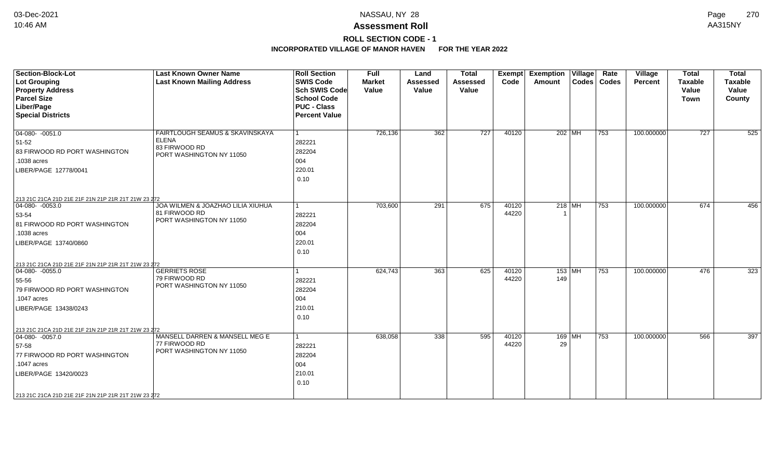## **ROLL SECTION CODE - 1**

| <b>Section-Block-Lot</b><br>Lot Grouping<br><b>Property Address</b><br><b>Parcel Size</b><br>Liber/Page<br><b>Special Districts</b>                                                                               | <b>Last Known Owner Name</b><br><b>Last Known Mailing Address</b>                            | <b>Roll Section</b><br><b>SWIS Code</b><br><b>Sch SWIS Code</b><br><b>School Code</b><br><b>PUC - Class</b><br><b>Percent Value</b> | <b>Full</b><br><b>Market</b><br>Value | Land<br><b>Assessed</b><br>Value | <b>Total</b><br><b>Assessed</b><br>Value | Exempt<br>Code | <b>Exemption Village</b><br>Amount | Rate<br>Codes   Codes | Village<br>Percent | <b>Total</b><br><b>Taxable</b><br>Value<br><b>Town</b> | <b>Total</b><br><b>Taxable</b><br>Value<br>County |
|-------------------------------------------------------------------------------------------------------------------------------------------------------------------------------------------------------------------|----------------------------------------------------------------------------------------------|-------------------------------------------------------------------------------------------------------------------------------------|---------------------------------------|----------------------------------|------------------------------------------|----------------|------------------------------------|-----------------------|--------------------|--------------------------------------------------------|---------------------------------------------------|
| $ 04-080-0051.0$<br>51-52<br>83 FIRWOOD RD PORT WASHINGTON<br>.1038 acres<br>LIBER/PAGE 12778/0041                                                                                                                | FAIRTLOUGH SEAMUS & SKAVINSKAYA<br><b>ELENA</b><br>83 FIRWOOD RD<br>PORT WASHINGTON NY 11050 | $\vert$ 1<br>282221<br>282204<br>004<br>220.01<br>0.10                                                                              | 726,136                               | 362                              | 727                                      | 40120          | 202   MH                           | 753                   | 100.000000         | 727                                                    | 525                                               |
| 213 21C 21CA 21D 21E 21F 21N 21P 21R 21T 21W 23 272<br>$\boxed{04-080 - 0053.0}$<br>53-54<br>81 FIRWOOD RD PORT WASHINGTON<br>.1038 acres<br>LIBER/PAGE 13740/0860                                                | JOA WILMEN & JOAZHAO LILIA XIUHUA<br>81 FIRWOOD RD<br>PORT WASHINGTON NY 11050               | 282221<br>282204<br>004<br>220.01<br>0.10                                                                                           | 703,600                               | 291                              | 675                                      | 40120<br>44220 | $218$ MH                           | 753                   | 100.000000         | 674                                                    | 456                                               |
| 213 21C 21CA 21D 21E 21F 21N 21P 21R 21T 21W 23 272<br>$ 04 - 080 - 0055.0$<br>55-56<br>79 FIRWOOD RD PORT WASHINGTON<br>.1047 acres<br>LIBER/PAGE 13438/0243                                                     | <b>GERRIETS ROSE</b><br>79 FIRWOOD RD<br>PORT WASHINGTON NY 11050                            | 282221<br>282204<br>004<br>210.01<br>0.10                                                                                           | 624,743                               | 363                              | 625                                      | 40120<br>44220 | 153   MH<br>149                    | 753                   | 100.000000         | 476                                                    | 323                                               |
| 213 21C 21CA 21D 21E 21F 21N 21P 21R 21T 21W 23 272<br>$04-080 - 0057.0$<br>57-58<br>77 FIRWOOD RD PORT WASHINGTON<br>.1047 acres<br>LIBER/PAGE 13420/0023<br>213 21C 21CA 21D 21E 21F 21N 21P 21R 21T 21W 23 272 | MANSELL DARREN & MANSELL MEG E<br>77 FIRWOOD RD<br>PORT WASHINGTON NY 11050                  | 1<br>282221<br>282204<br>004<br>210.01<br>0.10                                                                                      | 638,058                               | 338                              | 595                                      | 40120<br>44220 | $169$ MH<br>29                     | 753                   | 100.000000         | 566                                                    | 397                                               |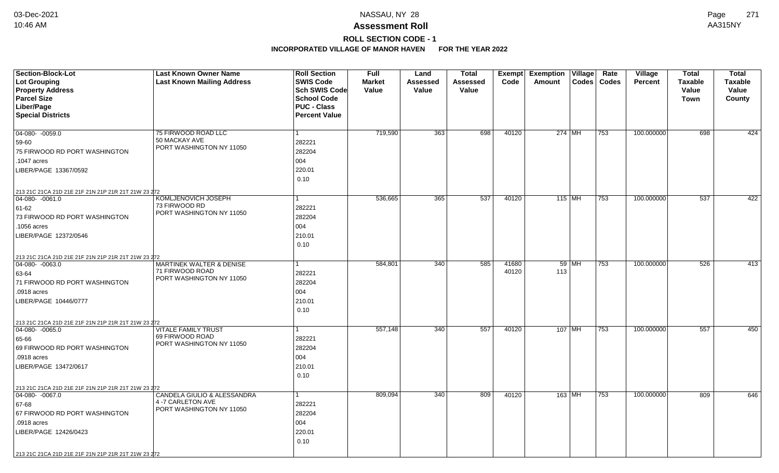# **ROLL SECTION CODE - 1**

| <b>Section-Block-Lot</b>                                                         | <b>Last Known Owner Name</b>              | <b>Roll Section</b>  | <b>Full</b>   | Land            | Total    |       | <b>Exempt Exemption Village</b> |               | Rate | Village        | <b>Total</b>     | <b>Total</b>   |
|----------------------------------------------------------------------------------|-------------------------------------------|----------------------|---------------|-----------------|----------|-------|---------------------------------|---------------|------|----------------|------------------|----------------|
| <b>Lot Grouping</b>                                                              | <b>Last Known Mailing Address</b>         | <b>SWIS Code</b>     | <b>Market</b> | <b>Assessed</b> | Assessed | Code  | Amount                          | Codes   Codes |      | <b>Percent</b> | <b>Taxable</b>   | <b>Taxable</b> |
| <b>Property Address</b>                                                          |                                           | Sch SWIS Code        | Value         | <b>Value</b>    | Value    |       |                                 |               |      |                | Value            | Value          |
| <b>Parcel Size</b>                                                               |                                           | <b>School Code</b>   |               |                 |          |       |                                 |               |      |                | <b>Town</b>      | County         |
| Liber/Page                                                                       |                                           | <b>PUC - Class</b>   |               |                 |          |       |                                 |               |      |                |                  |                |
| <b>Special Districts</b>                                                         |                                           | <b>Percent Value</b> |               |                 |          |       |                                 |               |      |                |                  |                |
|                                                                                  |                                           |                      |               |                 |          |       |                                 |               |      |                |                  |                |
| $ 04-080-0059.0$                                                                 | 75 FIRWOOD ROAD LLC<br>50 MACKAY AVE      |                      | 719,590       | 363             | 698      | 40120 | 274 MH                          |               | 753  | 100.000000     | 698              | 424            |
| 59-60                                                                            | PORT WASHINGTON NY 11050                  | 282221               |               |                 |          |       |                                 |               |      |                |                  |                |
| 75 FIRWOOD RD PORT WASHINGTON                                                    |                                           | 282204               |               |                 |          |       |                                 |               |      |                |                  |                |
| .1047 acres                                                                      |                                           | 004                  |               |                 |          |       |                                 |               |      |                |                  |                |
| LIBER/PAGE 13367/0592                                                            |                                           | 220.01               |               |                 |          |       |                                 |               |      |                |                  |                |
|                                                                                  |                                           | 0.10                 |               |                 |          |       |                                 |               |      |                |                  |                |
| 213 21C 21CA 21D 21E 21F 21N 21P 21R 21T 21W 23 272                              |                                           |                      |               |                 |          |       |                                 |               |      |                |                  |                |
| 04-080- -0061.0                                                                  | KOMLJENOVICH JOSEPH                       |                      | 536,665       | 365             | 537      | 40120 | 115 MH                          |               | 753  | 100.000000     | 537              | 422            |
| 61-62                                                                            | 73 FIRWOOD RD<br>PORT WASHINGTON NY 11050 | 282221               |               |                 |          |       |                                 |               |      |                |                  |                |
| 73 FIRWOOD RD PORT WASHINGTON                                                    |                                           | 282204               |               |                 |          |       |                                 |               |      |                |                  |                |
| .1056 acres                                                                      |                                           | 004                  |               |                 |          |       |                                 |               |      |                |                  |                |
| LIBER/PAGE 12372/0546                                                            |                                           | 210.01               |               |                 |          |       |                                 |               |      |                |                  |                |
|                                                                                  |                                           | 0.10                 |               |                 |          |       |                                 |               |      |                |                  |                |
| 213 21C 21CA 21D 21E 21F 21N 21P 21R 21T 21W 23 272                              |                                           |                      |               |                 |          |       |                                 |               |      |                |                  |                |
| 04-080- -0063.0                                                                  | <b>MARTINEK WALTER &amp; DENISE</b>       |                      | 584,801       | 340             | 585      | 41680 |                                 | 59 MH         | 753  | 100.000000     | $\overline{526}$ | 413            |
| 63-64                                                                            | 71 FIRWOOD ROAD                           | 282221               |               |                 |          | 40120 | 113                             |               |      |                |                  |                |
| 71 FIRWOOD RD PORT WASHINGTON                                                    | PORT WASHINGTON NY 11050                  | 282204               |               |                 |          |       |                                 |               |      |                |                  |                |
| .0918 acres                                                                      |                                           | 004                  |               |                 |          |       |                                 |               |      |                |                  |                |
| LIBER/PAGE 10446/0777                                                            |                                           | 210.01               |               |                 |          |       |                                 |               |      |                |                  |                |
|                                                                                  |                                           | 0.10                 |               |                 |          |       |                                 |               |      |                |                  |                |
|                                                                                  |                                           |                      |               |                 |          |       |                                 |               |      |                |                  |                |
| 213 21C 21CA 21D 21E 21F 21N 21P 21R 21T 21W 23 272<br>$ 04-080-0065.0$          | <b>VITALE FAMILY TRUST</b>                |                      | 557,148       | 340             | 557      | 40120 | 107   MH                        |               | 753  | 100.000000     | 557              | 450            |
| 65-66                                                                            | 69 FIRWOOD ROAD                           | 282221               |               |                 |          |       |                                 |               |      |                |                  |                |
| 69 FIRWOOD RD PORT WASHINGTON                                                    | PORT WASHINGTON NY 11050                  | 282204               |               |                 |          |       |                                 |               |      |                |                  |                |
| .0918 acres                                                                      |                                           | 004                  |               |                 |          |       |                                 |               |      |                |                  |                |
| LIBER/PAGE 13472/0617                                                            |                                           | 210.01               |               |                 |          |       |                                 |               |      |                |                  |                |
|                                                                                  |                                           | 0.10                 |               |                 |          |       |                                 |               |      |                |                  |                |
|                                                                                  |                                           |                      |               |                 |          |       |                                 |               |      |                |                  |                |
| 213 21C 21CA 21D 21E 21F 21N 21P 21R 21T 21W 23 272<br>$\boxed{04-080 - 0067.0}$ | <b>CANDELA GIULIO &amp; ALESSANDRA</b>    |                      | 809,094       | 340             | 809      | 40120 | 163 MH                          |               | 753  | 100.000000     | 809              | 646            |
| 67-68                                                                            | 4 -7 CARLETON AVE                         | 282221               |               |                 |          |       |                                 |               |      |                |                  |                |
| 67 FIRWOOD RD PORT WASHINGTON                                                    | PORT WASHINGTON NY 11050                  | 282204               |               |                 |          |       |                                 |               |      |                |                  |                |
| .0918 acres                                                                      |                                           | 004                  |               |                 |          |       |                                 |               |      |                |                  |                |
|                                                                                  |                                           |                      |               |                 |          |       |                                 |               |      |                |                  |                |
| LIBER/PAGE 12426/0423                                                            |                                           | 220.01               |               |                 |          |       |                                 |               |      |                |                  |                |
|                                                                                  |                                           | 0.10                 |               |                 |          |       |                                 |               |      |                |                  |                |
| 213 21C 21CA 21D 21E 21F 21N 21P 21R 21T 21W 23 272                              |                                           |                      |               |                 |          |       |                                 |               |      |                |                  |                |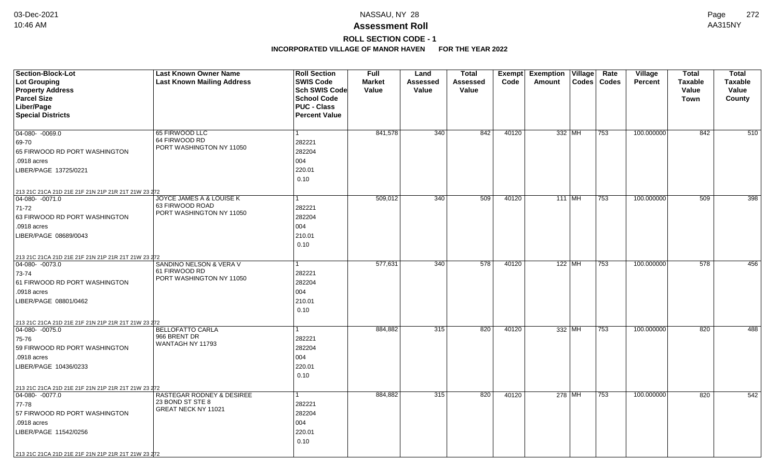# **ROLL SECTION CODE - 1**

| Section-Block-Lot<br><b>Lot Grouping</b><br><b>Property Address</b>                                                                                                                                                 | <b>Last Known Owner Name</b><br><b>Last Known Mailing Address</b>       | <b>Roll Section</b><br><b>SWIS Code</b><br>Sch SWIS Code         | <b>Full</b><br><b>Market</b><br>Value | Land<br>Assessed<br>Value | <b>Total</b><br><b>Assessed</b><br>Value | Exempt<br>Code | <b>Exemption Village</b><br>Amount | Rate<br>Codes   Codes | Village<br><b>Percent</b> | <b>Total</b><br><b>Taxable</b><br>Value | <b>Total</b><br><b>Taxable</b><br>Value |
|---------------------------------------------------------------------------------------------------------------------------------------------------------------------------------------------------------------------|-------------------------------------------------------------------------|------------------------------------------------------------------|---------------------------------------|---------------------------|------------------------------------------|----------------|------------------------------------|-----------------------|---------------------------|-----------------------------------------|-----------------------------------------|
| <b>Parcel Size</b><br>Liber/Page<br><b>Special Districts</b>                                                                                                                                                        |                                                                         | <b>School Code</b><br><b>PUC - Class</b><br><b>Percent Value</b> |                                       |                           |                                          |                |                                    |                       |                           | Town                                    | County                                  |
| 04-080- -0069.0<br>69-70<br>65 FIRWOOD RD PORT WASHINGTON<br>.0918 acres<br>LIBER/PAGE 13725/0221                                                                                                                   | 65 FIRWOOD LLC<br>64 FIRWOOD RD<br>PORT WASHINGTON NY 11050             | $\mathbf{1}$<br>282221<br>282204<br>004<br>220.01<br>0.10        | 841,578                               | 340                       | 842                                      | 40120          | 332 MH                             | 753                   | 100.000000                | 842                                     | 510                                     |
| 213 21C 21CA 21D 21E 21F 21N 21P 21R 21T 21W 23 272<br>$\boxed{04-080 - 0071.0}$<br>71-72<br>63 FIRWOOD RD PORT WASHINGTON<br>.0918 acres<br>LIBER/PAGE 08689/0043                                                  | JOYCE JAMES A & LOUISE K<br>63 FIRWOOD ROAD<br>PORT WASHINGTON NY 11050 | 1<br>282221<br>282204<br>004<br>210.01<br>0.10                   | 509,012                               | 340                       | 509                                      | 40120          | 111 MH                             | 753                   | 100.000000                | 509                                     | 398                                     |
| 213 21C 21CA 21D 21E 21F 21N 21P 21R 21T 21W 23 272<br>$04-080 - 0073.0$<br>73-74<br>61 FIRWOOD RD PORT WASHINGTON<br>.0918 acres<br>LIBER/PAGE 08801/0462                                                          | SANDINO NELSON & VERA V<br>61 FIRWOOD RD<br>PORT WASHINGTON NY 11050    | 282221<br>282204<br>004<br>210.01<br>0.10                        | 577,631                               | 340                       | 578                                      | 40120          | $122$ MH                           | 753                   | 100.000000                | 578                                     | 456                                     |
| 213 21C 21CA 21D 21E 21F 21N 21P 21R 21T 21W 23 272<br>$04-080 - 0075.0$<br>75-76<br>59 FIRWOOD RD PORT WASHINGTON<br>.0918 acres<br>LIBER/PAGE 10436/0233                                                          | <b>BELLOFATTO CARLA</b><br>966 BRENT DR<br>WANTAGH NY 11793             | 1<br>282221<br>282204<br>004<br>220.01<br>0.10                   | 884,882                               | 315                       | 820                                      | 40120          | 332 MH                             | 753                   | 100.000000                | 820                                     | 488                                     |
| 213 21C 21CA 21D 21E 21F 21N 21P 21R 21T 21W 23 272<br>$04 - 080 - 0077.0$<br>77-78<br>57 FIRWOOD RD PORT WASHINGTON<br>.0918 acres<br>LIBER/PAGE 11542/0256<br>213 21C 21CA 21D 21E 21F 21N 21P 21R 21T 21W 23 272 | RASTEGAR RODNEY & DESIREE<br>23 BOND ST STE 8<br>GREAT NECK NY 11021    | $\mathbf{1}$<br>282221<br>282204<br>004<br>220.01<br>0.10        | 884,882                               | 315                       | 820                                      | 40120          | 278 MH                             | 753                   | 100.000000                | 820                                     | 542                                     |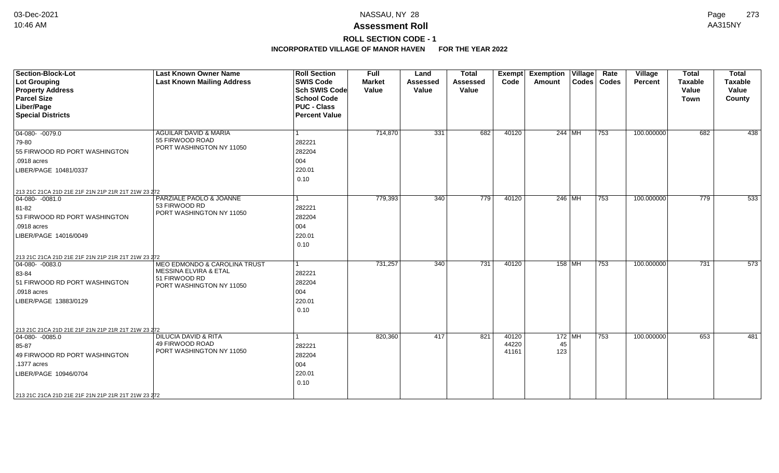# **ROLL SECTION CODE - 1**

| <b>Section-Block-Lot</b><br><b>Lot Grouping</b><br><b>Property Address</b><br><b>Parcel Size</b><br>Liber/Page<br><b>Special Districts</b>                                                                       | <b>Last Known Owner Name</b><br><b>Last Known Mailing Address</b>                                             | <b>Roll Section</b><br><b>SWIS Code</b><br><b>Sch SWIS Code</b><br><b>School Code</b><br><b>PUC - Class</b><br><b>Percent Value</b> | <b>Full</b><br><b>Market</b><br>Value | Land<br><b>Assessed</b><br>Value | <b>Total</b><br><b>Assessed</b><br>Value | <b>Exempt</b><br>Code   | <b>Exemption Village</b><br>Amount | Rate<br>Codes   Codes | Village<br>Percent | <b>Total</b><br><b>Taxable</b><br>Value<br><b>Town</b> | <b>Total</b><br>Taxable<br>Value<br>County |
|------------------------------------------------------------------------------------------------------------------------------------------------------------------------------------------------------------------|---------------------------------------------------------------------------------------------------------------|-------------------------------------------------------------------------------------------------------------------------------------|---------------------------------------|----------------------------------|------------------------------------------|-------------------------|------------------------------------|-----------------------|--------------------|--------------------------------------------------------|--------------------------------------------|
| $04-080 - 0079.0$<br>79-80<br>55 FIRWOOD RD PORT WASHINGTON<br>.0918 acres<br>LIBER/PAGE 10481/0337                                                                                                              | <b>AGUILAR DAVID &amp; MARIA</b><br>55 FIRWOOD ROAD<br>PORT WASHINGTON NY 11050                               | 282221<br>282204<br>004<br>220.01<br>0.10                                                                                           | 714,870                               | 331                              | 682                                      | 40120                   | 244 MH                             | 753                   | 100.000000         | 682                                                    | 438                                        |
| 213 21C 21CA 21D 21E 21F 21N 21P 21R 21T 21W 23 272<br>$04-080 - 0081.0$<br>81-82<br>53 FIRWOOD RD PORT WASHINGTON<br>.0918 acres<br>LIBER/PAGE 14016/0049                                                       | PARZIALE PAOLO & JOANNE<br>53 FIRWOOD RD<br>PORT WASHINGTON NY 11050                                          | 1<br>282221<br>282204<br>004<br>220.01<br>0.10                                                                                      | 779,393                               | 340                              | 779                                      | 40120                   | $246$ MH                           | 753                   | 100.000000         | 779                                                    | 533                                        |
| 213 21C 21CA 21D 21E 21F 21N 21P 21R 21T 21W 23 272<br>$ 04-080-0083.0$<br>83-84<br>51 FIRWOOD RD PORT WASHINGTON<br>.0918 acres<br>LIBER/PAGE 13883/0129                                                        | <b>MEO EDMONDO &amp; CAROLINA TRUST</b><br>MESSINA ELVIRA & ETAL<br>51 FIRWOOD RD<br>PORT WASHINGTON NY 11050 | 1<br>282221<br>282204<br>004<br>220.01<br>0.10                                                                                      | 731,257                               | 340                              | 731                                      | 40120                   | $158$ MH                           | 753                   | 100.000000         | 731                                                    | 573                                        |
| 213 21C 21CA 21D 21E 21F 21N 21P 21R 21T 21W 23 272<br>$ 04-080-0085.0$<br>85-87<br>49 FIRWOOD RD PORT WASHINGTON<br>.1377 acres<br>LIBER/PAGE 10946/0704<br>213 21C 21CA 21D 21E 21F 21N 21P 21R 21T 21W 23 272 | <b>DILUCIA DAVID &amp; RITA</b><br>49 FIRWOOD ROAD<br>PORT WASHINGTON NY 11050                                | 282221<br>282204<br>004<br>220.01<br>0.10                                                                                           | 820,360                               | 417                              | 821                                      | 40120<br>44220<br>41161 | $172$ MH<br>45<br>123              | 753                   | 100.000000         | 653                                                    | 481                                        |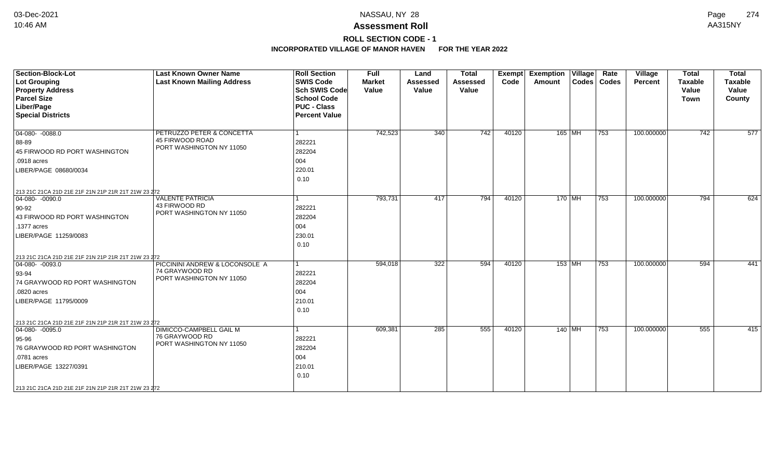# **ROLL SECTION CODE - 1**

| <b>Section-Block-Lot</b><br>Lot Grouping<br><b>Property Address</b><br><b>Parcel Size</b><br>Liber/Page<br><b>Special Districts</b>                                                                                             | <b>Last Known Owner Name</b><br><b>Last Known Mailing Address</b>               | <b>Roll Section</b><br><b>SWIS Code</b><br><b>Sch SWIS Code</b><br><b>School Code</b><br><b>PUC - Class</b><br><b>Percent Value</b> | Full<br><b>Market</b><br>Value | Land<br><b>Assessed</b><br>Value | <b>Total</b><br><b>Assessed</b><br>Value | Exempt<br>Code | <b>Exemption Village</b><br>Amount |          | Rate<br>Codes   Codes | Village<br><b>Percent</b> | <b>Total</b><br><b>Taxable</b><br>Value<br><b>Town</b> | <b>Total</b><br><b>Taxable</b><br>Value<br>County |
|---------------------------------------------------------------------------------------------------------------------------------------------------------------------------------------------------------------------------------|---------------------------------------------------------------------------------|-------------------------------------------------------------------------------------------------------------------------------------|--------------------------------|----------------------------------|------------------------------------------|----------------|------------------------------------|----------|-----------------------|---------------------------|--------------------------------------------------------|---------------------------------------------------|
| $04 - 080 - 0088.0$<br>88-89<br>45 FIRWOOD RD PORT WASHINGTON<br>.0918 acres<br>LIBER/PAGE 08680/0034                                                                                                                           | PETRUZZO PETER & CONCETTA<br><b>45 FIRWOOD ROAD</b><br>PORT WASHINGTON NY 11050 | 282221<br>282204<br>004<br>220.01<br>0.10                                                                                           | 742,523                        | 340                              | 742                                      | 40120          |                                    | $165$ MH | 753                   | 100.000000                | 742                                                    | 577                                               |
| 213 21C 21CA 21D 21E 21F 21N 21P 21R 21T 21W 23 272<br>$ 04-080-0090.0$<br>$90-92$<br>43 FIRWOOD RD PORT WASHINGTON<br>.1377 acres<br>LIBER/PAGE 11259/0083                                                                     | <b>VALENTE PATRICIA</b><br>43 FIRWOOD RD<br>PORT WASHINGTON NY 11050            | 282221<br>282204<br>004<br>230.01<br>0.10                                                                                           | 793,731                        | 417                              | 794                                      | 40120          |                                    | $170$ MH | $\overline{753}$      | 100.000000                | 794                                                    | 624                                               |
| 213 21C 21CA 21D 21E 21F 21N 21P 21R 21T 21W 23 272<br>$ 04-080-0093.0$<br>$ 93 - 94$<br>74 GRAYWOOD RD PORT WASHINGTON<br>.0820 acres<br>LIBER/PAGE 11795/0009                                                                 | PICCININI ANDREW & LOCONSOLE A<br>74 GRAYWOOD RD<br>PORT WASHINGTON NY 11050    | 282221<br>282204<br>004<br>210.01<br>0.10                                                                                           | 594,018                        | 322                              | 594                                      | 40120          |                                    | $153$ MH | 753                   | 100.000000                | 594                                                    | 441                                               |
| 213 21C 21CA 21D 21E 21F 21N 21P 21R 21T 21W 23 272<br>$\boxed{04-080 - 0095.0}$<br>$ 95 - 96$<br>76 GRAYWOOD RD PORT WASHINGTON<br>.0781 acres<br>LIBER/PAGE 13227/0391<br>213 21C 21CA 21D 21E 21F 21N 21P 21R 21T 21W 23 272 | DIMICCO-CAMPBELL GAIL M<br>76 GRAYWOOD RD<br>PORT WASHINGTON NY 11050           | 282221<br>282204<br>004<br>210.01<br>0.10                                                                                           | 609,381                        | 285                              | 555                                      | 40120          |                                    | $140$ MH | 753                   | 100.000000                | 555                                                    | 415                                               |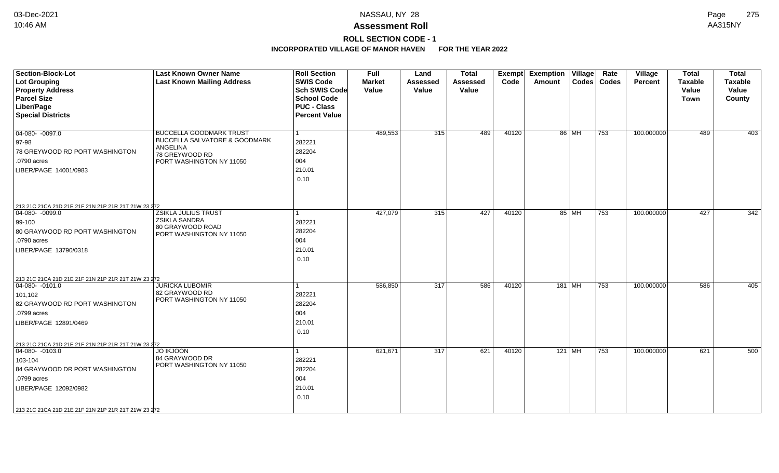## **ROLL SECTION CODE - 1**

| <b>Section-Block-Lot</b><br>Lot Grouping                                | <b>Last Known Owner Name</b><br><b>Last Known Mailing Address</b> | <b>Roll Section</b><br><b>SWIS Code</b>  | <b>Full</b><br><b>Market</b> | Land<br><b>Assessed</b> | <b>Total</b><br>Assessed | Exempt<br>Code | <b>Exemption Village</b><br><b>Amount</b> |       | Rate<br>Codes   Codes | Village<br><b>Percent</b> | <b>Total</b><br><b>Taxable</b> | <b>Total</b><br><b>Taxable</b> |
|-------------------------------------------------------------------------|-------------------------------------------------------------------|------------------------------------------|------------------------------|-------------------------|--------------------------|----------------|-------------------------------------------|-------|-----------------------|---------------------------|--------------------------------|--------------------------------|
| <b>Property Address</b>                                                 |                                                                   | <b>Sch SWIS Code</b>                     | Value                        | Value                   | Value                    |                |                                           |       |                       |                           | Value                          | Value                          |
| <b>Parcel Size</b><br>Liber/Page                                        |                                                                   | <b>School Code</b><br><b>PUC - Class</b> |                              |                         |                          |                |                                           |       |                       |                           | Town                           | County                         |
| <b>Special Districts</b>                                                |                                                                   | <b>Percent Value</b>                     |                              |                         |                          |                |                                           |       |                       |                           |                                |                                |
|                                                                         |                                                                   |                                          |                              |                         |                          |                |                                           |       |                       |                           |                                |                                |
| $04-080 - 0097.0$                                                       | <b>BUCCELLA GOODMARK TRUST</b>                                    |                                          | 489,553                      | 315                     | 489                      | 40120          |                                           | 86 MH | 753                   | 100.000000                | 489                            | 403                            |
| $ 97-98$                                                                | <b>BUCCELLA SALVATORE &amp; GOODMARK</b>                          | 282221                                   |                              |                         |                          |                |                                           |       |                       |                           |                                |                                |
| 78 GREYWOOD RD PORT WASHINGTON                                          | ANGELINA<br>78 GREYWOOD RD                                        | 282204                                   |                              |                         |                          |                |                                           |       |                       |                           |                                |                                |
| .0790 acres                                                             | PORT WASHINGTON NY 11050                                          | 004                                      |                              |                         |                          |                |                                           |       |                       |                           |                                |                                |
| LIBER/PAGE 14001/0983                                                   |                                                                   | 210.01                                   |                              |                         |                          |                |                                           |       |                       |                           |                                |                                |
|                                                                         |                                                                   | 0.10                                     |                              |                         |                          |                |                                           |       |                       |                           |                                |                                |
|                                                                         |                                                                   |                                          |                              |                         |                          |                |                                           |       |                       |                           |                                |                                |
|                                                                         |                                                                   |                                          |                              |                         |                          |                |                                           |       |                       |                           |                                |                                |
| 213 21C 21CA 21D 21E 21F 21N 21P 21R 21T 21W 23 272<br>$ 04-080-0099.0$ | <b>ZSIKLA JULIUS TRUST</b>                                        | 1                                        | 427,079                      | 315                     | 427                      | 40120          |                                           | 85 MH | 753                   | 100.000000                | 427                            | 342                            |
| $99-100$                                                                | <b>ZSIKLA SANDRA</b>                                              | 282221                                   |                              |                         |                          |                |                                           |       |                       |                           |                                |                                |
| 80 GRAYWOOD RD PORT WASHINGTON                                          | 80 GRAYWOOD ROAD                                                  | 282204                                   |                              |                         |                          |                |                                           |       |                       |                           |                                |                                |
| .0790 acres                                                             | PORT WASHINGTON NY 11050                                          | 004                                      |                              |                         |                          |                |                                           |       |                       |                           |                                |                                |
| LIBER/PAGE 13790/0318                                                   |                                                                   | 210.01                                   |                              |                         |                          |                |                                           |       |                       |                           |                                |                                |
|                                                                         |                                                                   | 0.10                                     |                              |                         |                          |                |                                           |       |                       |                           |                                |                                |
|                                                                         |                                                                   |                                          |                              |                         |                          |                |                                           |       |                       |                           |                                |                                |
| 213 21C 21CA 21D 21E 21F 21N 21P 21R 21T 21W 23 272                     |                                                                   |                                          |                              |                         |                          |                |                                           |       |                       |                           |                                |                                |
| $04-080 - 0101.0$                                                       | <b>JURICKA LUBOMIR</b>                                            |                                          | 586,850                      | 317                     | 586                      | 40120          | $181$ MH                                  |       | 753                   | 100.000000                | 586                            | 405                            |
| 101,102                                                                 | 82 GRAYWOOD RD                                                    | 282221                                   |                              |                         |                          |                |                                           |       |                       |                           |                                |                                |
| 82 GRAYWOOD RD PORT WASHINGTON                                          | PORT WASHINGTON NY 11050                                          | 282204                                   |                              |                         |                          |                |                                           |       |                       |                           |                                |                                |
| .0799 acres                                                             |                                                                   | 004                                      |                              |                         |                          |                |                                           |       |                       |                           |                                |                                |
| LIBER/PAGE 12891/0469                                                   |                                                                   | 210.01                                   |                              |                         |                          |                |                                           |       |                       |                           |                                |                                |
|                                                                         |                                                                   | 0.10                                     |                              |                         |                          |                |                                           |       |                       |                           |                                |                                |
| 213 21C 21CA 21D 21E 21F 21N 21P 21R 21T 21W 23 272                     |                                                                   |                                          |                              |                         |                          |                |                                           |       |                       |                           |                                |                                |
| 04-080- -0103.0                                                         | <b>JO IKJOON</b>                                                  | 1                                        | 621,671                      | 317                     | 621                      | 40120          | 121 MH                                    |       | 753                   | 100.000000                | 621                            | 500                            |
| 103-104                                                                 | 84 GRAYWOOD DR                                                    | 282221                                   |                              |                         |                          |                |                                           |       |                       |                           |                                |                                |
| 84 GRAYWOOD DR PORT WASHINGTON                                          | PORT WASHINGTON NY 11050                                          | 282204                                   |                              |                         |                          |                |                                           |       |                       |                           |                                |                                |
| .0799 acres                                                             |                                                                   | 004                                      |                              |                         |                          |                |                                           |       |                       |                           |                                |                                |
| LIBER/PAGE 12092/0982                                                   |                                                                   | 210.01                                   |                              |                         |                          |                |                                           |       |                       |                           |                                |                                |
|                                                                         |                                                                   | 0.10                                     |                              |                         |                          |                |                                           |       |                       |                           |                                |                                |
| 213 21C 21CA 21D 21E 21F 21N 21P 21R 21T 21W 23 272                     |                                                                   |                                          |                              |                         |                          |                |                                           |       |                       |                           |                                |                                |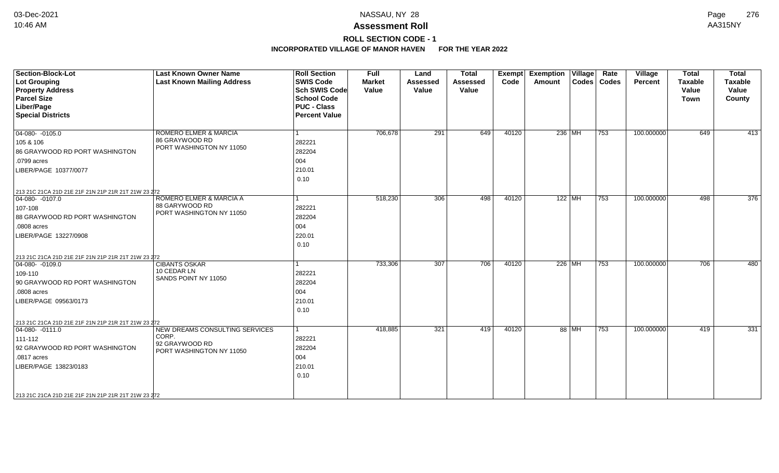# **ROLL SECTION CODE - 1**

| <b>Section-Block-Lot</b><br><b>Lot Grouping</b><br><b>Property Address</b><br><b>Parcel Size</b><br>Liber/Page<br><b>Special Districts</b>                                                                              | <b>Last Known Owner Name</b><br><b>Last Known Mailing Address</b>                     | <b>Roll Section</b><br><b>SWIS Code</b><br><b>Sch SWIS Code</b><br><b>School Code</b><br><b>PUC - Class</b><br><b>Percent Value</b> | <b>Full</b><br><b>Market</b><br>Value | Land<br><b>Assessed</b><br>Value | <b>Total</b><br>Assessed<br>Value | Exempt<br>Code | <b>Exemption Village</b><br>Amount |          | Rate<br>Codes   Codes | Village<br>Percent | <b>Total</b><br><b>Taxable</b><br>Value<br><b>Town</b> | <b>Total</b><br><b>Taxable</b><br>Value<br>County |
|-------------------------------------------------------------------------------------------------------------------------------------------------------------------------------------------------------------------------|---------------------------------------------------------------------------------------|-------------------------------------------------------------------------------------------------------------------------------------|---------------------------------------|----------------------------------|-----------------------------------|----------------|------------------------------------|----------|-----------------------|--------------------|--------------------------------------------------------|---------------------------------------------------|
| $04-080 - 0105.0$<br>105 & 106<br>86 GRAYWOOD RD PORT WASHINGTON<br>.0799 acres<br>LIBER/PAGE 10377/0077                                                                                                                | ROMERO ELMER & MARCIA<br>86 GRAYWOOD RD<br>PORT WASHINGTON NY 11050                   | 282221<br>282204<br>004<br>210.01<br>0.10                                                                                           | 706,678                               | 291                              | 649                               | 40120          | $236$ MH                           |          | 753                   | 100.000000         | 649                                                    | 413                                               |
| 213 21C 21CA 21D 21E 21F 21N 21P 21R 21T 21W 23 272<br>$04-080 - 0107.0$<br>107-108<br>88 GRAYWOOD RD PORT WASHINGTON<br>.0808 acres<br>LIBER/PAGE 13227/0908                                                           | ROMERO ELMER & MARCIA A<br>88 GARYWOOD RD<br>PORT WASHINGTON NY 11050                 | 282221<br>282204<br>004<br>220.01<br>0.10                                                                                           | 518,230                               | 306                              | 498                               | 40120          |                                    | $122$ MH | 753                   | 100.000000         | 498                                                    | 376                                               |
| 213 21C 21CA 21D 21E 21F 21N 21P 21R 21T 21W 23 272<br>$ 04 - 080 - 0109.0$<br>109-110<br>90 GRAYWOOD RD PORT WASHINGTON<br>.0808 acres<br>LIBER/PAGE 09563/0173<br>213 21C 21CA 21D 21E 21F 21N 21P 21R 21T 21W 23 272 | <b>CIBANTS OSKAR</b><br>10 CEDAR LN<br>SANDS POINT NY 11050                           | 282221<br>282204<br>004<br>210.01<br>0.10                                                                                           | 733,306                               | 307                              | 706                               | 40120          |                                    | 226 MH   | 753                   | 100.000000         | 706                                                    | 480                                               |
| $04-080 - 0111.0$<br>111-112<br>92 GRAYWOOD RD PORT WASHINGTON<br>.0817 acres<br>LIBER/PAGE 13823/0183<br>213 21C 21CA 21D 21E 21F 21N 21P 21R 21T 21W 23 272                                                           | NEW DREAMS CONSULTING SERVICES<br>CORP.<br>92 GRAYWOOD RD<br>PORT WASHINGTON NY 11050 | 282221<br>282204<br>004<br>210.01<br>0.10                                                                                           | 418,885                               | 321                              | 419                               | 40120          |                                    | 88 MH    | 753                   | 100.000000         | 419                                                    | 331                                               |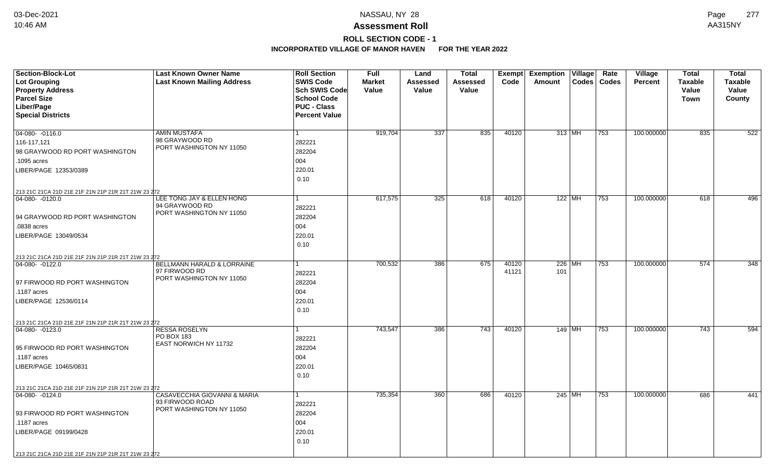# **ROLL SECTION CODE - 1**

| Section-Block-Lot                                   | <b>Last Known Owner Name</b>            | <b>Roll Section</b>  | <b>Full</b>   | Land     | <b>Total</b> |       | <b>Exempt Exemption Village</b> |          | Rate          | Village        | <b>Total</b>   | <b>Total</b>   |
|-----------------------------------------------------|-----------------------------------------|----------------------|---------------|----------|--------------|-------|---------------------------------|----------|---------------|----------------|----------------|----------------|
| <b>Lot Grouping</b>                                 | <b>Last Known Mailing Address</b>       | <b>SWIS Code</b>     | <b>Market</b> | Assessed | Assessed     | Code  | Amount                          |          | Codes   Codes | <b>Percent</b> | <b>Taxable</b> | <b>Taxable</b> |
| <b>Property Address</b>                             |                                         | Sch SWIS Code        | Value         | Value    | Value        |       |                                 |          |               |                | Value          | Value          |
| <b>Parcel Size</b>                                  |                                         | <b>School Code</b>   |               |          |              |       |                                 |          |               |                | Town           | County         |
| Liber/Page                                          |                                         | <b>PUC - Class</b>   |               |          |              |       |                                 |          |               |                |                |                |
| <b>Special Districts</b>                            |                                         | <b>Percent Value</b> |               |          |              |       |                                 |          |               |                |                |                |
|                                                     |                                         |                      |               |          |              |       |                                 |          |               |                |                |                |
| 04-080- -0116.0                                     | <b>AMIN MUSTAFA</b><br>98 GRAYWOOD RD   |                      | 919,704       | 337      | 835          | 40120 |                                 | $313$ MH | 753           | 100.000000     | 835            | 522            |
| 116-117,121                                         | PORT WASHINGTON NY 11050                | 282221               |               |          |              |       |                                 |          |               |                |                |                |
| 98 GRAYWOOD RD PORT WASHINGTON                      |                                         | 282204               |               |          |              |       |                                 |          |               |                |                |                |
| .1095 acres                                         |                                         | 004                  |               |          |              |       |                                 |          |               |                |                |                |
| LIBER/PAGE 12353/0389                               |                                         | 220.01               |               |          |              |       |                                 |          |               |                |                |                |
|                                                     |                                         | 0.10                 |               |          |              |       |                                 |          |               |                |                |                |
| 213 21C 21CA 21D 21E 21F 21N 21P 21R 21T 21W 23 272 |                                         |                      |               |          |              |       |                                 |          |               |                |                |                |
| 04-080- -0120.0                                     | LEE TONG JAY & ELLEN HONG               |                      | 617,575       | 325      | 618          | 40120 |                                 | $122$ MH | 753           | 100.000000     | 618            | 496            |
|                                                     | 94 GRAYWOOD RD                          | 282221               |               |          |              |       |                                 |          |               |                |                |                |
| 94 GRAYWOOD RD PORT WASHINGTON                      | PORT WASHINGTON NY 11050                | 282204               |               |          |              |       |                                 |          |               |                |                |                |
| .0838 acres                                         |                                         | 004                  |               |          |              |       |                                 |          |               |                |                |                |
| LIBER/PAGE 13049/0534                               |                                         | 220.01               |               |          |              |       |                                 |          |               |                |                |                |
|                                                     |                                         | 0.10                 |               |          |              |       |                                 |          |               |                |                |                |
| 213 21C 21CA 21D 21E 21F 21N 21P 21R 21T 21W 23 272 |                                         |                      |               |          |              |       |                                 |          |               |                |                |                |
| 04-080- -0122.0                                     | <b>BELLMANN HARALD &amp; LORRAINE</b>   |                      | 700,532       | 386      | 675          | 40120 |                                 | 226 MH   | 753           | 100.000000     | 574            | 348            |
|                                                     | 97 FIRWOOD RD                           | 282221               |               |          |              | 41121 | 101                             |          |               |                |                |                |
| 97 FIRWOOD RD PORT WASHINGTON                       | PORT WASHINGTON NY 11050                | 282204               |               |          |              |       |                                 |          |               |                |                |                |
| .1187 acres                                         |                                         | 004                  |               |          |              |       |                                 |          |               |                |                |                |
| LIBER/PAGE 12536/0114                               |                                         | 220.01               |               |          |              |       |                                 |          |               |                |                |                |
|                                                     |                                         | 0.10                 |               |          |              |       |                                 |          |               |                |                |                |
| 213 21C 21CA 21D 21E 21F 21N 21P 21R 21T 21W 23 272 |                                         |                      |               |          |              |       |                                 |          |               |                |                |                |
| $ 04-080-0123.0$                                    | <b>RESSA ROSELYN</b>                    |                      | 743,547       | 386      | 743          | 40120 | 149 MH                          |          | 753           | 100.000000     | 743            | 594            |
|                                                     | PO BOX 183                              | 282221               |               |          |              |       |                                 |          |               |                |                |                |
| 95 FIRWOOD RD PORT WASHINGTON                       | EAST NORWICH NY 11732                   | 282204               |               |          |              |       |                                 |          |               |                |                |                |
| .1187 acres                                         |                                         | 004                  |               |          |              |       |                                 |          |               |                |                |                |
| LIBER/PAGE 10465/0831                               |                                         | 220.01               |               |          |              |       |                                 |          |               |                |                |                |
|                                                     |                                         | 0.10                 |               |          |              |       |                                 |          |               |                |                |                |
| 213 21C 21CA 21D 21E 21F 21N 21P 21R 21T 21W 23 272 |                                         |                      |               |          |              |       |                                 |          |               |                |                |                |
| 04-080- -0124.0                                     | <b>CASAVECCHIA GIOVANNI &amp; MARIA</b> |                      | 735,354       | 360      | 686          | 40120 |                                 | 245 MH   | 753           | 100.000000     | 686            | 441            |
|                                                     | 93 FIRWOOD ROAD                         | 282221               |               |          |              |       |                                 |          |               |                |                |                |
| 93 FIRWOOD RD PORT WASHINGTON                       | PORT WASHINGTON NY 11050                | 282204               |               |          |              |       |                                 |          |               |                |                |                |
| .1187 acres                                         |                                         | 004                  |               |          |              |       |                                 |          |               |                |                |                |
| LIBER/PAGE 09199/0428                               |                                         | 220.01               |               |          |              |       |                                 |          |               |                |                |                |
|                                                     |                                         | 0.10                 |               |          |              |       |                                 |          |               |                |                |                |
|                                                     |                                         |                      |               |          |              |       |                                 |          |               |                |                |                |
| 213 21C 21CA 21D 21E 21F 21N 21P 21R 21T 21W 23 272 |                                         |                      |               |          |              |       |                                 |          |               |                |                |                |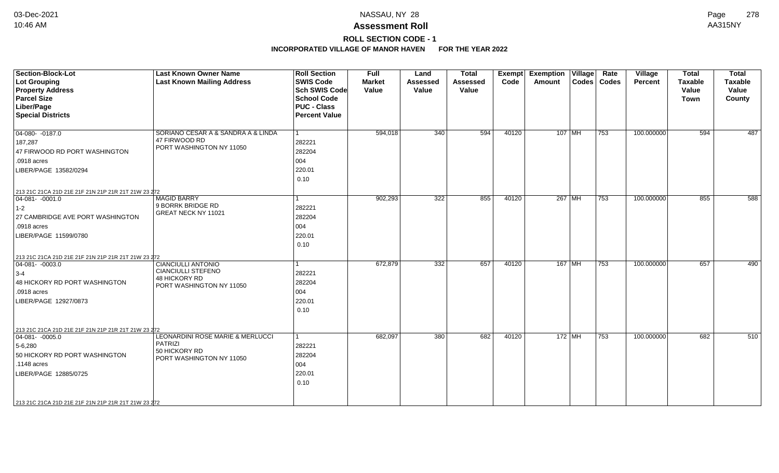## **ROLL SECTION CODE - 1**

| <b>Section-Block-Lot</b><br><b>Lot Grouping</b><br><b>Property Address</b><br><b>Parcel Size</b><br>Liber/Page<br><b>Special Districts</b>                                                                               | <b>Last Known Owner Name</b><br><b>Last Known Mailing Address</b>                                   | <b>Roll Section</b><br><b>SWIS Code</b><br><b>Sch SWIS Code</b><br><b>School Code</b><br><b>PUC - Class</b><br><b>Percent Value</b> | <b>Full</b><br><b>Market</b><br>Value | Land<br><b>Assessed</b><br>Value | <b>Total</b><br><b>Assessed</b><br>Value | Exempt<br>Code | <b>Exemption Village</b><br>Amount |          | Rate<br>Codes   Codes | Village<br><b>Percent</b> | <b>Total</b><br><b>Taxable</b><br>Value<br><b>Town</b> | <b>Total</b><br><b>Taxable</b><br>Value<br>County |
|--------------------------------------------------------------------------------------------------------------------------------------------------------------------------------------------------------------------------|-----------------------------------------------------------------------------------------------------|-------------------------------------------------------------------------------------------------------------------------------------|---------------------------------------|----------------------------------|------------------------------------------|----------------|------------------------------------|----------|-----------------------|---------------------------|--------------------------------------------------------|---------------------------------------------------|
| $04-080 - 0187.0$<br>187,287<br>47 FIRWOOD RD PORT WASHINGTON<br>.0918 acres<br>LIBER/PAGE 13582/0294                                                                                                                    | SORIANO CESAR A & SANDRA A & LINDA<br>47 FIRWOOD RD<br>PORT WASHINGTON NY 11050                     | 282221<br>282204<br>004<br>220.01<br>0.10                                                                                           | 594,018                               | 340                              | 594                                      | 40120          |                                    | $107$ MH | 753                   | 100.000000                | 594                                                    | 487                                               |
| 213 21C 21CA 21D 21E 21F 21N 21P 21R 21T 21W 23 272<br>$ 04-081-0001.0$<br>$ 1-2 $<br>27 CAMBRIDGE AVE PORT WASHINGTON<br>.0918 acres<br>LIBER/PAGE 11599/0780                                                           | <b>MAGID BARRY</b><br>9 BORRK BRIDGE RD<br>GREAT NECK NY 11021                                      | 282221<br>282204<br>004<br>220.01<br>0.10                                                                                           | 902,293                               | 322                              | 855                                      | 40120          |                                    | $267$ MH | 753                   | 100.000000                | 855                                                    | 588                                               |
| 213 21C 21CA 21D 21E 21F 21N 21P 21R 21T 21W 23 272<br>$ 04-081-0003.0$<br>$3-4$<br>48 HICKORY RD PORT WASHINGTON<br>.0918 acres<br>LIBER/PAGE 12927/0873                                                                | <b>CIANCIULLI ANTONIO</b><br><b>CIANCIULLI STEFENO</b><br>48 HICKORY RD<br>PORT WASHINGTON NY 11050 | 282221<br>282204<br>004<br>220.01<br>0.10                                                                                           | 672,879                               | 332                              | 657                                      | 40120          |                                    | 167 MH   | 753                   | 100.000000                | 657                                                    | 490                                               |
| 213 21C 21CA 21D 21E 21F 21N 21P 21R 21T 21W 23 272<br>$ 04-081-0005.0$<br>$5 - 6,280$<br>50 HICKORY RD PORT WASHINGTON<br>$.1148$ acres<br>LIBER/PAGE 12885/0725<br>213 21C 21CA 21D 21E 21F 21N 21P 21R 21T 21W 23 272 | LEONARDINI ROSE MARIE & MERLUCCI<br><b>PATRIZI</b><br>50 HICKORY RD<br>PORT WASHINGTON NY 11050     | $\overline{1}$<br>282221<br>282204<br>004<br>220.01<br>0.10                                                                         | 682,097                               | 380                              | 682                                      | 40120          |                                    | 172 MH   | 753                   | 100.000000                | 682                                                    | 510                                               |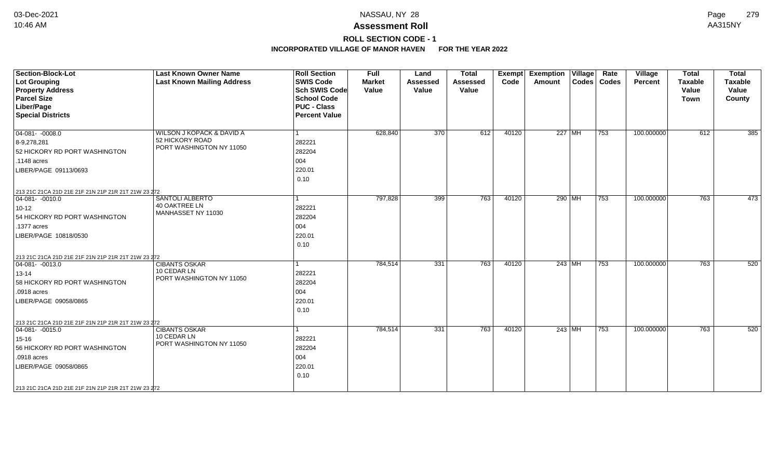# **ROLL SECTION CODE - 1**

| <b>Section-Block-Lot</b><br>Lot Grouping<br><b>Property Address</b><br><b>Parcel Size</b><br>Liber/Page<br><b>Special Districts</b>                                                                                        | <b>Last Known Owner Name</b><br><b>Last Known Mailing Address</b>        | <b>Roll Section</b><br><b>SWIS Code</b><br><b>Sch SWIS Code</b><br><b>School Code</b><br><b>PUC - Class</b><br><b>Percent Value</b> | Full<br><b>Market</b><br>Value | Land<br><b>Assessed</b><br>Value | <b>Total</b><br><b>Assessed</b><br>Value | Exempt<br>Code | <b>Exemption Village</b><br>Amount | Rate<br>Codes   Codes | Village<br><b>Percent</b> | <b>Total</b><br><b>Taxable</b><br>Value<br><b>Town</b> | <b>Total</b><br><b>Taxable</b><br>Value<br>County |
|----------------------------------------------------------------------------------------------------------------------------------------------------------------------------------------------------------------------------|--------------------------------------------------------------------------|-------------------------------------------------------------------------------------------------------------------------------------|--------------------------------|----------------------------------|------------------------------------------|----------------|------------------------------------|-----------------------|---------------------------|--------------------------------------------------------|---------------------------------------------------|
| $04 - 081 - -0008.0$<br>8-9,278,281<br>52 HICKORY RD PORT WASHINGTON<br>.1148 acres<br>LIBER/PAGE 09113/0693                                                                                                               | WILSON J KOPACK & DAVID A<br>52 HICKORY ROAD<br>PORT WASHINGTON NY 11050 | 282221<br>282204<br>004<br>220.01<br>0.10                                                                                           | 628,840                        | 370                              | 612                                      | 40120          | $227$ MH                           | $\overline{753}$      | 100.000000                | 612                                                    | $\frac{1}{385}$                                   |
| 213 21C 21CA 21D 21E 21F 21N 21P 21R 21T 21W 23 272<br>$ 04-081-0010.0$<br>$10 - 12$<br>54 HICKORY RD PORT WASHINGTON<br>.1377 acres<br>LIBER/PAGE 10818/0530                                                              | SANTOLI ALBERTO<br>40 OAKTREE LN<br>MANHASSET NY 11030                   | 282221<br>282204<br>004<br>220.01<br>0.10                                                                                           | 797,828                        | 399                              | 763                                      | 40120          | 290 MH                             | $\overline{753}$      | 100.000000                | 763                                                    | 473                                               |
| 213 21C 21CA 21D 21E 21F 21N 21P 21R 21T 21W 23 272<br>$ 04-081-0013.0$<br>$13 - 14$<br>58 HICKORY RD PORT WASHINGTON<br>.0918 acres<br>LIBER/PAGE 09058/0865                                                              | <b>CIBANTS OSKAR</b><br>10 CEDAR LN<br>PORT WASHINGTON NY 11050          | 282221<br>282204<br>004<br>220.01<br>0.10                                                                                           | 784,514                        | 331                              | 763                                      | 40120          | $243$ MH                           | 753                   | 100.000000                | 763                                                    | 520                                               |
| 213 21C 21CA 21D 21E 21F 21N 21P 21R 21T 21W 23 272<br>$\boxed{04-081 - -0015.0}$<br>15-16<br>56 HICKORY RD PORT WASHINGTON<br>.0918 acres<br>LIBER/PAGE 09058/0865<br>213 21C 21CA 21D 21E 21F 21N 21P 21R 21T 21W 23 272 | <b>CIBANTS OSKAR</b><br>10 CEDAR LN<br>PORT WASHINGTON NY 11050          | 282221<br>282204<br>004<br>220.01<br>0.10                                                                                           | 784,514                        | 331                              | 763                                      | 40120          | $243$ MH                           | 753                   | 100.000000                | 763                                                    | 520                                               |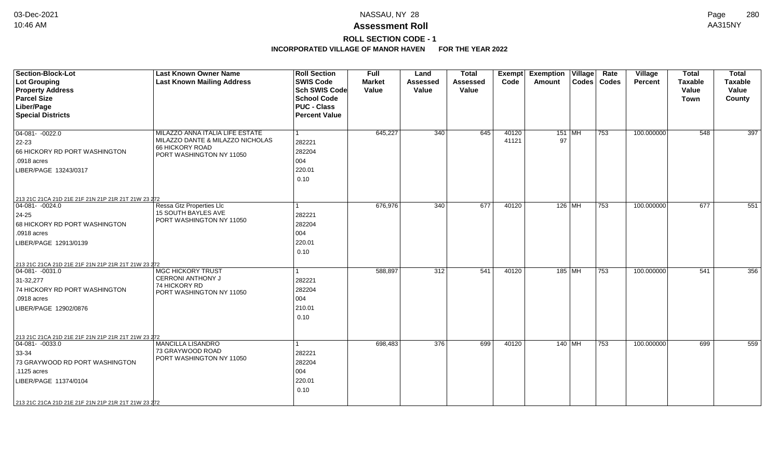# **ROLL SECTION CODE - 1**

| <b>Section-Block-Lot</b><br>Lot Grouping<br><b>Property Address</b><br><b>Parcel Size</b><br>Liber/Page<br><b>Special Districts</b>                                                                                   | <b>Last Known Owner Name</b><br><b>Last Known Mailing Address</b>                                                  | <b>Roll Section</b><br><b>SWIS Code</b><br><b>Sch SWIS Code</b><br><b>School Code</b><br><b>PUC - Class</b><br><b>Percent Value</b> | <b>Full</b><br><b>Market</b><br>Value | Land<br><b>Assessed</b><br>Value | <b>Total</b><br><b>Assessed</b><br>Value | Exempt<br>Code | <b>Exemption Village</b><br>Amount | Rate<br>Codes   Codes | Village<br><b>Percent</b> | <b>Total</b><br><b>Taxable</b><br>Value<br><b>Town</b> | <b>Total</b><br><b>Taxable</b><br>Value<br>County |
|-----------------------------------------------------------------------------------------------------------------------------------------------------------------------------------------------------------------------|--------------------------------------------------------------------------------------------------------------------|-------------------------------------------------------------------------------------------------------------------------------------|---------------------------------------|----------------------------------|------------------------------------------|----------------|------------------------------------|-----------------------|---------------------------|--------------------------------------------------------|---------------------------------------------------|
| $04-081 - -0022.0$<br>$22 - 23$<br>66 HICKORY RD PORT WASHINGTON<br>.0918 acres<br>LIBER/PAGE 13243/0317                                                                                                              | MILAZZO ANNA ITALIA LIFE ESTATE<br>MILAZZO DANTE & MILAZZO NICHOLAS<br>66 HICKORY ROAD<br>PORT WASHINGTON NY 11050 | 282221<br>282204<br>004<br>220.01<br>0.10                                                                                           | 645,227                               | 340                              | 645                                      | 40120<br>41121 | $151$ MH<br>97                     | 753                   | 100.000000                | 548                                                    | 397                                               |
| 213 21C 21CA 21D 21E 21F 21N 21P 21R 21T 21W 23 272<br>04-081- -0024.0<br>$24 - 25$<br>68 HICKORY RD PORT WASHINGTON<br>.0918 acres<br>LIBER/PAGE 12913/0139                                                          | Ressa Gtz Properties Llc<br>15 SOUTH BAYLES AVE<br>PORT WASHINGTON NY 11050                                        | 1<br>282221<br>282204<br>004<br>220.01<br>0.10                                                                                      | 676,976                               | 340                              | 677                                      | 40120          | $126$ MH                           | 753                   | 100.000000                | 677                                                    | 551                                               |
| 213 21C 21CA 21D 21E 21F 21N 21P 21R 21T 21W 23 272<br>$ 04-081-0031.0$<br>31-32,277<br>74 HICKORY RD PORT WASHINGTON<br>.0918 acres<br>LIBER/PAGE 12902/0876                                                         | <b>MGC HICKORY TRUST</b><br><b>CERRONI ANTHONY J</b><br>74 HICKORY RD<br>PORT WASHINGTON NY 11050                  | 282221<br>282204<br>004<br>210.01<br>0.10                                                                                           | 588,897                               | 312                              | 541                                      | 40120          | 185 MH                             | 753                   | 100.000000                | 541                                                    | 356                                               |
| 213 21C 21CA 21D 21E 21F 21N 21P 21R 21T 21W 23 272<br>$ 04-081-0033.0$<br>$33 - 34$<br>73 GRAYWOOD RD PORT WASHINGTON<br>.1125 acres<br>LIBER/PAGE 11374/0104<br>213 21C 21CA 21D 21E 21F 21N 21P 21R 21T 21W 23 272 | <b>MANCILLA LISANDRO</b><br>73 GRAYWOOD ROAD<br>PORT WASHINGTON NY 11050                                           | 282221<br>282204<br>004<br>220.01<br>0.10                                                                                           | 698,483                               | 376                              | 699                                      | 40120          | 140 MH                             | 753                   | 100.000000                | 699                                                    | 559                                               |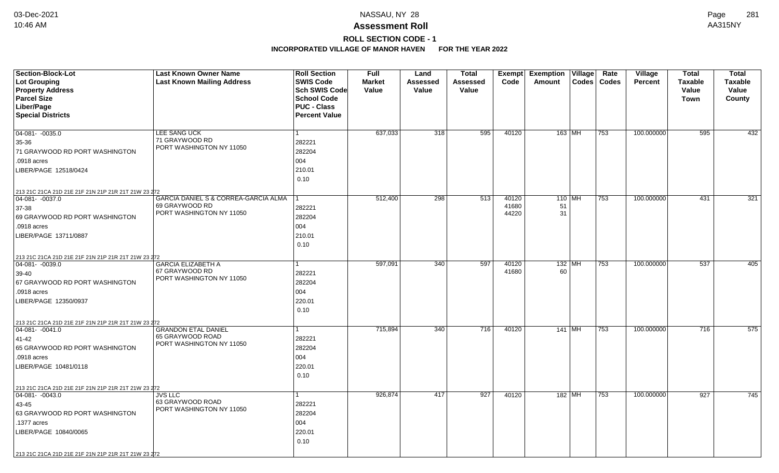## **ROLL SECTION CODE - 1**

| <b>Section-Block-Lot</b>                                                     | <b>Last Known Owner Name</b>               | <b>Roll Section</b>  | <b>Full</b>   | Land     | <b>Total</b>     | Exempt | <b>Exemption</b> | $\overline{V}$ illage | Rate          | <b>Village</b> | <b>Total</b>   | <b>Total</b>   |
|------------------------------------------------------------------------------|--------------------------------------------|----------------------|---------------|----------|------------------|--------|------------------|-----------------------|---------------|----------------|----------------|----------------|
| Lot Grouping                                                                 | <b>Last Known Mailing Address</b>          | <b>SWIS Code</b>     | <b>Market</b> | Assessed | <b>Assessed</b>  | Code   | Amount           |                       | Codes   Codes | <b>Percent</b> | <b>Taxable</b> | <b>Taxable</b> |
| <b>Property Address</b>                                                      |                                            | <b>Sch SWIS Code</b> | Value         | Value    | Value            |        |                  |                       |               |                | Value          | Value          |
| <b>Parcel Size</b>                                                           |                                            | <b>School Code</b>   |               |          |                  |        |                  |                       |               |                | Town           | County         |
| Liber/Page                                                                   |                                            | <b>PUC - Class</b>   |               |          |                  |        |                  |                       |               |                |                |                |
| <b>Special Districts</b>                                                     |                                            | <b>Percent Value</b> |               |          |                  |        |                  |                       |               |                |                |                |
|                                                                              |                                            |                      |               |          |                  |        |                  |                       |               |                |                |                |
| $04-081 - -0035.0$                                                           | LEE SANG UCK                               | $\mathbf{1}$         | 637,033       | 318      | 595              | 40120  | 163 MH           |                       | 753           | 100.000000     | 595            | 432            |
| 35-36                                                                        | 71 GRAYWOOD RD<br>PORT WASHINGTON NY 11050 | 282221               |               |          |                  |        |                  |                       |               |                |                |                |
| 71 GRAYWOOD RD PORT WASHINGTON                                               |                                            | 282204               |               |          |                  |        |                  |                       |               |                |                |                |
| .0918 acres                                                                  |                                            | 004                  |               |          |                  |        |                  |                       |               |                |                |                |
| LIBER/PAGE 12518/0424                                                        |                                            | 210.01               |               |          |                  |        |                  |                       |               |                |                |                |
|                                                                              |                                            | 0.10                 |               |          |                  |        |                  |                       |               |                |                |                |
| 213 21C 21CA 21D 21E 21F 21N 21P 21R 21T 21W 23 272                          |                                            |                      |               |          |                  |        |                  |                       |               |                |                |                |
| 04-081- -0037.0                                                              | GARCIA DANIEL S & CORREA-GARCIA ALMA       | -1                   | 512,400       | 298      | $\overline{513}$ | 40120  | $110$ MH         |                       | 753           | 100.000000     | 431            | 321            |
| 37-38                                                                        | 69 GRAYWOOD RD                             | 282221               |               |          |                  | 41680  | 51               |                       |               |                |                |                |
| 69 GRAYWOOD RD PORT WASHINGTON                                               | PORT WASHINGTON NY 11050                   | 282204               |               |          |                  | 44220  | 31               |                       |               |                |                |                |
| .0918 acres                                                                  |                                            | 004                  |               |          |                  |        |                  |                       |               |                |                |                |
| LIBER/PAGE 13711/0887                                                        |                                            | 210.01               |               |          |                  |        |                  |                       |               |                |                |                |
|                                                                              |                                            | 0.10                 |               |          |                  |        |                  |                       |               |                |                |                |
|                                                                              |                                            |                      |               |          |                  |        |                  |                       |               |                |                |                |
| 213 21C 21CA 21D 21E 21F 21N 21P 21R 21T 21W 23 272<br>$ 04 - 081 - 0039.0$  | <b>GARCIA ELIZABETH A</b>                  |                      | 597,091       | 340      | 597              | 40120  | $132$ MH         |                       | 753           | 100.000000     | 537            | 405            |
| 39-40                                                                        | 67 GRAYWOOD RD                             | 282221               |               |          |                  | 41680  | 60               |                       |               |                |                |                |
| 67 GRAYWOOD RD PORT WASHINGTON                                               | PORT WASHINGTON NY 11050                   | 282204               |               |          |                  |        |                  |                       |               |                |                |                |
| .0918 acres                                                                  |                                            | 004                  |               |          |                  |        |                  |                       |               |                |                |                |
| LIBER/PAGE 12350/0937                                                        |                                            | 220.01               |               |          |                  |        |                  |                       |               |                |                |                |
|                                                                              |                                            | 0.10                 |               |          |                  |        |                  |                       |               |                |                |                |
|                                                                              |                                            |                      |               |          |                  |        |                  |                       |               |                |                |                |
| 213 21C 21CA 21D 21E 21F 21N 21P 21R 21T 21W 23 272<br>$ 04 - 081 - -0041.0$ | <b>GRANDON ETAL DANIEL</b>                 | 1                    | 715,894       | 340      | 716              | 40120  | 141 MH           |                       | 753           | 100.000000     | 716            | 575            |
| 41-42                                                                        | 65 GRAYWOOD ROAD                           | 282221               |               |          |                  |        |                  |                       |               |                |                |                |
| 65 GRAYWOOD RD PORT WASHINGTON                                               | PORT WASHINGTON NY 11050                   | 282204               |               |          |                  |        |                  |                       |               |                |                |                |
| .0918 acres                                                                  |                                            | 004                  |               |          |                  |        |                  |                       |               |                |                |                |
|                                                                              |                                            |                      |               |          |                  |        |                  |                       |               |                |                |                |
| LIBER/PAGE 10481/0118                                                        |                                            | 220.01               |               |          |                  |        |                  |                       |               |                |                |                |
|                                                                              |                                            | 0.10                 |               |          |                  |        |                  |                       |               |                |                |                |
| 213 21C 21CA 21D 21E 21F 21N 21P 21R 21T 21W 23 272                          |                                            |                      |               |          |                  |        |                  |                       |               |                |                |                |
| 04-081- -0043.0                                                              | <b>JVS LLC</b><br>63 GRAYWOOD ROAD         | $\mathbf{1}$         | 926,874       | 417      | 927              | 40120  | 182 MH           |                       | 753           | 100.000000     | 927            | 745            |
| 43-45                                                                        | PORT WASHINGTON NY 11050                   | 282221               |               |          |                  |        |                  |                       |               |                |                |                |
| 63 GRAYWOOD RD PORT WASHINGTON                                               |                                            | 282204               |               |          |                  |        |                  |                       |               |                |                |                |
| .1377 acres                                                                  |                                            | 004                  |               |          |                  |        |                  |                       |               |                |                |                |
| LIBER/PAGE 10840/0065                                                        |                                            | 220.01               |               |          |                  |        |                  |                       |               |                |                |                |
|                                                                              |                                            | 0.10                 |               |          |                  |        |                  |                       |               |                |                |                |
| 213 21C 21CA 21D 21E 21F 21N 21P 21R 21T 21W 23 272                          |                                            |                      |               |          |                  |        |                  |                       |               |                |                |                |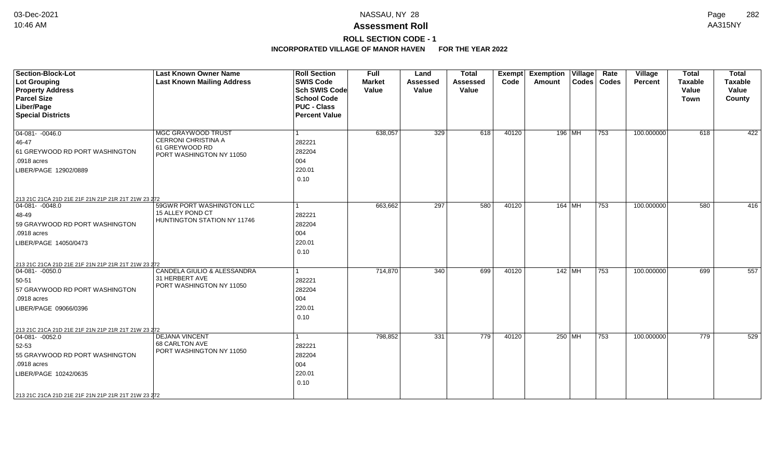## **ROLL SECTION CODE - 1**

| <b>Section-Block-Lot</b><br><b>Lot Grouping</b><br><b>Property Address</b><br><b>Parcel Size</b><br>Liber/Page<br><b>Special Districts</b>                                                                          | <b>Last Known Owner Name</b><br><b>Last Known Mailing Address</b>                              | <b>Roll Section</b><br><b>SWIS Code</b><br><b>Sch SWIS Code</b><br><b>School Code</b><br><b>PUC - Class</b><br><b>Percent Value</b> | <b>Full</b><br><b>Market</b><br>Value | Land<br><b>Assessed</b><br>Value | <b>Total</b><br>Assessed<br>Value | Exempt<br>Code | <b>Exemption Village</b><br>Amount | Rate<br>Codes   Codes | Village<br><b>Percent</b> | <b>Total</b><br><b>Taxable</b><br>Value<br><b>Town</b> | <b>Total</b><br>Taxable<br>Value<br>County |
|---------------------------------------------------------------------------------------------------------------------------------------------------------------------------------------------------------------------|------------------------------------------------------------------------------------------------|-------------------------------------------------------------------------------------------------------------------------------------|---------------------------------------|----------------------------------|-----------------------------------|----------------|------------------------------------|-----------------------|---------------------------|--------------------------------------------------------|--------------------------------------------|
| $\boxed{04-081 - 0046.0}$<br>46-47<br>61 GREYWOOD RD PORT WASHINGTON<br>.0918 acres<br>LIBER/PAGE 12902/0889                                                                                                        | <b>MGC GRAYWOOD TRUST</b><br>CERRONI CHRISTINA A<br>61 GREYWOOD RD<br>PORT WASHINGTON NY 11050 | 282221<br>282204<br>004<br>220.01<br>0.10                                                                                           | 638,057                               | 329                              | 618                               | 40120          | 196 MH                             | 753                   | 100.000000                | 618                                                    | 422                                        |
| 213 21C 21CA 21D 21E 21F 21N 21P 21R 21T 21W 23 272<br>$ 04-081- -0048.0$<br>48-49<br>59 GRAYWOOD RD PORT WASHINGTON<br>.0918 acres<br>LIBER/PAGE 14050/0473<br>213 21C 21CA 21D 21E 21F 21N 21P 21R 21T 21W 23 272 | 59GWR PORT WASHINGTON LLC<br>15 ALLEY POND CT<br>HUNTINGTON STATION NY 11746                   | 1<br>282221<br>282204<br>004<br>220.01<br>0.10                                                                                      | 663,662                               | 297                              | 580                               | 40120          | 164 MH                             | 753                   | 100.000000                | 580                                                    | 416                                        |
| $ 04-081-0050.0$<br>50-51<br>57 GRAYWOOD RD PORT WASHINGTON<br>.0918 acres<br>LIBER/PAGE 09066/0396<br>213 21C 21CA 21D 21E 21F 21N 21P 21R 21T 21W 23 272                                                          | CANDELA GIULIO & ALESSANDRA<br>31 HERBERT AVE<br>PORT WASHINGTON NY 11050                      | 282221<br>282204<br>004<br>220.01<br>0.10                                                                                           | 714,870                               | 340                              | 699                               | 40120          | 142 MH                             | 753                   | 100.000000                | 699                                                    | 557                                        |
| $ 04-081- -0052.0$<br>52-53<br>55 GRAYWOOD RD PORT WASHINGTON<br>.0918 acres<br>LIBER/PAGE 10242/0635<br>213 21C 21CA 21D 21E 21F 21N 21P 21R 21T 21W 23 272                                                        | <b>DEJANA VINCENT</b><br>68 CARLTON AVE<br>PORT WASHINGTON NY 11050                            | 282221<br>282204<br>004<br>220.01<br>0.10                                                                                           | 798,852                               | 331                              | 779                               | 40120          | 250 MH                             | 753                   | 100.000000                | 779                                                    | 529                                        |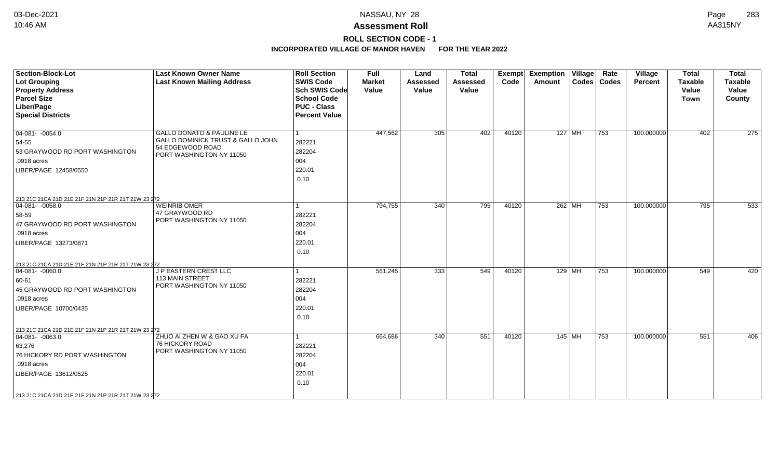## **ROLL SECTION CODE - 1**

| <b>Section-Block-Lot</b><br><b>Lot Grouping</b><br><b>Property Address</b><br><b>Parcel Size</b><br>Liber/Page<br><b>Special Districts</b>                                                                        | <b>Last Known Owner Name</b><br><b>Last Known Mailing Address</b>                                              | <b>Roll Section</b><br><b>SWIS Code</b><br><b>Sch SWIS Code</b><br><b>School Code</b><br><b>PUC - Class</b><br><b>Percent Value</b> | <b>Full</b><br><b>Market</b><br>Value | Land<br><b>Assessed</b><br>Value | <b>Total</b><br><b>Assessed</b><br>Value | <b>Exempt</b><br>Code | <b>Exemption Village</b><br>Amount | Rate<br>Codes   Codes | Village<br>Percent | <b>Total</b><br><b>Taxable</b><br>Value<br><b>Town</b> | <b>Total</b><br>Taxable<br>Value<br>County |
|-------------------------------------------------------------------------------------------------------------------------------------------------------------------------------------------------------------------|----------------------------------------------------------------------------------------------------------------|-------------------------------------------------------------------------------------------------------------------------------------|---------------------------------------|----------------------------------|------------------------------------------|-----------------------|------------------------------------|-----------------------|--------------------|--------------------------------------------------------|--------------------------------------------|
| $04-081 - -0054.0$<br>54-55<br>53 GRAYWOOD RD PORT WASHINGTON<br>.0918 acres<br>LIBER/PAGE 12458/0550                                                                                                             | GALLO DONATO & PAULINE LE<br>GALLO DOMINICK TRUST & GALLO JOHN<br>54 EDGEWOOD ROAD<br>PORT WASHINGTON NY 11050 | 282221<br>282204<br>004<br>220.01<br>0.10                                                                                           | 447,562                               | 305                              | 402                                      | 40120                 | $127$ MH                           | 753                   | 100.000000         | 402                                                    | 275                                        |
| 213 21C 21CA 21D 21E 21F 21N 21P 21R 21T 21W 23 272<br>$04-081 - -0058.0$<br>58-59<br>47 GRAYWOOD RD PORT WASHINGTON<br>.0918 acres<br>LIBER/PAGE 13273/0871                                                      | <b>WEINRIB OMER</b><br>47 GRAYWOOD RD<br>PORT WASHINGTON NY 11050                                              | 282221<br>282204<br>004<br>220.01<br>0.10                                                                                           | 794,755                               | 340                              | 795                                      | 40120                 | 262 MH                             | 753                   | 100.000000         | 795                                                    | 533                                        |
| 213 21C 21CA 21D 21E 21F 21N 21P 21R 21T 21W 23 272<br>$ 04-081-0060.0$<br>60-61<br>45 GRAYWOOD RD PORT WASHINGTON<br>.0918 acres<br>LIBER/PAGE 10700/0435                                                        | J P EASTERN CREST LLC<br>113 MAIN STREET<br>PORT WASHINGTON NY 11050                                           | 282221<br>282204<br>004<br>220.01<br>0.10                                                                                           | 561,245                               | 333                              | 549                                      | 40120                 | 129 MH                             | 753                   | 100.000000         | 549                                                    | 420                                        |
| 213 21C 21CA 21D 21E 21F 21N 21P 21R 21T 21W 23 272<br>$ 04-081-0063.0$<br>63,276<br>76 HICKORY RD PORT WASHINGTON<br>.0918 acres<br>LIBER/PAGE 13612/0525<br>213 21C 21CA 21D 21E 21F 21N 21P 21R 21T 21W 23 272 | ZHUO AI ZHEN W & GAO XU FA<br><b>76 HICKORY ROAD</b><br>PORT WASHINGTON NY 11050                               | 282221<br>282204<br>004<br>220.01<br>0.10                                                                                           | 664,686                               | 340                              | 551                                      | 40120                 | 145 MH                             | 753                   | 100.000000         | 551                                                    | 406                                        |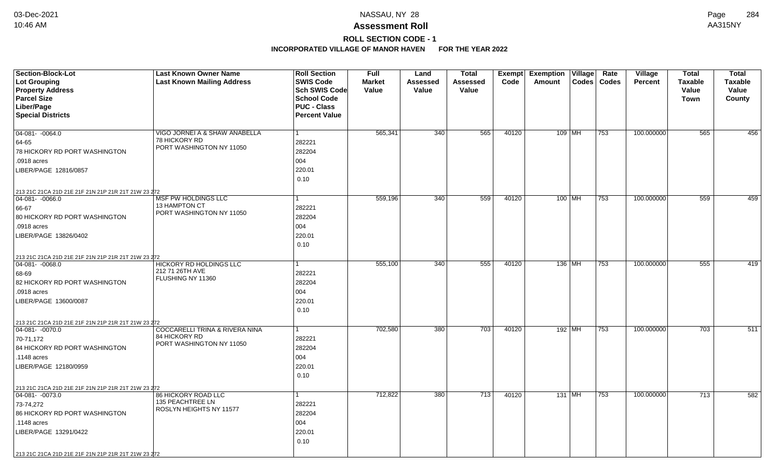# **ROLL SECTION CODE - 1**

| <b>Section-Block-Lot</b>                            | <b>Last Known Owner Name</b>                   | <b>Roll Section</b>  | <b>Full</b>   | Land            | <b>Total</b> |       | <b>Exempt Exemption Village</b> | Rate<br>Village                | <b>Total</b>   | <b>Total</b>   |
|-----------------------------------------------------|------------------------------------------------|----------------------|---------------|-----------------|--------------|-------|---------------------------------|--------------------------------|----------------|----------------|
| <b>Lot Grouping</b>                                 | <b>Last Known Mailing Address</b>              | <b>SWIS Code</b>     | <b>Market</b> | <b>Assessed</b> | Assessed     | Code  | Amount<br>$\textsf{Codes}$      | <b>Codes</b><br><b>Percent</b> | <b>Taxable</b> | <b>Taxable</b> |
| <b>Property Address</b>                             |                                                | <b>Sch SWIS Code</b> | Value         | Value           | Value        |       |                                 |                                | Value          | Value          |
| <b>Parcel Size</b>                                  |                                                | <b>School Code</b>   |               |                 |              |       |                                 |                                | <b>Town</b>    | County         |
| Liber/Page                                          |                                                | <b>PUC - Class</b>   |               |                 |              |       |                                 |                                |                |                |
| <b>Special Districts</b>                            |                                                | <b>Percent Value</b> |               |                 |              |       |                                 |                                |                |                |
|                                                     |                                                |                      |               |                 |              |       |                                 |                                |                |                |
| $04-081 - -0064.0$                                  | VIGO JORNEI A & SHAW ANABELLA<br>78 HICKORY RD | 1                    | 565,341       | 340             | 565          | 40120 | 109 MH                          | 100.000000<br>753              | 565            | 456            |
| 64-65                                               | PORT WASHINGTON NY 11050                       | 282221               |               |                 |              |       |                                 |                                |                |                |
| 78 HICKORY RD PORT WASHINGTON                       |                                                | 282204               |               |                 |              |       |                                 |                                |                |                |
| .0918 acres                                         |                                                | 004                  |               |                 |              |       |                                 |                                |                |                |
| LIBER/PAGE 12816/0857                               |                                                | 220.01               |               |                 |              |       |                                 |                                |                |                |
|                                                     |                                                | 0.10                 |               |                 |              |       |                                 |                                |                |                |
| 213 21C 21CA 21D 21E 21F 21N 21P 21R 21T 21W 23 272 |                                                |                      |               |                 |              |       |                                 |                                |                |                |
| $ 04-081-0066.0$                                    | <b>MSF PW HOLDINGS LLC</b>                     |                      | 559,196       | 340             | 559          | 40120 | 100 MH                          | 753<br>100.000000              | 559            | 459            |
| 66-67                                               | 13 HAMPTON CT<br>PORT WASHINGTON NY 11050      | 282221               |               |                 |              |       |                                 |                                |                |                |
| 80 HICKORY RD PORT WASHINGTON                       |                                                | 282204               |               |                 |              |       |                                 |                                |                |                |
| .0918 acres                                         |                                                | 004                  |               |                 |              |       |                                 |                                |                |                |
| LIBER/PAGE 13826/0402                               |                                                | 220.01               |               |                 |              |       |                                 |                                |                |                |
|                                                     |                                                | 0.10                 |               |                 |              |       |                                 |                                |                |                |
| 213 21C 21CA 21D 21E 21F 21N 21P 21R 21T 21W 23 272 |                                                |                      |               |                 |              |       |                                 |                                |                |                |
| 04-081- -0068.0                                     | <b>HICKORY RD HOLDINGS LLC</b>                 |                      | 555,100       | 340             | 555          | 40120 | 136 MH                          | 753<br>100.000000              | 555            | 419            |
| 68-69                                               | 212 71 26TH AVE<br>FLUSHING NY 11360           | 282221               |               |                 |              |       |                                 |                                |                |                |
| 82 HICKORY RD PORT WASHINGTON                       |                                                | 282204               |               |                 |              |       |                                 |                                |                |                |
| .0918 acres                                         |                                                | 004                  |               |                 |              |       |                                 |                                |                |                |
| LIBER/PAGE 13600/0087                               |                                                | 220.01               |               |                 |              |       |                                 |                                |                |                |
|                                                     |                                                | 0.10                 |               |                 |              |       |                                 |                                |                |                |
| 213 21C 21CA 21D 21E 21F 21N 21P 21R 21T 21W 23 272 |                                                |                      |               |                 |              |       |                                 |                                |                |                |
| $\boxed{04-081 - 0070.0}$                           | <b>COCCARELLI TRINA &amp; RIVERA NINA</b>      | 1                    | 702,580       | 380             | 703          | 40120 | 192 MH                          | 753<br>100.000000              | 703            | 511            |
| 70-71,172                                           | 84 HICKORY RD<br>PORT WASHINGTON NY 11050      | 282221               |               |                 |              |       |                                 |                                |                |                |
| 84 HICKORY RD PORT WASHINGTON                       |                                                | 282204               |               |                 |              |       |                                 |                                |                |                |
| .1148 acres                                         |                                                | 004                  |               |                 |              |       |                                 |                                |                |                |
| LIBER/PAGE 12180/0959                               |                                                | 220.01               |               |                 |              |       |                                 |                                |                |                |
|                                                     |                                                | 0.10                 |               |                 |              |       |                                 |                                |                |                |
| 213 21C 21CA 21D 21E 21F 21N 21P 21R 21T 21W 23 272 |                                                |                      |               |                 |              |       |                                 |                                |                |                |
| $\boxed{04-081 - 0073.0}$                           | <b>86 HICKORY ROAD LLC</b>                     | 1                    | 712,822       | 380             | 713          | 40120 | 131 MH                          | 753<br>100.000000              | 713            | 582            |
| 73-74,272                                           | 135 PEACHTREE LN                               | 282221               |               |                 |              |       |                                 |                                |                |                |
| 86 HICKORY RD PORT WASHINGTON                       | ROSLYN HEIGHTS NY 11577                        | 282204               |               |                 |              |       |                                 |                                |                |                |
| .1148 acres                                         |                                                | 004                  |               |                 |              |       |                                 |                                |                |                |
| LIBER/PAGE 13291/0422                               |                                                | 220.01               |               |                 |              |       |                                 |                                |                |                |
|                                                     |                                                | 0.10                 |               |                 |              |       |                                 |                                |                |                |
| 213 21C 21CA 21D 21E 21F 21N 21P 21R 21T 21W 23 272 |                                                |                      |               |                 |              |       |                                 |                                |                |                |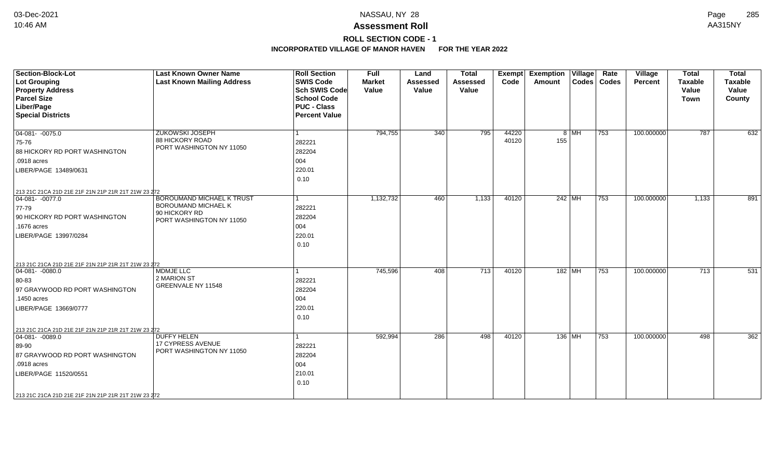# **ROLL SECTION CODE - 1**

| <b>Section-Block-Lot</b><br><b>Lot Grouping</b><br><b>Property Address</b><br><b>Parcel Size</b><br>Liber/Page<br><b>Special Districts</b>                    | <b>Last Known Owner Name</b><br><b>Last Known Mailing Address</b>                                    | <b>Roll Section</b><br><b>SWIS Code</b><br><b>Sch SWIS Code</b><br><b>School Code</b><br><b>PUC - Class</b><br><b>Percent Value</b> | <b>Full</b><br><b>Market</b><br>Value | Land<br><b>Assessed</b><br>Value | <b>Total</b><br>Assessed<br>Value | Exempt<br>Code | <b>Exemption Village</b><br>Amount |        | Rate<br>Codes   Codes | Village<br>Percent | <b>Total</b><br><b>Taxable</b><br>Value<br><b>Town</b> | <b>Total</b><br><b>Taxable</b><br>Value<br>County |
|---------------------------------------------------------------------------------------------------------------------------------------------------------------|------------------------------------------------------------------------------------------------------|-------------------------------------------------------------------------------------------------------------------------------------|---------------------------------------|----------------------------------|-----------------------------------|----------------|------------------------------------|--------|-----------------------|--------------------|--------------------------------------------------------|---------------------------------------------------|
| $04-081 - -0075.0$<br>75-76<br>88 HICKORY RD PORT WASHINGTON<br>.0918 acres<br>LIBER/PAGE 13489/0631<br>213 21C 21CA 21D 21E 21F 21N 21P 21R 21T 21W 23 272   | <b>ZUKOWSKI JOSEPH</b><br>88 HICKORY ROAD<br>PORT WASHINGTON NY 11050                                | 282221<br>282204<br>004<br>220.01<br>0.10                                                                                           | 794,755                               | 340                              | 795                               | 44220<br>40120 | 155                                | $8$ MH | 753                   | 100.000000         | 787                                                    | 632                                               |
| $04-081 - 0077.0$<br>$ 77-79$<br>90 HICKORY RD PORT WASHINGTON<br>.1676 acres<br>LIBER/PAGE 13997/0284<br>213 21C 21CA 21D 21E 21F 21N 21P 21R 21T 21W 23 272 | <b>BOROUMAND MICHAEL K TRUST</b><br>BOROUMAND MICHAEL K<br>90 HICKORY RD<br>PORT WASHINGTON NY 11050 | 282221<br>282204<br>004<br>220.01<br>0.10                                                                                           | 1,132,732                             | 460                              | 1,133                             | 40120          | 242 MH                             |        | 753                   | 100.000000         | 1,133                                                  | 891                                               |
| $ 04-081-0080.0$<br>80-83<br>97 GRAYWOOD RD PORT WASHINGTON<br>.1450 acres<br>LIBER/PAGE 13669/0777<br>213 21C 21CA 21D 21E 21F 21N 21P 21R 21T 21W 23 272    | <b>MDMJE LLC</b><br>2 MARION ST<br>GREENVALE NY 11548                                                | 282221<br>282204<br>004<br>220.01<br>0.10                                                                                           | 745,596                               | 408                              | 713                               | 40120          | 182   $\overline{\text{MH}}$       |        | 753                   | 100.000000         | 713                                                    | 531                                               |
| $ 04-081-0089.0$<br>89-90<br>87 GRAYWOOD RD PORT WASHINGTON<br>.0918 acres<br>LIBER/PAGE 11520/0551<br>213 21C 21CA 21D 21E 21F 21N 21P 21R 21T 21W 23 272    | <b>DUFFY HELEN</b><br><b>17 CYPRESS AVENUE</b><br>PORT WASHINGTON NY 11050                           | 282221<br>282204<br>004<br>210.01<br>0.10                                                                                           | 592,994                               | 286                              | 498                               | 40120          | 136 MH                             |        | 753                   | 100.000000         | 498                                                    | 362                                               |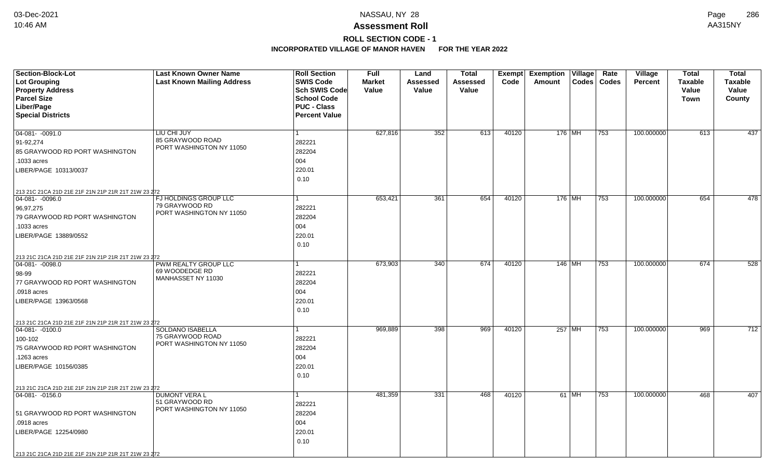# **ROLL SECTION CODE - 1**

| <b>Section-Block-Lot</b>                            | <b>Last Known Owner Name</b>               | <b>Roll Section</b>  | <b>Full</b>   | Land            | Total    |       | <b>Exempt Exemption Village</b> |       | Rate          | Village        | Total          | <b>Total</b>   |
|-----------------------------------------------------|--------------------------------------------|----------------------|---------------|-----------------|----------|-------|---------------------------------|-------|---------------|----------------|----------------|----------------|
| <b>Lot Grouping</b>                                 | <b>Last Known Mailing Address</b>          | <b>SWIS Code</b>     | <b>Market</b> | <b>Assessed</b> | Assessed | Code  | Amount                          |       | Codes   Codes | <b>Percent</b> | <b>Taxable</b> | <b>Taxable</b> |
| <b>Property Address</b>                             |                                            | Sch SWIS Code        | Value         | Value           | Value    |       |                                 |       |               |                | Value          | Value          |
| <b>Parcel Size</b>                                  |                                            | <b>School Code</b>   |               |                 |          |       |                                 |       |               |                | Town           | County         |
| Liber/Page                                          |                                            | <b>PUC - Class</b>   |               |                 |          |       |                                 |       |               |                |                |                |
| <b>Special Districts</b>                            |                                            | <b>Percent Value</b> |               |                 |          |       |                                 |       |               |                |                |                |
| $04-081 - 0091.0$                                   | LIU CHI JUY                                |                      | 627,816       | 352             | 613      | 40120 | 176 MH                          |       | 753           | 100.000000     | 613            | 437            |
|                                                     | 85 GRAYWOOD ROAD                           | 282221               |               |                 |          |       |                                 |       |               |                |                |                |
| 91-92,274                                           | PORT WASHINGTON NY 11050                   |                      |               |                 |          |       |                                 |       |               |                |                |                |
| 85 GRAYWOOD RD PORT WASHINGTON                      |                                            | 282204               |               |                 |          |       |                                 |       |               |                |                |                |
| .1033 acres                                         |                                            | 004                  |               |                 |          |       |                                 |       |               |                |                |                |
| LIBER/PAGE 10313/0037                               |                                            | 220.01               |               |                 |          |       |                                 |       |               |                |                |                |
|                                                     |                                            | 0.10                 |               |                 |          |       |                                 |       |               |                |                |                |
| 213 21C 21CA 21D 21E 21F 21N 21P 21R 21T 21W 23 272 |                                            |                      |               |                 |          |       |                                 |       |               |                |                |                |
| $04-081 - -0096.0$                                  | FJ HOLDINGS GROUP LLC                      |                      | 653,421       | 361             | 654      | 40120 | $176$ MH                        |       | 753           | 100.000000     | 654            | 478            |
| 96,97,275                                           | 79 GRAYWOOD RD<br>PORT WASHINGTON NY 11050 | 282221               |               |                 |          |       |                                 |       |               |                |                |                |
| 79 GRAYWOOD RD PORT WASHINGTON                      |                                            | 282204               |               |                 |          |       |                                 |       |               |                |                |                |
| .1033 acres                                         |                                            | 004                  |               |                 |          |       |                                 |       |               |                |                |                |
| LIBER/PAGE 13889/0552                               |                                            | 220.01               |               |                 |          |       |                                 |       |               |                |                |                |
|                                                     |                                            | 0.10                 |               |                 |          |       |                                 |       |               |                |                |                |
| 213 21C 21CA 21D 21E 21F 21N 21P 21R 21T 21W 23 272 |                                            |                      |               |                 |          |       |                                 |       |               |                |                |                |
| 04-081- -0098.0                                     | PWM REALTY GROUP LLC                       |                      | 673,903       | 340             | 674      | 40120 | $146$ MH                        |       | 753           | 100.000000     | 674            | 528            |
| 98-99                                               | 69 WOODEDGE RD                             | 282221               |               |                 |          |       |                                 |       |               |                |                |                |
| 77 GRAYWOOD RD PORT WASHINGTON                      | MANHASSET NY 11030                         | 282204               |               |                 |          |       |                                 |       |               |                |                |                |
| .0918 acres                                         |                                            | 004                  |               |                 |          |       |                                 |       |               |                |                |                |
| LIBER/PAGE 13963/0568                               |                                            | 220.01               |               |                 |          |       |                                 |       |               |                |                |                |
|                                                     |                                            | 0.10                 |               |                 |          |       |                                 |       |               |                |                |                |
| 213 21C 21CA 21D 21E 21F 21N 21P 21R 21T 21W 23 272 |                                            |                      |               |                 |          |       |                                 |       |               |                |                |                |
| 04-081- -0100.0                                     | <b>SOLDANO ISABELLA</b>                    |                      | 969,889       | 398             | 969      | 40120 | 257 MH                          |       | 753           | 100.000000     | 969            | 712            |
| 100-102                                             | 75 GRAYWOOD ROAD                           | 282221               |               |                 |          |       |                                 |       |               |                |                |                |
| 75 GRAYWOOD RD PORT WASHINGTON                      | PORT WASHINGTON NY 11050                   | 282204               |               |                 |          |       |                                 |       |               |                |                |                |
| .1263 acres                                         |                                            | 004                  |               |                 |          |       |                                 |       |               |                |                |                |
| LIBER/PAGE 10156/0385                               |                                            | 220.01               |               |                 |          |       |                                 |       |               |                |                |                |
|                                                     |                                            | 0.10                 |               |                 |          |       |                                 |       |               |                |                |                |
| 213 21C 21CA 21D 21E 21F 21N 21P 21R 21T 21W 23 272 |                                            |                      |               |                 |          |       |                                 |       |               |                |                |                |
| 04-081- -0156.0                                     | <b>DUMONT VERA L</b>                       |                      | 481,359       | 331             | 468      | 40120 |                                 | 61 MH | 753           | 100.000000     | 468            | 407            |
|                                                     | 51 GRAYWOOD RD                             | 282221               |               |                 |          |       |                                 |       |               |                |                |                |
| 51 GRAYWOOD RD PORT WASHINGTON                      | PORT WASHINGTON NY 11050                   | 282204               |               |                 |          |       |                                 |       |               |                |                |                |
| .0918 acres                                         |                                            | 004                  |               |                 |          |       |                                 |       |               |                |                |                |
| LIBER/PAGE 12254/0980                               |                                            | 220.01               |               |                 |          |       |                                 |       |               |                |                |                |
|                                                     |                                            | 0.10                 |               |                 |          |       |                                 |       |               |                |                |                |
|                                                     |                                            |                      |               |                 |          |       |                                 |       |               |                |                |                |
| 213 21C 21CA 21D 21E 21F 21N 21P 21R 21T 21W 23 272 |                                            |                      |               |                 |          |       |                                 |       |               |                |                |                |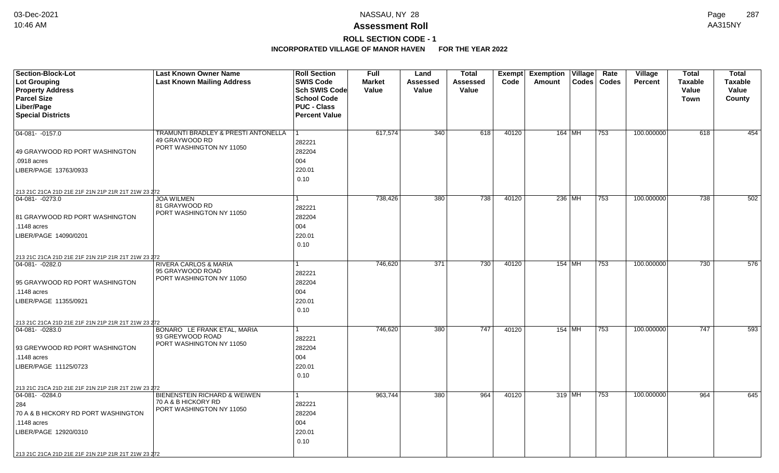# **ROLL SECTION CODE - 1**

| Section-Block-Lot                                   | <b>Last Known Owner Name</b>                          | <b>Roll Section</b>  | Full          | Land     | <b>Total</b> | <b>Exempt</b> | <b>Exemption Village</b> | Rate | Village        | <b>Total</b>   | <b>Total</b>   |
|-----------------------------------------------------|-------------------------------------------------------|----------------------|---------------|----------|--------------|---------------|--------------------------|------|----------------|----------------|----------------|
| Lot Grouping                                        | <b>Last Known Mailing Address</b>                     | <b>SWIS Code</b>     | <b>Market</b> | Assessed | Assessed     | Code          | Codes   Codes<br>Amount  |      | <b>Percent</b> | <b>Taxable</b> | <b>Taxable</b> |
| <b>Property Address</b>                             |                                                       | <b>Sch SWIS Code</b> | Value         | Value    | Value        |               |                          |      |                | Value          | Value          |
| <b>Parcel Size</b>                                  |                                                       | <b>School Code</b>   |               |          |              |               |                          |      |                | Town           | County         |
| Liber/Page                                          |                                                       | <b>PUC - Class</b>   |               |          |              |               |                          |      |                |                |                |
| <b>Special Districts</b>                            |                                                       | <b>Percent Value</b> |               |          |              |               |                          |      |                |                |                |
|                                                     |                                                       |                      |               |          |              |               |                          |      |                |                |                |
| 04-081- -0157.0                                     | TRAMUNTI BRADLEY & PRESTI ANTONELLA<br>49 GRAYWOOD RD |                      | 617,574       | 340      | 618          | 40120         | 164 MH                   | 753  | 100.000000     | 618            | 454            |
|                                                     | PORT WASHINGTON NY 11050                              | 282221               |               |          |              |               |                          |      |                |                |                |
| 49 GRAYWOOD RD PORT WASHINGTON                      |                                                       | 282204               |               |          |              |               |                          |      |                |                |                |
| .0918 acres                                         |                                                       | 004                  |               |          |              |               |                          |      |                |                |                |
| LIBER/PAGE 13763/0933                               |                                                       | 220.01               |               |          |              |               |                          |      |                |                |                |
|                                                     |                                                       | 0.10                 |               |          |              |               |                          |      |                |                |                |
| 213 21C 21CA 21D 21E 21F 21N 21P 21R 21T 21W 23 272 |                                                       |                      |               |          |              |               |                          |      |                |                |                |
| 04-081- -0273.0                                     | <b>JOA WILMEN</b>                                     |                      | 738,426       | 380      | 738          | 40120         | 236 MH                   | 753  | 100.000000     | 738            | 502            |
|                                                     | 81 GRAYWOOD RD<br>PORT WASHINGTON NY 11050            | 282221               |               |          |              |               |                          |      |                |                |                |
| 81 GRAYWOOD RD PORT WASHINGTON                      |                                                       | 282204               |               |          |              |               |                          |      |                |                |                |
| .1148 acres                                         |                                                       | 004                  |               |          |              |               |                          |      |                |                |                |
| LIBER/PAGE 14090/0201                               |                                                       | 220.01               |               |          |              |               |                          |      |                |                |                |
|                                                     |                                                       | 0.10                 |               |          |              |               |                          |      |                |                |                |
| 213 21C 21CA 21D 21E 21F 21N 21P 21R 21T 21W 23 272 |                                                       |                      |               |          |              |               |                          |      |                |                |                |
| $04-081 - -0282.0$                                  | <b>RIVERA CARLOS &amp; MARIA</b>                      |                      | 746,620       | 371      | 730          | 40120         | $154$ MH                 | 753  | 100.000000     | 730            | 576            |
|                                                     | 95 GRAYWOOD ROAD                                      | 282221               |               |          |              |               |                          |      |                |                |                |
| 95 GRAYWOOD RD PORT WASHINGTON                      | PORT WASHINGTON NY 11050                              | 282204               |               |          |              |               |                          |      |                |                |                |
| .1148 acres                                         |                                                       | 004                  |               |          |              |               |                          |      |                |                |                |
| LIBER/PAGE 11355/0921                               |                                                       | 220.01               |               |          |              |               |                          |      |                |                |                |
|                                                     |                                                       | 0.10                 |               |          |              |               |                          |      |                |                |                |
| 213 21C 21CA 21D 21E 21F 21N 21P 21R 21T 21W 23 272 |                                                       |                      |               |          |              |               |                          |      |                |                |                |
| $ 04-081- -0283.0$                                  | BONARO LE FRANK ETAL, MARIA                           | $\mathbf{1}$         | 746,620       | 380      | 747          | 40120         | 154   MH                 | 753  | 100.000000     | 747            | 593            |
|                                                     | 93 GREYWOOD ROAD                                      | 282221               |               |          |              |               |                          |      |                |                |                |
| 93 GREYWOOD RD PORT WASHINGTON                      | PORT WASHINGTON NY 11050                              | 282204               |               |          |              |               |                          |      |                |                |                |
| .1148 acres                                         |                                                       | 004                  |               |          |              |               |                          |      |                |                |                |
| LIBER/PAGE 11125/0723                               |                                                       | 220.01               |               |          |              |               |                          |      |                |                |                |
|                                                     |                                                       | 0.10                 |               |          |              |               |                          |      |                |                |                |
| 213 21C 21CA 21D 21E 21F 21N 21P 21R 21T 21W 23 272 |                                                       |                      |               |          |              |               |                          |      |                |                |                |
| 04-081-0284.0                                       | <b>BIENENSTEIN RICHARD &amp; WEIWEN</b>               | 1                    | 963,744       | 380      | 964          | 40120         | $319$ MH                 | 753  | 100.000000     | 964            | 645            |
| 284                                                 | 70 A & B HICKORY RD                                   | 282221               |               |          |              |               |                          |      |                |                |                |
| 70 A & B HICKORY RD PORT WASHINGTON                 | PORT WASHINGTON NY 11050                              | 282204               |               |          |              |               |                          |      |                |                |                |
| .1148 acres                                         |                                                       | 004                  |               |          |              |               |                          |      |                |                |                |
| LIBER/PAGE 12920/0310                               |                                                       | 220.01               |               |          |              |               |                          |      |                |                |                |
|                                                     |                                                       | 0.10                 |               |          |              |               |                          |      |                |                |                |
|                                                     |                                                       |                      |               |          |              |               |                          |      |                |                |                |
| 213 21C 21CA 21D 21E 21F 21N 21P 21R 21T 21W 23 272 |                                                       |                      |               |          |              |               |                          |      |                |                |                |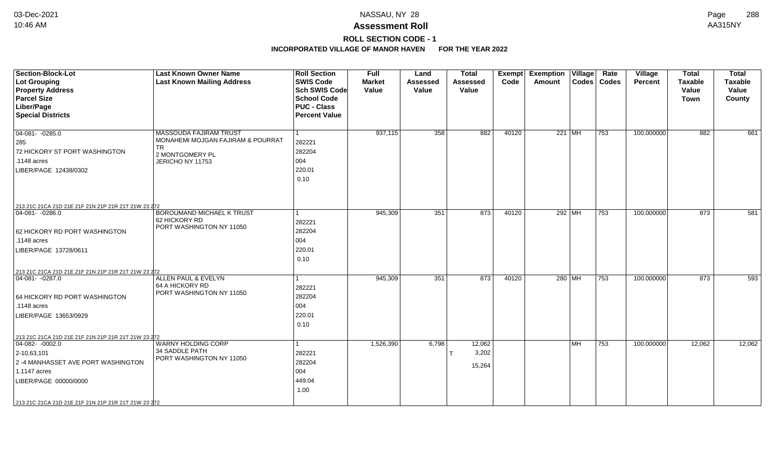# **ROLL SECTION CODE - 1**

| <b>Section-Block-Lot</b><br>Lot Grouping<br><b>Property Address</b><br><b>Parcel Size</b><br>Liber/Page<br><b>Special Districts</b>                                                                                              | <b>Last Known Owner Name</b><br><b>Last Known Mailing Address</b>                                               | <b>Roll Section</b><br><b>SWIS Code</b><br>Sch SWIS Code<br><b>School Code</b><br><b>PUC - Class</b><br><b>Percent Value</b> | <b>Full</b><br><b>Market</b><br>Value | Land<br><b>Assessed</b><br>Value | <b>Total</b><br><b>Assessed</b><br>Value | Exempt<br>Code | <b>Exemption Village</b><br>Amount |           | Rate<br>Codes   Codes | Village<br><b>Percent</b> | <b>Total</b><br><b>Taxable</b><br>Value<br>Town | <b>Total</b><br><b>Taxable</b><br>Value<br>County |
|----------------------------------------------------------------------------------------------------------------------------------------------------------------------------------------------------------------------------------|-----------------------------------------------------------------------------------------------------------------|------------------------------------------------------------------------------------------------------------------------------|---------------------------------------|----------------------------------|------------------------------------------|----------------|------------------------------------|-----------|-----------------------|---------------------------|-------------------------------------------------|---------------------------------------------------|
| $04 - 081 - -0285.0$<br>285<br>72 HICKORY ST PORT WASHINGTON<br>.1148 acres<br>LIBER/PAGE 12438/0302                                                                                                                             | MASSOUDA FAJIRAM TRUST<br>MONAHEMI MOJGAN FAJIRAM & POURRAT<br><b>TR</b><br>2 MONTGOMERY PL<br>JERICHO NY 11753 | 282221<br>282204<br>004<br>220.01<br>0.10                                                                                    | 937,115                               | 358                              | 882                                      | 40120          |                                    | 221 MH    | 753                   | 100.000000                | 882                                             | 661                                               |
| 213 21C 21CA 21D 21E 21F 21N 21P 21R 21T 21W 23 272<br>$ 04-081- -0286.0$<br>62 HICKORY RD PORT WASHINGTON<br>.1148 acres<br>LIBER/PAGE 13728/0611                                                                               | <b>BOROUMAND MICHAEL K TRUST</b><br>62 HICKORY RD<br>PORT WASHINGTON NY 11050                                   | 1<br>282221<br>282204<br>004<br>220.01<br>0.10                                                                               | 945,309                               | 351                              | 873                                      | 40120          |                                    | 292 MH    | 753                   | 100.000000                | 873                                             | 581                                               |
| 213 21C 21CA 21D 21E 21F 21N 21P 21R 21T 21W 23 272<br>$ 04-081-0287.0$<br>64 HICKORY RD PORT WASHINGTON<br>$.1148$ acres<br>LIBER/PAGE 13653/0929                                                                               | ALLEN PAUL & EVELYN<br>64 A HICKORY RD<br>PORT WASHINGTON NY 11050                                              | 1<br>282221<br>282204<br>004<br>220.01<br>0.10                                                                               | 945,309                               | 351                              | 873                                      | 40120          | 280 MH                             |           | 753                   | 100.000000                | 873                                             | 593                                               |
| 213 21C 21CA 21D 21E 21F 21N 21P 21R 21T 21W 23 272<br>$ 04-082-0002.0$<br>$2 - 10,63,101$<br>2 -4 MANHASSET AVE PORT WASHINGTON<br>1.1147 acres<br>LIBER/PAGE 00000/0000<br>213 21C 21CA 21D 21E 21F 21N 21P 21R 21T 21W 23 272 | WARNY HOLDING CORP<br>34 SADDLE PATH<br>PORT WASHINGTON NY 11050                                                | 1<br>282221<br>282204<br>004<br>449.04<br>1.00                                                                               | 1,526,390                             | 6,798                            | 12,062<br>3,202<br>15,264                |                |                                    | <b>MH</b> | 753                   | 100.000000                | 12,062                                          | 12,062                                            |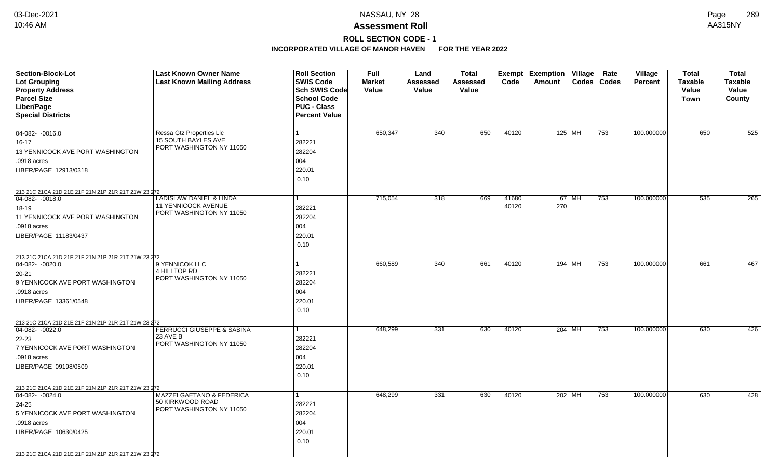# **ROLL SECTION CODE - 1**

| <b>Section-Block-Lot</b>                                                | <b>Last Known Owner Name</b>                                  | <b>Roll Section</b>  | <b>Full</b>   | Land             | <b>Total</b> |       | <b>Exempt Exemption Village</b> | Rate  | Village        | <b>Total</b>   | <b>Total</b>   |
|-------------------------------------------------------------------------|---------------------------------------------------------------|----------------------|---------------|------------------|--------------|-------|---------------------------------|-------|----------------|----------------|----------------|
| <b>Lot Grouping</b>                                                     | <b>Last Known Mailing Address</b>                             | <b>SWIS Code</b>     | <b>Market</b> | <b>Assessed</b>  | Assessed     | Code  | <b>Codes</b><br>Amount          | Codes | <b>Percent</b> | <b>Taxable</b> | <b>Taxable</b> |
| <b>Property Address</b>                                                 |                                                               | Sch SWIS Code        | Value         | <b>Value</b>     | Value        |       |                                 |       |                | Value          | Value          |
| <b>Parcel Size</b>                                                      |                                                               | <b>School Code</b>   |               |                  |              |       |                                 |       |                | <b>Town</b>    | County         |
| Liber/Page                                                              |                                                               | <b>PUC - Class</b>   |               |                  |              |       |                                 |       |                |                |                |
| <b>Special Districts</b>                                                |                                                               | <b>Percent Value</b> |               |                  |              |       |                                 |       |                |                |                |
|                                                                         |                                                               |                      |               |                  |              |       |                                 |       |                |                |                |
| 04-082- -0016.0                                                         | <b>Ressa Gtz Properties Llc</b><br><b>15 SOUTH BAYLES AVE</b> | 1                    | 650,347       | 340              | 650          | 40120 | 125   MH                        | 753   | 100.000000     | 650            | 525            |
| $16 - 17$                                                               | PORT WASHINGTON NY 11050                                      | 282221               |               |                  |              |       |                                 |       |                |                |                |
| 13 YENNICOCK AVE PORT WASHINGTON                                        |                                                               | 282204               |               |                  |              |       |                                 |       |                |                |                |
| .0918 acres                                                             |                                                               | 004                  |               |                  |              |       |                                 |       |                |                |                |
| LIBER/PAGE 12913/0318                                                   |                                                               | 220.01               |               |                  |              |       |                                 |       |                |                |                |
|                                                                         |                                                               | 0.10                 |               |                  |              |       |                                 |       |                |                |                |
| 213 21C 21CA 21D 21E 21F 21N 21P 21R 21T 21W 23 272                     |                                                               |                      |               |                  |              |       |                                 |       |                |                |                |
| 04-082- -0018.0                                                         | <b>LADISLAW DANIEL &amp; LINDA</b>                            | $\mathbf{1}$         | 715,054       | $\overline{318}$ | 669          | 41680 | $67$ MH                         | 753   | 100.000000     | 535            | 265            |
| 18-19                                                                   | 11 YENNICOCK AVENUE                                           | 282221               |               |                  |              | 40120 | 270                             |       |                |                |                |
| 11 YENNICOCK AVE PORT WASHINGTON                                        | PORT WASHINGTON NY 11050                                      | 282204               |               |                  |              |       |                                 |       |                |                |                |
| .0918 acres                                                             |                                                               | 004                  |               |                  |              |       |                                 |       |                |                |                |
| LIBER/PAGE 11183/0437                                                   |                                                               | 220.01               |               |                  |              |       |                                 |       |                |                |                |
|                                                                         |                                                               | 0.10                 |               |                  |              |       |                                 |       |                |                |                |
| 213 21C 21CA 21D 21E 21F 21N 21P 21R 21T 21W 23 272                     |                                                               |                      |               |                  |              |       |                                 |       |                |                |                |
| 04-082-0020.0                                                           | 9 YENNICOK LLC                                                |                      | 660,589       | 340              | 661          | 40120 | 194 MH                          | 753   | 100.000000     | 661            | 467            |
| $20 - 21$                                                               | 4 HILLTOP RD                                                  | 282221               |               |                  |              |       |                                 |       |                |                |                |
| 9 YENNICOCK AVE PORT WASHINGTON                                         | PORT WASHINGTON NY 11050                                      | 282204               |               |                  |              |       |                                 |       |                |                |                |
| .0918 acres                                                             |                                                               | 004                  |               |                  |              |       |                                 |       |                |                |                |
| LIBER/PAGE 13361/0548                                                   |                                                               | 220.01               |               |                  |              |       |                                 |       |                |                |                |
|                                                                         |                                                               | 0.10                 |               |                  |              |       |                                 |       |                |                |                |
|                                                                         |                                                               |                      |               |                  |              |       |                                 |       |                |                |                |
| 213 21C 21CA 21D 21E 21F 21N 21P 21R 21T 21W 23 272<br>$ 04-082-0022.0$ | <b>FERRUCCI GIUSEPPE &amp; SABINA</b>                         | 1                    | 648,299       | 331              | 630          | 40120 | 204   MH                        | 753   | 100.000000     | 630            | 426            |
| 22-23                                                                   | 23 AVE B                                                      | 282221               |               |                  |              |       |                                 |       |                |                |                |
| 7 YENNICOCK AVE PORT WASHINGTON                                         | PORT WASHINGTON NY 11050                                      | 282204               |               |                  |              |       |                                 |       |                |                |                |
| .0918 acres                                                             |                                                               | 004                  |               |                  |              |       |                                 |       |                |                |                |
| LIBER/PAGE 09198/0509                                                   |                                                               | 220.01               |               |                  |              |       |                                 |       |                |                |                |
|                                                                         |                                                               | 0.10                 |               |                  |              |       |                                 |       |                |                |                |
|                                                                         |                                                               |                      |               |                  |              |       |                                 |       |                |                |                |
| 213 21C 21CA 21D 21E 21F 21N 21P 21R 21T 21W 23 272                     | <b>MAZZEI GAETANO &amp; FEDERICA</b>                          | $\mathbf{1}$         | 648,299       | 331              | 630          | 40120 | 202 MH                          | 753   | 100.000000     | 630            | 428            |
| $ 04-082-0024.0$                                                        | 50 KIRKWOOD ROAD                                              |                      |               |                  |              |       |                                 |       |                |                |                |
| 24-25                                                                   | PORT WASHINGTON NY 11050                                      | 282221               |               |                  |              |       |                                 |       |                |                |                |
| 5 YENNICOCK AVE PORT WASHINGTON                                         |                                                               | 282204               |               |                  |              |       |                                 |       |                |                |                |
| .0918 acres                                                             |                                                               | 004                  |               |                  |              |       |                                 |       |                |                |                |
| LIBER/PAGE 10630/0425                                                   |                                                               | 220.01               |               |                  |              |       |                                 |       |                |                |                |
|                                                                         |                                                               | 0.10                 |               |                  |              |       |                                 |       |                |                |                |
| 213 21C 21CA 21D 21E 21F 21N 21P 21R 21T 21W 23 272                     |                                                               |                      |               |                  |              |       |                                 |       |                |                |                |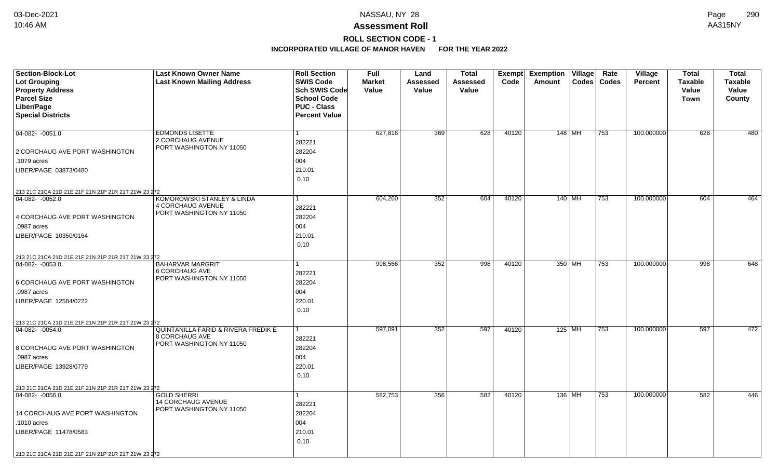# **ROLL SECTION CODE - 1**

| <b>Section-Block-Lot</b>                            | <b>Last Known Owner Name</b>                      | <b>Roll Section</b>                        | <b>Full</b>   | Land     | <b>Total</b>    | Exempt | <b>Exemption Village</b> |          | Rate          | <b>Village</b> | <b>Total</b>   | <b>Total</b>   |
|-----------------------------------------------------|---------------------------------------------------|--------------------------------------------|---------------|----------|-----------------|--------|--------------------------|----------|---------------|----------------|----------------|----------------|
| Lot Grouping                                        | <b>Last Known Mailing Address</b>                 | <b>SWIS Code</b>                           | <b>Market</b> | Assessed | <b>Assessed</b> | Code   | Amount                   |          | Codes   Codes | <b>Percent</b> | <b>Taxable</b> | <b>Taxable</b> |
| <b>Property Address</b>                             |                                                   | <b>Sch SWIS Code</b>                       | Value         | Value    | Value           |        |                          |          |               |                | Value          | Value          |
| <b>Parcel Size</b>                                  |                                                   | <b>School Code</b>                         |               |          |                 |        |                          |          |               |                | Town           | County         |
| Liber/Page                                          |                                                   | <b>PUC - Class</b><br><b>Percent Value</b> |               |          |                 |        |                          |          |               |                |                |                |
| <b>Special Districts</b>                            |                                                   |                                            |               |          |                 |        |                          |          |               |                |                |                |
| $04-082 - 0051.0$                                   | <b>EDMONDS LISETTE</b>                            | $\mathbf{1}$                               | 627,816       | 369      | 628             | 40120  | 148 MH                   |          | 753           | 100.000000     | 628            | 480            |
|                                                     | 2 CORCHAUG AVENUE                                 | 282221                                     |               |          |                 |        |                          |          |               |                |                |                |
| 2 CORCHAUG AVE PORT WASHINGTON                      | PORT WASHINGTON NY 11050                          | 282204                                     |               |          |                 |        |                          |          |               |                |                |                |
| .1079 acres                                         |                                                   | 004                                        |               |          |                 |        |                          |          |               |                |                |                |
| LIBER/PAGE 03873/0480                               |                                                   | 210.01                                     |               |          |                 |        |                          |          |               |                |                |                |
|                                                     |                                                   | 0.10                                       |               |          |                 |        |                          |          |               |                |                |                |
| 213 21C 21CA 21D 21E 21F 21N 21P 21R 21T 21W 23 272 |                                                   |                                            |               |          |                 |        |                          |          |               |                |                |                |
| 04-082- -0052.0                                     | KOMOROWSKI STANLEY & LINDA                        | 1.                                         | 604,260       | 352      | 604             | 40120  |                          | $140$ MH | $ 753\rangle$ | 100.000000     | 604            | 464            |
|                                                     | 4 CORCHAUG AVENUE                                 | 282221                                     |               |          |                 |        |                          |          |               |                |                |                |
| 4 CORCHAUG AVE PORT WASHINGTON                      | PORT WASHINGTON NY 11050                          | 282204                                     |               |          |                 |        |                          |          |               |                |                |                |
| .0987 acres                                         |                                                   | 004                                        |               |          |                 |        |                          |          |               |                |                |                |
| LIBER/PAGE 10350/0164                               |                                                   | 210.01                                     |               |          |                 |        |                          |          |               |                |                |                |
|                                                     |                                                   | 0.10                                       |               |          |                 |        |                          |          |               |                |                |                |
| 213 21C 21CA 21D 21E 21F 21N 21P 21R 21T 21W 23 272 |                                                   |                                            |               |          |                 |        |                          |          |               |                |                |                |
| $04-082 - 0053.0$                                   | <b>BAHARVAR MARGRIT</b>                           |                                            | 998,566       | 352      | 998             | 40120  | 350 MH                   |          | 753           | 100.000000     | 998            | 648            |
|                                                     | <b>6 CORCHAUG AVE</b><br>PORT WASHINGTON NY 11050 | 282221                                     |               |          |                 |        |                          |          |               |                |                |                |
| 6 CORCHAUG AVE PORT WASHINGTON                      |                                                   | 282204                                     |               |          |                 |        |                          |          |               |                |                |                |
| .0987 acres                                         |                                                   | 004                                        |               |          |                 |        |                          |          |               |                |                |                |
| LIBER/PAGE 12584/0222                               |                                                   | 220.01                                     |               |          |                 |        |                          |          |               |                |                |                |
|                                                     |                                                   | 0.10                                       |               |          |                 |        |                          |          |               |                |                |                |
| 213 21C 21CA 21D 21E 21F 21N 21P 21R 21T 21W 23 272 |                                                   |                                            |               |          |                 |        |                          |          |               |                |                |                |
| $ 04-082 - 0054.0$                                  | QUINTANILLA FARID & RIVERA FREDIK E               | 1                                          | 597,091       | 352      | 597             | 40120  | $125$ MH                 |          | 753           | 100.000000     | 597            | 472            |
|                                                     | 8 CORCHAUG AVE<br>PORT WASHINGTON NY 11050        | 282221                                     |               |          |                 |        |                          |          |               |                |                |                |
| 8 CORCHAUG AVE PORT WASHINGTON                      |                                                   | 282204                                     |               |          |                 |        |                          |          |               |                |                |                |
| .0987 acres                                         |                                                   | 004                                        |               |          |                 |        |                          |          |               |                |                |                |
| LIBER/PAGE 13928/0779                               |                                                   | 220.01                                     |               |          |                 |        |                          |          |               |                |                |                |
|                                                     |                                                   | 0.10                                       |               |          |                 |        |                          |          |               |                |                |                |
| 213 21C 21CA 21D 21E 21F 21N 21P 21R 21T 21W 23 272 |                                                   |                                            |               |          |                 |        |                          |          |               |                |                |                |
| 04-082-0056.0                                       | <b>GOLD SHERRI</b><br><b>14 CORCHAUG AVENUE</b>   | $\mathbf{1}$                               | 582,753       | 356      | 582             | 40120  | 136 MH                   |          | $ 753\rangle$ | 100.000000     | 582            | 446            |
|                                                     | PORT WASHINGTON NY 11050                          | 282221                                     |               |          |                 |        |                          |          |               |                |                |                |
| 14 CORCHAUG AVE PORT WASHINGTON                     |                                                   | 282204                                     |               |          |                 |        |                          |          |               |                |                |                |
| .1010 acres                                         |                                                   | 004                                        |               |          |                 |        |                          |          |               |                |                |                |
| LIBER/PAGE 11478/0583                               |                                                   | 210.01                                     |               |          |                 |        |                          |          |               |                |                |                |
|                                                     |                                                   | 0.10                                       |               |          |                 |        |                          |          |               |                |                |                |
| 213 21C 21CA 21D 21E 21F 21N 21P 21R 21T 21W 23 272 |                                                   |                                            |               |          |                 |        |                          |          |               |                |                |                |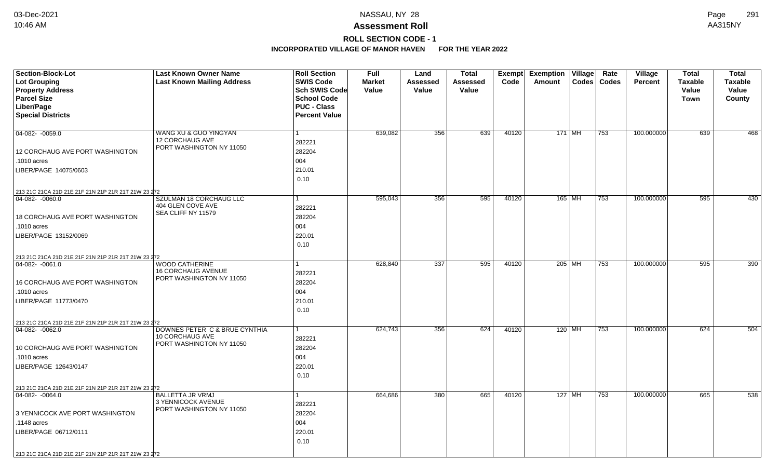## **ROLL SECTION CODE - 1**

| <b>Section-Block-Lot</b>                                               | <b>Last Known Owner Name</b>             | <b>Roll Section</b>  | <b>Full</b>   | Land            | <b>Total</b> |       | Exempt Exemption Village     |                  | Rate  | Village        | Total          | <b>Total</b>   |
|------------------------------------------------------------------------|------------------------------------------|----------------------|---------------|-----------------|--------------|-------|------------------------------|------------------|-------|----------------|----------------|----------------|
| <b>Lot Grouping</b>                                                    | <b>Last Known Mailing Address</b>        | <b>SWIS Code</b>     | <b>Market</b> | <b>Assessed</b> | Assessed     | Code  | Amount                       | $\textsf{Codes}$ | Codes | <b>Percent</b> | <b>Taxable</b> | <b>Taxable</b> |
| <b>Property Address</b>                                                |                                          | Sch SWIS Code        | Value         | Value           | Value        |       |                              |                  |       |                | Value          | Value          |
| <b>Parcel Size</b>                                                     |                                          | <b>School Code</b>   |               |                 |              |       |                              |                  |       |                | Town           | County         |
| Liber/Page                                                             |                                          | <b>PUC - Class</b>   |               |                 |              |       |                              |                  |       |                |                |                |
| <b>Special Districts</b>                                               |                                          | <b>Percent Value</b> |               |                 |              |       |                              |                  |       |                |                |                |
|                                                                        |                                          |                      |               |                 |              |       |                              |                  |       |                |                |                |
| 04-082- -0059.0                                                        | WANG XU & GUO YINGYAN<br>12 CORCHAUG AVE |                      | 639,082       | 356             | 639          | 40120 | $171$ MH                     |                  | 753   | 100.000000     | 639            | 468            |
|                                                                        | PORT WASHINGTON NY 11050                 | 282221               |               |                 |              |       |                              |                  |       |                |                |                |
| 12 CORCHAUG AVE PORT WASHINGTON                                        |                                          | 282204               |               |                 |              |       |                              |                  |       |                |                |                |
| .1010 acres                                                            |                                          | 004                  |               |                 |              |       |                              |                  |       |                |                |                |
| LIBER/PAGE 14075/0603                                                  |                                          | 210.01               |               |                 |              |       |                              |                  |       |                |                |                |
|                                                                        |                                          | 0.10                 |               |                 |              |       |                              |                  |       |                |                |                |
| 213 21C 21CA 21D 21E 21F 21N 21P 21R 21T 21W 23 272                    |                                          |                      |               |                 |              |       |                              |                  |       |                |                |                |
| 04-082- -0060.0                                                        | SZULMAN 18 CORCHAUG LLC                  | 1                    | 595,043       | 356             | 595          | 40120 | $165$ MH                     |                  | 753   | 100.000000     | 595            | 430            |
|                                                                        | 404 GLEN COVE AVE<br>SEA CLIFF NY 11579  | 282221               |               |                 |              |       |                              |                  |       |                |                |                |
| <b>18 CORCHAUG AVE PORT WASHINGTON</b>                                 |                                          | 282204               |               |                 |              |       |                              |                  |       |                |                |                |
| .1010 acres                                                            |                                          | 004                  |               |                 |              |       |                              |                  |       |                |                |                |
| LIBER/PAGE 13152/0069                                                  |                                          | 220.01               |               |                 |              |       |                              |                  |       |                |                |                |
|                                                                        |                                          | 0.10                 |               |                 |              |       |                              |                  |       |                |                |                |
| 213 21C 21CA 21D 21E 21F 21N 21P 21R 21T 21W 23 272                    |                                          |                      |               |                 |              |       |                              |                  |       |                |                |                |
| 04-082-0061.0                                                          | <b>WOOD CATHERINE</b>                    |                      | 628,840       | 337             | 595          | 40120 | $205$ MH                     |                  | 753   | 100.000000     | 595            | 390            |
|                                                                        | 16 CORCHAUG AVENUE                       | 282221               |               |                 |              |       |                              |                  |       |                |                |                |
| 16 CORCHAUG AVE PORT WASHINGTON                                        | PORT WASHINGTON NY 11050                 | 282204               |               |                 |              |       |                              |                  |       |                |                |                |
| .1010 acres                                                            |                                          | 004                  |               |                 |              |       |                              |                  |       |                |                |                |
| LIBER/PAGE 11773/0470                                                  |                                          | 210.01               |               |                 |              |       |                              |                  |       |                |                |                |
|                                                                        |                                          | 0.10                 |               |                 |              |       |                              |                  |       |                |                |                |
| 213 21C 21CA 21D 21E 21F 21N 21P 21R 21T 21W 23 272                    |                                          |                      |               |                 |              |       |                              |                  |       |                |                |                |
| $ 04-082-0062.0$                                                       | DOWNES PETER C & BRUE CYNTHIA            |                      | 624,743       | 356             | 624          | 40120 | 120   $\overline{\text{MH}}$ |                  | 753   | 100.000000     | 624            | 504            |
|                                                                        | 10 CORCHAUG AVE                          | 282221               |               |                 |              |       |                              |                  |       |                |                |                |
| 10 CORCHAUG AVE PORT WASHINGTON                                        | PORT WASHINGTON NY 11050                 | 282204               |               |                 |              |       |                              |                  |       |                |                |                |
| .1010 acres                                                            |                                          | 004                  |               |                 |              |       |                              |                  |       |                |                |                |
| LIBER/PAGE 12643/0147                                                  |                                          | 220.01               |               |                 |              |       |                              |                  |       |                |                |                |
|                                                                        |                                          | 0.10                 |               |                 |              |       |                              |                  |       |                |                |                |
|                                                                        |                                          |                      |               |                 |              |       |                              |                  |       |                |                |                |
| 213 21C 21CA 21D 21E 21F 21N 21P 21R 21T 21W 23 272<br>04-082- -0064.0 | <b>BALLETTA JR VRMJ</b>                  |                      | 664,686       | 380             | 665          | 40120 | $127$ MH                     |                  | 753   | 100.000000     | 665            | 538            |
|                                                                        | 3 YENNICOCK AVENUE                       | 282221               |               |                 |              |       |                              |                  |       |                |                |                |
| 3 YENNICOCK AVE PORT WASHINGTON                                        | PORT WASHINGTON NY 11050                 | 282204               |               |                 |              |       |                              |                  |       |                |                |                |
| .1148 acres                                                            |                                          | 004                  |               |                 |              |       |                              |                  |       |                |                |                |
| LIBER/PAGE 06712/0111                                                  |                                          | 220.01               |               |                 |              |       |                              |                  |       |                |                |                |
|                                                                        |                                          | 0.10                 |               |                 |              |       |                              |                  |       |                |                |                |
|                                                                        |                                          |                      |               |                 |              |       |                              |                  |       |                |                |                |
| 213 21C 21CA 21D 21E 21F 21N 21P 21R 21T 21W 23 272                    |                                          |                      |               |                 |              |       |                              |                  |       |                |                |                |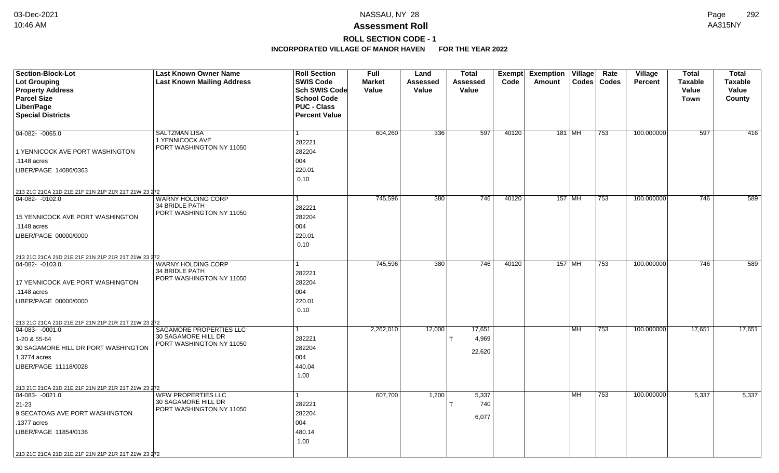# **ROLL SECTION CODE - 1**

| Section-Block-Lot                                                      | <b>Last Known Owner Name</b>                    | <b>Roll Section</b>  | <b>Full</b>   | Land            | <b>Total</b>     | <b>Exempt</b> | <b>Exemption Village</b> |           | Rate          | Village        | <b>Total</b>   | <b>Total</b>   |
|------------------------------------------------------------------------|-------------------------------------------------|----------------------|---------------|-----------------|------------------|---------------|--------------------------|-----------|---------------|----------------|----------------|----------------|
| Lot Grouping                                                           | <b>Last Known Mailing Address</b>               | <b>SWIS Code</b>     | <b>Market</b> | <b>Assessed</b> | <b>Assessed</b>  | Code          | Amount                   |           | Codes   Codes | <b>Percent</b> | <b>Taxable</b> | <b>Taxable</b> |
| <b>Property Address</b>                                                |                                                 | Sch SWIS Code        | Value         | Value           | Value            |               |                          |           |               |                | Value          | Value          |
| <b>Parcel Size</b>                                                     |                                                 | <b>School Code</b>   |               |                 |                  |               |                          |           |               |                | <b>Town</b>    | County         |
| Liber/Page                                                             |                                                 | <b>PUC - Class</b>   |               |                 |                  |               |                          |           |               |                |                |                |
| <b>Special Districts</b>                                               |                                                 | <b>Percent Value</b> |               |                 |                  |               |                          |           |               |                |                |                |
|                                                                        |                                                 |                      |               |                 |                  |               |                          |           |               |                |                |                |
| $\overline{04-082 - 0065.0}$                                           | <b>SALTZMAN LISA</b>                            | 1                    | 604,260       | 336             | 597              | 40120         | 181 MH                   |           | 753           | 100.000000     | 597            | 416            |
|                                                                        | 1 YENNICOCK AVE<br>PORT WASHINGTON NY 11050     | 282221               |               |                 |                  |               |                          |           |               |                |                |                |
| 1 YENNICOCK AVE PORT WASHINGTON                                        |                                                 | 282204               |               |                 |                  |               |                          |           |               |                |                |                |
| .1148 acres                                                            |                                                 | 004                  |               |                 |                  |               |                          |           |               |                |                |                |
| LIBER/PAGE 14086/0363                                                  |                                                 | 220.01               |               |                 |                  |               |                          |           |               |                |                |                |
|                                                                        |                                                 | 0.10                 |               |                 |                  |               |                          |           |               |                |                |                |
| 213 21C 21CA 21D 21E 21F 21N 21P 21R 21T 21W 23 272                    |                                                 |                      |               |                 |                  |               |                          |           |               |                |                |                |
| 04-082-0102.0                                                          | <b>WARNY HOLDING CORP</b>                       | 1                    | 745,596       | 380             | $\overline{746}$ | 40120         | $157$ MH                 |           | 753           | 100.000000     | 746            | 589            |
|                                                                        | 34 BRIDLE PATH                                  | 282221               |               |                 |                  |               |                          |           |               |                |                |                |
| 15 YENNICOCK AVE PORT WASHINGTON                                       | PORT WASHINGTON NY 11050                        | 282204               |               |                 |                  |               |                          |           |               |                |                |                |
| .1148 acres                                                            |                                                 | 004                  |               |                 |                  |               |                          |           |               |                |                |                |
| LIBER/PAGE 00000/0000                                                  |                                                 | 220.01               |               |                 |                  |               |                          |           |               |                |                |                |
|                                                                        |                                                 | 0.10                 |               |                 |                  |               |                          |           |               |                |                |                |
|                                                                        |                                                 |                      |               |                 |                  |               |                          |           |               |                |                |                |
| 213 21C 21CA 21D 21E 21F 21N 21P 21R 21T 21W 23 272<br>04-082- -0103.0 | <b>WARNY HOLDING CORP</b>                       |                      | 745,596       | 380             | 746              | 40120         | 157 MH                   |           | 753           | 100.000000     | 746            | 589            |
|                                                                        | 34 BRIDLE PATH                                  | 282221               |               |                 |                  |               |                          |           |               |                |                |                |
| 17 YENNICOCK AVE PORT WASHINGTON                                       | PORT WASHINGTON NY 11050                        | 282204               |               |                 |                  |               |                          |           |               |                |                |                |
| .1148 acres                                                            |                                                 | 004                  |               |                 |                  |               |                          |           |               |                |                |                |
|                                                                        |                                                 | 220.01               |               |                 |                  |               |                          |           |               |                |                |                |
| LIBER/PAGE 00000/0000                                                  |                                                 |                      |               |                 |                  |               |                          |           |               |                |                |                |
|                                                                        |                                                 | 0.10                 |               |                 |                  |               |                          |           |               |                |                |                |
| 213 21C 21CA 21D 21E 21F 21N 21P 21R 21T 21W 23 272                    |                                                 |                      |               |                 |                  |               |                          |           |               |                |                |                |
| $ 04-083-0001.0$                                                       | SAGAMORE PROPERTIES LLC<br>30 SAGAMORE HILL DR  | 1                    | 2,262,010     | 12,000          | 17,651           |               |                          | <b>MH</b> | 753           | 100.000000     | 17,651         | 17,651         |
| 1-20 & 55-64                                                           | PORT WASHINGTON NY 11050                        | 282221               |               |                 | 4,969            |               |                          |           |               |                |                |                |
| 30 SAGAMORE HILL DR PORT WASHINGTON                                    |                                                 | 282204               |               |                 | 22,620           |               |                          |           |               |                |                |                |
| 1.3774 acres                                                           |                                                 | 004                  |               |                 |                  |               |                          |           |               |                |                |                |
| LIBER/PAGE 11118/0028                                                  |                                                 | 440.04               |               |                 |                  |               |                          |           |               |                |                |                |
|                                                                        |                                                 | 1.00                 |               |                 |                  |               |                          |           |               |                |                |                |
| 213 21C 21CA 21D 21E 21F 21N 21P 21R 21T 21W 23 272                    |                                                 |                      |               |                 |                  |               |                          |           |               |                |                |                |
| $ 04-083-0021.0$                                                       | <b>WFW PROPERTIES LLC</b>                       | 1                    | 607,700       | 1,200           | 5,337            |               |                          | <b>MH</b> | 753           | 100.000000     | 5,337          | 5,337          |
| 21-23                                                                  | 30 SAGAMORE HILL DR<br>PORT WASHINGTON NY 11050 | 282221               |               |                 | 740              |               |                          |           |               |                |                |                |
| 9 SECATOAG AVE PORT WASHINGTON                                         |                                                 | 282204               |               |                 | 6,077            |               |                          |           |               |                |                |                |
| .1377 acres                                                            |                                                 | 004                  |               |                 |                  |               |                          |           |               |                |                |                |
| LIBER/PAGE 11854/0136                                                  |                                                 | 480.14               |               |                 |                  |               |                          |           |               |                |                |                |
|                                                                        |                                                 | 1.00                 |               |                 |                  |               |                          |           |               |                |                |                |
| 213 21C 21CA 21D 21E 21F 21N 21P 21R 21T 21W 23 272                    |                                                 |                      |               |                 |                  |               |                          |           |               |                |                |                |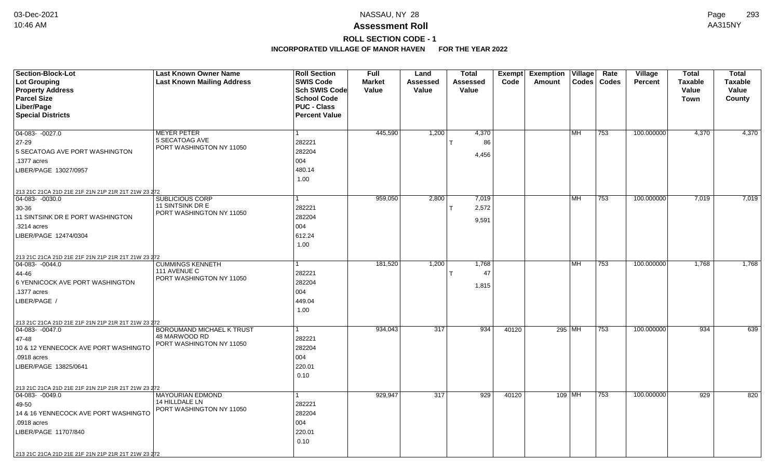# **ROLL SECTION CODE - 1**

| <b>Section-Block-Lot</b><br><b>Lot Grouping</b>     | <b>Last Known Owner Name</b><br><b>Last Known Mailing Address</b> | <b>Roll Section</b><br><b>SWIS Code</b> | <b>Full</b><br><b>Market</b> | Land<br>Assessed | <b>Total</b><br>Assessed | Code  | Exempt Exemption<br>Amount | Village   | Rate<br>Codes   Codes | Village<br><b>Percent</b> | <b>Total</b><br><b>Taxable</b> | <b>Total</b><br><b>Taxable</b> |
|-----------------------------------------------------|-------------------------------------------------------------------|-----------------------------------------|------------------------------|------------------|--------------------------|-------|----------------------------|-----------|-----------------------|---------------------------|--------------------------------|--------------------------------|
| <b>Property Address</b><br><b>Parcel Size</b>       |                                                                   | Sch SWIS Code<br><b>School Code</b>     | Value                        | Value            | Value                    |       |                            |           |                       |                           | Value<br>Town                  | Value<br>County                |
| Liber/Page                                          |                                                                   | <b>PUC - Class</b>                      |                              |                  |                          |       |                            |           |                       |                           |                                |                                |
| <b>Special Districts</b>                            |                                                                   | <b>Percent Value</b>                    |                              |                  |                          |       |                            |           |                       |                           |                                |                                |
|                                                     |                                                                   |                                         |                              |                  |                          |       |                            |           |                       |                           |                                |                                |
| $04-083 - 0027.0$                                   | <b>MEYER PETER</b>                                                |                                         | 445,590                      | 1,200            | 4,370                    |       |                            | <b>MH</b> | 753                   | 100.000000                | 4,370                          | 4,370                          |
| 27-29                                               | 5 SECATOAG AVE                                                    | 282221                                  |                              |                  | 86                       |       |                            |           |                       |                           |                                |                                |
| 5 SECATOAG AVE PORT WASHINGTON                      | PORT WASHINGTON NY 11050                                          | 282204                                  |                              |                  | 4,456                    |       |                            |           |                       |                           |                                |                                |
| .1377 acres                                         |                                                                   | 004                                     |                              |                  |                          |       |                            |           |                       |                           |                                |                                |
| LIBER/PAGE 13027/0957                               |                                                                   | 480.14                                  |                              |                  |                          |       |                            |           |                       |                           |                                |                                |
|                                                     |                                                                   | 1.00                                    |                              |                  |                          |       |                            |           |                       |                           |                                |                                |
| 213 21C 21CA 21D 21E 21F 21N 21P 21R 21T 21W 23 272 |                                                                   |                                         |                              |                  |                          |       |                            |           |                       |                           |                                |                                |
| 04-083- -0030.0                                     | SUBLICIOUS CORP                                                   |                                         | 959,050                      | 2,800            | 7,019                    |       |                            | MH        | 753                   | 100.000000                | 7,019                          | 7,019                          |
| 30-36                                               | 11 SINTSINK DR E                                                  | 282221                                  |                              |                  | 2,572                    |       |                            |           |                       |                           |                                |                                |
| 11 SINTSINK DR E PORT WASHINGTON                    | PORT WASHINGTON NY 11050                                          | 282204                                  |                              |                  | 9,591                    |       |                            |           |                       |                           |                                |                                |
| .3214 acres                                         |                                                                   | 004                                     |                              |                  |                          |       |                            |           |                       |                           |                                |                                |
| LIBER/PAGE 12474/0304                               |                                                                   | 612.24                                  |                              |                  |                          |       |                            |           |                       |                           |                                |                                |
|                                                     |                                                                   | 1.00                                    |                              |                  |                          |       |                            |           |                       |                           |                                |                                |
| 213 21C 21CA 21D 21E 21F 21N 21P 21R 21T 21W 23 272 |                                                                   |                                         |                              |                  |                          |       |                            |           |                       |                           |                                |                                |
| 04-083- -0044.0                                     | <b>CUMMINGS KENNETH</b>                                           |                                         | 181,520                      | 1,200            | 1,768                    |       |                            | MH        | 753                   | 100.000000                | 1,768                          | 1,768                          |
| 44-46                                               | 111 AVENUE C                                                      | 282221                                  |                              |                  | 47                       |       |                            |           |                       |                           |                                |                                |
| 6 YENNICOCK AVE PORT WASHINGTON                     | PORT WASHINGTON NY 11050                                          | 282204                                  |                              |                  | 1,815                    |       |                            |           |                       |                           |                                |                                |
| .1377 acres                                         |                                                                   | 004                                     |                              |                  |                          |       |                            |           |                       |                           |                                |                                |
| LIBER/PAGE /                                        |                                                                   | 449.04                                  |                              |                  |                          |       |                            |           |                       |                           |                                |                                |
|                                                     |                                                                   | 1.00                                    |                              |                  |                          |       |                            |           |                       |                           |                                |                                |
| 213 21C 21CA 21D 21E 21F 21N 21P 21R 21T 21W 23 272 |                                                                   |                                         |                              |                  |                          |       |                            |           |                       |                           |                                |                                |
| $\boxed{04-083 - 0047.0}$                           | <b>BOROUMAND MICHAEL K TRUST</b>                                  |                                         | 934,043                      | 317              | 934                      | 40120 |                            | 295 MH    | 753                   | 100.000000                | 934                            | 639                            |
| 47-48                                               | 48 MARWOOD RD<br>PORT WASHINGTON NY 11050                         | 282221                                  |                              |                  |                          |       |                            |           |                       |                           |                                |                                |
| 10 & 12 YENNECOCK AVE PORT WASHINGTO                |                                                                   | 282204                                  |                              |                  |                          |       |                            |           |                       |                           |                                |                                |
| .0918 acres                                         |                                                                   | 004                                     |                              |                  |                          |       |                            |           |                       |                           |                                |                                |
| LIBER/PAGE 13825/0641                               |                                                                   | 220.01                                  |                              |                  |                          |       |                            |           |                       |                           |                                |                                |
|                                                     |                                                                   | 0.10                                    |                              |                  |                          |       |                            |           |                       |                           |                                |                                |
| 213 21C 21CA 21D 21E 21F 21N 21P 21R 21T 21W 23 272 |                                                                   |                                         |                              |                  |                          |       |                            |           |                       |                           |                                |                                |
| $\boxed{04-083 - 0049.0}$                           | <b>MAYOURIAN EDMOND</b>                                           |                                         | 929,947                      | 317              | 929                      | 40120 |                            | 109 MH    | 753                   | 100.000000                | 929                            | 820                            |
| 49-50                                               | 14 HILLDALE LN<br>PORT WASHINGTON NY 11050                        | 282221                                  |                              |                  |                          |       |                            |           |                       |                           |                                |                                |
| 14 & 16 YENNECOCK AVE PORT WASHINGTO                |                                                                   | 282204                                  |                              |                  |                          |       |                            |           |                       |                           |                                |                                |
| .0918 acres                                         |                                                                   | 004                                     |                              |                  |                          |       |                            |           |                       |                           |                                |                                |
| LIBER/PAGE 11707/840                                |                                                                   | 220.01                                  |                              |                  |                          |       |                            |           |                       |                           |                                |                                |
|                                                     |                                                                   | 0.10                                    |                              |                  |                          |       |                            |           |                       |                           |                                |                                |
| 213 21C 21CA 21D 21E 21F 21N 21P 21R 21T 21W 23 272 |                                                                   |                                         |                              |                  |                          |       |                            |           |                       |                           |                                |                                |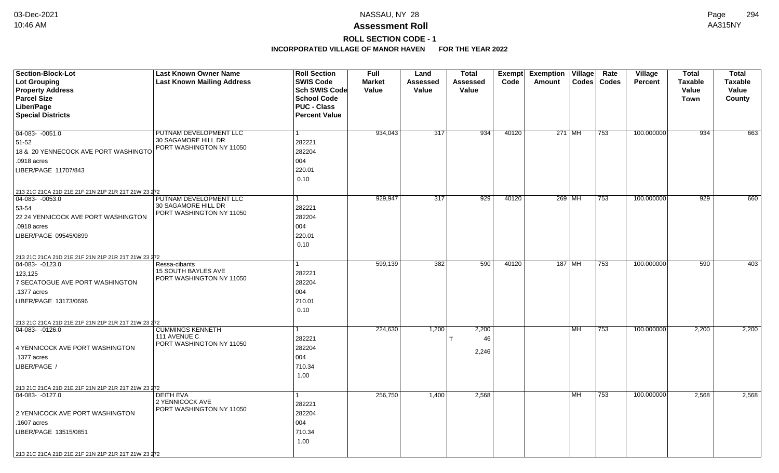# **ROLL SECTION CODE - 1**

| Section-Block-Lot                                                      | <b>Last Known Owner Name</b>                    | <b>Roll Section</b>  | <b>Full</b>   | Land            | <b>Total</b> | <b>Exempt</b> | <b>Exemption Village</b> |           | Rate          | Village        | <b>Total</b>   | <b>Total</b>   |
|------------------------------------------------------------------------|-------------------------------------------------|----------------------|---------------|-----------------|--------------|---------------|--------------------------|-----------|---------------|----------------|----------------|----------------|
| Lot Grouping                                                           | <b>Last Known Mailing Address</b>               | <b>SWIS Code</b>     | <b>Market</b> | <b>Assessed</b> | Assessed     | Code          | Amount                   |           | Codes   Codes | <b>Percent</b> | <b>Taxable</b> | <b>Taxable</b> |
| <b>Property Address</b>                                                |                                                 | <b>Sch SWIS Code</b> | Value         | Value           | Value        |               |                          |           |               |                | <b>Value</b>   | Value          |
| <b>Parcel Size</b>                                                     |                                                 | <b>School Code</b>   |               |                 |              |               |                          |           |               |                | Town           | County         |
| Liber/Page                                                             |                                                 | <b>PUC - Class</b>   |               |                 |              |               |                          |           |               |                |                |                |
| <b>Special Districts</b>                                               |                                                 | <b>Percent Value</b> |               |                 |              |               |                          |           |               |                |                |                |
|                                                                        |                                                 |                      |               |                 |              |               |                          |           |               |                |                |                |
| $04-083 - 0051.0$                                                      | PUTNAM DEVELOPMENT LLC                          | 1                    | 934,043       | 317             | 934          | 40120         | 271 MH                   |           | 753           | 100.000000     | 934            | 663            |
| 51-52                                                                  | 30 SAGAMORE HILL DR<br>PORT WASHINGTON NY 11050 | 282221               |               |                 |              |               |                          |           |               |                |                |                |
| 18 & 20 YENNECOCK AVE PORT WASHINGTO                                   |                                                 | 282204               |               |                 |              |               |                          |           |               |                |                |                |
| .0918 acres                                                            |                                                 | 004                  |               |                 |              |               |                          |           |               |                |                |                |
| LIBER/PAGE 11707/843                                                   |                                                 | 220.01               |               |                 |              |               |                          |           |               |                |                |                |
|                                                                        |                                                 | 0.10                 |               |                 |              |               |                          |           |               |                |                |                |
| 213 21C 21CA 21D 21E 21F 21N 21P 21R 21T 21W 23 272                    |                                                 |                      |               |                 |              |               |                          |           |               |                |                |                |
| 04-083- -0053.0                                                        | PUTNAM DEVELOPMENT LLC                          | 1                    | 929,947       | 317             | 929          | 40120         | 269 MH                   |           | 753           | 100.000000     | 929            | 660            |
| 53-54                                                                  | 30 SAGAMORE HILL DR                             | 282221               |               |                 |              |               |                          |           |               |                |                |                |
| 22 24 YENNICOCK AVE PORT WASHINGTON                                    | PORT WASHINGTON NY 11050                        | 282204               |               |                 |              |               |                          |           |               |                |                |                |
| .0918 acres                                                            |                                                 | 004                  |               |                 |              |               |                          |           |               |                |                |                |
| LIBER/PAGE 09545/0899                                                  |                                                 | 220.01               |               |                 |              |               |                          |           |               |                |                |                |
|                                                                        |                                                 | 0.10                 |               |                 |              |               |                          |           |               |                |                |                |
|                                                                        |                                                 |                      |               |                 |              |               |                          |           |               |                |                |                |
| 213 21C 21CA 21D 21E 21F 21N 21P 21R 21T 21W 23 272<br>04-083- -0123.0 | Ressa-cibants                                   |                      | 599,139       | 382             | 590          | 40120         | 187 MH                   |           | 753           | 100.000000     | 590            | 403            |
| 123,125                                                                | <b>15 SOUTH BAYLES AVE</b>                      | 282221               |               |                 |              |               |                          |           |               |                |                |                |
| 7 SECATOGUE AVE PORT WASHINGTON                                        | PORT WASHINGTON NY 11050                        | 282204               |               |                 |              |               |                          |           |               |                |                |                |
| .1377 acres                                                            |                                                 | 004                  |               |                 |              |               |                          |           |               |                |                |                |
|                                                                        |                                                 |                      |               |                 |              |               |                          |           |               |                |                |                |
| LIBER/PAGE 13173/0696                                                  |                                                 | 210.01               |               |                 |              |               |                          |           |               |                |                |                |
|                                                                        |                                                 | 0.10                 |               |                 |              |               |                          |           |               |                |                |                |
| 213 21C 21CA 21D 21E 21F 21N 21P 21R 21T 21W 23 272                    |                                                 |                      |               |                 |              |               |                          |           |               |                |                |                |
| $ 04-083-0126.0$                                                       | <b>CUMMINGS KENNETH</b><br>111 AVENUE C         | 1                    | 224,630       | 1,200           | 2,200        |               |                          | MH        | 753           | 100.000000     | 2,200          | 2,200          |
|                                                                        | PORT WASHINGTON NY 11050                        | 282221               |               |                 | 46           |               |                          |           |               |                |                |                |
| 4 YENNICOCK AVE PORT WASHINGTON                                        |                                                 | 282204               |               |                 | 2,246        |               |                          |           |               |                |                |                |
| .1377 acres                                                            |                                                 | 004                  |               |                 |              |               |                          |           |               |                |                |                |
| LIBER/PAGE /                                                           |                                                 | 710.34               |               |                 |              |               |                          |           |               |                |                |                |
|                                                                        |                                                 | 1.00                 |               |                 |              |               |                          |           |               |                |                |                |
| 213 21C 21CA 21D 21E 21F 21N 21P 21R 21T 21W 23 272                    |                                                 |                      |               |                 |              |               |                          |           |               |                |                |                |
| 04-083- -0127.0                                                        | <b>DEITH EVA</b><br>2 YENNICOCK AVE             | 1                    | 256,750       | 1,400           | 2,568        |               |                          | <b>MH</b> | 753           | 100.000000     | 2,568          | 2,568          |
|                                                                        | PORT WASHINGTON NY 11050                        | 282221               |               |                 |              |               |                          |           |               |                |                |                |
| 2 YENNICOCK AVE PORT WASHINGTON                                        |                                                 | 282204               |               |                 |              |               |                          |           |               |                |                |                |
| .1607 acres                                                            |                                                 | 004                  |               |                 |              |               |                          |           |               |                |                |                |
| LIBER/PAGE 13515/0851                                                  |                                                 | 710.34               |               |                 |              |               |                          |           |               |                |                |                |
|                                                                        |                                                 | 1.00                 |               |                 |              |               |                          |           |               |                |                |                |
| 213 21C 21CA 21D 21E 21F 21N 21P 21R 21T 21W 23 272                    |                                                 |                      |               |                 |              |               |                          |           |               |                |                |                |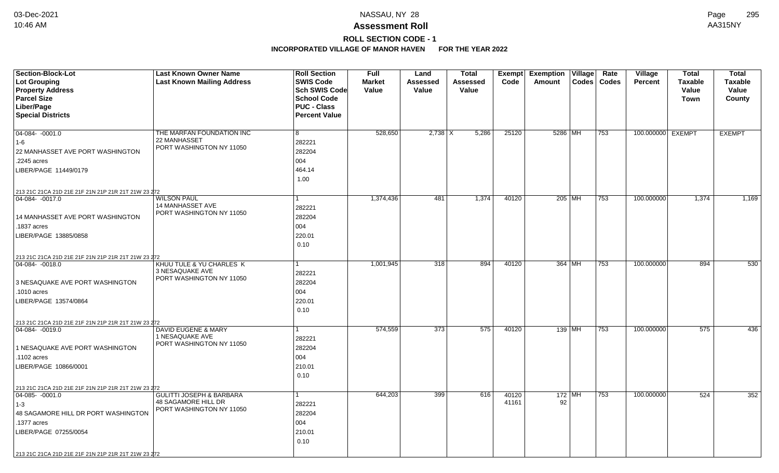# **ROLL SECTION CODE - 1**

| <b>SWIS Code</b><br><b>Lot Grouping</b><br><b>Last Known Mailing Address</b><br><b>Market</b><br>Codes   Codes<br><b>Taxable</b><br><b>Taxable</b><br>Assessed<br>Assessed<br>Code<br>Amount<br><b>Percent</b><br><b>Property Address</b><br>Sch SWIS Code<br>Value<br>Value<br>Value<br>Value<br>Value<br><b>Parcel Size</b><br><b>School Code</b><br><b>Town</b><br>County<br>Liber/Page<br><b>PUC - Class</b><br><b>Special Districts</b><br><b>Percent Value</b><br>$04-084 - 0001.0$<br>528,650<br>$2,738$ X<br>5,286<br>25120<br>100.000000 EXEMPT<br><b>EXEMPT</b><br>THE MARFAN FOUNDATION INC<br>8<br>5286 MH<br>753<br>22 MANHASSET<br>282221 |
|---------------------------------------------------------------------------------------------------------------------------------------------------------------------------------------------------------------------------------------------------------------------------------------------------------------------------------------------------------------------------------------------------------------------------------------------------------------------------------------------------------------------------------------------------------------------------------------------------------------------------------------------------------|
|                                                                                                                                                                                                                                                                                                                                                                                                                                                                                                                                                                                                                                                         |
|                                                                                                                                                                                                                                                                                                                                                                                                                                                                                                                                                                                                                                                         |
|                                                                                                                                                                                                                                                                                                                                                                                                                                                                                                                                                                                                                                                         |
|                                                                                                                                                                                                                                                                                                                                                                                                                                                                                                                                                                                                                                                         |
|                                                                                                                                                                                                                                                                                                                                                                                                                                                                                                                                                                                                                                                         |
|                                                                                                                                                                                                                                                                                                                                                                                                                                                                                                                                                                                                                                                         |
|                                                                                                                                                                                                                                                                                                                                                                                                                                                                                                                                                                                                                                                         |
| $1 - 6$<br>PORT WASHINGTON NY 11050                                                                                                                                                                                                                                                                                                                                                                                                                                                                                                                                                                                                                     |
| 282204<br>22 MANHASSET AVE PORT WASHINGTON                                                                                                                                                                                                                                                                                                                                                                                                                                                                                                                                                                                                              |
| 004<br>.2245 acres                                                                                                                                                                                                                                                                                                                                                                                                                                                                                                                                                                                                                                      |
| 464.14<br>LIBER/PAGE 11449/0179                                                                                                                                                                                                                                                                                                                                                                                                                                                                                                                                                                                                                         |
| 1.00                                                                                                                                                                                                                                                                                                                                                                                                                                                                                                                                                                                                                                                    |
| 213 21C 21CA 21D 21E 21F 21N 21P 21R 21T 21W 23 272                                                                                                                                                                                                                                                                                                                                                                                                                                                                                                                                                                                                     |
| <b>WILSON PAUL</b><br>1,374<br>1,374,436<br>481<br>40120<br>$205$ MH<br>753<br>100.000000<br>1,374<br>1,169<br>04-084-0017.0                                                                                                                                                                                                                                                                                                                                                                                                                                                                                                                            |
| 14 MANHASSET AVE<br>282221<br>PORT WASHINGTON NY 11050                                                                                                                                                                                                                                                                                                                                                                                                                                                                                                                                                                                                  |
| 282204<br>14 MANHASSET AVE PORT WASHINGTON                                                                                                                                                                                                                                                                                                                                                                                                                                                                                                                                                                                                              |
| 004<br>.1837 acres                                                                                                                                                                                                                                                                                                                                                                                                                                                                                                                                                                                                                                      |
| 220.01<br>LIBER/PAGE 13885/0858                                                                                                                                                                                                                                                                                                                                                                                                                                                                                                                                                                                                                         |
| 0.10                                                                                                                                                                                                                                                                                                                                                                                                                                                                                                                                                                                                                                                    |
| 213 21C 21CA 21D 21E 21F 21N 21P 21R 21T 21W 23 272                                                                                                                                                                                                                                                                                                                                                                                                                                                                                                                                                                                                     |
| KHUU TULE & YU CHARLES K<br>1,001,945<br>318<br>894<br>40120<br>364 MH<br>753<br>100.000000<br>894<br>530<br>04-084-0018.0                                                                                                                                                                                                                                                                                                                                                                                                                                                                                                                              |
| 3 NESAQUAKE AVE<br>282221                                                                                                                                                                                                                                                                                                                                                                                                                                                                                                                                                                                                                               |
| PORT WASHINGTON NY 11050<br>282204<br>3 NESAQUAKE AVE PORT WASHINGTON                                                                                                                                                                                                                                                                                                                                                                                                                                                                                                                                                                                   |
| 004<br>.1010 acres                                                                                                                                                                                                                                                                                                                                                                                                                                                                                                                                                                                                                                      |
| 220.01<br>LIBER/PAGE 13574/0864                                                                                                                                                                                                                                                                                                                                                                                                                                                                                                                                                                                                                         |
| 0.10                                                                                                                                                                                                                                                                                                                                                                                                                                                                                                                                                                                                                                                    |
| 213 21C 21CA 21D 21E 21F 21N 21P 21R 21T 21W 23 272                                                                                                                                                                                                                                                                                                                                                                                                                                                                                                                                                                                                     |
| 574,559<br>100.000000<br><b>DAVID EUGENE &amp; MARY</b><br>373<br>575<br>40120<br>139 MH<br>575<br>436<br>$ 04 - 084 - 0019.0$<br>753                                                                                                                                                                                                                                                                                                                                                                                                                                                                                                                   |
| 1 NESAQUAKE AVE<br>282221                                                                                                                                                                                                                                                                                                                                                                                                                                                                                                                                                                                                                               |
| PORT WASHINGTON NY 11050<br>282204<br>1 NESAQUAKE AVE PORT WASHINGTON                                                                                                                                                                                                                                                                                                                                                                                                                                                                                                                                                                                   |
| 004<br>.1102 acres                                                                                                                                                                                                                                                                                                                                                                                                                                                                                                                                                                                                                                      |
| 210.01<br>LIBER/PAGE 10866/0001                                                                                                                                                                                                                                                                                                                                                                                                                                                                                                                                                                                                                         |
| 0.10                                                                                                                                                                                                                                                                                                                                                                                                                                                                                                                                                                                                                                                    |
| 213 21C 21CA 21D 21E 21F 21N 21P 21R 21T 21W 23 272                                                                                                                                                                                                                                                                                                                                                                                                                                                                                                                                                                                                     |
| <b>GULITTI JOSEPH &amp; BARBARA</b><br>644,203<br>399<br>616<br>40120<br>$172$ MH<br>753<br>100.000000<br>524<br>352<br>$ 04-085-0001.0$                                                                                                                                                                                                                                                                                                                                                                                                                                                                                                                |
| 48 SAGAMORE HILL DR<br>92<br>41161<br>282221<br>$1 - 3$<br>PORT WASHINGTON NY 11050                                                                                                                                                                                                                                                                                                                                                                                                                                                                                                                                                                     |
| 282204<br>48 SAGAMORE HILL DR PORT WASHINGTON                                                                                                                                                                                                                                                                                                                                                                                                                                                                                                                                                                                                           |
| .1377 acres<br>004                                                                                                                                                                                                                                                                                                                                                                                                                                                                                                                                                                                                                                      |
| 210.01<br>LIBER/PAGE 07255/0054                                                                                                                                                                                                                                                                                                                                                                                                                                                                                                                                                                                                                         |
| 0.10                                                                                                                                                                                                                                                                                                                                                                                                                                                                                                                                                                                                                                                    |
| 213 21C 21CA 21D 21E 21F 21N 21P 21R 21T 21W 23 272                                                                                                                                                                                                                                                                                                                                                                                                                                                                                                                                                                                                     |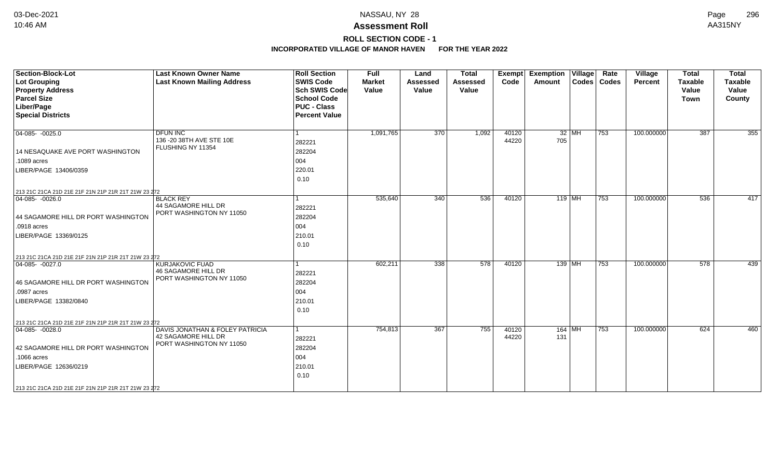# **ROLL SECTION CODE - 1**

| <b>Section-Block-Lot</b><br>Lot Grouping<br><b>Property Address</b><br><b>Parcel Size</b><br>Liber/Page<br><b>Special Districts</b>                     | <b>Last Known Owner Name</b><br><b>Last Known Mailing Address</b>                  | <b>Roll Section</b><br><b>SWIS Code</b><br><b>Sch SWIS Code</b><br><b>School Code</b><br><b>PUC - Class</b><br><b>Percent Value</b> | <b>Full</b><br><b>Market</b><br>Value | Land<br><b>Assessed</b><br>Value | <b>Total</b><br><b>Assessed</b><br>Value | <b>Exempt</b><br>Code | <b>Exemption Village</b><br>Amount |       | Rate<br>Codes   Codes | Village<br>Percent | <b>Total</b><br><b>Taxable</b><br>Value<br><b>Town</b> | <b>Total</b><br><b>Taxable</b><br>Value<br>County |
|---------------------------------------------------------------------------------------------------------------------------------------------------------|------------------------------------------------------------------------------------|-------------------------------------------------------------------------------------------------------------------------------------|---------------------------------------|----------------------------------|------------------------------------------|-----------------------|------------------------------------|-------|-----------------------|--------------------|--------------------------------------------------------|---------------------------------------------------|
| $04-085 - 0025.0$<br>14 NESAQUAKE AVE PORT WASHINGTON<br>.1089 acres<br>LIBER/PAGE 13406/0359<br>213 21C 21CA 21D 21E 21F 21N 21P 21R 21T 21W 23 272    | <b>DFUN INC</b><br>136 - 20 38TH AVE STE 10E<br>FLUSHING NY 11354                  | l 1<br>282221<br>282204<br>004<br>220.01<br>0.10                                                                                    | 1,091,765                             | $\overline{370}$                 | 1,092                                    | 40120<br>44220        | 705                                | 32 MH | 753                   | 100.000000         | 387                                                    | $\overline{355}$                                  |
| $ 04-085-0026.0$<br>44 SAGAMORE HILL DR PORT WASHINGTON<br>.0918 acres<br>LIBER/PAGE 13369/0125<br>213 21C 21CA 21D 21E 21F 21N 21P 21R 21T 21W 23 272  | <b>BLACK REY</b><br>44 SAGAMORE HILL DR<br>PORT WASHINGTON NY 11050                | $\mathbf{1}$<br>282221<br>282204<br>004<br>210.01<br>0.10                                                                           | 535,640                               | $\overline{340}$                 | 536                                      | 40120                 | $119$ MH                           |       | 753                   | 100.000000         | 536                                                    | 417                                               |
| $ 04-085-0027.0$<br>46 SAGAMORE HILL DR PORT WASHINGTON<br>.0987 acres<br>LIBER/PAGE 13382/0840<br>213 21C 21CA 21D 21E 21F 21N 21P 21R 21T 21W 23 272  | <b>KURJAKOVIC FUAD</b><br>46 SAGAMORE HILL DR<br>PORT WASHINGTON NY 11050          | $\mathbf{1}$<br>282221<br>282204<br>004<br>210.01<br>0.10                                                                           | 602,211                               | 338                              | 578                                      | 40120                 | $139$ MH                           |       | 753                   | 100.000000         | 578                                                    | 439                                               |
| $04-085 - 0028.0$<br>42 SAGAMORE HILL DR PORT WASHINGTON<br>.1066 acres<br>LIBER/PAGE 12636/0219<br>213 21C 21CA 21D 21E 21F 21N 21P 21R 21T 21W 23 272 | DAVIS JONATHAN & FOLEY PATRICIA<br>42 SAGAMORE HILL DR<br>PORT WASHINGTON NY 11050 | $\vert$ 1<br>282221<br>282204<br>004<br>210.01<br>0.10                                                                              | 754,813                               | 367                              | 755                                      | 40120<br>44220        | $164$ MH<br>131                    |       | 753                   | 100.000000         | 624                                                    | 460                                               |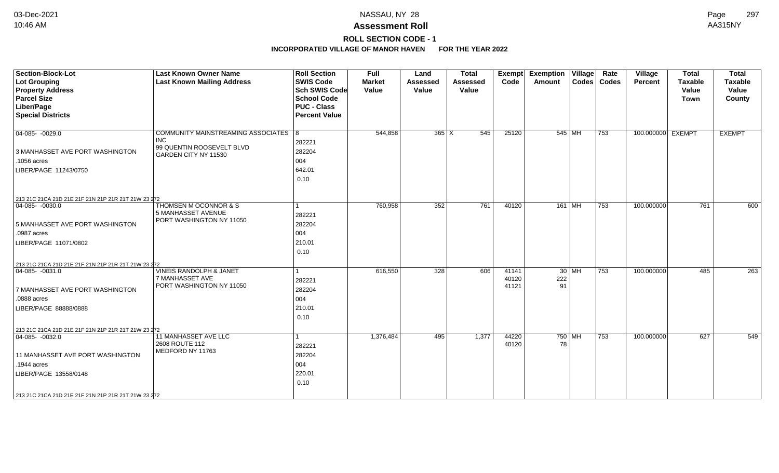# **ROLL SECTION CODE - 1**

| <b>Section-Block-Lot</b><br><b>Lot Grouping</b><br><b>Property Address</b><br><b>Parcel Size</b><br>Liber/Page<br><b>Special Districts</b>                                                                  | <b>Last Known Owner Name</b><br><b>Last Known Mailing Address</b>                                         | <b>Roll Section</b><br><b>SWIS Code</b><br><b>Sch SWIS Code</b><br><b>School Code</b><br><b>PUC - Class</b><br><b>Percent Value</b> | <b>Full</b><br><b>Market</b><br>Value | Land<br><b>Assessed</b><br>Value | <b>Total</b><br><b>Assessed</b><br>Value | <b>Exempt</b><br>Code   | <b>Exemption Village</b><br>Amount | Rate<br>Codes   Codes | Village<br><b>Percent</b> | <b>Total</b><br><b>Taxable</b><br>Value<br><b>Town</b> | <b>Total</b><br><b>Taxable</b><br>Value<br>County |
|-------------------------------------------------------------------------------------------------------------------------------------------------------------------------------------------------------------|-----------------------------------------------------------------------------------------------------------|-------------------------------------------------------------------------------------------------------------------------------------|---------------------------------------|----------------------------------|------------------------------------------|-------------------------|------------------------------------|-----------------------|---------------------------|--------------------------------------------------------|---------------------------------------------------|
| $04-085 - 0029.0$<br>3 MANHASSET AVE PORT WASHINGTON<br>.1056 acres<br>LIBER/PAGE 11243/0750                                                                                                                | COMMUNITY MAINSTREAMING ASSOCIATES   8<br><b>INC</b><br>99 QUENTIN ROOSEVELT BLVD<br>GARDEN CITY NY 11530 | 282221<br>282204<br>004<br>642.01<br>0.10                                                                                           | 544,858                               | $365 \mid X$                     | 545                                      | 25120                   | 545 MH                             | 753                   | 100.000000 EXEMPT         |                                                        | <b>EXEMPT</b>                                     |
| 213 21C 21CA 21D 21E 21F 21N 21P 21R 21T 21W 23 272<br>$ 04-085- -0030.0$<br>5 MANHASSET AVE PORT WASHINGTON<br>.0987 acres<br>LIBER/PAGE 11071/0802<br>213 21C 21CA 21D 21E 21F 21N 21P 21R 21T 21W 23 272 | THOMSEN M OCONNOR & S<br>5 MANHASSET AVENUE<br>PORT WASHINGTON NY 11050                                   | 282221<br>282204<br>004<br>210.01<br>0.10                                                                                           | 760,958                               | 352                              | 761                                      | 40120                   | $161$ MH                           | 753                   | 100.000000                | 761                                                    | 600                                               |
| $ 04-085-0031.0$<br>7 MANHASSET AVE PORT WASHINGTON<br>.0888 acres<br>LIBER/PAGE 88888/0888<br>213 21C 21CA 21D 21E 21F 21N 21P 21R 21T 21W 23 272                                                          | <b>VINEIS RANDOLPH &amp; JANET</b><br>7 MANHASSET AVE<br>PORT WASHINGTON NY 11050                         | 282221<br>282204<br>004<br>210.01<br>0.10                                                                                           | 616,550                               | 328                              | 606                                      | 41141<br>40120<br>41121 | $30$ MH<br>222<br>91               | 753                   | 100.000000                | 485                                                    | 263                                               |
| $ 04-085-0032.0$<br>11 MANHASSET AVE PORT WASHINGTON<br>.1944 acres<br>LIBER/PAGE 13558/0148<br>213 21C 21CA 21D 21E 21F 21N 21P 21R 21T 21W 23 272                                                         | 11 MANHASSET AVE LLC<br>2608 ROUTE 112<br>MEDFORD NY 11763                                                | 282221<br>282204<br>004<br>220.01<br>0.10                                                                                           | 1,376,484                             | 495                              | 1,377                                    | 44220<br>40120          | $750$ MH<br>78                     | 753                   | 100.000000                | 627                                                    | 549                                               |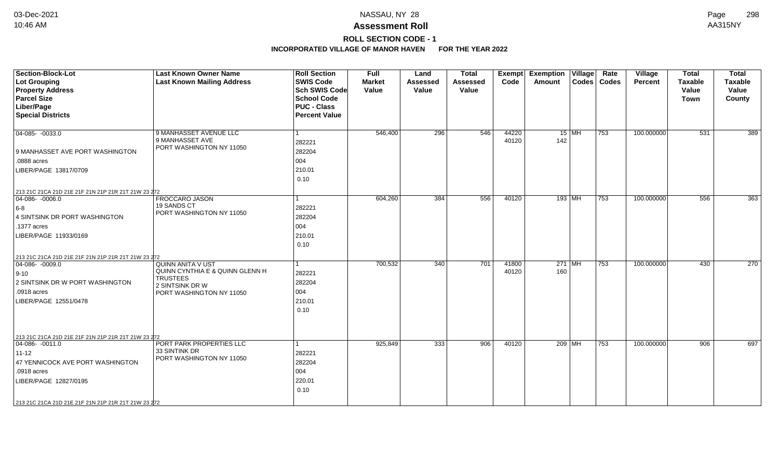# **ROLL SECTION CODE - 1**

| <b>Section-Block-Lot</b><br>Lot Grouping<br><b>Property Address</b><br><b>Parcel Size</b><br>Liber/Page<br><b>Special Districts</b>                                                                                         | <b>Last Known Owner Name</b><br><b>Last Known Mailing Address</b>                                                             | <b>Roll Section</b><br><b>SWIS Code</b><br><b>Sch SWIS Code</b><br><b>School Code</b><br><b>PUC - Class</b><br><b>Percent Value</b> | <b>Full</b><br><b>Market</b><br>Value | Land<br><b>Assessed</b><br>Value | <b>Total</b><br><b>Assessed</b><br>Value | <b>Exempt</b><br>Code | <b>Exemption Village</b><br>Amount |         | Rate<br>Codes   Codes | Village<br><b>Percent</b> | <b>Total</b><br><b>Taxable</b><br>Value<br><b>Town</b> | <b>Total</b><br><b>Taxable</b><br>Value<br>County |
|-----------------------------------------------------------------------------------------------------------------------------------------------------------------------------------------------------------------------------|-------------------------------------------------------------------------------------------------------------------------------|-------------------------------------------------------------------------------------------------------------------------------------|---------------------------------------|----------------------------------|------------------------------------------|-----------------------|------------------------------------|---------|-----------------------|---------------------------|--------------------------------------------------------|---------------------------------------------------|
| $ 04-085-0033.0$<br>9 MANHASSET AVE PORT WASHINGTON<br>.0888 acres<br>LIBER/PAGE 13817/0709                                                                                                                                 | 9 MANHASSET AVENUE LLC<br>9 MANHASSET AVE<br>PORT WASHINGTON NY 11050                                                         | 282221<br>282204<br>004<br>210.01<br>0.10                                                                                           | 546,400                               | 296                              | 546                                      | 44220<br>40120        | 142                                | 15   MH | 753                   | 100.000000                | 531                                                    | 389                                               |
| 213 21C 21CA 21D 21E 21F 21N 21P 21R 21T 21W 23 272<br>$ 04-086-0006.0$<br>$6-8$<br>4 SINTSINK DR PORT WASHINGTON<br>.1377 acres<br>LIBER/PAGE 11933/0169                                                                   | <b>FROCCARO JASON</b><br>19 SANDS CT<br>PORT WASHINGTON NY 11050                                                              | 282221<br>282204<br>004<br>210.01<br>0.10                                                                                           | 604,260                               | 384                              | 556                                      | 40120                 | $193$ MH                           |         | 753                   | 100.000000                | 556                                                    | 363                                               |
| 213 21C 21CA 21D 21E 21F 21N 21P 21R 21T 21W 23 272<br>$ 04-086-0009.0$<br>$ 9 - 10 $<br>2 SINTSINK DR W PORT WASHINGTON<br>.0918 acres<br>LIBER/PAGE 12551/0478                                                            | <b>QUINN ANITA V UST</b><br>QUINN CYNTHIA E & QUINN GLENN H<br><b>TRUSTEES</b><br>2 SINTSINK DR W<br>PORT WASHINGTON NY 11050 | 1<br>282221<br>282204<br>004<br>210.01<br>0.10                                                                                      | 700,532                               | 340                              | $\overline{701}$                         | 41800<br>40120        | $271$ MH<br>160                    |         | 753                   | 100.000000                | 430                                                    | 270                                               |
| 213 21C 21CA 21D 21E 21F 21N 21P 21R 21T 21W 23 272<br>$ 04 - 086 - 0011.0$<br>$11 - 12$<br>47 YENNICOCK AVE PORT WASHINGTON<br>.0918 acres<br>LIBER/PAGE 12827/0195<br>213 21C 21CA 21D 21E 21F 21N 21P 21R 21T 21W 23 272 | PORT PARK PROPERTIES LLC<br>33 SINTINK DR<br>PORT WASHINGTON NY 11050                                                         | 1<br>282221<br>282204<br>004<br>220.01<br>0.10                                                                                      | 925,849                               | 333                              | 906                                      | 40120                 |                                    | 209 MH  | 753                   | 100.000000                | 906                                                    | 697                                               |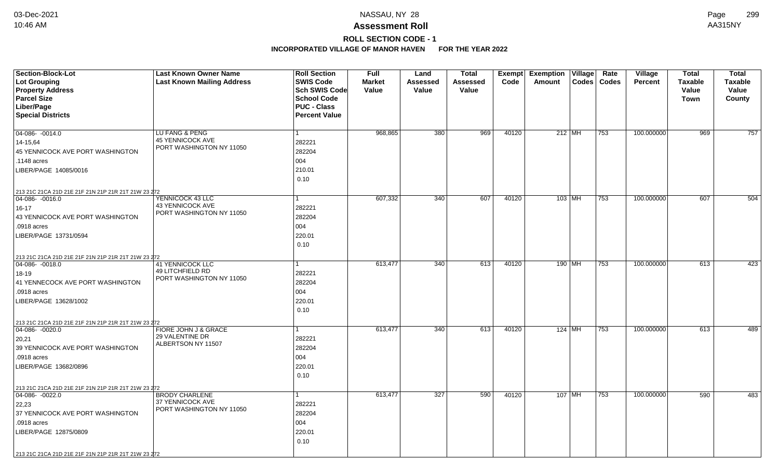## **ROLL SECTION CODE - 1**

| <b>Section-Block-Lot</b>                                                         | <b>Last Known Owner Name</b>                 | <b>Roll Section</b>  | Full          | Land     | <b>Total</b> |       | <b>Exempt Exemption Village</b> | Rate          | Village        | <b>Total</b>   | <b>Total</b>   |
|----------------------------------------------------------------------------------|----------------------------------------------|----------------------|---------------|----------|--------------|-------|---------------------------------|---------------|----------------|----------------|----------------|
| Lot Grouping                                                                     | <b>Last Known Mailing Address</b>            | <b>SWIS Code</b>     | <b>Market</b> | Assessed | Assessed     | Code  | Amount                          | Codes   Codes | <b>Percent</b> | <b>Taxable</b> | <b>Taxable</b> |
| <b>Property Address</b>                                                          |                                              | Sch SWIS Code        | Value         | Value    | Value        |       |                                 |               |                | Value          | Value          |
| <b>Parcel Size</b>                                                               |                                              | <b>School Code</b>   |               |          |              |       |                                 |               |                | Town           | County         |
| Liber/Page                                                                       |                                              | <b>PUC - Class</b>   |               |          |              |       |                                 |               |                |                |                |
| <b>Special Districts</b>                                                         |                                              | <b>Percent Value</b> |               |          |              |       |                                 |               |                |                |                |
|                                                                                  |                                              |                      |               |          |              |       |                                 |               |                |                |                |
| 04-086-0014.0                                                                    | LU FANG & PENG                               |                      | 968,865       | 380      | 969          | 40120 | $212$ MH                        | 753           | 100.000000     | 969            | 757            |
| 14-15.64                                                                         | <b>45 YENNICOCK AVE</b>                      | 282221               |               |          |              |       |                                 |               |                |                |                |
| 45 YENNICOCK AVE PORT WASHINGTON                                                 | PORT WASHINGTON NY 11050                     | 282204               |               |          |              |       |                                 |               |                |                |                |
| .1148 acres                                                                      |                                              | 004                  |               |          |              |       |                                 |               |                |                |                |
| LIBER/PAGE 14085/0016                                                            |                                              | 210.01               |               |          |              |       |                                 |               |                |                |                |
|                                                                                  |                                              | 0.10                 |               |          |              |       |                                 |               |                |                |                |
|                                                                                  |                                              |                      |               |          |              |       |                                 |               |                |                |                |
| 213 21C 21CA 21D 21E 21F 21N 21P 21R 21T 21W 23 272<br>$\boxed{04-086 - 0016.0}$ | YENNICOCK 43 LLC                             |                      | 607,332       | 340      | 607          | 40120 | 103 MH                          | 753           | 100.000000     | 607            | 504            |
| $16 - 17$                                                                        | 43 YENNICOCK AVE                             | 282221               |               |          |              |       |                                 |               |                |                |                |
| 43 YENNICOCK AVE PORT WASHINGTON                                                 | PORT WASHINGTON NY 11050                     | 282204               |               |          |              |       |                                 |               |                |                |                |
|                                                                                  |                                              |                      |               |          |              |       |                                 |               |                |                |                |
| .0918 acres                                                                      |                                              | 004                  |               |          |              |       |                                 |               |                |                |                |
| LIBER/PAGE 13731/0594                                                            |                                              | 220.01               |               |          |              |       |                                 |               |                |                |                |
|                                                                                  |                                              | 0.10                 |               |          |              |       |                                 |               |                |                |                |
| 213 21C 21CA 21D 21E 21F 21N 21P 21R 21T 21W 23 272                              |                                              |                      |               |          |              |       |                                 |               |                |                |                |
| $ 04 - 086 - 0018.0$                                                             | <b>41 YENNICOCK LLC</b>                      |                      | 613,477       | 340      | 613          | 40120 | 190 MH                          | 753           | 100.000000     | 613            | 423            |
| 18-19                                                                            | 49 LITCHFIELD RD<br>PORT WASHINGTON NY 11050 | 282221               |               |          |              |       |                                 |               |                |                |                |
| 41 YENNECOCK AVE PORT WASHINGTON                                                 |                                              | 282204               |               |          |              |       |                                 |               |                |                |                |
| .0918 acres                                                                      |                                              | 004                  |               |          |              |       |                                 |               |                |                |                |
| LIBER/PAGE 13628/1002                                                            |                                              | 220.01               |               |          |              |       |                                 |               |                |                |                |
|                                                                                  |                                              | 0.10                 |               |          |              |       |                                 |               |                |                |                |
| 213 21C 21CA 21D 21E 21F 21N 21P 21R 21T 21W 23 272                              |                                              |                      |               |          |              |       |                                 |               |                |                |                |
| $\boxed{04-086 - 0020.0}$                                                        | FIORE JOHN J & GRACE                         |                      | 613,477       | 340      | 613          | 40120 | $124$ MH                        | 753           | 100.000000     | 613            | 489            |
| 20,21                                                                            | 29 VALENTINE DR                              | 282221               |               |          |              |       |                                 |               |                |                |                |
| 39 YENNICOCK AVE PORT WASHINGTON                                                 | ALBERTSON NY 11507                           | 282204               |               |          |              |       |                                 |               |                |                |                |
| .0918 acres                                                                      |                                              | 004                  |               |          |              |       |                                 |               |                |                |                |
| LIBER/PAGE 13682/0896                                                            |                                              | 220.01               |               |          |              |       |                                 |               |                |                |                |
|                                                                                  |                                              | 0.10                 |               |          |              |       |                                 |               |                |                |                |
|                                                                                  |                                              |                      |               |          |              |       |                                 |               |                |                |                |
| 213 21C 21CA 21D 21E 21F 21N 21P 21R 21T 21W 23 272<br>$04-086 - 0022.0$         | <b>BRODY CHARLENE</b>                        |                      | 613,477       | 327      | 590          | 40120 | $107$ MH                        | 753           | 100.000000     | 590            | 483            |
|                                                                                  | 37 YENNICOCK AVE                             |                      |               |          |              |       |                                 |               |                |                |                |
| 22,23                                                                            | PORT WASHINGTON NY 11050                     | 282221               |               |          |              |       |                                 |               |                |                |                |
| 37 YENNICOCK AVE PORT WASHINGTON                                                 |                                              | 282204               |               |          |              |       |                                 |               |                |                |                |
| .0918 acres                                                                      |                                              | 004                  |               |          |              |       |                                 |               |                |                |                |
| LIBER/PAGE 12875/0809                                                            |                                              | 220.01               |               |          |              |       |                                 |               |                |                |                |
|                                                                                  |                                              | 0.10                 |               |          |              |       |                                 |               |                |                |                |
| 213 21C 21CA 21D 21E 21F 21N 21P 21R 21T 21W 23 272                              |                                              |                      |               |          |              |       |                                 |               |                |                |                |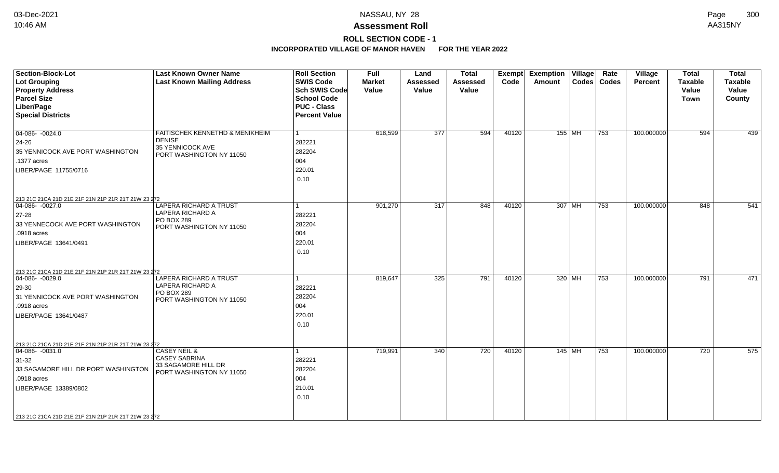## **ROLL SECTION CODE - 1**

| <b>Section-Block-Lot</b><br>Lot Grouping<br><b>Property Address</b> | <b>Last Known Owner Name</b><br><b>Last Known Mailing Address</b> | <b>Roll Section</b><br><b>SWIS Code</b><br><b>Sch SWIS Code</b> | Full<br><b>Market</b><br>Value | Land<br><b>Assessed</b><br>Value | <b>Total</b><br><b>Assessed</b><br>Value | <b>Exempt</b><br>Code | <b>Exemption</b><br><b>Amount</b> | Village<br><b>Codes</b> | Rate<br>Codes | Village<br><b>Percent</b> | <b>Total</b><br><b>Taxable</b><br>Value | <b>Total</b><br><b>Taxable</b><br>Value |
|---------------------------------------------------------------------|-------------------------------------------------------------------|-----------------------------------------------------------------|--------------------------------|----------------------------------|------------------------------------------|-----------------------|-----------------------------------|-------------------------|---------------|---------------------------|-----------------------------------------|-----------------------------------------|
| <b>Parcel Size</b>                                                  |                                                                   | <b>School Code</b>                                              |                                |                                  |                                          |                       |                                   |                         |               |                           | <b>Town</b>                             | County                                  |
| Liber/Page                                                          |                                                                   | <b>PUC - Class</b>                                              |                                |                                  |                                          |                       |                                   |                         |               |                           |                                         |                                         |
| <b>Special Districts</b>                                            |                                                                   | <b>Percent Value</b>                                            |                                |                                  |                                          |                       |                                   |                         |               |                           |                                         |                                         |
| $04-086 - 0024.0$                                                   | FAITISCHEK KENNETHD & MENIKHEIM                                   |                                                                 | 618,599                        | $\overline{377}$                 | 594                                      | 40120                 |                                   | $155$ MH                | 753           | 100.000000                | 594                                     | 439                                     |
| 24-26                                                               | <b>DENISE</b><br>35 YENNICOCK AVE                                 | 282221                                                          |                                |                                  |                                          |                       |                                   |                         |               |                           |                                         |                                         |
| 35 YENNICOCK AVE PORT WASHINGTON                                    | PORT WASHINGTON NY 11050                                          | 282204                                                          |                                |                                  |                                          |                       |                                   |                         |               |                           |                                         |                                         |
| .1377 acres                                                         |                                                                   | 004                                                             |                                |                                  |                                          |                       |                                   |                         |               |                           |                                         |                                         |
| LIBER/PAGE 11755/0716                                               |                                                                   | 220.01                                                          |                                |                                  |                                          |                       |                                   |                         |               |                           |                                         |                                         |
|                                                                     |                                                                   | 0.10                                                            |                                |                                  |                                          |                       |                                   |                         |               |                           |                                         |                                         |
| 213 21C 21CA 21D 21E 21F 21N 21P 21R 21T 21W 23 272                 |                                                                   |                                                                 |                                |                                  |                                          |                       |                                   |                         |               |                           |                                         |                                         |
| 04-086- -0027.0                                                     | LAPERA RICHARD A TRUST                                            |                                                                 | 901,270                        | 317                              | 848                                      | 40120                 |                                   | 307 MH                  | 753           | 100.000000                | 848                                     | 541                                     |
| $27 - 28$                                                           | LAPERA RICHARD A<br>PO BOX 289                                    | 282221                                                          |                                |                                  |                                          |                       |                                   |                         |               |                           |                                         |                                         |
| 33 YENNECOCK AVE PORT WASHINGTON                                    | PORT WASHINGTON NY 11050                                          | 282204                                                          |                                |                                  |                                          |                       |                                   |                         |               |                           |                                         |                                         |
| .0918 acres                                                         |                                                                   | 004                                                             |                                |                                  |                                          |                       |                                   |                         |               |                           |                                         |                                         |
| LIBER/PAGE 13641/0491                                               |                                                                   | 220.01                                                          |                                |                                  |                                          |                       |                                   |                         |               |                           |                                         |                                         |
|                                                                     |                                                                   | 0.10                                                            |                                |                                  |                                          |                       |                                   |                         |               |                           |                                         |                                         |
| 213 21C 21CA 21D 21E 21F 21N 21P 21R 21T 21W 23 272                 |                                                                   |                                                                 |                                |                                  |                                          |                       |                                   |                         |               |                           |                                         |                                         |
| $04-086 - 0029.0$                                                   | <b>LAPERA RICHARD A TRUST</b>                                     |                                                                 | 819,647                        | 325                              | 791                                      | 40120                 |                                   | 320 MH                  | 753           | 100.000000                | 791                                     | 471                                     |
| 29-30                                                               | LAPERA RICHARD A<br>PO BOX 289                                    | 282221                                                          |                                |                                  |                                          |                       |                                   |                         |               |                           |                                         |                                         |
| 31 YENNICOCK AVE PORT WASHINGTON                                    | PORT WASHINGTON NY 11050                                          | 282204                                                          |                                |                                  |                                          |                       |                                   |                         |               |                           |                                         |                                         |
| .0918 acres                                                         |                                                                   | 004                                                             |                                |                                  |                                          |                       |                                   |                         |               |                           |                                         |                                         |
| LIBER/PAGE 13641/0487                                               |                                                                   | 220.01                                                          |                                |                                  |                                          |                       |                                   |                         |               |                           |                                         |                                         |
|                                                                     |                                                                   | 0.10                                                            |                                |                                  |                                          |                       |                                   |                         |               |                           |                                         |                                         |
| 213 21C 21CA 21D 21E 21F 21N 21P 21R 21T 21W 23 272                 |                                                                   |                                                                 |                                |                                  |                                          |                       |                                   |                         |               |                           |                                         |                                         |
| 04-086- -0031.0                                                     | <b>CASEY NEIL &amp;</b>                                           |                                                                 | 719,991                        | $\overline{340}$                 | 720                                      | 40120                 |                                   | $145$ MH                | 753           | 100.000000                | 720                                     | 575                                     |
| $31 - 32$                                                           | <b>CASEY SABRINA</b>                                              | 282221                                                          |                                |                                  |                                          |                       |                                   |                         |               |                           |                                         |                                         |
| 33 SAGAMORE HILL DR PORT WASHINGTON                                 | 33 SAGAMORE HILL DR<br>PORT WASHINGTON NY 11050                   | 282204                                                          |                                |                                  |                                          |                       |                                   |                         |               |                           |                                         |                                         |
| .0918 acres                                                         |                                                                   | 004                                                             |                                |                                  |                                          |                       |                                   |                         |               |                           |                                         |                                         |
| LIBER/PAGE 13389/0802                                               |                                                                   | 210.01                                                          |                                |                                  |                                          |                       |                                   |                         |               |                           |                                         |                                         |
|                                                                     |                                                                   | 0.10                                                            |                                |                                  |                                          |                       |                                   |                         |               |                           |                                         |                                         |
| 213 21C 21CA 21D 21E 21F 21N 21P 21R 21T 21W 23 272                 |                                                                   |                                                                 |                                |                                  |                                          |                       |                                   |                         |               |                           |                                         |                                         |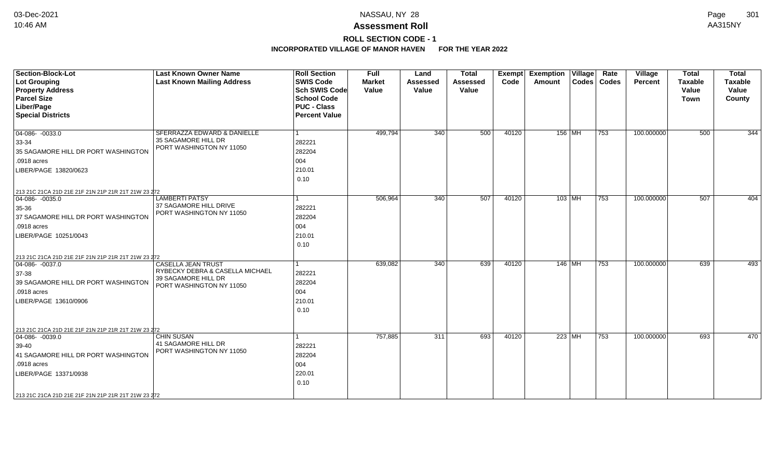# **ROLL SECTION CODE - 1**

| <b>Section-Block-Lot</b><br><b>Lot Grouping</b><br><b>Property Address</b><br><b>Parcel Size</b><br>Liber/Page<br><b>Special Districts</b>                                                                             | <b>Last Known Owner Name</b><br><b>Last Known Mailing Address</b>                                               | <b>Roll Section</b><br><b>SWIS Code</b><br><b>Sch SWIS Code</b><br><b>School Code</b><br><b>PUC - Class</b><br><b>Percent Value</b> | <b>Full</b><br><b>Market</b><br>Value | Land<br><b>Assessed</b><br>Value | <b>Total</b><br><b>Assessed</b><br>Value | <b>Exempt</b><br>Code | <b>Exemption Village</b><br>Amount | Rate<br>Codes   Codes | <b>Village</b><br>Percent | <b>Total</b><br><b>Taxable</b><br>Value<br><b>Town</b> | <b>Total</b><br>Taxable<br>Value<br>County |
|------------------------------------------------------------------------------------------------------------------------------------------------------------------------------------------------------------------------|-----------------------------------------------------------------------------------------------------------------|-------------------------------------------------------------------------------------------------------------------------------------|---------------------------------------|----------------------------------|------------------------------------------|-----------------------|------------------------------------|-----------------------|---------------------------|--------------------------------------------------------|--------------------------------------------|
| $04-086 - 0033.0$<br>33-34<br>35 SAGAMORE HILL DR PORT WASHINGTON<br>.0918 acres<br>LIBER/PAGE 13820/0623                                                                                                              | SFERRAZZA EDWARD & DANIELLE<br>35 SAGAMORE HILL DR<br>PORT WASHINGTON NY 11050                                  | 1<br>282221<br>282204<br>004<br>210.01<br>0.10                                                                                      | 499,794                               | 340                              | 500                                      | 40120                 | 156   MH                           | 753                   | 100.000000                | 500                                                    | 344                                        |
| 213 21C 21CA 21D 21E 21F 21N 21P 21R 21T 21W 23 272<br>$04-086 - 0035.0$<br>35-36<br>37 SAGAMORE HILL DR PORT WASHINGTON<br>.0918 acres<br>LIBER/PAGE 10251/0043                                                       | <b>LAMBERTI PATSY</b><br>37 SAGAMORE HILL DRIVE<br>PORT WASHINGTON NY 11050                                     | 1<br>282221<br>282204<br>004<br>210.01<br>0.10                                                                                      | 506,964                               | 340                              | 507                                      | 40120                 | $103$ MH                           | 753                   | 100.000000                | 507                                                    | 404                                        |
| 213 21C 21CA 21D 21E 21F 21N 21P 21R 21T 21W 23 272<br>$ 04-086-0037.0$<br>37-38<br>39 SAGAMORE HILL DR PORT WASHINGTON<br>.0918 acres<br>LIBER/PAGE 13610/0906                                                        | <b>CASELLA JEAN TRUST</b><br>RYBECKY DEBRA & CASELLA MICHAEL<br>39 SAGAMORE HILL DR<br>PORT WASHINGTON NY 11050 | 1<br>282221<br>282204<br>004<br>210.01<br>0.10                                                                                      | 639,082                               | 340                              | 639                                      | 40120                 | $146$ MH                           | 753                   | 100.000000                | 639                                                    | 493                                        |
| 213 21C 21CA 21D 21E 21F 21N 21P 21R 21T 21W 23 272<br>$ 04-086-0039.0$<br>39-40<br>41 SAGAMORE HILL DR PORT WASHINGTON<br>.0918 acres<br>LIBER/PAGE 13371/0938<br>213 21C 21CA 21D 21E 21F 21N 21P 21R 21T 21W 23 272 | <b>CHIN SUSAN</b><br>41 SAGAMORE HILL DR<br>PORT WASHINGTON NY 11050                                            | 282221<br>282204<br>004<br>220.01<br>0.10                                                                                           | 757,885                               | 311                              | 693                                      | 40120                 | 223 MH                             | 753                   | 100.000000                | 693                                                    | 470                                        |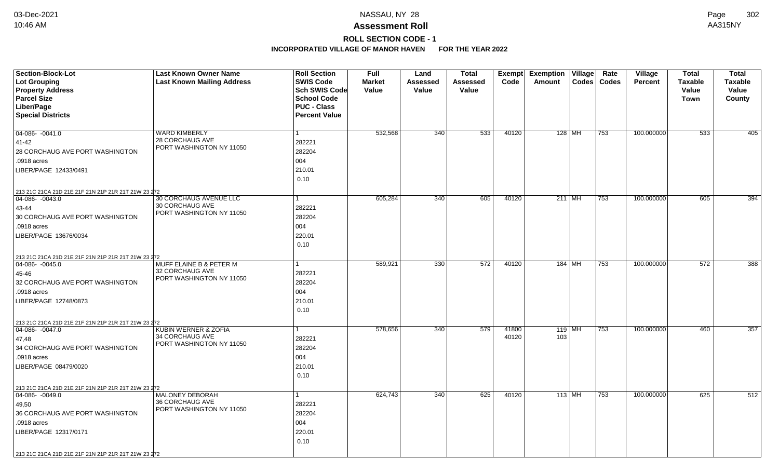# **ROLL SECTION CODE - 1**

| <b>Section-Block-Lot</b>                                                 | <b>Last Known Owner Name</b>                | <b>Roll Section</b>  | <b>Full</b>   | Land     | <b>Total</b>    | Exempt | <b>Exemption Village</b> | Rate          | <b>Village</b> | <b>Total</b>   | <b>Total</b>   |
|--------------------------------------------------------------------------|---------------------------------------------|----------------------|---------------|----------|-----------------|--------|--------------------------|---------------|----------------|----------------|----------------|
| Lot Grouping                                                             | <b>Last Known Mailing Address</b>           | <b>SWIS Code</b>     | <b>Market</b> | Assessed | <b>Assessed</b> | Code   | Amount                   | Codes   Codes | <b>Percent</b> | <b>Taxable</b> | <b>Taxable</b> |
| <b>Property Address</b>                                                  |                                             | <b>Sch SWIS Code</b> | Value         | Value    | Value           |        |                          |               |                | Value          | Value          |
| <b>Parcel Size</b>                                                       |                                             | <b>School Code</b>   |               |          |                 |        |                          |               |                | Town           | County         |
| Liber/Page                                                               |                                             | <b>PUC - Class</b>   |               |          |                 |        |                          |               |                |                |                |
| <b>Special Districts</b>                                                 |                                             | <b>Percent Value</b> |               |          |                 |        |                          |               |                |                |                |
|                                                                          |                                             |                      |               |          |                 |        |                          |               |                |                |                |
| 04-086- -0041.0                                                          | <b>WARD KIMBERLY</b>                        | $\mathbf{1}$         | 532,568       | 340      | 533             | 40120  | $128$ MH                 | 753           | 100.000000     | 533            | 405            |
| 41-42                                                                    | 28 CORCHAUG AVE<br>PORT WASHINGTON NY 11050 | 282221               |               |          |                 |        |                          |               |                |                |                |
| 28 CORCHAUG AVE PORT WASHINGTON                                          |                                             | 282204               |               |          |                 |        |                          |               |                |                |                |
| .0918 acres                                                              |                                             | 004                  |               |          |                 |        |                          |               |                |                |                |
| LIBER/PAGE 12433/0491                                                    |                                             | 210.01               |               |          |                 |        |                          |               |                |                |                |
|                                                                          |                                             | 0.10                 |               |          |                 |        |                          |               |                |                |                |
| 213 21C 21CA 21D 21E 21F 21N 21P 21R 21T 21W 23 272                      |                                             |                      |               |          |                 |        |                          |               |                |                |                |
| 04-086-0043.0                                                            | 30 CORCHAUG AVENUE LLC                      | 1.                   | 605,284       | 340      | 605             | 40120  | $211$ MH                 | 753           | 100.000000     | 605            | 394            |
| 43-44                                                                    | 30 CORCHAUG AVE                             | 282221               |               |          |                 |        |                          |               |                |                |                |
| 30 CORCHAUG AVE PORT WASHINGTON                                          | PORT WASHINGTON NY 11050                    | 282204               |               |          |                 |        |                          |               |                |                |                |
| .0918 acres                                                              |                                             | 004                  |               |          |                 |        |                          |               |                |                |                |
| LIBER/PAGE 13676/0034                                                    |                                             | 220.01               |               |          |                 |        |                          |               |                |                |                |
|                                                                          |                                             | 0.10                 |               |          |                 |        |                          |               |                |                |                |
|                                                                          |                                             |                      |               |          |                 |        |                          |               |                |                |                |
| 213 21C 21CA 21D 21E 21F 21N 21P 21R 21T 21W 23 272<br>04-086-0045.0     | MUFF ELAINE B & PETER M                     |                      | 589,921       | 330      | 572             | 40120  | 184 MH                   | 753           | 100.000000     | 572            | 388            |
| 45-46                                                                    | 32 CORCHAUG AVE                             | 282221               |               |          |                 |        |                          |               |                |                |                |
| 32 CORCHAUG AVE PORT WASHINGTON                                          | PORT WASHINGTON NY 11050                    | 282204               |               |          |                 |        |                          |               |                |                |                |
| .0918 acres                                                              |                                             | 004                  |               |          |                 |        |                          |               |                |                |                |
| LIBER/PAGE 12748/0873                                                    |                                             | 210.01               |               |          |                 |        |                          |               |                |                |                |
|                                                                          |                                             | 0.10                 |               |          |                 |        |                          |               |                |                |                |
|                                                                          |                                             |                      |               |          |                 |        |                          |               |                |                |                |
| 213 21C 21CA 21D 21E 21F 21N 21P 21R 21T 21W 23 272<br>$ 04-086-0047.0$  | KUBIN WERNER & ZOFIA                        | 1                    | 578,656       | 340      | 579             | 41800  | $119$ MH                 | 753           | 100.000000     | 460            | 357            |
| 47,48                                                                    | 34 CORCHAUG AVE                             | 282221               |               |          |                 | 40120  | 103                      |               |                |                |                |
| 34 CORCHAUG AVE PORT WASHINGTON                                          | PORT WASHINGTON NY 11050                    | 282204               |               |          |                 |        |                          |               |                |                |                |
| .0918 acres                                                              |                                             | 004                  |               |          |                 |        |                          |               |                |                |                |
| LIBER/PAGE 08479/0020                                                    |                                             | 210.01               |               |          |                 |        |                          |               |                |                |                |
|                                                                          |                                             | 0.10                 |               |          |                 |        |                          |               |                |                |                |
|                                                                          |                                             |                      |               |          |                 |        |                          |               |                |                |                |
| 213 21C 21CA 21D 21E 21F 21N 21P 21R 21T 21W 23 272<br>$04-086 - 0049.0$ | <b>MALONEY DEBORAH</b>                      | $\mathbf{1}$         | 624,743       | 340      | 625             | 40120  | $113$ MH                 | 753           | 100.000000     | 625            | 512            |
|                                                                          | 36 CORCHAUG AVE                             | 282221               |               |          |                 |        |                          |               |                |                |                |
| 49,50<br>36 CORCHAUG AVE PORT WASHINGTON                                 | PORT WASHINGTON NY 11050                    | 282204               |               |          |                 |        |                          |               |                |                |                |
|                                                                          |                                             |                      |               |          |                 |        |                          |               |                |                |                |
| .0918 acres                                                              |                                             | 004                  |               |          |                 |        |                          |               |                |                |                |
| LIBER/PAGE 12317/0171                                                    |                                             | 220.01               |               |          |                 |        |                          |               |                |                |                |
|                                                                          |                                             | 0.10                 |               |          |                 |        |                          |               |                |                |                |
| 213 21C 21CA 21D 21E 21F 21N 21P 21R 21T 21W 23 272                      |                                             |                      |               |          |                 |        |                          |               |                |                |                |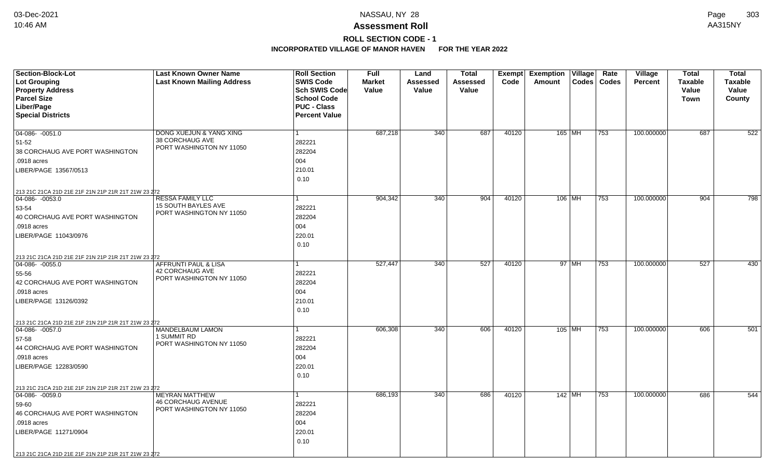# **ROLL SECTION CODE - 1**

| <b>Section-Block-Lot</b>                                                         | <b>Last Known Owner Name</b>                          | <b>Roll Section</b>  | <b>Full</b>   | Land     | <b>Total</b> |       | Exempt Exemption Village |       | Rate          | Village        | <b>Total</b>   | <b>Total</b>   |
|----------------------------------------------------------------------------------|-------------------------------------------------------|----------------------|---------------|----------|--------------|-------|--------------------------|-------|---------------|----------------|----------------|----------------|
| <b>Lot Grouping</b>                                                              | <b>Last Known Mailing Address</b>                     | <b>SWIS Code</b>     | <b>Market</b> | Assessed | Assessed     | Code  | Amount                   |       | Codes   Codes | <b>Percent</b> | <b>Taxable</b> | <b>Taxable</b> |
| <b>Property Address</b>                                                          |                                                       | Sch SWIS Code        | Value         | Value    | Value        |       |                          |       |               |                | Value          | Value          |
| <b>Parcel Size</b>                                                               |                                                       | <b>School Code</b>   |               |          |              |       |                          |       |               |                | Town           | County         |
| Liber/Page                                                                       |                                                       | <b>PUC - Class</b>   |               |          |              |       |                          |       |               |                |                |                |
| <b>Special Districts</b>                                                         |                                                       | <b>Percent Value</b> |               |          |              |       |                          |       |               |                |                |                |
|                                                                                  |                                                       |                      |               |          |              |       |                          |       |               |                |                |                |
| 04-086- -0051.0                                                                  | <b>DONG XUEJUN &amp; YANG XING</b><br>38 CORCHAUG AVE |                      | 687,218       | 340      | 687          | 40120 | 165 MH                   |       | 753           | 100.000000     | 687            | 522            |
| 51-52                                                                            | PORT WASHINGTON NY 11050                              | 282221               |               |          |              |       |                          |       |               |                |                |                |
| 38 CORCHAUG AVE PORT WASHINGTON                                                  |                                                       | 282204               |               |          |              |       |                          |       |               |                |                |                |
| .0918 acres                                                                      |                                                       | 004                  |               |          |              |       |                          |       |               |                |                |                |
| LIBER/PAGE 13567/0513                                                            |                                                       | 210.01               |               |          |              |       |                          |       |               |                |                |                |
|                                                                                  |                                                       | 0.10                 |               |          |              |       |                          |       |               |                |                |                |
| 213 21C 21CA 21D 21E 21F 21N 21P 21R 21T 21W 23 272                              |                                                       |                      |               |          |              |       |                          |       |               |                |                |                |
| 04-086-0053.0                                                                    | <b>RESSA FAMILY LLC</b>                               |                      | 904,342       | 340      | 904          | 40120 | 106 MH                   |       | 753           | 100.000000     | 904            | 798            |
| 53-54                                                                            | 15 SOUTH BAYLES AVE<br>PORT WASHINGTON NY 11050       | 282221               |               |          |              |       |                          |       |               |                |                |                |
| 40 CORCHAUG AVE PORT WASHINGTON                                                  |                                                       | 282204               |               |          |              |       |                          |       |               |                |                |                |
| .0918 acres                                                                      |                                                       | 004                  |               |          |              |       |                          |       |               |                |                |                |
| LIBER/PAGE 11043/0976                                                            |                                                       | 220.01               |               |          |              |       |                          |       |               |                |                |                |
|                                                                                  |                                                       | 0.10                 |               |          |              |       |                          |       |               |                |                |                |
| 213 21C 21CA 21D 21E 21F 21N 21P 21R 21T 21W 23 272                              |                                                       |                      |               |          |              |       |                          |       |               |                |                |                |
| 04-086-0055.0                                                                    | AFFRUNTI PAUL & LISA                                  |                      | 527,447       | 340      | 527          | 40120 |                          | 97 MH | 753           | 100.000000     | 527            | 430            |
| 55-56                                                                            | <b>42 CORCHAUG AVE</b>                                | 282221               |               |          |              |       |                          |       |               |                |                |                |
| 42 CORCHAUG AVE PORT WASHINGTON                                                  | PORT WASHINGTON NY 11050                              | 282204               |               |          |              |       |                          |       |               |                |                |                |
| .0918 acres                                                                      |                                                       | 004                  |               |          |              |       |                          |       |               |                |                |                |
| LIBER/PAGE 13126/0392                                                            |                                                       | 210.01               |               |          |              |       |                          |       |               |                |                |                |
|                                                                                  |                                                       | 0.10                 |               |          |              |       |                          |       |               |                |                |                |
|                                                                                  |                                                       |                      |               |          |              |       |                          |       |               |                |                |                |
| 213 21C 21CA 21D 21E 21F 21N 21P 21R 21T 21W 23 272<br>$\boxed{04-086 - 0057.0}$ | MANDELBAUM LAMON                                      |                      | 606,308       | 340      | 606          | 40120 | 105 MH                   |       | 753           | 100.000000     | 606            | 501            |
| 57-58                                                                            | 1 SUMMIT RD                                           | 282221               |               |          |              |       |                          |       |               |                |                |                |
| 44 CORCHAUG AVE PORT WASHINGTON                                                  | PORT WASHINGTON NY 11050                              | 282204               |               |          |              |       |                          |       |               |                |                |                |
| .0918 acres                                                                      |                                                       | 004                  |               |          |              |       |                          |       |               |                |                |                |
| LIBER/PAGE 12283/0590                                                            |                                                       | 220.01               |               |          |              |       |                          |       |               |                |                |                |
|                                                                                  |                                                       | 0.10                 |               |          |              |       |                          |       |               |                |                |                |
|                                                                                  |                                                       |                      |               |          |              |       |                          |       |               |                |                |                |
| 213 21C 21CA 21D 21E 21F 21N 21P 21R 21T 21W 23 272<br>04-086- -0059.0           | <b>MEYRAN MATTHEW</b>                                 |                      | 686,193       | 340      | 686          | 40120 | 142 MH                   |       | 753           | 100.000000     | 686            | 544            |
| 59-60                                                                            | <b>46 CORCHAUG AVENUE</b>                             | 282221               |               |          |              |       |                          |       |               |                |                |                |
| 46 CORCHAUG AVE PORT WASHINGTON                                                  | PORT WASHINGTON NY 11050                              | 282204               |               |          |              |       |                          |       |               |                |                |                |
| .0918 acres                                                                      |                                                       | 004                  |               |          |              |       |                          |       |               |                |                |                |
|                                                                                  |                                                       |                      |               |          |              |       |                          |       |               |                |                |                |
| LIBER/PAGE 11271/0904                                                            |                                                       | 220.01               |               |          |              |       |                          |       |               |                |                |                |
|                                                                                  |                                                       | 0.10                 |               |          |              |       |                          |       |               |                |                |                |
| 213 21C 21CA 21D 21E 21F 21N 21P 21R 21T 21W 23 272                              |                                                       |                      |               |          |              |       |                          |       |               |                |                |                |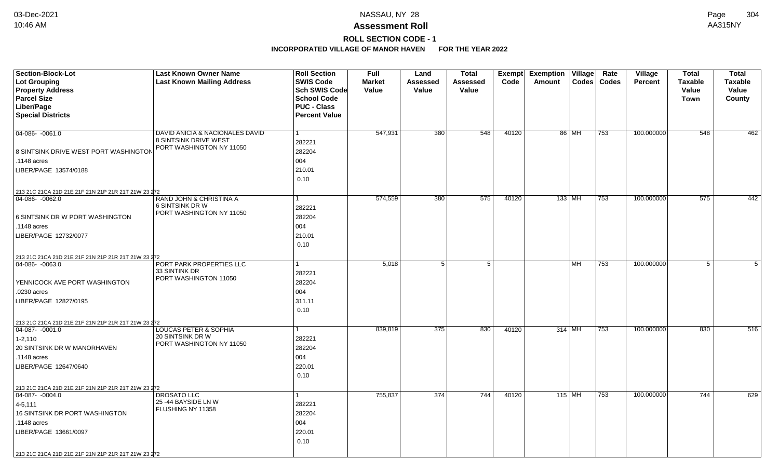# **ROLL SECTION CODE - 1**

| <b>Section-Block-Lot</b>                            | <b>Last Known Owner Name</b>                 | <b>Roll Section</b>  | <b>Full</b>   | Land            | <b>Total</b>     | Exempt | <b>Exemption Village</b>   | Rate         | Village        | <b>Total</b>   | <b>Total</b>   |
|-----------------------------------------------------|----------------------------------------------|----------------------|---------------|-----------------|------------------|--------|----------------------------|--------------|----------------|----------------|----------------|
| <b>Lot Grouping</b>                                 | <b>Last Known Mailing Address</b>            | <b>SWIS Code</b>     | <b>Market</b> | <b>Assessed</b> | Assessed         | Code   | Amount<br>$\textsf{Codes}$ | <b>Codes</b> | <b>Percent</b> | <b>Taxable</b> | <b>Taxable</b> |
| <b>Property Address</b>                             |                                              | <b>Sch SWIS Code</b> | Value         | Value           | Value            |        |                            |              |                | Value          | Value          |
| <b>Parcel Size</b>                                  |                                              | <b>School Code</b>   |               |                 |                  |        |                            |              |                | <b>Town</b>    | County         |
| Liber/Page                                          |                                              | <b>PUC - Class</b>   |               |                 |                  |        |                            |              |                |                |                |
| <b>Special Districts</b>                            |                                              | <b>Percent Value</b> |               |                 |                  |        |                            |              |                |                |                |
|                                                     |                                              |                      |               |                 |                  |        |                            |              |                |                |                |
| 04-086- -0061.0                                     | DAVID ANICIA & NACIONALES DAVID              | 1                    | 547,931       | 380             | 548              | 40120  | 86 MH                      | 753          | 100.000000     | 548            | 462            |
|                                                     | <b>8 SINTSINK DRIVE WEST</b>                 | 282221               |               |                 |                  |        |                            |              |                |                |                |
| 8 SINTSINK DRIVE WEST PORT WASHINGTON               | PORT WASHINGTON NY 11050                     | 282204               |               |                 |                  |        |                            |              |                |                |                |
| .1148 acres                                         |                                              | 004                  |               |                 |                  |        |                            |              |                |                |                |
| LIBER/PAGE 13574/0188                               |                                              | 210.01               |               |                 |                  |        |                            |              |                |                |                |
|                                                     |                                              | 0.10                 |               |                 |                  |        |                            |              |                |                |                |
| 213 21C 21CA 21D 21E 21F 21N 21P 21R 21T 21W 23 272 |                                              |                      |               |                 |                  |        |                            |              |                |                |                |
| 04-086-0062.0                                       | RAND JOHN & CHRISTINA A                      |                      | 574,559       | 380             | $\overline{575}$ | 40120  | 133   MH                   | 753          | 100.000000     | 575            | 442            |
|                                                     | 6 SINTSINK DR W                              | 282221               |               |                 |                  |        |                            |              |                |                |                |
| 6 SINTSINK DR W PORT WASHINGTON                     | PORT WASHINGTON NY 11050                     | 282204               |               |                 |                  |        |                            |              |                |                |                |
| .1148 acres                                         |                                              | 004                  |               |                 |                  |        |                            |              |                |                |                |
| LIBER/PAGE 12732/0077                               |                                              | 210.01               |               |                 |                  |        |                            |              |                |                |                |
|                                                     |                                              | 0.10                 |               |                 |                  |        |                            |              |                |                |                |
|                                                     |                                              |                      |               |                 |                  |        |                            |              |                |                |                |
| 213 21C 21CA 21D 21E 21F 21N 21P 21R 21T 21W 23 272 | PORT PARK PROPERTIES LLC                     |                      | 5,018         | 5               | 5 <sup>1</sup>   |        | <b>MH</b>                  | 753          | 100.000000     | 5              | 5              |
| $04 - 086 - 0063.0$                                 | 33 SINTINK DR                                |                      |               |                 |                  |        |                            |              |                |                |                |
|                                                     | PORT WASHINGTON 11050                        | 282221               |               |                 |                  |        |                            |              |                |                |                |
| YENNICOCK AVE PORT WASHINGTON                       |                                              | 282204               |               |                 |                  |        |                            |              |                |                |                |
| .0230 acres                                         |                                              | 004                  |               |                 |                  |        |                            |              |                |                |                |
| LIBER/PAGE 12827/0195                               |                                              | 311.11               |               |                 |                  |        |                            |              |                |                |                |
|                                                     |                                              | 0.10                 |               |                 |                  |        |                            |              |                |                |                |
| 213 21C 21CA 21D 21E 21F 21N 21P 21R 21T 21W 23 272 |                                              |                      |               |                 |                  |        |                            |              |                |                |                |
| $ 04-087 - 0001.0$                                  | LOUCAS PETER & SOPHIA                        |                      | 839,819       | 375             | 830              | 40120  | $314$ MH                   | 753          | 100.000000     | 830            | 516            |
| $1 - 2,110$                                         | 20 SINTSINK DR W<br>PORT WASHINGTON NY 11050 | 282221               |               |                 |                  |        |                            |              |                |                |                |
| 20 SINTSINK DR W MANORHAVEN                         |                                              | 282204               |               |                 |                  |        |                            |              |                |                |                |
| .1148 acres                                         |                                              | 004                  |               |                 |                  |        |                            |              |                |                |                |
| LIBER/PAGE 12647/0640                               |                                              | 220.01               |               |                 |                  |        |                            |              |                |                |                |
|                                                     |                                              | 0.10                 |               |                 |                  |        |                            |              |                |                |                |
| 213 21C 21CA 21D 21E 21F 21N 21P 21R 21T 21W 23 272 |                                              |                      |               |                 |                  |        |                            |              |                |                |                |
| $\boxed{04-087 - 0004.0}$                           | <b>DROSATO LLC</b>                           | 1                    | 755,837       | 374             | 744              | 40120  | 115 MH                     | 753          | 100.000000     | 744            | 629            |
| $4 - 5, 111$                                        | 25 -44 BAYSIDE LN W                          | 282221               |               |                 |                  |        |                            |              |                |                |                |
| 16 SINTSINK DR PORT WASHINGTON                      | FLUSHING NY 11358                            | 282204               |               |                 |                  |        |                            |              |                |                |                |
| .1148 acres                                         |                                              | 004                  |               |                 |                  |        |                            |              |                |                |                |
| LIBER/PAGE 13661/0097                               |                                              | 220.01               |               |                 |                  |        |                            |              |                |                |                |
|                                                     |                                              | 0.10                 |               |                 |                  |        |                            |              |                |                |                |
|                                                     |                                              |                      |               |                 |                  |        |                            |              |                |                |                |
| 213 21C 21CA 21D 21E 21F 21N 21P 21R 21T 21W 23 272 |                                              |                      |               |                 |                  |        |                            |              |                |                |                |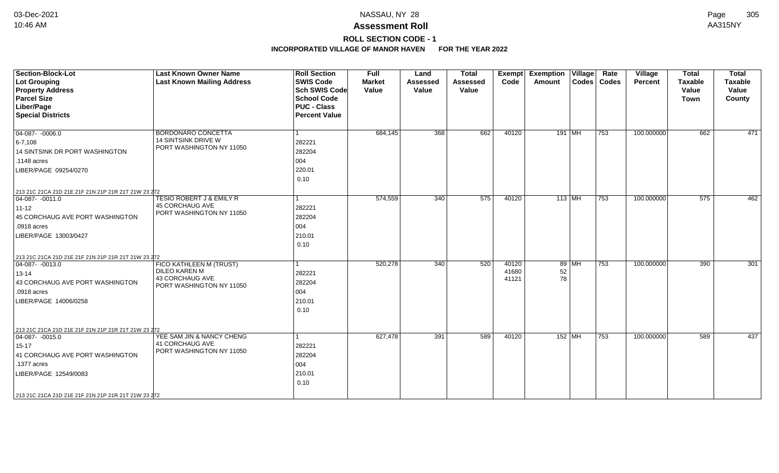# **ROLL SECTION CODE - 1**

| <b>Section-Block-Lot</b>                                                | <b>Last Known Owner Name</b>                       | <b>Roll Section</b>  | <b>Full</b>   | Land            | <b>Total</b>    | Exempt | Exemption   Village |          | Rate          | Village    | <b>Total</b>   | <b>Total</b>   |
|-------------------------------------------------------------------------|----------------------------------------------------|----------------------|---------------|-----------------|-----------------|--------|---------------------|----------|---------------|------------|----------------|----------------|
| <b>Lot Grouping</b>                                                     | <b>Last Known Mailing Address</b>                  | <b>SWIS Code</b>     | <b>Market</b> | <b>Assessed</b> | <b>Assessed</b> | Code   | Amount              |          | Codes   Codes | Percent    | <b>Taxable</b> | <b>Taxable</b> |
| <b>Property Address</b>                                                 |                                                    | <b>Sch SWIS Code</b> | Value         | Value           | Value           |        |                     |          |               |            | Value          | Value          |
| <b>Parcel Size</b>                                                      |                                                    | <b>School Code</b>   |               |                 |                 |        |                     |          |               |            | <b>Town</b>    | County         |
| Liber/Page                                                              |                                                    | <b>PUC - Class</b>   |               |                 |                 |        |                     |          |               |            |                |                |
| <b>Special Districts</b>                                                |                                                    | <b>Percent Value</b> |               |                 |                 |        |                     |          |               |            |                |                |
| $04-087 - 0006.0$                                                       | BORDONARO CONCETTA                                 |                      | 684,145       | 368             | 662             | 40120  |                     | $191$ MH | 753           | 100.000000 | 662            | 471            |
| $6 - 7,108$                                                             | 14 SINTSINK DRIVE W                                | 282221               |               |                 |                 |        |                     |          |               |            |                |                |
| 14 SINTSINK DR PORT WASHINGTON                                          | PORT WASHINGTON NY 11050                           | 282204               |               |                 |                 |        |                     |          |               |            |                |                |
| $.1148$ acres                                                           |                                                    | 004                  |               |                 |                 |        |                     |          |               |            |                |                |
| LIBER/PAGE 09254/0270                                                   |                                                    | 220.01               |               |                 |                 |        |                     |          |               |            |                |                |
|                                                                         |                                                    | 0.10                 |               |                 |                 |        |                     |          |               |            |                |                |
| 213 21C 21CA 21D 21E 21F 21N 21P 21R 21T 21W 23 272                     |                                                    |                      |               |                 |                 |        |                     |          |               |            |                |                |
| $ 04-087 - 0011.0$                                                      | <b>TESIO ROBERT J &amp; EMILY R</b>                | 1                    | 574,559       | 340             | 575             | 40120  | $113$ MH            |          | 753           | 100.000000 | 575            | 462            |
| $ 11 - 12 $                                                             | <b>45 CORCHAUG AVE</b>                             | 282221               |               |                 |                 |        |                     |          |               |            |                |                |
| 45 CORCHAUG AVE PORT WASHINGTON                                         | PORT WASHINGTON NY 11050                           | 282204               |               |                 |                 |        |                     |          |               |            |                |                |
| .0918 acres                                                             |                                                    | 004                  |               |                 |                 |        |                     |          |               |            |                |                |
| LIBER/PAGE 13003/0427                                                   |                                                    | 210.01               |               |                 |                 |        |                     |          |               |            |                |                |
|                                                                         |                                                    | 0.10                 |               |                 |                 |        |                     |          |               |            |                |                |
| 213 21C 21CA 21D 21E 21F 21N 21P 21R 21T 21W 23 272                     |                                                    |                      |               |                 |                 |        |                     |          |               |            |                |                |
| $\boxed{04-087 - 0013.0}$                                               | FICO KATHLEEN M (TRUST)                            | 1                    | 520,278       | 340             | 520             | 40120  |                     | 89 MH    | 753           | 100.000000 | 390            | 301            |
| $13 - 14$                                                               | <b>DILEO KAREN M</b>                               | 282221               |               |                 |                 | 41680  | 52                  |          |               |            |                |                |
| 43 CORCHAUG AVE PORT WASHINGTON                                         | <b>43 CORCHAUG AVE</b><br>PORT WASHINGTON NY 11050 | 282204               |               |                 |                 | 41121  | 78                  |          |               |            |                |                |
| .0918 acres                                                             |                                                    | 004                  |               |                 |                 |        |                     |          |               |            |                |                |
| LIBER/PAGE 14006/0258                                                   |                                                    | 210.01               |               |                 |                 |        |                     |          |               |            |                |                |
|                                                                         |                                                    | 0.10                 |               |                 |                 |        |                     |          |               |            |                |                |
|                                                                         |                                                    |                      |               |                 |                 |        |                     |          |               |            |                |                |
| 213 21C 21CA 21D 21E 21F 21N 21P 21R 21T 21W 23 272<br>$ 04-087-0015.0$ | YEE SAM JIN & NANCY CHENG                          | 1                    | 627,478       | 391             | 589             | 40120  |                     | 152 MH   | 753           | 100.000000 | 589            | 437            |
| 15-17                                                                   | 41 CORCHAUG AVE                                    | 282221               |               |                 |                 |        |                     |          |               |            |                |                |
|                                                                         | PORT WASHINGTON NY 11050                           | 282204               |               |                 |                 |        |                     |          |               |            |                |                |
| 41 CORCHAUG AVE PORT WASHINGTON                                         |                                                    |                      |               |                 |                 |        |                     |          |               |            |                |                |
| .1377 acres                                                             |                                                    | 004                  |               |                 |                 |        |                     |          |               |            |                |                |
| LIBER/PAGE 12549/0083                                                   |                                                    | 210.01               |               |                 |                 |        |                     |          |               |            |                |                |
|                                                                         |                                                    | 0.10                 |               |                 |                 |        |                     |          |               |            |                |                |
| 213 21C 21CA 21D 21E 21F 21N 21P 21R 21T 21W 23 272                     |                                                    |                      |               |                 |                 |        |                     |          |               |            |                |                |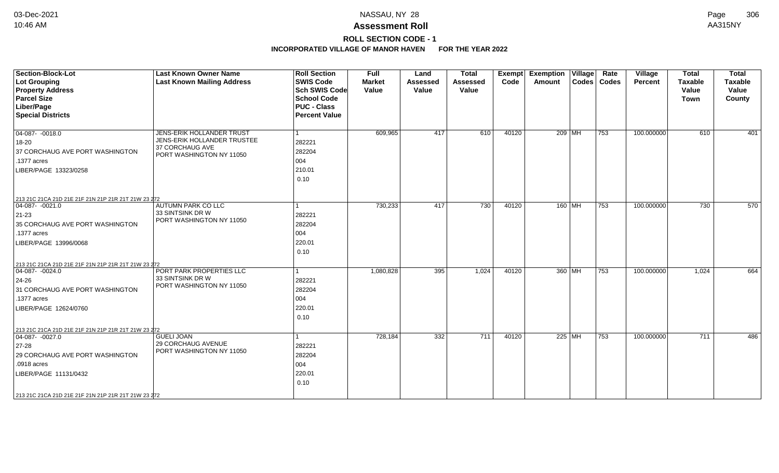# **ROLL SECTION CODE - 1**

| <b>Section-Block-Lot</b><br><b>Lot Grouping</b><br><b>Property Address</b><br><b>Parcel Size</b><br>Liber/Page<br><b>Special Districts</b>                                                                         | <b>Last Known Owner Name</b><br><b>Last Known Mailing Address</b>                                       | <b>Roll Section</b><br><b>SWIS Code</b><br><b>Sch SWIS Code</b><br><b>School Code</b><br><b>PUC - Class</b><br><b>Percent Value</b> | Full<br><b>Market</b><br>Value | Land<br><b>Assessed</b><br>Value | <b>Total</b><br>Assessed<br>Value | Exempt<br>Code | <b>Exemption Village</b><br>Amount | Rate<br>Codes   Codes | Village<br>Percent | <b>Total</b><br><b>Taxable</b><br>Value<br><b>Town</b> | <b>Total</b><br><b>Taxable</b><br>Value<br>County |
|--------------------------------------------------------------------------------------------------------------------------------------------------------------------------------------------------------------------|---------------------------------------------------------------------------------------------------------|-------------------------------------------------------------------------------------------------------------------------------------|--------------------------------|----------------------------------|-----------------------------------|----------------|------------------------------------|-----------------------|--------------------|--------------------------------------------------------|---------------------------------------------------|
| $04-087 - 0018.0$<br>18-20<br>37 CORCHAUG AVE PORT WASHINGTON<br>.1377 acres<br>LIBER/PAGE 13323/0258<br>213 21C 21CA 21D 21E 21F 21N 21P 21R 21T 21W 23 272                                                       | JENS-ERIK HOLLANDER TRUST<br>JENS-ERIK HOLLANDER TRUSTEE<br>37 CORCHAUG AVE<br>PORT WASHINGTON NY 11050 | 282221<br>282204<br>004<br>210.01<br>0.10                                                                                           | 609,965                        | 417                              | 610                               | 40120          | 209 MH                             | 753                   | 100.000000         | 610                                                    | 401                                               |
| $04-087 - 0021.0$<br>$ 21-23 $<br>35 CORCHAUG AVE PORT WASHINGTON<br>.1377 acres<br>LIBER/PAGE 13996/0068<br>213 21C 21CA 21D 21E 21F 21N 21P 21R 21T 21W 23 272                                                   | AUTUMN PARK CO LLC<br>33 SINTSINK DR W<br>PORT WASHINGTON NY 11050                                      | 282221<br>282204<br>004<br>220.01<br>0.10                                                                                           | 730,233                        | 417                              | 730                               | 40120          | 160 MH                             | 753                   | 100.000000         | 730                                                    | 570                                               |
| $\boxed{04-087 - 0024.0}$<br>24-26<br>31 CORCHAUG AVE PORT WASHINGTON<br>.1377 acres<br>LIBER/PAGE 12624/0760                                                                                                      | PORT PARK PROPERTIES LLC<br>33 SINTSINK DR W<br>PORT WASHINGTON NY 11050                                | 282221<br>282204<br>004<br>220.01<br>0.10                                                                                           | 1,080,828                      | 395                              | 1,024                             | 40120          | 360 MH                             | $\overline{753}$      | 100.000000         | 1,024                                                  | 664                                               |
| 213 21C 21CA 21D 21E 21F 21N 21P 21R 21T 21W 23 272<br>$ 04-087-0027.0$<br>27-28<br>29 CORCHAUG AVE PORT WASHINGTON<br>.0918 acres<br>LIBER/PAGE 11131/0432<br>213 21C 21CA 21D 21E 21F 21N 21P 21R 21T 21W 23 272 | <b>GUELI JOAN</b><br><b>29 CORCHAUG AVENUE</b><br>PORT WASHINGTON NY 11050                              | 282221<br>282204<br>004<br>220.01<br>0.10                                                                                           | 728,184                        | 332                              | 711                               | 40120          | 225 MH                             | 753                   | 100.000000         | 711                                                    | 486                                               |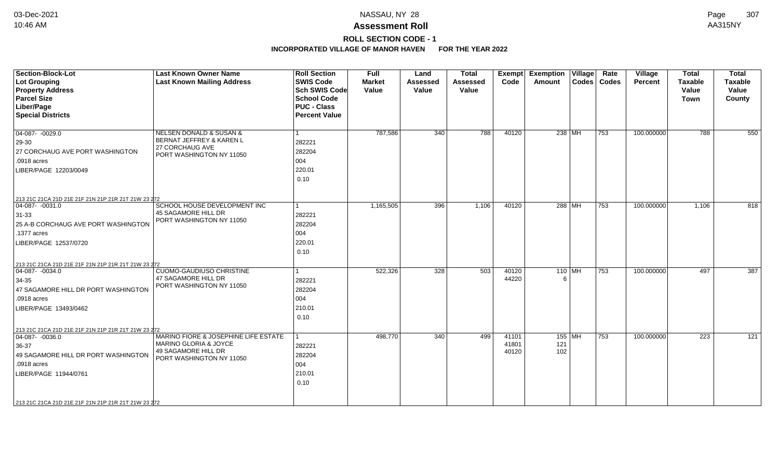# **ROLL SECTION CODE - 1**

| <b>Section-Block-Lot</b><br>Lot Grouping<br><b>Property Address</b><br><b>Parcel Size</b><br>Liber/Page<br><b>Special Districts</b>                                                                                    | <b>Last Known Owner Name</b><br><b>Last Known Mailing Address</b>                                                 | <b>Roll Section</b><br><b>SWIS Code</b><br><b>Sch SWIS Code</b><br><b>School Code</b><br><b>PUC - Class</b><br><b>Percent Value</b> | <b>Full</b><br><b>Market</b><br>Value | Land<br><b>Assessed</b><br>Value | <b>Total</b><br><b>Assessed</b><br>Value | Exempt<br>Code          | <b>Exemption Village</b><br>Amount | Rate<br>Codes   Codes | Village<br><b>Percent</b> | <b>Total</b><br><b>Taxable</b><br>Value<br><b>Town</b> | <b>Total</b><br><b>Taxable</b><br>Value<br>County |
|------------------------------------------------------------------------------------------------------------------------------------------------------------------------------------------------------------------------|-------------------------------------------------------------------------------------------------------------------|-------------------------------------------------------------------------------------------------------------------------------------|---------------------------------------|----------------------------------|------------------------------------------|-------------------------|------------------------------------|-----------------------|---------------------------|--------------------------------------------------------|---------------------------------------------------|
| $04-087 - 0029.0$<br>29-30<br>27 CORCHAUG AVE PORT WASHINGTON<br>.0918 acres<br>LIBER/PAGE 12203/0049                                                                                                                  | <b>NELSEN DONALD &amp; SUSAN &amp;</b><br>BERNAT JEFFREY & KAREN L<br>27 CORCHAUG AVE<br>PORT WASHINGTON NY 11050 | 282221<br>282204<br>004<br>220.01<br>0.10                                                                                           | 787,586                               | 340                              | 788                                      | 40120                   | 238 MH                             | 753                   | 100.000000                | 788                                                    | 550                                               |
| 213 21C 21CA 21D 21E 21F 21N 21P 21R 21T 21W 23 272<br>04-087- -0031.0<br>$31 - 33$<br>25 A-B CORCHAUG AVE PORT WASHINGTON<br>.1377 acres<br>LIBER/PAGE 12537/0720                                                     | SCHOOL HOUSE DEVELOPMENT INC<br>45 SAGAMORE HILL DR<br>PORT WASHINGTON NY 11050                                   | 1<br>282221<br>282204<br>004<br>220.01<br>0.10                                                                                      | 1,165,505                             | 396                              | 1,106                                    | 40120                   | 288 MH                             | 753                   | 100.000000                | 1,106                                                  | 818                                               |
| 213 21C 21CA 21D 21E 21F 21N 21P 21R 21T 21W 23 272<br>$ 04-087-0034.0$<br>34-35<br>47 SAGAMORE HILL DR PORT WASHINGTON<br>.0918 acres<br>LIBER/PAGE 13493/0462<br>213 21C 21CA 21D 21E 21F 21N 21P 21R 21T 21W 23 272 | <b>CUOMO-GAUDIUSO CHRISTINE</b><br>47 SAGAMORE HILL DR<br>PORT WASHINGTON NY 11050                                | 282221<br>282204<br>004<br>210.01<br>0.10                                                                                           | 522,326                               | 328                              | 503                                      | 40120<br>44220          | 110 MH<br>6                        | 753                   | 100.000000                | 497                                                    | 387                                               |
| $ 04-087 - 0036.0$<br>$36-37$<br>49 SAGAMORE HILL DR PORT WASHINGTON<br>.0918 acres<br>LIBER/PAGE 11944/0761<br>213 21C 21CA 21D 21E 21F 21N 21P 21R 21T 21W 23 272                                                    | MARINO FIORE & JOSEPHINE LIFE ESTATE<br>MARINO GLORIA & JOYCE<br>49 SAGAMORE HILL DR<br>PORT WASHINGTON NY 11050  | 282221<br>282204<br>004<br>210.01<br>0.10                                                                                           | 498,770                               | 340                              | 499                                      | 41101<br>41801<br>40120 | 155 MH<br>121<br>102               | 753                   | 100.000000                | 223                                                    | 121                                               |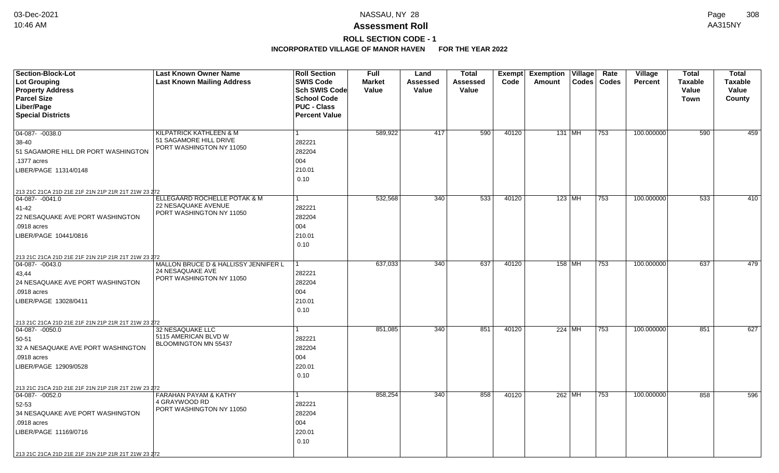# **ROLL SECTION CODE - 1**

| <b>Section-Block-Lot</b>                                                  | <b>Last Known Owner Name</b>              | <b>Roll Section</b>  | <b>Full</b>   | Land     | <b>Total</b> | Exempt | <b>Exemption Village</b> | Rate          | Village        | <b>Total</b>   | <b>Total</b>   |
|---------------------------------------------------------------------------|-------------------------------------------|----------------------|---------------|----------|--------------|--------|--------------------------|---------------|----------------|----------------|----------------|
| <b>Lot Grouping</b>                                                       | <b>Last Known Mailing Address</b>         | <b>SWIS Code</b>     | <b>Market</b> | Assessed | Assessed     | Code   | Amount                   | Codes   Codes | <b>Percent</b> | <b>Taxable</b> | <b>Taxable</b> |
| <b>Property Address</b>                                                   |                                           | Sch SWIS Code        | Value         | Value    | Value        |        |                          |               |                | Value          | Value          |
| <b>Parcel Size</b>                                                        |                                           | <b>School Code</b>   |               |          |              |        |                          |               |                | Town           | County         |
| Liber/Page                                                                |                                           | <b>PUC - Class</b>   |               |          |              |        |                          |               |                |                |                |
| <b>Special Districts</b>                                                  |                                           | <b>Percent Value</b> |               |          |              |        |                          |               |                |                |                |
| 04-087- -0038.0                                                           | KILPATRICK KATHLEEN & M                   | $\mathbf{1}$         | 589,922       | 417      | 590          | 40120  | 131   MH                 | 753           | 100.000000     | 590            | 459            |
| 38-40                                                                     | 51 SAGAMORE HILL DRIVE                    | 282221               |               |          |              |        |                          |               |                |                |                |
| 51 SAGAMORE HILL DR PORT WASHINGTON                                       | PORT WASHINGTON NY 11050                  | 282204               |               |          |              |        |                          |               |                |                |                |
| .1377 acres                                                               |                                           | 004                  |               |          |              |        |                          |               |                |                |                |
| LIBER/PAGE 11314/0148                                                     |                                           | 210.01               |               |          |              |        |                          |               |                |                |                |
|                                                                           |                                           | 0.10                 |               |          |              |        |                          |               |                |                |                |
|                                                                           |                                           |                      |               |          |              |        |                          |               |                |                |                |
| 213 21C 21CA 21D 21E 21F 21N 21P 21R 21T 21W 23 272<br>$ 04-087 - 0041.0$ | ELLEGAARD ROCHELLE POTAK & M              | $\mathbf{1}$         | 532,568       | 340      | 533          | 40120  | 123 MH                   | 753           | 100.000000     | 533            | 410            |
| $41 - 42$                                                                 | 22 NESAQUAKE AVENUE                       | 282221               |               |          |              |        |                          |               |                |                |                |
| 22 NESAQUAKE AVE PORT WASHINGTON                                          | PORT WASHINGTON NY 11050                  | 282204               |               |          |              |        |                          |               |                |                |                |
| .0918 acres                                                               |                                           | 004                  |               |          |              |        |                          |               |                |                |                |
| LIBER/PAGE 10441/0816                                                     |                                           | 210.01               |               |          |              |        |                          |               |                |                |                |
|                                                                           |                                           | 0.10                 |               |          |              |        |                          |               |                |                |                |
| 213 21C 21CA 21D 21E 21F 21N 21P 21R 21T 21W 23 272                       |                                           |                      |               |          |              |        |                          |               |                |                |                |
| 04-087- -0043.0                                                           | MALLON BRUCE D & HALLISSY JENNIFER L      |                      | 637,033       | 340      | 637          | 40120  | 158 MH                   | 753           | 100.000000     | 637            | 479            |
| 43,44                                                                     | 24 NESAQUAKE AVE                          | 282221               |               |          |              |        |                          |               |                |                |                |
| 24 NESAQUAKE AVE PORT WASHINGTON                                          | PORT WASHINGTON NY 11050                  | 282204               |               |          |              |        |                          |               |                |                |                |
| .0918 acres                                                               |                                           | 004                  |               |          |              |        |                          |               |                |                |                |
| LIBER/PAGE 13028/0411                                                     |                                           | 210.01               |               |          |              |        |                          |               |                |                |                |
|                                                                           |                                           | 0.10                 |               |          |              |        |                          |               |                |                |                |
| 213 21C 21CA 21D 21E 21F 21N 21P 21R 21T 21W 23 272                       |                                           |                      |               |          |              |        |                          |               |                |                |                |
| $ 04-087 - 0050.0$                                                        | 32 NESAQUAKE LLC                          | 1                    | 851,085       | 340      | 851          | 40120  | 224 MH                   | 753           | 100.000000     | 851            | 627            |
| 50-51                                                                     | 5115 AMERICAN BLVD W                      | 282221               |               |          |              |        |                          |               |                |                |                |
| 32 A NESAQUAKE AVE PORT WASHINGTON                                        | BLOOMINGTON MN 55437                      | 282204               |               |          |              |        |                          |               |                |                |                |
| .0918 acres                                                               |                                           | 004                  |               |          |              |        |                          |               |                |                |                |
| LIBER/PAGE 12909/0528                                                     |                                           | 220.01               |               |          |              |        |                          |               |                |                |                |
|                                                                           |                                           | 0.10                 |               |          |              |        |                          |               |                |                |                |
| 213 21C 21CA 21D 21E 21F 21N 21P 21R 21T 21W 23 272                       |                                           |                      |               |          |              |        |                          |               |                |                |                |
| $04-087 - 0052.0$                                                         | <b>FARAHAN PAYAM &amp; KATHY</b>          | $\mathbf{1}$         | 858,254       | 340      | 858          | 40120  | 262 MH                   | 753           | 100.000000     | 858            | 596            |
| 52-53                                                                     | 4 GRAYWOOD RD<br>PORT WASHINGTON NY 11050 | 282221               |               |          |              |        |                          |               |                |                |                |
| 34 NESAQUAKE AVE PORT WASHINGTON                                          |                                           | 282204               |               |          |              |        |                          |               |                |                |                |
| .0918 acres                                                               |                                           | 004                  |               |          |              |        |                          |               |                |                |                |
| LIBER/PAGE 11169/0716                                                     |                                           | 220.01               |               |          |              |        |                          |               |                |                |                |
|                                                                           |                                           | 0.10                 |               |          |              |        |                          |               |                |                |                |
| 213 21C 21CA 21D 21E 21F 21N 21P 21R 21T 21W 23 272                       |                                           |                      |               |          |              |        |                          |               |                |                |                |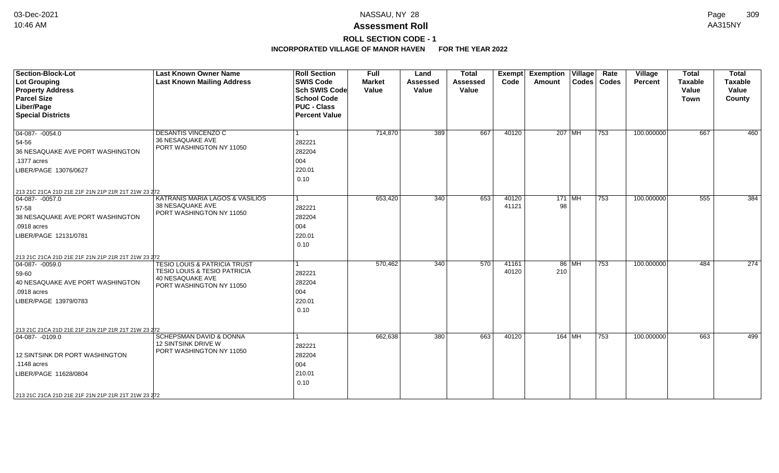# **ROLL SECTION CODE - 1**

| <b>Section-Block-Lot</b><br><b>Lot Grouping</b><br><b>Property Address</b><br><b>Parcel Size</b><br>Liber/Page<br><b>Special Districts</b>                                                                 | <b>Last Known Owner Name</b><br><b>Last Known Mailing Address</b>                                                                         | <b>Roll Section</b><br><b>SWIS Code</b><br><b>Sch SWIS Code</b><br><b>School Code</b><br><b>PUC - Class</b><br><b>Percent Value</b> | <b>Full</b><br><b>Market</b><br>Value | Land<br><b>Assessed</b><br>Value | <b>Total</b><br><b>Assessed</b><br>Value | <b>Exempt</b><br>Code | <b>Exemption Village</b><br>Amount |       | Rate<br>Codes   Codes | Village<br>Percent | <b>Total</b><br><b>Taxable</b><br>Value<br><b>Town</b> | <b>Total</b><br>Taxable<br>Value<br>County |
|------------------------------------------------------------------------------------------------------------------------------------------------------------------------------------------------------------|-------------------------------------------------------------------------------------------------------------------------------------------|-------------------------------------------------------------------------------------------------------------------------------------|---------------------------------------|----------------------------------|------------------------------------------|-----------------------|------------------------------------|-------|-----------------------|--------------------|--------------------------------------------------------|--------------------------------------------|
| $\boxed{04-087 - 0054.0}$<br>54-56<br>36 NESAQUAKE AVE PORT WASHINGTON<br>.1377 acres<br>LIBER/PAGE 13076/0627                                                                                             | DESANTIS VINCENZO C<br>36 NESAQUAKE AVE<br>PORT WASHINGTON NY 11050                                                                       | 1<br>282221<br>282204<br>004<br>220.01<br>0.10                                                                                      | 714,870                               | 389                              | 667                                      | 40120                 | 207 MH                             |       | 753                   | 100.000000         | 667                                                    | 460                                        |
| 213 21C 21CA 21D 21E 21F 21N 21P 21R 21T 21W 23 272<br>$04-087 - 0057.0$<br>57-58<br>38 NESAQUAKE AVE PORT WASHINGTON<br>.0918 acres<br>LIBER/PAGE 12131/0781                                              | KATRANIS MARIA LAGOS & VASILIOS<br>38 NESAQUAKE AVE<br>PORT WASHINGTON NY 11050                                                           | 1<br>282221<br>282204<br>004<br>220.01<br>0.10                                                                                      | 653,420                               | 340                              | 653                                      | 40120<br>41121        | $171$ MH<br>98                     |       | 753                   | 100.000000         | 555                                                    | 384                                        |
| 213 21C 21CA 21D 21E 21F 21N 21P 21R 21T 21W 23 272<br>$ 04-087 - 0059.0$<br>59-60<br>40 NESAQUAKE AVE PORT WASHINGTON<br>.0918 acres<br>LIBER/PAGE 13979/0783                                             | <b>TESIO LOUIS &amp; PATRICIA TRUST</b><br><b>TESIO LOUIS &amp; TESIO PATRICIA</b><br><b>40 NESAQUAKE AVE</b><br>PORT WASHINGTON NY 11050 | 1<br>282221<br>282204<br>004<br>220.01<br>0.10                                                                                      | 570,462                               | 340                              | 570                                      | 41161<br>40120        | 210                                | 86 MH | 753                   | 100.000000         | 484                                                    | 274                                        |
| 213 21C 21CA 21D 21E 21F 21N 21P 21R 21T 21W 23 272<br>$ 04-087 - 0109.0$<br>12 SINTSINK DR PORT WASHINGTON<br>.1148 acres<br>LIBER/PAGE 11628/0804<br>213 21C 21CA 21D 21E 21F 21N 21P 21R 21T 21W 23 272 | SCHEPSMAN DAVID & DONNA<br><b>12 SINTSINK DRIVE W</b><br>PORT WASHINGTON NY 11050                                                         | 282221<br>282204<br>004<br>210.01<br>0.10                                                                                           | 662,638                               | 380                              | 663                                      | 40120                 | 164 MH                             |       | 753                   | 100.000000         | 663                                                    | 499                                        |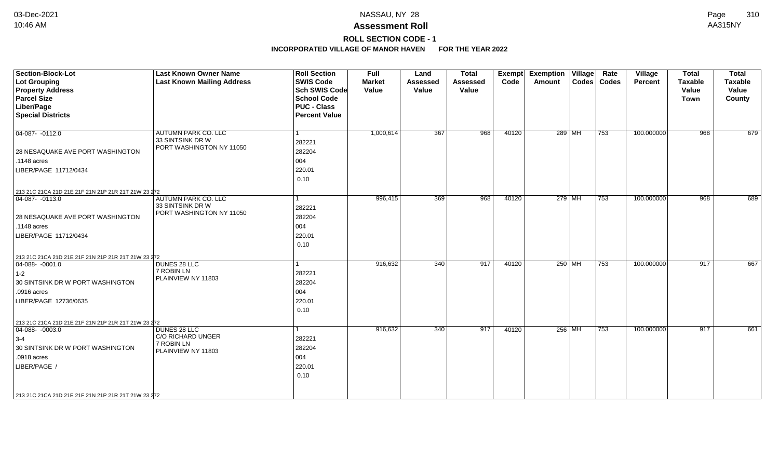# **ROLL SECTION CODE - 1**

| <b>Section-Block-Lot</b><br><b>Lot Grouping</b><br><b>Property Address</b><br><b>Parcel Size</b><br>Liber/Page<br><b>Special Districts</b> | <b>Last Known Owner Name</b><br><b>Last Known Mailing Address</b>   | <b>Roll Section</b><br><b>SWIS Code</b><br><b>Sch SWIS Code</b><br><b>School Code</b><br><b>PUC - Class</b><br><b>Percent Value</b> | <b>Full</b><br><b>Market</b><br>Value | Land<br><b>Assessed</b><br>Value | <b>Total</b><br><b>Assessed</b><br>Value | Exempt<br>Code | <b>Exemption Village</b><br>Amount | Rate<br>Codes   Codes | Village<br>Percent | <b>Total</b><br><b>Taxable</b><br>Value<br>Town | <b>Total</b><br><b>Taxable</b><br>Value<br>County |
|--------------------------------------------------------------------------------------------------------------------------------------------|---------------------------------------------------------------------|-------------------------------------------------------------------------------------------------------------------------------------|---------------------------------------|----------------------------------|------------------------------------------|----------------|------------------------------------|-----------------------|--------------------|-------------------------------------------------|---------------------------------------------------|
| $04-087 - 0112.0$<br>28 NESAQUAKE AVE PORT WASHINGTON                                                                                      | AUTUMN PARK CO. LLC<br>33 SINTSINK DR W<br>PORT WASHINGTON NY 11050 | 1<br>282221<br>282204                                                                                                               | 1,000,614                             | 367                              | 968                                      | 40120          | 289 MH                             | 753                   | 100.000000         | 968                                             | 679                                               |
| $.1148$ acres                                                                                                                              |                                                                     | 004                                                                                                                                 |                                       |                                  |                                          |                |                                    |                       |                    |                                                 |                                                   |
| LIBER/PAGE 11712/0434                                                                                                                      |                                                                     | 220.01<br>0.10                                                                                                                      |                                       |                                  |                                          |                |                                    |                       |                    |                                                 |                                                   |
| 213 21C 21CA 21D 21E 21F 21N 21P 21R 21T 21W 23 272                                                                                        |                                                                     |                                                                                                                                     |                                       |                                  |                                          |                |                                    |                       |                    |                                                 |                                                   |
| $\boxed{04-087 - 0113.0}$                                                                                                                  | AUTUMN PARK CO. LLC<br>33 SINTSINK DR W<br>PORT WASHINGTON NY 11050 | l 1<br>282221                                                                                                                       | 996,415                               | 369                              | 968                                      | 40120          | 279 MH                             | 753                   | 100.000000         | 968                                             | 689                                               |
| 28 NESAQUAKE AVE PORT WASHINGTON                                                                                                           |                                                                     | 282204                                                                                                                              |                                       |                                  |                                          |                |                                    |                       |                    |                                                 |                                                   |
| $.1148$ acres                                                                                                                              |                                                                     | 004                                                                                                                                 |                                       |                                  |                                          |                |                                    |                       |                    |                                                 |                                                   |
| LIBER/PAGE 11712/0434                                                                                                                      |                                                                     | 220.01<br>0.10                                                                                                                      |                                       |                                  |                                          |                |                                    |                       |                    |                                                 |                                                   |
| 213 21C 21CA 21D 21E 21F 21N 21P 21R 21T 21W 23 272                                                                                        |                                                                     |                                                                                                                                     |                                       |                                  |                                          |                |                                    |                       |                    |                                                 |                                                   |
| $ 04-088-0001.0$<br>$1-2$<br>30 SINTSINK DR W PORT WASHINGTON<br>.0916 acres<br>LIBER/PAGE 12736/0635                                      | DUNES 28 LLC<br>7 ROBIN LN<br>PLAINVIEW NY 11803                    | 1<br>282221<br>282204<br>004<br>220.01<br>0.10                                                                                      | 916,632                               | $\overline{340}$                 | 917                                      | 40120          | 250 MH                             | 753                   | 100.000000         | 917                                             | 667                                               |
| 213 21C 21CA 21D 21E 21F 21N 21P 21R 21T 21W 23 272<br>$ 04 - \overline{088 - 0003.0} $                                                    | DUNES 28 LLC                                                        | $\mathbf{1}$                                                                                                                        | 916,632                               | 340                              | 917                                      | 40120          | 256 MH                             | 753                   | 100.000000         | 917                                             | 661                                               |
| $3-4$                                                                                                                                      | C/O RICHARD UNGER                                                   | 282221                                                                                                                              |                                       |                                  |                                          |                |                                    |                       |                    |                                                 |                                                   |
| 30 SINTSINK DR W PORT WASHINGTON<br>.0918 acres                                                                                            | 7 ROBIN LN<br>PLAINVIEW NY 11803                                    | 282204<br>004                                                                                                                       |                                       |                                  |                                          |                |                                    |                       |                    |                                                 |                                                   |
| LIBER/PAGE /                                                                                                                               |                                                                     | 220.01<br>0.10                                                                                                                      |                                       |                                  |                                          |                |                                    |                       |                    |                                                 |                                                   |
| 213 21C 21CA 21D 21E 21F 21N 21P 21R 21T 21W 23 272                                                                                        |                                                                     |                                                                                                                                     |                                       |                                  |                                          |                |                                    |                       |                    |                                                 |                                                   |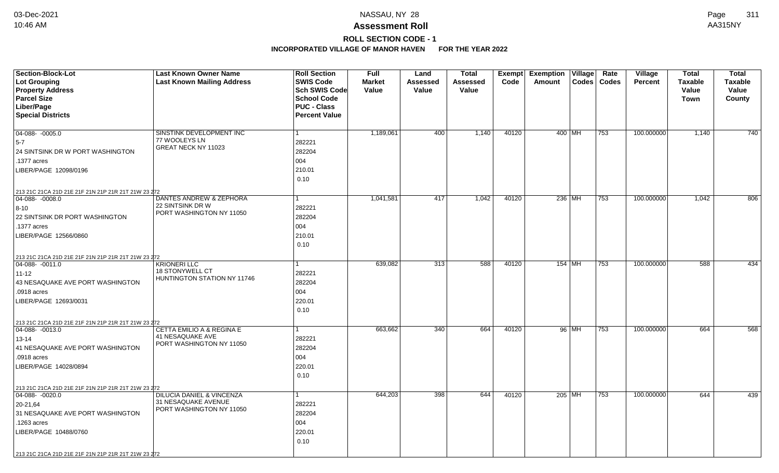# **ROLL SECTION CODE - 1**

| Section-Block-Lot<br><b>Lot Grouping</b><br><b>Property Address</b><br><b>Parcel Size</b>                                                                                                                               | <b>Last Known Owner Name</b><br><b>Last Known Mailing Address</b>                           | <b>Roll Section</b><br><b>SWIS Code</b><br>Sch SWIS Code<br><b>School Code</b> | <b>Full</b><br><b>Market</b><br>Value | Land<br>Assessed<br>Value | <b>Total</b><br><b>Assessed</b><br>Value | Exempt<br>Code | <b>Exemption Village</b><br>Amount | Rate<br>Codes   Codes | Village<br><b>Percent</b> | <b>Total</b><br><b>Taxable</b><br>Value<br>Town | <b>Total</b><br><b>Taxable</b><br>Value<br>County |
|-------------------------------------------------------------------------------------------------------------------------------------------------------------------------------------------------------------------------|---------------------------------------------------------------------------------------------|--------------------------------------------------------------------------------|---------------------------------------|---------------------------|------------------------------------------|----------------|------------------------------------|-----------------------|---------------------------|-------------------------------------------------|---------------------------------------------------|
| Liber/Page<br><b>Special Districts</b>                                                                                                                                                                                  |                                                                                             | <b>PUC - Class</b><br><b>Percent Value</b>                                     |                                       |                           |                                          |                |                                    |                       |                           |                                                 |                                                   |
| $04-088 - -0005.0$<br>$5-7$<br>24 SINTSINK DR W PORT WASHINGTON<br>.1377 acres<br>LIBER/PAGE 12098/0196                                                                                                                 | SINSTINK DEVELOPMENT INC<br>77 WOOLEYS LN<br>GREAT NECK NY 11023                            | $\mathbf{1}$<br>282221<br>282204<br>004<br>210.01<br>0.10                      | 1,189,061                             | 400                       | 1,140                                    | 40120          | 400 MH                             | 753                   | 100.000000                | 1,140                                           | 740                                               |
| 213 21C 21CA 21D 21E 21F 21N 21P 21R 21T 21W 23 272<br>$ 04-088-0008.0$<br>$8 - 10$<br>22 SINTSINK DR PORT WASHINGTON<br>.1377 acres<br>LIBER/PAGE 12566/0860                                                           | DANTES ANDREW & ZEPHORA<br>22 SINTSINK DR W<br>PORT WASHINGTON NY 11050                     | $\mathbf{1}$<br>282221<br>282204<br>004<br>210.01<br>0.10                      | 1,041,581                             | 417                       | 1,042                                    | 40120          | 236 MH                             | 753                   | 100.000000                | 1,042                                           | 806                                               |
| 213 21C 21CA 21D 21E 21F 21N 21P 21R 21T 21W 23 272<br>$ 04-088-0011.0$<br>$11 - 12$<br>43 NESAQUAKE AVE PORT WASHINGTON<br>.0918 acres<br>LIBER/PAGE 12693/0031                                                        | <b>KRIONERI LLC</b><br><b>18 STONYWELL CT</b><br>HUNTINGTON STATION NY 11746                | 282221<br>282204<br>004<br>220.01<br>0.10                                      | 639,082                               | 313                       | 588                                      | 40120          | 154 MH                             | 753                   | 100.000000                | 588                                             | 434                                               |
| 213 21C 21CA 21D 21E 21F 21N 21P 21R 21T 21W 23 272<br>$\boxed{04-088 - 0013.0}$<br>13-14<br>41 NESAQUAKE AVE PORT WASHINGTON<br>.0918 acres<br>LIBER/PAGE 14028/0894                                                   | <b>CETTA EMILIO A &amp; REGINA E</b><br><b>41 NESAQUAKE AVE</b><br>PORT WASHINGTON NY 11050 | 1<br>282221<br>282204<br>004<br>220.01<br>0.10                                 | 663,662                               | 340                       | 664                                      | 40120          | 96 MH                              | 753                   | 100.000000                | 664                                             | 568                                               |
| 213 21C 21CA 21D 21E 21F 21N 21P 21R 21T 21W 23 272<br>$04-088 - 0020.0$<br>20-21,64<br>31 NESAQUAKE AVE PORT WASHINGTON<br>.1263 acres<br>LIBER/PAGE 10488/0760<br>213 21C 21CA 21D 21E 21F 21N 21P 21R 21T 21W 23 272 | DILUCIA DANIEL & VINCENZA<br>31 NESAQUAKE AVENUE<br>PORT WASHINGTON NY 11050                | $\mathbf{1}$<br>282221<br>282204<br>004<br>220.01<br>0.10                      | 644,203                               | 398                       | 644                                      | 40120          | 205 MH                             | 753                   | 100.000000                | 644                                             | 439                                               |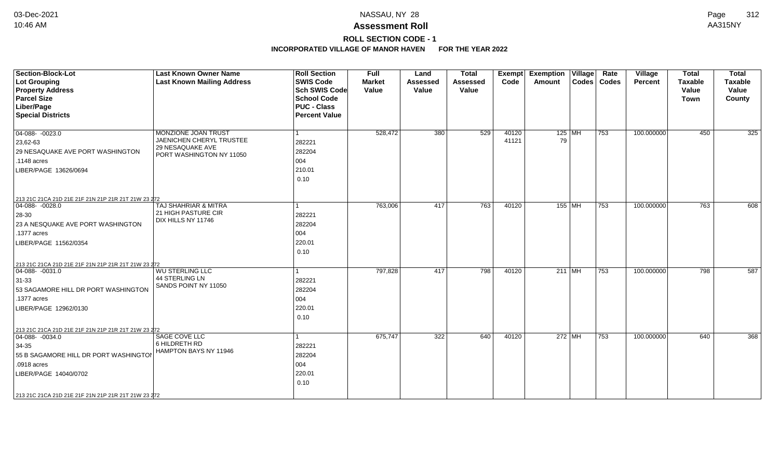## **ROLL SECTION CODE - 1**

| <b>Section-Block-Lot</b><br><b>Lot Grouping</b><br><b>Property Address</b><br><b>Parcel Size</b><br>Liber/Page<br><b>Special Districts</b>                                                                                 | <b>Last Known Owner Name</b><br><b>Last Known Mailing Address</b>                               | <b>Roll Section</b><br><b>SWIS Code</b><br><b>Sch SWIS Code</b><br><b>School Code</b><br><b>PUC - Class</b><br><b>Percent Value</b> | <b>Full</b><br><b>Market</b><br>Value | Land<br><b>Assessed</b><br>Value | <b>Total</b><br><b>Assessed</b><br>Value | <b>Exempt</b><br>Code | <b>Exemption Village</b><br>Amount | Rate<br>Codes   Codes | Village<br>Percent | <b>Total</b><br><b>Taxable</b><br>Value<br><b>Town</b> | <b>Total</b><br>Taxable<br>Value<br>County |
|----------------------------------------------------------------------------------------------------------------------------------------------------------------------------------------------------------------------------|-------------------------------------------------------------------------------------------------|-------------------------------------------------------------------------------------------------------------------------------------|---------------------------------------|----------------------------------|------------------------------------------|-----------------------|------------------------------------|-----------------------|--------------------|--------------------------------------------------------|--------------------------------------------|
| $04-088 - 0023.0$<br>23,62-63<br>29 NESAQUAKE AVE PORT WASHINGTON<br>.1148 acres<br>LIBER/PAGE 13626/0694                                                                                                                  | MONZIONE JOAN TRUST<br>JAENICHEN CHERYL TRUSTEE<br>29 NESAQUAKE AVE<br>PORT WASHINGTON NY 11050 | 1<br>282221<br>282204<br>004<br>210.01<br>0.10                                                                                      | 528,472                               | 380                              | 529                                      | 40120<br>41121        | $125$ MH<br>79                     | 753                   | 100.000000         | 450                                                    | 325                                        |
| 213 21C 21CA 21D 21E 21F 21N 21P 21R 21T 21W 23 272<br>04-088- -0028.0<br>$ 28-30$<br>23 A NESQUAKE AVE PORT WASHINGTON<br>.1377 acres<br>LIBER/PAGE 11562/0354<br>213 21C 21CA 21D 21E 21F 21N 21P 21R 21T 21W 23 272     | TAJ SHAHRIAR & MITRA<br>21 HIGH PASTURE CIR<br>DIX HILLS NY 11746                               | 1<br>282221<br>282204<br>004<br>220.01<br>0.10                                                                                      | 763,006                               | 417                              | 763                                      | 40120                 | 155 MH                             | 753                   | 100.000000         | 763                                                    | 608                                        |
| $04-088 - 0031.0$<br>$31 - 33$<br>53 SAGAMORE HILL DR PORT WASHINGTON<br>.1377 acres<br>LIBER/PAGE 12962/0130                                                                                                              | <b>WU STERLING LLC</b><br>44 STERLING LN<br>SANDS POINT NY 11050                                | 282221<br>282204<br>004<br>220.01<br>0.10                                                                                           | 797,828                               | 417                              | 798                                      | 40120                 | $211$ MH                           | 753                   | 100.000000         | 798                                                    | 587                                        |
| 213 21C 21CA 21D 21E 21F 21N 21P 21R 21T 21W 23 272<br>$ 04-088-0034.0$<br>$34-35$<br>55 B SAGAMORE HILL DR PORT WASHINGTON<br>.0918 acres<br>LIBER/PAGE 14040/0702<br>213 21C 21CA 21D 21E 21F 21N 21P 21R 21T 21W 23 272 | SAGE COVE LLC<br>6 HILDRETH RD<br>HAMPTON BAYS NY 11946                                         | 282221<br>282204<br>004<br>220.01<br>0.10                                                                                           | 675,747                               | 322                              | 640                                      | 40120                 | 272 MH                             | 753                   | 100.000000         | 640                                                    | 368                                        |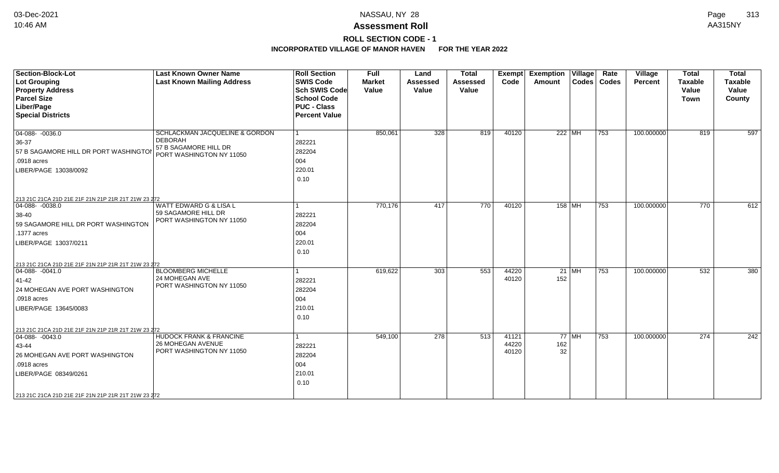## **ROLL SECTION CODE - 1**

| <b>Section-Block-Lot</b><br><b>Lot Grouping</b><br><b>Property Address</b><br><b>Parcel Size</b><br>Liber/Page<br><b>Special Districts</b>                                                                        | <b>Last Known Owner Name</b><br><b>Last Known Mailing Address</b>                                     | <b>Roll Section</b><br><b>SWIS Code</b><br><b>Sch SWIS Code</b><br><b>School Code</b><br><b>PUC - Class</b><br><b>Percent Value</b> | <b>Full</b><br><b>Market</b><br>Value | Land<br><b>Assessed</b><br>Value | <b>Total</b><br><b>Assessed</b><br>Value | <b>Exempt</b><br>Code   | <b>Exemption Village</b><br>Amount |         | Rate<br>Codes   Codes | <b>Village</b><br>Percent | <b>Total</b><br><b>Taxable</b><br>Value<br><b>Town</b> | <b>Total</b><br>Taxable<br>Value<br>County |
|-------------------------------------------------------------------------------------------------------------------------------------------------------------------------------------------------------------------|-------------------------------------------------------------------------------------------------------|-------------------------------------------------------------------------------------------------------------------------------------|---------------------------------------|----------------------------------|------------------------------------------|-------------------------|------------------------------------|---------|-----------------------|---------------------------|--------------------------------------------------------|--------------------------------------------|
| $04-088 - 0036.0$<br>36-37<br>57 B SAGAMORE HILL DR PORT WASHINGTOI<br>.0918 acres<br>LIBER/PAGE 13038/0092                                                                                                       | SCHLACKMAN JACQUELINE & GORDON<br><b>DEBORAH</b><br>57 B SAGAMORE HILL DR<br>PORT WASHINGTON NY 11050 | 1<br>282221<br>282204<br>004<br>220.01<br>0.10                                                                                      | 850,061                               | 328                              | 819                                      | 40120                   | 222 MH                             |         | 753                   | 100.000000                | 819                                                    | 597                                        |
| 213 21C 21CA 21D 21E 21F 21N 21P 21R 21T 21W 23 272<br>04-088- -0038.0<br>$38-40$<br>59 SAGAMORE HILL DR PORT WASHINGTON<br>.1377 acres<br>LIBER/PAGE 13037/0211                                                  | WATT EDWARD G & LISA L<br>59 SAGAMORE HILL DR<br>PORT WASHINGTON NY 11050                             | 282221<br>282204<br>004<br>220.01<br>0.10                                                                                           | 770,176                               | 417                              | 770                                      | 40120                   | 158 MH                             |         | 753                   | 100.000000                | 770                                                    | 612                                        |
| 213 21C 21CA 21D 21E 21F 21N 21P 21R 21T 21W 23 272<br>$04-088 - 0041.0$<br>41-42<br>24 MOHEGAN AVE PORT WASHINGTON<br>.0918 acres<br>LIBER/PAGE 13645/0083                                                       | <b>BLOOMBERG MICHELLE</b><br>24 MOHEGAN AVE<br>PORT WASHINGTON NY 11050                               | 282221<br>282204<br>004<br>210.01<br>0.10                                                                                           | 619,622                               | 303                              | 553                                      | 44220<br>40120          | 152                                | $21$ MH | 753                   | 100.000000                | 532                                                    | 380                                        |
| 213 21C 21CA 21D 21E 21F 21N 21P 21R 21T 21W 23 272<br>$ 04-088-0043.0$<br>43-44<br>26 MOHEGAN AVE PORT WASHINGTON<br>.0918 acres<br>LIBER/PAGE 08349/0261<br>213 21C 21CA 21D 21E 21F 21N 21P 21R 21T 21W 23 272 | <b>HUDOCK FRANK &amp; FRANCINE</b><br>26 MOHEGAN AVENUE<br>PORT WASHINGTON NY 11050                   | 282221<br>282204<br>004<br>210.01<br>0.10                                                                                           | 549,100                               | 278                              | 513                                      | 41121<br>44220<br>40120 | 162<br>32                          | $77$ MH | 753                   | 100.000000                | 274                                                    | 242                                        |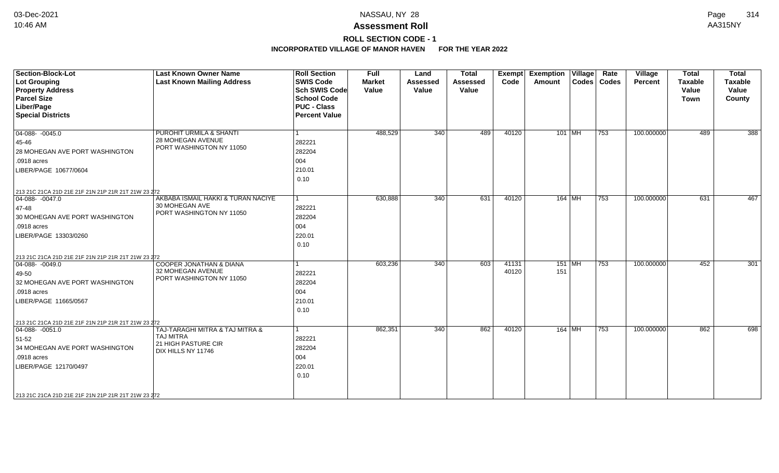# **ROLL SECTION CODE - 1**

| <b>Section-Block-Lot</b><br><b>Lot Grouping</b><br><b>Property Address</b><br><b>Parcel Size</b><br>Liber/Page<br><b>Special Districts</b>                     | <b>Last Known Owner Name</b><br><b>Last Known Mailing Address</b>                                | <b>Roll Section</b><br><b>SWIS Code</b><br><b>Sch SWIS Code</b><br><b>School Code</b><br><b>PUC - Class</b><br><b>Percent Value</b> | <b>Full</b><br><b>Market</b><br>Value | Land<br><b>Assessed</b><br>Value | <b>Total</b><br><b>Assessed</b><br>Value | Exempt<br>Code | <b>Exemption Village</b><br>Amount | Rate<br>Codes   Codes | Village<br>Percent | <b>Total</b><br><b>Taxable</b><br>Value<br><b>Town</b> | <b>Total</b><br><b>Taxable</b><br>Value<br>County |
|----------------------------------------------------------------------------------------------------------------------------------------------------------------|--------------------------------------------------------------------------------------------------|-------------------------------------------------------------------------------------------------------------------------------------|---------------------------------------|----------------------------------|------------------------------------------|----------------|------------------------------------|-----------------------|--------------------|--------------------------------------------------------|---------------------------------------------------|
| $04-088 - -0045.0$<br>45-46<br>28 MOHEGAN AVE PORT WASHINGTON<br>.0918 acres<br>LIBER/PAGE 10677/0604<br>213 21C 21CA 21D 21E 21F 21N 21P 21R 21T 21W 23 272   | PUROHIT URMILA & SHANTI<br>28 MOHEGAN AVENUE<br>PORT WASHINGTON NY 11050                         | 282221<br>282204<br>004<br>210.01<br>0.10                                                                                           | 488,529                               | 340                              | 489                                      | 40120          | $101$ MH                           | 753                   | 100.000000         | 489                                                    | 388                                               |
| $04-088 - -0047.0$<br>47-48<br>30 MOHEGAN AVE PORT WASHINGTON<br>.0918 acres<br>LIBER/PAGE 13303/0260<br>213 21C 21CA 21D 21E 21F 21N 21P 21R 21T 21W 23 272   | AKBABA ISMAIL HAKKI & TURAN NACIYE<br>30 MOHEGAN AVE<br>PORT WASHINGTON NY 11050                 | $\mathbf{1}$<br>282221<br>282204<br>004<br>220.01<br>0.10                                                                           | 630,888                               | 340                              | 631                                      | 40120          | 164 MH                             | 753                   | 100.000000         | 631                                                    | 467                                               |
| $ 04-088-0049.0$<br>49-50<br>32 MOHEGAN AVE PORT WASHINGTON<br>.0918 acres<br>LIBER/PAGE 11665/0567<br>213 21C 21CA 21D 21E 21F 21N 21P 21R 21T 21W 23 272     | <b>COOPER JONATHAN &amp; DIANA</b><br>32 MOHEGAN AVENUE<br>PORT WASHINGTON NY 11050              | 282221<br>282204<br>004<br>210.01<br>0.10                                                                                           | 603,236                               | 340                              | 603                                      | 41131<br>40120 | 151 MH<br>151                      | 753                   | 100.000000         | 452                                                    | 301                                               |
| $ 04 - 088 - 0051.0$<br>51-52<br>34 MOHEGAN AVE PORT WASHINGTON<br>.0918 acres<br>LIBER/PAGE 12170/0497<br>213 21C 21CA 21D 21E 21F 21N 21P 21R 21T 21W 23 272 | TAJ-TARAGHI MITRA & TAJ MITRA &<br><b>TAJ MITRA</b><br>21 HIGH PASTURE CIR<br>DIX HILLS NY 11746 | 282221<br>282204<br>004<br>220.01<br>0.10                                                                                           | 862,351                               | 340                              | 862                                      | 40120          | 164 MH                             | 753                   | 100.000000         | 862                                                    | 698                                               |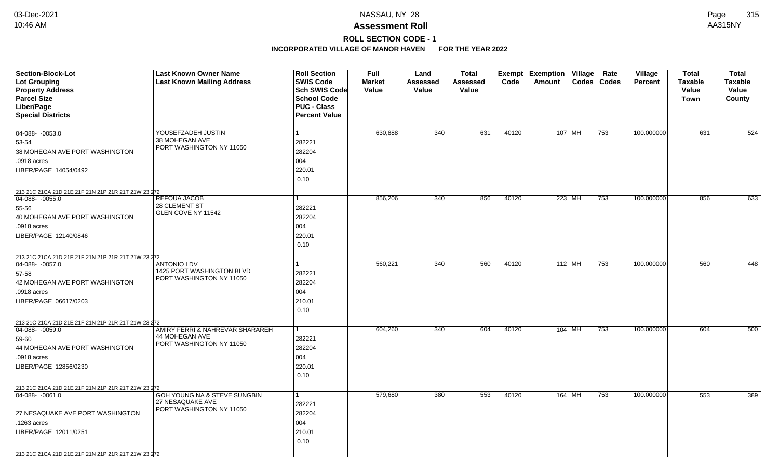# **ROLL SECTION CODE - 1**

| <b>Section-Block-Lot</b>                                             | <b>Last Known Owner Name</b>         | <b>Roll Section</b>  | <b>Full</b>   | Land     | <b>Total</b> |       | Exempt Exemption Village |          | Rate          | Village        | <b>Total</b>   | <b>Total</b>   |
|----------------------------------------------------------------------|--------------------------------------|----------------------|---------------|----------|--------------|-------|--------------------------|----------|---------------|----------------|----------------|----------------|
| <b>Lot Grouping</b>                                                  | <b>Last Known Mailing Address</b>    | <b>SWIS Code</b>     | <b>Market</b> | Assessed | Assessed     | Code  | Amount                   |          | Codes   Codes | <b>Percent</b> | <b>Taxable</b> | <b>Taxable</b> |
| <b>Property Address</b>                                              |                                      | Sch SWIS Code        | Value         | Value    | Value        |       |                          |          |               |                | Value          | Value          |
| <b>Parcel Size</b>                                                   |                                      | <b>School Code</b>   |               |          |              |       |                          |          |               |                | <b>Town</b>    | County         |
| Liber/Page                                                           |                                      | <b>PUC - Class</b>   |               |          |              |       |                          |          |               |                |                |                |
| <b>Special Districts</b>                                             |                                      | <b>Percent Value</b> |               |          |              |       |                          |          |               |                |                |                |
|                                                                      |                                      |                      |               |          |              |       |                          |          |               |                |                |                |
| 04-088- -0053.0                                                      | YOUSEFZADEH JUSTIN<br>38 MOHEGAN AVE |                      | 630,888       | 340      | 631          | 40120 | 107 MH                   |          | 753           | 100.000000     | 631            | 524            |
| 53-54                                                                | PORT WASHINGTON NY 11050             | 282221               |               |          |              |       |                          |          |               |                |                |                |
| 38 MOHEGAN AVE PORT WASHINGTON                                       |                                      | 282204               |               |          |              |       |                          |          |               |                |                |                |
| .0918 acres                                                          |                                      | 004                  |               |          |              |       |                          |          |               |                |                |                |
| LIBER/PAGE 14054/0492                                                |                                      | 220.01               |               |          |              |       |                          |          |               |                |                |                |
|                                                                      |                                      | 0.10                 |               |          |              |       |                          |          |               |                |                |                |
| 213 21C 21CA 21D 21E 21F 21N 21P 21R 21T 21W 23 272                  |                                      |                      |               |          |              |       |                          |          |               |                |                |                |
| 04-088- -0055.0                                                      | <b>REFOUA JACOB</b>                  |                      | 856,206       | 340      | 856          | 40120 |                          | $223$ MH | 753           | 100.000000     | 856            | 633            |
| 55-56                                                                | 28 CLEMENT ST<br>GLEN COVE NY 11542  | 282221               |               |          |              |       |                          |          |               |                |                |                |
| 40 MOHEGAN AVE PORT WASHINGTON                                       |                                      | 282204               |               |          |              |       |                          |          |               |                |                |                |
| .0918 acres                                                          |                                      | 004                  |               |          |              |       |                          |          |               |                |                |                |
| LIBER/PAGE 12140/0846                                                |                                      | 220.01               |               |          |              |       |                          |          |               |                |                |                |
|                                                                      |                                      | 0.10                 |               |          |              |       |                          |          |               |                |                |                |
| 213 21C 21CA 21D 21E 21F 21N 21P 21R 21T 21W 23 272                  |                                      |                      |               |          |              |       |                          |          |               |                |                |                |
| 04-088-0057.0                                                        | <b>ANTONIO LDV</b>                   |                      | 560,221       | 340      | 560          | 40120 | $112$ MH                 |          | 753           | 100.000000     | 560            | 448            |
| 57-58                                                                | 1425 PORT WASHINGTON BLVD            | 282221               |               |          |              |       |                          |          |               |                |                |                |
| 42 MOHEGAN AVE PORT WASHINGTON                                       | PORT WASHINGTON NY 11050             | 282204               |               |          |              |       |                          |          |               |                |                |                |
| .0918 acres                                                          |                                      | 004                  |               |          |              |       |                          |          |               |                |                |                |
| LIBER/PAGE 06617/0203                                                |                                      | 210.01               |               |          |              |       |                          |          |               |                |                |                |
|                                                                      |                                      | 0.10                 |               |          |              |       |                          |          |               |                |                |                |
| 213 21C 21CA 21D 21E 21F 21N 21P 21R 21T 21W 23 272                  |                                      |                      |               |          |              |       |                          |          |               |                |                |                |
| $ 04-088-0059.0$                                                     | AMIRY FERRI & NAHREVAR SHARAREH      |                      | 604,260       | 340      | 604          | 40120 | $104$ MH                 |          | 753           | 100.000000     | 604            | 500            |
| 59-60                                                                | 44 MOHEGAN AVE                       | 282221               |               |          |              |       |                          |          |               |                |                |                |
| 44 MOHEGAN AVE PORT WASHINGTON                                       | PORT WASHINGTON NY 11050             | 282204               |               |          |              |       |                          |          |               |                |                |                |
| .0918 acres                                                          |                                      | 004                  |               |          |              |       |                          |          |               |                |                |                |
| LIBER/PAGE 12856/0230                                                |                                      | 220.01               |               |          |              |       |                          |          |               |                |                |                |
|                                                                      |                                      | 0.10                 |               |          |              |       |                          |          |               |                |                |                |
|                                                                      |                                      |                      |               |          |              |       |                          |          |               |                |                |                |
| 213 21C 21CA 21D 21E 21F 21N 21P 21R 21T 21W 23 272<br>04-088-0061.0 | GOH YOUNG NA & STEVE SUNGBIN         |                      | 579,680       | 380      | 553          | 40120 | $164$ MH                 |          | 753           | 100.000000     | 553            | 389            |
|                                                                      | 27 NESAQUAKE AVE                     | 282221               |               |          |              |       |                          |          |               |                |                |                |
| 27 NESAQUAKE AVE PORT WASHINGTON                                     | PORT WASHINGTON NY 11050             | 282204               |               |          |              |       |                          |          |               |                |                |                |
| .1263 acres                                                          |                                      | 004                  |               |          |              |       |                          |          |               |                |                |                |
| LIBER/PAGE 12011/0251                                                |                                      | 210.01               |               |          |              |       |                          |          |               |                |                |                |
|                                                                      |                                      | 0.10                 |               |          |              |       |                          |          |               |                |                |                |
|                                                                      |                                      |                      |               |          |              |       |                          |          |               |                |                |                |
| 213 21C 21CA 21D 21E 21F 21N 21P 21R 21T 21W 23 272                  |                                      |                      |               |          |              |       |                          |          |               |                |                |                |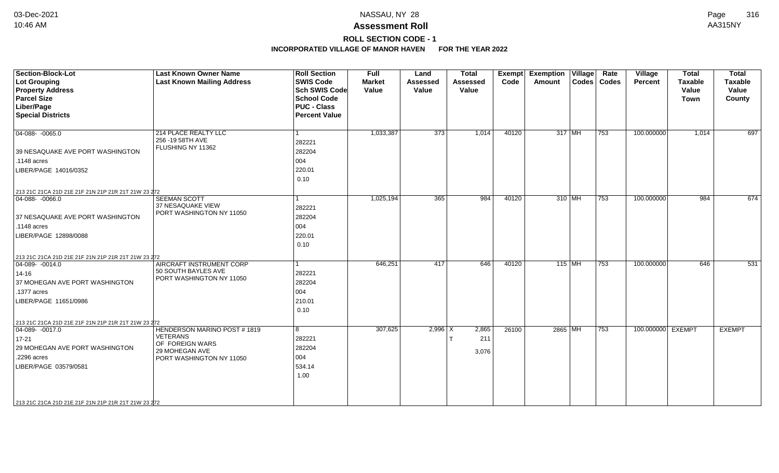# **ROLL SECTION CODE - 1**

| <b>Section-Block-Lot</b><br>Lot Grouping<br><b>Property Address</b><br><b>Parcel Size</b><br>Liber/Page<br><b>Special Districts</b>                                                                                   | <b>Last Known Owner Name</b><br><b>Last Known Mailing Address</b>                                                      | <b>Roll Section</b><br><b>SWIS Code</b><br><b>Sch SWIS Code</b><br><b>School Code</b><br><b>PUC - Class</b><br><b>Percent Value</b> | <b>Full</b><br><b>Market</b><br>Value | Land<br><b>Assessed</b><br>Value | <b>Total</b><br><b>Assessed</b><br>Value | Exempt<br>Code | <b>Exemption Village</b><br>Rate<br>Codes   Codes<br><b>Amount</b> | Village<br><b>Percent</b> | <b>Total</b><br><b>Taxable</b><br>Value<br><b>Town</b> | <b>Total</b><br><b>Taxable</b><br>Value<br>County |
|-----------------------------------------------------------------------------------------------------------------------------------------------------------------------------------------------------------------------|------------------------------------------------------------------------------------------------------------------------|-------------------------------------------------------------------------------------------------------------------------------------|---------------------------------------|----------------------------------|------------------------------------------|----------------|--------------------------------------------------------------------|---------------------------|--------------------------------------------------------|---------------------------------------------------|
| $ 04 - 088 - 0065.0$<br>39 NESAQUAKE AVE PORT WASHINGTON<br>.1148 acres<br>LIBER/PAGE 14016/0352                                                                                                                      | 214 PLACE REALTY LLC<br>256 - 19 58TH AVE<br>FLUSHING NY 11362                                                         | 282221<br>282204<br>004<br>220.01<br>0.10                                                                                           | 1,033,387                             | 373                              | 1,014                                    | 40120          | 317 MH<br>753                                                      | 100.000000                | 1,014                                                  | 697                                               |
| 213 21C 21CA 21D 21E 21F 21N 21P 21R 21T 21W 23 272<br>$04-088 - 0066.0$<br>37 NESAQUAKE AVE PORT WASHINGTON<br>.1148 acres<br>LIBER/PAGE 12898/0088<br>213 21C 21CA 21D 21E 21F 21N 21P 21R 21T 21W 23 272           | <b>SEEMAN SCOTT</b><br>37 NESAQUAKE VIEW<br>PORT WASHINGTON NY 11050                                                   | 1<br>282221<br>282204<br>004<br>220.01<br>0.10                                                                                      | 1,025,194                             | 365                              | 984                                      | 40120          | 310 MH<br>753                                                      | 100.000000                | 984                                                    | 674                                               |
| $ 04-089-0014.0$<br>14-16<br>37 MOHEGAN AVE PORT WASHINGTON<br>.1377 acres<br>LIBER/PAGE 11651/0986                                                                                                                   | AIRCRAFT INSTRUMENT CORP<br>50 SOUTH BAYLES AVE<br>PORT WASHINGTON NY 11050                                            | 1<br>282221<br>282204<br>004<br>210.01<br>0.10                                                                                      | 646,251                               | 417                              | 646                                      | 40120          | $115$ MH<br>753                                                    | 100.000000                | 646                                                    | 531                                               |
| 213 21C 21CA 21D 21E 21F 21N 21P 21R 21T 21W 23 272<br>$ 04-089-0017.0$<br>$17 - 21$<br>29 MOHEGAN AVE PORT WASHINGTON<br>.2296 acres<br>LIBER/PAGE 03579/0581<br>213 21C 21CA 21D 21E 21F 21N 21P 21R 21T 21W 23 272 | <b>HENDERSON MARINO POST #1819</b><br><b>VETERANS</b><br>OF FOREIGN WARS<br>29 MOHEGAN AVE<br>PORT WASHINGTON NY 11050 | 8<br>282221<br>282204<br>004<br>534.14<br>1.00                                                                                      | 307,625                               | $2,996$ X                        | 2,865<br>211<br>3,076                    | 26100          | 2865 MH<br>753                                                     | 100.000000 EXEMPT         |                                                        | <b>EXEMPT</b>                                     |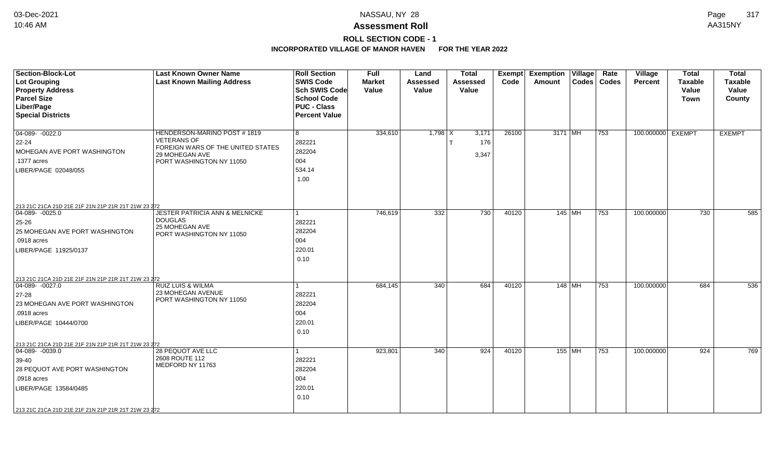# **ROLL SECTION CODE - 1**

| <b>Section-Block-Lot</b><br>Lot Grouping<br><b>Property Address</b><br><b>Parcel Size</b><br>Liber/Page                                                                                                         | <b>Last Known Owner Name</b><br><b>Last Known Mailing Address</b>                                                                    | <b>Roll Section</b><br><b>SWIS Code</b><br><b>Sch SWIS Code</b><br><b>School Code</b><br><b>PUC - Class</b> | <b>Full</b><br><b>Market</b><br>Value | Land<br><b>Assessed</b><br>Value | <b>Total</b><br><b>Assessed</b><br>Value | Exempt<br>Code | <b>Exemption Village</b><br>Amount |          | Rate<br>Codes   Codes | Village<br>Percent | <b>Total</b><br><b>Taxable</b><br>Value<br>Town | <b>Total</b><br><b>Taxable</b><br>Value<br>County |
|-----------------------------------------------------------------------------------------------------------------------------------------------------------------------------------------------------------------|--------------------------------------------------------------------------------------------------------------------------------------|-------------------------------------------------------------------------------------------------------------|---------------------------------------|----------------------------------|------------------------------------------|----------------|------------------------------------|----------|-----------------------|--------------------|-------------------------------------------------|---------------------------------------------------|
| <b>Special Districts</b>                                                                                                                                                                                        |                                                                                                                                      | <b>Percent Value</b>                                                                                        |                                       |                                  |                                          |                |                                    |          |                       |                    |                                                 |                                                   |
| $04-089 - 0022.0$<br>$22 - 24$<br>MOHEGAN AVE PORT WASHINGTON<br>.1377 acres<br>LIBER/PAGE 02048/055                                                                                                            | HENDERSON-MARINO POST #1819<br><b>VETERANS OF</b><br>FOREIGN WARS OF THE UNITED STATES<br>29 MOHEGAN AVE<br>PORT WASHINGTON NY 11050 | 8<br>282221<br>282204<br>004<br>534.14<br>1.00                                                              | 334,610                               | $1,798$ X                        | 3,171<br>176<br>3,347                    | 26100          | $3171$ MH                          |          | $ 753\rangle$         | 100.000000 EXEMPT  |                                                 | <b>EXEMPT</b>                                     |
| 213 21C 21CA 21D 21E 21F 21N 21P 21R 21T 21W 23 272<br>$ 04-089-0025.0$                                                                                                                                         | <b>JESTER PATRICIA ANN &amp; MELNICKE</b>                                                                                            | $\mathbf{1}$                                                                                                | 746,619                               | 332                              | 730                                      | 40120          |                                    | 145 MH   | 753                   | 100.000000         | 730                                             | 585                                               |
| 25-26<br>25 MOHEGAN AVE PORT WASHINGTON<br>.0918 acres<br>LIBER/PAGE 11925/0137                                                                                                                                 | <b>DOUGLAS</b><br>25 MOHEGAN AVE<br>PORT WASHINGTON NY 11050                                                                         | 282221<br>282204<br>004<br>220.01<br>0.10                                                                   |                                       |                                  |                                          |                |                                    |          |                       |                    |                                                 |                                                   |
| 213 21C 21CA 21D 21E 21F 21N 21P 21R 21T 21W 23 272<br>04-089- -0027.0                                                                                                                                          | <b>RUIZ LUIS &amp; WILMA</b>                                                                                                         | 1                                                                                                           | 684,145                               | 340                              | 684                                      | 40120          |                                    | 148 MH   | 753                   | 100.000000         | 684                                             | 536                                               |
| $27 - 28$<br>23 MOHEGAN AVE PORT WASHINGTON<br>.0918 acres<br>LIBER/PAGE 10444/0700                                                                                                                             | 23 MOHEGAN AVENUE<br>PORT WASHINGTON NY 11050                                                                                        | 282221<br>282204<br>004<br>220.01<br>0.10                                                                   |                                       |                                  |                                          |                |                                    |          |                       |                    |                                                 |                                                   |
| 213 21C 21CA 21D 21E 21F 21N 21P 21R 21T 21W 23 272<br>04-089- -0039.0<br>39-40<br>28 PEQUOT AVE PORT WASHINGTON<br>.0918 acres<br>LIBER/PAGE 13584/0485<br>213 21C 21CA 21D 21E 21F 21N 21P 21R 21T 21W 23 272 | 28 PEQUOT AVE LLC<br>2608 ROUTE 112<br>MEDFORD NY 11763                                                                              | $\mathbf{1}$<br>282221<br>282204<br>004<br>220.01<br>0.10                                                   | 923,801                               | 340                              | 924                                      | 40120          |                                    | $155$ MH | 753                   | 100.000000         | 924                                             | 769                                               |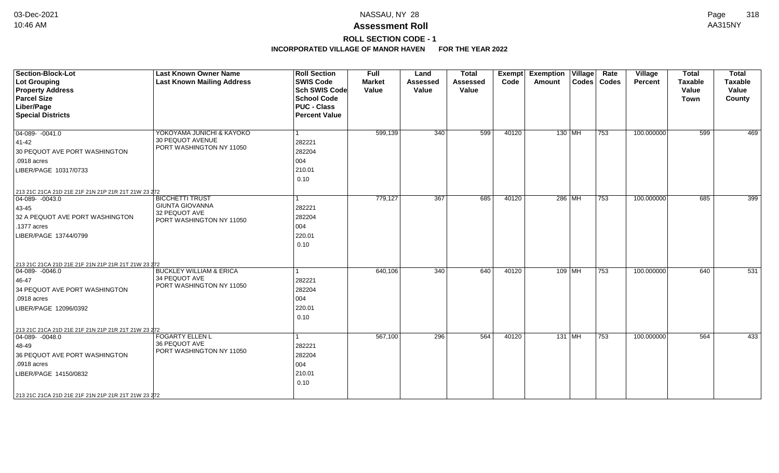# **ROLL SECTION CODE - 1**

| <b>Section-Block-Lot</b><br><b>Lot Grouping</b><br><b>Property Address</b><br><b>Parcel Size</b><br>Liber/Page<br><b>Special Districts</b>                                                                       | <b>Last Known Owner Name</b><br><b>Last Known Mailing Address</b>                             | <b>Roll Section</b><br><b>SWIS Code</b><br><b>Sch SWIS Code</b><br><b>School Code</b><br><b>PUC - Class</b><br><b>Percent Value</b> | <b>Full</b><br><b>Market</b><br>Value | Land<br><b>Assessed</b><br>Value | <b>Total</b><br><b>Assessed</b><br>Value | Exempt<br>Code | <b>Exemption Village</b><br>Amount | Rate<br>Codes   Codes | Village<br>Percent | <b>Total</b><br><b>Taxable</b><br>Value<br><b>Town</b> | <b>Total</b><br><b>Taxable</b><br>Value<br>County |
|------------------------------------------------------------------------------------------------------------------------------------------------------------------------------------------------------------------|-----------------------------------------------------------------------------------------------|-------------------------------------------------------------------------------------------------------------------------------------|---------------------------------------|----------------------------------|------------------------------------------|----------------|------------------------------------|-----------------------|--------------------|--------------------------------------------------------|---------------------------------------------------|
| $\boxed{04-089 - 0041.0}$<br>41-42<br>30 PEQUOT AVE PORT WASHINGTON<br>.0918 acres<br>LIBER/PAGE 10317/0733                                                                                                      | YOKOYAMA JUNICHI & KAYOKO<br>30 PEQUOT AVENUE<br>PORT WASHINGTON NY 11050                     | 282221<br>282204<br>004<br>210.01<br>0.10                                                                                           | 599,139                               | 340                              | 599                                      | 40120          | $130$ MH                           | 753                   | 100.000000         | 599                                                    | 469                                               |
| 213 21C 21CA 21D 21E 21F 21N 21P 21R 21T 21W 23 272<br>$\boxed{04-089 - 0043.0}$<br>43-45<br>32 A PEQUOT AVE PORT WASHINGTON<br>.1377 acres<br>LIBER/PAGE 13744/0799                                             | <b>BICCHETTI TRUST</b><br><b>GIUNTA GIOVANNA</b><br>32 PEQUOT AVE<br>PORT WASHINGTON NY 11050 | 282221<br>282204<br>004<br>220.01<br>0.10                                                                                           | 779,127                               | 367                              | 685                                      | 40120          | 286 MH                             | 753                   | 100.000000         | 685                                                    | 399                                               |
| 213 21C 21CA 21D 21E 21F 21N 21P 21R 21T 21W 23 272<br>$ 04-089-0046.0$<br>46-47<br>34 PEQUOT AVE PORT WASHINGTON<br>.0918 acres<br>LIBER/PAGE 12096/0392                                                        | <b>BUCKLEY WILLIAM &amp; ERICA</b><br>34 PEQUOT AVE<br>PORT WASHINGTON NY 11050               | 282221<br>282204<br>004<br>220.01<br>0.10                                                                                           | 640,106                               | 340                              | 640                                      | 40120          | 109 MH                             | 753                   | 100.000000         | 640                                                    | 531                                               |
| 213 21C 21CA 21D 21E 21F 21N 21P 21R 21T 21W 23 272<br>$ 04-089-0048.0$<br>48-49<br>36 PEQUOT AVE PORT WASHINGTON<br>.0918 acres<br>LIBER/PAGE 14150/0832<br>213 21C 21CA 21D 21E 21F 21N 21P 21R 21T 21W 23 272 | <b>FOGARTY ELLEN L</b><br>36 PEQUOT AVE<br>PORT WASHINGTON NY 11050                           | 282221<br>282204<br>004<br>210.01<br>0.10                                                                                           | 567,100                               | 296                              | 564                                      | 40120          | 131 MH                             | 753                   | 100.000000         | 564                                                    | 433                                               |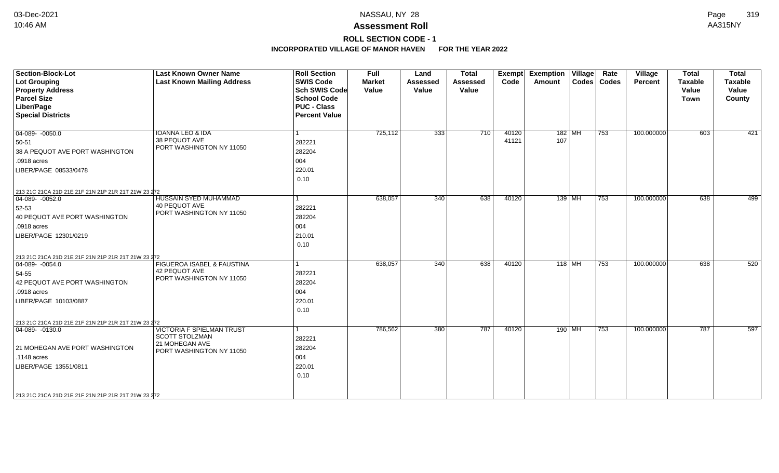# **ROLL SECTION CODE - 1**

| <b>Section-Block-Lot</b><br><b>Lot Grouping</b><br><b>Property Address</b><br><b>Parcel Size</b><br>Liber/Page<br><b>Special Districts</b>                                                                | <b>Last Known Owner Name</b><br><b>Last Known Mailing Address</b>                                | <b>Roll Section</b><br><b>SWIS Code</b><br><b>Sch SWIS Code</b><br><b>School Code</b><br><b>PUC - Class</b><br><b>Percent Value</b> | <b>Full</b><br><b>Market</b><br>Value | Land<br><b>Assessed</b><br>Value | <b>Total</b><br><b>Assessed</b><br>Value | Exempt<br>Code | <b>Exemption Village</b><br>Amount | Rate<br>Codes   Codes | Village<br>Percent | <b>Total</b><br><b>Taxable</b><br>Value<br><b>Town</b> | <b>Total</b><br><b>Taxable</b><br>Value<br>County |
|-----------------------------------------------------------------------------------------------------------------------------------------------------------------------------------------------------------|--------------------------------------------------------------------------------------------------|-------------------------------------------------------------------------------------------------------------------------------------|---------------------------------------|----------------------------------|------------------------------------------|----------------|------------------------------------|-----------------------|--------------------|--------------------------------------------------------|---------------------------------------------------|
| $04-089 - 0050.0$<br>50-51<br>38 A PEQUOT AVE PORT WASHINGTON<br>.0918 acres<br>LIBER/PAGE 08533/0478                                                                                                     | <b>IOANNA LEO &amp; IDA</b><br>38 PEQUOT AVE<br>PORT WASHINGTON NY 11050                         | l 1<br>282221<br>282204<br>004<br>220.01<br>0.10                                                                                    | 725,112                               | 333                              | 710                                      | 40120<br>41121 | 182 MH<br>107                      | 753                   | 100.000000         | 603                                                    | 421                                               |
| 213 21C 21CA 21D 21E 21F 21N 21P 21R 21T 21W 23 272<br>$04-089 - 0052.0$<br>52-53<br>40 PEQUOT AVE PORT WASHINGTON<br>.0918 acres<br>LIBER/PAGE 12301/0219                                                | <b>HUSSAIN SYED MUHAMMAD</b><br><b>40 PEQUOT AVE</b><br>PORT WASHINGTON NY 11050                 | $\vert$ 1<br>282221<br>282204<br>004<br>210.01<br>0.10                                                                              | 638,057                               | 340                              | 638                                      | 40120          | $139$ MH                           | 753                   | 100.000000         | 638                                                    | 499                                               |
| 213 21C 21CA 21D 21E 21F 21N 21P 21R 21T 21W 23 272<br>$ 04-089-0054.0$<br>54-55<br>42 PEQUOT AVE PORT WASHINGTON<br>.0918 acres<br>LIBER/PAGE 10103/0887                                                 | FIGUEROA ISABEL & FAUSTINA<br>42 PEQUOT AVE<br>PORT WASHINGTON NY 11050                          | 1<br>282221<br>282204<br>004<br>220.01<br>0.10                                                                                      | 638,057                               | 340                              | 638                                      | 40120          | $118$ MH                           | 753                   | 100.000000         | 638                                                    | 520                                               |
| 213 21C 21CA 21D 21E 21F 21N 21P 21R 21T 21W 23 272<br>$04-089 - 0130.0$<br>21 MOHEGAN AVE PORT WASHINGTON<br>.1148 acres<br>LIBER/PAGE 13551/0811<br>213 21C 21CA 21D 21E 21F 21N 21P 21R 21T 21W 23 272 | <b>VICTORIA F SPIELMAN TRUST</b><br>SCOTT STOLZMAN<br>21 MOHEGAN AVE<br>PORT WASHINGTON NY 11050 | 1<br>282221<br>282204<br>004<br>220.01<br>0.10                                                                                      | 786,562                               | 380                              | 787                                      | 40120          | 190 MH                             | 753                   | 100.000000         | 787                                                    | 597                                               |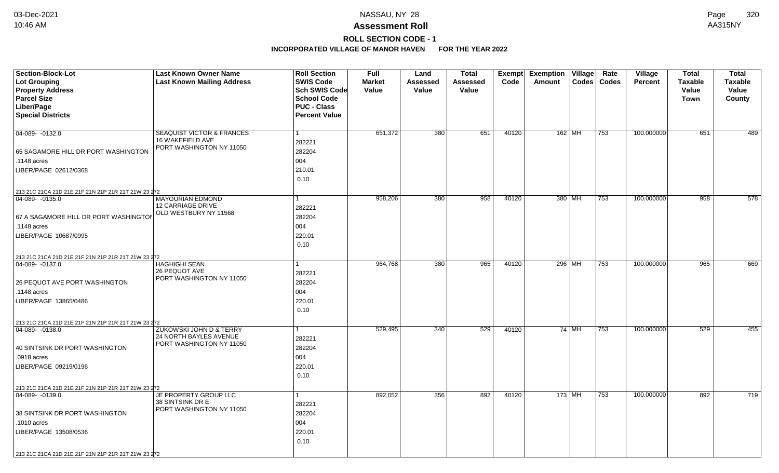# **ROLL SECTION CODE - 1**

| <b>Section-Block-Lot</b>                            | <b>Last Known Owner Name</b>                      | <b>Roll Section</b>               | <b>Full</b>            | Land              | <b>Total</b>      |       | Exempt Exemption Village |       | Rate          | Village        | <b>Total</b>            | <b>Total</b>            |
|-----------------------------------------------------|---------------------------------------------------|-----------------------------------|------------------------|-------------------|-------------------|-------|--------------------------|-------|---------------|----------------|-------------------------|-------------------------|
| <b>Lot Grouping</b><br><b>Property Address</b>      | <b>Last Known Mailing Address</b>                 | <b>SWIS Code</b><br>Sch SWIS Code | <b>Market</b><br>Value | Assessed<br>Value | Assessed<br>Value | Code  | Amount                   |       | Codes   Codes | <b>Percent</b> | <b>Taxable</b><br>Value | <b>Taxable</b><br>Value |
| <b>Parcel Size</b>                                  |                                                   | <b>School Code</b>                |                        |                   |                   |       |                          |       |               |                | <b>Town</b>             | County                  |
| Liber/Page                                          |                                                   | <b>PUC - Class</b>                |                        |                   |                   |       |                          |       |               |                |                         |                         |
| <b>Special Districts</b>                            |                                                   | <b>Percent Value</b>              |                        |                   |                   |       |                          |       |               |                |                         |                         |
|                                                     |                                                   |                                   |                        |                   |                   |       |                          |       |               |                |                         |                         |
| $04-089 - 0132.0$                                   | SEAQUIST VICTOR & FRANCES                         |                                   | 651,372                | 380               | 651               | 40120 | $162$ MH                 |       | 753           | 100.000000     | 651                     | 489                     |
|                                                     | 16 WAKEFIELD AVE<br>PORT WASHINGTON NY 11050      | 282221                            |                        |                   |                   |       |                          |       |               |                |                         |                         |
| 65 SAGAMORE HILL DR PORT WASHINGTON                 |                                                   | 282204                            |                        |                   |                   |       |                          |       |               |                |                         |                         |
| .1148 acres                                         |                                                   | 004                               |                        |                   |                   |       |                          |       |               |                |                         |                         |
| LIBER/PAGE 02612/0368                               |                                                   | 210.01                            |                        |                   |                   |       |                          |       |               |                |                         |                         |
|                                                     |                                                   | 0.10                              |                        |                   |                   |       |                          |       |               |                |                         |                         |
| 213 21C 21CA 21D 21E 21F 21N 21P 21R 21T 21W 23 272 |                                                   |                                   |                        |                   |                   |       |                          |       |               |                |                         |                         |
| 04-089- -0135.0                                     | <b>MAYOURIAN EDMOND</b>                           |                                   | 958,206                | 380               | 958               | 40120 | 380 MH                   |       | 753           | 100.000000     | 958                     | 578                     |
|                                                     | 12 CARRIAGE DRIVE<br>OLD WESTBURY NY 11568        | 282221                            |                        |                   |                   |       |                          |       |               |                |                         |                         |
| 67 A SAGAMORE HILL DR PORT WASHINGTOI               |                                                   | 282204                            |                        |                   |                   |       |                          |       |               |                |                         |                         |
| .1148 acres                                         |                                                   | 004                               |                        |                   |                   |       |                          |       |               |                |                         |                         |
| LIBER/PAGE 10687/0995                               |                                                   | 220.01                            |                        |                   |                   |       |                          |       |               |                |                         |                         |
|                                                     |                                                   | 0.10                              |                        |                   |                   |       |                          |       |               |                |                         |                         |
| 213 21C 21CA 21D 21E 21F 21N 21P 21R 21T 21W 23 272 |                                                   |                                   |                        |                   |                   |       |                          |       |               |                |                         |                         |
| 04-089-0137.0                                       | <b>HAGHIGHI SEAN</b><br>26 PEQUOT AVE             |                                   | 964,768                | 380               | 965               | 40120 | 296 MH                   |       | 753           | 100.000000     | $\overline{965}$        | 669                     |
|                                                     | PORT WASHINGTON NY 11050                          | 282221                            |                        |                   |                   |       |                          |       |               |                |                         |                         |
| 26 PEQUOT AVE PORT WASHINGTON                       |                                                   | 282204                            |                        |                   |                   |       |                          |       |               |                |                         |                         |
| .1148 acres                                         |                                                   | 004                               |                        |                   |                   |       |                          |       |               |                |                         |                         |
| LIBER/PAGE 13865/0486                               |                                                   | 220.01                            |                        |                   |                   |       |                          |       |               |                |                         |                         |
|                                                     |                                                   | 0.10                              |                        |                   |                   |       |                          |       |               |                |                         |                         |
| 213 21C 21CA 21D 21E 21F 21N 21P 21R 21T 21W 23 272 |                                                   |                                   |                        |                   |                   |       |                          |       |               |                |                         |                         |
| $ 04-089-0138.0$                                    | ZUKOWSKI JOHN D & TERRY<br>24 NORTH BAYLES AVENUE |                                   | 529,495                | 340               | 529               | 40120 |                          | 74 MH | 753           | 100.000000     | 529                     | 455                     |
|                                                     | PORT WASHINGTON NY 11050                          | 282221                            |                        |                   |                   |       |                          |       |               |                |                         |                         |
| 40 SINTSINK DR PORT WASHINGTON                      |                                                   | 282204                            |                        |                   |                   |       |                          |       |               |                |                         |                         |
| .0918 acres                                         |                                                   | 004                               |                        |                   |                   |       |                          |       |               |                |                         |                         |
| LIBER/PAGE 09219/0196                               |                                                   | 220.01                            |                        |                   |                   |       |                          |       |               |                |                         |                         |
|                                                     |                                                   | 0.10                              |                        |                   |                   |       |                          |       |               |                |                         |                         |
| 213 21C 21CA 21D 21E 21F 21N 21P 21R 21T 21W 23 272 |                                                   |                                   |                        |                   |                   |       |                          |       |               |                |                         |                         |
| 04-089-0139.0                                       | JE PROPERTY GROUP LLC<br>38 SINTSINK DR E         |                                   | 892,052                | 356               | 892               | 40120 | $173$ MH                 |       | 753           | 100.000000     | 892                     | 719                     |
|                                                     | PORT WASHINGTON NY 11050                          | 282221                            |                        |                   |                   |       |                          |       |               |                |                         |                         |
| 38 SINTSINK DR PORT WASHINGTON                      |                                                   | 282204                            |                        |                   |                   |       |                          |       |               |                |                         |                         |
| .1010 acres                                         |                                                   | 004                               |                        |                   |                   |       |                          |       |               |                |                         |                         |
| LIBER/PAGE 13508/0536                               |                                                   | 220.01                            |                        |                   |                   |       |                          |       |               |                |                         |                         |
|                                                     |                                                   | 0.10                              |                        |                   |                   |       |                          |       |               |                |                         |                         |
| 213 21C 21CA 21D 21E 21F 21N 21P 21R 21T 21W 23 272 |                                                   |                                   |                        |                   |                   |       |                          |       |               |                |                         |                         |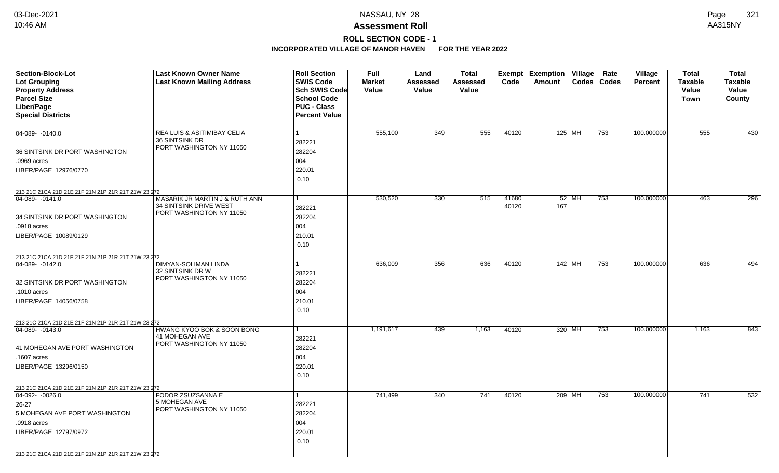## **ROLL SECTION CODE - 1**

| Section-Block-Lot                                   | <b>Last Known Owner Name</b>                             | <b>Roll Section</b>                        | <b>Full</b>   | Land     | <b>Total</b>    | Exempt         | <b>Exemption Village</b> | Rate<br>Village         | <b>Total</b>   | <b>Total</b>   |
|-----------------------------------------------------|----------------------------------------------------------|--------------------------------------------|---------------|----------|-----------------|----------------|--------------------------|-------------------------|----------------|----------------|
| <b>Lot Grouping</b>                                 | <b>Last Known Mailing Address</b>                        | <b>SWIS Code</b>                           | <b>Market</b> | Assessed | <b>Assessed</b> | Code           | Codes<br>Amount          | Codes<br><b>Percent</b> | <b>Taxable</b> | <b>Taxable</b> |
| <b>Property Address</b>                             |                                                          | <b>Sch SWIS Code</b>                       | Value         | Value    | Value           |                |                          |                         | Value          | Value          |
| <b>Parcel Size</b>                                  |                                                          | <b>School Code</b>                         |               |          |                 |                |                          |                         | <b>Town</b>    | County         |
| Liber/Page                                          |                                                          | <b>PUC - Class</b><br><b>Percent Value</b> |               |          |                 |                |                          |                         |                |                |
| <b>Special Districts</b>                            |                                                          |                                            |               |          |                 |                |                          |                         |                |                |
| 04-089- -0140.0                                     | <b>REA LUIS &amp; ASITIMIBAY CELIA</b>                   | 1                                          | 555,100       | 349      | 555             | 40120          | 125   MH                 | 100.000000<br>753       | 555            | 430            |
|                                                     | 36 SINTSINK DR                                           | 282221                                     |               |          |                 |                |                          |                         |                |                |
| 36 SINTSINK DR PORT WASHINGTON                      | PORT WASHINGTON NY 11050                                 | 282204                                     |               |          |                 |                |                          |                         |                |                |
| .0969 acres                                         |                                                          | 004                                        |               |          |                 |                |                          |                         |                |                |
|                                                     |                                                          | 220.01                                     |               |          |                 |                |                          |                         |                |                |
| LIBER/PAGE 12976/0770                               |                                                          |                                            |               |          |                 |                |                          |                         |                |                |
|                                                     |                                                          | 0.10                                       |               |          |                 |                |                          |                         |                |                |
| 213 21C 21CA 21D 21E 21F 21N 21P 21R 21T 21W 23 272 |                                                          |                                            |               |          |                 |                |                          |                         |                |                |
| 04-089-0141.0                                       | MASARIK JR MARTIN J & RUTH ANN<br>34 SINTSINK DRIVE WEST |                                            | 530,520       | 330      | 515             | 41680<br>40120 | $52$ MH<br>167           | 753<br>100.000000       | 463            | 296            |
|                                                     | PORT WASHINGTON NY 11050                                 | 282221                                     |               |          |                 |                |                          |                         |                |                |
| 34 SINTSINK DR PORT WASHINGTON                      |                                                          | 282204                                     |               |          |                 |                |                          |                         |                |                |
| .0918 acres                                         |                                                          | 004                                        |               |          |                 |                |                          |                         |                |                |
| LIBER/PAGE 10089/0129                               |                                                          | 210.01                                     |               |          |                 |                |                          |                         |                |                |
|                                                     |                                                          | 0.10                                       |               |          |                 |                |                          |                         |                |                |
| 213 21C 21CA 21D 21E 21F 21N 21P 21R 21T 21W 23 272 |                                                          |                                            |               |          |                 |                |                          |                         |                |                |
| 04-089-0142.0                                       | <b>DIMYAN-SOLIMAN LINDA</b>                              |                                            | 636,009       | 356      | 636             | 40120          | $142$ MH                 | 100.000000<br>753       | 636            | 494            |
|                                                     | 32 SINTSINK DR W<br>PORT WASHINGTON NY 11050             | 282221                                     |               |          |                 |                |                          |                         |                |                |
| 32 SINTSINK DR PORT WASHINGTON                      |                                                          | 282204                                     |               |          |                 |                |                          |                         |                |                |
| .1010 acres                                         |                                                          | 004                                        |               |          |                 |                |                          |                         |                |                |
| LIBER/PAGE 14056/0758                               |                                                          | 210.01                                     |               |          |                 |                |                          |                         |                |                |
|                                                     |                                                          | 0.10                                       |               |          |                 |                |                          |                         |                |                |
| 213 21C 21CA 21D 21E 21F 21N 21P 21R 21T 21W 23 272 |                                                          |                                            |               |          |                 |                |                          |                         |                |                |
| 04-089- -0143.0                                     | HWANG KYOO BOK & SOON BONG                               | 1                                          | 1,191,617     | 439      | 1,163           | 40120          | 320 MH                   | 100.000000<br>753       | 1,163          | 843            |
|                                                     | 41 MOHEGAN AVE                                           | 282221                                     |               |          |                 |                |                          |                         |                |                |
| 41 MOHEGAN AVE PORT WASHINGTON                      | PORT WASHINGTON NY 11050                                 | 282204                                     |               |          |                 |                |                          |                         |                |                |
| .1607 acres                                         |                                                          | 004                                        |               |          |                 |                |                          |                         |                |                |
| LIBER/PAGE 13296/0150                               |                                                          | 220.01                                     |               |          |                 |                |                          |                         |                |                |
|                                                     |                                                          | 0.10                                       |               |          |                 |                |                          |                         |                |                |
| 213 21C 21CA 21D 21E 21F 21N 21P 21R 21T 21W 23 272 |                                                          |                                            |               |          |                 |                |                          |                         |                |                |
| $\boxed{04-092 - 0026.0}$                           | FODOR ZSUZSANNA E                                        | 1                                          | 741,499       | 340      | 741             | 40120          | 209 MH                   | 753<br>100.000000       | 741            | 532            |
| 26-27                                               | 5 MOHEGAN AVE                                            | 282221                                     |               |          |                 |                |                          |                         |                |                |
| 5 MOHEGAN AVE PORT WASHINGTON                       | PORT WASHINGTON NY 11050                                 | 282204                                     |               |          |                 |                |                          |                         |                |                |
| .0918 acres                                         |                                                          | 004                                        |               |          |                 |                |                          |                         |                |                |
| LIBER/PAGE 12797/0972                               |                                                          | 220.01                                     |               |          |                 |                |                          |                         |                |                |
|                                                     |                                                          | 0.10                                       |               |          |                 |                |                          |                         |                |                |
| 213 21C 21CA 21D 21E 21F 21N 21P 21R 21T 21W 23 272 |                                                          |                                            |               |          |                 |                |                          |                         |                |                |
|                                                     |                                                          |                                            |               |          |                 |                |                          |                         |                |                |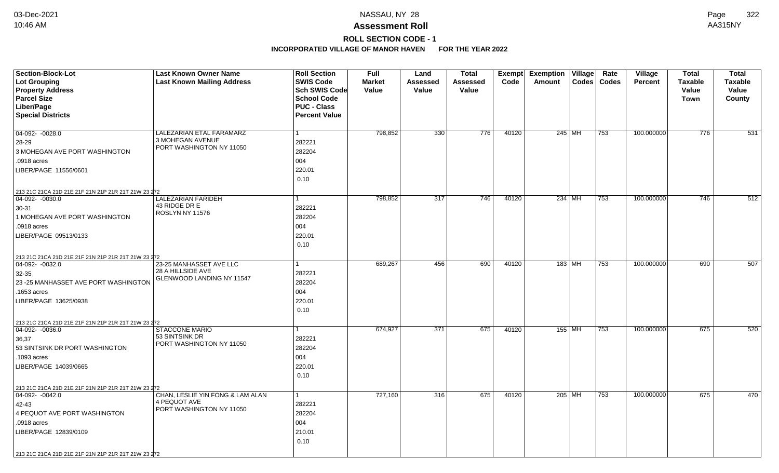# **ROLL SECTION CODE - 1**

| <b>Section-Block-Lot</b><br><b>Lot Grouping</b><br><b>Property Address</b><br><b>Parcel Size</b>                                                                                                                         | <b>Last Known Owner Name</b><br><b>Last Known Mailing Address</b>            | <b>Roll Section</b><br><b>SWIS Code</b><br>Sch SWIS Code<br><b>School Code</b> | <b>Full</b><br><b>Market</b><br>Value | Land<br>Assessed<br>Value | <b>Total</b><br><b>Assessed</b><br>Value | <b>Exempt</b><br>Code | <b>Exemption Village</b><br>Amount | Rate<br>Codes   Codes | Village<br><b>Percent</b> | <b>Total</b><br><b>Taxable</b><br>Value | <b>Total</b><br><b>Taxable</b><br>Value |
|--------------------------------------------------------------------------------------------------------------------------------------------------------------------------------------------------------------------------|------------------------------------------------------------------------------|--------------------------------------------------------------------------------|---------------------------------------|---------------------------|------------------------------------------|-----------------------|------------------------------------|-----------------------|---------------------------|-----------------------------------------|-----------------------------------------|
| Liber/Page<br><b>Special Districts</b>                                                                                                                                                                                   |                                                                              | <b>PUC - Class</b><br><b>Percent Value</b>                                     |                                       |                           |                                          |                       |                                    |                       |                           | Town                                    | County                                  |
| $04-092 - 0028.0$<br>28-29<br>3 MOHEGAN AVE PORT WASHINGTON<br>.0918 acres<br>LIBER/PAGE 11556/0601                                                                                                                      | LALEZARIAN ETAL FARAMARZ<br>3 MOHEGAN AVENUE<br>PORT WASHINGTON NY 11050     | $\mathbf{1}$<br>282221<br>282204<br>004<br>220.01<br>0.10                      | 798,852                               | 330                       | 776                                      | 40120                 | 245 MH                             | 753                   | 100.000000                | 776                                     | 531                                     |
| 213 21C 21CA 21D 21E 21F 21N 21P 21R 21T 21W 23 272<br>$\boxed{04-092 - 0030.0}$<br>30-31<br>1 MOHEGAN AVE PORT WASHINGTON<br>.0918 acres<br>LIBER/PAGE 09513/0133                                                       | LALEZARIAN FARIDEH<br>43 RIDGE DR E<br>ROSLYN NY 11576                       | 1<br>282221<br>282204<br>004<br>220.01<br>0.10                                 | 798,852                               | 317                       | 746                                      | 40120                 | $234$ MH                           | 753                   | 100.000000                | 746                                     | 512                                     |
| 213 21C 21CA 21D 21E 21F 21N 21P 21R 21T 21W 23 272<br>$\boxed{04-092 - 0032.0}$<br>32-35<br>23 - 25 MANHASSET AVE PORT WASHINGTON<br>1653 acres<br>LIBER/PAGE 13625/0938                                                | 23-25 MANHASSET AVE LLC<br>28 A HILLSIDE AVE<br>GLENWOOD LANDING NY 11547    | 282221<br>282204<br>004<br>220.01<br>0.10                                      | 689,267                               | 456                       | 690                                      | 40120                 | 183 MH                             | 753                   | 100.000000                | 690                                     | 507                                     |
| 213 21C 21CA 21D 21E 21F 21N 21P 21R 21T 21W 23 272<br>$\boxed{04-092 - 0036.0}$<br>36,37<br>53 SINTSINK DR PORT WASHINGTON<br>.1093 acres<br>LIBER/PAGE 14039/0665                                                      | <b>STACCONE MARIO</b><br>53 SINTSINK DR<br>PORT WASHINGTON NY 11050          | 1<br>282221<br>282204<br>004<br>220.01<br>0.10                                 | 674,927                               | $\overline{371}$          | 675                                      | 40120                 | 155   MH                           | 753                   | 100.000000                | 675                                     | 520                                     |
| 213 21C 21CA 21D 21E 21F 21N 21P 21R 21T 21W 23 272<br>$\boxed{04-092 - 0042.0}$<br>42-43<br>4 PEQUOT AVE PORT WASHINGTON<br>.0918 acres<br>LIBER/PAGE 12839/0109<br>213 21C 21CA 21D 21E 21F 21N 21P 21R 21T 21W 23 272 | CHAN, LESLIE YIN FONG & LAM ALAN<br>4 PEQUOT AVE<br>PORT WASHINGTON NY 11050 | $\mathbf{1}$<br>282221<br>282204<br>004<br>210.01<br>0.10                      | 727,160                               | 316                       | 675                                      | 40120                 | 205 MH                             | 753                   | 100.000000                | 675                                     | 470                                     |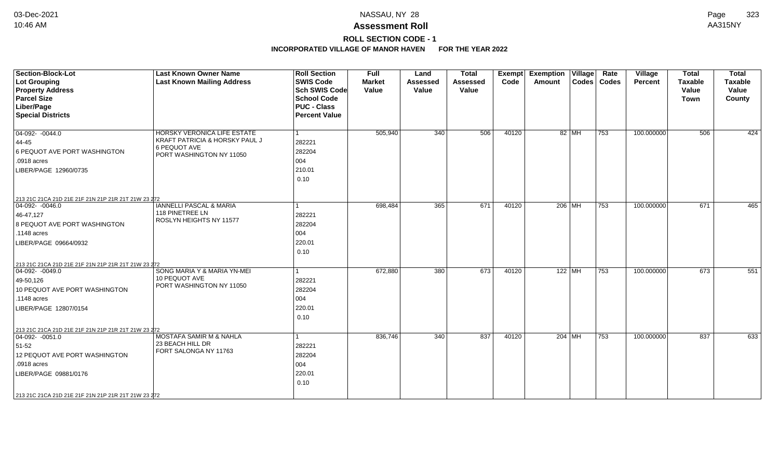# **ROLL SECTION CODE - 1**

| <b>Section-Block-Lot</b><br><b>Lot Grouping</b><br><b>Property Address</b><br><b>Parcel Size</b><br>Liber/Page<br><b>Special Districts</b>                                                                           | <b>Last Known Owner Name</b><br><b>Last Known Mailing Address</b>                                                | <b>Roll Section</b><br><b>SWIS Code</b><br><b>Sch SWIS Code</b><br><b>School Code</b><br><b>PUC - Class</b><br><b>Percent Value</b> | Full<br><b>Market</b><br>Value | Land<br><b>Assessed</b><br>Value | <b>Total</b><br>Assessed<br>Value | Exempt<br>Code | <b>Exemption Village</b><br>Amount |       | Rate<br>Codes   Codes | Village<br>Percent | <b>Total</b><br><b>Taxable</b><br>Value<br><b>Town</b> | <b>Total</b><br><b>Taxable</b><br>Value<br>County |
|----------------------------------------------------------------------------------------------------------------------------------------------------------------------------------------------------------------------|------------------------------------------------------------------------------------------------------------------|-------------------------------------------------------------------------------------------------------------------------------------|--------------------------------|----------------------------------|-----------------------------------|----------------|------------------------------------|-------|-----------------------|--------------------|--------------------------------------------------------|---------------------------------------------------|
| $04-092 - 0044.0$<br>44-45<br>6 PEQUOT AVE PORT WASHINGTON<br>.0918 acres<br>LIBER/PAGE 12960/0735                                                                                                                   | HORSKY VERONICA LIFE ESTATE<br>KRAFT PATRICIA & HORSKY PAUL J<br><b>6 PEQUOT AVE</b><br>PORT WASHINGTON NY 11050 | 282221<br>282204<br>004<br>210.01<br>0.10                                                                                           | 505,940                        | 340                              | 506                               | 40120          |                                    | 82 MH | 753                   | 100.000000         | 506                                                    | 424                                               |
| 213 21C 21CA 21D 21E 21F 21N 21P 21R 21T 21W 23 272<br>$04-092 - 0046.0$<br>46-47,127<br>8 PEQUOT AVE PORT WASHINGTON<br>.1148 acres<br>LIBER/PAGE 09664/0932<br>213 21C 21CA 21D 21E 21F 21N 21P 21R 21T 21W 23 272 | <b>IANNELLI PASCAL &amp; MARIA</b><br>118 PINETREE LN<br>ROSLYN HEIGHTS NY 11577                                 | 282221<br>282204<br>004<br>220.01<br>0.10                                                                                           | 698,484                        | 365                              | 671                               | 40120          | 206 MH                             |       | 753                   | 100.000000         | 671                                                    | 465                                               |
| $ 04-092-0049.0$<br>49-50,126<br>10 PEQUOT AVE PORT WASHINGTON<br>.1148 acres<br>LIBER/PAGE 12807/0154                                                                                                               | SONG MARIA Y & MARIA YN-MEI<br>10 PEQUOT AVE<br>PORT WASHINGTON NY 11050                                         | 282221<br>282204<br>004<br>220.01<br>0.10                                                                                           | 672,880                        | 380                              | 673                               | 40120          | 122 MH                             |       | $\overline{753}$      | 100.000000         | 673                                                    | 551                                               |
| 213 21C 21CA 21D 21E 21F 21N 21P 21R 21T 21W 23 272<br>$ 04-092-0051.0$<br>51-52<br>12 PEQUOT AVE PORT WASHINGTON<br>.0918 acres<br>LIBER/PAGE 09881/0176<br>213 21C 21CA 21D 21E 21F 21N 21P 21R 21T 21W 23 272     | MOSTAFA SAMIR M & NAHLA<br>23 BEACH HILL DR<br>FORT SALONGA NY 11763                                             | 282221<br>282204<br>004<br>220.01<br>0.10                                                                                           | 836,746                        | 340                              | 837                               | 40120          | 204 MH                             |       | 753                   | 100.000000         | 837                                                    | 633                                               |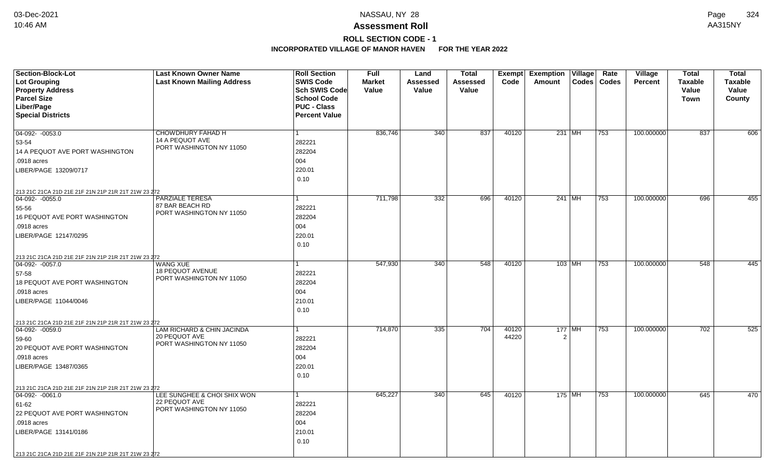# **ROLL SECTION CODE - 1**

| Section-Block-Lot                                   | <b>Last Known Owner Name</b>                        | <b>Roll Section</b>  | <b>Full</b>   | Land            | <b>Total</b>    | Exempt | <b>Exemption Village</b> | Rate          | Village    | <b>Total</b>   | <b>Total</b>   |
|-----------------------------------------------------|-----------------------------------------------------|----------------------|---------------|-----------------|-----------------|--------|--------------------------|---------------|------------|----------------|----------------|
| <b>Lot Grouping</b>                                 | <b>Last Known Mailing Address</b>                   | <b>SWIS Code</b>     | <b>Market</b> | <b>Assessed</b> | <b>Assessed</b> | Code   | Amount                   | Codes   Codes | Percent    | <b>Taxable</b> | <b>Taxable</b> |
| <b>Property Address</b>                             |                                                     | <b>Sch SWIS Code</b> | Value         | Value           | Value           |        |                          |               |            | Value          | Value          |
| <b>Parcel Size</b>                                  |                                                     | <b>School Code</b>   |               |                 |                 |        |                          |               |            | Town           | County         |
| Liber/Page                                          |                                                     | <b>PUC - Class</b>   |               |                 |                 |        |                          |               |            |                |                |
| <b>Special Districts</b>                            |                                                     | <b>Percent Value</b> |               |                 |                 |        |                          |               |            |                |                |
|                                                     |                                                     |                      |               |                 |                 |        |                          |               |            |                |                |
| 04-092- -0053.0                                     | CHOWDHURY FAHAD H<br>14 A PEQUOT AVE                |                      | 836,746       | 340             | 837             | 40120  | $231$ MH                 | 753           | 100.000000 | 837            | 606            |
| 53-54                                               | PORT WASHINGTON NY 11050                            | 282221               |               |                 |                 |        |                          |               |            |                |                |
| 14 A PEQUOT AVE PORT WASHINGTON                     |                                                     | 282204               |               |                 |                 |        |                          |               |            |                |                |
| .0918 acres                                         |                                                     | 004                  |               |                 |                 |        |                          |               |            |                |                |
| LIBER/PAGE 13209/0717                               |                                                     | 220.01               |               |                 |                 |        |                          |               |            |                |                |
|                                                     |                                                     | 0.10                 |               |                 |                 |        |                          |               |            |                |                |
| 213 21C 21CA 21D 21E 21F 21N 21P 21R 21T 21W 23 272 |                                                     |                      |               |                 |                 |        |                          |               |            |                |                |
| $ 04-092-0055.0$                                    | <b>PARZIALE TERESA</b>                              |                      | 711,798       | 332             | 696             | 40120  | 241 MH                   | 753           | 100.000000 | 696            | 455            |
| 55-56                                               | 87 BAR BEACH RD<br>PORT WASHINGTON NY 11050         | 282221               |               |                 |                 |        |                          |               |            |                |                |
| 16 PEQUOT AVE PORT WASHINGTON                       |                                                     | 282204               |               |                 |                 |        |                          |               |            |                |                |
| .0918 acres                                         |                                                     | 004                  |               |                 |                 |        |                          |               |            |                |                |
| LIBER/PAGE 12147/0295                               |                                                     | 220.01               |               |                 |                 |        |                          |               |            |                |                |
|                                                     |                                                     | 0.10                 |               |                 |                 |        |                          |               |            |                |                |
| 213 21C 21CA 21D 21E 21F 21N 21P 21R 21T 21W 23 272 |                                                     |                      |               |                 |                 |        |                          |               |            |                |                |
| $ 04-092-0057.0$                                    | <b>WANG XUE</b>                                     |                      | 547,930       | 340             | 548             | 40120  | $103$ MH                 | 753           | 100.000000 | 548            | 445            |
| 57-58                                               | <b>18 PEQUOT AVENUE</b><br>PORT WASHINGTON NY 11050 | 282221               |               |                 |                 |        |                          |               |            |                |                |
| <b>18 PEQUOT AVE PORT WASHINGTON</b>                |                                                     | 282204               |               |                 |                 |        |                          |               |            |                |                |
| .0918 acres                                         |                                                     | 004                  |               |                 |                 |        |                          |               |            |                |                |
| LIBER/PAGE 11044/0046                               |                                                     | 210.01               |               |                 |                 |        |                          |               |            |                |                |
|                                                     |                                                     | 0.10                 |               |                 |                 |        |                          |               |            |                |                |
| 213 21C 21CA 21D 21E 21F 21N 21P 21R 21T 21W 23 272 |                                                     |                      |               |                 |                 |        |                          |               |            |                |                |
| $ 04-092-0059.0$                                    | LAM RICHARD & CHIN JACINDA                          | 1                    | 714,870       | 335             | 704             | 40120  | $177$ MH                 | 753           | 100.000000 | 702            | 525            |
| 59-60                                               | 20 PEQUOT AVE<br>PORT WASHINGTON NY 11050           | 282221               |               |                 |                 | 44220  | $\overline{2}$           |               |            |                |                |
| 20 PEQUOT AVE PORT WASHINGTON                       |                                                     | 282204               |               |                 |                 |        |                          |               |            |                |                |
| .0918 acres                                         |                                                     | 004                  |               |                 |                 |        |                          |               |            |                |                |
| LIBER/PAGE 13487/0365                               |                                                     | 220.01               |               |                 |                 |        |                          |               |            |                |                |
|                                                     |                                                     | 0.10                 |               |                 |                 |        |                          |               |            |                |                |
| 213 21C 21CA 21D 21E 21F 21N 21P 21R 21T 21W 23 272 |                                                     |                      |               |                 |                 |        |                          |               |            |                |                |
| $ 04-092-0061.0$                                    | LEE SUNGHEE & CHOI SHIX WON                         | 1                    | 645,227       | 340             | 645             | 40120  | 175 MH                   | 753           | 100.000000 | 645            | 470            |
| 61-62                                               | 22 PEQUOT AVE<br>PORT WASHINGTON NY 11050           | 282221               |               |                 |                 |        |                          |               |            |                |                |
| 22 PEQUOT AVE PORT WASHINGTON                       |                                                     | 282204               |               |                 |                 |        |                          |               |            |                |                |
| .0918 acres                                         |                                                     | 004                  |               |                 |                 |        |                          |               |            |                |                |
| LIBER/PAGE 13141/0186                               |                                                     | 210.01               |               |                 |                 |        |                          |               |            |                |                |
|                                                     |                                                     | 0.10                 |               |                 |                 |        |                          |               |            |                |                |
| 213 21C 21CA 21D 21E 21F 21N 21P 21R 21T 21W 23 272 |                                                     |                      |               |                 |                 |        |                          |               |            |                |                |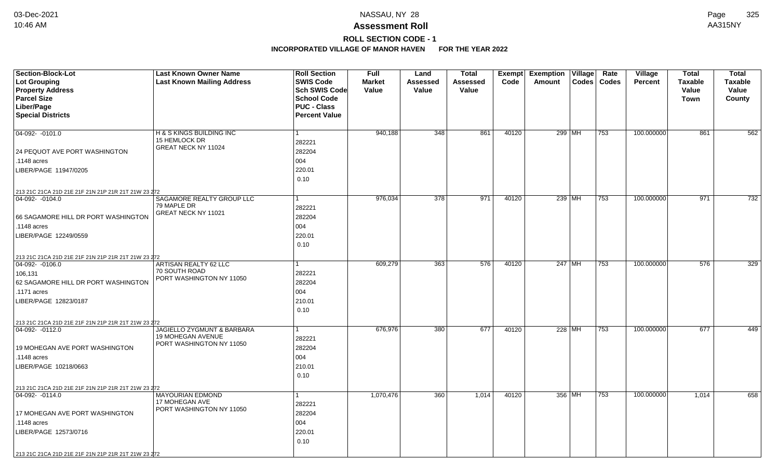## **ROLL SECTION CODE - 1**

| <b>Section-Block-Lot</b>                                                | <b>Last Known Owner Name</b>                           | <b>Roll Section</b>  | <b>Full</b>   | Land            | <b>Total</b>    | Exempt | Exemption   Village | Rate          | Village        | <b>Total</b>   | <b>Total</b>   |
|-------------------------------------------------------------------------|--------------------------------------------------------|----------------------|---------------|-----------------|-----------------|--------|---------------------|---------------|----------------|----------------|----------------|
| <b>Lot Grouping</b>                                                     | <b>Last Known Mailing Address</b>                      | <b>SWIS Code</b>     | <b>Market</b> | <b>Assessed</b> | <b>Assessed</b> | Code   | Amount              | Codes   Codes | <b>Percent</b> | <b>Taxable</b> | <b>Taxable</b> |
| <b>Property Address</b>                                                 |                                                        | <b>Sch SWIS Code</b> | Value         | Value           | Value           |        |                     |               |                | Value          | Value          |
| <b>Parcel Size</b>                                                      |                                                        | <b>School Code</b>   |               |                 |                 |        |                     |               |                | Town           | County         |
| Liber/Page                                                              |                                                        | <b>PUC - Class</b>   |               |                 |                 |        |                     |               |                |                |                |
| <b>Special Districts</b>                                                |                                                        | <b>Percent Value</b> |               |                 |                 |        |                     |               |                |                |                |
|                                                                         |                                                        |                      |               |                 |                 |        |                     |               |                |                |                |
| 04-092- -0101.0                                                         | H & S KINGS BUILDING INC                               | $\mathbf{1}$         | 940,188       | 348             | 861             | 40120  | 299 MH              | 753           | 100.000000     | 861            | 562            |
|                                                                         | 15 HEMLOCK DR<br>GREAT NECK NY 11024                   | 282221               |               |                 |                 |        |                     |               |                |                |                |
| 24 PEQUOT AVE PORT WASHINGTON                                           |                                                        | 282204               |               |                 |                 |        |                     |               |                |                |                |
| .1148 acres                                                             |                                                        | 004                  |               |                 |                 |        |                     |               |                |                |                |
| LIBER/PAGE 11947/0205                                                   |                                                        | 220.01               |               |                 |                 |        |                     |               |                |                |                |
|                                                                         |                                                        | 0.10                 |               |                 |                 |        |                     |               |                |                |                |
| 213 21C 21CA 21D 21E 21F 21N 21P 21R 21T 21W 23 272                     |                                                        |                      |               |                 |                 |        |                     |               |                |                |                |
| 04-092- -0104.0                                                         | SAGAMORE REALTY GROUP LLC                              | $\mathbf{1}$         | 976,034       | 378             | 971             | 40120  | 239 MH              | $ 753\rangle$ | 100.000000     | 971            | 732            |
|                                                                         | 79 MAPLE DR                                            | 282221               |               |                 |                 |        |                     |               |                |                |                |
| 66 SAGAMORE HILL DR PORT WASHINGTON                                     | GREAT NECK NY 11021                                    | 282204               |               |                 |                 |        |                     |               |                |                |                |
| .1148 acres                                                             |                                                        | 004                  |               |                 |                 |        |                     |               |                |                |                |
| LIBER/PAGE 12249/0559                                                   |                                                        | 220.01               |               |                 |                 |        |                     |               |                |                |                |
|                                                                         |                                                        | 0.10                 |               |                 |                 |        |                     |               |                |                |                |
|                                                                         |                                                        |                      |               |                 |                 |        |                     |               |                |                |                |
| 213 21C 21CA 21D 21E 21F 21N 21P 21R 21T 21W 23 272<br>$ 04-092-0106.0$ | ARTISAN REALTY 62 LLC                                  | 1                    | 609,279       | 363             | 576             | 40120  | $247$ MH            | 753           | 100.000000     | 576            | 329            |
| 106,131                                                                 | 70 SOUTH ROAD                                          | 282221               |               |                 |                 |        |                     |               |                |                |                |
| 62 SAGAMORE HILL DR PORT WASHINGTON                                     | PORT WASHINGTON NY 11050                               | 282204               |               |                 |                 |        |                     |               |                |                |                |
| .1171 acres                                                             |                                                        | 004                  |               |                 |                 |        |                     |               |                |                |                |
| LIBER/PAGE 12823/0187                                                   |                                                        | 210.01               |               |                 |                 |        |                     |               |                |                |                |
|                                                                         |                                                        | 0.10                 |               |                 |                 |        |                     |               |                |                |                |
|                                                                         |                                                        |                      |               |                 |                 |        |                     |               |                |                |                |
| 213 21C 21CA 21D 21E 21F 21N 21P 21R 21T 21W 23 272                     |                                                        |                      |               |                 |                 |        |                     |               |                |                |                |
| $ 04-092-0112.0$                                                        | JAGIELLO ZYGMUNT & BARBARA<br><b>19 MOHEGAN AVENUE</b> | $\mathbf{1}$         | 676,976       | 380             | 677             | 40120  | 228 MH              | 753           | 100.000000     | 677            | 449            |
|                                                                         | PORT WASHINGTON NY 11050                               | 282221               |               |                 |                 |        |                     |               |                |                |                |
| 19 MOHEGAN AVE PORT WASHINGTON                                          |                                                        | 282204               |               |                 |                 |        |                     |               |                |                |                |
| .1148 acres                                                             |                                                        | 004                  |               |                 |                 |        |                     |               |                |                |                |
| LIBER/PAGE 10218/0663                                                   |                                                        | 210.01               |               |                 |                 |        |                     |               |                |                |                |
|                                                                         |                                                        | 0.10                 |               |                 |                 |        |                     |               |                |                |                |
| 213 21C 21CA 21D 21E 21F 21N 21P 21R 21T 21W 23 272                     |                                                        |                      |               |                 |                 |        |                     |               |                |                |                |
| 04-092- -0114.0                                                         | <b>MAYOURIAN EDMOND</b>                                | 1                    | 1,070,476     | 360             | 1,014           | 40120  | 356 MH              | 753           | 100.000000     | 1,014          | 658            |
|                                                                         | 17 MOHEGAN AVE<br>PORT WASHINGTON NY 11050             | 282221               |               |                 |                 |        |                     |               |                |                |                |
| 17 MOHEGAN AVE PORT WASHINGTON                                          |                                                        | 282204               |               |                 |                 |        |                     |               |                |                |                |
| .1148 acres                                                             |                                                        | 004                  |               |                 |                 |        |                     |               |                |                |                |
| LIBER/PAGE 12573/0716                                                   |                                                        | 220.01               |               |                 |                 |        |                     |               |                |                |                |
|                                                                         |                                                        | 0.10                 |               |                 |                 |        |                     |               |                |                |                |
| 213 21C 21CA 21D 21E 21F 21N 21P 21R 21T 21W 23 272                     |                                                        |                      |               |                 |                 |        |                     |               |                |                |                |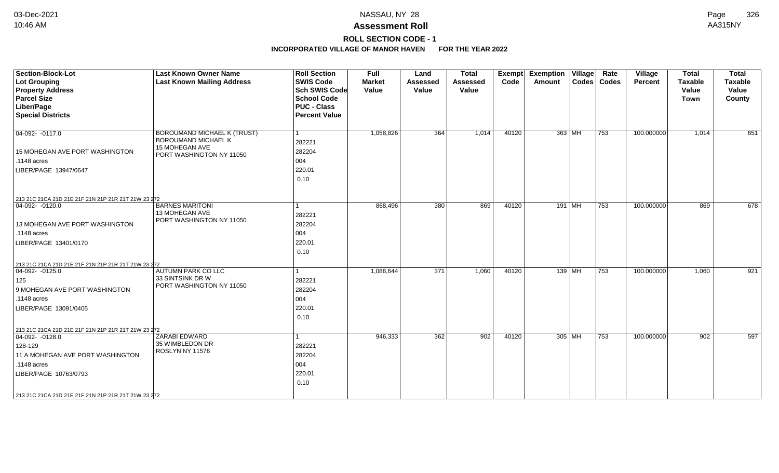# **ROLL SECTION CODE - 1**

| <b>Section-Block-Lot</b><br><b>Lot Grouping</b><br><b>Property Address</b><br><b>Parcel Size</b><br>Liber/Page<br><b>Special Districts</b>                                                                             | <b>Last Known Owner Name</b><br><b>Last Known Mailing Address</b>                                | <b>Roll Section</b><br><b>SWIS Code</b><br><b>Sch SWIS Code</b><br><b>School Code</b><br><b>PUC - Class</b><br><b>Percent Value</b> | <b>Full</b><br><b>Market</b><br>Value | Land<br><b>Assessed</b><br>Value | <b>Total</b><br><b>Assessed</b><br>Value | <b>Exempt</b><br>Code | <b>Exemption Village</b><br>Codes   Codes<br>Amount | Rate | <b>Village</b><br><b>Percent</b> | <b>Total</b><br><b>Taxable</b><br>Value<br><b>Town</b> | <b>Total</b><br><b>Taxable</b><br>Value<br>County |
|------------------------------------------------------------------------------------------------------------------------------------------------------------------------------------------------------------------------|--------------------------------------------------------------------------------------------------|-------------------------------------------------------------------------------------------------------------------------------------|---------------------------------------|----------------------------------|------------------------------------------|-----------------------|-----------------------------------------------------|------|----------------------------------|--------------------------------------------------------|---------------------------------------------------|
| 04-092- -0117.0<br>15 MOHEGAN AVE PORT WASHINGTON<br>.1148 acres<br>LIBER/PAGE 13947/0647                                                                                                                              | BOROUMAND MICHAEL K (TRUST)<br>BOROUMAND MICHAEL K<br>15 MOHEGAN AVE<br>PORT WASHINGTON NY 11050 | 282221<br>282204<br>004<br>220.01<br>0.10                                                                                           | 1,058,826                             | 364                              | 1,014                                    | 40120                 | 363 MH                                              | 753  | 100.000000                       | 1,014                                                  | 651                                               |
| 213 21C 21CA 21D 21E 21F 21N 21P 21R 21T 21W 23 272<br>$ 04-092-0120.0$<br>13 MOHEGAN AVE PORT WASHINGTON<br>.1148 acres<br>LIBER/PAGE 13401/0170<br>213 21C 21CA 21D 21E 21F 21N 21P 21R 21T 21W 23 272               | <b>BARNES MARITONI</b><br>13 MOHEGAN AVE<br>PORT WASHINGTON NY 11050                             | 282221<br>282204<br>004<br>220.01<br>0.10                                                                                           | 868,496                               | 380                              | 869                                      | 40120                 | 191 MH                                              | 753  | 100.000000                       | 869                                                    | 678                                               |
| $ 04-092-0125.0$<br>125<br>9 MOHEGAN AVE PORT WASHINGTON<br>.1148 acres<br>LIBER/PAGE 13091/0405                                                                                                                       | AUTUMN PARK CO LLC<br>33 SINTSINK DR W<br>PORT WASHINGTON NY 11050                               | 282221<br>282204<br>004<br>220.01<br>0.10                                                                                           | 1,086,644                             | 371                              | 1,060                                    | 40120                 | 139   MH                                            | 753  | 100.000000                       | 1,060                                                  | 921                                               |
| 213 21C 21CA 21D 21E 21F 21N 21P 21R 21T 21W 23 272<br>$04-092 - 0128.0$<br>128-129<br>11 A MOHEGAN AVE PORT WASHINGTON<br>.1148 acres<br>LIBER/PAGE 10763/0793<br>213 21C 21CA 21D 21E 21F 21N 21P 21R 21T 21W 23 272 | ZARABI EDWARD<br>35 WIMBLEDON DR<br>ROSLYN NY 11576                                              | 282221<br>282204<br>004<br>220.01<br>0.10                                                                                           | 946,333                               | 362                              | 902                                      | 40120                 | 305 MH                                              | 753  | 100.000000                       | 902                                                    | 597                                               |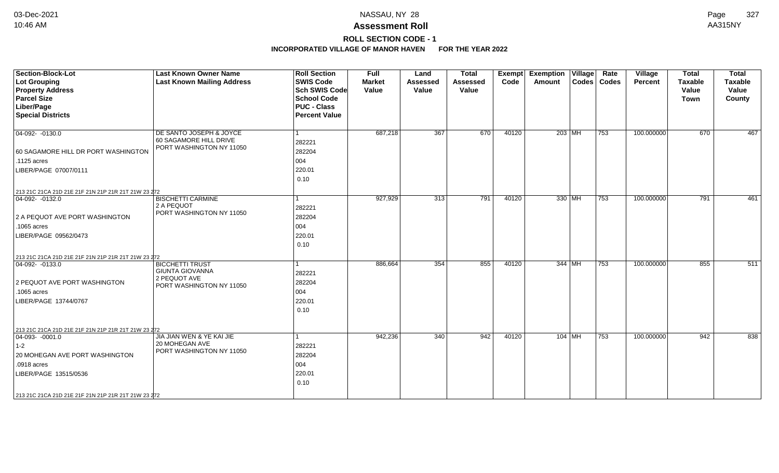# **ROLL SECTION CODE - 1**

| <b>Section-Block-Lot</b><br><b>Lot Grouping</b><br><b>Property Address</b><br><b>Parcel Size</b><br>Liber/Page | <b>Last Known Owner Name</b><br><b>Last Known Mailing Address</b>             | <b>Roll Section</b><br><b>SWIS Code</b><br><b>Sch SWIS Code</b><br><b>School Code</b><br><b>PUC - Class</b> | <b>Full</b><br><b>Market</b><br>Value | Land<br><b>Assessed</b><br>Value | <b>Total</b><br><b>Assessed</b><br>Value | Exempt<br>Code | <b>Exemption Village</b><br>Amount | Rate<br>Codes   Codes | Village<br>Percent | <b>Total</b><br><b>Taxable</b><br>Value<br><b>Town</b> | <b>Total</b><br><b>Taxable</b><br>Value<br>County |
|----------------------------------------------------------------------------------------------------------------|-------------------------------------------------------------------------------|-------------------------------------------------------------------------------------------------------------|---------------------------------------|----------------------------------|------------------------------------------|----------------|------------------------------------|-----------------------|--------------------|--------------------------------------------------------|---------------------------------------------------|
| <b>Special Districts</b>                                                                                       |                                                                               | <b>Percent Value</b>                                                                                        |                                       |                                  |                                          |                |                                    |                       |                    |                                                        |                                                   |
| $04-092 - 0130.0$                                                                                              | DE SANTO JOSEPH & JOYCE<br>60 SAGAMORE HILL DRIVE<br>PORT WASHINGTON NY 11050 | 282221                                                                                                      | 687,218                               | 367                              | 670                                      | 40120          | 203 MH                             | 753                   | 100.000000         | 670                                                    | 467                                               |
| 60 SAGAMORE HILL DR PORT WASHINGTON                                                                            |                                                                               | 282204                                                                                                      |                                       |                                  |                                          |                |                                    |                       |                    |                                                        |                                                   |
| .1125 acres                                                                                                    |                                                                               | 004                                                                                                         |                                       |                                  |                                          |                |                                    |                       |                    |                                                        |                                                   |
| LIBER/PAGE 07007/0111                                                                                          |                                                                               | 220.01<br>0.10                                                                                              |                                       |                                  |                                          |                |                                    |                       |                    |                                                        |                                                   |
| 213 21C 21CA 21D 21E 21F 21N 21P 21R 21T 21W 23 272                                                            |                                                                               |                                                                                                             |                                       |                                  |                                          |                |                                    |                       |                    |                                                        |                                                   |
| $04-092 - 0132.0$                                                                                              | <b>BISCHETTI CARMINE</b><br>2 A PEQUOT<br>PORT WASHINGTON NY 11050            | 282221                                                                                                      | 927,929                               | 313                              | 791                                      | 40120          | 330 MH                             | 753                   | 100.000000         | 791                                                    | 461                                               |
| 2 A PEQUOT AVE PORT WASHINGTON                                                                                 |                                                                               | 282204                                                                                                      |                                       |                                  |                                          |                |                                    |                       |                    |                                                        |                                                   |
| .1065 acres                                                                                                    |                                                                               | 004                                                                                                         |                                       |                                  |                                          |                |                                    |                       |                    |                                                        |                                                   |
| LIBER/PAGE 09562/0473                                                                                          |                                                                               | 220.01<br>0.10                                                                                              |                                       |                                  |                                          |                |                                    |                       |                    |                                                        |                                                   |
| 213 21C 21CA 21D 21E 21F 21N 21P 21R 21T 21W 23 272                                                            |                                                                               |                                                                                                             |                                       |                                  |                                          |                |                                    |                       |                    |                                                        |                                                   |
| $ 04-092-0133.0$                                                                                               | <b>BICCHETTI TRUST</b><br><b>GIUNTA GIOVANNA</b><br>2 PEQUOT AVE              | 282221                                                                                                      | 886,664                               | 354                              | 855                                      | 40120          | 344 MH                             | 753                   | 100.000000         | 855                                                    | 511                                               |
| 2 PEQUOT AVE PORT WASHINGTON                                                                                   | PORT WASHINGTON NY 11050                                                      | 282204                                                                                                      |                                       |                                  |                                          |                |                                    |                       |                    |                                                        |                                                   |
| .1065 acres                                                                                                    |                                                                               | 004                                                                                                         |                                       |                                  |                                          |                |                                    |                       |                    |                                                        |                                                   |
| LIBER/PAGE 13744/0767                                                                                          |                                                                               | 220.01<br>0.10                                                                                              |                                       |                                  |                                          |                |                                    |                       |                    |                                                        |                                                   |
| 213 21C 21CA 21D 21E 21F 21N 21P 21R 21T 21W 23 272                                                            |                                                                               |                                                                                                             |                                       |                                  |                                          |                |                                    |                       |                    |                                                        |                                                   |
| $ 04-093-0001.0$                                                                                               | JIA JIAN WEN & YE KAI JIE                                                     |                                                                                                             | 942,236                               | 340                              | 942                                      | 40120          | 104 MH                             | 753                   | 100.000000         | 942                                                    | 838                                               |
| $ 1-2 $                                                                                                        | 20 MOHEGAN AVE<br>PORT WASHINGTON NY 11050                                    | 282221                                                                                                      |                                       |                                  |                                          |                |                                    |                       |                    |                                                        |                                                   |
| 20 MOHEGAN AVE PORT WASHINGTON                                                                                 |                                                                               | 282204                                                                                                      |                                       |                                  |                                          |                |                                    |                       |                    |                                                        |                                                   |
| .0918 acres                                                                                                    |                                                                               | 004                                                                                                         |                                       |                                  |                                          |                |                                    |                       |                    |                                                        |                                                   |
| LIBER/PAGE 13515/0536                                                                                          |                                                                               | 220.01<br>0.10                                                                                              |                                       |                                  |                                          |                |                                    |                       |                    |                                                        |                                                   |
| 213 21C 21CA 21D 21E 21F 21N 21P 21R 21T 21W 23 272                                                            |                                                                               |                                                                                                             |                                       |                                  |                                          |                |                                    |                       |                    |                                                        |                                                   |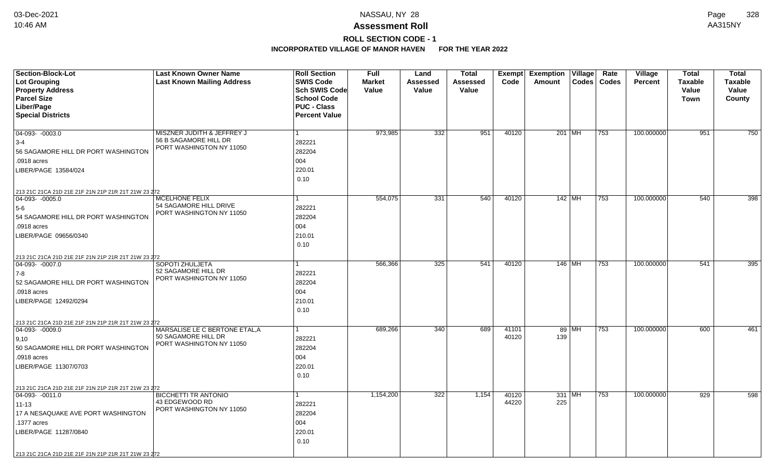## **ROLL SECTION CODE - 1**

| Section-Block-Lot                                                       | <b>Last Known Owner Name</b>                      | <b>Roll Section</b>  | Full          | Land             | <b>Total</b> | Exempt | <b>Exemption Village</b> | Rate         | Village        | <b>Total</b>   | <b>Total</b>   |
|-------------------------------------------------------------------------|---------------------------------------------------|----------------------|---------------|------------------|--------------|--------|--------------------------|--------------|----------------|----------------|----------------|
| Lot Grouping                                                            | <b>Last Known Mailing Address</b>                 | <b>SWIS Code</b>     | <b>Market</b> | Assessed         | Assessed     | Code   | Codes<br>Amount          | <b>Codes</b> | <b>Percent</b> | <b>Taxable</b> | <b>Taxable</b> |
| <b>Property Address</b>                                                 |                                                   | <b>Sch SWIS Code</b> | Value         | Value            | Value        |        |                          |              |                | Value          | Value          |
| <b>Parcel Size</b>                                                      |                                                   | <b>School Code</b>   |               |                  |              |        |                          |              |                | Town           | County         |
| Liber/Page                                                              |                                                   | <b>PUC - Class</b>   |               |                  |              |        |                          |              |                |                |                |
| <b>Special Districts</b>                                                |                                                   | <b>Percent Value</b> |               |                  |              |        |                          |              |                |                |                |
|                                                                         |                                                   |                      |               |                  |              |        |                          |              |                |                |                |
| $\overline{04-093 - 0003.0}$                                            | MISZNER JUDITH & JEFFREY J                        |                      | 973,985       | 332              | 951          | 40120  | 201 MH                   | 753          | 100.000000     | 951            | 750            |
| $ 3-4$                                                                  | 56 B SAGAMORE HILL DR<br>PORT WASHINGTON NY 11050 | 282221               |               |                  |              |        |                          |              |                |                |                |
| 56 SAGAMORE HILL DR PORT WASHINGTON                                     |                                                   | 282204               |               |                  |              |        |                          |              |                |                |                |
| .0918 acres                                                             |                                                   | 004                  |               |                  |              |        |                          |              |                |                |                |
| LIBER/PAGE 13584/024                                                    |                                                   | 220.01               |               |                  |              |        |                          |              |                |                |                |
|                                                                         |                                                   | 0.10                 |               |                  |              |        |                          |              |                |                |                |
| 213 21C 21CA 21D 21E 21F 21N 21P 21R 21T 21W 23 272                     |                                                   |                      |               |                  |              |        |                          |              |                |                |                |
| $04-093 - 0005.0$                                                       | <b>MCELHONE FELIX</b>                             |                      | 554,075       | $\overline{331}$ | 540          | 40120  | $142$ MH                 | 753          | 100.000000     | 540            | 398            |
| 5-6                                                                     | 54 SAGAMORE HILL DRIVE                            | 282221               |               |                  |              |        |                          |              |                |                |                |
| 54 SAGAMORE HILL DR PORT WASHINGTON                                     | PORT WASHINGTON NY 11050                          | 282204               |               |                  |              |        |                          |              |                |                |                |
| .0918 acres                                                             |                                                   | 004                  |               |                  |              |        |                          |              |                |                |                |
| LIBER/PAGE 09656/0340                                                   |                                                   | 210.01               |               |                  |              |        |                          |              |                |                |                |
|                                                                         |                                                   | 0.10                 |               |                  |              |        |                          |              |                |                |                |
|                                                                         |                                                   |                      |               |                  |              |        |                          |              |                |                |                |
| 213 21C 21CA 21D 21E 21F 21N 21P 21R 21T 21W 23 272<br>04-093- -0007.0  | SOPOTI ZHULJETA                                   |                      | 566,366       | 325              | 541          | 40120  | 146 MH                   | 753          | 100.000000     | 541            | 395            |
| 7-8                                                                     | 52 SAGAMORE HILL DR                               | 282221               |               |                  |              |        |                          |              |                |                |                |
| 52 SAGAMORE HILL DR PORT WASHINGTON                                     | PORT WASHINGTON NY 11050                          | 282204               |               |                  |              |        |                          |              |                |                |                |
| .0918 acres                                                             |                                                   | 004                  |               |                  |              |        |                          |              |                |                |                |
| LIBER/PAGE 12492/0294                                                   |                                                   | 210.01               |               |                  |              |        |                          |              |                |                |                |
|                                                                         |                                                   | 0.10                 |               |                  |              |        |                          |              |                |                |                |
|                                                                         |                                                   |                      |               |                  |              |        |                          |              |                |                |                |
| 213 21C 21CA 21D 21E 21F 21N 21P 21R 21T 21W 23 272<br>$ 04-093-0009.0$ | MARSALISE LE C BERTONE ETAL, A                    | 1                    | 689,266       | 340              | 689          | 41101  | 89 MH                    | 753          | 100.000000     | 600            | 461            |
| 9,10                                                                    | 50 SAGAMORE HILL DR                               | 282221               |               |                  |              | 40120  | 139                      |              |                |                |                |
| 50 SAGAMORE HILL DR PORT WASHINGTON                                     | PORT WASHINGTON NY 11050                          | 282204               |               |                  |              |        |                          |              |                |                |                |
| .0918 acres                                                             |                                                   | 004                  |               |                  |              |        |                          |              |                |                |                |
| LIBER/PAGE 11307/0703                                                   |                                                   | 220.01               |               |                  |              |        |                          |              |                |                |                |
|                                                                         |                                                   | 0.10                 |               |                  |              |        |                          |              |                |                |                |
|                                                                         |                                                   |                      |               |                  |              |        |                          |              |                |                |                |
| 213 21C 21CA 21D 21E 21F 21N 21P 21R 21T 21W 23 272<br>04-093- -0011.0  | <b>BICCHETTI TR ANTONIO</b>                       | 1                    | 1,154,200     | 322              | 1,154        | 40120  | 331 MH                   | 753          | 100.000000     | 929            | 598            |
| $11 - 13$                                                               | 43 EDGEWOOD RD                                    | 282221               |               |                  |              | 44220  | 225                      |              |                |                |                |
| 17 A NESAQUAKE AVE PORT WASHINGTON                                      | PORT WASHINGTON NY 11050                          | 282204               |               |                  |              |        |                          |              |                |                |                |
| .1377 acres                                                             |                                                   | 004                  |               |                  |              |        |                          |              |                |                |                |
|                                                                         |                                                   | 220.01               |               |                  |              |        |                          |              |                |                |                |
| LIBER/PAGE 11287/0840                                                   |                                                   | 0.10                 |               |                  |              |        |                          |              |                |                |                |
|                                                                         |                                                   |                      |               |                  |              |        |                          |              |                |                |                |
| 213 21C 21CA 21D 21E 21F 21N 21P 21R 21T 21W 23 272                     |                                                   |                      |               |                  |              |        |                          |              |                |                |                |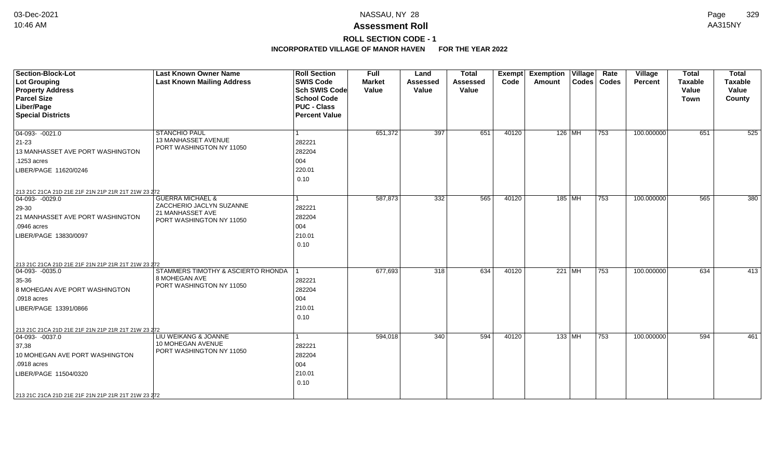# **ROLL SECTION CODE - 1**

| <b>Section-Block-Lot</b><br><b>Lot Grouping</b><br><b>Property Address</b><br><b>Parcel Size</b><br>Liber/Page<br><b>Special Districts</b>                                                                        | <b>Last Known Owner Name</b><br><b>Last Known Mailing Address</b>                                       | <b>Roll Section</b><br><b>SWIS Code</b><br><b>Sch SWIS Code</b><br><b>School Code</b><br><b>PUC - Class</b><br><b>Percent Value</b> | <b>Full</b><br><b>Market</b><br>Value | Land<br><b>Assessed</b><br>Value | <b>Total</b><br><b>Assessed</b><br>Value | <b>Exempt</b><br>Code | <b>Exemption Village</b><br>Amount | Rate<br>Codes   Codes | Village<br>Percent | <b>Total</b><br><b>Taxable</b><br>Value<br><b>Town</b> | <b>Total</b><br>Taxable<br>Value<br>County |
|-------------------------------------------------------------------------------------------------------------------------------------------------------------------------------------------------------------------|---------------------------------------------------------------------------------------------------------|-------------------------------------------------------------------------------------------------------------------------------------|---------------------------------------|----------------------------------|------------------------------------------|-----------------------|------------------------------------|-----------------------|--------------------|--------------------------------------------------------|--------------------------------------------|
| $\boxed{04-093 - 0021.0}$<br>21-23<br>13 MANHASSET AVE PORT WASHINGTON<br>.1253 acres<br>LIBER/PAGE 11620/0246                                                                                                    | <b>STANCHIO PAUL</b><br>13 MANHASSET AVENUE<br>PORT WASHINGTON NY 11050                                 | 1<br>282221<br>282204<br>004<br>220.01<br>0.10                                                                                      | 651,372                               | 397                              | 651                                      | 40120                 | 126   MH                           | 753                   | 100.000000         | 651                                                    | 525                                        |
| 213 21C 21CA 21D 21E 21F 21N 21P 21R 21T 21W 23 272<br>$04-093-0029.0$<br>29-30<br>21 MANHASSET AVE PORT WASHINGTON<br>.0946 acres<br>LIBER/PAGE 13830/0097                                                       | <b>GUERRA MICHAEL &amp;</b><br>ZACCHERIO JACLYN SUZANNE<br>21 MANHASSET AVE<br>PORT WASHINGTON NY 11050 | 1<br>282221<br>282204<br>004<br>210.01<br>0.10                                                                                      | 587,873                               | 332                              | 565                                      | 40120                 | 185 MH                             | 753                   | 100.000000         | 565                                                    | 380                                        |
| 213 21C 21CA 21D 21E 21F 21N 21P 21R 21T 21W 23 272<br>$ 04-093-0035.0$<br>35-36<br>8 MOHEGAN AVE PORT WASHINGTON<br>.0918 acres<br>LIBER/PAGE 13391/0866                                                         | STAMMERS TIMOTHY & ASCIERTO RHONDA  <br>8 MOHEGAN AVE<br>PORT WASHINGTON NY 11050                       | 282221<br>282204<br>004<br>210.01<br>0.10                                                                                           | 677,693                               | 318                              | 634                                      | 40120                 | 221 MH                             | 753                   | 100.000000         | 634                                                    | 413                                        |
| 213 21C 21CA 21D 21E 21F 21N 21P 21R 21T 21W 23 272<br>$ 04-093-0037.0$<br>37,38<br>10 MOHEGAN AVE PORT WASHINGTON<br>.0918 acres<br>LIBER/PAGE 11504/0320<br>213 21C 21CA 21D 21E 21F 21N 21P 21R 21T 21W 23 272 | LIU WEIKANG & JOANNE<br>10 MOHEGAN AVENUE<br>PORT WASHINGTON NY 11050                                   | 282221<br>282204<br>004<br>210.01<br>0.10                                                                                           | 594,018                               | 340                              | 594                                      | 40120                 | 133 MH                             | 753                   | 100.000000         | 594                                                    | 461                                        |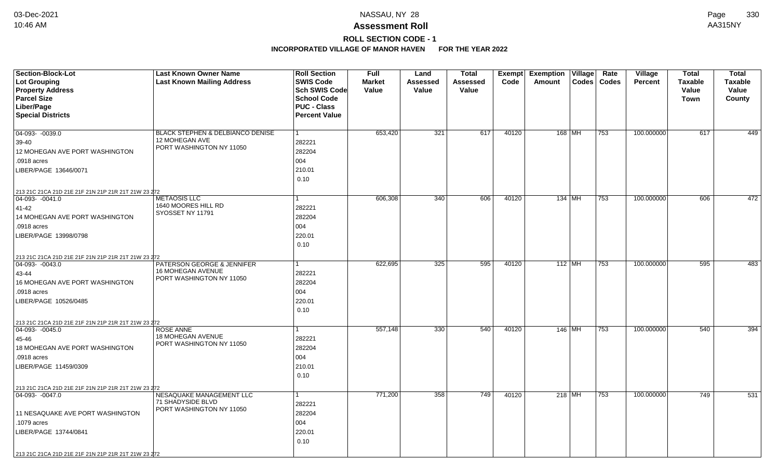## **ROLL SECTION CODE - 1**

| Section-Block-Lot                                                       | <b>Last Known Owner Name</b>                  | <b>Roll Section</b>  | <b>Full</b>   | Land            | <b>Total</b> | Exempt | <b>Exemption Village</b> |          | Rate          | Village        | <b>Total</b>   | <b>Total</b>   |
|-------------------------------------------------------------------------|-----------------------------------------------|----------------------|---------------|-----------------|--------------|--------|--------------------------|----------|---------------|----------------|----------------|----------------|
| Lot Grouping                                                            | <b>Last Known Mailing Address</b>             | <b>SWIS Code</b>     | <b>Market</b> | <b>Assessed</b> | Assessed     | Code   | Amount                   |          | Codes   Codes | <b>Percent</b> | <b>Taxable</b> | <b>Taxable</b> |
| <b>Property Address</b>                                                 |                                               | Sch SWIS Code        | Value         | Value           | Value        |        |                          |          |               |                | <b>Value</b>   | Value          |
| <b>Parcel Size</b>                                                      |                                               | <b>School Code</b>   |               |                 |              |        |                          |          |               |                | Town           | County         |
| Liber/Page                                                              |                                               | <b>PUC - Class</b>   |               |                 |              |        |                          |          |               |                |                |                |
| <b>Special Districts</b>                                                |                                               | <b>Percent Value</b> |               |                 |              |        |                          |          |               |                |                |                |
|                                                                         |                                               |                      |               |                 |              |        |                          |          |               |                |                |                |
| $\overline{04-093 - 0039.0}$                                            | BLACK STEPHEN & DELBIANCO DENISE              | 1                    | 653,420       | 321             | 617          | 40120  | 168 MH                   |          | 753           | 100.000000     | 617            | 449            |
| 39-40                                                                   | 12 MOHEGAN AVE                                | 282221               |               |                 |              |        |                          |          |               |                |                |                |
| 12 MOHEGAN AVE PORT WASHINGTON                                          | PORT WASHINGTON NY 11050                      | 282204               |               |                 |              |        |                          |          |               |                |                |                |
| .0918 acres                                                             |                                               | 004                  |               |                 |              |        |                          |          |               |                |                |                |
| LIBER/PAGE 13646/0071                                                   |                                               | 210.01               |               |                 |              |        |                          |          |               |                |                |                |
|                                                                         |                                               | 0.10                 |               |                 |              |        |                          |          |               |                |                |                |
|                                                                         |                                               |                      |               |                 |              |        |                          |          |               |                |                |                |
| 213 21C 21CA 21D 21E 21F 21N 21P 21R 21T 21W 23 272<br>$ 04-093-0041.0$ | <b>METAOSIS LLC</b>                           |                      | 606,308       | 340             | 606          | 40120  | 134 MH                   |          | 753           | 100.000000     | 606            | 472            |
| 41-42                                                                   | 1640 MOORES HILL RD                           | 282221               |               |                 |              |        |                          |          |               |                |                |                |
| 14 MOHEGAN AVE PORT WASHINGTON                                          | SYOSSET NY 11791                              | 282204               |               |                 |              |        |                          |          |               |                |                |                |
| .0918 acres                                                             |                                               | 004                  |               |                 |              |        |                          |          |               |                |                |                |
| LIBER/PAGE 13998/0798                                                   |                                               | 220.01               |               |                 |              |        |                          |          |               |                |                |                |
|                                                                         |                                               | 0.10                 |               |                 |              |        |                          |          |               |                |                |                |
|                                                                         |                                               |                      |               |                 |              |        |                          |          |               |                |                |                |
| 213 21C 21CA 21D 21E 21F 21N 21P 21R 21T 21W 23 272<br>$ 04-093-0043.0$ | PATERSON GEORGE & JENNIFER                    |                      | 622,695       | 325             | 595          | 40120  |                          | $112$ MH | 753           | 100.000000     | 595            | 483            |
| 43-44                                                                   | 16 MOHEGAN AVENUE                             | 282221               |               |                 |              |        |                          |          |               |                |                |                |
| 16 MOHEGAN AVE PORT WASHINGTON                                          | PORT WASHINGTON NY 11050                      | 282204               |               |                 |              |        |                          |          |               |                |                |                |
| .0918 acres                                                             |                                               | 004                  |               |                 |              |        |                          |          |               |                |                |                |
|                                                                         |                                               |                      |               |                 |              |        |                          |          |               |                |                |                |
| LIBER/PAGE 10526/0485                                                   |                                               | 220.01               |               |                 |              |        |                          |          |               |                |                |                |
|                                                                         |                                               | 0.10                 |               |                 |              |        |                          |          |               |                |                |                |
| 213 21C 21CA 21D 21E 21F 21N 21P 21R 21T 21W 23 272                     |                                               |                      |               |                 |              |        |                          |          |               |                |                |                |
| $ 04-093-0045.0$                                                        | <b>ROSE ANNE</b><br>18 MOHEGAN AVENUE         | $\mathbf{1}$         | 557,148       | 330             | 540          | 40120  | 146 MH                   |          | 753           | 100.000000     | 540            | 394            |
| 45-46                                                                   | PORT WASHINGTON NY 11050                      | 282221               |               |                 |              |        |                          |          |               |                |                |                |
| 18 MOHEGAN AVE PORT WASHINGTON                                          |                                               | 282204               |               |                 |              |        |                          |          |               |                |                |                |
| .0918 acres                                                             |                                               | 004                  |               |                 |              |        |                          |          |               |                |                |                |
| LIBER/PAGE 11459/0309                                                   |                                               | 210.01               |               |                 |              |        |                          |          |               |                |                |                |
|                                                                         |                                               | 0.10                 |               |                 |              |        |                          |          |               |                |                |                |
| 213 21C 21CA 21D 21E 21F 21N 21P 21R 21T 21W 23 272                     |                                               |                      |               |                 |              |        |                          |          |               |                |                |                |
| 04-093- -0047.0                                                         | NESAQUAKE MANAGEMENT LLC                      | 1                    | 771,200       | 358             | 749          | 40120  | $218$ MH                 |          | 753           | 100.000000     | 749            | 531            |
|                                                                         | 71 SHADYSIDE BLVD<br>PORT WASHINGTON NY 11050 | 282221               |               |                 |              |        |                          |          |               |                |                |                |
| 11 NESAQUAKE AVE PORT WASHINGTON                                        |                                               | 282204               |               |                 |              |        |                          |          |               |                |                |                |
| .1079 acres                                                             |                                               | 004                  |               |                 |              |        |                          |          |               |                |                |                |
| LIBER/PAGE 13744/0841                                                   |                                               | 220.01               |               |                 |              |        |                          |          |               |                |                |                |
|                                                                         |                                               | 0.10                 |               |                 |              |        |                          |          |               |                |                |                |
| 213 21C 21CA 21D 21E 21F 21N 21P 21R 21T 21W 23 272                     |                                               |                      |               |                 |              |        |                          |          |               |                |                |                |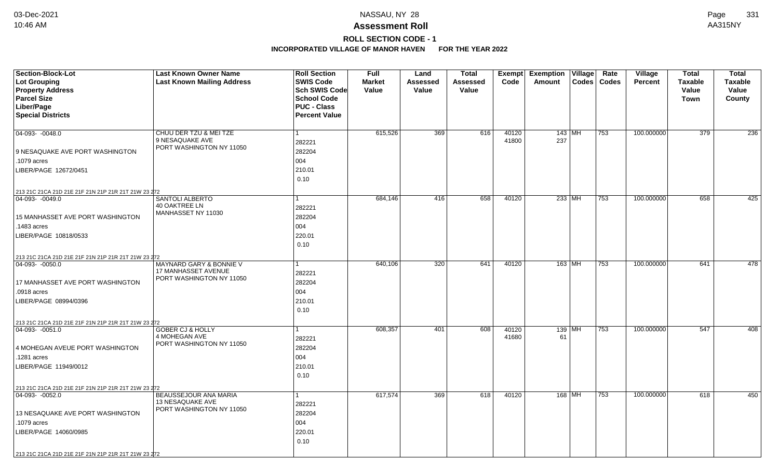# **ROLL SECTION CODE - 1**

| <b>Section-Block-Lot</b><br><b>Lot Grouping</b><br><b>Property Address</b>                                                                         | <b>Last Known Owner Name</b><br><b>Last Known Mailing Address</b>        | <b>Roll Section</b><br><b>SWIS Code</b><br>Sch SWIS Code         | <b>Full</b><br><b>Market</b><br>Value | Land<br>Assessed<br>Value | <b>Total</b><br>Assessed<br>Value | Code           | Exempt Exemption Village<br>Amount | Rate<br>Codes   Codes | Village<br><b>Percent</b> | <b>Total</b><br><b>Taxable</b><br>Value | <b>Total</b><br><b>Taxable</b><br>Value |
|----------------------------------------------------------------------------------------------------------------------------------------------------|--------------------------------------------------------------------------|------------------------------------------------------------------|---------------------------------------|---------------------------|-----------------------------------|----------------|------------------------------------|-----------------------|---------------------------|-----------------------------------------|-----------------------------------------|
| <b>Parcel Size</b><br>Liber/Page<br><b>Special Districts</b>                                                                                       |                                                                          | <b>School Code</b><br><b>PUC - Class</b><br><b>Percent Value</b> |                                       |                           |                                   |                |                                    |                       |                           | <b>Town</b>                             | County                                  |
| 04-093- -0048.0<br>9 NESAQUAKE AVE PORT WASHINGTON                                                                                                 | CHUU DER TZU & MEI TZE<br>9 NESAQUAKE AVE<br>PORT WASHINGTON NY 11050    | 282221<br>282204                                                 | 615,526                               | 369                       | 616                               | 40120<br>41800 | 143   MH<br>237                    | 753                   | 100.000000                | 379                                     | 236                                     |
| .1079 acres<br>LIBER/PAGE 12672/0451                                                                                                               |                                                                          | 004<br>210.01<br>0.10                                            |                                       |                           |                                   |                |                                    |                       |                           |                                         |                                         |
| 213 21C 21CA 21D 21E 21F 21N 21P 21R 21T 21W 23 272<br>04-093- -0049.0<br>15 MANHASSET AVE PORT WASHINGTON<br>.1483 acres<br>LIBER/PAGE 10818/0533 | SANTOLI ALBERTO<br>40 OAKTREE LN<br>MANHASSET NY 11030                   | 282221<br>282204<br>004<br>220.01                                | 684,146                               | 416                       | 658                               | 40120          | $233$ MH                           | 753                   | 100.000000                | 658                                     | 425                                     |
| 213 21C 21CA 21D 21E 21F 21N 21P 21R 21T 21W 23 272<br>$ 04-093-0050.0$                                                                            | <b>MAYNARD GARY &amp; BONNIE V</b><br>17 MANHASSET AVENUE                | 0.10<br>282221                                                   | 640,106                               | 320                       | 641                               | 40120          | $163$ MH                           | 753                   | 100.000000                | 641                                     | 478                                     |
| 17 MANHASSET AVE PORT WASHINGTON<br>.0918 acres<br>LIBER/PAGE 08994/0396                                                                           | PORT WASHINGTON NY 11050                                                 | 282204<br>004<br>210.01<br>0.10                                  |                                       |                           |                                   |                |                                    |                       |                           |                                         |                                         |
| 213 21C 21CA 21D 21E 21F 21N 21P 21R 21T 21W 23 272                                                                                                |                                                                          |                                                                  |                                       |                           |                                   |                |                                    |                       |                           |                                         |                                         |
| $ 04-093-0051.0$<br>4 MOHEGAN AVEUE PORT WASHINGTON<br>.1281 acres<br>LIBER/PAGE 11949/0012                                                        | <b>GOBER CJ &amp; HOLLY</b><br>4 MOHEGAN AVE<br>PORT WASHINGTON NY 11050 | 282221<br>282204<br>004<br>210.01<br>0.10                        | 608,357                               | 401                       | 608                               | 40120<br>41680 | $139$ MH<br>61                     | 753                   | 100.000000                | 547                                     | 408                                     |
| 213 21C 21CA 21D 21E 21F 21N 21P 21R 21T 21W 23 272                                                                                                | BEAUSSEJOUR ANA MARIA                                                    |                                                                  | 617,574                               | 369                       | 618                               | 40120          | 168 MH                             | 753                   | 100.000000                | 618                                     | 450                                     |
| 04-093- -0052.0<br>13 NESAQUAKE AVE PORT WASHINGTON<br>.1079 acres<br>LIBER/PAGE 14060/0985<br>213 21C 21CA 21D 21E 21F 21N 21P 21R 21T 21W 23 272 | 13 NESAQUAKE AVE<br>PORT WASHINGTON NY 11050                             | 282221<br>282204<br>004<br>220.01<br>0.10                        |                                       |                           |                                   |                |                                    |                       |                           |                                         |                                         |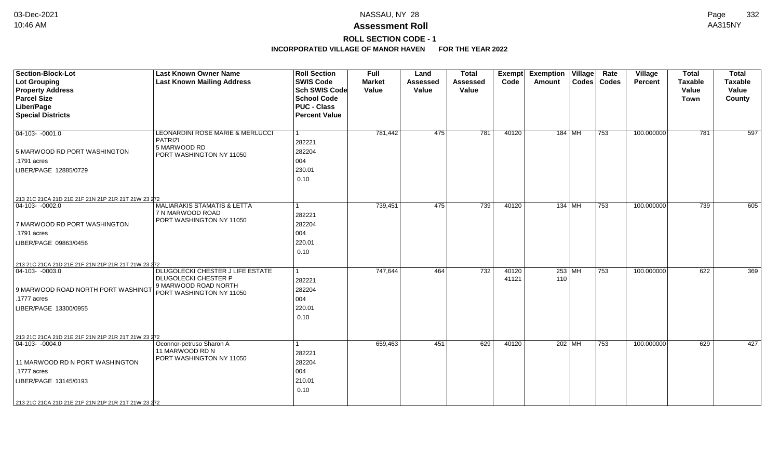# **ROLL SECTION CODE - 1**

| <b>Section-Block-Lot</b><br>Lot Grouping<br><b>Property Address</b><br><b>Parcel Size</b><br>Liber/Page<br><b>Special Districts</b>                                                                          | <b>Last Known Owner Name</b><br><b>Last Known Mailing Address</b>                                                   | <b>Roll Section</b><br><b>SWIS Code</b><br><b>Sch SWIS Code</b><br><b>School Code</b><br><b>PUC - Class</b><br><b>Percent Value</b> | <b>Full</b><br><b>Market</b><br>Value | Land<br><b>Assessed</b><br>Value | <b>Total</b><br><b>Assessed</b><br>Value | Exempt<br>Code | <b>Exemption Village</b><br>Amount | Rate<br>Codes   Codes | Village<br><b>Percent</b> | <b>Total</b><br><b>Taxable</b><br>Value<br><b>Town</b> | <b>Total</b><br><b>Taxable</b><br>Value<br>County |
|--------------------------------------------------------------------------------------------------------------------------------------------------------------------------------------------------------------|---------------------------------------------------------------------------------------------------------------------|-------------------------------------------------------------------------------------------------------------------------------------|---------------------------------------|----------------------------------|------------------------------------------|----------------|------------------------------------|-----------------------|---------------------------|--------------------------------------------------------|---------------------------------------------------|
| $ 04-103-0001.0$<br>5 MARWOOD RD PORT WASHINGTON<br>.1791 acres<br>LIBER/PAGE 12885/0729                                                                                                                     | LEONARDINI ROSE MARIE & MERLUCCI<br><b>PATRIZI</b><br>5 MARWOOD RD<br>PORT WASHINGTON NY 11050                      | 1<br>282221<br>282204<br>004<br>230.01<br>0.10                                                                                      | 781,442                               | 475                              | 781                                      | 40120          | 184   MH                           | 753                   | 100.000000                | 781                                                    | 597                                               |
| 213 21C 21CA 21D 21E 21F 21N 21P 21R 21T 21W 23 272<br>04-103- -0002.0<br>7 MARWOOD RD PORT WASHINGTON<br>.1791 acres<br>LIBER/PAGE 09863/0456                                                               | <b>MALIARAKIS STAMATIS &amp; LETTA</b><br>7 N MARWOOD ROAD<br>PORT WASHINGTON NY 11050                              | 1<br>282221<br>282204<br>004<br>220.01<br>0.10                                                                                      | 739,451                               | 475                              | 739                                      | 40120          | $134$ MH                           | 753                   | 100.000000                | 739                                                    | 605                                               |
| 213 21C 21CA 21D 21E 21F 21N 21P 21R 21T 21W 23 272<br>$ 04-103-0003.0$<br>9 MARWOOD ROAD NORTH PORT WASHINGT<br>.1777 acres<br>LIBER/PAGE 13300/0955<br>213 21C 21CA 21D 21E 21F 21N 21P 21R 21T 21W 23 272 | DLUGOLECKI CHESTER J LIFE ESTATE<br><b>DLUGOLECKI CHESTER P</b><br>9 MARWOOD ROAD NORTH<br>PORT WASHINGTON NY 11050 | 1<br>282221<br>282204<br>004<br>220.01<br>0.10                                                                                      | 747.644                               | 464                              | 732                                      | 40120<br>41121 | 253 MH<br>110                      | 753                   | 100.000000                | 622                                                    | 369                                               |
| $ 04-103-0004.0$<br>11 MARWOOD RD N PORT WASHINGTON<br>.1777 acres<br>LIBER/PAGE 13145/0193<br>213 21C 21CA 21D 21E 21F 21N 21P 21R 21T 21W 23 272                                                           | Oconnor-petruso Sharon A<br>11 MARWOOD RD N<br>PORT WASHINGTON NY 11050                                             | 282221<br>282204<br>004<br>210.01<br>0.10                                                                                           | 659,463                               | 451                              | 629                                      | 40120          | $202$ MH                           | 753                   | 100.000000                | 629                                                    | 427                                               |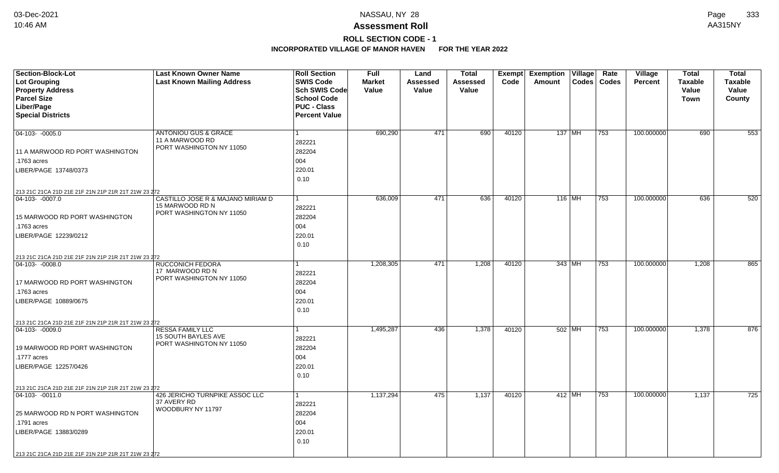## **ROLL SECTION CODE - 1**

| <b>Section-Block-Lot</b>                                                | <b>Last Known Owner Name</b>                | <b>Roll Section</b>  | Full          | Land     | <b>Total</b>    | Exempt | <b>Exemption Village</b> |          | Rate             | <b>Village</b> | <b>Total</b>   | <b>Total</b>   |
|-------------------------------------------------------------------------|---------------------------------------------|----------------------|---------------|----------|-----------------|--------|--------------------------|----------|------------------|----------------|----------------|----------------|
| Lot Grouping                                                            | <b>Last Known Mailing Address</b>           | <b>SWIS Code</b>     | <b>Market</b> | Assessed | <b>Assessed</b> | Code   | Amount                   |          | Codes   Codes    | <b>Percent</b> | <b>Taxable</b> | <b>Taxable</b> |
| <b>Property Address</b>                                                 |                                             | <b>Sch SWIS Code</b> | Value         | Value    | Value           |        |                          |          |                  |                | Value          | Value          |
| <b>Parcel Size</b>                                                      |                                             | <b>School Code</b>   |               |          |                 |        |                          |          |                  |                | Town           | County         |
| Liber/Page                                                              |                                             | <b>PUC - Class</b>   |               |          |                 |        |                          |          |                  |                |                |                |
| <b>Special Districts</b>                                                |                                             | <b>Percent Value</b> |               |          |                 |        |                          |          |                  |                |                |                |
|                                                                         |                                             |                      |               |          |                 |        |                          |          |                  |                |                |                |
| $ 04-103-0005.0$                                                        | <b>ANTONIOU GUS &amp; GRACE</b>             | $\mathbf{1}$         | 690,290       | 471      | 690             | 40120  | 137 MH                   |          | 753              | 100.000000     | 690            | 553            |
|                                                                         | 11 A MARWOOD RD<br>PORT WASHINGTON NY 11050 | 282221               |               |          |                 |        |                          |          |                  |                |                |                |
| 11 A MARWOOD RD PORT WASHINGTON                                         |                                             | 282204               |               |          |                 |        |                          |          |                  |                |                |                |
| .1763 acres                                                             |                                             | 004                  |               |          |                 |        |                          |          |                  |                |                |                |
| LIBER/PAGE 13748/0373                                                   |                                             | 220.01               |               |          |                 |        |                          |          |                  |                |                |                |
|                                                                         |                                             | 0.10                 |               |          |                 |        |                          |          |                  |                |                |                |
| 213 21C 21CA 21D 21E 21F 21N 21P 21R 21T 21W 23 272                     |                                             |                      |               |          |                 |        |                          |          |                  |                |                |                |
| $ 04-103-0007.0$                                                        | CASTILLO JOSE R & MAJANO MIRIAM D           | $\mathbf{1}$         | 636,009       | 471      | 636             | 40120  |                          | 116 MH   | $\overline{753}$ | 100.000000     | 636            | 520            |
|                                                                         | 15 MARWOOD RD N                             | 282221               |               |          |                 |        |                          |          |                  |                |                |                |
| 15 MARWOOD RD PORT WASHINGTON                                           | PORT WASHINGTON NY 11050                    | 282204               |               |          |                 |        |                          |          |                  |                |                |                |
| .1763 acres                                                             |                                             | 004                  |               |          |                 |        |                          |          |                  |                |                |                |
| LIBER/PAGE 12239/0212                                                   |                                             | 220.01               |               |          |                 |        |                          |          |                  |                |                |                |
|                                                                         |                                             | 0.10                 |               |          |                 |        |                          |          |                  |                |                |                |
|                                                                         |                                             |                      |               |          |                 |        |                          |          |                  |                |                |                |
| 213 21C 21CA 21D 21E 21F 21N 21P 21R 21T 21W 23 272<br>$ 04-103-0008.0$ | <b>RUCCONICH FEDORA</b>                     | 1                    | 1,208,305     | 471      | 1,208           | 40120  | 343 MH                   |          | 753              | 100.000000     | 1,208          | 865            |
|                                                                         | 17 MARWOOD RD N                             | 282221               |               |          |                 |        |                          |          |                  |                |                |                |
| 17 MARWOOD RD PORT WASHINGTON                                           | PORT WASHINGTON NY 11050                    | 282204               |               |          |                 |        |                          |          |                  |                |                |                |
| .1763 acres                                                             |                                             | 004                  |               |          |                 |        |                          |          |                  |                |                |                |
| LIBER/PAGE 10889/0675                                                   |                                             | 220.01               |               |          |                 |        |                          |          |                  |                |                |                |
|                                                                         |                                             | 0.10                 |               |          |                 |        |                          |          |                  |                |                |                |
|                                                                         |                                             |                      |               |          |                 |        |                          |          |                  |                |                |                |
| 213 21C 21CA 21D 21E 21F 21N 21P 21R 21T 21W 23 272<br>$ 04-103-0009.0$ | <b>RESSA FAMILY LLC</b>                     | 1                    | 1,495,287     | 436      | 1,378           | 40120  | 502 MH                   |          | 753              | 100.000000     | 1,378          | 876            |
|                                                                         | 15 SOUTH BAYLES AVE                         | 282221               |               |          |                 |        |                          |          |                  |                |                |                |
| 19 MARWOOD RD PORT WASHINGTON                                           | PORT WASHINGTON NY 11050                    | 282204               |               |          |                 |        |                          |          |                  |                |                |                |
| .1777 acres                                                             |                                             | 004                  |               |          |                 |        |                          |          |                  |                |                |                |
| LIBER/PAGE 12257/0426                                                   |                                             | 220.01               |               |          |                 |        |                          |          |                  |                |                |                |
|                                                                         |                                             | 0.10                 |               |          |                 |        |                          |          |                  |                |                |                |
|                                                                         |                                             |                      |               |          |                 |        |                          |          |                  |                |                |                |
| 213 21C 21CA 21D 21E 21F 21N 21P 21R 21T 21W 23 272                     | 426 JERICHO TURNPIKE ASSOC LLC              | $\mathbf{1}$         | 1,137,294     | 475      | 1,137           | 40120  |                          |          | 753              | 100.000000     | 1,137          | 725            |
| $ 04-103-0011.0$                                                        | 37 AVERY RD                                 |                      |               |          |                 |        |                          | $412$ MH |                  |                |                |                |
|                                                                         | WOODBURY NY 11797                           | 282221               |               |          |                 |        |                          |          |                  |                |                |                |
| 25 MARWOOD RD N PORT WASHINGTON                                         |                                             | 282204               |               |          |                 |        |                          |          |                  |                |                |                |
| .1791 acres                                                             |                                             | 004                  |               |          |                 |        |                          |          |                  |                |                |                |
| LIBER/PAGE 13883/0289                                                   |                                             | 220.01               |               |          |                 |        |                          |          |                  |                |                |                |
|                                                                         |                                             | 0.10                 |               |          |                 |        |                          |          |                  |                |                |                |
| 213 21C 21CA 21D 21E 21F 21N 21P 21R 21T 21W 23 272                     |                                             |                      |               |          |                 |        |                          |          |                  |                |                |                |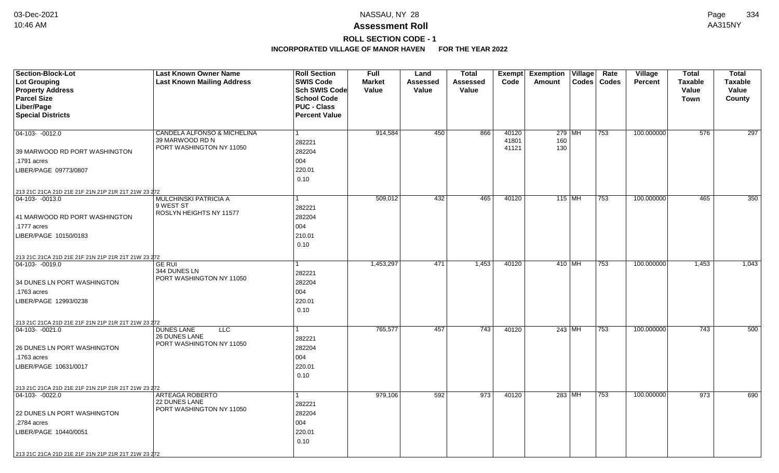## **ROLL SECTION CODE - 1**

| <b>Section-Block-Lot</b>                            | <b>Last Known Owner Name</b>                     | <b>Roll Section</b>                        | <b>Full</b>   | Land     | <b>Total</b>    | Exempt | <b>Exemption</b> | $\overline{V}$ illage | Rate          | <b>Village</b> | <b>Total</b>   | <b>Total</b>   |
|-----------------------------------------------------|--------------------------------------------------|--------------------------------------------|---------------|----------|-----------------|--------|------------------|-----------------------|---------------|----------------|----------------|----------------|
| <b>Lot Grouping</b>                                 | <b>Last Known Mailing Address</b>                | <b>SWIS Code</b>                           | <b>Market</b> | Assessed | <b>Assessed</b> | Code   | Amount           |                       | Codes   Codes | Percent        | <b>Taxable</b> | <b>Taxable</b> |
| <b>Property Address</b>                             |                                                  | <b>Sch SWIS Code</b><br><b>School Code</b> | Value         | Value    | Value           |        |                  |                       |               |                | Value          | Value          |
| <b>Parcel Size</b><br>Liber/Page                    |                                                  | <b>PUC - Class</b>                         |               |          |                 |        |                  |                       |               |                | Town           | County         |
| <b>Special Districts</b>                            |                                                  | <b>Percent Value</b>                       |               |          |                 |        |                  |                       |               |                |                |                |
|                                                     |                                                  |                                            |               |          |                 |        |                  |                       |               |                |                |                |
| $04-103 - 0012.0$                                   | CANDELA ALFONSO & MICHELINA                      | $\mathbf{1}$                               | 914,584       | 450      | 866             | 40120  | $279$ MH         |                       | 753           | 100.000000     | 576            | 297            |
|                                                     | 39 MARWOOD RD N                                  | 282221                                     |               |          |                 | 41801  | 160              |                       |               |                |                |                |
| 39 MARWOOD RD PORT WASHINGTON                       | PORT WASHINGTON NY 11050                         | 282204                                     |               |          |                 | 41121  | 130              |                       |               |                |                |                |
| .1791 acres                                         |                                                  | 004                                        |               |          |                 |        |                  |                       |               |                |                |                |
| LIBER/PAGE 09773/0807                               |                                                  | 220.01                                     |               |          |                 |        |                  |                       |               |                |                |                |
|                                                     |                                                  | 0.10                                       |               |          |                 |        |                  |                       |               |                |                |                |
| 213 21C 21CA 21D 21E 21F 21N 21P 21R 21T 21W 23 272 |                                                  |                                            |               |          |                 |        |                  |                       |               |                |                |                |
| $ 04-103-0013.0$                                    | MULCHINSKI PATRICIA A                            | 1                                          | 509,012       | 432      | 465             | 40120  | $115$ MH         |                       | $ 753\rangle$ | 100.000000     | 465            | 350            |
|                                                     | 9 WEST ST                                        | 282221                                     |               |          |                 |        |                  |                       |               |                |                |                |
| 41 MARWOOD RD PORT WASHINGTON                       | ROSLYN HEIGHTS NY 11577                          | 282204                                     |               |          |                 |        |                  |                       |               |                |                |                |
| .1777 acres                                         |                                                  | 004                                        |               |          |                 |        |                  |                       |               |                |                |                |
| LIBER/PAGE 10150/0183                               |                                                  | 210.01                                     |               |          |                 |        |                  |                       |               |                |                |                |
|                                                     |                                                  | 0.10                                       |               |          |                 |        |                  |                       |               |                |                |                |
| 213 21C 21CA 21D 21E 21F 21N 21P 21R 21T 21W 23 272 |                                                  |                                            |               |          |                 |        |                  |                       |               |                |                |                |
| $ 04-103-0019.0$                                    | <b>GE RUI</b>                                    | 1                                          | 1,453,297     | 471      | 1,453           | 40120  | 410 MH           |                       | 753           | 100.000000     | 1,453          | 1,043          |
|                                                     | 344 DUNES LN<br>PORT WASHINGTON NY 11050         | 282221                                     |               |          |                 |        |                  |                       |               |                |                |                |
| 34 DUNES LN PORT WASHINGTON                         |                                                  | 282204                                     |               |          |                 |        |                  |                       |               |                |                |                |
| .1763 acres                                         |                                                  | 004                                        |               |          |                 |        |                  |                       |               |                |                |                |
| LIBER/PAGE 12993/0238                               |                                                  | 220.01                                     |               |          |                 |        |                  |                       |               |                |                |                |
|                                                     |                                                  | 0.10                                       |               |          |                 |        |                  |                       |               |                |                |                |
| 213 21C 21CA 21D 21E 21F 21N 21P 21R 21T 21W 23 272 |                                                  |                                            |               |          |                 |        |                  |                       |               |                |                |                |
| $ 04-103-0021.0$                                    | <b>DUNES LANE</b><br><b>LLC</b>                  | 1                                          | 765,577       | 457      | 743             | 40120  | 243 MH           |                       | 753           | 100.000000     | 743            | 500            |
|                                                     | <b>26 DUNES LANE</b><br>PORT WASHINGTON NY 11050 | 282221                                     |               |          |                 |        |                  |                       |               |                |                |                |
| 26 DUNES LN PORT WASHINGTON                         |                                                  | 282204                                     |               |          |                 |        |                  |                       |               |                |                |                |
| .1763 acres                                         |                                                  | 004                                        |               |          |                 |        |                  |                       |               |                |                |                |
| LIBER/PAGE 10631/0017                               |                                                  | 220.01                                     |               |          |                 |        |                  |                       |               |                |                |                |
|                                                     |                                                  | 0.10                                       |               |          |                 |        |                  |                       |               |                |                |                |
| 213 21C 21CA 21D 21E 21F 21N 21P 21R 21T 21W 23 272 |                                                  |                                            |               |          |                 |        |                  |                       |               |                |                |                |
| $ 04-103-0022.0$                                    | ARTEAGA ROBERTO                                  | $\mathbf{1}$                               | 979,106       | 592      | 973             | 40120  | 283 MH           |                       | 753           | 100.000000     | 973            | 690            |
|                                                     | 22 DUNES LANE<br>PORT WASHINGTON NY 11050        | 282221                                     |               |          |                 |        |                  |                       |               |                |                |                |
| 22 DUNES LN PORT WASHINGTON                         |                                                  | 282204                                     |               |          |                 |        |                  |                       |               |                |                |                |
| .2784 acres                                         |                                                  | 004                                        |               |          |                 |        |                  |                       |               |                |                |                |
| LIBER/PAGE 10440/0051                               |                                                  | 220.01                                     |               |          |                 |        |                  |                       |               |                |                |                |
|                                                     |                                                  | 0.10                                       |               |          |                 |        |                  |                       |               |                |                |                |
| 213 21C 21CA 21D 21E 21F 21N 21P 21R 21T 21W 23 272 |                                                  |                                            |               |          |                 |        |                  |                       |               |                |                |                |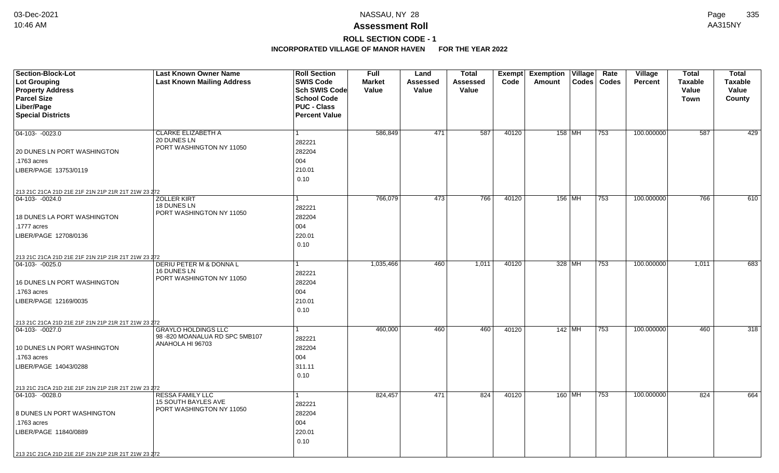## **ROLL SECTION CODE - 1**

| Section-Block-Lot<br><b>Lot Grouping</b><br><b>Property Address</b>     | <b>Last Known Owner Name</b><br><b>Last Known Mailing Address</b> | <b>Roll Section</b><br><b>SWIS Code</b><br><b>Sch SWIS Code</b> | <b>Full</b><br><b>Market</b><br>Value | Land<br><b>Assessed</b><br>Value | <b>Total</b><br><b>Assessed</b><br>Value | Exempt<br>Code | <b>Exemption</b><br>Amount | Village  | Rate<br>Codes   Codes | <b>Village</b><br><b>Percent</b> | <b>Total</b><br><b>Taxable</b><br>Value | <b>Total</b><br><b>Taxable</b><br>Value |
|-------------------------------------------------------------------------|-------------------------------------------------------------------|-----------------------------------------------------------------|---------------------------------------|----------------------------------|------------------------------------------|----------------|----------------------------|----------|-----------------------|----------------------------------|-----------------------------------------|-----------------------------------------|
| <b>Parcel Size</b>                                                      |                                                                   | <b>School Code</b>                                              |                                       |                                  |                                          |                |                            |          |                       |                                  | <b>Town</b>                             | County                                  |
| Liber/Page                                                              |                                                                   | <b>PUC - Class</b>                                              |                                       |                                  |                                          |                |                            |          |                       |                                  |                                         |                                         |
| <b>Special Districts</b>                                                |                                                                   | <b>Percent Value</b>                                            |                                       |                                  |                                          |                |                            |          |                       |                                  |                                         |                                         |
|                                                                         |                                                                   |                                                                 |                                       |                                  |                                          |                |                            |          |                       |                                  |                                         |                                         |
| $\boxed{04-103 - 0023.0}$                                               | CLARKE ELIZABETH A<br>20 DUNES LN                                 | 1                                                               | 586,849                               | 471                              | 587                                      | 40120          |                            | 158 MH   | 753                   | 100.000000                       | 587                                     | 429                                     |
|                                                                         | PORT WASHINGTON NY 11050                                          | 282221                                                          |                                       |                                  |                                          |                |                            |          |                       |                                  |                                         |                                         |
| 20 DUNES LN PORT WASHINGTON                                             |                                                                   | 282204                                                          |                                       |                                  |                                          |                |                            |          |                       |                                  |                                         |                                         |
| .1763 acres                                                             |                                                                   | 004                                                             |                                       |                                  |                                          |                |                            |          |                       |                                  |                                         |                                         |
| LIBER/PAGE 13753/0119                                                   |                                                                   | 210.01                                                          |                                       |                                  |                                          |                |                            |          |                       |                                  |                                         |                                         |
|                                                                         |                                                                   | 0.10                                                            |                                       |                                  |                                          |                |                            |          |                       |                                  |                                         |                                         |
| 213 21C 21CA 21D 21E 21F 21N 21P 21R 21T 21W 23 272                     |                                                                   |                                                                 |                                       |                                  |                                          |                |                            |          |                       |                                  |                                         |                                         |
| $ 04-103-0024.0$                                                        | <b>ZOLLER KIRT</b><br>18 DUNES LN                                 | 1                                                               | 766,079                               | 473                              | 766                                      | 40120          |                            | 156 MH   | 753                   | 100.000000                       | 766                                     | 610                                     |
|                                                                         | PORT WASHINGTON NY 11050                                          | 282221                                                          |                                       |                                  |                                          |                |                            |          |                       |                                  |                                         |                                         |
| <b>18 DUNES LA PORT WASHINGTON</b>                                      |                                                                   | 282204                                                          |                                       |                                  |                                          |                |                            |          |                       |                                  |                                         |                                         |
| .1777 acres                                                             |                                                                   | 004                                                             |                                       |                                  |                                          |                |                            |          |                       |                                  |                                         |                                         |
| LIBER/PAGE 12708/0136                                                   |                                                                   | 220.01                                                          |                                       |                                  |                                          |                |                            |          |                       |                                  |                                         |                                         |
|                                                                         |                                                                   | 0.10                                                            |                                       |                                  |                                          |                |                            |          |                       |                                  |                                         |                                         |
| 213 21C 21CA 21D 21E 21F 21N 21P 21R 21T 21W 23 272                     |                                                                   |                                                                 |                                       |                                  |                                          |                |                            |          |                       |                                  |                                         |                                         |
| $ 04-103-0025.0$                                                        | DERIU PETER M & DONNA L<br>16 DUNES LN                            |                                                                 | 1,035,466                             | 460                              | 1,011                                    | 40120          |                            | 328 MH   | 753                   | 100.000000                       | 1,011                                   | 683                                     |
|                                                                         | PORT WASHINGTON NY 11050                                          | 282221                                                          |                                       |                                  |                                          |                |                            |          |                       |                                  |                                         |                                         |
| 16 DUNES LN PORT WASHINGTON                                             |                                                                   | 282204                                                          |                                       |                                  |                                          |                |                            |          |                       |                                  |                                         |                                         |
| .1763 acres                                                             |                                                                   | 004                                                             |                                       |                                  |                                          |                |                            |          |                       |                                  |                                         |                                         |
| LIBER/PAGE 12169/0035                                                   |                                                                   | 210.01                                                          |                                       |                                  |                                          |                |                            |          |                       |                                  |                                         |                                         |
|                                                                         |                                                                   | 0.10                                                            |                                       |                                  |                                          |                |                            |          |                       |                                  |                                         |                                         |
| 213 21C 21CA 21D 21E 21F 21N 21P 21R 21T 21W 23 272                     |                                                                   |                                                                 |                                       |                                  |                                          |                |                            |          |                       |                                  |                                         |                                         |
| $ 04-103-0027.0$                                                        | <b>GRAYLO HOLDINGS LLC</b><br>98-820 MOANALUA RD SPC 5MB107       | 1                                                               | 460,000                               | 460                              | 460                                      | 40120          |                            | $142$ MH | 753                   | 100.000000                       | 460                                     | 318                                     |
|                                                                         | ANAHOLA HI 96703                                                  | 282221                                                          |                                       |                                  |                                          |                |                            |          |                       |                                  |                                         |                                         |
| 10 DUNES LN PORT WASHINGTON                                             |                                                                   | 282204<br>004                                                   |                                       |                                  |                                          |                |                            |          |                       |                                  |                                         |                                         |
| .1763 acres<br>LIBER/PAGE 14043/0288                                    |                                                                   | 311.11                                                          |                                       |                                  |                                          |                |                            |          |                       |                                  |                                         |                                         |
|                                                                         |                                                                   | 0.10                                                            |                                       |                                  |                                          |                |                            |          |                       |                                  |                                         |                                         |
|                                                                         |                                                                   |                                                                 |                                       |                                  |                                          |                |                            |          |                       |                                  |                                         |                                         |
| 213 21C 21CA 21D 21E 21F 21N 21P 21R 21T 21W 23 272<br>$ 04-103-0028.0$ | RESSA FAMILY LLC                                                  | 1                                                               | 824,457                               | 471                              | 824                                      | 40120          |                            | 160 MH   | 753                   | 100.000000                       | 824                                     | 664                                     |
|                                                                         | <b>15 SOUTH BAYLES AVE</b>                                        | 282221                                                          |                                       |                                  |                                          |                |                            |          |                       |                                  |                                         |                                         |
| 8 DUNES LN PORT WASHINGTON                                              | PORT WASHINGTON NY 11050                                          | 282204                                                          |                                       |                                  |                                          |                |                            |          |                       |                                  |                                         |                                         |
| .1763 acres                                                             |                                                                   | 004                                                             |                                       |                                  |                                          |                |                            |          |                       |                                  |                                         |                                         |
| LIBER/PAGE 11840/0889                                                   |                                                                   | 220.01                                                          |                                       |                                  |                                          |                |                            |          |                       |                                  |                                         |                                         |
|                                                                         |                                                                   | 0.10                                                            |                                       |                                  |                                          |                |                            |          |                       |                                  |                                         |                                         |
|                                                                         |                                                                   |                                                                 |                                       |                                  |                                          |                |                            |          |                       |                                  |                                         |                                         |
| 213 21C 21CA 21D 21E 21F 21N 21P 21R 21T 21W 23 272                     |                                                                   |                                                                 |                                       |                                  |                                          |                |                            |          |                       |                                  |                                         |                                         |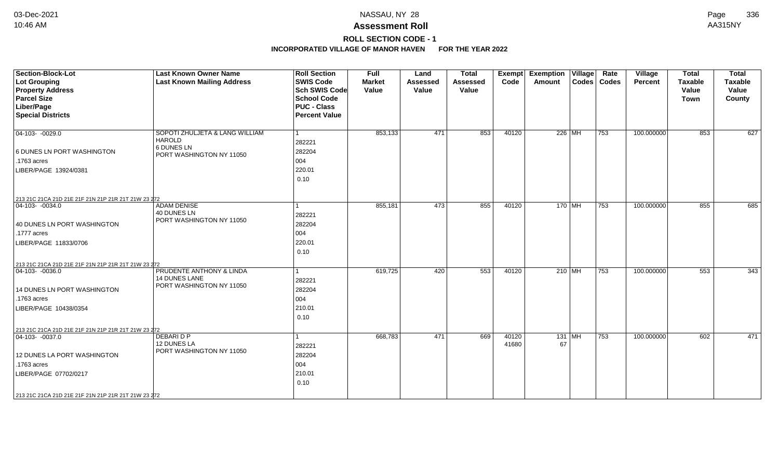# **ROLL SECTION CODE - 1**

| <b>Section-Block-Lot</b><br>Lot Grouping<br><b>Property Address</b><br><b>Parcel Size</b><br>Liber/Page<br><b>Special Districts</b>                                                                   | <b>Last Known Owner Name</b><br><b>Last Known Mailing Address</b>                         | <b>Roll Section</b><br><b>SWIS Code</b><br><b>Sch SWIS Code</b><br><b>School Code</b><br><b>PUC - Class</b><br><b>Percent Value</b> | <b>Full</b><br><b>Market</b><br>Value | Land<br><b>Assessed</b><br>Value | <b>Total</b><br><b>Assessed</b><br>Value | Exempt<br>Code | <b>Exemption Village</b><br>Amount | Rate<br>Codes   Codes | Village<br>Percent | <b>Total</b><br><b>Taxable</b><br>Value<br>Town | <b>Total</b><br><b>Taxable</b><br>Value<br>County |
|-------------------------------------------------------------------------------------------------------------------------------------------------------------------------------------------------------|-------------------------------------------------------------------------------------------|-------------------------------------------------------------------------------------------------------------------------------------|---------------------------------------|----------------------------------|------------------------------------------|----------------|------------------------------------|-----------------------|--------------------|-------------------------------------------------|---------------------------------------------------|
| $\boxed{04-103 - 0029.0}$<br>6 DUNES LN PORT WASHINGTON<br>.1763 acres<br>LIBER/PAGE 13924/0381                                                                                                       | SOPOTI ZHULJETA & LANG WILLIAM<br><b>HAROLD</b><br>6 DUNES LN<br>PORT WASHINGTON NY 11050 | 282221<br>282204<br>004<br>220.01<br>0.10                                                                                           | 853,133                               | 471                              | 853                                      | 40120          | 226 MH                             | 753                   | 100.000000         | 853                                             | 627                                               |
| 213 21C 21CA 21D 21E 21F 21N 21P 21R 21T 21W 23 272<br>$ 04-103-0034.0$<br>40 DUNES LN PORT WASHINGTON<br>.1777 acres<br>LIBER/PAGE 11833/0706<br>213 21C 21CA 21D 21E 21F 21N 21P 21R 21T 21W 23 272 | <b>ADAM DENISE</b><br>40 DUNES LN<br>PORT WASHINGTON NY 11050                             | 282221<br>282204<br>004<br>220.01<br>0.10                                                                                           | 855,181                               | 473                              | 855                                      | 40120          | 170 MH                             | 753                   | 100.000000         | 855                                             | 685                                               |
| $ 04 - 103 - 0036.0$<br>14 DUNES LN PORT WASHINGTON<br>.1763 acres<br>LIBER/PAGE 10438/0354<br>213 21C 21CA 21D 21E 21F 21N 21P 21R 21T 21W 23 272                                                    | PRUDENTE ANTHONY & LINDA<br><b>14 DUNES LANE</b><br>PORT WASHINGTON NY 11050              | 282221<br>282204<br>004<br>210.01<br>0.10                                                                                           | 619,725                               | 420                              | 553                                      | 40120          | 210   $\overline{\text{MH}}$       | 753                   | 100.000000         | 553                                             | 343                                               |
| $\boxed{04-103 - 0037.0}$<br>12 DUNES LA PORT WASHINGTON<br>.1763 acres<br>LIBER/PAGE 07702/0217<br>213 21C 21CA 21D 21E 21F 21N 21P 21R 21T 21W 23 272                                               | <b>DEBARI D P</b><br>12 DUNES LA<br>PORT WASHINGTON NY 11050                              | 282221<br>282204<br>004<br>210.01<br>0.10                                                                                           | 668,783                               | 471                              | 669                                      | 40120<br>41680 | $131$ MH<br>67                     | 753                   | 100.000000         | 602                                             | 471                                               |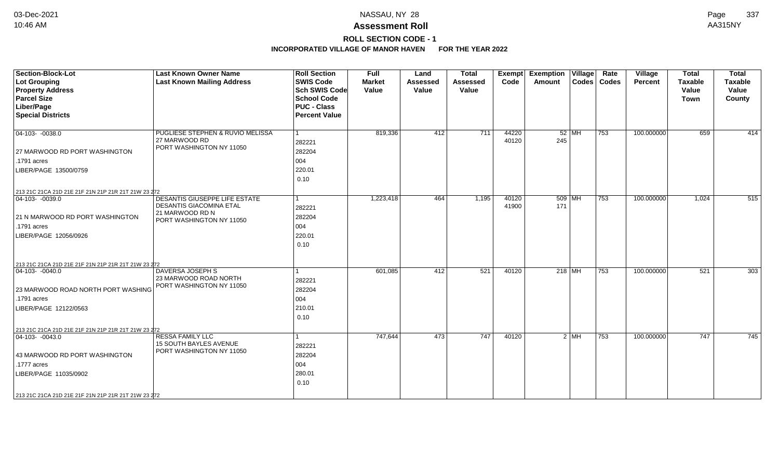# **ROLL SECTION CODE - 1**

| <b>Section-Block-Lot</b><br>Lot Grouping<br><b>Property Address</b><br><b>Parcel Size</b> | <b>Last Known Owner Name</b><br><b>Last Known Mailing Address</b> | <b>Roll Section</b><br><b>SWIS Code</b><br><b>Sch SWIS Code</b><br><b>School Code</b> | <b>Full</b><br><b>Market</b><br>Value | Land<br><b>Assessed</b><br>Value | <b>Total</b><br><b>Assessed</b><br>Value | <b>Exempt</b><br>Code | <b>Exemption Village</b><br>Amount |         | Rate<br>Codes   Codes | <b>Village</b><br>Percent | <b>Total</b><br><b>Taxable</b><br>Value<br><b>Town</b> | <b>Total</b><br>Taxable<br>Value<br>County |
|-------------------------------------------------------------------------------------------|-------------------------------------------------------------------|---------------------------------------------------------------------------------------|---------------------------------------|----------------------------------|------------------------------------------|-----------------------|------------------------------------|---------|-----------------------|---------------------------|--------------------------------------------------------|--------------------------------------------|
| Liber/Page                                                                                |                                                                   | <b>PUC - Class</b>                                                                    |                                       |                                  |                                          |                       |                                    |         |                       |                           |                                                        |                                            |
| <b>Special Districts</b>                                                                  |                                                                   | <b>Percent Value</b>                                                                  |                                       |                                  |                                          |                       |                                    |         |                       |                           |                                                        |                                            |
| $ 04-103-0038.0$                                                                          | PUGLIESE STEPHEN & RUVIO MELISSA<br>27 MARWOOD RD                 | l 1<br>282221                                                                         | 819,336                               | 412                              | 711                                      | 44220<br>40120        | 245                                | $52$ MH | 753                   | 100.000000                | 659                                                    | 414                                        |
| 27 MARWOOD RD PORT WASHINGTON                                                             | PORT WASHINGTON NY 11050                                          | 282204                                                                                |                                       |                                  |                                          |                       |                                    |         |                       |                           |                                                        |                                            |
| .1791 acres                                                                               |                                                                   | 004                                                                                   |                                       |                                  |                                          |                       |                                    |         |                       |                           |                                                        |                                            |
| LIBER/PAGE 13500/0759                                                                     |                                                                   | 220.01                                                                                |                                       |                                  |                                          |                       |                                    |         |                       |                           |                                                        |                                            |
|                                                                                           |                                                                   | 0.10                                                                                  |                                       |                                  |                                          |                       |                                    |         |                       |                           |                                                        |                                            |
| 213 21C 21CA 21D 21E 21F 21N 21P 21R 21T 21W 23 272                                       |                                                                   |                                                                                       |                                       |                                  |                                          |                       |                                    |         |                       |                           |                                                        |                                            |
| $\boxed{04-103 - 0039.0}$                                                                 | DESANTIS GIUSEPPE LIFE ESTATE<br><b>DESANTIS GIACOMINA ETAL</b>   | l 1<br>282221                                                                         | 1,223,418                             | 464                              | 1,195                                    | 40120<br>41900        | 509 MH<br>171                      |         | 753                   | 100.000000                | 1,024                                                  | 515                                        |
| 21 N MARWOOD RD PORT WASHINGTON                                                           | 21 MARWOOD RD N<br>PORT WASHINGTON NY 11050                       | 282204                                                                                |                                       |                                  |                                          |                       |                                    |         |                       |                           |                                                        |                                            |
| .1791 acres                                                                               |                                                                   | 004                                                                                   |                                       |                                  |                                          |                       |                                    |         |                       |                           |                                                        |                                            |
| LIBER/PAGE 12056/0926                                                                     |                                                                   | 220.01                                                                                |                                       |                                  |                                          |                       |                                    |         |                       |                           |                                                        |                                            |
|                                                                                           |                                                                   | 0.10                                                                                  |                                       |                                  |                                          |                       |                                    |         |                       |                           |                                                        |                                            |
|                                                                                           |                                                                   |                                                                                       |                                       |                                  |                                          |                       |                                    |         |                       |                           |                                                        |                                            |
| 213 21C 21CA 21D 21E 21F 21N 21P 21R 21T 21W 23 272                                       |                                                                   |                                                                                       |                                       |                                  |                                          |                       |                                    |         |                       |                           |                                                        |                                            |
| $ 04-103-0040.0$                                                                          | DAVERSA JOSEPH S<br>23 MARWOOD ROAD NORTH                         | 1                                                                                     | 601,085                               | 412                              | 521                                      | 40120                 | $218$ MH                           |         | 753                   | 100.000000                | 521                                                    | 303                                        |
|                                                                                           | PORT WASHINGTON NY 11050                                          | 282221                                                                                |                                       |                                  |                                          |                       |                                    |         |                       |                           |                                                        |                                            |
| 23 MARWOOD ROAD NORTH PORT WASHING<br>.1791 acres                                         |                                                                   | 282204                                                                                |                                       |                                  |                                          |                       |                                    |         |                       |                           |                                                        |                                            |
|                                                                                           |                                                                   | 004                                                                                   |                                       |                                  |                                          |                       |                                    |         |                       |                           |                                                        |                                            |
| LIBER/PAGE 12122/0563                                                                     |                                                                   | 210.01<br>0.10                                                                        |                                       |                                  |                                          |                       |                                    |         |                       |                           |                                                        |                                            |
|                                                                                           |                                                                   |                                                                                       |                                       |                                  |                                          |                       |                                    |         |                       |                           |                                                        |                                            |
| 213 21C 21CA 21D 21E 21F 21N 21P 21R 21T 21W 23 272                                       |                                                                   |                                                                                       |                                       |                                  |                                          |                       |                                    |         |                       |                           |                                                        |                                            |
| $ 04-103-0043.0$                                                                          | <b>RESSA FAMILY LLC</b><br><b>15 SOUTH BAYLES AVENUE</b>          | -1<br>282221                                                                          | 747,644                               | 473                              | 747                                      | 40120                 |                                    | $2$ MH  | 753                   | 100.000000                | 747                                                    | 745                                        |
| 43 MARWOOD RD PORT WASHINGTON                                                             | PORT WASHINGTON NY 11050                                          | 282204                                                                                |                                       |                                  |                                          |                       |                                    |         |                       |                           |                                                        |                                            |
| .1777 acres                                                                               |                                                                   | 004                                                                                   |                                       |                                  |                                          |                       |                                    |         |                       |                           |                                                        |                                            |
| LIBER/PAGE 11035/0902                                                                     |                                                                   | 280.01                                                                                |                                       |                                  |                                          |                       |                                    |         |                       |                           |                                                        |                                            |
|                                                                                           |                                                                   | 0.10                                                                                  |                                       |                                  |                                          |                       |                                    |         |                       |                           |                                                        |                                            |
| 213 21C 21CA 21D 21E 21F 21N 21P 21R 21T 21W 23 272                                       |                                                                   |                                                                                       |                                       |                                  |                                          |                       |                                    |         |                       |                           |                                                        |                                            |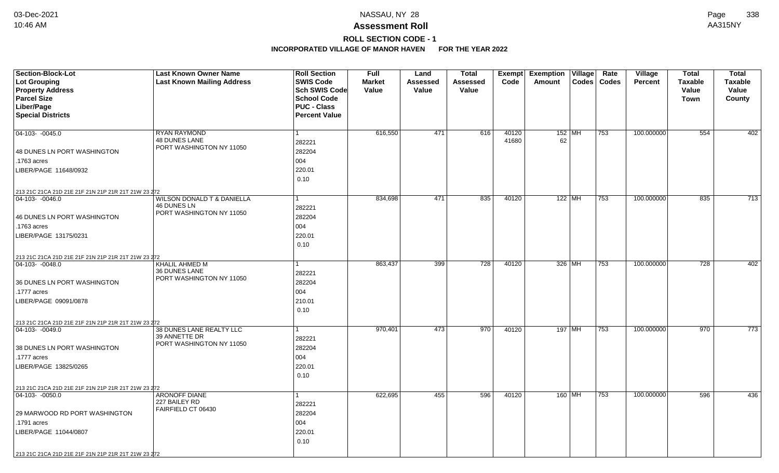## **ROLL SECTION CODE - 1**

| <b>Section-Block-Lot</b>                                                | <b>Last Known Owner Name</b>                | <b>Roll Section</b>  | <b>Full</b>   | Land            | <b>Total</b> |                | Exempt Exemption Village | Rate          | Village        | <b>Total</b>   | <b>Total</b>   |
|-------------------------------------------------------------------------|---------------------------------------------|----------------------|---------------|-----------------|--------------|----------------|--------------------------|---------------|----------------|----------------|----------------|
| <b>Lot Grouping</b>                                                     | <b>Last Known Mailing Address</b>           | <b>SWIS Code</b>     | <b>Market</b> | <b>Assessed</b> | Assessed     | Code           | Amount                   | Codes   Codes | <b>Percent</b> | <b>Taxable</b> | <b>Taxable</b> |
| <b>Property Address</b>                                                 |                                             | Sch SWIS Code        | Value         | Value           | Value        |                |                          |               |                | Value          | Value          |
| <b>Parcel Size</b>                                                      |                                             | <b>School Code</b>   |               |                 |              |                |                          |               |                | Town           | County         |
| Liber/Page                                                              |                                             | <b>PUC - Class</b>   |               |                 |              |                |                          |               |                |                |                |
| <b>Special Districts</b>                                                |                                             | <b>Percent Value</b> |               |                 |              |                |                          |               |                |                |                |
|                                                                         |                                             |                      |               |                 |              |                |                          |               |                |                |                |
| $ 04-103-0045.0$                                                        | <b>RYAN RAYMOND</b><br><b>48 DUNES LANE</b> |                      | 616,550       | 471             | 616          | 40120<br>41680 | $152$ MH<br>62           | 753           | 100.000000     | 554            | 402            |
|                                                                         | PORT WASHINGTON NY 11050                    | 282221               |               |                 |              |                |                          |               |                |                |                |
| 48 DUNES LN PORT WASHINGTON                                             |                                             | 282204               |               |                 |              |                |                          |               |                |                |                |
| .1763 acres                                                             |                                             | 004                  |               |                 |              |                |                          |               |                |                |                |
| LIBER/PAGE 11648/0932                                                   |                                             | 220.01               |               |                 |              |                |                          |               |                |                |                |
|                                                                         |                                             | 0.10                 |               |                 |              |                |                          |               |                |                |                |
| 213 21C 21CA 21D 21E 21F 21N 21P 21R 21T 21W 23 272                     |                                             |                      |               |                 |              |                |                          |               |                |                |                |
| 04-103- -0046.0                                                         | <b>WILSON DONALD T &amp; DANIELLA</b>       | 1                    | 834,698       | 471             | 835          | 40120          | $122$ MH                 | $ 753\rangle$ | 100.000000     | 835            | 713            |
|                                                                         | 46 DUNES LN<br>PORT WASHINGTON NY 11050     | 282221               |               |                 |              |                |                          |               |                |                |                |
| 46 DUNES LN PORT WASHINGTON                                             |                                             | 282204               |               |                 |              |                |                          |               |                |                |                |
| .1763 acres                                                             |                                             | 004                  |               |                 |              |                |                          |               |                |                |                |
| LIBER/PAGE 13175/0231                                                   |                                             | 220.01               |               |                 |              |                |                          |               |                |                |                |
|                                                                         |                                             | 0.10                 |               |                 |              |                |                          |               |                |                |                |
| 213 21C 21CA 21D 21E 21F 21N 21P 21R 21T 21W 23 272                     |                                             |                      |               |                 |              |                |                          |               |                |                |                |
| $ 04-103-0048.0$                                                        | <b>KHALIL AHMED M</b>                       |                      | 863,437       | 399             | 728          | 40120          | 326 MH                   | 753           | 100.000000     | 728            | 402            |
|                                                                         | 36 DUNES LANE                               | 282221               |               |                 |              |                |                          |               |                |                |                |
| 36 DUNES LN PORT WASHINGTON                                             | PORT WASHINGTON NY 11050                    | 282204               |               |                 |              |                |                          |               |                |                |                |
| .1777 acres                                                             |                                             | 004                  |               |                 |              |                |                          |               |                |                |                |
| LIBER/PAGE 09091/0878                                                   |                                             | 210.01               |               |                 |              |                |                          |               |                |                |                |
|                                                                         |                                             | 0.10                 |               |                 |              |                |                          |               |                |                |                |
| 213 21C 21CA 21D 21E 21F 21N 21P 21R 21T 21W 23 272                     |                                             |                      |               |                 |              |                |                          |               |                |                |                |
| $ 04-103-0049.0$                                                        | 38 DUNES LANE REALTY LLC                    |                      | 970,401       | 473             | 970          | 40120          | 197 MH                   | 753           | 100.000000     | 970            | 773            |
|                                                                         | 39 ANNETTE DR                               | 282221               |               |                 |              |                |                          |               |                |                |                |
| 38 DUNES LN PORT WASHINGTON                                             | PORT WASHINGTON NY 11050                    | 282204               |               |                 |              |                |                          |               |                |                |                |
| .1777 acres                                                             |                                             | 004                  |               |                 |              |                |                          |               |                |                |                |
| LIBER/PAGE 13825/0265                                                   |                                             | 220.01               |               |                 |              |                |                          |               |                |                |                |
|                                                                         |                                             | 0.10                 |               |                 |              |                |                          |               |                |                |                |
|                                                                         |                                             |                      |               |                 |              |                |                          |               |                |                |                |
| 213 21C 21CA 21D 21E 21F 21N 21P 21R 21T 21W 23 272<br>$ 04-103-0050.0$ | <b>ARONOFF DIANE</b>                        |                      | 622,695       | 455             | 596          | 40120          | 160 MH                   | 753           | 100.000000     | 596            | 436            |
|                                                                         | 227 BAILEY RD                               | 282221               |               |                 |              |                |                          |               |                |                |                |
| 29 MARWOOD RD PORT WASHINGTON                                           | FAIRFIELD CT 06430                          | 282204               |               |                 |              |                |                          |               |                |                |                |
| .1791 acres                                                             |                                             | 004                  |               |                 |              |                |                          |               |                |                |                |
| LIBER/PAGE 11044/0807                                                   |                                             | 220.01               |               |                 |              |                |                          |               |                |                |                |
|                                                                         |                                             | 0.10                 |               |                 |              |                |                          |               |                |                |                |
|                                                                         |                                             |                      |               |                 |              |                |                          |               |                |                |                |
| 213 21C 21CA 21D 21E 21F 21N 21P 21R 21T 21W 23 272                     |                                             |                      |               |                 |              |                |                          |               |                |                |                |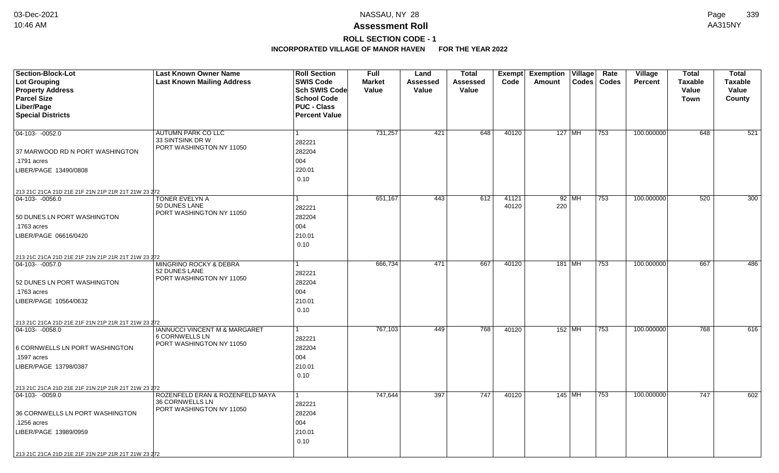# **ROLL SECTION CODE - 1**

| <b>Section-Block-Lot</b>                            | <b>Last Known Owner Name</b>                       | <b>Roll Section</b>               | <b>Full</b>            | Land              | <b>Total</b>      |       | Exempt Exemption Village |         | Rate          | Village        | <b>Total</b>            | <b>Total</b>            |
|-----------------------------------------------------|----------------------------------------------------|-----------------------------------|------------------------|-------------------|-------------------|-------|--------------------------|---------|---------------|----------------|-------------------------|-------------------------|
| <b>Lot Grouping</b><br><b>Property Address</b>      | <b>Last Known Mailing Address</b>                  | <b>SWIS Code</b><br>Sch SWIS Code | <b>Market</b><br>Value | Assessed<br>Value | Assessed<br>Value | Code  | Amount                   |         | Codes   Codes | <b>Percent</b> | <b>Taxable</b><br>Value | <b>Taxable</b><br>Value |
| <b>Parcel Size</b>                                  |                                                    | <b>School Code</b>                |                        |                   |                   |       |                          |         |               |                | <b>Town</b>             | County                  |
| Liber/Page                                          |                                                    | <b>PUC - Class</b>                |                        |                   |                   |       |                          |         |               |                |                         |                         |
| <b>Special Districts</b>                            |                                                    | <b>Percent Value</b>              |                        |                   |                   |       |                          |         |               |                |                         |                         |
|                                                     |                                                    |                                   |                        |                   |                   |       |                          |         |               |                |                         |                         |
| $04-103 - 0052.0$                                   | <b>AUTUMN PARK CO LLC</b>                          |                                   | 731,257                | 421               | 648               | 40120 | 127 MH                   |         | 753           | 100.000000     | 648                     | 521                     |
|                                                     | 33 SINTSINK DR W<br>PORT WASHINGTON NY 11050       | 282221                            |                        |                   |                   |       |                          |         |               |                |                         |                         |
| 37 MARWOOD RD N PORT WASHINGTON                     |                                                    | 282204                            |                        |                   |                   |       |                          |         |               |                |                         |                         |
| .1791 acres                                         |                                                    | 004                               |                        |                   |                   |       |                          |         |               |                |                         |                         |
| LIBER/PAGE 13490/0808                               |                                                    | 220.01                            |                        |                   |                   |       |                          |         |               |                |                         |                         |
|                                                     |                                                    | 0.10                              |                        |                   |                   |       |                          |         |               |                |                         |                         |
| 213 21C 21CA 21D 21E 21F 21N 21P 21R 21T 21W 23 272 |                                                    |                                   |                        |                   |                   |       |                          |         |               |                |                         |                         |
| $ 04-103-0056.0$                                    | TONER EVELYN A                                     |                                   | 651,167                | 443               | 612               | 41121 |                          | $92$ MH | 753           | 100.000000     | 520                     | 300                     |
|                                                     | 50 DUNES LANE<br>PORT WASHINGTON NY 11050          | 282221                            |                        |                   |                   | 40120 | 220                      |         |               |                |                         |                         |
| 50 DUNES LN PORT WASHINGTON                         |                                                    | 282204                            |                        |                   |                   |       |                          |         |               |                |                         |                         |
| .1763 acres                                         |                                                    | 004                               |                        |                   |                   |       |                          |         |               |                |                         |                         |
| LIBER/PAGE 06616/0420                               |                                                    | 210.01                            |                        |                   |                   |       |                          |         |               |                |                         |                         |
|                                                     |                                                    | 0.10                              |                        |                   |                   |       |                          |         |               |                |                         |                         |
| 213 21C 21CA 21D 21E 21F 21N 21P 21R 21T 21W 23 272 |                                                    |                                   |                        |                   |                   |       |                          |         |               |                |                         |                         |
| $ 04-103-0057.0$                                    | MINGRINO ROCKY & DEBRA                             |                                   | 666,734                | 471               | 667               | 40120 | 181 MH                   |         | 753           | 100.000000     | 667                     | 486                     |
|                                                     | 52 DUNES LANE<br>PORT WASHINGTON NY 11050          | 282221                            |                        |                   |                   |       |                          |         |               |                |                         |                         |
| 52 DUNES LN PORT WASHINGTON                         |                                                    | 282204                            |                        |                   |                   |       |                          |         |               |                |                         |                         |
| .1763 acres                                         |                                                    | 004                               |                        |                   |                   |       |                          |         |               |                |                         |                         |
| LIBER/PAGE 10564/0632                               |                                                    | 210.01                            |                        |                   |                   |       |                          |         |               |                |                         |                         |
|                                                     |                                                    | 0.10                              |                        |                   |                   |       |                          |         |               |                |                         |                         |
| 213 21C 21CA 21D 21E 21F 21N 21P 21R 21T 21W 23 272 |                                                    |                                   |                        |                   |                   |       |                          |         |               |                |                         |                         |
| $ 04-103-0058.0$                                    | <b>IANNUCCI VINCENT M &amp; MARGARET</b>           |                                   | 767,103                | 449               | 768               | 40120 | $152$ MH                 |         | 753           | 100.000000     | 768                     | 616                     |
|                                                     | <b>6 CORNWELLS LN</b><br>PORT WASHINGTON NY 11050  | 282221                            |                        |                   |                   |       |                          |         |               |                |                         |                         |
| 6 CORNWELLS LN PORT WASHINGTON                      |                                                    | 282204                            |                        |                   |                   |       |                          |         |               |                |                         |                         |
| .1597 acres                                         |                                                    | 004                               |                        |                   |                   |       |                          |         |               |                |                         |                         |
| LIBER/PAGE 13798/0387                               |                                                    | 210.01                            |                        |                   |                   |       |                          |         |               |                |                         |                         |
|                                                     |                                                    | 0.10                              |                        |                   |                   |       |                          |         |               |                |                         |                         |
| 213 21C 21CA 21D 21E 21F 21N 21P 21R 21T 21W 23 272 |                                                    |                                   |                        |                   |                   |       |                          |         |               |                |                         |                         |
| 04-103- -0059.0                                     | ROZENFELD ERAN & ROZENFELD MAYA<br>36 CORNWELLS LN |                                   | 747,644                | 397               | 747               | 40120 | 145   MH                 |         | 753           | 100.000000     | 747                     | 602                     |
|                                                     | PORT WASHINGTON NY 11050                           | 282221                            |                        |                   |                   |       |                          |         |               |                |                         |                         |
| 36 CORNWELLS LN PORT WASHINGTON                     |                                                    | 282204                            |                        |                   |                   |       |                          |         |               |                |                         |                         |
| .1256 acres                                         |                                                    | 004                               |                        |                   |                   |       |                          |         |               |                |                         |                         |
| LIBER/PAGE 13989/0959                               |                                                    | 210.01                            |                        |                   |                   |       |                          |         |               |                |                         |                         |
|                                                     |                                                    | 0.10                              |                        |                   |                   |       |                          |         |               |                |                         |                         |
| 213 21C 21CA 21D 21E 21F 21N 21P 21R 21T 21W 23 272 |                                                    |                                   |                        |                   |                   |       |                          |         |               |                |                         |                         |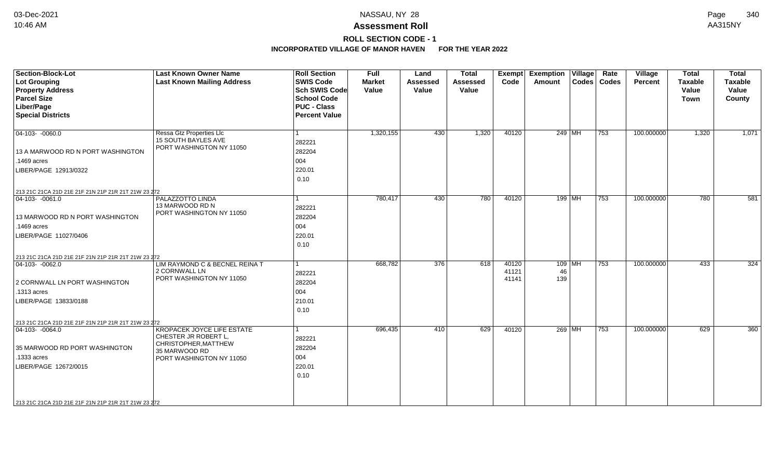# **ROLL SECTION CODE - 1**

| <b>Section-Block-Lot</b><br><b>Lot Grouping</b><br><b>Property Address</b><br><b>Parcel Size</b><br>Liber/Page<br><b>Special Districts</b>                                                              | <b>Last Known Owner Name</b><br><b>Last Known Mailing Address</b>                                                              | <b>Roll Section</b><br><b>SWIS Code</b><br><b>Sch SWIS Code</b><br><b>School Code</b><br><b>PUC - Class</b><br><b>Percent Value</b> | <b>Full</b><br><b>Market</b><br>Value | Land<br><b>Assessed</b><br>Value | <b>Total</b><br><b>Assessed</b><br>Value | Exempt<br>Code          | Rate<br><b>Exemption Village</b><br>Codes   Codes<br>Amount | Village<br><b>Percent</b> | <b>Total</b><br><b>Taxable</b><br>Value<br><b>Town</b> | <b>Total</b><br><b>Taxable</b><br>Value<br>County |
|---------------------------------------------------------------------------------------------------------------------------------------------------------------------------------------------------------|--------------------------------------------------------------------------------------------------------------------------------|-------------------------------------------------------------------------------------------------------------------------------------|---------------------------------------|----------------------------------|------------------------------------------|-------------------------|-------------------------------------------------------------|---------------------------|--------------------------------------------------------|---------------------------------------------------|
| $\boxed{04-103 - 0060.0}$<br>13 A MARWOOD RD N PORT WASHINGTON<br>.1469 acres<br>LIBER/PAGE 12913/0322                                                                                                  | Ressa Gtz Properties Llc<br><b>15 SOUTH BAYLES AVE</b><br>PORT WASHINGTON NY 11050                                             | 282221<br>282204<br>004<br>220.01<br>0.10                                                                                           | 1,320,155                             | 430                              | 1,320                                    | 40120                   | 249 MH<br>753                                               | 100.000000                | 1,320                                                  | 1,071                                             |
| 213 21C 21CA 21D 21E 21F 21N 21P 21R 21T 21W 23 272<br>$\boxed{04-103 - 0061.0}$<br>13 MARWOOD RD N PORT WASHINGTON<br>.1469 acres<br>LIBER/PAGE 11027/0406                                             | <b>PALAZZOTTO LINDA</b><br>13 MARWOOD RD N<br>PORT WASHINGTON NY 11050                                                         | 282221<br>282204<br>004<br>220.01<br>0.10                                                                                           | 780.417                               | 430                              | 780                                      | 40120                   | $199$ MH<br>753                                             | 100.000000                | 780                                                    | 581                                               |
| 213 21C 21CA 21D 21E 21F 21N 21P 21R 21T 21W 23 272<br>$\boxed{04-103 - 0062.0}$<br>2 CORNWALL LN PORT WASHINGTON<br>.1313 acres<br>LIBER/PAGE 13833/0188                                               | LIM RAYMOND C & BECNEL REINA T<br>2 CORNWALL LN<br>PORT WASHINGTON NY 11050                                                    | 1<br>282221<br>282204<br>004<br>210.01<br>0.10                                                                                      | 668,782                               | 376                              | 618                                      | 40120<br>41121<br>41141 | $109$ MH<br>753<br>46<br>139                                | 100.000000                | 433                                                    | 324                                               |
| 213 21C 21CA 21D 21E 21F 21N 21P 21R 21T 21W 23 272<br>$ 04-103-0064.0$<br>35 MARWOOD RD PORT WASHINGTON<br>.1333 acres<br>LIBER/PAGE 12672/0015<br>213 21C 21CA 21D 21E 21F 21N 21P 21R 21T 21W 23 272 | <b>KROPACEK JOYCE LIFE ESTATE</b><br>CHESTER JR ROBERT L,<br>CHRISTOPHER, MATTHEW<br>35 MARWOOD RD<br>PORT WASHINGTON NY 11050 | 282221<br>282204<br>004<br>220.01<br>0.10                                                                                           | 696,435                               | 410                              | 629                                      | 40120                   | 269 MH<br>753                                               | 100.000000                | 629                                                    | 360                                               |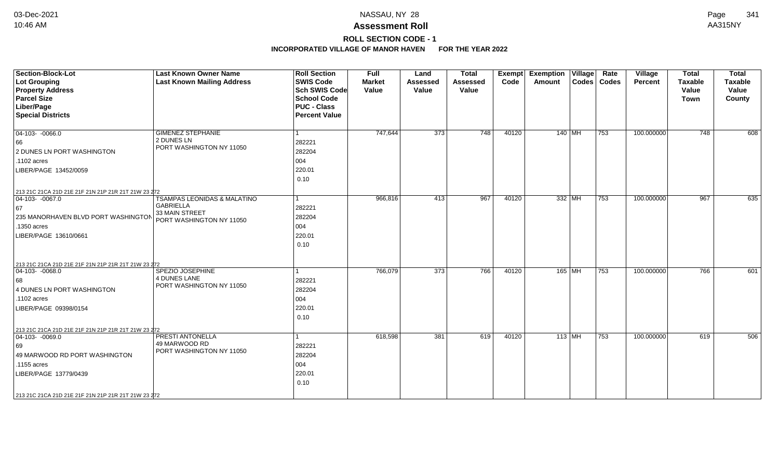# **ROLL SECTION CODE - 1**

| Section-Block-Lot<br>Lot Grouping<br><b>Property Address</b><br><b>Parcel Size</b><br>Liber/Page<br><b>Special Districts</b>                                                                                       | <b>Last Known Owner Name</b><br><b>Last Known Mailing Address</b>                             | <b>Roll Section</b><br><b>SWIS Code</b><br><b>Sch SWIS Code</b><br><b>School Code</b><br><b>PUC - Class</b><br><b>Percent Value</b> | <b>Full</b><br><b>Market</b><br>Value | Land<br><b>Assessed</b><br>Value | <b>Total</b><br><b>Assessed</b><br>Value | <b>Exempt</b><br>Code | <b>Exemption Village</b><br>Amount | Rate<br>Codes   Codes | <b>Village</b><br>Percent | <b>Total</b><br><b>Taxable</b><br>Value<br><b>Town</b> | <b>Total</b><br>Taxable<br>Value<br>County |
|--------------------------------------------------------------------------------------------------------------------------------------------------------------------------------------------------------------------|-----------------------------------------------------------------------------------------------|-------------------------------------------------------------------------------------------------------------------------------------|---------------------------------------|----------------------------------|------------------------------------------|-----------------------|------------------------------------|-----------------------|---------------------------|--------------------------------------------------------|--------------------------------------------|
| $\boxed{04-103 - 0066.0}$<br>66<br>2 DUNES LN PORT WASHINGTON<br>.1102 acres<br>LIBER/PAGE 13452/0059                                                                                                              | <b>GIMENEZ STEPHANIE</b><br>2 DUNES LN<br>PORT WASHINGTON NY 11050                            | l 1<br>282221<br>282204<br>004<br>220.01<br>0.10                                                                                    | 747,644                               | 373                              | 748                                      | 40120                 | 140 MH                             | 753                   | 100.000000                | 748                                                    | 608                                        |
| 213 21C 21CA 21D 21E 21F 21N 21P 21R 21T 21W 23 272<br>$\boxed{04-103 - 0067.0}$<br>67<br>235 MANORHAVEN BLVD PORT WASHINGTON<br>.1350 acres<br>LIBER/PAGE 13610/0661                                              | TSAMPAS LEONIDAS & MALATINO<br><b>GABRIELLA</b><br>33 MAIN STREET<br>PORT WASHINGTON NY 11050 | l 1<br>282221<br>282204<br>004<br>220.01<br>0.10                                                                                    | 966,816                               | 413                              | 967                                      | 40120                 | 332 MH                             | 753                   | 100.000000                | 967                                                    | 635                                        |
| 213 21C 21CA 21D 21E 21F 21N 21P 21R 21T 21W 23 272<br>$ 04-103-0068.0$<br>68<br>4 DUNES LN PORT WASHINGTON<br>.1102 acres<br>LIBER/PAGE 09398/0154                                                                | SPEZIO JOSEPHINE<br><b>4 DUNES LANE</b><br>PORT WASHINGTON NY 11050                           | 1<br>282221<br>282204<br>004<br>220.01<br>0.10                                                                                      | 766,079                               | $\overline{373}$                 | 766                                      | 40120                 | 165 MH                             | 753                   | 100.000000                | 766                                                    | 601                                        |
| 213 21C 21CA 21D 21E 21F 21N 21P 21R 21T 21W 23 272<br>$ 04 - 103 - -0069.0$<br>69<br>49 MARWOOD RD PORT WASHINGTON<br>.1155 acres<br>LIBER/PAGE 13779/0439<br>213 21C 21CA 21D 21E 21F 21N 21P 21R 21T 21W 23 272 | PRESTI ANTONELLA<br>49 MARWOOD RD<br>PORT WASHINGTON NY 11050                                 | 1<br>282221<br>282204<br>004<br>220.01<br>0.10                                                                                      | 618,598                               | 381                              | 619                                      | 40120                 | $113$ MH                           | 753                   | 100.000000                | 619                                                    | 506                                        |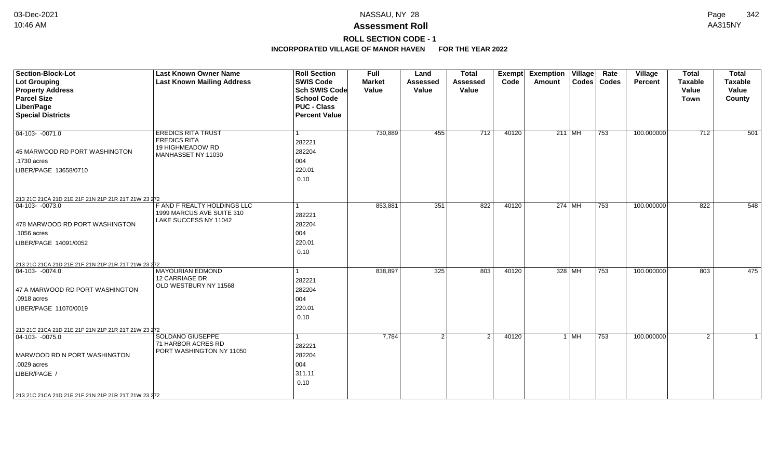# **ROLL SECTION CODE - 1**

| <b>Section-Block-Lot</b><br>Lot Grouping<br><b>Property Address</b><br><b>Parcel Size</b><br>Liber/Page<br><b>Special Districts</b>                                                                      | <b>Last Known Owner Name</b><br><b>Last Known Mailing Address</b>                          | <b>Roll Section</b><br><b>SWIS Code</b><br><b>Sch SWIS Code</b><br><b>School Code</b><br><b>PUC - Class</b><br><b>Percent Value</b> | <b>Full</b><br><b>Market</b><br>Value | Land<br><b>Assessed</b><br>Value | <b>Total</b><br><b>Assessed</b><br>Value | Exempt<br>Code | <b>Exemption Village</b><br>Amount |        | Rate<br>Codes   Codes | <b>Village</b><br>Percent | <b>Total</b><br><b>Taxable</b><br>Value<br><b>Town</b> | <b>Total</b><br><b>Taxable</b><br>Value<br>County |
|----------------------------------------------------------------------------------------------------------------------------------------------------------------------------------------------------------|--------------------------------------------------------------------------------------------|-------------------------------------------------------------------------------------------------------------------------------------|---------------------------------------|----------------------------------|------------------------------------------|----------------|------------------------------------|--------|-----------------------|---------------------------|--------------------------------------------------------|---------------------------------------------------|
| $\boxed{04-103 - 0071.0}$<br>45 MARWOOD RD PORT WASHINGTON<br>.1730 acres<br>LIBER/PAGE 13658/0710                                                                                                       | <b>EREDICS RITA TRUST</b><br><b>EREDICS RITA</b><br>19 HIGHMEADOW RD<br>MANHASSET NY 11030 | 282221<br>282204<br>004<br>220.01<br>0.10                                                                                           | 730,889                               | 455                              | 712                                      | 40120          | $211$ MH                           |        | 753                   | 100.000000                | 712                                                    | 501                                               |
| 213 21C 21CA 21D 21E 21F 21N 21P 21R 21T 21W 23 272<br>$ 04-103-0073.0$<br>478 MARWOOD RD PORT WASHINGTON<br>.1056 acres<br>LIBER/PAGE 14091/0052<br>213 21C 21CA 21D 21E 21F 21N 21P 21R 21T 21W 23 272 | F AND F REALTY HOLDINGS LLC<br>1999 MARCUS AVE SUITE 310<br>LAKE SUCCESS NY 11042          | 282221<br>282204<br>004<br>220.01<br>0.10                                                                                           | 853,881                               | 351                              | 822                                      | 40120          | 274 MH                             |        | 753                   | 100.000000                | 822                                                    | 548                                               |
| $ 04-103-0074.0$<br>47 A MARWOOD RD PORT WASHINGTON<br>.0918 acres<br>LIBER/PAGE 11070/0019<br>213 21C 21CA 21D 21E 21F 21N 21P 21R 21T 21W 23 272                                                       | <b>MAYOURIAN EDMOND</b><br><b>12 CARRIAGE DR</b><br>OLD WESTBURY NY 11568                  | 282221<br>282204<br>004<br>220.01<br>0.10                                                                                           | 838,897                               | 325                              | 803                                      | 40120          | 328 MH                             |        | 753                   | 100.000000                | 803                                                    | 475                                               |
| $\boxed{04-103 - 0075.0}$<br>MARWOOD RD N PORT WASHINGTON<br>.0029 acres<br>LIBER/PAGE /<br>213 21C 21CA 21D 21E 21F 21N 21P 21R 21T 21W 23 272                                                          | <b>SOLDANO GIUSEPPE</b><br>71 HARBOR ACRES RD<br>PORT WASHINGTON NY 11050                  | 282221<br>282204<br>004<br>311.11<br>0.10                                                                                           | 7,784                                 | $\mathfrak{p}$                   | 2                                        | 40120          |                                    | $1$ MH | 753                   | 100.000000                | $\overline{2}$                                         | $\mathbf{1}$                                      |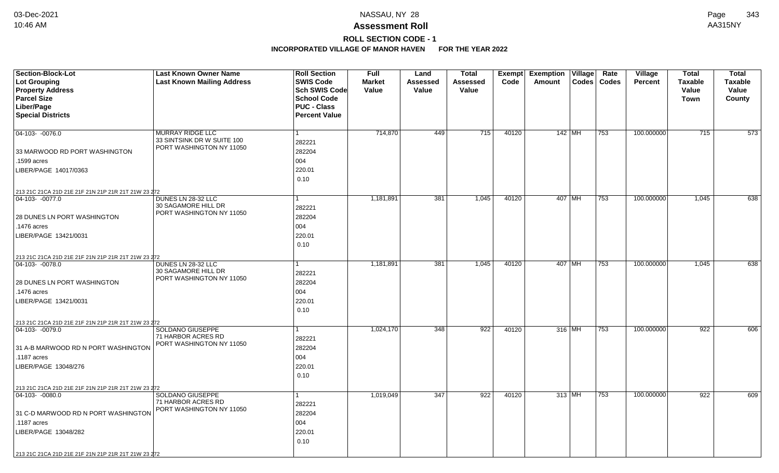## **ROLL SECTION CODE - 1**

| <b>Section-Block-Lot</b>                                                | <b>Last Known Owner Name</b>                           | <b>Roll Section</b>  | <b>Full</b>   | Land            | <b>Total</b>    | Exempt | Exemption   Village | Rate          | Village        | <b>Total</b>   | <b>Total</b>   |
|-------------------------------------------------------------------------|--------------------------------------------------------|----------------------|---------------|-----------------|-----------------|--------|---------------------|---------------|----------------|----------------|----------------|
| <b>Lot Grouping</b>                                                     | <b>Last Known Mailing Address</b>                      | <b>SWIS Code</b>     | <b>Market</b> | <b>Assessed</b> | <b>Assessed</b> | Code   | Amount              | Codes   Codes | <b>Percent</b> | <b>Taxable</b> | <b>Taxable</b> |
| <b>Property Address</b>                                                 |                                                        | <b>Sch SWIS Code</b> | Value         | Value           | Value           |        |                     |               |                | Value          | Value          |
| <b>Parcel Size</b>                                                      |                                                        | <b>School Code</b>   |               |                 |                 |        |                     |               |                | Town           | County         |
| Liber/Page                                                              |                                                        | <b>PUC - Class</b>   |               |                 |                 |        |                     |               |                |                |                |
| <b>Special Districts</b>                                                |                                                        | <b>Percent Value</b> |               |                 |                 |        |                     |               |                |                |                |
|                                                                         |                                                        |                      |               |                 |                 |        |                     |               |                |                |                |
| 04-103- -0076.0                                                         | MURRAY RIDGE LLC                                       | $\mathbf{1}$         | 714,870       | 449             | 715             | 40120  | $142$ MH            | 753           | 100.000000     | 715            | 573            |
|                                                                         | 33 SINTSINK DR W SUITE 100<br>PORT WASHINGTON NY 11050 | 282221               |               |                 |                 |        |                     |               |                |                |                |
| 33 MARWOOD RD PORT WASHINGTON                                           |                                                        | 282204               |               |                 |                 |        |                     |               |                |                |                |
| .1599 acres                                                             |                                                        | 004                  |               |                 |                 |        |                     |               |                |                |                |
| LIBER/PAGE 14017/0363                                                   |                                                        | 220.01               |               |                 |                 |        |                     |               |                |                |                |
|                                                                         |                                                        | 0.10                 |               |                 |                 |        |                     |               |                |                |                |
| 213 21C 21CA 21D 21E 21F 21N 21P 21R 21T 21W 23 272                     |                                                        |                      |               |                 |                 |        |                     |               |                |                |                |
| 04-103- -0077.0                                                         | DUNES LN 28-32 LLC                                     | $\mathbf{1}$         | 1,181,891     | 381             | 1,045           | 40120  | 407 MH              | $ 753\rangle$ | 100.000000     | 1,045          | 638            |
|                                                                         | 30 SAGAMORE HILL DR                                    | 282221               |               |                 |                 |        |                     |               |                |                |                |
| 28 DUNES LN PORT WASHINGTON                                             | PORT WASHINGTON NY 11050                               | 282204               |               |                 |                 |        |                     |               |                |                |                |
| .1476 acres                                                             |                                                        | 004                  |               |                 |                 |        |                     |               |                |                |                |
| LIBER/PAGE 13421/0031                                                   |                                                        | 220.01               |               |                 |                 |        |                     |               |                |                |                |
|                                                                         |                                                        | 0.10                 |               |                 |                 |        |                     |               |                |                |                |
|                                                                         |                                                        |                      |               |                 |                 |        |                     |               |                |                |                |
| 213 21C 21CA 21D 21E 21F 21N 21P 21R 21T 21W 23 272<br>$ 04-103-0078.0$ | DUNES LN 28-32 LLC                                     | 1                    | 1,181,891     | 381             | 1,045           | 40120  | 407 MH              | 753           | 100.000000     | 1,045          | 638            |
|                                                                         | 30 SAGAMORE HILL DR                                    | 282221               |               |                 |                 |        |                     |               |                |                |                |
| 28 DUNES LN PORT WASHINGTON                                             | PORT WASHINGTON NY 11050                               | 282204               |               |                 |                 |        |                     |               |                |                |                |
| .1476 acres                                                             |                                                        | 004                  |               |                 |                 |        |                     |               |                |                |                |
| LIBER/PAGE 13421/0031                                                   |                                                        | 220.01               |               |                 |                 |        |                     |               |                |                |                |
|                                                                         |                                                        | 0.10                 |               |                 |                 |        |                     |               |                |                |                |
|                                                                         |                                                        |                      |               |                 |                 |        |                     |               |                |                |                |
| 213 21C 21CA 21D 21E 21F 21N 21P 21R 21T 21W 23 272<br>$ 04-103-0079.0$ | <b>SOLDANO GIUSEPPE</b>                                | 1.                   | 1,024,170     | 348             | 922             | 40120  | 316 MH              | 753           | 100.000000     | 922            | 606            |
|                                                                         | 71 HARBOR ACRES RD                                     | 282221               |               |                 |                 |        |                     |               |                |                |                |
| 31 A-B MARWOOD RD N PORT WASHINGTON                                     | PORT WASHINGTON NY 11050                               | 282204               |               |                 |                 |        |                     |               |                |                |                |
| .1187 acres                                                             |                                                        | 004                  |               |                 |                 |        |                     |               |                |                |                |
| LIBER/PAGE 13048/276                                                    |                                                        | 220.01               |               |                 |                 |        |                     |               |                |                |                |
|                                                                         |                                                        | 0.10                 |               |                 |                 |        |                     |               |                |                |                |
|                                                                         |                                                        |                      |               |                 |                 |        |                     |               |                |                |                |
| 213 21C 21CA 21D 21E 21F 21N 21P 21R 21T 21W 23 272<br>$ 04-103-0080.0$ | SOLDANO GIUSEPPE                                       | 1                    | 1,019,049     | 347             | 922             | 40120  | $313$ MH            | 753           | 100.000000     | 922            | 609            |
|                                                                         | 71 HARBOR ACRES RD                                     |                      |               |                 |                 |        |                     |               |                |                |                |
|                                                                         | PORT WASHINGTON NY 11050                               | 282221               |               |                 |                 |        |                     |               |                |                |                |
| 31 C-D MARWOOD RD N PORT WASHINGTON                                     |                                                        | 282204               |               |                 |                 |        |                     |               |                |                |                |
| .1187 acres                                                             |                                                        | 004                  |               |                 |                 |        |                     |               |                |                |                |
| LIBER/PAGE 13048/282                                                    |                                                        | 220.01               |               |                 |                 |        |                     |               |                |                |                |
|                                                                         |                                                        | 0.10                 |               |                 |                 |        |                     |               |                |                |                |
| 213 21C 21CA 21D 21E 21F 21N 21P 21R 21T 21W 23 272                     |                                                        |                      |               |                 |                 |        |                     |               |                |                |                |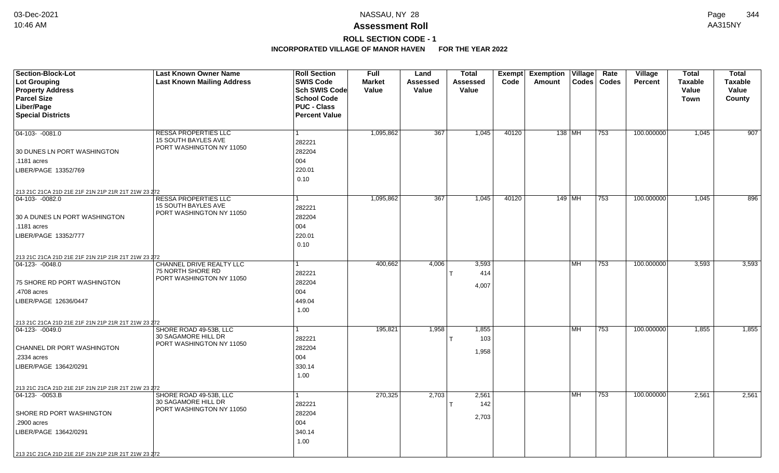# **ROLL SECTION CODE - 1**

| Lot Grouping<br><b>Last Known Mailing Address</b><br>Codes   Codes<br><b>Taxable</b><br><b>Taxable</b><br><b>Market</b><br><b>Assessed</b><br>Assessed<br>Code<br>Amount<br><b>Percent</b><br><b>Property Address</b><br>Sch SWIS Code<br>Value<br>Value<br>Value<br>Value<br>Value<br><b>Parcel Size</b><br><b>School Code</b><br>Town<br>County<br>Liber/Page<br><b>PUC - Class</b><br><b>Special Districts</b><br><b>Percent Value</b><br><b>RESSA PROPERTIES LLC</b><br>1,095,862<br>367<br>1,045<br>40120<br>138 MH<br>100.000000<br>$ 04 - 103 - -0081.0$<br>753<br>1,045<br>1<br><b>15 SOUTH BAYLES AVE</b><br>282221<br>PORT WASHINGTON NY 11050<br>282204<br>30 DUNES LN PORT WASHINGTON<br>004<br>.1181 acres<br>220.01<br>LIBER/PAGE 13352/769<br>0.10<br>213 21C 21CA 21D 21E 21F 21N 21P 21R 21T 21W 23 272<br>1,095,862<br>367<br>1,045<br>40120<br>149 MH<br>$ 753\rangle$<br>100.000000<br>1,045<br>04-103- -0082.0<br>RESSA PROPERTIES LLC<br>15 SOUTH BAYLES AVE<br>282221<br>PORT WASHINGTON NY 11050<br>282204<br>30 A DUNES LN PORT WASHINGTON<br>004<br>.1181 acres<br>220.01<br>LIBER/PAGE 13352/777<br>0.10<br>213 21C 21CA 21D 21E 21F 21N 21P 21R 21T 21W 23 272<br>CHANNEL DRIVE REALTY LLC<br>400,662<br>4,006<br>3,593<br><b>MH</b><br>100.000000<br>3,593<br>$ 04-123-0048.0$<br>753<br>75 NORTH SHORE RD<br>414<br>282221<br>PORT WASHINGTON NY 11050<br>282204<br>75 SHORE RD PORT WASHINGTON<br>4,007<br>004<br>.4708 acres<br>449.04<br>LIBER/PAGE 12636/0447<br>1.00<br>213 21C 21CA 21D 21E 21F 21N 21P 21R 21T 21W 23 272<br>SHORE ROAD 49-53B, LLC<br>195,821<br>1,958<br>1,855<br>100.000000<br>1,855<br>$ 04-123-0049.0$<br><b>MH</b><br>753<br>30 SAGAMORE HILL DR<br>103<br>282221<br>т<br>PORT WASHINGTON NY 11050<br>CHANNEL DR PORT WASHINGTON<br>282204<br>1,958<br>004<br>.2334 acres<br>LIBER/PAGE 13642/0291<br>330.14<br>1.00<br>213 21C 21CA 21D 21E 21F 21N 21P 21R 21T 21W 23 272<br>SHORE ROAD 49-53B, LLC<br>270,325<br>2,703<br>2,561<br><b>MH</b><br>100.000000<br>2,561<br>$ 04-123-0053.B$<br>753<br>30 SAGAMORE HILL DR<br>142<br>282221<br>PORT WASHINGTON NY 11050<br>282204<br>SHORE RD PORT WASHINGTON<br>2,703<br>.2900 acres<br>004 | <b>Section-Block-Lot</b> | <b>Last Known Owner Name</b> | <b>Roll Section</b> | <b>Full</b> | Land | <b>Total</b> | Exempt Exemption Village | Rate | Village | <b>Total</b> | <b>Total</b> |
|-------------------------------------------------------------------------------------------------------------------------------------------------------------------------------------------------------------------------------------------------------------------------------------------------------------------------------------------------------------------------------------------------------------------------------------------------------------------------------------------------------------------------------------------------------------------------------------------------------------------------------------------------------------------------------------------------------------------------------------------------------------------------------------------------------------------------------------------------------------------------------------------------------------------------------------------------------------------------------------------------------------------------------------------------------------------------------------------------------------------------------------------------------------------------------------------------------------------------------------------------------------------------------------------------------------------------------------------------------------------------------------------------------------------------------------------------------------------------------------------------------------------------------------------------------------------------------------------------------------------------------------------------------------------------------------------------------------------------------------------------------------------------------------------------------------------------------------------------------------------------------------------------------------------------------------------------------------------------------------------------------------------------------------------------------------------------------------------------------------------------------------------------------------------------------------------------------|--------------------------|------------------------------|---------------------|-------------|------|--------------|--------------------------|------|---------|--------------|--------------|
| 907<br>896<br>3,593<br>1,855<br>2,561                                                                                                                                                                                                                                                                                                                                                                                                                                                                                                                                                                                                                                                                                                                                                                                                                                                                                                                                                                                                                                                                                                                                                                                                                                                                                                                                                                                                                                                                                                                                                                                                                                                                                                                                                                                                                                                                                                                                                                                                                                                                                                                                                                 |                          |                              | <b>SWIS Code</b>    |             |      |              |                          |      |         |              |              |
|                                                                                                                                                                                                                                                                                                                                                                                                                                                                                                                                                                                                                                                                                                                                                                                                                                                                                                                                                                                                                                                                                                                                                                                                                                                                                                                                                                                                                                                                                                                                                                                                                                                                                                                                                                                                                                                                                                                                                                                                                                                                                                                                                                                                       |                          |                              |                     |             |      |              |                          |      |         |              |              |
|                                                                                                                                                                                                                                                                                                                                                                                                                                                                                                                                                                                                                                                                                                                                                                                                                                                                                                                                                                                                                                                                                                                                                                                                                                                                                                                                                                                                                                                                                                                                                                                                                                                                                                                                                                                                                                                                                                                                                                                                                                                                                                                                                                                                       |                          |                              |                     |             |      |              |                          |      |         |              |              |
|                                                                                                                                                                                                                                                                                                                                                                                                                                                                                                                                                                                                                                                                                                                                                                                                                                                                                                                                                                                                                                                                                                                                                                                                                                                                                                                                                                                                                                                                                                                                                                                                                                                                                                                                                                                                                                                                                                                                                                                                                                                                                                                                                                                                       |                          |                              |                     |             |      |              |                          |      |         |              |              |
|                                                                                                                                                                                                                                                                                                                                                                                                                                                                                                                                                                                                                                                                                                                                                                                                                                                                                                                                                                                                                                                                                                                                                                                                                                                                                                                                                                                                                                                                                                                                                                                                                                                                                                                                                                                                                                                                                                                                                                                                                                                                                                                                                                                                       |                          |                              |                     |             |      |              |                          |      |         |              |              |
|                                                                                                                                                                                                                                                                                                                                                                                                                                                                                                                                                                                                                                                                                                                                                                                                                                                                                                                                                                                                                                                                                                                                                                                                                                                                                                                                                                                                                                                                                                                                                                                                                                                                                                                                                                                                                                                                                                                                                                                                                                                                                                                                                                                                       |                          |                              |                     |             |      |              |                          |      |         |              |              |
|                                                                                                                                                                                                                                                                                                                                                                                                                                                                                                                                                                                                                                                                                                                                                                                                                                                                                                                                                                                                                                                                                                                                                                                                                                                                                                                                                                                                                                                                                                                                                                                                                                                                                                                                                                                                                                                                                                                                                                                                                                                                                                                                                                                                       |                          |                              |                     |             |      |              |                          |      |         |              |              |
|                                                                                                                                                                                                                                                                                                                                                                                                                                                                                                                                                                                                                                                                                                                                                                                                                                                                                                                                                                                                                                                                                                                                                                                                                                                                                                                                                                                                                                                                                                                                                                                                                                                                                                                                                                                                                                                                                                                                                                                                                                                                                                                                                                                                       |                          |                              |                     |             |      |              |                          |      |         |              |              |
|                                                                                                                                                                                                                                                                                                                                                                                                                                                                                                                                                                                                                                                                                                                                                                                                                                                                                                                                                                                                                                                                                                                                                                                                                                                                                                                                                                                                                                                                                                                                                                                                                                                                                                                                                                                                                                                                                                                                                                                                                                                                                                                                                                                                       |                          |                              |                     |             |      |              |                          |      |         |              |              |
|                                                                                                                                                                                                                                                                                                                                                                                                                                                                                                                                                                                                                                                                                                                                                                                                                                                                                                                                                                                                                                                                                                                                                                                                                                                                                                                                                                                                                                                                                                                                                                                                                                                                                                                                                                                                                                                                                                                                                                                                                                                                                                                                                                                                       |                          |                              |                     |             |      |              |                          |      |         |              |              |
|                                                                                                                                                                                                                                                                                                                                                                                                                                                                                                                                                                                                                                                                                                                                                                                                                                                                                                                                                                                                                                                                                                                                                                                                                                                                                                                                                                                                                                                                                                                                                                                                                                                                                                                                                                                                                                                                                                                                                                                                                                                                                                                                                                                                       |                          |                              |                     |             |      |              |                          |      |         |              |              |
|                                                                                                                                                                                                                                                                                                                                                                                                                                                                                                                                                                                                                                                                                                                                                                                                                                                                                                                                                                                                                                                                                                                                                                                                                                                                                                                                                                                                                                                                                                                                                                                                                                                                                                                                                                                                                                                                                                                                                                                                                                                                                                                                                                                                       |                          |                              |                     |             |      |              |                          |      |         |              |              |
|                                                                                                                                                                                                                                                                                                                                                                                                                                                                                                                                                                                                                                                                                                                                                                                                                                                                                                                                                                                                                                                                                                                                                                                                                                                                                                                                                                                                                                                                                                                                                                                                                                                                                                                                                                                                                                                                                                                                                                                                                                                                                                                                                                                                       |                          |                              |                     |             |      |              |                          |      |         |              |              |
|                                                                                                                                                                                                                                                                                                                                                                                                                                                                                                                                                                                                                                                                                                                                                                                                                                                                                                                                                                                                                                                                                                                                                                                                                                                                                                                                                                                                                                                                                                                                                                                                                                                                                                                                                                                                                                                                                                                                                                                                                                                                                                                                                                                                       |                          |                              |                     |             |      |              |                          |      |         |              |              |
|                                                                                                                                                                                                                                                                                                                                                                                                                                                                                                                                                                                                                                                                                                                                                                                                                                                                                                                                                                                                                                                                                                                                                                                                                                                                                                                                                                                                                                                                                                                                                                                                                                                                                                                                                                                                                                                                                                                                                                                                                                                                                                                                                                                                       |                          |                              |                     |             |      |              |                          |      |         |              |              |
|                                                                                                                                                                                                                                                                                                                                                                                                                                                                                                                                                                                                                                                                                                                                                                                                                                                                                                                                                                                                                                                                                                                                                                                                                                                                                                                                                                                                                                                                                                                                                                                                                                                                                                                                                                                                                                                                                                                                                                                                                                                                                                                                                                                                       |                          |                              |                     |             |      |              |                          |      |         |              |              |
|                                                                                                                                                                                                                                                                                                                                                                                                                                                                                                                                                                                                                                                                                                                                                                                                                                                                                                                                                                                                                                                                                                                                                                                                                                                                                                                                                                                                                                                                                                                                                                                                                                                                                                                                                                                                                                                                                                                                                                                                                                                                                                                                                                                                       |                          |                              |                     |             |      |              |                          |      |         |              |              |
|                                                                                                                                                                                                                                                                                                                                                                                                                                                                                                                                                                                                                                                                                                                                                                                                                                                                                                                                                                                                                                                                                                                                                                                                                                                                                                                                                                                                                                                                                                                                                                                                                                                                                                                                                                                                                                                                                                                                                                                                                                                                                                                                                                                                       |                          |                              |                     |             |      |              |                          |      |         |              |              |
|                                                                                                                                                                                                                                                                                                                                                                                                                                                                                                                                                                                                                                                                                                                                                                                                                                                                                                                                                                                                                                                                                                                                                                                                                                                                                                                                                                                                                                                                                                                                                                                                                                                                                                                                                                                                                                                                                                                                                                                                                                                                                                                                                                                                       |                          |                              |                     |             |      |              |                          |      |         |              |              |
|                                                                                                                                                                                                                                                                                                                                                                                                                                                                                                                                                                                                                                                                                                                                                                                                                                                                                                                                                                                                                                                                                                                                                                                                                                                                                                                                                                                                                                                                                                                                                                                                                                                                                                                                                                                                                                                                                                                                                                                                                                                                                                                                                                                                       |                          |                              |                     |             |      |              |                          |      |         |              |              |
|                                                                                                                                                                                                                                                                                                                                                                                                                                                                                                                                                                                                                                                                                                                                                                                                                                                                                                                                                                                                                                                                                                                                                                                                                                                                                                                                                                                                                                                                                                                                                                                                                                                                                                                                                                                                                                                                                                                                                                                                                                                                                                                                                                                                       |                          |                              |                     |             |      |              |                          |      |         |              |              |
|                                                                                                                                                                                                                                                                                                                                                                                                                                                                                                                                                                                                                                                                                                                                                                                                                                                                                                                                                                                                                                                                                                                                                                                                                                                                                                                                                                                                                                                                                                                                                                                                                                                                                                                                                                                                                                                                                                                                                                                                                                                                                                                                                                                                       |                          |                              |                     |             |      |              |                          |      |         |              |              |
|                                                                                                                                                                                                                                                                                                                                                                                                                                                                                                                                                                                                                                                                                                                                                                                                                                                                                                                                                                                                                                                                                                                                                                                                                                                                                                                                                                                                                                                                                                                                                                                                                                                                                                                                                                                                                                                                                                                                                                                                                                                                                                                                                                                                       |                          |                              |                     |             |      |              |                          |      |         |              |              |
|                                                                                                                                                                                                                                                                                                                                                                                                                                                                                                                                                                                                                                                                                                                                                                                                                                                                                                                                                                                                                                                                                                                                                                                                                                                                                                                                                                                                                                                                                                                                                                                                                                                                                                                                                                                                                                                                                                                                                                                                                                                                                                                                                                                                       |                          |                              |                     |             |      |              |                          |      |         |              |              |
|                                                                                                                                                                                                                                                                                                                                                                                                                                                                                                                                                                                                                                                                                                                                                                                                                                                                                                                                                                                                                                                                                                                                                                                                                                                                                                                                                                                                                                                                                                                                                                                                                                                                                                                                                                                                                                                                                                                                                                                                                                                                                                                                                                                                       |                          |                              |                     |             |      |              |                          |      |         |              |              |
|                                                                                                                                                                                                                                                                                                                                                                                                                                                                                                                                                                                                                                                                                                                                                                                                                                                                                                                                                                                                                                                                                                                                                                                                                                                                                                                                                                                                                                                                                                                                                                                                                                                                                                                                                                                                                                                                                                                                                                                                                                                                                                                                                                                                       |                          |                              |                     |             |      |              |                          |      |         |              |              |
|                                                                                                                                                                                                                                                                                                                                                                                                                                                                                                                                                                                                                                                                                                                                                                                                                                                                                                                                                                                                                                                                                                                                                                                                                                                                                                                                                                                                                                                                                                                                                                                                                                                                                                                                                                                                                                                                                                                                                                                                                                                                                                                                                                                                       |                          |                              |                     |             |      |              |                          |      |         |              |              |
|                                                                                                                                                                                                                                                                                                                                                                                                                                                                                                                                                                                                                                                                                                                                                                                                                                                                                                                                                                                                                                                                                                                                                                                                                                                                                                                                                                                                                                                                                                                                                                                                                                                                                                                                                                                                                                                                                                                                                                                                                                                                                                                                                                                                       |                          |                              |                     |             |      |              |                          |      |         |              |              |
|                                                                                                                                                                                                                                                                                                                                                                                                                                                                                                                                                                                                                                                                                                                                                                                                                                                                                                                                                                                                                                                                                                                                                                                                                                                                                                                                                                                                                                                                                                                                                                                                                                                                                                                                                                                                                                                                                                                                                                                                                                                                                                                                                                                                       |                          |                              |                     |             |      |              |                          |      |         |              |              |
|                                                                                                                                                                                                                                                                                                                                                                                                                                                                                                                                                                                                                                                                                                                                                                                                                                                                                                                                                                                                                                                                                                                                                                                                                                                                                                                                                                                                                                                                                                                                                                                                                                                                                                                                                                                                                                                                                                                                                                                                                                                                                                                                                                                                       |                          |                              |                     |             |      |              |                          |      |         |              |              |
|                                                                                                                                                                                                                                                                                                                                                                                                                                                                                                                                                                                                                                                                                                                                                                                                                                                                                                                                                                                                                                                                                                                                                                                                                                                                                                                                                                                                                                                                                                                                                                                                                                                                                                                                                                                                                                                                                                                                                                                                                                                                                                                                                                                                       |                          |                              |                     |             |      |              |                          |      |         |              |              |
|                                                                                                                                                                                                                                                                                                                                                                                                                                                                                                                                                                                                                                                                                                                                                                                                                                                                                                                                                                                                                                                                                                                                                                                                                                                                                                                                                                                                                                                                                                                                                                                                                                                                                                                                                                                                                                                                                                                                                                                                                                                                                                                                                                                                       |                          |                              |                     |             |      |              |                          |      |         |              |              |
|                                                                                                                                                                                                                                                                                                                                                                                                                                                                                                                                                                                                                                                                                                                                                                                                                                                                                                                                                                                                                                                                                                                                                                                                                                                                                                                                                                                                                                                                                                                                                                                                                                                                                                                                                                                                                                                                                                                                                                                                                                                                                                                                                                                                       |                          |                              |                     |             |      |              |                          |      |         |              |              |
|                                                                                                                                                                                                                                                                                                                                                                                                                                                                                                                                                                                                                                                                                                                                                                                                                                                                                                                                                                                                                                                                                                                                                                                                                                                                                                                                                                                                                                                                                                                                                                                                                                                                                                                                                                                                                                                                                                                                                                                                                                                                                                                                                                                                       |                          |                              |                     |             |      |              |                          |      |         |              |              |
|                                                                                                                                                                                                                                                                                                                                                                                                                                                                                                                                                                                                                                                                                                                                                                                                                                                                                                                                                                                                                                                                                                                                                                                                                                                                                                                                                                                                                                                                                                                                                                                                                                                                                                                                                                                                                                                                                                                                                                                                                                                                                                                                                                                                       |                          |                              |                     |             |      |              |                          |      |         |              |              |
|                                                                                                                                                                                                                                                                                                                                                                                                                                                                                                                                                                                                                                                                                                                                                                                                                                                                                                                                                                                                                                                                                                                                                                                                                                                                                                                                                                                                                                                                                                                                                                                                                                                                                                                                                                                                                                                                                                                                                                                                                                                                                                                                                                                                       |                          |                              |                     |             |      |              |                          |      |         |              |              |
|                                                                                                                                                                                                                                                                                                                                                                                                                                                                                                                                                                                                                                                                                                                                                                                                                                                                                                                                                                                                                                                                                                                                                                                                                                                                                                                                                                                                                                                                                                                                                                                                                                                                                                                                                                                                                                                                                                                                                                                                                                                                                                                                                                                                       |                          |                              |                     |             |      |              |                          |      |         |              |              |
|                                                                                                                                                                                                                                                                                                                                                                                                                                                                                                                                                                                                                                                                                                                                                                                                                                                                                                                                                                                                                                                                                                                                                                                                                                                                                                                                                                                                                                                                                                                                                                                                                                                                                                                                                                                                                                                                                                                                                                                                                                                                                                                                                                                                       |                          |                              |                     |             |      |              |                          |      |         |              |              |
| 340.14<br>LIBER/PAGE 13642/0291                                                                                                                                                                                                                                                                                                                                                                                                                                                                                                                                                                                                                                                                                                                                                                                                                                                                                                                                                                                                                                                                                                                                                                                                                                                                                                                                                                                                                                                                                                                                                                                                                                                                                                                                                                                                                                                                                                                                                                                                                                                                                                                                                                       |                          |                              |                     |             |      |              |                          |      |         |              |              |
| 1.00                                                                                                                                                                                                                                                                                                                                                                                                                                                                                                                                                                                                                                                                                                                                                                                                                                                                                                                                                                                                                                                                                                                                                                                                                                                                                                                                                                                                                                                                                                                                                                                                                                                                                                                                                                                                                                                                                                                                                                                                                                                                                                                                                                                                  |                          |                              |                     |             |      |              |                          |      |         |              |              |
| 213 21C 21CA 21D 21E 21F 21N 21P 21R 21T 21W 23 272                                                                                                                                                                                                                                                                                                                                                                                                                                                                                                                                                                                                                                                                                                                                                                                                                                                                                                                                                                                                                                                                                                                                                                                                                                                                                                                                                                                                                                                                                                                                                                                                                                                                                                                                                                                                                                                                                                                                                                                                                                                                                                                                                   |                          |                              |                     |             |      |              |                          |      |         |              |              |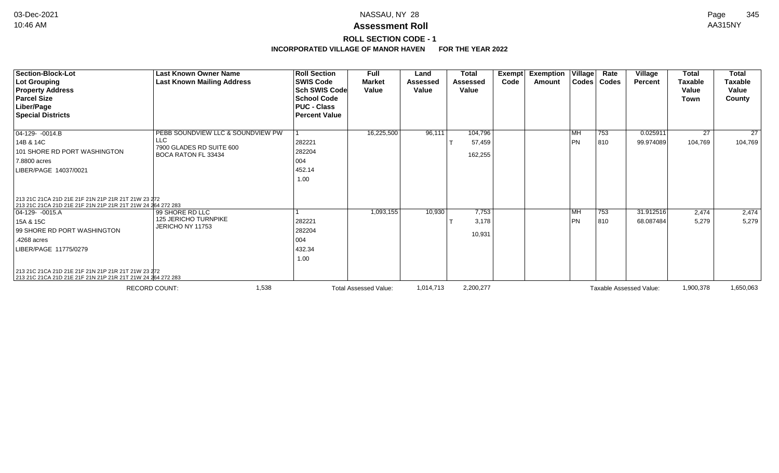# **ROLL SECTION CODE - 1**

| <b>Section-Block-Lot</b><br><b>Lot Grouping</b><br><b>Property Address</b><br><b>Parcel Size</b><br>Liber/Page<br><b>Special Districts</b> | Last Known Owner Name<br><b>Last Known Mailing Address</b>           | <b>Roll Section</b><br><b>SWIS Code</b><br><b>Sch SWIS Code</b><br><b>School Code</b><br><b>PUC - Class</b><br><b>Percent Value</b> | Full<br><b>Market</b><br>Value | Land<br><b>Assessed</b><br>Value | <b>Total</b><br><b>Assessed</b><br>Value | Exempt<br>Code | <b>Exemption Village</b><br>Amount |           | Rate<br>Codes   Codes | Village<br>Percent      | <b>Total</b><br><b>Taxable</b><br>Value<br>Town | <b>Total</b><br><b>Taxable</b><br>Value<br>County |
|--------------------------------------------------------------------------------------------------------------------------------------------|----------------------------------------------------------------------|-------------------------------------------------------------------------------------------------------------------------------------|--------------------------------|----------------------------------|------------------------------------------|----------------|------------------------------------|-----------|-----------------------|-------------------------|-------------------------------------------------|---------------------------------------------------|
| 04-129- -0014.B                                                                                                                            | PEBB SOUNDVIEW LLC & SOUNDVIEW PW                                    |                                                                                                                                     | 16,225,500                     | 96,111                           | 104,796                                  |                |                                    | <b>MH</b> | 753                   | 0.025911                | 27                                              | $\overline{27}$                                   |
| 14B & 14C<br>101 SHORE RD PORT WASHINGTON<br>7.8800 acres<br>LIBER/PAGE 14037/0021                                                         | <b>LLC</b><br>7900 GLADES RD SUITE 600<br><b>BOCA RATON FL 33434</b> | 282221<br>282204<br>004<br>452.14<br>1.00                                                                                           |                                |                                  | 57,459<br>162,255                        |                |                                    | PN        | 810                   | 99.974089               | 104,769                                         | 104,769                                           |
| 213 21C 21CA 21D 21E 21F 21N 21P 21R 21T 21W 23 272<br>213 21C 21CA 21D 21E 21F 21N 21P 21R 21T 21W 24 264 272 283                         |                                                                      |                                                                                                                                     |                                |                                  |                                          |                |                                    |           |                       |                         |                                                 |                                                   |
| $ 04-129-0015.A$                                                                                                                           | 99 SHORE RD LLC                                                      |                                                                                                                                     | 1,093,155                      | 10,930                           | 7,753                                    |                |                                    | <b>MH</b> | 753                   | 31.912516               | 2,474                                           | 2,474                                             |
| 15A & 15C<br>99 SHORE RD PORT WASHINGTON                                                                                                   | <b>125 JERICHO TURNPIKE</b><br>JERICHO NY 11753                      | 282221<br>282204                                                                                                                    |                                |                                  | 3,178<br>10,931                          |                |                                    | PN        | 810                   | 68.087484               | 5,279                                           | 5,279                                             |
| .4268 acres                                                                                                                                |                                                                      | 004                                                                                                                                 |                                |                                  |                                          |                |                                    |           |                       |                         |                                                 |                                                   |
| LIBER/PAGE 11775/0279                                                                                                                      |                                                                      | 432.34<br>1.00                                                                                                                      |                                |                                  |                                          |                |                                    |           |                       |                         |                                                 |                                                   |
| 213 21C 21CA 21D 21E 21F 21N 21P 21R 21T 21W 23 272<br>213 21C 21CA 21D 21E 21F 21N 21P 21R 21T 21W 24 264 272 283                         |                                                                      |                                                                                                                                     |                                |                                  |                                          |                |                                    |           |                       |                         |                                                 |                                                   |
|                                                                                                                                            | 1,538<br><b>RECORD COUNT:</b>                                        |                                                                                                                                     | <b>Total Assessed Value:</b>   | 1,014,713                        | 2,200,277                                |                |                                    |           |                       | Taxable Assessed Value: | 1,900,378                                       | 1,650,063                                         |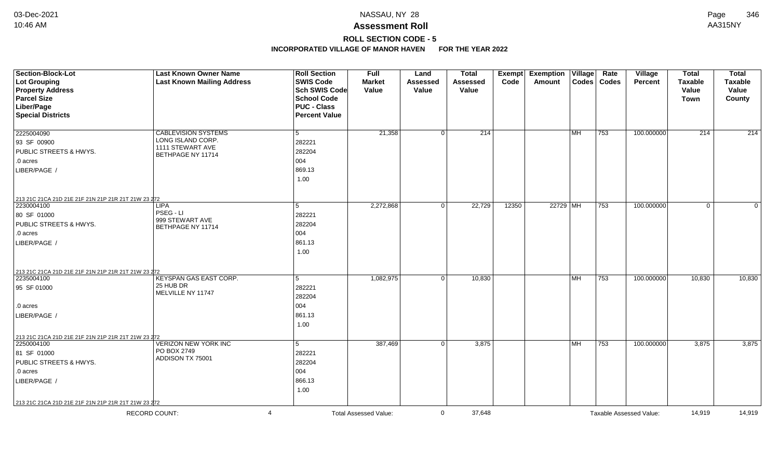# **ROLL SECTION CODE - 5**

| Section-Block-Lot<br><b>Lot Grouping</b><br><b>Property Address</b><br><b>Parcel Size</b><br>Liber/Page<br><b>Special Districts</b>               | <b>Last Known Owner Name</b><br><b>Last Known Mailing Address</b>                        | <b>Roll Section</b><br><b>SWIS Code</b><br>Sch SWIS Code<br><b>School Code</b><br><b>PUC - Class</b><br><b>Percent Value</b> | Full<br><b>Market</b><br>Value | Land<br><b>Assessed</b><br>Value | <b>Total</b><br><b>Assessed</b><br>Value | <b>Exempt</b><br>Code | <b>Exemption</b><br>Amount | Village   | Rate<br>Codes   Codes | Village<br><b>Percent</b> | <b>Total</b><br><b>Taxable</b><br>Value<br><b>Town</b> | <b>Total</b><br><b>Taxable</b><br>Value<br>County |
|---------------------------------------------------------------------------------------------------------------------------------------------------|------------------------------------------------------------------------------------------|------------------------------------------------------------------------------------------------------------------------------|--------------------------------|----------------------------------|------------------------------------------|-----------------------|----------------------------|-----------|-----------------------|---------------------------|--------------------------------------------------------|---------------------------------------------------|
| 2225004090<br>93 SF 00900<br>PUBLIC STREETS & HWYS.<br>.0 acres<br>LIBER/PAGE /                                                                   | <b>CABLEVISION SYSTEMS</b><br>LONG ISLAND CORP.<br>1111 STEWART AVE<br>BETHPAGE NY 11714 | 5<br>282221<br>282204<br>004<br>869.13<br>1.00                                                                               | 21,358                         | $\Omega$                         | $\overline{214}$                         |                       |                            | <b>MH</b> | $ 753\rangle$         | 100.000000                | 214                                                    | 214                                               |
| 213 21C 21CA 21D 21E 21F 21N 21P 21R 21T 21W 23 272<br>2230004100<br>80 SF 01000<br><b>PUBLIC STREETS &amp; HWYS.</b><br>.0 acres<br>LIBER/PAGE   | <b>LIPA</b><br>PSEG - LI<br>999 STEWART AVE<br>BETHPAGE NY 11714                         | 5<br>282221<br>282204<br>004<br>861.13<br>1.00                                                                               | 2,272,868                      | $\mathbf 0$                      | 22,729                                   | 12350                 | 22729 MH                   |           | 753                   | 100.000000                | 0                                                      | $\mathbf{0}$                                      |
| 213 21C 21CA 21D 21E 21F 21N 21P 21R 21T 21W 23 272<br>2235004100<br>95 SF 01000<br>.0 acres<br>LIBER/PAGE /                                      | KEYSPAN GAS EAST CORP.<br>25 HUB DR<br>MELVILLE NY 11747                                 | $5\overline{5}$<br>282221<br>282204<br>004<br>861.13<br>1.00                                                                 | 1,082,975                      | $\Omega$                         | 10,830                                   |                       |                            | <b>MH</b> | 753                   | 100.000000                | 10,830                                                 | 10,830                                            |
| 213 21C 21CA 21D 21E 21F 21N 21P 21R 21T 21W 23 272<br>2250004100<br>81 SF 01000<br><b>PUBLIC STREETS &amp; HWYS.</b><br>.0 acres<br>LIBER/PAGE / | <b>VERIZON NEW YORK INC</b><br>PO BOX 2749<br>ADDISON TX 75001                           | $5\overline{5}$<br>282221<br>282204<br>004<br>866.13<br>1.00                                                                 | 387,469                        | $\Omega$                         | 3,875                                    |                       |                            | MH        | 753                   | 100.000000                | 3,875                                                  | 3,875                                             |
| 213 21C 21CA 21D 21E 21F 21N 21P 21R 21T 21W 23 272<br><b>RECORD COUNT:</b>                                                                       | $\boldsymbol{\Delta}$                                                                    |                                                                                                                              | <b>Total Assessed Value:</b>   | $\Omega$                         | 37.648                                   |                       |                            |           |                       | Taxable Assessed Value:   | 14.919                                                 | 14,919                                            |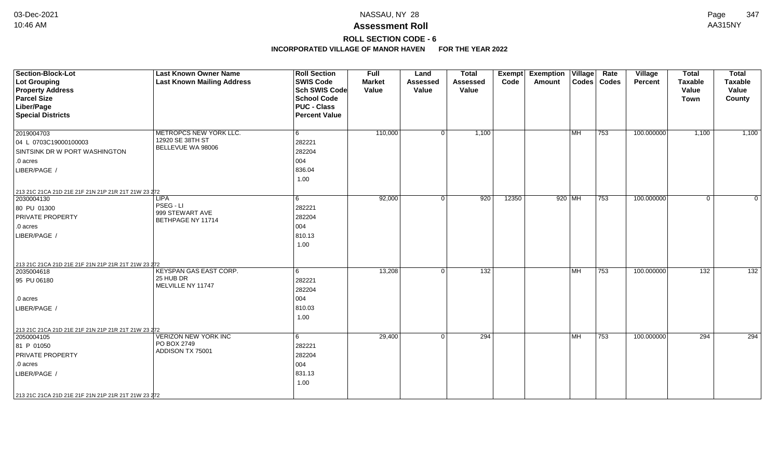# **ROLL SECTION CODE - 6**

| Section-Block-Lot<br><b>Lot Grouping</b><br><b>Property Address</b><br><b>Parcel Size</b><br>Liber/Page<br><b>Special Districts</b>                                                           | <b>Last Known Owner Name</b><br><b>Last Known Mailing Address</b> | <b>Roll Section</b><br><b>SWIS Code</b><br>Sch SWIS Code<br>School Code<br><b>PUC - Class</b><br><b>Percent Value</b> | <b>Full</b><br><b>Market</b><br>Value | Land<br><b>Assessed</b><br>Value | <b>Total</b><br>Assessed<br>Value | <b>Exempt</b><br>Code | <b>Exemption Village</b><br>Amount |                                   | Rate<br>Codes   Codes | Village<br><b>Percent</b> | <b>Total</b><br><b>Taxable</b><br>Value<br><b>Town</b> | <b>Total</b><br><b>Taxable</b><br>Value<br>County |
|-----------------------------------------------------------------------------------------------------------------------------------------------------------------------------------------------|-------------------------------------------------------------------|-----------------------------------------------------------------------------------------------------------------------|---------------------------------------|----------------------------------|-----------------------------------|-----------------------|------------------------------------|-----------------------------------|-----------------------|---------------------------|--------------------------------------------------------|---------------------------------------------------|
| 2019004703<br>04 L 0703C19000100003<br>SINTSINK DR W PORT WASHINGTON<br>.0 acres<br>LIBER/PAGE /                                                                                              | METROPCS NEW YORK LLC.<br>12920 SE 38TH ST<br>BELLEVUE WA 98006   | 6<br>282221<br>282204<br>004<br>836.04<br>1.00                                                                        | 110,000                               | $\Omega$                         | 1,100                             |                       |                                    | $\overline{\mathsf{MH}}$          | 753                   | 100.000000                | 1,100                                                  | 1,100                                             |
| 213 21C 21CA 21D 21E 21F 21N 21P 21R 21T 21W 23 272<br>2030004130<br>80 PU 01300<br><b>PRIVATE PROPERTY</b><br>.0 acres<br>LIBER/PAGE /                                                       | <b>LIPA</b><br>PSEG - LI<br>999 STEWART AVE<br>BETHPAGE NY 11714  | 6<br>282221<br>282204<br>004<br>810.13<br>1.00                                                                        | 92,000                                | $\Omega$                         | $\overline{920}$                  | 12350                 | 920 MH                             |                                   | 753                   | 100.000000                | $\mathbf 0$                                            | $\Omega$                                          |
| 213 21C 21CA 21D 21E 21F 21N 21P 21R 21T 21W 23 272<br>2035004618<br>95 PU 06180<br>.0 acres<br>LIBER/PAGE                                                                                    | KEYSPAN GAS EAST CORP.<br>25 HUB DR<br>MELVILLE NY 11747          | 6<br>282221<br>282204<br>004<br>810.03<br>1.00                                                                        | 13,208                                | $\Omega$                         | 132                               |                       |                                    | $\overline{\mathsf{M}\mathsf{H}}$ | 753                   | 100.000000                | 132                                                    | 132                                               |
| 213 21C 21CA 21D 21E 21F 21N 21P 21R 21T 21W 23 272<br>2050004105<br>81 P 01050<br><b>PRIVATE PROPERTY</b><br>.0 acres<br>LIBER/PAGE /<br>213 21C 21CA 21D 21E 21F 21N 21P 21R 21T 21W 23 272 | <b>VERIZON NEW YORK INC</b><br>PO BOX 2749<br>ADDISON TX 75001    | 6<br>282221<br>282204<br>004<br>831.13<br>1.00                                                                        | 29,400                                | $\Omega$                         | 294                               |                       |                                    | $\overline{\mathsf{MH}}$          | 753                   | 100.000000                | 294                                                    | 294                                               |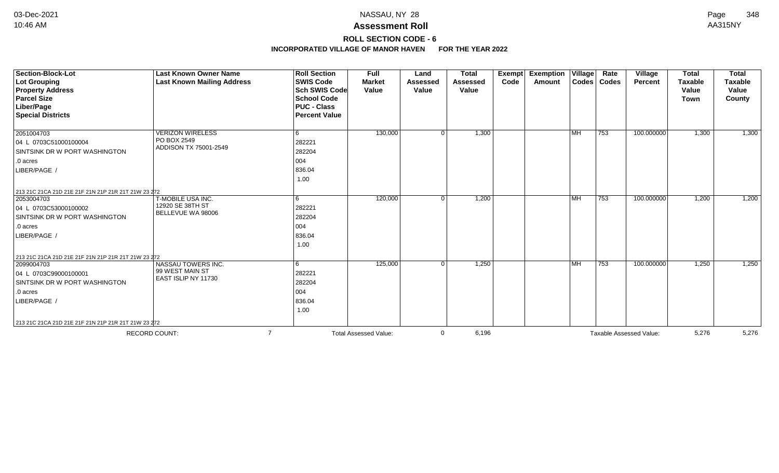# **ROLL SECTION CODE - 6**

| Section-Block-Lot<br><b>Lot Grouping</b><br><b>Property Address</b><br><b>Parcel Size</b><br>Liber/Page<br><b>Special Districts</b>                                                                                           | <b>Last Known Owner Name</b><br><b>Last Known Mailing Address</b>   | <b>Roll Section</b><br><b>SWIS Code</b><br>Sch SWIS Code<br><b>School Code</b><br><b>PUC - Class</b><br><b>Percent Value</b> | <b>Full</b><br><b>Market</b><br>Value | Land<br>Assessed<br>Value | <b>Total</b><br>Assessed<br>Value | Exempt<br>Code | <b>Exemption</b><br>Amount | $\overline{V}$ illage<br>Codes | Rate<br><b>Codes</b> | Village<br>Percent      | <b>Total</b><br><b>Taxable</b><br>Value<br>Town | <b>Total</b><br><b>Taxable</b><br>Value<br>County |
|-------------------------------------------------------------------------------------------------------------------------------------------------------------------------------------------------------------------------------|---------------------------------------------------------------------|------------------------------------------------------------------------------------------------------------------------------|---------------------------------------|---------------------------|-----------------------------------|----------------|----------------------------|--------------------------------|----------------------|-------------------------|-------------------------------------------------|---------------------------------------------------|
| 2051004703<br>04 L 0703C51000100004<br><b>SINTSINK DR W PORT WASHINGTON</b><br>$\vert$ .0 acres<br>LIBER/PAGE /                                                                                                               | <b>VERIZON WIRELESS</b><br>PO BOX 2549<br>ADDISON TX 75001-2549     | 6<br>282221<br>282204<br>004<br>836.04<br>1.00                                                                               | 130,000                               | $\Omega$                  | 1,300                             |                |                            | <b>MH</b>                      | 753                  | 100.000000              | 1,300                                           | 1,300                                             |
| 213 21C 21CA 21D 21E 21F 21N 21P 21R 21T 21W 23 272<br>2053004703<br>04 L 0703C53000100002<br><b>SINTSINK DR W PORT WASHINGTON</b><br>$\vert$ .0 acres<br>LIBER/PAGE                                                          | T-MOBILE USA INC.<br>12920 SE 38TH ST<br>BELLEVUE WA 98006          | 6<br>282221<br>282204<br>004<br>836.04<br>1.00                                                                               | 120,000                               | 0                         | 1,200                             |                |                            | <b>MH</b>                      | 753                  | 100.000000              | 1,200                                           | 1,200                                             |
| 213 21C 21CA 21D 21E 21F 21N 21P 21R 21T 21W 23 272<br>2099004703<br>04 L 0703C99000100001<br><b>SINTSINK DR W PORT WASHINGTON</b><br>$\vert$ .0 acres<br>LIBER/PAGE /<br>213 21C 21CA 21D 21E 21F 21N 21P 21R 21T 21W 23 272 | <b>NASSAU TOWERS INC.</b><br>99 WEST MAIN ST<br>EAST ISLIP NY 11730 | 6<br>282221<br>282204<br>004<br>836.04<br>1.00                                                                               | 125,000                               |                           | 1,250                             |                |                            | <b>MH</b>                      | 753                  | 100.000000              | 1,250                                           | 1,250                                             |
|                                                                                                                                                                                                                               | <b>RECORD COUNT:</b>                                                | $\overline{7}$                                                                                                               | <b>Total Assessed Value:</b>          | $\mathbf{0}$              | 6,196                             |                |                            |                                |                      | Taxable Assessed Value: | 5,276                                           | 5,276                                             |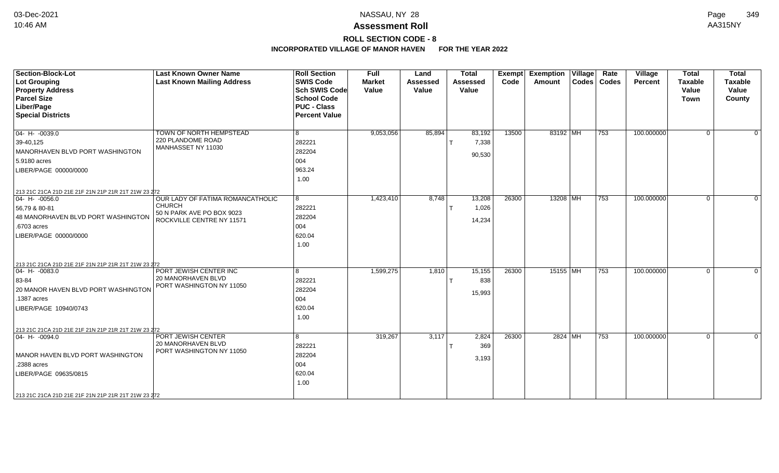# **ROLL SECTION CODE - 8**

| <b>Section-Block-Lot</b><br><b>Lot Grouping</b><br><b>Property Address</b><br><b>Parcel Size</b><br>Liber/Page<br><b>Special Districts</b>                              | <b>Last Known Owner Name</b><br><b>Last Known Mailing Address</b>                                                  | <b>Roll Section</b><br><b>SWIS Code</b><br><b>Sch SWIS Code</b><br><b>School Code</b><br><b>PUC - Class</b><br><b>Percent Value</b> | <b>Full</b><br><b>Market</b><br>Value | Land<br><b>Assessed</b><br>Value | <b>Total</b><br><b>Assessed</b><br>Value | Exempt<br>Code | <b>Exemption Village</b><br><b>Amount</b> | Rate<br>Codes   Codes | Village<br>Percent | <b>Total</b><br><b>Taxable</b><br>Value<br><b>Town</b> | <b>Total</b><br><b>Taxable</b><br>Value<br>County |
|-------------------------------------------------------------------------------------------------------------------------------------------------------------------------|--------------------------------------------------------------------------------------------------------------------|-------------------------------------------------------------------------------------------------------------------------------------|---------------------------------------|----------------------------------|------------------------------------------|----------------|-------------------------------------------|-----------------------|--------------------|--------------------------------------------------------|---------------------------------------------------|
| $04 - H - 0039.0$<br>39-40,125<br>MANORHAVEN BLVD PORT WASHINGTON<br>5.9180 acres<br>LIBER/PAGE 00000/0000<br>213 21C 21CA 21D 21E 21F 21N 21P 21R 21T 21W 23 272       | TOWN OF NORTH HEMPSTEAD<br>220 PLANDOME ROAD<br>MANHASSET NY 11030                                                 | 8<br>282221<br>282204<br>004<br>963.24<br>1.00                                                                                      | 9,053,056                             | 85,894                           | 83,192<br>7,338<br>90,530                | 13500          | 83192 MH                                  | 753                   | 100.000000         | $\Omega$                                               | $\overline{0}$                                    |
| $04 - H - 0056.0$<br>56,79 & 80-81<br>48 MANORHAVEN BLVD PORT WASHINGTON<br>.6703 acres<br>LIBER/PAGE 00000/0000<br>213 21C 21CA 21D 21E 21F 21N 21P 21R 21T 21W 23 272 | <b>OUR LADY OF FATIMA ROMANCATHOLIC</b><br><b>CHURCH</b><br>50 N PARK AVE PO BOX 9023<br>ROCKVILLE CENTRE NY 11571 | 8<br>282221<br>282204<br>004<br>620.04<br>1.00                                                                                      | 1,423,410                             | 8,748                            | 13,208<br>1,026<br>14,234                | 26300          | 13208 MH                                  | 753                   | 100.000000         | $\Omega$                                               | $\Omega$                                          |
| $04 - H - 0083.0$<br>83-84<br>20 MANOR HAVEN BLVD PORT WASHINGTON<br>.1387 acres<br>LIBER/PAGE 10940/0743<br>213 21C 21CA 21D 21E 21F 21N 21P 21R 21T 21W 23 272        | PORT JEWISH CENTER INC<br><b>20 MANORHAVEN BLVD</b><br>PORT WASHINGTON NY 11050                                    | 8<br>282221<br>282204<br>004<br>620.04<br>1.00                                                                                      | 1,599,275                             | 1,810                            | 15,155<br>838<br>15,993                  | 26300          | 15155 MH                                  | 753                   | 100.000000         | $\Omega$                                               | $\Omega$                                          |
| $ 04 - H - 0094.0$<br>MANOR HAVEN BLVD PORT WASHINGTON<br>.2388 acres<br>LIBER/PAGE 09635/0815<br>213 21C 21CA 21D 21E 21F 21N 21P 21R 21T 21W 23 272                   | PORT JEWISH CENTER<br>20 MANORHAVEN BLVD<br>PORT WASHINGTON NY 11050                                               | 8<br>282221<br>282204<br>004<br>620.04<br>1.00                                                                                      | 319,267                               | 3,117                            | 2,824<br>369<br>3,193                    | 26300          | 2824 MH                                   | 753                   | 100.000000         | $\Omega$                                               | $\Omega$                                          |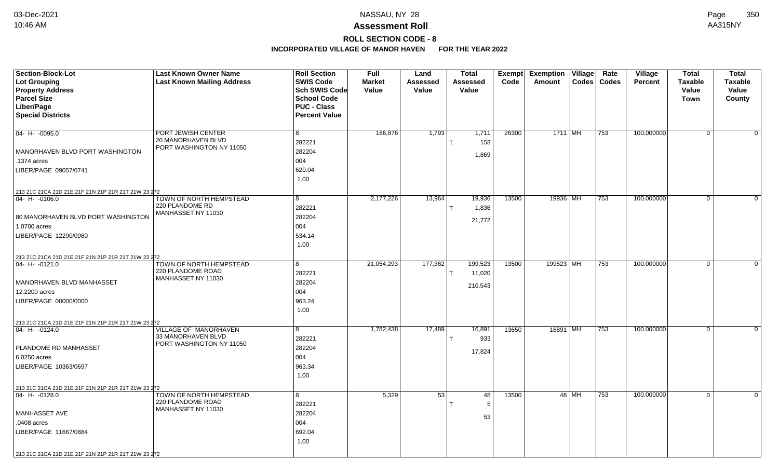# **ROLL SECTION CODE - 8**

| Code<br>Codes   Codes<br><b>Taxable</b><br><b>Taxable</b><br><b>Market</b><br>Assessed<br>Amount<br><b>Percent</b><br><b>Property Address</b><br>Sch SWIS Code<br>Value<br>Value<br>Value<br>Value<br>Value<br><b>Parcel Size</b><br><b>School Code</b><br><b>Town</b><br>County<br>Liber/Page<br><b>PUC - Class</b><br><b>Special Districts</b><br><b>Percent Value</b><br>186,876<br>1,793<br>26300<br>100.000000<br>$ 04 - H - 0095.0$<br>PORT JEWISH CENTER<br>8<br>1,711<br>1711 MH<br>753<br>$\Omega$<br>0<br>20 MANORHAVEN BLVD<br>282221<br>158<br>$\mathsf{T}$<br>PORT WASHINGTON NY 11050<br>282204<br>MANORHAVEN BLVD PORT WASHINGTON<br>1,869<br>004<br>.1374 acres<br>620.04<br>LIBER/PAGE 09057/0741<br>1.00<br>213 21C 21CA 21D 21E 21F 21N 21P 21R 21T 21W 23 272<br>13,964<br>13500<br>$\overline{0}$<br>TOWN OF NORTH HEMPSTEAD<br>2,177,226<br>19,936<br>19936 MH<br>753<br>100.000000<br>$\Omega$<br>04- H- -0106.0<br>8<br>220 PLANDOME RD<br>282221<br>1,836<br>T<br>MANHASSET NY 11030<br>282204<br>80 MANORHAVEN BLVD PORT WASHINGTON<br>21,772<br>004<br>1.0700 acres<br>LIBER/PAGE 12290/0980<br>534.14<br>1.00<br>213 21C 21CA 21D 21E 21F 21N 21P 21R 21T 21W 23 272<br>TOWN OF NORTH HEMPSTEAD<br>21,054,293<br>177,362<br>199,523<br>13500<br>199523 MH<br>100.000000<br>753<br>$\overline{0}$<br>$ 04 - H - 0121.0$<br>8<br>$\mathbf 0$<br>220 PLANDOME ROAD<br>11,020<br>282221<br>MANHASSET NY 11030<br>282204<br>MANORHAVEN BLVD MANHASSET<br>210,543<br>12.2200 acres<br>004<br>963.24<br>LIBER/PAGE 00000/0000<br>1.00<br>213 21C 21CA 21D 21E 21F 21N 21P 21R 21T 21W 23 272<br>VILLAGE OF MANORHAVEN<br>1,782,438<br>17,489<br>16,891<br>13650<br>16891 MH<br>100.000000<br>$ 04 - H - 0124.0$<br>8<br>753<br>$\overline{0}$<br>$\Omega$<br>33 MANORHAVEN BLVD<br>282221<br>933<br>т<br>PORT WASHINGTON NY 11050<br>PLANDOME RD MANHASSET<br>282204<br>17,824<br>004<br>6.0250 acres<br>963.34<br>LIBER/PAGE 10363/0697<br>1.00<br>213 21C 21CA 21D 21E 21F 21N 21P 21R 21T 21W 23 272<br>TOWN OF NORTH HEMPSTEAD<br>5,329<br>53<br>13500<br>48 MH<br>753<br>100.000000<br>$ 04 - H - 0128.0$<br>48<br>$\overline{0}$<br>$\Omega$<br>8<br>220 PLANDOME ROAD<br>282221<br>5<br>MANHASSET NY 11030<br>282204<br><b>MANHASSET AVE</b><br>53<br>.0408 acres<br>004 | <b>Section-Block-Lot</b> | <b>Last Known Owner Name</b>      | <b>Roll Section</b> | <b>Full</b> | Land | <b>Total</b>    | Exempt Exemption Village | Rate | Village | <b>Total</b> | <b>Total</b> |
|------------------------------------------------------------------------------------------------------------------------------------------------------------------------------------------------------------------------------------------------------------------------------------------------------------------------------------------------------------------------------------------------------------------------------------------------------------------------------------------------------------------------------------------------------------------------------------------------------------------------------------------------------------------------------------------------------------------------------------------------------------------------------------------------------------------------------------------------------------------------------------------------------------------------------------------------------------------------------------------------------------------------------------------------------------------------------------------------------------------------------------------------------------------------------------------------------------------------------------------------------------------------------------------------------------------------------------------------------------------------------------------------------------------------------------------------------------------------------------------------------------------------------------------------------------------------------------------------------------------------------------------------------------------------------------------------------------------------------------------------------------------------------------------------------------------------------------------------------------------------------------------------------------------------------------------------------------------------------------------------------------------------------------------------------------------------------------------------------------------------------------------------------------------------------------------------------------------------------------------------------------------------------------------------------|--------------------------|-----------------------------------|---------------------|-------------|------|-----------------|--------------------------|------|---------|--------------|--------------|
|                                                                                                                                                                                                                                                                                                                                                                                                                                                                                                                                                                                                                                                                                                                                                                                                                                                                                                                                                                                                                                                                                                                                                                                                                                                                                                                                                                                                                                                                                                                                                                                                                                                                                                                                                                                                                                                                                                                                                                                                                                                                                                                                                                                                                                                                                                      | Lot Grouping             | <b>Last Known Mailing Address</b> | <b>SWIS Code</b>    |             |      | <b>Assessed</b> |                          |      |         |              |              |
|                                                                                                                                                                                                                                                                                                                                                                                                                                                                                                                                                                                                                                                                                                                                                                                                                                                                                                                                                                                                                                                                                                                                                                                                                                                                                                                                                                                                                                                                                                                                                                                                                                                                                                                                                                                                                                                                                                                                                                                                                                                                                                                                                                                                                                                                                                      |                          |                                   |                     |             |      |                 |                          |      |         |              |              |
|                                                                                                                                                                                                                                                                                                                                                                                                                                                                                                                                                                                                                                                                                                                                                                                                                                                                                                                                                                                                                                                                                                                                                                                                                                                                                                                                                                                                                                                                                                                                                                                                                                                                                                                                                                                                                                                                                                                                                                                                                                                                                                                                                                                                                                                                                                      |                          |                                   |                     |             |      |                 |                          |      |         |              |              |
|                                                                                                                                                                                                                                                                                                                                                                                                                                                                                                                                                                                                                                                                                                                                                                                                                                                                                                                                                                                                                                                                                                                                                                                                                                                                                                                                                                                                                                                                                                                                                                                                                                                                                                                                                                                                                                                                                                                                                                                                                                                                                                                                                                                                                                                                                                      |                          |                                   |                     |             |      |                 |                          |      |         |              |              |
|                                                                                                                                                                                                                                                                                                                                                                                                                                                                                                                                                                                                                                                                                                                                                                                                                                                                                                                                                                                                                                                                                                                                                                                                                                                                                                                                                                                                                                                                                                                                                                                                                                                                                                                                                                                                                                                                                                                                                                                                                                                                                                                                                                                                                                                                                                      |                          |                                   |                     |             |      |                 |                          |      |         |              |              |
|                                                                                                                                                                                                                                                                                                                                                                                                                                                                                                                                                                                                                                                                                                                                                                                                                                                                                                                                                                                                                                                                                                                                                                                                                                                                                                                                                                                                                                                                                                                                                                                                                                                                                                                                                                                                                                                                                                                                                                                                                                                                                                                                                                                                                                                                                                      |                          |                                   |                     |             |      |                 |                          |      |         |              |              |
|                                                                                                                                                                                                                                                                                                                                                                                                                                                                                                                                                                                                                                                                                                                                                                                                                                                                                                                                                                                                                                                                                                                                                                                                                                                                                                                                                                                                                                                                                                                                                                                                                                                                                                                                                                                                                                                                                                                                                                                                                                                                                                                                                                                                                                                                                                      |                          |                                   |                     |             |      |                 |                          |      |         |              |              |
|                                                                                                                                                                                                                                                                                                                                                                                                                                                                                                                                                                                                                                                                                                                                                                                                                                                                                                                                                                                                                                                                                                                                                                                                                                                                                                                                                                                                                                                                                                                                                                                                                                                                                                                                                                                                                                                                                                                                                                                                                                                                                                                                                                                                                                                                                                      |                          |                                   |                     |             |      |                 |                          |      |         |              |              |
|                                                                                                                                                                                                                                                                                                                                                                                                                                                                                                                                                                                                                                                                                                                                                                                                                                                                                                                                                                                                                                                                                                                                                                                                                                                                                                                                                                                                                                                                                                                                                                                                                                                                                                                                                                                                                                                                                                                                                                                                                                                                                                                                                                                                                                                                                                      |                          |                                   |                     |             |      |                 |                          |      |         |              |              |
|                                                                                                                                                                                                                                                                                                                                                                                                                                                                                                                                                                                                                                                                                                                                                                                                                                                                                                                                                                                                                                                                                                                                                                                                                                                                                                                                                                                                                                                                                                                                                                                                                                                                                                                                                                                                                                                                                                                                                                                                                                                                                                                                                                                                                                                                                                      |                          |                                   |                     |             |      |                 |                          |      |         |              |              |
|                                                                                                                                                                                                                                                                                                                                                                                                                                                                                                                                                                                                                                                                                                                                                                                                                                                                                                                                                                                                                                                                                                                                                                                                                                                                                                                                                                                                                                                                                                                                                                                                                                                                                                                                                                                                                                                                                                                                                                                                                                                                                                                                                                                                                                                                                                      |                          |                                   |                     |             |      |                 |                          |      |         |              |              |
|                                                                                                                                                                                                                                                                                                                                                                                                                                                                                                                                                                                                                                                                                                                                                                                                                                                                                                                                                                                                                                                                                                                                                                                                                                                                                                                                                                                                                                                                                                                                                                                                                                                                                                                                                                                                                                                                                                                                                                                                                                                                                                                                                                                                                                                                                                      |                          |                                   |                     |             |      |                 |                          |      |         |              |              |
|                                                                                                                                                                                                                                                                                                                                                                                                                                                                                                                                                                                                                                                                                                                                                                                                                                                                                                                                                                                                                                                                                                                                                                                                                                                                                                                                                                                                                                                                                                                                                                                                                                                                                                                                                                                                                                                                                                                                                                                                                                                                                                                                                                                                                                                                                                      |                          |                                   |                     |             |      |                 |                          |      |         |              |              |
|                                                                                                                                                                                                                                                                                                                                                                                                                                                                                                                                                                                                                                                                                                                                                                                                                                                                                                                                                                                                                                                                                                                                                                                                                                                                                                                                                                                                                                                                                                                                                                                                                                                                                                                                                                                                                                                                                                                                                                                                                                                                                                                                                                                                                                                                                                      |                          |                                   |                     |             |      |                 |                          |      |         |              |              |
|                                                                                                                                                                                                                                                                                                                                                                                                                                                                                                                                                                                                                                                                                                                                                                                                                                                                                                                                                                                                                                                                                                                                                                                                                                                                                                                                                                                                                                                                                                                                                                                                                                                                                                                                                                                                                                                                                                                                                                                                                                                                                                                                                                                                                                                                                                      |                          |                                   |                     |             |      |                 |                          |      |         |              |              |
|                                                                                                                                                                                                                                                                                                                                                                                                                                                                                                                                                                                                                                                                                                                                                                                                                                                                                                                                                                                                                                                                                                                                                                                                                                                                                                                                                                                                                                                                                                                                                                                                                                                                                                                                                                                                                                                                                                                                                                                                                                                                                                                                                                                                                                                                                                      |                          |                                   |                     |             |      |                 |                          |      |         |              |              |
|                                                                                                                                                                                                                                                                                                                                                                                                                                                                                                                                                                                                                                                                                                                                                                                                                                                                                                                                                                                                                                                                                                                                                                                                                                                                                                                                                                                                                                                                                                                                                                                                                                                                                                                                                                                                                                                                                                                                                                                                                                                                                                                                                                                                                                                                                                      |                          |                                   |                     |             |      |                 |                          |      |         |              |              |
|                                                                                                                                                                                                                                                                                                                                                                                                                                                                                                                                                                                                                                                                                                                                                                                                                                                                                                                                                                                                                                                                                                                                                                                                                                                                                                                                                                                                                                                                                                                                                                                                                                                                                                                                                                                                                                                                                                                                                                                                                                                                                                                                                                                                                                                                                                      |                          |                                   |                     |             |      |                 |                          |      |         |              |              |
|                                                                                                                                                                                                                                                                                                                                                                                                                                                                                                                                                                                                                                                                                                                                                                                                                                                                                                                                                                                                                                                                                                                                                                                                                                                                                                                                                                                                                                                                                                                                                                                                                                                                                                                                                                                                                                                                                                                                                                                                                                                                                                                                                                                                                                                                                                      |                          |                                   |                     |             |      |                 |                          |      |         |              |              |
|                                                                                                                                                                                                                                                                                                                                                                                                                                                                                                                                                                                                                                                                                                                                                                                                                                                                                                                                                                                                                                                                                                                                                                                                                                                                                                                                                                                                                                                                                                                                                                                                                                                                                                                                                                                                                                                                                                                                                                                                                                                                                                                                                                                                                                                                                                      |                          |                                   |                     |             |      |                 |                          |      |         |              |              |
|                                                                                                                                                                                                                                                                                                                                                                                                                                                                                                                                                                                                                                                                                                                                                                                                                                                                                                                                                                                                                                                                                                                                                                                                                                                                                                                                                                                                                                                                                                                                                                                                                                                                                                                                                                                                                                                                                                                                                                                                                                                                                                                                                                                                                                                                                                      |                          |                                   |                     |             |      |                 |                          |      |         |              |              |
|                                                                                                                                                                                                                                                                                                                                                                                                                                                                                                                                                                                                                                                                                                                                                                                                                                                                                                                                                                                                                                                                                                                                                                                                                                                                                                                                                                                                                                                                                                                                                                                                                                                                                                                                                                                                                                                                                                                                                                                                                                                                                                                                                                                                                                                                                                      |                          |                                   |                     |             |      |                 |                          |      |         |              |              |
|                                                                                                                                                                                                                                                                                                                                                                                                                                                                                                                                                                                                                                                                                                                                                                                                                                                                                                                                                                                                                                                                                                                                                                                                                                                                                                                                                                                                                                                                                                                                                                                                                                                                                                                                                                                                                                                                                                                                                                                                                                                                                                                                                                                                                                                                                                      |                          |                                   |                     |             |      |                 |                          |      |         |              |              |
|                                                                                                                                                                                                                                                                                                                                                                                                                                                                                                                                                                                                                                                                                                                                                                                                                                                                                                                                                                                                                                                                                                                                                                                                                                                                                                                                                                                                                                                                                                                                                                                                                                                                                                                                                                                                                                                                                                                                                                                                                                                                                                                                                                                                                                                                                                      |                          |                                   |                     |             |      |                 |                          |      |         |              |              |
|                                                                                                                                                                                                                                                                                                                                                                                                                                                                                                                                                                                                                                                                                                                                                                                                                                                                                                                                                                                                                                                                                                                                                                                                                                                                                                                                                                                                                                                                                                                                                                                                                                                                                                                                                                                                                                                                                                                                                                                                                                                                                                                                                                                                                                                                                                      |                          |                                   |                     |             |      |                 |                          |      |         |              |              |
|                                                                                                                                                                                                                                                                                                                                                                                                                                                                                                                                                                                                                                                                                                                                                                                                                                                                                                                                                                                                                                                                                                                                                                                                                                                                                                                                                                                                                                                                                                                                                                                                                                                                                                                                                                                                                                                                                                                                                                                                                                                                                                                                                                                                                                                                                                      |                          |                                   |                     |             |      |                 |                          |      |         |              |              |
|                                                                                                                                                                                                                                                                                                                                                                                                                                                                                                                                                                                                                                                                                                                                                                                                                                                                                                                                                                                                                                                                                                                                                                                                                                                                                                                                                                                                                                                                                                                                                                                                                                                                                                                                                                                                                                                                                                                                                                                                                                                                                                                                                                                                                                                                                                      |                          |                                   |                     |             |      |                 |                          |      |         |              |              |
|                                                                                                                                                                                                                                                                                                                                                                                                                                                                                                                                                                                                                                                                                                                                                                                                                                                                                                                                                                                                                                                                                                                                                                                                                                                                                                                                                                                                                                                                                                                                                                                                                                                                                                                                                                                                                                                                                                                                                                                                                                                                                                                                                                                                                                                                                                      |                          |                                   |                     |             |      |                 |                          |      |         |              |              |
|                                                                                                                                                                                                                                                                                                                                                                                                                                                                                                                                                                                                                                                                                                                                                                                                                                                                                                                                                                                                                                                                                                                                                                                                                                                                                                                                                                                                                                                                                                                                                                                                                                                                                                                                                                                                                                                                                                                                                                                                                                                                                                                                                                                                                                                                                                      |                          |                                   |                     |             |      |                 |                          |      |         |              |              |
|                                                                                                                                                                                                                                                                                                                                                                                                                                                                                                                                                                                                                                                                                                                                                                                                                                                                                                                                                                                                                                                                                                                                                                                                                                                                                                                                                                                                                                                                                                                                                                                                                                                                                                                                                                                                                                                                                                                                                                                                                                                                                                                                                                                                                                                                                                      |                          |                                   |                     |             |      |                 |                          |      |         |              |              |
|                                                                                                                                                                                                                                                                                                                                                                                                                                                                                                                                                                                                                                                                                                                                                                                                                                                                                                                                                                                                                                                                                                                                                                                                                                                                                                                                                                                                                                                                                                                                                                                                                                                                                                                                                                                                                                                                                                                                                                                                                                                                                                                                                                                                                                                                                                      |                          |                                   |                     |             |      |                 |                          |      |         |              |              |
|                                                                                                                                                                                                                                                                                                                                                                                                                                                                                                                                                                                                                                                                                                                                                                                                                                                                                                                                                                                                                                                                                                                                                                                                                                                                                                                                                                                                                                                                                                                                                                                                                                                                                                                                                                                                                                                                                                                                                                                                                                                                                                                                                                                                                                                                                                      |                          |                                   |                     |             |      |                 |                          |      |         |              |              |
|                                                                                                                                                                                                                                                                                                                                                                                                                                                                                                                                                                                                                                                                                                                                                                                                                                                                                                                                                                                                                                                                                                                                                                                                                                                                                                                                                                                                                                                                                                                                                                                                                                                                                                                                                                                                                                                                                                                                                                                                                                                                                                                                                                                                                                                                                                      |                          |                                   |                     |             |      |                 |                          |      |         |              |              |
|                                                                                                                                                                                                                                                                                                                                                                                                                                                                                                                                                                                                                                                                                                                                                                                                                                                                                                                                                                                                                                                                                                                                                                                                                                                                                                                                                                                                                                                                                                                                                                                                                                                                                                                                                                                                                                                                                                                                                                                                                                                                                                                                                                                                                                                                                                      |                          |                                   |                     |             |      |                 |                          |      |         |              |              |
|                                                                                                                                                                                                                                                                                                                                                                                                                                                                                                                                                                                                                                                                                                                                                                                                                                                                                                                                                                                                                                                                                                                                                                                                                                                                                                                                                                                                                                                                                                                                                                                                                                                                                                                                                                                                                                                                                                                                                                                                                                                                                                                                                                                                                                                                                                      |                          |                                   |                     |             |      |                 |                          |      |         |              |              |
|                                                                                                                                                                                                                                                                                                                                                                                                                                                                                                                                                                                                                                                                                                                                                                                                                                                                                                                                                                                                                                                                                                                                                                                                                                                                                                                                                                                                                                                                                                                                                                                                                                                                                                                                                                                                                                                                                                                                                                                                                                                                                                                                                                                                                                                                                                      |                          |                                   |                     |             |      |                 |                          |      |         |              |              |
|                                                                                                                                                                                                                                                                                                                                                                                                                                                                                                                                                                                                                                                                                                                                                                                                                                                                                                                                                                                                                                                                                                                                                                                                                                                                                                                                                                                                                                                                                                                                                                                                                                                                                                                                                                                                                                                                                                                                                                                                                                                                                                                                                                                                                                                                                                      |                          |                                   |                     |             |      |                 |                          |      |         |              |              |
|                                                                                                                                                                                                                                                                                                                                                                                                                                                                                                                                                                                                                                                                                                                                                                                                                                                                                                                                                                                                                                                                                                                                                                                                                                                                                                                                                                                                                                                                                                                                                                                                                                                                                                                                                                                                                                                                                                                                                                                                                                                                                                                                                                                                                                                                                                      |                          |                                   |                     |             |      |                 |                          |      |         |              |              |
|                                                                                                                                                                                                                                                                                                                                                                                                                                                                                                                                                                                                                                                                                                                                                                                                                                                                                                                                                                                                                                                                                                                                                                                                                                                                                                                                                                                                                                                                                                                                                                                                                                                                                                                                                                                                                                                                                                                                                                                                                                                                                                                                                                                                                                                                                                      |                          |                                   |                     |             |      |                 |                          |      |         |              |              |
|                                                                                                                                                                                                                                                                                                                                                                                                                                                                                                                                                                                                                                                                                                                                                                                                                                                                                                                                                                                                                                                                                                                                                                                                                                                                                                                                                                                                                                                                                                                                                                                                                                                                                                                                                                                                                                                                                                                                                                                                                                                                                                                                                                                                                                                                                                      | LIBER/PAGE 11667/0884    |                                   | 692.04              |             |      |                 |                          |      |         |              |              |
| 1.00                                                                                                                                                                                                                                                                                                                                                                                                                                                                                                                                                                                                                                                                                                                                                                                                                                                                                                                                                                                                                                                                                                                                                                                                                                                                                                                                                                                                                                                                                                                                                                                                                                                                                                                                                                                                                                                                                                                                                                                                                                                                                                                                                                                                                                                                                                 |                          |                                   |                     |             |      |                 |                          |      |         |              |              |
| 213 21C 21CA 21D 21E 21F 21N 21P 21R 21T 21W 23 272                                                                                                                                                                                                                                                                                                                                                                                                                                                                                                                                                                                                                                                                                                                                                                                                                                                                                                                                                                                                                                                                                                                                                                                                                                                                                                                                                                                                                                                                                                                                                                                                                                                                                                                                                                                                                                                                                                                                                                                                                                                                                                                                                                                                                                                  |                          |                                   |                     |             |      |                 |                          |      |         |              |              |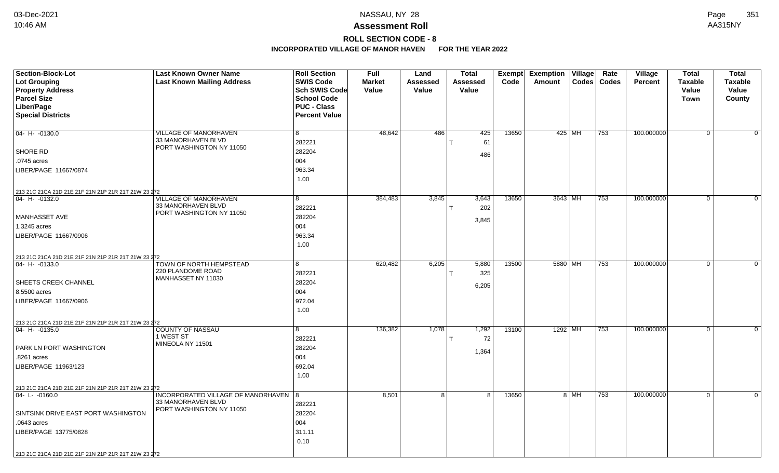# **ROLL SECTION CODE - 8**

| <b>Section-Block-Lot</b>                                              | <b>Last Known Owner Name</b>                   | <b>Roll Section</b>  | <b>Full</b>   | Land            | <b>Total</b> |       | Exempt Exemption Village |          | Rate             | Village        | <b>Total</b>   | <b>Total</b>   |
|-----------------------------------------------------------------------|------------------------------------------------|----------------------|---------------|-----------------|--------------|-------|--------------------------|----------|------------------|----------------|----------------|----------------|
| <b>Lot Grouping</b>                                                   | <b>Last Known Mailing Address</b>              | <b>SWIS Code</b>     | <b>Market</b> | <b>Assessed</b> | Assessed     | Code  | Amount                   |          | Codes   Codes    | <b>Percent</b> | <b>Taxable</b> | <b>Taxable</b> |
| <b>Property Address</b>                                               |                                                | Sch SWIS Code        | Value         | Value           | Value        |       |                          |          |                  |                | Value          | Value          |
| <b>Parcel Size</b>                                                    |                                                | <b>School Code</b>   |               |                 |              |       |                          |          |                  |                | <b>Town</b>    | County         |
| Liber/Page                                                            |                                                | <b>PUC - Class</b>   |               |                 |              |       |                          |          |                  |                |                |                |
| <b>Special Districts</b>                                              |                                                | <b>Percent Value</b> |               |                 |              |       |                          |          |                  |                |                |                |
|                                                                       |                                                |                      |               |                 |              |       |                          |          |                  |                |                |                |
| 04- H- -0130.0                                                        | VILLAGE OF MANORHAVEN                          | 8                    | 48,642        | 486             | 425          | 13650 |                          | 425   MH | 753              | 100.000000     | $\mathbf{0}$   | 0              |
|                                                                       | 33 MANORHAVEN BLVD<br>PORT WASHINGTON NY 11050 | 282221               |               |                 | 61           |       |                          |          |                  |                |                |                |
| SHORE RD                                                              |                                                | 282204               |               |                 | 486          |       |                          |          |                  |                |                |                |
| .0745 acres                                                           |                                                | 004                  |               |                 |              |       |                          |          |                  |                |                |                |
| LIBER/PAGE 11667/0874                                                 |                                                | 963.34               |               |                 |              |       |                          |          |                  |                |                |                |
|                                                                       |                                                | 1.00                 |               |                 |              |       |                          |          |                  |                |                |                |
| 213 21C 21CA 21D 21E 21F 21N 21P 21R 21T 21W 23 272                   |                                                |                      |               |                 |              |       |                          |          |                  |                |                |                |
| 04- H- -0132.0                                                        | VILLAGE OF MANORHAVEN                          | 8                    | 384,483       | 3,845           | 3,643        | 13650 | 3643 MH                  |          | $\overline{753}$ | 100.000000     | 0 <sup>1</sup> | $\Omega$       |
|                                                                       | 33 MANORHAVEN BLVD                             | 282221               |               |                 | 202          |       |                          |          |                  |                |                |                |
| MANHASSET AVE                                                         | PORT WASHINGTON NY 11050                       | 282204               |               |                 |              |       |                          |          |                  |                |                |                |
| 1.3245 acres                                                          |                                                | 004                  |               |                 | 3,845        |       |                          |          |                  |                |                |                |
| LIBER/PAGE 11667/0906                                                 |                                                | 963.34               |               |                 |              |       |                          |          |                  |                |                |                |
|                                                                       |                                                | 1.00                 |               |                 |              |       |                          |          |                  |                |                |                |
|                                                                       |                                                |                      |               |                 |              |       |                          |          |                  |                |                |                |
| 213 21C 21CA 21D 21E 21F 21N 21P 21R 21T 21W 23 272<br>04- H- -0133.0 | TOWN OF NORTH HEMPSTEAD                        | 8                    | 620,482       | 6,205           | 5,880        | 13500 | 5880 MH                  |          | 753              | 100.000000     | $\overline{0}$ | $\mathbf 0$    |
|                                                                       | 220 PLANDOME ROAD                              | 282221               |               |                 | 325          |       |                          |          |                  |                |                |                |
| <b>SHEETS CREEK CHANNEL</b>                                           | MANHASSET NY 11030                             | 282204               |               |                 |              |       |                          |          |                  |                |                |                |
| 8.5500 acres                                                          |                                                | 004                  |               |                 | 6,205        |       |                          |          |                  |                |                |                |
|                                                                       |                                                | 972.04               |               |                 |              |       |                          |          |                  |                |                |                |
| LIBER/PAGE 11667/0906                                                 |                                                |                      |               |                 |              |       |                          |          |                  |                |                |                |
|                                                                       |                                                | 1.00                 |               |                 |              |       |                          |          |                  |                |                |                |
| 213 21C 21CA 21D 21E 21F 21N 21P 21R 21T 21W 23 272                   |                                                |                      |               |                 |              |       |                          |          |                  |                |                |                |
| $ 04 - H - 0135.0$                                                    | <b>COUNTY OF NASSAU</b><br>1 WEST ST           | 8                    | 136,382       | 1,078           | 1,292        | 13100 | 1292 MH                  |          | 753              | 100.000000     | $\overline{0}$ | $\Omega$       |
|                                                                       | MINEOLA NY 11501                               | 282221               |               |                 | 72           |       |                          |          |                  |                |                |                |
| PARK LN PORT WASHINGTON                                               |                                                | 282204               |               |                 | 1,364        |       |                          |          |                  |                |                |                |
| .8261 acres                                                           |                                                | 004                  |               |                 |              |       |                          |          |                  |                |                |                |
| LIBER/PAGE 11963/123                                                  |                                                | 692.04               |               |                 |              |       |                          |          |                  |                |                |                |
|                                                                       |                                                | 1.00                 |               |                 |              |       |                          |          |                  |                |                |                |
| 213 21C 21CA 21D 21E 21F 21N 21P 21R 21T 21W 23 272                   |                                                |                      |               |                 |              |       |                          |          |                  |                |                |                |
| 04-L-0160.0                                                           | INCORPORATED VILLAGE OF MANORHAVEN             | 8                    | 8,501         | 8 <sup>1</sup>  | 8            | 13650 |                          | 8 MH     | 753              | 100.000000     | $\mathbf{0}$   | $\mathbf 0$    |
|                                                                       | 33 MANORHAVEN BLVD                             | 282221               |               |                 |              |       |                          |          |                  |                |                |                |
| SINTSINK DRIVE EAST PORT WASHINGTON                                   | PORT WASHINGTON NY 11050                       | 282204               |               |                 |              |       |                          |          |                  |                |                |                |
| .0643 acres                                                           |                                                | 004                  |               |                 |              |       |                          |          |                  |                |                |                |
| LIBER/PAGE 13775/0828                                                 |                                                | 311.11               |               |                 |              |       |                          |          |                  |                |                |                |
|                                                                       |                                                | 0.10                 |               |                 |              |       |                          |          |                  |                |                |                |
| 213 21C 21CA 21D 21E 21F 21N 21P 21R 21T 21W 23 272                   |                                                |                      |               |                 |              |       |                          |          |                  |                |                |                |
|                                                                       |                                                |                      |               |                 |              |       |                          |          |                  |                |                |                |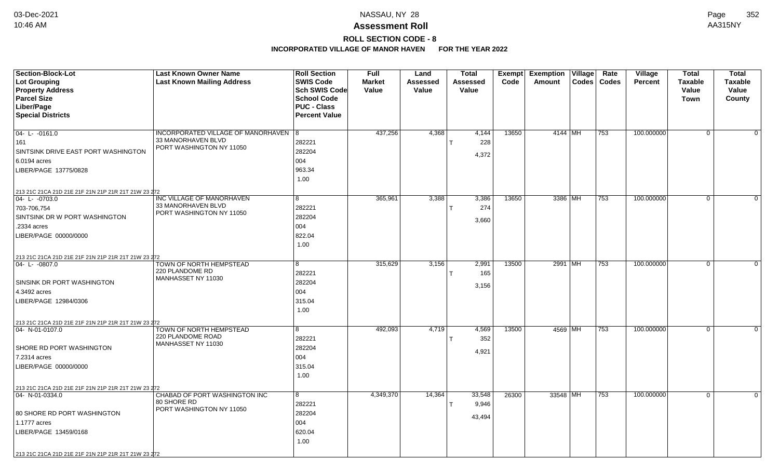# **ROLL SECTION CODE - 8**

| <b>Section-Block-Lot</b>                                               | <b>Last Known Owner Name</b>                                 | <b>Roll Section</b>  | <b>Full</b>   | Land     | <b>Total</b> | Exempt | <b>Exemption</b> | Village | Rate          | Village        | <b>Total</b>   | <b>Total</b>   |
|------------------------------------------------------------------------|--------------------------------------------------------------|----------------------|---------------|----------|--------------|--------|------------------|---------|---------------|----------------|----------------|----------------|
| Lot Grouping                                                           | <b>Last Known Mailing Address</b>                            | <b>SWIS Code</b>     | <b>Market</b> | Assessed | Assessed     | Code   | Amount           |         | Codes   Codes | <b>Percent</b> | <b>Taxable</b> | <b>Taxable</b> |
| <b>Property Address</b>                                                |                                                              | <b>Sch SWIS Code</b> | Value         | Value    | Value        |        |                  |         |               |                | Value          | Value          |
| <b>Parcel Size</b>                                                     |                                                              | <b>School Code</b>   |               |          |              |        |                  |         |               |                | <b>Town</b>    | County         |
| Liber/Page                                                             |                                                              | <b>PUC - Class</b>   |               |          |              |        |                  |         |               |                |                |                |
| <b>Special Districts</b>                                               |                                                              | <b>Percent Value</b> |               |          |              |        |                  |         |               |                |                |                |
|                                                                        |                                                              |                      |               |          |              |        |                  |         |               |                |                |                |
| $04 - L - 0161.0$                                                      | INCORPORATED VILLAGE OF MANORHAVEN   8<br>33 MANORHAVEN BLVD |                      | 437,256       | 4,368    | 4,144        | 13650  | 4144 MH          |         | 753           | 100.000000     | $\Omega$       | $\Omega$       |
| 161                                                                    | PORT WASHINGTON NY 11050                                     | 282221               |               |          | 228          |        |                  |         |               |                |                |                |
| SINTSINK DRIVE EAST PORT WASHINGTON                                    |                                                              | 282204               |               |          | 4,372        |        |                  |         |               |                |                |                |
| 6.0194 acres                                                           |                                                              | 004                  |               |          |              |        |                  |         |               |                |                |                |
| LIBER/PAGE 13775/0828                                                  |                                                              | 963.34               |               |          |              |        |                  |         |               |                |                |                |
|                                                                        |                                                              | 1.00                 |               |          |              |        |                  |         |               |                |                |                |
| 213 21C 21CA 21D 21E 21F 21N 21P 21R 21T 21W 23 272                    |                                                              |                      |               |          |              |        |                  |         |               |                |                |                |
| $ 04 - L - 0703.0$                                                     | INC VILLAGE OF MANORHAVEN                                    | 8                    | 365,961       | 3,388    | 3,386        | 13650  | 3386 MH          |         | 753           | 100.000000     | $\mathbf 0$    | $\Omega$       |
| 703-706,754                                                            | 33 MANORHAVEN BLVD<br>PORT WASHINGTON NY 11050               | 282221               |               |          | 274          |        |                  |         |               |                |                |                |
| SINTSINK DR W PORT WASHINGTON                                          |                                                              | 282204               |               |          | 3,660        |        |                  |         |               |                |                |                |
| .2334 acres                                                            |                                                              | 004                  |               |          |              |        |                  |         |               |                |                |                |
| LIBER/PAGE 00000/0000                                                  |                                                              | 822.04               |               |          |              |        |                  |         |               |                |                |                |
|                                                                        |                                                              | 1.00                 |               |          |              |        |                  |         |               |                |                |                |
| 213 21C 21CA 21D 21E 21F 21N 21P 21R 21T 21W 23 272                    |                                                              |                      |               |          |              |        |                  |         |               |                |                |                |
| $ 04 - L - 0807.0$                                                     | TOWN OF NORTH HEMPSTEAD                                      | 8                    | 315,629       | 3,156    | 2,991        | 13500  | 2991 MH          |         | 753           | 100.000000     | $\mathbf 0$    | $\mathbf 0$    |
|                                                                        | 220 PLANDOME RD                                              | 282221               |               |          | 165          |        |                  |         |               |                |                |                |
| SINSINK DR PORT WASHINGTON                                             | MANHASSET NY 11030                                           | 282204               |               |          |              |        |                  |         |               |                |                |                |
| 4.3492 acres                                                           |                                                              | 004                  |               |          | 3,156        |        |                  |         |               |                |                |                |
| LIBER/PAGE 12984/0306                                                  |                                                              | 315.04               |               |          |              |        |                  |         |               |                |                |                |
|                                                                        |                                                              | 1.00                 |               |          |              |        |                  |         |               |                |                |                |
|                                                                        |                                                              |                      |               |          |              |        |                  |         |               |                |                |                |
| 213 21C 21CA 21D 21E 21F 21N 21P 21R 21T 21W 23 272<br>04- N-01-0107.0 | TOWN OF NORTH HEMPSTEAD                                      | 8                    | 492,093       | 4,719    | 4,569        | 13500  | 4569 MH          |         | 753           | 100.000000     | $\Omega$       | $\Omega$       |
|                                                                        | 220 PLANDOME ROAD                                            | 282221               |               |          | 352          |        |                  |         |               |                |                |                |
| SHORE RD PORT WASHINGTON                                               | MANHASSET NY 11030                                           | 282204               |               |          |              |        |                  |         |               |                |                |                |
| 7.2314 acres                                                           |                                                              | 004                  |               |          | 4,921        |        |                  |         |               |                |                |                |
| LIBER/PAGE 00000/0000                                                  |                                                              | 315.04               |               |          |              |        |                  |         |               |                |                |                |
|                                                                        |                                                              | 1.00                 |               |          |              |        |                  |         |               |                |                |                |
|                                                                        |                                                              |                      |               |          |              |        |                  |         |               |                |                |                |
| 213 21C 21CA 21D 21E 21F 21N 21P 21R 21T 21W 23 272<br>04- N-01-0334.0 | CHABAD OF PORT WASHINGTON INC                                | 8                    | 4,349,370     | 14,364   | 33,548       | 26300  | 33548 MH         |         | 753           | 100.000000     | $\Omega$       | $\Omega$       |
|                                                                        | 80 SHORE RD                                                  | 282221               |               |          | 9,946        |        |                  |         |               |                |                |                |
| 80 SHORE RD PORT WASHINGTON                                            | PORT WASHINGTON NY 11050                                     | 282204               |               |          |              |        |                  |         |               |                |                |                |
| 1.1777 acres                                                           |                                                              | 004                  |               |          | 43,494       |        |                  |         |               |                |                |                |
|                                                                        |                                                              | 620.04               |               |          |              |        |                  |         |               |                |                |                |
| LIBER/PAGE 13459/0168                                                  |                                                              |                      |               |          |              |        |                  |         |               |                |                |                |
|                                                                        |                                                              | 1.00                 |               |          |              |        |                  |         |               |                |                |                |
| 213 21C 21CA 21D 21E 21F 21N 21P 21R 21T 21W 23 272                    |                                                              |                      |               |          |              |        |                  |         |               |                |                |                |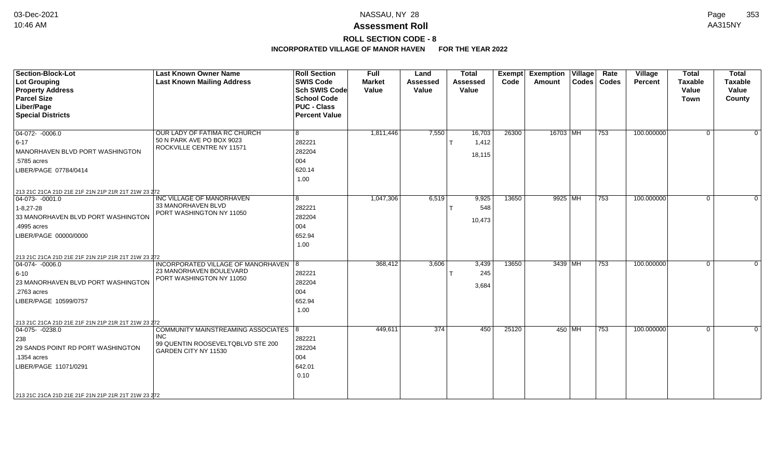# **ROLL SECTION CODE - 8**

| <b>Section-Block-Lot</b><br><b>Lot Grouping</b><br><b>Property Address</b><br><b>Parcel Size</b><br>Liber/Page<br><b>Special Districts</b>                                                                          | <b>Last Known Owner Name</b><br><b>Last Known Mailing Address</b>                                        | <b>Roll Section</b><br><b>SWIS Code</b><br><b>Sch SWIS Code</b><br><b>School Code</b><br><b>PUC - Class</b><br><b>Percent Value</b> | Full<br><b>Market</b><br>Value | Land<br><b>Assessed</b><br>Value | <b>Total</b><br><b>Assessed</b><br>Value | Exempt<br>Code | <b>Exemption Village</b><br>Amount | Rate<br>Codes   Codes | Village<br>Percent | <b>Total</b><br><b>Taxable</b><br>Value<br>Town | <b>Total</b><br><b>Taxable</b><br>Value<br>County |
|---------------------------------------------------------------------------------------------------------------------------------------------------------------------------------------------------------------------|----------------------------------------------------------------------------------------------------------|-------------------------------------------------------------------------------------------------------------------------------------|--------------------------------|----------------------------------|------------------------------------------|----------------|------------------------------------|-----------------------|--------------------|-------------------------------------------------|---------------------------------------------------|
| $\boxed{04-072 - 0006.0}$<br>$6 - 17$<br>MANORHAVEN BLVD PORT WASHINGTON<br>.5785 acres<br>LIBER/PAGE 07784/0414                                                                                                    | OUR LADY OF FATIMA RC CHURCH<br>50 N PARK AVE PO BOX 9023<br>ROCKVILLE CENTRE NY 11571                   | 8<br>282221<br>282204<br>004<br>620.14<br>1.00                                                                                      | 1,811,446                      | 7,550                            | 16,703<br>1,412<br>18,115                | 26300          | 16703 MH                           | 753                   | 100.000000         | $\Omega$                                        | $\Omega$                                          |
| 213 21C 21CA 21D 21E 21F 21N 21P 21R 21T 21W 23 272<br>$ 04-073-0001.0$<br>$1 - 8,27 - 28$<br>33 MANORHAVEN BLVD PORT WASHINGTON<br>.4995 acres<br>LIBER/PAGE 00000/0000                                            | INC VILLAGE OF MANORHAVEN<br>33 MANORHAVEN BLVD<br>PORT WASHINGTON NY 11050                              | 8<br>282221<br>282204<br>004<br>652.94<br>1.00                                                                                      | 1,047,306                      | 6,519                            | 9,925<br>548<br>10,473                   | 13650          | 9925 MH                            | 753                   | 100.000000         | $\Omega$                                        | $\Omega$                                          |
| 213 21C 21CA 21D 21E 21F 21N 21P 21R 21T 21W 23 272<br>$\boxed{04-074 - 0006.0}$<br>$6 - 10$<br>23 MANORHAVEN BLVD PORT WASHINGTON<br>.2763 acres<br>LIBER/PAGE 10599/0757                                          | INCORPORATED VILLAGE OF MANORHAVEN 8<br>23 MANORHAVEN BOULEVARD<br>PORT WASHINGTON NY 11050              | 282221<br>282204<br>004<br>652.94<br>1.00                                                                                           | 368,412                        | 3,606                            | 3,439<br>245<br>3,684                    | 13650          | 3439 MH                            | 753                   | 100.000000         | $\Omega$                                        | $\overline{0}$                                    |
| 213 21C 21CA 21D 21E 21F 21N 21P 21R 21T 21W 23 272<br>$04-075 - 0238.0$<br>238<br>29 SANDS POINT RD PORT WASHINGTON<br>.1354 acres<br>LIBER/PAGE 11071/0291<br>213 21C 21CA 21D 21E 21F 21N 21P 21R 21T 21W 23 272 | COMMUNITY MAINSTREAMING ASSOCIATES 8<br>INC<br>99 QUENTIN ROOSEVELTQBLVD STE 200<br>GARDEN CITY NY 11530 | 282221<br>282204<br>004<br>642.01<br>0.10                                                                                           | 449,611                        | 374                              | 450                                      | 25120          | 450 MH                             | 753                   | 100.000000         | $\mathbf 0$                                     | $\overline{0}$                                    |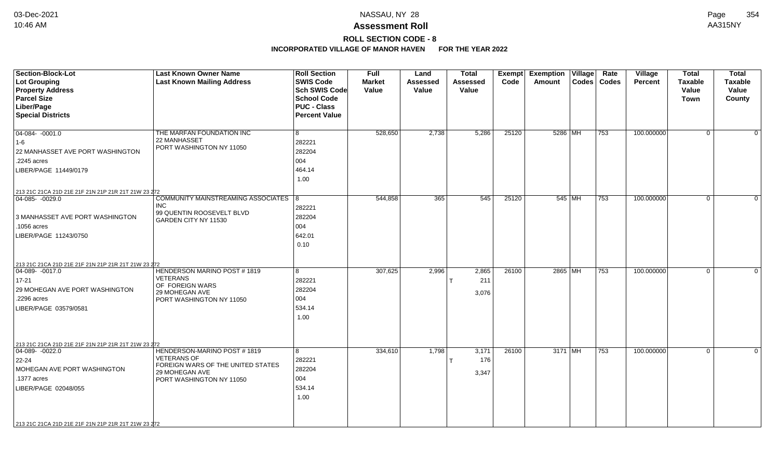# **ROLL SECTION CODE - 8**

| <b>Section-Block-Lot</b><br>Lot Grouping<br><b>Property Address</b><br><b>Parcel Size</b><br>Liber/Page<br><b>Special Districts</b>                                                                               | <b>Last Known Owner Name</b><br><b>Last Known Mailing Address</b>                                                                    | <b>Roll Section</b><br><b>SWIS Code</b><br><b>Sch SWIS Code</b><br><b>School Code</b><br><b>PUC - Class</b><br><b>Percent Value</b> | <b>Full</b><br><b>Market</b><br>Value | Land<br><b>Assessed</b><br>Value | <b>Total</b><br>Assessed<br>Value | Exempt<br>Code | <b>Exemption Village</b><br>Amount | $ $ Codes $ $ | Rate<br><b>Codes</b> | Village<br><b>Percent</b> | <b>Total</b><br><b>Taxable</b><br>Value<br><b>Town</b> | <b>Total</b><br><b>Taxable</b><br>Value<br>County |
|-------------------------------------------------------------------------------------------------------------------------------------------------------------------------------------------------------------------|--------------------------------------------------------------------------------------------------------------------------------------|-------------------------------------------------------------------------------------------------------------------------------------|---------------------------------------|----------------------------------|-----------------------------------|----------------|------------------------------------|---------------|----------------------|---------------------------|--------------------------------------------------------|---------------------------------------------------|
| $04-084 - 0001.0$<br>$ 1-6 $<br>22 MANHASSET AVE PORT WASHINGTON<br>.2245 acres<br>LIBER/PAGE 11449/0179<br>213 21C 21CA 21D 21E 21F 21N 21P 21R 21T 21W 23 272                                                   | THE MARFAN FOUNDATION INC<br>22 MANHASSET<br>PORT WASHINGTON NY 11050                                                                | 8<br>282221<br>282204<br>004<br>464.14<br>1.00                                                                                      | 528,650                               | 2,738                            | 5,286                             | 25120          | 5286   MH                          |               | 753                  | 100.000000                | $\mathbf 0$                                            | $\Omega$                                          |
| 04-085- -0029.0<br>3 MANHASSET AVE PORT WASHINGTON<br>.1056 acres<br>LIBER/PAGE 11243/0750                                                                                                                        | COMMUNITY MAINSTREAMING ASSOCIATES 8<br><b>INC</b><br>99 QUENTIN ROOSEVELT BLVD<br>GARDEN CITY NY 11530                              | 282221<br>282204<br>004<br>642.01<br>0.10                                                                                           | 544,858                               | 365                              | 545                               | 25120          | 545 MH                             |               | 753                  | 100.000000                | $\overline{0}$                                         | $\Omega$                                          |
| 213 21C 21CA 21D 21E 21F 21N 21P 21R 21T 21W 23 272<br>$ 04-089-0017.0$<br>17-21<br>29 MOHEGAN AVE PORT WASHINGTON<br>.2296 acres<br>LIBER/PAGE 03579/0581<br>213 21C 21CA 21D 21E 21F 21N 21P 21R 21T 21W 23 272 | <b>HENDERSON MARINO POST #1819</b><br><b>VETERANS</b><br>OF FOREIGN WARS<br>29 MOHEGAN AVE<br>PORT WASHINGTON NY 11050               | 8<br>282221<br>282204<br>004<br>534.14<br>1.00                                                                                      | 307,625                               | 2,996                            | 2,865<br>211<br>3,076             | 26100          | 2865 MH                            |               | 753                  | 100.000000                | 0                                                      | $\Omega$                                          |
| $04-089 - 0022.0$<br>22-24<br>MOHEGAN AVE PORT WASHINGTON<br>.1377 acres<br>LIBER/PAGE 02048/055<br>213 21C 21CA 21D 21E 21F 21N 21P 21R 21T 21W 23 272                                                           | HENDERSON-MARINO POST #1819<br><b>VETERANS OF</b><br>FOREIGN WARS OF THE UNITED STATES<br>29 MOHEGAN AVE<br>PORT WASHINGTON NY 11050 | 8<br>282221<br>282204<br>004<br>534.14<br>1.00                                                                                      | 334,610                               | 1,798                            | 3,171<br>176<br>3,347             | 26100          | 3171 MH                            |               | 753                  | 100.000000                | $\mathbf 0$                                            | $\Omega$                                          |